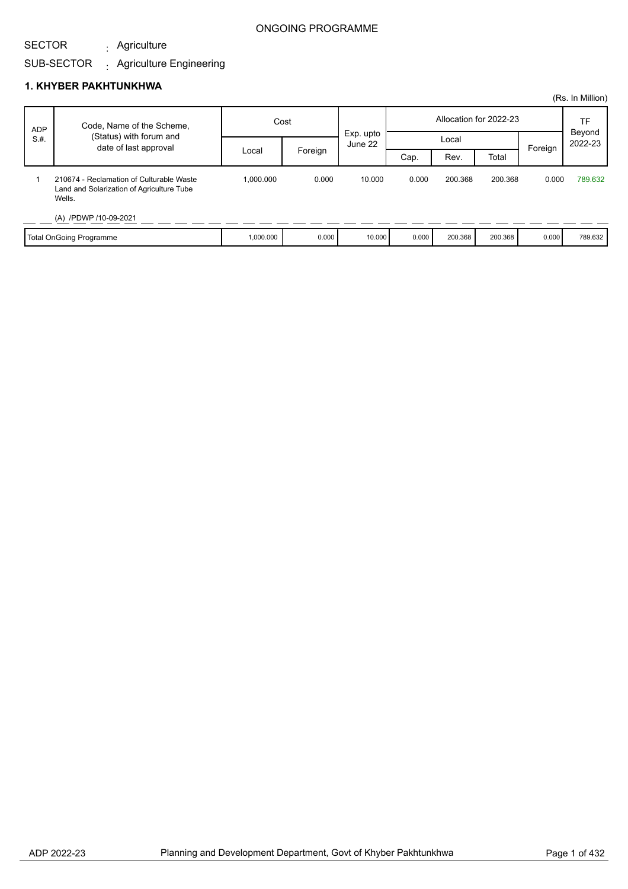#### SECTOR Agriculture :

#### SUB-SECTOR Agriculture Engineering :

|                    |                                                                                                 |           |         |                      |       |         |                        |         | (Rs. In Million)  |
|--------------------|-------------------------------------------------------------------------------------------------|-----------|---------|----------------------|-------|---------|------------------------|---------|-------------------|
| <b>ADP</b><br>S.H. | Code, Name of the Scheme,                                                                       | Cost      |         |                      |       |         | Allocation for 2022-23 |         | TF                |
|                    | (Status) with forum and<br>date of last approval                                                |           |         | Exp. upto<br>June 22 | Local |         |                        |         | Beyond<br>2022-23 |
|                    |                                                                                                 | Local     | Foreign |                      | Cap.  | Rev.    | Total                  | Foreign |                   |
|                    | 210674 - Reclamation of Culturable Waste<br>Land and Solarization of Agriculture Tube<br>Wells. | 1.000.000 | 0.000   | 10.000               | 0.000 | 200.368 | 200.368                | 0.000   | 789.632           |
|                    | (A) /PDWP /10-09-2021                                                                           |           |         |                      |       |         |                        |         |                   |
|                    | Total OnGoing Programme                                                                         | 1,000.000 | 0.000   | 10,000               | 0.000 | 200.368 | 200.368                | 0.000   | 789.632           |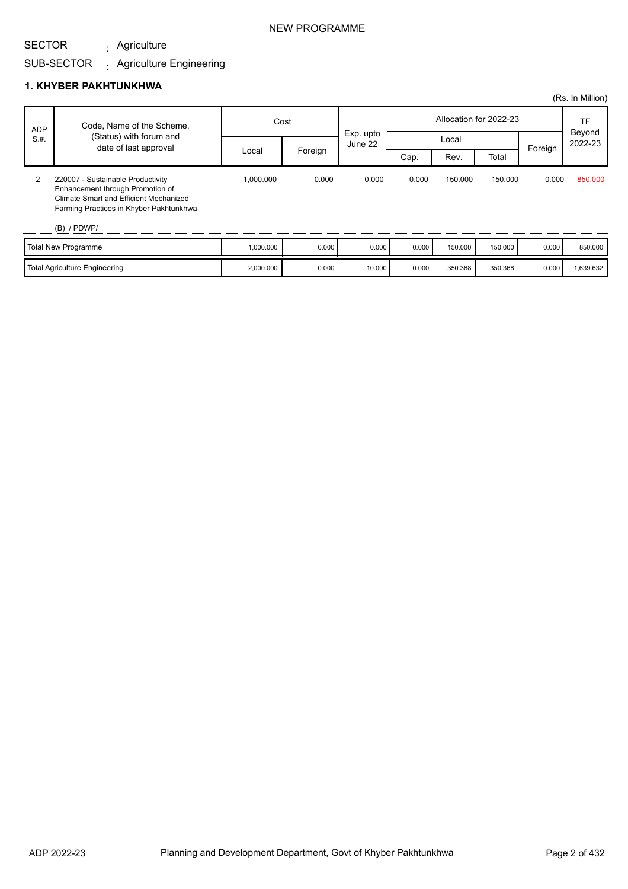Agriculture :

#### SUB-SECTOR Agriculture Engineering :

### **1. KHYBER PAKHTUNKHWA**

|                    |                                                                                                                                                                             |           |         |                      |                        |         |         |         | (Rs. In Million)  |
|--------------------|-----------------------------------------------------------------------------------------------------------------------------------------------------------------------------|-----------|---------|----------------------|------------------------|---------|---------|---------|-------------------|
| <b>ADP</b><br>S.H. | Code, Name of the Scheme,                                                                                                                                                   | Cost      |         |                      | Allocation for 2022-23 |         |         |         | TF                |
|                    | (Status) with forum and<br>date of last approval                                                                                                                            |           |         | Exp. upto<br>June 22 | Local                  |         |         |         | Beyond<br>2022-23 |
|                    |                                                                                                                                                                             | Local     | Foreign |                      | Cap.                   | Rev.    | Total   | Foreign |                   |
| 2                  | 220007 - Sustainable Productivity<br>Enhancement through Promotion of<br>Climate Smart and Efficient Mechanized<br>Farming Practices in Khyber Pakhtunkhwa<br>$(B)$ / PDWP/ | 1.000.000 | 0.000   | 0.000                | 0.000                  | 150.000 | 150.000 | 0.000   | 850,000           |
|                    | <b>Total New Programme</b>                                                                                                                                                  | 1,000.000 | 0.000   | 0.000                | 0.000                  | 150.000 | 150.000 | 0.000   | 850.000           |

Total Agriculture Engineering The Contract (2,000.000 | 0.000 0.000 0.000 0.000 0.000 350.368 350.368 0.000 1,639.632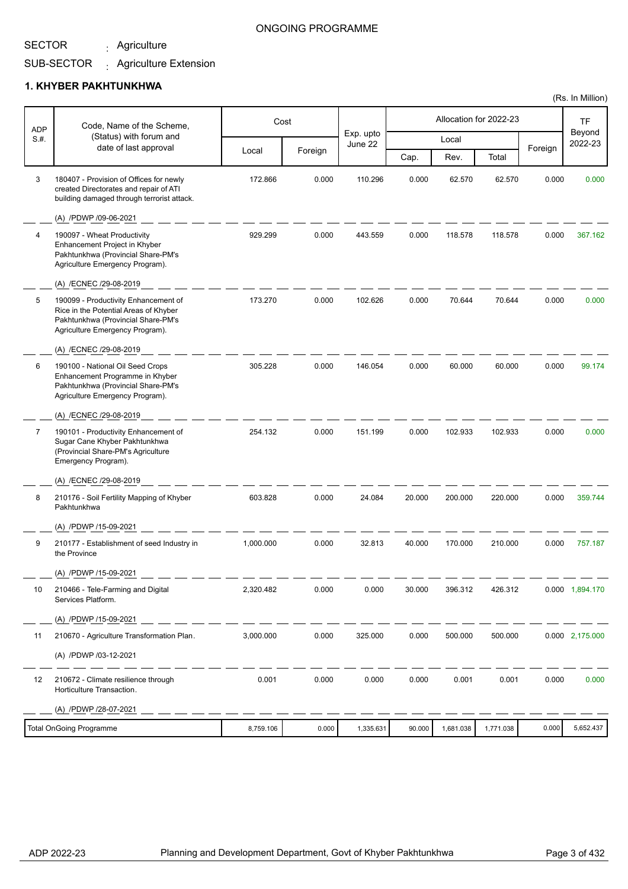Agriculture :

### ONGOING PROGRAMME

#### SUB-SECTOR Agriculture Extension :

### **1. KHYBER PAKHTUNKHWA**

| <b>ADP</b> | Code, Name of the Scheme,                                                                                                                              |           | Cost    |                      |        |           | Allocation for 2022-23 |         | <b>TF</b>         |
|------------|--------------------------------------------------------------------------------------------------------------------------------------------------------|-----------|---------|----------------------|--------|-----------|------------------------|---------|-------------------|
| S.H.       | (Status) with forum and                                                                                                                                |           |         | Exp. upto<br>June 22 |        | Local     |                        |         | Beyond<br>2022-23 |
|            | date of last approval                                                                                                                                  | Local     | Foreign |                      | Cap.   | Rev.      | Total                  | Foreign |                   |
| 3          | 180407 - Provision of Offices for newly<br>created Directorates and repair of ATI<br>building damaged through terrorist attack.                        | 172.866   | 0.000   | 110.296              | 0.000  | 62.570    | 62.570                 | 0.000   | 0.000             |
|            | (A) /PDWP /09-06-2021                                                                                                                                  |           |         |                      |        |           |                        |         |                   |
| 4          | 190097 - Wheat Productivity<br>Enhancement Project in Khyber<br>Pakhtunkhwa (Provincial Share-PM's<br>Agriculture Emergency Program).                  | 929.299   | 0.000   | 443.559              | 0.000  | 118.578   | 118.578                | 0.000   | 367.162           |
|            | (A) /ECNEC /29-08-2019                                                                                                                                 |           |         |                      |        |           |                        |         |                   |
| 5          | 190099 - Productivity Enhancement of<br>Rice in the Potential Areas of Khyber<br>Pakhtunkhwa (Provincial Share-PM's<br>Agriculture Emergency Program). | 173.270   | 0.000   | 102.626              | 0.000  | 70.644    | 70.644                 | 0.000   | 0.000             |
|            | (A) /ECNEC /29-08-2019                                                                                                                                 |           |         |                      |        |           |                        |         |                   |
| 6          | 190100 - National Oil Seed Crops<br>Enhancement Programme in Khyber<br>Pakhtunkhwa (Provincial Share-PM's<br>Agriculture Emergency Program).           | 305.228   | 0.000   | 146.054              | 0.000  | 60.000    | 60.000                 | 0.000   | 99.174            |
|            | (A) /ECNEC /29-08-2019                                                                                                                                 |           |         |                      |        |           |                        |         |                   |
| 7          | 190101 - Productivity Enhancement of<br>Sugar Cane Khyber Pakhtunkhwa<br>(Provincial Share-PM's Agriculture<br>Emergency Program).                     | 254.132   | 0.000   | 151.199              | 0.000  | 102.933   | 102.933                | 0.000   | 0.000             |
|            | (A) /ECNEC /29-08-2019                                                                                                                                 |           |         |                      |        |           |                        |         |                   |
| 8          | 210176 - Soil Fertility Mapping of Khyber<br>Pakhtunkhwa                                                                                               | 603.828   | 0.000   | 24.084               | 20.000 | 200.000   | 220.000                | 0.000   | 359.744           |
|            | (A) /PDWP /15-09-2021                                                                                                                                  |           |         |                      |        |           |                        |         |                   |
| 9          | 210177 - Establishment of seed Industry in<br>the Province                                                                                             | 1,000.000 | 0.000   | 32.813               | 40.000 | 170.000   | 210.000                | 0.000   | 757.187           |
|            | (A) /PDWP /15-09-2021                                                                                                                                  |           |         |                      |        |           |                        |         |                   |
| 10         | 210466 - Tele-Farming and Digital<br>Services Platform.                                                                                                | 2,320.482 | 0.000   | 0.000                | 30.000 | 396.312   | 426.312                |         | 0.000 1,894.170   |
|            | (A) /PDWP /15-09-2021                                                                                                                                  |           |         |                      |        |           |                        |         |                   |
| 11         | 210670 - Agriculture Transformation Plan.                                                                                                              | 3,000.000 | 0.000   | 325.000              | 0.000  | 500.000   | 500.000                |         | 0.000 2,175.000   |
|            | (A) /PDWP /03-12-2021                                                                                                                                  |           |         |                      |        |           |                        |         |                   |
| 12         | 210672 - Climate resilience through<br>Horticulture Transaction.                                                                                       | 0.001     | 0.000   | 0.000                | 0.000  | 0.001     | 0.001                  | 0.000   | 0.000             |
|            | (A) /PDWP /28-07-2021                                                                                                                                  |           |         |                      |        |           |                        |         |                   |
|            | <b>Total OnGoing Programme</b>                                                                                                                         | 8,759.106 | 0.000   | 1,335.631            | 90.000 | 1,681.038 | 1,771.038              | 0.000   | 5,652.437         |

(Rs. In Million)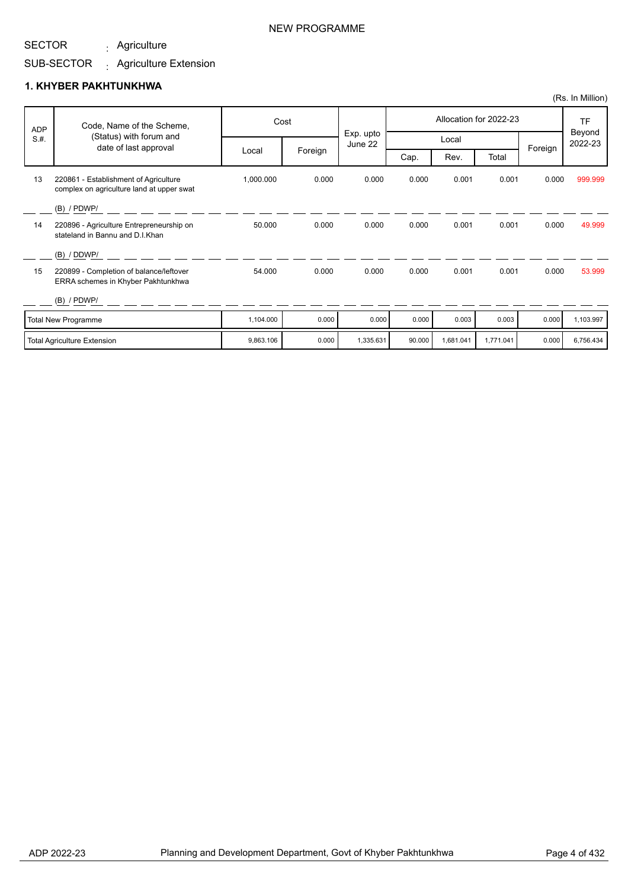Agriculture :

# SUB-SECTOR <sub>:</sub> Agriculture Extension

|      |                                                                                    |                  |       |                      |       |       |                        |         | (Rs. In Million)               |
|------|------------------------------------------------------------------------------------|------------------|-------|----------------------|-------|-------|------------------------|---------|--------------------------------|
| ADP  | Code, Name of the Scheme,                                                          |                  | Cost  |                      |       |       | Allocation for 2022-23 |         | <b>TF</b><br>Beyond<br>2022-23 |
| S.H. | (Status) with forum and<br>date of last approval                                   |                  |       | Exp. upto<br>June 22 |       | Local |                        |         |                                |
|      |                                                                                    | Foreign<br>Local |       |                      | Cap.  | Rev.  | Total                  | Foreign |                                |
| 13   | 220861 - Establishment of Agriculture<br>complex on agriculture land at upper swat | 1,000.000        | 0.000 | 0.000                | 0.000 | 0.001 | 0.001                  | 0.000   | 999.999                        |
|      | $(B)$ / PDWP/                                                                      |                  |       |                      |       |       |                        |         |                                |
| 14   | 220896 - Agriculture Entrepreneurship on<br>stateland in Bannu and D.I.Khan        | 50.000           | 0.000 | 0.000                | 0.000 | 0.001 | 0.001                  | 0.000   | 49.999                         |
|      | (B) / DDWP/                                                                        |                  |       |                      |       |       |                        |         |                                |
| 15   | 220899 - Completion of balance/leftover<br>ERRA schemes in Khyber Pakhtunkhwa      | 54.000           | 0.000 | 0.000                | 0.000 | 0.001 | 0.001                  | 0.000   | 53.999                         |
|      | $(B)$ / PDWP/                                                                      |                  |       |                      |       |       |                        |         |                                |
|      | Total New Programme                                                                | 1.104.000        | 0.000 | 0.000                | 0.000 | 0.003 | 0.003                  | 0.000   | 1.103.997                      |

| <b>Total New Programme</b>         | ,104.000  | 0.000 | 0.000     | 0.000  | 0.003    | 0.003    | 0.000 | .103.997  |
|------------------------------------|-----------|-------|-----------|--------|----------|----------|-------|-----------|
| <b>Total Agriculture Extension</b> | 9,863.106 | 0.000 | 1,335.631 | 90.000 | 0.681.04 | .771.041 | 0.000 | 3.756.434 |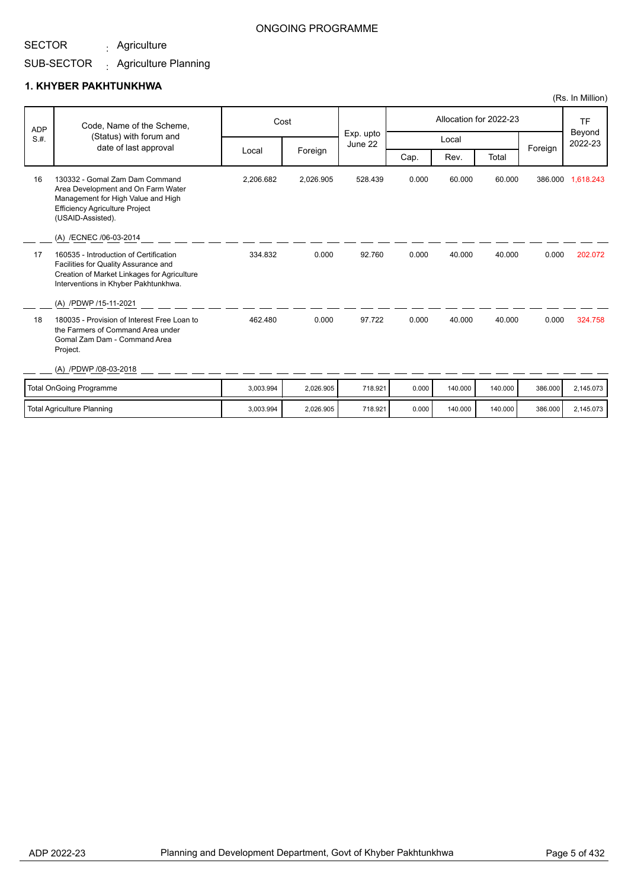Agriculture :

### ONGOING PROGRAMME

#### SUB-SECTOR Agriculture Planning :

### **1. KHYBER PAKHTUNKHWA**

| <b>ADP</b> | Code, Name of the Scheme,<br>(Status) with forum and                                                                                                                     |           | Cost      | Exp. upto |       |         | Allocation for 2022-23 |         | <b>TF</b><br>Beyond<br>2022-23 |
|------------|--------------------------------------------------------------------------------------------------------------------------------------------------------------------------|-----------|-----------|-----------|-------|---------|------------------------|---------|--------------------------------|
| S.H.       | date of last approval                                                                                                                                                    |           |           | June 22   |       | Local   |                        | Foreign |                                |
|            |                                                                                                                                                                          | Local     | Foreign   |           | Cap.  | Rev.    | Total                  |         |                                |
| 16         | 130332 - Gomal Zam Dam Command<br>Area Development and On Farm Water<br>Management for High Value and High<br><b>Efficiency Agriculture Project</b><br>(USAID-Assisted). | 2,206.682 | 2,026.905 | 528.439   | 0.000 | 60.000  | 60.000                 |         | 386.000 1,618.243              |
|            | (A) /ECNEC /06-03-2014                                                                                                                                                   |           |           |           |       |         |                        |         |                                |
| 17         | 160535 - Introduction of Certification<br>Facilities for Quality Assurance and<br>Creation of Market Linkages for Agriculture<br>Interventions in Khyber Pakhtunkhwa.    | 334.832   | 0.000     | 92.760    | 0.000 | 40.000  | 40.000                 | 0.000   | 202.072                        |
|            | (A) /PDWP /15-11-2021                                                                                                                                                    |           |           |           |       |         |                        |         |                                |
| 18         | 180035 - Provision of Interest Free Loan to<br>the Farmers of Command Area under<br>Gomal Zam Dam - Command Area<br>Project.                                             | 462.480   | 0.000     | 97.722    | 0.000 | 40.000  | 40.000                 | 0.000   | 324.758                        |
|            | (A) /PDWP /08-03-2018                                                                                                                                                    |           |           |           |       |         |                        |         |                                |
|            | Total OnGoing Programme                                                                                                                                                  | 3.003.994 | 2,026.905 | 718.921   | 0.000 | 140.000 | 140.000                | 386.000 | 2,145.073                      |
|            | <b>Total Agriculture Planning</b>                                                                                                                                        | 3,003.994 | 2,026.905 | 718.921   | 0.000 | 140.000 | 140.000                | 386.000 | 2,145.073                      |

(Rs. In Million)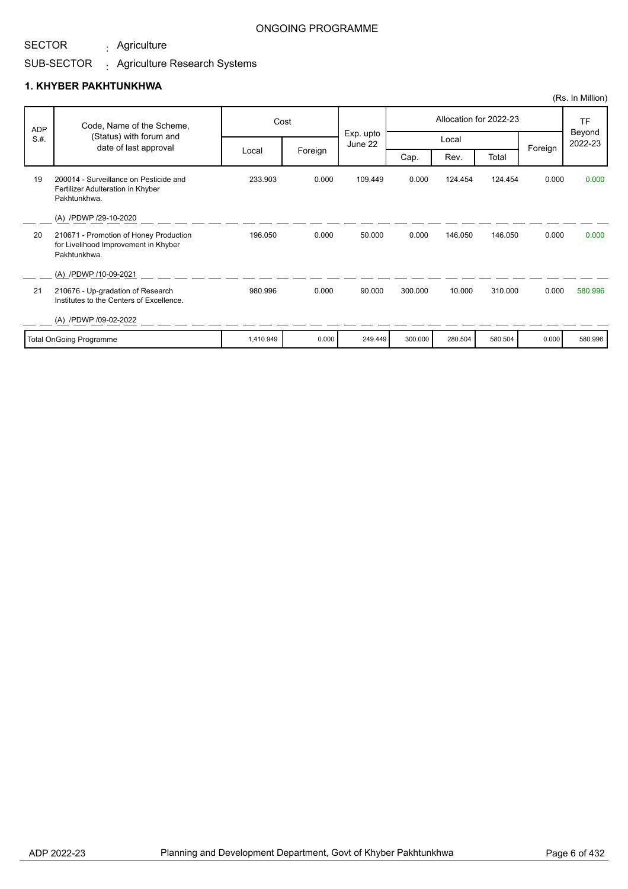Agriculture :

### ONGOING PROGRAMME

#### SUB-SECTOR . Agriculture Research Systems

|            |                                                                                                |           |         |                      |         |         |                        |         | (Rs. In Million)  |
|------------|------------------------------------------------------------------------------------------------|-----------|---------|----------------------|---------|---------|------------------------|---------|-------------------|
| <b>ADP</b> | Code, Name of the Scheme,                                                                      |           | Cost    |                      |         |         | Allocation for 2022-23 |         | <b>TF</b>         |
| S.H.       | (Status) with forum and<br>date of last approval                                               |           |         | Exp. upto<br>June 22 |         | Local   |                        |         | Beyond<br>2022-23 |
|            |                                                                                                | Local     | Foreign |                      | Cap.    | Rev.    | Total                  | Foreign |                   |
| 19         | 200014 - Surveillance on Pesticide and<br>Fertilizer Adulteration in Khyber<br>Pakhtunkhwa.    | 233.903   | 0.000   | 109.449              | 0.000   | 124.454 | 124.454                | 0.000   | 0.000             |
|            | (A) /PDWP /29-10-2020                                                                          |           |         |                      |         |         |                        |         |                   |
| 20         | 210671 - Promotion of Honey Production<br>for Livelihood Improvement in Khyber<br>Pakhtunkhwa. | 196.050   | 0.000   | 50.000               | 0.000   | 146.050 | 146.050                | 0.000   | 0.000             |
|            | (A) /PDWP /10-09-2021                                                                          |           |         |                      |         |         |                        |         |                   |
| 21         | 210676 - Up-gradation of Research<br>Institutes to the Centers of Excellence.                  | 980.996   | 0.000   | 90.000               | 300.000 | 10.000  | 310.000                | 0.000   | 580.996           |
|            | (A) /PDWP /09-02-2022                                                                          |           |         |                      |         |         |                        |         |                   |
|            | <b>Total OnGoing Programme</b>                                                                 | 1,410.949 | 0.000   | 249.449              | 300.000 | 280.504 | 580.504                | 0.000   | 580.996           |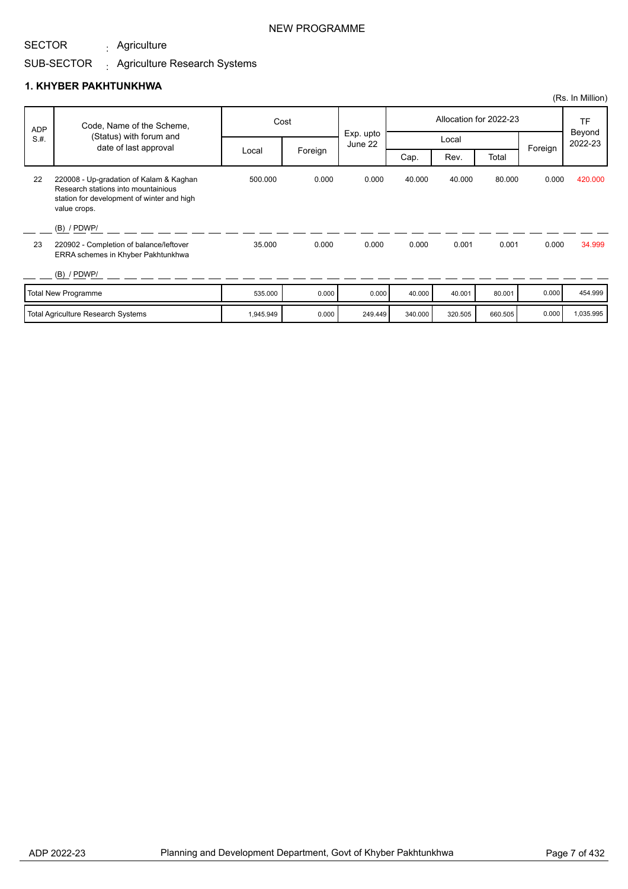Agriculture :

### NEW PROGRAMME

#### SUB-SECTOR . Agriculture Research Systems

|            |                                                                                                                                              |           |         |                      |                        |         |         |         | (Rs. In Million)  |
|------------|----------------------------------------------------------------------------------------------------------------------------------------------|-----------|---------|----------------------|------------------------|---------|---------|---------|-------------------|
| <b>ADP</b> | Code, Name of the Scheme,                                                                                                                    |           | Cost    |                      | Allocation for 2022-23 |         |         |         | <b>TF</b>         |
| S.H.       | (Status) with forum and<br>date of last approval                                                                                             |           |         | Exp. upto<br>June 22 |                        | Local   |         | Foreign | Beyond<br>2022-23 |
|            |                                                                                                                                              | Local     | Foreign |                      | Cap.                   | Rev.    | Total   |         |                   |
| 22         | 220008 - Up-gradation of Kalam & Kaghan<br>Research stations into mountainious<br>station for development of winter and high<br>value crops. | 500.000   | 0.000   | 0.000                | 40.000                 | 40.000  | 80.000  | 0.000   | 420.000           |
|            | $(B)$ / PDWP/                                                                                                                                |           |         |                      |                        |         |         |         |                   |
| 23         | 220902 - Completion of balance/leftover<br>ERRA schemes in Khyber Pakhtunkhwa                                                                | 35,000    | 0.000   | 0.000                | 0.000                  | 0.001   | 0.001   | 0.000   | 34.999            |
|            | $(B)$ / PDWP/                                                                                                                                |           |         |                      |                        |         |         |         |                   |
|            | <b>Total New Programme</b>                                                                                                                   | 535.000   | 0.000   | 0.000                | 40.000                 | 40.001  | 80.001  | 0.000   | 454.999           |
|            | <b>Total Agriculture Research Systems</b>                                                                                                    | 1,945.949 | 0.000   | 249.449              | 340.000                | 320.505 | 660.505 | 0.000   | 1,035.995         |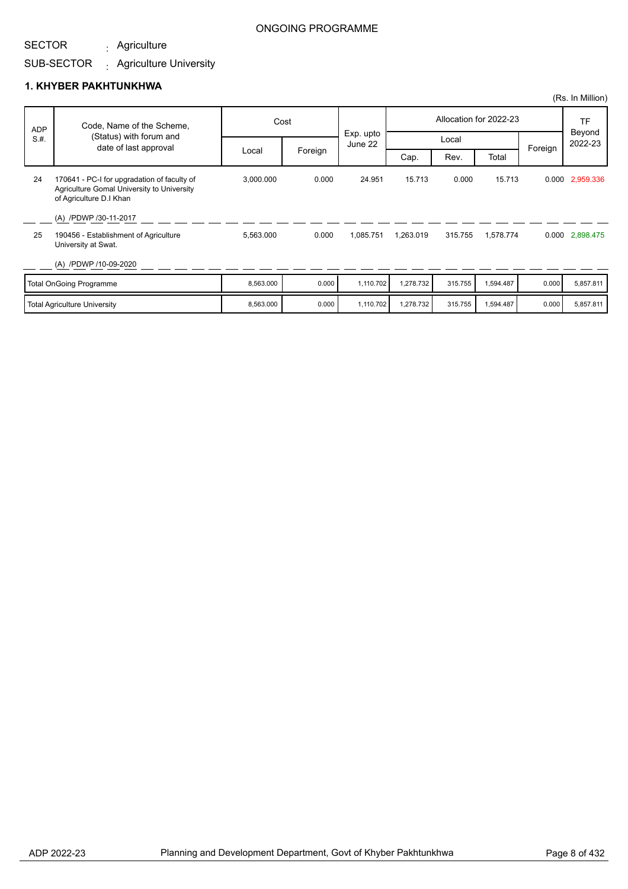### SUB-SECTOR Agriculture : Agriculture University :

### **1. KHYBER PAKHTUNKHWA**

SECTOR

|            |                                                                                                                      |           |         |                      |           |         |                        |         | (Rs. In Million)  |
|------------|----------------------------------------------------------------------------------------------------------------------|-----------|---------|----------------------|-----------|---------|------------------------|---------|-------------------|
| <b>ADP</b> | Code, Name of the Scheme,                                                                                            |           | Cost    |                      |           |         | Allocation for 2022-23 |         | TF                |
| S.H.       | (Status) with forum and<br>date of last approval                                                                     |           |         | Exp. upto<br>June 22 |           | Local   |                        | Foreign | Beyond<br>2022-23 |
|            |                                                                                                                      | Local     | Foreign |                      | Cap.      | Rev.    | Total                  |         |                   |
| 24         | 170641 - PC-I for upgradation of faculty of<br>Agriculture Gomal University to University<br>of Agriculture D.I Khan | 3,000.000 | 0.000   | 24.951               | 15.713    | 0.000   | 15.713                 |         | 0.000 2,959.336   |
| 25         | (A) /PDWP /30-11-2017<br>190456 - Establishment of Agriculture<br>University at Swat.                                | 5,563.000 | 0.000   | 1,085.751            | 1,263.019 | 315.755 | 1,578.774              |         | 0.000 2,898.475   |
|            | (A) /PDWP /10-09-2020                                                                                                |           |         |                      |           |         |                        |         |                   |
|            | <b>Total OnGoing Programme</b>                                                                                       | 8,563.000 | 0.000   | 1,110.702            | 1,278.732 | 315.755 | 1,594.487              | 0.000   | 5,857.811         |
|            | <b>Total Agriculture University</b>                                                                                  | 8,563.000 | 0.000   | 1,110.702            | 1,278.732 | 315.755 | 1,594.487              | 0.000   | 5,857.811         |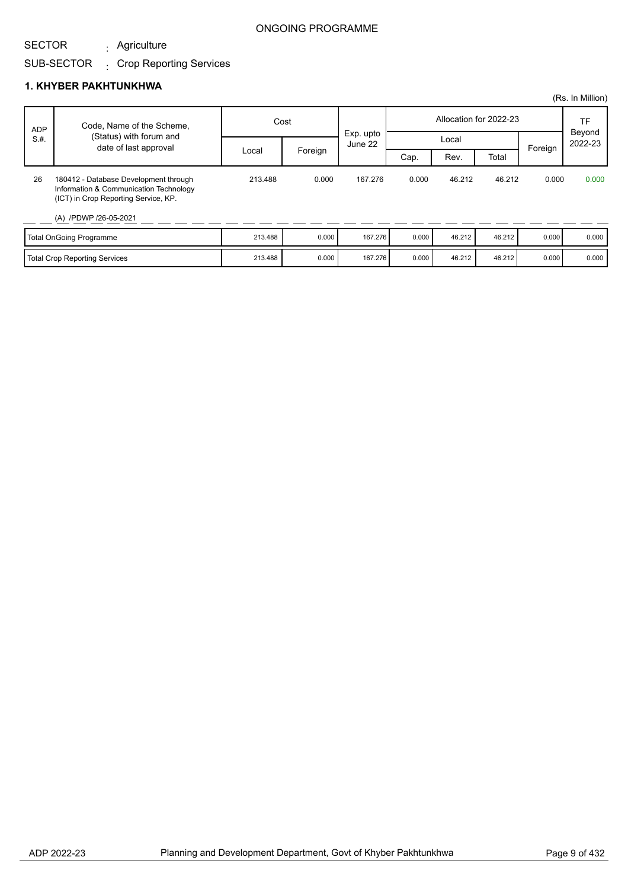#### SECTOR Agriculture :

## SUB-SECTOR Crop Reporting Services :

|            |                                                                                                                                                  |         |         |                      |       |        |                        |         | (Rs. In Million)        |
|------------|--------------------------------------------------------------------------------------------------------------------------------------------------|---------|---------|----------------------|-------|--------|------------------------|---------|-------------------------|
| <b>ADP</b> | Code, Name of the Scheme,                                                                                                                        |         | Cost    |                      |       |        | Allocation for 2022-23 |         | TF<br>Beyond<br>2022-23 |
| S.H.       | (Status) with forum and<br>date of last approval                                                                                                 |         |         | Exp. upto<br>June 22 |       | Local  |                        | Foreign |                         |
|            |                                                                                                                                                  | Local   | Foreign |                      | Cap.  | Rev.   | Total                  |         |                         |
| 26         | 180412 - Database Development through<br>Information & Communication Technology<br>(ICT) in Crop Reporting Service, KP.<br>(A) /PDWP /26-05-2021 | 213.488 | 0.000   | 167.276              | 0.000 | 46.212 | 46.212                 | 0.000   | 0.000                   |
|            | <b>Total OnGoing Programme</b>                                                                                                                   | 213.488 | 0.000   | 167.276              | 0.000 | 46.212 | 46.212                 | 0.000   | 0.000                   |
|            | Total Crop Reporting Services                                                                                                                    | 213.488 | 0.000   | 167.276              | 0.000 | 46.212 | 46.212                 | 0.000   | 0.000                   |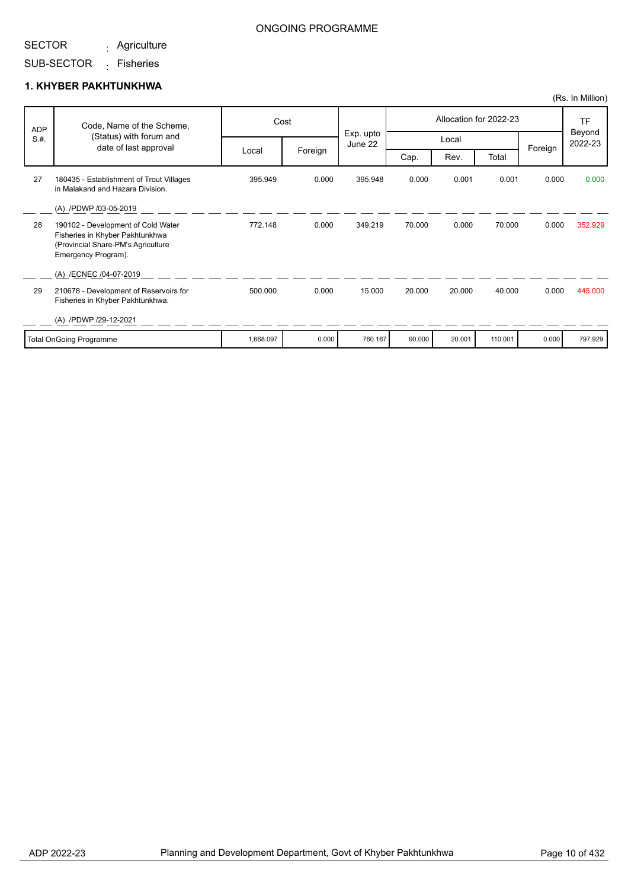#### SECTOR Agriculture :

## ONGOING PROGRAMME

# SUB-SECTOR <sub>:</sub> Fisheries

|            |                                                                                                                                    |           |         |                      |        |        |                        |         | (Rs. In Million)  |
|------------|------------------------------------------------------------------------------------------------------------------------------------|-----------|---------|----------------------|--------|--------|------------------------|---------|-------------------|
| <b>ADP</b> | Code, Name of the Scheme,                                                                                                          |           | Cost    |                      |        |        | Allocation for 2022-23 |         | <b>TF</b>         |
| S.H.       | (Status) with forum and<br>date of last approval                                                                                   |           |         | Exp. upto<br>June 22 |        | Local  |                        |         | Beyond<br>2022-23 |
|            |                                                                                                                                    | Local     | Foreign |                      | Cap.   | Rev.   | Total                  | Foreign |                   |
| 27         | 180435 - Establishment of Trout Villages<br>in Malakand and Hazara Division.                                                       | 395.949   | 0.000   | 395.948              | 0.000  | 0.001  | 0.001                  | 0.000   | 0.000             |
|            | (A) /PDWP /03-05-2019                                                                                                              |           |         |                      |        |        |                        |         |                   |
| 28         | 190102 - Development of Cold Water<br>Fisheries in Khyber Pakhtunkhwa<br>(Provincial Share-PM's Agriculture<br>Emergency Program). | 772.148   | 0.000   | 349.219              | 70.000 | 0.000  | 70.000                 | 0.000   | 352.929           |
|            | (A) /ECNEC /04-07-2019                                                                                                             |           |         |                      |        |        |                        |         |                   |
| 29         | 210678 - Development of Reservoirs for<br>Fisheries in Khyber Pakhtunkhwa.                                                         | 500.000   | 0.000   | 15.000               | 20.000 | 20.000 | 40.000                 | 0.000   | 445.000           |
|            | (A) /PDWP /29-12-2021                                                                                                              |           |         |                      |        |        |                        |         |                   |
|            | <b>Total OnGoing Programme</b>                                                                                                     | 1,668.097 | 0.000   | 760.167              | 90.000 | 20.001 | 110.001                | 0.000   | 797.929           |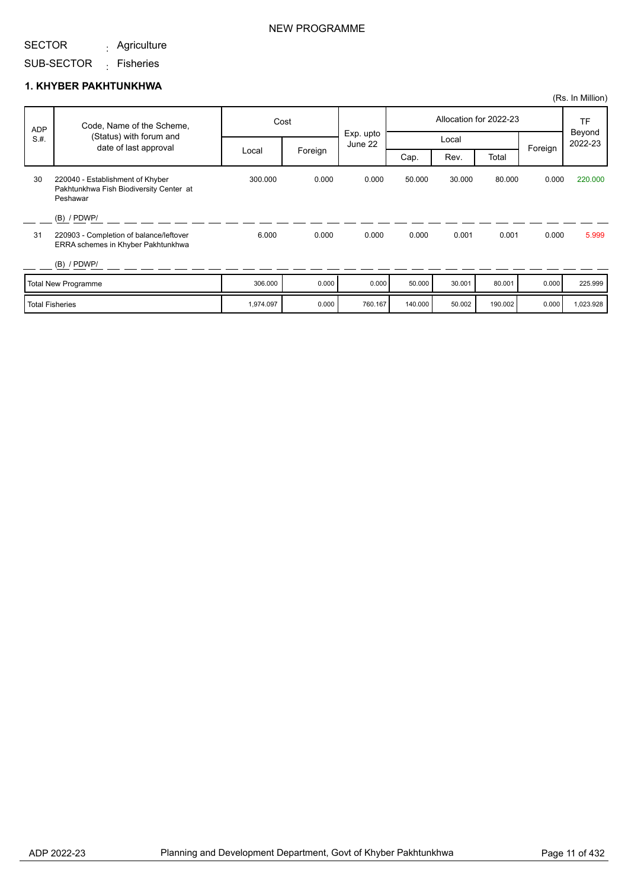Agriculture :

### NEW PROGRAMME

SUB-SECTOR <sub>:</sub> Fisheries

|                 |                                                                                                |           |         |                      |         |        |                        |         | (Rs. In Million)  |
|-----------------|------------------------------------------------------------------------------------------------|-----------|---------|----------------------|---------|--------|------------------------|---------|-------------------|
| <b>ADP</b>      | Code, Name of the Scheme,                                                                      |           | Cost    |                      |         |        | Allocation for 2022-23 |         | <b>TF</b>         |
| S.H.            | (Status) with forum and<br>date of last approval                                               |           |         | Exp. upto<br>June 22 |         | Local  |                        | Foreign | Beyond<br>2022-23 |
|                 |                                                                                                | Local     | Foreign |                      | Cap.    | Rev.   | Total                  |         |                   |
| 30              | 220040 - Establishment of Khyber<br>Pakhtunkhwa Fish Biodiversity Center at<br>Peshawar        | 300.000   | 0.000   | 0.000                | 50.000  | 30.000 | 80.000                 | 0.000   | 220,000           |
| 31              | $(B)$ / PDWP/<br>220903 - Completion of balance/leftover<br>ERRA schemes in Khyber Pakhtunkhwa | 6.000     | 0.000   | 0.000                | 0.000   | 0.001  | 0.001                  | 0.000   | 5.999             |
|                 | $(B)$ / PDWP/                                                                                  |           |         |                      |         |        |                        |         |                   |
|                 | Total New Programme                                                                            | 306.000   | 0.000   | 0.000                | 50.000  | 30.001 | 80.001                 | 0.000   | 225.999           |
| Total Fisheries |                                                                                                | 1,974.097 | 0.000   | 760.167              | 140.000 | 50.002 | 190.002                | 0.000   | 1,023.928         |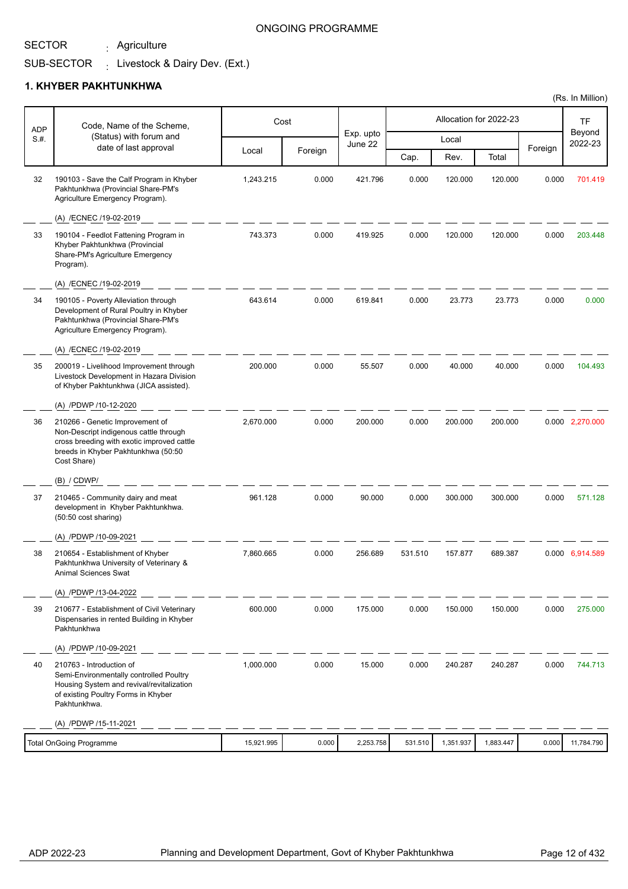Agriculture :

### ONGOING PROGRAMME

#### SUB-SECTOR  $\frac{1}{2}$  Livestock & Dairy Dev. (Ext.)

|            |                                                                                                                                                                               |            |         |                      |         |           |                        |         | (Rs. In Million)  |
|------------|-------------------------------------------------------------------------------------------------------------------------------------------------------------------------------|------------|---------|----------------------|---------|-----------|------------------------|---------|-------------------|
| <b>ADP</b> | Code, Name of the Scheme,                                                                                                                                                     |            | Cost    |                      |         |           | Allocation for 2022-23 |         | <b>TF</b>         |
| S.#.       | (Status) with forum and<br>date of last approval                                                                                                                              |            |         | Exp. upto<br>June 22 |         | Local     |                        | Foreign | Beyond<br>2022-23 |
|            |                                                                                                                                                                               | Local      | Foreign |                      | Cap.    | Rev.      | Total                  |         |                   |
| 32         | 190103 - Save the Calf Program in Khyber<br>Pakhtunkhwa (Provincial Share-PM's<br>Agriculture Emergency Program).                                                             | 1,243.215  | 0.000   | 421.796              | 0.000   | 120.000   | 120.000                | 0.000   | 701.419           |
|            | (A) /ECNEC /19-02-2019                                                                                                                                                        |            |         |                      |         |           |                        |         |                   |
| 33         | 190104 - Feedlot Fattening Program in<br>Khyber Pakhtunkhwa (Provincial<br>Share-PM's Agriculture Emergency<br>Program).                                                      | 743.373    | 0.000   | 419.925              | 0.000   | 120.000   | 120.000                | 0.000   | 203.448           |
|            | (A) /ECNEC /19-02-2019                                                                                                                                                        |            |         |                      |         |           |                        |         |                   |
| 34         | 190105 - Poverty Alleviation through<br>Development of Rural Poultry in Khyber<br>Pakhtunkhwa (Provincial Share-PM's<br>Agriculture Emergency Program).                       | 643.614    | 0.000   | 619.841              | 0.000   | 23.773    | 23.773                 | 0.000   | 0.000             |
|            | (A) /ECNEC /19-02-2019                                                                                                                                                        |            |         |                      |         |           |                        |         |                   |
| 35         | 200019 - Livelihood Improvement through<br>Livestock Development in Hazara Division<br>of Khyber Pakhtunkhwa (JICA assisted).                                                 | 200.000    | 0.000   | 55.507               | 0.000   | 40.000    | 40.000                 | 0.000   | 104.493           |
|            | (A) /PDWP /10-12-2020                                                                                                                                                         |            |         |                      |         |           |                        |         |                   |
| 36         | 210266 - Genetic Improvement of<br>Non-Descript indigenous cattle through<br>cross breeding with exotic improved cattle<br>breeds in Khyber Pakhtunkhwa (50:50<br>Cost Share) | 2,670.000  | 0.000   | 200.000              | 0.000   | 200.000   | 200.000                |         | 0.000 2,270.000   |
|            | (B) / CDWP/                                                                                                                                                                   |            |         |                      |         |           |                        |         |                   |
| 37         | 210465 - Community dairy and meat<br>development in Khyber Pakhtunkhwa.<br>(50:50 cost sharing)                                                                               | 961.128    | 0.000   | 90.000               | 0.000   | 300.000   | 300.000                | 0.000   | 571.128           |
|            | (A) /PDWP /10-09-2021                                                                                                                                                         |            |         |                      |         |           |                        |         |                   |
| 38         | 210654 - Establishment of Khyber<br>Pakhtunkhwa University of Veterinary &<br>Animal Sciences Swat                                                                            | 7,860.665  | 0.000   | 256.689              | 531.510 | 157.877   | 689.387                |         | 0.000 6,914.589   |
|            | (A) /PDWP /13-04-2022                                                                                                                                                         |            |         |                      |         |           |                        |         |                   |
| 39         | 210677 - Establishment of Civil Veterinary<br>Dispensaries in rented Building in Khyber<br>Pakhtunkhwa                                                                        | 600.000    | 0.000   | 175.000              | 0.000   | 150.000   | 150.000                | 0.000   | 275.000           |
|            | (A) /PDWP /10-09-2021                                                                                                                                                         |            |         |                      |         |           |                        |         |                   |
| 40         | 210763 - Introduction of<br>Semi-Environmentally controlled Poultry<br>Housing System and revival/revitalization<br>of existing Poultry Forms in Khyber<br>Pakhtunkhwa.       | 1,000.000  | 0.000   | 15.000               | 0.000   | 240.287   | 240.287                | 0.000   | 744.713           |
|            | (A) /PDWP /15-11-2021                                                                                                                                                         |            |         |                      |         |           |                        |         |                   |
|            | <b>Total OnGoing Programme</b>                                                                                                                                                | 15,921.995 | 0.000   | 2,253.758            | 531.510 | 1,351.937 | 1,883.447              | 0.000   | 11,784.790        |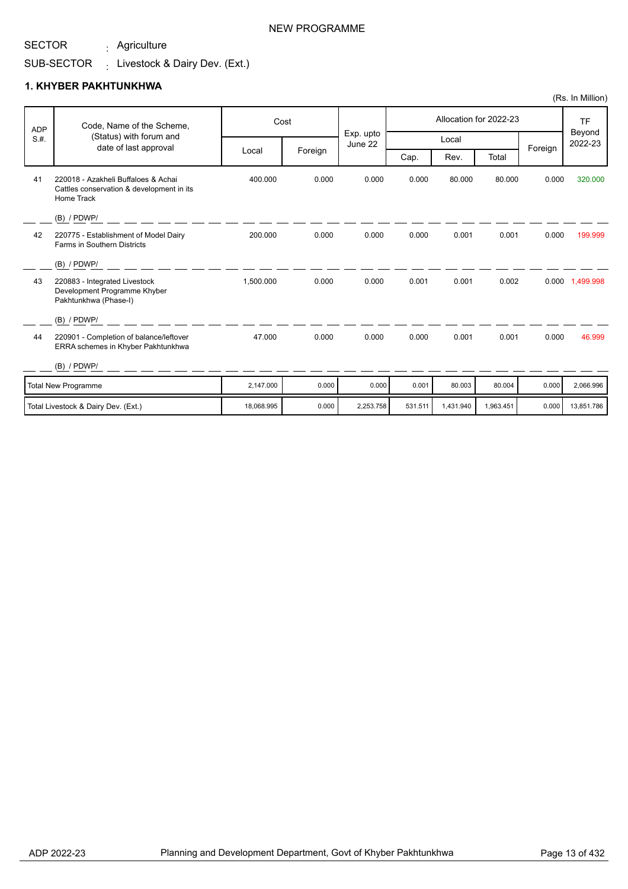Agriculture :

### NEW PROGRAMME

# SUB-SECTOR  $\qquad \colon$  Livestock & Dairy Dev. (Ext.)

|            |                                                                                                |            |         |                      |         |           |                        |         | (Rs. In Million)  |
|------------|------------------------------------------------------------------------------------------------|------------|---------|----------------------|---------|-----------|------------------------|---------|-------------------|
| <b>ADP</b> | Code, Name of the Scheme,                                                                      |            | Cost    |                      |         |           | Allocation for 2022-23 |         | <b>TF</b>         |
| S.H.       | (Status) with forum and<br>date of last approval                                               |            |         | Exp. upto<br>June 22 |         | Local     |                        |         | Beyond<br>2022-23 |
|            |                                                                                                | Local      | Foreign |                      | Cap.    | Rev.      | Total                  | Foreign |                   |
| 41         | 220018 - Azakheli Buffaloes & Achai<br>Cattles conservation & development in its<br>Home Track | 400.000    | 0.000   | 0.000                | 0.000   | 80.000    | 80.000                 | 0.000   | 320,000           |
|            | $(B)$ / PDWP/                                                                                  |            |         |                      |         |           |                        |         |                   |
| 42         | 220775 - Establishment of Model Dairy<br>Farms in Southern Districts                           | 200.000    | 0.000   | 0.000                | 0.000   | 0.001     | 0.001                  | 0.000   | 199.999           |
|            | (B) / PDWP/                                                                                    |            |         |                      |         |           |                        |         |                   |
| 43         | 220883 - Integrated Livestock<br>Development Programme Khyber<br>Pakhtunkhwa (Phase-I)         | 1,500.000  | 0.000   | 0.000                | 0.001   | 0.001     | 0.002                  |         | 0.000 1,499.998   |
|            | (B) / PDWP/                                                                                    |            |         |                      |         |           |                        |         |                   |
| 44         | 220901 - Completion of balance/leftover<br>ERRA schemes in Khyber Pakhtunkhwa                  | 47.000     | 0.000   | 0.000                | 0.000   | 0.001     | 0.001                  | 0.000   | 46.999            |
|            | $(B)$ / PDWP/                                                                                  |            |         |                      |         |           |                        |         |                   |
|            | <b>Total New Programme</b>                                                                     | 2.147.000  | 0.000   | 0.000                | 0.001   | 80.003    | 80.004                 | 0.000   | 2.066.996         |
|            | Total Livestock & Dairy Dev. (Ext.)                                                            | 18.068.995 | 0.000   | 2,253.758            | 531.511 | 1,431.940 | 1,963.451              | 0.000   | 13,851.786        |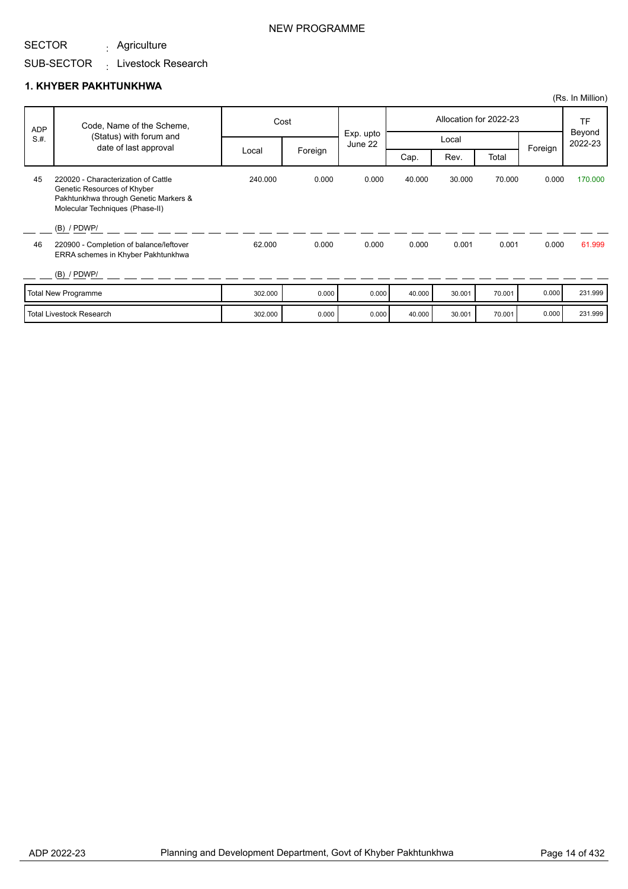Agriculture :

## SUB-SECTOR <sub>:</sub> Livestock Research

|      |                                                                                                                                                |         |         |                      |        |        |                        |         | (Rs. In Million)  |
|------|------------------------------------------------------------------------------------------------------------------------------------------------|---------|---------|----------------------|--------|--------|------------------------|---------|-------------------|
| ADP  | Code, Name of the Scheme,                                                                                                                      |         | Cost    |                      |        |        | Allocation for 2022-23 |         | <b>TF</b>         |
| S.H. | (Status) with forum and<br>date of last approval                                                                                               |         |         | Exp. upto<br>June 22 |        | Local  |                        | Foreign | Beyond<br>2022-23 |
|      |                                                                                                                                                | Local   | Foreign |                      | Cap.   | Rev.   | Total                  |         |                   |
| 45   | 220020 - Characterization of Cattle<br>Genetic Resources of Khyber<br>Pakhtunkhwa through Genetic Markers &<br>Molecular Techniques (Phase-II) | 240.000 | 0.000   | 0.000                | 40.000 | 30.000 | 70.000                 | 0.000   | 170.000           |
|      | $(B)$ / PDWP/                                                                                                                                  |         |         |                      |        |        |                        |         |                   |
| 46   | 220900 - Completion of balance/leftover<br>ERRA schemes in Khyber Pakhtunkhwa                                                                  | 62.000  | 0.000   | 0.000                | 0.000  | 0.001  | 0.001                  | 0.000   | 61.999            |
|      | $(B)$ / PDWP/                                                                                                                                  |         |         |                      |        |        |                        |         |                   |
|      | Total New Programme                                                                                                                            | 302.000 | 0.000   | 0.000                | 40.000 | 30.001 | 70.001                 | 0.000   | 231.999           |
|      | <b>Total Livestock Research</b>                                                                                                                | 302.000 | 0.000   | 0.000                | 40.000 | 30.001 | 70.001                 | 0.000   | 231.999           |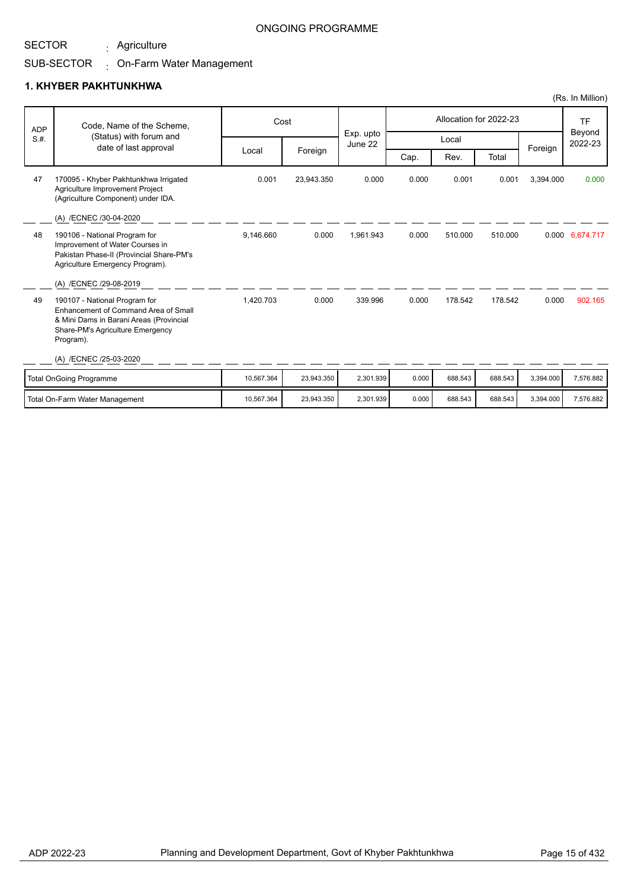Agriculture :

### ONGOING PROGRAMME

# SUB-SECTOR On-Farm Water Management :

|            |                                                                                                                                                                                                     |            |            |                      |       |         |                        |           | (Rs. In Million)               |
|------------|-----------------------------------------------------------------------------------------------------------------------------------------------------------------------------------------------------|------------|------------|----------------------|-------|---------|------------------------|-----------|--------------------------------|
| <b>ADP</b> | Code, Name of the Scheme,                                                                                                                                                                           |            | Cost       |                      |       |         | Allocation for 2022-23 |           | <b>TF</b><br>Beyond<br>2022-23 |
| S.H.       | (Status) with forum and<br>date of last approval                                                                                                                                                    |            |            | Exp. upto<br>June 22 |       | Local   |                        |           |                                |
|            |                                                                                                                                                                                                     | Local      | Foreign    |                      | Cap.  | Rev.    | Total                  | Foreign   |                                |
| 47         | 170095 - Khyber Pakhtunkhwa Irrigated<br>Agriculture Improvement Project<br>(Agriculture Component) under IDA.                                                                                      | 0.001      | 23,943.350 | 0.000                | 0.000 | 0.001   | 0.001                  | 3,394.000 | 0.000                          |
| 48         | (A) /ECNEC /30-04-2020<br>190106 - National Program for<br>Improvement of Water Courses in<br>Pakistan Phase-II (Provincial Share-PM's<br>Agriculture Emergency Program).<br>(A) /ECNEC /29-08-2019 | 9,146.660  | 0.000      | 1,961.943            | 0.000 | 510.000 | 510.000                |           | 0.000 6,674.717                |
| 49         | 190107 - National Program for<br>Enhancement of Command Area of Small<br>& Mini Dams in Barani Areas (Provincial<br>Share-PM's Agriculture Emergency<br>Program).<br>(A) /ECNEC /25-03-2020         | 1,420.703  | 0.000      | 339.996              | 0.000 | 178.542 | 178.542                | 0.000     | 902.165                        |
|            |                                                                                                                                                                                                     |            |            |                      |       |         |                        |           |                                |
|            | <b>Total OnGoing Programme</b>                                                                                                                                                                      | 10,567.364 | 23,943.350 | 2,301.939            | 0.000 | 688.543 | 688.543                | 3,394.000 | 7,576.882                      |
|            | Total On-Farm Water Management                                                                                                                                                                      | 10.567.364 | 23,943.350 | 2.301.939            | 0.000 | 688.543 | 688.543                | 3,394.000 | 7,576.882                      |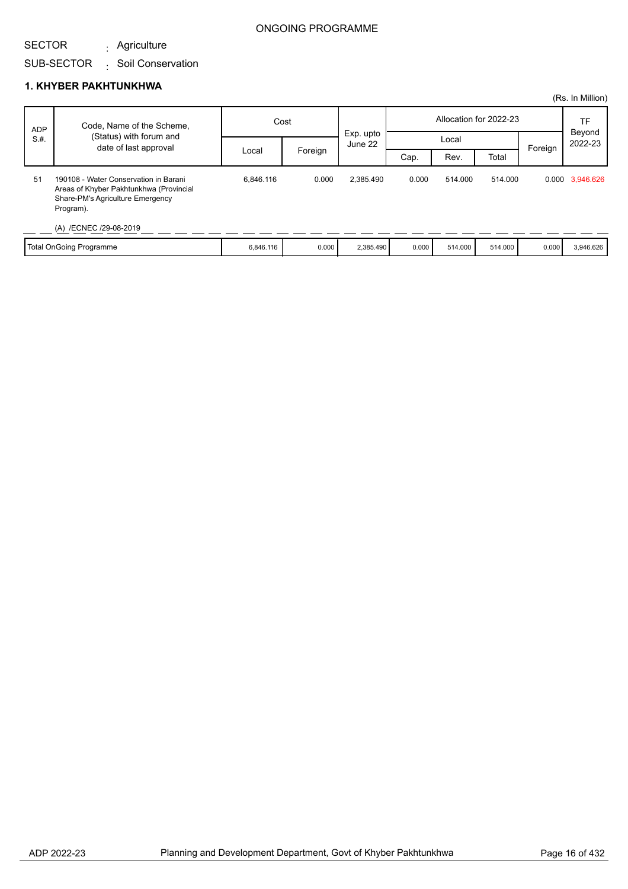# SUB-SECTOR Soil Conservation : Agriculture :

## **1. KHYBER PAKHTUNKHWA**

SECTOR

|            |                                                                                                                                                             |           |         |           |       |                        |         |              | (Rs. In Million) |
|------------|-------------------------------------------------------------------------------------------------------------------------------------------------------------|-----------|---------|-----------|-------|------------------------|---------|--------------|------------------|
| <b>ADP</b> | Code, Name of the Scheme,                                                                                                                                   | Cost      |         | Exp. upto |       | Allocation for 2022-23 |         | TF<br>Beyond |                  |
| S.H.       | (Status) with forum and<br>date of last approval                                                                                                            |           |         | June 22   | Local |                        |         | Foreign      | 2022-23          |
|            |                                                                                                                                                             | Local     | Foreign |           | Cap.  | Rev.                   | Total   |              |                  |
| 51         | 190108 - Water Conservation in Barani<br>Areas of Khyber Pakhtunkhwa (Provincial<br>Share-PM's Agriculture Emergency<br>Program).<br>(A) /ECNEC /29-08-2019 | 6.846.116 | 0.000   | 2,385.490 | 0.000 | 514.000                | 514.000 |              | 0.000 3,946.626  |
|            | Total OnGoing Programme                                                                                                                                     | 6,846.116 | 0.000   | 2,385.490 | 0.000 | 514.000                | 514.000 | 0.000        | 3,946.626        |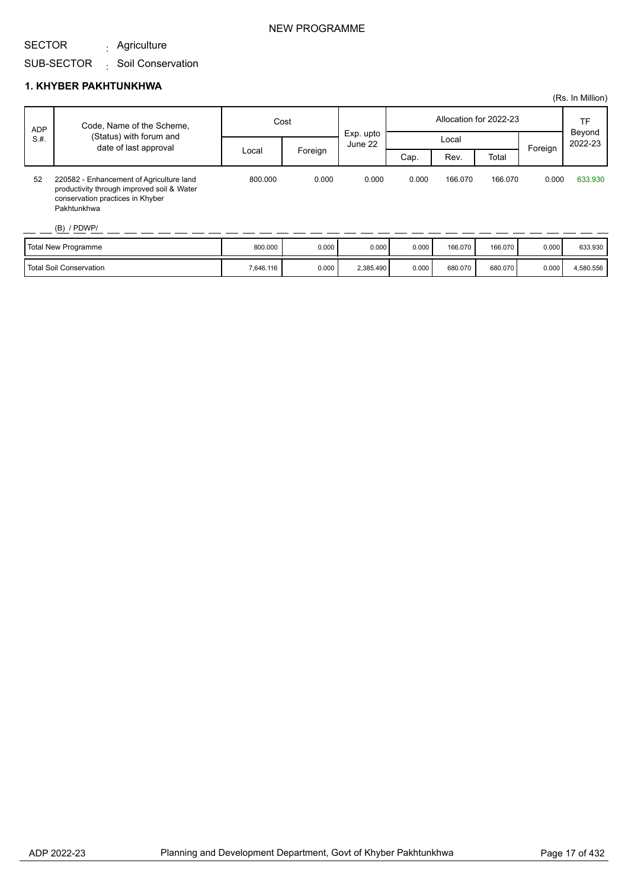Agriculture :

SUB-SECTOR Soil Conservation :

|            |                                                                                                                                                            |         |         |                      |                        |         |         |         | (Rs. In Million)  |
|------------|------------------------------------------------------------------------------------------------------------------------------------------------------------|---------|---------|----------------------|------------------------|---------|---------|---------|-------------------|
| <b>ADP</b> | Code, Name of the Scheme,                                                                                                                                  | Cost    |         |                      | Allocation for 2022-23 |         |         |         | TF                |
| S.H.       | (Status) with forum and                                                                                                                                    |         |         | Exp. upto<br>June 22 |                        | Local   |         |         | Beyond<br>2022-23 |
|            | date of last approval                                                                                                                                      | Local   | Foreign |                      | Cap.                   | Rev.    | Total   | Foreign |                   |
| 52         | 220582 - Enhancement of Agriculture land<br>productivity through improved soil & Water<br>conservation practices in Khyber<br>Pakhtunkhwa<br>$(B)$ / PDWP/ | 800.000 | 0.000   | 0.000                | 0.000                  | 166.070 | 166.070 | 0.000   | 633.930           |
|            |                                                                                                                                                            | 0.00000 | 0.000   | 0.000                | 0.000                  | 100.270 | 100.070 | 0.000   | 000000            |

| Total New Programme            | 800.000   | 0.000 | 0.000     | 0.000 | 166.070 | 166.070 | 0.000 | 633.930   |
|--------------------------------|-----------|-------|-----------|-------|---------|---------|-------|-----------|
| <b>Total Soil Conservation</b> | 7,646.116 | 0.000 | 2,385.490 | 0.000 | 680.070 | 680.070 | 0.000 | 4,580.556 |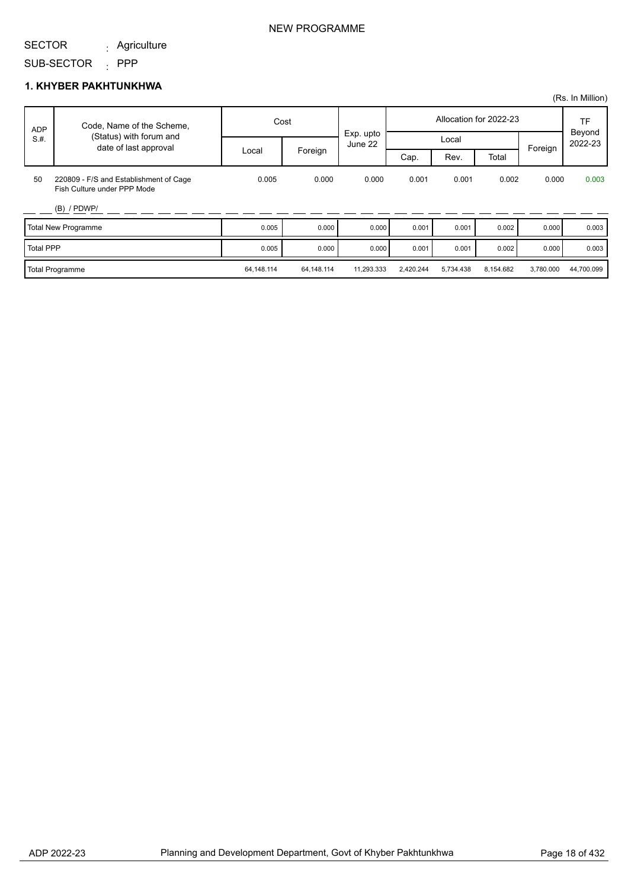#### SECTOR Agriculture :

### NEW PROGRAMME

### SUB-SECTOR : PPP

|                  |                                                                       |            |            |                      |           |           |                        |           | (Rs. In Million)        |
|------------------|-----------------------------------------------------------------------|------------|------------|----------------------|-----------|-----------|------------------------|-----------|-------------------------|
| ADP              | Code, Name of the Scheme,                                             |            | Cost       |                      |           |           | Allocation for 2022-23 |           | TF<br>Beyond<br>2022-23 |
| S.H.             | (Status) with forum and<br>date of last approval                      |            |            | Exp. upto<br>June 22 |           | Local     |                        | Foreign   |                         |
|                  |                                                                       | Local      | Foreign    |                      | Cap.      | Rev.      | Total                  |           |                         |
| 50               | 220809 - F/S and Establishment of Cage<br>Fish Culture under PPP Mode | 0.005      | 0.000      | 0.000                | 0.001     | 0.001     | 0.002                  | 0.000     | 0.003                   |
|                  | $(B)$ / PDWP/                                                         |            |            |                      |           |           |                        |           |                         |
|                  | Total New Programme                                                   | 0.005      | 0.000      | 0.000                | 0.001     | 0.001     | 0.002                  | 0.000     | 0.003                   |
| <b>Total PPP</b> |                                                                       | 0.005      | 0.000      | 0.000                | 0.001     | 0.001     | 0.002                  | 0.000     | 0.003                   |
|                  | <b>Total Programme</b>                                                | 64,148.114 | 64,148.114 | 11.293.333           | 2,420.244 | 5,734.438 | 8,154.682              | 3,780.000 | 44,700.099              |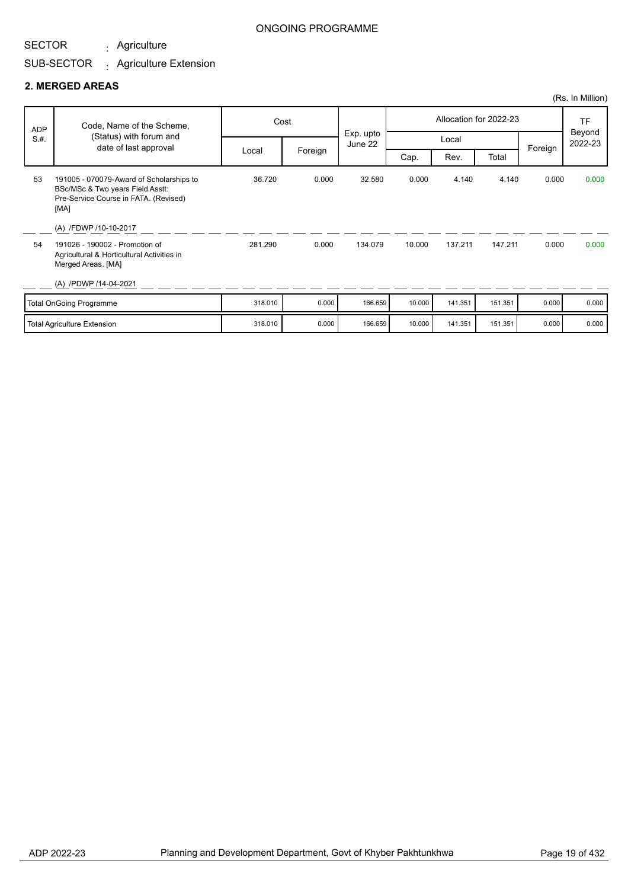Agriculture :

### ONGOING PROGRAMME

# SUB-SECTOR <sub>:</sub> Agriculture Extension

### **2. MERGED AREAS**

|            |                                                                                                                               |         |         |                      |        |         |                        |         | (Rs. In Million)  |
|------------|-------------------------------------------------------------------------------------------------------------------------------|---------|---------|----------------------|--------|---------|------------------------|---------|-------------------|
| <b>ADP</b> | Code, Name of the Scheme,                                                                                                     | Cost    |         |                      |        |         | Allocation for 2022-23 |         | TF                |
| S.H.       | (Status) with forum and<br>date of last approval                                                                              |         |         | Exp. upto<br>June 22 |        | Local   |                        |         | Beyond<br>2022-23 |
|            |                                                                                                                               | Local   | Foreign |                      | Cap.   | Rev.    | Total                  | Foreign |                   |
| 53         | 191005 - 070079-Award of Scholarships to<br>BSc/MSc & Two years Field Asstt:<br>Pre-Service Course in FATA. (Revised)<br>[MA] | 36.720  | 0.000   | 32.580               | 0.000  | 4.140   | 4.140                  | 0.000   | 0.000             |
|            | (A) /FDWP /10-10-2017                                                                                                         |         |         |                      |        |         |                        |         |                   |
| 54         | 191026 - 190002 - Promotion of<br>Agricultural & Horticultural Activities in<br>Merged Areas. [MA]                            | 281.290 | 0.000   | 134.079              | 10.000 | 137.211 | 147.211                | 0.000   | 0.000             |
|            | (A) /PDWP /14-04-2021                                                                                                         |         |         |                      |        |         |                        |         |                   |
|            | Total OnGoing Programme                                                                                                       | 318.010 | 0.000   | 166.659              | 10.000 | 141.351 | 151.351                | 0.000   | 0.000             |
|            | Total Agriculture Extension                                                                                                   | 318.010 | 0.000   | 166.659              | 10.000 | 141.351 | 151.351                | 0.000   | 0.000             |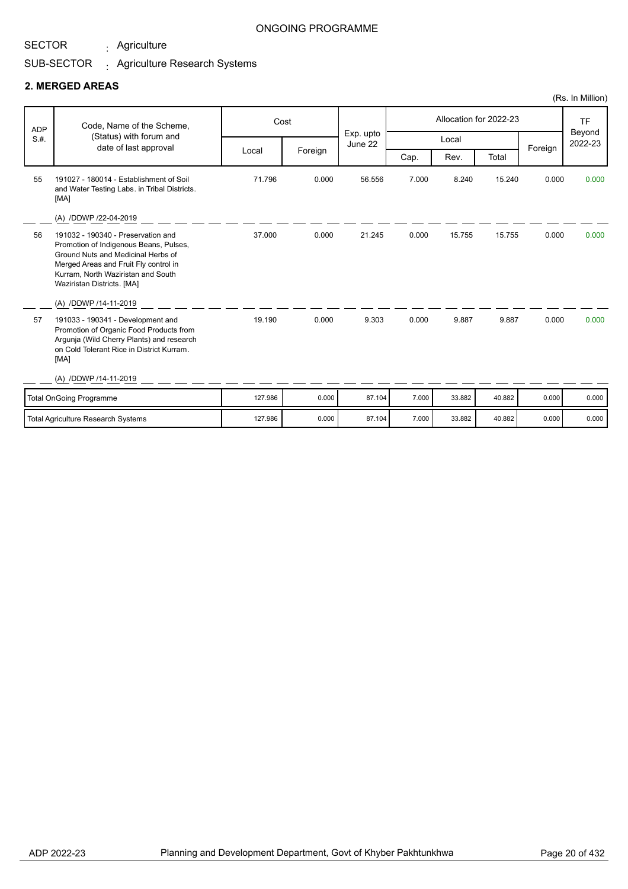Agriculture :

### ONGOING PROGRAMME

#### SUB-SECTOR . Agriculture Research Systems

### **2. MERGED AREAS**

|            |                                                                                                                                                                                                                                 |         |         |                      |       |        |                        |         | (Rs. In Million)               |
|------------|---------------------------------------------------------------------------------------------------------------------------------------------------------------------------------------------------------------------------------|---------|---------|----------------------|-------|--------|------------------------|---------|--------------------------------|
| <b>ADP</b> | Code, Name of the Scheme,                                                                                                                                                                                                       | Cost    |         |                      |       |        | Allocation for 2022-23 |         | <b>TF</b><br>Beyond<br>2022-23 |
| S.H.       | (Status) with forum and<br>date of last approval                                                                                                                                                                                |         |         | Exp. upto<br>June 22 |       | Local  |                        | Foreign |                                |
|            |                                                                                                                                                                                                                                 | Local   | Foreign |                      | Cap.  | Rev.   | Total                  |         |                                |
| 55         | 191027 - 180014 - Establishment of Soil<br>and Water Testing Labs. in Tribal Districts.<br>[MA]                                                                                                                                 | 71.796  | 0.000   | 56.556               | 7.000 | 8.240  | 15.240                 | 0.000   | 0.000                          |
|            | (A) /DDWP /22-04-2019                                                                                                                                                                                                           |         |         |                      |       |        |                        |         |                                |
| 56         | 191032 - 190340 - Preservation and<br>Promotion of Indigenous Beans, Pulses,<br>Ground Nuts and Medicinal Herbs of<br>Merged Areas and Fruit Fly control in<br>Kurram, North Waziristan and South<br>Waziristan Districts. [MA] | 37.000  | 0.000   | 21.245               | 0.000 | 15.755 | 15.755                 | 0.000   | 0.000                          |
| 57         | (A) /DDWP /14-11-2019<br>191033 - 190341 - Development and<br>Promotion of Organic Food Products from<br>Argunja (Wild Cherry Plants) and research<br>on Cold Tolerant Rice in District Kurram.<br>[MA]                         | 19.190  | 0.000   | 9.303                | 0.000 | 9.887  | 9.887                  | 0.000   | 0.000                          |
|            | (A) /DDWP /14-11-2019                                                                                                                                                                                                           |         |         |                      |       |        |                        |         |                                |
|            | <b>Total OnGoing Programme</b>                                                                                                                                                                                                  | 127.986 | 0.000   | 87.104               | 7.000 | 33.882 | 40.882                 | 0.000   | 0.000                          |
|            | <b>Total Agriculture Research Systems</b>                                                                                                                                                                                       | 127.986 | 0.000   | 87.104               | 7.000 | 33.882 | 40.882                 | 0.000   | 0.000                          |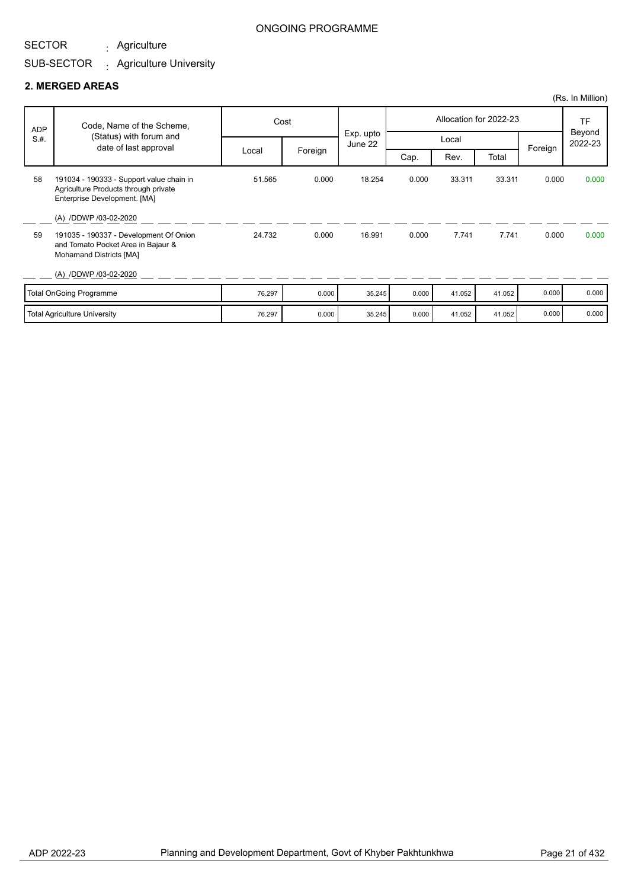#### SECTOR Agriculture :

#### SUB-SECTOR Agriculture University :

### **2. MERGED AREAS**

| <b>ADP</b><br>S.H. | Code, Name of the Scheme,<br>(Status) with forum and                                                             |        | Cost    | Exp. upto |       |        | Allocation for 2022-23 |         | TF<br>Beyond<br>2022-23 |
|--------------------|------------------------------------------------------------------------------------------------------------------|--------|---------|-----------|-------|--------|------------------------|---------|-------------------------|
|                    | date of last approval                                                                                            |        |         | June 22   |       | Local  |                        | Foreign |                         |
|                    |                                                                                                                  | Local  | Foreign |           | Cap.  | Rev.   | Total                  |         |                         |
| 58                 | 191034 - 190333 - Support value chain in<br>Agriculture Products through private<br>Enterprise Development. [MA] | 51.565 | 0.000   | 18.254    | 0.000 | 33.311 | 33.311                 | 0.000   | 0.000                   |
|                    | (A) /DDWP /03-02-2020                                                                                            |        |         |           |       |        |                        |         |                         |
| 59                 | 191035 - 190337 - Development Of Onion<br>and Tomato Pocket Area in Bajaur &<br>Mohamand Districts [MA]          | 24.732 | 0.000   | 16.991    | 0.000 | 7.741  | 7.741                  | 0.000   | 0.000                   |
|                    | (A) /DDWP /03-02-2020                                                                                            |        |         |           |       |        |                        |         |                         |
|                    | Total OnGoing Programme                                                                                          | 76.297 | 0.000   | 35.245    | 0.000 | 41.052 | 41.052                 | 0.000   | 0.000                   |
|                    | <b>Total Agriculture University</b>                                                                              | 76.297 | 0.000   | 35.245    | 0.000 | 41.052 | 41.052                 | 0.000   | 0.000                   |

(Rs. In Million)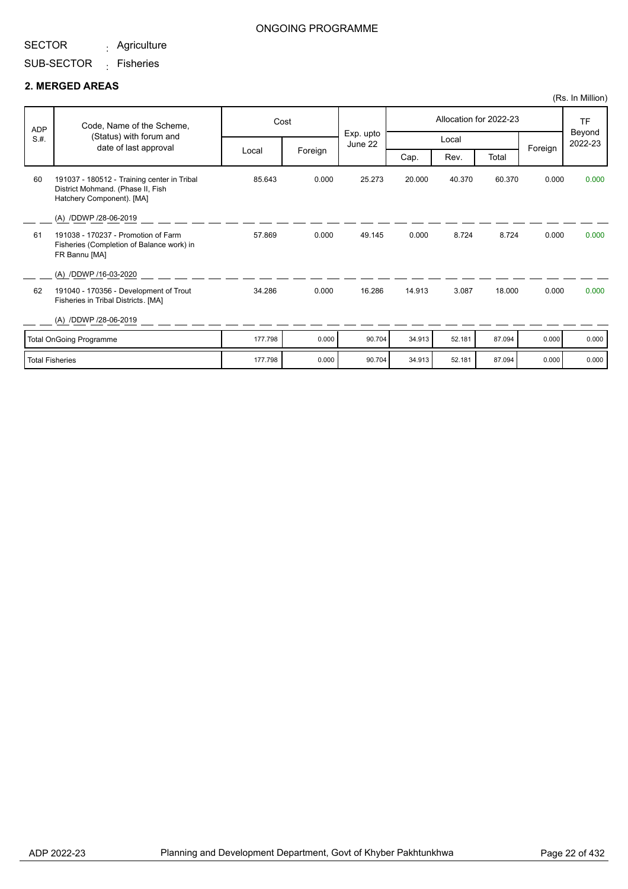Agriculture :

### ONGOING PROGRAMME

# SUB-SECTOR <sub>:</sub> Fisheries

### **2. MERGED AREAS**

|                        |                                                                                                               |         |         |                      |        |        |                        |         | (Rs. In Million)  |
|------------------------|---------------------------------------------------------------------------------------------------------------|---------|---------|----------------------|--------|--------|------------------------|---------|-------------------|
| ADP                    | Code, Name of the Scheme,                                                                                     |         | Cost    |                      |        |        | Allocation for 2022-23 |         | <b>TF</b>         |
| S.H.                   | (Status) with forum and<br>date of last approval                                                              |         |         | Exp. upto<br>June 22 |        | Local  |                        | Foreign | Beyond<br>2022-23 |
|                        |                                                                                                               | Local   | Foreign |                      | Cap.   | Rev.   | Total                  |         |                   |
| 60                     | 191037 - 180512 - Training center in Tribal<br>District Mohmand. (Phase II, Fish<br>Hatchery Component). [MA] | 85.643  | 0.000   | 25.273               | 20.000 | 40.370 | 60.370                 | 0.000   | 0.000             |
|                        | (A) /DDWP /28-06-2019                                                                                         |         |         |                      |        |        |                        |         |                   |
| 61                     | 191038 - 170237 - Promotion of Farm<br>Fisheries (Completion of Balance work) in<br>FR Bannu [MA]             | 57.869  | 0.000   | 49.145               | 0.000  | 8.724  | 8.724                  | 0.000   | 0.000             |
|                        | (A) /DDWP /16-03-2020                                                                                         |         |         |                      |        |        |                        |         |                   |
| 62                     | 191040 - 170356 - Development of Trout<br>Fisheries in Tribal Districts. [MA]                                 | 34.286  | 0.000   | 16.286               | 14.913 | 3.087  | 18.000                 | 0.000   | 0.000             |
|                        | (A) /DDWP /28-06-2019                                                                                         |         |         |                      |        |        |                        |         |                   |
|                        | <b>Total OnGoing Programme</b>                                                                                | 177.798 | 0.000   | 90.704               | 34.913 | 52.181 | 87.094                 | 0.000   | 0.000             |
| <b>Total Fisheries</b> |                                                                                                               | 177.798 | 0.000   | 90.704               | 34.913 | 52.181 | 87.094                 | 0.000   | 0.000             |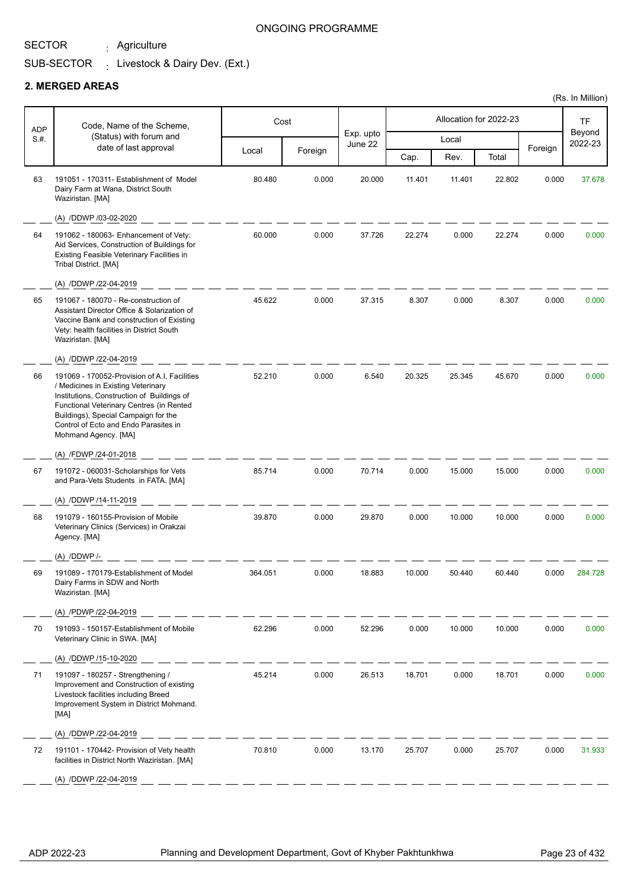Agriculture :

### ONGOING PROGRAMME

#### SUB-SECTOR  $\frac{1}{2}$  Livestock & Dairy Dev. (Ext.)

### **2. MERGED AREAS**

|            |                                                                                                                                                                                                                                                                                       |         |         |           |        |                        |        |         | (Rs. In Million)    |
|------------|---------------------------------------------------------------------------------------------------------------------------------------------------------------------------------------------------------------------------------------------------------------------------------------|---------|---------|-----------|--------|------------------------|--------|---------|---------------------|
| <b>ADP</b> | Code, Name of the Scheme,                                                                                                                                                                                                                                                             |         | Cost    | Exp. upto |        | Allocation for 2022-23 |        |         | <b>TF</b><br>Beyond |
| S.H.       | (Status) with forum and<br>date of last approval                                                                                                                                                                                                                                      |         |         | June 22   |        | Local                  |        | Foreign | 2022-23             |
|            |                                                                                                                                                                                                                                                                                       | Local   | Foreign |           | Cap.   | Rev.                   | Total  |         |                     |
| 63         | 191051 - 170311- Establishment of Model<br>Dairy Farm at Wana, District South<br>Waziristan. [MA]                                                                                                                                                                                     | 80.480  | 0.000   | 20.000    | 11.401 | 11.401                 | 22.802 | 0.000   | 37.678              |
|            | (A) /DDWP /03-02-2020                                                                                                                                                                                                                                                                 |         |         |           |        |                        |        |         |                     |
| 64         | 191062 - 180063- Enhancement of Vety:<br>Aid Services, Construction of Buildings for<br>Existing Feasible Veterinary Facilities in<br>Tribal District. [MA]                                                                                                                           | 60.000  | 0.000   | 37.726    | 22.274 | 0.000                  | 22.274 | 0.000   | 0.000               |
|            | (A) /DDWP /22-04-2019                                                                                                                                                                                                                                                                 |         |         |           |        |                        |        |         |                     |
| 65         | 191067 - 180070 - Re-construction of<br>Assistant Director Office & Solarization of<br>Vaccine Bank and construction of Existing<br>Vety: health facilities in District South<br>Waziristan. [MA]                                                                                     | 45.622  | 0.000   | 37.315    | 8.307  | 0.000                  | 8.307  | 0.000   | 0.000               |
|            | (A) /DDWP /22-04-2019                                                                                                                                                                                                                                                                 |         |         |           |        |                        |        |         |                     |
| 66         | 191069 - 170052-Provision of A.I. Facilities<br>/ Medicines in Existing Veterinary<br>Institutions, Construction of Buildings of<br>Functional Veterinary Centres (in Rented<br>Buildings), Special Campaign for the<br>Control of Ecto and Endo Parasites in<br>Mohmand Agency. [MA] | 52.210  | 0.000   | 6.540     | 20.325 | 25.345                 | 45.670 | 0.000   | 0.000               |
|            | (A) /FDWP /24-01-2018                                                                                                                                                                                                                                                                 |         |         |           |        |                        |        |         |                     |
| 67         | 191072 - 060031-Scholarships for Vets<br>and Para-Vets Students in FATA. [MA]                                                                                                                                                                                                         | 85.714  | 0.000   | 70.714    | 0.000  | 15.000                 | 15.000 | 0.000   | 0.000               |
|            | (A) /DDWP /14-11-2019                                                                                                                                                                                                                                                                 |         |         |           |        |                        |        |         |                     |
| 68         | 191079 - 160155-Provision of Mobile<br>Veterinary Clinics (Services) in Orakzai<br>Agency. [MA]                                                                                                                                                                                       | 39.870  | 0.000   | 29.870    | 0.000  | 10.000                 | 10.000 | 0.000   | 0.000               |
|            | $(A)$ /DDWP /-                                                                                                                                                                                                                                                                        |         |         |           |        |                        |        |         |                     |
| 69         | 191089 - 170179-Establishment of Model<br>Dairy Farms in SDW and North<br>Waziristan. [MA]                                                                                                                                                                                            | 364.051 | 0.000   | 18.883    | 10.000 | 50.440                 | 60.440 | 0.000   | 284.728             |
|            | (A) /PDWP /22-04-2019                                                                                                                                                                                                                                                                 |         |         |           |        |                        |        |         |                     |
| 70         | 191093 - 150157-Establishment of Mobile<br>Veterinary Clinic in SWA. [MA]                                                                                                                                                                                                             | 62.296  | 0.000   | 52.296    | 0.000  | 10.000                 | 10.000 | 0.000   | 0.000               |
|            | (A) /DDWP /15-10-2020                                                                                                                                                                                                                                                                 |         |         |           |        |                        |        |         |                     |
| 71         | 191097 - 180257 - Strengthening /<br>Improvement and Construction of existing<br>Livestock facilities including Breed<br>Improvement System in District Mohmand.<br>[MA]                                                                                                              | 45.214  | 0.000   | 26.513    | 18.701 | 0.000                  | 18.701 | 0.000   | 0.000               |
|            | (A) /DDWP /22-04-2019                                                                                                                                                                                                                                                                 |         |         |           |        |                        |        |         |                     |
| 72         | 191101 - 170442- Provision of Vety health<br>facilities in District North Waziristan. [MA]                                                                                                                                                                                            | 70.810  | 0.000   | 13.170    | 25.707 | 0.000                  | 25.707 | 0.000   | 31.933              |
|            | (A) /DDWP /22-04-2019                                                                                                                                                                                                                                                                 |         |         |           |        |                        |        |         |                     |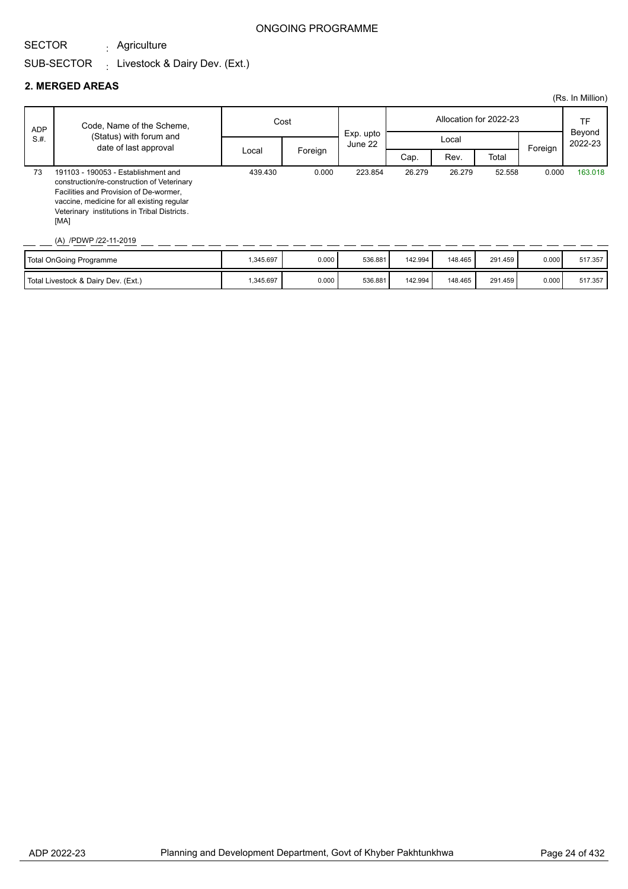# SECTOR

Agriculture :

#### SUB-SECTOR  $\frac{1}{2}$  Livestock & Dairy Dev. (Ext.)

## **2. MERGED AREAS**

|            |                                                                                                                                                                                                                                                            |           |         |                        |         |         |         |         | (Rs. In Million)  |
|------------|------------------------------------------------------------------------------------------------------------------------------------------------------------------------------------------------------------------------------------------------------------|-----------|---------|------------------------|---------|---------|---------|---------|-------------------|
| <b>ADP</b> | Code, Name of the Scheme,                                                                                                                                                                                                                                  | Cost      |         | Allocation for 2022-23 |         |         | TF      |         |                   |
| S.H.       | (Status) with forum and<br>date of last approval                                                                                                                                                                                                           |           |         | Exp. upto<br>June 22   |         | Local   |         |         | Beyond<br>2022-23 |
|            |                                                                                                                                                                                                                                                            | Local     | Foreign |                        | Cap.    | Rev.    | Total   | Foreign |                   |
| 73         | 191103 - 190053 - Establishment and<br>construction/re-construction of Veterinary<br>Facilities and Provision of De-wormer,<br>vaccine, medicine for all existing regular<br>Veterinary institutions in Tribal Districts.<br>[MA]<br>(A) /PDWP /22-11-2019 | 439.430   | 0.000   | 223.854                | 26.279  | 26.279  | 52.558  | 0.000   | 163.018           |
|            | Total OnGoing Programme                                                                                                                                                                                                                                    | 1,345.697 | 0.000   | 536.881                | 142.994 | 148.465 | 291.459 | 0.000   | 517.357           |

Total Livestock & Dairy Dev. (Ext.) 1,345.697 | 1,345.697 | 0.000 | 536.881 | 142.994 | 148.465 | 291.459 | 0.000 | 517.357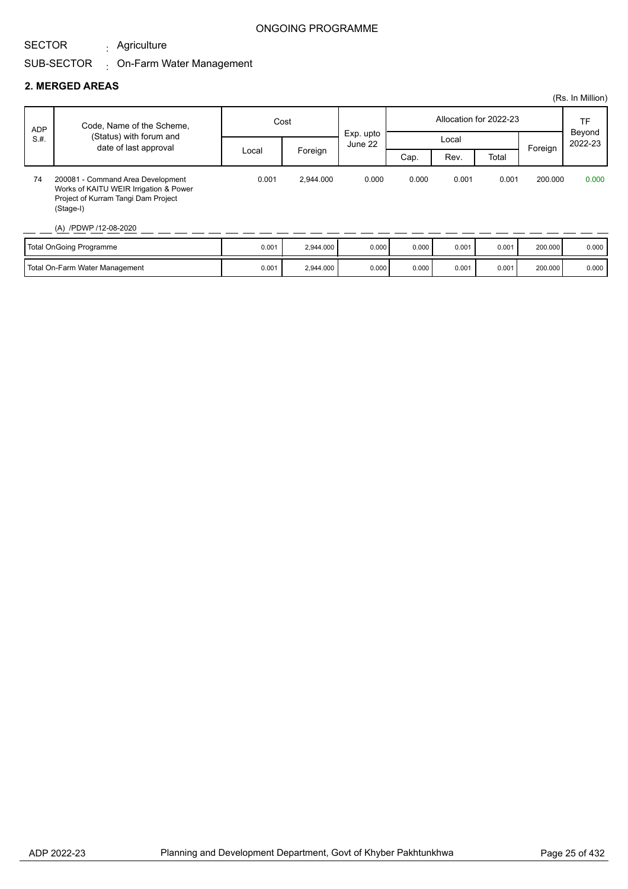Agriculture :

### ONGOING PROGRAMME

# SUB-SECTOR On-Farm Water Management :

### **2. MERGED AREAS**

|            |                                                                                                                                                          |       |           |                      |       |       |                        |         | (Rs. In Million)  |
|------------|----------------------------------------------------------------------------------------------------------------------------------------------------------|-------|-----------|----------------------|-------|-------|------------------------|---------|-------------------|
| <b>ADP</b> | Code, Name of the Scheme,                                                                                                                                | Cost  |           |                      |       |       | Allocation for 2022-23 |         | TF                |
| S.H.       | (Status) with forum and<br>date of last approval                                                                                                         |       |           | Exp. upto<br>June 22 |       | Local |                        | Foreign | Beyond<br>2022-23 |
|            |                                                                                                                                                          | Local | Foreign   |                      | Cap.  | Rev.  | Total                  |         |                   |
| 74         | 200081 - Command Area Development<br>Works of KAITU WEIR Irrigation & Power<br>Project of Kurram Tangi Dam Project<br>(Stage-I)<br>(A) /PDWP /12-08-2020 | 0.001 | 2.944.000 | 0.000                | 0.000 | 0.001 | 0.001                  | 200,000 | 0.000             |

| Total OnGoing Programme               | 0.001 | 2.944.000 | 0.000 | 0.000 | 0.001 | 0.001 | 200,000 | 0.000 |
|---------------------------------------|-------|-----------|-------|-------|-------|-------|---------|-------|
| <b>Total On-Farm Water Management</b> | 0.001 | 2,944.000 | 0.000 | 0.000 | 0.001 | 0.001 | 200.000 | 0.000 |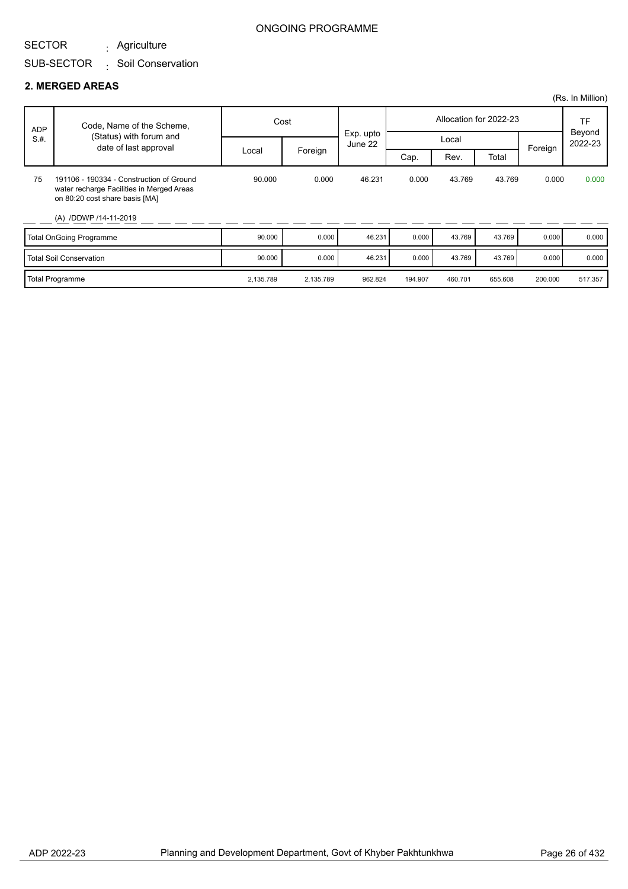#### SECTOR Agriculture :

## SUB-SECTOR Soil Conservation :

### **2. MERGED AREAS**

|            |                                                                                                                                                  |           |           |                      |         |         |                        |         | (Rs. In Million)        |
|------------|--------------------------------------------------------------------------------------------------------------------------------------------------|-----------|-----------|----------------------|---------|---------|------------------------|---------|-------------------------|
| <b>ADP</b> | Code, Name of the Scheme,                                                                                                                        |           | Cost      |                      |         |         | Allocation for 2022-23 |         | TF<br>Beyond<br>2022-23 |
| S.H.       | (Status) with forum and<br>date of last approval                                                                                                 |           |           | Exp. upto<br>June 22 |         | Local   |                        | Foreign |                         |
|            |                                                                                                                                                  | Local     | Foreign   |                      | Cap.    | Rev.    | Total                  |         |                         |
| 75         | 191106 - 190334 - Construction of Ground<br>water recharge Facilities in Merged Areas<br>on 80:20 cost share basis [MA]<br>(A) /DDWP /14-11-2019 | 90.000    | 0.000     | 46.231               | 0.000   | 43.769  | 43.769                 | 0.000   | 0.000                   |
|            | <b>Total OnGoing Programme</b>                                                                                                                   | 90.000    | 0.000     | 46.231               | 0.000   | 43.769  | 43.769                 | 0.000   | 0.000                   |
|            | <b>Total Soil Conservation</b>                                                                                                                   | 90.000    | 0.000     | 46.231               | 0.000   | 43.769  | 43.769                 | 0.000   | 0.000                   |
|            | <b>Total Programme</b>                                                                                                                           | 2,135.789 | 2,135.789 | 962.824              | 194.907 | 460.701 | 655.608                | 200.000 | 517.357                 |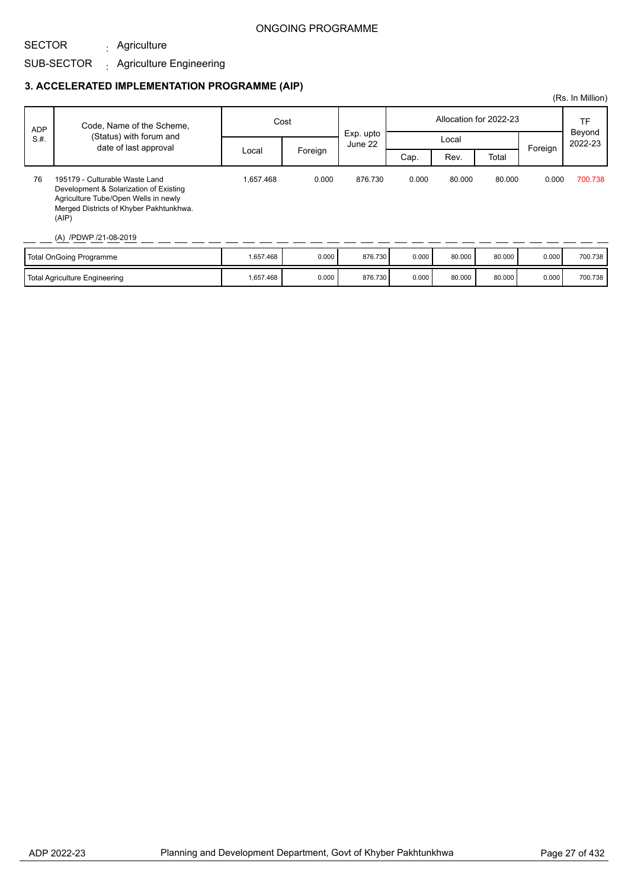# SECTOR

#### SUB-SECTOR Agriculture Engineering :

Agriculture :

### **3. ACCELERATED IMPLEMENTATION PROGRAMME (AIP)**

|            |                                                                                                                                                                                               |           |         |                      |                        |        |        |         | (Rs. In Million) |
|------------|-----------------------------------------------------------------------------------------------------------------------------------------------------------------------------------------------|-----------|---------|----------------------|------------------------|--------|--------|---------|------------------|
| <b>ADP</b> | Code, Name of the Scheme,                                                                                                                                                                     | Cost      |         |                      | Allocation for 2022-23 |        |        |         | TF<br>Beyond     |
| S.H.       | (Status) with forum and<br>date of last approval                                                                                                                                              |           |         | Exp. upto<br>June 22 |                        | Local  |        | Foreign | 2022-23          |
|            |                                                                                                                                                                                               | Local     | Foreign |                      | Cap.                   | Rev.   | Total  |         |                  |
| 76         | 195179 - Culturable Waste Land<br>Development & Solarization of Existing<br>Agriculture Tube/Open Wells in newly<br>Merged Districts of Khyber Pakhtunkhwa.<br>(AIP)<br>(A) /PDWP /21-08-2019 | 1.657.468 | 0.000   | 876.730              | 0.000                  | 80.000 | 80.000 | 0.000   | 700.738          |
|            | Total OnGoing Programme                                                                                                                                                                       | 1,657.468 | 0.000   | 876.730              | 0.000                  | 80.000 | 80.000 | 0.000   | 700.738          |

Total Agriculture Engineering 1,657.468 | 1,657.468 | 0.000 876.730 0.000 80.000 80.000 0.000 700.738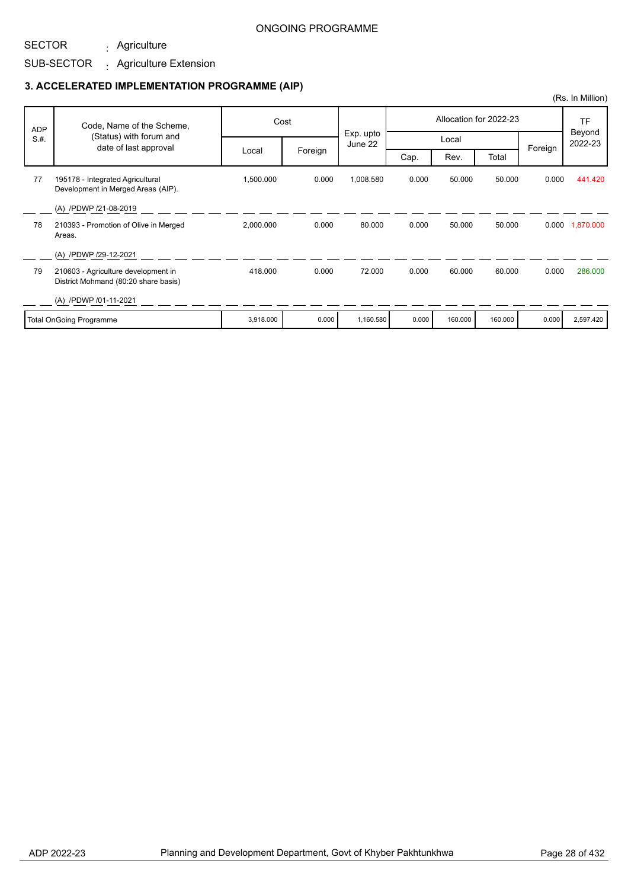## SUB-SECTOR <sub>:</sub> Agriculture Extension

Agriculture :

### **3. ACCELERATED IMPLEMENTATION PROGRAMME (AIP)**

| <b>ADP</b> | Code, Name of the Scheme,                                                   |           | Cost    |                               |       |         | Allocation for 2022-23 |         | TF<br>Beyond    |
|------------|-----------------------------------------------------------------------------|-----------|---------|-------------------------------|-------|---------|------------------------|---------|-----------------|
| S.H.       | (Status) with forum and<br>date of last approval                            |           |         | Exp. upto<br>Local<br>June 22 |       |         | 2022-23                |         |                 |
|            |                                                                             | Local     | Foreign |                               | Cap.  | Rev.    | Total                  | Foreign |                 |
| 77         | 195178 - Integrated Agricultural<br>Development in Merged Areas (AIP).      | 1,500.000 | 0.000   | 1,008.580                     | 0.000 | 50.000  | 50,000                 | 0.000   | 441.420         |
|            | (A) /PDWP /21-08-2019                                                       |           |         |                               |       |         |                        |         |                 |
| 78         | 210393 - Promotion of Olive in Merged<br>Areas.                             | 2,000.000 | 0.000   | 80.000                        | 0.000 | 50.000  | 50.000                 |         | 0.000 1,870.000 |
|            | (A) /PDWP /29-12-2021                                                       |           |         |                               |       |         |                        |         |                 |
| 79         | 210603 - Agriculture development in<br>District Mohmand (80:20 share basis) | 418.000   | 0.000   | 72.000                        | 0.000 | 60.000  | 60,000                 | 0.000   | 286,000         |
|            | (A) /PDWP /01-11-2021                                                       |           |         |                               |       |         |                        |         |                 |
|            | Total OnGoing Programme                                                     | 3,918.000 | 0.000   | 1,160.580                     | 0.000 | 160.000 | 160.000                | 0.000   | 2,597.420       |

(Rs. In Million)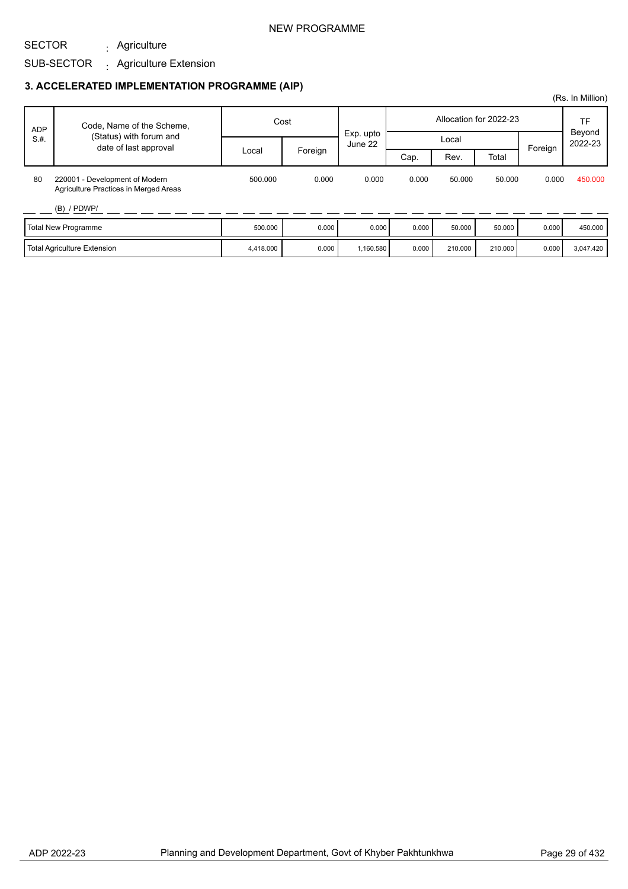### NEW PROGRAMME

# SECTOR

# SUB-SECTOR <sub>:</sub> Agriculture Extension

Agriculture :

|            |                                                                         |           |         |                      |       |                        |         |         | (Rs. In Million)  |
|------------|-------------------------------------------------------------------------|-----------|---------|----------------------|-------|------------------------|---------|---------|-------------------|
| <b>ADP</b> | Code, Name of the Scheme,                                               |           | Cost    |                      |       | Allocation for 2022-23 |         | TF      |                   |
| S.H.       | (Status) with forum and<br>date of last approval                        |           |         | Exp. upto<br>June 22 |       | Local                  |         | Foreign | Beyond<br>2022-23 |
|            |                                                                         | Local     | Foreign |                      | Cap.  | Rev.                   | Total   |         |                   |
| 80         | 220001 - Development of Modern<br>Agriculture Practices in Merged Areas | 500.000   | 0.000   | 0.000                | 0.000 | 50,000                 | 50.000  | 0.000   | 450.000           |
|            | $(B)$ / PDWP/                                                           |           |         |                      |       |                        |         |         |                   |
|            | Total New Programme                                                     | 500.000   | 0.000   | 0.000                | 0.000 | 50.000                 | 50.000  | 0.000   | 450.000           |
|            | <b>Total Agriculture Extension</b>                                      | 4,418.000 | 0.000   | 1,160.580            | 0.000 | 210.000                | 210,000 | 0.000   | 3,047.420         |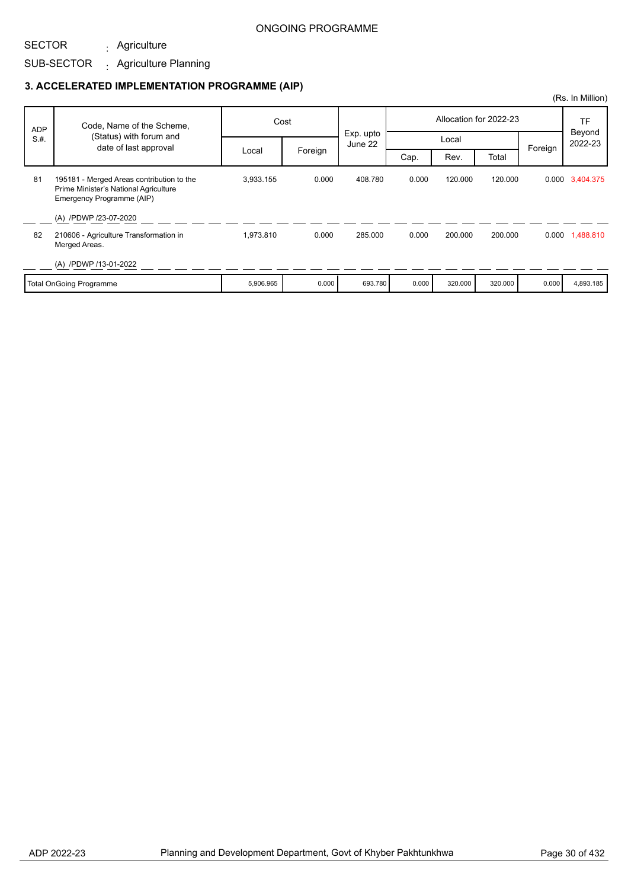### SUB-SECTOR Agriculture : Agriculture Planning :

SECTOR

|            |                                                                                                                 |           |         |                               |       |         |                        |                   | (Rs. In Million) |
|------------|-----------------------------------------------------------------------------------------------------------------|-----------|---------|-------------------------------|-------|---------|------------------------|-------------------|------------------|
| <b>ADP</b> | Code, Name of the Scheme,                                                                                       | Cost      |         |                               |       |         | Allocation for 2022-23 |                   | TF               |
| S.H.       | (Status) with forum and<br>date of last approval                                                                |           |         | Exp. upto<br>Local<br>June 22 |       |         | Foreign                | Beyond<br>2022-23 |                  |
|            |                                                                                                                 | Local     | Foreign |                               | Cap.  | Rev.    | Total                  |                   |                  |
| 81         | 195181 - Merged Areas contribution to the<br>Prime Minister's National Agriculture<br>Emergency Programme (AIP) | 3,933.155 | 0.000   | 408.780                       | 0.000 | 120.000 | 120.000                |                   | 0.000 3,404.375  |
|            | (A) /PDWP /23-07-2020                                                                                           |           |         |                               |       |         |                        |                   |                  |
| 82         | 210606 - Agriculture Transformation in<br>Merged Areas.                                                         | 1,973.810 | 0.000   | 285.000                       | 0.000 | 200.000 | 200.000                |                   | 0.000 1,488.810  |
|            | (A) /PDWP /13-01-2022                                                                                           |           |         |                               |       |         |                        |                   |                  |
|            | <b>Total OnGoing Programme</b>                                                                                  | 5,906.965 | 0.000   | 693.780                       | 0.000 | 320.000 | 320.000                | 0.000             | 4,893.185        |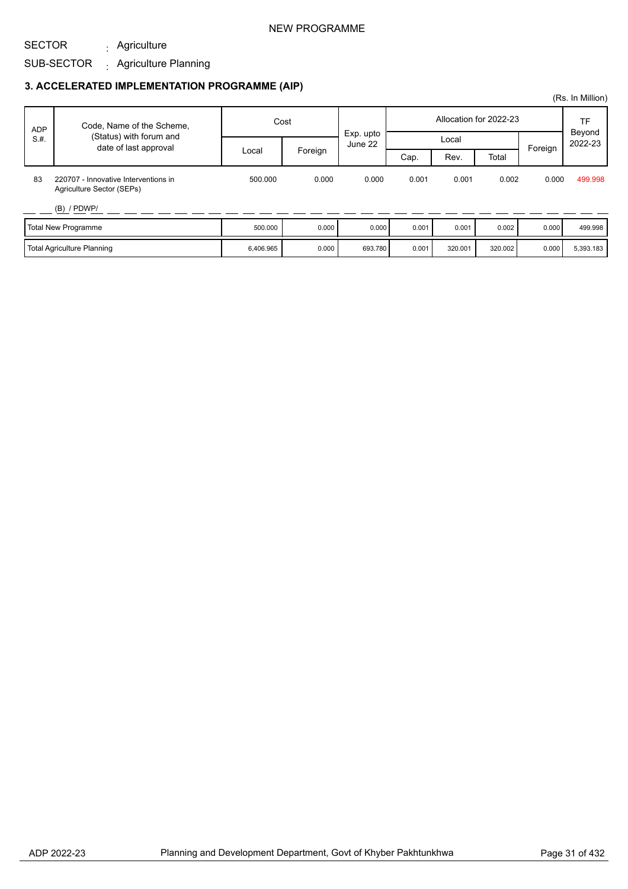### NEW PROGRAMME

#### SECTOR Agriculture :

# SUB-SECTOR Agriculture Planning :

|            |                                                                   |           |         |         |                        |         |         |       | (Rs. In Million) |                   |
|------------|-------------------------------------------------------------------|-----------|---------|---------|------------------------|---------|---------|-------|------------------|-------------------|
| <b>ADP</b> | Code, Name of the Scheme,                                         | Cost      |         |         | Allocation for 2022-23 |         |         |       | TF               |                   |
| S.H.       | (Status) with forum and<br>date of last approval                  |           |         | June 22 | Exp. upto              |         | Local   |       | Foreign          | Beyond<br>2022-23 |
|            |                                                                   | Local     | Foreign |         | Cap.                   | Rev.    | Total   |       |                  |                   |
| 83         | 220707 - Innovative Interventions in<br>Agriculture Sector (SEPs) | 500.000   | 0.000   | 0.000   | 0.001                  | 0.001   | 0.002   | 0.000 | 499.998          |                   |
|            | $(B)$ / PDWP/                                                     |           |         |         |                        |         |         |       |                  |                   |
|            | Total New Programme                                               | 500.000   | 0.000   | 0.000   | 0.001                  | 0.001   | 0.002   | 0.000 | 499.998          |                   |
|            | Total Agriculture Planning                                        | 6,406.965 | 0.000   | 693.780 | 0.001                  | 320.001 | 320.002 | 0.000 | 5,393.183        |                   |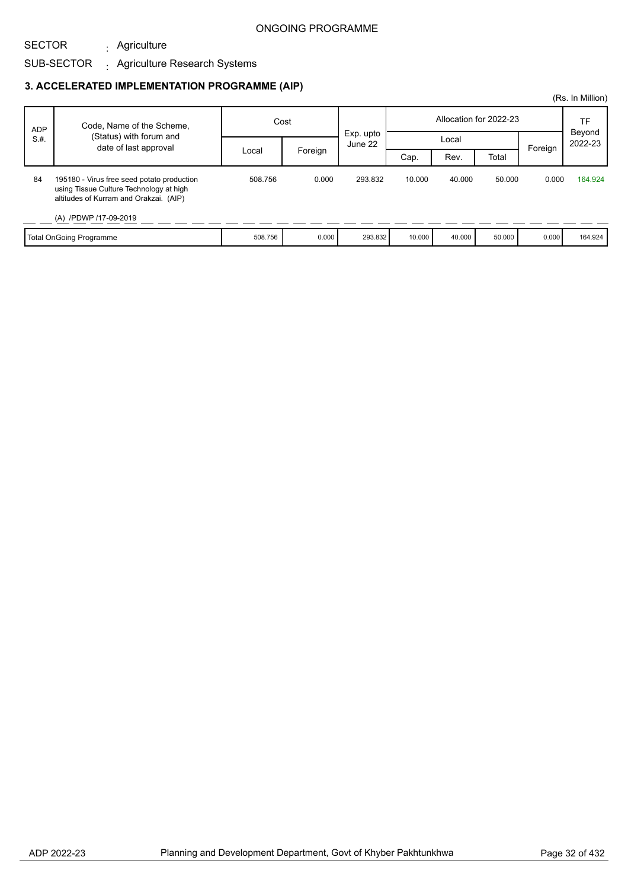### SUB-SECTOR Agriculture : . Agriculture Research Systems

SECTOR

|            |                                                                                                                                                          |         |         |                      |                        |        |        |         | (Rs. In Million)  |
|------------|----------------------------------------------------------------------------------------------------------------------------------------------------------|---------|---------|----------------------|------------------------|--------|--------|---------|-------------------|
| <b>ADP</b> | Code, Name of the Scheme,                                                                                                                                | Cost    |         |                      | Allocation for 2022-23 |        |        |         | TF                |
| S.H.       | (Status) with forum and<br>date of last approval                                                                                                         |         |         | Exp. upto<br>June 22 |                        | Local  |        |         | Beyond<br>2022-23 |
|            |                                                                                                                                                          | Local   | Foreign |                      | Cap.                   | Rev.   | Total  | Foreign |                   |
| 84         | 195180 - Virus free seed potato production<br>using Tissue Culture Technology at high<br>altitudes of Kurram and Orakzai. (AIP)<br>(A) /PDWP /17-09-2019 | 508.756 | 0.000   | 293.832              | 10.000                 | 40.000 | 50.000 | 0.000   | 164.924           |
|            | <b>Total OnGoing Programme</b>                                                                                                                           | 508.756 | 0.000   | 293.832              | 10.000                 | 40.000 | 50.000 | 0.000   | 164.924           |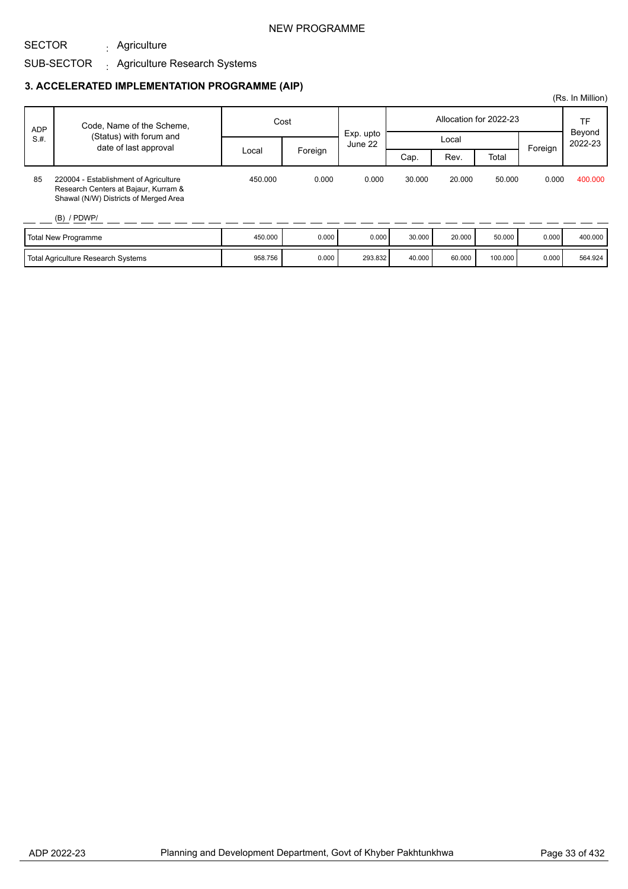### NEW PROGRAMME

### SUB-SECTOR Agriculture : . Agriculture Research Systems

SECTOR

### **3. ACCELERATED IMPLEMENTATION PROGRAMME (AIP)**

| <b>ADP</b><br>S.H. | Code, Name of the Scheme,                                                                                                               | Cost    |         | Exp. upto |        |        | Allocation for 2022-23 |         | TF<br>Beyond |
|--------------------|-----------------------------------------------------------------------------------------------------------------------------------------|---------|---------|-----------|--------|--------|------------------------|---------|--------------|
|                    | (Status) with forum and                                                                                                                 |         |         | June 22   |        | Local  |                        |         | 2022-23      |
|                    | date of last approval                                                                                                                   | Local   | Foreign |           | Cap.   | Rev.   | Total                  | Foreign |              |
| 85                 | 220004 - Establishment of Agriculture<br>Research Centers at Bajaur, Kurram &<br>Shawal (N/W) Districts of Merged Area<br>$(B)$ / PDWP/ | 450.000 | 0.000   | 0.000     | 30,000 | 20,000 | 50,000                 | 0.000   | 400.000      |
|                    | Total New Programme                                                                                                                     | 450.000 | 0.000   | 0.000     | 30.000 | 20,000 | 50.000                 | 0.000   | 400.000      |
|                    | <b>Total Agriculture Research Systems</b>                                                                                               | 958.756 | 0.000   | 293.832   | 40.000 | 60.000 | 100.000                | 0.000   | 564.924      |

(Rs. In Million)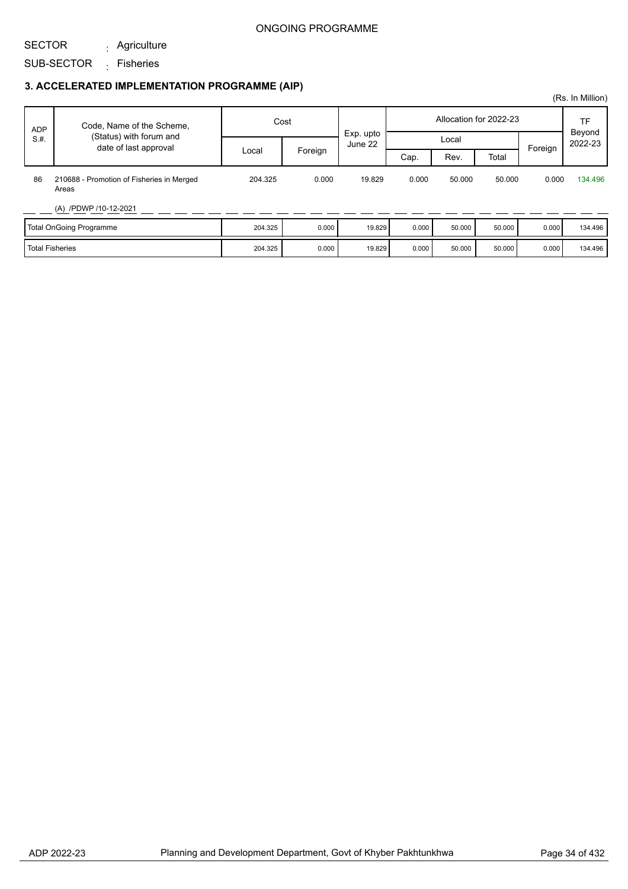## SECTOR

Agriculture :

## SUB-SECTOR <sub>:</sub> Fisheries

## **3. ACCELERATED IMPLEMENTATION PROGRAMME (AIP)**

| <b>ADP</b><br>S.H.      | Code, Name of the Scheme,<br>(Status) with forum and<br>date of last approval | Cost    |         |                      | Allocation for 2022-23 |        |        |         | TF<br>Beyond |
|-------------------------|-------------------------------------------------------------------------------|---------|---------|----------------------|------------------------|--------|--------|---------|--------------|
|                         |                                                                               | Local   | Foreign | Exp. upto<br>June 22 | Local                  |        |        | Foreign | 2022-23      |
|                         |                                                                               |         |         |                      | Cap.                   | Rev.   | Total  |         |              |
| 86                      | 210688 - Promotion of Fisheries in Merged<br>Areas                            | 204.325 | 0.000   | 19.829               | 0.000                  | 50,000 | 50.000 | 0.000   | 134.496      |
|                         | (A) /PDWP /10-12-2021                                                         |         |         |                      |                        |        |        |         |              |
| Total OnGoing Programme |                                                                               | 204.325 | 0.000   | 19.829               | 0.000                  | 50.000 | 50.000 | 0.000   | 134.496      |
| <b>Total Fisheries</b>  |                                                                               | 204.325 | 0.000   | 19.829               | 0.000                  | 50.000 | 50.000 | 0.000   | 134.496      |

(Rs. In Million)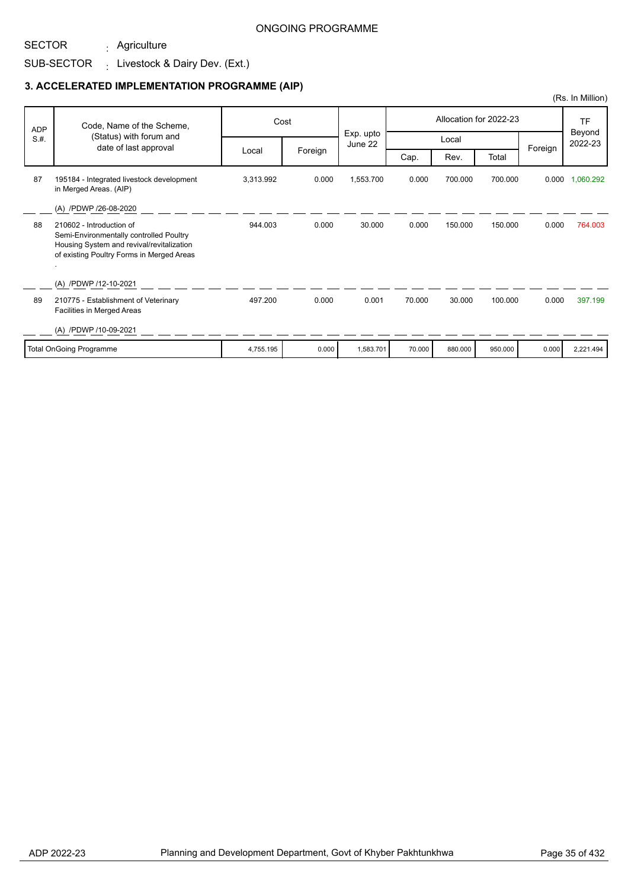#### SECTOR Agriculture :

## SUB-SECTOR  $\qquad \colon$  Livestock & Dairy Dev. (Ext.)

|                         |                                                                                                                                                               |           |         |                      |                        |         |         |                   | (Rs. In Million) |
|-------------------------|---------------------------------------------------------------------------------------------------------------------------------------------------------------|-----------|---------|----------------------|------------------------|---------|---------|-------------------|------------------|
| <b>ADP</b><br>S.H.      | Code, Name of the Scheme,<br>(Status) with forum and<br>date of last approval                                                                                 | Cost      |         |                      | Allocation for 2022-23 |         |         |                   | <b>TF</b>        |
|                         |                                                                                                                                                               |           |         | Exp. upto<br>June 22 | Local                  |         |         | Beyond<br>2022-23 |                  |
|                         |                                                                                                                                                               | Local     | Foreign |                      | Cap.                   | Rev.    | Total   | Foreign           |                  |
| 87                      | 195184 - Integrated livestock development<br>in Merged Areas. (AIP)                                                                                           | 3,313.992 | 0.000   | 1,553.700            | 0.000                  | 700.000 | 700.000 | 0.000             | 1,060.292        |
|                         | (A) /PDWP /26-08-2020                                                                                                                                         |           |         |                      |                        |         |         |                   |                  |
| 88                      | 210602 - Introduction of<br>Semi-Environmentally controlled Poultry<br>Housing System and revival/revitalization<br>of existing Poultry Forms in Merged Areas | 944.003   | 0.000   | 30.000               | 0.000                  | 150.000 | 150.000 | 0.000             | 764.003          |
|                         | (A) /PDWP /12-10-2021                                                                                                                                         |           |         |                      |                        |         |         |                   |                  |
| 89                      | 210775 - Establishment of Veterinary<br>Facilities in Merged Areas                                                                                            | 497.200   | 0.000   | 0.001                | 70.000                 | 30.000  | 100.000 | 0.000             | 397.199          |
|                         | (A) /PDWP /10-09-2021                                                                                                                                         |           |         |                      |                        |         |         |                   |                  |
| Total OnGoing Programme |                                                                                                                                                               | 4,755.195 | 0.000   | 1,583.701            | 70.000                 | 880.000 | 950.000 | 0.000             | 2,221.494        |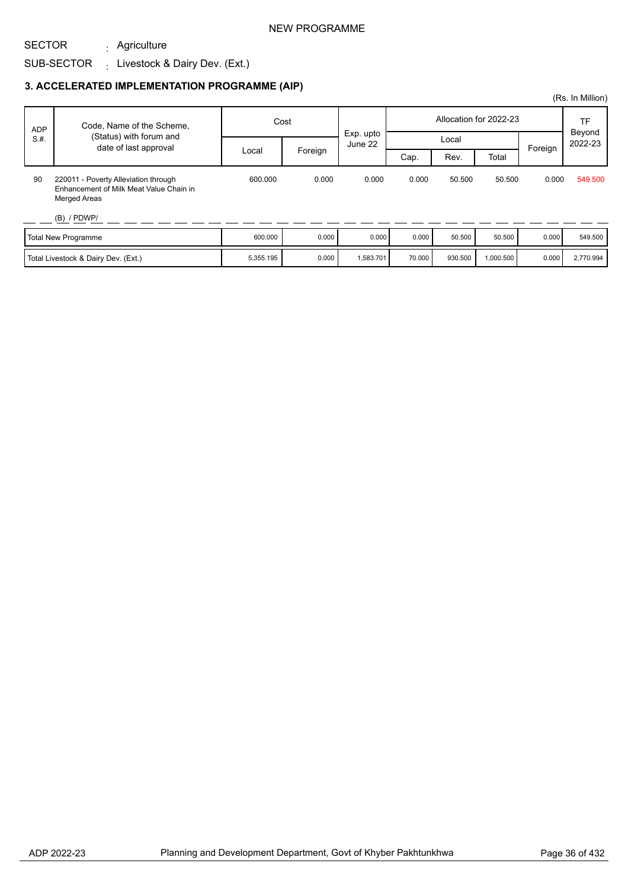### NEW PROGRAMME

# SUB-SECTOR  $\qquad \colon$  Livestock & Dairy Dev. (Ext.) Agriculture :

SECTOR

|                                     |                                                                                                 |           |         |                      |                        |         |           |         | (Rs. In Million)  |
|-------------------------------------|-------------------------------------------------------------------------------------------------|-----------|---------|----------------------|------------------------|---------|-----------|---------|-------------------|
| <b>ADP</b><br>S.H.                  | Code, Name of the Scheme,<br>(Status) with forum and<br>date of last approval                   | Cost      |         |                      | Allocation for 2022-23 |         |           |         | TF                |
|                                     |                                                                                                 | Local     | Foreign | Exp. upto<br>June 22 | Local                  |         |           | Foreign | Beyond<br>2022-23 |
|                                     |                                                                                                 |           |         |                      | Cap.                   | Rev.    | Total     |         |                   |
| 90                                  | 220011 - Poverty Alleviation through<br>Enhancement of Milk Meat Value Chain in<br>Merged Areas | 600.000   | 0.000   | 0.000                | 0.000                  | 50.500  | 50.500    | 0.000   | 549,500           |
|                                     | $(B)$ / PDWP/                                                                                   |           |         |                      |                        |         |           |         |                   |
| Total New Programme                 |                                                                                                 | 600.000   | 0.000   | 0.000                | 0.000                  | 50.500  | 50.500    | 0.000   | 549.500           |
| Total Livestock & Dairy Dev. (Ext.) |                                                                                                 | 5,355.195 | 0.000   | 1,583.701            | 70.000                 | 930.500 | 1,000.500 | 0.000   | 2,770.994         |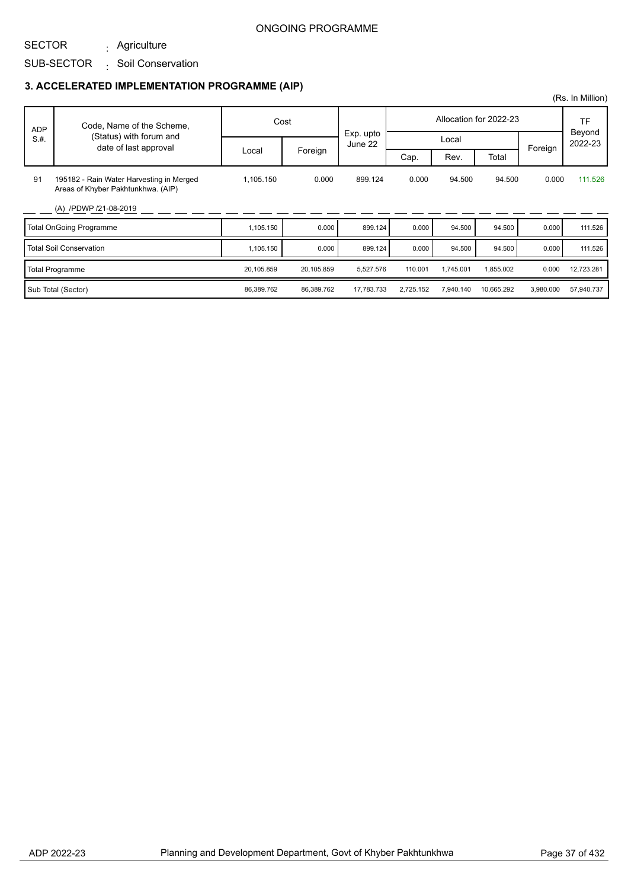#### SECTOR Agriculture :

## SUB-SECTOR Soil Conservation :

|            |                                                                                |            |            |                      |           |           |                        |           | (Rs. In Million)    |
|------------|--------------------------------------------------------------------------------|------------|------------|----------------------|-----------|-----------|------------------------|-----------|---------------------|
| <b>ADP</b> | Code, Name of the Scheme,                                                      |            | Cost       |                      |           |           | Allocation for 2022-23 |           | <b>TF</b><br>Beyond |
| S.H.       | (Status) with forum and<br>date of last approval                               |            |            | Exp. upto<br>June 22 |           | Local     |                        | Foreign   | 2022-23             |
|            |                                                                                | Local      | Foreign    |                      | Cap.      | Rev.      | Total                  |           |                     |
| 91         | 195182 - Rain Water Harvesting in Merged<br>Areas of Khyber Pakhtunkhwa. (AIP) | 1,105.150  | 0.000      | 899.124              | 0.000     | 94.500    | 94.500                 | 0.000     | 111.526             |
|            | (A) /PDWP /21-08-2019                                                          |            |            |                      |           |           |                        |           |                     |
|            | Total OnGoing Programme                                                        | 1,105.150  | 0.000      | 899.124              | 0.000     | 94.500    | 94.500                 | 0.000     | 111.526             |
|            | <b>Total Soil Conservation</b>                                                 | 1,105.150  | 0.000      | 899.124              | 0.000     | 94.500    | 94.500                 | 0.000     | 111.526             |
|            | Total Programme                                                                | 20,105.859 | 20,105.859 | 5,527.576            | 110.001   | 1,745.001 | 1,855.002              | 0.000     | 12,723.281          |
|            | Sub Total (Sector)                                                             | 86,389.762 | 86,389.762 | 17,783.733           | 2,725.152 | 7,940.140 | 10,665.292             | 3,980.000 | 57,940.737          |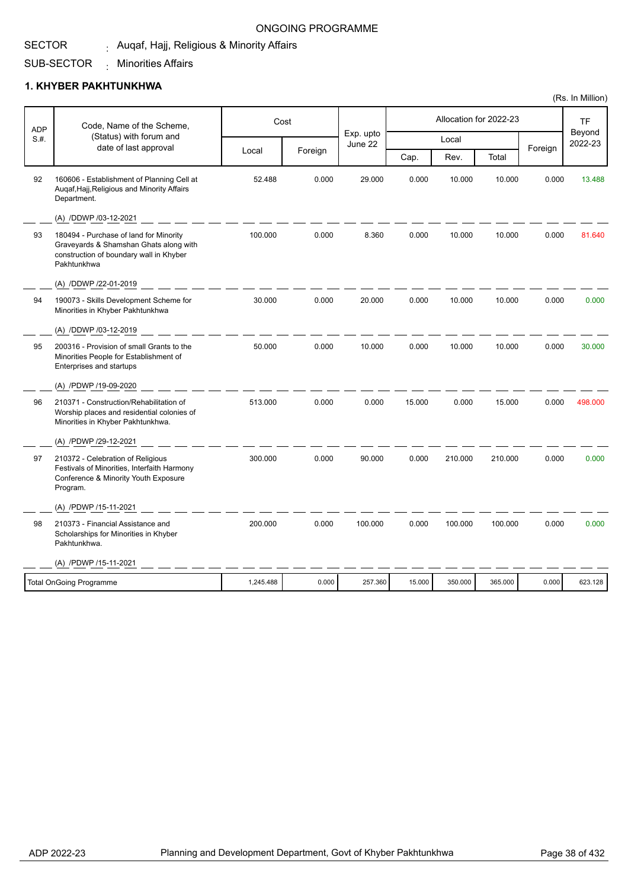#### SECTOR <sub>:</sub> Auqaf, Hajj, Religious & Minority Affairs

#### SUB-SECTOR Minorities Affairs :

### **1. KHYBER PAKHTUNKHWA**

| Code, Name of the Scheme,<br>ADP |                                                                                                                                            | Cost      |         |                      |        | Allocation for 2022-23 |         | TF<br>Beyond |         |
|----------------------------------|--------------------------------------------------------------------------------------------------------------------------------------------|-----------|---------|----------------------|--------|------------------------|---------|--------------|---------|
| S.H.                             | (Status) with forum and<br>date of last approval                                                                                           |           |         | Exp. upto<br>June 22 |        | Local                  |         | Foreign      | 2022-23 |
|                                  |                                                                                                                                            | Local     | Foreign |                      | Cap.   | Rev.                   | Total   |              |         |
| 92                               | 160606 - Establishment of Planning Cell at<br>Auqaf, Hajj, Religious and Minority Affairs<br>Department.                                   | 52.488    | 0.000   | 29.000               | 0.000  | 10.000                 | 10.000  | 0.000        | 13.488  |
|                                  | (A) /DDWP /03-12-2021                                                                                                                      |           |         |                      |        |                        |         |              |         |
| 93                               | 180494 - Purchase of land for Minority<br>Graveyards & Shamshan Ghats along with<br>construction of boundary wall in Khyber<br>Pakhtunkhwa | 100.000   | 0.000   | 8.360                | 0.000  | 10.000                 | 10.000  | 0.000        | 81.640  |
|                                  | (A) /DDWP /22-01-2019                                                                                                                      |           |         |                      |        |                        |         |              |         |
| 94                               | 190073 - Skills Development Scheme for<br>Minorities in Khyber Pakhtunkhwa                                                                 | 30.000    | 0.000   | 20.000               | 0.000  | 10.000                 | 10.000  | 0.000        | 0.000   |
|                                  | (A) /DDWP /03-12-2019                                                                                                                      |           |         |                      |        |                        |         |              |         |
| 95                               | 200316 - Provision of small Grants to the<br>Minorities People for Establishment of<br>Enterprises and startups                            | 50.000    | 0.000   | 10.000               | 0.000  | 10.000                 | 10.000  | 0.000        | 30.000  |
|                                  | (A) /PDWP /19-09-2020                                                                                                                      |           |         |                      |        |                        |         |              |         |
| 96                               | 210371 - Construction/Rehabilitation of<br>Worship places and residential colonies of<br>Minorities in Khyber Pakhtunkhwa.                 | 513.000   | 0.000   | 0.000                | 15.000 | 0.000                  | 15.000  | 0.000        | 498.000 |
|                                  | (A) /PDWP /29-12-2021                                                                                                                      |           |         |                      |        |                        |         |              |         |
| 97                               | 210372 - Celebration of Religious<br>Festivals of Minorities, Interfaith Harmony<br>Conference & Minority Youth Exposure<br>Program.       | 300.000   | 0.000   | 90.000               | 0.000  | 210.000                | 210.000 | 0.000        | 0.000   |
|                                  | (A) /PDWP /15-11-2021                                                                                                                      |           |         |                      |        |                        |         |              |         |
| 98                               | 210373 - Financial Assistance and<br>Scholarships for Minorities in Khyber<br>Pakhtunkhwa.                                                 | 200.000   | 0.000   | 100.000              | 0.000  | 100.000                | 100.000 | 0.000        | 0.000   |
|                                  | (A) /PDWP /15-11-2021                                                                                                                      |           |         |                      |        |                        |         |              |         |
|                                  | <b>Total OnGoing Programme</b>                                                                                                             | 1,245.488 | 0.000   | 257.360              | 15.000 | 350.000                | 365.000 | 0.000        | 623.128 |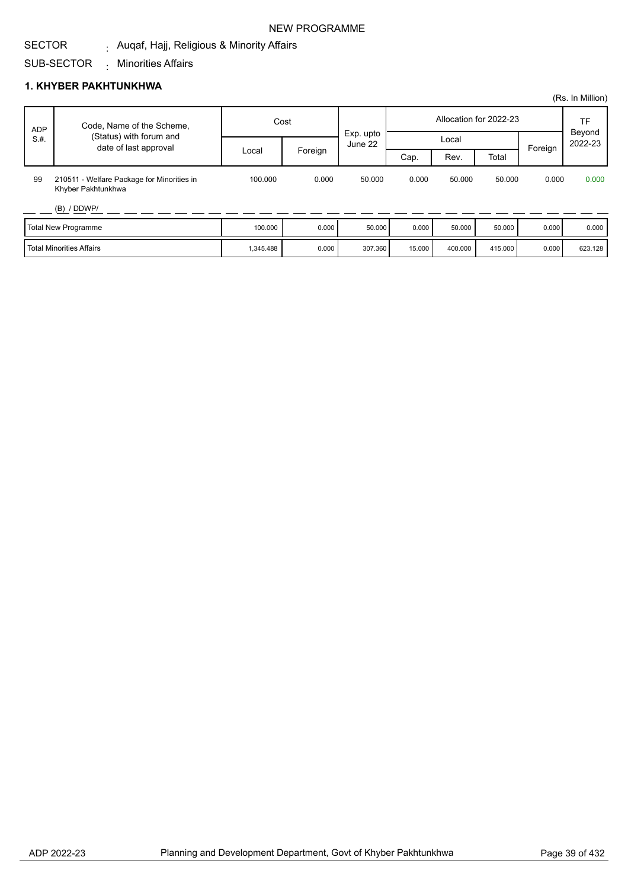# NEW PROGRAMME

#### SECTOR <sub>:</sub> Auqaf, Hajj, Religious & Minority Affairs

#### SUB-SECTOR Minorities Affairs :

## **1. KHYBER PAKHTUNKHWA**

|            |                                                                  |           |         |                      |                        |         |         |         | (Rs. In Million)  |
|------------|------------------------------------------------------------------|-----------|---------|----------------------|------------------------|---------|---------|---------|-------------------|
| <b>ADP</b> | Code, Name of the Scheme,                                        | Cost      |         |                      | Allocation for 2022-23 |         |         |         | TF                |
| S.H.       | (Status) with forum and<br>date of last approval                 |           |         | Exp. upto<br>June 22 |                        | Local   |         |         | Beyond<br>2022-23 |
|            |                                                                  | Local     | Foreign |                      | Cap.                   | Rev.    | Total   | Foreign |                   |
| 99         | 210511 - Welfare Package for Minorities in<br>Khyber Pakhtunkhwa | 100.000   | 0.000   | 50.000               | 0.000                  | 50.000  | 50.000  | 0.000   | 0.000             |
|            | (B) / DDWP/                                                      |           |         |                      |                        |         |         |         |                   |
|            | Total New Programme                                              | 100.000   | 0.000   | 50,000               | 0.000                  | 50.000  | 50.000  | 0.000   | 0.000             |
|            | <b>l</b> Total Minorities Affairs                                | 1,345.488 | 0.000   | 307.360              | 15.000                 | 400.000 | 415.000 | 0.000   | 623.128           |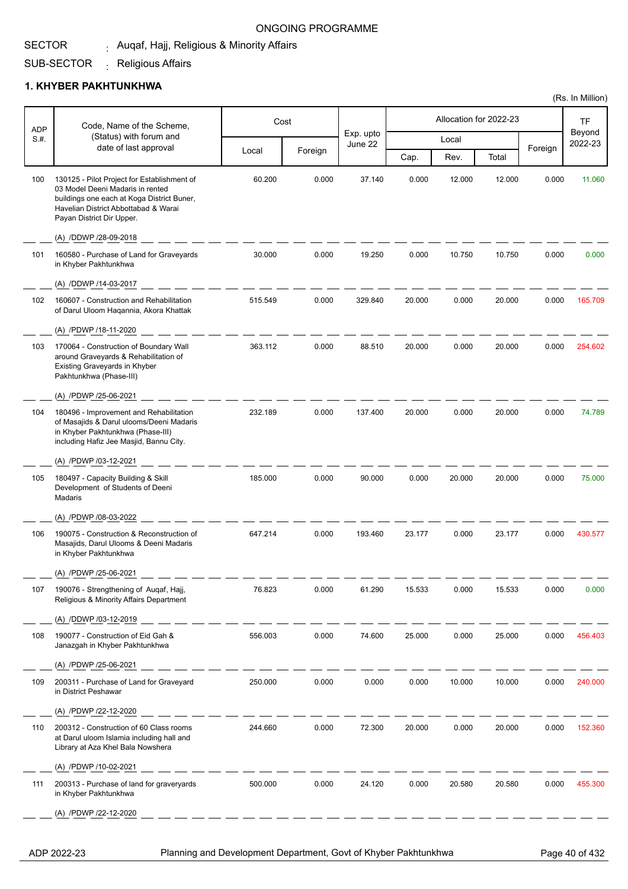#### SECTOR <sub>:</sub> Auqaf, Hajj, Religious & Minority Affairs

#### SUB-SECTOR <sub>:</sub> Religious Affairs

### **1. KHYBER PAKHTUNKHWA**

| <b>ADP</b> | Code, Name of the Scheme,                                                                                                                                                                          |         | Cost    |                      |        |        | Allocation for 2022-23 |         | <b>TF</b>         |
|------------|----------------------------------------------------------------------------------------------------------------------------------------------------------------------------------------------------|---------|---------|----------------------|--------|--------|------------------------|---------|-------------------|
| S.H.       | (Status) with forum and<br>date of last approval                                                                                                                                                   |         |         | Exp. upto<br>June 22 |        | Local  |                        |         | Beyond<br>2022-23 |
|            |                                                                                                                                                                                                    | Local   | Foreign |                      | Cap.   | Rev.   | Total                  | Foreign |                   |
| 100        | 130125 - Pilot Project for Establishment of<br>03 Model Deeni Madaris in rented<br>buildings one each at Koga District Buner,<br>Havelian District Abbottabad & Warai<br>Payan District Dir Upper. | 60.200  | 0.000   | 37.140               | 0.000  | 12.000 | 12.000                 | 0.000   | 11.060            |
|            | (A) /DDWP /28-09-2018                                                                                                                                                                              |         |         |                      |        |        |                        |         |                   |
| 101        | 160580 - Purchase of Land for Graveyards<br>in Khyber Pakhtunkhwa                                                                                                                                  | 30.000  | 0.000   | 19.250               | 0.000  | 10.750 | 10.750                 | 0.000   | 0.000             |
|            | (A) /DDWP /14-03-2017                                                                                                                                                                              |         |         |                      |        |        |                        |         |                   |
| 102        | 160607 - Construction and Rehabilitation<br>of Darul Uloom Haqannia, Akora Khattak                                                                                                                 | 515.549 | 0.000   | 329.840              | 20.000 | 0.000  | 20.000                 | 0.000   | 165.709           |
|            | (A) /PDWP /18-11-2020                                                                                                                                                                              |         |         |                      |        |        |                        |         |                   |
| 103        | 170064 - Construction of Boundary Wall<br>around Graveyards & Rehabilitation of<br>Existing Graveyards in Khyber<br>Pakhtunkhwa (Phase-III)                                                        | 363.112 | 0.000   | 88.510               | 20.000 | 0.000  | 20.000                 | 0.000   | 254.602           |
|            | (A) /PDWP /25-06-2021                                                                                                                                                                              |         |         |                      |        |        |                        |         |                   |
| 104        | 180496 - Improvement and Rehabilitation<br>of Masajids & Darul ulooms/Deeni Madaris<br>in Khyber Pakhtunkhwa (Phase-III)<br>including Hafiz Jee Masjid, Bannu City.                                | 232.189 | 0.000   | 137.400              | 20.000 | 0.000  | 20.000                 | 0.000   | 74.789            |
|            | (A) /PDWP /03-12-2021                                                                                                                                                                              |         |         |                      |        |        |                        |         |                   |
| 105        | 180497 - Capacity Building & Skill<br>Development of Students of Deeni<br>Madaris                                                                                                                  | 185.000 | 0.000   | 90.000               | 0.000  | 20.000 | 20.000                 | 0.000   | 75.000            |
|            | (A) /PDWP /08-03-2022                                                                                                                                                                              |         |         |                      |        |        |                        |         |                   |
| 106        | 190075 - Construction & Reconstruction of<br>Masajids, Darul Ulooms & Deeni Madaris<br>in Khyber Pakhtunkhwa                                                                                       | 647.214 | 0.000   | 193.460              | 23.177 | 0.000  | 23.177                 | 0.000   | 430.577           |
|            | (A) /PDWP /25-06-2021                                                                                                                                                                              |         |         |                      |        |        |                        |         |                   |
| 107        | 190076 - Strengthening of Auqaf, Hajj,<br>Religious & Minority Affairs Department                                                                                                                  | 76.823  | 0.000   | 61.290               | 15.533 | 0.000  | 15.533                 | 0.000   | 0.000             |
|            | (A) /DDWP /03-12-2019                                                                                                                                                                              |         |         |                      |        |        |                        |         |                   |
| 108        | 190077 - Construction of Eid Gah &<br>Janazgah in Khyber Pakhtunkhwa                                                                                                                               | 556.003 | 0.000   | 74.600               | 25.000 | 0.000  | 25.000                 | 0.000   | 456.403           |
|            | (A) /PDWP /25-06-2021                                                                                                                                                                              |         |         |                      |        |        |                        |         |                   |
| 109        | 200311 - Purchase of Land for Graveyard<br>in District Peshawar                                                                                                                                    | 250.000 | 0.000   | 0.000                | 0.000  | 10.000 | 10.000                 | 0.000   | 240.000           |
|            | (A) /PDWP /22-12-2020                                                                                                                                                                              |         |         |                      |        |        |                        |         |                   |
| 110        | 200312 - Construction of 60 Class rooms<br>at Darul uloom Islamia including hall and<br>Library at Aza Khel Bala Nowshera                                                                          | 244.660 | 0.000   | 72.300               | 20.000 | 0.000  | 20.000                 | 0.000   | 152.360           |
|            | (A) /PDWP /10-02-2021                                                                                                                                                                              |         |         |                      |        |        |                        |         |                   |
| 111        | 200313 - Purchase of land for graveryards<br>in Khyber Pakhtunkhwa                                                                                                                                 | 500.000 | 0.000   | 24.120               | 0.000  | 20.580 | 20.580                 | 0.000   | 455.300           |
|            | (A) /PDWP /22-12-2020                                                                                                                                                                              |         |         |                      |        |        |                        |         |                   |
|            |                                                                                                                                                                                                    |         |         |                      |        |        |                        |         |                   |

ADP 2022-23 Planning and Development Department, Govt of Khyber Pakhtunkhwa Page 40 of 432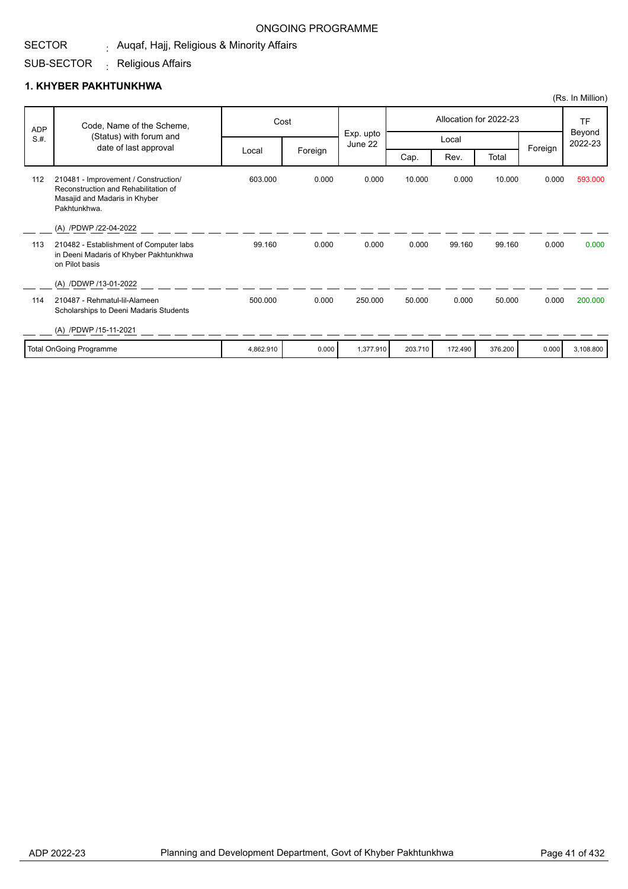#### SECTOR <sub>:</sub> Auqaf, Hajj, Religious & Minority Affairs

#### SUB-SECTOR <sub>:</sub> Religious Affairs

### **1. KHYBER PAKHTUNKHWA**

|            |                                                                                                                               |           |         |                      |         |         |                        |         | (Rs. In Million)  |
|------------|-------------------------------------------------------------------------------------------------------------------------------|-----------|---------|----------------------|---------|---------|------------------------|---------|-------------------|
| <b>ADP</b> | Code, Name of the Scheme,                                                                                                     |           | Cost    |                      |         |         | Allocation for 2022-23 |         | TF                |
| S.H.       | (Status) with forum and<br>date of last approval                                                                              |           |         | Exp. upto<br>June 22 |         | Local   |                        |         | Beyond<br>2022-23 |
|            |                                                                                                                               | Local     | Foreign |                      | Cap.    | Rev.    | Total                  | Foreign |                   |
| 112        | 210481 - Improvement / Construction/<br>Reconstruction and Rehabilitation of<br>Masajid and Madaris in Khyber<br>Pakhtunkhwa. | 603.000   | 0.000   | 0.000                | 10.000  | 0.000   | 10.000                 | 0.000   | 593.000           |
|            | (A) /PDWP /22-04-2022                                                                                                         |           |         |                      |         |         |                        |         |                   |
| 113        | 210482 - Establishment of Computer labs<br>in Deeni Madaris of Khyber Pakhtunkhwa<br>on Pilot basis                           | 99.160    | 0.000   | 0.000                | 0.000   | 99.160  | 99.160                 | 0.000   | 0.000             |
|            | (A) /DDWP /13-01-2022                                                                                                         |           |         |                      |         |         |                        |         |                   |
| 114        | 210487 - Rehmatul-lil-Alameen<br>Scholarships to Deeni Madaris Students                                                       | 500.000   | 0.000   | 250.000              | 50.000  | 0.000   | 50.000                 | 0.000   | 200.000           |
|            | (A) /PDWP /15-11-2021                                                                                                         |           |         |                      |         |         |                        |         |                   |
|            | <b>Total OnGoing Programme</b>                                                                                                | 4,862.910 | 0.000   | 1,377.910            | 203.710 | 172.490 | 376.200                | 0.000   | 3,108.800         |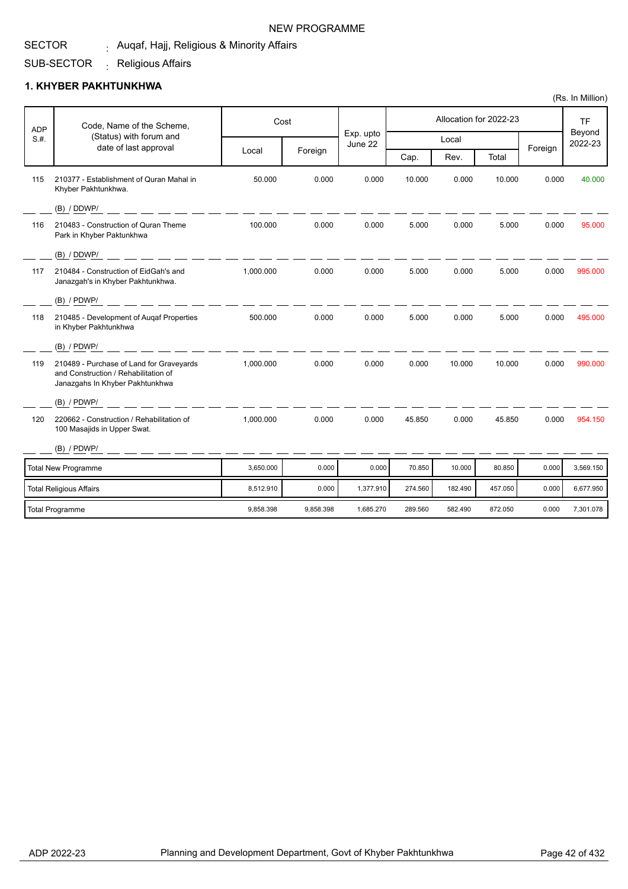#### SECTOR <sub>:</sub> Auqaf, Hajj, Religious & Minority Affairs NEW PROGRAMME

#### SUB-SECTOR <sub>:</sub> Religious Affairs

### **1. KHYBER PAKHTUNKHWA**

| <b>ADP</b> | Code, Name of the Scheme,                                                                                           |           | Cost      |                      |         |         | Allocation for 2022-23 |         | <b>TF</b>         |
|------------|---------------------------------------------------------------------------------------------------------------------|-----------|-----------|----------------------|---------|---------|------------------------|---------|-------------------|
| S.H.       | (Status) with forum and<br>date of last approval                                                                    |           |           | Exp. upto<br>June 22 |         | Local   |                        |         | Beyond<br>2022-23 |
|            |                                                                                                                     | Local     | Foreign   |                      | Cap.    | Rev.    | Total                  | Foreign |                   |
| 115        | 210377 - Establishment of Quran Mahal in<br>Khyber Pakhtunkhwa.                                                     | 50.000    | 0.000     | 0.000                | 10.000  | 0.000   | 10.000                 | 0.000   | 40.000            |
|            | (B) / DDWP/                                                                                                         |           |           |                      |         |         |                        |         |                   |
| 116        | 210483 - Construction of Quran Theme<br>Park in Khyber Paktunkhwa                                                   | 100.000   | 0.000     | 0.000                | 5.000   | 0.000   | 5.000                  | 0.000   | 95.000            |
|            | (B) / DDWP/                                                                                                         |           |           |                      |         |         |                        |         |                   |
| 117        | 210484 - Construction of EidGah's and<br>Janazgah's in Khyber Pakhtunkhwa.                                          | 1.000.000 | 0.000     | 0.000                | 5.000   | 0.000   | 5.000                  | 0.000   | 995.000           |
|            | $(B)$ / PDWP/                                                                                                       |           |           |                      |         |         |                        |         |                   |
| 118        | 210485 - Development of Augaf Properties<br>in Khyber Pakhtunkhwa                                                   | 500.000   | 0.000     | 0.000                | 5.000   | 0.000   | 5.000                  | 0.000   | 495.000           |
|            | $(B)$ / PDWP/                                                                                                       |           |           |                      |         |         |                        |         |                   |
| 119        | 210489 - Purchase of Land for Graveyards<br>and Construction / Rehabilitation of<br>Janazgahs In Khyber Pakhtunkhwa | 1,000.000 | 0.000     | 0.000                | 0.000   | 10.000  | 10.000                 | 0.000   | 990.000           |
|            | $(B)$ / PDWP/                                                                                                       |           |           |                      |         |         |                        |         |                   |
| 120        | 220662 - Construction / Rehabilitation of<br>100 Masajids in Upper Swat.                                            | 1,000.000 | 0.000     | 0.000                | 45.850  | 0.000   | 45.850                 | 0.000   | 954.150           |
|            | $(B)$ / PDWP/                                                                                                       |           |           |                      |         |         |                        |         |                   |
|            | <b>Total New Programme</b>                                                                                          | 3,650.000 | 0.000     | 0.000                | 70.850  | 10.000  | 80.850                 | 0.000   | 3,569.150         |
|            | <b>Total Religious Affairs</b>                                                                                      | 8,512.910 | 0.000     | 1,377.910            | 274.560 | 182.490 | 457.050                | 0.000   | 6,677.950         |
|            | Total Programme                                                                                                     | 9.858.398 | 9.858.398 | 1.685.270            | 289.560 | 582.490 | 872.050                | 0.000   | 7,301.078         |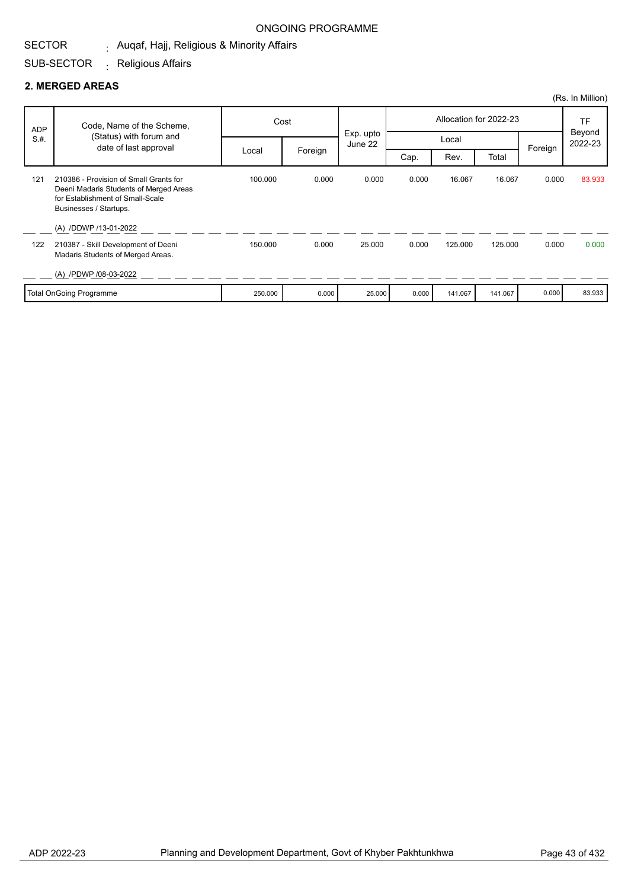#### SECTOR <sub>:</sub> Auqaf, Hajj, Religious & Minority Affairs

#### SUB-SECTOR <sub>:</sub> Religious Affairs

#### **2. MERGED AREAS**

|            |                                                                                                      |         |         |           |       |         |                        |         | (Rs. In Million) |
|------------|------------------------------------------------------------------------------------------------------|---------|---------|-----------|-------|---------|------------------------|---------|------------------|
| <b>ADP</b> | Code, Name of the Scheme,                                                                            | Cost    |         | Exp. upto |       |         | Allocation for 2022-23 |         | TF<br>Beyond     |
| S.H.       | (Status) with forum and<br>date of last approval                                                     |         |         | June 22   |       | Local   |                        | Foreign | 2022-23          |
|            | 210386 - Provision of Small Grants for                                                               | Local   | Foreign |           | Cap.  | Rev.    | Total                  |         |                  |
| 121        | Deeni Madaris Students of Merged Areas<br>for Establishment of Small-Scale<br>Businesses / Startups. | 100.000 | 0.000   | 0.000     | 0.000 | 16.067  | 16.067                 | 0.000   | 83.933           |
|            | (A) /DDWP /13-01-2022                                                                                |         |         |           |       |         |                        |         |                  |
| 122        | 210387 - Skill Development of Deeni<br>Madaris Students of Merged Areas.                             | 150.000 | 0.000   | 25,000    | 0.000 | 125.000 | 125.000                | 0.000   | 0.000            |
|            | (A) /PDWP /08-03-2022                                                                                |         |         |           |       |         |                        |         |                  |
|            | <b>Total OnGoing Programme</b>                                                                       | 250.000 | 0.000   | 25.000    | 0.000 | 141.067 | 141.067                | 0.000   | 83.933           |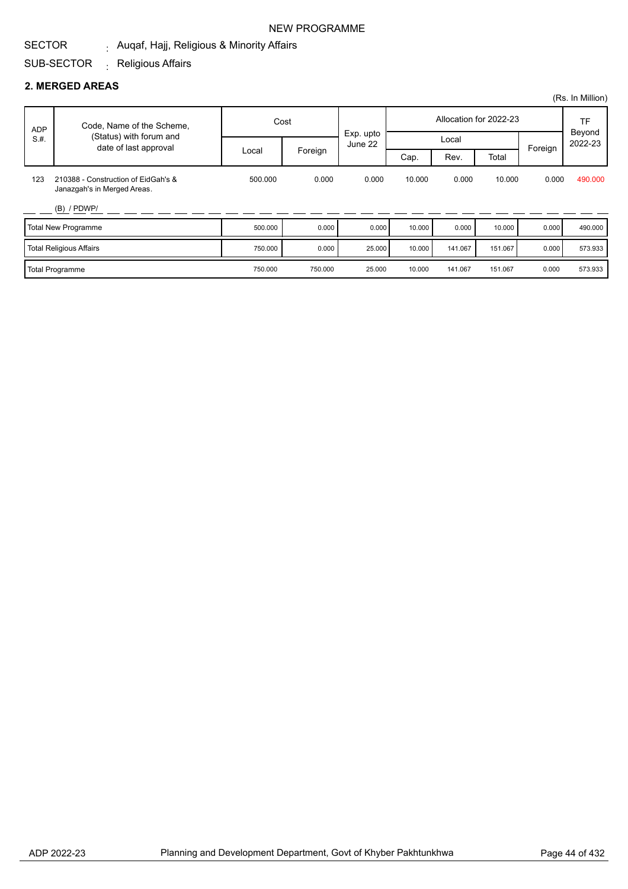#### SECTOR <sub>:</sub> Auqaf, Hajj, Religious & Minority Affairs NEW PROGRAMME

# SUB-SECTOR <sub>:</sub> Religious Affairs

#### **2. MERGED AREAS**

|            |                                                                    |         |         |           |        |         |                        |         | (Rs. In Million) |
|------------|--------------------------------------------------------------------|---------|---------|-----------|--------|---------|------------------------|---------|------------------|
| <b>ADP</b> | Code, Name of the Scheme,                                          |         | Cost    | Exp. upto |        |         | Allocation for 2022-23 |         | TF<br>Beyond     |
| S.H.       | (Status) with forum and<br>date of last approval                   |         |         | June 22   |        | Local   |                        | Foreign | 2022-23          |
|            |                                                                    | Local   | Foreign |           | Cap.   | Rev.    | Total                  |         |                  |
| 123        | 210388 - Construction of EidGah's &<br>Janazgah's in Merged Areas. | 500.000 | 0.000   | 0.000     | 10.000 | 0.000   | 10.000                 | 0.000   | 490.000          |
|            | $(B)$ / PDWP/                                                      |         |         |           |        |         |                        |         |                  |
|            | <b>Total New Programme</b>                                         | 500.000 | 0.000   | 0.000     | 10.000 | 0.000   | 10.000                 | 0.000   | 490.000          |
|            | <b>Total Religious Affairs</b>                                     | 750.000 | 0.000   | 25.000    | 10.000 | 141.067 | 151.067                | 0.000   | 573.933          |
|            | <b>Total Programme</b>                                             | 750.000 | 750.000 | 25.000    | 10.000 | 141.067 | 151.067                | 0.000   | 573.933          |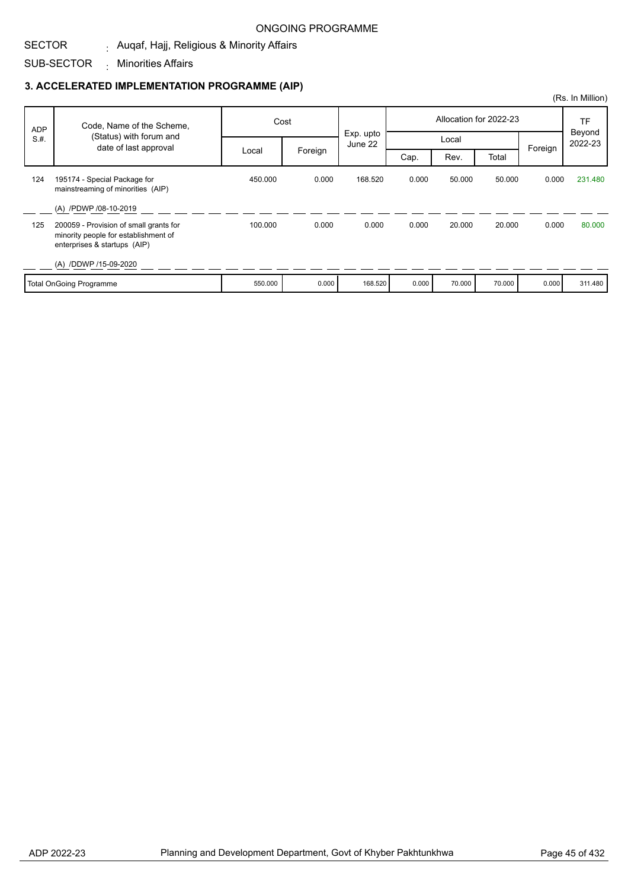#### SECTOR <sub>:</sub> Auqaf, Hajj, Religious & Minority Affairs

SUB-SECTOR Minorities Affairs :

|            |                                                                                                                |         |         |                      |       |        |                        |         | (Rs. In Million) |
|------------|----------------------------------------------------------------------------------------------------------------|---------|---------|----------------------|-------|--------|------------------------|---------|------------------|
| <b>ADP</b> | Code, Name of the Scheme,                                                                                      | Cost    |         |                      |       |        | Allocation for 2022-23 |         | TF<br>Beyond     |
| S.H.       | (Status) with forum and<br>date of last approval                                                               |         |         | Exp. upto<br>June 22 |       | Local  |                        |         | 2022-23          |
|            |                                                                                                                | Local   | Foreign |                      | Cap.  | Rev.   | Total                  | Foreign |                  |
| 124        | 195174 - Special Package for<br>mainstreaming of minorities (AIP)                                              | 450.000 | 0.000   | 168.520              | 0.000 | 50.000 | 50.000                 | 0.000   | 231.480          |
|            | (A) /PDWP /08-10-2019                                                                                          |         |         |                      |       |        |                        |         |                  |
| 125        | 200059 - Provision of small grants for<br>minority people for establishment of<br>enterprises & startups (AIP) | 100.000 | 0.000   | 0.000                | 0.000 | 20.000 | 20.000                 | 0.000   | 80,000           |
|            | (A) /DDWP /15-09-2020                                                                                          |         |         |                      |       |        |                        |         |                  |
|            | <b>Total OnGoing Programme</b>                                                                                 | 550.000 | 0.000   | 168.520              | 0.000 | 70.000 | 70.000                 | 0.000   | 311.480          |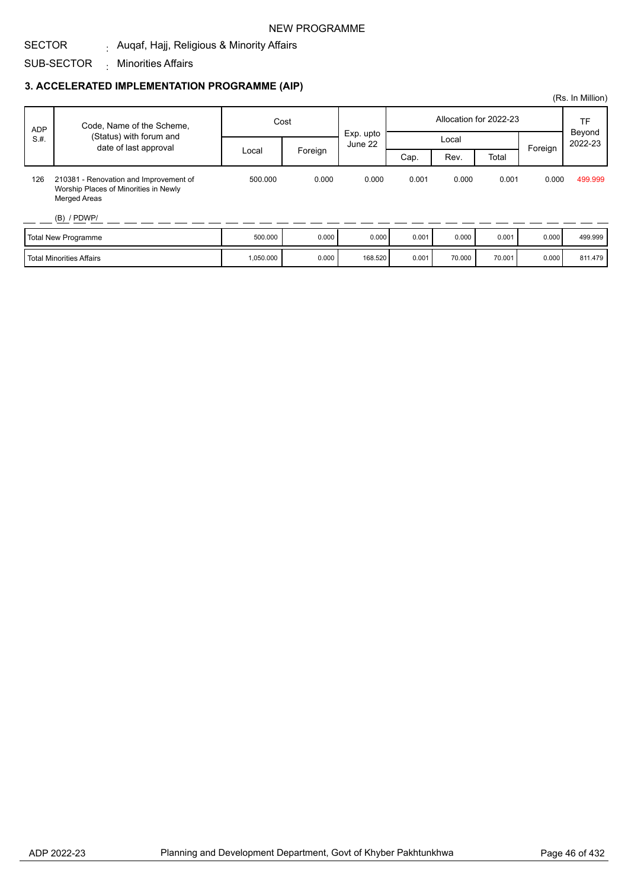#### NEW PROGRAMME

#### SECTOR <sub>:</sub> Auqaf, Hajj, Religious & Minority Affairs

SUB-SECTOR Minorities Affairs :

|            |                                                                                                                         |                  |       |                      |       |        |                        |       | (Rs. In Million) |
|------------|-------------------------------------------------------------------------------------------------------------------------|------------------|-------|----------------------|-------|--------|------------------------|-------|------------------|
| <b>ADP</b> | Code, Name of the Scheme,                                                                                               | Cost             |       |                      |       |        | Allocation for 2022-23 |       | TF<br>Beyond     |
| S.H.       | (Status) with forum and                                                                                                 |                  |       | Exp. upto<br>June 22 | Local |        |                        |       | 2022-23          |
|            | date of last approval                                                                                                   | Foreign<br>Local |       | Cap.                 | Rev.  | Total  | Foreign                |       |                  |
| 126        | 210381 - Renovation and Improvement of<br>Worship Places of Minorities in Newly<br><b>Merged Areas</b><br>$(B)$ / PDWP/ | 500.000          | 0.000 | 0.000                | 0.001 | 0.000  | 0.001                  | 0.000 | 499.999          |
|            | Total New Programme                                                                                                     | 500.000          | 0.000 | 0.000                | 0.001 | 0.000  | 0.001                  | 0.000 | 499.999          |
|            | <b>Total Minorities Affairs</b>                                                                                         | 1,050.000        | 0.000 | 168.520              | 0.001 | 70.000 | 70.001                 | 0.000 | 811.479          |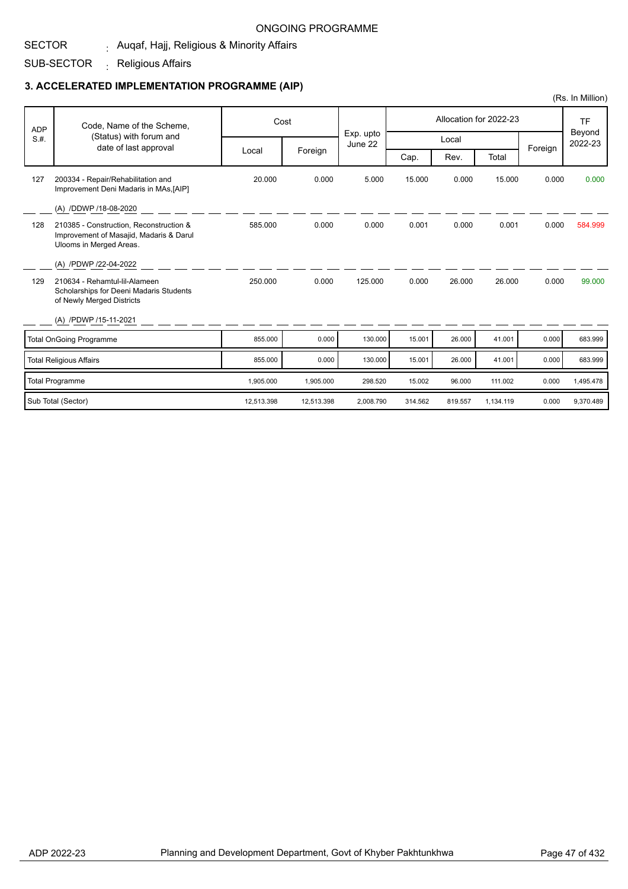#### SECTOR <sub>:</sub> Auqaf, Hajj, Religious & Minority Affairs

SUB-SECTOR <sub>:</sub> Religious Affairs

|            |                                                                                                               |            |            |                      |         |         |                        |         | (Rs. In Million)  |
|------------|---------------------------------------------------------------------------------------------------------------|------------|------------|----------------------|---------|---------|------------------------|---------|-------------------|
| <b>ADP</b> | Code, Name of the Scheme,                                                                                     |            | Cost       |                      |         |         | Allocation for 2022-23 |         | <b>TF</b>         |
| S.H.       | (Status) with forum and<br>date of last approval                                                              |            |            | Exp. upto<br>June 22 |         | Local   |                        |         | Beyond<br>2022-23 |
|            |                                                                                                               | Local      | Foreign    |                      | Cap.    | Rev.    | Total                  | Foreign |                   |
| 127        | 200334 - Repair/Rehabilitation and<br>Improvement Deni Madaris in MAs, [AIP]                                  | 20.000     | 0.000      | 5.000                | 15.000  | 0.000   | 15.000                 | 0.000   | 0.000             |
|            | (A) /DDWP /18-08-2020                                                                                         |            |            |                      |         |         |                        |         |                   |
| 128        | 210385 - Construction, Reconstruction &<br>Improvement of Masajid, Madaris & Darul<br>Ulooms in Merged Areas. | 585.000    | 0.000      | 0.000                | 0.001   | 0.000   | 0.001                  | 0.000   | 584.999           |
|            | (A) /PDWP /22-04-2022                                                                                         |            |            |                      |         |         |                        |         |                   |
| 129        | 210634 - Rehamtul-lil-Alameen<br>Scholarships for Deeni Madaris Students<br>of Newly Merged Districts         | 250.000    | 0.000      | 125.000              | 0.000   | 26.000  | 26.000                 | 0.000   | 99.000            |
|            | (A) /PDWP /15-11-2021                                                                                         |            |            |                      |         |         |                        |         |                   |
|            | <b>Total OnGoing Programme</b>                                                                                | 855.000    | 0.000      | 130.000              | 15.001  | 26.000  | 41.001                 | 0.000   | 683.999           |
|            | <b>Total Religious Affairs</b>                                                                                | 855.000    | 0.000      | 130.000              | 15.001  | 26,000  | 41.001                 | 0.000   | 683.999           |
|            | <b>Total Programme</b>                                                                                        | 1,905.000  | 1,905.000  | 298.520              | 15.002  | 96.000  | 111.002                | 0.000   | 1,495.478         |
|            | Sub Total (Sector)                                                                                            | 12,513.398 | 12,513.398 | 2,008.790            | 314.562 | 819.557 | 1,134.119              | 0.000   | 9,370.489         |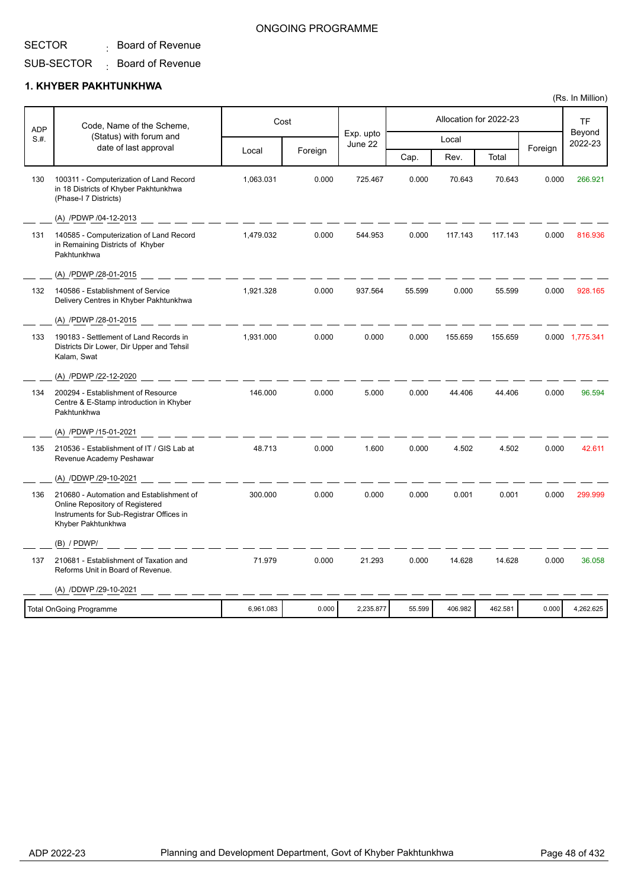## $\colon$  Board of Revenue

#### SUB-SECTOR  $\colon$  Board of Revenue

### **1. KHYBER PAKHTUNKHWA**

| ADP  | Code, Name of the Scheme,                                                                                                                     |           | Cost    |                      |        |         | Allocation for 2022-23 |         | <b>TF</b>         |
|------|-----------------------------------------------------------------------------------------------------------------------------------------------|-----------|---------|----------------------|--------|---------|------------------------|---------|-------------------|
| S.H. | (Status) with forum and                                                                                                                       |           |         | Exp. upto<br>June 22 |        | Local   |                        |         | Beyond<br>2022-23 |
|      | date of last approval                                                                                                                         | Local     | Foreign |                      | Cap.   | Rev.    | Total                  | Foreign |                   |
| 130  | 100311 - Computerization of Land Record<br>in 18 Districts of Khyber Pakhtunkhwa<br>(Phase-I 7 Districts)                                     | 1,063.031 | 0.000   | 725.467              | 0.000  | 70.643  | 70.643                 | 0.000   | 266.921           |
|      | (A) /PDWP /04-12-2013                                                                                                                         |           |         |                      |        |         |                        |         |                   |
| 131  | 140585 - Computerization of Land Record<br>in Remaining Districts of Khyber<br>Pakhtunkhwa                                                    | 1,479.032 | 0.000   | 544.953              | 0.000  | 117.143 | 117.143                | 0.000   | 816.936           |
|      | (A) /PDWP /28-01-2015                                                                                                                         |           |         |                      |        |         |                        |         |                   |
| 132  | 140586 - Establishment of Service<br>Delivery Centres in Khyber Pakhtunkhwa                                                                   | 1,921.328 | 0.000   | 937.564              | 55.599 | 0.000   | 55.599                 | 0.000   | 928.165           |
|      | (A) /PDWP /28-01-2015                                                                                                                         |           |         |                      |        |         |                        |         |                   |
| 133  | 190183 - Settlement of Land Records in<br>Districts Dir Lower, Dir Upper and Tehsil<br>Kalam, Swat                                            | 1,931.000 | 0.000   | 0.000                | 0.000  | 155.659 | 155.659                |         | 0.000 1,775.341   |
|      | (A) /PDWP /22-12-2020                                                                                                                         |           |         |                      |        |         |                        |         |                   |
| 134  | 200294 - Establishment of Resource<br>Centre & E-Stamp introduction in Khyber<br>Pakhtunkhwa                                                  | 146.000   | 0.000   | 5.000                | 0.000  | 44.406  | 44.406                 | 0.000   | 96.594            |
|      | (A) /PDWP /15-01-2021                                                                                                                         |           |         |                      |        |         |                        |         |                   |
| 135  | 210536 - Establishment of IT / GIS Lab at<br>Revenue Academy Peshawar                                                                         | 48.713    | 0.000   | 1.600                | 0.000  | 4.502   | 4.502                  | 0.000   | 42.611            |
|      | (A) /DDWP /29-10-2021                                                                                                                         |           |         |                      |        |         |                        |         |                   |
| 136  | 210680 - Automation and Establishment of<br>Online Repository of Registered<br>Instruments for Sub-Registrar Offices in<br>Khyber Pakhtunkhwa | 300.000   | 0.000   | 0.000                | 0.000  | 0.001   | 0.001                  | 0.000   | 299.999           |
|      | (B) / PDWP/                                                                                                                                   |           |         |                      |        |         |                        |         |                   |
| 137  | 210681 - Establishment of Taxation and<br>Reforms Unit in Board of Revenue.                                                                   | 71.979    | 0.000   | 21.293               | 0.000  | 14.628  | 14.628                 | 0.000   | 36.058            |
|      | (A) /DDWP /29-10-2021                                                                                                                         |           |         |                      |        |         |                        |         |                   |
|      | <b>Total OnGoing Programme</b>                                                                                                                | 6,961.083 | 0.000   | 2,235.877            | 55.599 | 406.982 | 462.581                | 0.000   | 4,262.625         |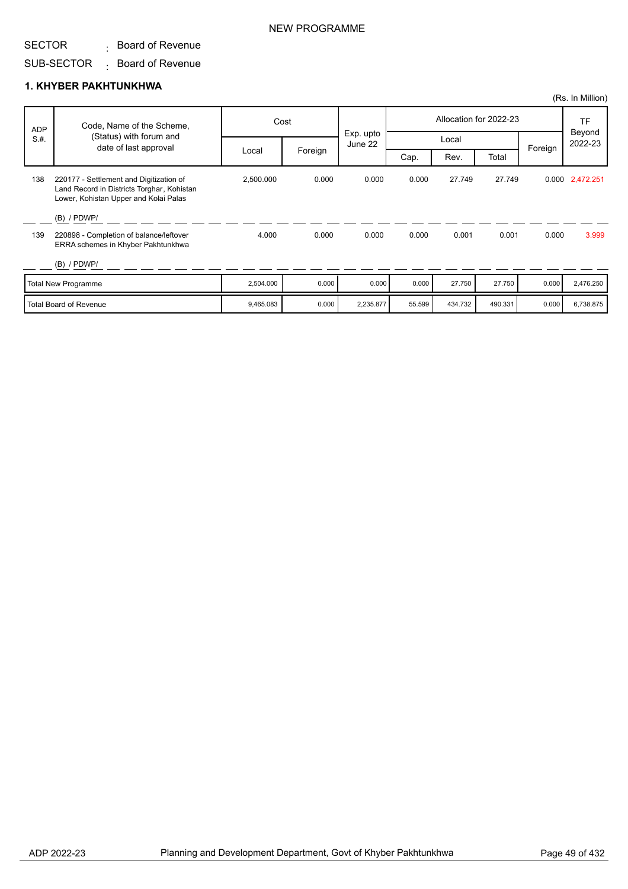#### SUB-SECTOR  $\colon$  Board of Revenue

#### **1. KHYBER PAKHTUNKHWA**

|            |                                                                                                                                                 |           |         |                      |        |         |                        |         | (Rs. In Million)  |
|------------|-------------------------------------------------------------------------------------------------------------------------------------------------|-----------|---------|----------------------|--------|---------|------------------------|---------|-------------------|
| <b>ADP</b> | Code, Name of the Scheme,                                                                                                                       |           | Cost    |                      |        |         | Allocation for 2022-23 |         | TF                |
| S.H.       | (Status) with forum and<br>date of last approval                                                                                                |           |         | Exp. upto<br>June 22 |        | Local   |                        | Foreign | Beyond<br>2022-23 |
|            |                                                                                                                                                 | Local     | Foreign |                      | Cap.   | Rev.    | Total                  |         |                   |
| 138        | 220177 - Settlement and Digitization of<br>Land Record in Districts Torghar, Kohistan<br>Lower, Kohistan Upper and Kolai Palas<br>$(B)$ / PDWP/ | 2,500.000 | 0.000   | 0.000                | 0.000  | 27.749  | 27.749                 |         | 0.000 2,472.251   |
| 139        | 220898 - Completion of balance/leftover<br>ERRA schemes in Khyber Pakhtunkhwa<br>$(B)$ / PDWP/                                                  | 4.000     | 0.000   | 0.000                | 0.000  | 0.001   | 0.001                  | 0.000   | 3.999             |
|            |                                                                                                                                                 |           |         |                      |        |         |                        |         |                   |
|            | <b>Total New Programme</b>                                                                                                                      | 2,504.000 | 0.000   | 0.000                | 0.000  | 27.750  | 27.750                 | 0.000   | 2,476.250         |
|            | <b>Total Board of Revenue</b>                                                                                                                   | 9,465.083 | 0.000   | 2,235.877            | 55.599 | 434.732 | 490.331                | 0.000   | 6,738.875         |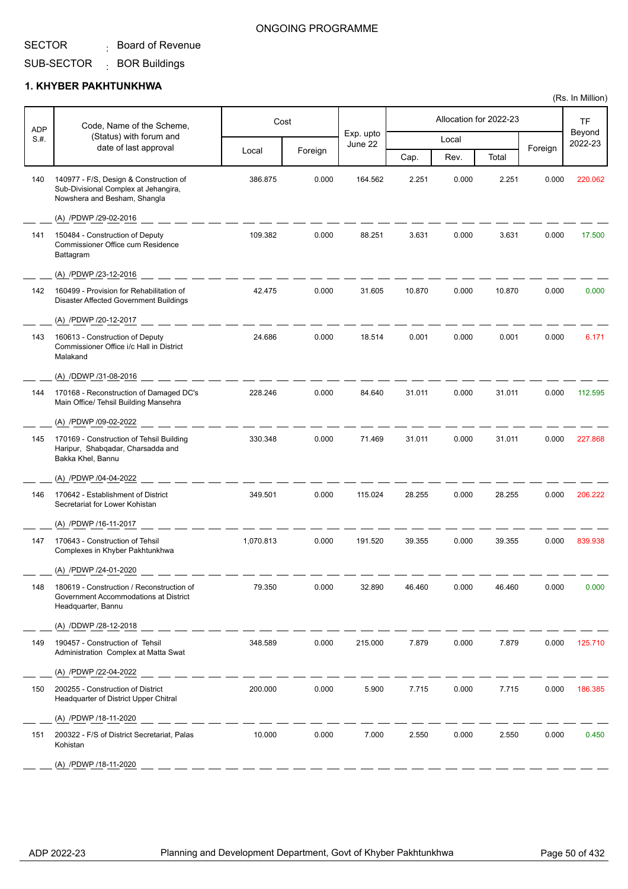#### SUB-SECTOR : BOR Buildings

### **1. KHYBER PAKHTUNKHWA**

| <b>ADP</b> | Code, Name of the Scheme,                                                                                      |           | Cost    |                      |        |       | Allocation for 2022-23 |         | TF                |
|------------|----------------------------------------------------------------------------------------------------------------|-----------|---------|----------------------|--------|-------|------------------------|---------|-------------------|
| S.H.       | (Status) with forum and<br>date of last approval                                                               |           |         | Exp. upto<br>June 22 |        | Local |                        |         | Beyond<br>2022-23 |
|            |                                                                                                                | Local     | Foreign |                      | Cap.   | Rev.  | Total                  | Foreign |                   |
| 140        | 140977 - F/S, Design & Construction of<br>Sub-Divisional Complex at Jehangira,<br>Nowshera and Besham, Shangla | 386.875   | 0.000   | 164.562              | 2.251  | 0.000 | 2.251                  | 0.000   | 220.062           |
|            | (A) /PDWP /29-02-2016                                                                                          |           |         |                      |        |       |                        |         |                   |
| 141        | 150484 - Construction of Deputy<br>Commissioner Office cum Residence<br>Battagram                              | 109.382   | 0.000   | 88.251               | 3.631  | 0.000 | 3.631                  | 0.000   | 17.500            |
|            | (A) /PDWP /23-12-2016                                                                                          |           |         |                      |        |       |                        |         |                   |
| 142        | 160499 - Provision for Rehabilitation of<br>Disaster Affected Government Buildings                             | 42.475    | 0.000   | 31.605               | 10.870 | 0.000 | 10.870                 | 0.000   | 0.000             |
|            | (A) /PDWP /20-12-2017                                                                                          |           |         |                      |        |       |                        |         |                   |
| 143        | 160613 - Construction of Deputy<br>Commissioner Office i/c Hall in District<br>Malakand                        | 24.686    | 0.000   | 18.514               | 0.001  | 0.000 | 0.001                  | 0.000   | 6.171             |
|            | (A) /DDWP /31-08-2016                                                                                          |           |         |                      |        |       |                        |         |                   |
| 144        | 170168 - Reconstruction of Damaged DC's<br>Main Office/ Tehsil Building Mansehra                               | 228.246   | 0.000   | 84.640               | 31.011 | 0.000 | 31.011                 | 0.000   | 112.595           |
|            | (A) /PDWP /09-02-2022                                                                                          |           |         |                      |        |       |                        |         |                   |
| 145        | 170169 - Construction of Tehsil Building<br>Haripur, Shabqadar, Charsadda and<br>Bakka Khel, Bannu             | 330.348   | 0.000   | 71.469               | 31.011 | 0.000 | 31.011                 | 0.000   | 227.868           |
|            | (A) /PDWP /04-04-2022                                                                                          |           |         |                      |        |       |                        |         |                   |
| 146        | 170642 - Establishment of District<br>Secretariat for Lower Kohistan                                           | 349.501   | 0.000   | 115.024              | 28.255 | 0.000 | 28.255                 | 0.000   | 206.222           |
|            | (A) /PDWP /16-11-2017                                                                                          |           |         |                      |        |       |                        |         |                   |
| 147        | 170643 - Construction of Tehsil<br>Complexes in Khyber Pakhtunkhwa                                             | 1,070.813 | 0.000   | 191.520              | 39.355 | 0.000 | 39.355                 | 0.000   | 839.938           |
|            | (A) /PDWP /24-01-2020                                                                                          |           |         |                      |        |       |                        |         |                   |
| 148        | 180619 - Construction / Reconstruction of<br>Government Accommodations at District<br>Headquarter, Bannu       | 79.350    | 0.000   | 32.890               | 46.460 | 0.000 | 46.460                 | 0.000   | 0.000             |
|            | (A) /DDWP /28-12-2018                                                                                          |           |         |                      |        |       |                        |         |                   |
| 149        | 190457 - Construction of Tehsil<br>Administration Complex at Matta Swat                                        | 348.589   | 0.000   | 215.000              | 7.879  | 0.000 | 7.879                  | 0.000   | 125.710           |
|            | (A) /PDWP /22-04-2022                                                                                          |           |         |                      |        |       |                        |         |                   |
| 150        | 200255 - Construction of District<br>Headquarter of District Upper Chitral                                     | 200.000   | 0.000   | 5.900                | 7.715  | 0.000 | 7.715                  | 0.000   | 186.385           |
|            | (A) /PDWP /18-11-2020                                                                                          |           |         |                      |        |       |                        |         |                   |
| 151        | 200322 - F/S of District Secretariat, Palas<br>Kohistan                                                        | 10.000    | 0.000   | 7.000                | 2.550  | 0.000 | 2.550                  | 0.000   | 0.450             |
|            | (A) /PDWP /18-11-2020                                                                                          |           |         |                      |        |       |                        |         |                   |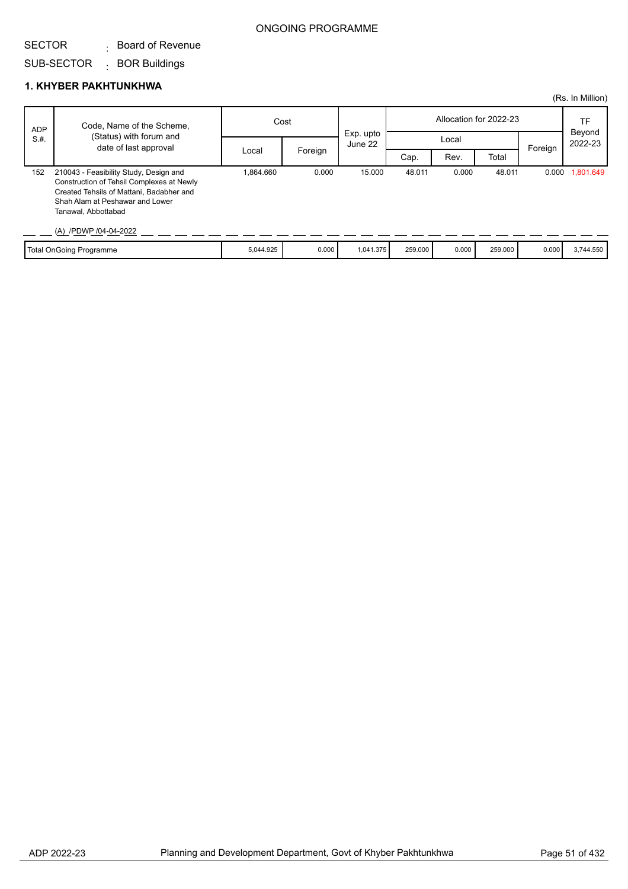## SUB-SECTOR BOR Buildings :

### **1. KHYBER PAKHTUNKHWA**

|            |                                                                                                                                                                                                                    |           |         |           |                        |       |         |         | (Rs. In Million) |
|------------|--------------------------------------------------------------------------------------------------------------------------------------------------------------------------------------------------------------------|-----------|---------|-----------|------------------------|-------|---------|---------|------------------|
| <b>ADP</b> | Code, Name of the Scheme,                                                                                                                                                                                          | Cost      |         | Exp. upto | Allocation for 2022-23 |       |         |         | TF<br>Beyond     |
| S.H.       | (Status) with forum and<br>date of last approval                                                                                                                                                                   |           |         | June 22   | Local                  |       |         | Foreign | 2022-23          |
|            |                                                                                                                                                                                                                    | Local     | Foreign |           | Cap.                   | Rev.  | Total   |         |                  |
| 152        | 210043 - Feasibility Study, Design and<br>Construction of Tehsil Complexes at Newly<br>Created Tehsils of Mattani, Badabher and<br>Shah Alam at Peshawar and Lower<br>Tanawal, Abbottabad<br>(A) /PDWP /04-04-2022 | .864.660  | 0.000   | 15.000    | 48.011                 | 0.000 | 48.011  | 0.000   | 1,801.649        |
|            | <b>Total OnGoing Programme</b>                                                                                                                                                                                     | 5,044.925 | 0.000   | 1,041.375 | 259.000                | 0.000 | 259,000 | 0.000   | 3,744.550        |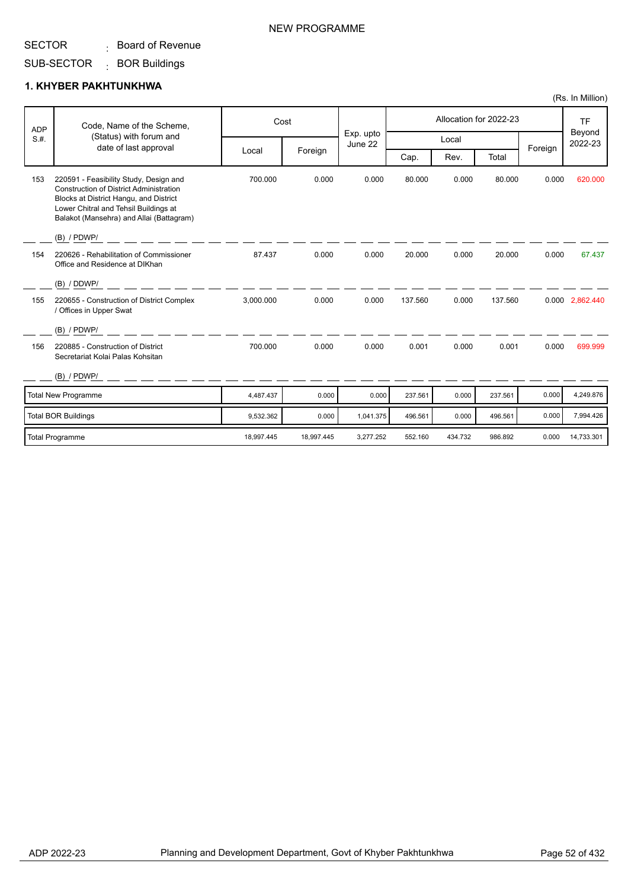#### SUB-SECTOR : BOR Buildings

#### **1. KHYBER PAKHTUNKHWA**

|      | Code, Name of the Scheme,<br><b>ADP</b>                                                                                                                                                                                                  | Cost       |            |                      |         |         | Allocation for 2022-23 |         | <b>TF</b>         |
|------|------------------------------------------------------------------------------------------------------------------------------------------------------------------------------------------------------------------------------------------|------------|------------|----------------------|---------|---------|------------------------|---------|-------------------|
| S.H. | (Status) with forum and<br>date of last approval                                                                                                                                                                                         |            |            | Exp. upto<br>June 22 |         | Local   |                        |         | Beyond<br>2022-23 |
|      |                                                                                                                                                                                                                                          | Local      | Foreign    |                      | Cap.    | Rev.    | Total                  | Foreign |                   |
| 153  | 220591 - Feasibility Study, Design and<br><b>Construction of District Administration</b><br>Blocks at District Hangu, and District<br>Lower Chitral and Tehsil Buildings at<br>Balakot (Mansehra) and Allai (Battagram)<br>$(B)$ / PDWP/ | 700.000    | 0.000      | 0.000                | 80.000  | 0.000   | 80.000                 | 0.000   | 620,000           |
| 154  | 220626 - Rehabilitation of Commissioner<br>Office and Residence at DIKhan<br>(B) / DDWP/                                                                                                                                                 | 87.437     | 0.000      | 0.000                | 20.000  | 0.000   | 20.000                 | 0.000   | 67.437            |
| 155  | 220655 - Construction of District Complex<br>/ Offices in Upper Swat                                                                                                                                                                     | 3,000.000  | 0.000      | 0.000                | 137.560 | 0.000   | 137.560                |         | 0.000 2,862.440   |
|      | $(B)$ / PDWP/                                                                                                                                                                                                                            |            |            |                      |         |         |                        |         |                   |
| 156  | 220885 - Construction of District<br>Secretariat Kolai Palas Kohsitan                                                                                                                                                                    | 700.000    | 0.000      | 0.000                | 0.001   | 0.000   | 0.001                  | 0.000   | 699.999           |
|      | $(B)$ / PDWP/                                                                                                                                                                                                                            |            |            |                      |         |         |                        |         |                   |
|      | Total New Programme                                                                                                                                                                                                                      | 4,487.437  | 0.000      | 0.000                | 237.561 | 0.000   | 237.561                | 0.000   | 4,249.876         |
|      | <b>Total BOR Buildings</b>                                                                                                                                                                                                               | 9,532.362  | 0.000      | 1,041.375            | 496.561 | 0.000   | 496.561                | 0.000   | 7,994.426         |
|      | <b>Total Programme</b>                                                                                                                                                                                                                   | 18,997.445 | 18,997.445 | 3,277.252            | 552.160 | 434.732 | 986.892                | 0.000   | 14,733.301        |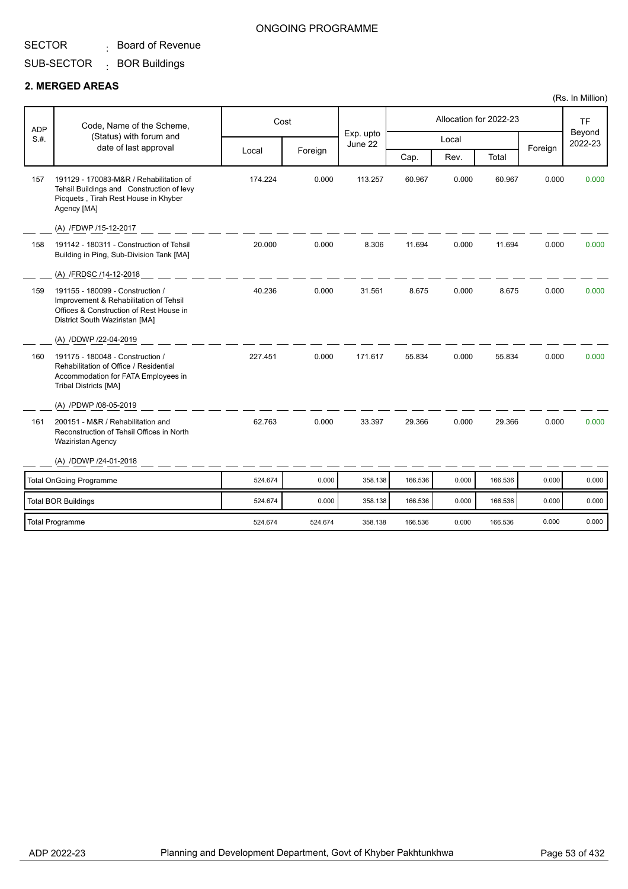#### SUB-SECTOR : BOR Buildings

#### **2. MERGED AREAS**

| Code, Name of the Scheme,<br><b>ADP</b> | Cost                                                                                                                                                                       |         |         |                      |         | Allocation for 2022-23 |         | <b>TF</b> |                   |
|-----------------------------------------|----------------------------------------------------------------------------------------------------------------------------------------------------------------------------|---------|---------|----------------------|---------|------------------------|---------|-----------|-------------------|
| S.H.                                    | (Status) with forum and<br>date of last approval                                                                                                                           |         |         | Exp. upto<br>June 22 |         | Local                  |         | Foreign   | Beyond<br>2022-23 |
|                                         |                                                                                                                                                                            | Local   | Foreign |                      | Cap.    | Rev.                   | Total   |           |                   |
| 157                                     | 191129 - 170083-M&R / Rehabilitation of<br>Tehsil Buildings and Construction of levy<br>Picquets, Tirah Rest House in Khyber<br>Agency [MA]                                | 174.224 | 0.000   | 113.257              | 60.967  | 0.000                  | 60.967  | 0.000     | 0.000             |
|                                         | (A) /FDWP /15-12-2017                                                                                                                                                      |         |         |                      |         |                        |         |           |                   |
| 158                                     | 191142 - 180311 - Construction of Tehsil<br>Building in Ping, Sub-Division Tank [MA]                                                                                       | 20.000  | 0.000   | 8.306                | 11.694  | 0.000                  | 11.694  | 0.000     | 0.000             |
|                                         | (A) /FRDSC /14-12-2018                                                                                                                                                     |         |         |                      |         |                        |         |           |                   |
| 159                                     | 191155 - 180099 - Construction /<br>Improvement & Rehabilitation of Tehsil<br>Offices & Construction of Rest House in<br>District South Waziristan [MA]                    | 40.236  | 0.000   | 31.561               | 8.675   | 0.000                  | 8.675   | 0.000     | 0.000             |
|                                         | (A) /DDWP /22-04-2019                                                                                                                                                      |         |         |                      |         |                        |         |           |                   |
| 160                                     | 191175 - 180048 - Construction /<br>Rehabilitation of Office / Residential<br>Accommodation for FATA Employees in<br><b>Tribal Districts [MA]</b><br>(A) /PDWP /08-05-2019 | 227.451 | 0.000   | 171.617              | 55.834  | 0.000                  | 55.834  | 0.000     | 0.000             |
| 161                                     | 200151 - M&R / Rehabilitation and<br>Reconstruction of Tehsil Offices in North<br><b>Waziristan Agency</b>                                                                 | 62.763  | 0.000   | 33.397               | 29.366  | 0.000                  | 29.366  | 0.000     | 0.000             |
|                                         | (A) /DDWP /24-01-2018                                                                                                                                                      |         |         |                      |         |                        |         |           |                   |
|                                         | <b>Total OnGoing Programme</b>                                                                                                                                             | 524.674 | 0.000   | 358.138              | 166.536 | 0.000                  | 166.536 | 0.000     | 0.000             |
|                                         | <b>Total BOR Buildings</b>                                                                                                                                                 | 524.674 | 0.000   | 358.138              | 166.536 | 0.000                  | 166.536 | 0.000     | 0.000             |
|                                         | <b>Total Programme</b>                                                                                                                                                     | 524.674 | 524.674 | 358.138              | 166.536 | 0.000                  | 166.536 | 0.000     | 0.000             |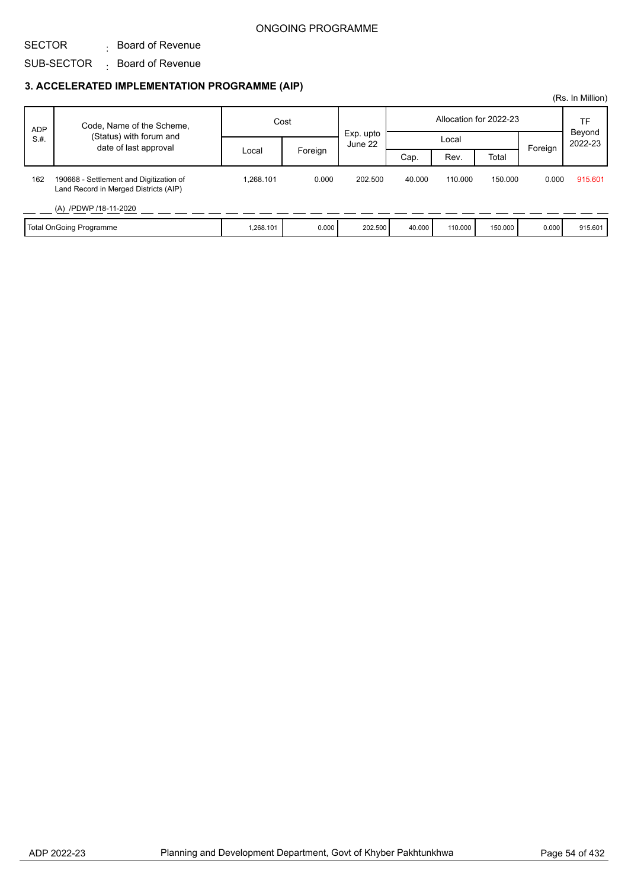#### SECTOR SUB-SECTOR  $\qquad \vdots$  Board of Revenue  $\colon$  Board of Revenue

|            |                                                                                  |           |         |                      |        |         |                        |         | (Rs. In Million)  |
|------------|----------------------------------------------------------------------------------|-----------|---------|----------------------|--------|---------|------------------------|---------|-------------------|
| <b>ADP</b> | Code, Name of the Scheme,                                                        | Cost      |         |                      |        |         | Allocation for 2022-23 |         | TF                |
| S.H.       | (Status) with forum and<br>date of last approval                                 |           |         | Exp. upto<br>June 22 |        | Local   |                        | Foreign | Beyond<br>2022-23 |
|            |                                                                                  | Local     | Foreign |                      | Cap.   | Rev.    | Total                  |         |                   |
| 162        | 190668 - Settlement and Digitization of<br>Land Record in Merged Districts (AIP) | .268.101  | 0.000   | 202.500              | 40.000 | 110.000 | 150.000                | 0.000   | 915.601           |
|            | (A) /PDWP /18-11-2020                                                            |           |         |                      |        |         |                        |         |                   |
|            | Total OnGoing Programme                                                          | 1,268.101 | 0.000   | 202.500              | 40.000 | 110.000 | 150.000                | 0.000   | 915.601           |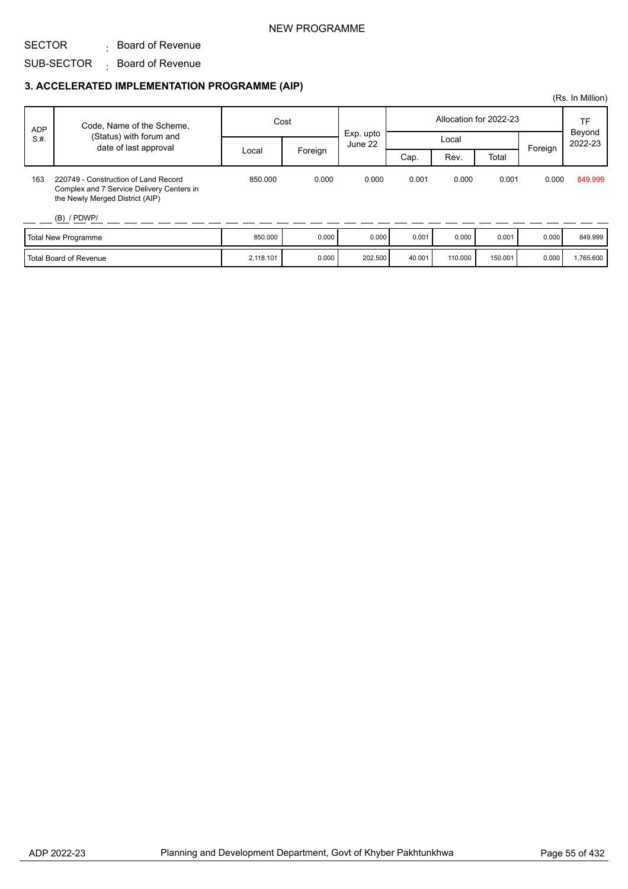### NEW PROGRAMME

#### SECTOR  $\colon$  Board of Revenue

## SUB-SECTOR  $\qquad \vdots$  Board of Revenue

|            |                                                                                                                      |           |         |                      |        |         |                        |         | (Rs. In Million)        |
|------------|----------------------------------------------------------------------------------------------------------------------|-----------|---------|----------------------|--------|---------|------------------------|---------|-------------------------|
| <b>ADP</b> | Code, Name of the Scheme,                                                                                            | Cost      |         |                      |        |         | Allocation for 2022-23 |         | TF<br>Beyond<br>2022-23 |
| S.H.       | (Status) with forum and<br>date of last approval                                                                     |           |         | Exp. upto<br>June 22 |        | Local   |                        | Foreign |                         |
|            |                                                                                                                      | Local     | Foreign |                      | Cap.   | Rev.    | Total                  |         |                         |
| 163        | 220749 - Construction of Land Record<br>Complex and 7 Service Delivery Centers in<br>the Newly Merged District (AIP) | 850,000   | 0.000   | 0.000                | 0.001  | 0.000   | 0.001                  | 0.000   | 849.999                 |
|            | $(B)$ / PDWP/                                                                                                        |           |         |                      |        |         |                        |         |                         |
|            | <b>Total New Programme</b>                                                                                           | 850.000   | 0.000   | 0.000                | 0.001  | 0.000   | 0.001                  | 0.000   | 849.999                 |
|            | <b>Total Board of Revenue</b>                                                                                        | 2,118.101 | 0.000   | 202.500              | 40.001 | 110.000 | 150.001                | 0.000   | 1,765.600               |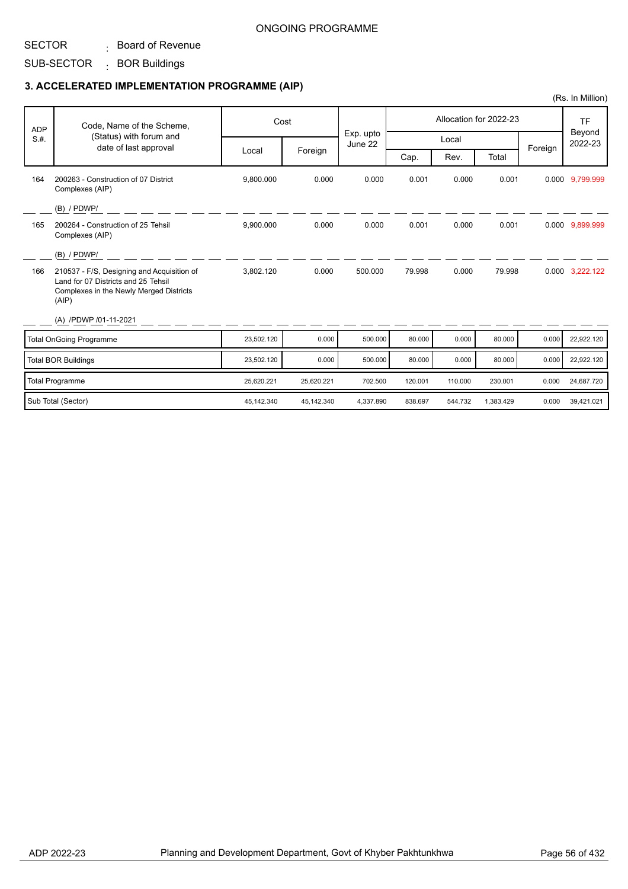SUB-SECTOR : BOR Buildings

|            |                                                                                                                                       |            |            |                      |         |         |                        |         | (Rs. In Million)  |
|------------|---------------------------------------------------------------------------------------------------------------------------------------|------------|------------|----------------------|---------|---------|------------------------|---------|-------------------|
| <b>ADP</b> | Code, Name of the Scheme,                                                                                                             |            | Cost       |                      |         |         | Allocation for 2022-23 |         | <b>TF</b>         |
| S.H.       | (Status) with forum and<br>date of last approval                                                                                      |            |            | Exp. upto<br>June 22 |         | Local   |                        |         | Beyond<br>2022-23 |
|            |                                                                                                                                       | Local      | Foreign    |                      | Cap.    | Rev.    | Total                  | Foreign |                   |
| 164        | 200263 - Construction of 07 District<br>Complexes (AIP)                                                                               | 9,800.000  | 0.000      | 0.000                | 0.001   | 0.000   | 0.001                  |         | 0.000 9.799.999   |
|            | (B) / PDWP/                                                                                                                           |            |            |                      |         |         |                        |         |                   |
| 165        | 200264 - Construction of 25 Tehsil<br>Complexes (AIP)                                                                                 | 9,900.000  | 0.000      | 0.000                | 0.001   | 0.000   | 0.001                  |         | 0.000 9,899.999   |
|            | $(B)$ / PDWP/                                                                                                                         |            |            |                      |         |         |                        |         |                   |
| 166        | 210537 - F/S, Designing and Acquisition of<br>Land for 07 Districts and 25 Tehsil<br>Complexes in the Newly Merged Districts<br>(AIP) | 3,802.120  | 0.000      | 500.000              | 79.998  | 0.000   | 79.998                 |         | 0.000 3,222.122   |
|            | (A) /PDWP /01-11-2021                                                                                                                 |            |            |                      |         |         |                        |         |                   |
|            | <b>Total OnGoing Programme</b>                                                                                                        | 23,502.120 | 0.000      | 500.000              | 80.000  | 0.000   | 80.000                 | 0.000   | 22,922.120        |
|            | <b>Total BOR Buildings</b>                                                                                                            | 23,502.120 | 0.000      | 500.000              | 80.000  | 0.000   | 80.000                 | 0.000   | 22,922.120        |
|            | <b>Total Programme</b>                                                                                                                | 25,620.221 | 25,620.221 | 702.500              | 120.001 | 110.000 | 230.001                | 0.000   | 24,687.720        |
|            | Sub Total (Sector)                                                                                                                    | 45,142.340 | 45,142.340 | 4,337.890            | 838.697 | 544.732 | 1,383.429              | 0.000   | 39,421.021        |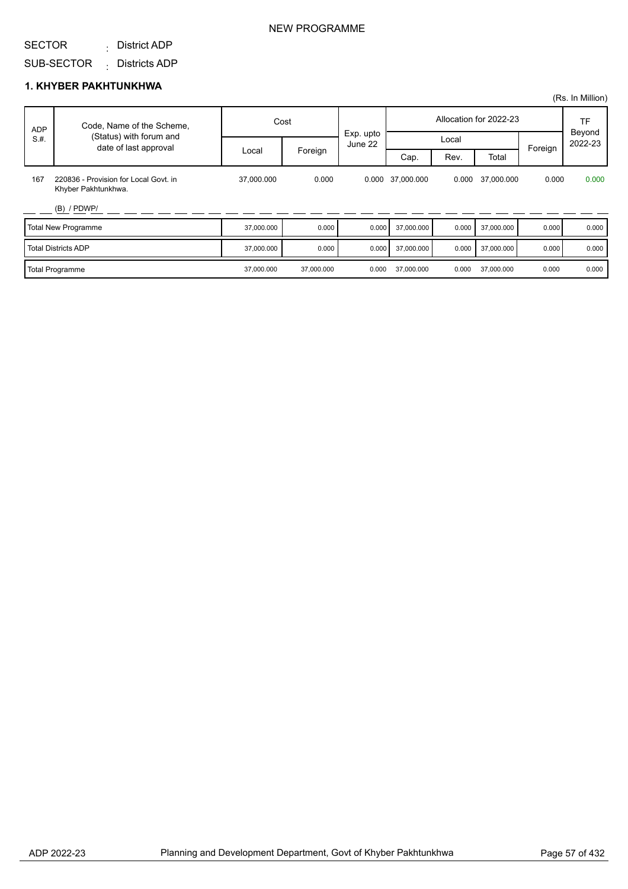District ADP :

SUB-SECTOR : Districts ADP

#### **1. KHYBER PAKHTUNKHWA**

|            |                                                              |            |            |                      |            |       |                        |         | (Rs. In Million)        |
|------------|--------------------------------------------------------------|------------|------------|----------------------|------------|-------|------------------------|---------|-------------------------|
| <b>ADP</b> | Code, Name of the Scheme,                                    |            | Cost       |                      |            |       | Allocation for 2022-23 |         | TF<br>Beyond<br>2022-23 |
| S.H.       | (Status) with forum and<br>date of last approval             |            |            | Exp. upto<br>June 22 |            | Local |                        | Foreign |                         |
|            |                                                              | Local      | Foreign    |                      | Cap.       | Rev.  | Total                  |         |                         |
| 167        | 220836 - Provision for Local Govt. in<br>Khyber Pakhtunkhwa. | 37,000.000 | 0.000      | 0.000                | 37,000.000 | 0.000 | 37,000.000             | 0.000   | 0.000                   |
|            | $(B)$ / PDWP/                                                |            |            |                      |            |       |                        |         |                         |
|            | <b>Total New Programme</b>                                   | 37,000.000 | 0.000      | 0.000                | 37,000.000 | 0.000 | 37,000.000             | 0.000   | 0.000                   |
|            | <b>Total Districts ADP</b>                                   | 37,000.000 | 0.000      | 0.000                | 37,000.000 | 0.000 | 37,000.000             | 0.000   | 0.000                   |
|            | Total Programme                                              | 37,000.000 | 37,000.000 | 0.000                | 37,000.000 | 0.000 | 37,000.000             | 0.000   | 0.000                   |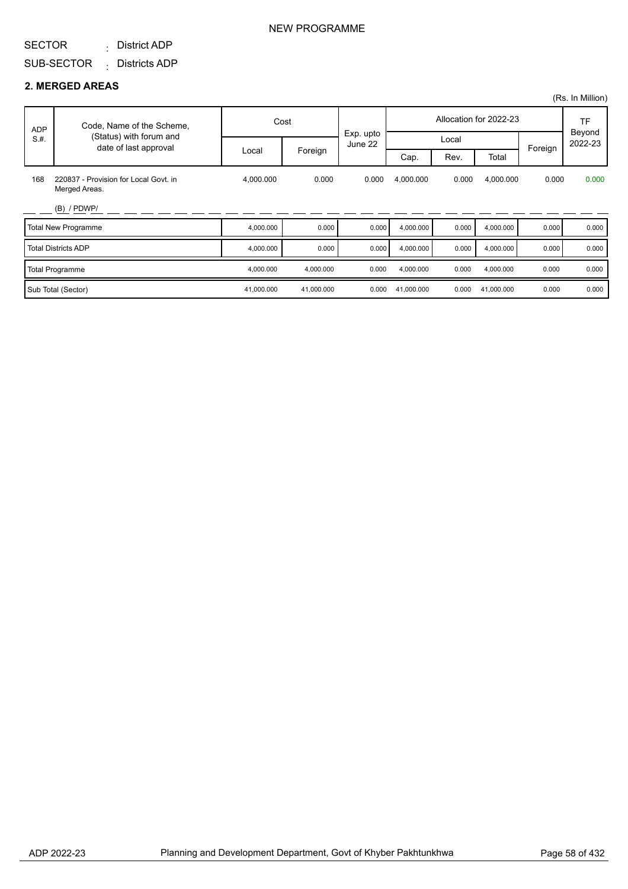District ADP :

### NEW PROGRAMME

#### SUB-SECTOR Districts ADP :

#### **2. MERGED AREAS**

|            |                                                        |            |            |                      |            |       |                        |         | (Rs. In Million)               |
|------------|--------------------------------------------------------|------------|------------|----------------------|------------|-------|------------------------|---------|--------------------------------|
| <b>ADP</b> | Code, Name of the Scheme,                              |            | Cost       |                      |            |       | Allocation for 2022-23 |         | <b>TF</b><br>Beyond<br>2022-23 |
| S.H.       | (Status) with forum and<br>date of last approval       |            |            | Exp. upto<br>June 22 |            | Local |                        |         |                                |
|            |                                                        | Local      | Foreign    |                      | Cap.       | Rev.  | Total                  | Foreign |                                |
| 168        | 220837 - Provision for Local Govt. in<br>Merged Areas. | 4,000.000  | 0.000      | 0.000                | 4,000.000  | 0.000 | 4,000.000              | 0.000   | 0.000                          |
|            | $(B)$ / PDWP/                                          |            |            |                      |            |       |                        |         |                                |
|            | <b>Total New Programme</b>                             | 4,000.000  | 0.000      | 0.000                | 4,000.000  | 0.000 | 4,000.000              | 0.000   | 0.000                          |
|            | <b>Total Districts ADP</b>                             | 4,000.000  | 0.000      | 0.000                | 4,000.000  | 0.000 | 4,000.000              | 0.000   | 0.000                          |
|            | <b>Total Programme</b>                                 | 4,000.000  | 4,000.000  | 0.000                | 4,000.000  | 0.000 | 4,000.000              | 0.000   | 0.000                          |
|            | Sub Total (Sector)                                     | 41,000.000 | 41,000.000 | 0.000                | 41,000.000 | 0.000 | 41,000.000             | 0.000   | 0.000                          |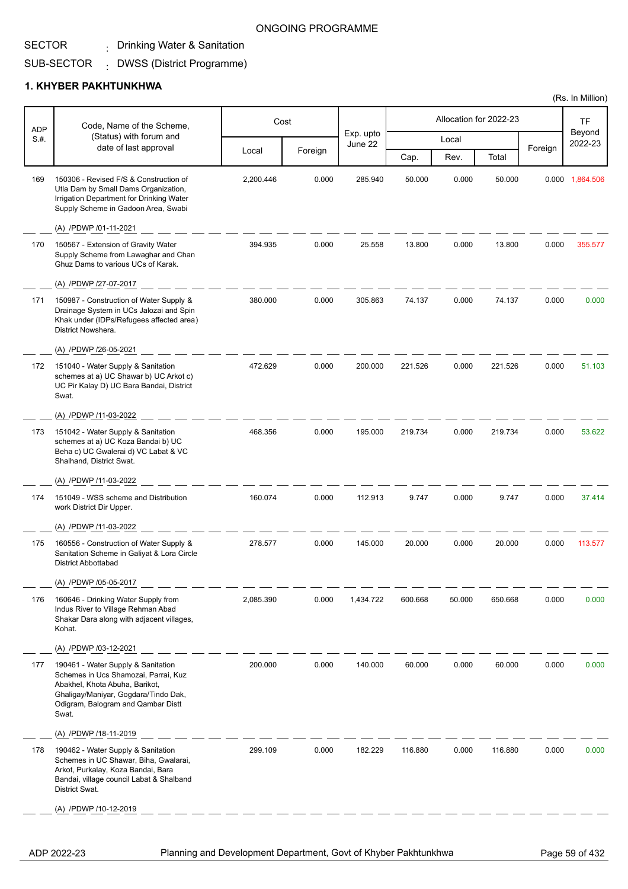## . Drinking Water & Sanitation

#### SUB-SECTOR DWSS (District Programme) :

### **1. KHYBER PAKHTUNKHWA**

| <b>ADP</b> | Code, Name of the Scheme,                                                                                                                                                                           |           | Cost    |                      |         |        | Allocation for 2022-23 |         | TF                |
|------------|-----------------------------------------------------------------------------------------------------------------------------------------------------------------------------------------------------|-----------|---------|----------------------|---------|--------|------------------------|---------|-------------------|
| S.H.       | (Status) with forum and<br>date of last approval                                                                                                                                                    |           |         | Exp. upto<br>June 22 |         | Local  |                        |         | Beyond<br>2022-23 |
|            |                                                                                                                                                                                                     | Local     | Foreign |                      | Cap.    | Rev.   | Total                  | Foreign |                   |
| 169        | 150306 - Revised F/S & Construction of<br>Utla Dam by Small Dams Organization,<br>Irrigation Department for Drinking Water<br>Supply Scheme in Gadoon Area, Swabi                                   | 2,200.446 | 0.000   | 285.940              | 50.000  | 0.000  | 50.000                 | 0.000   | 1,864.506         |
|            | (A) /PDWP /01-11-2021                                                                                                                                                                               |           |         |                      |         |        |                        |         |                   |
| 170        | 150567 - Extension of Gravity Water<br>Supply Scheme from Lawaghar and Chan<br>Ghuz Dams to various UCs of Karak.                                                                                   | 394.935   | 0.000   | 25.558               | 13.800  | 0.000  | 13.800                 | 0.000   | 355.577           |
|            | (A) /PDWP /27-07-2017                                                                                                                                                                               |           |         |                      |         |        |                        |         |                   |
| 171        | 150987 - Construction of Water Supply &<br>Drainage System in UCs Jalozai and Spin<br>Khak under (IDPs/Refugees affected area)<br>District Nowshera.                                                | 380.000   | 0.000   | 305.863              | 74.137  | 0.000  | 74.137                 | 0.000   | 0.000             |
|            | (A) /PDWP /26-05-2021                                                                                                                                                                               |           |         |                      |         |        |                        |         |                   |
| 172        | 151040 - Water Supply & Sanitation<br>schemes at a) UC Shawar b) UC Arkot c)<br>UC Pir Kalay D) UC Bara Bandai, District<br>Swat.                                                                   | 472.629   | 0.000   | 200.000              | 221.526 | 0.000  | 221.526                | 0.000   | 51.103            |
|            | (A) /PDWP /11-03-2022                                                                                                                                                                               |           |         |                      |         |        |                        |         |                   |
| 173        | 151042 - Water Supply & Sanitation<br>schemes at a) UC Koza Bandai b) UC<br>Beha c) UC Gwalerai d) VC Labat & VC<br>Shalhand, District Swat.                                                        | 468.356   | 0.000   | 195.000              | 219.734 | 0.000  | 219.734                | 0.000   | 53.622            |
|            | (A) /PDWP /11-03-2022                                                                                                                                                                               |           |         |                      |         |        |                        |         |                   |
| 174        | 151049 - WSS scheme and Distribution<br>work District Dir Upper.                                                                                                                                    | 160.074   | 0.000   | 112.913              | 9.747   | 0.000  | 9.747                  | 0.000   | 37.414            |
|            | (A) /PDWP /11-03-2022                                                                                                                                                                               |           |         |                      |         |        |                        |         |                   |
| 175        | 160556 - Construction of Water Supply &<br>Sanitation Scheme in Galiyat & Lora Circle<br><b>District Abbottabad</b>                                                                                 | 278.577   | 0.000   | 145.000              | 20.000  | 0.000  | 20.000                 | 0.000   | 113.577           |
|            | (A) /PDWP /05-05-2017                                                                                                                                                                               |           |         |                      |         |        |                        |         |                   |
| 176        | 160646 - Drinking Water Supply from<br>Indus River to Village Rehman Abad<br>Shakar Dara along with adjacent villages,<br>Kohat.                                                                    | 2,085.390 | 0.000   | 1,434.722            | 600.668 | 50.000 | 650.668                | 0.000   | 0.000             |
|            | (A) /PDWP /03-12-2021                                                                                                                                                                               |           |         |                      |         |        |                        |         |                   |
| 177        | 190461 - Water Supply & Sanitation<br>Schemes in Ucs Shamozai, Parrai, Kuz<br>Abakhel, Khota Abuha, Barikot,<br>Ghaligay/Maniyar, Gogdara/Tindo Dak,<br>Odigram, Balogram and Qambar Distt<br>Swat. | 200.000   | 0.000   | 140.000              | 60.000  | 0.000  | 60.000                 | 0.000   | 0.000             |
|            | (A) /PDWP /18-11-2019                                                                                                                                                                               |           |         |                      |         |        |                        |         |                   |
| 178        | 190462 - Water Supply & Sanitation<br>Schemes in UC Shawar, Biha, Gwalarai,<br>Arkot, Purkalay, Koza Bandai, Bara<br>Bandai, village council Labat & Shalband<br>District Swat.                     | 299.109   | 0.000   | 182.229              | 116.880 | 0.000  | 116.880                | 0.000   | 0.000             |
|            | (A) /PDWP /10-12-2019                                                                                                                                                                               |           |         |                      |         |        |                        |         |                   |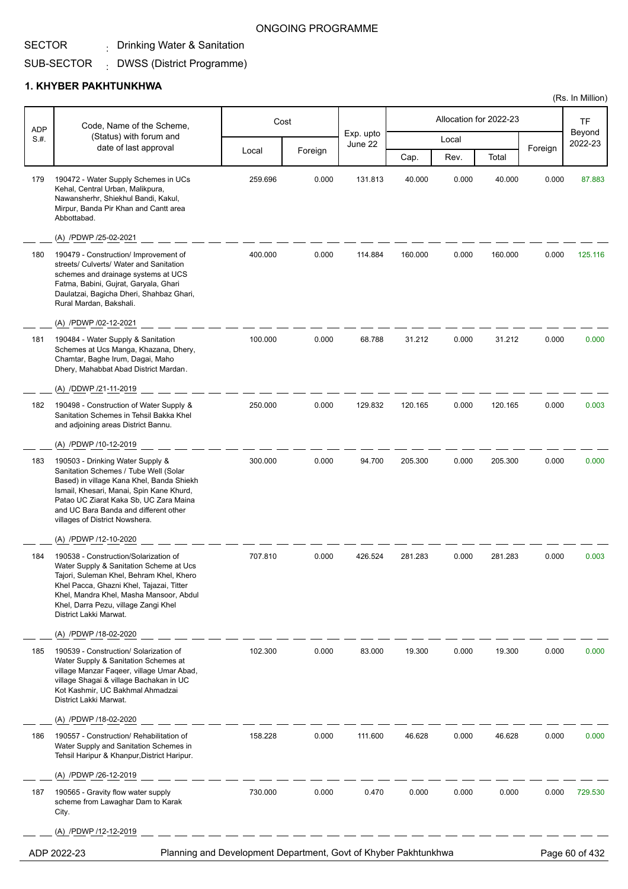## . Drinking Water & Sanitation

#### SUB-SECTOR DWSS (District Programme) :

#### **1. KHYBER PAKHTUNKHWA**

| <b>ADP</b> | Code, Name of the Scheme,<br>(Status) with forum and                                                                                                                                                                                                                                    |                                                                 | Cost    |                      |         |       | Allocation for 2022-23 |         | <b>TF</b>         |
|------------|-----------------------------------------------------------------------------------------------------------------------------------------------------------------------------------------------------------------------------------------------------------------------------------------|-----------------------------------------------------------------|---------|----------------------|---------|-------|------------------------|---------|-------------------|
| S.H.       |                                                                                                                                                                                                                                                                                         |                                                                 |         | Exp. upto<br>June 22 |         | Local |                        |         | Beyond<br>2022-23 |
|            | date of last approval                                                                                                                                                                                                                                                                   | Local                                                           | Foreign |                      | Cap.    | Rev.  | Total                  | Foreign |                   |
| 179        | 190472 - Water Supply Schemes in UCs<br>Kehal, Central Urban, Malikpura,<br>Nawansherhr, Shiekhul Bandi, Kakul,<br>Mirpur, Banda Pir Khan and Cantt area<br>Abbottabad.                                                                                                                 | 259.696                                                         | 0.000   | 131.813              | 40.000  | 0.000 | 40.000                 | 0.000   | 87.883            |
|            | (A) /PDWP /25-02-2021                                                                                                                                                                                                                                                                   |                                                                 |         |                      |         |       |                        |         |                   |
| 180        | 190479 - Construction/ Improvement of<br>streets/ Culverts/ Water and Sanitation<br>schemes and drainage systems at UCS<br>Fatma, Babini, Gujrat, Garyala, Ghari<br>Daulatzai, Bagicha Dheri, Shahbaz Ghari,<br>Rural Mardan, Bakshali.                                                 | 400.000                                                         | 0.000   | 114.884              | 160.000 | 0.000 | 160.000                | 0.000   | 125.116           |
|            | (A) /PDWP /02-12-2021                                                                                                                                                                                                                                                                   |                                                                 |         |                      |         |       |                        |         |                   |
| 181        | 190484 - Water Supply & Sanitation<br>Schemes at Ucs Manga, Khazana, Dhery,<br>Chamtar, Baghe Irum, Dagai, Maho<br>Dhery, Mahabbat Abad District Mardan.                                                                                                                                | 100.000                                                         | 0.000   | 68.788               | 31.212  | 0.000 | 31.212                 | 0.000   | 0.000             |
|            | (A) /DDWP /21-11-2019                                                                                                                                                                                                                                                                   |                                                                 |         |                      |         |       |                        |         |                   |
| 182        | 190498 - Construction of Water Supply &<br>Sanitation Schemes in Tehsil Bakka Khel<br>and adjoining areas District Bannu.                                                                                                                                                               | 250.000                                                         | 0.000   | 129.832              | 120.165 | 0.000 | 120.165                | 0.000   | 0.003             |
|            | (A) /PDWP /10-12-2019                                                                                                                                                                                                                                                                   |                                                                 |         |                      |         |       |                        |         |                   |
| 183        | 190503 - Drinking Water Supply &<br>Sanitation Schemes / Tube Well (Solar<br>Based) in village Kana Khel, Banda Shiekh<br>Ismail, Khesari, Manai, Spin Kane Khurd,<br>Patao UC Ziarat Kaka Sb, UC Zara Maina<br>and UC Bara Banda and different other<br>villages of District Nowshera. | 300.000                                                         | 0.000   | 94.700               | 205.300 | 0.000 | 205.300                | 0.000   | 0.000             |
|            | (A) /PDWP /12-10-2020                                                                                                                                                                                                                                                                   |                                                                 |         |                      |         |       |                        |         |                   |
| 184        | 190538 - Construction/Solarization of<br>Water Supply & Sanitation Scheme at Ucs<br>Tajori, Suleman Khel, Behram Khel, Khero<br>Khel Pacca, Ghazni Khel, Tajazai, Titter<br>Khel, Mandra Khel, Masha Mansoor, Abdul<br>Khel, Darra Pezu, village Zangi Khel<br>District Lakki Marwat.   | 707.810                                                         | 0.000   | 426.524              | 281.283 | 0.000 | 281.283                | 0.000   | 0.003             |
|            | (A) /PDWP /18-02-2020                                                                                                                                                                                                                                                                   |                                                                 |         |                      |         |       |                        |         |                   |
| 185        | 190539 - Construction/ Solarization of<br>Water Supply & Sanitation Schemes at<br>village Manzar Faqeer, village Umar Abad,<br>village Shagai & village Bachakan in UC<br>Kot Kashmir, UC Bakhmal Ahmadzai<br>District Lakki Marwat.                                                    | 102.300                                                         | 0.000   | 83.000               | 19.300  | 0.000 | 19.300                 | 0.000   | 0.000             |
|            | (A) /PDWP /18-02-2020                                                                                                                                                                                                                                                                   |                                                                 |         |                      |         |       |                        |         |                   |
| 186        | 190557 - Construction/ Rehabilitation of<br>Water Supply and Sanitation Schemes in<br>Tehsil Haripur & Khanpur, District Haripur.                                                                                                                                                       | 158.228                                                         | 0.000   | 111.600              | 46.628  | 0.000 | 46.628                 | 0.000   | 0.000             |
|            | (A) /PDWP /26-12-2019                                                                                                                                                                                                                                                                   |                                                                 |         |                      |         |       |                        |         |                   |
| 187        | 190565 - Gravity flow water supply<br>scheme from Lawaghar Dam to Karak<br>City.                                                                                                                                                                                                        | 730.000                                                         | 0.000   | 0.470                | 0.000   | 0.000 | 0.000                  | 0.000   | 729.530           |
|            | (A) /PDWP /12-12-2019                                                                                                                                                                                                                                                                   |                                                                 |         |                      |         |       |                        |         |                   |
|            | ADP 2022-23                                                                                                                                                                                                                                                                             | Planning and Development Department, Govt of Khyber Pakhtunkhwa |         |                      |         |       |                        |         | Page 60 of 432    |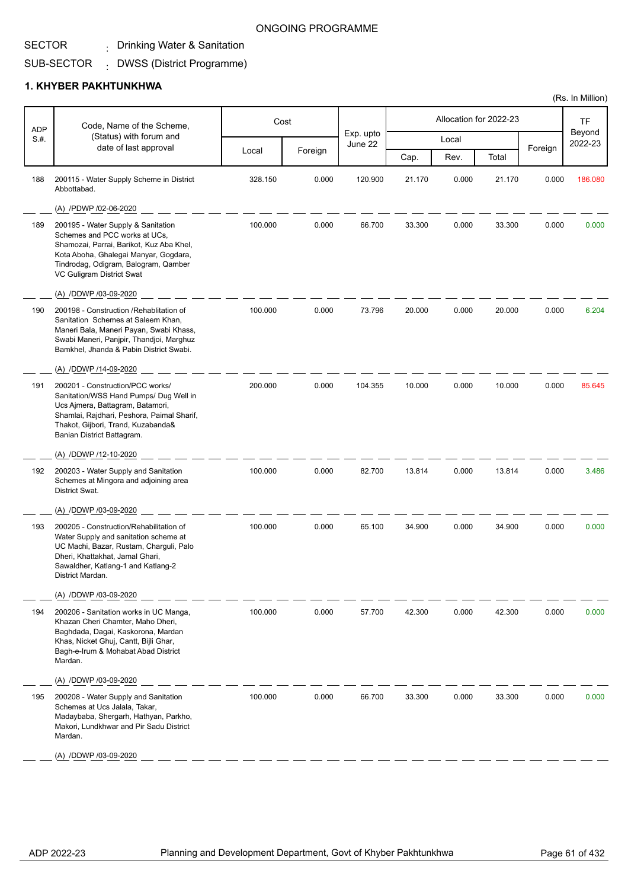## . Drinking Water & Sanitation

#### SUB-SECTOR DWSS (District Programme) :

#### **1. KHYBER PAKHTUNKHWA**

| <b>ADP</b> | Code, Name of the Scheme,                                                                                                                                                                                                                 |         | Cost    |                      |        |       | Allocation for 2022-23 |         | TF                |
|------------|-------------------------------------------------------------------------------------------------------------------------------------------------------------------------------------------------------------------------------------------|---------|---------|----------------------|--------|-------|------------------------|---------|-------------------|
| S.#.       | (Status) with forum and                                                                                                                                                                                                                   |         |         | Exp. upto<br>June 22 |        | Local |                        |         | Beyond<br>2022-23 |
|            | date of last approval                                                                                                                                                                                                                     | Local   | Foreign |                      | Cap.   | Rev.  | Total                  | Foreign |                   |
| 188        | 200115 - Water Supply Scheme in District<br>Abbottabad.                                                                                                                                                                                   | 328.150 | 0.000   | 120.900              | 21.170 | 0.000 | 21.170                 | 0.000   | 186.080           |
|            | (A) /PDWP /02-06-2020                                                                                                                                                                                                                     |         |         |                      |        |       |                        |         |                   |
| 189        | 200195 - Water Supply & Sanitation<br>Schemes and PCC works at UCs,<br>Shamozai, Parrai, Barikot, Kuz Aba Khel,<br>Kota Aboha, Ghalegai Manyar, Gogdara,<br>Tindrodag, Odigram, Balogram, Qamber<br>VC Guligram District Swat             | 100.000 | 0.000   | 66.700               | 33.300 | 0.000 | 33.300                 | 0.000   | 0.000             |
|            | (A) /DDWP /03-09-2020                                                                                                                                                                                                                     |         |         |                      |        |       |                        |         |                   |
| 190        | 200198 - Construction / Rehablitation of<br>Sanitation Schemes at Saleem Khan,<br>Maneri Bala, Maneri Payan, Swabi Khass,<br>Swabi Maneri, Panjpir, Thandjoi, Marghuz<br>Bamkhel, Jhanda & Pabin District Swabi.<br>(A) /DDWP /14-09-2020 | 100.000 | 0.000   | 73.796               | 20.000 | 0.000 | 20.000                 | 0.000   | 6.204             |
| 191        | 200201 - Construction/PCC works/<br>Sanitation/WSS Hand Pumps/ Dug Well in<br>Ucs Ajmera, Battagram, Batamori,<br>Shamlai, Rajdhari, Peshora, Paimal Sharif,<br>Thakot, Gijbori, Trand, Kuzabanda&<br>Banian District Battagram.          | 200.000 | 0.000   | 104.355              | 10.000 | 0.000 | 10.000                 | 0.000   | 85.645            |
|            | (A) /DDWP /12-10-2020                                                                                                                                                                                                                     |         |         |                      |        |       |                        |         |                   |
| 192        | 200203 - Water Supply and Sanitation<br>Schemes at Mingora and adjoining area<br>District Swat.                                                                                                                                           | 100.000 | 0.000   | 82.700               | 13.814 | 0.000 | 13.814                 | 0.000   | 3.486             |
|            | (A) /DDWP /03-09-2020                                                                                                                                                                                                                     |         |         |                      |        |       |                        |         |                   |
| 193        | 200205 - Construction/Rehabilitation of<br>Water Supply and sanitation scheme at<br>UC Machi, Bazar, Rustam, Charguli, Palo<br>Dheri, Khattakhat, Jamal Ghari,<br>Sawaldher, Katlang-1 and Katlang-2<br>District Mardan.                  | 100.000 | 0.000   | 65.100               | 34.900 | 0.000 | 34.900                 | 0.000   | 0.000             |
|            | (A) /DDWP /03-09-2020                                                                                                                                                                                                                     |         |         |                      |        |       |                        |         |                   |
| 194        | 200206 - Sanitation works in UC Manga,<br>Khazan Cheri Chamter, Maho Dheri,<br>Baghdada, Dagai, Kaskorona, Mardan<br>Khas, Nicket Ghuj, Cantt, Bijli Ghar,<br>Bagh-e-Irum & Mohabat Abad District<br>Mardan.                              | 100.000 | 0.000   | 57.700               | 42.300 | 0.000 | 42.300                 | 0.000   | 0.000             |
|            | (A) /DDWP /03-09-2020                                                                                                                                                                                                                     |         |         |                      |        |       |                        |         |                   |
| 195        | 200208 - Water Supply and Sanitation<br>Schemes at Ucs Jalala, Takar,<br>Madaybaba, Shergarh, Hathyan, Parkho,<br>Makori, Lundkhwar and Pir Sadu District<br>Mardan.                                                                      | 100.000 | 0.000   | 66.700               | 33.300 | 0.000 | 33.300                 | 0.000   | 0.000             |
|            | (A) /DDWP /03-09-2020                                                                                                                                                                                                                     |         |         |                      |        |       |                        |         |                   |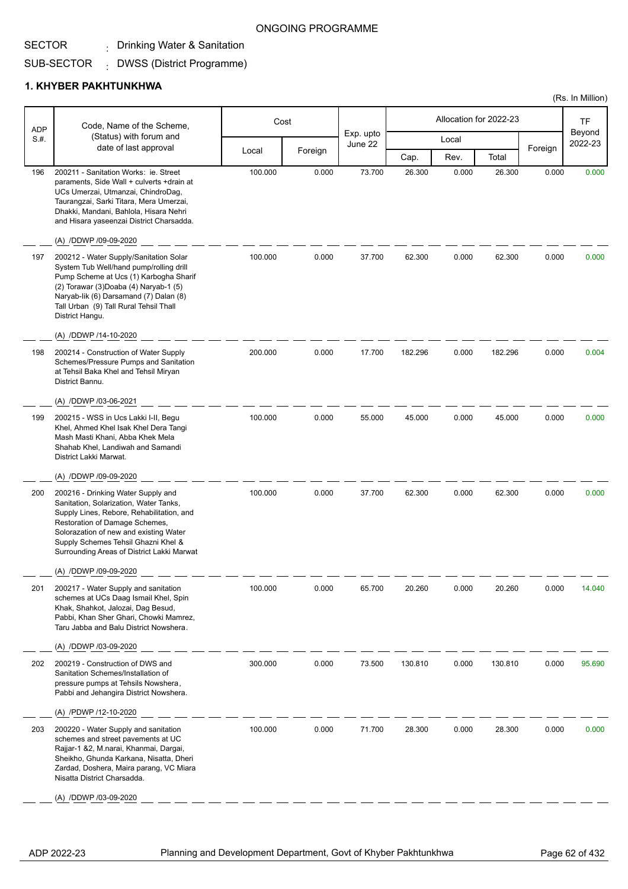## . Drinking Water & Sanitation

#### SUB-SECTOR DWSS (District Programme) :

### **1. KHYBER PAKHTUNKHWA**

|                    | Code, Name of the Scheme,                                                                                                                                                                                                                                                                  |         | Cost    |                      |         |       | Allocation for 2022-23 |         | <b>TF</b>         |
|--------------------|--------------------------------------------------------------------------------------------------------------------------------------------------------------------------------------------------------------------------------------------------------------------------------------------|---------|---------|----------------------|---------|-------|------------------------|---------|-------------------|
| <b>ADP</b><br>S.H. | (Status) with forum and                                                                                                                                                                                                                                                                    |         |         | Exp. upto<br>June 22 |         | Local |                        |         | Beyond<br>2022-23 |
|                    | date of last approval                                                                                                                                                                                                                                                                      | Local   | Foreign |                      | Cap.    | Rev.  | Total                  | Foreign |                   |
| 196                | 200211 - Sanitation Works: ie. Street<br>paraments, Side Wall + culverts +drain at<br>UCs Umerzai, Utmanzai, ChindroDag,<br>Taurangzai, Sarki Titara, Mera Umerzai,<br>Dhakki, Mandani, Bahlola, Hisara Nehri<br>and Hisara yaseenzai District Charsadda.                                  | 100.000 | 0.000   | 73.700               | 26.300  | 0.000 | 26.300                 | 0.000   | 0.000             |
|                    | (A) /DDWP /09-09-2020                                                                                                                                                                                                                                                                      |         |         |                      |         |       |                        |         |                   |
| 197                | 200212 - Water Supply/Sanitation Solar<br>System Tub Well/hand pump/rolling drill<br>Pump Scheme at Ucs (1) Karbogha Sharif<br>(2) Torawar (3) Doaba (4) Naryab-1 (5)<br>Naryab-lik (6) Darsamand (7) Dalan (8)<br>Tall Urban (9) Tall Rural Tehsil Thall<br>District Hangu.               | 100.000 | 0.000   | 37.700               | 62.300  | 0.000 | 62.300                 | 0.000   | 0.000             |
|                    | (A) /DDWP /14-10-2020                                                                                                                                                                                                                                                                      |         |         |                      |         |       |                        |         |                   |
| 198                | 200214 - Construction of Water Supply<br>Schemes/Pressure Pumps and Sanitation<br>at Tehsil Baka Khel and Tehsil Miryan<br>District Bannu.                                                                                                                                                 | 200.000 | 0.000   | 17.700               | 182.296 | 0.000 | 182.296                | 0.000   | 0.004             |
|                    | (A) /DDWP /03-06-2021                                                                                                                                                                                                                                                                      |         |         |                      |         |       |                        |         |                   |
| 199                | 200215 - WSS in Ucs Lakki I-II, Begu<br>Khel, Ahmed Khel Isak Khel Dera Tangi<br>Mash Masti Khani, Abba Khek Mela<br>Shahab Khel, Landiwah and Samandi<br>District Lakki Marwat.                                                                                                           | 100.000 | 0.000   | 55.000               | 45.000  | 0.000 | 45.000                 | 0.000   | 0.000             |
|                    | (A) /DDWP /09-09-2020                                                                                                                                                                                                                                                                      |         |         |                      |         |       |                        |         |                   |
| 200                | 200216 - Drinking Water Supply and<br>Sanitation, Solarization, Water Tanks,<br>Supply Lines, Rebore, Rehabilitation, and<br>Restoration of Damage Schemes,<br>Solorazation of new and existing Water<br>Supply Schemes Tehsil Ghazni Khel &<br>Surrounding Areas of District Lakki Marwat | 100.000 | 0.000   | 37.700               | 62.300  | 0.000 | 62.300                 | 0.000   | 0.000             |
|                    | (A) /DDWP /09-09-2020                                                                                                                                                                                                                                                                      |         |         |                      |         |       |                        |         |                   |
| 201                | 200217 - Water Supply and sanitation<br>schemes at UCs Daag Ismail Khel, Spin<br>Khak, Shahkot, Jalozai, Dag Besud,<br>Pabbi, Khan Sher Ghari, Chowki Mamrez,<br>Taru Jabba and Balu District Nowshera.<br>(A) /DDWP /03-09-2020                                                           | 100.000 | 0.000   | 65.700               | 20.260  | 0.000 | 20.260                 | 0.000   | 14.040            |
| 202                | 200219 - Construction of DWS and<br>Sanitation Schemes/Installation of<br>pressure pumps at Tehsils Nowshera,<br>Pabbi and Jehangira District Nowshera.                                                                                                                                    | 300.000 | 0.000   | 73.500               | 130.810 | 0.000 | 130.810                | 0.000   | 95.690            |
|                    | (A) /PDWP /12-10-2020                                                                                                                                                                                                                                                                      |         |         |                      |         |       |                        |         |                   |
| 203                | 200220 - Water Supply and sanitation<br>schemes and street pavements at UC<br>Rajjar-1 &2, M.narai, Khanmai, Dargai,<br>Sheikho, Ghunda Karkana, Nisatta, Dheri<br>Zardad, Doshera, Maira parang, VC Miara<br>Nisatta District Charsadda.                                                  | 100.000 | 0.000   | 71.700               | 28.300  | 0.000 | 28.300                 | 0.000   | 0.000             |
|                    | (A) /DDWP /03-09-2020                                                                                                                                                                                                                                                                      |         |         |                      |         |       |                        |         |                   |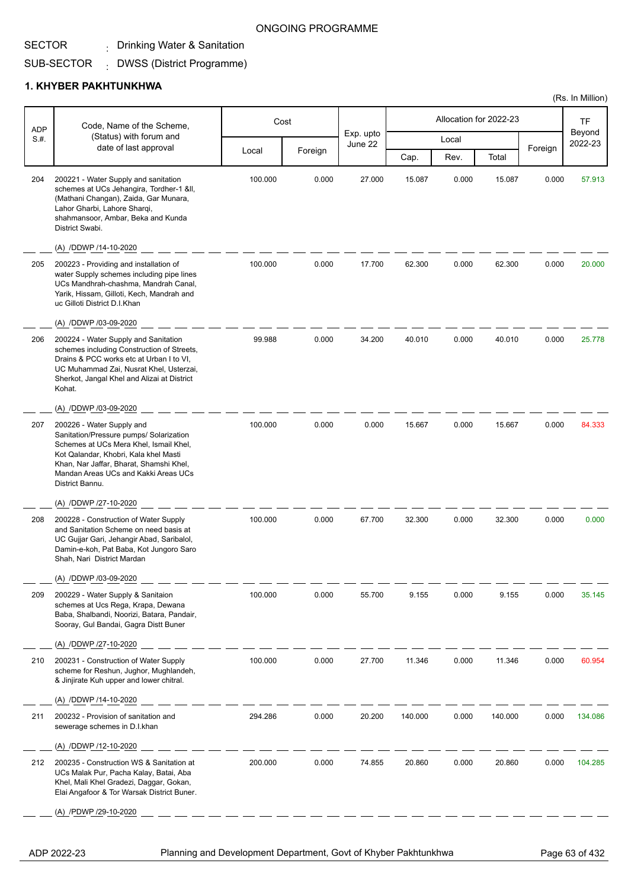## . Drinking Water & Sanitation

#### SUB-SECTOR DWSS (District Programme) :

### **1. KHYBER PAKHTUNKHWA**

| <b>ADP</b> | Code, Name of the Scheme,                                                                                                                                                                                                                                     |         | Cost    |                      |         |       | Allocation for 2022-23 |         | <b>TF</b>         |
|------------|---------------------------------------------------------------------------------------------------------------------------------------------------------------------------------------------------------------------------------------------------------------|---------|---------|----------------------|---------|-------|------------------------|---------|-------------------|
| S.H.       | (Status) with forum and<br>date of last approval                                                                                                                                                                                                              |         |         | Exp. upto<br>June 22 |         | Local |                        |         | Beyond<br>2022-23 |
|            |                                                                                                                                                                                                                                                               | Local   | Foreign |                      | Cap.    | Rev.  | Total                  | Foreign |                   |
| 204        | 200221 - Water Supply and sanitation<br>schemes at UCs Jehangira, Tordher-1 ≪,<br>(Mathani Changan), Zaida, Gar Munara,<br>Lahor Gharbi, Lahore Sharqi,<br>shahmansoor, Ambar, Beka and Kunda<br>District Swabi.                                              | 100.000 | 0.000   | 27.000               | 15.087  | 0.000 | 15.087                 | 0.000   | 57.913            |
|            | (A) /DDWP /14-10-2020                                                                                                                                                                                                                                         |         |         |                      |         |       |                        |         |                   |
| 205        | 200223 - Providing and installation of<br>water Supply schemes including pipe lines<br>UCs Mandhrah-chashma, Mandrah Canal,<br>Yarik, Hissam, Gilloti, Kech, Mandrah and<br>uc Gilloti District D.I.Khan                                                      | 100.000 | 0.000   | 17.700               | 62.300  | 0.000 | 62.300                 | 0.000   | 20.000            |
|            | (A) /DDWP /03-09-2020                                                                                                                                                                                                                                         |         |         |                      |         |       |                        |         |                   |
| 206        | 200224 - Water Supply and Sanitation<br>schemes including Construction of Streets,<br>Drains & PCC works etc at Urban I to VI,<br>UC Muhammad Zai, Nusrat Khel, Usterzai,<br>Sherkot, Jangal Khel and Alizai at District<br>Kohat.                            | 99.988  | 0.000   | 34.200               | 40.010  | 0.000 | 40.010                 | 0.000   | 25.778            |
|            | (A) /DDWP /03-09-2020                                                                                                                                                                                                                                         |         |         |                      |         |       |                        |         |                   |
| 207        | 200226 - Water Supply and<br>Sanitation/Pressure pumps/ Solarization<br>Schemes at UCs Mera Khel, Ismail Khel,<br>Kot Qalandar, Khobri, Kala khel Masti<br>Khan, Nar Jaffar, Bharat, Shamshi Khel,<br>Mandan Areas UCs and Kakki Areas UCs<br>District Bannu. | 100.000 | 0.000   | 0.000                | 15.667  | 0.000 | 15.667                 | 0.000   | 84.333            |
|            | (A) /DDWP /27-10-2020                                                                                                                                                                                                                                         |         |         |                      |         |       |                        |         |                   |
| 208        | 200228 - Construction of Water Supply<br>and Sanitation Scheme on need basis at<br>UC Gujjar Gari, Jehangir Abad, Saribalol,<br>Damin-e-koh, Pat Baba, Kot Jungoro Saro<br>Shah, Nari District Mardan                                                         | 100.000 | 0.000   | 67.700               | 32.300  | 0.000 | 32.300                 | 0.000   | 0.000             |
|            | (A) /DDWP /03-09-2020                                                                                                                                                                                                                                         |         |         |                      |         |       |                        |         |                   |
| 209        | 200229 - Water Supply & Sanitaion<br>schemes at Ucs Rega, Krapa, Dewana<br>Baba, Shalbandi, Noorizi, Batara, Pandair,<br>Sooray, Gul Bandai, Gagra Distt Buner<br>(A) /DDWP /27-10-2020                                                                       | 100.000 | 0.000   | 55.700               | 9.155   | 0.000 | 9.155                  | 0.000   | 35.145            |
| 210        | 200231 - Construction of Water Supply<br>scheme for Reshun, Jughor, Mughlandeh,<br>& Jinjirate Kuh upper and lower chitral.                                                                                                                                   | 100.000 | 0.000   | 27.700               | 11.346  | 0.000 | 11.346                 | 0.000   | 60.954            |
|            | (A) /DDWP /14-10-2020                                                                                                                                                                                                                                         |         |         |                      |         |       |                        |         |                   |
| 211        | 200232 - Provision of sanitation and<br>sewerage schemes in D.I.khan                                                                                                                                                                                          | 294.286 | 0.000   | 20.200               | 140.000 | 0.000 | 140.000                | 0.000   | 134.086           |
|            | (A) /DDWP /12-10-2020                                                                                                                                                                                                                                         |         |         |                      |         |       |                        |         |                   |
| 212        | 200235 - Construction WS & Sanitation at<br>UCs Malak Pur, Pacha Kalay, Batai, Aba<br>Khel, Mali Khel Gradezi, Daggar, Gokan,<br>Elai Angafoor & Tor Warsak District Buner.                                                                                   | 200.000 | 0.000   | 74.855               | 20.860  | 0.000 | 20.860                 | 0.000   | 104.285           |
|            | (A) /PDWP /29-10-2020                                                                                                                                                                                                                                         |         |         |                      |         |       |                        |         |                   |
|            |                                                                                                                                                                                                                                                               |         |         |                      |         |       |                        |         |                   |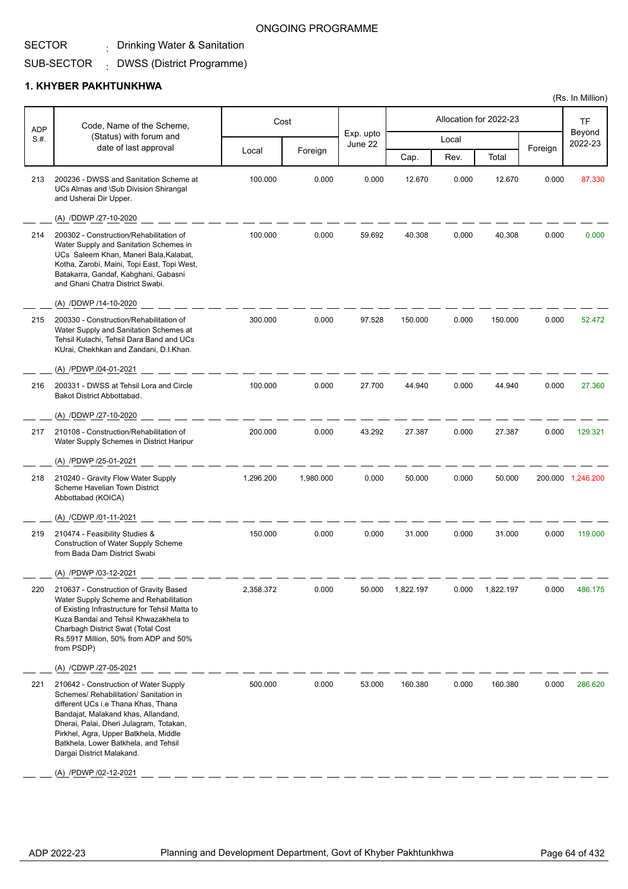## . Drinking Water & Sanitation

#### SUB-SECTOR DWSS (District Programme) :

### **1. KHYBER PAKHTUNKHWA**

| <b>ADP</b> | Code, Name of the Scheme,                                                                                                                                                                                                                                                                                              |           | Cost      |                      |           |       | Allocation for 2022-23 |         | <b>TF</b>         |
|------------|------------------------------------------------------------------------------------------------------------------------------------------------------------------------------------------------------------------------------------------------------------------------------------------------------------------------|-----------|-----------|----------------------|-----------|-------|------------------------|---------|-------------------|
| S.#.       | (Status) with forum and<br>date of last approval                                                                                                                                                                                                                                                                       |           |           | Exp. upto<br>June 22 |           | Local |                        | Foreign | Beyond<br>2022-23 |
|            |                                                                                                                                                                                                                                                                                                                        | Local     | Foreign   |                      | Cap.      | Rev.  | Total                  |         |                   |
| 213        | 200236 - DWSS and Sanitation Scheme at<br>UCs Almas and \Sub Division Shirangal<br>and Usherai Dir Upper.                                                                                                                                                                                                              | 100.000   | 0.000     | 0.000                | 12.670    | 0.000 | 12.670                 | 0.000   | 87.330            |
|            | (A) /DDWP /27-10-2020                                                                                                                                                                                                                                                                                                  |           |           |                      |           |       |                        |         |                   |
| 214        | 200302 - Construction/Rehabilitation of<br>Water Supply and Sanitation Schemes in<br>UCs Saleem Khan, Maneri Bala, Kalabat,<br>Kotha, Zarobi, Maini, Topi East, Topi West,<br>Batakarra, Gandaf, Kabghani, Gabasni<br>and Ghani Chatra District Swabi.                                                                 | 100.000   | 0.000     | 59.692               | 40.308    | 0.000 | 40.308                 | 0.000   | 0.000             |
|            | (A) /DDWP /14-10-2020                                                                                                                                                                                                                                                                                                  |           |           |                      |           |       |                        |         |                   |
| 215        | 200330 - Construction/Rehabilitation of<br>Water Supply and Sanitation Schemes at<br>Tehsil Kulachi, Tehsil Dara Band and UCs<br>KUrai, Chekhkan and Zandani, D.I.Khan.                                                                                                                                                | 300.000   | 0.000     | 97.528               | 150.000   | 0.000 | 150.000                | 0.000   | 52.472            |
|            | (A) /PDWP /04-01-2021                                                                                                                                                                                                                                                                                                  |           |           |                      |           |       |                        |         |                   |
| 216        | 200331 - DWSS at Tehsil Lora and Circle<br>Bakot District Abbottabad.                                                                                                                                                                                                                                                  | 100.000   | 0.000     | 27.700               | 44.940    | 0.000 | 44.940                 | 0.000   | 27.360            |
|            | (A) /DDWP /27-10-2020                                                                                                                                                                                                                                                                                                  |           |           |                      |           |       |                        |         |                   |
| 217        | 210108 - Construction/Rehabilitation of<br>Water Supply Schemes in District Haripur                                                                                                                                                                                                                                    | 200.000   | 0.000     | 43.292               | 27.387    | 0.000 | 27.387                 | 0.000   | 129.321           |
|            | (A) /PDWP /25-01-2021                                                                                                                                                                                                                                                                                                  |           |           |                      |           |       |                        |         |                   |
| 218        | 210240 - Gravity Flow Water Supply<br>Scheme Havelian Town District<br>Abbottabad (KOICA)                                                                                                                                                                                                                              | 1,296.200 | 1,980.000 | 0.000                | 50.000    | 0.000 | 50.000                 |         | 200.000 1,246.200 |
|            | (A) /CDWP /01-11-2021                                                                                                                                                                                                                                                                                                  |           |           |                      |           |       |                        |         |                   |
| 219        | 210474 - Feasibility Studies &<br><b>Construction of Water Supply Scheme</b><br>from Bada Dam District Swabi                                                                                                                                                                                                           | 150.000   | 0.000     | 0.000                | 31.000    | 0.000 | 31.000                 | 0.000   | 119.000           |
|            | (A) /PDWP /03-12-2021                                                                                                                                                                                                                                                                                                  |           |           |                      |           |       |                        |         |                   |
| 220        | 210637 - Construction of Gravity Based<br>Water Supply Scheme and Rehabilitation<br>of Existing Infrastructure for Tehsil Matta to<br>Kuza Bandai and Tehsil Khwazakhela to<br>Charbagh District Swat (Total Cost<br>Rs.5917 Million, 50% from ADP and 50%<br>from PSDP)                                               | 2,358.372 | 0.000     | 50.000               | 1,822.197 | 0.000 | 1,822.197              | 0.000   | 486.175           |
|            | (A) /CDWP /27-05-2021                                                                                                                                                                                                                                                                                                  |           |           |                      |           |       |                        |         |                   |
| 221        | 210642 - Construction of Water Supply<br>Schemes/ Rehabilitation/ Sanitation in<br>different UCs i.e Thana Khas, Thana<br>Bandajat, Malakand khas, Allandand,<br>Dherai, Palai, Dheri Julagram, Totakan,<br>Pirkhel, Agra, Upper Batkhela, Middle<br>Batkhela, Lower Batkhela, and Tehsil<br>Dargai District Malakand. | 500.000   | 0.000     | 53.000               | 160.380   | 0.000 | 160.380                | 0.000   | 286.620           |
|            | (A) /PDWP /02-12-2021                                                                                                                                                                                                                                                                                                  |           |           |                      |           |       |                        |         |                   |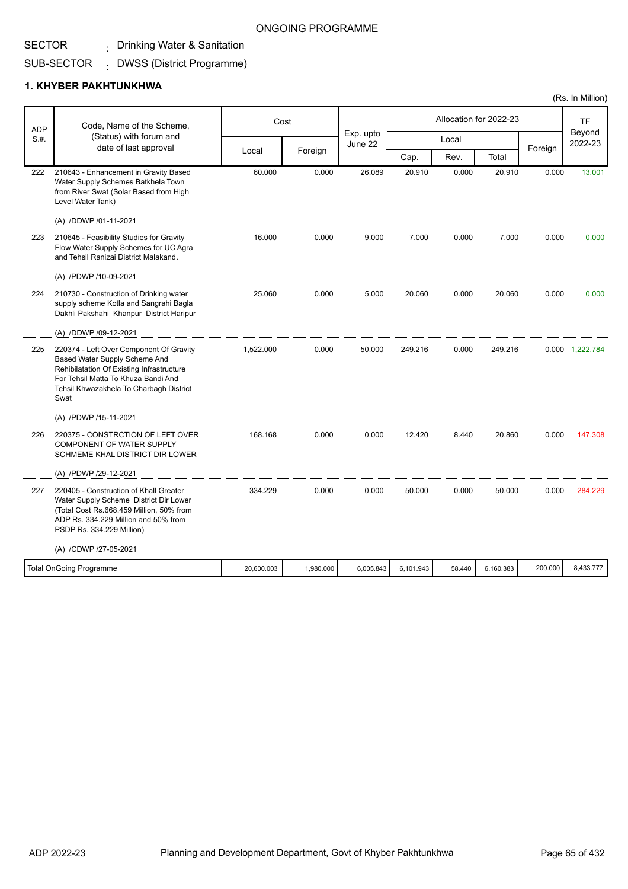## . Drinking Water & Sanitation

#### SUB-SECTOR DWSS (District Programme) :

### **1. KHYBER PAKHTUNKHWA**

| <b>ADP</b> | Code, Name of the Scheme,                                                                                                                                                                                       |            | Cost      | Exp. upto |           |        | Allocation for 2022-23 |         | <b>TF</b><br>Beyond |
|------------|-----------------------------------------------------------------------------------------------------------------------------------------------------------------------------------------------------------------|------------|-----------|-----------|-----------|--------|------------------------|---------|---------------------|
| S.H.       | (Status) with forum and<br>date of last approval                                                                                                                                                                |            |           | June 22   |           | Local  |                        | Foreign | 2022-23             |
|            |                                                                                                                                                                                                                 | Local      | Foreign   |           | Cap.      | Rev.   | Total                  |         |                     |
| 222        | 210643 - Enhancement in Gravity Based<br>Water Supply Schemes Batkhela Town<br>from River Swat (Solar Based from High<br>Level Water Tank)                                                                      | 60.000     | 0.000     | 26.089    | 20.910    | 0.000  | 20.910                 | 0.000   | 13.001              |
|            | (A) /DDWP /01-11-2021                                                                                                                                                                                           |            |           |           |           |        |                        |         |                     |
| 223        | 210645 - Feasibility Studies for Gravity<br>Flow Water Supply Schemes for UC Agra<br>and Tehsil Ranizai District Malakand.                                                                                      | 16.000     | 0.000     | 9.000     | 7.000     | 0.000  | 7.000                  | 0.000   | 0.000               |
|            | (A) /PDWP /10-09-2021                                                                                                                                                                                           |            |           |           |           |        |                        |         |                     |
| 224        | 210730 - Construction of Drinking water<br>supply scheme Kotla and Sangrahi Bagla<br>Dakhli Pakshahi Khanpur District Haripur                                                                                   | 25.060     | 0.000     | 5.000     | 20.060    | 0.000  | 20.060                 | 0.000   | 0.000               |
|            | (A) /DDWP /09-12-2021                                                                                                                                                                                           |            |           |           |           |        |                        |         |                     |
| 225        | 220374 - Left Over Component Of Gravity<br>Based Water Supply Scheme And<br>Rehibilatation Of Existing Infrastructure<br>For Tehsil Matta To Khuza Bandi And<br>Tehsil Khwazakhela To Charbagh District<br>Swat | 1,522.000  | 0.000     | 50.000    | 249.216   | 0.000  | 249.216                |         | 0.000 1,222.784     |
|            | (A) /PDWP /15-11-2021                                                                                                                                                                                           |            |           |           |           |        |                        |         |                     |
| 226        | 220375 - CONSTRCTION OF LEFT OVER<br><b>COMPONENT OF WATER SUPPLY</b><br>SCHMEME KHAL DISTRICT DIR LOWER                                                                                                        | 168.168    | 0.000     | 0.000     | 12.420    | 8.440  | 20.860                 | 0.000   | 147.308             |
|            | (A) /PDWP /29-12-2021                                                                                                                                                                                           |            |           |           |           |        |                        |         |                     |
| 227        | 220405 - Construction of Khall Greater<br>Water Supply Scheme District Dir Lower<br>(Total Cost Rs.668.459 Million, 50% from<br>ADP Rs. 334.229 Million and 50% from<br>PSDP Rs. 334.229 Million)               | 334.229    | 0.000     | 0.000     | 50.000    | 0.000  | 50.000                 | 0.000   | 284.229             |
|            | (A) /CDWP /27-05-2021                                                                                                                                                                                           |            |           |           |           |        |                        |         |                     |
|            | <b>Total OnGoing Programme</b>                                                                                                                                                                                  | 20,600.003 | 1,980.000 | 6,005.843 | 6,101.943 | 58.440 | 6,160.383              | 200.000 | 8,433.777           |
|            |                                                                                                                                                                                                                 |            |           |           |           |        |                        |         |                     |

ONGOING PROGRAMME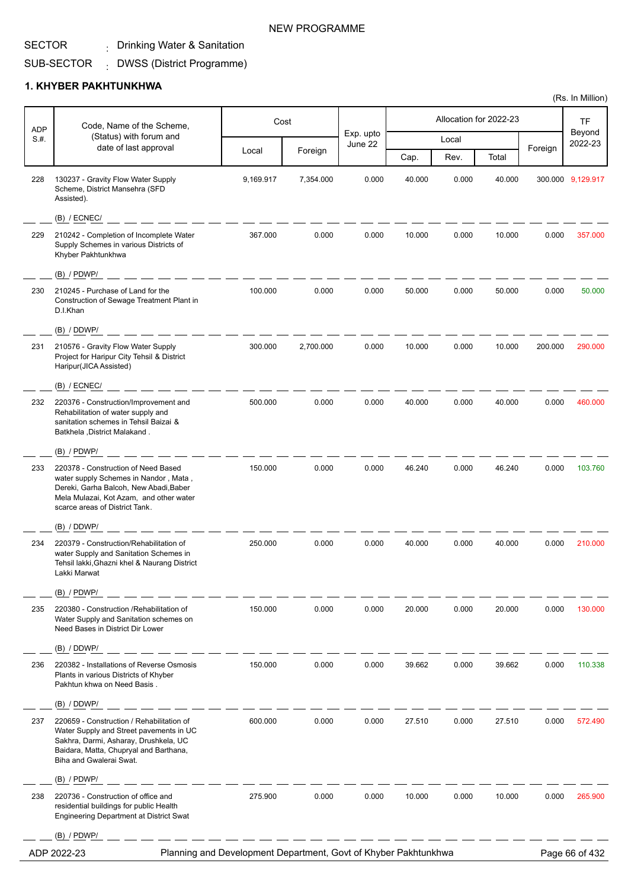## . Drinking Water & Sanitation

#### SUB-SECTOR DWSS (District Programme) :

## **1. KHYBER PAKHTUNKHWA**

| <b>ADP</b> | Code, Name of the Scheme,                                                                                                                                                                           |           | Cost      |                      |        |       | Allocation for 2022-23 |         | TF                |
|------------|-----------------------------------------------------------------------------------------------------------------------------------------------------------------------------------------------------|-----------|-----------|----------------------|--------|-------|------------------------|---------|-------------------|
| S.#.       | (Status) with forum and<br>date of last approval                                                                                                                                                    |           |           | Exp. upto<br>June 22 |        | Local |                        | Foreign | Beyond<br>2022-23 |
|            |                                                                                                                                                                                                     | Local     | Foreign   |                      | Cap.   | Rev.  | Total                  |         |                   |
| 228        | 130237 - Gravity Flow Water Supply<br>Scheme, District Mansehra (SFD<br>Assisted).                                                                                                                  | 9,169.917 | 7,354.000 | 0.000                | 40.000 | 0.000 | 40.000                 |         | 300.000 9,129.917 |
|            | $(B)$ / ECNEC/                                                                                                                                                                                      |           |           |                      |        |       |                        |         |                   |
| 229        | 210242 - Completion of Incomplete Water<br>Supply Schemes in various Districts of<br>Khyber Pakhtunkhwa                                                                                             | 367.000   | 0.000     | 0.000                | 10.000 | 0.000 | 10.000                 | 0.000   | 357.000           |
|            | $(B)$ / PDWP/                                                                                                                                                                                       |           |           |                      |        |       |                        |         |                   |
| 230        | 210245 - Purchase of Land for the<br>Construction of Sewage Treatment Plant in<br>D.I.Khan                                                                                                          | 100.000   | 0.000     | 0.000                | 50.000 | 0.000 | 50.000                 | 0.000   | 50.000            |
|            | (B) / DDWP/                                                                                                                                                                                         |           |           |                      |        |       |                        |         |                   |
| 231        | 210576 - Gravity Flow Water Supply<br>Project for Haripur City Tehsil & District<br>Haripur(JICA Assisted)                                                                                          | 300.000   | 2,700.000 | 0.000                | 10.000 | 0.000 | 10.000                 | 200.000 | 290.000           |
|            | $(B)$ / ECNEC/                                                                                                                                                                                      |           |           |                      |        |       |                        |         |                   |
| 232        | 220376 - Construction/Improvement and<br>Rehabilitation of water supply and<br>sanitation schemes in Tehsil Baizai &<br>Batkhela, District Malakand.                                                | 500.000   | 0.000     | 0.000                | 40.000 | 0.000 | 40.000                 | 0.000   | 460.000           |
|            | $(B)$ / PDWP/                                                                                                                                                                                       |           |           |                      |        |       |                        |         |                   |
| 233        | 220378 - Construction of Need Based<br>water supply Schemes in Nandor, Mata,<br>Dereki, Garha Balcoh, New Abadi, Baber<br>Mela Mulazai, Kot Azam, and other water<br>scarce areas of District Tank. | 150.000   | 0.000     | 0.000                | 46.240 | 0.000 | 46.240                 | 0.000   | 103.760           |
|            | (B) / DDWP/                                                                                                                                                                                         |           |           |                      |        |       |                        |         |                   |
| 234        | 220379 - Construction/Rehabilitation of<br>water Supply and Sanitation Schemes in<br>Tehsil lakki, Ghazni khel & Naurang District<br>Lakki Marwat                                                   | 250.000   | 0.000     | 0.000                | 40.000 | 0.000 | 40.000                 | 0.000   | 210.000           |
|            | $(B)$ / PDWP/                                                                                                                                                                                       |           |           |                      |        |       |                        |         |                   |
| 235        | 220380 - Construction / Rehabilitation of<br>Water Supply and Sanitation schemes on<br>Need Bases in District Dir Lower                                                                             | 150.000   | 0.000     | 0.000                | 20.000 | 0.000 | 20.000                 | 0.000   | 130.000           |
|            | (B) / DDWP/                                                                                                                                                                                         |           |           |                      |        |       |                        |         |                   |
| 236        | 220382 - Installations of Reverse Osmosis<br>Plants in various Districts of Khyber<br>Pakhtun khwa on Need Basis.                                                                                   | 150.000   | 0.000     | 0.000                | 39.662 | 0.000 | 39.662                 | 0.000   | 110.338           |
|            | (B) / DDWP/                                                                                                                                                                                         |           |           |                      |        |       |                        |         |                   |
| 237        | 220659 - Construction / Rehabilitation of<br>Water Supply and Street pavements in UC<br>Sakhra, Darmi, Asharay, Drushkela, UC<br>Baidara, Matta, Chupryal and Barthana,<br>Biha and Gwalerai Swat.  | 600.000   | 0.000     | 0.000                | 27.510 | 0.000 | 27.510                 | 0.000   | 572.490           |
|            | $(B)$ / PDWP/                                                                                                                                                                                       |           |           |                      |        |       |                        |         |                   |
| 238        | 220736 - Construction of office and<br>residential buildings for public Health<br><b>Engineering Department at District Swat</b>                                                                    | 275.900   | 0.000     | 0.000                | 10.000 | 0.000 | 10.000                 | 0.000   | 265.900           |
|            | $(B)$ / PDWP/                                                                                                                                                                                       |           |           |                      |        |       |                        |         |                   |
|            | Planning and Development Department, Govt of Khyber Pakhtunkhwa<br>ADP 2022-23                                                                                                                      |           |           |                      |        |       |                        |         | Page 66 of 432    |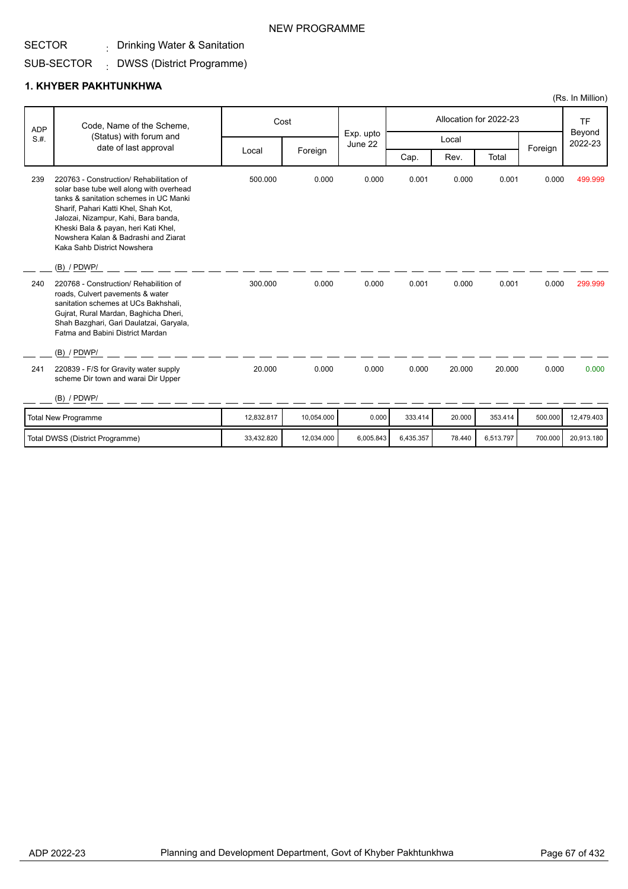## . Drinking Water & Sanitation

#### SUB-SECTOR DWSS (District Programme) :

## **1. KHYBER PAKHTUNKHWA**

|      | Code, Name of the Scheme,<br><b>ADP</b>                                                                                                                                                                                                                                                                                       |            | Cost       |                      |           |        | Allocation for 2022-23 |         | <b>TF</b>         |
|------|-------------------------------------------------------------------------------------------------------------------------------------------------------------------------------------------------------------------------------------------------------------------------------------------------------------------------------|------------|------------|----------------------|-----------|--------|------------------------|---------|-------------------|
| S.H. | (Status) with forum and                                                                                                                                                                                                                                                                                                       |            |            | Exp. upto<br>June 22 |           | Local  |                        |         | Beyond<br>2022-23 |
|      | date of last approval                                                                                                                                                                                                                                                                                                         | Local      | Foreign    |                      | Cap.      | Rev.   | Total                  | Foreign |                   |
| 239  | 220763 - Construction/ Rehabilitation of<br>solar base tube well along with overhead<br>tanks & sanitation schemes in UC Manki<br>Sharif, Pahari Katti Khel, Shah Kot,<br>Jalozai, Nizampur, Kahi, Bara banda,<br>Kheski Bala & payan, heri Kati Khel,<br>Nowshera Kalan & Badrashi and Ziarat<br>Kaka Sahb District Nowshera | 500.000    | 0.000      | 0.000                | 0.001     | 0.000  | 0.001                  | 0.000   | 499.999           |
|      | $(B)$ / PDWP/                                                                                                                                                                                                                                                                                                                 |            |            |                      |           |        |                        |         |                   |
| 240  | 220768 - Construction/ Rehabilition of<br>roads, Culvert pavements & water<br>sanitation schemes at UCs Bakhshali.<br>Gujrat, Rural Mardan, Baghicha Dheri,<br>Shah Bazghari, Gari Daulatzai, Garyala,<br>Fatma and Babini District Mardan<br>$(B)$ / PDWP/                                                                   | 300.000    | 0.000      | 0.000                | 0.001     | 0.000  | 0.001                  | 0.000   | 299.999           |
| 241  | 220839 - F/S for Gravity water supply<br>scheme Dir town and warai Dir Upper<br>$(B)$ / PDWP/                                                                                                                                                                                                                                 | 20.000     | 0.000      | 0.000                | 0.000     | 20.000 | 20.000                 | 0.000   | 0.000             |
|      |                                                                                                                                                                                                                                                                                                                               |            |            |                      |           |        |                        |         |                   |
|      | Total New Programme                                                                                                                                                                                                                                                                                                           | 12,832.817 | 10,054.000 | 0.000                | 333.414   | 20.000 | 353.414                | 500.000 | 12,479.403        |
|      | Total DWSS (District Programme)                                                                                                                                                                                                                                                                                               | 33,432.820 | 12,034.000 | 6,005.843            | 6,435.357 | 78.440 | 6,513.797              | 700.000 | 20,913.180        |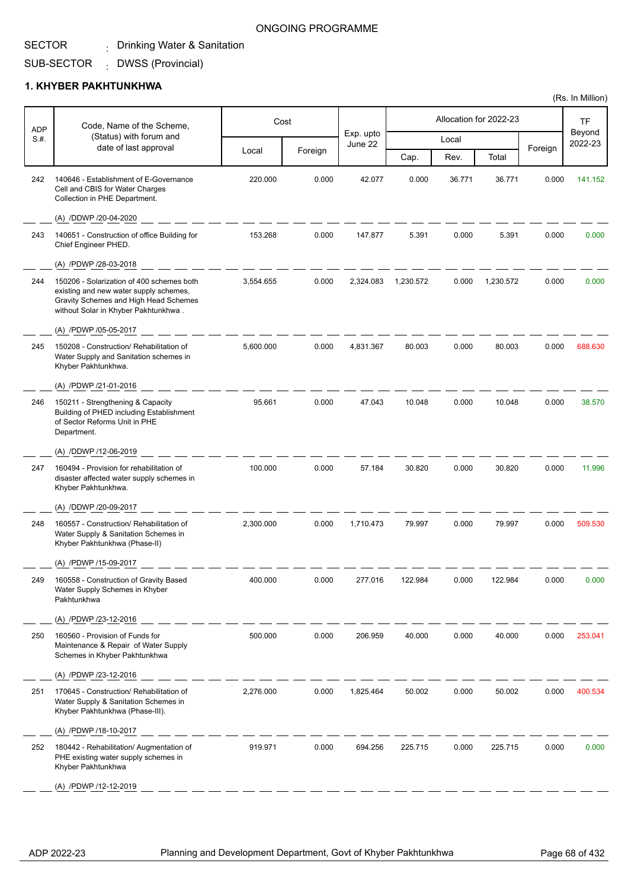#### SECTOR . Drinking Water & Sanitation

#### ONGOING PROGRAMME

SUB-SECTOR DWSS (Provincial) :

### **1. KHYBER PAKHTUNKHWA**

| ADP  | Code, Name of the Scheme,                                                                                                                                            |           | Cost    |                      |           |        | Allocation for 2022-23 |              | TF                |
|------|----------------------------------------------------------------------------------------------------------------------------------------------------------------------|-----------|---------|----------------------|-----------|--------|------------------------|--------------|-------------------|
| S.H. | (Status) with forum and                                                                                                                                              |           |         | Exp. upto<br>June 22 |           | Local  |                        |              | Beyond<br>2022-23 |
|      | date of last approval                                                                                                                                                | Local     | Foreign |                      | Cap.      | Rev.   | Total                  | Foreign      |                   |
| 242  | 140646 - Establishment of E-Governance<br>Cell and CBIS for Water Charges<br>Collection in PHE Department.                                                           | 220.000   | 0.000   | 42.077               | 0.000     | 36.771 | 36.771                 | 0.000        | 141.152           |
|      | (A) /DDWP /20-04-2020                                                                                                                                                |           |         |                      |           |        |                        |              |                   |
| 243  | 140651 - Construction of office Building for<br>Chief Engineer PHED.                                                                                                 | 153.268   | 0.000   | 147.877              | 5.391     | 0.000  | 5.391                  | 0.000        | 0.000             |
|      | (A) /PDWP /28-03-2018                                                                                                                                                |           |         |                      |           |        |                        |              |                   |
| 244  | 150206 - Solarization of 400 schemes both<br>existing and new water supply schemes,<br>Gravity Schemes and High Head Schemes<br>without Solar in Khyber Pakhtunkhwa. | 3,554.655 | 0.000   | 2,324.083            | 1,230.572 | 0.000  | 1,230.572              | 0.000        | 0.000             |
|      | (A) /PDWP /05-05-2017                                                                                                                                                |           |         |                      |           |        |                        |              |                   |
| 245  | 150208 - Construction/ Rehabilitation of<br>Water Supply and Sanitation schemes in<br>Khyber Pakhtunkhwa.                                                            | 5,600.000 | 0.000   | 4,831.367            | 80.003    | 0.000  | 80.003                 | 0.000        | 688.630           |
|      | (A) /PDWP /21-01-2016                                                                                                                                                |           |         |                      |           |        |                        |              |                   |
| 246  | 150211 - Strengthening & Capacity<br>Building of PHED including Establishment<br>of Sector Reforms Unit in PHE<br>Department.                                        | 95.661    | 0.000   | 47.043               | 10.048    | 0.000  | 10.048                 | 0.000        | 38.570            |
|      | (A) /DDWP /12-06-2019                                                                                                                                                |           |         |                      |           |        |                        |              |                   |
| 247  | 160494 - Provision for rehabilitation of<br>disaster affected water supply schemes in<br>Khyber Pakhtunkhwa.                                                         | 100.000   | 0.000   | 57.184               | 30.820    | 0.000  | 30.820                 | 0.000        | 11.996            |
|      | (A) /DDWP /20-09-2017                                                                                                                                                |           |         |                      |           |        |                        |              |                   |
| 248  | 160557 - Construction/ Rehabilitation of<br>Water Supply & Sanitation Schemes in<br>Khyber Pakhtunkhwa (Phase-II)                                                    | 2,300.000 | 0.000   | 1,710.473            | 79.997    | 0.000  | 79.997                 | 0.000        | 509.530           |
|      | (A) /PDWP /15-09-2017                                                                                                                                                |           |         |                      |           |        |                        |              |                   |
| 249  | 160558 - Construction of Gravity Based<br>Water Supply Schemes in Khyber<br>Pakhtunkhwa                                                                              | 400.000   | 0.000   | 277.016              | 122.984   | 0.000  | 122.984                | <b>0.000</b> | <b>U.UUU</b>      |
|      | (A) /PDWP /23-12-2016                                                                                                                                                |           |         |                      |           |        |                        |              |                   |
| 250  | 160560 - Provision of Funds for<br>Maintenance & Repair of Water Supply<br>Schemes in Khyber Pakhtunkhwa                                                             | 500.000   | 0.000   | 206.959              | 40.000    | 0.000  | 40.000                 | 0.000        | 253.041           |
|      | (A) /PDWP /23-12-2016                                                                                                                                                |           |         |                      |           |        |                        |              |                   |
| 251  | 170645 - Construction/ Rehabilitation of<br>Water Supply & Sanitation Schemes in<br>Khyber Pakhtunkhwa (Phase-III).                                                  | 2,276.000 | 0.000   | 1,825.464            | 50.002    | 0.000  | 50.002                 | 0.000        | 400.534           |
|      | (A) /PDWP /18-10-2017                                                                                                                                                |           |         |                      |           |        |                        |              |                   |
| 252  | 180442 - Rehabilitation/ Augmentation of<br>PHE existing water supply schemes in<br>Khyber Pakhtunkhwa                                                               | 919.971   | 0.000   | 694.256              | 225.715   | 0.000  | 225.715                | 0.000        | 0.000             |
|      | (A) /PDWP /12-12-2019                                                                                                                                                |           |         |                      |           |        |                        |              |                   |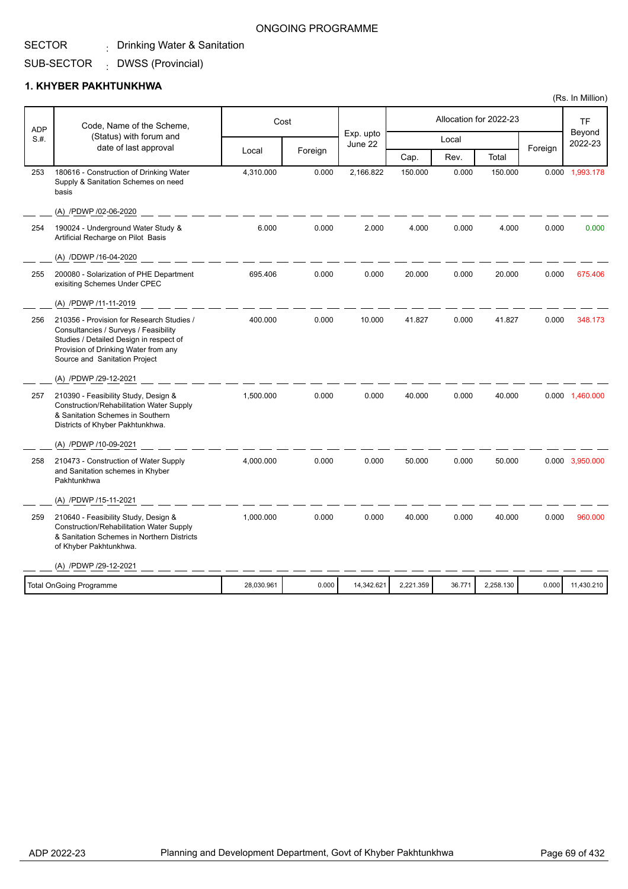#### SECTOR . Drinking Water & Sanitation

#### ONGOING PROGRAMME

SUB-SECTOR DWSS (Provincial) :

### **1. KHYBER PAKHTUNKHWA**

| <b>ADP</b> | Code, Name of the Scheme,                                                                                                                                                                              |            | Cost    | Exp. upto  |           |        | Allocation for 2022-23 |         | <b>TF</b><br>Beyond |
|------------|--------------------------------------------------------------------------------------------------------------------------------------------------------------------------------------------------------|------------|---------|------------|-----------|--------|------------------------|---------|---------------------|
| S.H.       | (Status) with forum and<br>date of last approval                                                                                                                                                       |            | Foreign | June 22    |           | Local  |                        | Foreign | 2022-23             |
|            |                                                                                                                                                                                                        | Local      |         |            | Cap.      | Rev.   | Total                  |         |                     |
| 253        | 180616 - Construction of Drinking Water<br>Supply & Sanitation Schemes on need<br>basis                                                                                                                | 4,310.000  | 0.000   | 2,166.822  | 150.000   | 0.000  | 150.000                | 0.000   | 1,993.178           |
|            | (A) /PDWP /02-06-2020                                                                                                                                                                                  |            |         |            |           |        |                        |         |                     |
| 254        | 190024 - Underground Water Study &<br>Artificial Recharge on Pilot Basis                                                                                                                               | 6.000      | 0.000   | 2.000      | 4.000     | 0.000  | 4.000                  | 0.000   | 0.000               |
|            | (A) /DDWP /16-04-2020                                                                                                                                                                                  |            |         |            |           |        |                        |         |                     |
| 255        | 200080 - Solarization of PHE Department<br>exisiting Schemes Under CPEC                                                                                                                                | 695.406    | 0.000   | 0.000      | 20.000    | 0.000  | 20.000                 | 0.000   | 675.406             |
|            | (A) /PDWP /11-11-2019                                                                                                                                                                                  |            |         |            |           |        |                        |         |                     |
| 256        | 210356 - Provision for Research Studies /<br>Consultancies / Surveys / Feasibility<br>Studies / Detailed Design in respect of<br>Provision of Drinking Water from any<br>Source and Sanitation Project | 400.000    | 0.000   | 10.000     | 41.827    | 0.000  | 41.827                 | 0.000   | 348.173             |
|            | (A) /PDWP /29-12-2021                                                                                                                                                                                  |            |         |            |           |        |                        |         |                     |
| 257        | 210390 - Feasibility Study, Design &<br><b>Construction/Rehabilitation Water Supply</b><br>& Sanitation Schemes in Southern<br>Districts of Khyber Pakhtunkhwa.                                        | 1.500.000  | 0.000   | 0.000      | 40.000    | 0.000  | 40.000                 |         | 0.000 1,460.000     |
|            | (A) /PDWP /10-09-2021                                                                                                                                                                                  |            |         |            |           |        |                        |         |                     |
| 258        | 210473 - Construction of Water Supply<br>and Sanitation schemes in Khyber<br>Pakhtunkhwa                                                                                                               | 4,000.000  | 0.000   | 0.000      | 50.000    | 0.000  | 50.000                 |         | 0.000 3,950.000     |
|            | (A) /PDWP /15-11-2021                                                                                                                                                                                  |            |         |            |           |        |                        |         |                     |
| 259        | 210640 - Feasibility Study, Design &<br><b>Construction/Rehabilitation Water Supply</b><br>& Sanitation Schemes in Northern Districts<br>of Khyber Pakhtunkhwa.                                        | 1.000.000  | 0.000   | 0.000      | 40.000    | 0.000  | 40.000                 | 0.000   | 960.000             |
|            | (A) /PDWP /29-12-2021                                                                                                                                                                                  |            |         |            |           |        |                        |         |                     |
|            | <b>Total OnGoing Programme</b>                                                                                                                                                                         | 28,030.961 | 0.000   | 14,342.621 | 2,221.359 | 36.771 | 2,258.130              | 0.000   | 11,430.210          |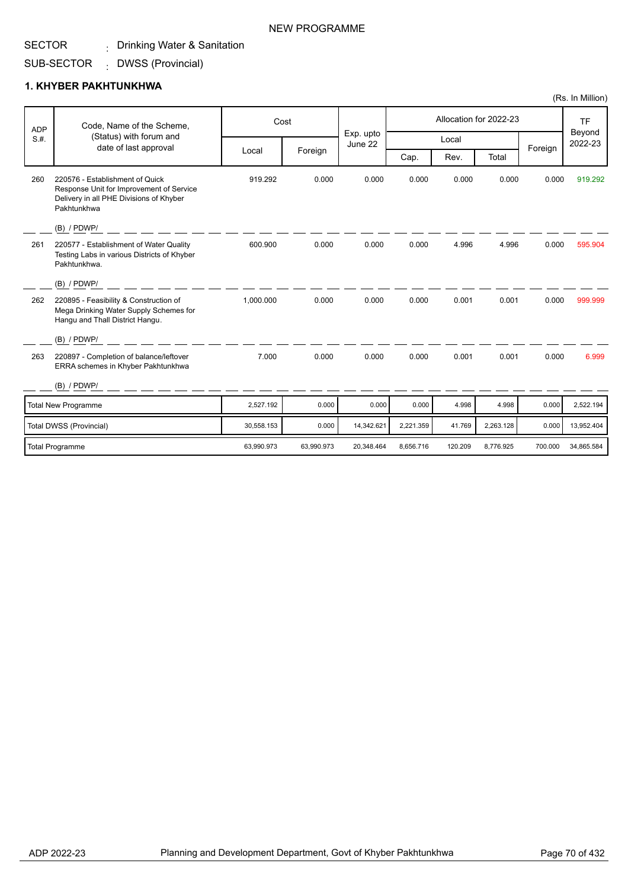#### SECTOR . Drinking Water & Sanitation

#### SUB-SECTOR DWSS (Provincial) :

### **1. KHYBER PAKHTUNKHWA**

|      | Code, Name of the Scheme,<br><b>ADP</b>                                                                                               |            | Cost       |                      |           |         | Allocation for 2022-23 |         | <b>TF</b>         |
|------|---------------------------------------------------------------------------------------------------------------------------------------|------------|------------|----------------------|-----------|---------|------------------------|---------|-------------------|
| S.H. | (Status) with forum and                                                                                                               |            |            | Exp. upto<br>June 22 |           | Local   |                        |         | Beyond<br>2022-23 |
|      | date of last approval                                                                                                                 | Local      | Foreign    |                      | Cap.      | Rev.    | Total                  | Foreign |                   |
| 260  | 220576 - Establishment of Quick<br>Response Unit for Improvement of Service<br>Delivery in all PHE Divisions of Khyber<br>Pakhtunkhwa | 919.292    | 0.000      | 0.000                | 0.000     | 0.000   | 0.000                  | 0.000   | 919.292           |
|      | (B) / PDWP/                                                                                                                           |            |            |                      |           |         |                        |         |                   |
| 261  | 220577 - Establishment of Water Quality<br>Testing Labs in various Districts of Khyber<br>Pakhtunkhwa.                                | 600.900    | 0.000      | 0.000                | 0.000     | 4.996   | 4.996                  | 0.000   | 595.904           |
|      | $(B)$ / PDWP/                                                                                                                         |            |            |                      |           |         |                        |         |                   |
| 262  | 220895 - Feasibility & Construction of<br>Mega Drinking Water Supply Schemes for<br>Hangu and Thall District Hangu.                   | 1,000.000  | 0.000      | 0.000                | 0.000     | 0.001   | 0.001                  | 0.000   | 999.999           |
|      | $(B)$ / PDWP/                                                                                                                         |            |            |                      |           |         |                        |         |                   |
| 263  | 220897 - Completion of balance/leftover<br>ERRA schemes in Khyber Pakhtunkhwa                                                         | 7.000      | 0.000      | 0.000                | 0.000     | 0.001   | 0.001                  | 0.000   | 6.999             |
|      | (B) / PDWP/                                                                                                                           |            |            |                      |           |         |                        |         |                   |
|      | <b>Total New Programme</b>                                                                                                            | 2,527.192  | 0.000      | 0.000                | 0.000     | 4.998   | 4.998                  | 0.000   | 2,522.194         |
|      | Total DWSS (Provincial)                                                                                                               | 30,558.153 | 0.000      | 14,342.621           | 2,221.359 | 41.769  | 2,263.128              | 0.000   | 13,952.404        |
|      | <b>Total Programme</b>                                                                                                                | 63,990.973 | 63,990.973 | 20,348.464           | 8,656.716 | 120.209 | 8,776.925              | 700.000 | 34,865.584        |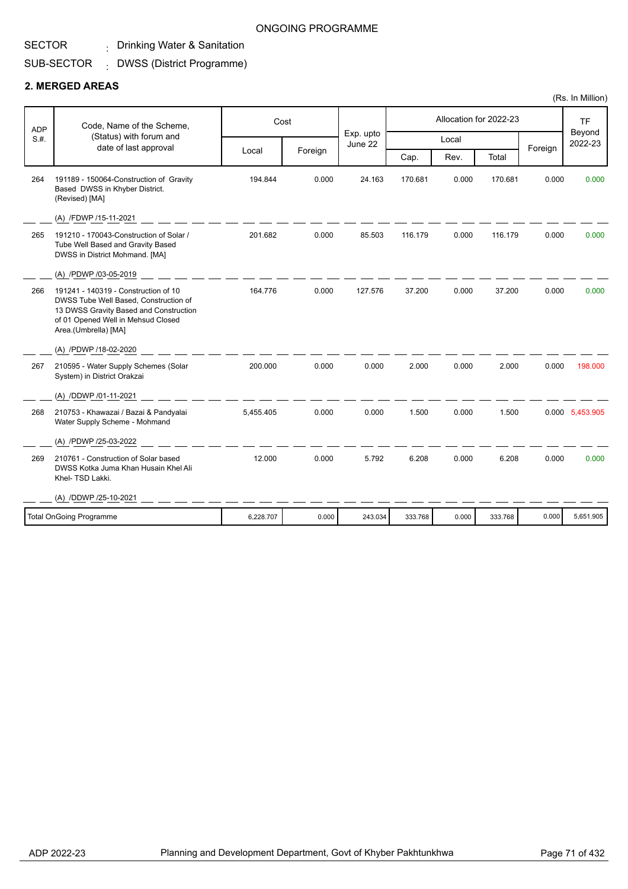## . Drinking Water & Sanitation

#### SUB-SECTOR DWSS (District Programme) :

### **2. MERGED AREAS**

| Beyond<br>Exp. upto<br>(Status) with forum and<br>S.H.<br>Local<br>2022-23<br>June 22<br>date of last approval<br>Foreign<br>Foreign<br>Local<br>Cap.<br>Total<br>Rev.<br>194.844<br>0.000<br>264<br>191189 - 150064-Construction of Gravity<br>24.163<br>170.681<br>0.000<br>170.681<br>0.000<br>0.000<br>Based DWSS in Khyber District.<br>(Revised) [MA]<br>(A) /FDWP /15-11-2021<br>0.000<br>265<br>191210 - 170043-Construction of Solar /<br>201.682<br>0.000<br>85.503<br>116.179<br>116.179<br>0.000<br>0.000<br>Tube Well Based and Gravity Based<br>DWSS in District Mohmand. [MA]<br>(A) /PDWP /03-05-2019<br>164.776<br>191241 - 140319 - Construction of 10<br>0.000<br>127.576<br>37.200<br>0.000<br>37.200<br>266<br>0.000<br>0.000<br>DWSS Tube Well Based, Construction of<br>13 DWSS Gravity Based and Construction<br>of 01 Opened Well in Mehsud Closed<br>Area.(Umbrella) [MA]<br>(A) /PDWP /18-02-2020<br>210595 - Water Supply Schemes (Solar<br>200.000<br>0.000<br>0.000<br>2.000<br>0.000<br>2.000<br>0.000<br>267<br>198,000<br>System) in District Orakzai<br>(A) /DDWP /01-11-2021<br>5.455.405<br>0.000<br>0.000<br>1.500<br>0.000<br>1.500<br>0.000 5.453.905<br>268<br>210753 - Khawazai / Bazai & Pandyalai<br>Water Supply Scheme - Mohmand<br>(A) /PDWP /25-03-2022<br>12.000<br>0.000<br>5.792<br>0.000<br>6.208<br>0.000<br>210761 - Construction of Solar based<br>6.208<br>0.000<br>269<br>DWSS Kotka Juma Khan Husain Khel Ali<br>Khel-TSD Lakki.<br>(A) /DDWP /25-10-2021<br><b>Total OnGoing Programme</b><br>6,228.707<br>0.000<br>243.034<br>333.768<br>0.000<br>333.768<br>0.000<br>5,651.905 | <b>ADP</b> | Code, Name of the Scheme, | Cost |  | Allocation for 2022-23 | <b>TF</b> |
|--------------------------------------------------------------------------------------------------------------------------------------------------------------------------------------------------------------------------------------------------------------------------------------------------------------------------------------------------------------------------------------------------------------------------------------------------------------------------------------------------------------------------------------------------------------------------------------------------------------------------------------------------------------------------------------------------------------------------------------------------------------------------------------------------------------------------------------------------------------------------------------------------------------------------------------------------------------------------------------------------------------------------------------------------------------------------------------------------------------------------------------------------------------------------------------------------------------------------------------------------------------------------------------------------------------------------------------------------------------------------------------------------------------------------------------------------------------------------------------------------------------------------------------------------------------------------------------------------------------------------------------------|------------|---------------------------|------|--|------------------------|-----------|
|                                                                                                                                                                                                                                                                                                                                                                                                                                                                                                                                                                                                                                                                                                                                                                                                                                                                                                                                                                                                                                                                                                                                                                                                                                                                                                                                                                                                                                                                                                                                                                                                                                            |            |                           |      |  |                        |           |
|                                                                                                                                                                                                                                                                                                                                                                                                                                                                                                                                                                                                                                                                                                                                                                                                                                                                                                                                                                                                                                                                                                                                                                                                                                                                                                                                                                                                                                                                                                                                                                                                                                            |            |                           |      |  |                        |           |
|                                                                                                                                                                                                                                                                                                                                                                                                                                                                                                                                                                                                                                                                                                                                                                                                                                                                                                                                                                                                                                                                                                                                                                                                                                                                                                                                                                                                                                                                                                                                                                                                                                            |            |                           |      |  |                        |           |
|                                                                                                                                                                                                                                                                                                                                                                                                                                                                                                                                                                                                                                                                                                                                                                                                                                                                                                                                                                                                                                                                                                                                                                                                                                                                                                                                                                                                                                                                                                                                                                                                                                            |            |                           |      |  |                        |           |
|                                                                                                                                                                                                                                                                                                                                                                                                                                                                                                                                                                                                                                                                                                                                                                                                                                                                                                                                                                                                                                                                                                                                                                                                                                                                                                                                                                                                                                                                                                                                                                                                                                            |            |                           |      |  |                        |           |
|                                                                                                                                                                                                                                                                                                                                                                                                                                                                                                                                                                                                                                                                                                                                                                                                                                                                                                                                                                                                                                                                                                                                                                                                                                                                                                                                                                                                                                                                                                                                                                                                                                            |            |                           |      |  |                        |           |
|                                                                                                                                                                                                                                                                                                                                                                                                                                                                                                                                                                                                                                                                                                                                                                                                                                                                                                                                                                                                                                                                                                                                                                                                                                                                                                                                                                                                                                                                                                                                                                                                                                            |            |                           |      |  |                        |           |
|                                                                                                                                                                                                                                                                                                                                                                                                                                                                                                                                                                                                                                                                                                                                                                                                                                                                                                                                                                                                                                                                                                                                                                                                                                                                                                                                                                                                                                                                                                                                                                                                                                            |            |                           |      |  |                        |           |
|                                                                                                                                                                                                                                                                                                                                                                                                                                                                                                                                                                                                                                                                                                                                                                                                                                                                                                                                                                                                                                                                                                                                                                                                                                                                                                                                                                                                                                                                                                                                                                                                                                            |            |                           |      |  |                        |           |
|                                                                                                                                                                                                                                                                                                                                                                                                                                                                                                                                                                                                                                                                                                                                                                                                                                                                                                                                                                                                                                                                                                                                                                                                                                                                                                                                                                                                                                                                                                                                                                                                                                            |            |                           |      |  |                        |           |
|                                                                                                                                                                                                                                                                                                                                                                                                                                                                                                                                                                                                                                                                                                                                                                                                                                                                                                                                                                                                                                                                                                                                                                                                                                                                                                                                                                                                                                                                                                                                                                                                                                            |            |                           |      |  |                        |           |
|                                                                                                                                                                                                                                                                                                                                                                                                                                                                                                                                                                                                                                                                                                                                                                                                                                                                                                                                                                                                                                                                                                                                                                                                                                                                                                                                                                                                                                                                                                                                                                                                                                            |            |                           |      |  |                        |           |
|                                                                                                                                                                                                                                                                                                                                                                                                                                                                                                                                                                                                                                                                                                                                                                                                                                                                                                                                                                                                                                                                                                                                                                                                                                                                                                                                                                                                                                                                                                                                                                                                                                            |            |                           |      |  |                        |           |
|                                                                                                                                                                                                                                                                                                                                                                                                                                                                                                                                                                                                                                                                                                                                                                                                                                                                                                                                                                                                                                                                                                                                                                                                                                                                                                                                                                                                                                                                                                                                                                                                                                            |            |                           |      |  |                        |           |
|                                                                                                                                                                                                                                                                                                                                                                                                                                                                                                                                                                                                                                                                                                                                                                                                                                                                                                                                                                                                                                                                                                                                                                                                                                                                                                                                                                                                                                                                                                                                                                                                                                            |            |                           |      |  |                        |           |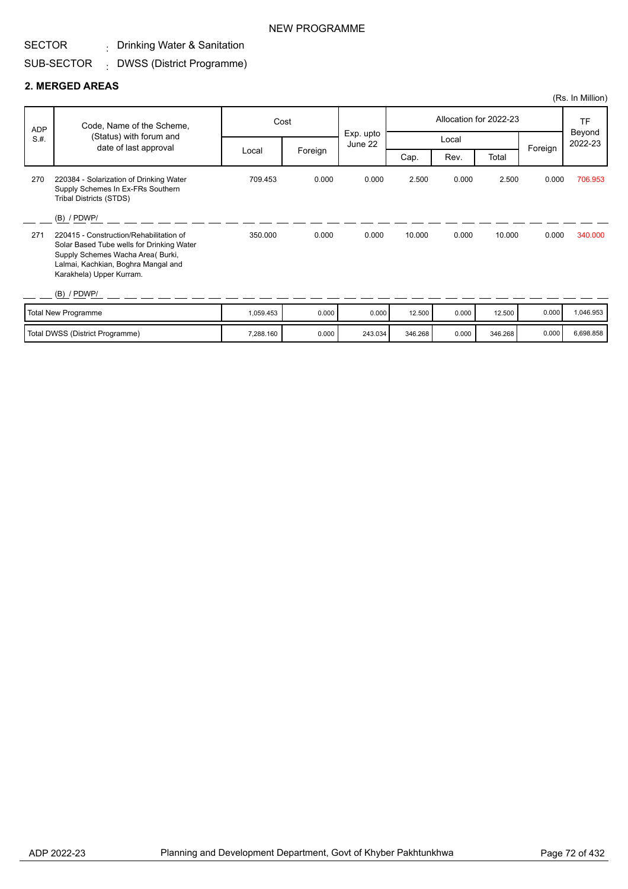## . Drinking Water & Sanitation

#### SUB-SECTOR DWSS (District Programme) :

#### **2. MERGED AREAS**

| (Rs. In Million) |                                                                                                                                                                                              |           |         |                      |         |       |                        |         |                   |
|------------------|----------------------------------------------------------------------------------------------------------------------------------------------------------------------------------------------|-----------|---------|----------------------|---------|-------|------------------------|---------|-------------------|
| <b>ADP</b>       | Code, Name of the Scheme,                                                                                                                                                                    |           | Cost    |                      |         |       | Allocation for 2022-23 |         | <b>TF</b>         |
| S.H.             | (Status) with forum and<br>date of last approval                                                                                                                                             |           |         | Exp. upto<br>June 22 |         | Local |                        |         | Beyond<br>2022-23 |
|                  |                                                                                                                                                                                              | Local     | Foreign |                      | Cap.    | Rev.  | Total                  | Foreign |                   |
| 270              | 220384 - Solarization of Drinking Water<br>Supply Schemes In Ex-FRs Southern<br>Tribal Districts (STDS)                                                                                      | 709.453   | 0.000   | 0.000                | 2.500   | 0.000 | 2.500                  | 0.000   | 706.953           |
|                  | $(B)$ / PDWP/                                                                                                                                                                                |           |         |                      |         |       |                        |         |                   |
| 271              | 220415 - Construction/Rehabilitation of<br>Solar Based Tube wells for Drinking Water<br>Supply Schemes Wacha Area (Burki,<br>Lalmai, Kachkian, Boghra Mangal and<br>Karakhela) Upper Kurram. | 350.000   | 0.000   | 0.000                | 10.000  | 0.000 | 10.000                 | 0.000   | 340.000           |
|                  | $(B)$ / PDWP/                                                                                                                                                                                |           |         |                      |         |       |                        |         |                   |
|                  | Total New Programme                                                                                                                                                                          | 1,059.453 | 0.000   | 0.000                | 12.500  | 0.000 | 12.500                 | 0.000   | 1,046.953         |
|                  | Total DWSS (District Programme)                                                                                                                                                              | 7,288.160 | 0.000   | 243.034              | 346.268 | 0.000 | 346.268                | 0.000   | 6,698.858         |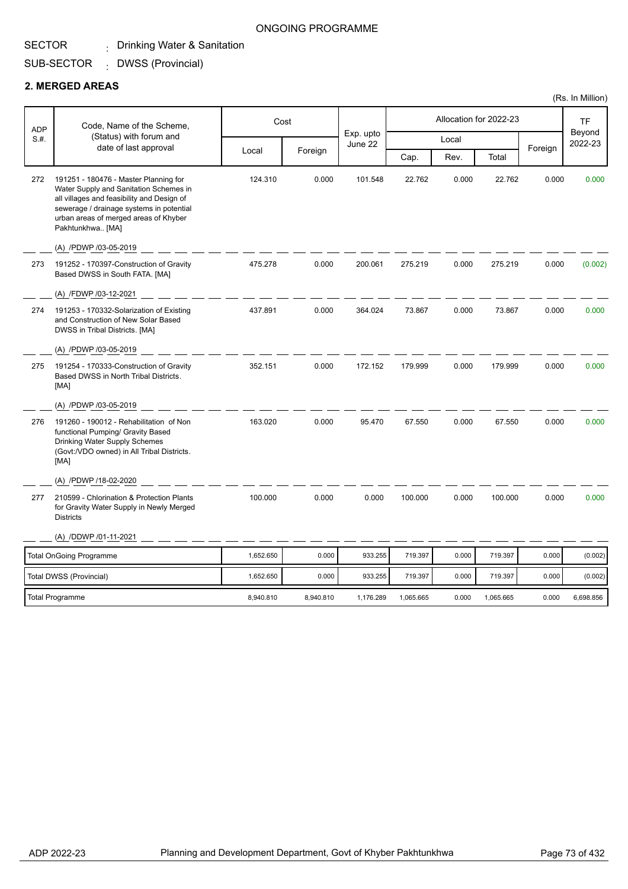#### SECTOR . Drinking Water & Sanitation

#### ONGOING PROGRAMME

#### SUB-SECTOR DWSS (Provincial) :

#### **2. MERGED AREAS**

| Code, Name of the Scheme,<br><b>ADP</b> |                                                                                                                                                                                                                                        | Cost      |           |                      |           | Allocation for 2022-23 |           | <b>TF</b> |                   |
|-----------------------------------------|----------------------------------------------------------------------------------------------------------------------------------------------------------------------------------------------------------------------------------------|-----------|-----------|----------------------|-----------|------------------------|-----------|-----------|-------------------|
| S.H.                                    | (Status) with forum and                                                                                                                                                                                                                |           |           | Exp. upto<br>June 22 |           | Local                  |           |           | Beyond<br>2022-23 |
|                                         | date of last approval                                                                                                                                                                                                                  | Local     | Foreign   |                      | Cap.      | Rev.                   | Total     | Foreign   |                   |
| 272                                     | 191251 - 180476 - Master Planning for<br>Water Supply and Sanitation Schemes in<br>all villages and feasibility and Design of<br>sewerage / drainage systems in potential<br>urban areas of merged areas of Khyber<br>Pakhtunkhwa [MA] | 124.310   | 0.000     | 101.548              | 22.762    | 0.000                  | 22.762    | 0.000     | 0.000             |
|                                         | (A) /PDWP /03-05-2019                                                                                                                                                                                                                  |           |           |                      |           |                        |           |           |                   |
| 273                                     | 191252 - 170397-Construction of Gravity<br>Based DWSS in South FATA. [MA]                                                                                                                                                              | 475.278   | 0.000     | 200.061              | 275.219   | 0.000                  | 275.219   | 0.000     | (0.002)           |
|                                         | (A) /FDWP /03-12-2021                                                                                                                                                                                                                  |           |           |                      |           |                        |           |           |                   |
| 274                                     | 191253 - 170332-Solarization of Existing<br>and Construction of New Solar Based<br>DWSS in Tribal Districts. [MA]                                                                                                                      | 437.891   | 0.000     | 364.024              | 73.867    | 0.000                  | 73.867    | 0.000     | 0.000             |
|                                         | (A) /PDWP /03-05-2019                                                                                                                                                                                                                  |           |           |                      |           |                        |           |           |                   |
| 275                                     | 191254 - 170333-Construction of Gravity<br>Based DWSS in North Tribal Districts.<br>[MA]                                                                                                                                               | 352.151   | 0.000     | 172.152              | 179.999   | 0.000                  | 179.999   | 0.000     | 0.000             |
|                                         | (A) /PDWP /03-05-2019                                                                                                                                                                                                                  |           |           |                      |           |                        |           |           |                   |
| 276                                     | 191260 - 190012 - Rehabilitation of Non<br>functional Pumping/ Gravity Based<br>Drinking Water Supply Schemes<br>(Govt:/VDO owned) in All Tribal Districts.<br>[MA]                                                                    | 163.020   | 0.000     | 95.470               | 67.550    | 0.000                  | 67.550    | 0.000     | 0.000             |
|                                         | (A) /PDWP /18-02-2020                                                                                                                                                                                                                  |           |           |                      |           |                        |           |           |                   |
| 277                                     | 210599 - Chlorination & Protection Plants<br>for Gravity Water Supply in Newly Merged<br><b>Districts</b>                                                                                                                              | 100.000   | 0.000     | 0.000                | 100.000   | 0.000                  | 100.000   | 0.000     | 0.000             |
|                                         | (A) /DDWP /01-11-2021                                                                                                                                                                                                                  |           |           |                      |           |                        |           |           |                   |
|                                         | <b>Total OnGoing Programme</b>                                                                                                                                                                                                         | 1,652.650 | 0.000     | 933.255              | 719.397   | 0.000                  | 719.397   | 0.000     | (0.002)           |
|                                         | Total DWSS (Provincial)                                                                                                                                                                                                                | 1,652.650 | 0.000     | 933.255              | 719.397   | 0.000                  | 719.397   | 0.000     | (0.002)           |
|                                         | <b>Total Programme</b>                                                                                                                                                                                                                 | 8,940.810 | 8,940.810 | 1,176.289            | 1,065.665 | 0.000                  | 1,065.665 | 0.000     | 6,698.856         |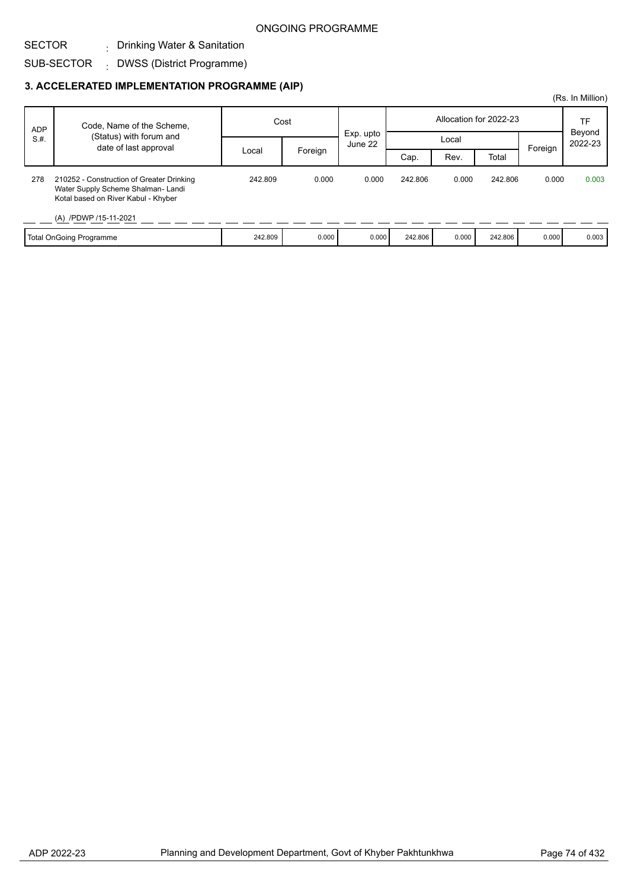#### SECTOR . Drinking Water & Sanitation

#### SUB-SECTOR DWSS (District Programme) :

|            |                                                                                                                                                |         |         |                      |                        |       |         |         | (Rs. In Million)  |
|------------|------------------------------------------------------------------------------------------------------------------------------------------------|---------|---------|----------------------|------------------------|-------|---------|---------|-------------------|
| <b>ADP</b> | Code, Name of the Scheme,                                                                                                                      | Cost    |         |                      | Allocation for 2022-23 |       |         | TF      |                   |
| S.H.       | (Status) with forum and                                                                                                                        |         |         | Exp. upto<br>June 22 |                        | Local |         |         | Beyond<br>2022-23 |
|            | date of last approval                                                                                                                          | Local   | Foreign |                      | Cap.                   | Rev.  | Total   | Foreign |                   |
| 278        | 210252 - Construction of Greater Drinking<br>Water Supply Scheme Shalman-Landi<br>Kotal based on River Kabul - Khyber<br>(A) /PDWP /15-11-2021 | 242.809 | 0.000   | 0.000                | 242.806                | 0.000 | 242.806 | 0.000   | 0.003             |
|            | <b>Total OnGoing Programme</b>                                                                                                                 | 242.809 | 0.000   | 0.000                | 242.806                | 0.000 | 242.806 | 0.000   | 0.003             |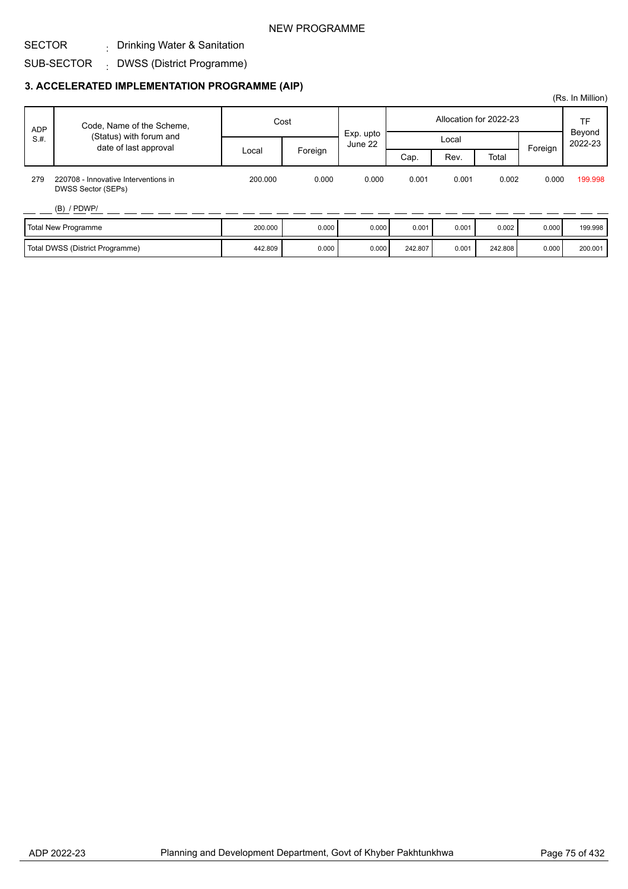#### SECTOR . Drinking Water & Sanitation

#### SUB-SECTOR DWSS (District Programme) :

|            |                                                            |         |         |                        |         |       |         |         | (Rs. In Million)  |
|------------|------------------------------------------------------------|---------|---------|------------------------|---------|-------|---------|---------|-------------------|
| <b>ADP</b> | Code, Name of the Scheme,                                  | Cost    |         | Allocation for 2022-23 |         |       | TF      |         |                   |
| S.H.       | (Status) with forum and<br>date of last approval           |         |         | Exp. upto<br>June 22   | Local   |       |         | Foreign | Beyond<br>2022-23 |
|            |                                                            | Local   | Foreign |                        | Cap.    | Rev.  | Total   |         |                   |
| 279        | 220708 - Innovative Interventions in<br>DWSS Sector (SEPs) | 200.000 | 0.000   | 0.000                  | 0.001   | 0.001 | 0.002   | 0.000   | 199.998           |
|            | $(B)$ / PDWP/                                              |         |         |                        |         |       |         |         |                   |
|            | Total New Programme                                        | 200.000 | 0.000   | 0.000                  | 0.001   | 0.001 | 0.002   | 0.000   | 199.998           |
|            | Total DWSS (District Programme)                            | 442.809 | 0.000   | 0.000                  | 242.807 | 0.001 | 242.808 | 0.000   | 200.001           |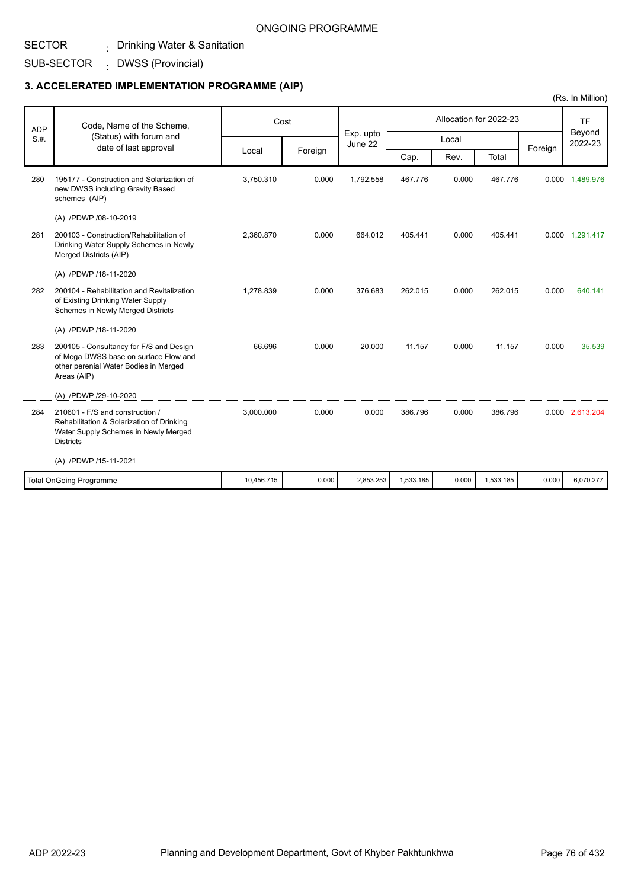#### SECTOR . Drinking Water & Sanitation

SUB-SECTOR DWSS (Provincial) :

## **3. ACCELERATED IMPLEMENTATION PROGRAMME (AIP)**

| <b>ADP</b> | Code, Name of the Scheme,                                                                                                                | Cost       |         |                      |           | Allocation for 2022-23 |           | <b>TF</b><br>Beyond |                 |
|------------|------------------------------------------------------------------------------------------------------------------------------------------|------------|---------|----------------------|-----------|------------------------|-----------|---------------------|-----------------|
| S.H.       | (Status) with forum and<br>date of last approval                                                                                         |            |         | Exp. upto<br>June 22 |           | Local                  |           | Foreign             | 2022-23         |
|            |                                                                                                                                          | Local      | Foreign |                      | Cap.      | Rev.                   | Total     |                     |                 |
| 280        | 195177 - Construction and Solarization of<br>new DWSS including Gravity Based<br>schemes (AIP)                                           | 3,750.310  | 0.000   | 1,792.558            | 467.776   | 0.000                  | 467.776   |                     | 0.000 1,489.976 |
|            | (A) /PDWP /08-10-2019                                                                                                                    |            |         |                      |           |                        |           |                     |                 |
| 281        | 200103 - Construction/Rehabilitation of<br>Drinking Water Supply Schemes in Newly<br>Merged Districts (AIP)                              | 2.360.870  | 0.000   | 664.012              | 405.441   | 0.000                  | 405.441   |                     | 0.000 1,291.417 |
|            | (A) /PDWP /18-11-2020                                                                                                                    |            |         |                      |           |                        |           |                     |                 |
| 282        | 200104 - Rehabilitation and Revitalization<br>of Existing Drinking Water Supply<br><b>Schemes in Newly Merged Districts</b>              | 1,278.839  | 0.000   | 376.683              | 262.015   | 0.000                  | 262.015   | 0.000               | 640.141         |
|            | (A) /PDWP /18-11-2020                                                                                                                    |            |         |                      |           |                        |           |                     |                 |
| 283        | 200105 - Consultancy for F/S and Design<br>of Mega DWSS base on surface Flow and<br>other perenial Water Bodies in Merged<br>Areas (AIP) | 66.696     | 0.000   | 20.000               | 11.157    | 0.000                  | 11.157    | 0.000               | 35.539          |
|            | (A) /PDWP /29-10-2020                                                                                                                    |            |         |                      |           |                        |           |                     |                 |
| 284        | 210601 - F/S and construction /<br>Rehabilitation & Solarization of Drinking<br>Water Supply Schemes in Newly Merged<br><b>Districts</b> | 3,000.000  | 0.000   | 0.000                | 386.796   | 0.000                  | 386.796   |                     | 0.000 2,613.204 |
|            | (A) /PDWP /15-11-2021                                                                                                                    |            |         |                      |           |                        |           |                     |                 |
|            | <b>Total OnGoing Programme</b>                                                                                                           | 10,456.715 | 0.000   | 2,853.253            | 1,533.185 | 0.000                  | 1,533.185 | 0.000               | 6,070.277       |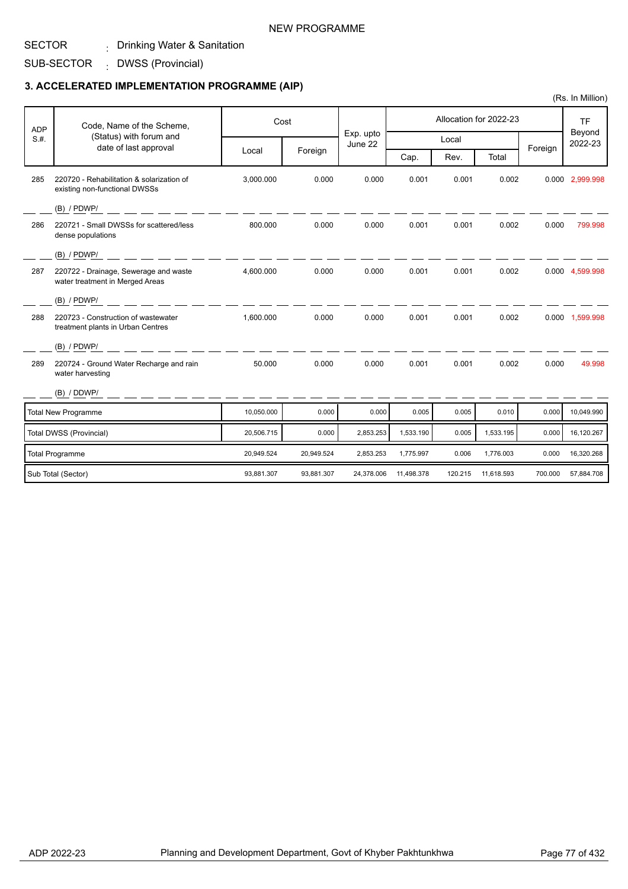#### SECTOR . Drinking Water & Sanitation

SUB-SECTOR DWSS (Provincial) :

### **3. ACCELERATED IMPLEMENTATION PROGRAMME (AIP)**

| <b>ADP</b> | Code, Name of the Scheme,                                                  |            | Cost       |                      |            | Allocation for 2022-23 |            | <b>TF</b> |                   |
|------------|----------------------------------------------------------------------------|------------|------------|----------------------|------------|------------------------|------------|-----------|-------------------|
| S.H.       | (Status) with forum and<br>date of last approval                           |            |            | Exp. upto<br>June 22 |            | Local                  |            |           | Beyond<br>2022-23 |
|            |                                                                            | Local      | Foreign    |                      | Cap.       | Rev.                   | Total      | Foreign   |                   |
| 285        | 220720 - Rehabilitation & solarization of<br>existing non-functional DWSSs | 3,000.000  | 0.000      | 0.000                | 0.001      | 0.001                  | 0.002      |           | 0.000 2,999.998   |
|            | $(B)$ / PDWP/                                                              |            |            |                      |            |                        |            |           |                   |
| 286        | 220721 - Small DWSSs for scattered/less<br>dense populations               | 800.000    | 0.000      | 0.000                | 0.001      | 0.001                  | 0.002      | 0.000     | 799.998           |
|            | $(B)$ / PDWP/                                                              |            |            |                      |            |                        |            |           |                   |
| 287        | 220722 - Drainage, Sewerage and waste<br>water treatment in Merged Areas   | 4,600.000  | 0.000      | 0.000                | 0.001      | 0.001                  | 0.002      |           | 0.000 4,599.998   |
|            | (B) / PDWP/                                                                |            |            |                      |            |                        |            |           |                   |
| 288        | 220723 - Construction of wastewater<br>treatment plants in Urban Centres   | 1.600.000  | 0.000      | 0.000                | 0.001      | 0.001                  | 0.002      |           | 0.000 1,599.998   |
|            | (B) / PDWP/                                                                |            |            |                      |            |                        |            |           |                   |
| 289        | 220724 - Ground Water Recharge and rain<br>water harvesting                | 50.000     | 0.000      | 0.000                | 0.001      | 0.001                  | 0.002      | 0.000     | 49.998            |
|            | (B) / DDWP/                                                                |            |            |                      |            |                        |            |           |                   |
|            | <b>Total New Programme</b>                                                 | 10,050.000 | 0.000      | 0.000                | 0.005      | 0.005                  | 0.010      | 0.000     | 10.049.990        |
|            | Total DWSS (Provincial)                                                    | 20,506.715 | 0.000      | 2,853.253            | 1,533.190  | 0.005                  | 1,533.195  | 0.000     | 16,120.267        |
|            | <b>Total Programme</b>                                                     | 20,949.524 | 20,949.524 | 2,853.253            | 1,775.997  | 0.006                  | 1,776.003  | 0.000     | 16,320.268        |
|            | Sub Total (Sector)                                                         | 93,881.307 | 93,881.307 | 24,378.006           | 11,498.378 | 120.215                | 11,618.593 | 700.000   | 57,884.708        |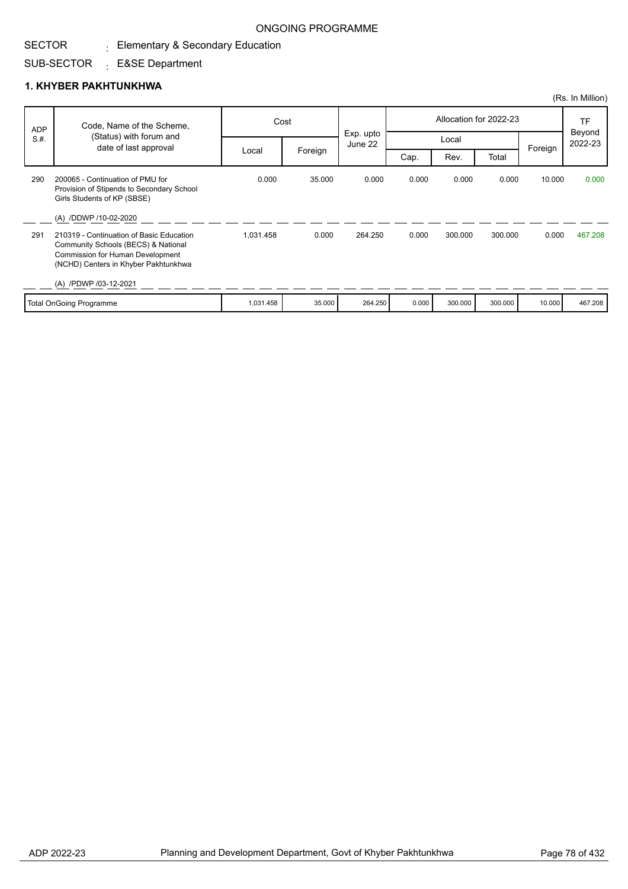# $_{\rm \pm}$  Elementary & Secondary Education

#### SUB-SECTOR : E&SE Department

### **1. KHYBER PAKHTUNKHWA**

SECTOR

|            |                                                                                                                                                             |           |         |                      |       |         |                        |         | (Rs. In Million)  |
|------------|-------------------------------------------------------------------------------------------------------------------------------------------------------------|-----------|---------|----------------------|-------|---------|------------------------|---------|-------------------|
| <b>ADP</b> | Code, Name of the Scheme,                                                                                                                                   |           | Cost    |                      |       |         | Allocation for 2022-23 |         | <b>TF</b>         |
| S.H.       | (Status) with forum and<br>date of last approval                                                                                                            |           |         | Exp. upto<br>June 22 |       | Local   |                        |         | Beyond<br>2022-23 |
|            |                                                                                                                                                             | Local     | Foreign |                      | Cap.  | Rev.    | Total                  | Foreign |                   |
| 290        | 200065 - Continuation of PMU for<br>Provision of Stipends to Secondary School<br>Girls Students of KP (SBSE)                                                | 0.000     | 35,000  | 0.000                | 0.000 | 0.000   | 0.000                  | 10.000  | 0.000             |
|            | (A) /DDWP /10-02-2020                                                                                                                                       |           |         |                      |       |         |                        |         |                   |
| 291        | 210319 - Continuation of Basic Education<br>Community Schools (BECS) & National<br>Commission for Human Development<br>(NCHD) Centers in Khyber Pakhtunkhwa | 1.031.458 | 0.000   | 264.250              | 0.000 | 300.000 | 300.000                | 0.000   | 467.208           |
|            | (A) /PDWP /03-12-2021                                                                                                                                       |           |         |                      |       |         |                        |         |                   |
|            | <b>Total OnGoing Programme</b>                                                                                                                              | 1,031.458 | 35.000  | 264.250              | 0.000 | 300.000 | 300.000                | 10.000  | 467.208           |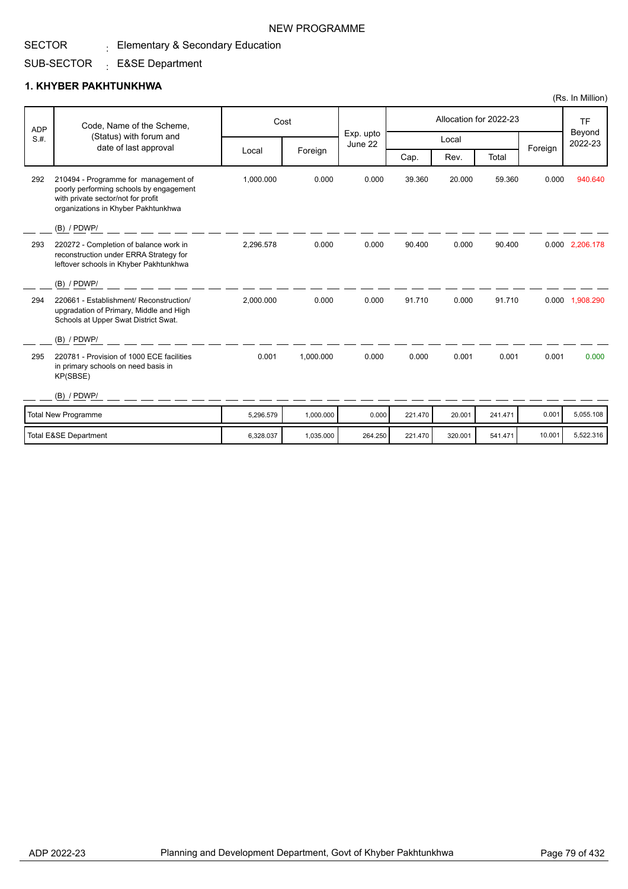#### SECTOR  $_{\rm \pm}$  Elementary & Secondary Education

#### SUB-SECTOR : E&SE Department

## **1. KHYBER PAKHTUNKHWA**

| <b>ADP</b> | Code, Name of the Scheme,                                                                                                                                    |           | Cost      |                      |         |         | Allocation for 2022-23 |         | <b>TF</b>         |
|------------|--------------------------------------------------------------------------------------------------------------------------------------------------------------|-----------|-----------|----------------------|---------|---------|------------------------|---------|-------------------|
| S.H.       | (Status) with forum and                                                                                                                                      |           |           | Exp. upto<br>June 22 |         | Local   |                        |         | Beyond<br>2022-23 |
|            | date of last approval                                                                                                                                        | Local     | Foreign   |                      | Cap.    | Rev.    | Total                  | Foreign |                   |
| 292        | 210494 - Programme for management of<br>poorly performing schools by engagement<br>with private sector/not for profit<br>organizations in Khyber Pakhtunkhwa | 1,000.000 | 0.000     | 0.000                | 39.360  | 20.000  | 59.360                 | 0.000   | 940.640           |
|            | (B) / PDWP/                                                                                                                                                  |           |           |                      |         |         |                        |         |                   |
| 293        | 220272 - Completion of balance work in<br>reconstruction under ERRA Strategy for<br>leftover schools in Khyber Pakhtunkhwa                                   | 2,296.578 | 0.000     | 0.000                | 90.400  | 0.000   | 90.400                 |         | 0.000 2,206.178   |
|            | (B) / PDWP/                                                                                                                                                  |           |           |                      |         |         |                        |         |                   |
| 294        | 220661 - Establishment/ Reconstruction/<br>upgradation of Primary, Middle and High<br>Schools at Upper Swat District Swat.                                   | 2,000.000 | 0.000     | 0.000                | 91.710  | 0.000   | 91.710                 |         | 0.000 1,908.290   |
|            | $(B)$ / PDWP/                                                                                                                                                |           |           |                      |         |         |                        |         |                   |
| 295        | 220781 - Provision of 1000 ECE facilities<br>in primary schools on need basis in<br>KP(SBSE)                                                                 | 0.001     | 1.000.000 | 0.000                | 0.000   | 0.001   | 0.001                  | 0.001   | 0.000             |
|            | $(B)$ / PDWP/                                                                                                                                                |           |           |                      |         |         |                        |         |                   |
|            | Total New Programme                                                                                                                                          | 5,296.579 | 1,000.000 | 0.000                | 221.470 | 20,001  | 241.471                | 0.001   | 5,055.108         |
|            | <b>Total E&amp;SE Department</b>                                                                                                                             | 6,328.037 | 1,035.000 | 264.250              | 221.470 | 320.001 | 541.471                | 10.001  | 5,522.316         |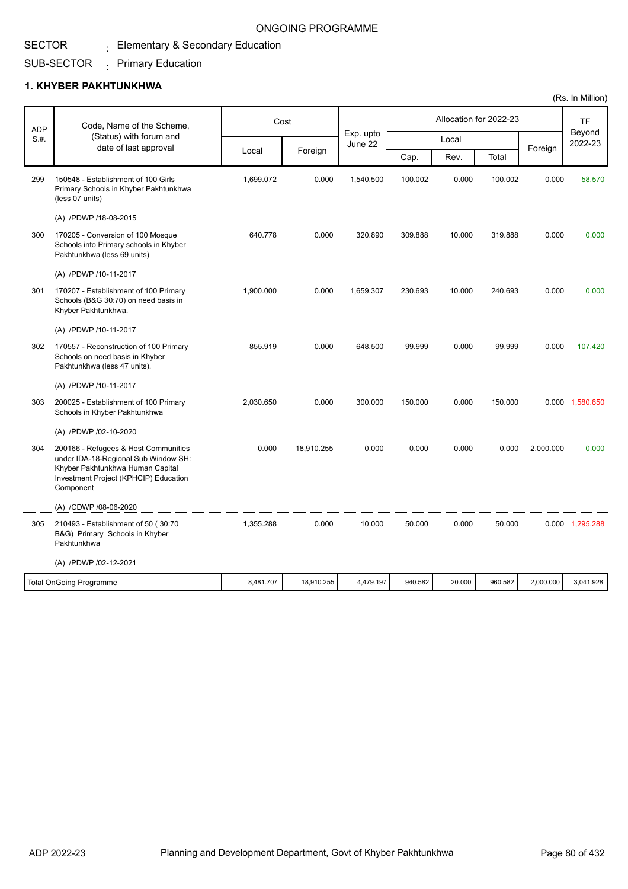# $_{\rm \pm}$  Elementary & Secondary Education

#### SUB-SECTOR  $\cdot$  Primary Education

### **1. KHYBER PAKHTUNKHWA**

SECTOR

| <b>ADP</b> | Code, Name of the Scheme,                                                                                                                                              |           | Cost       |                      |         |        | Allocation for 2022-23 |           | TF<br>Beyond<br>2022-23 |
|------------|------------------------------------------------------------------------------------------------------------------------------------------------------------------------|-----------|------------|----------------------|---------|--------|------------------------|-----------|-------------------------|
| S.H.       | (Status) with forum and<br>date of last approval                                                                                                                       |           |            | Exp. upto<br>June 22 |         | Local  |                        |           |                         |
|            |                                                                                                                                                                        | Local     | Foreign    |                      | Cap.    | Rev.   | Total                  | Foreign   |                         |
| 299        | 150548 - Establishment of 100 Girls<br>Primary Schools in Khyber Pakhtunkhwa<br>(less 07 units)                                                                        | 1,699.072 | 0.000      | 1,540.500            | 100.002 | 0.000  | 100.002                | 0.000     | 58.570                  |
|            | (A) /PDWP /18-08-2015                                                                                                                                                  |           |            |                      |         |        |                        |           |                         |
| 300        | 170205 - Conversion of 100 Mosque<br>Schools into Primary schools in Khyber<br>Pakhtunkhwa (less 69 units)                                                             | 640.778   | 0.000      | 320.890              | 309.888 | 10.000 | 319.888                | 0.000     | 0.000                   |
|            | (A) /PDWP /10-11-2017                                                                                                                                                  |           |            |                      |         |        |                        |           |                         |
| 301        | 170207 - Establishment of 100 Primary<br>Schools (B&G 30:70) on need basis in<br>Khyber Pakhtunkhwa.                                                                   | 1,900.000 | 0.000      | 1,659.307            | 230.693 | 10.000 | 240.693                | 0.000     | 0.000                   |
|            | (A) /PDWP /10-11-2017                                                                                                                                                  |           |            |                      |         |        |                        |           |                         |
| 302        | 170557 - Reconstruction of 100 Primary<br>Schools on need basis in Khyber<br>Pakhtunkhwa (less 47 units).                                                              | 855.919   | 0.000      | 648.500              | 99.999  | 0.000  | 99.999                 | 0.000     | 107.420                 |
|            | (A) /PDWP /10-11-2017                                                                                                                                                  |           |            |                      |         |        |                        |           |                         |
| 303        | 200025 - Establishment of 100 Primary<br>Schools in Khyber Pakhtunkhwa                                                                                                 | 2,030.650 | 0.000      | 300.000              | 150.000 | 0.000  | 150.000                |           | 0.000 1,580.650         |
|            | (A) /PDWP /02-10-2020                                                                                                                                                  |           |            |                      |         |        |                        |           |                         |
| 304        | 200166 - Refugees & Host Communities<br>under IDA-18-Regional Sub Window SH:<br>Khyber Pakhtunkhwa Human Capital<br>Investment Project (KPHCIP) Education<br>Component | 0.000     | 18,910.255 | 0.000                | 0.000   | 0.000  | 0.000                  | 2,000.000 | 0.000                   |
|            | (A) /CDWP /08-06-2020                                                                                                                                                  |           |            |                      |         |        |                        |           |                         |
| 305        | 210493 - Establishment of 50 (30:70<br>B&G) Primary Schools in Khyber<br>Pakhtunkhwa                                                                                   | 1,355.288 | 0.000      | 10.000               | 50.000  | 0.000  | 50.000                 |           | 0.000 1,295.288         |
|            | (A) /PDWP /02-12-2021                                                                                                                                                  |           |            |                      |         |        |                        |           |                         |
|            | <b>Total OnGoing Programme</b>                                                                                                                                         | 8,481.707 | 18,910.255 | 4,479.197            | 940.582 | 20.000 | 960.582                | 2,000.000 | 3,041.928               |
|            |                                                                                                                                                                        |           |            |                      |         |        |                        |           |                         |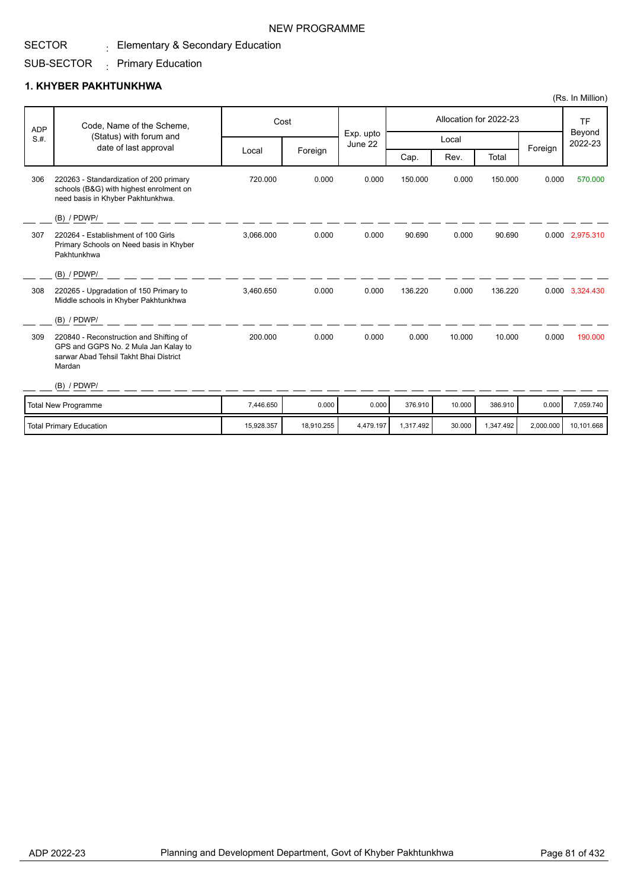#### SECTOR  $_{\rm \pm}$  Elementary & Secondary Education

#### SUB-SECTOR  $\cdot$  Primary Education

## **1. KHYBER PAKHTUNKHWA**

| <b>ADP</b> | Code, Name of the Scheme,                                                                                                           |            | Cost       |                      |           |        | Allocation for 2022-23 |           | <b>TF</b>         |
|------------|-------------------------------------------------------------------------------------------------------------------------------------|------------|------------|----------------------|-----------|--------|------------------------|-----------|-------------------|
| S.H.       | (Status) with forum and                                                                                                             |            |            | Exp. upto<br>June 22 |           | Local  |                        |           | Beyond<br>2022-23 |
|            | date of last approval                                                                                                               | Local      | Foreign    |                      | Cap.      | Rev.   | Total                  | Foreign   |                   |
| 306        | 220263 - Standardization of 200 primary<br>schools (B&G) with highest enrolment on<br>need basis in Khyber Pakhtunkhwa.             | 720.000    | 0.000      | 0.000                | 150.000   | 0.000  | 150.000                | 0.000     | 570.000           |
|            | (B) / PDWP/                                                                                                                         |            |            |                      |           |        |                        |           |                   |
| 307        | 220264 - Establishment of 100 Girls<br>Primary Schools on Need basis in Khyber<br>Pakhtunkhwa                                       | 3,066.000  | 0.000      | 0.000                | 90.690    | 0.000  | 90.690                 |           | 0.000 2,975.310   |
|            | $(B)$ / PDWP/                                                                                                                       |            |            |                      |           |        |                        |           |                   |
| 308        | 220265 - Upgradation of 150 Primary to<br>Middle schools in Khyber Pakhtunkhwa                                                      | 3,460.650  | 0.000      | 0.000                | 136.220   | 0.000  | 136.220                |           | 0.000 3,324.430   |
|            | (B) / PDWP/                                                                                                                         |            |            |                      |           |        |                        |           |                   |
| 309        | 220840 - Reconstruction and Shifting of<br>GPS and GGPS No. 2 Mula Jan Kalay to<br>sarwar Abad Tehsil Takht Bhai District<br>Mardan | 200.000    | 0.000      | 0.000                | 0.000     | 10.000 | 10.000                 | 0.000     | 190.000           |
|            | $(B)$ / PDWP/                                                                                                                       |            |            |                      |           |        |                        |           |                   |
|            | <b>Total New Programme</b>                                                                                                          | 7,446.650  | 0.000      | 0.000                | 376.910   | 10.000 | 386.910                | 0.000     | 7,059.740         |
|            | <b>Total Primary Education</b>                                                                                                      | 15,928.357 | 18,910.255 | 4,479.197            | 1,317.492 | 30.000 | 1,347.492              | 2,000.000 | 10,101.668        |

NEW PROGRAMME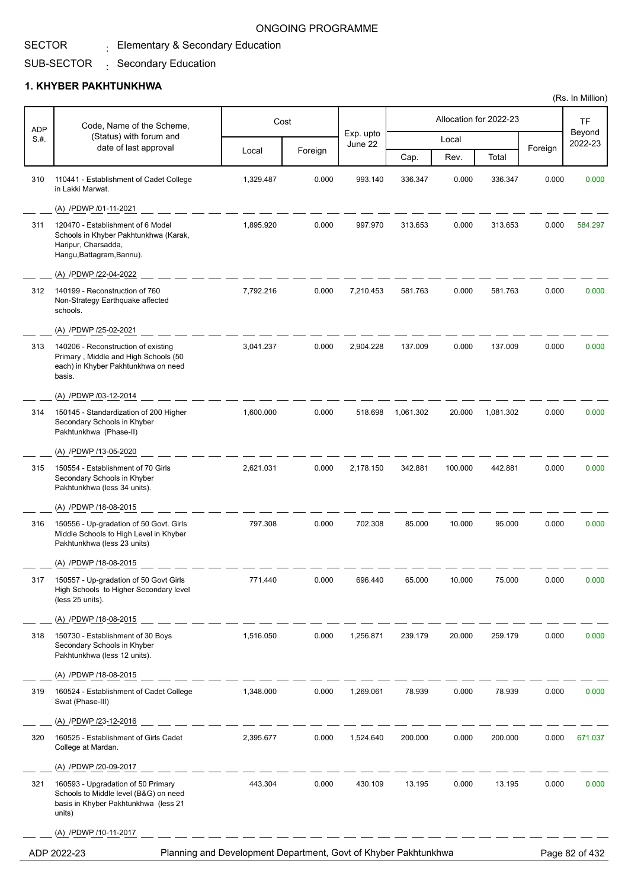## $_{\rm \pm}$  Elementary & Secondary Education

#### SUB-SECTOR : Secondary Education

#### **1. KHYBER PAKHTUNKHWA**

SECTOR

| Beyond<br>Exp. upto<br>(Status) with forum and<br>S.#.<br>Local<br>2022-23<br>June 22<br>date of last approval<br>Foreign<br>Foreign<br>Local<br>Rev.<br>Cap.<br>Total<br>110441 - Establishment of Cadet College<br>993.140<br>310<br>1,329.487<br>0.000<br>336.347<br>0.000<br>336.347<br>0.000<br>in Lakki Marwat.<br>(A) /PDWP /01-11-2021<br>1,895.920<br>0.000<br>0.000<br>311<br>120470 - Establishment of 6 Model<br>997.970<br>313.653<br>313.653<br>0.000<br>Schools in Khyber Pakhtunkhwa (Karak,<br>Haripur, Charsadda,<br>Hangu, Battagram, Bannu).<br>(A) /PDWP /22-04-2022<br>140199 - Reconstruction of 760<br>7,792.216<br>0.000<br>7,210.453<br>581.763<br>0.000<br>581.763<br>0.000<br>312<br>Non-Strategy Earthquake affected<br>schools.<br>(A) /PDWP /25-02-2021<br>0.000<br>0.000<br>0.000<br>140206 - Reconstruction of existing<br>3,041.237<br>2,904.228<br>137.009<br>137.009<br>313<br>Primary, Middle and High Schools (50<br>each) in Khyber Pakhtunkhwa on need<br>basis.<br>(A) /PDWP /03-12-2014<br>314<br>150145 - Standardization of 200 Higher<br>1,600.000<br>0.000<br>518.698<br>1,061.302<br>20.000<br>1,081.302<br>0.000<br>Secondary Schools in Khyber<br>Pakhtunkhwa (Phase-II)<br>(A) /PDWP /13-05-2020<br>150554 - Establishment of 70 Girls<br>2,621.031<br>0.000<br>2,178.150<br>342.881<br>100.000<br>442.881<br>0.000<br>315<br>Secondary Schools in Khyber<br>Pakhtunkhwa (less 34 units).<br>(A) /PDWP /18-08-2015<br>797.308<br>0.000<br>702.308<br>85.000<br>10.000<br>0.000<br>150556 - Up-gradation of 50 Govt. Girls<br>95.000<br>316<br>Middle Schools to High Level in Khyber<br>Pakhtunkhwa (less 23 units)<br>(A) /PDWP /18-08-2015<br>317<br>150557 - Up-gradation of 50 Govt Girls<br>771.440<br>0.000<br>696.440<br>65.000<br>10.000<br>75.000<br>0.000<br>High Schools to Higher Secondary level<br>(less 25 units).<br>(A) /PDWP /18-08-2015<br>1,516.050<br>0.000<br>318<br>150730 - Establishment of 30 Boys<br>1,256.871<br>239.179<br>20.000<br>259.179<br>0.000<br>Secondary Schools in Khyber<br>Pakhtunkhwa (less 12 units).<br>(A) /PDWP /18-08-2015<br>1,348.000<br>0.000<br>78.939<br>0.000<br>78.939<br>0.000<br>319<br>160524 - Establishment of Cadet College<br>1,269.061<br>Swat (Phase-III)<br>(A) /PDWP /23-12-2016<br>2,395.677<br>0.000<br>0.000<br>200.000<br>0.000<br>320<br>160525 - Establishment of Girls Cadet<br>1,524.640<br>200.000<br>College at Mardan.<br>(A) /PDWP /20-09-2017<br>443.304<br>0.000<br>0.000<br>160593 - Upgradation of 50 Primary<br>430.109<br>13.195<br>13.195<br>0.000<br>321<br>Schools to Middle level (B&G) on need<br>basis in Khyber Pakhtunkhwa (less 21<br>units) | <b>ADP</b> | Code, Name of the Scheme, | Cost |  | Allocation for 2022-23 | <b>TF</b> |
|---------------------------------------------------------------------------------------------------------------------------------------------------------------------------------------------------------------------------------------------------------------------------------------------------------------------------------------------------------------------------------------------------------------------------------------------------------------------------------------------------------------------------------------------------------------------------------------------------------------------------------------------------------------------------------------------------------------------------------------------------------------------------------------------------------------------------------------------------------------------------------------------------------------------------------------------------------------------------------------------------------------------------------------------------------------------------------------------------------------------------------------------------------------------------------------------------------------------------------------------------------------------------------------------------------------------------------------------------------------------------------------------------------------------------------------------------------------------------------------------------------------------------------------------------------------------------------------------------------------------------------------------------------------------------------------------------------------------------------------------------------------------------------------------------------------------------------------------------------------------------------------------------------------------------------------------------------------------------------------------------------------------------------------------------------------------------------------------------------------------------------------------------------------------------------------------------------------------------------------------------------------------------------------------------------------------------------------------------------------------------------------------------------------------------------------------------------------------------------------------------------------------------------------------------------------------------------------------------------------------------------------------------------------------------------------------|------------|---------------------------|------|--|------------------------|-----------|
|                                                                                                                                                                                                                                                                                                                                                                                                                                                                                                                                                                                                                                                                                                                                                                                                                                                                                                                                                                                                                                                                                                                                                                                                                                                                                                                                                                                                                                                                                                                                                                                                                                                                                                                                                                                                                                                                                                                                                                                                                                                                                                                                                                                                                                                                                                                                                                                                                                                                                                                                                                                                                                                                                             |            |                           |      |  |                        |           |
|                                                                                                                                                                                                                                                                                                                                                                                                                                                                                                                                                                                                                                                                                                                                                                                                                                                                                                                                                                                                                                                                                                                                                                                                                                                                                                                                                                                                                                                                                                                                                                                                                                                                                                                                                                                                                                                                                                                                                                                                                                                                                                                                                                                                                                                                                                                                                                                                                                                                                                                                                                                                                                                                                             |            |                           |      |  |                        |           |
|                                                                                                                                                                                                                                                                                                                                                                                                                                                                                                                                                                                                                                                                                                                                                                                                                                                                                                                                                                                                                                                                                                                                                                                                                                                                                                                                                                                                                                                                                                                                                                                                                                                                                                                                                                                                                                                                                                                                                                                                                                                                                                                                                                                                                                                                                                                                                                                                                                                                                                                                                                                                                                                                                             |            |                           |      |  |                        | 0.000     |
|                                                                                                                                                                                                                                                                                                                                                                                                                                                                                                                                                                                                                                                                                                                                                                                                                                                                                                                                                                                                                                                                                                                                                                                                                                                                                                                                                                                                                                                                                                                                                                                                                                                                                                                                                                                                                                                                                                                                                                                                                                                                                                                                                                                                                                                                                                                                                                                                                                                                                                                                                                                                                                                                                             |            |                           |      |  |                        |           |
|                                                                                                                                                                                                                                                                                                                                                                                                                                                                                                                                                                                                                                                                                                                                                                                                                                                                                                                                                                                                                                                                                                                                                                                                                                                                                                                                                                                                                                                                                                                                                                                                                                                                                                                                                                                                                                                                                                                                                                                                                                                                                                                                                                                                                                                                                                                                                                                                                                                                                                                                                                                                                                                                                             |            |                           |      |  |                        | 584.297   |
|                                                                                                                                                                                                                                                                                                                                                                                                                                                                                                                                                                                                                                                                                                                                                                                                                                                                                                                                                                                                                                                                                                                                                                                                                                                                                                                                                                                                                                                                                                                                                                                                                                                                                                                                                                                                                                                                                                                                                                                                                                                                                                                                                                                                                                                                                                                                                                                                                                                                                                                                                                                                                                                                                             |            |                           |      |  |                        |           |
|                                                                                                                                                                                                                                                                                                                                                                                                                                                                                                                                                                                                                                                                                                                                                                                                                                                                                                                                                                                                                                                                                                                                                                                                                                                                                                                                                                                                                                                                                                                                                                                                                                                                                                                                                                                                                                                                                                                                                                                                                                                                                                                                                                                                                                                                                                                                                                                                                                                                                                                                                                                                                                                                                             |            |                           |      |  |                        | 0.000     |
|                                                                                                                                                                                                                                                                                                                                                                                                                                                                                                                                                                                                                                                                                                                                                                                                                                                                                                                                                                                                                                                                                                                                                                                                                                                                                                                                                                                                                                                                                                                                                                                                                                                                                                                                                                                                                                                                                                                                                                                                                                                                                                                                                                                                                                                                                                                                                                                                                                                                                                                                                                                                                                                                                             |            |                           |      |  |                        |           |
|                                                                                                                                                                                                                                                                                                                                                                                                                                                                                                                                                                                                                                                                                                                                                                                                                                                                                                                                                                                                                                                                                                                                                                                                                                                                                                                                                                                                                                                                                                                                                                                                                                                                                                                                                                                                                                                                                                                                                                                                                                                                                                                                                                                                                                                                                                                                                                                                                                                                                                                                                                                                                                                                                             |            |                           |      |  |                        | 0.000     |
|                                                                                                                                                                                                                                                                                                                                                                                                                                                                                                                                                                                                                                                                                                                                                                                                                                                                                                                                                                                                                                                                                                                                                                                                                                                                                                                                                                                                                                                                                                                                                                                                                                                                                                                                                                                                                                                                                                                                                                                                                                                                                                                                                                                                                                                                                                                                                                                                                                                                                                                                                                                                                                                                                             |            |                           |      |  |                        |           |
|                                                                                                                                                                                                                                                                                                                                                                                                                                                                                                                                                                                                                                                                                                                                                                                                                                                                                                                                                                                                                                                                                                                                                                                                                                                                                                                                                                                                                                                                                                                                                                                                                                                                                                                                                                                                                                                                                                                                                                                                                                                                                                                                                                                                                                                                                                                                                                                                                                                                                                                                                                                                                                                                                             |            |                           |      |  |                        | 0.000     |
|                                                                                                                                                                                                                                                                                                                                                                                                                                                                                                                                                                                                                                                                                                                                                                                                                                                                                                                                                                                                                                                                                                                                                                                                                                                                                                                                                                                                                                                                                                                                                                                                                                                                                                                                                                                                                                                                                                                                                                                                                                                                                                                                                                                                                                                                                                                                                                                                                                                                                                                                                                                                                                                                                             |            |                           |      |  |                        |           |
|                                                                                                                                                                                                                                                                                                                                                                                                                                                                                                                                                                                                                                                                                                                                                                                                                                                                                                                                                                                                                                                                                                                                                                                                                                                                                                                                                                                                                                                                                                                                                                                                                                                                                                                                                                                                                                                                                                                                                                                                                                                                                                                                                                                                                                                                                                                                                                                                                                                                                                                                                                                                                                                                                             |            |                           |      |  |                        | 0.000     |
|                                                                                                                                                                                                                                                                                                                                                                                                                                                                                                                                                                                                                                                                                                                                                                                                                                                                                                                                                                                                                                                                                                                                                                                                                                                                                                                                                                                                                                                                                                                                                                                                                                                                                                                                                                                                                                                                                                                                                                                                                                                                                                                                                                                                                                                                                                                                                                                                                                                                                                                                                                                                                                                                                             |            |                           |      |  |                        |           |
|                                                                                                                                                                                                                                                                                                                                                                                                                                                                                                                                                                                                                                                                                                                                                                                                                                                                                                                                                                                                                                                                                                                                                                                                                                                                                                                                                                                                                                                                                                                                                                                                                                                                                                                                                                                                                                                                                                                                                                                                                                                                                                                                                                                                                                                                                                                                                                                                                                                                                                                                                                                                                                                                                             |            |                           |      |  |                        | 0.000     |
|                                                                                                                                                                                                                                                                                                                                                                                                                                                                                                                                                                                                                                                                                                                                                                                                                                                                                                                                                                                                                                                                                                                                                                                                                                                                                                                                                                                                                                                                                                                                                                                                                                                                                                                                                                                                                                                                                                                                                                                                                                                                                                                                                                                                                                                                                                                                                                                                                                                                                                                                                                                                                                                                                             |            |                           |      |  |                        |           |
|                                                                                                                                                                                                                                                                                                                                                                                                                                                                                                                                                                                                                                                                                                                                                                                                                                                                                                                                                                                                                                                                                                                                                                                                                                                                                                                                                                                                                                                                                                                                                                                                                                                                                                                                                                                                                                                                                                                                                                                                                                                                                                                                                                                                                                                                                                                                                                                                                                                                                                                                                                                                                                                                                             |            |                           |      |  |                        | 0.000     |
|                                                                                                                                                                                                                                                                                                                                                                                                                                                                                                                                                                                                                                                                                                                                                                                                                                                                                                                                                                                                                                                                                                                                                                                                                                                                                                                                                                                                                                                                                                                                                                                                                                                                                                                                                                                                                                                                                                                                                                                                                                                                                                                                                                                                                                                                                                                                                                                                                                                                                                                                                                                                                                                                                             |            |                           |      |  |                        |           |
|                                                                                                                                                                                                                                                                                                                                                                                                                                                                                                                                                                                                                                                                                                                                                                                                                                                                                                                                                                                                                                                                                                                                                                                                                                                                                                                                                                                                                                                                                                                                                                                                                                                                                                                                                                                                                                                                                                                                                                                                                                                                                                                                                                                                                                                                                                                                                                                                                                                                                                                                                                                                                                                                                             |            |                           |      |  |                        | 0.000     |
|                                                                                                                                                                                                                                                                                                                                                                                                                                                                                                                                                                                                                                                                                                                                                                                                                                                                                                                                                                                                                                                                                                                                                                                                                                                                                                                                                                                                                                                                                                                                                                                                                                                                                                                                                                                                                                                                                                                                                                                                                                                                                                                                                                                                                                                                                                                                                                                                                                                                                                                                                                                                                                                                                             |            |                           |      |  |                        |           |
|                                                                                                                                                                                                                                                                                                                                                                                                                                                                                                                                                                                                                                                                                                                                                                                                                                                                                                                                                                                                                                                                                                                                                                                                                                                                                                                                                                                                                                                                                                                                                                                                                                                                                                                                                                                                                                                                                                                                                                                                                                                                                                                                                                                                                                                                                                                                                                                                                                                                                                                                                                                                                                                                                             |            |                           |      |  |                        | 0.000     |
|                                                                                                                                                                                                                                                                                                                                                                                                                                                                                                                                                                                                                                                                                                                                                                                                                                                                                                                                                                                                                                                                                                                                                                                                                                                                                                                                                                                                                                                                                                                                                                                                                                                                                                                                                                                                                                                                                                                                                                                                                                                                                                                                                                                                                                                                                                                                                                                                                                                                                                                                                                                                                                                                                             |            |                           |      |  |                        |           |
|                                                                                                                                                                                                                                                                                                                                                                                                                                                                                                                                                                                                                                                                                                                                                                                                                                                                                                                                                                                                                                                                                                                                                                                                                                                                                                                                                                                                                                                                                                                                                                                                                                                                                                                                                                                                                                                                                                                                                                                                                                                                                                                                                                                                                                                                                                                                                                                                                                                                                                                                                                                                                                                                                             |            |                           |      |  |                        | 671.037   |
|                                                                                                                                                                                                                                                                                                                                                                                                                                                                                                                                                                                                                                                                                                                                                                                                                                                                                                                                                                                                                                                                                                                                                                                                                                                                                                                                                                                                                                                                                                                                                                                                                                                                                                                                                                                                                                                                                                                                                                                                                                                                                                                                                                                                                                                                                                                                                                                                                                                                                                                                                                                                                                                                                             |            |                           |      |  |                        |           |
|                                                                                                                                                                                                                                                                                                                                                                                                                                                                                                                                                                                                                                                                                                                                                                                                                                                                                                                                                                                                                                                                                                                                                                                                                                                                                                                                                                                                                                                                                                                                                                                                                                                                                                                                                                                                                                                                                                                                                                                                                                                                                                                                                                                                                                                                                                                                                                                                                                                                                                                                                                                                                                                                                             |            |                           |      |  |                        | 0.000     |
|                                                                                                                                                                                                                                                                                                                                                                                                                                                                                                                                                                                                                                                                                                                                                                                                                                                                                                                                                                                                                                                                                                                                                                                                                                                                                                                                                                                                                                                                                                                                                                                                                                                                                                                                                                                                                                                                                                                                                                                                                                                                                                                                                                                                                                                                                                                                                                                                                                                                                                                                                                                                                                                                                             |            | (A) /PDWP /10-11-2017     |      |  |                        |           |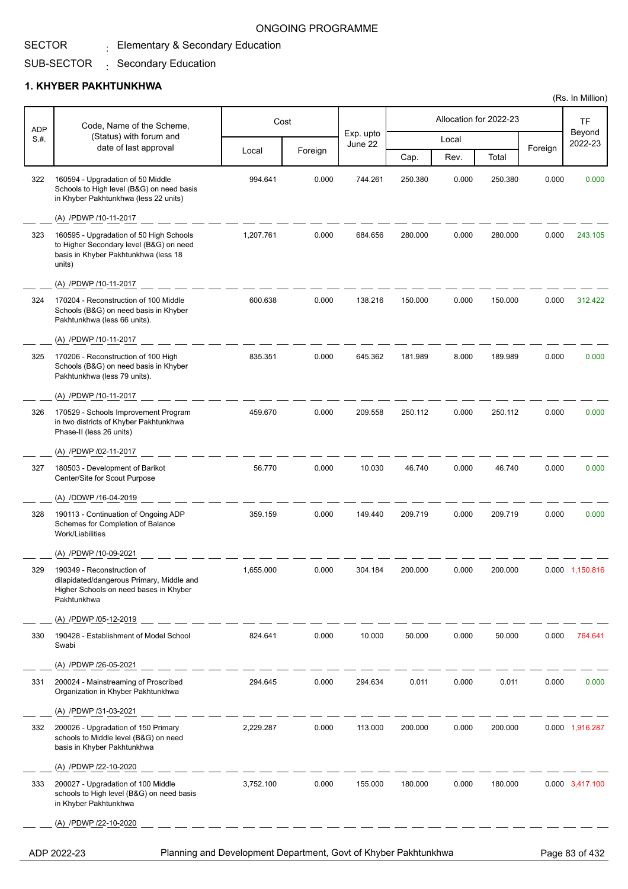## $_{\rm \pm}$  Elementary & Secondary Education

#### SUB-SECTOR : Secondary Education

#### **1. KHYBER PAKHTUNKHWA**

SECTOR

| <b>ADP</b> | Code, Name of the Scheme,                                                                                                            |           | Cost    |                      |         |       | Allocation for 2022-23 |         | <b>TF</b>         |
|------------|--------------------------------------------------------------------------------------------------------------------------------------|-----------|---------|----------------------|---------|-------|------------------------|---------|-------------------|
| S.H.       | (Status) with forum and<br>date of last approval                                                                                     |           |         | Exp. upto<br>June 22 |         | Local |                        |         | Beyond<br>2022-23 |
|            |                                                                                                                                      | Local     | Foreign |                      | Cap.    | Rev.  | Total                  | Foreign |                   |
| 322        | 160594 - Upgradation of 50 Middle<br>Schools to High level (B&G) on need basis<br>in Khyber Pakhtunkhwa (less 22 units)              | 994.641   | 0.000   | 744.261              | 250.380 | 0.000 | 250.380                | 0.000   | 0.000             |
|            | (A) /PDWP /10-11-2017                                                                                                                |           |         |                      |         |       |                        |         |                   |
| 323        | 160595 - Upgradation of 50 High Schools<br>to Higher Secondary level (B&G) on need<br>basis in Khyber Pakhtunkhwa (less 18<br>units) | 1,207.761 | 0.000   | 684.656              | 280.000 | 0.000 | 280.000                | 0.000   | 243.105           |
|            | (A) /PDWP /10-11-2017                                                                                                                |           |         |                      |         |       |                        |         |                   |
| 324        | 170204 - Reconstruction of 100 Middle<br>Schools (B&G) on need basis in Khyber<br>Pakhtunkhwa (less 66 units).                       | 600.638   | 0.000   | 138.216              | 150.000 | 0.000 | 150.000                | 0.000   | 312.422           |
|            | (A) /PDWP /10-11-2017                                                                                                                |           |         |                      |         |       |                        |         |                   |
| 325        | 170206 - Reconstruction of 100 High<br>Schools (B&G) on need basis in Khyber<br>Pakhtunkhwa (less 79 units).                         | 835.351   | 0.000   | 645.362              | 181.989 | 8.000 | 189.989                | 0.000   | 0.000             |
|            | (A) /PDWP /10-11-2017                                                                                                                |           |         |                      |         |       |                        |         |                   |
| 326        | 170529 - Schools Improvement Program<br>in two districts of Khyber Pakhtunkhwa<br>Phase-II (less 26 units)                           | 459.670   | 0.000   | 209.558              | 250.112 | 0.000 | 250.112                | 0.000   | 0.000             |
|            | (A) /PDWP /02-11-2017                                                                                                                |           |         |                      |         |       |                        |         |                   |
| 327        | 180503 - Development of Barikot<br>Center/Site for Scout Purpose                                                                     | 56.770    | 0.000   | 10.030               | 46.740  | 0.000 | 46.740                 | 0.000   | 0.000             |
|            | (A) /DDWP /16-04-2019                                                                                                                |           |         |                      |         |       |                        |         |                   |
| 328        | 190113 - Continuation of Ongoing ADP<br>Schemes for Completion of Balance<br>Work/Liabilities                                        | 359.159   | 0.000   | 149.440              | 209.719 | 0.000 | 209.719                | 0.000   | 0.000             |
|            | (A) /PDWP /10-09-2021                                                                                                                |           |         |                      |         |       |                        |         |                   |
| 329        | 190349 - Reconstruction of<br>dilapidated/dangerous Primary, Middle and<br>Higher Schools on need bases in Khyber<br>Pakhtunkhwa     | 1,655.000 | 0.000   | 304.184              | 200.000 | 0.000 | 200.000                |         | 0.000 1,150.816   |
|            | (A) /PDWP /05-12-2019                                                                                                                |           |         |                      |         |       |                        |         |                   |
| 330        | 190428 - Establishment of Model School<br>Swabi                                                                                      | 824.641   | 0.000   | 10.000               | 50.000  | 0.000 | 50.000                 | 0.000   | 764.641           |
|            | (A) /PDWP /26-05-2021                                                                                                                |           |         |                      |         |       |                        |         |                   |
| 331        | 200024 - Mainstreaming of Proscribed<br>Organization in Khyber Pakhtunkhwa                                                           | 294.645   | 0.000   | 294.634              | 0.011   | 0.000 | 0.011                  | 0.000   | 0.000             |
|            | (A) /PDWP /31-03-2021                                                                                                                |           |         |                      |         |       |                        |         |                   |
| 332        | 200026 - Upgradation of 150 Primary<br>schools to Middle level (B&G) on need<br>basis in Khyber Pakhtunkhwa                          | 2,229.287 | 0.000   | 113.000              | 200.000 | 0.000 | 200.000                |         | 0.000 1,916.287   |
|            | (A) /PDWP /22-10-2020                                                                                                                |           |         |                      |         |       |                        |         |                   |
| 333        | 200027 - Upgradation of 100 Middle<br>schools to High level (B&G) on need basis<br>in Khyber Pakhtunkhwa                             | 3,752.100 | 0.000   | 155.000              | 180.000 | 0.000 | 180.000                |         | 0.000 3,417.100   |
|            | (A) /PDWP /22-10-2020                                                                                                                |           |         |                      |         |       |                        |         |                   |
|            |                                                                                                                                      |           |         |                      |         |       |                        |         |                   |

ADP 2022-23 Planning and Development Department, Govt of Khyber Pakhtunkhwa Page 83 of 432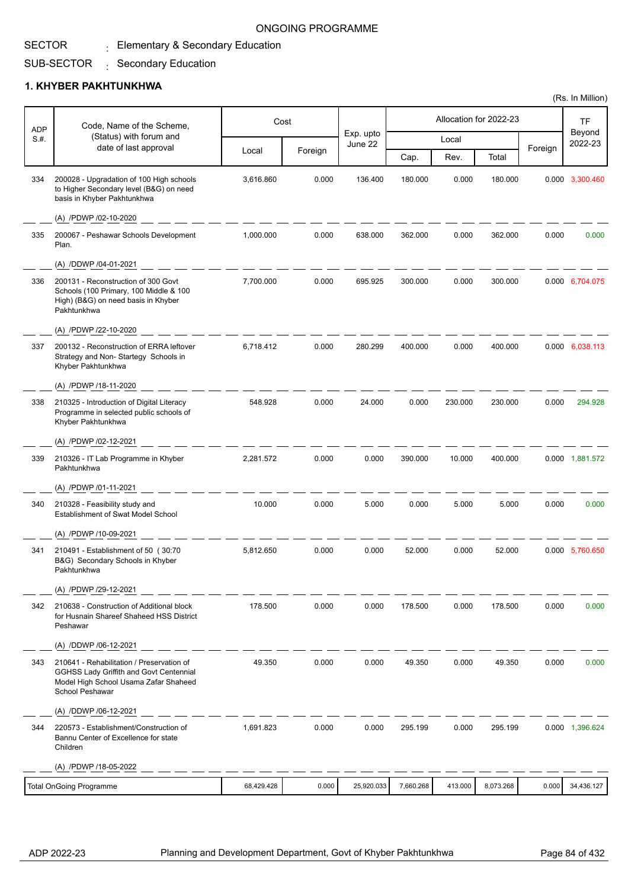# $_{\rm \pm}$  Elementary & Secondary Education

#### SUB-SECTOR : Secondary Education

#### **1. KHYBER PAKHTUNKHWA**

SECTOR

| <b>ADP</b> | Code, Name of the Scheme,                                                                                                                        |            | Cost    |                      |           |         | Allocation for 2022-23 |         | TF                |
|------------|--------------------------------------------------------------------------------------------------------------------------------------------------|------------|---------|----------------------|-----------|---------|------------------------|---------|-------------------|
| S.H.       | (Status) with forum and                                                                                                                          |            |         | Exp. upto<br>June 22 |           | Local   |                        |         | Beyond<br>2022-23 |
|            | date of last approval                                                                                                                            | Local      | Foreign |                      | Cap.      | Rev.    | Total                  | Foreign |                   |
| 334        | 200028 - Upgradation of 100 High schools<br>to Higher Secondary level (B&G) on need<br>basis in Khyber Pakhtunkhwa                               | 3,616.860  | 0.000   | 136.400              | 180.000   | 0.000   | 180.000                |         | 0.000 3,300.460   |
|            | (A) /PDWP /02-10-2020                                                                                                                            |            |         |                      |           |         |                        |         |                   |
| 335        | 200067 - Peshawar Schools Development<br>Plan.                                                                                                   | 1,000.000  | 0.000   | 638.000              | 362.000   | 0.000   | 362.000                | 0.000   | 0.000             |
|            | (A) /DDWP /04-01-2021                                                                                                                            |            |         |                      |           |         |                        |         |                   |
| 336        | 200131 - Reconstruction of 300 Govt<br>Schools (100 Primary, 100 Middle & 100<br>High) (B&G) on need basis in Khyber<br>Pakhtunkhwa              | 7,700.000  | 0.000   | 695.925              | 300.000   | 0.000   | 300.000                |         | 0.000 6,704.075   |
|            | (A) /PDWP /22-10-2020                                                                                                                            |            |         |                      |           |         |                        |         |                   |
| 337        | 200132 - Reconstruction of ERRA leftover<br>Strategy and Non-Startegy Schools in<br>Khyber Pakhtunkhwa                                           | 6.718.412  | 0.000   | 280.299              | 400.000   | 0.000   | 400.000                |         | 0.000 6,038.113   |
|            | (A) /PDWP /18-11-2020                                                                                                                            |            |         |                      |           |         |                        |         |                   |
| 338        | 210325 - Introduction of Digital Literacy<br>Programme in selected public schools of<br>Khyber Pakhtunkhwa                                       | 548.928    | 0.000   | 24.000               | 0.000     | 230.000 | 230.000                | 0.000   | 294.928           |
|            | (A) /PDWP /02-12-2021                                                                                                                            |            |         |                      |           |         |                        |         |                   |
| 339        | 210326 - IT Lab Programme in Khyber<br>Pakhtunkhwa                                                                                               | 2,281.572  | 0.000   | 0.000                | 390.000   | 10.000  | 400.000                |         | 0.000 1,881.572   |
|            | (A) /PDWP /01-11-2021                                                                                                                            |            |         |                      |           |         |                        |         |                   |
| 340        | 210328 - Feasibility study and<br>Establishment of Swat Model School                                                                             | 10.000     | 0.000   | 5.000                | 0.000     | 5.000   | 5.000                  | 0.000   | 0.000             |
|            | (A) /PDWP /10-09-2021                                                                                                                            |            |         |                      |           |         |                        |         |                   |
| 341        | 210491 - Establishment of 50 (30:70<br>B&G) Secondary Schools in Khyber<br>Pakhtunkhwa                                                           | 5,812.650  | 0.000   | 0.000                | 52.000    | 0.000   | 52.000                 |         | 0.000 5,760.650   |
|            | (A) /PDWP /29-12-2021                                                                                                                            |            |         |                      |           |         |                        |         |                   |
| 342        | 210638 - Construction of Additional block<br>for Husnain Shareef Shaheed HSS District<br>Peshawar                                                | 178.500    | 0.000   | 0.000                | 178.500   | 0.000   | 178.500                | 0.000   | 0.000             |
|            | (A) /DDWP /06-12-2021                                                                                                                            |            |         |                      |           |         |                        |         |                   |
| 343        | 210641 - Rehabilitation / Preservation of<br>GGHSS Lady Griffith and Govt Centennial<br>Model High School Usama Zafar Shaheed<br>School Peshawar | 49.350     | 0.000   | 0.000                | 49.350    | 0.000   | 49.350                 | 0.000   | 0.000             |
|            | (A) /DDWP /06-12-2021                                                                                                                            |            |         |                      |           |         |                        |         |                   |
| 344        | 220573 - Establishment/Construction of<br>Bannu Center of Excellence for state<br>Children                                                       | 1,691.823  | 0.000   | 0.000                | 295.199   | 0.000   | 295.199                |         | 0.000 1,396.624   |
|            | (A) /PDWP /18-05-2022                                                                                                                            |            |         |                      |           |         |                        |         |                   |
|            | <b>Total OnGoing Programme</b>                                                                                                                   | 68,429.428 | 0.000   | 25,920.033           | 7,660.268 | 413.000 | 8,073.268              | 0.000   | 34,436.127        |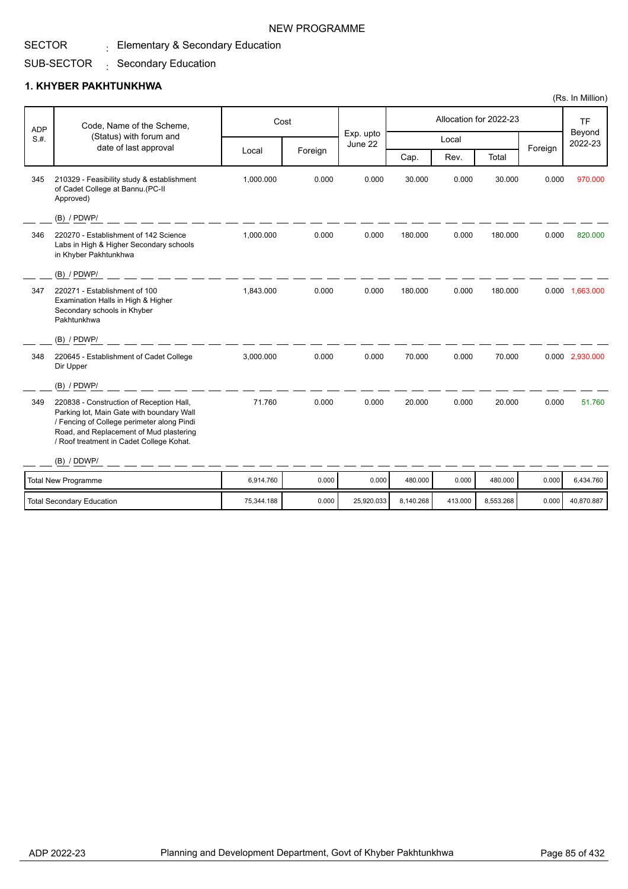### SECTOR

 $_{\rm \pm}$  Elementary & Secondary Education

#### SUB-SECTOR : Secondary Education

### **1. KHYBER PAKHTUNKHWA**

| <b>ADP</b> | Code, Name of the Scheme,                                                                                                                                                                                                  |           | Cost    | Exp. upto |         |       | Allocation for 2022-23 |         | <b>TF</b><br>Beyond |
|------------|----------------------------------------------------------------------------------------------------------------------------------------------------------------------------------------------------------------------------|-----------|---------|-----------|---------|-------|------------------------|---------|---------------------|
| S.H.       | (Status) with forum and                                                                                                                                                                                                    |           |         | June 22   |         | Local |                        |         | 2022-23             |
|            | date of last approval                                                                                                                                                                                                      | Local     | Foreign |           | Cap.    | Rev.  | Total                  | Foreign |                     |
| 345        | 210329 - Feasibility study & establishment<br>of Cadet College at Bannu.(PC-II<br>Approved)                                                                                                                                | 1,000.000 | 0.000   | 0.000     | 30.000  | 0.000 | 30.000                 | 0.000   | 970.000             |
|            | (B) / PDWP/                                                                                                                                                                                                                |           |         |           |         |       |                        |         |                     |
| 346        | 220270 - Establishment of 142 Science<br>Labs in High & Higher Secondary schools<br>in Khyber Pakhtunkhwa                                                                                                                  | 1,000.000 | 0.000   | 0.000     | 180.000 | 0.000 | 180.000                | 0.000   | 820.000             |
|            | (B) / PDWP/                                                                                                                                                                                                                |           |         |           |         |       |                        |         |                     |
| 347        | 220271 - Establishment of 100<br>Examination Halls in High & Higher<br>Secondary schools in Khyber<br>Pakhtunkhwa                                                                                                          | 1,843.000 | 0.000   | 0.000     | 180.000 | 0.000 | 180.000                |         | 0.000 1,663.000     |
|            | (B) / PDWP/                                                                                                                                                                                                                |           |         |           |         |       |                        |         |                     |
| 348        | 220645 - Establishment of Cadet College<br>Dir Upper                                                                                                                                                                       | 3,000.000 | 0.000   | 0.000     | 70.000  | 0.000 | 70.000                 |         | 0.000 2,930.000     |
|            | $(B)$ / PDWP/                                                                                                                                                                                                              |           |         |           |         |       |                        |         |                     |
| 349        | 220838 - Construction of Reception Hall,<br>Parking lot, Main Gate with boundary Wall<br>/ Fencing of College perimeter along Pindi<br>Road, and Replacement of Mud plastering<br>/ Roof treatment in Cadet College Kohat. | 71.760    | 0.000   | 0.000     | 20.000  | 0.000 | 20.000                 | 0.000   | 51.760              |
|            | (B) / DDWP/                                                                                                                                                                                                                |           |         |           |         |       |                        |         |                     |
|            | <b>Total New Programme</b>                                                                                                                                                                                                 | 6.914.760 | 0.000   | 0.000     | 480.000 | 0.000 | 480.000                | 0.000   | 6.434.760           |

Total Secondary Education 1990 10.000 25,920.033 8,140.268 413.000 8,553.268 6,140.268 40,870.887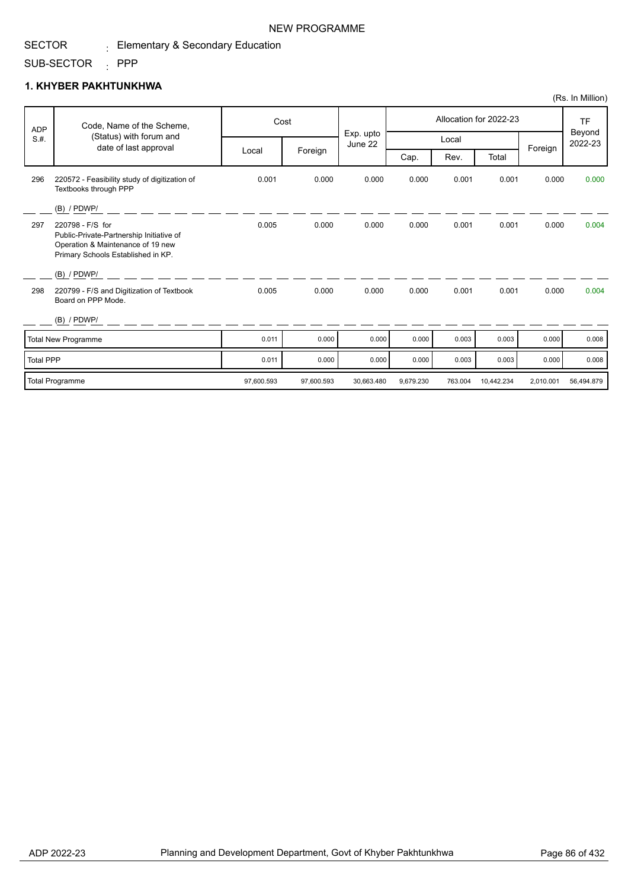#### SECTOR  $_{\rm \pm}$  Elementary & Secondary Education

SUB-SECTOR : PPP

## **1. KHYBER PAKHTUNKHWA**

|                  |                                                                                                                                         |            |            |                      |           |         |                        |           | (Rs. In Million)  |
|------------------|-----------------------------------------------------------------------------------------------------------------------------------------|------------|------------|----------------------|-----------|---------|------------------------|-----------|-------------------|
| <b>ADP</b>       | Code, Name of the Scheme,                                                                                                               |            | Cost       |                      |           |         | Allocation for 2022-23 |           | <b>TF</b>         |
| S.H.             | (Status) with forum and<br>date of last approval                                                                                        |            |            | Exp. upto<br>June 22 |           | Local   |                        |           | Beyond<br>2022-23 |
|                  |                                                                                                                                         | Local      | Foreign    |                      | Cap.      | Rev.    | Total                  | Foreign   |                   |
| 296              | 220572 - Feasibility study of digitization of<br>Textbooks through PPP                                                                  | 0.001      | 0.000      | 0.000                | 0.000     | 0.001   | 0.001                  | 0.000     | 0.000             |
|                  | $(B)$ / PDWP/                                                                                                                           |            |            |                      |           |         |                        |           |                   |
| 297              | 220798 - F/S for<br>Public-Private-Partnership Initiative of<br>Operation & Maintenance of 19 new<br>Primary Schools Established in KP. | 0.005      | 0.000      | 0.000                | 0.000     | 0.001   | 0.001                  | 0.000     | 0.004             |
|                  | $(B)$ / PDWP/                                                                                                                           |            |            |                      |           |         |                        |           |                   |
| 298              | 220799 - F/S and Digitization of Textbook<br>Board on PPP Mode.                                                                         | 0.005      | 0.000      | 0.000                | 0.000     | 0.001   | 0.001                  | 0.000     | 0.004             |
|                  | $(B)$ / PDWP/                                                                                                                           |            |            |                      |           |         |                        |           |                   |
|                  | Total New Programme                                                                                                                     | 0.011      | 0.000      | 0.000                | 0.000     | 0.003   | 0.003                  | 0.000     | 0.008             |
| <b>Total PPP</b> |                                                                                                                                         | 0.011      | 0.000      | 0.000                | 0.000     | 0.003   | 0.003                  | 0.000     | 0.008             |
|                  | Total Programme                                                                                                                         | 97,600.593 | 97,600.593 | 30,663.480           | 9,679.230 | 763.004 | 10,442.234             | 2,010.001 | 56,494.879        |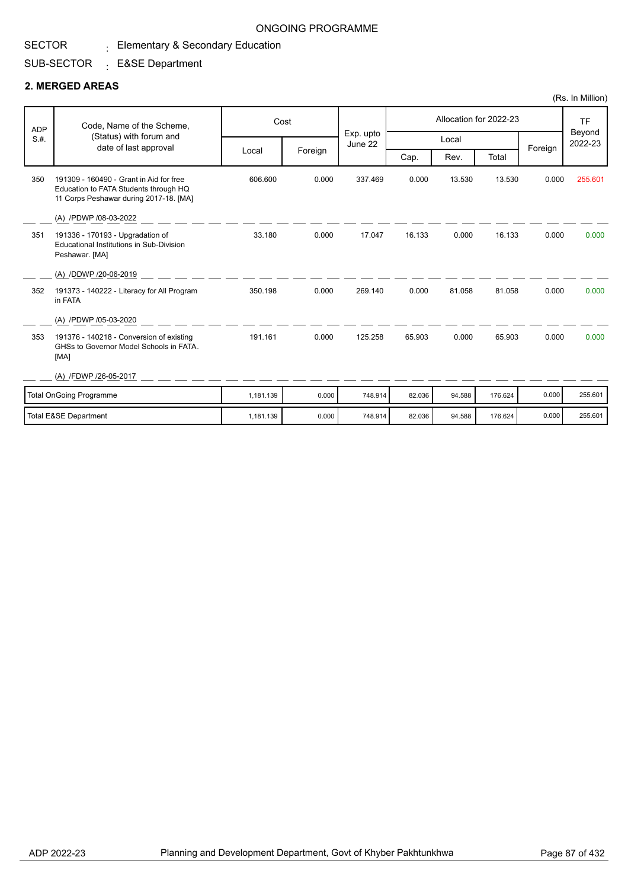# $_{\rm \pm}$  Elementary & Secondary Education

## SUB-SECTOR <sub>:</sub> E&SE Department

#### **2. MERGED AREAS**

SECTOR

|            |                                                                                                                            |           |         |                      |        |        |                        |         | (Rs. In Million)               |
|------------|----------------------------------------------------------------------------------------------------------------------------|-----------|---------|----------------------|--------|--------|------------------------|---------|--------------------------------|
| <b>ADP</b> | Code, Name of the Scheme,                                                                                                  |           | Cost    |                      |        |        | Allocation for 2022-23 |         | <b>TF</b><br>Beyond<br>2022-23 |
| S.H.       | (Status) with forum and<br>date of last approval                                                                           |           |         | Exp. upto<br>June 22 |        | Local  |                        |         |                                |
|            |                                                                                                                            | Local     | Foreign |                      | Cap.   | Rev.   | Total                  | Foreign |                                |
| 350        | 191309 - 160490 - Grant in Aid for free<br>Education to FATA Students through HQ<br>11 Corps Peshawar during 2017-18. [MA] | 606.600   | 0.000   | 337.469              | 0.000  | 13.530 | 13.530                 | 0.000   | 255.601                        |
|            | (A) /PDWP /08-03-2022                                                                                                      |           |         |                      |        |        |                        |         |                                |
| 351        | 191336 - 170193 - Upgradation of<br><b>Educational Institutions in Sub-Division</b><br>Peshawar. [MA]                      | 33.180    | 0.000   | 17.047               | 16.133 | 0.000  | 16.133                 | 0.000   | 0.000                          |
|            | (A) /DDWP /20-06-2019                                                                                                      |           |         |                      |        |        |                        |         |                                |
| 352        | 191373 - 140222 - Literacy for All Program<br>in FATA                                                                      | 350.198   | 0.000   | 269.140              | 0.000  | 81.058 | 81.058                 | 0.000   | 0.000                          |
|            | (A) /PDWP /05-03-2020                                                                                                      |           |         |                      |        |        |                        |         |                                |
| 353        | 191376 - 140218 - Conversion of existing<br>GHSs to Governor Model Schools in FATA.<br>[MA]                                | 191.161   | 0.000   | 125.258              | 65.903 | 0.000  | 65.903                 | 0.000   | 0.000                          |
|            | (A) /FDWP /26-05-2017                                                                                                      |           |         |                      |        |        |                        |         |                                |
|            | <b>Total OnGoing Programme</b>                                                                                             | 1.181.139 | 0.000   | 748.914              | 82.036 | 94.588 | 176.624                | 0.000   | 255.601                        |
|            | <b>Total E&amp;SE Department</b>                                                                                           | 1,181.139 | 0.000   | 748.914              | 82.036 | 94.588 | 176.624                | 0.000   | 255.601                        |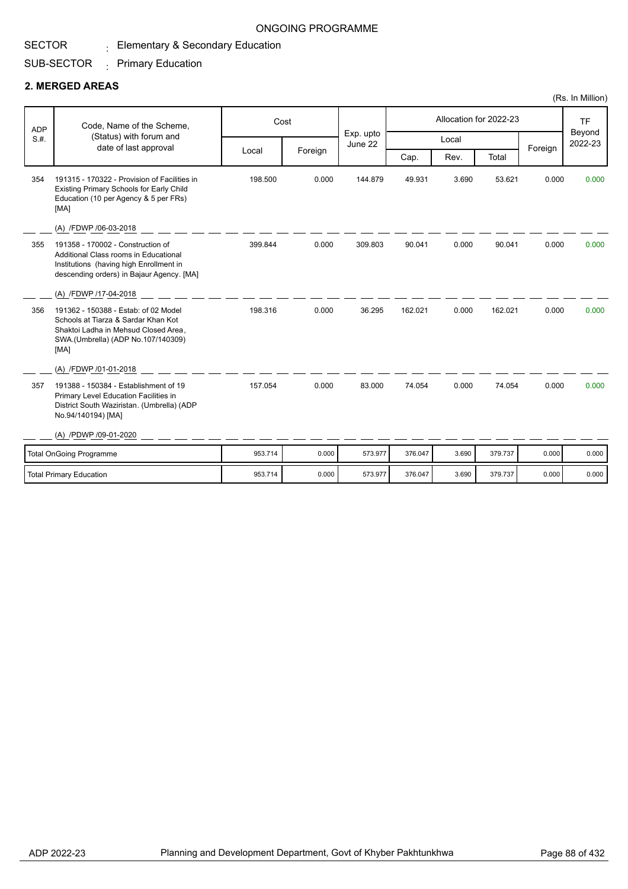# $_{\rm \pm}$  Elementary & Secondary Education

#### SUB-SECTOR  $\cdot$  Primary Education

#### **2. MERGED AREAS**

SECTOR

|            |                                                                                                                                                                    |         |         |                      |         |       |                        |         | (Rs. In Million)  |
|------------|--------------------------------------------------------------------------------------------------------------------------------------------------------------------|---------|---------|----------------------|---------|-------|------------------------|---------|-------------------|
| <b>ADP</b> | Code, Name of the Scheme,                                                                                                                                          | Cost    |         |                      |         |       | Allocation for 2022-23 |         | <b>TF</b>         |
| S.H.       | (Status) with forum and<br>date of last approval                                                                                                                   |         |         | Exp. upto<br>June 22 |         | Local |                        |         | Beyond<br>2022-23 |
|            |                                                                                                                                                                    | Local   | Foreign |                      | Cap.    | Rev.  | Total                  | Foreign |                   |
| 354        | 191315 - 170322 - Provision of Facilities in<br>Existing Primary Schools for Early Child<br>Education (10 per Agency & 5 per FRs)<br>[MA]                          | 198.500 | 0.000   | 144.879              | 49.931  | 3.690 | 53.621                 | 0.000   | 0.000             |
|            | (A) /FDWP /06-03-2018                                                                                                                                              |         |         |                      |         |       |                        |         |                   |
| 355        | 191358 - 170002 - Construction of<br>Additional Class rooms in Educational<br>Institutions (having high Enrollment in<br>descending orders) in Bajaur Agency. [MA] | 399.844 | 0.000   | 309.803              | 90.041  | 0.000 | 90.041                 | 0.000   | 0.000             |
|            | (A) /FDWP /17-04-2018                                                                                                                                              |         |         |                      |         |       |                        |         |                   |
| 356        | 191362 - 150388 - Estab: of 02 Model<br>Schools at Tiarza & Sardar Khan Kot<br>Shaktoi Ladha in Mehsud Closed Area,<br>SWA.(Umbrella) (ADP No.107/140309)<br>[MA]  | 198.316 | 0.000   | 36.295               | 162.021 | 0.000 | 162.021                | 0.000   | 0.000             |
|            | (A) /FDWP /01-01-2018                                                                                                                                              |         |         |                      |         |       |                        |         |                   |
| 357        | 191388 - 150384 - Establishment of 19<br>Primary Level Education Facilities in<br>District South Waziristan. (Umbrella) (ADP<br>No.94/140194) [MA]                 | 157.054 | 0.000   | 83.000               | 74.054  | 0.000 | 74.054                 | 0.000   | 0.000             |
|            | (A) /PDWP /09-01-2020                                                                                                                                              |         |         |                      |         |       |                        |         |                   |
|            | <b>Total OnGoing Programme</b>                                                                                                                                     | 953.714 | 0.000   | 573.977              | 376.047 | 3.690 | 379.737                | 0.000   | 0.000             |
|            | <b>Total Primary Education</b>                                                                                                                                     | 953.714 | 0.000   | 573.977              | 376.047 | 3.690 | 379.737                | 0.000   | 0.000             |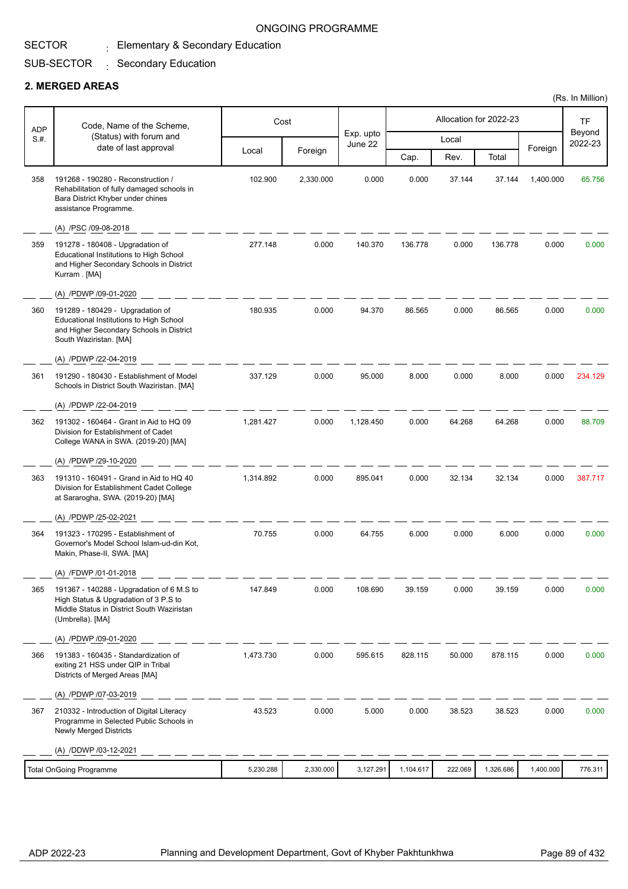# $_{\rm \pm}$  Elementary & Secondary Education

#### SUB-SECTOR : Secondary Education

#### **2. MERGED AREAS**

SECTOR

| ADP  | Code, Name of the Scheme,                                                                                                                            |           | Cost      |                      |           |         | Allocation for 2022-23 |           | TF                |
|------|------------------------------------------------------------------------------------------------------------------------------------------------------|-----------|-----------|----------------------|-----------|---------|------------------------|-----------|-------------------|
| S.H. | (Status) with forum and<br>date of last approval                                                                                                     |           |           | Exp. upto<br>June 22 |           | Local   |                        |           | Beyond<br>2022-23 |
|      |                                                                                                                                                      | Local     | Foreign   |                      | Cap.      | Rev.    | Total                  | Foreign   |                   |
| 358  | 191268 - 190280 - Reconstruction /<br>Rehabilitation of fully damaged schools in<br>Bara District Khyber under chines<br>assistance Programme.       | 102.900   | 2,330.000 | 0.000                | 0.000     | 37.144  | 37.144                 | 1,400.000 | 65.756            |
|      | (A) /PSC /09-08-2018                                                                                                                                 |           |           |                      |           |         |                        |           |                   |
| 359  | 191278 - 180408 - Upgradation of<br>Educational Institutions to High School<br>and Higher Secondary Schools in District<br>Kurram . [MA]             | 277.148   | 0.000     | 140.370              | 136.778   | 0.000   | 136.778                | 0.000     | 0.000             |
|      | (A) /PDWP /09-01-2020                                                                                                                                |           |           |                      |           |         |                        |           |                   |
| 360  | 191289 - 180429 - Upgradation of<br>Educational Institutions to High School<br>and Higher Secondary Schools in District<br>South Waziristan. [MA]    | 180.935   | 0.000     | 94.370               | 86.565    | 0.000   | 86.565                 | 0.000     | 0.000             |
|      | (A) /PDWP /22-04-2019                                                                                                                                |           |           |                      |           |         |                        |           |                   |
| 361  | 191290 - 180430 - Establishment of Model<br>Schools in District South Waziristan. [MA]                                                               | 337.129   | 0.000     | 95.000               | 8.000     | 0.000   | 8.000                  | 0.000     | 234.129           |
|      | (A) /PDWP /22-04-2019                                                                                                                                |           |           |                      |           |         |                        |           |                   |
| 362  | 191302 - 160464 - Grant in Aid to HQ 09<br>Division for Establishment of Cadet<br>College WANA in SWA. (2019-20) [MA]                                | 1,281.427 | 0.000     | 1,128.450            | 0.000     | 64.268  | 64.268                 | 0.000     | 88.709            |
|      | (A) /PDWP /29-10-2020                                                                                                                                |           |           |                      |           |         |                        |           |                   |
| 363  | 191310 - 160491 - Grand in Aid to HQ 40<br>Division for Establishment Cadet College<br>at Sararogha, SWA. (2019-20) [MA]                             | 1,314.892 | 0.000     | 895.041              | 0.000     | 32.134  | 32.134                 | 0.000     | 387.717           |
|      | (A) /PDWP /25-02-2021                                                                                                                                |           |           |                      |           |         |                        |           |                   |
| 364  | 191323 - 170295 - Establishment of<br>Governor's Model School Islam-ud-din Kot,<br>Makin, Phase-II, SWA. [MA]                                        | 70.755    | 0.000     | 64.755               | 6.000     | 0.000   | 6.000                  | 0.000     | 0.000             |
|      | (A) /FDWP /01-01-2018                                                                                                                                |           |           |                      |           |         |                        |           |                   |
| 365  | 191367 - 140288 - Upgradation of 6 M.S to<br>High Status & Upgradation of 3 P.S to<br>Middle Status in District South Waziristan<br>(Umbrella). [MA] | 147.849   | 0.000     | 108.690              | 39.159    | 0.000   | 39.159                 | 0.000     | 0.000             |
|      | (A) /PDWP /09-01-2020                                                                                                                                |           |           |                      |           |         |                        |           |                   |
| 366  | 191383 - 160435 - Standardization of<br>exiting 21 HSS under QIP in Tribal<br>Districts of Merged Areas [MA]                                         | 1,473.730 | 0.000     | 595.615              | 828.115   | 50.000  | 878.115                | 0.000     | 0.000             |
|      | (A) /PDWP /07-03-2019                                                                                                                                |           |           |                      |           |         |                        |           |                   |
| 367  | 210332 - Introduction of Digital Literacy<br>Programme in Selected Public Schools in<br><b>Newly Merged Districts</b>                                | 43.523    | 0.000     | 5.000                | 0.000     | 38.523  | 38.523                 | 0.000     | 0.000             |
|      | (A) /DDWP /03-12-2021                                                                                                                                |           |           |                      |           |         |                        |           |                   |
|      | <b>Total OnGoing Programme</b>                                                                                                                       | 5,230.288 | 2,330.000 | 3,127.291            | 1,104.617 | 222.069 | 1,326.686              | 1,400.000 | 776.311           |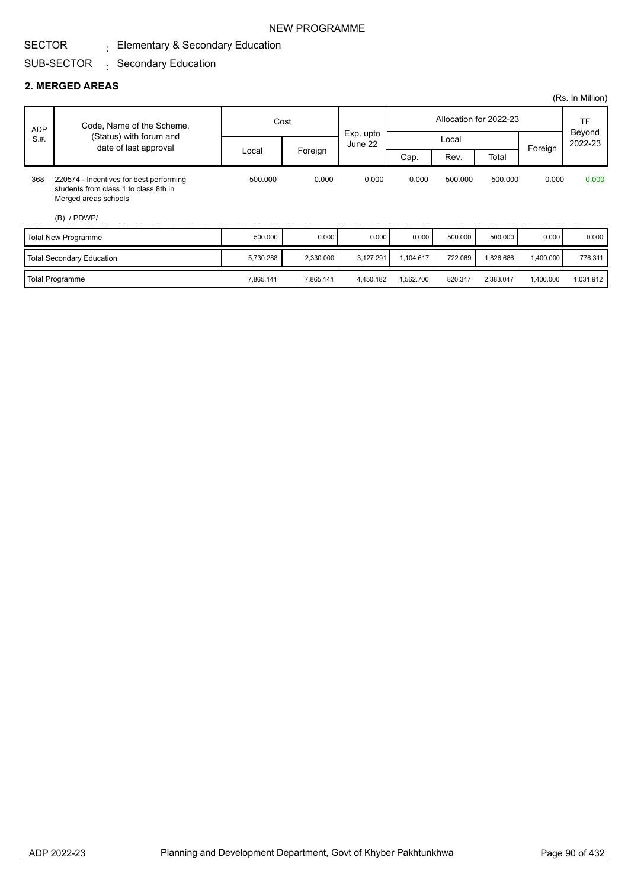# $_{\rm \pm}$  Elementary & Secondary Education

#### SUB-SECTOR : Secondary Education

#### **2. MERGED AREAS**

SECTOR

|            |                                                                                                                           |           |           |                      |           |         |                        |           | (Rs. In Million)  |
|------------|---------------------------------------------------------------------------------------------------------------------------|-----------|-----------|----------------------|-----------|---------|------------------------|-----------|-------------------|
| <b>ADP</b> | Code, Name of the Scheme,                                                                                                 |           | Cost      |                      |           |         | Allocation for 2022-23 |           | TF                |
| S.H.       | (Status) with forum and<br>date of last approval                                                                          |           |           | Exp. upto<br>June 22 |           | Local   |                        | Foreign   | Beyond<br>2022-23 |
|            |                                                                                                                           | Local     | Foreign   |                      | Cap.      | Rev.    | Total                  |           |                   |
| 368        | 220574 - Incentives for best performing<br>students from class 1 to class 8th in<br>Merged areas schools<br>$(B)$ / PDWP/ | 500.000   | 0.000     | 0.000                | 0.000     | 500.000 | 500.000                | 0.000     | 0.000             |
|            | Total New Programme                                                                                                       | 500.000   | 0.000     | 0.000                | 0.000     | 500.000 | 500.000                | 0.000     | 0.000             |
|            | Total Secondary Education                                                                                                 | 5,730.288 | 2,330.000 | 3,127.291            | 1,104.617 | 722.069 | 1,826.686              | 1,400.000 | 776.311           |
|            | <b>Total Programme</b>                                                                                                    | 7,865.141 | 7,865.141 | 4,450.182            | 1,562.700 | 820.347 | 2,383.047              | 1,400.000 | 1,031.912         |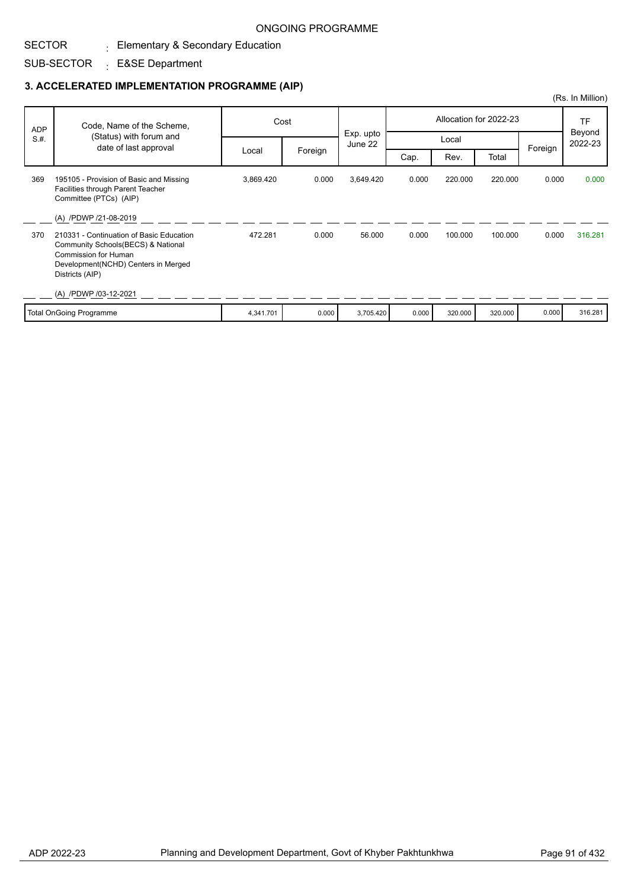#### SECTOR  $_{\rm \pm}$  Elementary & Secondary Education

SUB-SECTOR : E&SE Department

|            |                                                                                                                                                                         |           |         |                      |       |         |                        |         | (Rs. In Million)  |
|------------|-------------------------------------------------------------------------------------------------------------------------------------------------------------------------|-----------|---------|----------------------|-------|---------|------------------------|---------|-------------------|
| <b>ADP</b> | Code, Name of the Scheme,                                                                                                                                               |           | Cost    |                      |       |         | Allocation for 2022-23 |         | <b>TF</b>         |
| S.H.       | (Status) with forum and<br>date of last approval                                                                                                                        |           |         | Exp. upto<br>June 22 |       | Local   |                        | Foreign | Beyond<br>2022-23 |
|            |                                                                                                                                                                         | Local     | Foreign |                      | Cap.  | Rev.    | Total                  |         |                   |
| 369        | 195105 - Provision of Basic and Missing<br>Facilities through Parent Teacher<br>Committee (PTCs) (AIP)                                                                  | 3,869.420 | 0.000   | 3,649.420            | 0.000 | 220.000 | 220.000                | 0.000   | 0.000             |
|            | (A) /PDWP /21-08-2019                                                                                                                                                   |           |         |                      |       |         |                        |         |                   |
| 370        | 210331 - Continuation of Basic Education<br>Community Schools(BECS) & National<br><b>Commission for Human</b><br>Development(NCHD) Centers in Merged<br>Districts (AIP) | 472.281   | 0.000   | 56.000               | 0.000 | 100.000 | 100.000                | 0.000   | 316.281           |
|            | (A) /PDWP /03-12-2021                                                                                                                                                   |           |         |                      |       |         |                        |         |                   |
|            | <b>Total OnGoing Programme</b>                                                                                                                                          | 4,341.701 | 0.000   | 3,705.420            | 0.000 | 320.000 | 320.000                | 0.000   | 316.281           |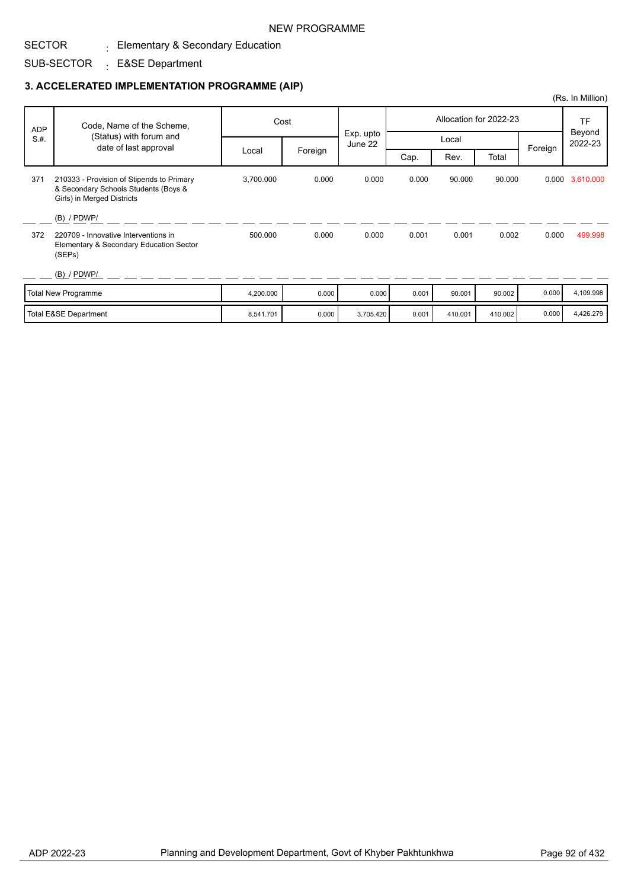#### SECTOR  $_{\rm \pm}$  Elementary & Secondary Education

SUB-SECTOR : E&SE Department

|            |                                                                                                                 |           |         |                      |       |         |                        |         | (Rs. In Million)  |
|------------|-----------------------------------------------------------------------------------------------------------------|-----------|---------|----------------------|-------|---------|------------------------|---------|-------------------|
| <b>ADP</b> | Code, Name of the Scheme,                                                                                       |           | Cost    |                      |       |         | Allocation for 2022-23 |         | <b>TF</b>         |
| S.H.       | (Status) with forum and<br>date of last approval                                                                |           |         | Exp. upto<br>June 22 |       | Local   |                        | Foreign | Beyond<br>2022-23 |
|            |                                                                                                                 | Local     | Foreign |                      | Cap.  | Rev.    | Total                  |         |                   |
| 371        | 210333 - Provision of Stipends to Primary<br>& Secondary Schools Students (Boys &<br>Girls) in Merged Districts | 3,700.000 | 0.000   | 0.000                | 0.000 | 90.000  | 90.000                 |         | 0.000 3,610.000   |
|            | $(B)$ / PDWP/                                                                                                   |           |         |                      |       |         |                        |         |                   |
| 372        | 220709 - Innovative Interventions in<br>Elementary & Secondary Education Sector<br>(SEPs)                       | 500.000   | 0.000   | 0.000                | 0.001 | 0.001   | 0.002                  | 0.000   | 499.998           |
|            | $(B)$ / PDWP/                                                                                                   |           |         |                      |       |         |                        |         |                   |
|            | <b>Total New Programme</b>                                                                                      | 4,200.000 | 0.000   | 0.000                | 0.001 | 90.001  | 90.002                 | 0.000   | 4,109.998         |
|            | <b>Total E&amp;SE Department</b>                                                                                | 8,541.701 | 0.000   | 3,705.420            | 0.001 | 410.001 | 410.002                | 0.000   | 4,426.279         |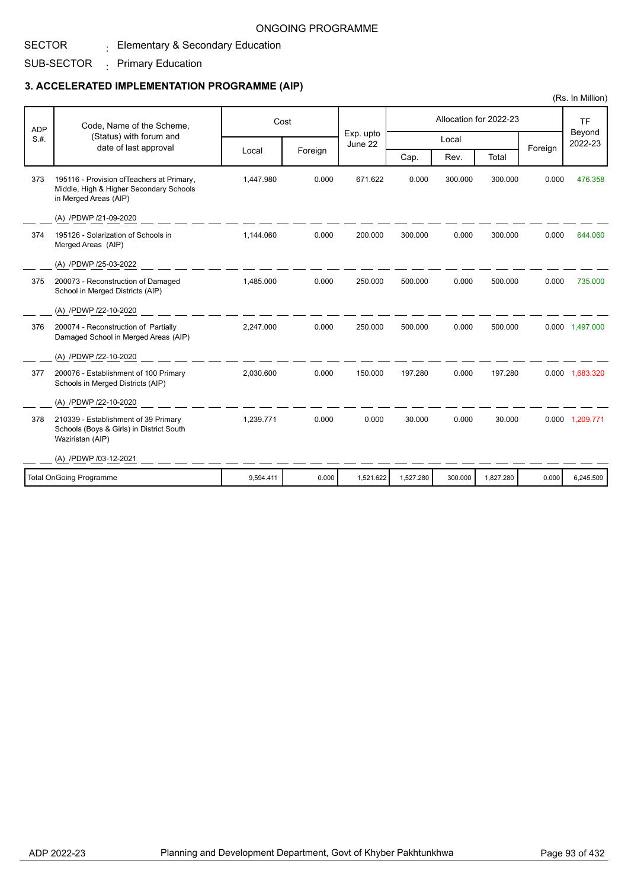#### SECTOR  $_{\rm \pm}$  Elementary & Secondary Education

SUB-SECTOR  $\cdot$  Primary Education

### **3. ACCELERATED IMPLEMENTATION PROGRAMME (AIP)**

| <b>ADP</b><br>S.H. | Code, Name of the Scheme,                                                                                      | Cost      |         | Exp. upto |           |         | Allocation for 2022-23 |         | <b>TF</b><br>Beyond |
|--------------------|----------------------------------------------------------------------------------------------------------------|-----------|---------|-----------|-----------|---------|------------------------|---------|---------------------|
|                    | (Status) with forum and<br>date of last approval                                                               |           |         | June 22   |           | Local   |                        | Foreign | 2022-23             |
|                    |                                                                                                                | Local     | Foreign |           | Cap.      | Rev.    | Total                  |         |                     |
| 373                | 195116 - Provision of Teachers at Primary,<br>Middle, High & Higher Secondary Schools<br>in Merged Areas (AIP) | 1.447.980 | 0.000   | 671.622   | 0.000     | 300.000 | 300.000                | 0.000   | 476.358             |
|                    | (A) /PDWP /21-09-2020                                                                                          |           |         |           |           |         |                        |         |                     |
| 374                | 195126 - Solarization of Schools in<br>Merged Areas (AIP)                                                      | 1,144.060 | 0.000   | 200.000   | 300.000   | 0.000   | 300.000                | 0.000   | 644.060             |
|                    | (A) /PDWP /25-03-2022                                                                                          |           |         |           |           |         |                        |         |                     |
| 375                | 200073 - Reconstruction of Damaged<br>School in Merged Districts (AIP)                                         | 1,485.000 | 0.000   | 250.000   | 500.000   | 0.000   | 500.000                | 0.000   | 735,000             |
|                    | (A) /PDWP /22-10-2020                                                                                          |           |         |           |           |         |                        |         |                     |
| 376                | 200074 - Reconstruction of Partially<br>Damaged School in Merged Areas (AIP)                                   | 2,247.000 | 0.000   | 250.000   | 500.000   | 0.000   | 500.000                |         | 0.000 1,497.000     |
|                    | (A) /PDWP /22-10-2020                                                                                          |           |         |           |           |         |                        |         |                     |
| 377                | 200076 - Establishment of 100 Primary<br>Schools in Merged Districts (AIP)                                     | 2,030.600 | 0.000   | 150.000   | 197.280   | 0.000   | 197.280                |         | 0.000 1.683.320     |
|                    | (A) /PDWP /22-10-2020                                                                                          |           |         |           |           |         |                        |         |                     |
| 378                | 210339 - Establishment of 39 Primary<br>Schools (Boys & Girls) in District South<br>Waziristan (AIP)           | 1,239.771 | 0.000   | 0.000     | 30.000    | 0.000   | 30.000                 |         | 0.000 1,209.771     |
|                    | (A) /PDWP /03-12-2021                                                                                          |           |         |           |           |         |                        |         |                     |
|                    | <b>Total OnGoing Programme</b>                                                                                 | 9,594.411 | 0.000   | 1,521.622 | 1,527.280 | 300.000 | 1,827.280              | 0.000   | 6,245.509           |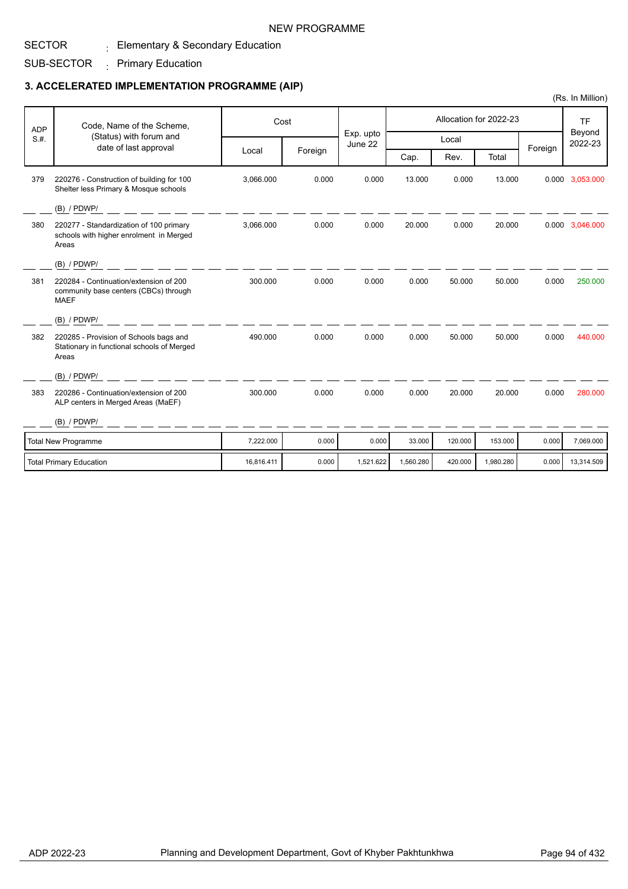#### SECTOR  $_{\rm \pm}$  Elementary & Secondary Education

SUB-SECTOR  $\cdot$  Primary Education

|            |                                                                                                |            |         |                      |           |         |                        |         | (Rs. In Million)  |
|------------|------------------------------------------------------------------------------------------------|------------|---------|----------------------|-----------|---------|------------------------|---------|-------------------|
| <b>ADP</b> | Code, Name of the Scheme,                                                                      |            | Cost    |                      |           |         | Allocation for 2022-23 |         | <b>TF</b>         |
| S.H.       | (Status) with forum and<br>date of last approval                                               |            |         | Exp. upto<br>June 22 |           | Local   |                        |         | Beyond<br>2022-23 |
|            |                                                                                                | Local      | Foreign |                      | Cap.      | Rev.    | Total                  | Foreign |                   |
| 379        | 220276 - Construction of building for 100<br>Shelter less Primary & Mosque schools             | 3,066.000  | 0.000   | 0.000                | 13.000    | 0.000   | 13.000                 |         | 0.000 3,053.000   |
|            | (B) / PDWP/                                                                                    |            |         |                      |           |         |                        |         |                   |
| 380        | 220277 - Standardization of 100 primary<br>schools with higher enrolment in Merged<br>Areas    | 3.066.000  | 0.000   | 0.000                | 20.000    | 0.000   | 20.000                 |         | 0.000 3,046.000   |
|            | (B) / PDWP/                                                                                    |            |         |                      |           |         |                        |         |                   |
| 381        | 220284 - Continuation/extension of 200<br>community base centers (CBCs) through<br><b>MAEF</b> | 300.000    | 0.000   | 0.000                | 0.000     | 50.000  | 50.000                 | 0.000   | 250,000           |
|            | (B) / PDWP/                                                                                    |            |         |                      |           |         |                        |         |                   |
| 382        | 220285 - Provision of Schools bags and<br>Stationary in functional schools of Merged<br>Areas  | 490.000    | 0.000   | 0.000                | 0.000     | 50.000  | 50.000                 | 0.000   | 440.000           |
|            | $(B)$ / PDWP/                                                                                  |            |         |                      |           |         |                        |         |                   |
| 383        | 220286 - Continuation/extension of 200<br>ALP centers in Merged Areas (MaEF)                   | 300.000    | 0.000   | 0.000                | 0.000     | 20.000  | 20.000                 | 0.000   | 280.000           |
|            | $(B)$ / PDWP/                                                                                  |            |         |                      |           |         |                        |         |                   |
|            | <b>Total New Programme</b>                                                                     | 7,222.000  | 0.000   | 0.000                | 33.000    | 120.000 | 153.000                | 0.000   | 7,069.000         |
|            | <b>Total Primary Education</b>                                                                 | 16,816.411 | 0.000   | 1,521.622            | 1,560.280 | 420.000 | 1,980.280              | 0.000   | 13,314.509        |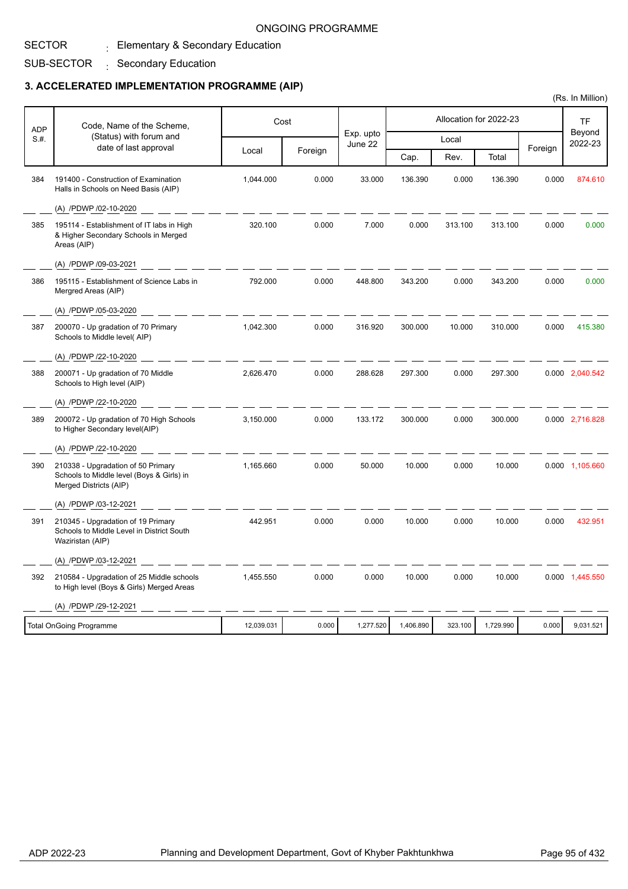# $_{\rm \pm}$  Elementary & Secondary Education

#### SUB-SECTOR : Secondary Education

SECTOR

|            |                                                                                                           |            |         |                      |           |         |                        |         | (Rs. In Million)  |
|------------|-----------------------------------------------------------------------------------------------------------|------------|---------|----------------------|-----------|---------|------------------------|---------|-------------------|
| <b>ADP</b> | Code, Name of the Scheme,                                                                                 | Cost       |         |                      |           |         | Allocation for 2022-23 |         | <b>TF</b>         |
| S.#.       | (Status) with forum and                                                                                   |            |         | Exp. upto<br>June 22 |           | Local   |                        |         | Beyond<br>2022-23 |
|            | date of last approval                                                                                     | Local      | Foreign |                      | Cap.      | Rev.    | Total                  | Foreign |                   |
| 384        | 191400 - Construction of Examination<br>Halls in Schools on Need Basis (AIP)                              | 1,044.000  | 0.000   | 33.000               | 136.390   | 0.000   | 136.390                | 0.000   | 874.610           |
|            | (A) /PDWP /02-10-2020                                                                                     |            |         |                      |           |         |                        |         |                   |
| 385        | 195114 - Establishment of IT labs in High<br>& Higher Secondary Schools in Merged<br>Areas (AIP)          | 320.100    | 0.000   | 7.000                | 0.000     | 313.100 | 313.100                | 0.000   | 0.000             |
|            | (A) /PDWP /09-03-2021                                                                                     |            |         |                      |           |         |                        |         |                   |
| 386        | 195115 - Establishment of Science Labs in<br>Mergred Areas (AIP)                                          | 792.000    | 0.000   | 448.800              | 343.200   | 0.000   | 343.200                | 0.000   | 0.000             |
|            | (A) /PDWP /05-03-2020                                                                                     |            |         |                      |           |         |                        |         |                   |
| 387        | 200070 - Up gradation of 70 Primary<br>Schools to Middle level(AIP)                                       | 1,042.300  | 0.000   | 316.920              | 300.000   | 10.000  | 310.000                | 0.000   | 415.380           |
|            | (A) /PDWP /22-10-2020                                                                                     |            |         |                      |           |         |                        |         |                   |
| 388        | 200071 - Up gradation of 70 Middle<br>Schools to High level (AIP)                                         | 2,626.470  | 0.000   | 288.628              | 297.300   | 0.000   | 297.300                |         | 0.000 2,040.542   |
|            | (A) /PDWP /22-10-2020                                                                                     |            |         |                      |           |         |                        |         |                   |
| 389        | 200072 - Up gradation of 70 High Schools<br>to Higher Secondary level(AIP)                                | 3,150.000  | 0.000   | 133.172              | 300.000   | 0.000   | 300.000                |         | 0.000 2,716.828   |
|            | (A) /PDWP /22-10-2020                                                                                     |            |         |                      |           |         |                        |         |                   |
| 390        | 210338 - Upgradation of 50 Primary<br>Schools to Middle level (Boys & Girls) in<br>Merged Districts (AIP) | 1,165.660  | 0.000   | 50.000               | 10.000    | 0.000   | 10.000                 |         | 0.000 1,105.660   |
|            | (A) /PDWP /03-12-2021                                                                                     |            |         |                      |           |         |                        |         |                   |
| 391        | 210345 - Upgradation of 19 Primary<br>Schools to Middle Level in District South<br>Waziristan (AIP)       | 442.951    | 0.000   | 0.000                | 10.000    | 0.000   | 10.000                 | 0.000   | 432.951           |
|            | (A) /PDWP /03-12-2021                                                                                     |            |         |                      |           |         |                        |         |                   |
| 392        | 210584 - Upgradation of 25 Middle schools<br>to High level (Boys & Girls) Merged Areas                    | 1,455.550  | 0.000   | 0.000                | 10.000    | 0.000   | 10.000                 |         | 0.000 1,445.550   |
|            | (A) /PDWP /29-12-2021                                                                                     |            |         |                      |           |         |                        |         |                   |
|            | <b>Total OnGoing Programme</b>                                                                            | 12,039.031 | 0.000   | 1,277.520            | 1,406.890 | 323.100 | 1,729.990              | 0.000   | 9,031.521         |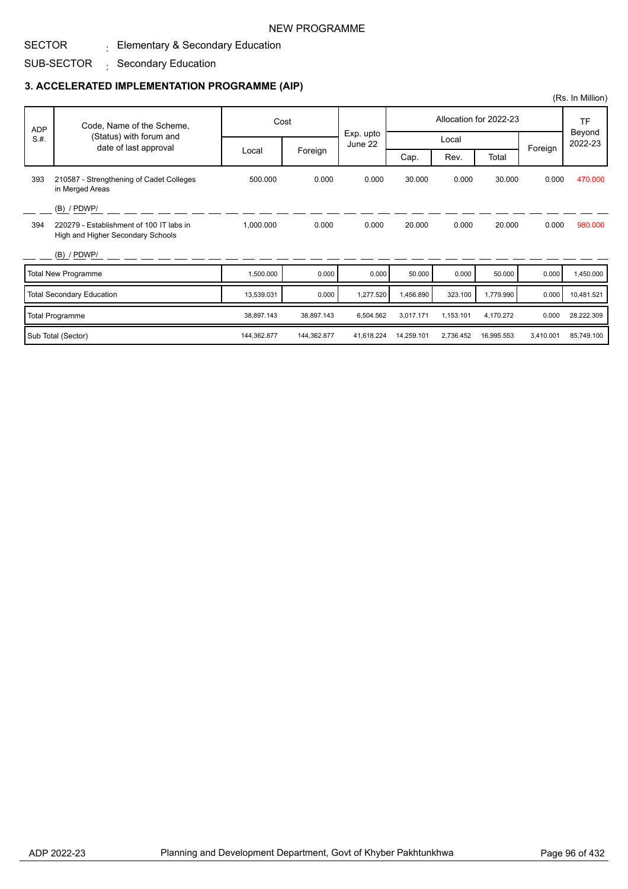#### SECTOR  $_{\rm \pm}$  Elementary & Secondary Education

SUB-SECTOR : Secondary Education

|            |                                                                               |             |             |                      |            |           |                        |           | (Rs. In Million)  |
|------------|-------------------------------------------------------------------------------|-------------|-------------|----------------------|------------|-----------|------------------------|-----------|-------------------|
| <b>ADP</b> | Code, Name of the Scheme,                                                     |             | Cost        |                      |            |           | Allocation for 2022-23 |           | <b>TF</b>         |
| S.H.       | (Status) with forum and<br>date of last approval                              |             |             | Exp. upto<br>June 22 |            | Local     |                        |           | Beyond<br>2022-23 |
|            |                                                                               | Local       | Foreign     |                      | Cap.       | Rev.      | Total                  | Foreign   |                   |
| 393        | 210587 - Strengthening of Cadet Colleges<br>in Merged Areas                   | 500.000     | 0.000       | 0.000                | 30.000     | 0.000     | 30.000                 | 0.000     | 470.000           |
|            | $(B)$ / PDWP/                                                                 |             |             |                      |            |           |                        |           |                   |
| 394        | 220279 - Establishment of 100 IT labs in<br>High and Higher Secondary Schools | 1,000.000   | 0.000       | 0.000                | 20.000     | 0.000     | 20.000                 | 0.000     | 980.000           |
|            | $(B)$ / PDWP/                                                                 |             |             |                      |            |           |                        |           |                   |
|            | <b>Total New Programme</b>                                                    | 1,500.000   | 0.000       | 0.000                | 50.000     | 0.000     | 50.000                 | 0.000     | 1,450.000         |
|            | <b>Total Secondary Education</b>                                              | 13,539.031  | 0.000       | 1,277.520            | 1,456.890  | 323.100   | 1,779.990              | 0.000     | 10,481.521        |
|            | <b>Total Programme</b>                                                        | 38,897.143  | 38,897.143  | 6,504.562            | 3,017.171  | 1,153.101 | 4,170.272              | 0.000     | 28,222.309        |
|            | Sub Total (Sector)                                                            | 144,362.877 | 144,362.877 | 41.618.224           | 14,259.101 | 2,736.452 | 16,995.553             | 3,410.001 | 85.749.100        |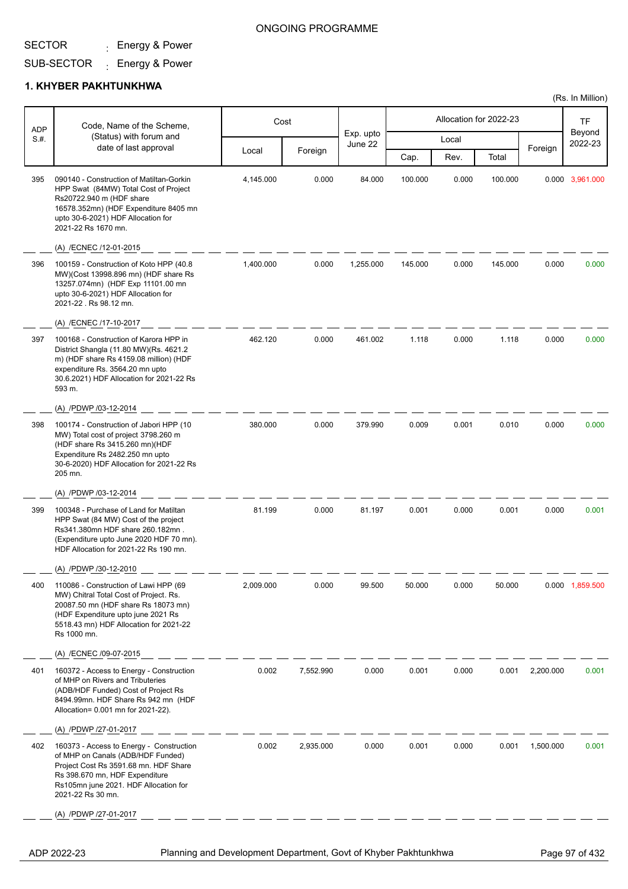## ONGOING PROGRAMME

# SUB-SECTOR <sub>:</sub> Energy & Power

#### **1. KHYBER PAKHTUNKHWA**

| <b>ADP</b> | Code, Name of the Scheme,                                                                                                                                                                                              |           | Cost      |                      |         |       | Allocation for 2022-23 |           | <b>TF</b>         |
|------------|------------------------------------------------------------------------------------------------------------------------------------------------------------------------------------------------------------------------|-----------|-----------|----------------------|---------|-------|------------------------|-----------|-------------------|
| S.H.       | (Status) with forum and<br>date of last approval                                                                                                                                                                       |           |           | Exp. upto<br>June 22 |         | Local |                        |           | Beyond<br>2022-23 |
|            |                                                                                                                                                                                                                        | Local     | Foreign   |                      | Cap.    | Rev.  | Total                  | Foreign   |                   |
| 395        | 090140 - Construction of Matiltan-Gorkin<br>HPP Swat (84MW) Total Cost of Project<br>Rs20722.940 m (HDF share<br>16578.352mn) (HDF Expenditure 8405 mn<br>upto 30-6-2021) HDF Allocation for<br>2021-22 Rs 1670 mn.    | 4,145.000 | 0.000     | 84.000               | 100.000 | 0.000 | 100.000                |           | 0.000 3,961.000   |
|            | (A) /ECNEC /12-01-2015                                                                                                                                                                                                 |           |           |                      |         |       |                        |           |                   |
| 396        | 100159 - Construction of Koto HPP (40.8<br>MW)(Cost 13998.896 mn) (HDF share Rs<br>13257.074mn) (HDF Exp 11101.00 mn<br>upto 30-6-2021) HDF Allocation for<br>2021-22 . Rs 98.12 mn.                                   | 1,400.000 | 0.000     | 1,255.000            | 145.000 | 0.000 | 145.000                | 0.000     | 0.000             |
|            | (A) /ECNEC /17-10-2017                                                                                                                                                                                                 |           |           |                      |         |       |                        |           |                   |
| 397        | 100168 - Construction of Karora HPP in<br>District Shangla (11.80 MW)(Rs. 4621.2<br>m) (HDF share Rs 4159.08 million) (HDF<br>expenditure Rs. 3564.20 mn upto<br>30.6.2021) HDF Allocation for 2021-22 Rs<br>593 m.    | 462.120   | 0.000     | 461.002              | 1.118   | 0.000 | 1.118                  | 0.000     | 0.000             |
|            | (A) /PDWP /03-12-2014                                                                                                                                                                                                  |           |           |                      |         |       |                        |           |                   |
| 398        | 100174 - Construction of Jabori HPP (10<br>MW) Total cost of project 3798.260 m<br>(HDF share Rs 3415.260 mn)(HDF<br>Expenditure Rs 2482.250 mn upto<br>30-6-2020) HDF Allocation for 2021-22 Rs<br>205 mn.            | 380.000   | 0.000     | 379.990              | 0.009   | 0.001 | 0.010                  | 0.000     | 0.000             |
|            | (A) /PDWP /03-12-2014                                                                                                                                                                                                  |           |           |                      |         |       |                        |           |                   |
| 399        | 100348 - Purchase of Land for Matiltan<br>HPP Swat (84 MW) Cost of the project<br>Rs341.380mn HDF share 260.182mn.<br>(Expenditure upto June 2020 HDF 70 mn).<br>HDF Allocation for 2021-22 Rs 190 mn.                 | 81.199    | 0.000     | 81.197               | 0.001   | 0.000 | 0.001                  | 0.000     | 0.001             |
|            | (A) /PDWP /30-12-2010                                                                                                                                                                                                  |           |           |                      |         |       |                        |           |                   |
| 400        | 110086 - Construction of Lawi HPP (69<br>MW) Chitral Total Cost of Project. Rs.<br>20087.50 mn (HDF share Rs 18073 mn)<br>(HDF Expenditure upto june 2021 Rs<br>5518.43 mn) HDF Allocation for 2021-22<br>Rs 1000 mn.  | 2,009.000 | 0.000     | 99.500               | 50.000  | 0.000 | 50.000                 |           | 0.000 1,859.500   |
|            | (A) /ECNEC /09-07-2015                                                                                                                                                                                                 |           |           |                      |         |       |                        |           |                   |
| 401        | 160372 - Access to Energy - Construction<br>of MHP on Rivers and Tributeries<br>(ADB/HDF Funded) Cost of Project Rs<br>8494.99mn. HDF Share Rs 942 mn (HDF<br>Allocation= 0.001 mn for 2021-22).                       | 0.002     | 7,552.990 | 0.000                | 0.001   | 0.000 | 0.001                  | 2,200.000 | 0.001             |
|            | (A) /PDWP /27-01-2017                                                                                                                                                                                                  |           |           |                      |         |       |                        |           |                   |
| 402        | 160373 - Access to Energy - Construction<br>of MHP on Canals (ADB/HDF Funded)<br>Project Cost Rs 3591.68 mn. HDF Share<br>Rs 398.670 mn, HDF Expenditure<br>Rs105mn june 2021. HDF Allocation for<br>2021-22 Rs 30 mn. | 0.002     | 2,935.000 | 0.000                | 0.001   | 0.000 | 0.001                  | 1,500.000 | 0.001             |
|            | (A) /PDWP /27-01-2017                                                                                                                                                                                                  |           |           |                      |         |       |                        |           |                   |
|            |                                                                                                                                                                                                                        |           |           |                      |         |       |                        |           |                   |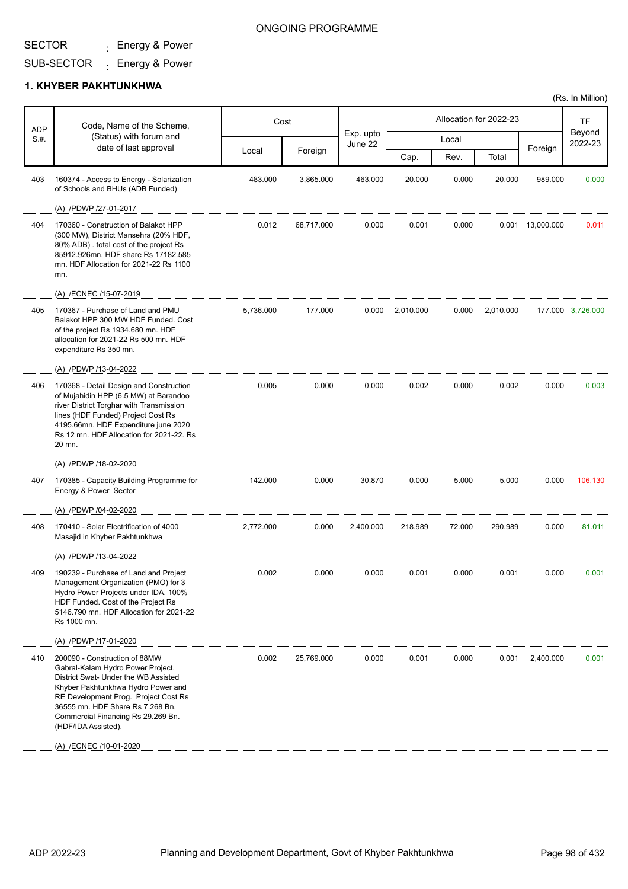## ONGOING PROGRAMME

# SUB-SECTOR <sub>:</sub> Energy & Power

#### **1. KHYBER PAKHTUNKHWA**

| <b>ADP</b> | Code, Name of the Scheme,                                                                                                                                                                                                                                                                                           | Cost      |            |                      |           |        | Allocation for 2022-23 |                  | <b>TF</b>         |
|------------|---------------------------------------------------------------------------------------------------------------------------------------------------------------------------------------------------------------------------------------------------------------------------------------------------------------------|-----------|------------|----------------------|-----------|--------|------------------------|------------------|-------------------|
| S.#.       | (Status) with forum and                                                                                                                                                                                                                                                                                             |           |            | Exp. upto<br>June 22 |           | Local  |                        |                  | Beyond<br>2022-23 |
|            | date of last approval                                                                                                                                                                                                                                                                                               | Local     | Foreign    |                      | Cap.      | Rev.   | Total                  | Foreign          |                   |
| 403        | 160374 - Access to Energy - Solarization<br>of Schools and BHUs (ADB Funded)                                                                                                                                                                                                                                        | 483.000   | 3,865.000  | 463.000              | 20.000    | 0.000  | 20.000                 | 989.000          | 0.000             |
|            | (A) /PDWP /27-01-2017                                                                                                                                                                                                                                                                                               |           |            |                      |           |        |                        |                  |                   |
| 404        | 170360 - Construction of Balakot HPP<br>(300 MW), District Mansehra (20% HDF,<br>80% ADB). total cost of the project Rs<br>85912.926mn. HDF share Rs 17182.585<br>mn. HDF Allocation for 2021-22 Rs 1100<br>mn.                                                                                                     | 0.012     | 68,717.000 | 0.000                | 0.001     | 0.000  |                        | 0.001 13,000.000 | 0.011             |
|            | (A) /ECNEC /15-07-2019                                                                                                                                                                                                                                                                                              |           |            |                      |           |        |                        |                  |                   |
| 405        | 170367 - Purchase of Land and PMU<br>Balakot HPP 300 MW HDF Funded, Cost<br>of the project Rs 1934.680 mn. HDF<br>allocation for 2021-22 Rs 500 mn. HDF<br>expenditure Rs 350 mn.                                                                                                                                   | 5,736.000 | 177.000    | 0.000                | 2.010.000 | 0.000  | 2,010.000              |                  | 177.000 3,726.000 |
|            | (A) /PDWP /13-04-2022                                                                                                                                                                                                                                                                                               |           |            |                      |           |        |                        |                  |                   |
| 406        | 170368 - Detail Design and Construction<br>of Mujahidin HPP (6.5 MW) at Barandoo<br>river District Torghar with Transmission<br>lines (HDF Funded) Project Cost Rs<br>4195.66mn. HDF Expenditure june 2020<br>Rs 12 mn. HDF Allocation for 2021-22. Rs<br>20 mn.                                                    | 0.005     | 0.000      | 0.000                | 0.002     | 0.000  | 0.002                  | 0.000            | 0.003             |
|            | (A) /PDWP /18-02-2020                                                                                                                                                                                                                                                                                               |           |            |                      |           |        |                        |                  |                   |
| 407        | 170385 - Capacity Building Programme for<br>Energy & Power Sector                                                                                                                                                                                                                                                   | 142.000   | 0.000      | 30.870               | 0.000     | 5.000  | 5.000                  | 0.000            | 106.130           |
|            | (A) /PDWP /04-02-2020                                                                                                                                                                                                                                                                                               |           |            |                      |           |        |                        |                  |                   |
| 408        | 170410 - Solar Electrification of 4000<br>Masajid in Khyber Pakhtunkhwa                                                                                                                                                                                                                                             | 2,772.000 | 0.000      | 2,400.000            | 218.989   | 72.000 | 290.989                | 0.000            | 81.011            |
|            | (A) /PDWP /13-04-2022                                                                                                                                                                                                                                                                                               |           |            |                      |           |        |                        |                  |                   |
| 409        | 190239 - Purchase of Land and Project<br>Management Organization (PMO) for 3<br>Hydro Power Projects under IDA. 100%<br>HDF Funded. Cost of the Project Rs<br>5146.790 mn. HDF Allocation for 2021-22<br>Rs 1000 mn.                                                                                                | 0.002     | 0.000      | 0.000                | 0.001     | 0.000  | 0.001                  | 0.000            | 0.001             |
|            | (A) /PDWP /17-01-2020                                                                                                                                                                                                                                                                                               |           |            |                      |           |        |                        |                  |                   |
| 410        | 200090 - Construction of 88MW<br>Gabral-Kalam Hydro Power Project,<br>District Swat- Under the WB Assisted<br>Khyber Pakhtunkhwa Hydro Power and<br>RE Development Prog. Project Cost Rs<br>36555 mn. HDF Share Rs 7.268 Bn.<br>Commercial Financing Rs 29.269 Bn.<br>(HDF/IDA Assisted).<br>(A) /ECNEC /10-01-2020 | 0.002     | 25,769.000 | 0.000                | 0.001     | 0.000  | 0.001                  | 2.400.000        | 0.001             |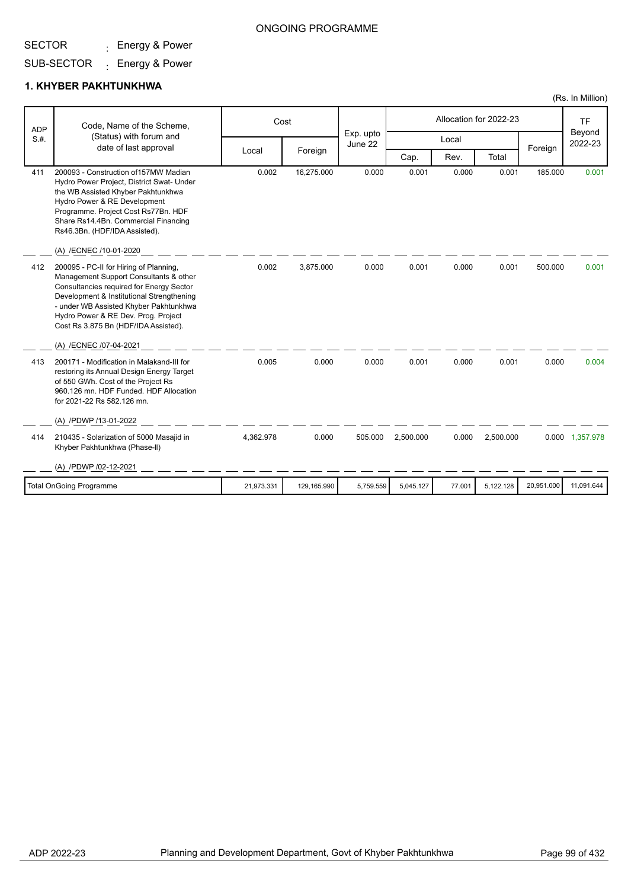## ONGOING PROGRAMME

# SUB-SECTOR <sub>:</sub> Energy & Power

#### **1. KHYBER PAKHTUNKHWA**

|            |                                                                                                                                                                                                                                                                                                                              |            |             |                      |           |        |                        |            | (Rs. In Million)  |
|------------|------------------------------------------------------------------------------------------------------------------------------------------------------------------------------------------------------------------------------------------------------------------------------------------------------------------------------|------------|-------------|----------------------|-----------|--------|------------------------|------------|-------------------|
| <b>ADP</b> | Code, Name of the Scheme,                                                                                                                                                                                                                                                                                                    |            | Cost        |                      |           |        | Allocation for 2022-23 |            | <b>TF</b>         |
| S.H.       | (Status) with forum and<br>date of last approval                                                                                                                                                                                                                                                                             |            |             | Exp. upto<br>June 22 |           | Local  |                        |            | Beyond<br>2022-23 |
|            |                                                                                                                                                                                                                                                                                                                              | Local      | Foreign     |                      | Cap.      | Rev.   | Total                  | Foreign    |                   |
| 411        | 200093 - Construction of 157MW Madian<br>Hydro Power Project, District Swat- Under<br>the WB Assisted Khyber Pakhtunkhwa<br>Hydro Power & RE Development<br>Programme. Project Cost Rs77Bn. HDF<br>Share Rs14.4Bn. Commercial Financing<br>Rs46.3Bn. (HDF/IDA Assisted).                                                     | 0.002      | 16,275.000  | 0.000                | 0.001     | 0.000  | 0.001                  | 185.000    | 0.001             |
|            | (A) /ECNEC /10-01-2020                                                                                                                                                                                                                                                                                                       |            |             |                      |           |        |                        |            |                   |
| 412        | 200095 - PC-II for Hiring of Planning,<br>Management Support Consultants & other<br>Consultancies required for Energy Sector<br>Development & Institutional Strengthening<br>- under WB Assisted Khyber Pakhtunkhwa<br>Hydro Power & RE Dev. Prog. Project<br>Cost Rs 3.875 Bn (HDF/IDA Assisted).<br>(A) /ECNEC /07-04-2021 | 0.002      | 3,875.000   | 0.000                | 0.001     | 0.000  | 0.001                  | 500.000    | 0.001             |
| 413        | 200171 - Modification in Malakand-III for<br>restoring its Annual Design Energy Target<br>of 550 GWh. Cost of the Project Rs<br>960.126 mn. HDF Funded. HDF Allocation<br>for 2021-22 Rs 582.126 mn.                                                                                                                         | 0.005      | 0.000       | 0.000                | 0.001     | 0.000  | 0.001                  | 0.000      | 0.004             |
|            | (A) /PDWP /13-01-2022                                                                                                                                                                                                                                                                                                        |            |             |                      |           |        |                        |            |                   |
| 414        | 210435 - Solarization of 5000 Masajid in<br>Khyber Pakhtunkhwa (Phase-II)                                                                                                                                                                                                                                                    | 4,362.978  | 0.000       | 505.000              | 2,500.000 | 0.000  | 2,500.000              |            | 0.000 1,357.978   |
|            | (A) /PDWP /02-12-2021                                                                                                                                                                                                                                                                                                        |            |             |                      |           |        |                        |            |                   |
|            | <b>Total OnGoing Programme</b>                                                                                                                                                                                                                                                                                               | 21,973.331 | 129,165.990 | 5,759.559            | 5.045.127 | 77.001 | 5,122.128              | 20,951.000 | 11,091.644        |
|            |                                                                                                                                                                                                                                                                                                                              |            |             |                      |           |        |                        |            |                   |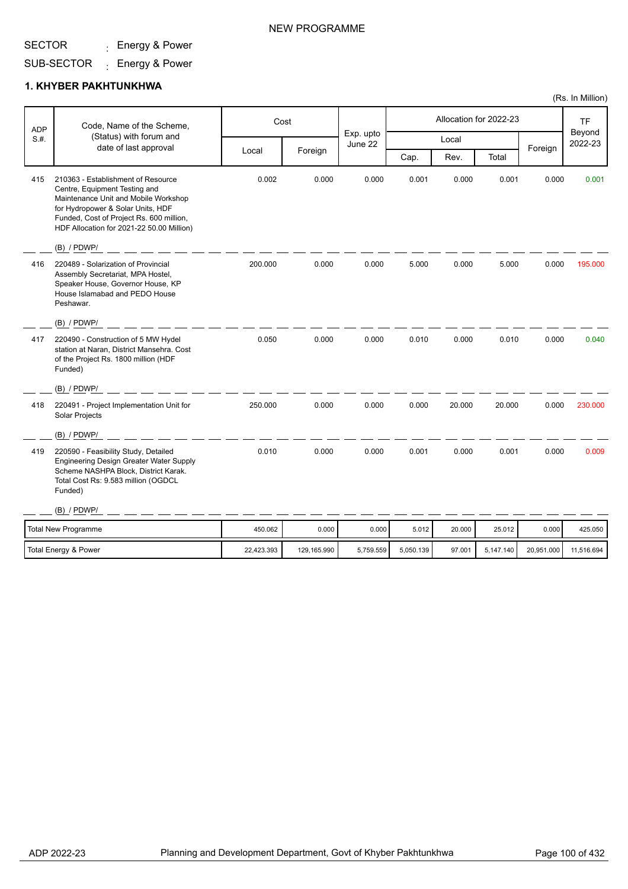## NEW PROGRAMME

# SUB-SECTOR <sub>:</sub> Energy & Power

#### **1. KHYBER PAKHTUNKHWA**

| <b>ADP</b> | Code, Name of the Scheme,                                                                                                                                                                                                                                  |            | Cost        |                      |           |        | Allocation for 2022-23 |            | <b>TF</b>         |
|------------|------------------------------------------------------------------------------------------------------------------------------------------------------------------------------------------------------------------------------------------------------------|------------|-------------|----------------------|-----------|--------|------------------------|------------|-------------------|
| S.H.       | (Status) with forum and<br>date of last approval                                                                                                                                                                                                           |            |             | Exp. upto<br>June 22 |           | Local  |                        |            | Beyond<br>2022-23 |
|            |                                                                                                                                                                                                                                                            | Local      | Foreign     |                      | Cap.      | Rev.   | Total                  | Foreign    |                   |
| 415        | 210363 - Establishment of Resource<br>Centre, Equipment Testing and<br>Maintenance Unit and Mobile Workshop<br>for Hydropower & Solar Units, HDF<br>Funded, Cost of Project Rs. 600 million,<br>HDF Allocation for 2021-22 50.00 Million)<br>$(B)$ / PDWP/ | 0.002      | 0.000       | 0.000                | 0.001     | 0.000  | 0.001                  | 0.000      | 0.001             |
| 416        | 220489 - Solarization of Provincial<br>Assembly Secretariat, MPA Hostel,<br>Speaker House, Governor House, KP<br>House Islamabad and PEDO House<br>Peshawar.                                                                                               | 200.000    | 0.000       | 0.000                | 5.000     | 0.000  | 5.000                  | 0.000      | 195.000           |
|            | $(B)$ / PDWP/                                                                                                                                                                                                                                              |            |             |                      |           |        |                        |            |                   |
| 417        | 220490 - Construction of 5 MW Hydel<br>station at Naran, District Mansehra. Cost<br>of the Project Rs. 1800 million (HDF<br>Funded)                                                                                                                        | 0.050      | 0.000       | 0.000                | 0.010     | 0.000  | 0.010                  | 0.000      | 0.040             |
|            | $(B)$ / PDWP/                                                                                                                                                                                                                                              |            |             |                      |           |        |                        |            |                   |
| 418        | 220491 - Project Implementation Unit for<br>Solar Projects                                                                                                                                                                                                 | 250.000    | 0.000       | 0.000                | 0.000     | 20.000 | 20.000                 | 0.000      | 230.000           |
|            | $(B)$ / PDWP/                                                                                                                                                                                                                                              |            |             |                      |           |        |                        |            |                   |
| 419        | 220590 - Feasibility Study, Detailed<br><b>Engineering Design Greater Water Supply</b><br>Scheme NASHPA Block, District Karak.<br>Total Cost Rs: 9.583 million (OGDCL<br>Funded)                                                                           | 0.010      | 0.000       | 0.000                | 0.001     | 0.000  | 0.001                  | 0.000      | 0.009             |
|            | $(B)$ / PDWP/                                                                                                                                                                                                                                              |            |             |                      |           |        |                        |            |                   |
|            | <b>Total New Programme</b>                                                                                                                                                                                                                                 | 450.062    | 0.000       | 0.000                | 5.012     | 20.000 | 25.012                 | 0.000      | 425.050           |
|            | Total Energy & Power                                                                                                                                                                                                                                       | 22,423.393 | 129,165.990 | 5,759.559            | 5,050.139 | 97.001 | 5,147.140              | 20,951.000 | 11,516.694        |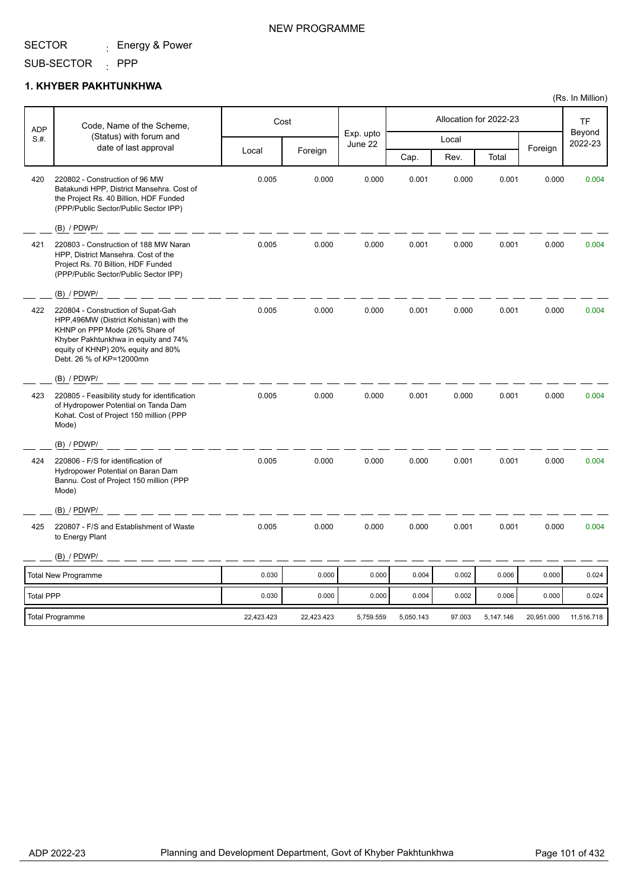#### SUB-SECTOR : PPP

### **1. KHYBER PAKHTUNKHWA**

| <b>ADP</b>       | Code, Name of the Scheme,                                                                                                                                                                                                |            | Cost       |                      |           |        | Allocation for 2022-23 |            | <b>TF</b>         |
|------------------|--------------------------------------------------------------------------------------------------------------------------------------------------------------------------------------------------------------------------|------------|------------|----------------------|-----------|--------|------------------------|------------|-------------------|
| S.H.             | (Status) with forum and<br>date of last approval                                                                                                                                                                         |            |            | Exp. upto<br>June 22 |           | Local  |                        |            | Beyond<br>2022-23 |
|                  |                                                                                                                                                                                                                          | Local      | Foreign    |                      | Cap.      | Rev.   | Total                  | Foreign    |                   |
| 420              | 220802 - Construction of 96 MW<br>Batakundi HPP, District Mansehra. Cost of<br>the Project Rs. 40 Billion, HDF Funded<br>(PPP/Public Sector/Public Sector IPP)                                                           | 0.005      | 0.000      | 0.000                | 0.001     | 0.000  | 0.001                  | 0.000      | 0.004             |
|                  | $(B)$ / PDWP/                                                                                                                                                                                                            |            |            |                      |           |        |                        |            |                   |
| 421              | 220803 - Construction of 188 MW Naran<br>HPP, District Mansehra. Cost of the<br>Project Rs. 70 Billion, HDF Funded<br>(PPP/Public Sector/Public Sector IPP)                                                              | 0.005      | 0.000      | 0.000                | 0.001     | 0.000  | 0.001                  | 0.000      | 0.004             |
|                  | $(B)$ / PDWP/                                                                                                                                                                                                            |            |            |                      |           |        |                        |            |                   |
| 422              | 220804 - Construction of Supat-Gah<br>HPP,496MW (District Kohistan) with the<br>KHNP on PPP Mode (26% Share of<br>Khyber Pakhtunkhwa in equity and 74%<br>equity of KHNP) 20% equity and 80%<br>Debt. 26 % of KP=12000mn | 0.005      | 0.000      | 0.000                | 0.001     | 0.000  | 0.001                  | 0.000      | 0.004             |
|                  | $(B)$ / PDWP/                                                                                                                                                                                                            |            |            |                      |           |        |                        |            |                   |
| 423              | 220805 - Feasibility study for identification<br>of Hydropower Potential on Tanda Dam<br>Kohat. Cost of Project 150 million (PPP<br>Mode)                                                                                | 0.005      | 0.000      | 0.000                | 0.001     | 0.000  | 0.001                  | 0.000      | 0.004             |
|                  | $(B)$ / PDWP/                                                                                                                                                                                                            |            |            |                      |           |        |                        |            |                   |
| 424              | 220806 - F/S for identification of<br>Hydropower Potential on Baran Dam<br>Bannu. Cost of Project 150 million (PPP<br>Mode)                                                                                              | 0.005      | 0.000      | 0.000                | 0.000     | 0.001  | 0.001                  | 0.000      | 0.004             |
|                  | (B) / PDWP/                                                                                                                                                                                                              |            |            |                      |           |        |                        |            |                   |
| 425              | 220807 - F/S and Establishment of Waste<br>to Energy Plant                                                                                                                                                               | 0.005      | 0.000      | 0.000                | 0.000     | 0.001  | 0.001                  | 0.000      | 0.004             |
|                  | $(B)$ / PDWP/                                                                                                                                                                                                            |            |            |                      |           |        |                        |            |                   |
|                  | <b>Total New Programme</b>                                                                                                                                                                                               | 0.030      | 0.000      | 0.000                | 0.004     | 0.002  | 0.006                  | 0.000      | 0.024             |
| <b>Total PPP</b> |                                                                                                                                                                                                                          | 0.030      | 0.000      | 0.000                | 0.004     | 0.002  | 0.006                  | 0.000      | 0.024             |
|                  | Total Programme                                                                                                                                                                                                          | 22,423.423 | 22,423.423 | 5,759.559            | 5,050.143 | 97.003 | 5,147.146              | 20,951.000 | 11,516.718        |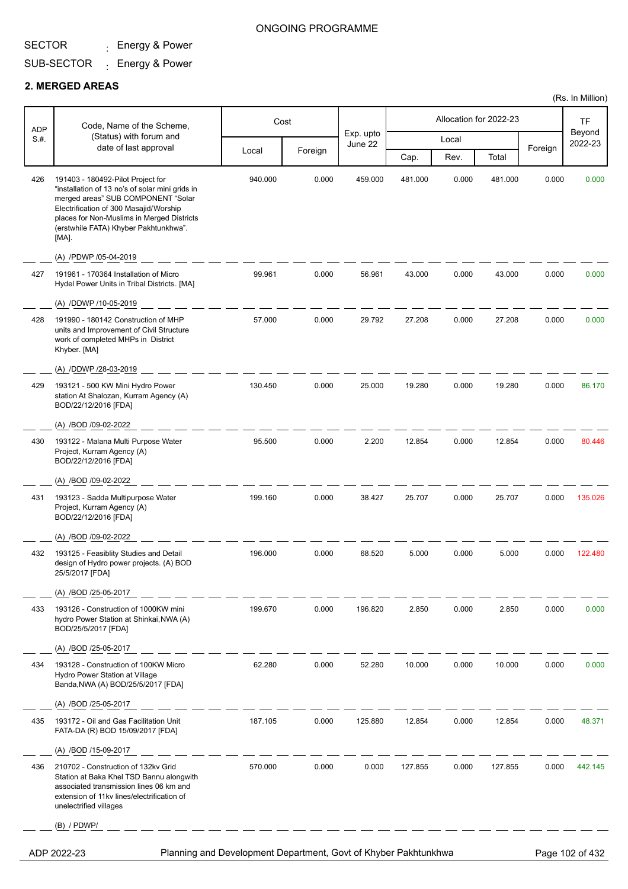## ONGOING PROGRAMME

(Rs. In Million)

# SUB-SECTOR <sub>:</sub> Energy & Power

#### **2. MERGED AREAS**

| <b>ADP</b> | Code, Name of the Scheme,<br>(Status) with forum and                                                                                                                                                                                                                 |         | Cost    |                      |         |       | Allocation for 2022-23 |         | <b>TF</b>         |
|------------|----------------------------------------------------------------------------------------------------------------------------------------------------------------------------------------------------------------------------------------------------------------------|---------|---------|----------------------|---------|-------|------------------------|---------|-------------------|
| S.H.       |                                                                                                                                                                                                                                                                      |         |         | Exp. upto<br>June 22 |         | Local |                        |         | Beyond<br>2022-23 |
|            | date of last approval                                                                                                                                                                                                                                                | Local   | Foreign |                      | Cap.    | Rev.  | Total                  | Foreign |                   |
| 426        | 191403 - 180492-Pilot Project for<br>"installation of 13 no's of solar mini grids in<br>merged areas" SUB COMPONENT "Solar<br>Electrification of 300 Masajid/Worship<br>places for Non-Muslims in Merged Districts<br>(erstwhile FATA) Khyber Pakhtunkhwa".<br>[MA]. | 940.000 | 0.000   | 459.000              | 481.000 | 0.000 | 481.000                | 0.000   | 0.000             |
|            | (A) /PDWP /05-04-2019                                                                                                                                                                                                                                                |         |         |                      |         |       |                        |         |                   |
| 427        | 191961 - 170364 Installation of Micro<br>Hydel Power Units in Tribal Districts. [MA]                                                                                                                                                                                 | 99.961  | 0.000   | 56.961               | 43.000  | 0.000 | 43.000                 | 0.000   | 0.000             |
|            | (A) /DDWP /10-05-2019                                                                                                                                                                                                                                                |         |         |                      |         |       |                        |         |                   |
| 428        | 191990 - 180142 Construction of MHP<br>units and Improvement of Civil Structure<br>work of completed MHPs in District<br>Khyber. [MA]                                                                                                                                | 57.000  | 0.000   | 29.792               | 27.208  | 0.000 | 27.208                 | 0.000   | 0.000             |
|            | (A) /DDWP /28-03-2019                                                                                                                                                                                                                                                |         |         |                      |         |       |                        |         |                   |
| 429        | 193121 - 500 KW Mini Hydro Power<br>station At Shalozan, Kurram Agency (A)<br>BOD/22/12/2016 [FDA]                                                                                                                                                                   | 130.450 | 0.000   | 25.000               | 19.280  | 0.000 | 19.280                 | 0.000   | 86.170            |
|            | (A) /BOD /09-02-2022                                                                                                                                                                                                                                                 |         |         |                      |         |       |                        |         |                   |
| 430        | 193122 - Malana Multi Purpose Water<br>Project, Kurram Agency (A)<br>BOD/22/12/2016 [FDA]                                                                                                                                                                            | 95.500  | 0.000   | 2.200                | 12.854  | 0.000 | 12.854                 | 0.000   | 80.446            |
|            | (A) /BOD /09-02-2022                                                                                                                                                                                                                                                 |         |         |                      |         |       |                        |         |                   |
| 431        | 193123 - Sadda Multipurpose Water<br>Project, Kurram Agency (A)<br>BOD/22/12/2016 [FDA]                                                                                                                                                                              | 199.160 | 0.000   | 38.427               | 25.707  | 0.000 | 25.707                 | 0.000   | 135.026           |
|            | (A) /BOD /09-02-2022                                                                                                                                                                                                                                                 |         |         |                      |         |       |                        |         |                   |
| 432        | 193125 - Feasiblity Studies and Detail<br>design of Hydro power projects. (A) BOD<br>25/5/2017 [FDA]                                                                                                                                                                 | 196.000 | 0.000   | 68.520               | 5.000   | 0.000 | 5.000                  | 0.000   | 122.480           |
|            | (A) /BOD /25-05-2017                                                                                                                                                                                                                                                 |         |         |                      |         |       |                        |         |                   |
| 433        | 193126 - Construction of 1000KW mini<br>hydro Power Station at Shinkai, NWA (A)<br>BOD/25/5/2017 [FDA]                                                                                                                                                               | 199.670 | 0.000   | 196.820              | 2.850   | 0.000 | 2.850                  | 0.000   | 0.000             |
|            | (A) /BOD /25-05-2017                                                                                                                                                                                                                                                 |         |         |                      |         |       |                        |         |                   |
| 434        | 193128 - Construction of 100KW Micro<br>Hydro Power Station at Village<br>Banda, NWA (A) BOD/25/5/2017 [FDA]                                                                                                                                                         | 62.280  | 0.000   | 52.280               | 10.000  | 0.000 | 10.000                 | 0.000   | 0.000             |
|            | (A) /BOD /25-05-2017                                                                                                                                                                                                                                                 |         |         |                      |         |       |                        |         |                   |
| 435        | 193172 - Oil and Gas Facilitation Unit<br>FATA-DA (R) BOD 15/09/2017 [FDA]                                                                                                                                                                                           | 187.105 | 0.000   | 125.880              | 12.854  | 0.000 | 12.854                 | 0.000   | 48.371            |
|            | (A) /BOD /15-09-2017                                                                                                                                                                                                                                                 |         |         |                      |         |       |                        |         |                   |
| 436        | 210702 - Construction of 132kv Grid<br>Station at Baka Khel TSD Bannu alongwith<br>associated transmission lines 06 km and<br>extension of 11kv lines/electrification of<br>unelectrified villages                                                                   | 570.000 | 0.000   | 0.000                | 127.855 | 0.000 | 127.855                | 0.000   | 442.145           |
|            | $(B)$ / PDWP/                                                                                                                                                                                                                                                        |         |         |                      |         |       |                        |         |                   |
|            | Planning and Development Department, Govt of Khyber Pakhtunkhwa<br>ADP 2022-23                                                                                                                                                                                       |         |         |                      |         |       |                        |         | Page 102 of 432   |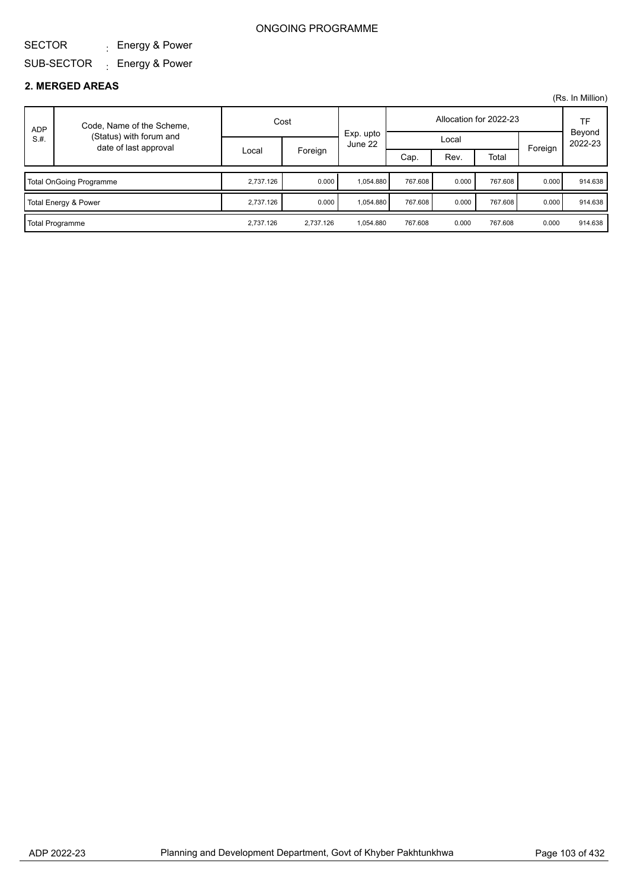#### SECTOR : Energy & Power

## SUB-SECTOR <sub>:</sub> Energy & Power

### **2. MERGED AREAS**

| <b>ADP</b> | Code, Name of the Scheme,                        | Cost      |           |                      | Allocation for 2022-23 |       |         |         | TF                |
|------------|--------------------------------------------------|-----------|-----------|----------------------|------------------------|-------|---------|---------|-------------------|
| S.H.       | (Status) with forum and<br>date of last approval |           |           | Exp. upto<br>June 22 | Local                  |       |         |         | Beyond<br>2022-23 |
|            |                                                  | Local     | Foreign   |                      | Cap.                   | Rev.  | Total   | Foreign |                   |
|            |                                                  |           |           |                      |                        |       |         |         |                   |
|            | Total OnGoing Programme                          | 2.737.126 | 0.000     | 1.054.880            | 767.608                | 0.000 | 767.608 | 0.000   | 914.638           |
|            | Total Energy & Power                             | 2.737.126 | 0.000     | 1.054.880            | 767.608                | 0.000 | 767.608 | 0.000   | 914.638           |
|            | Total Programme                                  | 2,737.126 | 2.737.126 | 1,054.880            | 767.608                | 0.000 | 767.608 | 0.000   | 914.638           |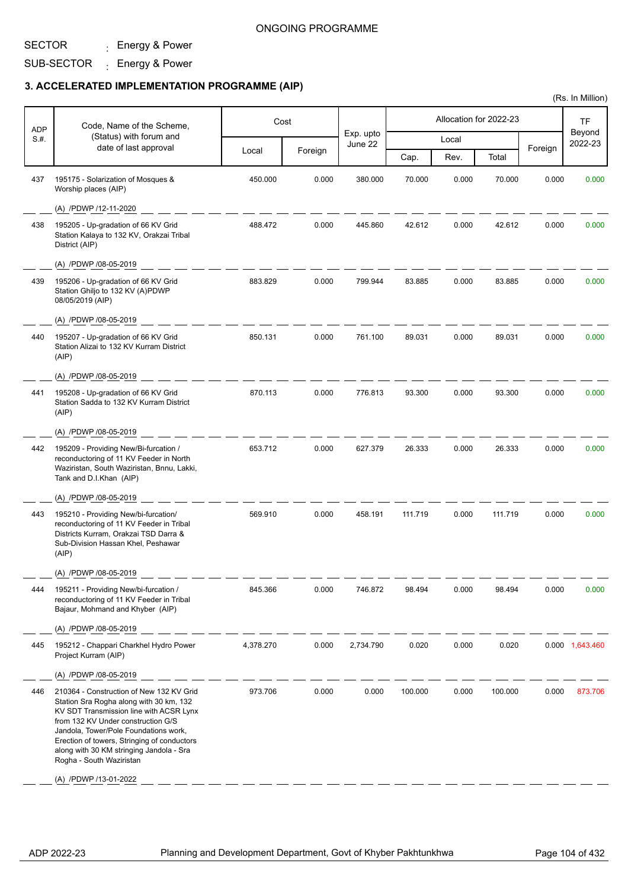## SUB-SECTOR <sub>:</sub> Energy & Power

|            |                                                                                                                                                                                                                                                                                                                                                               |           |         |                      |         |       |                        |         | (Rs. In Million)    |
|------------|---------------------------------------------------------------------------------------------------------------------------------------------------------------------------------------------------------------------------------------------------------------------------------------------------------------------------------------------------------------|-----------|---------|----------------------|---------|-------|------------------------|---------|---------------------|
| <b>ADP</b> | Code, Name of the Scheme,                                                                                                                                                                                                                                                                                                                                     |           | Cost    |                      |         |       | Allocation for 2022-23 |         | <b>TF</b><br>Beyond |
| S.#.       | (Status) with forum and<br>date of last approval                                                                                                                                                                                                                                                                                                              |           |         | Exp. upto<br>June 22 |         | Local |                        | Foreign | 2022-23             |
|            |                                                                                                                                                                                                                                                                                                                                                               | Local     | Foreign |                      | Cap.    | Rev.  | Total                  |         |                     |
| 437        | 195175 - Solarization of Mosques &<br>Worship places (AIP)                                                                                                                                                                                                                                                                                                    | 450.000   | 0.000   | 380.000              | 70.000  | 0.000 | 70.000                 | 0.000   | 0.000               |
|            | (A) /PDWP /12-11-2020                                                                                                                                                                                                                                                                                                                                         |           |         |                      |         |       |                        |         |                     |
| 438        | 195205 - Up-gradation of 66 KV Grid<br>Station Kalaya to 132 KV, Orakzai Tribal<br>District (AIP)                                                                                                                                                                                                                                                             | 488.472   | 0.000   | 445.860              | 42.612  | 0.000 | 42.612                 | 0.000   | 0.000               |
|            | (A) /PDWP /08-05-2019                                                                                                                                                                                                                                                                                                                                         |           |         |                      |         |       |                        |         |                     |
| 439        | 195206 - Up-gradation of 66 KV Grid<br>Station Ghiljo to 132 KV (A)PDWP<br>08/05/2019 (AIP)                                                                                                                                                                                                                                                                   | 883.829   | 0.000   | 799.944              | 83.885  | 0.000 | 83.885                 | 0.000   | 0.000               |
|            | (A) /PDWP /08-05-2019                                                                                                                                                                                                                                                                                                                                         |           |         |                      |         |       |                        |         |                     |
| 440        | 195207 - Up-gradation of 66 KV Grid<br>Station Alizai to 132 KV Kurram District<br>(AIP)                                                                                                                                                                                                                                                                      | 850.131   | 0.000   | 761.100              | 89.031  | 0.000 | 89.031                 | 0.000   | 0.000               |
|            | (A) /PDWP /08-05-2019                                                                                                                                                                                                                                                                                                                                         |           |         |                      |         |       |                        |         |                     |
| 441        | 195208 - Up-gradation of 66 KV Grid<br>Station Sadda to 132 KV Kurram District<br>(AIP)                                                                                                                                                                                                                                                                       | 870.113   | 0.000   | 776.813              | 93.300  | 0.000 | 93.300                 | 0.000   | 0.000               |
|            | (A) /PDWP /08-05-2019                                                                                                                                                                                                                                                                                                                                         |           |         |                      |         |       |                        |         |                     |
| 442        | 195209 - Providing New/Bi-furcation /<br>reconductoring of 11 KV Feeder in North<br>Waziristan, South Waziristan, Bnnu, Lakki,<br>Tank and D.I.Khan (AIP)                                                                                                                                                                                                     | 653.712   | 0.000   | 627.379              | 26.333  | 0.000 | 26.333                 | 0.000   | 0.000               |
|            | (A) /PDWP /08-05-2019                                                                                                                                                                                                                                                                                                                                         |           |         |                      |         |       |                        |         |                     |
| 443        | 195210 - Providing New/bi-furcation/<br>reconductoring of 11 KV Feeder in Tribal<br>Districts Kurram, Orakzai TSD Darra &<br>Sub-Division Hassan Khel, Peshawar<br>(AIP)                                                                                                                                                                                      | 569.910   | 0.000   | 458.191              | 111.719 | 0.000 | 111.719                | 0.000   | 0.000               |
|            | (A) /PDWP /08-05-2019                                                                                                                                                                                                                                                                                                                                         |           |         |                      |         |       |                        |         |                     |
| 444        | 195211 - Providing New/bi-furcation /<br>reconductoring of 11 KV Feeder in Tribal<br>Bajaur, Mohmand and Khyber (AIP)                                                                                                                                                                                                                                         | 845.366   | 0.000   | 746.872              | 98.494  | 0.000 | 98.494                 | 0.000   | 0.000               |
|            | (A) /PDWP /08-05-2019                                                                                                                                                                                                                                                                                                                                         |           |         |                      |         |       |                        |         |                     |
| 445        | 195212 - Chappari Charkhel Hydro Power<br>Project Kurram (AIP)                                                                                                                                                                                                                                                                                                | 4,378.270 | 0.000   | 2,734.790            | 0.020   | 0.000 | 0.020                  |         | 0.000 1,643.460     |
|            | (A) /PDWP /08-05-2019                                                                                                                                                                                                                                                                                                                                         |           |         |                      |         |       |                        |         |                     |
| 446        | 210364 - Construction of New 132 KV Grid<br>Station Sra Rogha along with 30 km, 132<br>KV SDT Transmission line with ACSR Lynx<br>from 132 KV Under construction G/S<br>Jandola, Tower/Pole Foundations work,<br>Erection of towers, Stringing of conductors<br>along with 30 KM stringing Jandola - Sra<br>Rogha - South Waziristan<br>(A) /PDWP /13-01-2022 | 973.706   | 0.000   | 0.000                | 100.000 | 0.000 | 100.000                | 0.000   | 873.706             |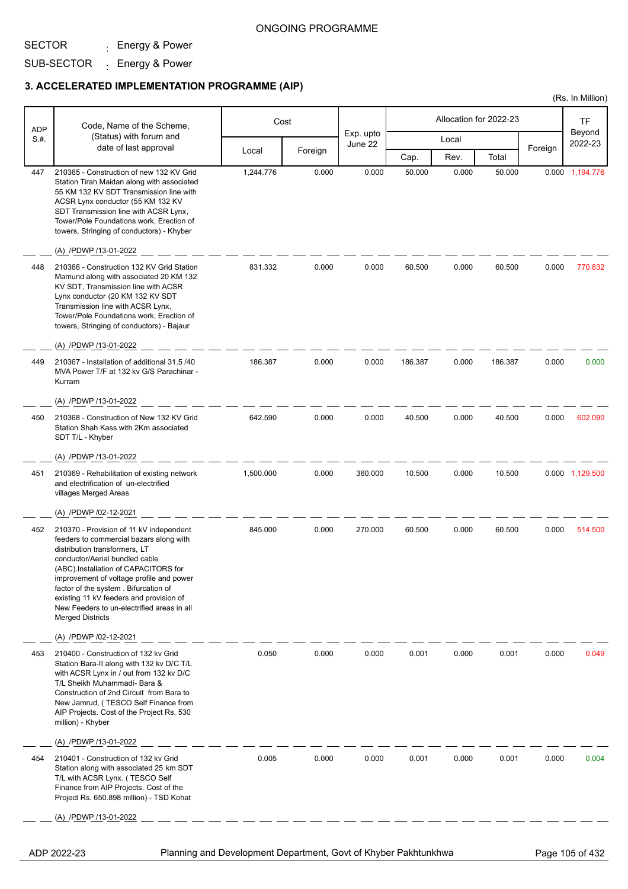## SUB-SECTOR <sub>:</sub> Energy & Power

### **3. ACCELERATED IMPLEMENTATION PROGRAMME (AIP)**

|                    |                                                                                                                                                                                                                                                                                                                                                                                                       |           |         |                      |         |                        |         |         | (Rs. In Million)  |
|--------------------|-------------------------------------------------------------------------------------------------------------------------------------------------------------------------------------------------------------------------------------------------------------------------------------------------------------------------------------------------------------------------------------------------------|-----------|---------|----------------------|---------|------------------------|---------|---------|-------------------|
|                    | Code, Name of the Scheme,                                                                                                                                                                                                                                                                                                                                                                             |           | Cost    |                      |         | Allocation for 2022-23 |         |         | <b>TF</b>         |
| <b>ADP</b><br>S.H. | (Status) with forum and                                                                                                                                                                                                                                                                                                                                                                               |           |         | Exp. upto<br>June 22 |         | Local                  |         |         | Beyond<br>2022-23 |
|                    | date of last approval                                                                                                                                                                                                                                                                                                                                                                                 | Local     | Foreign |                      | Cap.    | Rev.                   | Total   | Foreign |                   |
| 447                | 210365 - Construction of new 132 KV Grid<br>Station Tirah Maidan along with associated<br>55 KM 132 KV SDT Transmission line with<br>ACSR Lynx conductor (55 KM 132 KV<br>SDT Transmission line with ACSR Lynx,<br>Tower/Pole Foundations work, Erection of<br>towers, Stringing of conductors) - Khyber<br>(A) /PDWP /13-01-2022                                                                     | 1,244.776 | 0.000   | 0.000                | 50.000  | 0.000                  | 50.000  |         | 0.000 1,194.776   |
| 448                | 210366 - Construction 132 KV Grid Station<br>Mamund along with associated 20 KM 132<br>KV SDT, Transmission line with ACSR<br>Lynx conductor (20 KM 132 KV SDT<br>Transmission line with ACSR Lynx,<br>Tower/Pole Foundations work, Erection of<br>towers, Stringing of conductors) - Bajaur<br>(A) /PDWP /13-01-2022                                                                                 | 831.332   | 0.000   | 0.000                | 60.500  | 0.000                  | 60.500  | 0.000   | 770.832           |
| 449                | 210367 - Installation of additional 31.5 /40<br>MVA Power T/F at 132 kv G/S Parachinar -<br>Kurram<br>(A) /PDWP /13-01-2022                                                                                                                                                                                                                                                                           | 186.387   | 0.000   | 0.000                | 186.387 | 0.000                  | 186.387 | 0.000   | 0.000             |
| 450                | 210368 - Construction of New 132 KV Grid<br>Station Shah Kass with 2Km associated<br>SDT T/L - Khyber                                                                                                                                                                                                                                                                                                 | 642.590   | 0.000   | 0.000                | 40.500  | 0.000                  | 40.500  | 0.000   | 602.090           |
|                    | (A) /PDWP /13-01-2022                                                                                                                                                                                                                                                                                                                                                                                 |           |         |                      |         |                        |         |         |                   |
| 451                | 210369 - Rehabilitation of existing network<br>and electrification of un-electrified<br>villages Merged Areas                                                                                                                                                                                                                                                                                         | 1,500.000 | 0.000   | 360.000              | 10.500  | 0.000                  | 10.500  |         | 0.000 1,129.500   |
|                    | (A) /PDWP /02-12-2021                                                                                                                                                                                                                                                                                                                                                                                 |           |         |                      |         |                        |         |         |                   |
| 452                | 210370 - Provision of 11 kV independent<br>feeders to commercial bazars along with<br>distribution transformers, LT<br>conductor/Aerial bundled cable<br>(ABC).Installation of CAPACITORS for<br>improvement of voltage profile and power<br>factor of the system. Bifurcation of<br>existing 11 kV feeders and provision of<br>New Feeders to un-electrified areas in all<br><b>Merged Districts</b> | 845.000   | 0.000   | 270.000              | 60.500  | 0.000                  | 60.500  | 0.000   | 514.500           |
|                    | (A) /PDWP /02-12-2021                                                                                                                                                                                                                                                                                                                                                                                 |           |         |                      |         |                        |         |         |                   |
| 453                | 210400 - Construction of 132 kv Grid<br>Station Bara-II along with 132 kv D/C T/L<br>with ACSR Lynx in / out from 132 kv D/C<br>T/L Sheikh Muhammadi- Bara &<br>Construction of 2nd Circuit from Bara to<br>New Jamrud, (TESCO Self Finance from<br>AIP Projects. Cost of the Project Rs. 530<br>million) - Khyber                                                                                    | 0.050     | 0.000   | 0.000                | 0.001   | 0.000                  | 0.001   | 0.000   | 0.049             |
|                    | (A) /PDWP /13-01-2022                                                                                                                                                                                                                                                                                                                                                                                 |           |         |                      |         |                        |         |         |                   |
| 454                | 210401 - Construction of 132 kv Grid<br>Station along with associated 25 km SDT<br>T/L with ACSR Lynx. (TESCO Self<br>Finance from AIP Projects. Cost of the<br>Project Rs. 650.898 million) - TSD Kohat                                                                                                                                                                                              | 0.005     | 0.000   | 0.000                | 0.001   | 0.000                  | 0.001   | 0.000   | 0.004             |
|                    | (A) /PDWP /13-01-2022                                                                                                                                                                                                                                                                                                                                                                                 |           |         |                      |         |                        |         |         |                   |

ADP 2022-23 Planning and Development Department, Govt of Khyber Pakhtunkhwa Page 105 of 432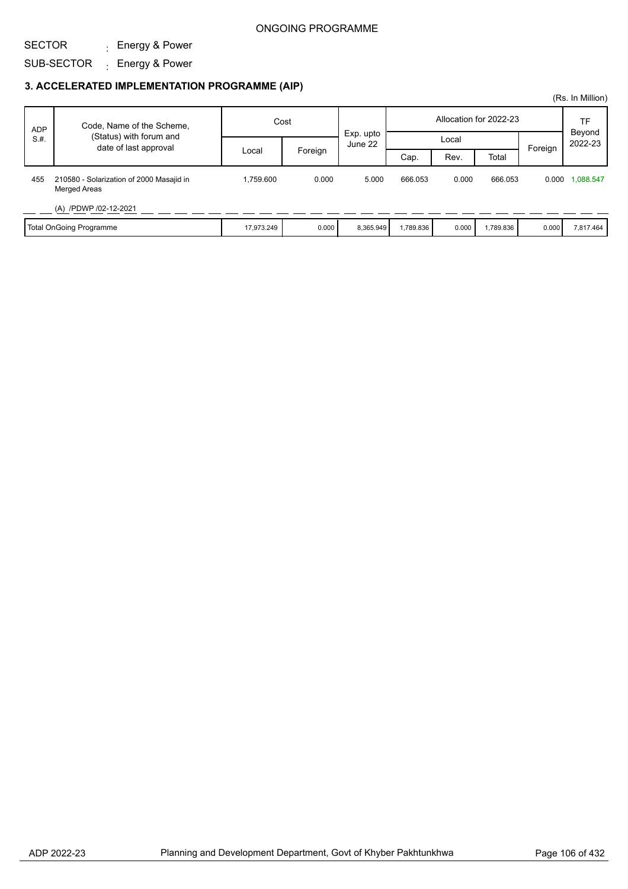SECTOR

SUB-SECTOR <sub>:</sub> Energy & Power

## **3. ACCELERATED IMPLEMENTATION PROGRAMME (AIP)**

: Energy & Power

|            |                                                                 |            |         |                      |          |       |                        |         | (Rs. In Million)  |
|------------|-----------------------------------------------------------------|------------|---------|----------------------|----------|-------|------------------------|---------|-------------------|
| <b>ADP</b> | Code, Name of the Scheme,                                       | Cost       |         |                      |          |       | Allocation for 2022-23 |         | TF                |
| S.H.       | (Status) with forum and<br>date of last approval                |            |         | Exp. upto<br>June 22 |          | Local |                        | Foreign | Beyond<br>2022-23 |
|            |                                                                 | Local      | Foreign |                      | Cap.     | Rev.  | Total                  |         |                   |
| 455        | 210580 - Solarization of 2000 Masajid in<br><b>Merged Areas</b> | .759.600   | 0.000   | 5.000                | 666.053  | 0.000 | 666.053                | 0.000   | 1,088.547         |
|            | (A) /PDWP /02-12-2021                                           |            |         |                      |          |       |                        |         |                   |
|            | Total OnGoing Programme                                         | 17,973.249 | 0.000   | 8,365.949            | ,789.836 | 0.000 | 1,789.836              | 0.000   | 7,817.464         |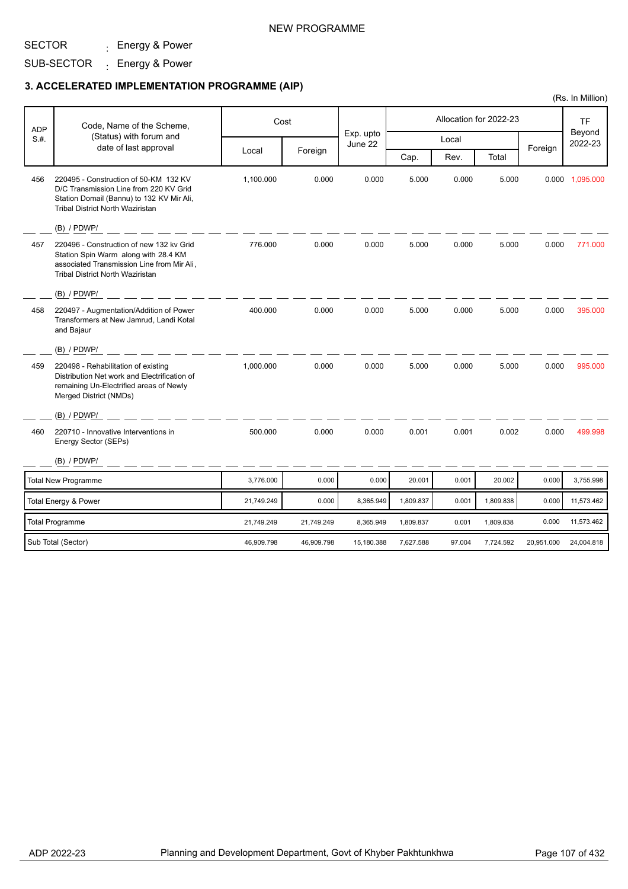#### SECTOR : Energy & Power

SUB-SECTOR <sub>:</sub> Energy & Power

|            |                                                                                                                                                                           |            |            |                      |           |        |                        |            | (Rs. In Million)  |
|------------|---------------------------------------------------------------------------------------------------------------------------------------------------------------------------|------------|------------|----------------------|-----------|--------|------------------------|------------|-------------------|
| <b>ADP</b> | Code, Name of the Scheme,                                                                                                                                                 | Cost       |            |                      |           |        | Allocation for 2022-23 |            | <b>TF</b>         |
| S.H.       | (Status) with forum and                                                                                                                                                   |            |            | Exp. upto<br>June 22 |           | Local  |                        |            | Beyond<br>2022-23 |
|            | date of last approval                                                                                                                                                     | Local      | Foreign    |                      | Cap.      | Rev.   | Total                  | Foreign    |                   |
| 456        | 220495 - Construction of 50-KM 132 KV<br>D/C Transmission Line from 220 KV Grid<br>Station Domail (Bannu) to 132 KV Mir Ali,<br><b>Tribal District North Waziristan</b>   | 1,100.000  | 0.000      | 0.000                | 5.000     | 0.000  | 5.000                  |            | 0.000 1,095.000   |
|            | (B) / PDWP/                                                                                                                                                               |            |            |                      |           |        |                        |            |                   |
| 457        | 220496 - Construction of new 132 kv Grid<br>Station Spin Warm along with 28.4 KM<br>associated Transmission Line from Mir Ali,<br><b>Tribal District North Waziristan</b> | 776.000    | 0.000      | 0.000                | 5.000     | 0.000  | 5.000                  | 0.000      | 771.000           |
|            | $(B)$ / PDWP/                                                                                                                                                             |            |            |                      |           |        |                        |            |                   |
| 458        | 220497 - Augmentation/Addition of Power<br>Transformers at New Jamrud, Landi Kotal<br>and Bajaur                                                                          | 400.000    | 0.000      | 0.000                | 5.000     | 0.000  | 5.000                  | 0.000      | 395.000           |
|            | (B) / PDWP/                                                                                                                                                               |            |            |                      |           |        |                        |            |                   |
| 459        | 220498 - Rehabilitation of existing<br>Distribution Net work and Electrification of<br>remaining Un-Electrified areas of Newly<br>Merged District (NMDs)                  | 1,000.000  | 0.000      | 0.000                | 5.000     | 0.000  | 5.000                  | 0.000      | 995.000           |
|            | $(B)$ / PDWP/                                                                                                                                                             |            |            |                      |           |        |                        |            |                   |
| 460        | 220710 - Innovative Interventions in<br>Energy Sector (SEPs)                                                                                                              | 500.000    | 0.000      | 0.000                | 0.001     | 0.001  | 0.002                  | 0.000      | 499.998           |
|            | $(B)$ / PDWP/                                                                                                                                                             |            |            |                      |           |        |                        |            |                   |
|            | <b>Total New Programme</b>                                                                                                                                                | 3,776.000  | 0.000      | 0.000                | 20.001    | 0.001  | 20.002                 | 0.000      | 3,755.998         |
|            | Total Energy & Power                                                                                                                                                      | 21,749.249 | 0.000      | 8,365.949            | 1,809.837 | 0.001  | 1,809.838              | 0.000      | 11,573.462        |
|            | <b>Total Programme</b>                                                                                                                                                    | 21,749.249 | 21,749.249 | 8,365.949            | 1,809.837 | 0.001  | 1,809.838              | 0.000      | 11,573.462        |
|            | Sub Total (Sector)                                                                                                                                                        | 46,909.798 | 46,909.798 | 15,180.388           | 7,627.588 | 97.004 | 7,724.592              | 20,951.000 | 24,004.818        |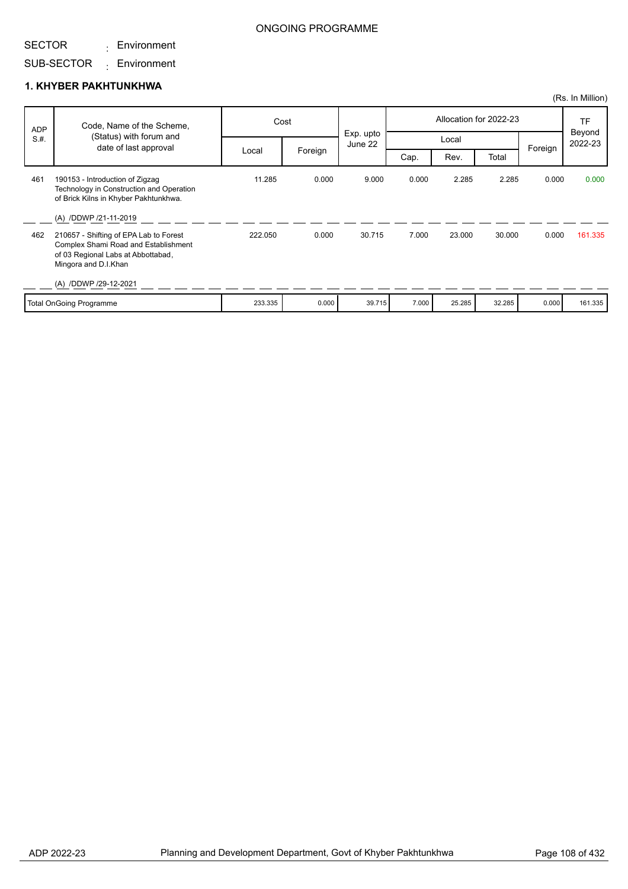#### SECTOR Environment :

## ONGOING PROGRAMME

## SUB-SECTOR Environment :

#### **1. KHYBER PAKHTUNKHWA**

|            |                                                                                                                                              |         |         |                      |       |        |                        |         | (Rs. In Million)        |
|------------|----------------------------------------------------------------------------------------------------------------------------------------------|---------|---------|----------------------|-------|--------|------------------------|---------|-------------------------|
| <b>ADP</b> | Code, Name of the Scheme,                                                                                                                    |         | Cost    |                      |       |        | Allocation for 2022-23 |         | TF<br>Beyond<br>2022-23 |
| S.H.       | (Status) with forum and<br>date of last approval                                                                                             |         |         | Exp. upto<br>June 22 |       | Local  |                        | Foreign |                         |
|            |                                                                                                                                              | Local   | Foreign |                      | Cap.  | Rev.   | Total                  |         |                         |
| 461        | 190153 - Introduction of Zigzag<br>Technology in Construction and Operation<br>of Brick Kilns in Khyber Pakhtunkhwa.                         | 11.285  | 0.000   | 9.000                | 0.000 | 2.285  | 2.285                  | 0.000   | 0.000                   |
|            | (A) /DDWP /21-11-2019                                                                                                                        |         |         |                      |       |        |                        |         |                         |
| 462        | 210657 - Shifting of EPA Lab to Forest<br>Complex Shami Road and Establishment<br>of 03 Regional Labs at Abbottabad,<br>Mingora and D.I.Khan | 222.050 | 0.000   | 30.715               | 7.000 | 23.000 | 30.000                 | 0.000   | 161.335                 |
|            | (A) /DDWP /29-12-2021                                                                                                                        |         |         |                      |       |        |                        |         |                         |
|            | <b>Total OnGoing Programme</b>                                                                                                               | 233.335 | 0.000   | 39.715               | 7.000 | 25.285 | 32.285                 | 0.000   | 161.335                 |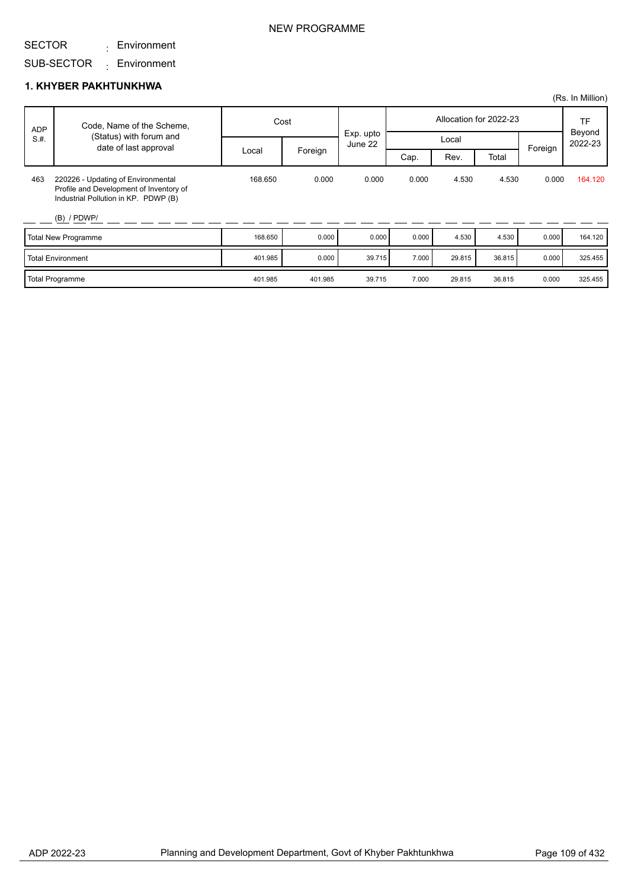Environment :

SUB-SECTOR Environment :

### **1. KHYBER PAKHTUNKHWA**

|            |                                                                                                                                        |         |         |                      |       |        |                        |         | (Rs. In Million)  |
|------------|----------------------------------------------------------------------------------------------------------------------------------------|---------|---------|----------------------|-------|--------|------------------------|---------|-------------------|
| <b>ADP</b> | Code, Name of the Scheme,                                                                                                              | Cost    |         |                      |       |        | Allocation for 2022-23 |         | TF                |
| S.H.       | (Status) with forum and<br>date of last approval                                                                                       |         |         | Exp. upto<br>June 22 |       | Local  |                        | Foreign | Beyond<br>2022-23 |
|            |                                                                                                                                        | Local   | Foreign |                      | Cap.  | Rev.   | Total                  |         |                   |
| 463        | 220226 - Updating of Environmental<br>Profile and Development of Inventory of<br>Industrial Pollution in KP. PDWP (B)<br>$(B)$ / PDWP/ | 168.650 | 0.000   | 0.000                | 0.000 | 4.530  | 4.530                  | 0.000   | 164.120           |
|            | Total New Programme                                                                                                                    | 168.650 | 0.000   | 0.000                | 0.000 | 4.530  | 4.530                  | 0.000   | 164.120           |
|            | <b>Total Environment</b>                                                                                                               | 401.985 | 0.000   | 39.715               | 7.000 | 29.815 | 36.815                 | 0.000   | 325.455           |
|            | <b>Total Programme</b>                                                                                                                 | 401.985 | 401.985 | 39.715               | 7.000 | 29.815 | 36.815                 | 0.000   | 325.455           |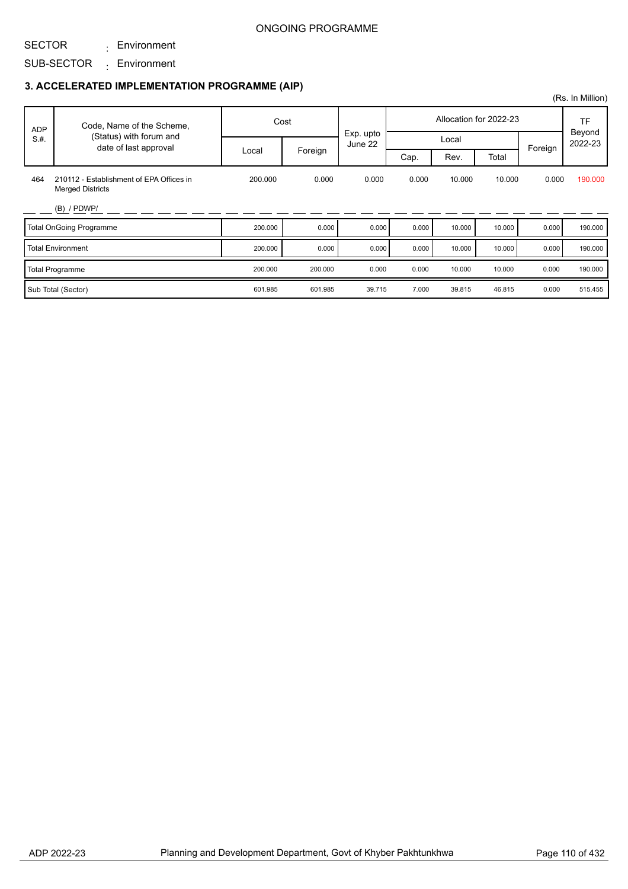### SECTOR

SUB-SECTOR Environment : Environment :

|            |                                                                     |         |         |           |       |        |                        |         | (Rs. In Million)               |
|------------|---------------------------------------------------------------------|---------|---------|-----------|-------|--------|------------------------|---------|--------------------------------|
| <b>ADP</b> | Code, Name of the Scheme,                                           |         | Cost    | Exp. upto |       |        | Allocation for 2022-23 |         | <b>TF</b><br>Beyond<br>2022-23 |
| S.H.       | (Status) with forum and<br>date of last approval                    |         |         | June 22   |       | Local  |                        | Foreign |                                |
|            |                                                                     | Local   | Foreign |           | Cap.  | Rev.   | Total                  |         |                                |
| 464        | 210112 - Establishment of EPA Offices in<br><b>Merged Districts</b> | 200.000 | 0.000   | 0.000     | 0.000 | 10.000 | 10.000                 | 0.000   | 190.000                        |
|            | $(B)$ / PDWP/                                                       |         |         |           |       |        |                        |         |                                |
|            | <b>Total OnGoing Programme</b>                                      | 200.000 | 0.000   | 0.000     | 0.000 | 10.000 | 10.000                 | 0.000   | 190.000                        |
|            | <b>Total Environment</b>                                            | 200.000 | 0.000   | 0.000     | 0.000 | 10.000 | 10.000                 | 0.000   | 190.000                        |
|            | <b>Total Programme</b>                                              | 200.000 | 200.000 | 0.000     | 0.000 | 10.000 | 10.000                 | 0.000   | 190.000                        |
|            | Sub Total (Sector)                                                  | 601.985 | 601.985 | 39.715    | 7.000 | 39.815 | 46.815                 | 0.000   | 515.455                        |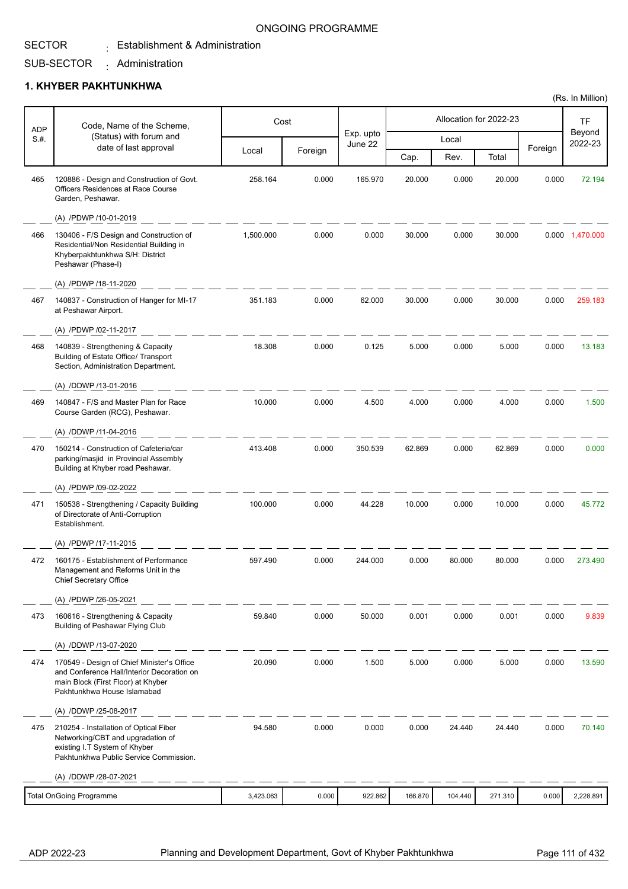## SECTOR SUB-SECTOR

Administration :

 $\colon$  Establishment & Administration

### **1. KHYBER PAKHTUNKHWA**

| <b>ADP</b> | Code, Name of the Scheme,                                                                                                                                     |           | Cost    |                      |         |         | Allocation for 2022-23 |         | <b>TF</b><br>Beyond |
|------------|---------------------------------------------------------------------------------------------------------------------------------------------------------------|-----------|---------|----------------------|---------|---------|------------------------|---------|---------------------|
| S.H.       | (Status) with forum and<br>date of last approval                                                                                                              |           |         | Exp. upto<br>June 22 |         | Local   |                        | Foreign | 2022-23             |
|            |                                                                                                                                                               | Local     | Foreign |                      | Cap.    | Rev.    | Total                  |         |                     |
| 465        | 120886 - Design and Construction of Govt.<br>Officers Residences at Race Course<br>Garden, Peshawar.                                                          | 258.164   | 0.000   | 165.970              | 20.000  | 0.000   | 20.000                 | 0.000   | 72.194              |
|            | (A) /PDWP /10-01-2019                                                                                                                                         |           |         |                      |         |         |                        |         |                     |
| 466        | 130406 - F/S Design and Construction of<br>Residential/Non Residential Building in<br>Khyberpakhtunkhwa S/H: District<br>Peshawar (Phase-I)                   | 1,500.000 | 0.000   | 0.000                | 30.000  | 0.000   | 30.000                 |         | 0.000 1,470.000     |
|            | (A) /PDWP /18-11-2020                                                                                                                                         |           |         |                      |         |         |                        |         |                     |
| 467        | 140837 - Construction of Hanger for MI-17<br>at Peshawar Airport.                                                                                             | 351.183   | 0.000   | 62.000               | 30.000  | 0.000   | 30.000                 | 0.000   | 259.183             |
|            | (A) /PDWP /02-11-2017                                                                                                                                         |           |         |                      |         |         |                        |         |                     |
| 468        | 140839 - Strengthening & Capacity<br>Building of Estate Office/ Transport<br>Section, Administration Department.                                              | 18.308    | 0.000   | 0.125                | 5.000   | 0.000   | 5.000                  | 0.000   | 13.183              |
|            | (A) /DDWP /13-01-2016                                                                                                                                         |           |         |                      |         |         |                        |         |                     |
| 469        | 140847 - F/S and Master Plan for Race<br>Course Garden (RCG), Peshawar.                                                                                       | 10.000    | 0.000   | 4.500                | 4.000   | 0.000   | 4.000                  | 0.000   | 1.500               |
|            | (A) /DDWP /11-04-2016                                                                                                                                         |           |         |                      |         |         |                        |         |                     |
| 470        | 150214 - Construction of Cafeteria/car<br>parking/masjid in Provincial Assembly<br>Building at Khyber road Peshawar.                                          | 413.408   | 0.000   | 350.539              | 62.869  | 0.000   | 62.869                 | 0.000   | 0.000               |
|            | (A) /PDWP /09-02-2022                                                                                                                                         |           |         |                      |         |         |                        |         |                     |
| 471        | 150538 - Strengthening / Capacity Building<br>of Directorate of Anti-Corruption<br>Establishment.                                                             | 100.000   | 0.000   | 44.228               | 10.000  | 0.000   | 10.000                 | 0.000   | 45.772              |
|            | (A) /PDWP /17-11-2015                                                                                                                                         |           |         |                      |         |         |                        |         |                     |
| 472        | 160175 - Establishment of Performance<br>Management and Reforms Unit in the<br><b>Chief Secretary Office</b>                                                  | 597.490   | 0.000   | 244.000              | 0.000   | 80.000  | 80.000                 | 0.000   | 273.490             |
|            | (A) /PDWP /26-05-2021                                                                                                                                         |           |         |                      |         |         |                        |         |                     |
| 473        | 160616 - Strengthening & Capacity<br>Building of Peshawar Flying Club                                                                                         | 59.840    | 0.000   | 50.000               | 0.001   | 0.000   | 0.001                  | 0.000   | 9.839               |
|            | (A) /DDWP /13-07-2020                                                                                                                                         |           |         |                      |         |         |                        |         |                     |
| 474        | 170549 - Design of Chief Minister's Office<br>and Conference Hall/Interior Decoration on<br>main Block (First Floor) at Khyber<br>Pakhtunkhwa House Islamabad | 20.090    | 0.000   | 1.500                | 5.000   | 0.000   | 5.000                  | 0.000   | 13.590              |
|            | (A) /DDWP /25-08-2017                                                                                                                                         |           |         |                      |         |         |                        |         |                     |
| 475        | 210254 - Installation of Optical Fiber<br>Networking/CBT and upgradation of<br>existing I.T System of Khyber<br>Pakhtunkhwa Public Service Commission.        | 94.580    | 0.000   | 0.000                | 0.000   | 24.440  | 24.440                 | 0.000   | 70.140              |
|            | (A) /DDWP /28-07-2021                                                                                                                                         |           |         |                      |         |         |                        |         |                     |
|            | <b>Total OnGoing Programme</b>                                                                                                                                | 3,423.063 | 0.000   | 922.862              | 166.870 | 104.440 | 271.310                | 0.000   | 2,228.891           |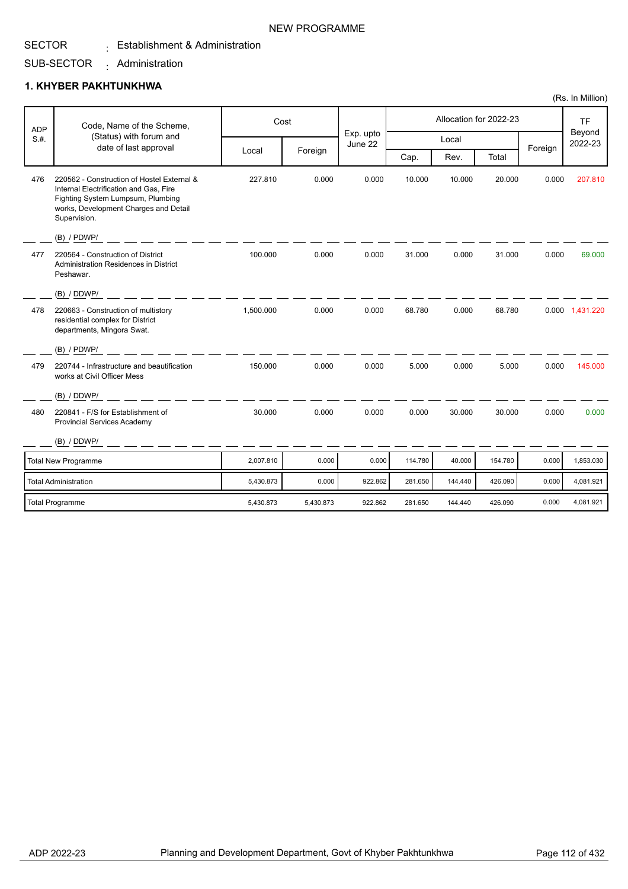### SECTOR  $\colon$  Establishment & Administration

#### SUB-SECTOR Administration :

### **1. KHYBER PAKHTUNKHWA**

|            |                                                                                                                                                                                    |           |           |                      |         |         |                        |         | (Rs. In Million)  |
|------------|------------------------------------------------------------------------------------------------------------------------------------------------------------------------------------|-----------|-----------|----------------------|---------|---------|------------------------|---------|-------------------|
| <b>ADP</b> | Code, Name of the Scheme,                                                                                                                                                          | Cost      |           |                      |         |         | Allocation for 2022-23 |         | <b>TF</b>         |
| S.H.       | (Status) with forum and<br>date of last approval                                                                                                                                   |           |           | Exp. upto<br>June 22 |         | Local   |                        |         | Beyond<br>2022-23 |
|            |                                                                                                                                                                                    | Local     | Foreign   |                      | Cap.    | Rev.    | Total                  | Foreign |                   |
| 476        | 220562 - Construction of Hostel External &<br>Internal Electrification and Gas, Fire<br>Fighting System Lumpsum, Plumbing<br>works, Development Charges and Detail<br>Supervision. | 227.810   | 0.000     | 0.000                | 10.000  | 10.000  | 20.000                 | 0.000   | 207.810           |
|            | (B) / PDWP/                                                                                                                                                                        |           |           |                      |         |         |                        |         |                   |
| 477        | 220564 - Construction of District<br>Administration Residences in District<br>Peshawar.                                                                                            | 100.000   | 0.000     | 0.000                | 31.000  | 0.000   | 31.000                 | 0.000   | 69.000            |
|            | (B) / DDWP/                                                                                                                                                                        |           |           |                      |         |         |                        |         |                   |
| 478        | 220663 - Construction of multistory<br>residential complex for District<br>departments, Mingora Swat.                                                                              | 1,500.000 | 0.000     | 0.000                | 68.780  | 0.000   | 68.780                 |         | 0.000 1,431.220   |
|            | $(B)$ / PDWP/                                                                                                                                                                      |           |           |                      |         |         |                        |         |                   |
| 479        | 220744 - Infrastructure and beautification<br>works at Civil Officer Mess                                                                                                          | 150.000   | 0.000     | 0.000                | 5.000   | 0.000   | 5.000                  | 0.000   | 145.000           |
|            | (B) / DDWP/                                                                                                                                                                        |           |           |                      |         |         |                        |         |                   |
| 480        | 220841 - F/S for Establishment of<br><b>Provincial Services Academy</b>                                                                                                            | 30.000    | 0.000     | 0.000                | 0.000   | 30.000  | 30.000                 | 0.000   | 0.000             |
|            | (B) / DDWP/                                                                                                                                                                        |           |           |                      |         |         |                        |         |                   |
|            | <b>Total New Programme</b>                                                                                                                                                         | 2,007.810 | 0.000     | 0.000                | 114.780 | 40.000  | 154.780                | 0.000   | 1,853.030         |
|            | <b>Total Administration</b>                                                                                                                                                        | 5,430.873 | 0.000     | 922.862              | 281.650 | 144.440 | 426.090                | 0.000   | 4,081.921         |
|            | <b>Total Programme</b>                                                                                                                                                             | 5,430.873 | 5,430.873 | 922.862              | 281.650 | 144.440 | 426.090                | 0.000   | 4.081.921         |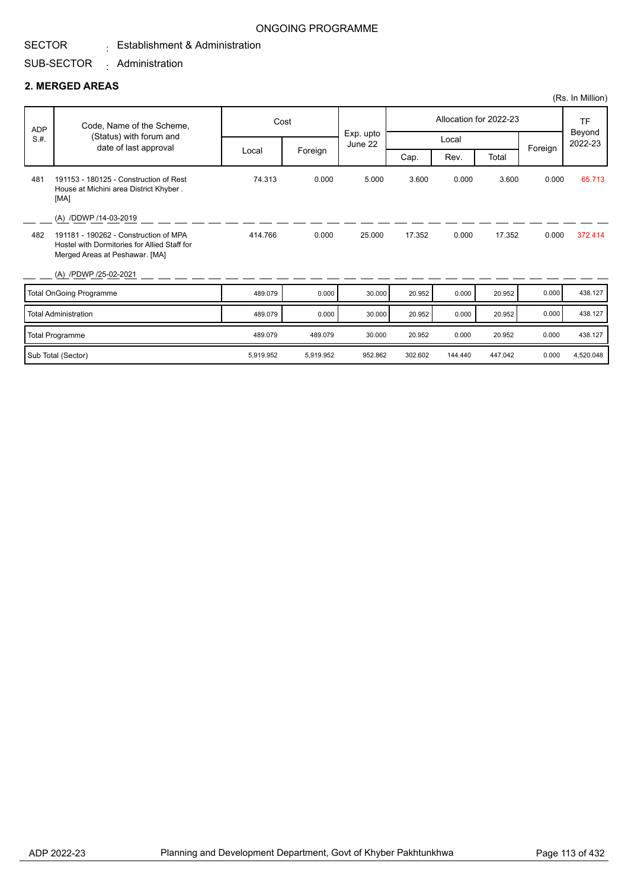### ONGOING PROGRAMME

### $\colon$  Establishment & Administration

#### SUB-SECTOR Administration :

### **2. MERGED AREAS**

|            |                                                                                                                         |           |           |                      |         |         |                        |         | (Rs. In Million)  |
|------------|-------------------------------------------------------------------------------------------------------------------------|-----------|-----------|----------------------|---------|---------|------------------------|---------|-------------------|
| <b>ADP</b> | Code, Name of the Scheme,                                                                                               |           | Cost      |                      |         |         | Allocation for 2022-23 |         | TF                |
| S.H.       | (Status) with forum and<br>date of last approval                                                                        |           |           | Exp. upto<br>June 22 |         | Local   |                        |         | Beyond<br>2022-23 |
|            |                                                                                                                         | Local     | Foreign   |                      | Cap.    | Rev.    | Total                  | Foreign |                   |
| 481        | 191153 - 180125 - Construction of Rest<br>House at Michini area District Khyber.<br>[MA]                                | 74.313    | 0.000     | 5.000                | 3.600   | 0.000   | 3.600                  | 0.000   | 65.713            |
|            | (A) /DDWP /14-03-2019                                                                                                   |           |           |                      |         |         |                        |         |                   |
| 482        | 191181 - 190262 - Construction of MPA<br>Hostel with Dormitories for Allied Staff for<br>Merged Areas at Peshawar. [MA] | 414.766   | 0.000     | 25.000               | 17.352  | 0.000   | 17.352                 | 0.000   | 372.414           |
|            | (A) /PDWP /25-02-2021                                                                                                   |           |           |                      |         |         |                        |         |                   |
|            | Total OnGoing Programme                                                                                                 | 489.079   | 0.000     | 30.000               | 20.952  | 0.000   | 20.952                 | 0.000   | 438.127           |
|            | <b>Total Administration</b>                                                                                             | 489.079   | 0.000     | 30.000               | 20.952  | 0.000   | 20.952                 | 0.000   | 438.127           |
|            | Total Programme                                                                                                         | 489.079   | 489.079   | 30.000               | 20.952  | 0.000   | 20.952                 | 0.000   | 438.127           |
|            | Sub Total (Sector)                                                                                                      | 5,919.952 | 5,919.952 | 952.862              | 302.602 | 144,440 | 447.042                | 0.000   | 4,520.048         |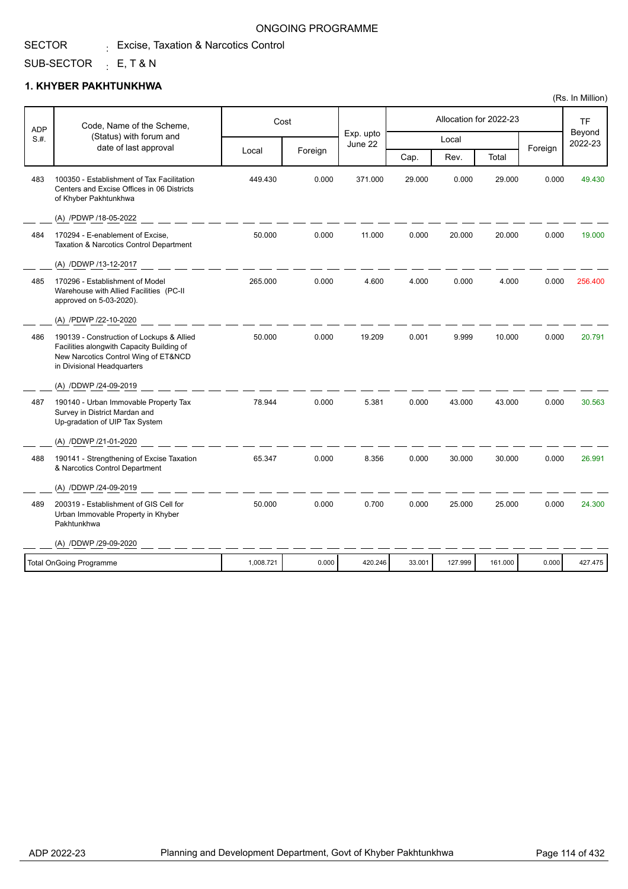#### SECTOR  $_{\rm \pm}$  Excise, Taxation & Narcotics Control

### SUB-SECTOR <sub>:</sub> E, T & N

### **1. KHYBER PAKHTUNKHWA**

| <b>ADP</b> | Code, Name of the Scheme,                                                                                                                                    |           | Cost    |                      |        |         | Allocation for 2022-23 |         | <b>TF</b><br>Beyond |
|------------|--------------------------------------------------------------------------------------------------------------------------------------------------------------|-----------|---------|----------------------|--------|---------|------------------------|---------|---------------------|
| S.H.       | (Status) with forum and<br>date of last approval                                                                                                             |           |         | Exp. upto<br>June 22 |        | Local   |                        | Foreign | 2022-23             |
|            |                                                                                                                                                              | Local     | Foreign |                      | Cap.   | Rev.    | Total                  |         |                     |
| 483        | 100350 - Establishment of Tax Facilitation<br>Centers and Excise Offices in 06 Districts<br>of Khyber Pakhtunkhwa                                            | 449.430   | 0.000   | 371.000              | 29.000 | 0.000   | 29.000                 | 0.000   | 49.430              |
|            | (A) /PDWP /18-05-2022                                                                                                                                        |           |         |                      |        |         |                        |         |                     |
| 484        | 170294 - E-enablement of Excise,<br>Taxation & Narcotics Control Department                                                                                  | 50.000    | 0.000   | 11.000               | 0.000  | 20.000  | 20.000                 | 0.000   | 19.000              |
|            | (A) /DDWP /13-12-2017                                                                                                                                        |           |         |                      |        |         |                        |         |                     |
| 485        | 170296 - Establishment of Model<br>Warehouse with Allied Facilities (PC-II<br>approved on 5-03-2020).                                                        | 265.000   | 0.000   | 4.600                | 4.000  | 0.000   | 4.000                  | 0.000   | 256.400             |
|            | (A) /PDWP /22-10-2020                                                                                                                                        |           |         |                      |        |         |                        |         |                     |
| 486        | 190139 - Construction of Lockups & Allied<br>Facilities alongwith Capacity Building of<br>New Narcotics Control Wing of ET&NCD<br>in Divisional Headquarters | 50.000    | 0.000   | 19.209               | 0.001  | 9.999   | 10.000                 | 0.000   | 20.791              |
|            | (A) /DDWP /24-09-2019                                                                                                                                        |           |         |                      |        |         |                        |         |                     |
| 487        | 190140 - Urban Immovable Property Tax<br>Survey in District Mardan and<br>Up-gradation of UIP Tax System                                                     | 78.944    | 0.000   | 5.381                | 0.000  | 43.000  | 43.000                 | 0.000   | 30.563              |
|            | (A) /DDWP /21-01-2020                                                                                                                                        |           |         |                      |        |         |                        |         |                     |
| 488        | 190141 - Strengthening of Excise Taxation<br>& Narcotics Control Department                                                                                  | 65.347    | 0.000   | 8.356                | 0.000  | 30.000  | 30.000                 | 0.000   | 26.991              |
|            | (A) /DDWP /24-09-2019                                                                                                                                        |           |         |                      |        |         |                        |         |                     |
| 489        | 200319 - Establishment of GIS Cell for<br>Urban Immovable Property in Khyber<br>Pakhtunkhwa                                                                  | 50.000    | 0.000   | 0.700                | 0.000  | 25.000  | 25.000                 | 0.000   | 24.300              |
|            | (A) /DDWP /29-09-2020                                                                                                                                        |           |         |                      |        |         |                        |         |                     |
|            | <b>Total OnGoing Programme</b>                                                                                                                               | 1,008.721 | 0.000   | 420.246              | 33.001 | 127.999 | 161.000                | 0.000   | 427.475             |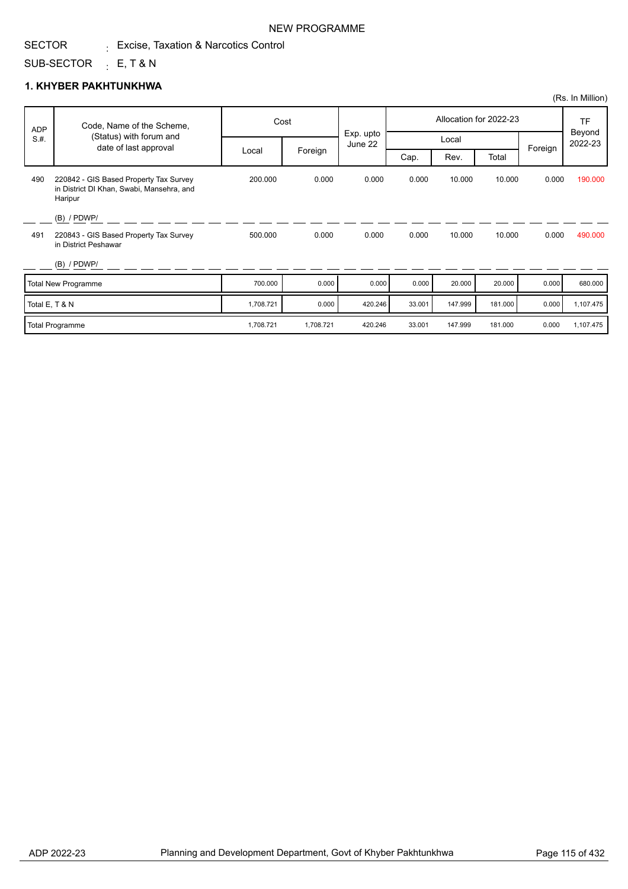#### SECTOR  $_{\rm \pm}$  Excise, Taxation & Narcotics Control

## SUB-SECTOR <sub>:</sub> E, T & N

### **1. KHYBER PAKHTUNKHWA**

| <b>ADP</b>     | Code, Name of the Scheme,                                                                      |           | Cost      |                      |        |         | Allocation for 2022-23 |         | <b>TF</b>         |
|----------------|------------------------------------------------------------------------------------------------|-----------|-----------|----------------------|--------|---------|------------------------|---------|-------------------|
| S.H.           | (Status) with forum and<br>date of last approval                                               |           |           | Exp. upto<br>June 22 |        | Local   |                        |         | Beyond<br>2022-23 |
|                |                                                                                                | Local     | Foreign   |                      | Cap.   | Rev.    | Total                  | Foreign |                   |
| 490            | 220842 - GIS Based Property Tax Survey<br>in District DI Khan, Swabi, Mansehra, and<br>Haripur | 200.000   | 0.000     | 0.000                | 0.000  | 10.000  | 10.000                 | 0.000   | 190.000           |
|                | $(B)$ / PDWP/                                                                                  |           |           |                      |        |         |                        |         |                   |
| 491            | 220843 - GIS Based Property Tax Survey<br>in District Peshawar                                 | 500.000   | 0.000     | 0.000                | 0.000  | 10.000  | 10.000                 | 0.000   | 490.000           |
|                | $(B)$ / PDWP/                                                                                  |           |           |                      |        |         |                        |         |                   |
|                | Total New Programme                                                                            | 700.000   | 0.000     | 0.000                | 0.000  | 20.000  | 20.000                 | 0.000   | 680.000           |
| Total E, T & N |                                                                                                | 1,708.721 | 0.000     | 420.246              | 33.001 | 147.999 | 181.000                | 0.000   | 1,107.475         |
|                | Total Programme                                                                                | 1,708.721 | 1,708.721 | 420.246              | 33.001 | 147.999 | 181.000                | 0.000   | 1,107.475         |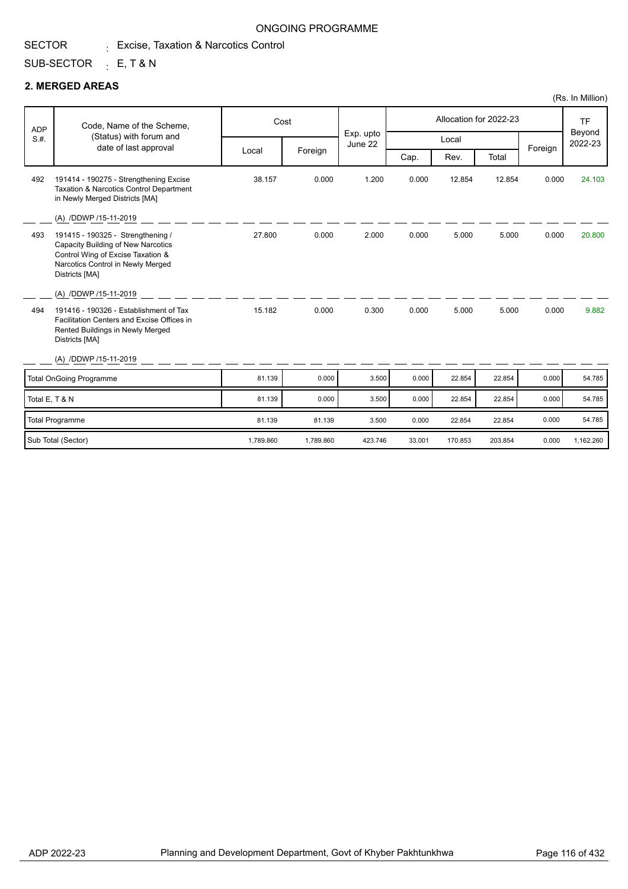SECTOR  $_{\rm \pm}$  Excise, Taxation & Narcotics Control

### SUB-SECTOR <sub>:</sub> E, T & N

### **2. MERGED AREAS**

|                |                                                                                                                                                                     |           |           |                      |        |         |                        |         | (Rs. In Million)  |
|----------------|---------------------------------------------------------------------------------------------------------------------------------------------------------------------|-----------|-----------|----------------------|--------|---------|------------------------|---------|-------------------|
| <b>ADP</b>     | Code, Name of the Scheme,                                                                                                                                           |           | Cost      |                      |        |         | Allocation for 2022-23 |         | <b>TF</b>         |
| S.H.           | (Status) with forum and<br>date of last approval                                                                                                                    |           |           | Exp. upto<br>June 22 |        | Local   |                        | Foreign | Beyond<br>2022-23 |
|                |                                                                                                                                                                     | Local     | Foreign   |                      | Cap.   | Rev.    | Total                  |         |                   |
| 492            | 191414 - 190275 - Strengthening Excise<br>Taxation & Narcotics Control Department<br>in Newly Merged Districts [MA]                                                 | 38.157    | 0.000     | 1.200                | 0.000  | 12.854  | 12.854                 | 0.000   | 24.103            |
|                | (A) /DDWP /15-11-2019                                                                                                                                               |           |           |                      |        |         |                        |         |                   |
| 493            | 191415 - 190325 - Strengthening /<br>Capacity Building of New Narcotics<br>Control Wing of Excise Taxation &<br>Narcotics Control in Newly Merged<br>Districts [MA] | 27.800    | 0.000     | 2.000                | 0.000  | 5.000   | 5.000                  | 0.000   | 20.800            |
|                | (A) /DDWP /15-11-2019                                                                                                                                               |           |           |                      |        |         |                        |         |                   |
| 494            | 191416 - 190326 - Establishment of Tax<br>Facilitation Centers and Excise Offices in<br>Rented Buildings in Newly Merged<br>Districts [MA]                          | 15.182    | 0.000     | 0.300                | 0.000  | 5.000   | 5.000                  | 0.000   | 9.882             |
|                | (A) /DDWP /15-11-2019                                                                                                                                               |           |           |                      |        |         |                        |         |                   |
|                | <b>Total OnGoing Programme</b>                                                                                                                                      | 81.139    | 0.000     | 3.500                | 0.000  | 22.854  | 22.854                 | 0.000   | 54.785            |
| Total E, T & N |                                                                                                                                                                     | 81.139    | 0.000     | 3.500                | 0.000  | 22.854  | 22.854                 | 0.000   | 54.785            |
|                | Total Programme                                                                                                                                                     | 81.139    | 81.139    | 3.500                | 0.000  | 22.854  | 22.854                 | 0.000   | 54.785            |
|                | Sub Total (Sector)                                                                                                                                                  | 1,789.860 | 1,789.860 | 423.746              | 33.001 | 170.853 | 203.854                | 0.000   | 1,162.260         |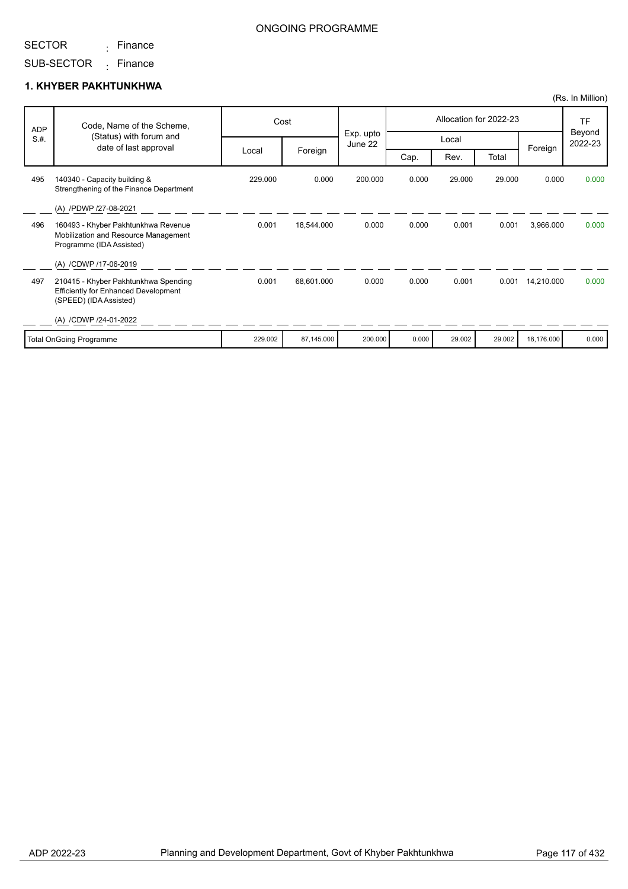<sub>:</sub> Finance

### ONGOING PROGRAMME

SUB-SECTOR <sub>:</sub> Finance

### **1. KHYBER PAKHTUNKHWA**

|            |                                                                                                               |         |            |                      |       |        |                        |            | (Rs. In Million)  |
|------------|---------------------------------------------------------------------------------------------------------------|---------|------------|----------------------|-------|--------|------------------------|------------|-------------------|
| <b>ADP</b> | Code, Name of the Scheme,                                                                                     |         | Cost       |                      |       |        | Allocation for 2022-23 |            | <b>TF</b>         |
| S.H.       | (Status) with forum and<br>date of last approval                                                              |         |            | Exp. upto<br>June 22 |       | Local  |                        |            | Beyond<br>2022-23 |
|            |                                                                                                               | Local   | Foreign    |                      | Cap.  | Rev.   | Total                  | Foreign    |                   |
| 495        | 140340 - Capacity building &<br>Strengthening of the Finance Department                                       | 229.000 | 0.000      | 200.000              | 0.000 | 29.000 | 29.000                 | 0.000      | 0.000             |
|            | (A) /PDWP /27-08-2021                                                                                         |         |            |                      |       |        |                        |            |                   |
| 496        | 160493 - Khyber Pakhtunkhwa Revenue<br>Mobilization and Resource Management<br>Programme (IDA Assisted)       | 0.001   | 18,544.000 | 0.000                | 0.000 | 0.001  | 0.001                  | 3,966.000  | 0.000             |
|            | (A) /CDWP /17-06-2019                                                                                         |         |            |                      |       |        |                        |            |                   |
| 497        | 210415 - Khyber Pakhtunkhwa Spending<br><b>Efficiently for Enhanced Development</b><br>(SPEED) (IDA Assisted) | 0.001   | 68,601.000 | 0.000                | 0.000 | 0.001  | 0.001                  | 14,210.000 | 0.000             |
|            | (A) /CDWP /24-01-2022                                                                                         |         |            |                      |       |        |                        |            |                   |
|            | Total OnGoing Programme                                                                                       | 229.002 | 87,145.000 | 200.000              | 0.000 | 29.002 | 29.002                 | 18.176.000 | 0.000             |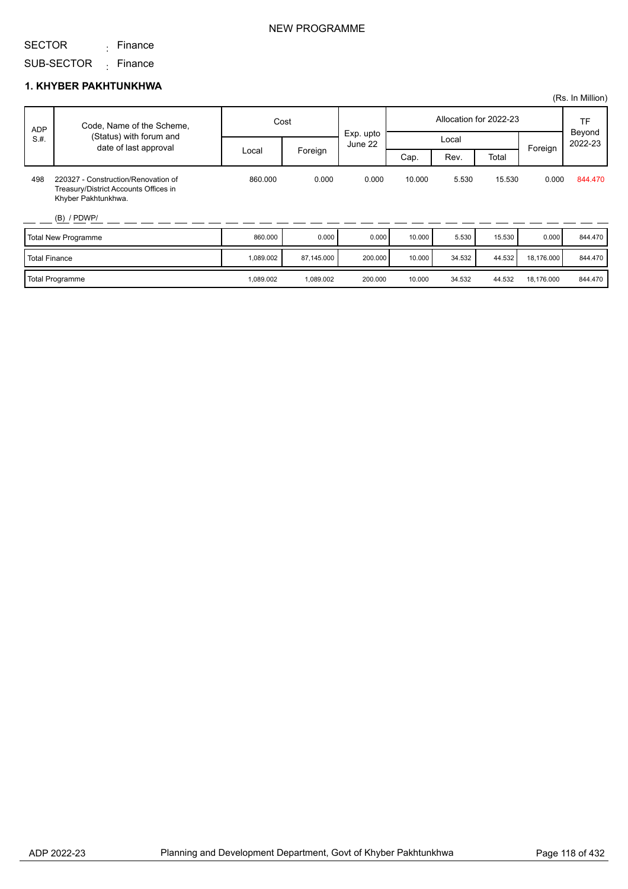<sub>:</sub> Finance

### NEW PROGRAMME

SUB-SECTOR <sub>:</sub> Finance

### **1. KHYBER PAKHTUNKHWA**

|                      |                                                                                                                      |           |            |                      |        |        |                        |            | (Rs. In Million)        |
|----------------------|----------------------------------------------------------------------------------------------------------------------|-----------|------------|----------------------|--------|--------|------------------------|------------|-------------------------|
| <b>ADP</b>           | Code, Name of the Scheme,                                                                                            | Cost      |            |                      |        |        | Allocation for 2022-23 |            | TF<br>Beyond<br>2022-23 |
| S.H.                 | (Status) with forum and<br>date of last approval                                                                     |           |            | Exp. upto<br>June 22 |        | Local  |                        | Foreign    |                         |
|                      |                                                                                                                      | Local     | Foreign    |                      | Cap.   | Rev.   | Total                  |            |                         |
| 498                  | 220327 - Construction/Renovation of<br>Treasury/District Accounts Offices in<br>Khyber Pakhtunkhwa.<br>$(B)$ / PDWP/ | 860.000   | 0.000      | 0.000                | 10.000 | 5.530  | 15.530                 | 0.000      | 844.470                 |
|                      | Total New Programme                                                                                                  | 860.000   | 0.000      | 0.000                | 10.000 | 5.530  | 15.530                 | 0.000      | 844.470                 |
| <b>Total Finance</b> |                                                                                                                      | 1,089.002 | 87,145.000 | 200.000              | 10.000 | 34.532 | 44.532                 | 18,176.000 | 844.470                 |
|                      | <b>Total Programme</b>                                                                                               | 1,089.002 | 1,089.002  | 200.000              | 10.000 | 34.532 | 44.532                 | 18,176.000 | 844.470                 |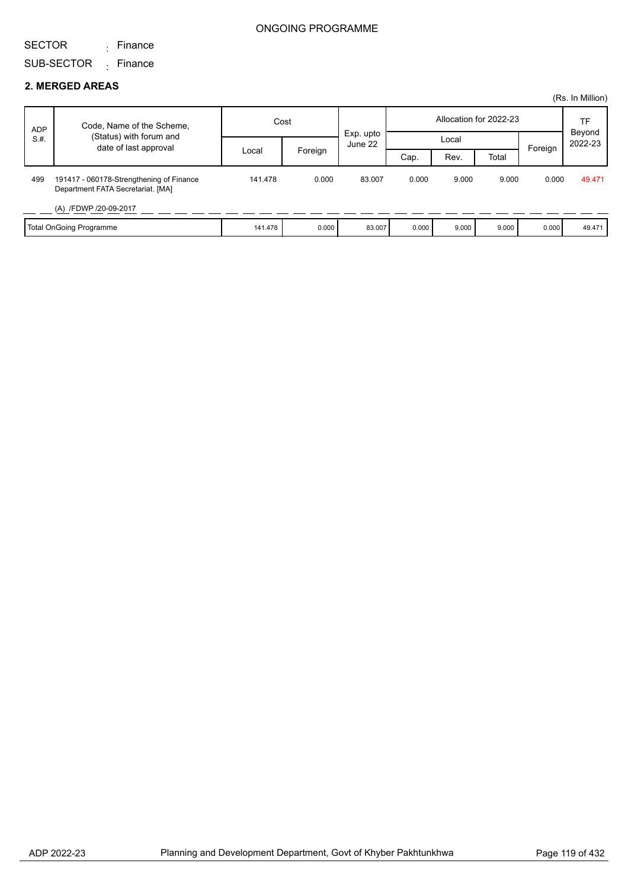### SECTOR

<sub>:</sub> Finance

### SUB-SECTOR <sub>:</sub> Finance

### **2. MERGED AREAS**

|            |                                                                               |         |         |                      |                        |       |       |         | (Rs. In Million) |
|------------|-------------------------------------------------------------------------------|---------|---------|----------------------|------------------------|-------|-------|---------|------------------|
| <b>ADP</b> | Code, Name of the Scheme,                                                     | Cost    |         |                      | Allocation for 2022-23 |       |       |         | TF<br>Beyond     |
| S.H.       | (Status) with forum and<br>date of last approval                              |         |         | Exp. upto<br>June 22 |                        | Local |       | Foreign | 2022-23          |
|            |                                                                               | Local   | Foreign |                      | Cap.                   | Rev.  | Total |         |                  |
| 499        | 191417 - 060178-Strengthening of Finance<br>Department FATA Secretariat. [MA] | 141.478 | 0.000   | 83.007               | 0.000                  | 9.000 | 9.000 | 0.000   | 49.471           |
|            | (A) /FDWP /20-09-2017                                                         |         |         |                      |                        |       |       |         |                  |
|            | <b>Total OnGoing Programme</b>                                                | 141.478 | 0.000   | 83.007               | 0.000                  | 9.000 | 9.000 | 0.000   | 49.471           |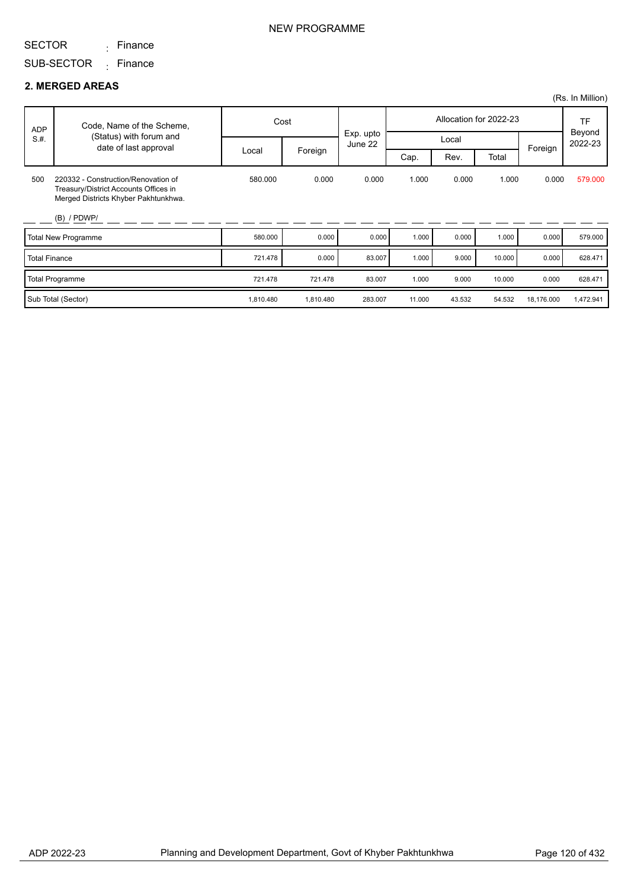<sub>:</sub> Finance

SUB-SECTOR <sub>:</sub> Finance

### **2. MERGED AREAS**

|                      |                                                                                                                      |           |           |                      |        |        |                        |            | (Rs. In Million)  |
|----------------------|----------------------------------------------------------------------------------------------------------------------|-----------|-----------|----------------------|--------|--------|------------------------|------------|-------------------|
| ADP                  | Code, Name of the Scheme,                                                                                            | Cost      |           |                      |        |        | Allocation for 2022-23 |            | TF                |
| S.H.                 | (Status) with forum and<br>date of last approval                                                                     |           |           | Exp. upto<br>June 22 |        | Local  |                        | Foreign    | Beyond<br>2022-23 |
|                      |                                                                                                                      | Local     | Foreign   |                      | Cap.   | Rev.   | Total                  |            |                   |
| 500                  | 220332 - Construction/Renovation of<br>Treasury/District Accounts Offices in<br>Merged Districts Khyber Pakhtunkhwa. | 580.000   | 0.000     | 0.000                | 1.000  | 0.000  | 1.000                  | 0.000      | 579.000           |
|                      | $(B)$ / PDWP/                                                                                                        |           |           |                      |        |        |                        |            |                   |
|                      | Total New Programme                                                                                                  | 580.000   | 0.000     | 0.000                | 1.000  | 0.000  | 1.000                  | 0.000      | 579.000           |
| <b>Total Finance</b> |                                                                                                                      | 721.478   | 0.000     | 83.007               | 1.000  | 9.000  | 10.000                 | 0.000      | 628.471           |
|                      | Total Programme                                                                                                      | 721.478   | 721.478   | 83.007               | 1.000  | 9.000  | 10.000                 | 0.000      | 628.471           |
|                      | Sub Total (Sector)                                                                                                   | 1,810.480 | 1,810.480 | 283.007              | 11.000 | 43.532 | 54.532                 | 18,176.000 | 1,472.941         |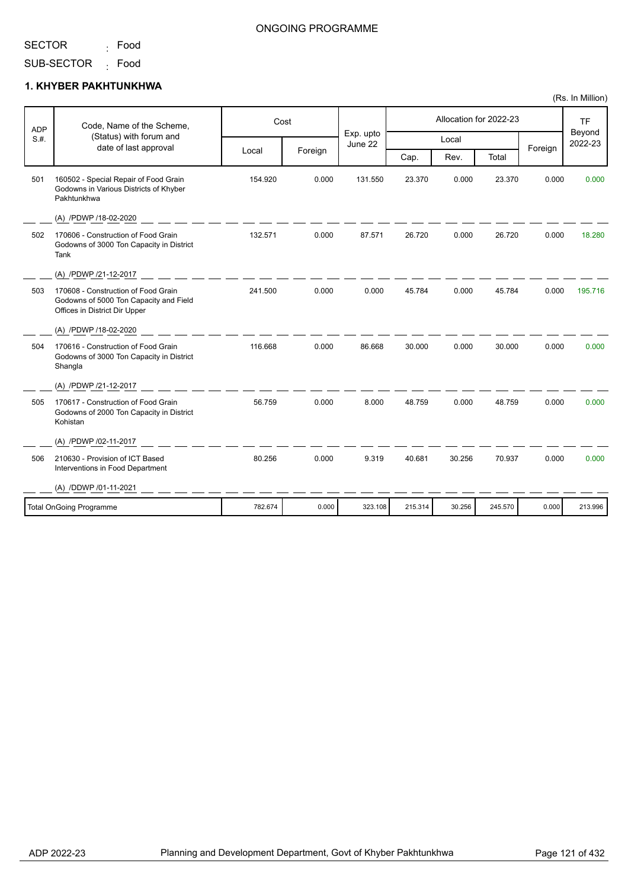Food :

Godowns of 3000 Ton Capacity in District

Godowns of 2000 Ton Capacity in District

Shangla

Kohistan

(A) /PDWP /21-12-2017

(A) /PDWP /02-11-2017

(A) /DDWP /01-11-2021

Interventions in Food Department

#### SUB-SECTOR <sub>:</sub> Food

### **1. KHYBER PAKHTUNKHWA**

|            |                                                                                                                |         |         |                      |                        |       |        |         | (Rs. In Million)  |
|------------|----------------------------------------------------------------------------------------------------------------|---------|---------|----------------------|------------------------|-------|--------|---------|-------------------|
| <b>ADP</b> | Code, Name of the Scheme,                                                                                      | Cost    |         |                      | Allocation for 2022-23 |       |        |         | TF                |
| S.H.       | (Status) with forum and                                                                                        |         |         | Exp. upto<br>June 22 | Local                  |       |        |         | Beyond<br>2022-23 |
|            | date of last approval                                                                                          | Local   | Foreign |                      | Cap.                   | Rev.  | Total  | Foreign |                   |
| 501        | 160502 - Special Repair of Food Grain<br>Godowns in Various Districts of Khyber<br>Pakhtunkhwa                 | 154.920 | 0.000   | 131.550              | 23.370                 | 0.000 | 23.370 | 0.000   | 0.000             |
|            | (A) /PDWP /18-02-2020                                                                                          |         |         |                      |                        |       |        |         |                   |
| 502        | 170606 - Construction of Food Grain<br>Godowns of 3000 Ton Capacity in District<br>Tank                        | 132.571 | 0.000   | 87.571               | 26.720                 | 0.000 | 26.720 | 0.000   | 18.280            |
|            | (A) /PDWP /21-12-2017                                                                                          |         |         |                      |                        |       |        |         |                   |
| 503        | 170608 - Construction of Food Grain<br>Godowns of 5000 Ton Capacity and Field<br>Offices in District Dir Upper | 241.500 | 0.000   | 0.000                | 45.784                 | 0.000 | 45.784 | 0.000   | 195.716           |
|            | (A) /PDWP /18-02-2020                                                                                          |         |         |                      |                        |       |        |         |                   |
| 504        | 170616 - Construction of Food Grain                                                                            | 116.668 | 0.000   | 86.668               | 30.000                 | 0.000 | 30.000 | 0.000   | 0.000             |

170617 - Construction of Food Grain 8.000 48.759 0.000 48.759 0.000 505 56.759 0.000 0.000

210630 - Provision of ICT Based 9.319 40.681 30.256 70.937 0.000 506 80.256 0.000 0.000

Total OnGoing Programme 782.674 162.674 0.000 323.108 215.314 30.256 245.570 0.000 213.996

| ONGOING PROGRAMME |
|-------------------|
|-------------------|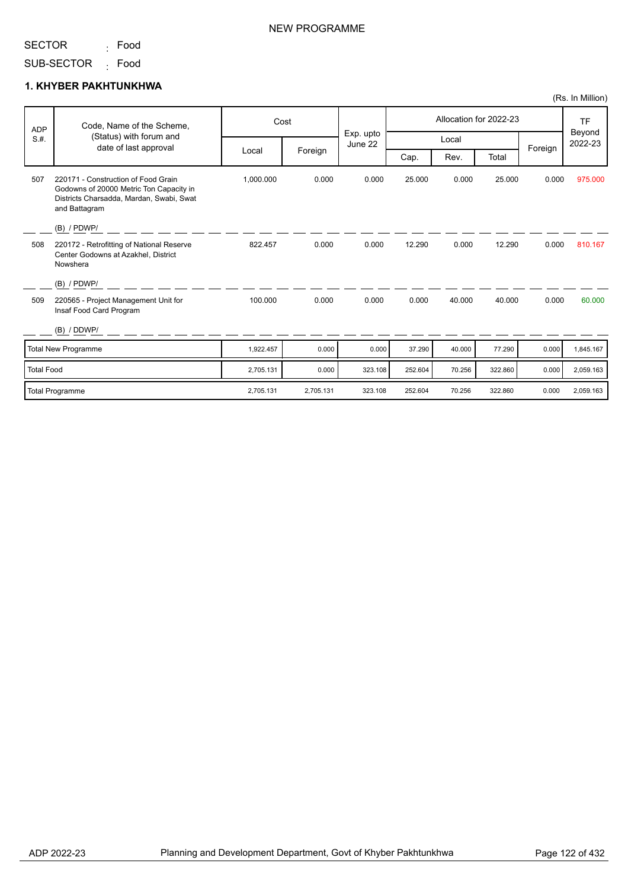<sub>:</sub> Food

SUB-SECTOR <sub>:</sub> Food

### **1. KHYBER PAKHTUNKHWA**

| <b>ADP</b>        | Code, Name of the Scheme,                                                                                                                   |           | Cost      |                      | Allocation for 2022-23 |        |         |         | <b>TF</b>         |
|-------------------|---------------------------------------------------------------------------------------------------------------------------------------------|-----------|-----------|----------------------|------------------------|--------|---------|---------|-------------------|
| S.H.              | (Status) with forum and<br>date of last approval                                                                                            |           |           | Exp. upto<br>June 22 | Local                  |        |         | Foreign | Beyond<br>2022-23 |
|                   |                                                                                                                                             | Local     | Foreign   |                      | Cap.                   | Rev.   | Total   |         |                   |
| 507               | 220171 - Construction of Food Grain<br>Godowns of 20000 Metric Ton Capacity in<br>Districts Charsadda, Mardan, Swabi, Swat<br>and Battagram | 1,000.000 | 0.000     | 0.000                | 25.000                 | 0.000  | 25.000  | 0.000   | 975.000           |
|                   | $(B)$ / PDWP/                                                                                                                               |           |           |                      |                        |        |         |         |                   |
| 508               | 220172 - Retrofitting of National Reserve<br>Center Godowns at Azakhel, District<br>Nowshera                                                | 822.457   | 0.000     | 0.000                | 12.290                 | 0.000  | 12.290  | 0.000   | 810.167           |
|                   | $(B)$ / PDWP/                                                                                                                               |           |           |                      |                        |        |         |         |                   |
| 509               | 220565 - Project Management Unit for<br>Insaf Food Card Program                                                                             | 100.000   | 0.000     | 0.000                | 0.000                  | 40.000 | 40.000  | 0.000   | 60.000            |
|                   | (B) / DDWP/                                                                                                                                 |           |           |                      |                        |        |         |         |                   |
|                   | <b>Total New Programme</b>                                                                                                                  | 1,922.457 | 0.000     | 0.000                | 37.290                 | 40.000 | 77.290  | 0.000   | 1,845.167         |
| <b>Total Food</b> |                                                                                                                                             | 2,705.131 | 0.000     | 323.108              | 252.604                | 70.256 | 322.860 | 0.000   | 2,059.163         |
|                   | Total Programme                                                                                                                             | 2,705.131 | 2,705.131 | 323.108              | 252.604                | 70.256 | 322.860 | 0.000   | 2,059.163         |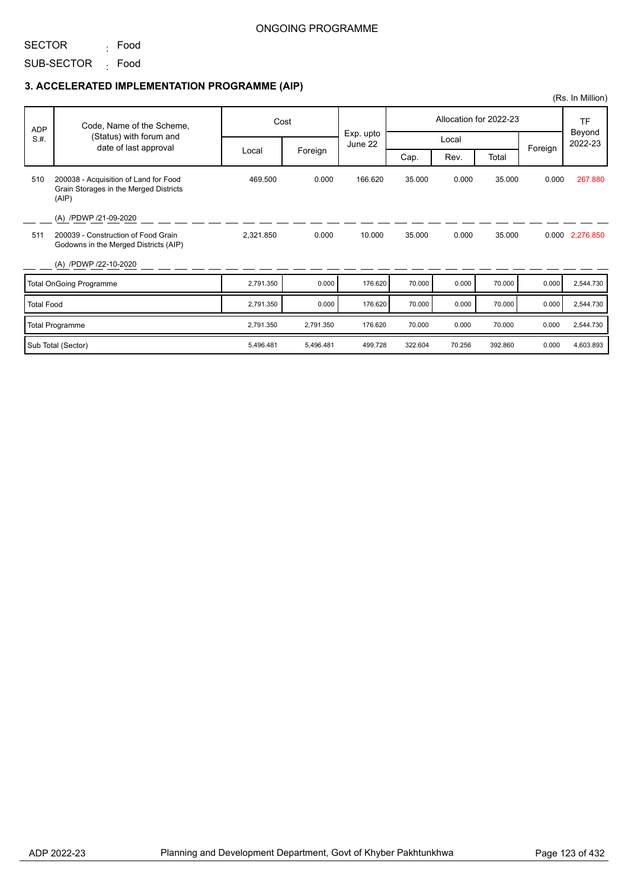SECTOR <sub>:</sub> Food

SUB-SECTOR <sub>:</sub> Food

|                   |                                                                                          |           |           |                      |                        |        |         |         | (Rs. In Million)        |
|-------------------|------------------------------------------------------------------------------------------|-----------|-----------|----------------------|------------------------|--------|---------|---------|-------------------------|
| <b>ADP</b>        | Code, Name of the Scheme,                                                                |           | Cost      |                      | Allocation for 2022-23 |        |         |         | TF<br>Beyond<br>2022-23 |
| S.H.              | (Status) with forum and                                                                  |           |           | Exp. upto<br>June 22 | Local                  |        |         |         |                         |
|                   | date of last approval                                                                    | Local     | Foreign   |                      | Cap.                   | Rev.   | Total   | Foreign |                         |
| 510               | 200038 - Acquisition of Land for Food<br>Grain Storages in the Merged Districts<br>(AIP) | 469.500   | 0.000     | 166.620              | 35.000                 | 0.000  | 35.000  | 0.000   | 267.880                 |
|                   | (A) /PDWP /21-09-2020                                                                    |           |           |                      |                        |        |         |         |                         |
| 511               | 200039 - Construction of Food Grain<br>Godowns in the Merged Districts (AIP)             | 2,321.850 | 0.000     | 10.000               | 35.000                 | 0.000  | 35.000  |         | 0.000 2,276.850         |
|                   | (A) /PDWP /22-10-2020                                                                    |           |           |                      |                        |        |         |         |                         |
|                   | <b>Total OnGoing Programme</b>                                                           | 2,791.350 | 0.000     | 176.620              | 70.000                 | 0.000  | 70.000  | 0.000   | 2,544.730               |
| <b>Total Food</b> |                                                                                          | 2,791.350 | 0.000     | 176.620              | 70.000                 | 0.000  | 70.000  | 0.000   | 2,544.730               |
|                   | <b>Total Programme</b>                                                                   | 2,791.350 | 2,791.350 | 176.620              | 70.000                 | 0.000  | 70.000  | 0.000   | 2,544.730               |
|                   | Sub Total (Sector)                                                                       | 5,496.481 | 5,496.481 | 499.728              | 322.604                | 70.256 | 392.860 | 0.000   | 4,603.893               |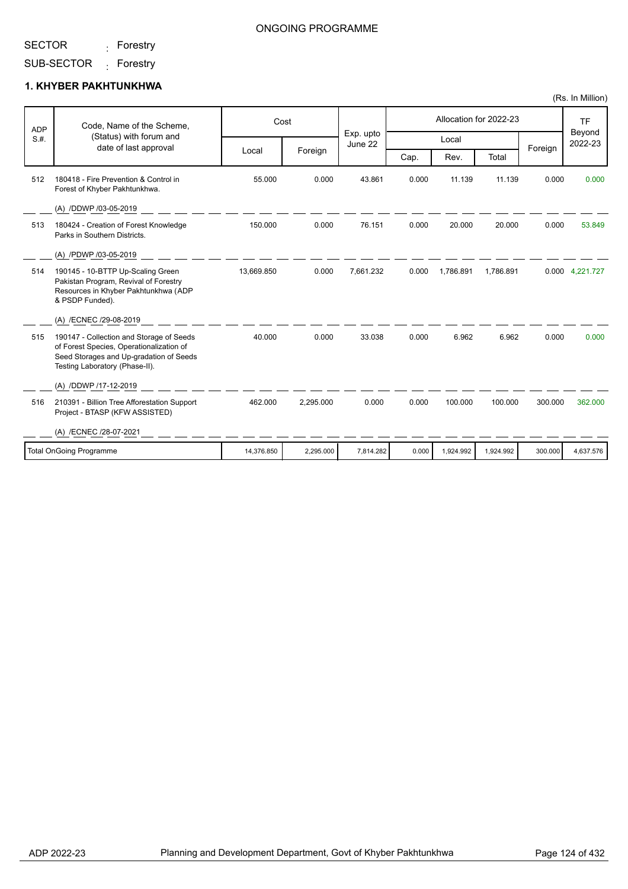<sub>:</sub> Forestry

### ONGOING PROGRAMME

SUB-SECTOR <sub>:</sub> Forestry

### **1. KHYBER PAKHTUNKHWA**

| <b>ADP</b> | Code, Name of the Scheme,                                                                                                                                         |            | Cost      | Exp. upto | Allocation for 2022-23 |           |           |         | <b>TF</b>         |  |
|------------|-------------------------------------------------------------------------------------------------------------------------------------------------------------------|------------|-----------|-----------|------------------------|-----------|-----------|---------|-------------------|--|
| S.H.       | (Status) with forum and<br>date of last approval                                                                                                                  |            |           | June 22   |                        | Local     |           |         | Beyond<br>2022-23 |  |
|            |                                                                                                                                                                   | Local      | Foreign   |           | Cap.                   | Rev.      | Total     | Foreign |                   |  |
| 512        | 180418 - Fire Prevention & Control in<br>Forest of Khyber Pakhtunkhwa.                                                                                            | 55.000     | 0.000     | 43.861    | 0.000                  | 11.139    | 11.139    | 0.000   | 0.000             |  |
|            | (A) /DDWP /03-05-2019                                                                                                                                             |            |           |           |                        |           |           |         |                   |  |
| 513        | 180424 - Creation of Forest Knowledge<br>Parks in Southern Districts.                                                                                             | 150.000    | 0.000     | 76.151    | 0.000                  | 20.000    | 20.000    | 0.000   | 53.849            |  |
|            | (A) /PDWP /03-05-2019                                                                                                                                             |            |           |           |                        |           |           |         |                   |  |
| 514        | 190145 - 10-BTTP Up-Scaling Green<br>Pakistan Program, Revival of Forestry<br>Resources in Khyber Pakhtunkhwa (ADP<br>& PSDP Funded).                             | 13,669.850 | 0.000     | 7.661.232 | 0.000                  | 1,786.891 | 1,786.891 |         | 0.000 4,221.727   |  |
|            | (A) /ECNEC /29-08-2019                                                                                                                                            |            |           |           |                        |           |           |         |                   |  |
| 515        | 190147 - Collection and Storage of Seeds<br>of Forest Species, Operationalization of<br>Seed Storages and Up-gradation of Seeds<br>Testing Laboratory (Phase-II). | 40.000     | 0.000     | 33.038    | 0.000                  | 6.962     | 6.962     | 0.000   | 0.000             |  |
|            | (A) /DDWP /17-12-2019                                                                                                                                             |            |           |           |                        |           |           |         |                   |  |
| 516        | 210391 - Billion Tree Afforestation Support<br>Project - BTASP (KFW ASSISTED)                                                                                     | 462.000    | 2,295.000 | 0.000     | 0.000                  | 100.000   | 100.000   | 300.000 | 362.000           |  |
|            | (A) /ECNEC /28-07-2021                                                                                                                                            |            |           |           |                        |           |           |         |                   |  |
|            | Total OnGoing Programme                                                                                                                                           | 14,376.850 | 2,295.000 | 7,814.282 | 0.000                  | 1,924.992 | 1,924.992 | 300.000 | 4,637.576         |  |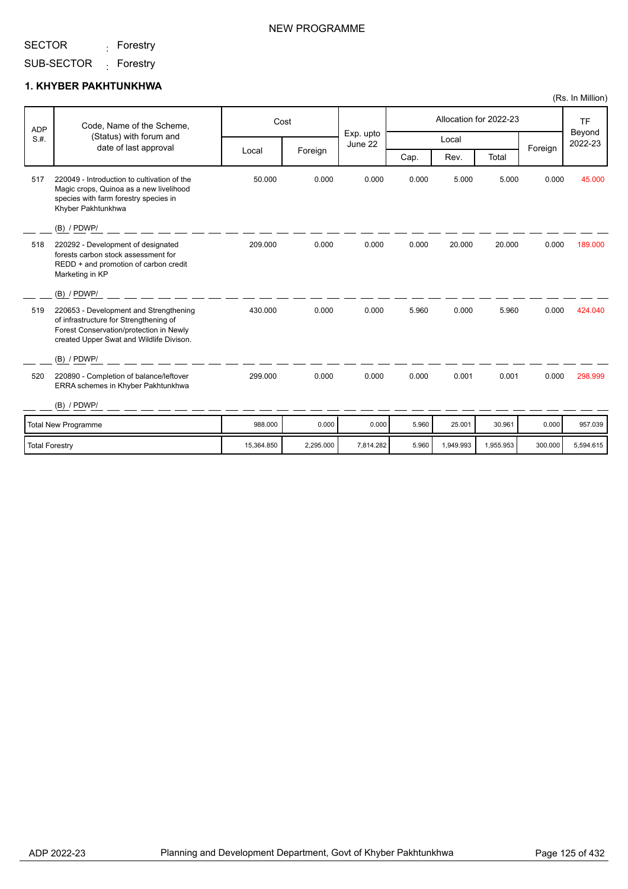<sub>:</sub> Forestry

SUB-SECTOR <sub>:</sub> Forestry

### **1. KHYBER PAKHTUNKHWA**

| <b>ADP</b>            | Code, Name of the Scheme,                                                                                                                                               |            | Cost      |                      |       |           | Allocation for 2022-23 |         | <b>TF</b>         |
|-----------------------|-------------------------------------------------------------------------------------------------------------------------------------------------------------------------|------------|-----------|----------------------|-------|-----------|------------------------|---------|-------------------|
| S.H.                  | (Status) with forum and                                                                                                                                                 |            |           | Exp. upto<br>June 22 |       | Local     |                        |         | Beyond<br>2022-23 |
|                       | date of last approval                                                                                                                                                   | Local      | Foreign   |                      | Cap.  | Rev.      | Total                  | Foreign |                   |
| 517                   | 220049 - Introduction to cultivation of the<br>Magic crops, Quinoa as a new livelihood<br>species with farm forestry species in<br>Khyber Pakhtunkhwa<br>$(B)$ / PDWP/  | 50.000     | 0.000     | 0.000                | 0.000 | 5.000     | 5.000                  | 0.000   | 45.000            |
| 518                   | 220292 - Development of designated<br>forests carbon stock assessment for<br>REDD + and promotion of carbon credit<br>Marketing in KP                                   | 209.000    | 0.000     | 0.000                | 0.000 | 20.000    | 20.000                 | 0.000   | 189.000           |
|                       | $(B)$ / PDWP/                                                                                                                                                           |            |           |                      |       |           |                        |         |                   |
| 519                   | 220653 - Development and Strengthening<br>of infrastructure for Strengthening of<br>Forest Conservation/protection in Newly<br>created Upper Swat and Wildlife Divison. | 430.000    | 0.000     | 0.000                | 5.960 | 0.000     | 5.960                  | 0.000   | 424.040           |
|                       | (B) / PDWP/                                                                                                                                                             |            |           |                      |       |           |                        |         |                   |
| 520                   | 220890 - Completion of balance/leftover<br>ERRA schemes in Khyber Pakhtunkhwa                                                                                           | 299.000    | 0.000     | 0.000                | 0.000 | 0.001     | 0.001                  | 0.000   | 298.999           |
|                       | $(B)$ / PDWP/                                                                                                                                                           |            |           |                      |       |           |                        |         |                   |
|                       | <b>Total New Programme</b>                                                                                                                                              | 988.000    | 0.000     | 0.000                | 5.960 | 25.001    | 30.961                 | 0.000   | 957.039           |
| <b>Total Forestry</b> |                                                                                                                                                                         | 15,364.850 | 2,295.000 | 7,814.282            | 5.960 | 1,949.993 | 1,955.953              | 300.000 | 5,594.615         |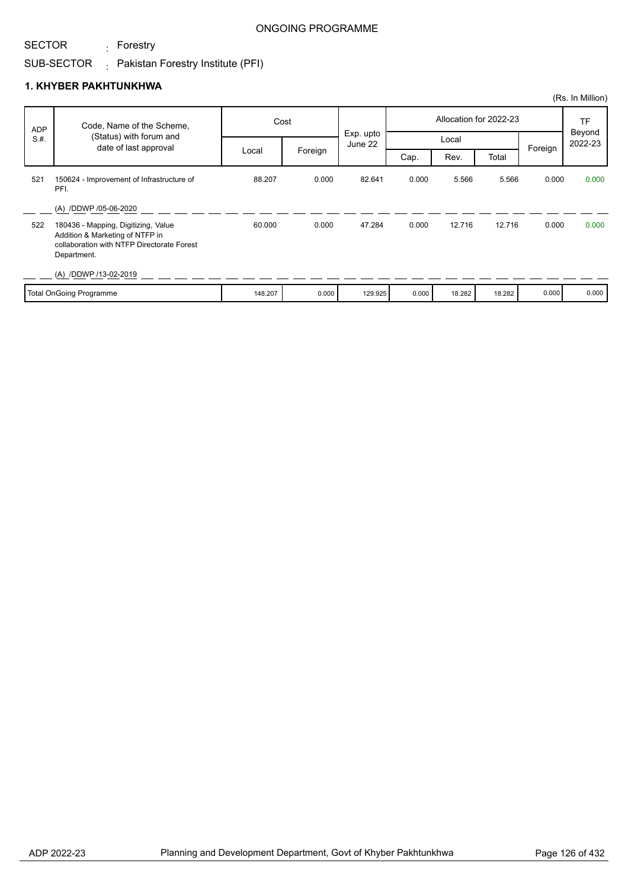<sub>:</sub> Forestry

### ONGOING PROGRAMME

## SUB-SECTOR  $\qquad \vdots$  Pakistan Forestry Institute (PFI)

### **1. KHYBER PAKHTUNKHWA**

|            |                                                                                                                                     |         |         |                      |                        |        |        |         | (Rs. In Million)    |
|------------|-------------------------------------------------------------------------------------------------------------------------------------|---------|---------|----------------------|------------------------|--------|--------|---------|---------------------|
| <b>ADP</b> | Code, Name of the Scheme,                                                                                                           |         | Cost    |                      | Allocation for 2022-23 |        |        |         | <b>TF</b><br>Beyond |
| S.H.       | (Status) with forum and<br>date of last approval                                                                                    |         |         | Exp. upto<br>June 22 | Local                  |        |        | Foreign | 2022-23             |
|            |                                                                                                                                     | Local   | Foreign |                      | Cap.                   | Rev.   | Total  |         |                     |
| 521        | 150624 - Improvement of Infrastructure of<br>PFI.                                                                                   | 88.207  | 0.000   | 82.641               | 0.000                  | 5.566  | 5.566  | 0.000   | 0.000               |
|            | (A) /DDWP /05-06-2020                                                                                                               |         |         |                      |                        |        |        |         |                     |
| 522        | 180436 - Mapping, Digitizing, Value<br>Addition & Marketing of NTFP in<br>collaboration with NTFP Directorate Forest<br>Department. | 60.000  | 0.000   | 47.284               | 0.000                  | 12.716 | 12.716 | 0.000   | 0.000               |
|            | (A) /DDWP /13-02-2019                                                                                                               |         |         |                      |                        |        |        |         |                     |
|            | <b>Total OnGoing Programme</b>                                                                                                      | 148.207 | 0.000   | 129.925              | 0.000                  | 18.282 | 18.282 | 0.000   | 0.000               |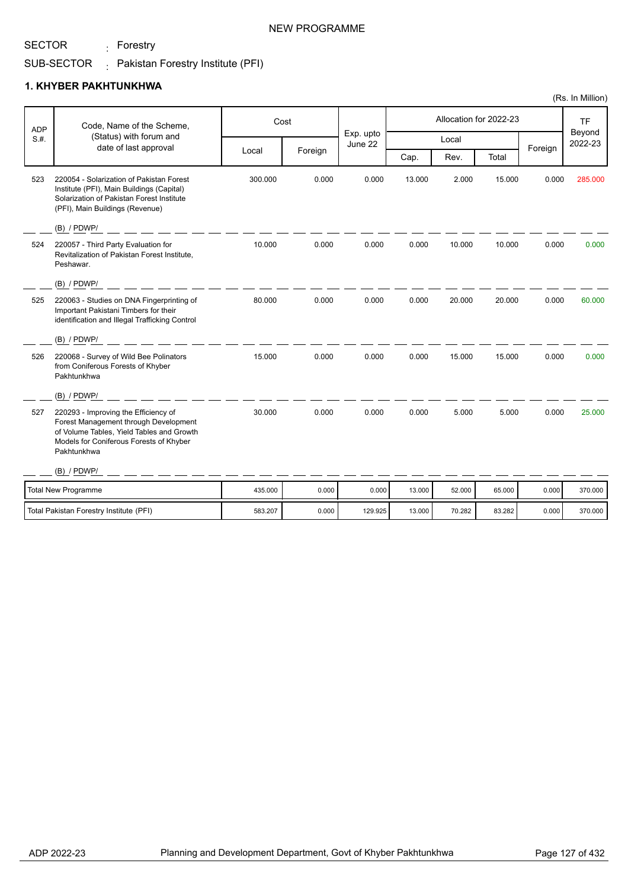<sub>:</sub> Forestry

#### SUB-SECTOR  $\colon$  Pakistan Forestry Institute (PFI)

### **1. KHYBER PAKHTUNKHWA**

|            |                                                                                                                                                                                      |         |         |                      |        |        |                        |         | (Rs. In Million)               |
|------------|--------------------------------------------------------------------------------------------------------------------------------------------------------------------------------------|---------|---------|----------------------|--------|--------|------------------------|---------|--------------------------------|
| <b>ADP</b> | Code, Name of the Scheme,                                                                                                                                                            |         | Cost    |                      |        |        | Allocation for 2022-23 |         | <b>TF</b><br>Beyond<br>2022-23 |
| S.H.       | (Status) with forum and<br>date of last approval                                                                                                                                     |         |         | Exp. upto<br>June 22 |        | Local  |                        |         |                                |
|            |                                                                                                                                                                                      | Local   | Foreign |                      | Cap.   | Rev.   | Total                  | Foreign |                                |
| 523        | 220054 - Solarization of Pakistan Forest<br>Institute (PFI), Main Buildings (Capital)<br>Solarization of Pakistan Forest Institute<br>(PFI), Main Buildings (Revenue)                | 300.000 | 0.000   | 0.000                | 13.000 | 2.000  | 15.000                 | 0.000   | 285.000                        |
|            | (B) / PDWP/                                                                                                                                                                          |         |         |                      |        |        |                        |         |                                |
| 524        | 220057 - Third Party Evaluation for<br>Revitalization of Pakistan Forest Institute,<br>Peshawar.                                                                                     | 10.000  | 0.000   | 0.000                | 0.000  | 10.000 | 10.000                 | 0.000   | 0.000                          |
|            | (B) / PDWP/                                                                                                                                                                          |         |         |                      |        |        |                        |         |                                |
| 525        | 220063 - Studies on DNA Fingerprinting of<br>Important Pakistani Timbers for their<br>identification and Illegal Trafficking Control                                                 | 80.000  | 0.000   | 0.000                | 0.000  | 20.000 | 20.000                 | 0.000   | 60.000                         |
|            | (B) / PDWP/                                                                                                                                                                          |         |         |                      |        |        |                        |         |                                |
| 526        | 220068 - Survey of Wild Bee Polinators<br>from Coniferous Forests of Khyber<br>Pakhtunkhwa                                                                                           | 15.000  | 0.000   | 0.000                | 0.000  | 15.000 | 15.000                 | 0.000   | 0.000                          |
|            | (B) / PDWP/                                                                                                                                                                          |         |         |                      |        |        |                        |         |                                |
| 527        | 220293 - Improving the Efficiency of<br>Forest Management through Development<br>of Volume Tables, Yield Tables and Growth<br>Models for Coniferous Forests of Khyber<br>Pakhtunkhwa | 30.000  | 0.000   | 0.000                | 0.000  | 5.000  | 5.000                  | 0.000   | 25.000                         |
|            | (B) / PDWP/                                                                                                                                                                          |         |         |                      |        |        |                        |         |                                |
|            | <b>Total New Programme</b>                                                                                                                                                           | 435.000 | 0.000   | 0.000                | 13.000 | 52.000 | 65.000                 | 0.000   | 370.000                        |
|            | Total Pakistan Forestry Institute (PFI)                                                                                                                                              | 583.207 | 0.000   | 129.925              | 13.000 | 70.282 | 83.282                 | 0.000   | 370.000                        |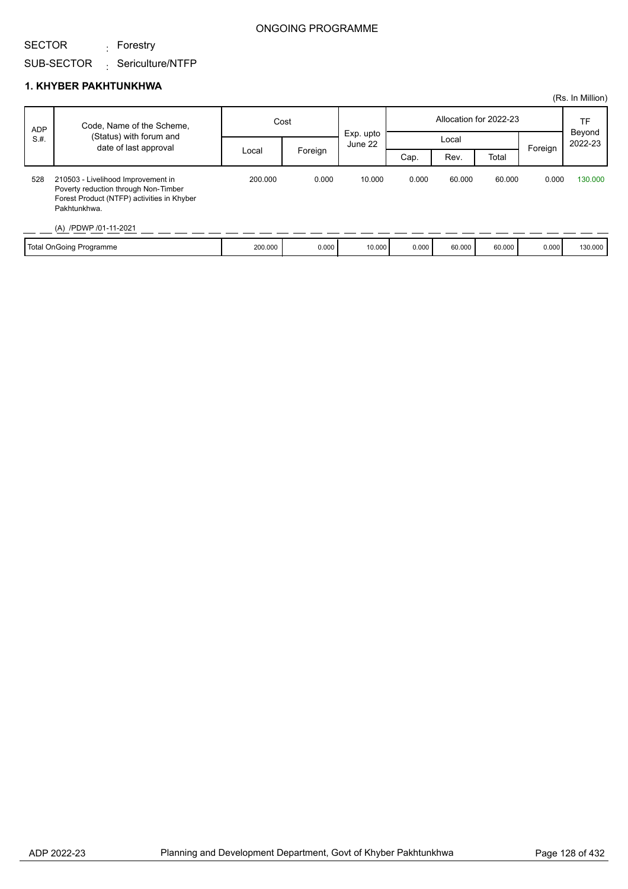## SUB-SECTOR Sericulture/NTFP <sub>:</sub> Forestry

### **1. KHYBER PAKHTUNKHWA**

|            |                                                                                                                                                                   |         |         |                      |                        |        |        |         | (Rs. In Million)  |
|------------|-------------------------------------------------------------------------------------------------------------------------------------------------------------------|---------|---------|----------------------|------------------------|--------|--------|---------|-------------------|
| <b>ADP</b> | Code, Name of the Scheme,                                                                                                                                         | Cost    |         |                      | Allocation for 2022-23 |        |        |         | <b>TF</b>         |
| S.H.       | (Status) with forum and<br>date of last approval                                                                                                                  |         |         | Exp. upto<br>June 22 | Local                  |        |        |         | Beyond<br>2022-23 |
|            |                                                                                                                                                                   | Local   | Foreign |                      | Cap.                   | Rev.   | Total  | Foreign |                   |
| 528        | 210503 - Livelihood Improvement in<br>Poverty reduction through Non-Timber<br>Forest Product (NTFP) activities in Khyber<br>Pakhtunkhwa.<br>(A) /PDWP /01-11-2021 | 200.000 | 0.000   | 10.000               | 0.000                  | 60.000 | 60.000 | 0.000   | 130,000           |
|            | Total OnGoing Programme                                                                                                                                           | 200.000 | 0.000   | 10.000               | 0.000                  | 60.000 | 60.000 | 0.000   | 130.000           |

## SECTOR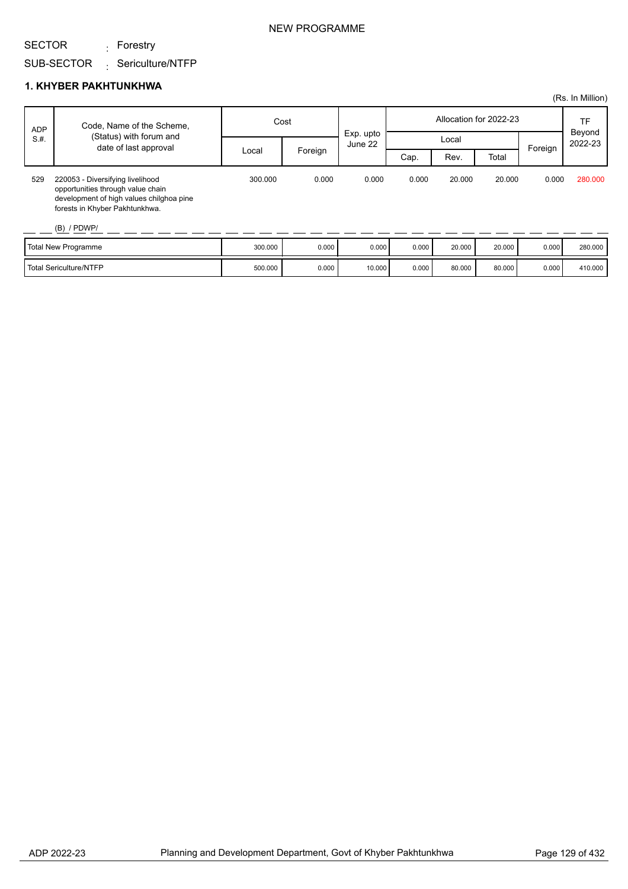<sub>:</sub> Forestry

#### SUB-SECTOR Sericulture/NTFP :

### **1. KHYBER PAKHTUNKHWA**

|            |                                                                                                                                                                      |         |         |                      |       |                        |        |         | (Rs. In Million)  |
|------------|----------------------------------------------------------------------------------------------------------------------------------------------------------------------|---------|---------|----------------------|-------|------------------------|--------|---------|-------------------|
| <b>ADP</b> | Code, Name of the Scheme,                                                                                                                                            | Cost    |         |                      |       | Allocation for 2022-23 |        | TF      |                   |
| S.H.       | (Status) with forum and<br>date of last approval                                                                                                                     |         |         | Exp. upto<br>June 22 | Local |                        |        |         | Beyond<br>2022-23 |
|            |                                                                                                                                                                      | Local   | Foreign |                      | Cap.  | Rev.                   | Total  | Foreign |                   |
| 529        | 220053 - Diversifying livelihood<br>opportunities through value chain<br>development of high values chilghoa pine<br>forests in Khyber Pakhtunkhwa.<br>$(B)$ / PDWP/ | 300.000 | 0.000   | 0.000                | 0.000 | 20.000                 | 20.000 | 0.000   | 280,000           |
|            | Total New Programme                                                                                                                                                  | 300.000 | 0.000   | 0.000                | 0.000 | 20.000                 | 20.000 | 0.000   | 280.000           |

Total Sericulture/NTFP 10000 0.000 0.000 0.000 0.000 0.000 0.000 80.000 0.000 0.000 410.000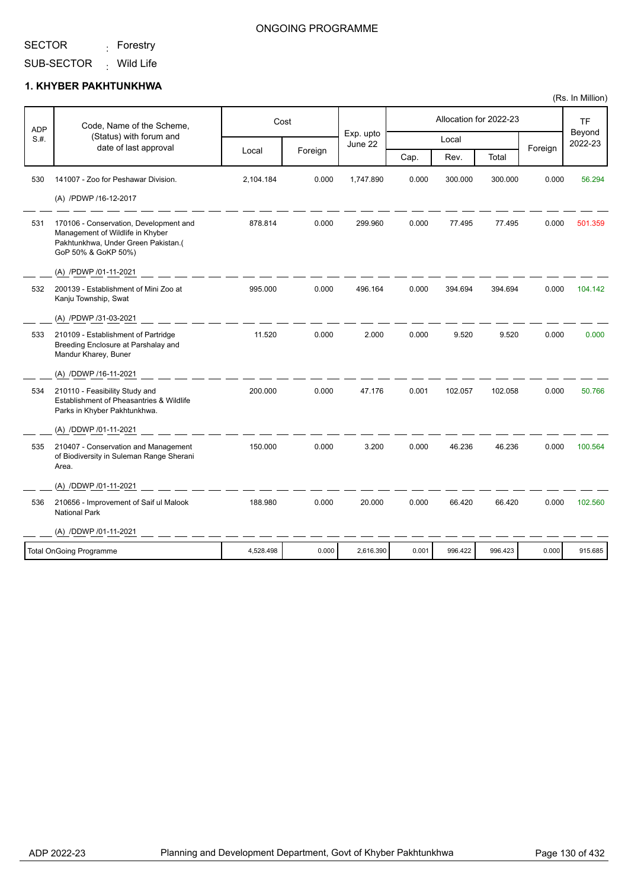<sub>:</sub> Forestry

### ONGOING PROGRAMME

SUB-SECTOR <sub>:</sub> Wild Life

### **1. KHYBER PAKHTUNKHWA**

| <b>ADP</b> | Code, Name of the Scheme,                                                                                                                |           | Cost    | Exp. upto |       |         | Allocation for 2022-23 |         | <b>TF</b>         |
|------------|------------------------------------------------------------------------------------------------------------------------------------------|-----------|---------|-----------|-------|---------|------------------------|---------|-------------------|
| S.#.       | (Status) with forum and<br>date of last approval                                                                                         |           |         | June 22   |       | Local   |                        | Foreign | Beyond<br>2022-23 |
|            |                                                                                                                                          | Local     | Foreign |           | Cap.  | Rev.    | Total                  |         |                   |
| 530        | 141007 - Zoo for Peshawar Division.                                                                                                      | 2,104.184 | 0.000   | 1,747.890 | 0.000 | 300.000 | 300.000                | 0.000   | 56.294            |
|            | (A) /PDWP /16-12-2017                                                                                                                    |           |         |           |       |         |                        |         |                   |
| 531        | 170106 - Conservation, Development and<br>Management of Wildlife in Khyber<br>Pakhtunkhwa, Under Green Pakistan.(<br>GoP 50% & GoKP 50%) | 878.814   | 0.000   | 299.960   | 0.000 | 77.495  | 77.495                 | 0.000   | 501.359           |
|            | (A) /PDWP /01-11-2021                                                                                                                    |           |         |           |       |         |                        |         |                   |
| 532        | 200139 - Establishment of Mini Zoo at<br>Kanju Township, Swat                                                                            | 995.000   | 0.000   | 496.164   | 0.000 | 394.694 | 394.694                | 0.000   | 104.142           |
|            | (A) /PDWP /31-03-2021                                                                                                                    |           |         |           |       |         |                        |         |                   |
| 533        | 210109 - Establishment of Partridge<br>Breeding Enclosure at Parshalay and<br>Mandur Kharey, Buner                                       | 11.520    | 0.000   | 2.000     | 0.000 | 9.520   | 9.520                  | 0.000   | 0.000             |
|            | (A) /DDWP /16-11-2021                                                                                                                    |           |         |           |       |         |                        |         |                   |
| 534        | 210110 - Feasibility Study and<br>Establishment of Pheasantries & Wildlife<br>Parks in Khyber Pakhtunkhwa.                               | 200.000   | 0.000   | 47.176    | 0.001 | 102.057 | 102.058                | 0.000   | 50.766            |
|            | (A) /DDWP /01-11-2021                                                                                                                    |           |         |           |       |         |                        |         |                   |
| 535        | 210407 - Conservation and Management<br>of Biodiversity in Suleman Range Sherani<br>Area.                                                | 150.000   | 0.000   | 3.200     | 0.000 | 46.236  | 46.236                 | 0.000   | 100.564           |
|            | (A) /DDWP /01-11-2021                                                                                                                    |           |         |           |       |         |                        |         |                   |
| 536        | 210656 - Improvement of Saif ul Malook<br><b>National Park</b>                                                                           | 188.980   | 0.000   | 20.000    | 0.000 | 66.420  | 66.420                 | 0.000   | 102.560           |
|            | (A) /DDWP /01-11-2021                                                                                                                    |           |         |           |       |         |                        |         |                   |
|            | <b>Total OnGoing Programme</b>                                                                                                           | 4,528.498 | 0.000   | 2,616.390 | 0.001 | 996.422 | 996.423                | 0.000   | 915.685           |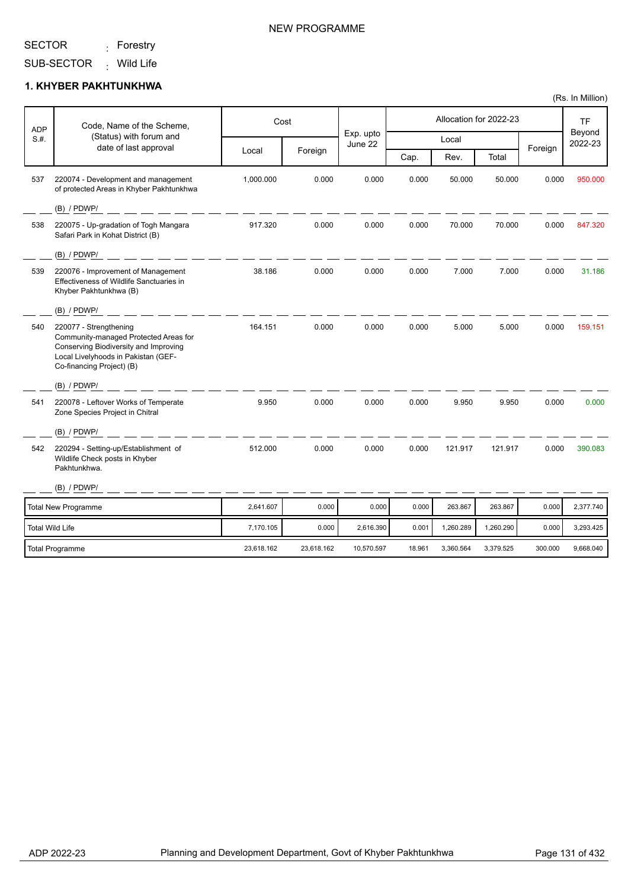#### SECTOR <sub>:</sub> Forestry

SUB-SECTOR <sub>:</sub> Wild Life

### **1. KHYBER PAKHTUNKHWA**

| <b>ADP</b>      | Code, Name of the Scheme,                                                                                                                                                    |            | Cost       | Exp. upto  |        |           | Allocation for 2022-23 |         | <b>TF</b><br>Beyond<br>2022-23 |
|-----------------|------------------------------------------------------------------------------------------------------------------------------------------------------------------------------|------------|------------|------------|--------|-----------|------------------------|---------|--------------------------------|
| S.H.            | (Status) with forum and                                                                                                                                                      |            |            | June 22    |        | Local     |                        |         |                                |
|                 | date of last approval                                                                                                                                                        | Local      | Foreign    |            | Cap.   | Rev.      | Total                  | Foreign |                                |
| 537             | 220074 - Development and management<br>of protected Areas in Khyber Pakhtunkhwa                                                                                              | 1,000.000  | 0.000      | 0.000      | 0.000  | 50.000    | 50.000                 | 0.000   | 950.000                        |
|                 | $(B)$ / PDWP/                                                                                                                                                                |            |            |            |        |           |                        |         |                                |
| 538             | 220075 - Up-gradation of Togh Mangara<br>Safari Park in Kohat District (B)                                                                                                   | 917.320    | 0.000      | 0.000      | 0.000  | 70.000    | 70.000                 | 0.000   | 847.320                        |
|                 | $(B)$ / PDWP/                                                                                                                                                                |            |            |            |        |           |                        |         |                                |
| 539             | 220076 - Improvement of Management<br>Effectiveness of Wildlife Sanctuaries in<br>Khyber Pakhtunkhwa (B)                                                                     | 38.186     | 0.000      | 0.000      | 0.000  | 7.000     | 7.000                  | 0.000   | 31.186                         |
|                 | $(B)$ / PDWP/                                                                                                                                                                |            |            |            |        |           |                        |         |                                |
| 540             | 220077 - Strengthening<br>Community-managed Protected Areas for<br>Conserving Biodiversity and Improving<br>Local Livelyhoods in Pakistan (GEF-<br>Co-financing Project) (B) | 164.151    | 0.000      | 0.000      | 0.000  | 5.000     | 5.000                  | 0.000   | 159.151                        |
|                 | $(B)$ / PDWP/                                                                                                                                                                |            |            |            |        |           |                        |         |                                |
| 541             | 220078 - Leftover Works of Temperate<br>Zone Species Project in Chitral                                                                                                      | 9.950      | 0.000      | 0.000      | 0.000  | 9.950     | 9.950                  | 0.000   | 0.000                          |
|                 | $(B)$ / PDWP/                                                                                                                                                                |            |            |            |        |           |                        |         |                                |
| 542             | 220294 - Setting-up/Establishment of<br>Wildlife Check posts in Khyber<br>Pakhtunkhwa.                                                                                       | 512.000    | 0.000      | 0.000      | 0.000  | 121.917   | 121.917                | 0.000   | 390.083                        |
|                 | $(B)$ / PDWP/                                                                                                                                                                |            |            |            |        |           |                        |         |                                |
|                 | <b>Total New Programme</b>                                                                                                                                                   | 2,641.607  | 0.000      | 0.000      | 0.000  | 263.867   | 263.867                | 0.000   | 2,377.740                      |
| Total Wild Life |                                                                                                                                                                              | 7,170.105  | 0.000      | 2,616.390  | 0.001  | 1,260.289 | 1,260.290              | 0.000   | 3,293.425                      |
|                 | <b>Total Programme</b>                                                                                                                                                       | 23,618.162 | 23,618.162 | 10,570.597 | 18.961 | 3,360.564 | 3,379.525              | 300.000 | 9,668.040                      |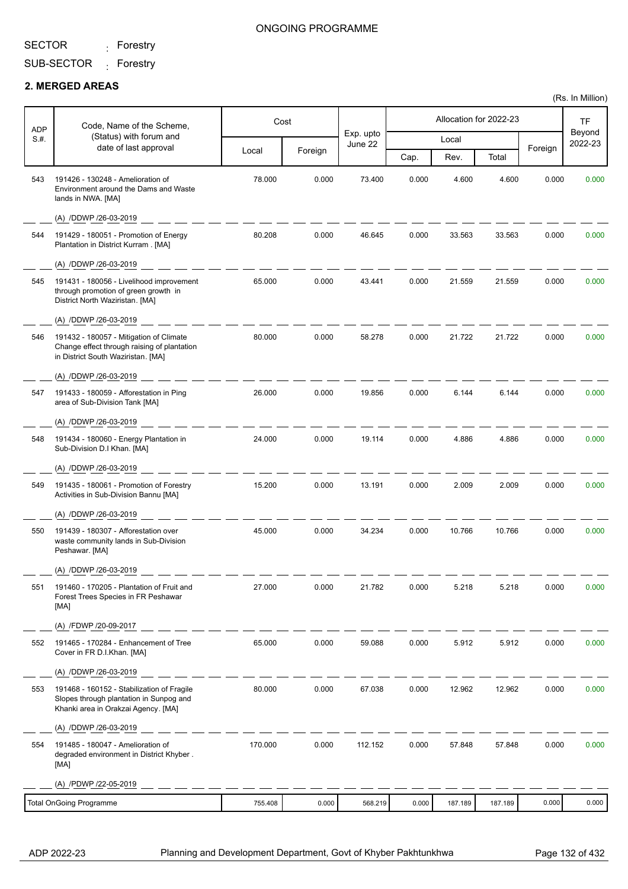<sub>:</sub> Forestry

### ONGOING PROGRAMME

SUB-SECTOR <sub>:</sub> Forestry

### **2. MERGED AREAS**

Ŧ

r

| <b>ADP</b> | Code, Name of the Scheme,                                                                                                    | Cost    |         |                      | Allocation for 2022-23 |         |         |         | <b>TF</b>         |
|------------|------------------------------------------------------------------------------------------------------------------------------|---------|---------|----------------------|------------------------|---------|---------|---------|-------------------|
| S.H.       | (Status) with forum and<br>date of last approval                                                                             |         |         | Exp. upto<br>June 22 |                        | Local   |         | Foreign | Beyond<br>2022-23 |
|            |                                                                                                                              | Local   | Foreign |                      | Cap.                   | Rev.    | Total   |         |                   |
| 543        | 191426 - 130248 - Amelioration of<br>Environment around the Dams and Waste<br>lands in NWA. [MA]                             | 78.000  | 0.000   | 73.400               | 0.000                  | 4.600   | 4.600   | 0.000   | 0.000             |
|            | (A) /DDWP /26-03-2019                                                                                                        |         |         |                      |                        |         |         |         |                   |
| 544        | 191429 - 180051 - Promotion of Energy<br>Plantation in District Kurram . [MA]                                                | 80.208  | 0.000   | 46.645               | 0.000                  | 33.563  | 33.563  | 0.000   | 0.000             |
|            | (A) /DDWP /26-03-2019                                                                                                        |         |         |                      |                        |         |         |         |                   |
| 545        | 191431 - 180056 - Livelihood improvement<br>through promotion of green growth in<br>District North Waziristan. [MA]          | 65.000  | 0.000   | 43.441               | 0.000                  | 21.559  | 21.559  | 0.000   | 0.000             |
|            | (A) /DDWP /26-03-2019                                                                                                        |         |         |                      |                        |         |         |         |                   |
| 546        | 191432 - 180057 - Mitigation of Climate<br>Change effect through raising of plantation<br>in District South Waziristan. [MA] | 80.000  | 0.000   | 58.278               | 0.000                  | 21.722  | 21.722  | 0.000   | 0.000             |
|            | (A) /DDWP /26-03-2019                                                                                                        |         |         |                      |                        |         |         |         |                   |
| 547        | 191433 - 180059 - Afforestation in Ping<br>area of Sub-Division Tank [MA]                                                    | 26.000  | 0.000   | 19.856               | 0.000                  | 6.144   | 6.144   | 0.000   | 0.000             |
|            | (A) /DDWP /26-03-2019                                                                                                        |         |         |                      |                        |         |         |         |                   |
| 548        | 191434 - 180060 - Energy Plantation in<br>Sub-Division D.I Khan. [MA]                                                        | 24.000  | 0.000   | 19.114               | 0.000                  | 4.886   | 4.886   | 0.000   | 0.000             |
|            | (A) /DDWP /26-03-2019                                                                                                        |         |         |                      |                        |         |         |         |                   |
| 549        | 191435 - 180061 - Promotion of Forestry<br>Activities in Sub-Division Bannu [MA]                                             | 15.200  | 0.000   | 13.191               | 0.000                  | 2.009   | 2.009   | 0.000   | 0.000             |
|            | (A) /DDWP /26-03-2019                                                                                                        |         |         |                      |                        |         |         |         |                   |
| 550        | 191439 - 180307 - Afforestation over<br>waste community lands in Sub-Division<br>Peshawar. [MA]                              | 45.000  | 0.000   | 34.234               | 0.000                  | 10.766  | 10.766  | 0.000   | 0.000             |
|            | (A) /DDWP /26-03-2019                                                                                                        |         |         |                      |                        |         |         |         |                   |
| 551        | 191460 - 170205 - Plantation of Fruit and<br>Forest Trees Species in FR Peshawar<br>[MA]                                     | 27.000  | 0.000   | 21.782               | 0.000                  | 5.218   | 5.218   | 0.000   | 0.000             |
|            | (A) /FDWP /20-09-2017                                                                                                        |         |         |                      |                        |         |         |         |                   |
| 552        | 191465 - 170284 - Enhancement of Tree<br>Cover in FR D.I.Khan. [MA]                                                          | 65.000  | 0.000   | 59.088               | 0.000                  | 5.912   | 5.912   | 0.000   | 0.000             |
|            | (A) /DDWP /26-03-2019                                                                                                        |         |         |                      |                        |         |         |         |                   |
| 553        | 191468 - 160152 - Stabilization of Fragile<br>Slopes through plantation in Sunpog and<br>Khanki area in Orakzai Agency. [MA] | 80.000  | 0.000   | 67.038               | 0.000                  | 12.962  | 12.962  | 0.000   | 0.000             |
|            | (A) /DDWP /26-03-2019                                                                                                        |         |         |                      |                        |         |         |         |                   |
| 554        | 191485 - 180047 - Amelioration of<br>degraded environment in District Khyber.<br>[MA]                                        | 170.000 | 0.000   | 112.152              | 0.000                  | 57.848  | 57.848  | 0.000   | 0.000             |
|            | (A) /PDWP /22-05-2019                                                                                                        |         |         |                      |                        |         |         |         |                   |
|            | <b>Total OnGoing Programme</b>                                                                                               | 755.408 | 0.000   | 568.219              | 0.000                  | 187.189 | 187.189 | 0.000   | 0.000             |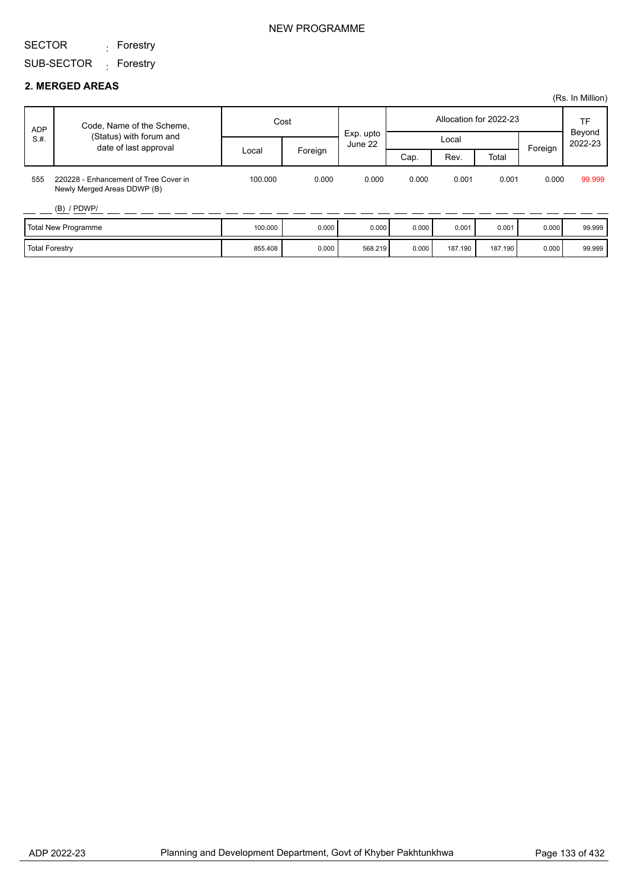<sub>:</sub> Forestry

SUB-SECTOR <sub>:</sub> Forestry

### **2. MERGED AREAS**

|                       |                                                                      |         |         |                      |       |         |                        |         | (Rs. In Million)    |
|-----------------------|----------------------------------------------------------------------|---------|---------|----------------------|-------|---------|------------------------|---------|---------------------|
| <b>ADP</b>            | Code, Name of the Scheme,                                            | Cost    |         |                      |       |         | Allocation for 2022-23 |         | <b>TF</b><br>Beyond |
| S.H.                  | (Status) with forum and<br>date of last approval                     |         |         | Exp. upto<br>June 22 |       | Local   |                        |         | 2022-23             |
|                       |                                                                      | Local   | Foreign |                      | Cap.  | Rev.    | Total                  | Foreign |                     |
| 555                   | 220228 - Enhancement of Tree Cover in<br>Newly Merged Areas DDWP (B) | 100.000 | 0.000   | 0.000                | 0.000 | 0.001   | 0.001                  | 0.000   | 99.999              |
|                       | $(B)$ / PDWP/                                                        |         |         |                      |       |         |                        |         |                     |
|                       | <b>Total New Programme</b>                                           | 100.000 | 0.000   | 0.000                | 0.000 | 0.001   | 0.001                  | 0.000   | 99.999              |
| <b>Total Forestry</b> |                                                                      | 855.408 | 0.000   | 568.219              | 0.000 | 187.190 | 187.190                | 0.000   | 99.999              |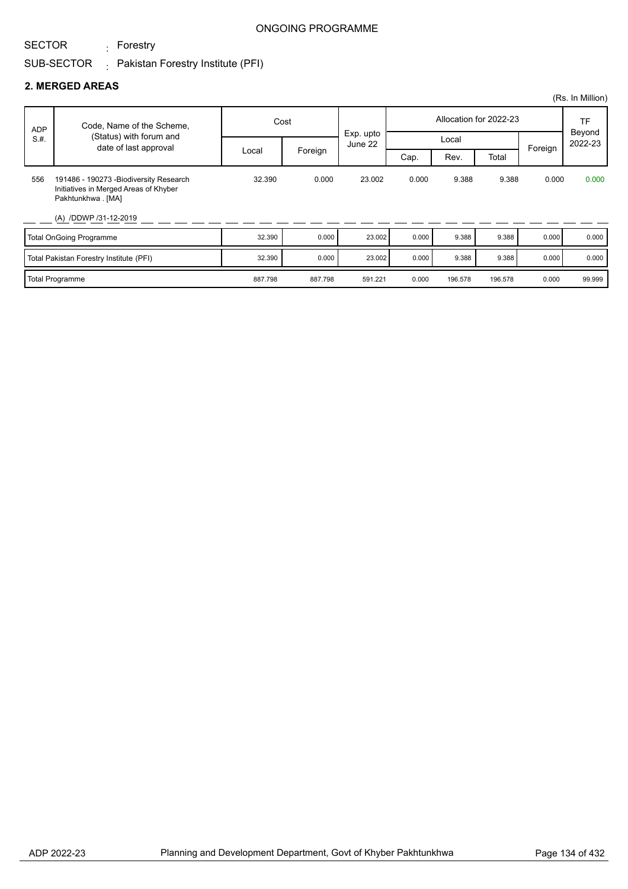<sub>:</sub> Forestry

### ONGOING PROGRAMME

## SUB-SECTOR  $\qquad \vdots$  Pakistan Forestry Institute (PFI)

### **2. MERGED AREAS**

|            |                                                                                                                                 |         |         |                      |       |                        |         |              | (Rs. In Million) |
|------------|---------------------------------------------------------------------------------------------------------------------------------|---------|---------|----------------------|-------|------------------------|---------|--------------|------------------|
| <b>ADP</b> | Code, Name of the Scheme,                                                                                                       | Cost    |         |                      |       | Allocation for 2022-23 |         | TF<br>Beyond |                  |
| S.H.       | (Status) with forum and<br>date of last approval                                                                                |         |         | Exp. upto<br>June 22 |       | Local                  |         | Foreign      | 2022-23          |
|            |                                                                                                                                 | Local   | Foreign |                      | Cap.  | Rev.                   | Total   |              |                  |
| 556        | 191486 - 190273 - Biodiversity Research<br>Initiatives in Merged Areas of Khyber<br>Pakhtunkhwa . [MA]<br>(A) /DDWP /31-12-2019 | 32.390  | 0.000   | 23.002               | 0.000 | 9.388                  | 9.388   | 0.000        | 0.000            |
|            | <b>Total OnGoing Programme</b>                                                                                                  | 32.390  | 0.000   | 23.002               | 0.000 | 9.388                  | 9.388   | 0.000        | 0.000            |
|            | Total Pakistan Forestry Institute (PFI)                                                                                         | 32.390  | 0.000   | 23.002               | 0.000 | 9.388                  | 9.388   | 0.000        | 0.000            |
|            | <b>Total Programme</b>                                                                                                          | 887.798 | 887.798 | 591.221              | 0.000 | 196.578                | 196.578 | 0.000        | 99.999           |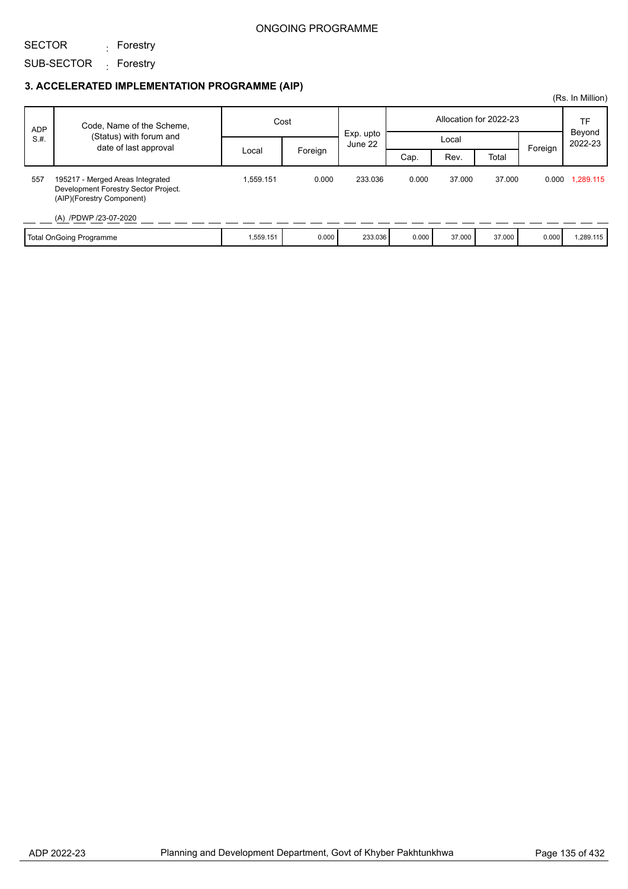SECTOR

SUB-SECTOR <sub>:</sub> Forestry <sub>:</sub> Forestry

|            |                                                                                                       |           |         |                      |       |        |                        |         | (Rs. In Million) |
|------------|-------------------------------------------------------------------------------------------------------|-----------|---------|----------------------|-------|--------|------------------------|---------|------------------|
| <b>ADP</b> | Code, Name of the Scheme,                                                                             | Cost      |         | Exp. upto<br>June 22 |       |        | Allocation for 2022-23 |         | TF<br>Beyond     |
| S.H.       | (Status) with forum and<br>date of last approval                                                      |           |         |                      |       |        | Local                  |         | 2022-23          |
|            |                                                                                                       | Local     | Foreign |                      | Cap.  | Rev.   | Total                  | Foreign |                  |
| 557        | 195217 - Merged Areas Integrated<br>Development Forestry Sector Project.<br>(AIP)(Forestry Component) | 1,559.151 | 0.000   | 233.036              | 0.000 | 37,000 | 37.000                 | 0.000   | 1,289.115        |
|            | (A) /PDWP /23-07-2020                                                                                 |           |         |                      |       |        |                        |         |                  |
|            | Total OnGoing Programme                                                                               | 1,559.151 | 0.000   | 233.036              | 0.000 | 37.000 | 37.000                 | 0.000   | 1,289.115        |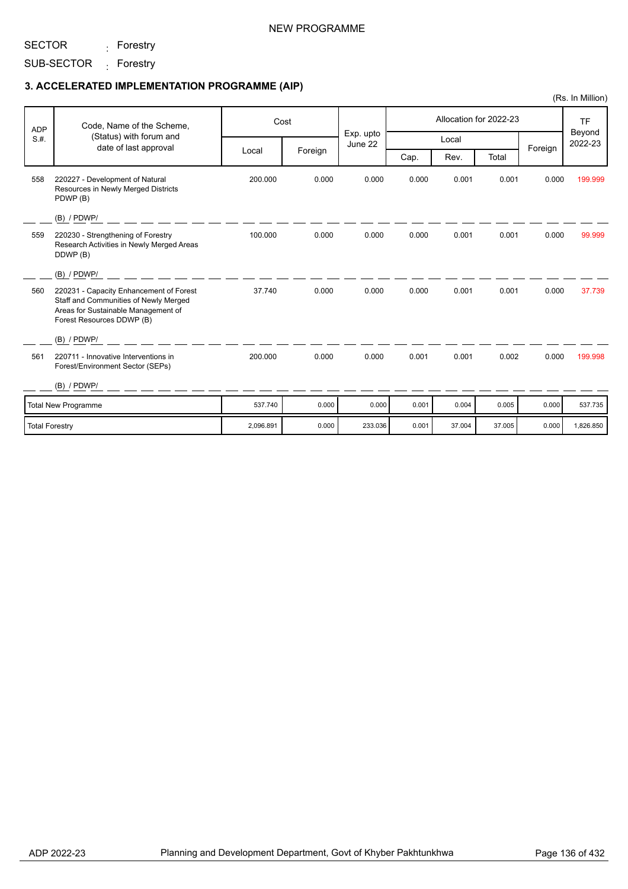### NEW PROGRAMME

SECTOR <sub>:</sub> Forestry

SUB-SECTOR <sub>:</sub> Forestry

|                       |                                                                                                                                                      |           |         |                      |       |        |                        |         | (Rs. In Million)  |
|-----------------------|------------------------------------------------------------------------------------------------------------------------------------------------------|-----------|---------|----------------------|-------|--------|------------------------|---------|-------------------|
| <b>ADP</b>            | Code, Name of the Scheme,                                                                                                                            |           | Cost    |                      |       |        | Allocation for 2022-23 |         | <b>TF</b>         |
| S.H.                  | (Status) with forum and                                                                                                                              |           |         | Exp. upto<br>June 22 |       | Local  |                        |         | Beyond<br>2022-23 |
|                       | date of last approval                                                                                                                                | Local     | Foreign |                      | Cap.  | Rev.   | Total                  | Foreign |                   |
| 558                   | 220227 - Development of Natural<br>Resources in Newly Merged Districts<br>PDWP (B)                                                                   | 200.000   | 0.000   | 0.000                | 0.000 | 0.001  | 0.001                  | 0.000   | 199.999           |
|                       | $(B)$ / PDWP/                                                                                                                                        |           |         |                      |       |        |                        |         |                   |
| 559                   | 220230 - Strengthening of Forestry<br>Research Activities in Newly Merged Areas<br>DDWP (B)                                                          | 100.000   | 0.000   | 0.000                | 0.000 | 0.001  | 0.001                  | 0.000   | 99.999            |
|                       | $(B)$ / PDWP/                                                                                                                                        |           |         |                      |       |        |                        |         |                   |
| 560                   | 220231 - Capacity Enhancement of Forest<br>Staff and Communities of Newly Merged<br>Areas for Sustainable Management of<br>Forest Resources DDWP (B) | 37.740    | 0.000   | 0.000                | 0.000 | 0.001  | 0.001                  | 0.000   | 37.739            |
|                       | $(B)$ / PDWP/                                                                                                                                        |           |         |                      |       |        |                        |         |                   |
| 561                   | 220711 - Innovative Interventions in<br>Forest/Environment Sector (SEPs)                                                                             | 200.000   | 0.000   | 0.000                | 0.001 | 0.001  | 0.002                  | 0.000   | 199.998           |
|                       | $(B)$ / PDWP/                                                                                                                                        |           |         |                      |       |        |                        |         |                   |
|                       | <b>Total New Programme</b>                                                                                                                           | 537.740   | 0.000   | 0.000                | 0.001 | 0.004  | 0.005                  | 0.000   | 537.735           |
| <b>Total Forestry</b> |                                                                                                                                                      | 2,096.891 | 0.000   | 233.036              | 0.001 | 37.004 | 37.005                 | 0.000   | 1,826.850         |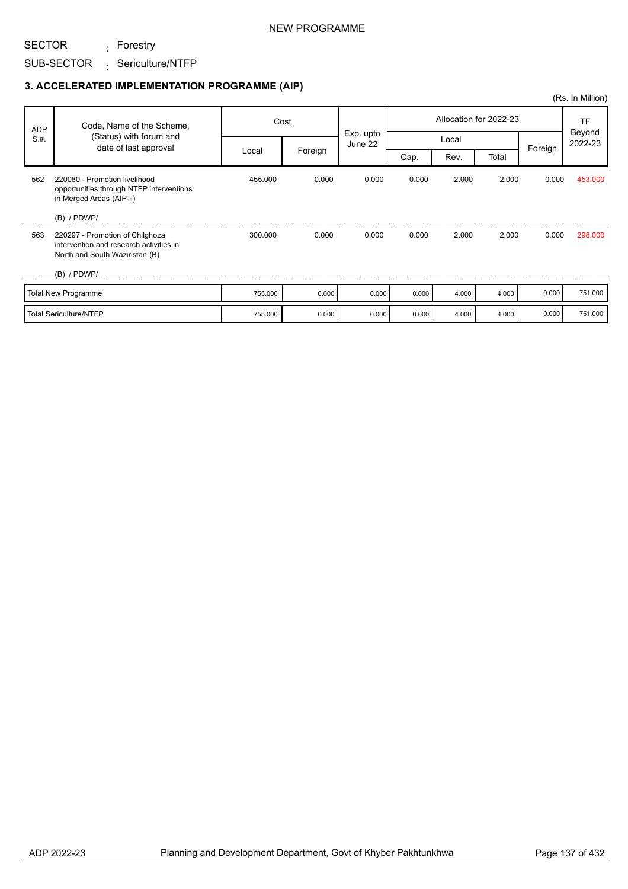### NEW PROGRAMME

## SUB-SECTOR Sericulture/NTFP <sub>:</sub> Forestry

SECTOR

|            |                                                                                                              |         |         |                      |       |       |                        |         | (Rs. In Million)  |
|------------|--------------------------------------------------------------------------------------------------------------|---------|---------|----------------------|-------|-------|------------------------|---------|-------------------|
| <b>ADP</b> | Code, Name of the Scheme,                                                                                    |         | Cost    |                      |       |       | Allocation for 2022-23 |         | <b>TF</b>         |
| S.H.       | (Status) with forum and<br>date of last approval                                                             |         |         | Exp. upto<br>June 22 |       | Local |                        | Foreign | Beyond<br>2022-23 |
|            |                                                                                                              | Local   | Foreign |                      | Cap.  | Rev.  | Total                  |         |                   |
| 562        | 220080 - Promotion livelihood<br>opportunities through NTFP interventions<br>in Merged Areas (AIP-ii)        | 455.000 | 0.000   | 0.000                | 0.000 | 2.000 | 2.000                  | 0.000   | 453.000           |
|            | $(B)$ / PDWP/                                                                                                |         |         |                      |       |       |                        |         |                   |
| 563        | 220297 - Promotion of Chilghoza<br>intervention and research activities in<br>North and South Waziristan (B) | 300.000 | 0.000   | 0.000                | 0.000 | 2.000 | 2.000                  | 0.000   | 298,000           |
|            | $(B)$ / PDWP/                                                                                                |         |         |                      |       |       |                        |         |                   |
|            | <b>Total New Programme</b>                                                                                   | 755.000 | 0.000   | 0.000                | 0.000 | 4.000 | 4.000                  | 0.000   | 751.000           |
|            | <b>Total Sericulture/NTFP</b>                                                                                | 755.000 | 0.000   | 0.000                | 0.000 | 4.000 | 4.000                  | 0.000   | 751.000           |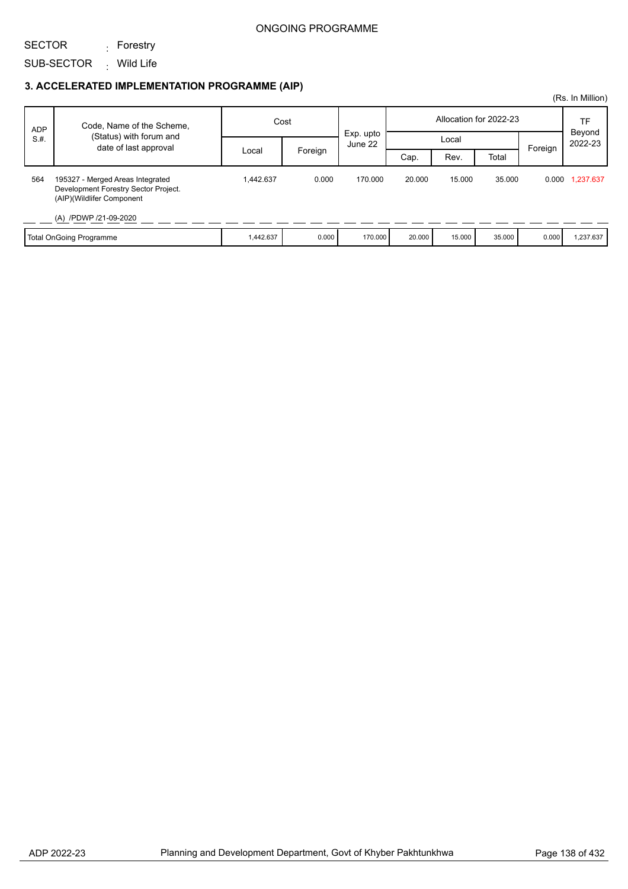SECTOR

SUB-SECTOR <sub>:</sub> Wild Life

### **3. ACCELERATED IMPLEMENTATION PROGRAMME (AIP)**

<sub>:</sub> Forestry

|            |                                                                                                                                |           |         |                      |        |        |                        |         | (Rs. In Million) |
|------------|--------------------------------------------------------------------------------------------------------------------------------|-----------|---------|----------------------|--------|--------|------------------------|---------|------------------|
| <b>ADP</b> | Code, Name of the Scheme,                                                                                                      | Cost      |         | Exp. upto<br>June 22 |        |        | Allocation for 2022-23 |         | TF<br>Beyond     |
| S.H.       | (Status) with forum and<br>date of last approval                                                                               |           |         |                      | Local  |        |                        | 2022-23 |                  |
|            |                                                                                                                                | Local     | Foreign |                      | Cap.   | Rev.   | Total                  | Foreign |                  |
| 564        | 195327 - Merged Areas Integrated<br>Development Forestry Sector Project.<br>(AIP)(Wildlifer Component<br>(A) /PDWP /21-09-2020 | 1,442.637 | 0.000   | 170.000              | 20,000 | 15.000 | 35.000                 |         | 0.000 1,237.637  |
|            | Total OnGoing Programme                                                                                                        | 1,442.637 | 0.000   | 170.000              | 20.000 | 15.000 | 35.000                 | 0.000   | 1,237.637        |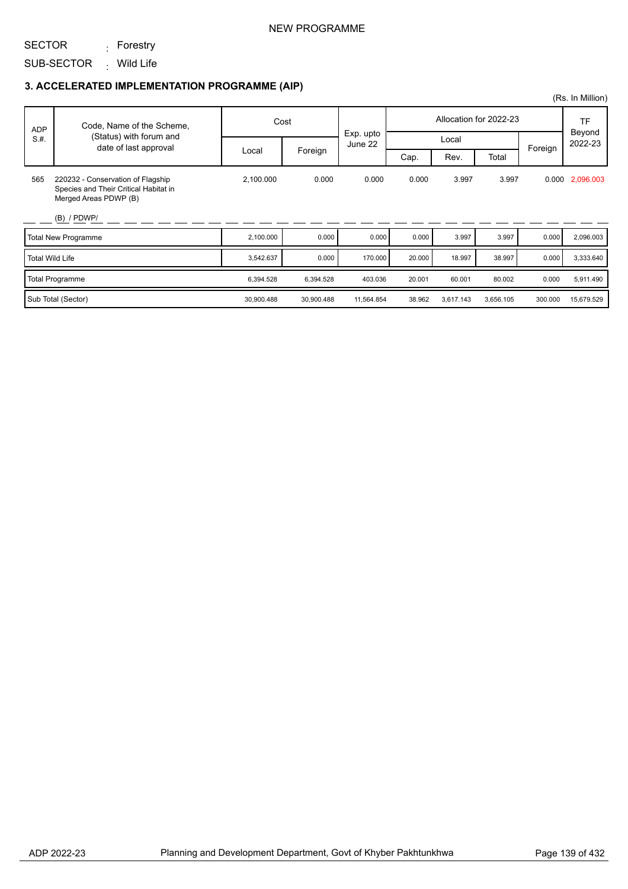### NEW PROGRAMME

SECTOR <sub>:</sub> Forestry

SUB-SECTOR <sub>:</sub> Wild Life

|            |                                                                                                     |            |            |                      |        |           |                        |         | (Rs. In Million)  |
|------------|-----------------------------------------------------------------------------------------------------|------------|------------|----------------------|--------|-----------|------------------------|---------|-------------------|
| <b>ADP</b> | Code, Name of the Scheme,                                                                           |            | Cost       |                      |        |           | Allocation for 2022-23 |         | TF                |
| S.H.       | (Status) with forum and<br>date of last approval                                                    |            |            | Exp. upto<br>June 22 |        | Local     |                        | Foreign | Beyond<br>2022-23 |
|            |                                                                                                     | Local      | Foreign    |                      | Cap.   | Rev.      | Total                  |         |                   |
| 565        | 220232 - Conservation of Flagship<br>Species and Their Critical Habitat in<br>Merged Areas PDWP (B) | 2,100.000  | 0.000      | 0.000                | 0.000  | 3.997     | 3.997                  |         | 0.000 2,096.003   |
|            | $(B)$ / PDWP/                                                                                       |            |            |                      |        |           |                        |         |                   |
|            | <b>Total New Programme</b>                                                                          | 2,100.000  | 0.000      | 0.000                | 0.000  | 3.997     | 3.997                  | 0.000   | 2,096.003         |
|            | <b>Total Wild Life</b>                                                                              | 3,542.637  | 0.000      | 170.000              | 20.000 | 18.997    | 38.997                 | 0.000   | 3,333.640         |
|            | <b>Total Programme</b>                                                                              | 6,394.528  | 6,394.528  | 403.036              | 20.001 | 60.001    | 80.002                 | 0.000   | 5,911.490         |
|            | Sub Total (Sector)                                                                                  | 30,900.488 | 30,900.488 | 11,564.854           | 38.962 | 3,617.143 | 3,656.105              | 300.000 | 15,679.529        |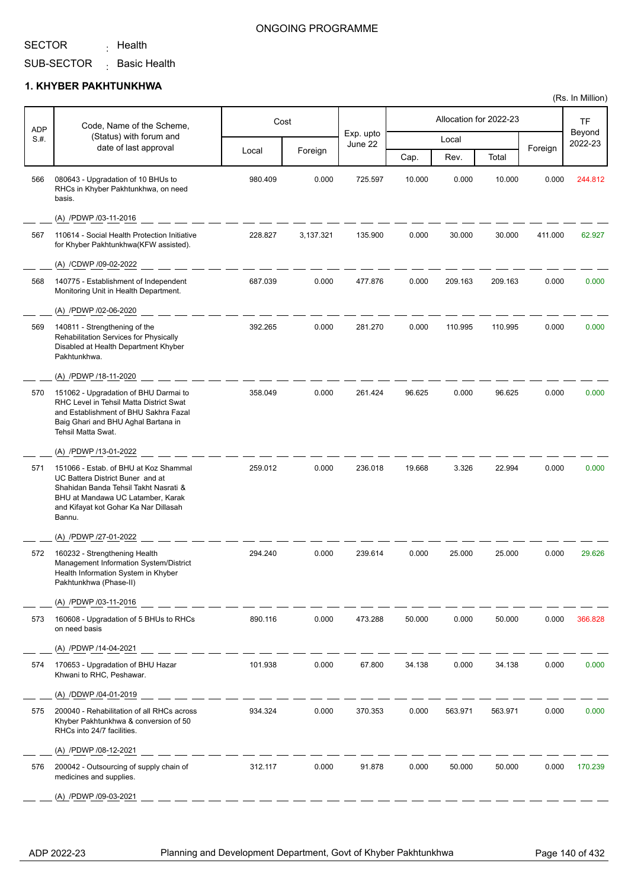<sub>:</sub> Health

### ONGOING PROGRAMME

SUB-SECTOR  $\,$  Basic Health

### **1. KHYBER PAKHTUNKHWA**

| <b>ADP</b> | Code, Name of the Scheme,                                                                                                                                                                                  |         | Cost      |                      |        | Allocation for 2022-23 |         |         | <b>TF</b>         |
|------------|------------------------------------------------------------------------------------------------------------------------------------------------------------------------------------------------------------|---------|-----------|----------------------|--------|------------------------|---------|---------|-------------------|
| S.H.       | (Status) with forum and<br>date of last approval                                                                                                                                                           |         |           | Exp. upto<br>June 22 |        | Local                  |         |         | Beyond<br>2022-23 |
|            |                                                                                                                                                                                                            | Local   | Foreign   |                      | Cap.   | Rev.                   | Total   | Foreign |                   |
| 566        | 080643 - Upgradation of 10 BHUs to<br>RHCs in Khyber Pakhtunkhwa, on need<br>basis.                                                                                                                        | 980.409 | 0.000     | 725.597              | 10.000 | 0.000                  | 10.000  | 0.000   | 244.812           |
|            | (A) /PDWP /03-11-2016                                                                                                                                                                                      |         |           |                      |        |                        |         |         |                   |
| 567        | 110614 - Social Health Protection Initiative<br>for Khyber Pakhtunkhwa(KFW assisted).                                                                                                                      | 228.827 | 3,137.321 | 135.900              | 0.000  | 30.000                 | 30.000  | 411.000 | 62.927            |
|            | (A) /CDWP /09-02-2022                                                                                                                                                                                      |         |           |                      |        |                        |         |         |                   |
| 568        | 140775 - Establishment of Independent<br>Monitoring Unit in Health Department.                                                                                                                             | 687.039 | 0.000     | 477.876              | 0.000  | 209.163                | 209.163 | 0.000   | 0.000             |
|            | (A) /PDWP /02-06-2020                                                                                                                                                                                      |         |           |                      |        |                        |         |         |                   |
| 569        | 140811 - Strengthening of the<br>Rehabilitation Services for Physically<br>Disabled at Health Department Khyber<br>Pakhtunkhwa.                                                                            | 392.265 | 0.000     | 281.270              | 0.000  | 110.995                | 110.995 | 0.000   | 0.000             |
|            | (A) /PDWP /18-11-2020                                                                                                                                                                                      |         |           |                      |        |                        |         |         |                   |
| 570        | 151062 - Upgradation of BHU Darmai to<br>RHC Level in Tehsil Matta District Swat<br>and Establishment of BHU Sakhra Fazal<br>Baig Ghari and BHU Aghal Bartana in<br>Tehsil Matta Swat.                     | 358.049 | 0.000     | 261.424              | 96.625 | 0.000                  | 96.625  | 0.000   | 0.000             |
|            | (A) /PDWP /13-01-2022                                                                                                                                                                                      |         |           |                      |        |                        |         |         |                   |
| 571        | 151066 - Estab. of BHU at Koz Shammal<br>UC Battera District Buner and at<br>Shahidan Banda Tehsil Takht Nasrati &<br>BHU at Mandawa UC Latamber, Karak<br>and Kifayat kot Gohar Ka Nar Dillasah<br>Bannu. | 259.012 | 0.000     | 236.018              | 19.668 | 3.326                  | 22.994  | 0.000   | 0.000             |
|            | (A) /PDWP /27-01-2022                                                                                                                                                                                      |         |           |                      |        |                        |         |         |                   |
| 572        | 160232 - Strengthening Health<br>Management Information System/District<br>Health Information System in Khyber<br>Pakhtunkhwa (Phase-II)                                                                   | 294.240 | 0.000     | 239.614              | 0.000  | 25.000                 | 25.000  | 0.000   | 29.626            |
|            | (A) /PDWP /03-11-2016                                                                                                                                                                                      |         |           |                      |        |                        |         |         |                   |
| 573        | 160608 - Upgradation of 5 BHUs to RHCs<br>on need basis                                                                                                                                                    | 890.116 | 0.000     | 473.288              | 50.000 | 0.000                  | 50.000  | 0.000   | 366.828           |
|            | (A) /PDWP /14-04-2021                                                                                                                                                                                      |         |           |                      |        |                        |         |         |                   |
| 574        | 170653 - Upgradation of BHU Hazar<br>Khwani to RHC, Peshawar.                                                                                                                                              | 101.938 | 0.000     | 67.800               | 34.138 | 0.000                  | 34.138  | 0.000   | 0.000             |
|            | (A) /DDWP /04-01-2019                                                                                                                                                                                      |         |           |                      |        |                        |         |         |                   |
| 575        | 200040 - Rehabilitation of all RHCs across<br>Khyber Pakhtunkhwa & conversion of 50<br>RHCs into 24/7 facilities.                                                                                          | 934.324 | 0.000     | 370.353              | 0.000  | 563.971                | 563.971 | 0.000   | 0.000             |
|            | (A) /PDWP /08-12-2021                                                                                                                                                                                      |         |           |                      |        |                        |         |         |                   |
| 576        | 200042 - Outsourcing of supply chain of<br>medicines and supplies.                                                                                                                                         | 312.117 | 0.000     | 91.878               | 0.000  | 50.000                 | 50.000  | 0.000   | 170.239           |
|            | (A) /PDWP /09-03-2021                                                                                                                                                                                      |         |           |                      |        |                        |         |         |                   |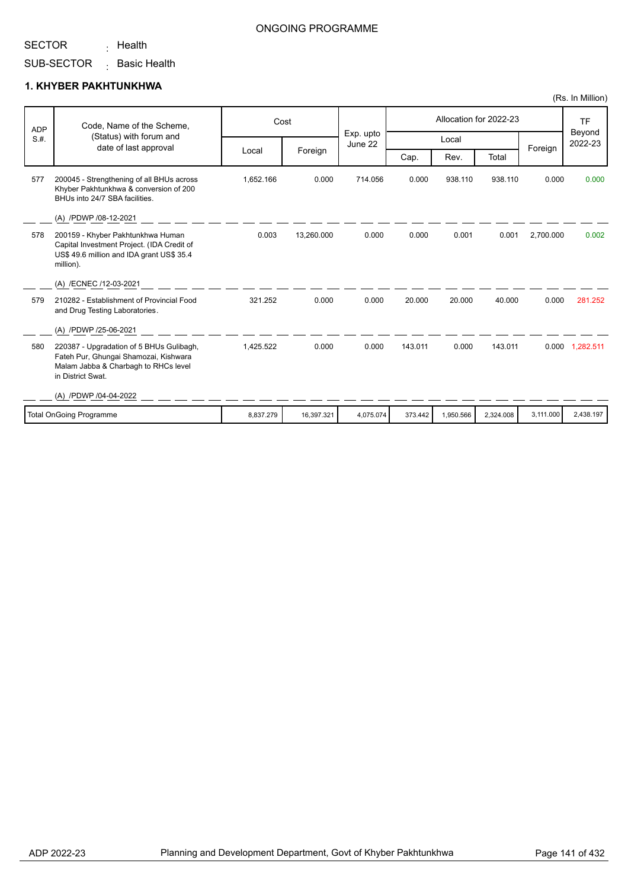<sub>:</sub> Health

SUB-SECTOR <sub>:</sub> Basic Health

### **1. KHYBER PAKHTUNKHWA**

|      | Code, Name of the Scheme,<br><b>ADP</b>                                                                                                                                 |           | Cost       |                      |         |           | Allocation for 2022-23 |           | <b>TF</b><br>Beyond |
|------|-------------------------------------------------------------------------------------------------------------------------------------------------------------------------|-----------|------------|----------------------|---------|-----------|------------------------|-----------|---------------------|
| S.H. | (Status) with forum and<br>date of last approval                                                                                                                        |           |            | Exp. upto<br>June 22 |         | Local     |                        |           | 2022-23             |
|      |                                                                                                                                                                         | Local     | Foreign    |                      | Cap.    | Rev.      | Total                  | Foreign   |                     |
| 577  | 200045 - Strengthening of all BHUs across<br>Khyber Pakhtunkhwa & conversion of 200<br>BHUs into 24/7 SBA facilities.                                                   | 1,652.166 | 0.000      | 714.056              | 0.000   | 938.110   | 938.110                | 0.000     | 0.000               |
|      | (A) /PDWP /08-12-2021                                                                                                                                                   |           |            |                      |         |           |                        |           |                     |
| 578  | 200159 - Khyber Pakhtunkhwa Human<br>Capital Investment Project. (IDA Credit of<br>US\$ 49.6 million and IDA grant US\$ 35.4<br>million).                               | 0.003     | 13,260.000 | 0.000                | 0.000   | 0.001     | 0.001                  | 2,700.000 | 0.002               |
|      | (A) /ECNEC /12-03-2021                                                                                                                                                  |           |            |                      |         |           |                        |           |                     |
| 579  | 210282 - Establishment of Provincial Food<br>and Drug Testing Laboratories.                                                                                             | 321.252   | 0.000      | 0.000                | 20.000  | 20.000    | 40.000                 | 0.000     | 281.252             |
|      | (A) /PDWP /25-06-2021                                                                                                                                                   |           |            |                      |         |           |                        |           |                     |
| 580  | 220387 - Upgradation of 5 BHUs Gulibagh,<br>Fateh Pur, Ghungai Shamozai, Kishwara<br>Malam Jabba & Charbagh to RHCs level<br>in District Swat.<br>(A) /PDWP /04-04-2022 | 1,425.522 | 0.000      | 0.000                | 143.011 | 0.000     | 143.011                |           | 0.000 1,282.511     |
|      |                                                                                                                                                                         |           |            |                      |         |           |                        |           |                     |
|      | <b>Total OnGoing Programme</b>                                                                                                                                          | 8,837.279 | 16,397.321 | 4,075.074            | 373.442 | 1,950.566 | 2,324.008              | 3,111.000 | 2,438.197           |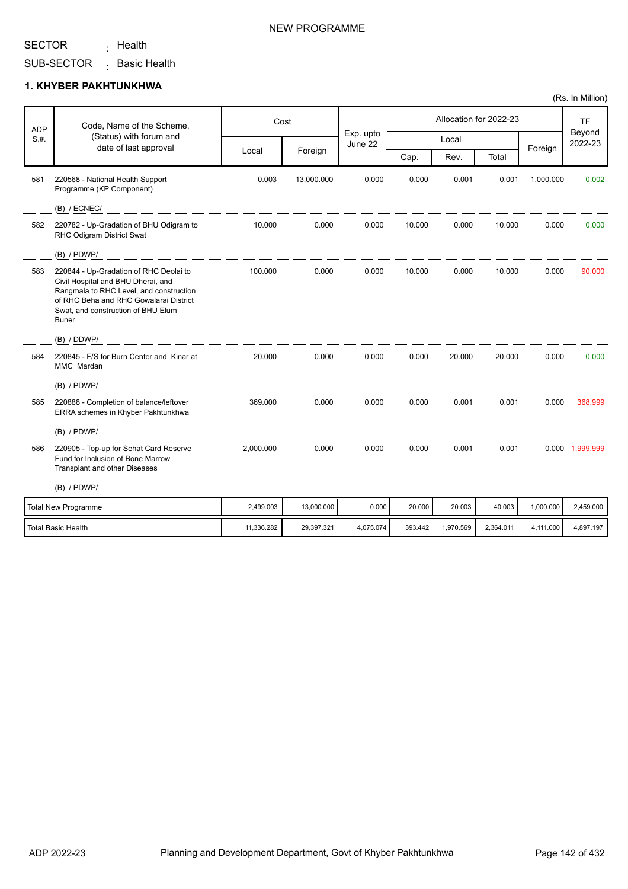<sub>:</sub> Health

SUB-SECTOR <sub>:</sub> Basic Health

### **1. KHYBER PAKHTUNKHWA**

|      | Code, Name of the Scheme,<br><b>ADP</b>                                                                                                                                                                                 |            | Cost       |                      |         |           | Allocation for 2022-23 |           | <b>TF</b><br>Beyond |
|------|-------------------------------------------------------------------------------------------------------------------------------------------------------------------------------------------------------------------------|------------|------------|----------------------|---------|-----------|------------------------|-----------|---------------------|
| S.H. | (Status) with forum and<br>date of last approval                                                                                                                                                                        |            |            | Exp. upto<br>June 22 |         | Local     |                        |           | 2022-23             |
|      |                                                                                                                                                                                                                         | Local      | Foreign    |                      | Cap.    | Rev.      | Total                  | Foreign   |                     |
| 581  | 220568 - National Health Support<br>Programme (KP Component)                                                                                                                                                            | 0.003      | 13,000.000 | 0.000                | 0.000   | 0.001     | 0.001                  | 1,000.000 | 0.002               |
|      | (B) / ECNEC/                                                                                                                                                                                                            |            |            |                      |         |           |                        |           |                     |
| 582  | 220782 - Up-Gradation of BHU Odigram to<br>RHC Odigram District Swat                                                                                                                                                    | 10.000     | 0.000      | 0.000                | 10.000  | 0.000     | 10.000                 | 0.000     | 0.000               |
|      | $(B)$ / PDWP/                                                                                                                                                                                                           |            |            |                      |         |           |                        |           |                     |
| 583  | 220844 - Up-Gradation of RHC Deolai to<br>Civil Hospital and BHU Dherai, and<br>Rangmala to RHC Level, and construction<br>of RHC Beha and RHC Gowalarai District<br>Swat, and construction of BHU Elum<br><b>Buner</b> | 100.000    | 0.000      | 0.000                | 10.000  | 0.000     | 10.000                 | 0.000     | 90.000              |
|      | (B) / DDWP/                                                                                                                                                                                                             |            |            |                      |         |           |                        |           |                     |
| 584  | 220845 - F/S for Burn Center and Kinar at<br>MMC Mardan                                                                                                                                                                 | 20.000     | 0.000      | 0.000                | 0.000   | 20.000    | 20.000                 | 0.000     | 0.000               |
|      | (B) / PDWP/                                                                                                                                                                                                             |            |            |                      |         |           |                        |           |                     |
| 585  | 220888 - Completion of balance/leftover<br>ERRA schemes in Khyber Pakhtunkhwa                                                                                                                                           | 369.000    | 0.000      | 0.000                | 0.000   | 0.001     | 0.001                  | 0.000     | 368.999             |
|      | $(B)$ / PDWP/                                                                                                                                                                                                           |            |            |                      |         |           |                        |           |                     |
| 586  | 220905 - Top-up for Sehat Card Reserve<br>Fund for Inclusion of Bone Marrow<br>Transplant and other Diseases                                                                                                            | 2,000.000  | 0.000      | 0.000                | 0.000   | 0.001     | 0.001                  |           | 0.000 1,999.999     |
|      | (B) / PDWP/                                                                                                                                                                                                             |            |            |                      |         |           |                        |           |                     |
|      | <b>Total New Programme</b>                                                                                                                                                                                              | 2,499.003  | 13,000.000 | 0.000                | 20.000  | 20.003    | 40.003                 | 1,000.000 | 2,459.000           |
|      | <b>Total Basic Health</b>                                                                                                                                                                                               | 11,336.282 | 29,397.321 | 4,075.074            | 393.442 | 1,970.569 | 2,364.011              | 4,111.000 | 4,897.197           |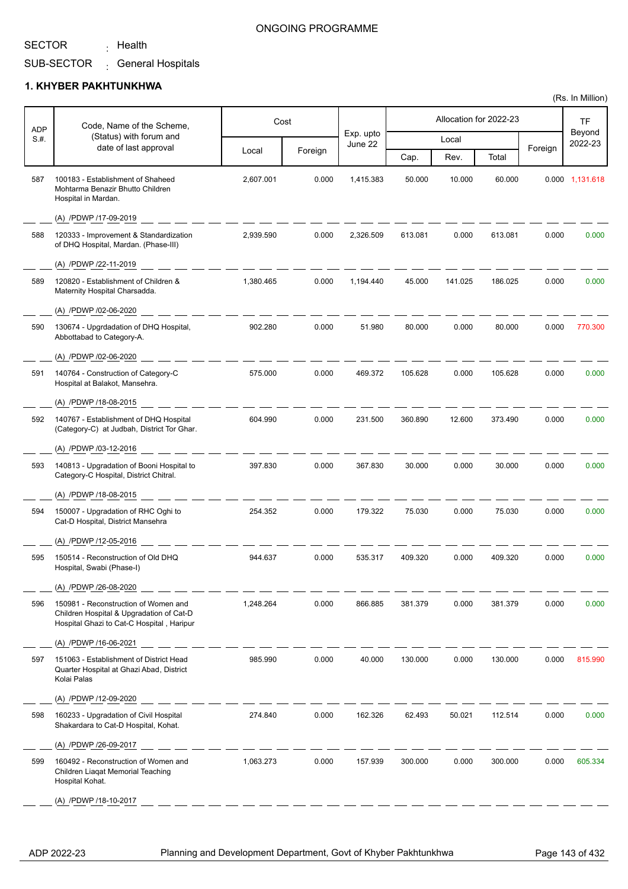<sub>:</sub> Health

### ONGOING PROGRAMME

SUB-SECTOR <sub>:</sub> General Hospitals

### **1. KHYBER PAKHTUNKHWA**

| ADP  | Code, Name of the Scheme,                                                                                                     |           | Cost    |                      |         |         | Allocation for 2022-23 |         | TF                |
|------|-------------------------------------------------------------------------------------------------------------------------------|-----------|---------|----------------------|---------|---------|------------------------|---------|-------------------|
| S.H. | (Status) with forum and                                                                                                       |           |         | Exp. upto<br>June 22 |         | Local   |                        |         | Beyond<br>2022-23 |
|      | date of last approval                                                                                                         | Local     | Foreign |                      | Cap.    | Rev.    | Total                  | Foreign |                   |
| 587  | 100183 - Establishment of Shaheed<br>Mohtarma Benazir Bhutto Children<br>Hospital in Mardan.                                  | 2,607.001 | 0.000   | 1,415.383            | 50.000  | 10.000  | 60.000                 |         | 0.000 1,131.618   |
|      | (A) /PDWP /17-09-2019                                                                                                         |           |         |                      |         |         |                        |         |                   |
| 588  | 120333 - Improvement & Standardization<br>of DHQ Hospital, Mardan. (Phase-III)                                                | 2.939.590 | 0.000   | 2,326.509            | 613.081 | 0.000   | 613.081                | 0.000   | 0.000             |
|      | (A) /PDWP /22-11-2019                                                                                                         |           |         |                      |         |         |                        |         |                   |
| 589  | 120820 - Establishment of Children &<br>Maternity Hospital Charsadda.                                                         | 1,380.465 | 0.000   | 1,194.440            | 45.000  | 141.025 | 186.025                | 0.000   | 0.000             |
|      | (A) /PDWP /02-06-2020                                                                                                         |           |         |                      |         |         |                        |         |                   |
| 590  | 130674 - Upgrdadation of DHQ Hospital,<br>Abbottabad to Category-A.                                                           | 902.280   | 0.000   | 51.980               | 80.000  | 0.000   | 80.000                 | 0.000   | 770.300           |
|      | (A) /PDWP /02-06-2020                                                                                                         |           |         |                      |         |         |                        |         |                   |
| 591  | 140764 - Construction of Category-C<br>Hospital at Balakot, Mansehra.                                                         | 575.000   | 0.000   | 469.372              | 105.628 | 0.000   | 105.628                | 0.000   | 0.000             |
|      | (A) /PDWP /18-08-2015                                                                                                         |           |         |                      |         |         |                        |         |                   |
| 592  | 140767 - Establishment of DHQ Hospital<br>(Category-C) at Judbah, District Tor Ghar.                                          | 604.990   | 0.000   | 231.500              | 360.890 | 12.600  | 373.490                | 0.000   | 0.000             |
|      | (A) /PDWP /03-12-2016                                                                                                         |           |         |                      |         |         |                        |         |                   |
| 593  | 140813 - Upgradation of Booni Hospital to<br>Category-C Hospital, District Chitral.                                           | 397.830   | 0.000   | 367.830              | 30.000  | 0.000   | 30.000                 | 0.000   | 0.000             |
|      | (A) /PDWP /18-08-2015                                                                                                         |           |         |                      |         |         |                        |         |                   |
| 594  | 150007 - Upgradation of RHC Oghi to<br>Cat-D Hospital, District Mansehra                                                      | 254.352   | 0.000   | 179.322              | 75.030  | 0.000   | 75.030                 | 0.000   | 0.000             |
|      | (A) /PDWP /12-05-2016                                                                                                         |           |         |                      |         |         |                        |         |                   |
| 595  | 150514 - Reconstruction of Old DHQ<br>Hospital, Swabi (Phase-I)                                                               | 944.637   | 0.000   | 535.317              | 409.320 | 0.000   | 409.320                | 0.000   | 0.000             |
|      | (A) /PDWP /26-08-2020                                                                                                         |           |         |                      |         |         |                        |         |                   |
| 596  | 150981 - Reconstruction of Women and<br>Children Hospital & Upgradation of Cat-D<br>Hospital Ghazi to Cat-C Hospital, Haripur | 1,248.264 | 0.000   | 866.885              | 381.379 | 0.000   | 381.379                | 0.000   | 0.000             |
|      | (A) /PDWP /16-06-2021                                                                                                         |           |         |                      |         |         |                        |         |                   |
| 597  | 151063 - Establishment of District Head<br>Quarter Hospital at Ghazi Abad, District<br>Kolai Palas                            | 985.990   | 0.000   | 40.000               | 130.000 | 0.000   | 130.000                | 0.000   | 815.990           |
|      | (A) /PDWP /12-09-2020                                                                                                         |           |         |                      |         |         |                        |         |                   |
| 598  | 160233 - Upgradation of Civil Hospital<br>Shakardara to Cat-D Hospital, Kohat.                                                | 274.840   | 0.000   | 162.326              | 62.493  | 50.021  | 112.514                | 0.000   | 0.000             |
|      | (A) /PDWP /26-09-2017                                                                                                         |           |         |                      |         |         |                        |         |                   |
| 599  | 160492 - Reconstruction of Women and<br>Children Liaqat Memorial Teaching<br>Hospital Kohat.                                  | 1,063.273 | 0.000   | 157.939              | 300.000 | 0.000   | 300.000                | 0.000   | 605.334           |
|      | (A) /PDWP /18-10-2017                                                                                                         |           |         |                      |         |         |                        |         |                   |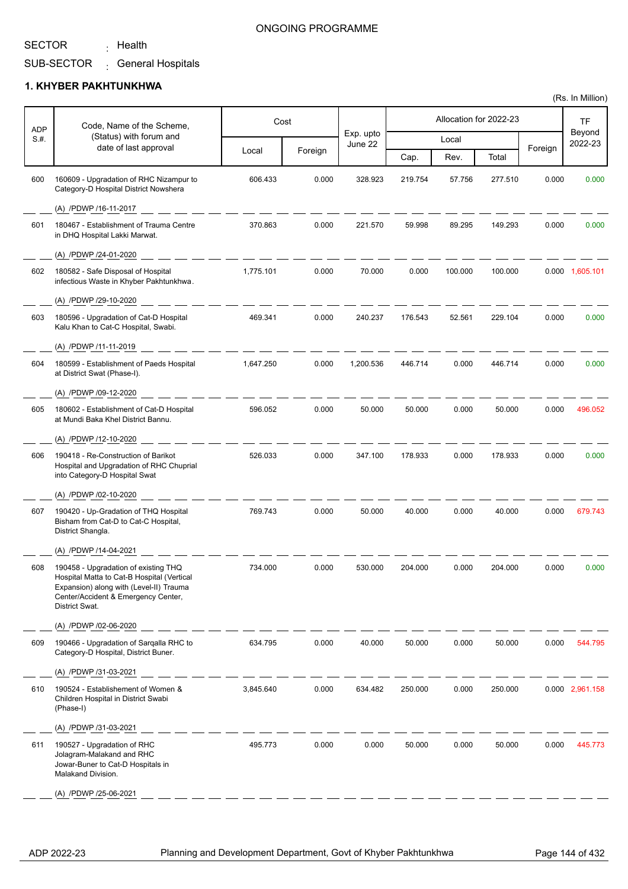<sub>:</sub> Health

### ONGOING PROGRAMME

SUB-SECTOR <sub>:</sub> General Hospitals

### **1. KHYBER PAKHTUNKHWA**

| ADP<br>S.H. | Code, Name of the Scheme,<br>(Status) with forum and<br>date of last approval                                                                                                          | Cost      |         |                      | Allocation for 2022-23 |         |         |         | TF                |
|-------------|----------------------------------------------------------------------------------------------------------------------------------------------------------------------------------------|-----------|---------|----------------------|------------------------|---------|---------|---------|-------------------|
|             |                                                                                                                                                                                        |           |         | Exp. upto<br>June 22 | Local                  |         |         |         | Beyond<br>2022-23 |
|             |                                                                                                                                                                                        | Local     | Foreign |                      | Cap.                   | Rev.    | Total   | Foreign |                   |
| 600         | 160609 - Upgradation of RHC Nizampur to<br>Category-D Hospital District Nowshera                                                                                                       | 606.433   | 0.000   | 328.923              | 219.754                | 57.756  | 277.510 | 0.000   | 0.000             |
|             | (A) /PDWP /16-11-2017                                                                                                                                                                  |           |         |                      |                        |         |         |         |                   |
| 601         | 180467 - Establishment of Trauma Centre<br>in DHQ Hospital Lakki Marwat.                                                                                                               | 370.863   | 0.000   | 221.570              | 59.998                 | 89.295  | 149.293 | 0.000   | 0.000             |
|             | (A) /PDWP /24-01-2020                                                                                                                                                                  |           |         |                      |                        |         |         |         |                   |
| 602         | 180582 - Safe Disposal of Hospital<br>infectious Waste in Khyber Pakhtunkhwa.                                                                                                          | 1,775.101 | 0.000   | 70.000               | 0.000                  | 100.000 | 100.000 |         | 0.000 1,605.101   |
|             | (A) /PDWP /29-10-2020                                                                                                                                                                  |           |         |                      |                        |         |         |         |                   |
| 603         | 180596 - Upgradation of Cat-D Hospital<br>Kalu Khan to Cat-C Hospital, Swabi.                                                                                                          | 469.341   | 0.000   | 240.237              | 176.543                | 52.561  | 229.104 | 0.000   | 0.000             |
|             | (A) /PDWP /11-11-2019                                                                                                                                                                  |           |         |                      |                        |         |         |         |                   |
| 604         | 180599 - Establishment of Paeds Hospital<br>at District Swat (Phase-I).                                                                                                                | 1,647.250 | 0.000   | 1,200.536            | 446.714                | 0.000   | 446.714 | 0.000   | 0.000             |
|             | (A) /PDWP /09-12-2020                                                                                                                                                                  |           |         |                      |                        |         |         |         |                   |
| 605         | 180602 - Establishment of Cat-D Hospital<br>at Mundi Baka Khel District Bannu.                                                                                                         | 596.052   | 0.000   | 50.000               | 50.000                 | 0.000   | 50.000  | 0.000   | 496.052           |
|             | (A) /PDWP /12-10-2020                                                                                                                                                                  |           |         |                      |                        |         |         |         |                   |
| 606         | 190418 - Re-Construction of Barikot<br>Hospital and Upgradation of RHC Chuprial<br>into Category-D Hospital Swat                                                                       | 526.033   | 0.000   | 347.100              | 178.933                | 0.000   | 178.933 | 0.000   | 0.000             |
|             | (A) /PDWP /02-10-2020                                                                                                                                                                  |           |         |                      |                        |         |         |         |                   |
| 607         | 190420 - Up-Gradation of THQ Hospital<br>Bisham from Cat-D to Cat-C Hospital,<br>District Shangla.                                                                                     | 769.743   | 0.000   | 50.000               | 40.000                 | 0.000   | 40.000  | 0.000   | 679.743           |
|             | (A) /PDWP /14-04-2021                                                                                                                                                                  |           |         |                      |                        |         |         |         |                   |
| 608         | 190458 - Upgradation of existing THQ<br>Hospital Matta to Cat-B Hospital (Vertical<br>Expansion) along with (Level-II) Trauma<br>Center/Accident & Emergency Center,<br>District Swat. | 734.000   | 0.000   | 530.000              | 204.000                | 0.000   | 204.000 | 0.000   | 0.000             |
|             | (A) /PDWP /02-06-2020                                                                                                                                                                  |           |         |                      |                        |         |         |         |                   |
| 609         | 190466 - Upgradation of Sarqalla RHC to<br>Category-D Hospital, District Buner.                                                                                                        | 634.795   | 0.000   | 40.000               | 50.000                 | 0.000   | 50.000  | 0.000   | 544.795           |
|             | (A) /PDWP /31-03-2021                                                                                                                                                                  |           |         |                      |                        |         |         |         |                   |
| 610         | 190524 - Establishement of Women &<br>Children Hospital in District Swabi<br>(Phase-I)                                                                                                 | 3,845.640 | 0.000   | 634.482              | 250.000                | 0.000   | 250.000 |         | 0.000 2,961.158   |
|             | (A) /PDWP /31-03-2021                                                                                                                                                                  |           |         |                      |                        |         |         |         |                   |
| 611         | 190527 - Upgradation of RHC<br>Jolagram-Malakand and RHC<br>Jowar-Buner to Cat-D Hospitals in<br>Malakand Division.                                                                    | 495.773   | 0.000   | 0.000                | 50.000                 | 0.000   | 50.000  | 0.000   | 445.773           |
|             | (A) /PDWP /25-06-2021                                                                                                                                                                  |           |         |                      |                        |         |         |         |                   |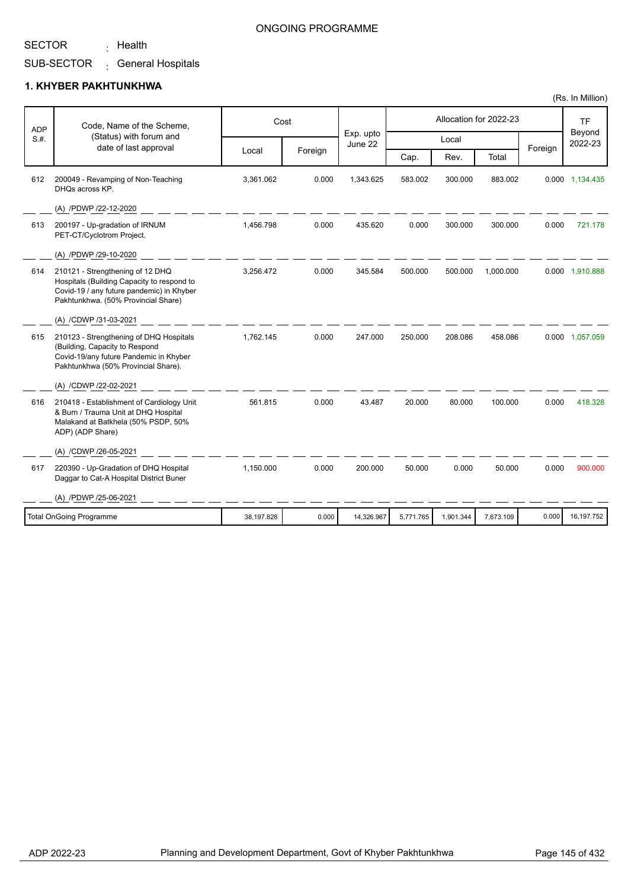<sub>:</sub> Health

### ONGOING PROGRAMME

SUB-SECTOR <sub>:</sub> General Hospitals

#### **1. KHYBER PAKHTUNKHWA**

| <b>ADP</b> | Code, Name of the Scheme,                                                                                                                                          |            | Cost    |                      |           |           | Allocation for 2022-23 |         | <b>TF</b>         |
|------------|--------------------------------------------------------------------------------------------------------------------------------------------------------------------|------------|---------|----------------------|-----------|-----------|------------------------|---------|-------------------|
| S.H.       | (Status) with forum and<br>date of last approval                                                                                                                   |            |         | Exp. upto<br>June 22 |           | Local     |                        | Foreign | Beyond<br>2022-23 |
|            |                                                                                                                                                                    | Local      | Foreign |                      | Cap.      | Rev.      | Total                  |         |                   |
| 612        | 200049 - Revamping of Non-Teaching<br>DHQs across KP.                                                                                                              | 3,361.062  | 0.000   | 1,343.625            | 583.002   | 300.000   | 883.002                |         | 0.000 1,134.435   |
|            | (A) /PDWP /22-12-2020                                                                                                                                              |            |         |                      |           |           |                        |         |                   |
| 613        | 200197 - Up-gradation of IRNUM<br>PET-CT/Cyclotrom Project.                                                                                                        | 1,456.798  | 0.000   | 435.620              | 0.000     | 300.000   | 300.000                | 0.000   | 721.178           |
|            | (A) /PDWP /29-10-2020                                                                                                                                              |            |         |                      |           |           |                        |         |                   |
| 614        | 210121 - Strengthening of 12 DHQ<br>Hospitals (Building Capacity to respond to<br>Covid-19 / any future pandemic) in Khyber<br>Pakhtunkhwa. (50% Provincial Share) | 3,256.472  | 0.000   | 345.584              | 500.000   | 500.000   | 1.000.000              |         | 0.000 1,910.888   |
|            | (A) /CDWP /31-03-2021                                                                                                                                              |            |         |                      |           |           |                        |         |                   |
| 615        | 210123 - Strengthening of DHQ Hospitals<br>(Building, Capacity to Respond<br>Covid-19/any future Pandemic in Khyber<br>Pakhtunkhwa (50% Provincial Share).         | 1,762.145  | 0.000   | 247.000              | 250.000   | 208.086   | 458.086                |         | 0.000 1,057.059   |
|            | (A) /CDWP /22-02-2021                                                                                                                                              |            |         |                      |           |           |                        |         |                   |
| 616        | 210418 - Establishment of Cardiology Unit<br>& Burn / Trauma Unit at DHQ Hospital<br>Malakand at Batkhela (50% PSDP, 50%<br>ADP) (ADP Share)                       | 561.815    | 0.000   | 43.487               | 20.000    | 80.000    | 100.000                | 0.000   | 418.328           |
|            | (A) /CDWP /26-05-2021                                                                                                                                              |            |         |                      |           |           |                        |         |                   |
| 617        | 220390 - Up-Gradation of DHQ Hospital<br>Daggar to Cat-A Hospital District Buner                                                                                   | 1,150.000  | 0.000   | 200.000              | 50.000    | 0.000     | 50.000                 | 0.000   | 900.000           |
|            | (A) /PDWP /25-06-2021                                                                                                                                              |            |         |                      |           |           |                        |         |                   |
|            | <b>Total OnGoing Programme</b>                                                                                                                                     | 38,197.828 | 0.000   | 14,326.967           | 5,771.765 | 1,901.344 | 7,673.109              | 0.000   | 16,197.752        |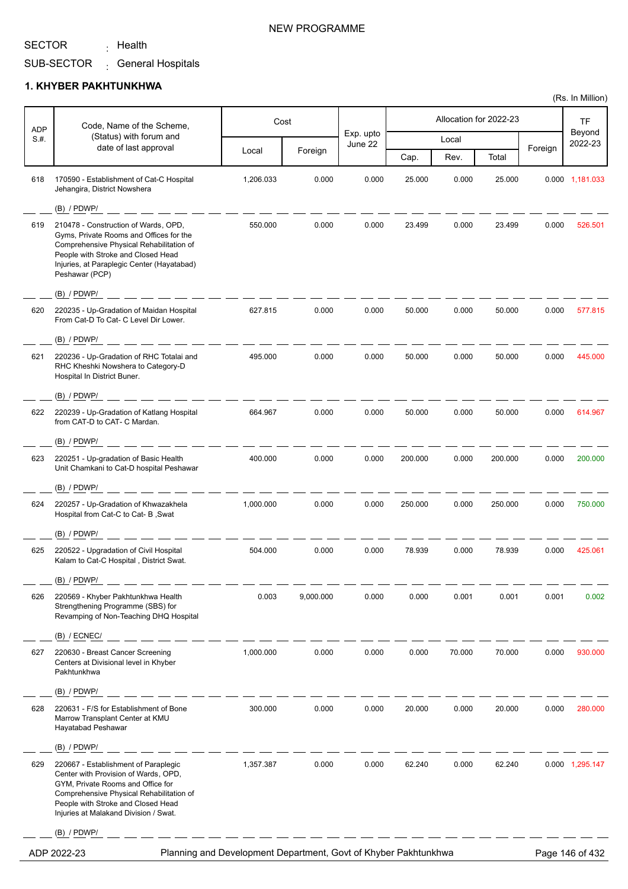<sub>:</sub> Health

SUB-SECTOR <sub>:</sub> General Hospitals

#### **1. KHYBER PAKHTUNKHWA**

| <b>ADP</b> | Code, Name of the Scheme,                                                                                                                                                                                                                    |           | Cost      |                      |         |        | Allocation for 2022-23 |         | <b>TF</b>         |
|------------|----------------------------------------------------------------------------------------------------------------------------------------------------------------------------------------------------------------------------------------------|-----------|-----------|----------------------|---------|--------|------------------------|---------|-------------------|
| S.H.       | (Status) with forum and                                                                                                                                                                                                                      |           |           | Exp. upto<br>June 22 |         | Local  |                        |         | Beyond<br>2022-23 |
|            | date of last approval                                                                                                                                                                                                                        | Local     | Foreign   |                      | Cap.    | Rev.   | Total                  | Foreign |                   |
| 618        | 170590 - Establishment of Cat-C Hospital<br>Jehangira, District Nowshera                                                                                                                                                                     | 1,206.033 | 0.000     | 0.000                | 25.000  | 0.000  | 25.000                 |         | 0.000 1,181.033   |
|            | $(B)$ / PDWP/                                                                                                                                                                                                                                |           |           |                      |         |        |                        |         |                   |
| 619        | 210478 - Construction of Wards, OPD,<br>Gyms, Private Rooms and Offices for the<br>Comprehensive Physical Rehabilitation of<br>People with Stroke and Closed Head<br>Injuries, at Paraplegic Center (Hayatabad)<br>Peshawar (PCP)            | 550.000   | 0.000     | 0.000                | 23.499  | 0.000  | 23.499                 | 0.000   | 526.501           |
|            | $(B)$ / PDWP/                                                                                                                                                                                                                                |           |           |                      |         |        |                        |         |                   |
| 620        | 220235 - Up-Gradation of Maidan Hospital<br>From Cat-D To Cat- C Level Dir Lower.                                                                                                                                                            | 627.815   | 0.000     | 0.000                | 50.000  | 0.000  | 50.000                 | 0.000   | 577.815           |
|            | $(B)$ / PDWP/                                                                                                                                                                                                                                |           |           |                      |         |        |                        |         |                   |
| 621        | 220236 - Up-Gradation of RHC Totalai and<br>RHC Kheshki Nowshera to Category-D<br>Hospital In District Buner.                                                                                                                                | 495.000   | 0.000     | 0.000                | 50.000  | 0.000  | 50.000                 | 0.000   | 445.000           |
|            | $(B)$ / PDWP/                                                                                                                                                                                                                                |           |           |                      |         |        |                        |         |                   |
| 622        | 220239 - Up-Gradation of Katlang Hospital<br>from CAT-D to CAT- C Mardan.                                                                                                                                                                    | 664.967   | 0.000     | 0.000                | 50.000  | 0.000  | 50.000                 | 0.000   | 614.967           |
|            | $(B)$ / PDWP/                                                                                                                                                                                                                                |           |           |                      |         |        |                        |         |                   |
| 623        | 220251 - Up-gradation of Basic Health<br>Unit Chamkani to Cat-D hospital Peshawar                                                                                                                                                            | 400.000   | 0.000     | 0.000                | 200.000 | 0.000  | 200.000                | 0.000   | 200.000           |
|            | $(B)$ / PDWP/                                                                                                                                                                                                                                |           |           |                      |         |        |                        |         |                   |
| 624        | 220257 - Up-Gradation of Khwazakhela<br>Hospital from Cat-C to Cat- B, Swat                                                                                                                                                                  | 1,000.000 | 0.000     | 0.000                | 250.000 | 0.000  | 250.000                | 0.000   | 750.000           |
|            | $(B)$ / PDWP/                                                                                                                                                                                                                                |           |           |                      |         |        |                        |         |                   |
| 625        | 220522 - Upgradation of Civil Hospital<br>Kalam to Cat-C Hospital, District Swat.                                                                                                                                                            | 504.000   | 0.000     | 0.000                | 78.939  | 0.000  | 78.939                 | 0.000   | 425.061           |
|            | $(B)$ / PDWP/                                                                                                                                                                                                                                |           |           |                      |         |        |                        |         |                   |
| 626        | 220569 - Khyber Pakhtunkhwa Health<br>Strengthening Programme (SBS) for<br>Revamping of Non-Teaching DHQ Hospital                                                                                                                            | 0.003     | 9,000.000 | 0.000                | 0.000   | 0.001  | 0.001                  | 0.001   | 0.002             |
|            | $(B)$ / ECNEC/                                                                                                                                                                                                                               |           |           |                      |         |        |                        |         |                   |
| 627        | 220630 - Breast Cancer Screening<br>Centers at Divisional level in Khyber<br>Pakhtunkhwa                                                                                                                                                     | 1,000.000 | 0.000     | 0.000                | 0.000   | 70.000 | 70.000                 | 0.000   | 930.000           |
|            | $(B)$ / PDWP/                                                                                                                                                                                                                                |           |           |                      |         |        |                        |         |                   |
| 628        | 220631 - F/S for Establishment of Bone<br>Marrow Transplant Center at KMU<br>Hayatabad Peshawar                                                                                                                                              | 300.000   | 0.000     | 0.000                | 20.000  | 0.000  | 20.000                 | 0.000   | 280.000           |
|            | $(B)$ / PDWP/                                                                                                                                                                                                                                |           |           |                      |         |        |                        |         |                   |
| 629        | 220667 - Establishment of Paraplegic<br>Center with Provision of Wards, OPD,<br>GYM, Private Rooms and Office for<br>Comprehensive Physical Rehabilitation of<br>People with Stroke and Closed Head<br>Injuries at Malakand Division / Swat. | 1,357.387 | 0.000     | 0.000                | 62.240  | 0.000  | 62.240                 |         | 0.000 1,295.147   |
|            | $(B)$ / PDWP/                                                                                                                                                                                                                                |           |           |                      |         |        |                        |         |                   |

ADP 2022-23 Planning and Development Department, Govt of Khyber Pakhtunkhwa Page 146 of 432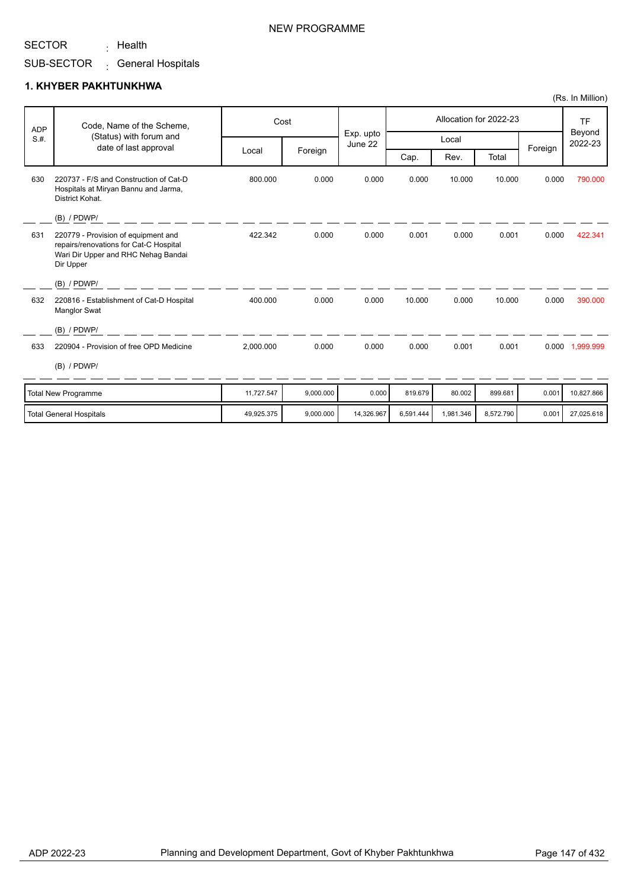<sub>:</sub> Health

SUB-SECTOR <sub>:</sub> General Hospitals

#### **1. KHYBER PAKHTUNKHWA**

| <b>ADP</b> | Code, Name of the Scheme,                                                                                                         |            | Cost      |                      |         |        | Allocation for 2022-23 |         | <b>TF</b>         |
|------------|-----------------------------------------------------------------------------------------------------------------------------------|------------|-----------|----------------------|---------|--------|------------------------|---------|-------------------|
| S.H.       | (Status) with forum and<br>date of last approval                                                                                  |            |           | Exp. upto<br>June 22 |         | Local  |                        | Foreign | Beyond<br>2022-23 |
|            |                                                                                                                                   | Local      | Foreign   |                      | Cap.    | Rev.   | Total                  |         |                   |
| 630        | 220737 - F/S and Construction of Cat-D<br>Hospitals at Miryan Bannu and Jarma,<br>District Kohat.                                 | 800.000    | 0.000     | 0.000                | 0.000   | 10.000 | 10.000                 | 0.000   | 790.000           |
|            | $(B)$ / PDWP/                                                                                                                     |            |           |                      |         |        |                        |         |                   |
| 631        | 220779 - Provision of equipment and<br>repairs/renovations for Cat-C Hospital<br>Wari Dir Upper and RHC Nehag Bandai<br>Dir Upper | 422.342    | 0.000     | 0.000                | 0.001   | 0.000  | 0.001                  | 0.000   | 422.341           |
|            | $(B)$ / PDWP/                                                                                                                     |            |           |                      |         |        |                        |         |                   |
| 632        | 220816 - Establishment of Cat-D Hospital<br><b>Manglor Swat</b>                                                                   | 400.000    | 0.000     | 0.000                | 10.000  | 0.000  | 10.000                 | 0.000   | 390.000           |
|            | $(B)$ / PDWP/                                                                                                                     |            |           |                      |         |        |                        |         |                   |
| 633        | 220904 - Provision of free OPD Medicine                                                                                           | 2,000.000  | 0.000     | 0.000                | 0.000   | 0.001  | 0.001                  | 0.000   | 1,999.999         |
|            | $(B)$ / PDWP/                                                                                                                     |            |           |                      |         |        |                        |         |                   |
|            | <b>Total New Programme</b>                                                                                                        | 11.727.547 | 9.000.000 | 0.000                | 819.679 | 80.002 | 899.681                | 0.001   | 10.827.866        |

| Total New Programme     | 11.727.547 | 9.000.000 | 0.0001     | 819,679   | 80.002    | 899.681   | 0.001 | 10.827.866 |
|-------------------------|------------|-----------|------------|-----------|-----------|-----------|-------|------------|
| Total General Hospitals | 49.925.375 | 9.000.000 | 14.326.967 | 6.591.444 | 1.981.346 | 8.572.790 | 0.001 | 27.025.618 |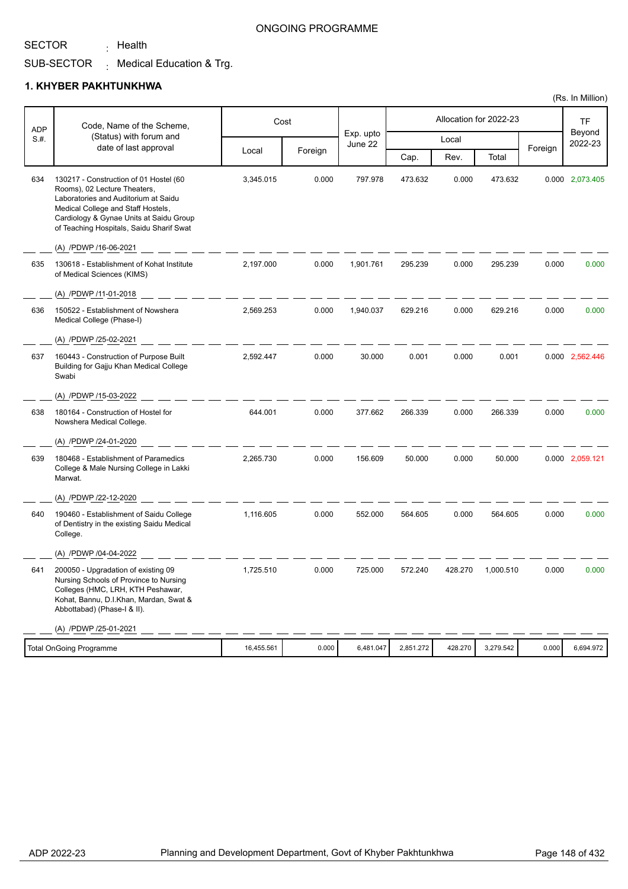<sub>:</sub> Health

### ONGOING PROGRAMME

SUB-SECTOR  $\colon$  Medical Education & Trg.

## **1. KHYBER PAKHTUNKHWA**

| <b>ADP</b> | Code, Name of the Scheme,                                                                                                                                                                                                                   |            | Cost    |                      |           |         | Allocation for 2022-23 |         | TF                |
|------------|---------------------------------------------------------------------------------------------------------------------------------------------------------------------------------------------------------------------------------------------|------------|---------|----------------------|-----------|---------|------------------------|---------|-------------------|
| S.H.       | (Status) with forum and                                                                                                                                                                                                                     |            |         | Exp. upto<br>June 22 |           | Local   |                        |         | Beyond<br>2022-23 |
|            | date of last approval                                                                                                                                                                                                                       | Local      | Foreign |                      | Cap.      | Rev.    | Total                  | Foreign |                   |
| 634        | 130217 - Construction of 01 Hostel (60<br>Rooms), 02 Lecture Theaters,<br>Laboratories and Auditorium at Saidu<br>Medical College and Staff Hostels,<br>Cardiology & Gynae Units at Saidu Group<br>of Teaching Hospitals, Saidu Sharif Swat | 3,345.015  | 0.000   | 797.978              | 473.632   | 0.000   | 473.632                |         | 0.000 2,073.405   |
|            | (A) /PDWP /16-06-2021                                                                                                                                                                                                                       |            |         |                      |           |         |                        |         |                   |
| 635        | 130618 - Establishment of Kohat Institute<br>of Medical Sciences (KIMS)                                                                                                                                                                     | 2,197.000  | 0.000   | 1,901.761            | 295.239   | 0.000   | 295.239                | 0.000   | 0.000             |
|            | (A) /PDWP /11-01-2018                                                                                                                                                                                                                       |            |         |                      |           |         |                        |         |                   |
| 636        | 150522 - Establishment of Nowshera<br>Medical College (Phase-I)                                                                                                                                                                             | 2,569.253  | 0.000   | 1,940.037            | 629.216   | 0.000   | 629.216                | 0.000   | 0.000             |
|            | (A) /PDWP /25-02-2021                                                                                                                                                                                                                       |            |         |                      |           |         |                        |         |                   |
| 637        | 160443 - Construction of Purpose Built<br>Building for Gajju Khan Medical College<br>Swabi                                                                                                                                                  | 2,592.447  | 0.000   | 30.000               | 0.001     | 0.000   | 0.001                  |         | 0.000 2,562.446   |
|            | (A) /PDWP /15-03-2022                                                                                                                                                                                                                       |            |         |                      |           |         |                        |         |                   |
| 638        | 180164 - Construction of Hostel for<br>Nowshera Medical College.                                                                                                                                                                            | 644.001    | 0.000   | 377.662              | 266.339   | 0.000   | 266.339                | 0.000   | 0.000             |
|            | (A) /PDWP /24-01-2020                                                                                                                                                                                                                       |            |         |                      |           |         |                        |         |                   |
| 639        | 180468 - Establishment of Paramedics<br>College & Male Nursing College in Lakki<br>Marwat.                                                                                                                                                  | 2,265.730  | 0.000   | 156.609              | 50.000    | 0.000   | 50.000                 |         | 0.000 2,059.121   |
|            | (A) /PDWP /22-12-2020                                                                                                                                                                                                                       |            |         |                      |           |         |                        |         |                   |
| 640        | 190460 - Establishment of Saidu College<br>of Dentistry in the existing Saidu Medical<br>College.                                                                                                                                           | 1,116.605  | 0.000   | 552.000              | 564.605   | 0.000   | 564.605                | 0.000   | 0.000             |
|            | (A) /PDWP /04-04-2022                                                                                                                                                                                                                       |            |         |                      |           |         |                        |         |                   |
| 641        | 200050 - Upgradation of existing 09<br>Nursing Schools of Province to Nursing<br>Colleges (HMC, LRH, KTH Peshawar,<br>Kohat, Bannu, D.I.Khan, Mardan, Swat &<br>Abbottabad) (Phase-I & II).                                                 | 1,725.510  | 0.000   | 725.000              | 572.240   | 428.270 | 1,000.510              | 0.000   | 0.000             |
|            | (A) /PDWP /25-01-2021                                                                                                                                                                                                                       |            |         |                      |           |         |                        |         |                   |
|            | <b>Total OnGoing Programme</b>                                                                                                                                                                                                              | 16,455.561 | 0.000   | 6,481.047            | 2,851.272 | 428.270 | 3,279.542              | 0.000   | 6,694.972         |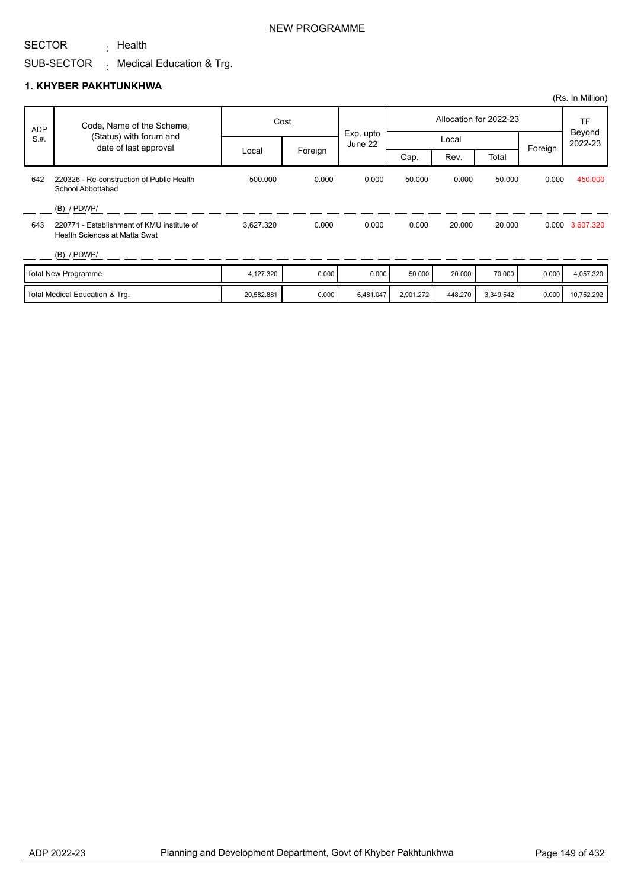<sub>:</sub> Health

SUB-SECTOR  $\colon$  Medical Education & Trg.

### **1. KHYBER PAKHTUNKHWA**

| <b>ADP</b> | Code, Name of the Scheme,                                                   |            | Cost    |                      |           |         | Allocation for 2022-23 |         | TF                |
|------------|-----------------------------------------------------------------------------|------------|---------|----------------------|-----------|---------|------------------------|---------|-------------------|
| S.H.       | (Status) with forum and<br>date of last approval                            |            |         | Exp. upto<br>June 22 |           | Local   |                        | Foreign | Beyond<br>2022-23 |
|            |                                                                             | Local      | Foreign |                      | Cap.      | Rev.    | Total                  |         |                   |
| 642        | 220326 - Re-construction of Public Health<br>School Abbottabad              | 500.000    | 0.000   | 0.000                | 50.000    | 0.000   | 50.000                 | 0.000   | 450.000           |
|            | $(B)$ / PDWP/                                                               |            |         |                      |           |         |                        |         |                   |
| 643        | 220771 - Establishment of KMU institute of<br>Health Sciences at Matta Swat | 3,627.320  | 0.000   | 0.000                | 0.000     | 20.000  | 20.000                 |         | 0.000 3,607.320   |
|            | $(B)$ / PDWP/                                                               |            |         |                      |           |         |                        |         |                   |
|            | <b>Total New Programme</b>                                                  | 4,127.320  | 0.000   | 0.000                | 50.000    | 20,000  | 70.000                 | 0.000   | 4,057.320         |
|            | Total Medical Education & Trg.                                              | 20,582.881 | 0.000   | 6,481.047            | 2,901.272 | 448.270 | 3,349.542              | 0.000   | 10,752.292        |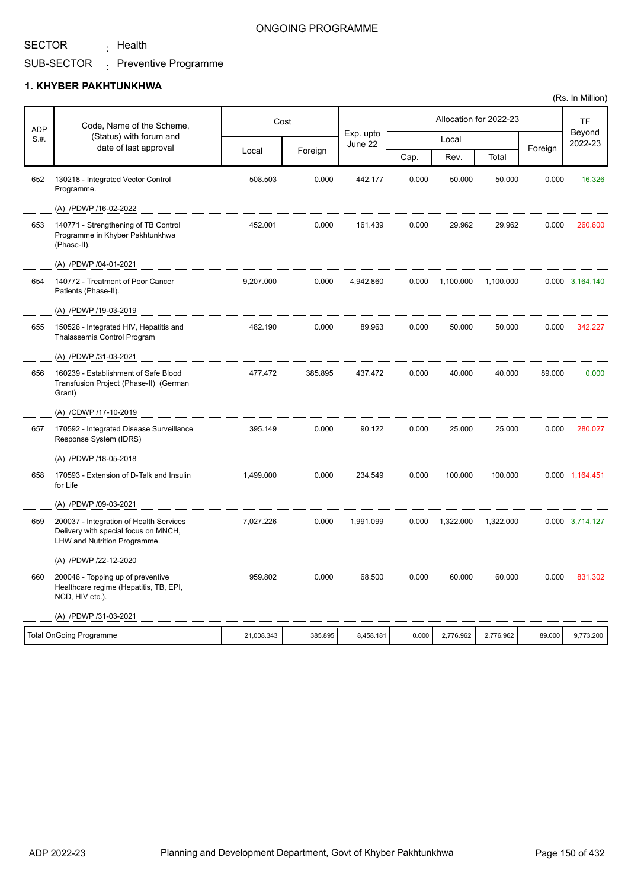<sub>:</sub> Health

### ONGOING PROGRAMME

#### SUB-SECTOR Preventive Programme :

#### **1. KHYBER PAKHTUNKHWA**

| <b>ADP</b> | Code, Name of the Scheme,                                                                                       |            | Cost    |                      |       |           | Allocation for 2022-23 |         | <b>TF</b>         |
|------------|-----------------------------------------------------------------------------------------------------------------|------------|---------|----------------------|-------|-----------|------------------------|---------|-------------------|
| S.H.       | (Status) with forum and                                                                                         |            |         | Exp. upto<br>June 22 |       | Local     |                        |         | Beyond<br>2022-23 |
|            | date of last approval                                                                                           | Local      | Foreign |                      | Cap.  | Rev.      | Total                  | Foreign |                   |
| 652        | 130218 - Integrated Vector Control<br>Programme.                                                                | 508.503    | 0.000   | 442.177              | 0.000 | 50.000    | 50.000                 | 0.000   | 16.326            |
|            | (A) /PDWP /16-02-2022                                                                                           |            |         |                      |       |           |                        |         |                   |
| 653        | 140771 - Strengthening of TB Control<br>Programme in Khyber Pakhtunkhwa<br>(Phase-II).                          | 452.001    | 0.000   | 161.439              | 0.000 | 29.962    | 29.962                 | 0.000   | 260.600           |
|            | (A) /PDWP /04-01-2021                                                                                           |            |         |                      |       |           |                        |         |                   |
| 654        | 140772 - Treatment of Poor Cancer<br>Patients (Phase-II).                                                       | 9,207.000  | 0.000   | 4,942.860            | 0.000 | 1,100.000 | 1,100.000              |         | 0.000 3,164.140   |
|            | (A) /PDWP /19-03-2019                                                                                           |            |         |                      |       |           |                        |         |                   |
| 655        | 150526 - Integrated HIV, Hepatitis and<br>Thalassemia Control Program                                           | 482.190    | 0.000   | 89.963               | 0.000 | 50.000    | 50.000                 | 0.000   | 342.227           |
|            | (A) /PDWP /31-03-2021                                                                                           |            |         |                      |       |           |                        |         |                   |
| 656        | 160239 - Establishment of Safe Blood<br>Transfusion Project (Phase-II) (German<br>Grant)                        | 477.472    | 385.895 | 437.472              | 0.000 | 40.000    | 40.000                 | 89.000  | 0.000             |
|            | (A) /CDWP /17-10-2019                                                                                           |            |         |                      |       |           |                        |         |                   |
| 657        | 170592 - Integrated Disease Surveillance<br>Response System (IDRS)                                              | 395.149    | 0.000   | 90.122               | 0.000 | 25.000    | 25.000                 | 0.000   | 280.027           |
|            | (A) /PDWP /18-05-2018                                                                                           |            |         |                      |       |           |                        |         |                   |
| 658        | 170593 - Extension of D-Talk and Insulin<br>for Life                                                            | 1,499.000  | 0.000   | 234.549              | 0.000 | 100.000   | 100.000                |         | 0.000 1,164.451   |
|            | (A) /PDWP /09-03-2021                                                                                           |            |         |                      |       |           |                        |         |                   |
| 659        | 200037 - Integration of Health Services<br>Delivery with special focus on MNCH,<br>LHW and Nutrition Programme. | 7,027.226  | 0.000   | 1,991.099            | 0.000 | 1,322.000 | 1,322.000              |         | 0.000 3,714.127   |
|            | (A) /PDWP /22-12-2020                                                                                           |            |         |                      |       |           |                        |         |                   |
| 660        | 200046 - Topping up of preventive<br>Healthcare regime (Hepatitis, TB, EPI,<br>NCD, HIV etc.).                  | 959.802    | 0.000   | 68.500               | 0.000 | 60.000    | 60.000                 | 0.000   | 831.302           |
|            | (A) /PDWP /31-03-2021                                                                                           |            |         |                      |       |           |                        |         |                   |
|            | <b>Total OnGoing Programme</b>                                                                                  | 21,008.343 | 385.895 | 8,458.181            | 0.000 | 2,776.962 | 2,776.962              | 89.000  | 9,773.200         |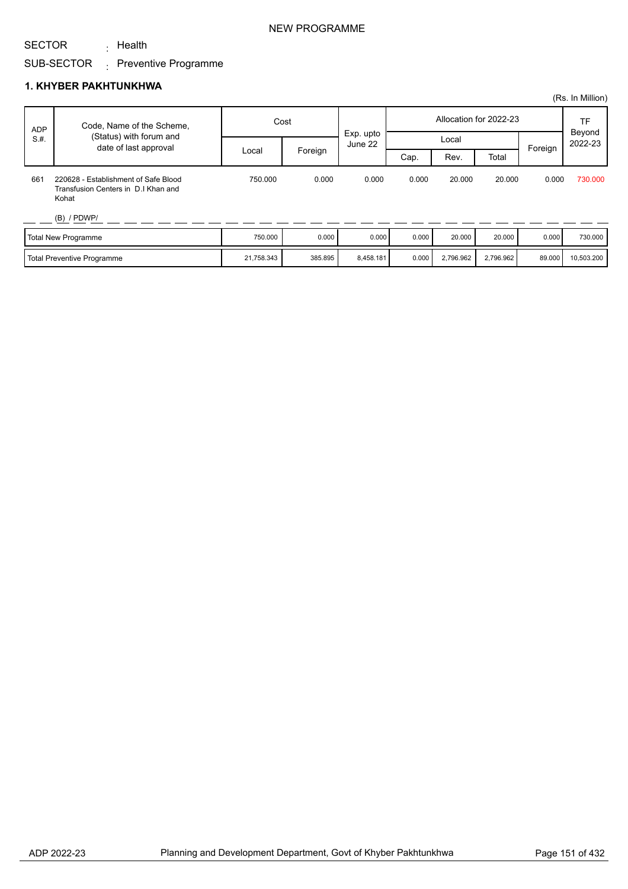<sub>:</sub> Health

# SUB-SECTOR <sub>:</sub> Preventive Programme

### **1. KHYBER PAKHTUNKHWA**

|            |                                                                                      |            |         |                      |       |           |                        |         | (Rs. In Million)  |
|------------|--------------------------------------------------------------------------------------|------------|---------|----------------------|-------|-----------|------------------------|---------|-------------------|
| <b>ADP</b> | Code, Name of the Scheme,                                                            |            | Cost    |                      |       |           | Allocation for 2022-23 |         | TF                |
| S.H.       | (Status) with forum and<br>date of last approval                                     |            |         | Exp. upto<br>June 22 |       | Local     |                        | Foreign | Beyond<br>2022-23 |
|            |                                                                                      | Local      | Foreign |                      | Cap.  | Rev.      | Total                  |         |                   |
| 661        | 220628 - Establishment of Safe Blood<br>Transfusion Centers in D.I Khan and<br>Kohat | 750.000    | 0.000   | 0.000                | 0.000 | 20,000    | 20,000                 | 0.000   | 730.000           |
|            | $(B)$ / PDWP/                                                                        |            |         |                      |       |           |                        |         |                   |
|            | Total New Programme                                                                  | 750.000    | 0.000   | 0.000                | 0.000 | 20,000    | 20,000                 | 0.000   | 730.000           |
|            | Total Preventive Programme                                                           | 21,758.343 | 385.895 | 8,458.181            | 0.000 | 2,796.962 | 2,796.962              | 89.000  | 10,503.200        |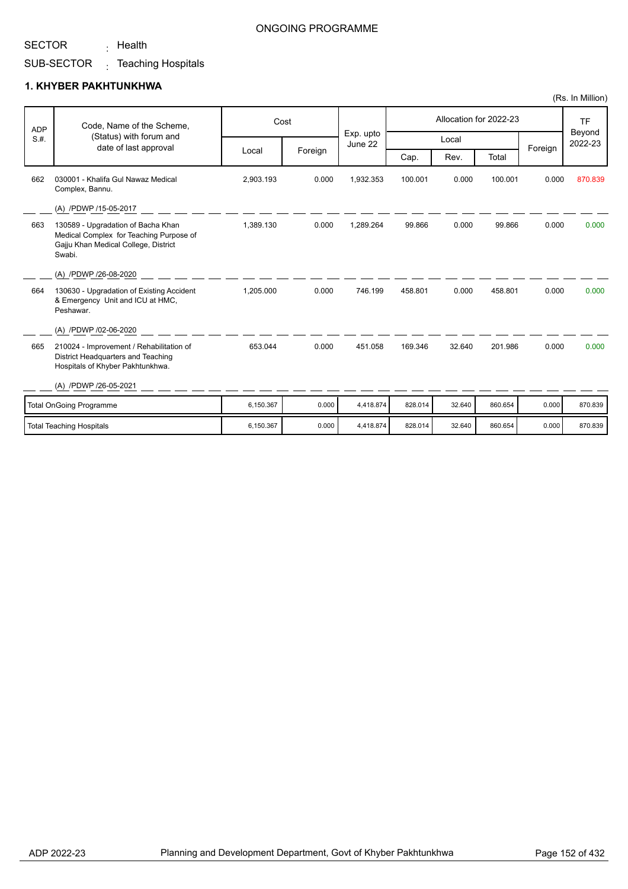<sub>:</sub> Health

### ONGOING PROGRAMME

SUB-SECTOR Teaching Hospitals :

## **1. KHYBER PAKHTUNKHWA**

| <b>ADP</b> | Code, Name of the Scheme,                                                                                                       | Cost      |         |                      |         |        | Allocation for 2022-23 |         | <b>TF</b>         |
|------------|---------------------------------------------------------------------------------------------------------------------------------|-----------|---------|----------------------|---------|--------|------------------------|---------|-------------------|
| S.H.       | (Status) with forum and                                                                                                         |           |         | Exp. upto<br>June 22 |         | Local  |                        |         | Beyond<br>2022-23 |
|            | date of last approval                                                                                                           | Local     | Foreign |                      | Cap.    | Rev.   | Total                  | Foreign |                   |
| 662        | 030001 - Khalifa Gul Nawaz Medical<br>Complex, Bannu.                                                                           | 2,903.193 | 0.000   | 1,932.353            | 100.001 | 0.000  | 100.001                | 0.000   | 870.839           |
|            | (A) /PDWP /15-05-2017                                                                                                           |           |         |                      |         |        |                        |         |                   |
| 663        | 130589 - Upgradation of Bacha Khan<br>Medical Complex for Teaching Purpose of<br>Gajju Khan Medical College, District<br>Swabi. | 1,389.130 | 0.000   | 1,289.264            | 99.866  | 0.000  | 99.866                 | 0.000   | 0.000             |
|            | (A) /PDWP /26-08-2020                                                                                                           |           |         |                      |         |        |                        |         |                   |
| 664        | 130630 - Upgradation of Existing Accident<br>& Emergency Unit and ICU at HMC.<br>Peshawar.                                      | 1,205.000 | 0.000   | 746.199              | 458.801 | 0.000  | 458.801                | 0.000   | 0.000             |
|            | (A) /PDWP /02-06-2020                                                                                                           |           |         |                      |         |        |                        |         |                   |
| 665        | 210024 - Improvement / Rehabilitation of<br>District Headquarters and Teaching<br>Hospitals of Khyber Pakhtunkhwa.              | 653.044   | 0.000   | 451.058              | 169.346 | 32.640 | 201.986                | 0.000   | 0.000             |
|            | (A) /PDWP /26-05-2021                                                                                                           |           |         |                      |         |        |                        |         |                   |
|            | <b>Total OnGoing Programme</b>                                                                                                  | 6,150.367 | 0.000   | 4,418.874            | 828.014 | 32.640 | 860.654                | 0.000   | 870.839           |
|            | <b>Total Teaching Hospitals</b>                                                                                                 | 6,150.367 | 0.000   | 4,418.874            | 828.014 | 32.640 | 860.654                | 0.000   | 870.839           |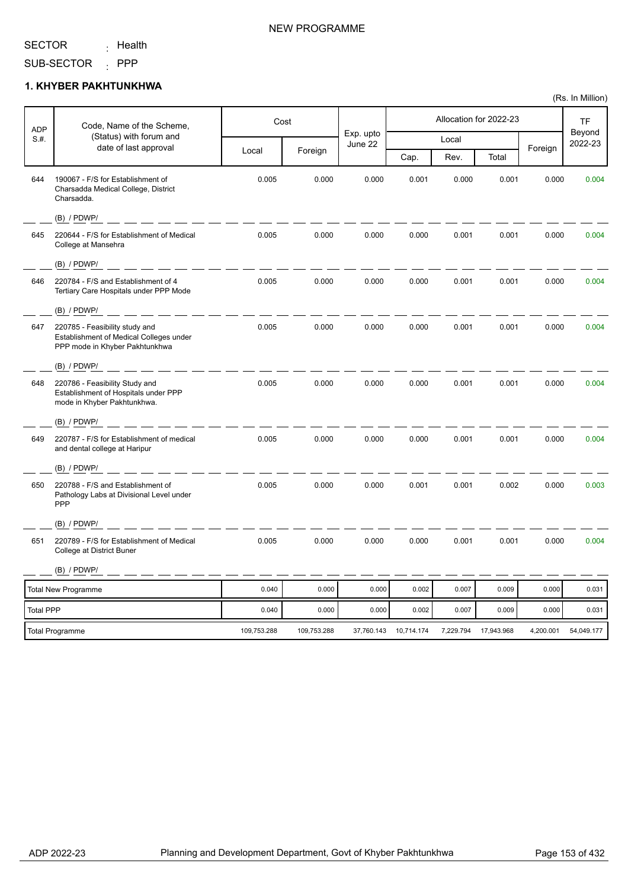<sub>:</sub> Health

SUB-SECTOR : PPP

### **1. KHYBER PAKHTUNKHWA**

| <b>ADP</b>       | Code, Name of the Scheme,                                                                                   |             | Cost        |                      |            |           | Allocation for 2022-23 |           | <b>TF</b>         |
|------------------|-------------------------------------------------------------------------------------------------------------|-------------|-------------|----------------------|------------|-----------|------------------------|-----------|-------------------|
| S.H.             | (Status) with forum and<br>date of last approval                                                            |             |             | Exp. upto<br>June 22 |            | Local     |                        | Foreign   | Beyond<br>2022-23 |
|                  |                                                                                                             | Local       | Foreign     |                      | Cap.       | Rev.      | Total                  |           |                   |
| 644              | 190067 - F/S for Establishment of<br>Charsadda Medical College, District<br>Charsadda.                      | 0.005       | 0.000       | 0.000                | 0.001      | 0.000     | 0.001                  | 0.000     | 0.004             |
|                  | $(B)$ / PDWP/                                                                                               |             |             |                      |            |           |                        |           |                   |
| 645              | 220644 - F/S for Establishment of Medical<br>College at Mansehra                                            | 0.005       | 0.000       | 0.000                | 0.000      | 0.001     | 0.001                  | 0.000     | 0.004             |
|                  | $(B)$ / PDWP/<br><u> 1981 - John Alexandri, matematik politik (</u>                                         |             |             |                      |            |           |                        |           |                   |
| 646              | 220784 - F/S and Establishment of 4<br>Tertiary Care Hospitals under PPP Mode                               | 0.005       | 0.000       | 0.000                | 0.000      | 0.001     | 0.001                  | 0.000     | 0.004             |
|                  | $(B)$ / PDWP/                                                                                               |             |             |                      |            |           |                        |           |                   |
| 647              | 220785 - Feasibility study and<br>Establishment of Medical Colleges under<br>PPP mode in Khyber Pakhtunkhwa | 0.005       | 0.000       | 0.000                | 0.000      | 0.001     | 0.001                  | 0.000     | 0.004             |
|                  | $(B)$ / PDWP/                                                                                               |             |             |                      |            |           |                        |           |                   |
| 648              | 220786 - Feasibility Study and<br>Establishment of Hospitals under PPP<br>mode in Khyber Pakhtunkhwa.       | 0.005       | 0.000       | 0.000                | 0.000      | 0.001     | 0.001                  | 0.000     | 0.004             |
|                  | $(B)$ / PDWP/                                                                                               |             |             |                      |            |           |                        |           |                   |
| 649              | 220787 - F/S for Establishment of medical<br>and dental college at Haripur                                  | 0.005       | 0.000       | 0.000                | 0.000      | 0.001     | 0.001                  | 0.000     | 0.004             |
|                  | $(B)$ / PDWP/                                                                                               |             |             |                      |            |           |                        |           |                   |
| 650              | 220788 - F/S and Establishment of<br>Pathology Labs at Divisional Level under<br>PPP                        | 0.005       | 0.000       | 0.000                | 0.001      | 0.001     | 0.002                  | 0.000     | 0.003             |
|                  | $(B)$ / PDWP/                                                                                               |             |             |                      |            |           |                        |           |                   |
| 651              | 220789 - F/S for Establishment of Medical<br>College at District Buner                                      | 0.005       | 0.000       | 0.000                | 0.000      | 0.001     | 0.001                  | 0.000     | 0.004             |
|                  | $(B)$ / PDWP/                                                                                               |             |             |                      |            |           |                        |           |                   |
|                  | Total New Programme                                                                                         | 0.040       | 0.000       | 0.000                | 0.002      | 0.007     | 0.009                  | 0.000     | 0.031             |
| <b>Total PPP</b> |                                                                                                             | 0.040       | 0.000       | 0.000                | 0.002      | 0.007     | 0.009                  | 0.000     | 0.031             |
|                  | <b>Total Programme</b>                                                                                      | 109,753.288 | 109,753.288 | 37,760.143           | 10,714.174 | 7,229.794 | 17,943.968             | 4,200.001 | 54,049.177        |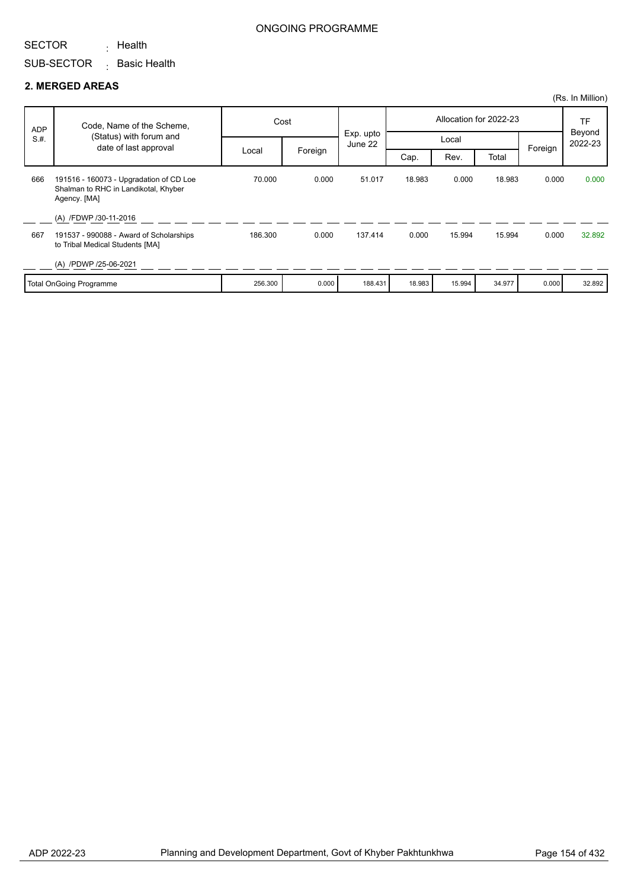<sub>:</sub> Health

SUB-SECTOR <sub>:</sub> Basic Health

#### **2. MERGED AREAS**

|            |                                                                                                 |         |         |                      |        |        |                        |         | (Rs. In Million)               |
|------------|-------------------------------------------------------------------------------------------------|---------|---------|----------------------|--------|--------|------------------------|---------|--------------------------------|
| <b>ADP</b> | Code, Name of the Scheme,                                                                       | Cost    |         |                      |        |        | Allocation for 2022-23 |         | <b>TF</b><br>Beyond<br>2022-23 |
| S.H.       | (Status) with forum and<br>date of last approval                                                |         |         | Exp. upto<br>June 22 |        | Local  |                        | Foreign |                                |
|            |                                                                                                 | Local   | Foreign |                      | Cap.   | Rev.   | Total                  |         |                                |
| 666        | 191516 - 160073 - Upgradation of CD Loe<br>Shalman to RHC in Landikotal, Khyber<br>Agency. [MA] | 70.000  | 0.000   | 51.017               | 18.983 | 0.000  | 18.983                 | 0.000   | 0.000                          |
|            | (A) /FDWP /30-11-2016                                                                           |         |         |                      |        |        |                        |         |                                |
| 667        | 191537 - 990088 - Award of Scholarships<br>to Tribal Medical Students [MA]                      | 186.300 | 0.000   | 137.414              | 0.000  | 15.994 | 15.994                 | 0.000   | 32.892                         |
|            | (A) /PDWP /25-06-2021                                                                           |         |         |                      |        |        |                        |         |                                |
|            | <b>Total OnGoing Programme</b>                                                                  | 256.300 | 0.000   | 188.431              | 18.983 | 15.994 | 34.977                 | 0.000   | 32.892                         |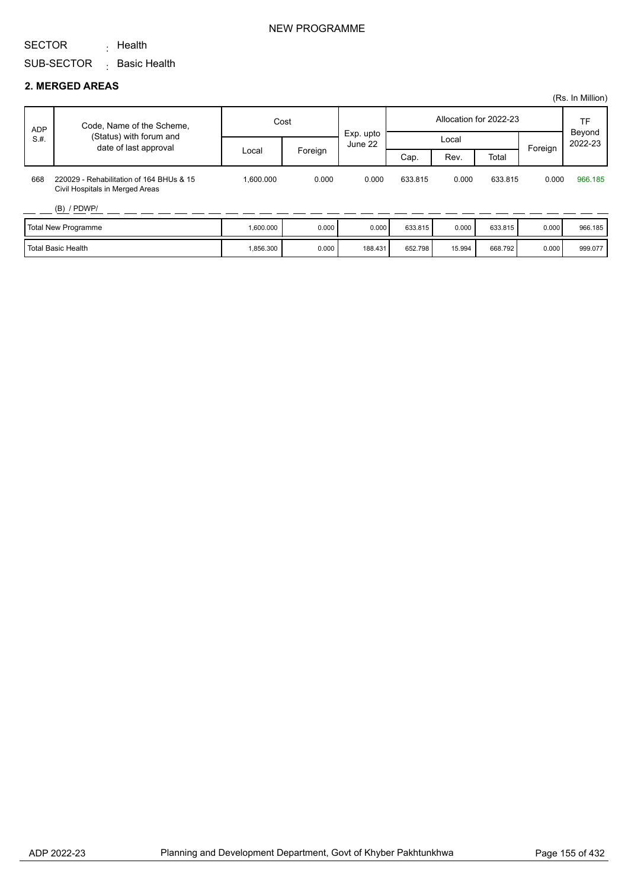<sub>:</sub> Health

SUB-SECTOR  $\,$  Basic Health

#### **2. MERGED AREAS**

|      |                                                                             |           |         |                      |         |        |                        |         | (Rs. In Million)  |
|------|-----------------------------------------------------------------------------|-----------|---------|----------------------|---------|--------|------------------------|---------|-------------------|
| ADP  | Code, Name of the Scheme,                                                   | Cost      |         |                      |         |        | Allocation for 2022-23 |         | TF                |
| S.H. | (Status) with forum and<br>date of last approval                            |           |         | Exp. upto<br>June 22 |         | Local  |                        |         | Beyond<br>2022-23 |
|      |                                                                             | Local     | Foreign |                      | Cap.    | Rev.   | Total                  | Foreign |                   |
| 668  | 220029 - Rehabilitation of 164 BHUs & 15<br>Civil Hospitals in Merged Areas | 1.600.000 | 0.000   | 0.000                | 633.815 | 0.000  | 633.815                | 0.000   | 966.185           |
|      | $(B)$ / PDWP/                                                               |           |         |                      |         |        |                        |         |                   |
|      | <b>Total New Programme</b>                                                  | 1,600.000 | 0.000   | 0.000                | 633.815 | 0.000  | 633.815                | 0.000   | 966.185           |
|      | <b>Total Basic Health</b>                                                   | 1,856.300 | 0.000   | 188.431              | 652.798 | 15.994 | 668.792                | 0.000   | 999.077           |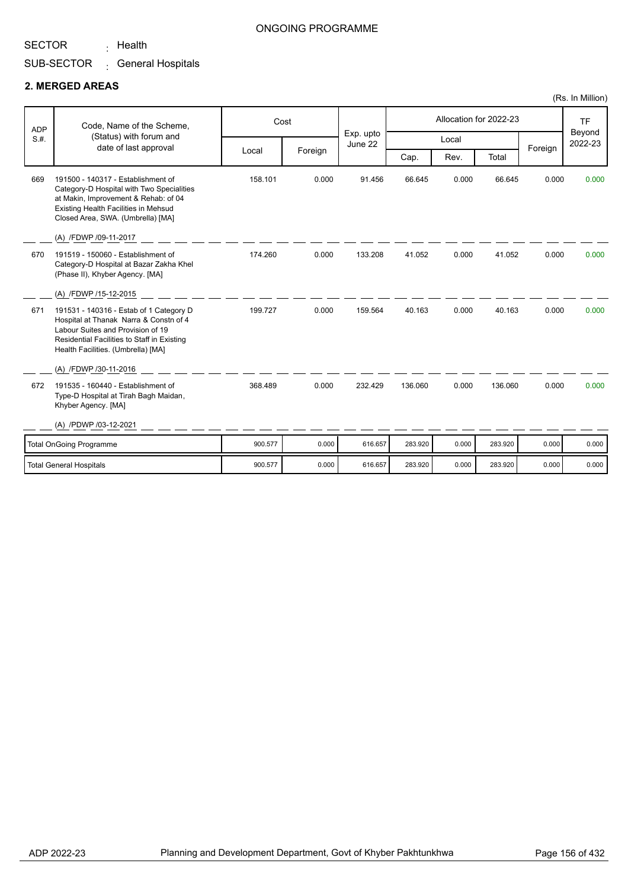<sub>:</sub> Health

### ONGOING PROGRAMME

# SUB-SECTOR <sub>:</sub> General Hospitals

#### **2. MERGED AREAS**

| <b>ADP</b> | Code, Name of the Scheme,                                                                                                                                                                                                     |         | Cost    | Exp. upto |         | Allocation for 2022-23 | <b>TF</b><br>Beyond |         |         |
|------------|-------------------------------------------------------------------------------------------------------------------------------------------------------------------------------------------------------------------------------|---------|---------|-----------|---------|------------------------|---------------------|---------|---------|
| S.H.       | (Status) with forum and<br>date of last approval                                                                                                                                                                              |         |         | June 22   |         | Local                  |                     |         | 2022-23 |
|            |                                                                                                                                                                                                                               | Local   | Foreign |           | Cap.    | Rev.                   | Total               | Foreign |         |
| 669        | 191500 - 140317 - Establishment of<br>Category-D Hospital with Two Specialities<br>at Makin, Improvement & Rehab: of 04<br>Existing Health Facilities in Mehsud<br>Closed Area, SWA. (Umbrella) [MA]<br>(A) /FDWP /09-11-2017 | 158.101 | 0.000   | 91.456    | 66.645  | 0.000                  | 66.645              | 0.000   | 0.000   |
| 670        | 191519 - 150060 - Establishment of<br>Category-D Hospital at Bazar Zakha Khel<br>(Phase II), Khyber Agency. [MA]                                                                                                              | 174.260 | 0.000   | 133.208   | 41.052  | 0.000                  | 41.052              | 0.000   | 0.000   |
|            | (A) /FDWP /15-12-2015                                                                                                                                                                                                         |         |         |           |         |                        |                     |         |         |
| 671        | 191531 - 140316 - Estab of 1 Category D<br>Hospital at Thanak Narra & Constn of 4<br>Labour Suites and Provision of 19<br>Residential Facilities to Staff in Existing<br>Health Facilities. (Umbrella) [MA]                   | 199.727 | 0.000   | 159.564   | 40.163  | 0.000                  | 40.163              | 0.000   | 0.000   |
|            | (A) /FDWP /30-11-2016                                                                                                                                                                                                         |         |         |           |         |                        |                     |         |         |
| 672        | 191535 - 160440 - Establishment of<br>Type-D Hospital at Tirah Bagh Maidan,<br>Khyber Agency. [MA]                                                                                                                            | 368.489 | 0.000   | 232.429   | 136.060 | 0.000                  | 136.060             | 0.000   | 0.000   |
|            | (A) /PDWP /03-12-2021                                                                                                                                                                                                         |         |         |           |         |                        |                     |         |         |
|            | <b>Total OnGoing Programme</b>                                                                                                                                                                                                | 900.577 | 0.000   | 616.657   | 283.920 | 0.000                  | 283.920             | 0.000   | 0.000   |
|            | <b>Total General Hospitals</b>                                                                                                                                                                                                | 900.577 | 0.000   | 616.657   | 283.920 | 0.000                  | 283.920             | 0.000   | 0.000   |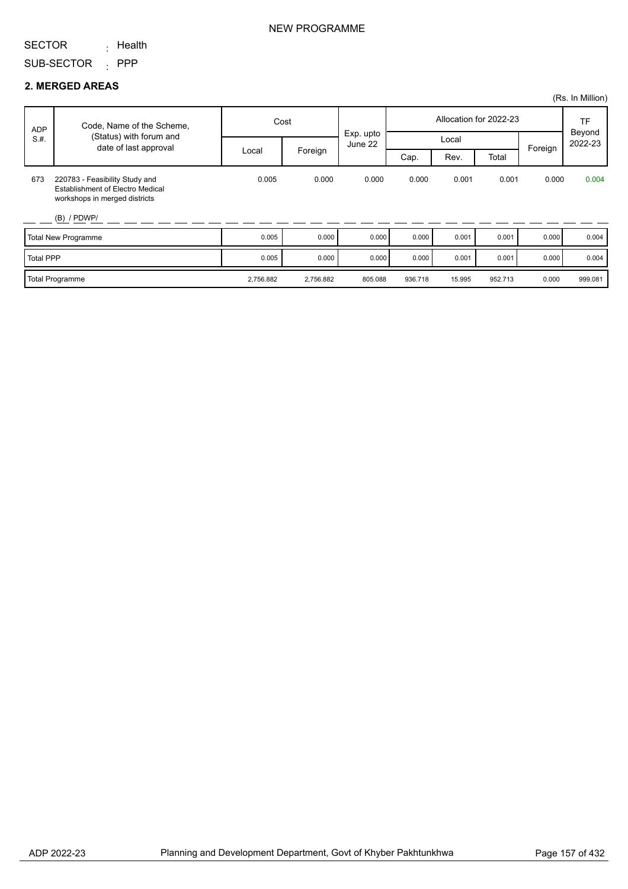<sub>:</sub> Health

SUB-SECTOR : PPP

#### **2. MERGED AREAS**

|                  |                                                                                                                      |           |           |                      |         |        |                        |         | (Rs. In Million)  |
|------------------|----------------------------------------------------------------------------------------------------------------------|-----------|-----------|----------------------|---------|--------|------------------------|---------|-------------------|
| <b>ADP</b>       | Code, Name of the Scheme,                                                                                            | Cost      |           |                      |         |        | Allocation for 2022-23 |         | <b>TF</b>         |
| S.H.             | (Status) with forum and<br>date of last approval                                                                     |           |           | Exp. upto<br>June 22 |         | Local  |                        | Foreign | Beyond<br>2022-23 |
|                  |                                                                                                                      | Local     | Foreign   |                      | Cap.    | Rev.   | Total                  |         |                   |
| 673              | 220783 - Feasibility Study and<br>Establishment of Electro Medical<br>workshops in merged districts<br>$(B)$ / PDWP/ | 0.005     | 0.000     | 0.000                | 0.000   | 0.001  | 0.001                  | 0.000   | 0.004             |
|                  | <b>Total New Programme</b>                                                                                           | 0.005     | 0.000     | 0.000                | 0.000   | 0.001  | 0.001                  | 0.000   | 0.004             |
| <b>Total PPP</b> |                                                                                                                      | 0.005     | 0.000     | 0.000                | 0.000   | 0.001  | 0.001                  | 0.000   | 0.004             |
|                  | <b>Total Programme</b>                                                                                               | 2,756.882 | 2,756.882 | 805.088              | 936.718 | 15.995 | 952.713                | 0.000   | 999.081           |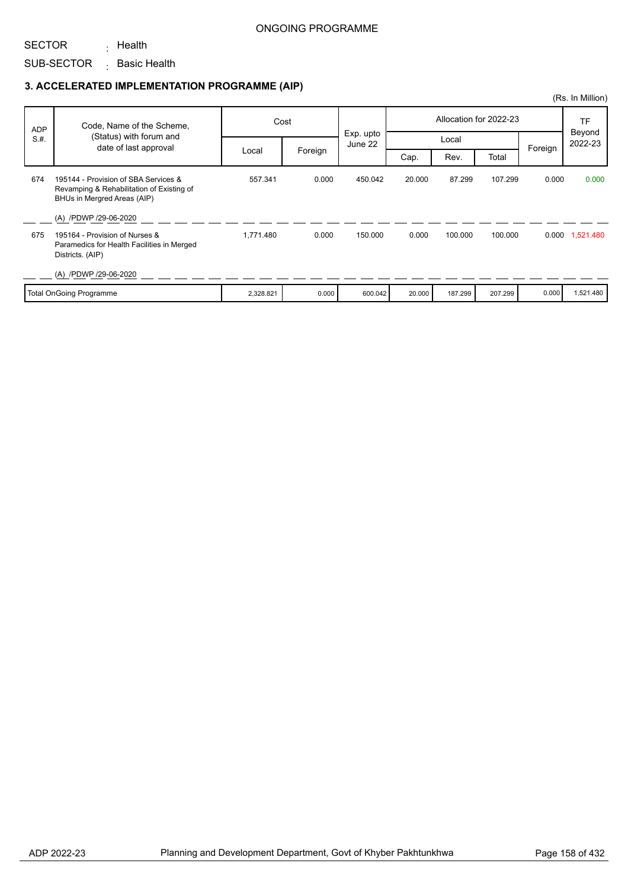### ONGOING PROGRAMME

SECTOR

SUB-SECTOR <sub>:</sub> Basic Health <sub>:</sub> Health

# **3. ACCELERATED IMPLEMENTATION PROGRAMME (AIP)**

|            |                                                                                                                  |           |         |           |        |         |                        |         | (Rs. In Million) |
|------------|------------------------------------------------------------------------------------------------------------------|-----------|---------|-----------|--------|---------|------------------------|---------|------------------|
| <b>ADP</b> | Code, Name of the Scheme,                                                                                        |           | Cost    | Exp. upto |        |         | Allocation for 2022-23 |         | TF<br>Beyond     |
| S.H.       | (Status) with forum and<br>date of last approval                                                                 |           |         | June 22   | Local  |         |                        | Foreign | 2022-23          |
|            |                                                                                                                  | Local     | Foreign |           | Cap.   | Rev.    | Total                  |         |                  |
| 674        | 195144 - Provision of SBA Services &<br>Revamping & Rehabilitation of Existing of<br>BHUs in Mergred Areas (AIP) | 557.341   | 0.000   | 450.042   | 20.000 | 87.299  | 107.299                | 0.000   | 0.000            |
|            | (A) /PDWP /29-06-2020                                                                                            |           |         |           |        |         |                        |         |                  |
| 675        | 195164 - Provision of Nurses &<br>Paramedics for Health Facilities in Merged<br>Districts. (AIP)                 | 1,771.480 | 0.000   | 150,000   | 0.000  | 100.000 | 100.000                |         | 0.000 1,521.480  |
|            | (A) /PDWP /29-06-2020                                                                                            |           |         |           |        |         |                        |         |                  |
|            | <b>Total OnGoing Programme</b>                                                                                   | 2,328.821 | 0.000   | 600.042   | 20.000 | 187.299 | 207.299                | 0.000   | 1,521.480        |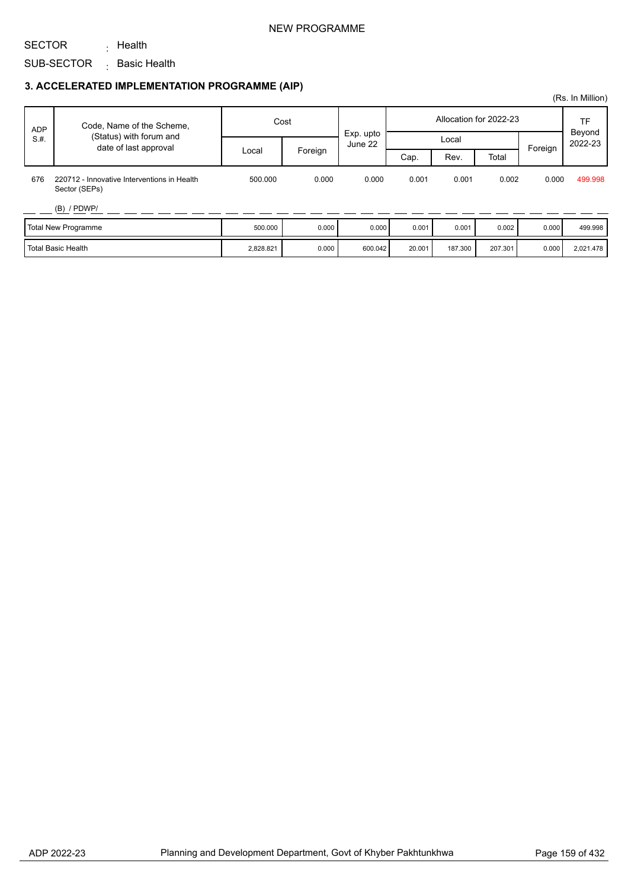### NEW PROGRAMME

## SECTOR

# SUB-SECTOR <sub>:</sub> Basic Health

<sub>:</sub> Health

# **3. ACCELERATED IMPLEMENTATION PROGRAMME (AIP)**

|            |                                                              |           |         |                      |        |         |                        |         | (Rs. In Million) |
|------------|--------------------------------------------------------------|-----------|---------|----------------------|--------|---------|------------------------|---------|------------------|
| <b>ADP</b> | Code, Name of the Scheme,                                    |           | Cost    |                      |        |         | Allocation for 2022-23 |         | TF<br>Beyond     |
| S.H.       | (Status) with forum and<br>date of last approval             |           |         | Exp. upto<br>June 22 |        | Local   |                        | Foreign | 2022-23          |
|            |                                                              | Local     | Foreign |                      | Cap.   | Rev.    | Total                  |         |                  |
| 676        | 220712 - Innovative Interventions in Health<br>Sector (SEPs) | 500.000   | 0.000   | 0.000                | 0.001  | 0.001   | 0.002                  | 0.000   | 499.998          |
|            | $(B)$ / PDWP/                                                |           |         |                      |        |         |                        |         |                  |
|            | Total New Programme                                          | 500.000   | 0.000   | 0.000                | 0.001  | 0.001   | 0.002                  | 0.000   | 499.998          |
|            | l Total Basic Health                                         | 2,828.821 | 0.000   | 600.042              | 20.001 | 187.300 | 207.301                | 0.000   | 2,021.478        |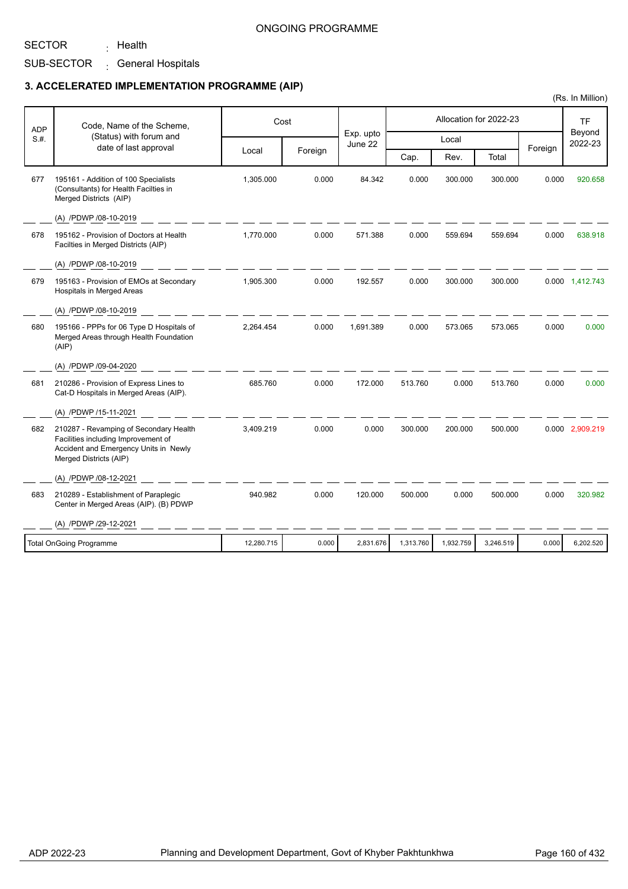ONGOING PROGRAMME

SECTOR

<sub>:</sub> Health

## SUB-SECTOR <sub>:</sub> General Hospitals

### **3. ACCELERATED IMPLEMENTATION PROGRAMME (AIP)**

| <b>ADP</b> | Code, Name of the Scheme,                                                                                                                        |            | Cost    |                      |           |           | Allocation for 2022-23 |         | <b>TF</b>         |
|------------|--------------------------------------------------------------------------------------------------------------------------------------------------|------------|---------|----------------------|-----------|-----------|------------------------|---------|-------------------|
| S.H.       | (Status) with forum and<br>date of last approval                                                                                                 |            |         | Exp. upto<br>June 22 |           | Local     |                        |         | Beyond<br>2022-23 |
|            |                                                                                                                                                  | Local      | Foreign |                      | Cap.      | Rev.      | Total                  | Foreign |                   |
| 677        | 195161 - Addition of 100 Specialists<br>(Consultants) for Health Facilties in<br>Merged Districts (AIP)                                          | 1,305.000  | 0.000   | 84.342               | 0.000     | 300.000   | 300.000                | 0.000   | 920.658           |
|            | (A) /PDWP /08-10-2019                                                                                                                            |            |         |                      |           |           |                        |         |                   |
| 678        | 195162 - Provision of Doctors at Health<br>Facilties in Merged Districts (AIP)                                                                   | 1.770.000  | 0.000   | 571.388              | 0.000     | 559.694   | 559.694                | 0.000   | 638.918           |
|            | (A) /PDWP /08-10-2019                                                                                                                            |            |         |                      |           |           |                        |         |                   |
| 679        | 195163 - Provision of EMOs at Secondary<br><b>Hospitals in Merged Areas</b>                                                                      | 1,905.300  | 0.000   | 192.557              | 0.000     | 300.000   | 300.000                |         | 0.000 1,412.743   |
|            | (A) /PDWP /08-10-2019                                                                                                                            |            |         |                      |           |           |                        |         |                   |
| 680        | 195166 - PPPs for 06 Type D Hospitals of<br>Merged Areas through Health Foundation<br>(AIP)                                                      | 2,264.454  | 0.000   | 1,691.389            | 0.000     | 573.065   | 573.065                | 0.000   | 0.000             |
|            | (A) /PDWP /09-04-2020                                                                                                                            |            |         |                      |           |           |                        |         |                   |
| 681        | 210286 - Provision of Express Lines to<br>Cat-D Hospitals in Merged Areas (AIP).                                                                 | 685.760    | 0.000   | 172.000              | 513.760   | 0.000     | 513.760                | 0.000   | 0.000             |
|            | (A) /PDWP /15-11-2021                                                                                                                            |            |         |                      |           |           |                        |         |                   |
| 682        | 210287 - Revamping of Secondary Health<br>Facilities including Improvement of<br>Accident and Emergency Units in Newly<br>Merged Districts (AIP) | 3,409.219  | 0.000   | 0.000                | 300.000   | 200.000   | 500.000                |         | 0.000 2,909.219   |
|            | (A) /PDWP /08-12-2021                                                                                                                            |            |         |                      |           |           |                        |         |                   |
| 683        | 210289 - Establishment of Paraplegic<br>Center in Merged Areas (AIP). (B) PDWP                                                                   | 940.982    | 0.000   | 120.000              | 500.000   | 0.000     | 500.000                | 0.000   | 320.982           |
|            | (A) /PDWP /29-12-2021                                                                                                                            |            |         |                      |           |           |                        |         |                   |
|            | <b>Total OnGoing Programme</b>                                                                                                                   | 12,280.715 | 0.000   | 2,831.676            | 1,313.760 | 1,932.759 | 3,246.519              | 0.000   | 6,202.520         |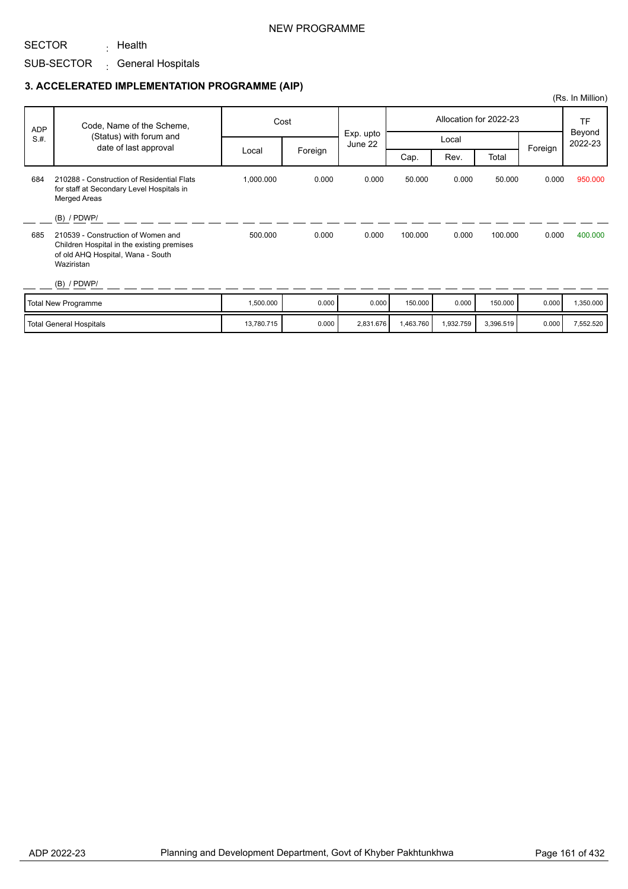<sub>:</sub> Health

## SUB-SECTOR <sub>:</sub> General Hospitals

## **3. ACCELERATED IMPLEMENTATION PROGRAMME (AIP)**

|            |                                                                                                                                     |            |         |                      |           |           |                        |         | (Rs. In Million)  |
|------------|-------------------------------------------------------------------------------------------------------------------------------------|------------|---------|----------------------|-----------|-----------|------------------------|---------|-------------------|
| <b>ADP</b> | Code, Name of the Scheme,                                                                                                           |            | Cost    |                      |           |           | Allocation for 2022-23 |         | <b>TF</b>         |
| S.H.       | (Status) with forum and<br>date of last approval                                                                                    |            |         | Exp. upto<br>June 22 |           | Local     |                        |         | Beyond<br>2022-23 |
|            |                                                                                                                                     | Local      | Foreign |                      | Cap.      | Rev.      | Total                  | Foreign |                   |
| 684        | 210288 - Construction of Residential Flats<br>for staff at Secondary Level Hospitals in<br><b>Merged Areas</b>                      | 1,000.000  | 0.000   | 0.000                | 50.000    | 0.000     | 50.000                 | 0.000   | 950.000           |
|            | $(B)$ / PDWP/                                                                                                                       |            |         |                      |           |           |                        |         |                   |
| 685        | 210539 - Construction of Women and<br>Children Hospital in the existing premises<br>of old AHQ Hospital, Wana - South<br>Waziristan | 500.000    | 0.000   | 0.000                | 100.000   | 0.000     | 100.000                | 0.000   | 400.000           |
|            | $(B)$ / PDWP/                                                                                                                       |            |         |                      |           |           |                        |         |                   |
|            | Total New Programme                                                                                                                 | 1,500.000  | 0.000   | 0.000                | 150.000   | 0.000     | 150.000                | 0.000   | 1,350.000         |
|            | <b>Total General Hospitals</b>                                                                                                      | 13,780.715 | 0.000   | 2,831.676            | 1,463.760 | 1,932.759 | 3,396.519              | 0.000   | 7,552.520         |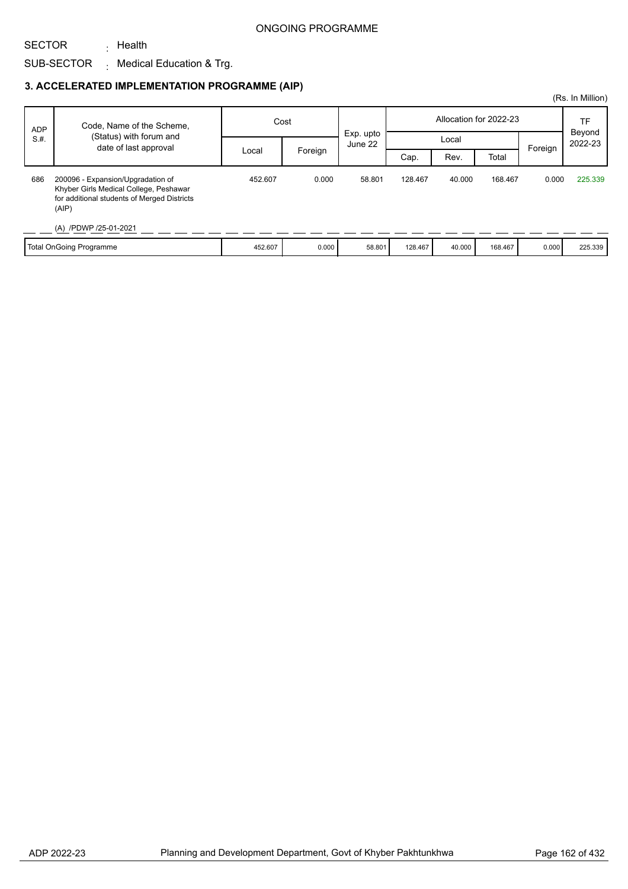### ONGOING PROGRAMME

#### SECTOR <sub>:</sub> Health

# SUB-SECTOR Medical Education & Trg. :

# **3. ACCELERATED IMPLEMENTATION PROGRAMME (AIP)**

|            |                                                                                                                                                              |         |         |                      |                        |        |         |         | (Rs. In Million)  |
|------------|--------------------------------------------------------------------------------------------------------------------------------------------------------------|---------|---------|----------------------|------------------------|--------|---------|---------|-------------------|
| <b>ADP</b> | Code, Name of the Scheme,                                                                                                                                    | Cost    |         | Exp. upto<br>June 22 | Allocation for 2022-23 |        |         |         | <b>TF</b>         |
| S.H.       | (Status) with forum and<br>date of last approval                                                                                                             |         |         |                      | Local                  |        |         |         | Beyond<br>2022-23 |
|            |                                                                                                                                                              | Local   | Foreign |                      | Cap.                   | Rev.   | Total   | Foreign |                   |
| 686        | 200096 - Expansion/Upgradation of<br>Khyber Girls Medical College, Peshawar<br>for additional students of Merged Districts<br>(AIP)<br>(A) /PDWP /25-01-2021 | 452.607 | 0.000   | 58.801               | 128.467                | 40.000 | 168.467 | 0.000   | 225.339           |
|            | Total OnGoing Programme                                                                                                                                      | 452.607 | 0.000   | 58.801               | 128.467                | 40.000 | 168.467 | 0.000   | 225.339           |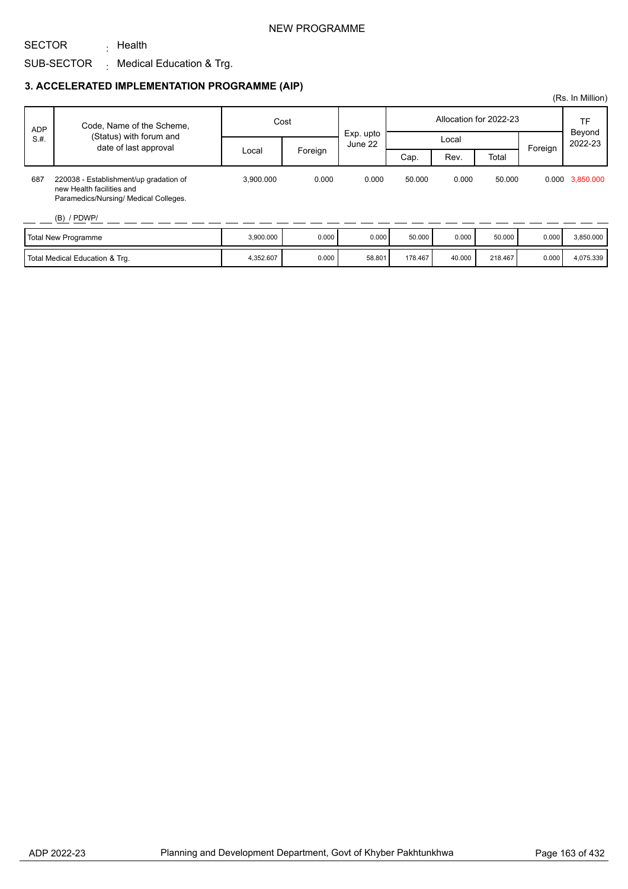### NEW PROGRAMME

#### SUB-SECTOR <sub>:</sub> Health  $\colon$  Medical Education & Trg.

### **3. ACCELERATED IMPLEMENTATION PROGRAMME (AIP)**

| <b>ADP</b> | Code, Name of the Scheme,                                                                                    | Cost      |         | Exp. upto |         | Allocation for 2022-23 |         | TF<br>Beyond |                 |
|------------|--------------------------------------------------------------------------------------------------------------|-----------|---------|-----------|---------|------------------------|---------|--------------|-----------------|
| S.H.       | (Status) with forum and<br>date of last approval                                                             |           |         | June 22   |         | Local                  |         | Foreign      | 2022-23         |
|            |                                                                                                              | Local     | Foreign |           | Cap.    | Rev.                   | Total   |              |                 |
| 687        | 220038 - Establishment/up gradation of<br>new Health facilities and<br>Paramedics/Nursing/ Medical Colleges. | 3.900.000 | 0.000   | 0.000     | 50.000  | 0.000                  | 50.000  |              | 0.000 3,850.000 |
|            | $(B)$ / PDWP/                                                                                                |           |         |           |         |                        |         |              |                 |
|            | Total New Programme                                                                                          | 3,900.000 | 0.000   | 0.000     | 50.000  | 0.000                  | 50,000  | 0.000        | 3,850.000       |
|            | Total Medical Education & Trg.                                                                               | 4,352.607 | 0.000   | 58.801    | 178,467 | 40.000                 | 218,467 | 0.000        | 4,075.339       |

(Rs. In Million)

SECTOR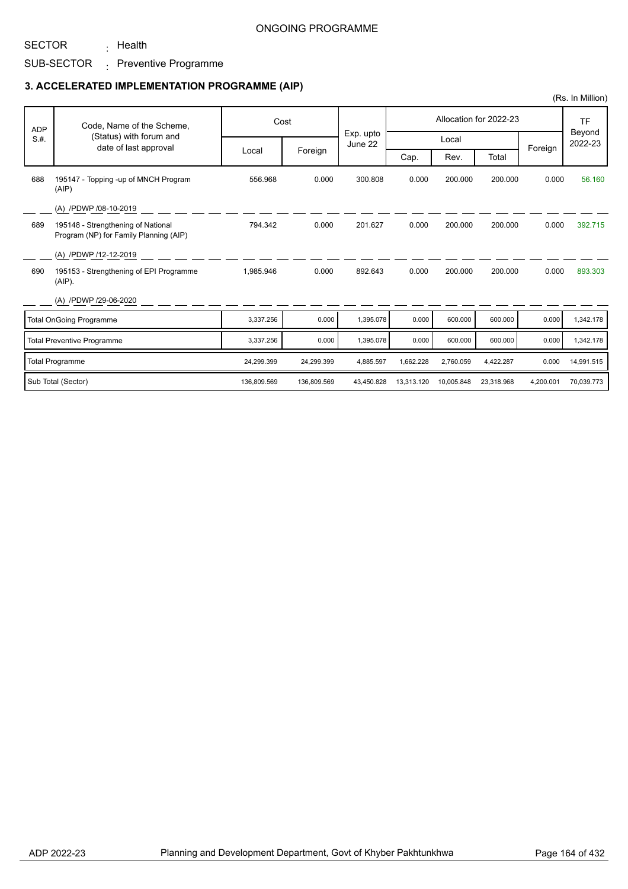# SUB-SECTOR <sub>:</sub> Preventive Programme <sub>:</sub> Health

## **3. ACCELERATED IMPLEMENTATION PROGRAMME (AIP)**

|            |                                                                              |             |             |                      |            |            |                        |           | (Rs. In Million)  |
|------------|------------------------------------------------------------------------------|-------------|-------------|----------------------|------------|------------|------------------------|-----------|-------------------|
| <b>ADP</b> | Code, Name of the Scheme,                                                    |             | Cost        |                      |            |            | Allocation for 2022-23 |           | <b>TF</b>         |
| S.H.       | (Status) with forum and<br>date of last approval                             |             |             | Exp. upto<br>June 22 |            | Local      |                        |           | Beyond<br>2022-23 |
|            |                                                                              | Local       | Foreign     |                      | Cap.       | Rev.       | Total                  | Foreign   |                   |
| 688        | 195147 - Topping -up of MNCH Program<br>(AIP)                                | 556.968     | 0.000       | 300.808              | 0.000      | 200.000    | 200.000                | 0.000     | 56.160            |
|            | (A) /PDWP /08-10-2019                                                        |             |             |                      |            |            |                        |           |                   |
| 689        | 195148 - Strengthening of National<br>Program (NP) for Family Planning (AIP) | 794.342     | 0.000       | 201.627              | 0.000      | 200.000    | 200.000                | 0.000     | 392.715           |
|            | (A) /PDWP /12-12-2019                                                        |             |             |                      |            |            |                        |           |                   |
| 690        | 195153 - Strengthening of EPI Programme<br>$(AIP)$ .                         | 1,985.946   | 0.000       | 892.643              | 0.000      | 200.000    | 200.000                | 0.000     | 893.303           |
|            | (A) /PDWP /29-06-2020                                                        |             |             |                      |            |            |                        |           |                   |
|            | <b>Total OnGoing Programme</b>                                               | 3,337.256   | 0.000       | 1,395.078            | 0.000      | 600,000    | 600.000                | 0.000     | 1,342.178         |
|            | <b>Total Preventive Programme</b>                                            | 3,337.256   | 0.000       | 1,395.078            | 0.000      | 600.000    | 600.000                | 0.000     | 1,342.178         |
|            | <b>Total Programme</b>                                                       | 24,299.399  | 24,299.399  | 4,885.597            | 1,662.228  | 2,760.059  | 4,422.287              | 0.000     | 14,991.515        |
|            | Sub Total (Sector)                                                           | 136.809.569 | 136.809.569 | 43.450.828           | 13,313.120 | 10.005.848 | 23.318.968             | 4,200.001 | 70.039.773        |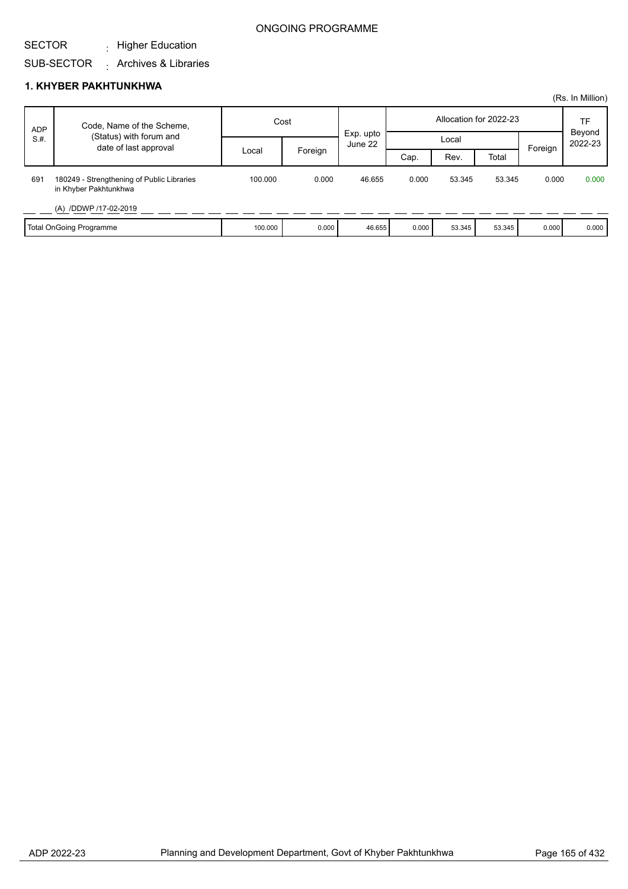## ONGOING PROGRAMME

#### SECTOR  $\cdot$  Higher Education

# SUB-SECTOR Archives & Libraries :

#### **1. KHYBER PAKHTUNKHWA**

|            |                                                                     |         |         |                      |       |        |                        |         | (Rs. In Million)  |
|------------|---------------------------------------------------------------------|---------|---------|----------------------|-------|--------|------------------------|---------|-------------------|
| <b>ADP</b> | Code, Name of the Scheme,                                           | Cost    |         |                      |       |        | Allocation for 2022-23 |         | TF                |
| S.H.       | (Status) with forum and<br>date of last approval                    |         |         | Exp. upto<br>June 22 |       | Local  |                        |         | Beyond<br>2022-23 |
|            |                                                                     | Local   | Foreign |                      | Cap.  | Rev.   | Total                  | Foreign |                   |
| 691        | 180249 - Strengthening of Public Libraries<br>in Khyber Pakhtunkhwa | 100.000 | 0.000   | 46.655               | 0.000 | 53.345 | 53.345                 | 0.000   | 0.000             |
|            | (A) /DDWP /17-02-2019                                               |         |         |                      |       |        |                        |         |                   |
|            | Total OnGoing Programme                                             | 100.000 | 0.000   | 46.655               | 0.000 | 53.345 | 53.345                 | 0.000   | 0.000             |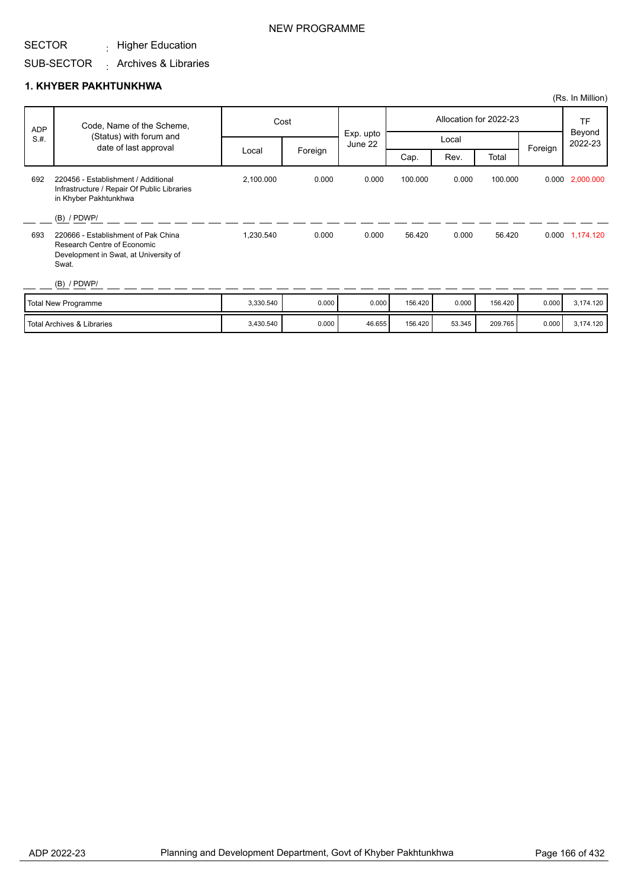#### SECTOR  $\cdot$  Higher Education

# SUB-SECTOR Archives & Libraries :

### **1. KHYBER PAKHTUNKHWA**

| <b>ADP</b> | Code, Name of the Scheme,                                                                                            |           | Cost    |                      |         |        | Allocation for 2022-23 |         | <b>TF</b>         |
|------------|----------------------------------------------------------------------------------------------------------------------|-----------|---------|----------------------|---------|--------|------------------------|---------|-------------------|
| S.H.       | (Status) with forum and<br>date of last approval                                                                     |           |         | Exp. upto<br>June 22 |         | Local  |                        |         | Beyond<br>2022-23 |
|            |                                                                                                                      | Local     | Foreign |                      | Cap.    | Rev.   | Total                  | Foreign |                   |
| 692        | 220456 - Establishment / Additional<br>Infrastructure / Repair Of Public Libraries<br>in Khyber Pakhtunkhwa          | 2,100.000 | 0.000   | 0.000                | 100.000 | 0.000  | 100.000                |         | 0.000 2,000.000   |
|            | $(B)$ / PDWP/                                                                                                        |           |         |                      |         |        |                        |         |                   |
| 693        | 220666 - Establishment of Pak China<br>Research Centre of Economic<br>Development in Swat, at University of<br>Swat. | 1,230.540 | 0.000   | 0.000                | 56.420  | 0.000  | 56.420                 |         | 0.000 1,174.120   |
|            | $(B)$ / PDWP/                                                                                                        |           |         |                      |         |        |                        |         |                   |
|            | <b>Total New Programme</b>                                                                                           | 3,330.540 | 0.000   | 0.000                | 156.420 | 0.000  | 156.420                | 0.000   | 3,174.120         |
|            | <b>Total Archives &amp; Libraries</b>                                                                                | 3,430.540 | 0.000   | 46.655               | 156.420 | 53.345 | 209.765                | 0.000   | 3,174.120         |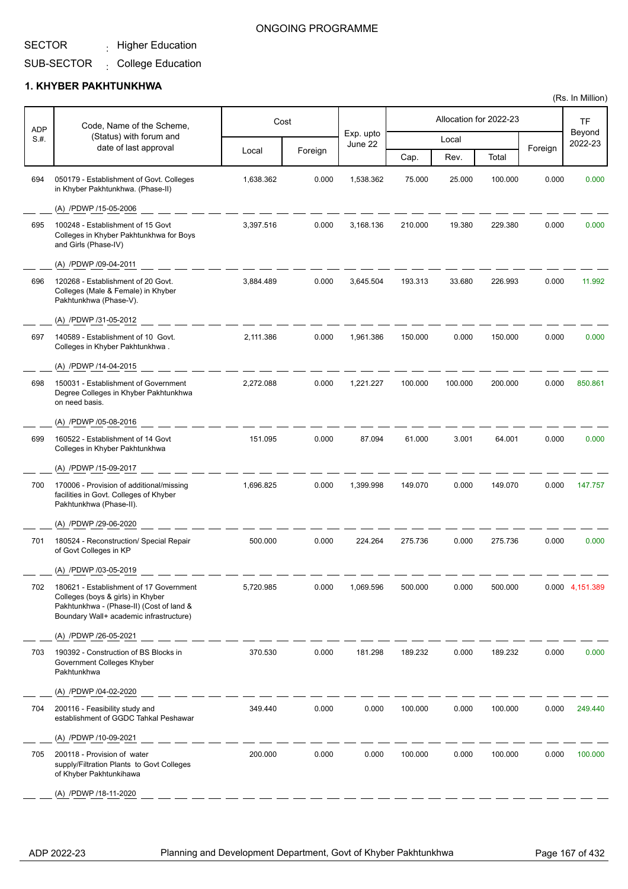$\cdot$  Higher Education

# SUB-SECTOR College Education

# **1. KHYBER PAKHTUNKHWA**

| <b>ADP</b> | Code, Name of the Scheme,                                                                                                                                           |           | Cost    |                      |         |         | Allocation for 2022-23 |         | TF                |
|------------|---------------------------------------------------------------------------------------------------------------------------------------------------------------------|-----------|---------|----------------------|---------|---------|------------------------|---------|-------------------|
| S.#.       | (Status) with forum and<br>date of last approval                                                                                                                    |           |         | Exp. upto<br>June 22 |         | Local   |                        |         | Beyond<br>2022-23 |
|            |                                                                                                                                                                     | Local     | Foreign |                      | Cap.    | Rev.    | Total                  | Foreign |                   |
| 694        | 050179 - Establishment of Govt. Colleges<br>in Khyber Pakhtunkhwa. (Phase-II)                                                                                       | 1,638.362 | 0.000   | 1,538.362            | 75.000  | 25.000  | 100.000                | 0.000   | 0.000             |
|            | (A) /PDWP /15-05-2006                                                                                                                                               |           |         |                      |         |         |                        |         |                   |
| 695        | 100248 - Establishment of 15 Govt<br>Colleges in Khyber Pakhtunkhwa for Boys<br>and Girls (Phase-IV)                                                                | 3.397.516 | 0.000   | 3,168.136            | 210.000 | 19.380  | 229.380                | 0.000   | 0.000             |
|            | (A) /PDWP /09-04-2011                                                                                                                                               |           |         |                      |         |         |                        |         |                   |
| 696        | 120268 - Establishment of 20 Govt.<br>Colleges (Male & Female) in Khyber<br>Pakhtunkhwa (Phase-V).                                                                  | 3,884.489 | 0.000   | 3,645.504            | 193.313 | 33.680  | 226.993                | 0.000   | 11.992            |
|            | (A) /PDWP /31-05-2012                                                                                                                                               |           |         |                      |         |         |                        |         |                   |
| 697        | 140589 - Establishment of 10 Govt.<br>Colleges in Khyber Pakhtunkhwa.                                                                                               | 2,111.386 | 0.000   | 1,961.386            | 150.000 | 0.000   | 150.000                | 0.000   | 0.000             |
|            | (A) /PDWP /14-04-2015                                                                                                                                               |           |         |                      |         |         |                        |         |                   |
| 698        | 150031 - Establishment of Government<br>Degree Colleges in Khyber Pakhtunkhwa<br>on need basis.                                                                     | 2,272.088 | 0.000   | 1,221.227            | 100.000 | 100.000 | 200.000                | 0.000   | 850.861           |
|            | (A) /PDWP /05-08-2016                                                                                                                                               |           |         |                      |         |         |                        |         |                   |
| 699        | 160522 - Establishment of 14 Govt<br>Colleges in Khyber Pakhtunkhwa                                                                                                 | 151.095   | 0.000   | 87.094               | 61.000  | 3.001   | 64.001                 | 0.000   | 0.000             |
|            | (A) /PDWP /15-09-2017                                                                                                                                               |           |         |                      |         |         |                        |         |                   |
| 700        | 170006 - Provision of additional/missing<br>facilities in Govt. Colleges of Khyber<br>Pakhtunkhwa (Phase-II).                                                       | 1,696.825 | 0.000   | 1,399.998            | 149.070 | 0.000   | 149.070                | 0.000   | 147.757           |
|            | (A) /PDWP /29-06-2020                                                                                                                                               |           |         |                      |         |         |                        |         |                   |
| 701        | 180524 - Reconstruction/ Special Repair<br>of Govt Colleges in KP                                                                                                   | 500.000   | 0.000   | 224.264              | 275.736 | 0.000   | 275.736                | 0.000   | 0.000             |
|            | (A) /PDWP /03-05-2019                                                                                                                                               |           |         |                      |         |         |                        |         |                   |
| 702        | 180621 - Establishment of 17 Government<br>Colleges (boys & girls) in Khyber<br>Pakhtunkhwa - (Phase-II) (Cost of land &<br>Boundary Wall+ academic infrastructure) | 5,720.985 | 0.000   | 1,069.596            | 500.000 | 0.000   | 500.000                |         | 0.000 4,151.389   |
|            | (A) /PDWP /26-05-2021                                                                                                                                               |           |         |                      |         |         |                        |         |                   |
| 703        | 190392 - Construction of BS Blocks in<br>Government Colleges Khyber<br>Pakhtunkhwa                                                                                  | 370.530   | 0.000   | 181.298              | 189.232 | 0.000   | 189.232                | 0.000   | 0.000             |
|            | (A) /PDWP /04-02-2020                                                                                                                                               |           |         |                      |         |         |                        |         |                   |
| 704        | 200116 - Feasibility study and<br>establishment of GGDC Tahkal Peshawar                                                                                             | 349.440   | 0.000   | 0.000                | 100.000 | 0.000   | 100.000                | 0.000   | 249.440           |
|            | (A) /PDWP /10-09-2021                                                                                                                                               |           |         |                      |         |         |                        |         |                   |
| 705        | 200118 - Provision of water<br>supply/Filtration Plants to Govt Colleges<br>of Khyber Pakhtunkihawa                                                                 | 200.000   | 0.000   | 0.000                | 100.000 | 0.000   | 100.000                | 0.000   | 100.000           |
|            | (A) /PDWP /18-11-2020                                                                                                                                               |           |         |                      |         |         |                        |         |                   |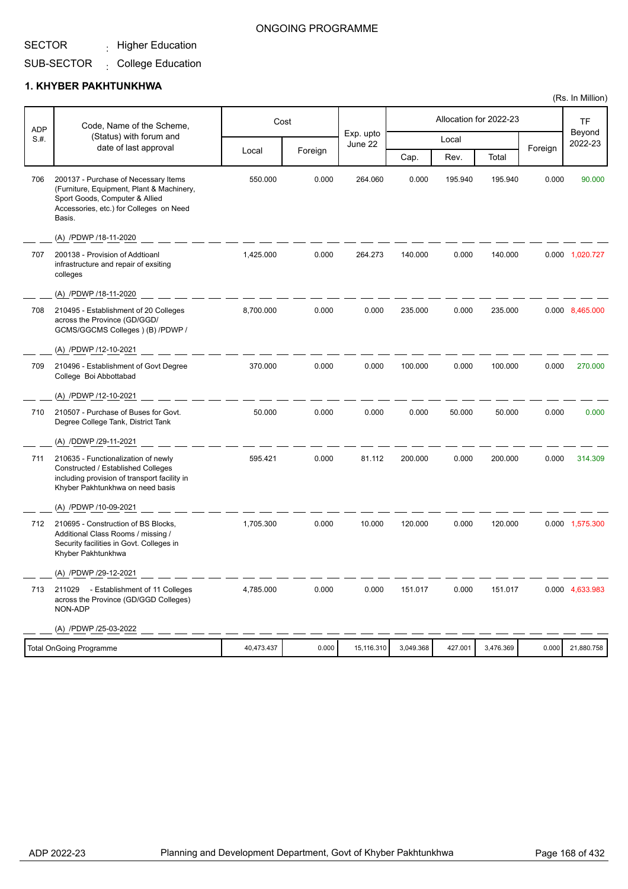#### SECTOR  $\cdot$  Higher Education

## ONGOING PROGRAMME

#### SUB-SECTOR  $\cdot$  College Education

### **1. KHYBER PAKHTUNKHWA**

| <b>ADP</b> | Code, Name of the Scheme,                                                                                                                                                |            | Cost    |                      |           |         | Allocation for 2022-23 |         | <b>TF</b>         |
|------------|--------------------------------------------------------------------------------------------------------------------------------------------------------------------------|------------|---------|----------------------|-----------|---------|------------------------|---------|-------------------|
| S.#.       | (Status) with forum and<br>date of last approval                                                                                                                         |            |         | Exp. upto<br>June 22 |           | Local   |                        | Foreign | Beyond<br>2022-23 |
|            |                                                                                                                                                                          | Local      | Foreign |                      | Cap.      | Rev.    | Total                  |         |                   |
| 706        | 200137 - Purchase of Necessary Items<br>(Furniture, Equipment, Plant & Machinery,<br>Sport Goods, Computer & Allied<br>Accessories, etc.) for Colleges on Need<br>Basis. | 550.000    | 0.000   | 264.060              | 0.000     | 195.940 | 195.940                | 0.000   | 90.000            |
|            | (A) /PDWP /18-11-2020                                                                                                                                                    |            |         |                      |           |         |                        |         |                   |
| 707        | 200138 - Provision of Addtioanl<br>infrastructure and repair of exsiting<br>colleges                                                                                     | 1,425.000  | 0.000   | 264.273              | 140.000   | 0.000   | 140.000                |         | 0.000 1,020.727   |
|            | (A) /PDWP /18-11-2020                                                                                                                                                    |            |         |                      |           |         |                        |         |                   |
| 708        | 210495 - Establishment of 20 Colleges<br>across the Province (GD/GGD/<br>GCMS/GGCMS Colleges ) (B) /PDWP /                                                               | 8,700.000  | 0.000   | 0.000                | 235.000   | 0.000   | 235.000                |         | 0.000 8,465.000   |
|            | (A) /PDWP /12-10-2021                                                                                                                                                    |            |         |                      |           |         |                        |         |                   |
| 709        | 210496 - Establishment of Govt Degree<br>College Boi Abbottabad                                                                                                          | 370.000    | 0.000   | 0.000                | 100.000   | 0.000   | 100.000                | 0.000   | 270.000           |
|            | (A) /PDWP /12-10-2021                                                                                                                                                    |            |         |                      |           |         |                        |         |                   |
| 710        | 210507 - Purchase of Buses for Govt.<br>Degree College Tank, District Tank                                                                                               | 50.000     | 0.000   | 0.000                | 0.000     | 50.000  | 50.000                 | 0.000   | 0.000             |
|            | (A) /DDWP /29-11-2021                                                                                                                                                    |            |         |                      |           |         |                        |         |                   |
| 711        | 210635 - Functionalization of newly<br>Constructed / Established Colleges<br>including provision of transport facility in<br>Khyber Pakhtunkhwa on need basis            | 595.421    | 0.000   | 81.112               | 200.000   | 0.000   | 200.000                | 0.000   | 314.309           |
|            | (A) /PDWP /10-09-2021                                                                                                                                                    |            |         |                      |           |         |                        |         |                   |
| 712        | 210695 - Construction of BS Blocks,<br>Additional Class Rooms / missing /<br>Security facilities in Govt. Colleges in<br>Khyber Pakhtunkhwa                              | 1,705.300  | 0.000   | 10.000               | 120.000   | 0.000   | 120.000                |         | 0.000 1,575.300   |
|            | (A) /PDWP /29-12-2021                                                                                                                                                    |            |         |                      |           |         |                        |         |                   |
| 713        | 211029 - Establishment of 11 Colleges<br>across the Province (GD/GGD Colleges)<br>NON-ADP                                                                                | 4,785.000  | 0.000   | 0.000                | 151.017   | 0.000   | 151.017                |         | 0.000 4,633.983   |
|            | (A) /PDWP /25-03-2022                                                                                                                                                    |            |         |                      |           |         |                        |         |                   |
|            | <b>Total OnGoing Programme</b>                                                                                                                                           | 40,473.437 | 0.000   | 15,116.310           | 3,049.368 | 427.001 | 3,476.369              | 0.000   | 21,880.758        |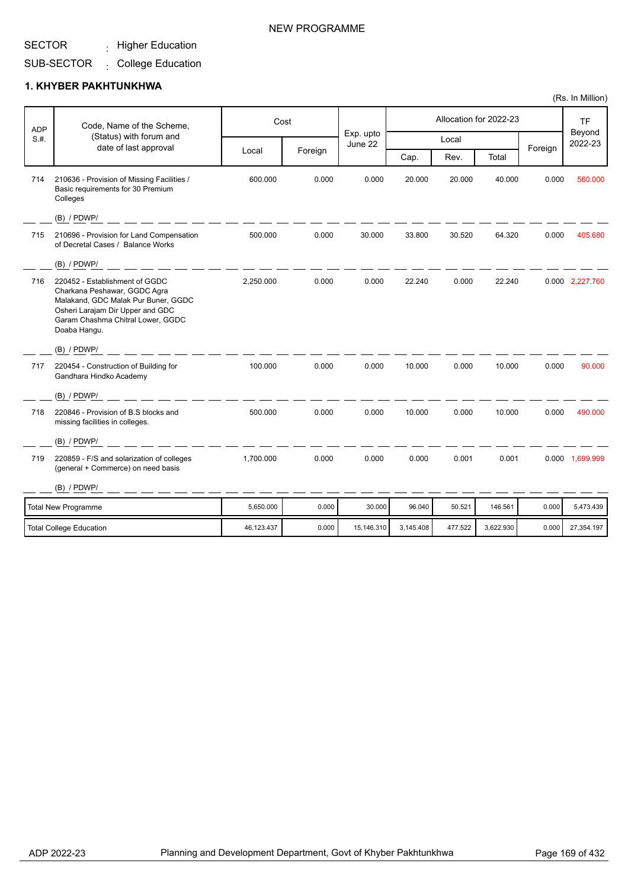$\cdot$  Higher Education

# SUB-SECTOR College Education

## **1. KHYBER PAKHTUNKHWA**

|                    | Code, Name of the Scheme,                                                                                                                                                                      |            | Cost    |                      |           |         | Allocation for 2022-23 |         | <b>TF</b>         |
|--------------------|------------------------------------------------------------------------------------------------------------------------------------------------------------------------------------------------|------------|---------|----------------------|-----------|---------|------------------------|---------|-------------------|
| <b>ADP</b><br>S.H. | (Status) with forum and                                                                                                                                                                        |            |         | Exp. upto<br>June 22 |           | Local   |                        |         | Beyond<br>2022-23 |
|                    | date of last approval                                                                                                                                                                          | Local      | Foreign |                      | Cap.      | Rev.    | Total                  | Foreign |                   |
| 714                | 210636 - Provision of Missing Facilities /<br>Basic requirements for 30 Premium<br>Colleges                                                                                                    | 600.000    | 0.000   | 0.000                | 20.000    | 20.000  | 40.000                 | 0.000   | 560.000           |
|                    | (B) / PDWP/                                                                                                                                                                                    |            |         |                      |           |         |                        |         |                   |
| 715                | 210696 - Provision for Land Compensation<br>of Decretal Cases / Balance Works                                                                                                                  | 500.000    | 0.000   | 30.000               | 33.800    | 30.520  | 64.320                 | 0.000   | 405.680           |
|                    | $(B)$ / PDWP/                                                                                                                                                                                  |            |         |                      |           |         |                        |         |                   |
| 716                | 220452 - Establishment of GGDC<br>Charkana Peshawar, GGDC Agra<br>Malakand, GDC Malak Pur Buner, GGDC<br>Osheri Larajam Dir Upper and GDC<br>Garam Chashma Chitral Lower, GGDC<br>Doaba Hangu. | 2.250.000  | 0.000   | 0.000                | 22.240    | 0.000   | 22.240                 |         | 0.000 2,227.760   |
|                    | (B) / PDWP/                                                                                                                                                                                    |            |         |                      |           |         |                        |         |                   |
| 717                | 220454 - Construction of Building for<br>Gandhara Hindko Academy                                                                                                                               | 100.000    | 0.000   | 0.000                | 10.000    | 0.000   | 10.000                 | 0.000   | 90.000            |
|                    | $(B)$ / PDWP/                                                                                                                                                                                  |            |         |                      |           |         |                        |         |                   |
| 718                | 220846 - Provision of B.S blocks and<br>missing facilities in colleges.                                                                                                                        | 500.000    | 0.000   | 0.000                | 10.000    | 0.000   | 10.000                 | 0.000   | 490.000           |
|                    | $(B)$ / PDWP/                                                                                                                                                                                  |            |         |                      |           |         |                        |         |                   |
| 719                | 220859 - F/S and solarization of colleges<br>(general + Commerce) on need basis                                                                                                                | 1,700.000  | 0.000   | 0.000                | 0.000     | 0.001   | 0.001                  |         | 0.000 1,699.999   |
|                    | $(B)$ / PDWP/                                                                                                                                                                                  |            |         |                      |           |         |                        |         |                   |
|                    | <b>Total New Programme</b>                                                                                                                                                                     | 5,650.000  | 0.000   | 30.000               | 96.040    | 50.521  | 146.561                | 0.000   | 5,473.439         |
|                    | <b>Total College Education</b>                                                                                                                                                                 | 46,123.437 | 0.000   | 15,146.310           | 3,145.408 | 477.522 | 3,622.930              | 0.000   | 27,354.197        |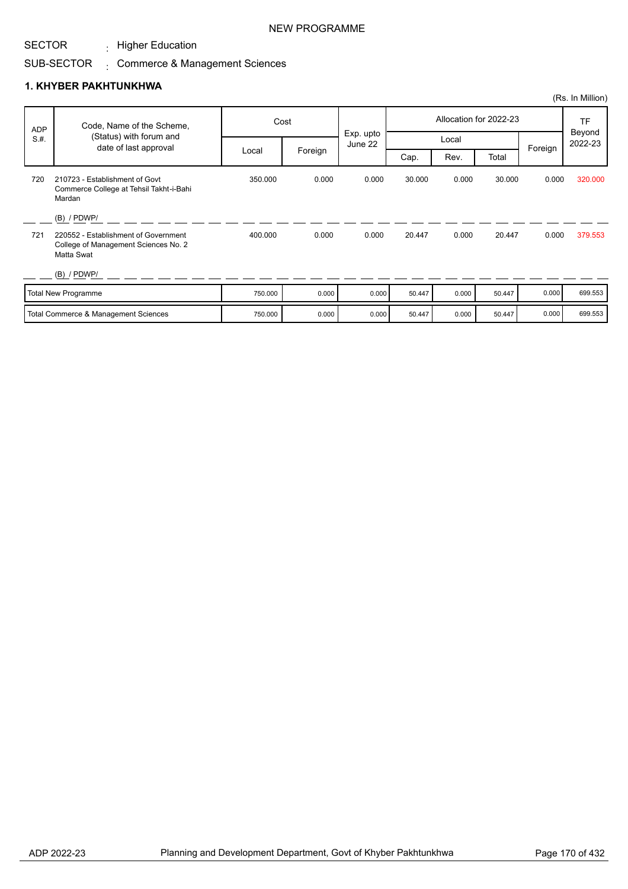$\cdot$  Higher Education

# SUB-SECTOR Commerce & Management Sciences :

# **1. KHYBER PAKHTUNKHWA**

|            |                                                                                                             |         |         |                      |        |       |                        |         | (Rs. In Million)               |
|------------|-------------------------------------------------------------------------------------------------------------|---------|---------|----------------------|--------|-------|------------------------|---------|--------------------------------|
| <b>ADP</b> | Code, Name of the Scheme,                                                                                   |         | Cost    |                      |        |       | Allocation for 2022-23 |         | <b>TF</b><br>Beyond<br>2022-23 |
| S.H.       | (Status) with forum and<br>date of last approval                                                            |         |         | Exp. upto<br>June 22 |        | Local |                        | Foreign |                                |
|            |                                                                                                             | Local   | Foreign |                      | Cap.   | Rev.  | Total                  |         |                                |
| 720        | 210723 - Establishment of Govt<br>Commerce College at Tehsil Takht-i-Bahi<br>Mardan                         | 350.000 | 0.000   | 0.000                | 30.000 | 0.000 | 30.000                 | 0.000   | 320,000                        |
| 721        | $(B)$ / PDWP/<br>220552 - Establishment of Government<br>College of Management Sciences No. 2<br>Matta Swat | 400.000 | 0.000   | 0.000                | 20.447 | 0.000 | 20.447                 | 0.000   | 379.553                        |
|            | $(B)$ / PDWP/                                                                                               |         |         |                      |        |       |                        |         |                                |
|            | <b>Total New Programme</b>                                                                                  | 750.000 | 0.000   | 0.000                | 50.447 | 0.000 | 50.447                 | 0.000   | 699.553                        |
|            | Total Commerce & Management Sciences                                                                        | 750.000 | 0.000   | 0.000                | 50.447 | 0.000 | 50.447                 | 0.000   | 699.553                        |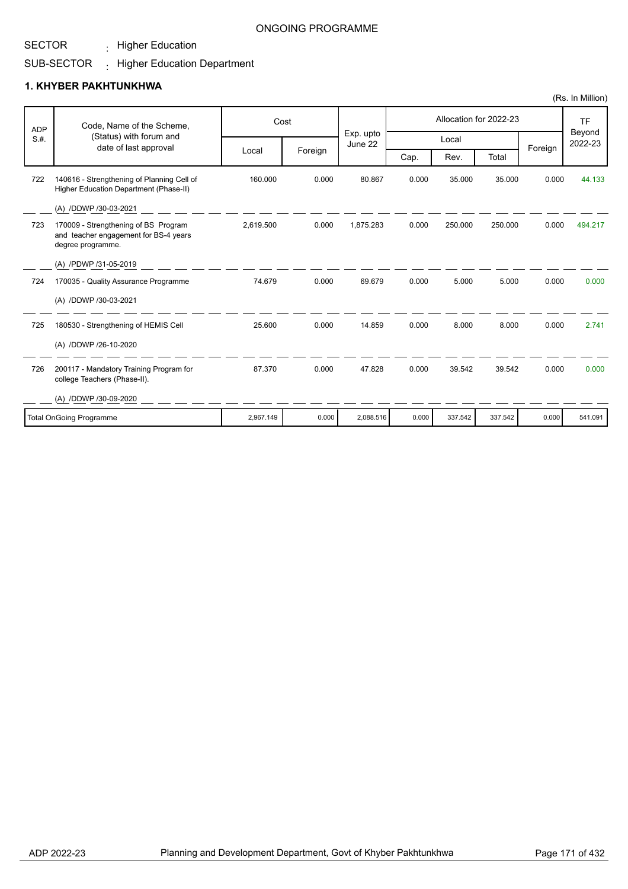$\cdot$  Higher Education

#### SUB-SECTOR  $\pm$  Higher Education Department

## **1. KHYBER PAKHTUNKHWA**

|            |                                                                                                    |           |         |                      |       |         |                        |         | (Rs. In Million)    |
|------------|----------------------------------------------------------------------------------------------------|-----------|---------|----------------------|-------|---------|------------------------|---------|---------------------|
| <b>ADP</b> | Code, Name of the Scheme,                                                                          |           | Cost    |                      |       |         | Allocation for 2022-23 |         | <b>TF</b><br>Beyond |
| S.H.       | (Status) with forum and<br>date of last approval                                                   |           |         | Exp. upto<br>June 22 |       | Local   |                        |         | 2022-23             |
|            |                                                                                                    | Local     | Foreign |                      | Cap.  | Rev.    | Total                  | Foreign |                     |
| 722        | 140616 - Strengthening of Planning Cell of<br>Higher Education Department (Phase-II)               | 160.000   | 0.000   | 80.867               | 0.000 | 35.000  | 35.000                 | 0.000   | 44.133              |
|            | (A) /DDWP /30-03-2021                                                                              |           |         |                      |       |         |                        |         |                     |
| 723        | 170009 - Strengthening of BS Program<br>and teacher engagement for BS-4 years<br>degree programme. | 2,619.500 | 0.000   | 1,875.283            | 0.000 | 250.000 | 250.000                | 0.000   | 494.217             |
|            | (A) /PDWP /31-05-2019                                                                              |           |         |                      |       |         |                        |         |                     |
| 724        | 170035 - Quality Assurance Programme                                                               | 74.679    | 0.000   | 69.679               | 0.000 | 5.000   | 5.000                  | 0.000   | 0.000               |
|            | (A) /DDWP /30-03-2021                                                                              |           |         |                      |       |         |                        |         |                     |
| 725        | 180530 - Strengthening of HEMIS Cell                                                               | 25.600    | 0.000   | 14.859               | 0.000 | 8.000   | 8.000                  | 0.000   | 2.741               |
|            | (A) /DDWP /26-10-2020                                                                              |           |         |                      |       |         |                        |         |                     |
| 726        | 200117 - Mandatory Training Program for<br>college Teachers (Phase-II).                            | 87.370    | 0.000   | 47.828               | 0.000 | 39.542  | 39.542                 | 0.000   | 0.000               |
|            | (A) /DDWP /30-09-2020                                                                              |           |         |                      |       |         |                        |         |                     |
|            | <b>Total OnGoing Programme</b>                                                                     | 2,967.149 | 0.000   | 2,088.516            | 0.000 | 337.542 | 337.542                | 0.000   | 541.091             |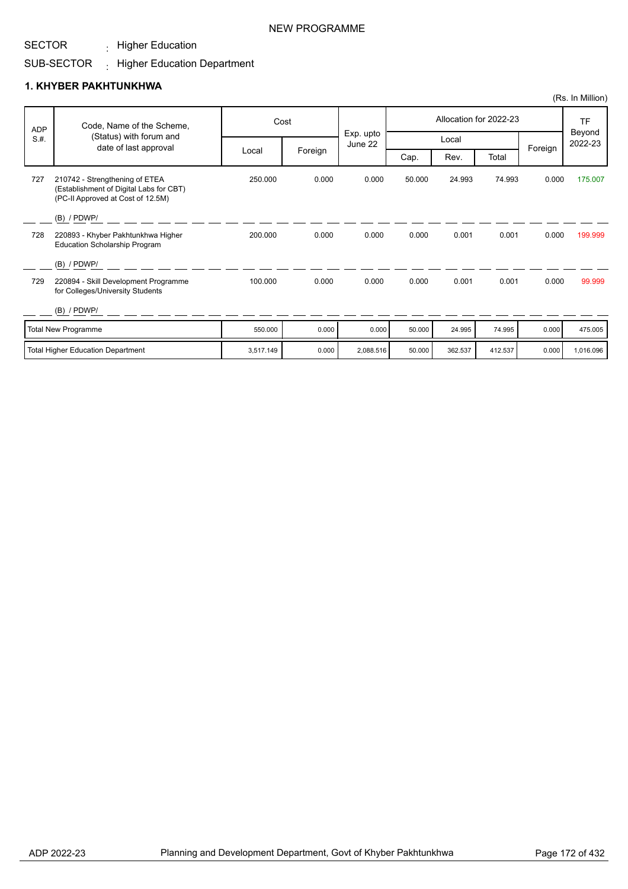$\cdot$  Higher Education

#### SUB-SECTOR  $\pm$  Higher Education Department

## **1. KHYBER PAKHTUNKHWA**

|            |                                                                                                                |         |         |                      |        |        |                        |         | (Rs. In Million)  |
|------------|----------------------------------------------------------------------------------------------------------------|---------|---------|----------------------|--------|--------|------------------------|---------|-------------------|
| <b>ADP</b> | Code, Name of the Scheme,                                                                                      | Cost    |         |                      |        |        | Allocation for 2022-23 |         | TF                |
| S.H.       | (Status) with forum and<br>date of last approval                                                               |         |         | Exp. upto<br>June 22 |        | Local  |                        |         | Beyond<br>2022-23 |
|            |                                                                                                                | Local   | Foreign |                      | Cap.   | Rev.   | Total                  | Foreign |                   |
| 727        | 210742 - Strengthening of ETEA<br>(Establishment of Digital Labs for CBT)<br>(PC-II Approved at Cost of 12.5M) | 250,000 | 0.000   | 0.000                | 50.000 | 24.993 | 74.993                 | 0.000   | 175.007           |
|            | $(B)$ / PDWP/                                                                                                  |         |         |                      |        |        |                        |         |                   |
| 728        | 220893 - Khyber Pakhtunkhwa Higher<br><b>Education Scholarship Program</b>                                     | 200.000 | 0.000   | 0.000                | 0.000  | 0.001  | 0.001                  | 0.000   | 199.999           |
|            | $(B)$ / PDWP/                                                                                                  |         |         |                      |        |        |                        |         |                   |
| 729        | 220894 - Skill Development Programme<br>for Colleges/University Students                                       | 100.000 | 0.000   | 0.000                | 0.000  | 0.001  | 0.001                  | 0.000   | 99.999            |
|            | $(B)$ / PDWP/                                                                                                  |         |         |                      |        |        |                        |         |                   |
|            | <b>Total New Programme</b>                                                                                     | 550,000 | 0.000   | 0.000                | 50.000 | 24.995 | 74.995                 | 0.000   | 475.005           |

Total Higher Education Department 3,517.149 0.000 2,088.516 50.000 362.537 412.537 0.000 1,016.096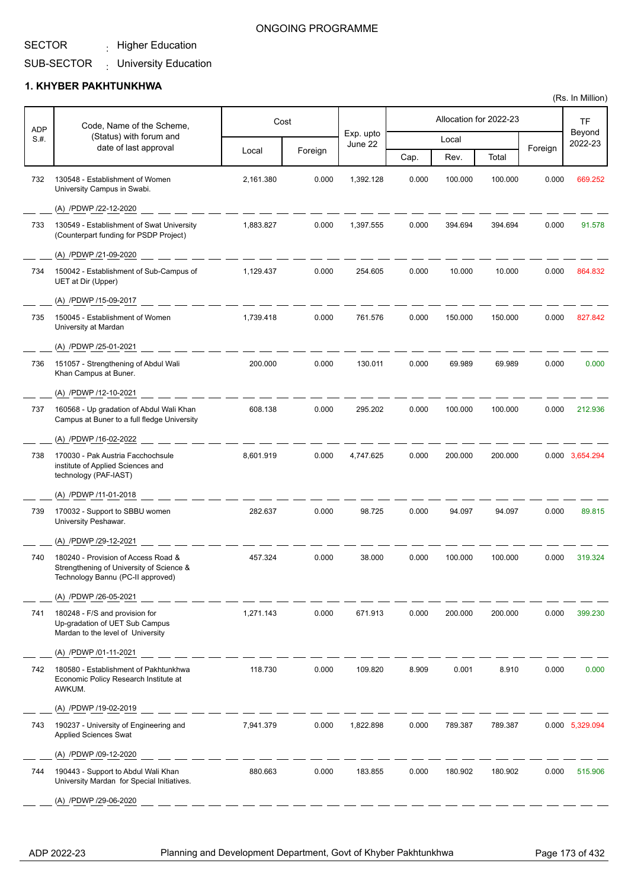$\cdot$  Higher Education

#### SUB-SECTOR University Education :

#### **1. KHYBER PAKHTUNKHWA**

|                    | Code, Name of the Scheme,                                                                                            |           | Cost    |                      |       |         | Allocation for 2022-23 |         | TF                |
|--------------------|----------------------------------------------------------------------------------------------------------------------|-----------|---------|----------------------|-------|---------|------------------------|---------|-------------------|
| <b>ADP</b><br>S.H. | (Status) with forum and                                                                                              |           |         | Exp. upto<br>June 22 |       | Local   |                        |         | Beyond<br>2022-23 |
|                    | date of last approval                                                                                                | Local     | Foreign |                      | Cap.  | Rev.    | Total                  | Foreign |                   |
| 732                | 130548 - Establishment of Women<br>University Campus in Swabi.                                                       | 2,161.380 | 0.000   | 1,392.128            | 0.000 | 100.000 | 100.000                | 0.000   | 669.252           |
|                    | (A) /PDWP /22-12-2020                                                                                                |           |         |                      |       |         |                        |         |                   |
| 733                | 130549 - Establishment of Swat University<br>(Counterpart funding for PSDP Project)                                  | 1,883.827 | 0.000   | 1,397.555            | 0.000 | 394.694 | 394.694                | 0.000   | 91.578            |
|                    | (A) /PDWP /21-09-2020                                                                                                |           |         |                      |       |         |                        |         |                   |
| 734                | 150042 - Establishment of Sub-Campus of<br>UET at Dir (Upper)                                                        | 1,129.437 | 0.000   | 254.605              | 0.000 | 10.000  | 10.000                 | 0.000   | 864.832           |
|                    | (A) /PDWP /15-09-2017                                                                                                |           |         |                      |       |         |                        |         |                   |
| 735                | 150045 - Establishment of Women<br>University at Mardan                                                              | 1,739.418 | 0.000   | 761.576              | 0.000 | 150.000 | 150.000                | 0.000   | 827.842           |
|                    | (A) /PDWP /25-01-2021                                                                                                |           |         |                      |       |         |                        |         |                   |
| 736                | 151057 - Strengthening of Abdul Wali<br>Khan Campus at Buner.                                                        | 200.000   | 0.000   | 130.011              | 0.000 | 69.989  | 69.989                 | 0.000   | 0.000             |
|                    | (A) /PDWP /12-10-2021                                                                                                |           |         |                      |       |         |                        |         |                   |
| 737                | 160568 - Up gradation of Abdul Wali Khan<br>Campus at Buner to a full fledge University                              | 608.138   | 0.000   | 295.202              | 0.000 | 100.000 | 100.000                | 0.000   | 212.936           |
|                    | (A) /PDWP /16-02-2022                                                                                                |           |         |                      |       |         |                        |         |                   |
| 738                | 170030 - Pak Austria Facchochsule<br>institute of Applied Sciences and<br>technology (PAF-IAST)                      | 8,601.919 | 0.000   | 4,747.625            | 0.000 | 200.000 | 200.000                |         | 0.000 3,654.294   |
|                    | (A) /PDWP /11-01-2018                                                                                                |           |         |                      |       |         |                        |         |                   |
| 739                | 170032 - Support to SBBU women<br>University Peshawar.                                                               | 282.637   | 0.000   | 98.725               | 0.000 | 94.097  | 94.097                 | 0.000   | 89.815            |
|                    | (A) /PDWP /29-12-2021                                                                                                |           |         |                      |       |         |                        |         |                   |
| 740                | 180240 - Provision of Access Road &<br>Strengthening of University of Science &<br>Technology Bannu (PC-II approved) | 457.324   | 0.000   | 38.000               | 0.000 | 100.000 | 100.000                | 0.000   | 319.324           |
|                    | (A) /PDWP /26-05-2021                                                                                                |           |         |                      |       |         |                        |         |                   |
| 741                | 180248 - F/S and provision for<br>Up-gradation of UET Sub Campus<br>Mardan to the level of University                | 1,271.143 | 0.000   | 671.913              | 0.000 | 200.000 | 200.000                | 0.000   | 399.230           |
|                    | (A) /PDWP /01-11-2021                                                                                                |           |         |                      |       |         |                        |         |                   |
| 742                | 180580 - Establishment of Pakhtunkhwa<br>Economic Policy Research Institute at<br>AWKUM.                             | 118.730   | 0.000   | 109.820              | 8.909 | 0.001   | 8.910                  | 0.000   | 0.000             |
|                    | (A) /PDWP /19-02-2019                                                                                                |           |         |                      |       |         |                        |         |                   |
| 743                | 190237 - University of Engineering and<br><b>Applied Sciences Swat</b>                                               | 7,941.379 | 0.000   | 1,822.898            | 0.000 | 789.387 | 789.387                |         | 0.000 5,329.094   |
|                    | (A) /PDWP /09-12-2020                                                                                                |           |         |                      |       |         |                        |         |                   |
| 744                | 190443 - Support to Abdul Wali Khan<br>University Mardan for Special Initiatives.                                    | 880.663   | 0.000   | 183.855              | 0.000 | 180.902 | 180.902                | 0.000   | 515.906           |
|                    | (A) /PDWP /29-06-2020                                                                                                |           |         |                      |       |         |                        |         |                   |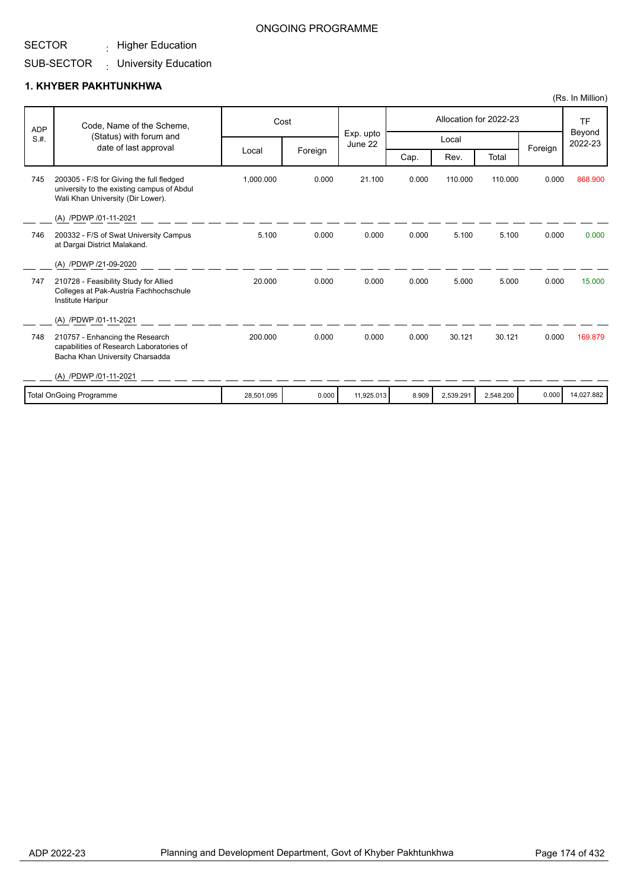$\cdot$  Higher Education

# SUB-SECTOR : University Education

#### **1. KHYBER PAKHTUNKHWA**

| <b>ADP</b> | Code, Name of the Scheme,                                                                                                   |            | Cost    |                      |       |           | Allocation for 2022-23 |         | <b>TF</b>         |
|------------|-----------------------------------------------------------------------------------------------------------------------------|------------|---------|----------------------|-------|-----------|------------------------|---------|-------------------|
| S.H.       | (Status) with forum and<br>date of last approval                                                                            |            |         | Exp. upto<br>June 22 |       | Local     |                        | Foreign | Beyond<br>2022-23 |
|            |                                                                                                                             | Local      | Foreign |                      | Cap.  | Rev.      | Total                  |         |                   |
| 745        | 200305 - F/S for Giving the full fledged<br>university to the existing campus of Abdul<br>Wali Khan University (Dir Lower). | 1,000.000  | 0.000   | 21.100               | 0.000 | 110.000   | 110.000                | 0.000   | 868,900           |
|            | (A) /PDWP /01-11-2021                                                                                                       |            |         |                      |       |           |                        |         |                   |
| 746        | 200332 - F/S of Swat University Campus<br>at Dargai District Malakand.                                                      | 5.100      | 0.000   | 0.000                | 0.000 | 5.100     | 5.100                  | 0.000   | 0.000             |
|            | (A) /PDWP /21-09-2020                                                                                                       |            |         |                      |       |           |                        |         |                   |
| 747        | 210728 - Feasibility Study for Allied<br>Colleges at Pak-Austria Fachhochschule<br>Institute Haripur                        | 20.000     | 0.000   | 0.000                | 0.000 | 5.000     | 5.000                  | 0.000   | 15,000            |
|            | (A) /PDWP /01-11-2021                                                                                                       |            |         |                      |       |           |                        |         |                   |
| 748        | 210757 - Enhancing the Research<br>capabilities of Research Laboratories of<br>Bacha Khan University Charsadda              | 200.000    | 0.000   | 0.000                | 0.000 | 30.121    | 30.121                 | 0.000   | 169.879           |
|            | (A) /PDWP /01-11-2021                                                                                                       |            |         |                      |       |           |                        |         |                   |
|            | <b>Total OnGoing Programme</b>                                                                                              | 28,501.095 | 0.000   | 11,925.013           | 8.909 | 2,539.291 | 2,548.200              | 0.000   | 14,027.882        |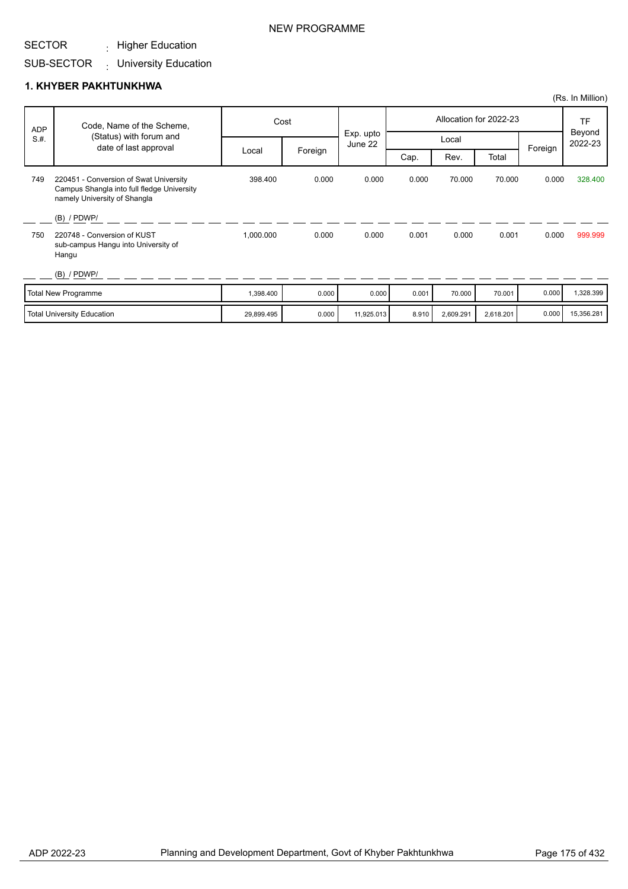#### SECTOR  $\cdot$  Higher Education

SUB-SECTOR : University Education

## **1. KHYBER PAKHTUNKHWA**

| <b>ADP</b> | Code, Name of the Scheme,                                                                                            |            | Cost    |                      |       |           | Allocation for 2022-23 |         | <b>TF</b>         |  |
|------------|----------------------------------------------------------------------------------------------------------------------|------------|---------|----------------------|-------|-----------|------------------------|---------|-------------------|--|
| S.H.       | (Status) with forum and<br>date of last approval                                                                     |            |         | Exp. upto<br>June 22 |       | Local     |                        | Foreign | Beyond<br>2022-23 |  |
|            |                                                                                                                      | Local      | Foreign |                      | Cap.  | Rev.      | Total                  |         |                   |  |
| 749        | 220451 - Conversion of Swat University<br>Campus Shangla into full fledge University<br>namely University of Shangla | 398,400    | 0.000   | 0.000                | 0.000 | 70.000    | 70.000                 | 0.000   | 328,400           |  |
|            | $(B)$ / PDWP/                                                                                                        |            |         |                      |       |           |                        |         |                   |  |
| 750        | 220748 - Conversion of KUST<br>sub-campus Hangu into University of<br>Hangu                                          | 1,000.000  | 0.000   | 0.000                | 0.001 | 0.000     | 0.001                  | 0.000   | 999.999           |  |
|            | $(B)$ / PDWP/                                                                                                        |            |         |                      |       |           |                        |         |                   |  |
|            | <b>Total New Programme</b>                                                                                           | 1,398.400  | 0.000   | 0.000                | 0.001 | 70.000    | 70.001                 | 0.000   | 1,328.399         |  |
|            | <b>Total University Education</b>                                                                                    | 29,899.495 | 0.000   | 11,925.013           | 8.910 | 2,609.291 | 2,618.201              | 0.000   | 15,356.281        |  |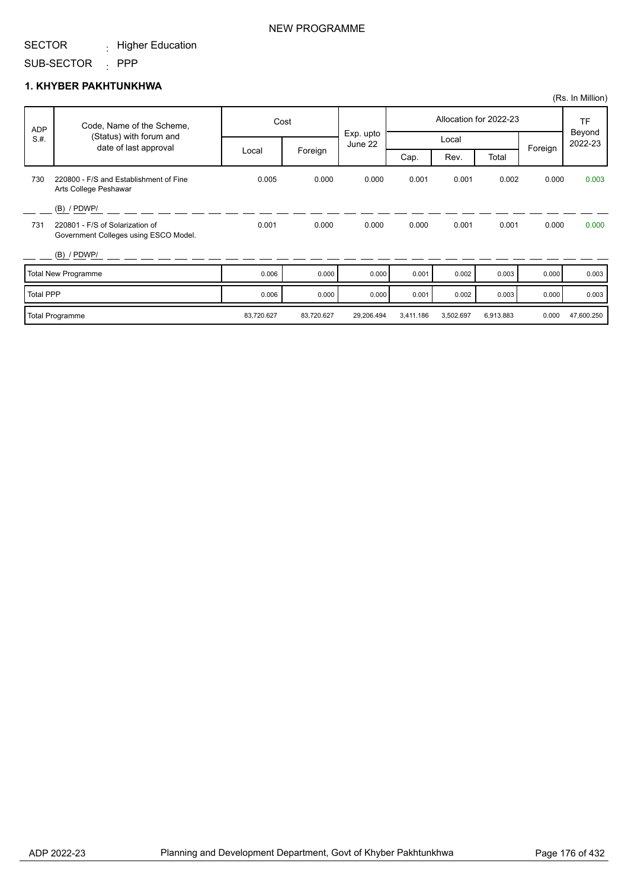#### SECTOR  $\cdot$  Higher Education

#### SUB-SECTOR : PPP

#### **1. KHYBER PAKHTUNKHWA**

|                  |                                                                          |            |            |                      |           |           |                        |         | (Rs. In Million)  |
|------------------|--------------------------------------------------------------------------|------------|------------|----------------------|-----------|-----------|------------------------|---------|-------------------|
| ADP              | Code, Name of the Scheme,                                                |            | Cost       |                      |           |           | Allocation for 2022-23 |         | <b>TF</b>         |
| S.H.             | (Status) with forum and<br>date of last approval                         |            |            | Exp. upto<br>June 22 |           | Local     |                        |         | Beyond<br>2022-23 |
|                  |                                                                          | Local      | Foreign    |                      | Cap.      | Rev.      | Total                  | Foreign |                   |
| 730              | 220800 - F/S and Establishment of Fine<br>Arts College Peshawar          | 0.005      | 0.000      | 0.000                | 0.001     | 0.001     | 0.002                  | 0.000   | 0.003             |
|                  | $(B)$ / PDWP/                                                            |            |            |                      |           |           |                        |         |                   |
| 731              | 220801 - F/S of Solarization of<br>Government Colleges using ESCO Model. | 0.001      | 0.000      | 0.000                | 0.000     | 0.001     | 0.001                  | 0.000   | 0.000             |
|                  | $(B)$ / PDWP/                                                            |            |            |                      |           |           |                        |         |                   |
|                  | <b>Total New Programme</b>                                               | 0.006      | 0.000      | 0.000                | 0.001     | 0.002     | 0.003                  | 0.000   | 0.003             |
| <b>Total PPP</b> |                                                                          | 0.006      | 0.000      | 0.000                | 0.001     | 0.002     | 0.003                  | 0.000   | 0.003             |
|                  | <b>Total Programme</b>                                                   | 83,720.627 | 83,720.627 | 29,206.494           | 3,411.186 | 3,502.697 | 6,913.883              | 0.000   | 47,600.250        |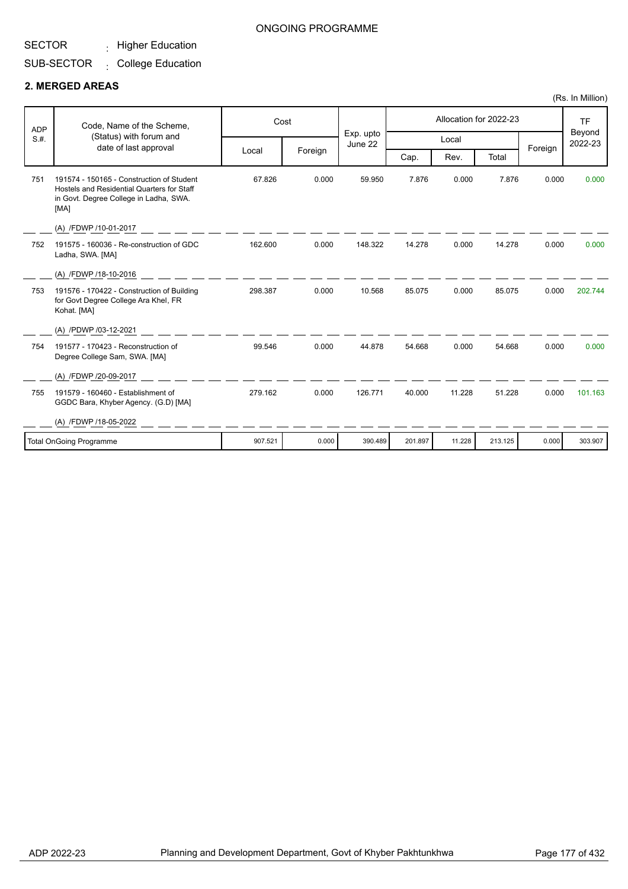# $\cdot$  Higher Education

#### SUB-SECTOR  $\cdot$  College Education

### **2. MERGED AREAS**

| <b>ADP</b> | Code, Name of the Scheme,                                                                                                                 |         | Cost    |                      |         |        | Allocation for 2022-23 |         | <b>TF</b>         |
|------------|-------------------------------------------------------------------------------------------------------------------------------------------|---------|---------|----------------------|---------|--------|------------------------|---------|-------------------|
| S.H.       | (Status) with forum and                                                                                                                   |         |         | Exp. upto<br>June 22 |         | Local  |                        |         | Beyond<br>2022-23 |
|            | date of last approval                                                                                                                     | Local   | Foreign |                      | Cap.    | Rev.   | Total                  | Foreign |                   |
| 751        | 191574 - 150165 - Construction of Student<br>Hostels and Residential Quarters for Staff<br>in Govt. Degree College in Ladha, SWA.<br>[MA] | 67.826  | 0.000   | 59.950               | 7.876   | 0.000  | 7.876                  | 0.000   | 0.000             |
|            | (A) /FDWP /10-01-2017                                                                                                                     |         |         |                      |         |        |                        |         |                   |
| 752        | 191575 - 160036 - Re-construction of GDC<br>Ladha, SWA. [MA]                                                                              | 162.600 | 0.000   | 148.322              | 14.278  | 0.000  | 14.278                 | 0.000   | 0.000             |
|            | (A) /FDWP /18-10-2016                                                                                                                     |         |         |                      |         |        |                        |         |                   |
| 753        | 191576 - 170422 - Construction of Building<br>for Govt Degree College Ara Khel, FR<br>Kohat. [MA]                                         | 298.387 | 0.000   | 10.568               | 85.075  | 0.000  | 85.075                 | 0.000   | 202.744           |
|            | (A) /PDWP /03-12-2021                                                                                                                     |         |         |                      |         |        |                        |         |                   |
| 754        | 191577 - 170423 - Reconstruction of<br>Degree College Sam, SWA. [MA]                                                                      | 99.546  | 0.000   | 44.878               | 54.668  | 0.000  | 54.668                 | 0.000   | 0.000             |
|            | (A) /FDWP /20-09-2017                                                                                                                     |         |         |                      |         |        |                        |         |                   |
| 755        | 191579 - 160460 - Establishment of<br>GGDC Bara, Khyber Agency. (G.D) [MA]                                                                | 279.162 | 0.000   | 126.771              | 40.000  | 11.228 | 51.228                 | 0.000   | 101.163           |
|            | (A) /FDWP /18-05-2022                                                                                                                     |         |         |                      |         |        |                        |         |                   |
|            | <b>Total OnGoing Programme</b>                                                                                                            | 907.521 | 0.000   | 390.489              | 201.897 | 11.228 | 213.125                | 0.000   | 303.907           |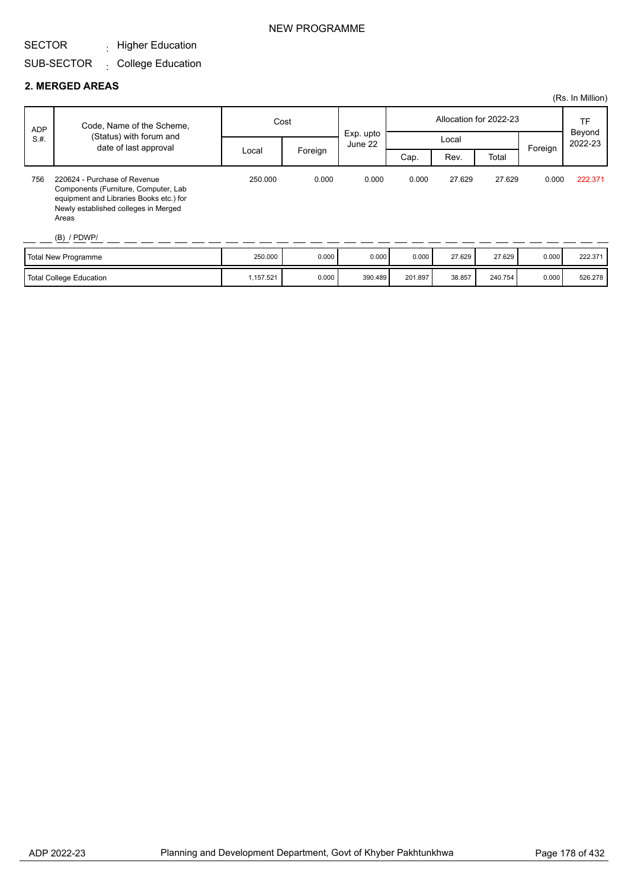#### SECTOR  $\cdot$  Higher Education

#### SUB-SECTOR  $\cdot$  College Education

#### **2. MERGED AREAS**

|            |                                                                                                                                                                                   |         |         |                      |       |        |                        |         | (Rs. In Million)        |
|------------|-----------------------------------------------------------------------------------------------------------------------------------------------------------------------------------|---------|---------|----------------------|-------|--------|------------------------|---------|-------------------------|
| <b>ADP</b> | Code, Name of the Scheme,                                                                                                                                                         | Cost    |         |                      |       |        | Allocation for 2022-23 |         | TF<br>Beyond<br>2022-23 |
| S.H.       | (Status) with forum and<br>date of last approval                                                                                                                                  |         |         | Exp. upto<br>June 22 |       | Local  |                        | Foreign |                         |
|            |                                                                                                                                                                                   | Local   | Foreign |                      | Cap.  | Rev.   | Total                  |         |                         |
| 756        | 220624 - Purchase of Revenue<br>Components (Furniture, Computer, Lab<br>equipment and Libraries Books etc.) for<br>Newly established colleges in Merged<br>Areas<br>$(B)$ / PDWP/ | 250,000 | 0.000   | 0.000                | 0.000 | 27.629 | 27.629                 | 0.000   | 222.371                 |
|            | <b>Total New Programme</b>                                                                                                                                                        | 250.000 | 0.000   | 0.000                | 0.000 | 27.629 | 27.629                 | 0.000   | 222.371                 |

Total College Education 1,157.521 1,157.521 0.000 390.489 201.897 38.857 240.754 0.000 526.278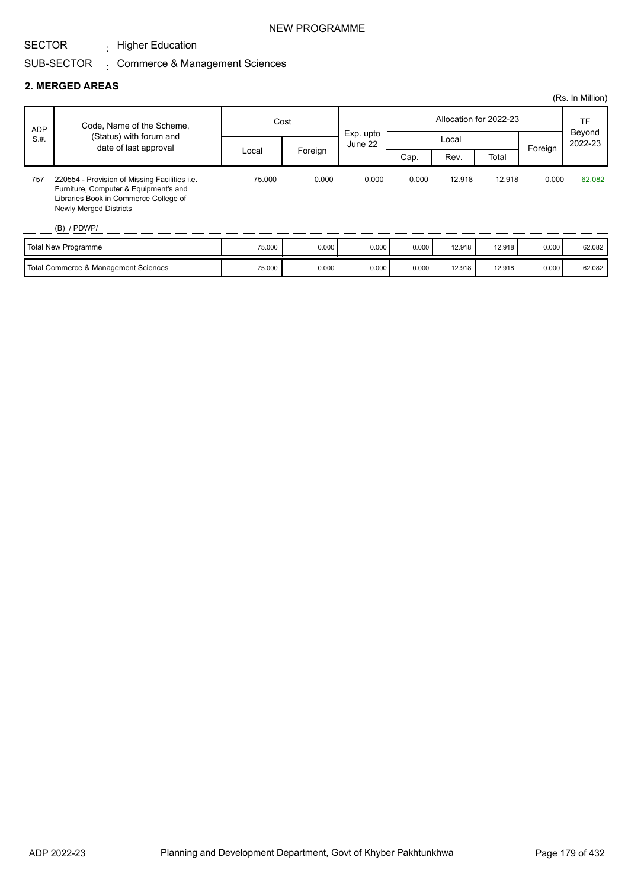$\cdot$  Higher Education

#### SUB-SECTOR . Commerce & Management Sciences

#### **2. MERGED AREAS**

|            |                                                                                                                                                                                   |        |         |                      |       |        |                        |         | (Rs. In Million)  |
|------------|-----------------------------------------------------------------------------------------------------------------------------------------------------------------------------------|--------|---------|----------------------|-------|--------|------------------------|---------|-------------------|
| <b>ADP</b> | Code, Name of the Scheme,                                                                                                                                                         | Cost   |         |                      |       |        | Allocation for 2022-23 |         | <b>TF</b>         |
| S.H.       | (Status) with forum and                                                                                                                                                           |        |         | Exp. upto<br>June 22 |       | Local  |                        |         | Beyond<br>2022-23 |
|            | date of last approval                                                                                                                                                             | Local  | Foreign |                      | Cap.  | Rev.   | Total                  | Foreign |                   |
| 757        | 220554 - Provision of Missing Facilities i.e.<br>Furniture, Computer & Equipment's and<br>Libraries Book in Commerce College of<br><b>Newly Merged Districts</b><br>$(B)$ / PDWP/ | 75,000 | 0.000   | 0.000                | 0.000 | 12.918 | 12.918                 | 0.000   | 62.082            |
|            |                                                                                                                                                                                   | 75.000 | 0.000   | 0.000                | 0.000 | 10.010 | $\overline{10}$        | 0.000   | 00.000            |

| <b>Total New Programme</b>           | 75.000 | 0.000 | 0.000   | 0.000 | 12.918 | 12.918 | 0.000 | 62.082 |
|--------------------------------------|--------|-------|---------|-------|--------|--------|-------|--------|
| Total Commerce & Management Sciences | 75.000 | 0.000 | ' 000.د | 0.000 | 12.918 | 12.918 | 0.000 | 62.082 |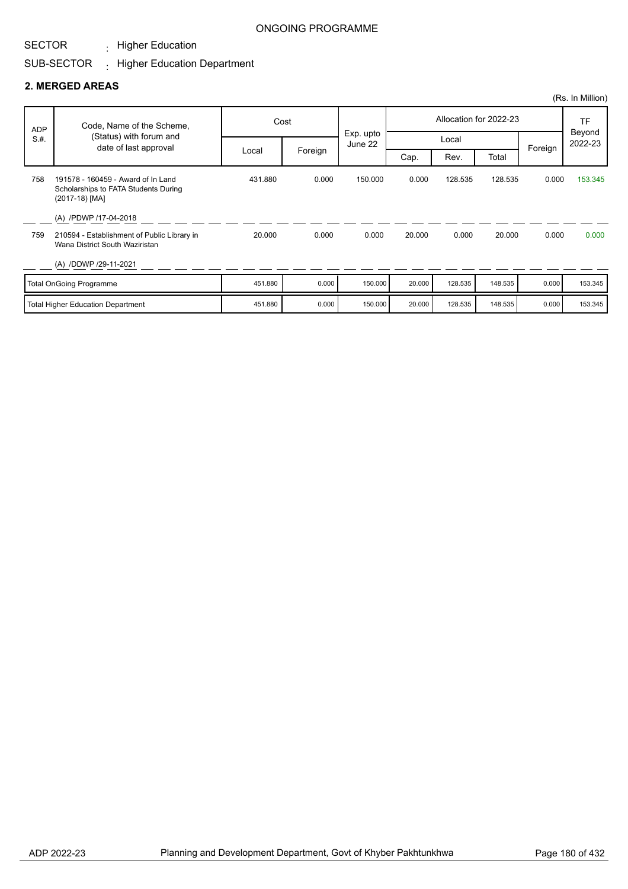$\cdot$  Higher Education

### ONGOING PROGRAMME

#### SUB-SECTOR  $\pm$  Higher Education Department

#### **2. MERGED AREAS**

|                                          |                                                                                                        |         |         |                      |                        |         |         |         | (Rs. In Million)  |
|------------------------------------------|--------------------------------------------------------------------------------------------------------|---------|---------|----------------------|------------------------|---------|---------|---------|-------------------|
| <b>ADP</b><br>S.H.                       | Code, Name of the Scheme,<br>(Status) with forum and<br>date of last approval                          | Cost    |         |                      | Allocation for 2022-23 |         |         |         | <b>TF</b>         |
|                                          |                                                                                                        | Local   | Foreign | Exp. upto<br>June 22 | Local                  |         |         |         | Beyond<br>2022-23 |
|                                          |                                                                                                        |         |         |                      | Cap.                   | Rev.    | Total   | Foreign |                   |
| 758                                      | 191578 - 160459 - Award of In Land<br>Scholarships to FATA Students During<br>(2017-18) [MA]           | 431.880 | 0.000   | 150.000              | 0.000                  | 128.535 | 128.535 | 0.000   | 153.345           |
| 759                                      | (A) /PDWP /17-04-2018<br>210594 - Establishment of Public Library in<br>Wana District South Waziristan | 20.000  | 0.000   | 0.000                | 20,000                 | 0.000   | 20.000  | 0.000   | 0.000             |
|                                          | (A) /DDWP /29-11-2021                                                                                  |         |         |                      |                        |         |         |         |                   |
|                                          | <b>Total OnGoing Programme</b>                                                                         | 451.880 | 0.000   | 150.000              | 20.000                 | 128.535 | 148.535 | 0.000   | 153.345           |
| <b>Total Higher Education Department</b> |                                                                                                        | 451.880 | 0.000   | 150.000              | 20.000                 | 128.535 | 148.535 | 0.000   | 153.345           |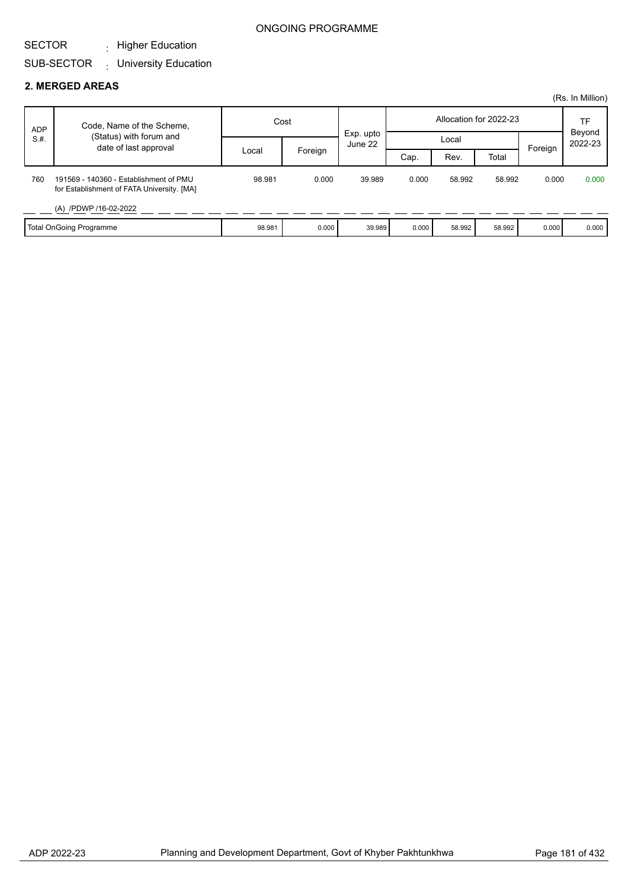#### SECTOR  $\cdot$  Higher Education

## SUB-SECTOR : University Education

#### **2. MERGED AREAS**

|                       |                                                                                      |        |         |           |       |        |                        |         | (Rs. In Million)  |
|-----------------------|--------------------------------------------------------------------------------------|--------|---------|-----------|-------|--------|------------------------|---------|-------------------|
| <b>ADP</b><br>S.H.    | Code, Name of the Scheme,                                                            | Cost   |         | Exp. upto |       |        | Allocation for 2022-23 |         | TF                |
|                       | (Status) with forum and                                                              |        |         | June 22   |       | Local  |                        | Foreign | Beyond<br>2022-23 |
| date of last approval |                                                                                      | Local  | Foreign |           | Cap.  | Rev.   | Total                  |         |                   |
| 760                   | 191569 - 140360 - Establishment of PMU<br>for Establishment of FATA University. [MA] | 98.981 | 0.000   | 39.989    | 0.000 | 58.992 | 58.992                 | 0.000   | 0.000             |
|                       | (A) /PDWP /16-02-2022                                                                |        |         |           |       |        |                        |         |                   |
|                       | <b>Total OnGoing Programme</b>                                                       | 98.981 | 0.000   | 39.989    | 0.000 | 58.992 | 58.992                 | 0.000   | 0.000             |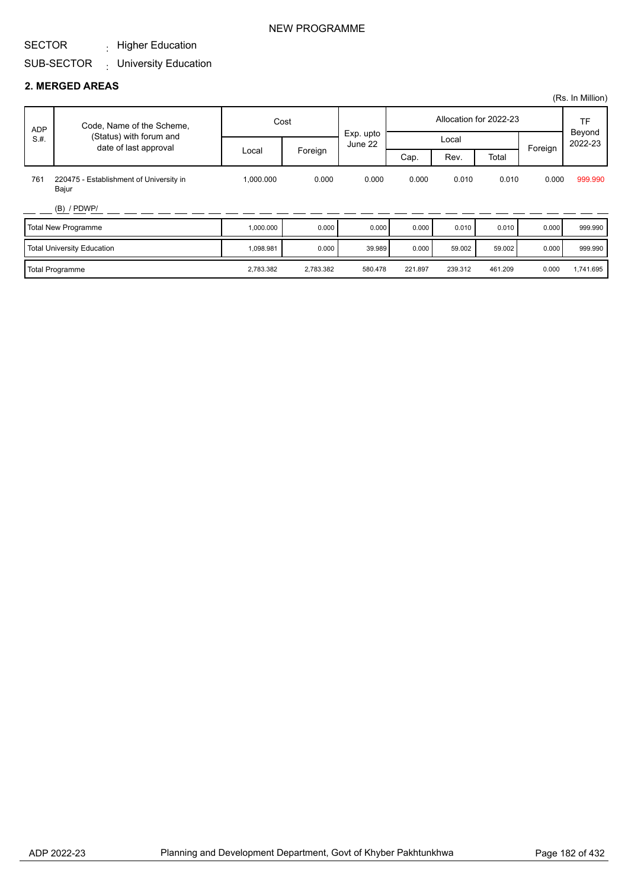#### SECTOR  $\cdot$  Higher Education

#### SUB-SECTOR University Education :

#### **2. MERGED AREAS**

|      |                                                  |           |           |           |         |         |                        |         | (Rs. In Million)  |
|------|--------------------------------------------------|-----------|-----------|-----------|---------|---------|------------------------|---------|-------------------|
| ADP  | Code, Name of the Scheme,                        |           | Cost      | Exp. upto |         |         | Allocation for 2022-23 |         | <b>TF</b>         |
| S.H. | (Status) with forum and<br>date of last approval |           |           | June 22   | Local   |         |                        |         | Beyond<br>2022-23 |
|      |                                                  | Local     | Foreign   |           | Cap.    | Rev.    | Total                  | Foreign |                   |
| 761  | 220475 - Establishment of University in<br>Bajur | 1,000.000 | 0.000     | 0.000     | 0.000   | 0.010   | 0.010                  | 0.000   | 999.990           |
|      | $(B)$ / PDWP/                                    |           |           |           |         |         |                        |         |                   |
|      | Total New Programme                              | 1,000.000 | 0.000     | 0.000     | 0.000   | 0.010   | 0.010                  | 0.000   | 999.990           |
|      | Total University Education                       | 1,098.981 | 0.000     | 39.989    | 0.000   | 59.002  | 59.002                 | 0.000   | 999.990           |
|      | Total Programme                                  | 2,783.382 | 2,783.382 | 580.478   | 221.897 | 239.312 | 461.209                | 0.000   | 1,741.695         |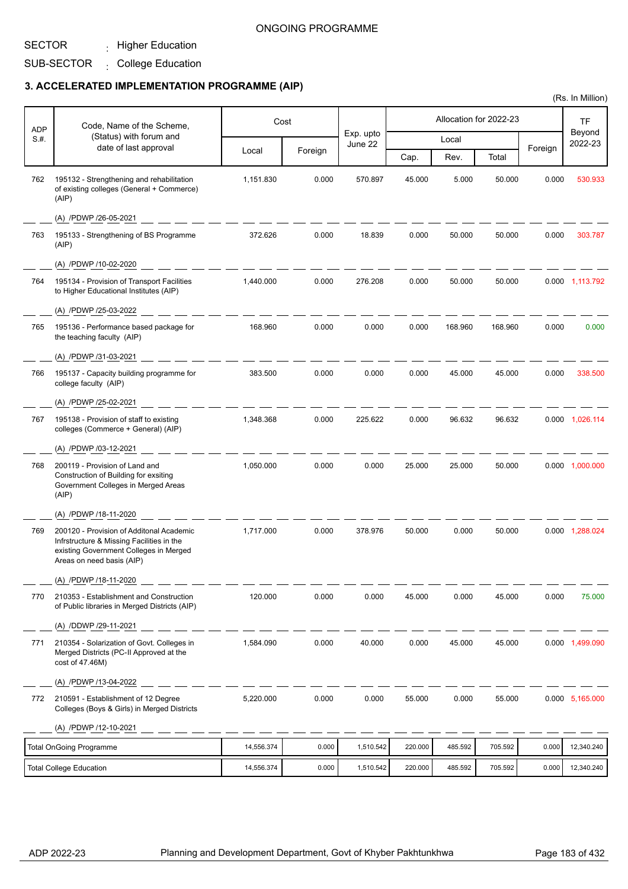#### SECTOR  $\cdot$  Higher Education

SUB-SECTOR College Education

|            |                                                                                                                                                              |            |         |           |         |         |                        |         | (Rs. In Million)    |
|------------|--------------------------------------------------------------------------------------------------------------------------------------------------------------|------------|---------|-----------|---------|---------|------------------------|---------|---------------------|
| <b>ADP</b> | Code, Name of the Scheme,                                                                                                                                    |            | Cost    | Exp. upto |         |         | Allocation for 2022-23 |         | <b>TF</b><br>Beyond |
| S.#.       | (Status) with forum and<br>date of last approval                                                                                                             | Local      | Foreign | June 22   |         | Local   |                        | Foreign | 2022-23             |
|            |                                                                                                                                                              |            |         |           | Cap.    | Rev.    | Total                  |         |                     |
| 762        | 195132 - Strengthening and rehabilitation<br>of existing colleges (General + Commerce)<br>(AIP)                                                              | 1,151.830  | 0.000   | 570.897   | 45.000  | 5.000   | 50.000                 | 0.000   | 530.933             |
|            | (A) /PDWP /26-05-2021                                                                                                                                        |            |         |           |         |         |                        |         |                     |
| 763        | 195133 - Strengthening of BS Programme<br>(AIP)                                                                                                              | 372.626    | 0.000   | 18.839    | 0.000   | 50.000  | 50.000                 | 0.000   | 303.787             |
|            | (A) /PDWP /10-02-2020                                                                                                                                        |            |         |           |         |         |                        |         |                     |
| 764        | 195134 - Provision of Transport Facilities<br>to Higher Educational Institutes (AIP)                                                                         | 1,440.000  | 0.000   | 276.208   | 0.000   | 50.000  | 50.000                 |         | 0.000 1,113.792     |
|            | (A) /PDWP /25-03-2022                                                                                                                                        |            |         |           |         |         |                        |         |                     |
| 765        | 195136 - Performance based package for<br>the teaching faculty (AIP)                                                                                         | 168.960    | 0.000   | 0.000     | 0.000   | 168.960 | 168.960                | 0.000   | 0.000               |
|            | (A) /PDWP /31-03-2021                                                                                                                                        |            |         |           |         |         |                        |         |                     |
| 766        | 195137 - Capacity building programme for<br>college faculty (AIP)                                                                                            | 383.500    | 0.000   | 0.000     | 0.000   | 45.000  | 45.000                 | 0.000   | 338.500             |
|            | (A) /PDWP /25-02-2021                                                                                                                                        |            |         |           |         |         |                        |         |                     |
| 767        | 195138 - Provision of staff to existing<br>colleges (Commerce + General) (AIP)                                                                               | 1,348.368  | 0.000   | 225.622   | 0.000   | 96.632  | 96.632                 |         | 0.000 1,026.114     |
|            | (A) /PDWP /03-12-2021                                                                                                                                        |            |         |           |         |         |                        |         |                     |
| 768        | 200119 - Provision of Land and<br>Construction of Building for exsiting<br>Government Colleges in Merged Areas<br>(AIP)                                      | 1,050.000  | 0.000   | 0.000     | 25.000  | 25.000  | 50.000                 |         | 0.000 1,000.000     |
|            | (A) /PDWP /18-11-2020                                                                                                                                        |            |         |           |         |         |                        |         |                     |
| 769        | 200120 - Provision of Additonal Academic<br>Infrstructure & Missing Facilities in the<br>existing Government Colleges in Merged<br>Areas on need basis (AIP) | 1,717.000  | 0.000   | 378.976   | 50.000  | 0.000   | 50.000                 |         | 0.000 1,288.024     |
|            | (A) /PDWP /18-11-2020                                                                                                                                        |            |         |           |         |         |                        |         |                     |
| 770        | 210353 - Establishment and Construction<br>of Public libraries in Merged Districts (AIP)                                                                     | 120.000    | 0.000   | 0.000     | 45.000  | 0.000   | 45.000                 | 0.000   | 75.000              |
|            | (A) /DDWP /29-11-2021                                                                                                                                        |            |         |           |         |         |                        |         |                     |
| 771        | 210354 - Solarization of Govt. Colleges in<br>Merged Districts (PC-II Approved at the<br>cost of 47.46M)                                                     | 1,584.090  | 0.000   | 40.000    | 0.000   | 45.000  | 45.000                 |         | 0.000 1,499.090     |
|            | (A) /PDWP /13-04-2022                                                                                                                                        |            |         |           |         |         |                        |         |                     |
| 772        | 210591 - Establishment of 12 Degree<br>Colleges (Boys & Girls) in Merged Districts                                                                           | 5,220.000  | 0.000   | 0.000     | 55.000  | 0.000   | 55.000                 |         | 0.000 5,165.000     |
|            | (A) /PDWP /12-10-2021                                                                                                                                        |            |         |           |         |         |                        |         |                     |
|            | <b>Total OnGoing Programme</b>                                                                                                                               | 14,556.374 | 0.000   | 1,510.542 | 220.000 | 485.592 | 705.592                | 0.000   | 12,340.240          |
|            | <b>Total College Education</b>                                                                                                                               | 14,556.374 | 0.000   | 1,510.542 | 220.000 | 485.592 | 705.592                | 0.000   | 12,340.240          |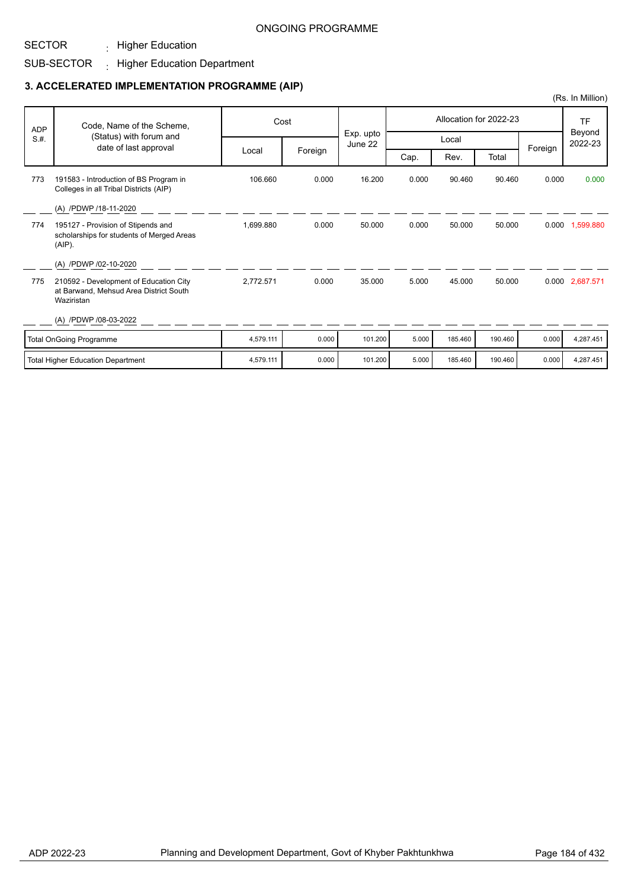## SUB-SECTOR Higher Education Department :

 $\cdot$  Higher Education

|            |                                                                                                |           |         |                      |       |         |                        |         | (Rs. In Million)  |
|------------|------------------------------------------------------------------------------------------------|-----------|---------|----------------------|-------|---------|------------------------|---------|-------------------|
| <b>ADP</b> | Code, Name of the Scheme,                                                                      |           | Cost    |                      |       |         | Allocation for 2022-23 |         | TF                |
| S.H.       | (Status) with forum and<br>date of last approval                                               |           |         | Exp. upto<br>June 22 |       | Local   |                        | Foreign | Beyond<br>2022-23 |
|            |                                                                                                | Local     | Foreign |                      | Cap.  | Rev.    | Total                  |         |                   |
| 773        | 191583 - Introduction of BS Program in<br>Colleges in all Tribal Districts (AIP)               | 106.660   | 0.000   | 16.200               | 0.000 | 90.460  | 90.460                 | 0.000   | 0.000             |
|            | (A) /PDWP /18-11-2020                                                                          |           |         |                      |       |         |                        |         |                   |
| 774        | 195127 - Provision of Stipends and<br>scholarships for students of Merged Areas<br>$(AIP)$ .   | 1,699.880 | 0.000   | 50.000               | 0.000 | 50.000  | 50.000                 | 0.000   | 1,599.880         |
|            | (A) /PDWP /02-10-2020                                                                          |           |         |                      |       |         |                        |         |                   |
| 775        | 210592 - Development of Education City<br>at Barwand, Mehsud Area District South<br>Waziristan | 2,772.571 | 0.000   | 35.000               | 5.000 | 45,000  | 50.000                 |         | 0.000 2,687.571   |
|            | (A) /PDWP /08-03-2022                                                                          |           |         |                      |       |         |                        |         |                   |
|            | <b>Total OnGoing Programme</b>                                                                 | 4,579.111 | 0.000   | 101.200              | 5.000 | 185.460 | 190.460                | 0.000   | 4,287.451         |
|            | <b>Total Higher Education Department</b>                                                       | 4,579.111 | 0.000   | 101.200              | 5.000 | 185.460 | 190.460                | 0.000   | 4,287.451         |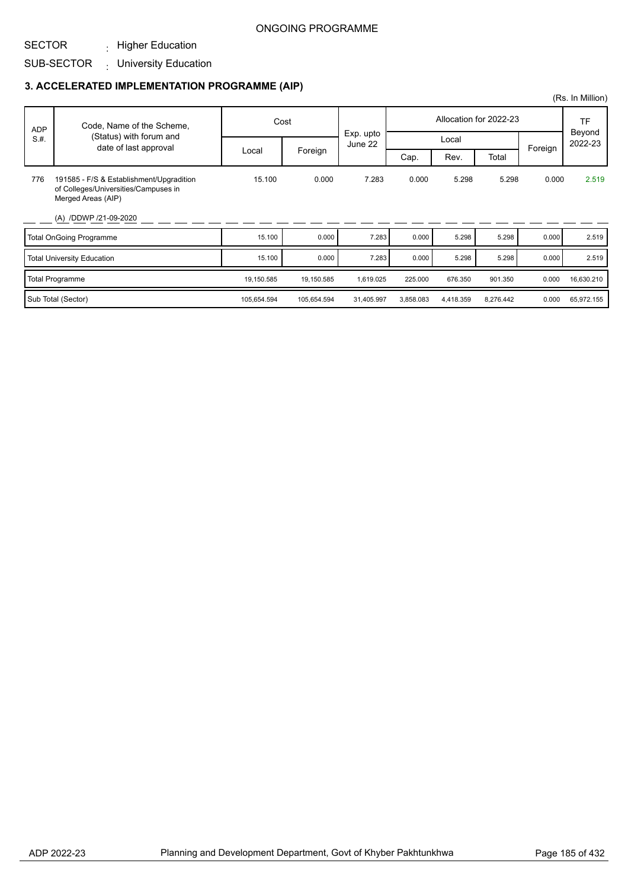SUB-SECTOR : University Education  $\cdot$  Higher Education

|            |                                                                                                        |             |             |                      |           |           |                        |         | (Rs. In Million)  |
|------------|--------------------------------------------------------------------------------------------------------|-------------|-------------|----------------------|-----------|-----------|------------------------|---------|-------------------|
| <b>ADP</b> | Code, Name of the Scheme,                                                                              |             | Cost        |                      |           |           | Allocation for 2022-23 |         | TF                |
| S.H.       | (Status) with forum and<br>date of last approval                                                       |             |             | Exp. upto<br>June 22 |           | Local     |                        | Foreign | Beyond<br>2022-23 |
|            |                                                                                                        | Local       | Foreign     |                      | Cap.      | Rev.      | Total                  |         |                   |
| 776        | 191585 - F/S & Establishment/Upgradition<br>of Colleges/Universities/Campuses in<br>Merged Areas (AIP) | 15.100      | 0.000       | 7.283                | 0.000     | 5.298     | 5.298                  | 0.000   | 2.519             |
|            | (A) /DDWP /21-09-2020                                                                                  |             |             |                      |           |           |                        |         |                   |
|            | <b>Total OnGoing Programme</b>                                                                         | 15.100      | 0.000       | 7.283                | 0.000     | 5.298     | 5.298                  | 0.000   | 2.519             |
|            | <b>Total University Education</b>                                                                      | 15.100      | 0.000       | 7.283                | 0.000     | 5.298     | 5.298                  | 0.000   | 2.519             |
|            | <b>Total Programme</b>                                                                                 | 19,150.585  | 19,150.585  | 1,619.025            | 225.000   | 676.350   | 901.350                | 0.000   | 16,630.210        |
|            | Sub Total (Sector)                                                                                     | 105,654.594 | 105,654.594 | 31,405.997           | 3,858.083 | 4,418.359 | 8,276.442              | 0.000   | 65,972.155        |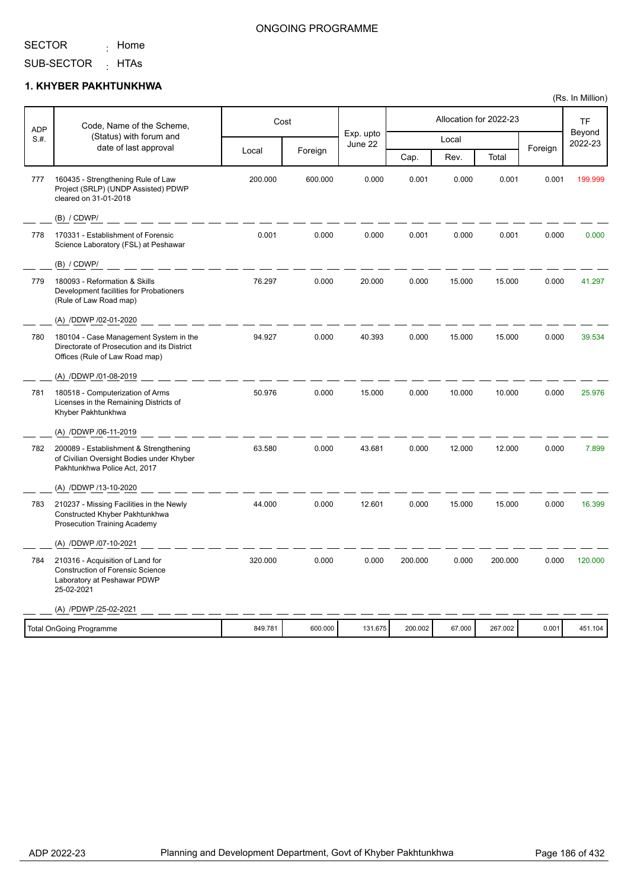<sub>:</sub> Home

### ONGOING PROGRAMME

SUB-SECTOR <sub>:</sub> HTAs

#### **1. KHYBER PAKHTUNKHWA**

| <b>ADP</b> | Code, Name of the Scheme,                                                                                                |         | Cost    |                      |         |        | Allocation for 2022-23 |         | <b>TF</b>         |
|------------|--------------------------------------------------------------------------------------------------------------------------|---------|---------|----------------------|---------|--------|------------------------|---------|-------------------|
| S.H.       | (Status) with forum and<br>date of last approval                                                                         |         |         | Exp. upto<br>June 22 |         | Local  |                        | Foreign | Beyond<br>2022-23 |
|            |                                                                                                                          | Local   | Foreign |                      | Cap.    | Rev.   | Total                  |         |                   |
| 777        | 160435 - Strengthening Rule of Law<br>Project (SRLP) (UNDP Assisted) PDWP<br>cleared on 31-01-2018                       | 200.000 | 600.000 | 0.000                | 0.001   | 0.000  | 0.001                  | 0.001   | 199.999           |
|            | (B) / CDWP/                                                                                                              |         |         |                      |         |        |                        |         |                   |
| 778        | 170331 - Establishment of Forensic<br>Science Laboratory (FSL) at Peshawar                                               | 0.001   | 0.000   | 0.000                | 0.001   | 0.000  | 0.001                  | 0.000   | 0.000             |
|            | (B) / CDWP/                                                                                                              |         |         |                      |         |        |                        |         |                   |
| 779        | 180093 - Reformation & Skills<br>Development facilities for Probationers<br>(Rule of Law Road map)                       | 76.297  | 0.000   | 20.000               | 0.000   | 15.000 | 15.000                 | 0.000   | 41.297            |
|            | (A) /DDWP /02-01-2020                                                                                                    |         |         |                      |         |        |                        |         |                   |
| 780        | 180104 - Case Management System in the<br>Directorate of Prosecution and its District<br>Offices (Rule of Law Road map)  | 94.927  | 0.000   | 40.393               | 0.000   | 15.000 | 15.000                 | 0.000   | 39.534            |
|            | (A) /DDWP /01-08-2019                                                                                                    |         |         |                      |         |        |                        |         |                   |
| 781        | 180518 - Computerization of Arms<br>Licenses in the Remaining Districts of<br>Khyber Pakhtunkhwa                         | 50.976  | 0.000   | 15.000               | 0.000   | 10.000 | 10.000                 | 0.000   | 25.976            |
|            | (A) /DDWP /06-11-2019                                                                                                    |         |         |                      |         |        |                        |         |                   |
| 782        | 200089 - Establishment & Strengthening<br>of Civilian Oversight Bodies under Khyber<br>Pakhtunkhwa Police Act, 2017      | 63.580  | 0.000   | 43.681               | 0.000   | 12.000 | 12.000                 | 0.000   | 7.899             |
|            | (A) /DDWP /13-10-2020                                                                                                    |         |         |                      |         |        |                        |         |                   |
| 783        | 210237 - Missing Facilities in the Newly<br>Constructed Khyber Pakhtunkhwa<br>Prosecution Training Academy               | 44.000  | 0.000   | 12.601               | 0.000   | 15.000 | 15.000                 | 0.000   | 16.399            |
|            | (A) /DDWP /07-10-2021                                                                                                    |         |         |                      |         |        |                        |         |                   |
| 784        | 210316 - Acquisition of Land for<br><b>Construction of Forensic Science</b><br>Laboratory at Peshawar PDWP<br>25-02-2021 | 320.000 | 0.000   | 0.000                | 200.000 | 0.000  | 200.000                | 0.000   | 120,000           |
|            | (A) /PDWP /25-02-2021                                                                                                    |         |         |                      |         |        |                        |         |                   |
|            | <b>Total OnGoing Programme</b>                                                                                           | 849.781 | 600.000 | 131.675              | 200.002 | 67.000 | 267.002                | 0.001   | 451.104           |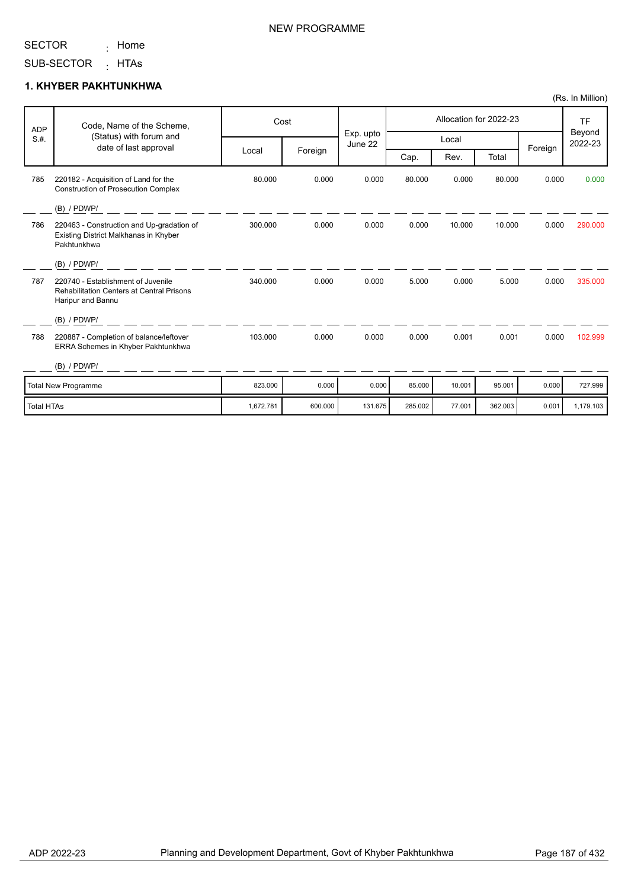<sub>:</sub> Home

### NEW PROGRAMME

SUB-SECTOR <sub>:</sub> HTAs

#### **1. KHYBER PAKHTUNKHWA**

| <b>ADP</b>        | Code, Name of the Scheme,<br>(Status) with forum and                                                        | Cost      |         |                      |         |        | Allocation for 2022-23 |         | <b>TF</b><br>Beyond |
|-------------------|-------------------------------------------------------------------------------------------------------------|-----------|---------|----------------------|---------|--------|------------------------|---------|---------------------|
| S.H.              | date of last approval                                                                                       |           |         | Exp. upto<br>June 22 |         | Local  |                        |         | 2022-23             |
|                   |                                                                                                             | Local     | Foreign |                      | Cap.    | Rev.   | Total                  | Foreign |                     |
| 785               | 220182 - Acquisition of Land for the<br><b>Construction of Prosecution Complex</b>                          | 80.000    | 0.000   | 0.000                | 80.000  | 0.000  | 80.000                 | 0.000   | 0.000               |
|                   | (B) / PDWP/                                                                                                 |           |         |                      |         |        |                        |         |                     |
| 786               | 220463 - Construction and Up-gradation of<br>Existing District Malkhanas in Khyber<br>Pakhtunkhwa           | 300.000   | 0.000   | 0.000                | 0.000   | 10.000 | 10.000                 | 0.000   | 290,000             |
|                   | (B) / PDWP/                                                                                                 |           |         |                      |         |        |                        |         |                     |
| 787               | 220740 - Establishment of Juvenile<br><b>Rehabilitation Centers at Central Prisons</b><br>Haripur and Bannu | 340.000   | 0.000   | 0.000                | 5.000   | 0.000  | 5.000                  | 0.000   | 335.000             |
|                   | $(B)$ / PDWP/                                                                                               |           |         |                      |         |        |                        |         |                     |
| 788               | 220887 - Completion of balance/leftover<br><b>ERRA Schemes in Khyber Pakhtunkhwa</b>                        | 103.000   | 0.000   | 0.000                | 0.000   | 0.001  | 0.001                  | 0.000   | 102.999             |
|                   | (B) / PDWP/                                                                                                 |           |         |                      |         |        |                        |         |                     |
|                   | <b>Total New Programme</b>                                                                                  | 823.000   | 0.000   | 0.000                | 85.000  | 10.001 | 95.001                 | 0.000   | 727.999             |
| <b>Total HTAs</b> |                                                                                                             | 1,672.781 | 600.000 | 131.675              | 285.002 | 77.001 | 362.003                | 0.001   | 1,179.103           |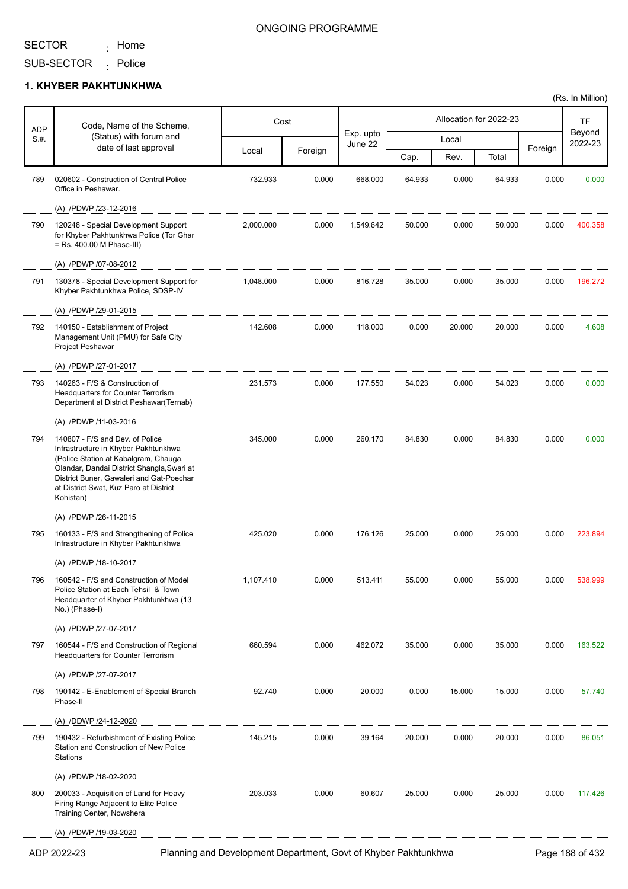<sub>:</sub> Home

#### ONGOING PROGRAMME

SUB-SECTOR <sub>:</sub> Police

### **1. KHYBER PAKHTUNKHWA**

| <b>ADP</b> | Code, Name of the Scheme,                                                                                                                                                                                                      |                                                                 | Cost    |                      |        |        | Allocation for 2022-23 |         | TF                |
|------------|--------------------------------------------------------------------------------------------------------------------------------------------------------------------------------------------------------------------------------|-----------------------------------------------------------------|---------|----------------------|--------|--------|------------------------|---------|-------------------|
| $S#$ .     | (Status) with forum and                                                                                                                                                                                                        |                                                                 |         | Exp. upto<br>June 22 |        | Local  |                        |         | Beyond<br>2022-23 |
|            | date of last approval                                                                                                                                                                                                          | Local                                                           | Foreign |                      | Cap.   | Rev.   | Total                  | Foreign |                   |
| 789        | 020602 - Construction of Central Police<br>Office in Peshawar.                                                                                                                                                                 | 732.933                                                         | 0.000   | 668.000              | 64.933 | 0.000  | 64.933                 | 0.000   | 0.000             |
|            | (A) /PDWP /23-12-2016                                                                                                                                                                                                          |                                                                 |         |                      |        |        |                        |         |                   |
| 790        | 120248 - Special Development Support<br>for Khyber Pakhtunkhwa Police (Tor Ghar<br>= Rs. 400.00 M Phase-III)                                                                                                                   | 2,000.000                                                       | 0.000   | 1,549.642            | 50.000 | 0.000  | 50.000                 | 0.000   | 400.358           |
|            | (A) /PDWP /07-08-2012                                                                                                                                                                                                          |                                                                 |         |                      |        |        |                        |         |                   |
| 791        | 130378 - Special Development Support for<br>Khyber Pakhtunkhwa Police, SDSP-IV                                                                                                                                                 | 1,048.000                                                       | 0.000   | 816.728              | 35.000 | 0.000  | 35.000                 | 0.000   | 196.272           |
|            | (A) /PDWP /29-01-2015                                                                                                                                                                                                          |                                                                 |         |                      |        |        |                        |         |                   |
| 792        | 140150 - Establishment of Project<br>Management Unit (PMU) for Safe City<br>Project Peshawar                                                                                                                                   | 142.608                                                         | 0.000   | 118.000              | 0.000  | 20.000 | 20.000                 | 0.000   | 4.608             |
|            | (A) /PDWP /27-01-2017                                                                                                                                                                                                          |                                                                 |         |                      |        |        |                        |         |                   |
| 793        | 140263 - F/S & Construction of<br><b>Headquarters for Counter Terrorism</b><br>Department at District Peshawar(Ternab)                                                                                                         | 231.573                                                         | 0.000   | 177.550              | 54.023 | 0.000  | 54.023                 | 0.000   | 0.000             |
| 794        | (A) /PDWP /11-03-2016<br>140807 - F/S and Dev. of Police                                                                                                                                                                       | 345.000                                                         | 0.000   | 260.170              | 84.830 | 0.000  | 84.830                 | 0.000   | 0.000             |
|            | Infrastructure in Khyber Pakhtunkhwa<br>(Police Station at Kabalgram, Chauga,<br>Olandar, Dandai District Shangla, Swari at<br>District Buner, Gawaleri and Gat-Poechar<br>at District Swat, Kuz Paro at District<br>Kohistan) |                                                                 |         |                      |        |        |                        |         |                   |
|            | (A) /PDWP /26-11-2015                                                                                                                                                                                                          |                                                                 |         |                      |        |        |                        |         |                   |
| 795        | 160133 - F/S and Strengthening of Police<br>Infrastructure in Khyber Pakhtunkhwa                                                                                                                                               | 425.020                                                         | 0.000   | 176.126              | 25.000 | 0.000  | 25.000                 | 0.000   | 223.894           |
|            | (A) /PDWP /18-10-2017                                                                                                                                                                                                          |                                                                 |         |                      |        |        |                        |         |                   |
| 796        | 160542 - F/S and Construction of Model<br>Police Station at Each Tehsil & Town<br>Headquarter of Khyber Pakhtunkhwa (13<br>No.) (Phase-I)                                                                                      | 1,107.410                                                       | 0.000   | 513.411              | 55.000 | 0.000  | 55.000                 | 0.000   | 538.999           |
|            | (A) /PDWP /27-07-2017                                                                                                                                                                                                          |                                                                 |         |                      |        |        |                        |         |                   |
| 797        | 160544 - F/S and Construction of Regional<br><b>Headquarters for Counter Terrorism</b>                                                                                                                                         | 660.594                                                         | 0.000   | 462.072              | 35.000 | 0.000  | 35.000                 | 0.000   | 163.522           |
|            | (A) /PDWP /27-07-2017                                                                                                                                                                                                          |                                                                 |         |                      |        |        |                        |         |                   |
| 798        | 190142 - E-Enablement of Special Branch<br>Phase-II                                                                                                                                                                            | 92.740                                                          | 0.000   | 20.000               | 0.000  | 15.000 | 15.000                 | 0.000   | 57.740            |
|            | (A) /DDWP /24-12-2020                                                                                                                                                                                                          |                                                                 |         |                      |        |        |                        |         |                   |
| 799        | 190432 - Refurbishment of Existing Police<br>Station and Construction of New Police<br>Stations                                                                                                                                | 145.215                                                         | 0.000   | 39.164               | 20.000 | 0.000  | 20.000                 | 0.000   | 86.051            |
|            | (A) /PDWP /18-02-2020                                                                                                                                                                                                          |                                                                 |         |                      |        |        |                        |         |                   |
| 800        | 200033 - Acquisition of Land for Heavy<br>Firing Range Adjacent to Elite Police<br>Training Center, Nowshera                                                                                                                   | 203.033                                                         | 0.000   | 60.607               | 25.000 | 0.000  | 25.000                 | 0.000   | 117.426           |
|            | (A) /PDWP /19-03-2020                                                                                                                                                                                                          |                                                                 |         |                      |        |        |                        |         |                   |
|            | ADP 2022-23                                                                                                                                                                                                                    | Planning and Development Department, Govt of Khyber Pakhtunkhwa |         |                      |        |        |                        |         | Page 188 of 432   |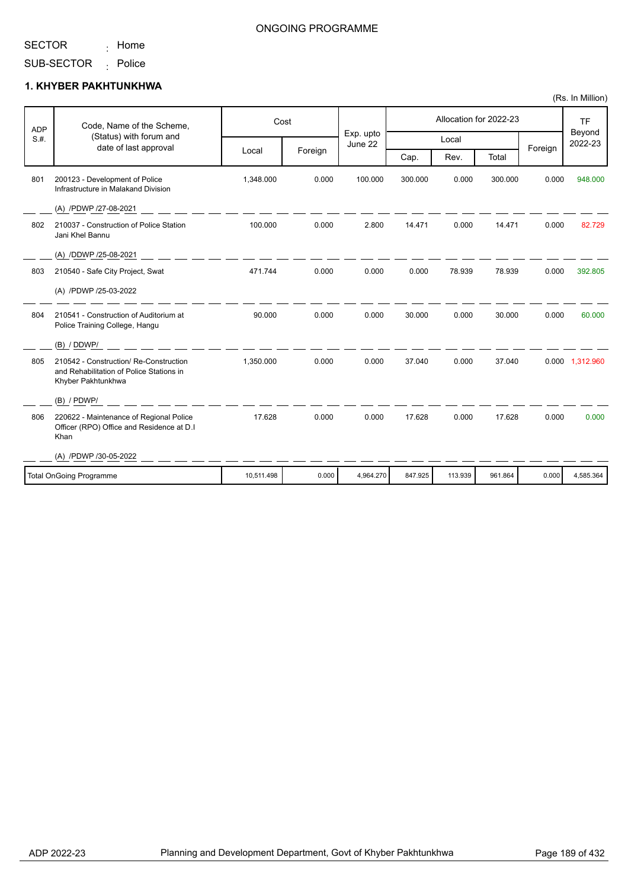<sub>:</sub> Home

#### ONGOING PROGRAMME

SUB-SECTOR <sub>:</sub> Police

#### **1. KHYBER PAKHTUNKHWA**

| <b>ADP</b> | Code, Name of the Scheme,                                                                                |            | Cost    |                      |         |         | Allocation for 2022-23 |         | <b>TF</b>         |
|------------|----------------------------------------------------------------------------------------------------------|------------|---------|----------------------|---------|---------|------------------------|---------|-------------------|
| S.H.       | (Status) with forum and<br>date of last approval                                                         |            |         | Exp. upto<br>June 22 |         | Local   |                        | Foreign | Beyond<br>2022-23 |
|            |                                                                                                          | Local      | Foreign |                      | Cap.    | Rev.    | Total                  |         |                   |
| 801        | 200123 - Development of Police<br>Infrastructure in Malakand Division                                    | 1,348.000  | 0.000   | 100.000              | 300.000 | 0.000   | 300.000                | 0.000   | 948.000           |
|            | (A) /PDWP /27-08-2021                                                                                    |            |         |                      |         |         |                        |         |                   |
| 802        | 210037 - Construction of Police Station<br>Jani Khel Bannu                                               | 100.000    | 0.000   | 2.800                | 14.471  | 0.000   | 14.471                 | 0.000   | 82.729            |
|            | (A) /DDWP /25-08-2021                                                                                    |            |         |                      |         |         |                        |         |                   |
| 803        | 210540 - Safe City Project, Swat                                                                         | 471.744    | 0.000   | 0.000                | 0.000   | 78.939  | 78.939                 | 0.000   | 392.805           |
|            | (A) /PDWP /25-03-2022                                                                                    |            |         |                      |         |         |                        |         |                   |
| 804        | 210541 - Construction of Auditorium at<br>Police Training College, Hangu                                 | 90.000     | 0.000   | 0.000                | 30.000  | 0.000   | 30.000                 | 0.000   | 60.000            |
|            | (B) / DDWP/                                                                                              |            |         |                      |         |         |                        |         |                   |
| 805        | 210542 - Construction/ Re-Construction<br>and Rehabilitation of Police Stations in<br>Khyber Pakhtunkhwa | 1,350.000  | 0.000   | 0.000                | 37.040  | 0.000   | 37.040                 |         | 0.000 1,312.960   |
|            | $(B)$ / PDWP/                                                                                            |            |         |                      |         |         |                        |         |                   |
| 806        | 220622 - Maintenance of Regional Police<br>Officer (RPO) Office and Residence at D.I<br>Khan             | 17.628     | 0.000   | 0.000                | 17.628  | 0.000   | 17.628                 | 0.000   | 0.000             |
|            | (A) /PDWP /30-05-2022                                                                                    |            |         |                      |         |         |                        |         |                   |
|            | <b>Total OnGoing Programme</b>                                                                           | 10,511.498 | 0.000   | 4,964.270            | 847.925 | 113.939 | 961.864                | 0.000   | 4.585.364         |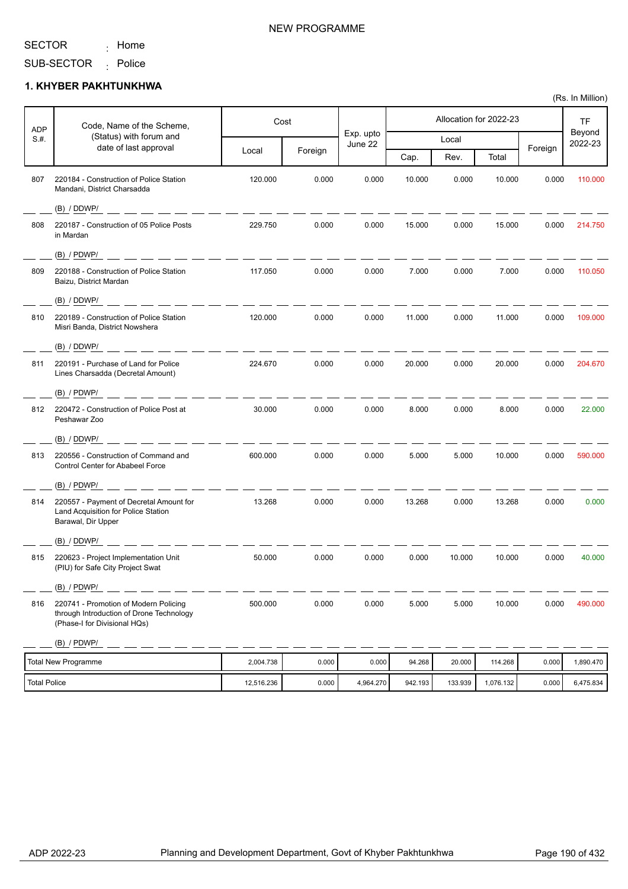<sub>:</sub> Home

# NEW PROGRAMME

SUB-SECTOR <sub>:</sub> Police

#### **1. KHYBER PAKHTUNKHWA**

| <b>ADP</b> | Code, Name of the Scheme,                                                                                         | Cost    |         |                      |        | Allocation for 2022-23 |        |         | <b>TF</b>         |
|------------|-------------------------------------------------------------------------------------------------------------------|---------|---------|----------------------|--------|------------------------|--------|---------|-------------------|
| S.H.       | (Status) with forum and<br>date of last approval                                                                  |         |         | Exp. upto<br>June 22 |        | Local                  |        | Foreign | Beyond<br>2022-23 |
|            |                                                                                                                   | Local   | Foreign |                      | Cap.   | Rev.                   | Total  |         |                   |
| 807        | 220184 - Construction of Police Station<br>Mandani, District Charsadda                                            | 120.000 | 0.000   | 0.000                | 10.000 | 0.000                  | 10.000 | 0.000   | 110.000           |
|            | (B) / DDWP/                                                                                                       |         |         |                      |        |                        |        |         |                   |
| 808        | 220187 - Construction of 05 Police Posts<br>in Mardan                                                             | 229.750 | 0.000   | 0.000                | 15.000 | 0.000                  | 15.000 | 0.000   | 214.750           |
|            | $(B)$ / PDWP/                                                                                                     |         |         |                      |        |                        |        |         |                   |
| 809        | 220188 - Construction of Police Station<br>Baizu, District Mardan                                                 | 117.050 | 0.000   | 0.000                | 7.000  | 0.000                  | 7.000  | 0.000   | 110.050           |
|            | (B) / DDWP/                                                                                                       |         |         |                      |        |                        |        |         |                   |
| 810        | 220189 - Construction of Police Station<br>Misri Banda, District Nowshera                                         | 120.000 | 0.000   | 0.000                | 11.000 | 0.000                  | 11.000 | 0.000   | 109.000           |
|            | (B) / DDWP/                                                                                                       |         |         |                      |        |                        |        |         |                   |
| 811        | 220191 - Purchase of Land for Police<br>Lines Charsadda (Decretal Amount)                                         | 224.670 | 0.000   | 0.000                | 20.000 | 0.000                  | 20.000 | 0.000   | 204.670           |
|            | $(B)$ / PDWP/                                                                                                     |         |         |                      |        |                        |        |         |                   |
| 812        | 220472 - Construction of Police Post at<br>Peshawar Zoo                                                           | 30.000  | 0.000   | 0.000                | 8.000  | 0.000                  | 8.000  | 0.000   | 22.000            |
|            | (B) / DDWP/                                                                                                       |         |         |                      |        |                        |        |         |                   |
| 813        | 220556 - Construction of Command and<br>Control Center for Ababeel Force                                          | 600.000 | 0.000   | 0.000                | 5.000  | 5.000                  | 10.000 | 0.000   | 590.000           |
|            | (B) / PDWP/                                                                                                       |         |         |                      |        |                        |        |         |                   |
| 814        | 220557 - Payment of Decretal Amount for<br>Land Acquisition for Police Station<br>Barawal, Dir Upper              | 13.268  | 0.000   | 0.000                | 13.268 | 0.000                  | 13.268 | 0.000   | 0.000             |
|            | (B) / DDWP/                                                                                                       |         |         |                      |        |                        |        |         |                   |
| 815        | 220623 - Project Implementation Unit<br>(PIU) for Safe City Project Swat                                          | 50.000  | 0.000   | 0.000                | 0.000  | 10.000                 | 10.000 | 0.000   | 40.000            |
|            | (B) / PDWP/                                                                                                       |         |         |                      |        |                        |        |         |                   |
| 816        | 220741 - Promotion of Modern Policing<br>through Introduction of Drone Technology<br>(Phase-I for Divisional HQs) | 500.000 | 0.000   | 0.000                | 5.000  | 5.000                  | 10.000 | 0.000   | 490.000           |
|            | (B) / PDWP/                                                                                                       |         |         |                      |        |                        |        |         |                   |

| Total New Programme | 2,004.738  | 0.000 | 0.000     | 94.268  | 20,000  | 114.268   | 0.000  | 1.890.470 |
|---------------------|------------|-------|-----------|---------|---------|-----------|--------|-----------|
| Total Police        | 12.516.236 | 0.000 | 4.964.270 | 942.193 | 133.939 | 1,076.132 | 0.0001 | 6,475.834 |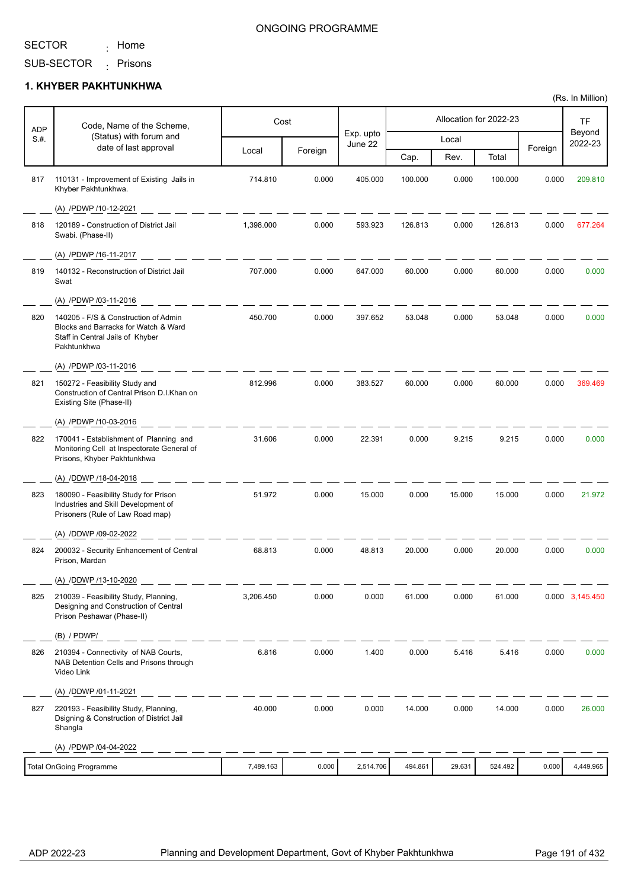<sub>:</sub> Home

#### ONGOING PROGRAMME

SUB-SECTOR <sub>:</sub> Prisons

#### **1. KHYBER PAKHTUNKHWA**

| <b>ADP</b> | Code, Name of the Scheme,                                                                                                       |           | Cost    |                      |         | Allocation for 2022-23 |         |         | <b>TF</b>         |
|------------|---------------------------------------------------------------------------------------------------------------------------------|-----------|---------|----------------------|---------|------------------------|---------|---------|-------------------|
| S.H.       | (Status) with forum and                                                                                                         |           |         | Exp. upto<br>June 22 |         | Local                  |         |         | Beyond<br>2022-23 |
|            | date of last approval                                                                                                           | Local     | Foreign |                      | Cap.    | Rev.                   | Total   | Foreign |                   |
| 817        | 110131 - Improvement of Existing Jails in<br>Khyber Pakhtunkhwa.                                                                | 714.810   | 0.000   | 405.000              | 100.000 | 0.000                  | 100.000 | 0.000   | 209.810           |
|            | (A) /PDWP /10-12-2021                                                                                                           |           |         |                      |         |                        |         |         |                   |
| 818        | 120189 - Construction of District Jail<br>Swabi. (Phase-II)                                                                     | 1,398.000 | 0.000   | 593.923              | 126.813 | 0.000                  | 126.813 | 0.000   | 677.264           |
|            | (A) /PDWP /16-11-2017                                                                                                           |           |         |                      |         |                        |         |         |                   |
| 819        | 140132 - Reconstruction of District Jail<br>Swat                                                                                | 707.000   | 0.000   | 647.000              | 60.000  | 0.000                  | 60.000  | 0.000   | 0.000             |
|            | (A) /PDWP /03-11-2016                                                                                                           |           |         |                      |         |                        |         |         |                   |
| 820        | 140205 - F/S & Construction of Admin<br>Blocks and Barracks for Watch & Ward<br>Staff in Central Jails of Khyber<br>Pakhtunkhwa | 450.700   | 0.000   | 397.652              | 53.048  | 0.000                  | 53.048  | 0.000   | 0.000             |
|            | (A) /PDWP /03-11-2016                                                                                                           |           |         |                      |         |                        |         |         |                   |
| 821        | 150272 - Feasibility Study and<br>Construction of Central Prison D.I.Khan on<br>Existing Site (Phase-II)                        | 812.996   | 0.000   | 383.527              | 60.000  | 0.000                  | 60.000  | 0.000   | 369.469           |
|            | (A) /PDWP /10-03-2016                                                                                                           |           |         |                      |         |                        |         |         |                   |
| 822        | 170041 - Establishment of Planning and<br>Monitoring Cell at Inspectorate General of<br>Prisons, Khyber Pakhtunkhwa             | 31.606    | 0.000   | 22.391               | 0.000   | 9.215                  | 9.215   | 0.000   | 0.000             |
|            | (A) /DDWP /18-04-2018                                                                                                           |           |         |                      |         |                        |         |         |                   |
| 823        | 180090 - Feasibility Study for Prison<br>Industries and Skill Development of<br>Prisoners (Rule of Law Road map)                | 51.972    | 0.000   | 15.000               | 0.000   | 15.000                 | 15.000  | 0.000   | 21.972            |
|            | (A) /DDWP /09-02-2022                                                                                                           |           |         |                      |         |                        |         |         |                   |
| 824        | 200032 - Security Enhancement of Central<br>Prison, Mardan                                                                      | 68.813    | 0.000   | 48.813               | 20.000  | 0.000                  | 20.000  | 0.000   | 0.000             |
|            | (A) /DDWP /13-10-2020                                                                                                           |           |         |                      |         |                        |         |         |                   |
| 825        | 210039 - Feasibility Study, Planning,<br>Designing and Construction of Central<br>Prison Peshawar (Phase-II)                    | 3,206.450 | 0.000   | 0.000                | 61.000  | 0.000                  | 61.000  |         | 0.000 3,145.450   |
|            | $(B)$ / PDWP/                                                                                                                   |           |         |                      |         |                        |         |         |                   |
| 826        | 210394 - Connectivity of NAB Courts,<br>NAB Detention Cells and Prisons through<br>Video Link                                   | 6.816     | 0.000   | 1.400                | 0.000   | 5.416                  | 5.416   | 0.000   | 0.000             |
|            | (A) /DDWP /01-11-2021                                                                                                           |           |         |                      |         |                        |         |         |                   |
| 827        | 220193 - Feasibility Study, Planning,<br>Dsigning & Construction of District Jail<br>Shangla                                    | 40.000    | 0.000   | 0.000                | 14.000  | 0.000                  | 14.000  | 0.000   | 26.000            |
|            | (A) /PDWP /04-04-2022                                                                                                           |           |         |                      |         |                        |         |         |                   |
|            | <b>Total OnGoing Programme</b>                                                                                                  | 7,489.163 | 0.000   | 2,514.706            | 494.861 | 29.631                 | 524.492 | 0.000   | 4,449.965         |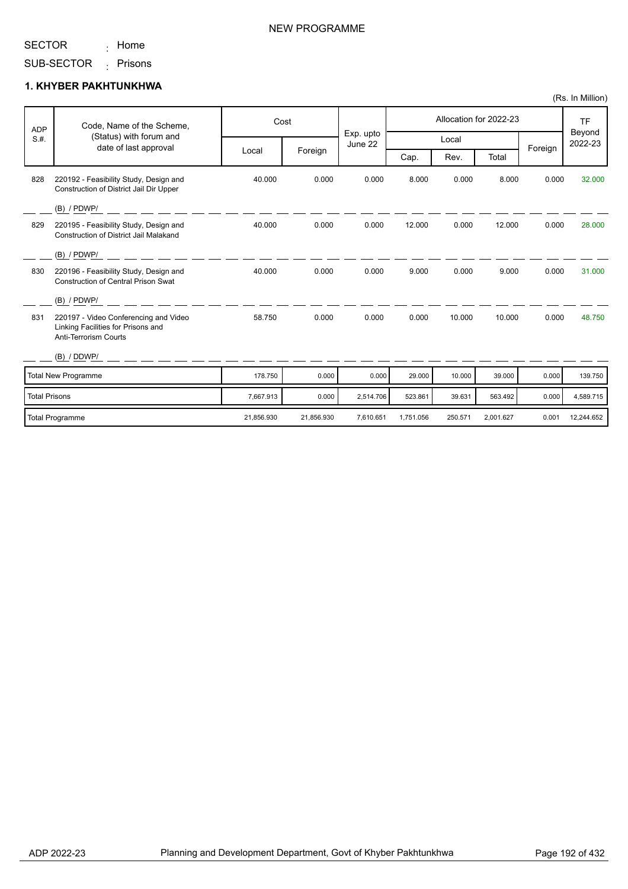<sub>:</sub> Home

SUB-SECTOR Prisons :

#### **1. KHYBER PAKHTUNKHWA**

| <b>ADP</b>           | Code, Name of the Scheme,                                                                                   |            | Cost       |                      |           |         | Allocation for 2022-23 |         | <b>TF</b>         |
|----------------------|-------------------------------------------------------------------------------------------------------------|------------|------------|----------------------|-----------|---------|------------------------|---------|-------------------|
| S.H.                 | (Status) with forum and                                                                                     |            |            | Exp. upto<br>June 22 |           | Local   |                        |         | Beyond<br>2022-23 |
|                      | date of last approval                                                                                       | Local      | Foreign    |                      | Cap.      | Rev.    | Total                  | Foreign |                   |
| 828                  | 220192 - Feasibility Study, Design and<br>Construction of District Jail Dir Upper                           | 40.000     | 0.000      | 0.000                | 8.000     | 0.000   | 8.000                  | 0.000   | 32.000            |
|                      | $(B)$ / PDWP/                                                                                               |            |            |                      |           |         |                        |         |                   |
| 829                  | 220195 - Feasibility Study, Design and<br>Construction of District Jail Malakand                            | 40.000     | 0.000      | 0.000                | 12.000    | 0.000   | 12.000                 | 0.000   | 28,000            |
|                      | $(B)$ / PDWP/                                                                                               |            |            |                      |           |         |                        |         |                   |
| 830                  | 220196 - Feasibility Study, Design and<br><b>Construction of Central Prison Swat</b>                        | 40.000     | 0.000      | 0.000                | 9.000     | 0.000   | 9.000                  | 0.000   | 31.000            |
|                      | $(B)$ / PDWP/                                                                                               |            |            |                      |           |         |                        |         |                   |
| 831                  | 220197 - Video Conferencing and Video<br>Linking Facilities for Prisons and<br><b>Anti-Terrorism Courts</b> | 58.750     | 0.000      | 0.000                | 0.000     | 10.000  | 10.000                 | 0.000   | 48.750            |
|                      | (B) / DDWP/                                                                                                 |            |            |                      |           |         |                        |         |                   |
|                      | Total New Programme                                                                                         | 178.750    | 0.000      | 0.000                | 29.000    | 10.000  | 39.000                 | 0.000   | 139.750           |
| <b>Total Prisons</b> |                                                                                                             | 7,667.913  | 0.000      | 2,514.706            | 523.861   | 39.631  | 563.492                | 0.000   | 4,589.715         |
|                      | <b>Total Programme</b>                                                                                      | 21,856.930 | 21,856.930 | 7,610.651            | 1,751.056 | 250.571 | 2,001.627              | 0.001   | 12,244.652        |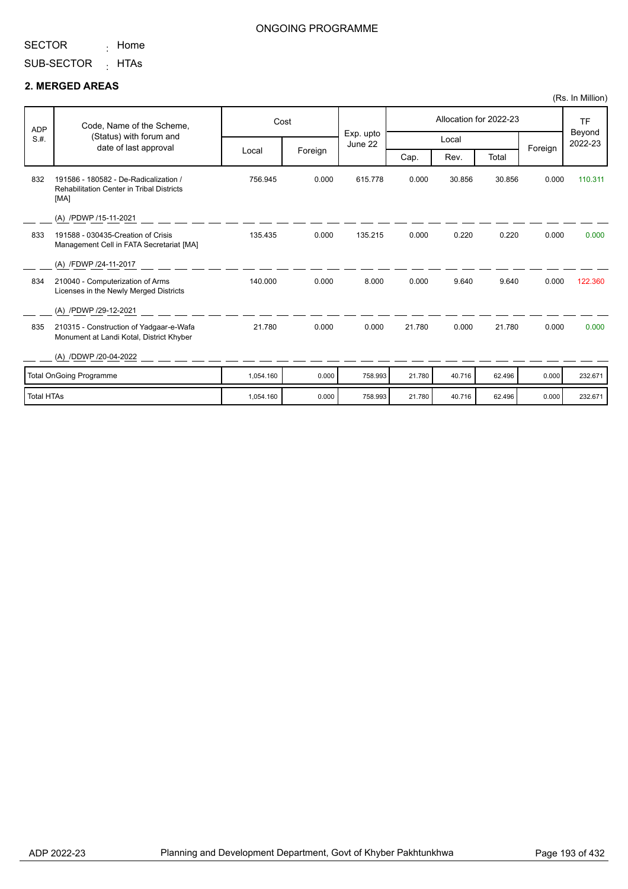<sub>:</sub> Home

SUB-SECTOR <sub>:</sub> HTAs

#### **2. MERGED AREAS**

| <b>ADP</b>        | Code, Name of the Scheme,                                                                         |           | Cost    |                      |        |        | Allocation for 2022-23 |         | <b>TF</b>         |
|-------------------|---------------------------------------------------------------------------------------------------|-----------|---------|----------------------|--------|--------|------------------------|---------|-------------------|
| S.H.              | (Status) with forum and<br>date of last approval                                                  |           |         | Exp. upto<br>June 22 |        | Local  |                        |         | Beyond<br>2022-23 |
|                   |                                                                                                   | Local     | Foreign |                      | Cap.   | Rev.   | Total                  | Foreign |                   |
| 832               | 191586 - 180582 - De-Radicalization /<br><b>Rehabilitation Center in Tribal Districts</b><br>[MA] | 756.945   | 0.000   | 615.778              | 0.000  | 30.856 | 30.856                 | 0.000   | 110.311           |
|                   | (A) /PDWP /15-11-2021                                                                             |           |         |                      |        |        |                        |         |                   |
| 833               | 191588 - 030435-Creation of Crisis<br>Management Cell in FATA Secretariat [MA]                    | 135.435   | 0.000   | 135.215              | 0.000  | 0.220  | 0.220                  | 0.000   | 0.000             |
|                   | (A) /FDWP /24-11-2017                                                                             |           |         |                      |        |        |                        |         |                   |
| 834               | 210040 - Computerization of Arms<br>Licenses in the Newly Merged Districts                        | 140.000   | 0.000   | 8.000                | 0.000  | 9.640  | 9.640                  | 0.000   | 122.360           |
|                   | (A) /PDWP /29-12-2021                                                                             |           |         |                      |        |        |                        |         |                   |
| 835               | 210315 - Construction of Yadgaar-e-Wafa<br>Monument at Landi Kotal, District Khyber               | 21.780    | 0.000   | 0.000                | 21.780 | 0.000  | 21.780                 | 0.000   | 0.000             |
|                   | (A) /DDWP /20-04-2022                                                                             |           |         |                      |        |        |                        |         |                   |
|                   | <b>Total OnGoing Programme</b>                                                                    | 1,054.160 | 0.000   | 758.993              | 21.780 | 40.716 | 62.496                 | 0.000   | 232.671           |
| <b>Total HTAs</b> |                                                                                                   | 1.054.160 | 0.000   | 758.993              | 21.780 | 40.716 | 62.496                 | 0.000   | 232.671           |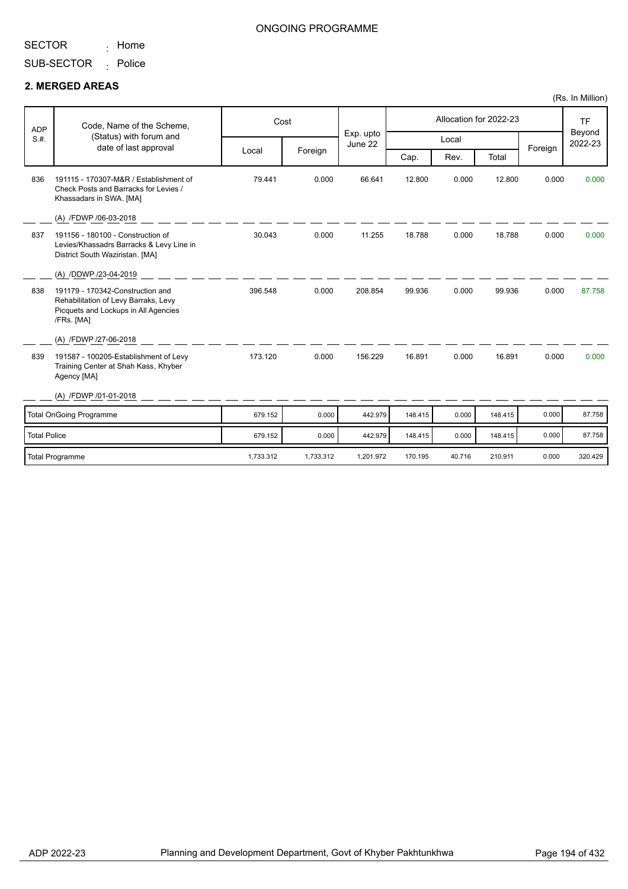<sub>:</sub> Home

#### ONGOING PROGRAMME

SUB-SECTOR <sub>:</sub> Police

#### **2. MERGED AREAS**

| <b>ADP</b>          | Code, Name of the Scheme,                                                                                                      |           | Cost      |                      |         |        | Allocation for 2022-23 |         | <b>TF</b>         |
|---------------------|--------------------------------------------------------------------------------------------------------------------------------|-----------|-----------|----------------------|---------|--------|------------------------|---------|-------------------|
| S.H.                | (Status) with forum and<br>date of last approval                                                                               |           |           | Exp. upto<br>June 22 |         | Local  |                        |         | Beyond<br>2022-23 |
|                     |                                                                                                                                | Local     | Foreign   |                      | Cap.    | Rev.   | Total                  | Foreign |                   |
| 836                 | 191115 - 170307-M&R / Establishment of<br>Check Posts and Barracks for Levies /<br>Khassadars in SWA. [MA]                     | 79.441    | 0.000     | 66.641               | 12.800  | 0.000  | 12.800                 | 0.000   | 0.000             |
|                     | (A) /FDWP /06-03-2018                                                                                                          |           |           |                      |         |        |                        |         |                   |
| 837                 | 191156 - 180100 - Construction of<br>Levies/Khassadrs Barracks & Levy Line in<br>District South Waziristan. [MA]               | 30.043    | 0.000     | 11.255               | 18.788  | 0.000  | 18.788                 | 0.000   | 0.000             |
|                     | (A) /DDWP /23-04-2019                                                                                                          |           |           |                      |         |        |                        |         |                   |
| 838                 | 191179 - 170342-Construction and<br>Rehabilitation of Levy Barraks, Levy<br>Picquets and Lockups in All Agencies<br>/FRs. [MA] | 396.548   | 0.000     | 208.854              | 99.936  | 0.000  | 99.936                 | 0.000   | 87.758            |
|                     | (A) /FDWP /27-06-2018                                                                                                          |           |           |                      |         |        |                        |         |                   |
| 839                 | 191587 - 100205-Establishment of Levy<br>Training Center at Shah Kass, Khyber<br>Agency [MA]                                   | 173.120   | 0.000     | 156.229              | 16.891  | 0.000  | 16.891                 | 0.000   | 0.000             |
|                     | (A) /FDWP /01-01-2018                                                                                                          |           |           |                      |         |        |                        |         |                   |
|                     | <b>Total OnGoing Programme</b>                                                                                                 | 679.152   | 0.000     | 442.979              | 148.415 | 0.000  | 148.415                | 0.000   | 87.758            |
| <b>Total Police</b> |                                                                                                                                | 679.152   | 0.000     | 442.979              | 148.415 | 0.000  | 148.415                | 0.000   | 87.758            |
|                     | <b>Total Programme</b>                                                                                                         | 1,733.312 | 1,733.312 | 1.201.972            | 170.195 | 40.716 | 210.911                | 0.000   | 320.429           |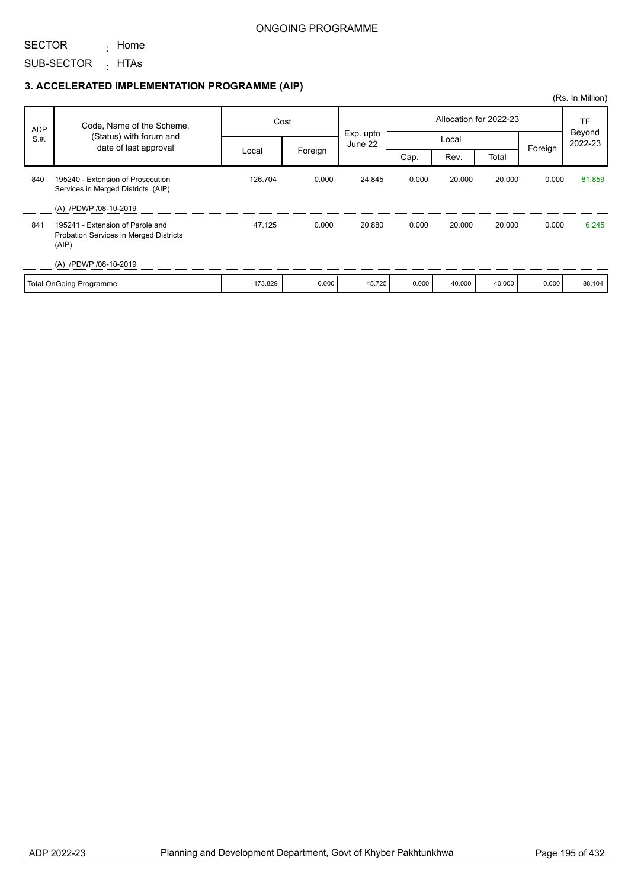SECTOR : Home

SUB-SECTOR <sub>:</sub> HTAs

|            |                                                                                     |         |         |                      |       |        |                        |         | (Rs. In Million)        |
|------------|-------------------------------------------------------------------------------------|---------|---------|----------------------|-------|--------|------------------------|---------|-------------------------|
| <b>ADP</b> | Code, Name of the Scheme,                                                           | Cost    |         |                      |       |        | Allocation for 2022-23 |         | TF<br>Beyond<br>2022-23 |
| S.H.       | (Status) with forum and<br>date of last approval                                    |         |         | Exp. upto<br>June 22 |       | Local  |                        | Foreign |                         |
|            |                                                                                     | Local   | Foreign |                      | Cap.  | Rev.   | Total                  |         |                         |
| 840        | 195240 - Extension of Prosecution<br>Services in Merged Districts (AIP)             | 126.704 | 0.000   | 24.845               | 0.000 | 20.000 | 20.000                 | 0.000   | 81.859                  |
|            | (A) /PDWP /08-10-2019                                                               |         |         |                      |       |        |                        |         |                         |
| 841        | 195241 - Extension of Parole and<br>Probation Services in Merged Districts<br>(AIP) | 47.125  | 0.000   | 20.880               | 0.000 | 20.000 | 20.000                 | 0.000   | 6.245                   |
|            | (A) /PDWP /08-10-2019                                                               |         |         |                      |       |        |                        |         |                         |
|            | <b>Total OnGoing Programme</b>                                                      | 173.829 | 0.000   | 45.725               | 0.000 | 40.000 | 40.000                 | 0.000   | 88.104                  |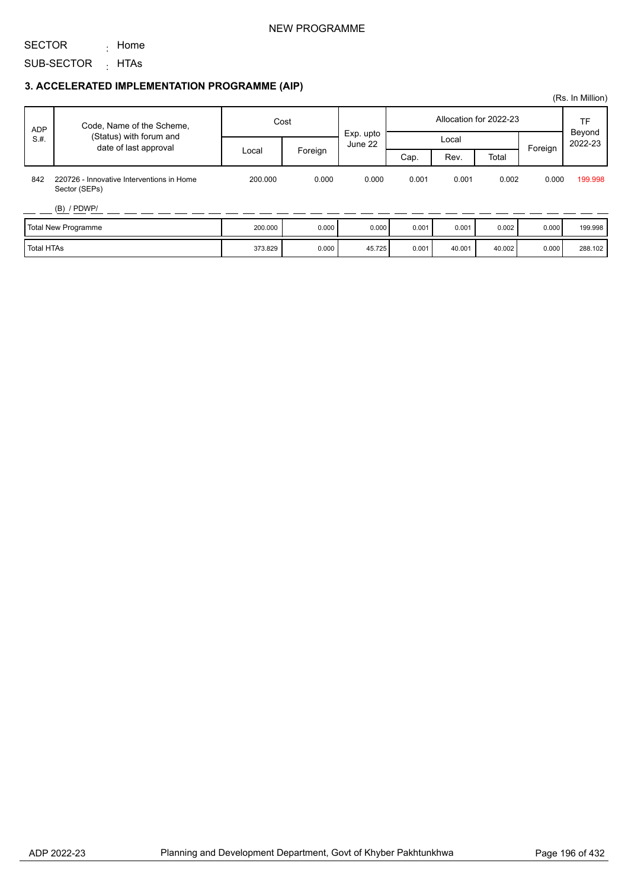#### NEW PROGRAMME

SECTOR <sub>:</sub> Home

SUB-SECTOR <sub>:</sub> HTAs

|            |                                                            |         |                  |           |                        |        |        |         | (Rs. In Million) |                         |
|------------|------------------------------------------------------------|---------|------------------|-----------|------------------------|--------|--------|---------|------------------|-------------------------|
| <b>ADP</b> | Code, Name of the Scheme,                                  | Cost    |                  | Exp. upto | Allocation for 2022-23 |        |        |         |                  | TF<br>Beyond<br>2022-23 |
| S.H.       | (Status) with forum and<br>date of last approval           |         | Local<br>June 22 |           |                        |        |        | Foreign |                  |                         |
|            |                                                            | Local   | Foreign          |           | Cap.                   | Rev.   | Total  |         |                  |                         |
| 842        | 220726 - Innovative Interventions in Home<br>Sector (SEPs) | 200.000 | 0.000            | 0.000     | 0.001                  | 0.001  | 0.002  | 0.000   | 199.998          |                         |
|            | $(B)$ / PDWP/                                              |         |                  |           |                        |        |        |         |                  |                         |
|            | Total New Programme                                        | 200.000 | 0.000            | 0.000     | 0.001                  | 0.001  | 0.002  | 0.000   | 199.998          |                         |
| Total HTAs |                                                            | 373.829 | 0.000            | 45.725    | 0.001                  | 40.001 | 40.002 | 0.000   | 288.102          |                         |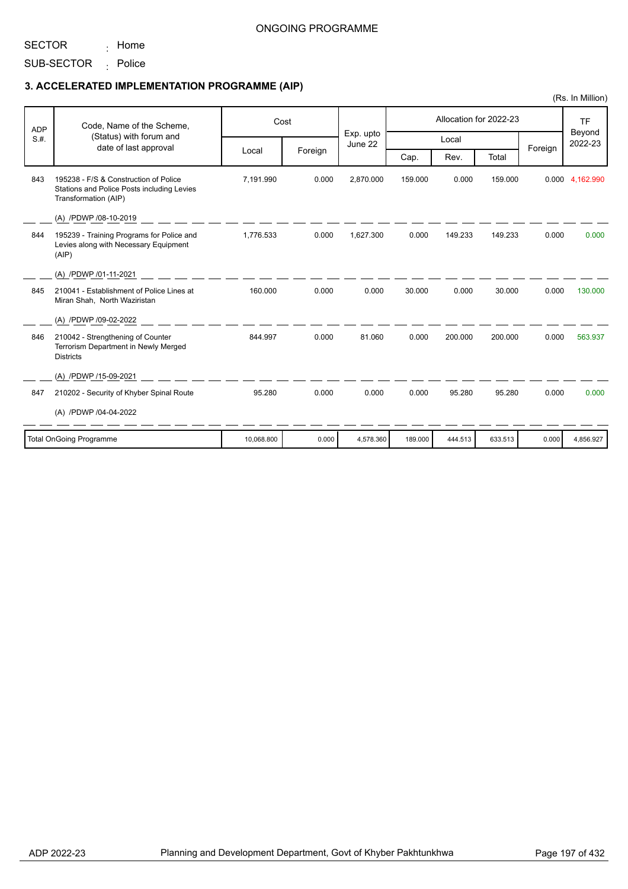SECTOR <sub>:</sub> Home

SUB-SECTOR <sub>:</sub> Police

|            |                                                                                                             |            |         |                      |         |         |                        |         | (Rs. In Million)               |
|------------|-------------------------------------------------------------------------------------------------------------|------------|---------|----------------------|---------|---------|------------------------|---------|--------------------------------|
| <b>ADP</b> | Code, Name of the Scheme,                                                                                   |            | Cost    |                      |         |         | Allocation for 2022-23 |         | <b>TF</b><br>Beyond<br>2022-23 |
| S.H.       | (Status) with forum and<br>date of last approval                                                            |            |         | Exp. upto<br>June 22 |         | Local   |                        | Foreign |                                |
|            |                                                                                                             | Local      | Foreign |                      | Cap.    | Rev.    | Total                  |         |                                |
| 843        | 195238 - F/S & Construction of Police<br>Stations and Police Posts including Levies<br>Transformation (AIP) | 7.191.990  | 0.000   | 2.870.000            | 159.000 | 0.000   | 159.000                | 0.000   | 4,162.990                      |
|            | (A) /PDWP /08-10-2019                                                                                       |            |         |                      |         |         |                        |         |                                |
| 844        | 195239 - Training Programs for Police and<br>Levies along with Necessary Equipment<br>(AIP)                 | 1,776.533  | 0.000   | 1,627.300            | 0.000   | 149.233 | 149.233                | 0.000   | 0.000                          |
|            | (A) /PDWP /01-11-2021                                                                                       |            |         |                      |         |         |                        |         |                                |
| 845        | 210041 - Establishment of Police Lines at<br>Miran Shah, North Waziristan                                   | 160.000    | 0.000   | 0.000                | 30.000  | 0.000   | 30.000                 | 0.000   | 130,000                        |
|            | (A) /PDWP /09-02-2022                                                                                       |            |         |                      |         |         |                        |         |                                |
| 846        | 210042 - Strengthening of Counter<br>Terrorism Department in Newly Merged<br><b>Districts</b>               | 844.997    | 0.000   | 81.060               | 0.000   | 200.000 | 200.000                | 0.000   | 563.937                        |
|            | (A) /PDWP /15-09-2021                                                                                       |            |         |                      |         |         |                        |         |                                |
| 847        | 210202 - Security of Khyber Spinal Route                                                                    | 95.280     | 0.000   | 0.000                | 0.000   | 95.280  | 95.280                 | 0.000   | 0.000                          |
|            | (A) /PDWP /04-04-2022                                                                                       |            |         |                      |         |         |                        |         |                                |
|            | <b>Total OnGoing Programme</b>                                                                              | 10,068.800 | 0.000   | 4,578.360            | 189.000 | 444.513 | 633.513                | 0.000   | 4,856.927                      |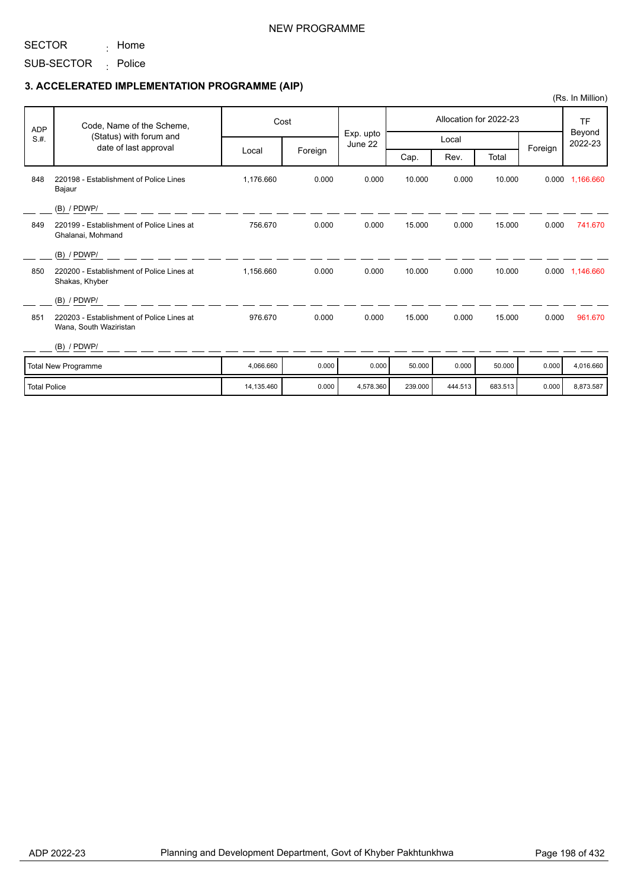SECTOR <sub>:</sub> Home

SUB-SECTOR <sub>:</sub> Police

### **3. ACCELERATED IMPLEMENTATION PROGRAMME (AIP)**

| <b>ADP</b>          | Code, Name of the Scheme,<br>(Status) with forum and                |            | Cost    |                      |         |         | Allocation for 2022-23 |         | <b>TF</b>         |
|---------------------|---------------------------------------------------------------------|------------|---------|----------------------|---------|---------|------------------------|---------|-------------------|
| S.H.                | date of last approval                                               |            |         | Exp. upto<br>June 22 |         | Local   |                        |         | Beyond<br>2022-23 |
|                     |                                                                     | Local      | Foreign |                      | Cap.    | Rev.    | Total                  | Foreign |                   |
| 848                 | 220198 - Establishment of Police Lines<br>Bajaur                    | 1,176.660  | 0.000   | 0.000                | 10.000  | 0.000   | 10.000                 |         | 0.000 1,166.660   |
|                     | $(B)$ / PDWP/                                                       |            |         |                      |         |         |                        |         |                   |
| 849                 | 220199 - Establishment of Police Lines at<br>Ghalanai, Mohmand      | 756.670    | 0.000   | 0.000                | 15.000  | 0.000   | 15.000                 | 0.000   | 741.670           |
|                     | $(B)$ / PDWP/                                                       |            |         |                      |         |         |                        |         |                   |
| 850                 | 220200 - Establishment of Police Lines at<br>Shakas, Khyber         | 1,156.660  | 0.000   | 0.000                | 10.000  | 0.000   | 10.000                 |         | 0.000 1,146.660   |
|                     | $(B)$ / PDWP/                                                       |            |         |                      |         |         |                        |         |                   |
| 851                 | 220203 - Establishment of Police Lines at<br>Wana, South Waziristan | 976.670    | 0.000   | 0.000                | 15.000  | 0.000   | 15.000                 | 0.000   | 961.670           |
|                     | $(B)$ / PDWP/                                                       |            |         |                      |         |         |                        |         |                   |
|                     | Total New Programme                                                 | 4,066.660  | 0.000   | 0.000                | 50.000  | 0.000   | 50.000                 | 0.000   | 4,016.660         |
| <b>Total Police</b> |                                                                     | 14,135.460 | 0.000   | 4,578.360            | 239.000 | 444.513 | 683.513                | 0.000   | 8,873.587         |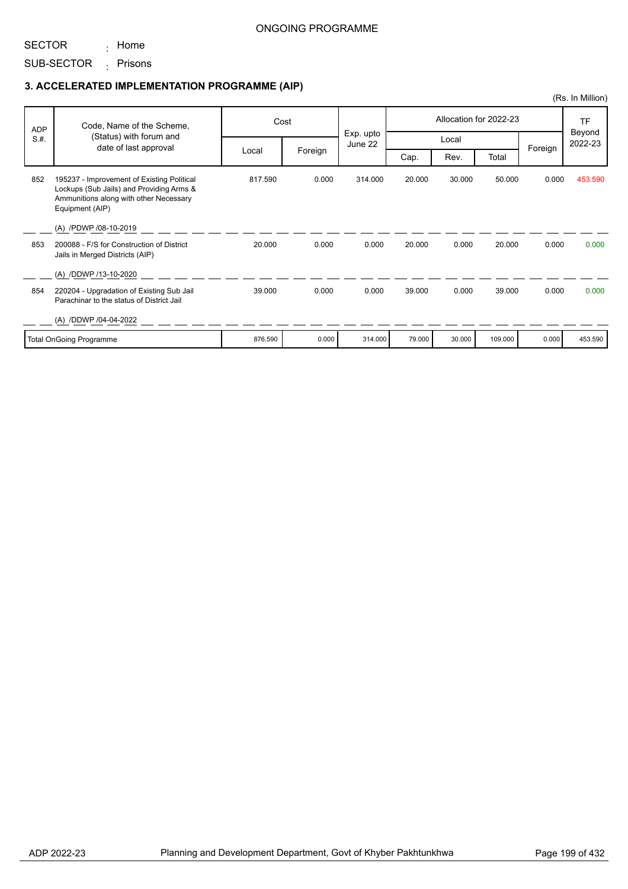SECTOR

SUB-SECTOR <sub>:</sub> Prisons

<sub>:</sub> Home

|            |                                                                                                                                                     |         |         |                      |        |        |                        |         | (Rs. In Million)  |
|------------|-----------------------------------------------------------------------------------------------------------------------------------------------------|---------|---------|----------------------|--------|--------|------------------------|---------|-------------------|
| <b>ADP</b> | Code, Name of the Scheme,                                                                                                                           |         | Cost    |                      |        |        | Allocation for 2022-23 |         | <b>TF</b>         |
| S.H.       | (Status) with forum and<br>date of last approval                                                                                                    |         |         | Exp. upto<br>June 22 |        | Local  |                        |         | Beyond<br>2022-23 |
|            |                                                                                                                                                     | Local   | Foreign |                      | Cap.   | Rev.   | Total                  | Foreign |                   |
| 852        | 195237 - Improvement of Existing Political<br>Lockups (Sub Jails) and Providing Arms &<br>Ammunitions along with other Necessary<br>Equipment (AIP) | 817.590 | 0.000   | 314.000              | 20.000 | 30.000 | 50.000                 | 0.000   | 453.590           |
|            | (A) /PDWP /08-10-2019                                                                                                                               |         |         |                      |        |        |                        |         |                   |
| 853        | 200088 - F/S for Construction of District<br>Jails in Merged Districts (AIP)                                                                        | 20.000  | 0.000   | 0.000                | 20,000 | 0.000  | 20.000                 | 0.000   | 0.000             |
|            | (A) /DDWP /13-10-2020                                                                                                                               |         |         |                      |        |        |                        |         |                   |
| 854        | 220204 - Upgradation of Existing Sub Jail<br>Parachinar to the status of District Jail                                                              | 39.000  | 0.000   | 0.000                | 39.000 | 0.000  | 39.000                 | 0.000   | 0.000             |
|            | (A) /DDWP /04-04-2022                                                                                                                               |         |         |                      |        |        |                        |         |                   |
|            | <b>Total OnGoing Programme</b>                                                                                                                      | 876.590 | 0.000   | 314.000              | 79.000 | 30.000 | 109.000                | 0.000   | 453.590           |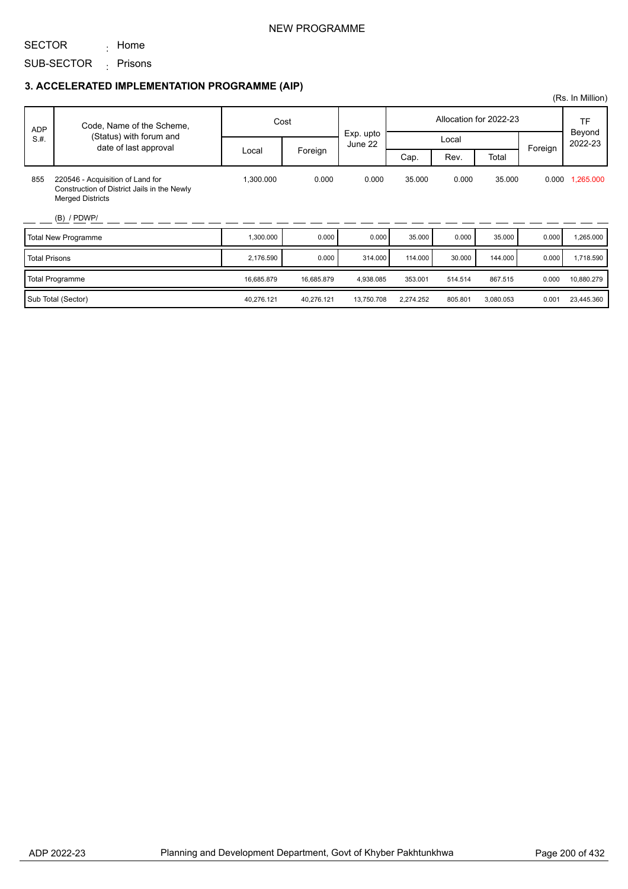#### NEW PROGRAMME

SECTOR

SUB-SECTOR <sub>:</sub> Prisons

<sub>:</sub> Home

## **3. ACCELERATED IMPLEMENTATION PROGRAMME (AIP)**

| <b>ADP</b>           | Code, Name of the Scheme,<br>(Status) with forum and                                                       |            | Cost       |                      | Allocation for 2022-23 |         |           |         | TF<br>Beyond |
|----------------------|------------------------------------------------------------------------------------------------------------|------------|------------|----------------------|------------------------|---------|-----------|---------|--------------|
| S.H.                 |                                                                                                            |            |            | Exp. upto<br>June 22 |                        | Local   |           |         | 2022-23      |
|                      | date of last approval                                                                                      | Local      | Foreign    |                      | Cap.                   | Rev.    | Total     | Foreign |              |
| 855                  | 220546 - Acquisition of Land for<br>Construction of District Jails in the Newly<br><b>Merged Districts</b> | 1,300.000  | 0.000      | 0.000                | 35,000                 | 0.000   | 35.000    | 0.000   | 1,265.000    |
|                      | $(B)$ / PDWP/                                                                                              |            |            |                      |                        |         |           |         |              |
|                      | <b>Total New Programme</b>                                                                                 | 1,300.000  | 0.000      | 0.000                | 35.000                 | 0.000   | 35.000    | 0.000   | 1,265.000    |
| <b>Total Prisons</b> |                                                                                                            | 2,176.590  | 0.000      | 314.000              | 114.000                | 30.000  | 144.000   | 0.000   | 1,718.590    |
|                      | <b>Total Programme</b>                                                                                     | 16,685.879 | 16,685.879 | 4,938.085            | 353.001                | 514.514 | 867.515   | 0.000   | 10,880.279   |
|                      | Sub Total (Sector)                                                                                         | 40,276.121 | 40,276.121 | 13,750.708           | 2,274.252              | 805.801 | 3,080.053 | 0.001   | 23,445.360   |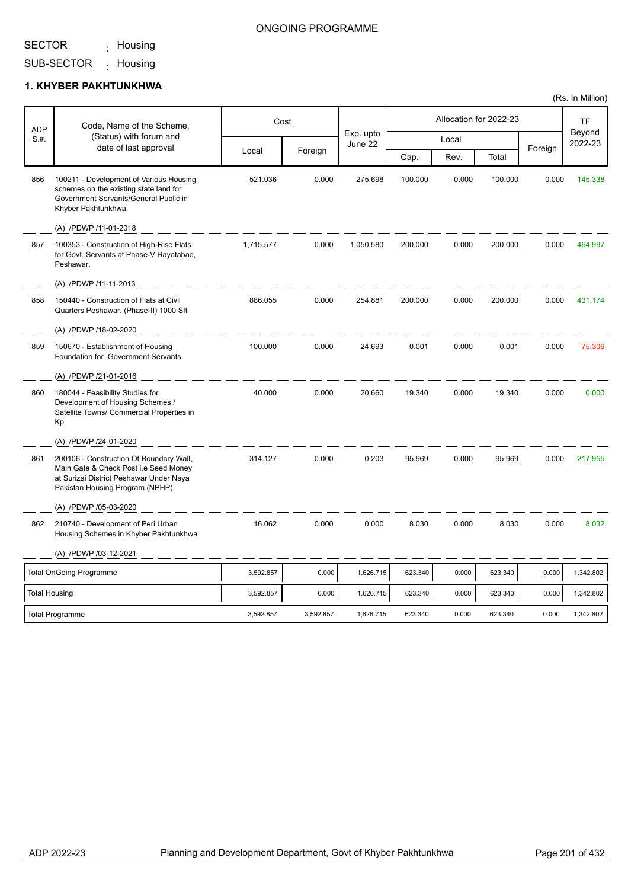<sub>:</sub> Housing

### ONGOING PROGRAMME

SUB-SECTOR <sub>:</sub> Housing

#### **1. KHYBER PAKHTUNKHWA**

| <b>ADP</b>           | Code, Name of the Scheme,                                                                                                                                       |           | Cost      |                      |         |       | Allocation for 2022-23 |         | <b>TF</b>         |
|----------------------|-----------------------------------------------------------------------------------------------------------------------------------------------------------------|-----------|-----------|----------------------|---------|-------|------------------------|---------|-------------------|
| S.#.                 | (Status) with forum and                                                                                                                                         |           |           | Exp. upto<br>June 22 |         | Local |                        |         | Beyond<br>2022-23 |
|                      | date of last approval                                                                                                                                           | Local     | Foreign   |                      | Cap.    | Rev.  | Total                  | Foreign |                   |
| 856                  | 100211 - Development of Various Housing<br>schemes on the existing state land for<br>Government Servants/General Public in<br>Khyber Pakhtunkhwa.               | 521.036   | 0.000     | 275.698              | 100.000 | 0.000 | 100.000                | 0.000   | 145.338           |
|                      | (A) /PDWP /11-01-2018                                                                                                                                           |           |           |                      |         |       |                        |         |                   |
| 857                  | 100353 - Construction of High-Rise Flats<br>for Govt. Servants at Phase-V Hayatabad,<br>Peshawar.                                                               | 1,715.577 | 0.000     | 1,050.580            | 200.000 | 0.000 | 200.000                | 0.000   | 464.997           |
|                      | (A) /PDWP /11-11-2013                                                                                                                                           |           |           |                      |         |       |                        |         |                   |
| 858                  | 150440 - Construction of Flats at Civil<br>Quarters Peshawar. (Phase-II) 1000 Sft                                                                               | 886.055   | 0.000     | 254.881              | 200.000 | 0.000 | 200.000                | 0.000   | 431.174           |
|                      | (A) /PDWP /18-02-2020                                                                                                                                           |           |           |                      |         |       |                        |         |                   |
| 859                  | 150670 - Establishment of Housing<br>Foundation for Government Servants.                                                                                        | 100.000   | 0.000     | 24.693               | 0.001   | 0.000 | 0.001                  | 0.000   | 75.306            |
|                      | (A) /PDWP /21-01-2016                                                                                                                                           |           |           |                      |         |       |                        |         |                   |
| 860                  | 180044 - Feasibility Studies for<br>Development of Housing Schemes /<br>Satellite Towns/ Commercial Properties in<br>Kp                                         | 40.000    | 0.000     | 20.660               | 19.340  | 0.000 | 19.340                 | 0.000   | 0.000             |
|                      | (A) /PDWP /24-01-2020                                                                                                                                           |           |           |                      |         |       |                        |         |                   |
| 861                  | 200106 - Construction Of Boundary Wall,<br>Main Gate & Check Post i.e Seed Money<br>at Surizai District Peshawar Under Naya<br>Pakistan Housing Program (NPHP). | 314.127   | 0.000     | 0.203                | 95.969  | 0.000 | 95.969                 | 0.000   | 217.955           |
|                      | (A) /PDWP /05-03-2020                                                                                                                                           |           |           |                      |         |       |                        |         |                   |
| 862                  | 210740 - Development of Peri Urban<br>Housing Schemes in Khyber Pakhtunkhwa                                                                                     | 16.062    | 0.000     | 0.000                | 8.030   | 0.000 | 8.030                  | 0.000   | 8.032             |
|                      | (A) /PDWP /03-12-2021                                                                                                                                           |           |           |                      |         |       |                        |         |                   |
|                      | <b>Total OnGoing Programme</b>                                                                                                                                  | 3,592.857 | 0.000     | 1,626.715            | 623.340 | 0.000 | 623.340                | 0.000   | 1,342.802         |
| <b>Total Housing</b> |                                                                                                                                                                 | 3,592.857 | 0.000     | 1,626.715            | 623.340 | 0.000 | 623.340                | 0.000   | 1,342.802         |
|                      | <b>Total Programme</b>                                                                                                                                          | 3,592.857 | 3,592.857 | 1,626.715            | 623.340 | 0.000 | 623.340                | 0.000   | 1,342.802         |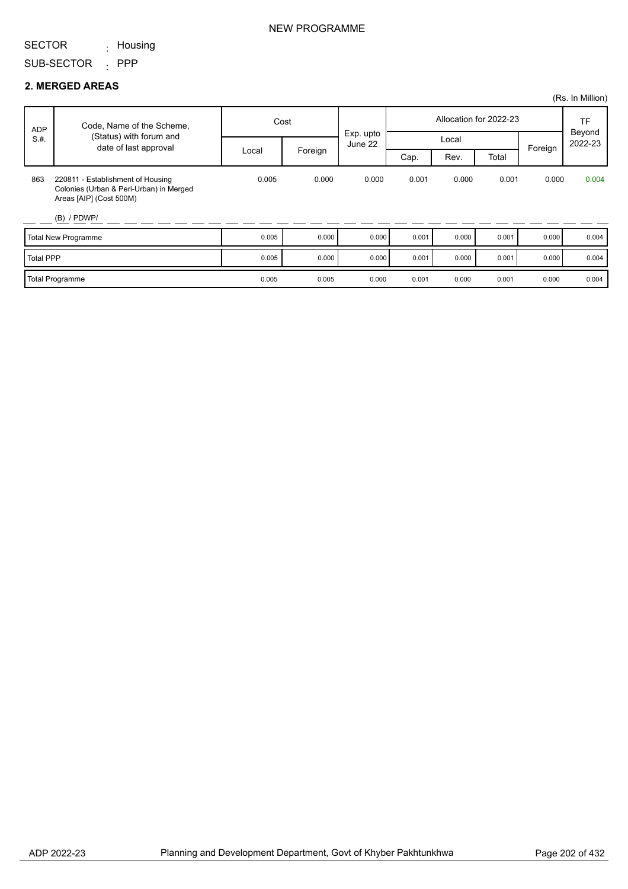<sub>:</sub> Housing

SUB-SECTOR : PPP

#### **2. MERGED AREAS**

| ADP              | Code, Name of the Scheme,                                                                                                | Cost  |         |                      | Allocation for 2022-23 |       |       |         | <b>TF</b><br>Beyond |
|------------------|--------------------------------------------------------------------------------------------------------------------------|-------|---------|----------------------|------------------------|-------|-------|---------|---------------------|
| S.H.             | (Status) with forum and<br>date of last approval                                                                         |       |         | Exp. upto<br>June 22 |                        | Local |       |         | 2022-23             |
|                  |                                                                                                                          | Local | Foreign |                      | Cap.                   | Rev.  | Total | Foreign |                     |
| 863              | 220811 - Establishment of Housing<br>Colonies (Urban & Peri-Urban) in Merged<br>Areas [AIP] (Cost 500M)<br>$(B)$ / PDWP/ | 0.005 | 0.000   | 0.000                | 0.001                  | 0.000 | 0.001 | 0.000   | 0.004               |
|                  | Total New Programme                                                                                                      | 0.005 | 0.000   | 0.000                | 0.001                  | 0.000 | 0.001 | 0.000   | 0.004               |
| <b>Total PPP</b> |                                                                                                                          | 0.005 | 0.000   | 0.000                | 0.001                  | 0.000 | 0.001 | 0.000   | 0.004               |
|                  | Total Programme                                                                                                          | 0.005 | 0.005   | 0.000                | 0.001                  | 0.000 | 0.001 | 0.000   | 0.004               |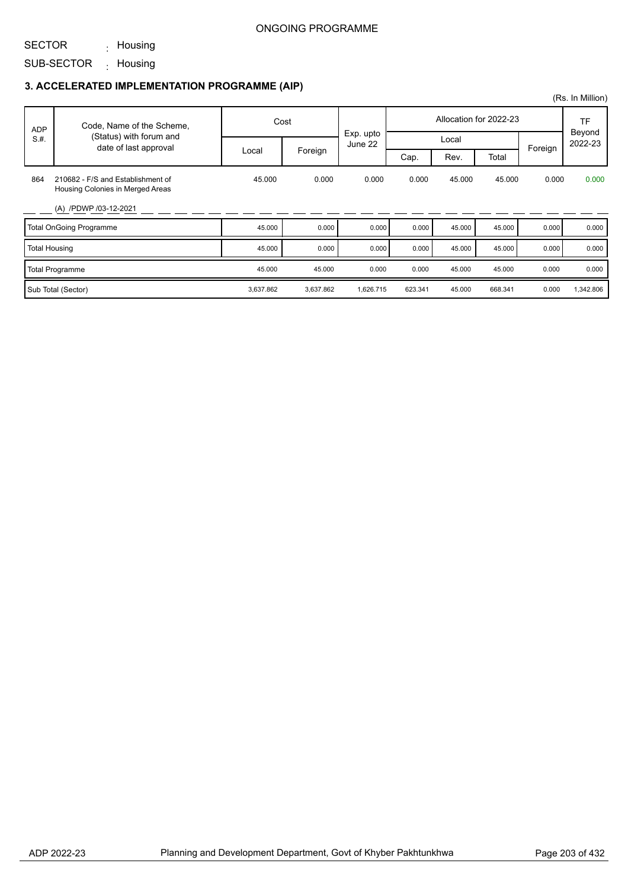## SECTOR

SUB-SECTOR <sub>:</sub> Housing <sub>:</sub> Housing

|                      |                                                                       |           |           |           |         |        |                        |         | (Rs. In Million)               |
|----------------------|-----------------------------------------------------------------------|-----------|-----------|-----------|---------|--------|------------------------|---------|--------------------------------|
| <b>ADP</b>           | Code, Name of the Scheme,                                             |           | Cost      | Exp. upto |         |        | Allocation for 2022-23 |         | <b>TF</b><br>Beyond<br>2022-23 |
| S.H.                 | (Status) with forum and<br>date of last approval                      |           |           | June 22   |         | Local  |                        | Foreign |                                |
|                      |                                                                       | Local     | Foreign   |           | Cap.    | Rev.   | Total                  |         |                                |
| 864                  | 210682 - F/S and Establishment of<br>Housing Colonies in Merged Areas | 45.000    | 0.000     | 0.000     | 0.000   | 45.000 | 45.000                 | 0.000   | 0.000                          |
|                      | (A) /PDWP /03-12-2021                                                 |           |           |           |         |        |                        |         |                                |
|                      | <b>Total OnGoing Programme</b>                                        | 45.000    | 0.000     | 0.000     | 0.000   | 45.000 | 45.000                 | 0.000   | 0.000                          |
| <b>Total Housing</b> |                                                                       | 45.000    | 0.000     | 0.000     | 0.000   | 45.000 | 45.000                 | 0.000   | 0.000                          |
|                      | <b>Total Programme</b>                                                | 45.000    | 45.000    | 0.000     | 0.000   | 45.000 | 45.000                 | 0.000   | 0.000                          |
|                      | Sub Total (Sector)                                                    | 3,637.862 | 3,637.862 | 1,626.715 | 623.341 | 45.000 | 668.341                | 0.000   | 1,342.806                      |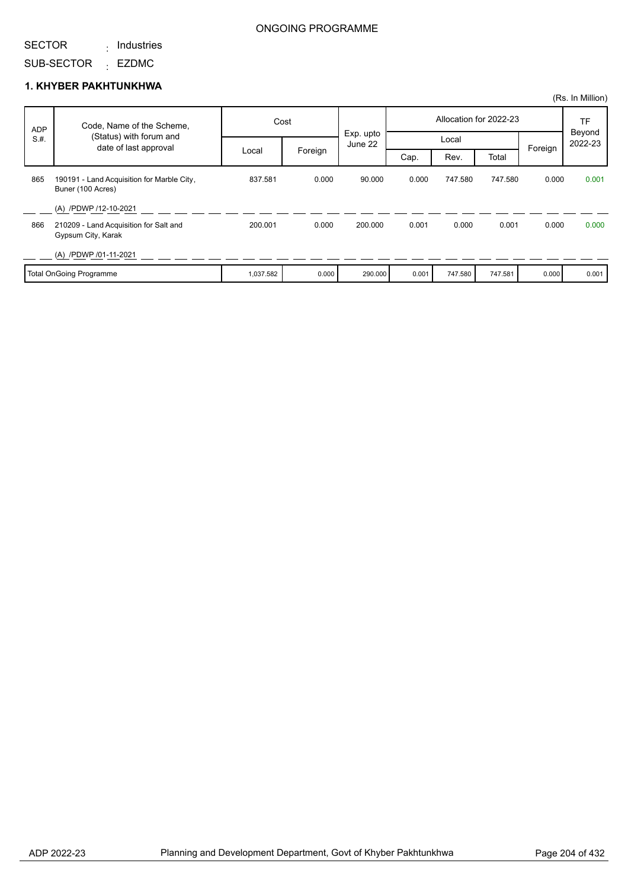#### SECTOR : Industries

SUB-SECTOR <sub>:</sub> EZDMC

#### **1. KHYBER PAKHTUNKHWA**

|            |                                                                 |           |         |                      |       |         |                        |         | (Rs. In Million)  |
|------------|-----------------------------------------------------------------|-----------|---------|----------------------|-------|---------|------------------------|---------|-------------------|
| <b>ADP</b> | Code, Name of the Scheme,                                       |           | Cost    |                      |       |         | Allocation for 2022-23 |         | TF                |
| S.H.       | (Status) with forum and<br>date of last approval                |           |         | Exp. upto<br>June 22 |       | Local   |                        | Foreign | Beyond<br>2022-23 |
|            |                                                                 | Local     | Foreign |                      | Cap.  | Rev.    | Total                  |         |                   |
| 865        | 190191 - Land Acquisition for Marble City,<br>Buner (100 Acres) | 837.581   | 0.000   | 90.000               | 0.000 | 747.580 | 747.580                | 0.000   | 0.001             |
|            | (A) /PDWP /12-10-2021                                           |           |         |                      |       |         |                        |         |                   |
| 866        | 210209 - Land Acquisition for Salt and<br>Gypsum City, Karak    | 200.001   | 0.000   | 200.000              | 0.001 | 0.000   | 0.001                  | 0.000   | 0.000             |
|            | (A) /PDWP /01-11-2021                                           |           |         |                      |       |         |                        |         |                   |
|            | <b>Total OnGoing Programme</b>                                  | 1,037.582 | 0.000   | 290.000              | 0.001 | 747.580 | 747.581                | 0.000   | 0.001             |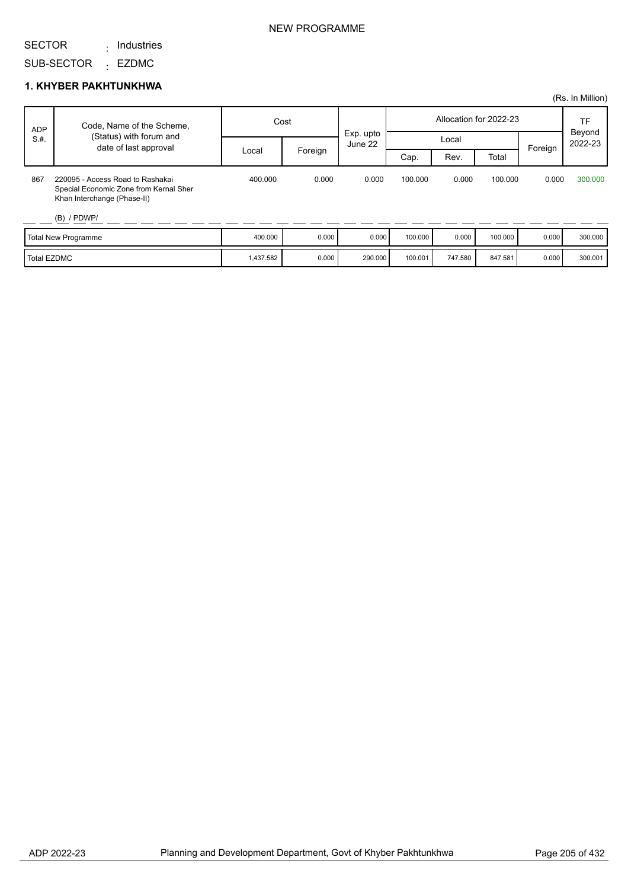: Industries

SUB-SECTOR <sub>:</sub> EZDMC

#### **1. KHYBER PAKHTUNKHWA**

|             |                                                                                                           |           |         |                      |         |         |                        |         | (Rs. In Million)  |
|-------------|-----------------------------------------------------------------------------------------------------------|-----------|---------|----------------------|---------|---------|------------------------|---------|-------------------|
| <b>ADP</b>  | Code, Name of the Scheme,                                                                                 | Cost      |         |                      |         |         | Allocation for 2022-23 |         | TF                |
| S.H.        | (Status) with forum and<br>date of last approval                                                          |           |         | Exp. upto<br>June 22 | Local   |         |                        | Foreign | Beyond<br>2022-23 |
|             |                                                                                                           | Local     | Foreign |                      | Cap.    | Rev.    | Total                  |         |                   |
| 867         | 220095 - Access Road to Rashakai<br>Special Economic Zone from Kernal Sher<br>Khan Interchange (Phase-II) | 400.000   | 0.000   | 0.000                | 100.000 | 0.000   | 100.000                | 0.000   | 300,000           |
|             | $(B)$ / PDWP/                                                                                             |           |         |                      |         |         |                        |         |                   |
|             | <b>Total New Programme</b>                                                                                | 400.000   | 0.000   | 0.000                | 100.000 | 0.000   | 100.000                | 0.000   | 300.000           |
| Total EZDMC |                                                                                                           | 1,437.582 | 0.000   | 290.000              | 100.001 | 747.580 | 847.581                | 0.000   | 300.001           |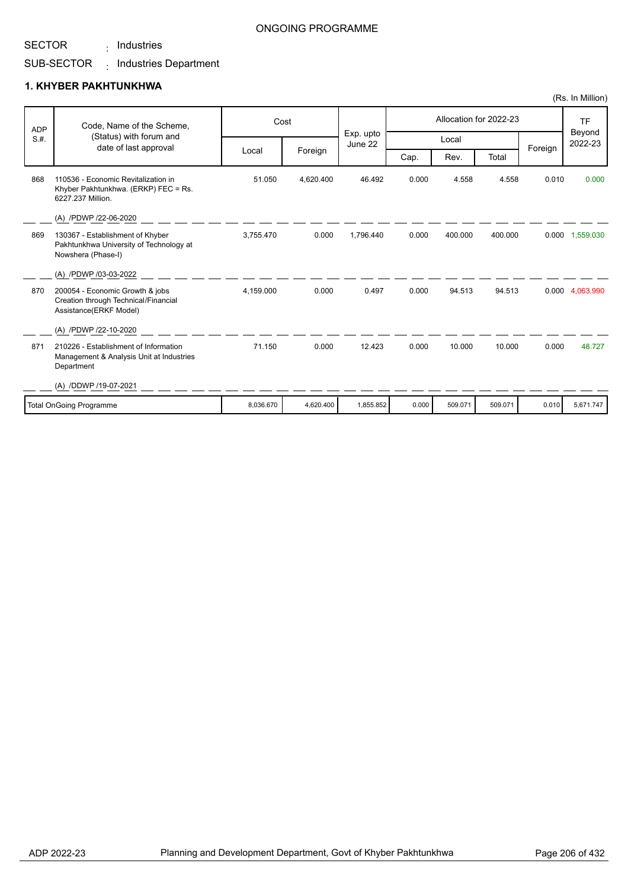: Industries

#### ONGOING PROGRAMME

## SUB-SECTOR <sub>:</sub> Industries Department

#### **1. KHYBER PAKHTUNKHWA**

| <b>ADP</b> | Code, Name of the Scheme,<br>(Status) with forum and                                              |           | Cost      | Exp. upto |       |         | Allocation for 2022-23 |         | <b>TF</b><br>Beyond |
|------------|---------------------------------------------------------------------------------------------------|-----------|-----------|-----------|-------|---------|------------------------|---------|---------------------|
| S.H.       | date of last approval                                                                             |           |           | June 22   |       | Local   |                        |         | 2022-23             |
|            |                                                                                                   | Local     | Foreign   |           | Cap.  | Rev.    | Total                  | Foreign |                     |
| 868        | 110536 - Economic Revitalization in<br>Khyber Pakhtunkhwa. (ERKP) FEC = Rs.<br>6227.237 Million.  | 51.050    | 4.620.400 | 46.492    | 0.000 | 4.558   | 4.558                  | 0.010   | 0.000               |
|            | (A) /PDWP /22-06-2020                                                                             |           |           |           |       |         |                        |         |                     |
| 869        | 130367 - Establishment of Khyber<br>Pakhtunkhwa University of Technology at<br>Nowshera (Phase-I) | 3.755.470 | 0.000     | 1.796.440 | 0.000 | 400.000 | 400.000                |         | 0.000 1,559.030     |
|            | (A) /PDWP /03-03-2022                                                                             |           |           |           |       |         |                        |         |                     |
| 870        | 200054 - Economic Growth & jobs<br>Creation through Technical/Financial<br>Assistance(ERKF Model) | 4.159.000 | 0.000     | 0.497     | 0.000 | 94.513  | 94.513                 |         | 0.000 4.063.990     |
|            | (A) /PDWP /22-10-2020                                                                             |           |           |           |       |         |                        |         |                     |
| 871        | 210226 - Establishment of Information<br>Management & Analysis Unit at Industries<br>Department   | 71.150    | 0.000     | 12.423    | 0.000 | 10.000  | 10.000                 | 0.000   | 48.727              |
|            | (A) /DDWP /19-07-2021                                                                             |           |           |           |       |         |                        |         |                     |
|            | <b>Total OnGoing Programme</b>                                                                    | 8,036.670 | 4,620.400 | 1,855.852 | 0.000 | 509.071 | 509.071                | 0.010   | 5,671.747           |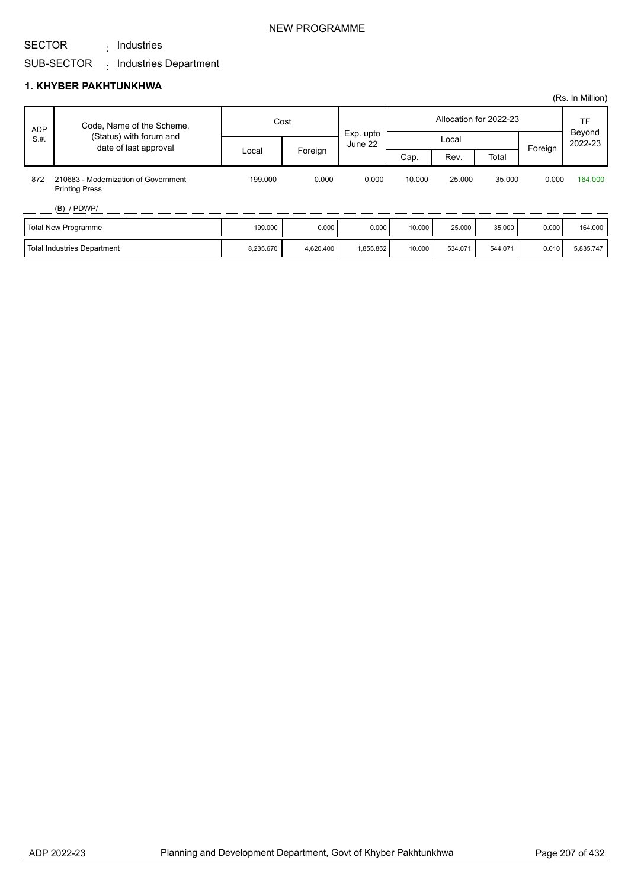: Industries

## SUB-SECTOR <sub>:</sub> Industries Department

## **1. KHYBER PAKHTUNKHWA**

|            |                                                               |           |                  |           |                        |           |         |         | (Rs. In Million)  |
|------------|---------------------------------------------------------------|-----------|------------------|-----------|------------------------|-----------|---------|---------|-------------------|
| <b>ADP</b> | Code, Name of the Scheme,                                     |           | Cost             |           | Allocation for 2022-23 |           |         |         | TF                |
| S.H.       | (Status) with forum and<br>date of last approval              |           | Local<br>June 22 |           |                        | Exp. upto |         |         | Beyond<br>2022-23 |
|            |                                                               | Local     | Foreign          |           | Cap.                   | Rev.      | Total   | Foreign |                   |
| 872        | 210683 - Modernization of Government<br><b>Printing Press</b> | 199.000   | 0.000            | 0.000     | 10.000                 | 25,000    | 35.000  | 0.000   | 164,000           |
|            | $(B)$ / PDWP/                                                 |           |                  |           |                        |           |         |         |                   |
|            | Total New Programme                                           | 199.000   | 0.000            | 0.000     | 10.000                 | 25.000    | 35.000  | 0.000   | 164.000           |
|            | Total Industries Department                                   | 8,235.670 | 4,620.400        | 1,855.852 | 10.000                 | 534.071   | 544.071 | 0.010   | 5,835.747         |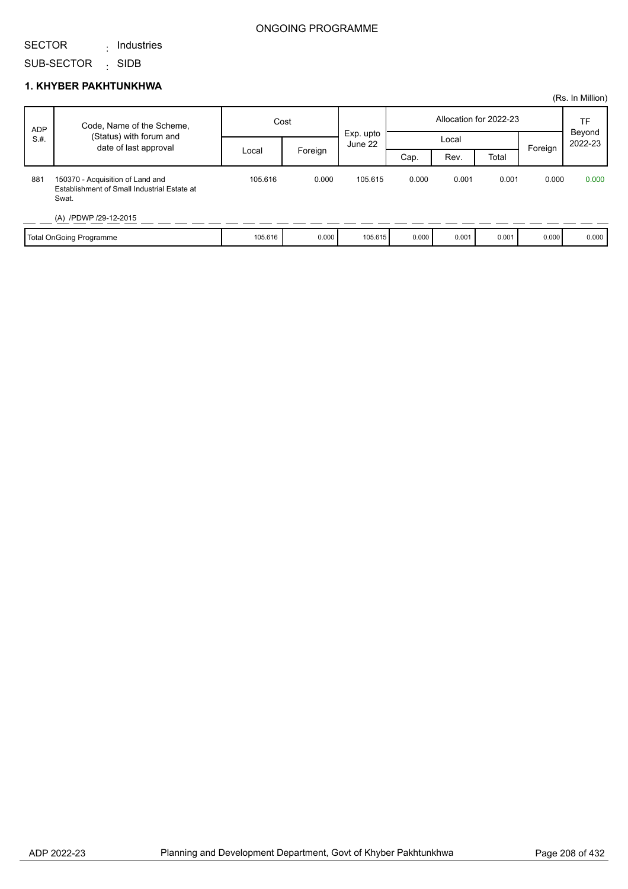#### SECTOR : Industries

SUB-SECTOR <sub>:</sub> SIDB

#### **1. KHYBER PAKHTUNKHWA**

|            |                                                                                          |         |         |                      |       |       |                        |         | (Rs. In Million)  |
|------------|------------------------------------------------------------------------------------------|---------|---------|----------------------|-------|-------|------------------------|---------|-------------------|
| <b>ADP</b> | Code, Name of the Scheme,                                                                | Cost    |         |                      |       |       | Allocation for 2022-23 |         | <b>TF</b>         |
| S.H.       | (Status) with forum and<br>date of last approval                                         |         |         | Exp. upto<br>June 22 | Local |       |                        |         | Beyond<br>2022-23 |
|            |                                                                                          | Local   | Foreign |                      | Cap.  | Rev.  | Total                  | Foreign |                   |
| 881        | 150370 - Acquisition of Land and<br>Establishment of Small Industrial Estate at<br>Swat. | 105.616 | 0.000   | 105.615              | 0.000 | 0.001 | 0.001                  | 0.000   | 0.000             |
|            | (A) /PDWP /29-12-2015                                                                    |         |         |                      |       |       |                        |         |                   |
|            | Total OnGoing Programme                                                                  | 105.616 | 0.000   | 105.615              | 0.000 | 0.001 | 0.001                  | 0.000   | 0.000             |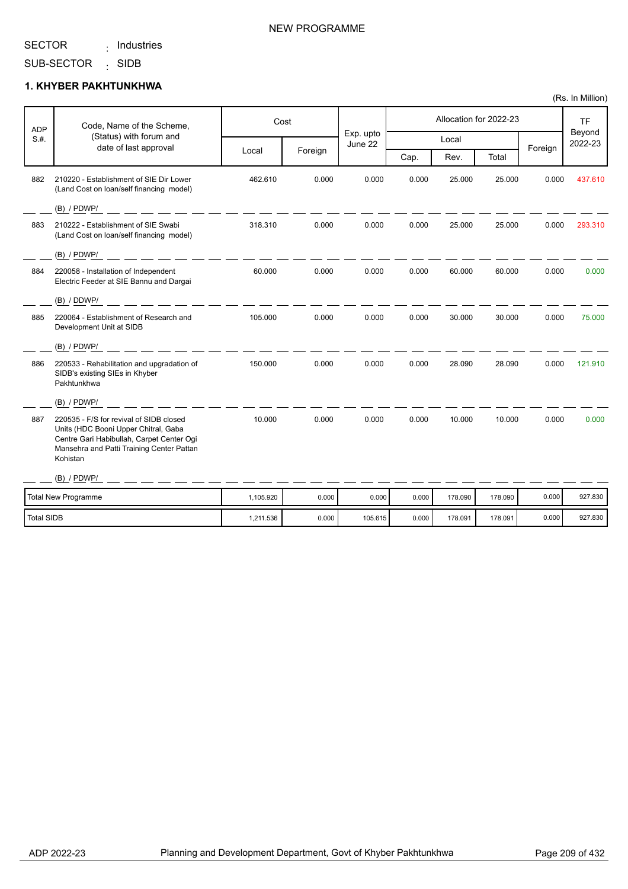#### SECTOR : Industries

## NEW PROGRAMME

SUB-SECTOR SIDB :

## **1. KHYBER PAKHTUNKHWA**

| <b>ADP</b> | Code, Name of the Scheme,                                                                                                                                                             | Cost      |         |                      |       |         | Allocation for 2022-23 |         | <b>TF</b><br>Beyond |
|------------|---------------------------------------------------------------------------------------------------------------------------------------------------------------------------------------|-----------|---------|----------------------|-------|---------|------------------------|---------|---------------------|
| S.H.       | (Status) with forum and<br>date of last approval                                                                                                                                      |           |         | Exp. upto<br>June 22 |       | Local   |                        | Foreign | 2022-23             |
|            |                                                                                                                                                                                       | Local     | Foreign |                      | Cap.  | Rev.    | Total                  |         |                     |
| 882        | 210220 - Establishment of SIE Dir Lower<br>(Land Cost on loan/self financing model)                                                                                                   | 462.610   | 0.000   | 0.000                | 0.000 | 25.000  | 25.000                 | 0.000   | 437.610             |
|            | $(B)$ / PDWP/                                                                                                                                                                         |           |         |                      |       |         |                        |         |                     |
| 883        | 210222 - Establishment of SIE Swabi<br>(Land Cost on loan/self financing model)                                                                                                       | 318.310   | 0.000   | 0.000                | 0.000 | 25.000  | 25.000                 | 0.000   | 293.310             |
|            | $(B)$ / PDWP/                                                                                                                                                                         |           |         |                      |       |         |                        |         |                     |
| 884        | 220058 - Installation of Independent<br>Electric Feeder at SIE Bannu and Dargai                                                                                                       | 60.000    | 0.000   | 0.000                | 0.000 | 60.000  | 60.000                 | 0.000   | 0.000               |
|            | (B) / DDWP/                                                                                                                                                                           |           |         |                      |       |         |                        |         |                     |
| 885        | 220064 - Establishment of Research and<br>Development Unit at SIDB                                                                                                                    | 105.000   | 0.000   | 0.000                | 0.000 | 30.000  | 30.000                 | 0.000   | 75.000              |
|            | $(B)$ / PDWP/                                                                                                                                                                         |           |         |                      |       |         |                        |         |                     |
| 886        | 220533 - Rehabilitation and upgradation of<br>SIDB's existing SIEs in Khyber<br>Pakhtunkhwa                                                                                           | 150.000   | 0.000   | 0.000                | 0.000 | 28.090  | 28.090                 | 0.000   | 121.910             |
|            | $(B)$ / PDWP/                                                                                                                                                                         |           |         |                      |       |         |                        |         |                     |
| 887        | 220535 - F/S for revival of SIDB closed<br>Units (HDC Booni Upper Chitral, Gaba<br>Centre Gari Habibullah, Carpet Center Ogi<br>Mansehra and Patti Training Center Pattan<br>Kohistan | 10.000    | 0.000   | 0.000                | 0.000 | 10.000  | 10.000                 | 0.000   | 0.000               |
|            | $(B)$ / PDWP/                                                                                                                                                                         |           |         |                      |       |         |                        |         |                     |
|            | <b>Total New Programme</b>                                                                                                                                                            | 1,105.920 | 0.000   | 0.000                | 0.000 | 178.090 | 178.090                | 0.000   | 927.830             |
| Total SIDB |                                                                                                                                                                                       | 1,211.536 | 0.000   | 105.615              | 0.000 | 178.091 | 178.091                | 0.000   | 927.830             |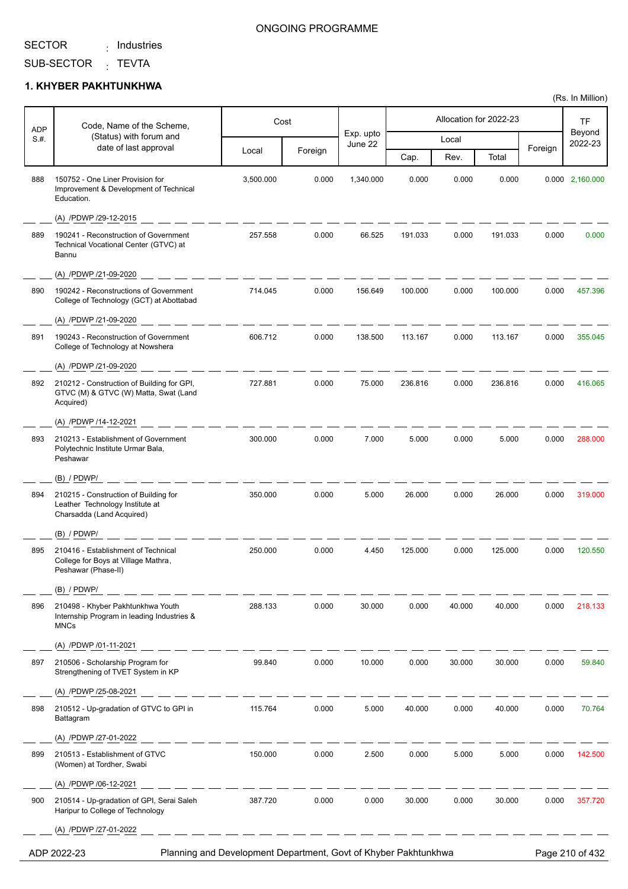Τ

Г

: Industries

Τ

#### ONGOING PROGRAMME

Τ

Τ

SUB-SECTOR <sub>:</sub> TEVTA

#### **1. KHYBER PAKHTUNKHWA**

| <b>ADP</b> | Code, Name of the Scheme,                                                                             |           | Cost    |                      |         |        | Allocation for 2022-23 |         | TF<br>Beyond<br>2022-23 |
|------------|-------------------------------------------------------------------------------------------------------|-----------|---------|----------------------|---------|--------|------------------------|---------|-------------------------|
| S.H.       | (Status) with forum and<br>date of last approval                                                      |           |         | Exp. upto<br>June 22 |         | Local  |                        |         |                         |
|            |                                                                                                       | Local     | Foreign |                      | Cap.    | Rev.   | Total                  | Foreign |                         |
| 888        | 150752 - One Liner Provision for<br>Improvement & Development of Technical<br>Education.              | 3,500.000 | 0.000   | 1,340.000            | 0.000   | 0.000  | 0.000                  | 0.000   | 2,160.000               |
|            | (A) /PDWP /29-12-2015                                                                                 |           |         |                      |         |        |                        |         |                         |
| 889        | 190241 - Reconstruction of Government<br>Technical Vocational Center (GTVC) at<br>Bannu               | 257.558   | 0.000   | 66.525               | 191.033 | 0.000  | 191.033                | 0.000   | 0.000                   |
|            | (A) /PDWP /21-09-2020                                                                                 |           |         |                      |         |        |                        |         |                         |
| 890        | 190242 - Reconstructions of Government<br>College of Technology (GCT) at Abottabad                    | 714.045   | 0.000   | 156.649              | 100.000 | 0.000  | 100.000                | 0.000   | 457.396                 |
|            | (A) /PDWP /21-09-2020                                                                                 |           |         |                      |         |        |                        |         |                         |
| 891        | 190243 - Reconstruction of Government<br>College of Technology at Nowshera                            | 606.712   | 0.000   | 138.500              | 113.167 | 0.000  | 113.167                | 0.000   | 355.045                 |
|            | (A) /PDWP /21-09-2020                                                                                 |           |         |                      |         |        |                        |         |                         |
| 892        | 210212 - Construction of Building for GPI,<br>GTVC (M) & GTVC (W) Matta, Swat (Land<br>Acquired)      | 727.881   | 0.000   | 75.000               | 236.816 | 0.000  | 236.816                | 0.000   | 416.065                 |
|            | (A) /PDWP /14-12-2021                                                                                 |           |         |                      |         |        |                        |         |                         |
| 893        | 210213 - Establishment of Government<br>Polytechnic Institute Urmar Bala,<br>Peshawar                 | 300.000   | 0.000   | 7.000                | 5.000   | 0.000  | 5.000                  | 0.000   | 288.000                 |
|            | (B) / PDWP/                                                                                           |           |         |                      |         |        |                        |         |                         |
| 894        | 210215 - Construction of Building for<br>Leather Technology Institute at<br>Charsadda (Land Acquired) | 350.000   | 0.000   | 5.000                | 26.000  | 0.000  | 26.000                 | 0.000   | 319.000                 |
|            | (B) / PDWP/                                                                                           |           |         |                      |         |        |                        |         |                         |
| 895        | 210416 - Establishment of Technical<br>College for Boys at Village Mathra,<br>Peshawar (Phase-II)     | 250.000   | 0.000   | 4.450                | 125.000 | 0.000  | 125.000                | 0.000   | 120.550                 |
|            | $(B)$ / PDWP/                                                                                         |           |         |                      |         |        |                        |         |                         |
| 896        | 210498 - Khyber Pakhtunkhwa Youth<br>Internship Program in leading Industries &<br><b>MNCs</b>        | 288.133   | 0.000   | 30.000               | 0.000   | 40.000 | 40.000                 | 0.000   | 218.133                 |
|            | (A) /PDWP /01-11-2021                                                                                 |           |         |                      |         |        |                        |         |                         |
| 897        | 210506 - Scholarship Program for<br>Strengthening of TVET System in KP                                | 99.840    | 0.000   | 10.000               | 0.000   | 30.000 | 30.000                 | 0.000   | 59.840                  |
|            | (A) /PDWP /25-08-2021                                                                                 |           |         |                      |         |        |                        |         |                         |
| 898        | 210512 - Up-gradation of GTVC to GPI in<br>Battagram                                                  | 115.764   | 0.000   | 5.000                | 40.000  | 0.000  | 40.000                 | 0.000   | 70.764                  |
|            | (A) /PDWP /27-01-2022                                                                                 |           |         |                      |         |        |                        |         |                         |
| 899        | 210513 - Establishment of GTVC<br>(Women) at Tordher, Swabi                                           | 150.000   | 0.000   | 2.500                | 0.000   | 5.000  | 5.000                  | 0.000   | 142.500                 |
|            | (A) /PDWP /06-12-2021                                                                                 |           |         |                      |         |        |                        |         |                         |
| 900        | 210514 - Up-gradation of GPI, Serai Saleh<br>Haripur to College of Technology                         | 387.720   | 0.000   | 0.000                | 30.000  | 0.000  | 30.000                 | 0.000   | 357.720                 |
|            | (A) /PDWP /27-01-2022                                                                                 |           |         |                      |         |        |                        |         |                         |

ADP 2022-23 Planning and Development Department, Govt of Khyber Pakhtunkhwa Page 210 of 432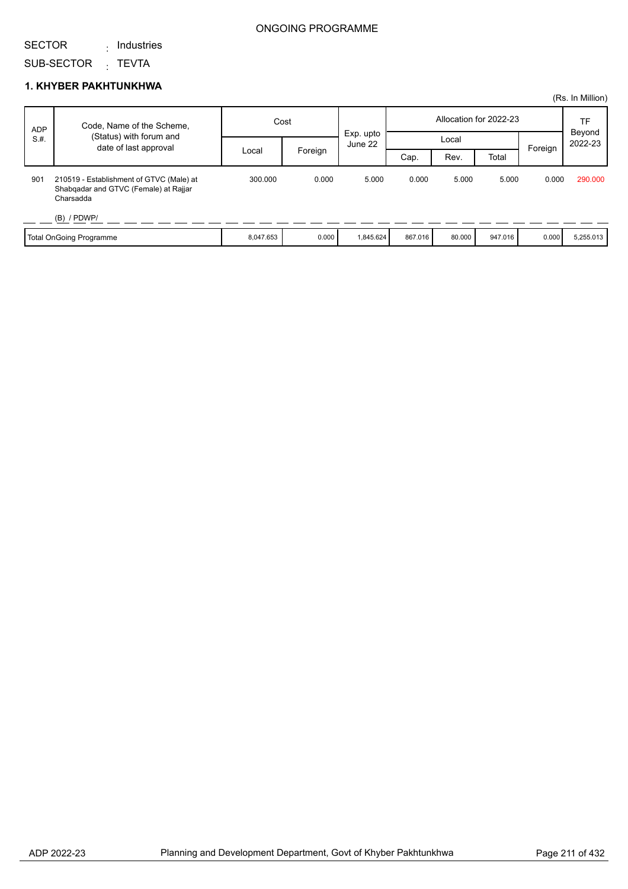### SECTOR

: Industries

SUB-SECTOR <sub>:</sub> TEVTA

### **1. KHYBER PAKHTUNKHWA**

|            |                                                                                                                 |           |         |                      |                        |        |         |         | (Rs. In Million)        |
|------------|-----------------------------------------------------------------------------------------------------------------|-----------|---------|----------------------|------------------------|--------|---------|---------|-------------------------|
| <b>ADP</b> | Code, Name of the Scheme,                                                                                       | Cost      |         |                      | Allocation for 2022-23 |        |         |         | TF<br>Beyond<br>2022-23 |
| S.H.       | (Status) with forum and                                                                                         |           |         | Exp. upto<br>June 22 |                        |        | Local   |         |                         |
|            | date of last approval                                                                                           | Local     | Foreign |                      | Cap.                   | Rev.   | Total   | Foreign |                         |
| 901        | 210519 - Establishment of GTVC (Male) at<br>Shabqadar and GTVC (Female) at Rajjar<br>Charsadda<br>$(B)$ / PDWP/ | 300.000   | 0.000   | 5.000                | 0.000                  | 5.000  | 5.000   | 0.000   | 290,000                 |
|            |                                                                                                                 |           |         |                      |                        |        |         |         |                         |
|            | Total OnGoing Programme                                                                                         | 8,047.653 | 0.000   | 1,845.624            | 867.016                | 80.000 | 947.016 | 0.000   | 5,255.013               |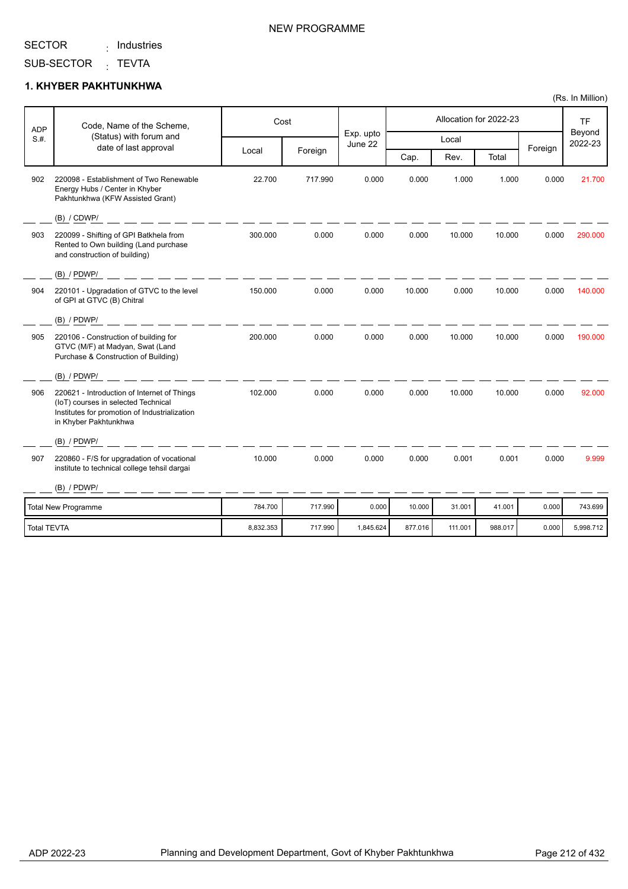### : Industries

SUB-SECTOR <sub>:</sub> TEVTA

#### **1. KHYBER PAKHTUNKHWA**

| ADP                | Code, Name of the Scheme,                                                                                                                                    |           | Cost    |                      |         |         | Allocation for 2022-23 |         | <b>TF</b>         |
|--------------------|--------------------------------------------------------------------------------------------------------------------------------------------------------------|-----------|---------|----------------------|---------|---------|------------------------|---------|-------------------|
| S.H.               | (Status) with forum and<br>date of last approval                                                                                                             |           |         | Exp. upto<br>June 22 |         | Local   |                        |         | Beyond<br>2022-23 |
|                    |                                                                                                                                                              | Local     | Foreign |                      | Cap.    | Rev.    | Total                  | Foreign |                   |
| 902                | 220098 - Establishment of Two Renewable<br>Energy Hubs / Center in Khyber<br>Pakhtunkhwa (KFW Assisted Grant)                                                | 22.700    | 717.990 | 0.000                | 0.000   | 1.000   | 1.000                  | 0.000   | 21.700            |
|                    | (B) / CDWP/                                                                                                                                                  |           |         |                      |         |         |                        |         |                   |
| 903                | 220099 - Shifting of GPI Batkhela from<br>Rented to Own building (Land purchase<br>and construction of building)                                             | 300.000   | 0.000   | 0.000                | 0.000   | 10.000  | 10.000                 | 0.000   | 290,000           |
|                    | $(B)$ / PDWP/                                                                                                                                                |           |         |                      |         |         |                        |         |                   |
| 904                | 220101 - Upgradation of GTVC to the level<br>of GPI at GTVC (B) Chitral                                                                                      | 150.000   | 0.000   | 0.000                | 10.000  | 0.000   | 10.000                 | 0.000   | 140.000           |
|                    | $(B)$ / PDWP/                                                                                                                                                |           |         |                      |         |         |                        |         |                   |
| 905                | 220106 - Construction of building for<br>GTVC (M/F) at Madyan, Swat (Land<br>Purchase & Construction of Building)                                            | 200.000   | 0.000   | 0.000                | 0.000   | 10.000  | 10.000                 | 0.000   | 190.000           |
|                    | $(B)$ / PDWP/                                                                                                                                                |           |         |                      |         |         |                        |         |                   |
| 906                | 220621 - Introduction of Internet of Things<br>(IoT) courses in selected Technical<br>Institutes for promotion of Industrialization<br>in Khyber Pakhtunkhwa | 102.000   | 0.000   | 0.000                | 0.000   | 10.000  | 10.000                 | 0.000   | 92.000            |
|                    | $(B)$ / PDWP/                                                                                                                                                |           |         |                      |         |         |                        |         |                   |
| 907                | 220860 - F/S for upgradation of vocational<br>institute to technical college tehsil dargai                                                                   | 10.000    | 0.000   | 0.000                | 0.000   | 0.001   | 0.001                  | 0.000   | 9.999             |
|                    | $(B)$ / PDWP/                                                                                                                                                |           |         |                      |         |         |                        |         |                   |
|                    | <b>Total New Programme</b>                                                                                                                                   | 784.700   | 717.990 | 0.000                | 10.000  | 31.001  | 41.001                 | 0.000   | 743.699           |
| <b>Total TEVTA</b> |                                                                                                                                                              | 8,832.353 | 717.990 | 1,845.624            | 877.016 | 111.001 | 988.017                | 0.000   | 5,998.712         |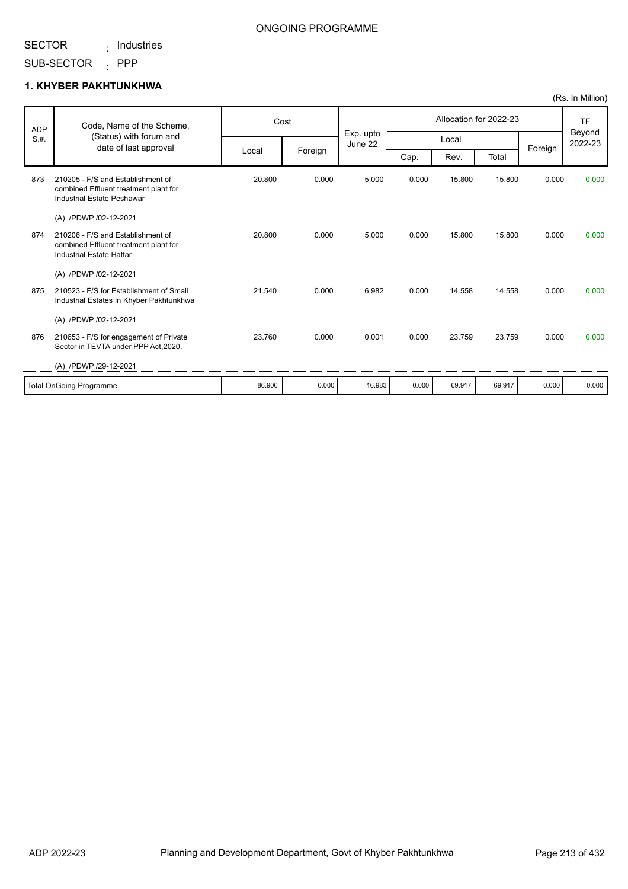## : Industries

Sector in TEVTA under PPP Act,2020.

### **1. KHYBER PAKHTUNKHWA**

|            |                                                                                                               |        |         |                      |       |        |                        |         | $(155. \text{III} \cdot \text{IVIII} \cdot \text{III})$ |
|------------|---------------------------------------------------------------------------------------------------------------|--------|---------|----------------------|-------|--------|------------------------|---------|---------------------------------------------------------|
| <b>ADP</b> | Code, Name of the Scheme,                                                                                     |        | Cost    |                      |       |        | Allocation for 2022-23 |         | TF<br>Beyond<br>2022-23                                 |
| S.H.       | (Status) with forum and<br>date of last approval                                                              |        |         | Exp. upto<br>June 22 |       | Local  |                        |         |                                                         |
|            |                                                                                                               | Local  | Foreign |                      | Cap.  | Rev.   | Total                  | Foreign |                                                         |
| 873        | 210205 - F/S and Establishment of<br>combined Effluent treatment plant for<br>Industrial Estate Peshawar      | 20.800 | 0.000   | 5.000                | 0.000 | 15.800 | 15.800                 | 0.000   | 0.000                                                   |
|            | (A) /PDWP /02-12-2021                                                                                         |        |         |                      |       |        |                        |         |                                                         |
| 874        | 210206 - F/S and Establishment of<br>combined Effluent treatment plant for<br><b>Industrial Estate Hattar</b> | 20.800 | 0.000   | 5.000                | 0.000 | 15.800 | 15.800                 | 0.000   | 0.000                                                   |
|            | (A) /PDWP /02-12-2021                                                                                         |        |         |                      |       |        |                        |         |                                                         |
| 875        | 210523 - F/S for Establishment of Small<br>Industrial Estates In Khyber Pakhtunkhwa                           | 21.540 | 0.000   | 6.982                | 0.000 | 14.558 | 14.558                 | 0.000   | 0.000                                                   |
|            | (A) /PDWP /02-12-2021                                                                                         |        |         |                      |       |        |                        |         |                                                         |
| 876        | 210653 - F/S for engagement of Private                                                                        | 23.760 | 0.000   | 0.001                | 0.000 | 23.759 | 23.759                 | 0.000   | 0.000                                                   |

ONGOING PROGRAMME

| /PDWP /29-12-2021<br>(A) |        |       |        |       |        |        |       |       |
|--------------------------|--------|-------|--------|-------|--------|--------|-------|-------|
| Total OnGoing Programme  | 86.900 | 0.000 | 16.983 | 0.000 | 69.917 | 69.917 | 0.000 | 0.000 |
|                          |        |       |        |       |        |        |       |       |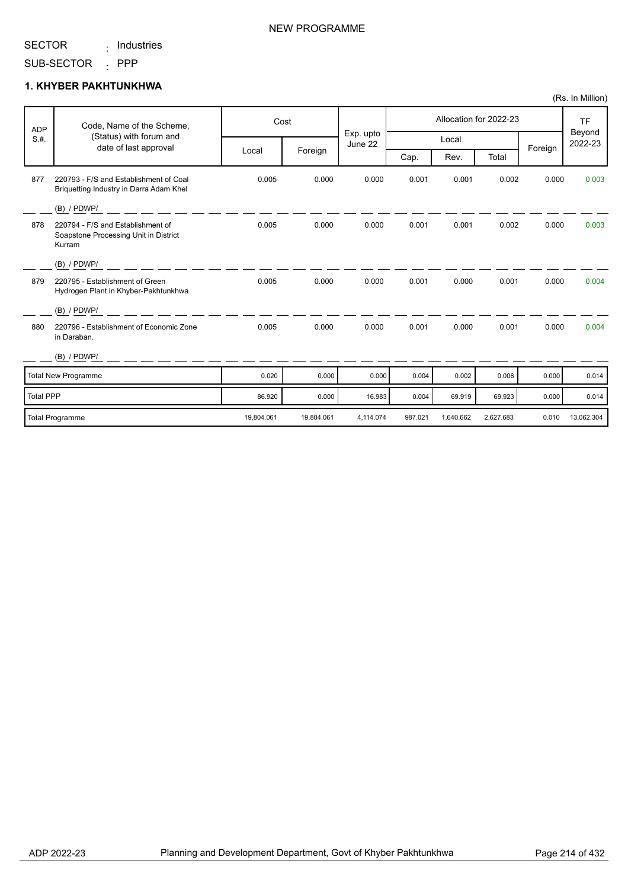#### SECTOR : Industries

### NEW PROGRAMME

#### SUB-SECTOR : PPP

### **1. KHYBER PAKHTUNKHWA**

| <b>ADP</b>       | Code, Name of the Scheme,<br>(Status) with forum and                                 |            | Cost       |                      |         |           | Allocation for 2022-23 |         | <b>TF</b><br>Beyond<br>2022-23 |
|------------------|--------------------------------------------------------------------------------------|------------|------------|----------------------|---------|-----------|------------------------|---------|--------------------------------|
| S.H.             | date of last approval                                                                |            |            | Exp. upto<br>June 22 |         | Local     |                        |         |                                |
|                  |                                                                                      | Local      | Foreign    |                      | Cap.    | Rev.      | Total                  | Foreign |                                |
| 877              | 220793 - F/S and Establishment of Coal<br>Briquetting Industry in Darra Adam Khel    | 0.005      | 0.000      | 0.000                | 0.001   | 0.001     | 0.002                  | 0.000   | 0.003                          |
|                  | $(B)$ / PDWP/                                                                        |            |            |                      |         |           |                        |         |                                |
| 878              | 220794 - F/S and Establishment of<br>Soapstone Processing Unit in District<br>Kurram | 0.005      | 0.000      | 0.000                | 0.001   | 0.001     | 0.002                  | 0.000   | 0.003                          |
|                  | $(B)$ / PDWP/                                                                        |            |            |                      |         |           |                        |         |                                |
| 879              | 220795 - Establishment of Green<br>Hydrogen Plant in Khyber-Pakhtunkhwa              | 0.005      | 0.000      | 0.000                | 0.001   | 0.000     | 0.001                  | 0.000   | 0.004                          |
|                  | $(B)$ / PDWP/                                                                        |            |            |                      |         |           |                        |         |                                |
| 880              | 220796 - Establishment of Economic Zone<br>in Daraban.                               | 0.005      | 0.000      | 0.000                | 0.001   | 0.000     | 0.001                  | 0.000   | 0.004                          |
|                  | $(B)$ / PDWP/                                                                        |            |            |                      |         |           |                        |         |                                |
|                  | Total New Programme                                                                  | 0.020      | 0.000      | 0.000                | 0.004   | 0.002     | 0.006                  | 0.000   | 0.014                          |
| <b>Total PPP</b> |                                                                                      | 86.920     | 0.000      | 16.983               | 0.004   | 69.919    | 69.923                 | 0.000   | 0.014                          |
|                  | <b>Total Programme</b>                                                               | 19,804.061 | 19,804.061 | 4,114.074            | 987.021 | 1,640.662 | 2,627.683              | 0.010   | 13,062.304                     |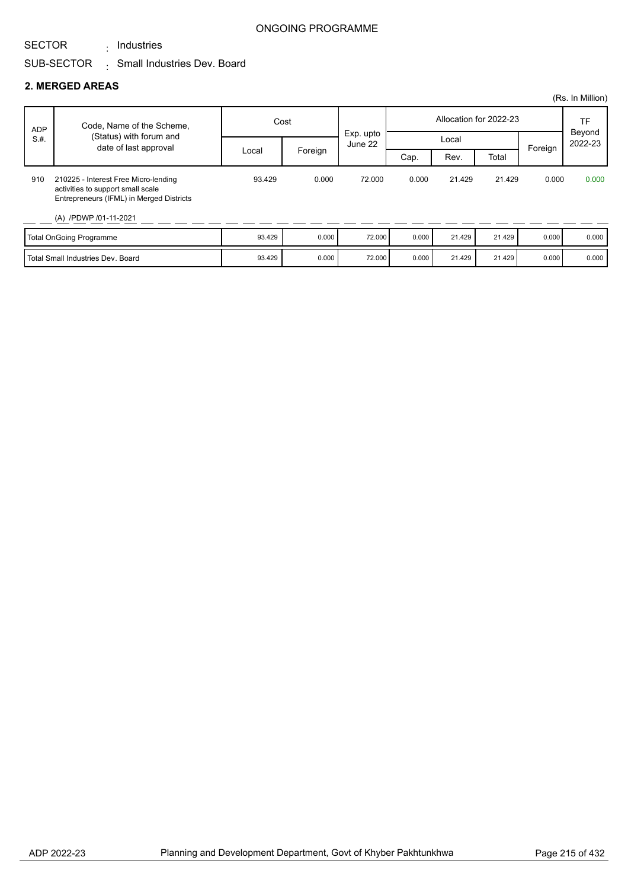: Industries

#### ONGOING PROGRAMME

## SUB-SECTOR  $\qquad \vdots$  Small Industries Dev. Board

#### **2. MERGED AREAS**

|                                   |                                                                                                                                                |        |         |                      |                        |        |        |         | (Rs. In Million)  |
|-----------------------------------|------------------------------------------------------------------------------------------------------------------------------------------------|--------|---------|----------------------|------------------------|--------|--------|---------|-------------------|
| <b>ADP</b><br>S.H.                | Code, Name of the Scheme,<br>(Status) with forum and<br>date of last approval                                                                  | Cost   |         |                      | Allocation for 2022-23 |        |        |         | <b>TF</b>         |
|                                   |                                                                                                                                                | Local  | Foreign | Exp. upto<br>June 22 | Local                  |        |        | Foreign | Beyond<br>2022-23 |
|                                   |                                                                                                                                                |        |         |                      | Cap.                   | Rev.   | Total  |         |                   |
| 910                               | 210225 - Interest Free Micro-lending<br>activities to support small scale<br>Entrepreneurs (IFML) in Merged Districts<br>(A) /PDWP /01-11-2021 | 93.429 | 0.000   | 72.000               | 0.000                  | 21.429 | 21.429 | 0.000   | 0.000             |
| <b>Total OnGoing Programme</b>    |                                                                                                                                                | 93.429 | 0.000   | 72.000               | 0.000                  | 21.429 | 21.429 | 0.000   | 0.000             |
| Total Small Industries Dev. Board |                                                                                                                                                | 93.429 | 0.000   | 72.000               | 0.000                  | 21.429 | 21.429 | 0.000   | 0.000             |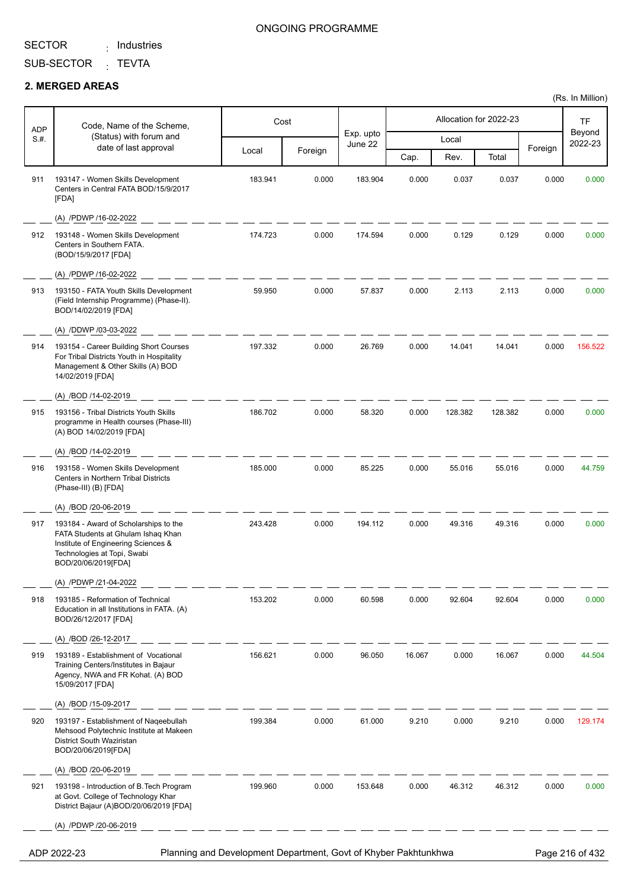: Industries

SUB-SECTOR <sub>:</sub> TEVTA

#### **2. MERGED AREAS**

| <b>ADP</b><br>S.H.                                                             | Code, Name of the Scheme,<br>(Status) with forum and<br>date of last approval                                                                                            | Cost    |         | Exp. upto<br>June 22 |        | Allocation for 2022-23 |         | TF              |                   |
|--------------------------------------------------------------------------------|--------------------------------------------------------------------------------------------------------------------------------------------------------------------------|---------|---------|----------------------|--------|------------------------|---------|-----------------|-------------------|
|                                                                                |                                                                                                                                                                          |         |         |                      | Local  |                        |         |                 | Beyond<br>2022-23 |
|                                                                                |                                                                                                                                                                          | Local   | Foreign |                      | Cap.   | Rev.                   | Total   | Foreign         |                   |
| 911                                                                            | 193147 - Women Skills Development<br>Centers in Central FATA BOD/15/9/2017<br>[FDA]                                                                                      | 183.941 | 0.000   | 183.904              | 0.000  | 0.037                  | 0.037   | 0.000           | 0.000             |
|                                                                                | (A) /PDWP /16-02-2022                                                                                                                                                    |         |         |                      |        |                        |         |                 |                   |
| 912                                                                            | 193148 - Women Skills Development<br>Centers in Southern FATA.<br>(BOD/15/9/2017 [FDA]                                                                                   | 174.723 | 0.000   | 174.594              | 0.000  | 0.129                  | 0.129   | 0.000           | 0.000             |
|                                                                                | (A) /PDWP /16-02-2022                                                                                                                                                    |         |         |                      |        |                        |         |                 |                   |
| 913                                                                            | 193150 - FATA Youth Skills Development<br>(Field Internship Programme) (Phase-II).<br>BOD/14/02/2019 [FDA]                                                               | 59.950  | 0.000   | 57.837               | 0.000  | 2.113                  | 2.113   | 0.000           | 0.000             |
|                                                                                | (A) /DDWP /03-03-2022                                                                                                                                                    |         |         |                      |        |                        |         |                 |                   |
| 914                                                                            | 193154 - Career Building Short Courses<br>For Tribal Districts Youth in Hospitality<br>Management & Other Skills (A) BOD<br>14/02/2019 [FDA]                             | 197.332 | 0.000   | 26.769               | 0.000  | 14.041                 | 14.041  | 0.000           | 156.522           |
|                                                                                | (A) /BOD /14-02-2019                                                                                                                                                     |         |         |                      |        |                        |         |                 |                   |
| 915                                                                            | 193156 - Tribal Districts Youth Skills<br>programme in Health courses (Phase-III)<br>(A) BOD 14/02/2019 [FDA]                                                            | 186.702 | 0.000   | 58.320               | 0.000  | 128.382                | 128.382 | 0.000           | 0.000             |
|                                                                                | (A) /BOD /14-02-2019                                                                                                                                                     |         |         |                      |        |                        |         |                 |                   |
| 916                                                                            | 193158 - Women Skills Development<br>Centers in Northern Tribal Districts<br>(Phase-III) (B) [FDA]                                                                       | 185.000 | 0.000   | 85.225               | 0.000  | 55.016                 | 55.016  | 0.000           | 44.759            |
|                                                                                | (A) /BOD /20-06-2019                                                                                                                                                     |         |         |                      |        |                        |         |                 |                   |
| 917                                                                            | 193184 - Award of Scholarships to the<br>FATA Students at Ghulam Ishaq Khan<br>Institute of Engineering Sciences &<br>Technologies at Topi, Swabi<br>BOD/20/06/2019[FDA] | 243.428 | 0.000   | 194.112              | 0.000  | 49.316                 | 49.316  | 0.000           | 0.000             |
|                                                                                | (A) /PDWP /21-04-2022                                                                                                                                                    |         |         |                      |        |                        |         |                 |                   |
| 918                                                                            | 193185 - Reformation of Technical<br>Education in all Institutions in FATA. (A)<br>BOD/26/12/2017 [FDA]                                                                  | 153.202 | 0.000   | 60.598               | 0.000  | 92.604                 | 92.604  | 0.000           | 0.000             |
|                                                                                | (A) /BOD /26-12-2017                                                                                                                                                     |         |         |                      |        |                        |         |                 |                   |
| 919                                                                            | 193189 - Establishment of Vocational<br>Training Centers/Institutes in Bajaur<br>Agency, NWA and FR Kohat. (A) BOD<br>15/09/2017 [FDA]                                   | 156.621 | 0.000   | 96.050               | 16.067 | 0.000                  | 16.067  | 0.000           | 44.504            |
|                                                                                | (A) /BOD /15-09-2017                                                                                                                                                     |         |         |                      |        |                        |         |                 |                   |
| 920                                                                            | 193197 - Establishment of Nageebullah<br>Mehsood Polytechnic Institute at Makeen<br>District South Waziristan<br>BOD/20/06/2019[FDA]                                     | 199.384 | 0.000   | 61.000               | 9.210  | 0.000                  | 9.210   | 0.000           | 129.174           |
|                                                                                | (A) /BOD /20-06-2019                                                                                                                                                     |         |         |                      |        |                        |         |                 |                   |
| 921                                                                            | 193198 - Introduction of B. Tech Program<br>at Govt. College of Technology Khar<br>District Bajaur (A)BOD/20/06/2019 [FDA]                                               | 199.960 | 0.000   | 153.648              | 0.000  | 46.312                 | 46.312  | 0.000           | 0.000             |
|                                                                                | (A) /PDWP /20-06-2019                                                                                                                                                    |         |         |                      |        |                        |         |                 |                   |
| Planning and Development Department, Govt of Khyber Pakhtunkhwa<br>ADP 2022-23 |                                                                                                                                                                          |         |         |                      |        |                        |         | Page 216 of 432 |                   |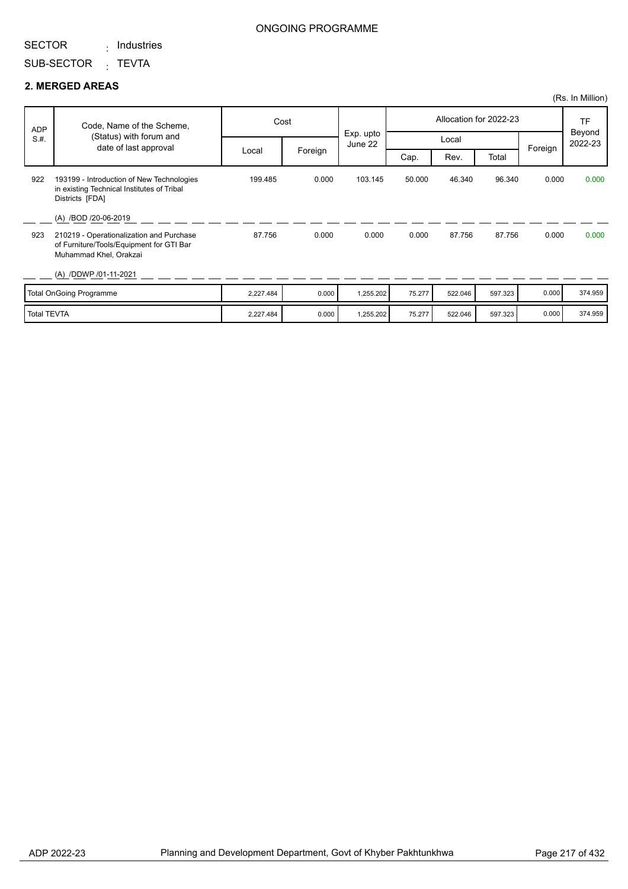: Industries

### ONGOING PROGRAMME

SUB-SECTOR <sub>:</sub> TEVTA

#### **2. MERGED AREAS**

|                    |                                                                                                                |           |         |                      |        |         |                        |         | (Rs. In Million)  |
|--------------------|----------------------------------------------------------------------------------------------------------------|-----------|---------|----------------------|--------|---------|------------------------|---------|-------------------|
| <b>ADP</b>         | Code, Name of the Scheme,                                                                                      |           | Cost    |                      |        |         | Allocation for 2022-23 |         | TF                |
| S.H.               | (Status) with forum and<br>date of last approval                                                               |           |         | Exp. upto<br>June 22 |        | Local   |                        | Foreign | Beyond<br>2022-23 |
|                    |                                                                                                                | Local     | Foreign |                      | Cap.   | Rev.    | Total                  |         |                   |
| 922                | 193199 - Introduction of New Technologies<br>in existing Technical Institutes of Tribal<br>Districts [FDA]     | 199.485   | 0.000   | 103.145              | 50.000 | 46.340  | 96.340                 | 0.000   | 0.000             |
|                    | (A) /BOD /20-06-2019                                                                                           |           |         |                      |        |         |                        |         |                   |
| 923                | 210219 - Operationalization and Purchase<br>of Furniture/Tools/Equipment for GTI Bar<br>Muhammad Khel, Orakzai | 87.756    | 0.000   | 0.000                | 0.000  | 87.756  | 87.756                 | 0.000   | 0.000             |
|                    | (A) /DDWP /01-11-2021                                                                                          |           |         |                      |        |         |                        |         |                   |
|                    | Total OnGoing Programme                                                                                        | 2,227.484 | 0.000   | 1,255.202            | 75.277 | 522.046 | 597.323                | 0.000   | 374.959           |
| <b>Total TEVTA</b> |                                                                                                                | 2,227.484 | 0.000   | 1,255.202            | 75.277 | 522.046 | 597.323                | 0.000   | 374.959           |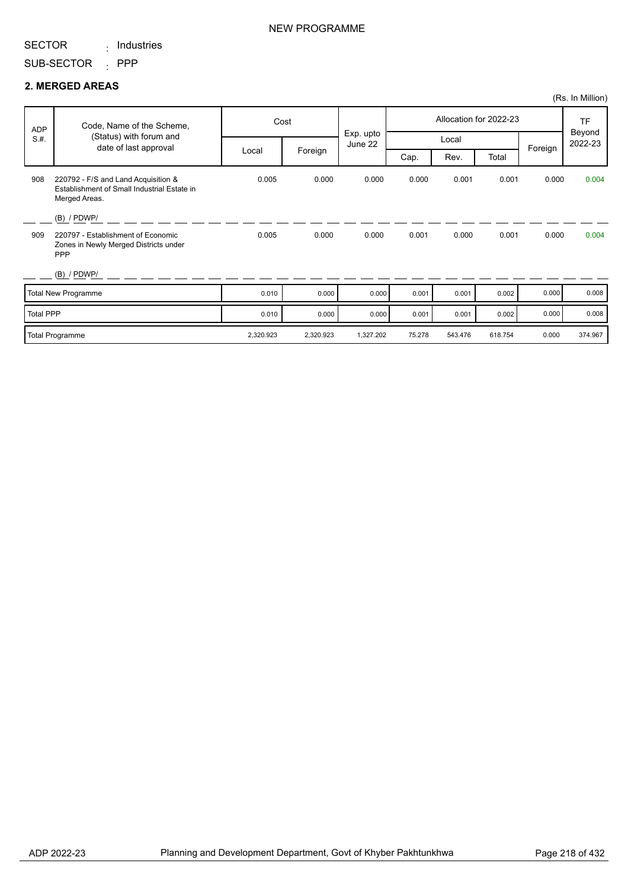: Industries

SUB-SECTOR : PPP

#### **2. MERGED AREAS**

|                  |                                                                                                     |           |           |                      |        |         |                        |         | (Rs. In Million)  |
|------------------|-----------------------------------------------------------------------------------------------------|-----------|-----------|----------------------|--------|---------|------------------------|---------|-------------------|
| ADP              | Code, Name of the Scheme,                                                                           |           | Cost      |                      |        |         | Allocation for 2022-23 |         | <b>TF</b>         |
| S.H.             | (Status) with forum and<br>date of last approval                                                    |           |           | Exp. upto<br>June 22 |        | Local   |                        |         | Beyond<br>2022-23 |
|                  |                                                                                                     | Local     | Foreign   |                      | Cap.   | Rev.    | Total                  | Foreign |                   |
| 908              | 220792 - F/S and Land Acquisition &<br>Establishment of Small Industrial Estate in<br>Merged Areas. | 0.005     | 0.000     | 0.000                | 0.000  | 0.001   | 0.001                  | 0.000   | 0.004             |
|                  | $(B)$ / PDWP/                                                                                       |           |           |                      |        |         |                        |         |                   |
| 909              | 220797 - Establishment of Economic<br>Zones in Newly Merged Districts under<br><b>PPP</b>           | 0.005     | 0.000     | 0.000                | 0.001  | 0.000   | 0.001                  | 0.000   | 0.004             |
|                  | $(B)$ / PDWP/                                                                                       |           |           |                      |        |         |                        |         |                   |
|                  | Total New Programme                                                                                 | 0.010     | 0.000     | 0.000                | 0.001  | 0.001   | 0.002                  | 0.000   | 0.008             |
| <b>Total PPP</b> |                                                                                                     | 0.010     | 0.000     | 0.000                | 0.001  | 0.001   | 0.002                  | 0.000   | 0.008             |
|                  | Total Programme                                                                                     | 2,320.923 | 2,320.923 | 1,327.202            | 75.278 | 543.476 | 618.754                | 0.000   | 374.967           |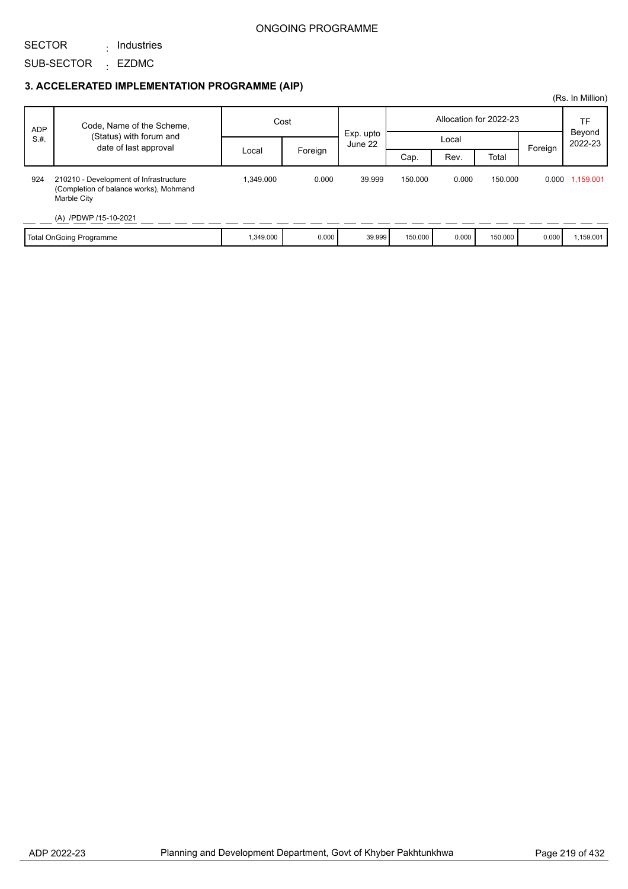### ONGOING PROGRAMME

SECTOR : Industries

SUB-SECTOR <sub>:</sub> EZDMC

|            |                                                                                                 |           |         |                      |                        |       |         |         | (Rs. In Million)  |
|------------|-------------------------------------------------------------------------------------------------|-----------|---------|----------------------|------------------------|-------|---------|---------|-------------------|
| <b>ADP</b> | Code, Name of the Scheme,                                                                       | Cost      |         |                      | Allocation for 2022-23 |       |         |         | TF                |
| S.H.       | (Status) with forum and                                                                         |           |         | Exp. upto<br>June 22 |                        | Local |         |         | Beyond<br>2022-23 |
|            | date of last approval                                                                           | Local     | Foreign |                      | Cap.                   | Rev.  | Total   | Foreign |                   |
| 924        | 210210 - Development of Infrastructure<br>(Completion of balance works), Mohmand<br>Marble City | 1,349.000 | 0.000   | 39.999               | 150.000                | 0.000 | 150.000 |         | 0.000 1,159.001   |
|            | (A) /PDWP /15-10-2021                                                                           |           |         |                      |                        |       |         |         |                   |
|            | Total OnGoing Programme                                                                         | 1,349.000 | 0.000   | 39.999               | 150.000                | 0.000 | 150,000 | 0.000   | 1,159.001         |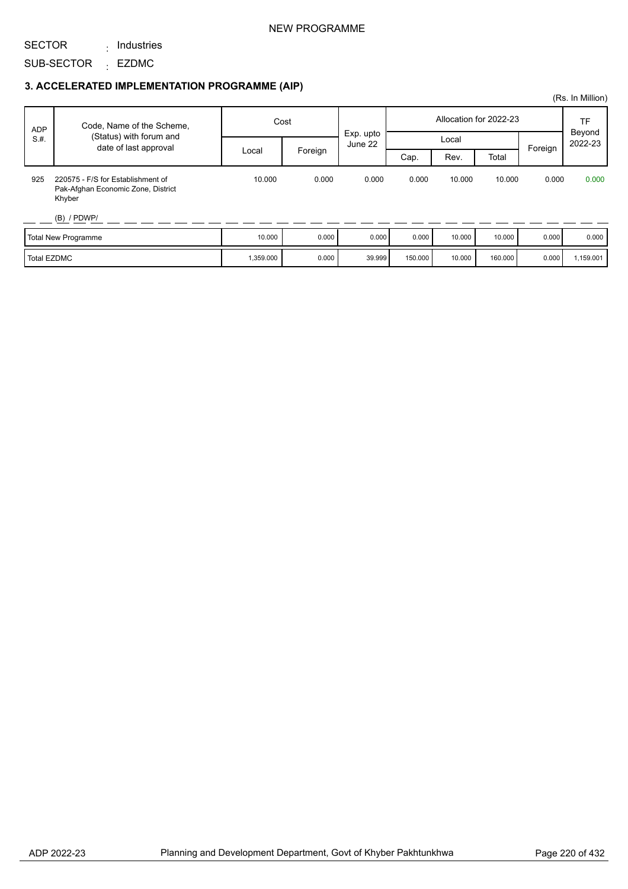### NEW PROGRAMME

SECTOR : Industries

SUB-SECTOR <sub>:</sub> EZDMC

### **3. ACCELERATED IMPLEMENTATION PROGRAMME (AIP)**

| <b>ADP</b>  | Code, Name of the Scheme,                                                         | Cost      |         | Exp. upto |         |        | Allocation for 2022-23 |         | TF<br>Beyond |
|-------------|-----------------------------------------------------------------------------------|-----------|---------|-----------|---------|--------|------------------------|---------|--------------|
| S.H.        | (Status) with forum and<br>date of last approval                                  |           |         | June 22   |         | Local  |                        |         | 2022-23      |
|             |                                                                                   | Local     | Foreign |           | Cap.    | Rev.   | Total                  | Foreign |              |
| 925         | 220575 - F/S for Establishment of<br>Pak-Afghan Economic Zone, District<br>Khyber | 10.000    | 0.000   | 0.000     | 0.000   | 10.000 | 10.000                 | 0.000   | 0.000        |
|             | $(B)$ / PDWP/                                                                     |           |         |           |         |        |                        |         |              |
|             | Total New Programme                                                               | 10.000    | 0.000   | 0.000     | 0.000   | 10.000 | 10.000                 | 0.000   | 0.000        |
| Total EZDMC |                                                                                   | 1,359.000 | 0.000   | 39.999    | 150.000 | 10.000 | 160.000                | 0.000   | 1,159.001    |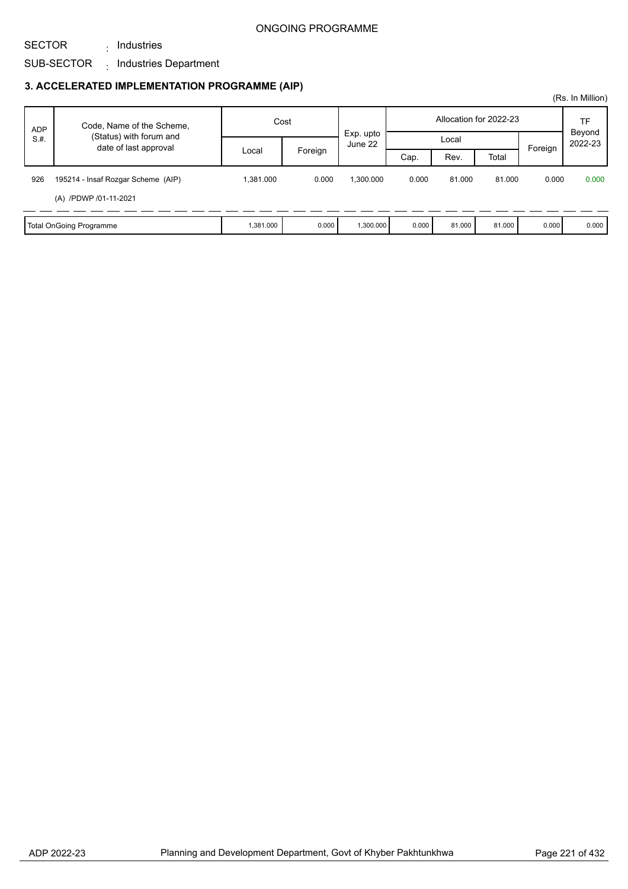### SUB-SECTOR <sub>:</sub> Industries Department

: Industries

|            |                                                  |                  |       |                      |       |        |                        |       | (Rs. In Million) |                   |
|------------|--------------------------------------------------|------------------|-------|----------------------|-------|--------|------------------------|-------|------------------|-------------------|
| <b>ADP</b> | Code, Name of the Scheme,                        | Cost             |       |                      |       |        | Allocation for 2022-23 |       | TF               |                   |
| S.H.       | (Status) with forum and<br>date of last approval |                  |       | Exp. upto<br>June 22 |       |        | Local                  |       | Foreign          | Beyond<br>2022-23 |
|            |                                                  | Foreign<br>Local |       |                      | Cap.  | Rev.   | Total                  |       |                  |                   |
| 926        | 195214 - Insaf Rozgar Scheme (AIP)               | 1.381.000        | 0.000 | 1.300.000            | 0.000 | 81.000 | 81.000                 | 0.000 | 0.000            |                   |
|            | (A) /PDWP /01-11-2021                            |                  |       |                      |       |        |                        |       |                  |                   |
|            | Total OnGoing Programme                          | 1,381.000        | 0.000 | 1,300.000            | 0.000 | 81.000 | 81.000                 | 0.000 | 0.000            |                   |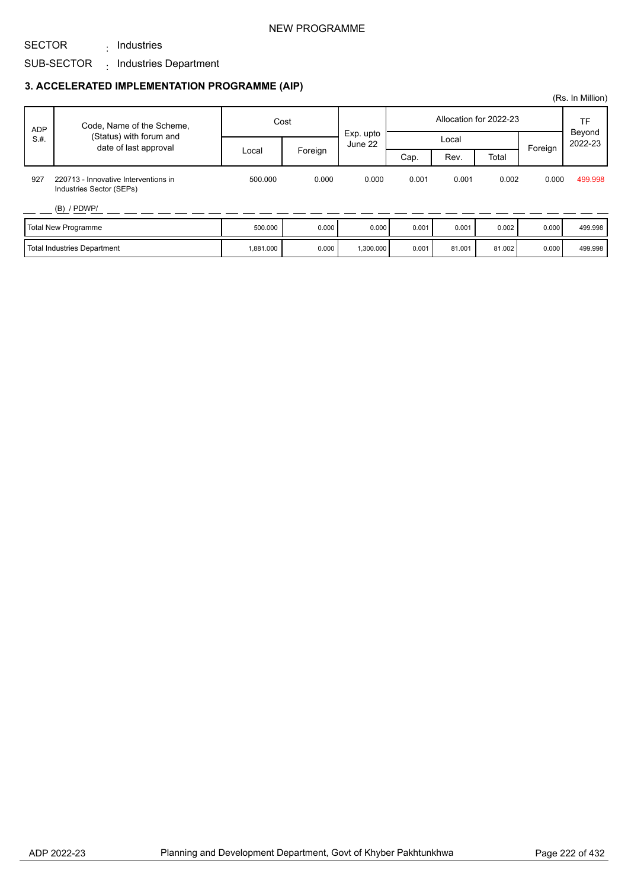### NEW PROGRAMME

## SUB-SECTOR <sub>:</sub> Industries Department : Industries

SECTOR

### **3. ACCELERATED IMPLEMENTATION PROGRAMME (AIP)**

| <b>ADP</b> | Code, Name of the Scheme,                                        | Cost      |         |                      | Allocation for 2022-23 |        |        |         | TF                |
|------------|------------------------------------------------------------------|-----------|---------|----------------------|------------------------|--------|--------|---------|-------------------|
| S.H.       | (Status) with forum and<br>date of last approval                 |           |         | Exp. upto<br>June 22 |                        | Local  |        |         | Beyond<br>2022-23 |
|            |                                                                  | Local     | Foreign |                      | Cap.                   | Rev.   | Total  | Foreign |                   |
| 927        | 220713 - Innovative Interventions in<br>Industries Sector (SEPs) | 500.000   | 0.000   | 0.000                | 0.001                  | 0.001  | 0.002  | 0.000   | 499.998           |
|            | $(B)$ / PDWP/                                                    |           |         |                      |                        |        |        |         |                   |
|            | Total New Programme                                              | 500.000   | 0.000   | 0.000                | 0.001                  | 0.001  | 0.002  | 0.000   | 499.998           |
|            | Total Industries Department                                      | 1,881.000 | 0.000   | 1,300.000            | 0.001                  | 81.001 | 81.002 | 0.000   | 499.998           |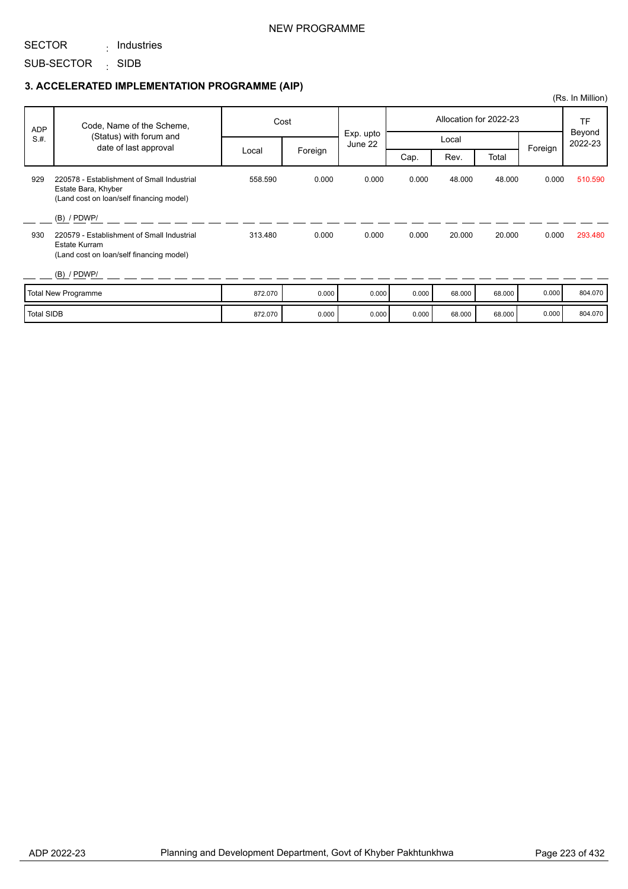### NEW PROGRAMME

#### SECTOR : Industries

SUB-SECTOR SIDB :

|                   |                                                                                                               |         |         |                      |                        |        |        |         | (Rs. In Million)  |
|-------------------|---------------------------------------------------------------------------------------------------------------|---------|---------|----------------------|------------------------|--------|--------|---------|-------------------|
| <b>ADP</b>        | Code, Name of the Scheme,                                                                                     |         | Cost    |                      | Allocation for 2022-23 |        |        |         | <b>TF</b>         |
| S.H.              | (Status) with forum and<br>date of last approval                                                              |         |         | Exp. upto<br>June 22 |                        | Local  |        | Foreign | Beyond<br>2022-23 |
|                   |                                                                                                               | Local   | Foreign |                      | Cap.                   | Rev.   | Total  |         |                   |
| 929               | 220578 - Establishment of Small Industrial<br>Estate Bara, Khyber<br>(Land cost on loan/self financing model) | 558.590 | 0.000   | 0.000                | 0.000                  | 48.000 | 48.000 | 0.000   | 510.590           |
|                   | $(B)$ / PDWP/                                                                                                 |         |         |                      |                        |        |        |         |                   |
| 930               | 220579 - Establishment of Small Industrial<br>Estate Kurram<br>(Land cost on loan/self financing model)       | 313.480 | 0.000   | 0.000                | 0.000                  | 20.000 | 20.000 | 0.000   | 293.480           |
|                   | $(B)$ / PDWP/                                                                                                 |         |         |                      |                        |        |        |         |                   |
|                   | <b>Total New Programme</b>                                                                                    | 872.070 | 0.000   | 0.000                | 0.000                  | 68.000 | 68.000 | 0.000   | 804.070           |
| <b>Total SIDB</b> |                                                                                                               | 872.070 | 0.000   | 0.000                | 0.000                  | 68.000 | 68.000 | 0.000   | 804.070           |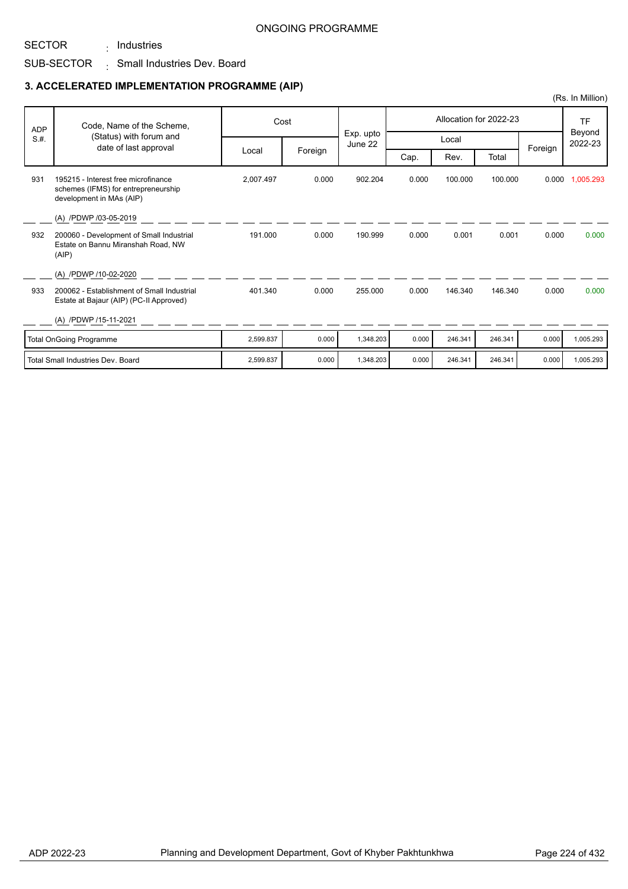## SUB-SECTOR  $\qquad \vdots$  Small Industries Dev. Board : Industries

|            |                                                                                                        |           |         |                      |       |         |                        |         | (Rs. In Million)               |
|------------|--------------------------------------------------------------------------------------------------------|-----------|---------|----------------------|-------|---------|------------------------|---------|--------------------------------|
| <b>ADP</b> | Code, Name of the Scheme,                                                                              |           | Cost    |                      |       |         | Allocation for 2022-23 |         | <b>TF</b><br>Beyond<br>2022-23 |
| S.H.       | (Status) with forum and<br>date of last approval                                                       |           |         | Exp. upto<br>June 22 |       | Local   |                        | Foreign |                                |
|            |                                                                                                        | Local     | Foreign |                      | Cap.  | Rev.    | Total                  |         |                                |
| 931        | 195215 - Interest free microfinance<br>schemes (IFMS) for entrepreneurship<br>development in MAs (AIP) | 2,007.497 | 0.000   | 902.204              | 0.000 | 100.000 | 100.000                | 0.000   | 1,005.293                      |
|            | (A) /PDWP /03-05-2019                                                                                  |           |         |                      |       |         |                        |         |                                |
| 932        | 200060 - Development of Small Industrial<br>Estate on Bannu Miranshah Road, NW<br>(AIP)                | 191.000   | 0.000   | 190.999              | 0.000 | 0.001   | 0.001                  | 0.000   | 0.000                          |
|            | (A) /PDWP /10-02-2020                                                                                  |           |         |                      |       |         |                        |         |                                |
| 933        | 200062 - Establishment of Small Industrial<br>Estate at Bajaur (AIP) (PC-II Approved)                  | 401.340   | 0.000   | 255.000              | 0.000 | 146.340 | 146.340                | 0.000   | 0.000                          |
|            | (A) /PDWP /15-11-2021                                                                                  |           |         |                      |       |         |                        |         |                                |
|            | <b>Total OnGoing Programme</b>                                                                         | 2,599.837 | 0.000   | 1,348.203            | 0.000 | 246.341 | 246.341                | 0.000   | 1,005.293                      |
|            | <b>Total Small Industries Dev. Board</b>                                                               | 2.599.837 | 0.000   | 1.348.203            | 0.000 | 246.341 | 246.341                | 0.000   | 1,005.293                      |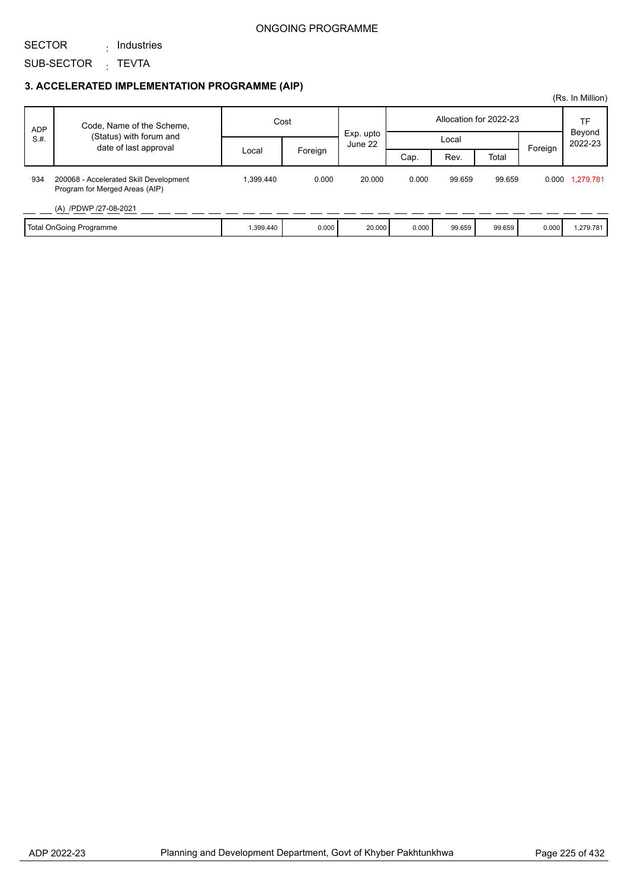### ONGOING PROGRAMME

SECTOR

: Industries

SUB-SECTOR <sub>:</sub> TEVTA

|            |                                                                          |           |         |                      |       |        |                        |         | (Rs. In Million) |
|------------|--------------------------------------------------------------------------|-----------|---------|----------------------|-------|--------|------------------------|---------|------------------|
| <b>ADP</b> | Code, Name of the Scheme,                                                | Cost      |         |                      |       |        | Allocation for 2022-23 |         | TF<br>Beyond     |
| S.H.       | (Status) with forum and<br>date of last approval                         |           |         | Exp. upto<br>June 22 | Local |        |                        | 2022-23 |                  |
|            |                                                                          | Local     | Foreign |                      | Cap.  | Rev.   | Total                  | Foreign |                  |
| 934        | 200068 - Accelerated Skill Development<br>Program for Merged Areas (AIP) | 1.399.440 | 0.000   | 20.000               | 0.000 | 99.659 | 99.659                 |         | 0.000 1,279.781  |
|            | (A) /PDWP /27-08-2021                                                    |           |         |                      |       |        |                        |         |                  |
|            | Total OnGoing Programme                                                  | 1,399.440 | 0.000   | 20.000               | 0.000 | 99.659 | 99.659                 | 0.000   | 1,279.781        |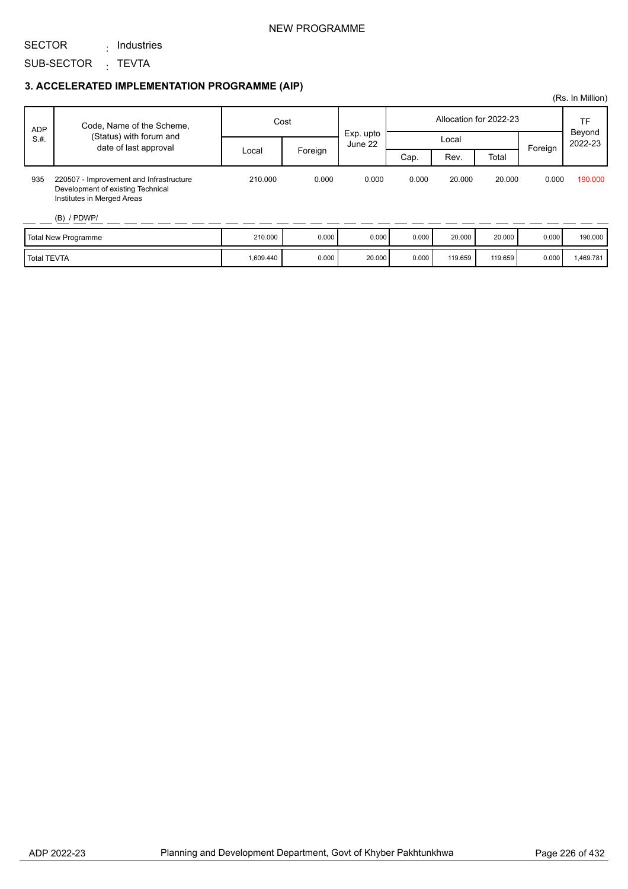### NEW PROGRAMME

SECTOR : Industries

SUB-SECTOR <sub>:</sub> TEVTA

### **3. ACCELERATED IMPLEMENTATION PROGRAMME (AIP)**

| <b>ADP</b>         | Code, Name of the Scheme,                                                                                                   | Cost      |         | Exp. upto |       |         | Allocation for 2022-23 |         | TF<br>Beyond |
|--------------------|-----------------------------------------------------------------------------------------------------------------------------|-----------|---------|-----------|-------|---------|------------------------|---------|--------------|
| S.H.               | (Status) with forum and<br>date of last approval                                                                            |           |         | June 22   |       | Local   |                        | Foreign | 2022-23      |
|                    |                                                                                                                             | Local     | Foreign |           | Cap.  | Rev.    | Total                  |         |              |
| 935                | 220507 - Improvement and Infrastructure<br>Development of existing Technical<br>Institutes in Merged Areas<br>$(B)$ / PDWP/ | 210.000   | 0.000   | 0.000     | 0.000 | 20.000  | 20,000                 | 0.000   | 190,000      |
|                    | Total New Programme                                                                                                         | 210.000   | 0.000   | 0.000     | 0.000 | 20,000  | 20,000                 | 0.000   | 190.000      |
| <b>Total TEVTA</b> |                                                                                                                             | 1,609.440 | 0.000   | 20.000    | 0.000 | 119.659 | 119.659                | 0.000   | 1,469.781    |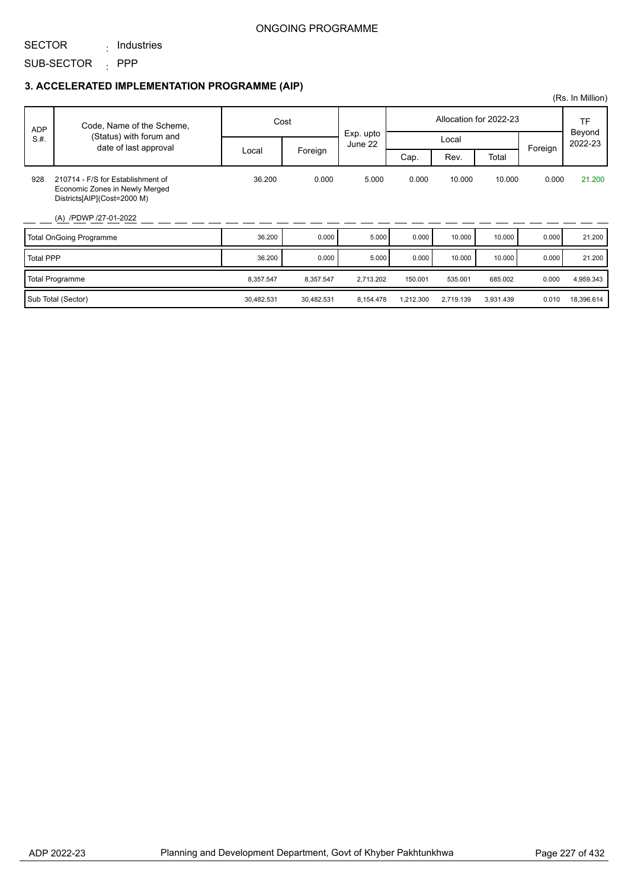### ONGOING PROGRAMME

#### SECTOR : Industries

SUB-SECTOR : PPP

|                  |                                                                                                                             |            |            |                      |                        |           |           |         | (Rs. In Million)  |
|------------------|-----------------------------------------------------------------------------------------------------------------------------|------------|------------|----------------------|------------------------|-----------|-----------|---------|-------------------|
| <b>ADP</b>       | Code, Name of the Scheme,                                                                                                   |            | Cost       |                      | Allocation for 2022-23 |           |           |         | <b>TF</b>         |
| S.H.             | (Status) with forum and<br>date of last approval                                                                            |            |            | Exp. upto<br>June 22 |                        | Local     |           | Foreign | Beyond<br>2022-23 |
|                  |                                                                                                                             | Local      | Foreign    |                      | Cap.                   | Rev.      | Total     |         |                   |
| 928              | 210714 - F/S for Establishment of<br>Economic Zones in Newly Merged<br>Districts[AIP](Cost=2000 M)<br>(A) /PDWP /27-01-2022 | 36.200     | 0.000      | 5.000                | 0.000                  | 10.000    | 10.000    | 0.000   | 21.200            |
|                  | <b>Total OnGoing Programme</b>                                                                                              | 36.200     | 0.000      | 5.000                | 0.000                  | 10.000    | 10.000    | 0.000   | 21.200            |
| <b>Total PPP</b> |                                                                                                                             | 36.200     | 0.000      | 5.000                | 0.000                  | 10.000    | 10.000    | 0.000   | 21.200            |
|                  | <b>Total Programme</b>                                                                                                      | 8,357.547  | 8,357.547  | 2,713.202            | 150.001                | 535.001   | 685.002   | 0.000   | 4,959.343         |
|                  | Sub Total (Sector)                                                                                                          | 30,482.531 | 30,482.531 | 8,154.478            | 1,212.300              | 2,719.139 | 3,931.439 | 0.010   | 18,396.614        |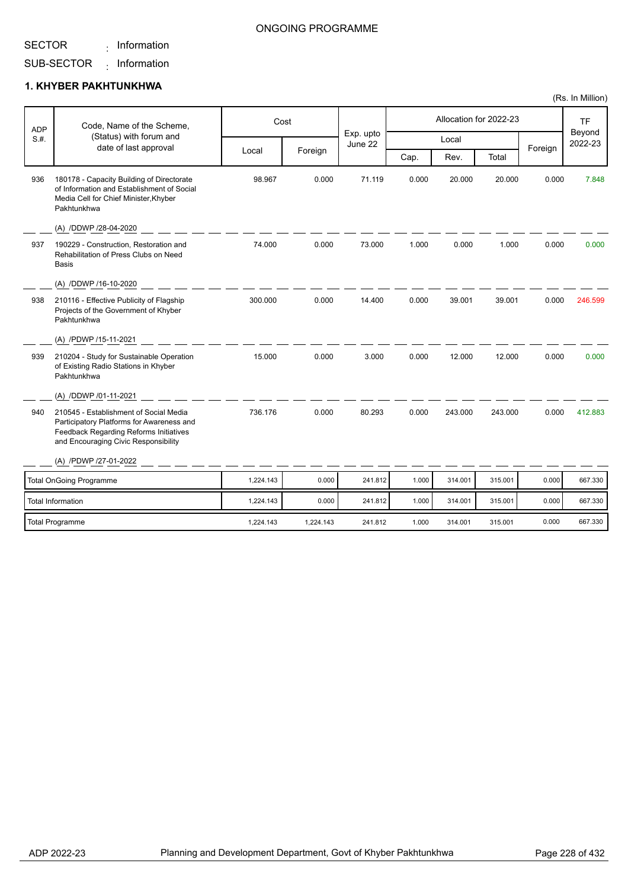$\cdot$  Information

### ONGOING PROGRAMME

#### SUB-SECTOR  $\cdot$  Information

### **1. KHYBER PAKHTUNKHWA**

| <b>ADP</b> | Code, Name of the Scheme,                                                                                                                                             |           | Cost    |                      |       |         | Allocation for 2022-23 |         | <b>TF</b><br>Beyond |
|------------|-----------------------------------------------------------------------------------------------------------------------------------------------------------------------|-----------|---------|----------------------|-------|---------|------------------------|---------|---------------------|
| S.H.       | (Status) with forum and<br>date of last approval                                                                                                                      |           |         | Exp. upto<br>June 22 |       | Local   |                        | Foreign | 2022-23             |
|            |                                                                                                                                                                       | Local     | Foreign |                      | Cap.  | Rev.    | Total                  |         |                     |
| 936        | 180178 - Capacity Building of Directorate<br>of Information and Establishment of Social<br>Media Cell for Chief Minister, Khyber<br>Pakhtunkhwa                       | 98.967    | 0.000   | 71.119               | 0.000 | 20.000  | 20.000                 | 0.000   | 7.848               |
|            | (A) /DDWP /28-04-2020                                                                                                                                                 |           |         |                      |       |         |                        |         |                     |
| 937        | 190229 - Construction, Restoration and<br>Rehabilitation of Press Clubs on Need<br><b>Basis</b>                                                                       | 74.000    | 0.000   | 73.000               | 1.000 | 0.000   | 1.000                  | 0.000   | 0.000               |
|            | (A) /DDWP /16-10-2020                                                                                                                                                 |           |         |                      |       |         |                        |         |                     |
| 938        | 210116 - Effective Publicity of Flagship<br>Projects of the Government of Khyber<br>Pakhtunkhwa                                                                       | 300.000   | 0.000   | 14.400               | 0.000 | 39.001  | 39.001                 | 0.000   | 246.599             |
|            | (A) /PDWP /15-11-2021                                                                                                                                                 |           |         |                      |       |         |                        |         |                     |
| 939        | 210204 - Study for Sustainable Operation<br>of Existing Radio Stations in Khyber<br>Pakhtunkhwa                                                                       | 15.000    | 0.000   | 3.000                | 0.000 | 12.000  | 12.000                 | 0.000   | 0.000               |
|            | (A) /DDWP /01-11-2021                                                                                                                                                 |           |         |                      |       |         |                        |         |                     |
| 940        | 210545 - Establishment of Social Media<br>Participatory Platforms for Awareness and<br>Feedback Regarding Reforms Initiatives<br>and Encouraging Civic Responsibility | 736.176   | 0.000   | 80.293               | 0.000 | 243.000 | 243.000                | 0.000   | 412.883             |
|            | (A) /PDWP /27-01-2022                                                                                                                                                 |           |         |                      |       |         |                        |         |                     |
|            | <b>Total OnGoing Programme</b>                                                                                                                                        | 1,224.143 | 0.000   | 241.812              | 1.000 | 314.001 | 315.001                | 0.000   | 667.330             |
|            | <b>Total Information</b>                                                                                                                                              | 1,224.143 | 0.000   | 241.812              | 1.000 | 314.001 | 315.001                | 0.000   | 667.330             |

Total Programme 1,224.143 1,224.143 241.812 1.000 314.001 315.001 0.000 667.330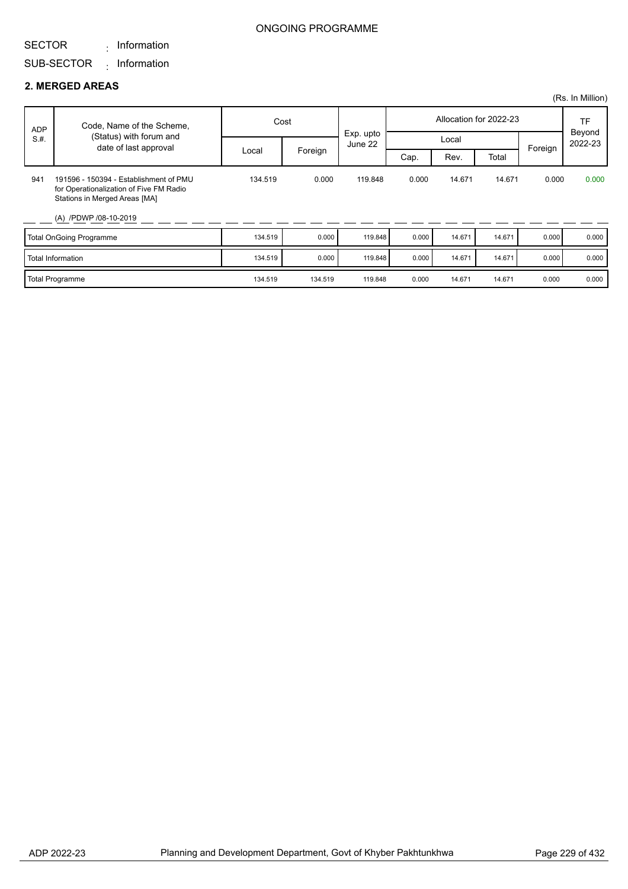#### SECTOR  $\cdot$  Information

### ONGOING PROGRAMME

## SUB-SECTOR Information :

#### **2. MERGED AREAS**

|      |                                                                                                                                             |         |         |                      |       |                        |        |         | (Rs. In Million)  |
|------|---------------------------------------------------------------------------------------------------------------------------------------------|---------|---------|----------------------|-------|------------------------|--------|---------|-------------------|
| ADP  | Code, Name of the Scheme,                                                                                                                   | Cost    |         |                      |       | Allocation for 2022-23 |        | TF      |                   |
| S.H. | (Status) with forum and<br>date of last approval                                                                                            |         |         | Exp. upto<br>June 22 | Local |                        |        | Foreign | Beyond<br>2022-23 |
|      |                                                                                                                                             | Local   | Foreign |                      | Cap.  | Rev.                   | Total  |         |                   |
| 941  | 191596 - 150394 - Establishment of PMU<br>for Operationalization of Five FM Radio<br>Stations in Merged Areas [MA]<br>(A) /PDWP /08-10-2019 | 134.519 | 0.000   | 119.848              | 0.000 | 14.671                 | 14.671 | 0.000   | 0.000             |
|      | Total OnGoing Programme                                                                                                                     | 134.519 | 0.000   | 119.848              | 0.000 | 14.671                 | 14.671 | 0.000   | 0.000             |
|      | Total Information                                                                                                                           | 134.519 | 0.000   | 119.848              | 0.000 | 14.671                 | 14.671 | 0.000   | 0.000             |
|      | Total Programme                                                                                                                             | 134.519 | 134.519 | 119.848              | 0.000 | 14.671                 | 14.671 | 0.000   | 0.000             |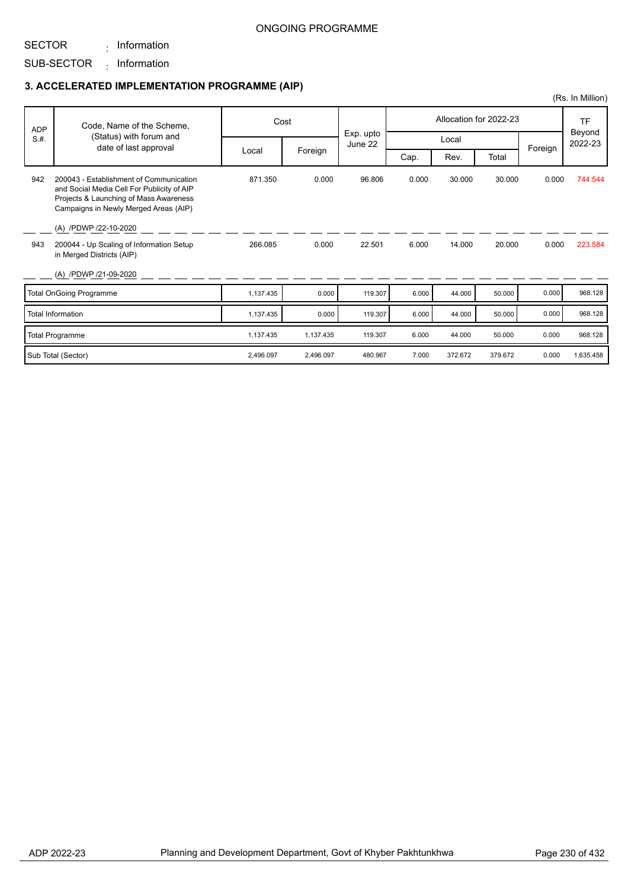### ONGOING PROGRAMME

SECTOR

 $\cdot$  Information

# SUB-SECTOR Information :

### **3. ACCELERATED IMPLEMENTATION PROGRAMME (AIP)**

| <b>ADP</b> | Code, Name of the Scheme,                                                                                                                                                                         |           | Cost      |                      |       | Allocation for 2022-23 |         | <b>TF</b> |                   |
|------------|---------------------------------------------------------------------------------------------------------------------------------------------------------------------------------------------------|-----------|-----------|----------------------|-------|------------------------|---------|-----------|-------------------|
| S.H.       | (Status) with forum and<br>date of last approval                                                                                                                                                  |           |           | Exp. upto<br>June 22 | Local |                        |         |           | Beyond<br>2022-23 |
|            |                                                                                                                                                                                                   | Local     | Foreign   |                      | Cap.  | Rev.                   | Total   | Foreign   |                   |
| 942        | 200043 - Establishment of Communication<br>and Social Media Cell For Publicity of AIP<br>Projects & Launching of Mass Awareness<br>Campaigns in Newly Merged Areas (AIP)<br>(A) /PDWP /22-10-2020 | 871.350   | 0.000     | 96.806               | 0.000 | 30.000                 | 30.000  | 0.000     | 744.544           |
| 943        | 200044 - Up Scaling of Information Setup<br>in Merged Districts (AIP)                                                                                                                             | 266.085   | 0.000     | 22.501               | 6.000 | 14.000                 | 20.000  | 0.000     | 223.584           |
|            | (A) /PDWP /21-09-2020                                                                                                                                                                             |           |           |                      |       |                        |         |           |                   |
|            | <b>Total OnGoing Programme</b>                                                                                                                                                                    | 1,137.435 | 0.000     | 119.307              | 6.000 | 44.000                 | 50.000  | 0.000     | 968.128           |
|            | <b>Total Information</b>                                                                                                                                                                          | 1,137.435 | 0.000     | 119.307              | 6.000 | 44.000                 | 50.000  | 0.000     | 968.128           |
|            | <b>Total Programme</b>                                                                                                                                                                            | 1,137.435 | 1,137.435 | 119.307              | 6.000 | 44.000                 | 50.000  | 0.000     | 968.128           |
|            | Sub Total (Sector)                                                                                                                                                                                | 2.496.097 | 2.496.097 | 480.967              | 7.000 | 372.672                | 379.672 | 0.000     | 1,635.458         |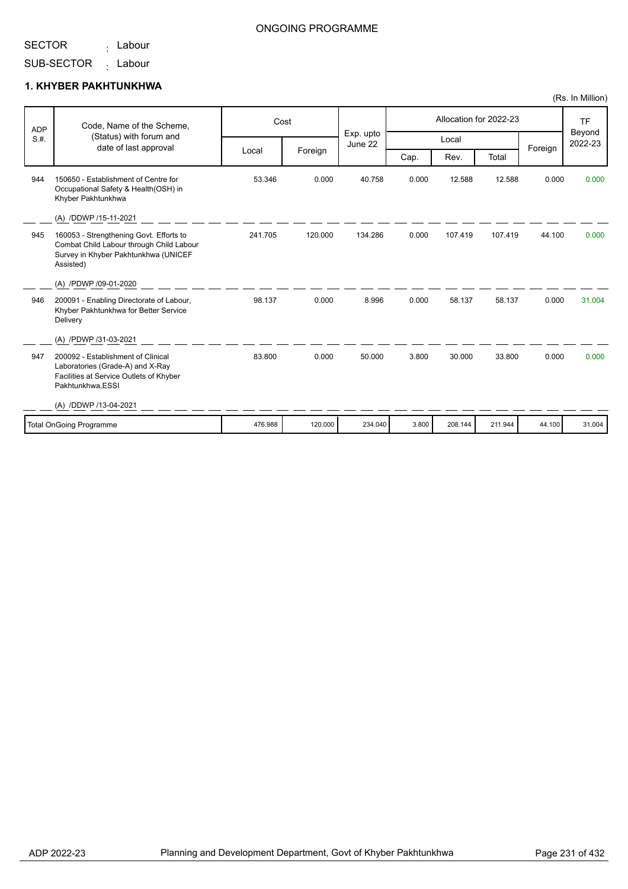<sub>:</sub> Labour

### ONGOING PROGRAMME

SUB-SECTOR <sub>:</sub> Labour

### **1. KHYBER PAKHTUNKHWA**

| <b>ADP</b> | Code, Name of the Scheme,                                                                                                                |         | Cost    |                      |       |         | Allocation for 2022-23 |         | <b>TF</b><br>Beyond<br>2022-23 |
|------------|------------------------------------------------------------------------------------------------------------------------------------------|---------|---------|----------------------|-------|---------|------------------------|---------|--------------------------------|
| S.H.       | (Status) with forum and                                                                                                                  |         |         | Exp. upto<br>June 22 |       | Local   |                        |         |                                |
|            | date of last approval                                                                                                                    | Local   | Foreign |                      | Cap.  | Rev.    | Total                  | Foreign |                                |
| 944        | 150650 - Establishment of Centre for<br>Occupational Safety & Health(OSH) in<br>Khyber Pakhtunkhwa                                       | 53.346  | 0.000   | 40.758               | 0.000 | 12.588  | 12.588                 | 0.000   | 0.000                          |
|            | (A) /DDWP /15-11-2021                                                                                                                    |         |         |                      |       |         |                        |         |                                |
| 945        | 160053 - Strengthening Govt. Efforts to<br>Combat Child Labour through Child Labour<br>Survey in Khyber Pakhtunkhwa (UNICEF<br>Assisted) | 241.705 | 120.000 | 134.286              | 0.000 | 107.419 | 107.419                | 44.100  | 0.000                          |
|            | (A) /PDWP /09-01-2020                                                                                                                    |         |         |                      |       |         |                        |         |                                |
| 946        | 200091 - Enabling Directorate of Labour,<br>Khyber Pakhtunkhwa for Better Service<br>Delivery                                            | 98.137  | 0.000   | 8.996                | 0.000 | 58.137  | 58.137                 | 0.000   | 31.004                         |
|            | (A) /PDWP /31-03-2021                                                                                                                    |         |         |                      |       |         |                        |         |                                |
| 947        | 200092 - Establishment of Clinical<br>Laboratories (Grade-A) and X-Ray<br>Facilities at Service Outlets of Khyber<br>Pakhtunkhwa, ESSI   | 83.800  | 0.000   | 50.000               | 3.800 | 30.000  | 33.800                 | 0.000   | 0.000                          |
|            | (A) /DDWP /13-04-2021                                                                                                                    |         |         |                      |       |         |                        |         |                                |
|            | Total OnGoing Programme                                                                                                                  | 476.988 | 120.000 | 234.040              | 3.800 | 208.144 | 211.944                | 44.100  | 31.004                         |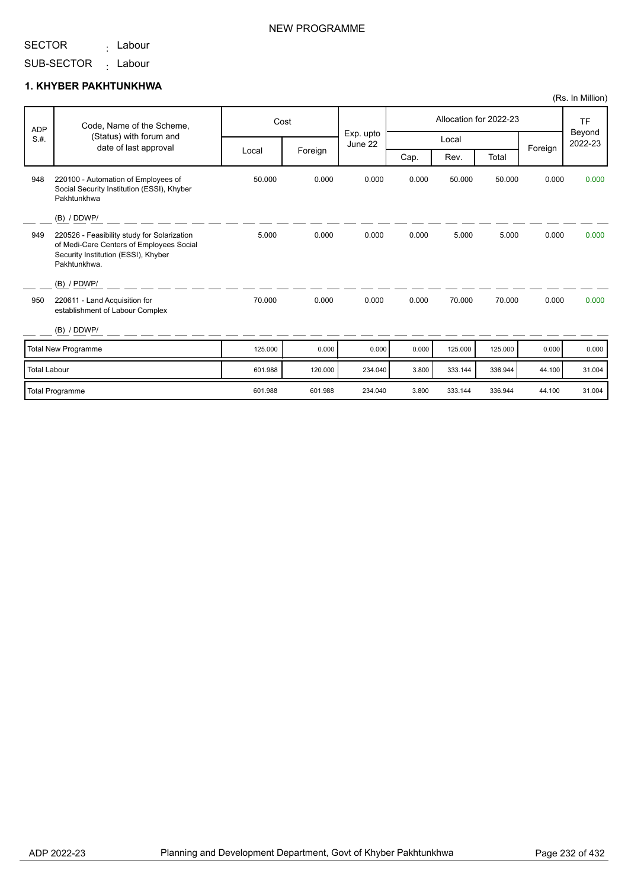<sub>:</sub> Labour

SUB-SECTOR <sub>:</sub> Labour

#### **1. KHYBER PAKHTUNKHWA**

| <b>ADP</b>          | Code, Name of the Scheme,                                                                                                                      |         | Cost    |                      | Allocation for 2022-23 |         |         |        | <b>TF</b><br>Beyond |         |         |
|---------------------|------------------------------------------------------------------------------------------------------------------------------------------------|---------|---------|----------------------|------------------------|---------|---------|--------|---------------------|---------|---------|
| S.H.                | (Status) with forum and<br>date of last approval                                                                                               |         |         | Exp. upto<br>June 22 | Local                  |         |         |        |                     | Foreign | 2022-23 |
|                     |                                                                                                                                                | Local   | Foreign |                      | Cap.                   | Rev.    | Total   |        |                     |         |         |
| 948                 | 220100 - Automation of Employees of<br>Social Security Institution (ESSI), Khyber<br>Pakhtunkhwa                                               | 50.000  | 0.000   | 0.000                | 0.000                  | 50.000  | 50.000  | 0.000  | 0.000               |         |         |
|                     | (B) / DDWP/                                                                                                                                    |         |         |                      |                        |         |         |        |                     |         |         |
| 949                 | 220526 - Feasibility study for Solarization<br>of Medi-Care Centers of Employees Social<br>Security Institution (ESSI), Khyber<br>Pakhtunkhwa. | 5.000   | 0.000   | 0.000                | 0.000                  | 5.000   | 5.000   | 0.000  | 0.000               |         |         |
|                     | $(B)$ / PDWP/                                                                                                                                  |         |         |                      |                        |         |         |        |                     |         |         |
| 950                 | 220611 - Land Acquisition for<br>establishment of Labour Complex                                                                               | 70.000  | 0.000   | 0.000                | 0.000                  | 70.000  | 70.000  | 0.000  | 0.000               |         |         |
|                     | (B) / DDWP/                                                                                                                                    |         |         |                      |                        |         |         |        |                     |         |         |
|                     | Total New Programme                                                                                                                            | 125.000 | 0.000   | 0.000                | 0.000                  | 125.000 | 125.000 | 0.000  | 0.000               |         |         |
| <b>Total Labour</b> |                                                                                                                                                | 601.988 | 120.000 | 234.040              | 3.800                  | 333.144 | 336.944 | 44.100 | 31.004              |         |         |
|                     | Total Programme                                                                                                                                | 601.988 | 601.988 | 234.040              | 3.800                  | 333.144 | 336.944 | 44.100 | 31.004              |         |         |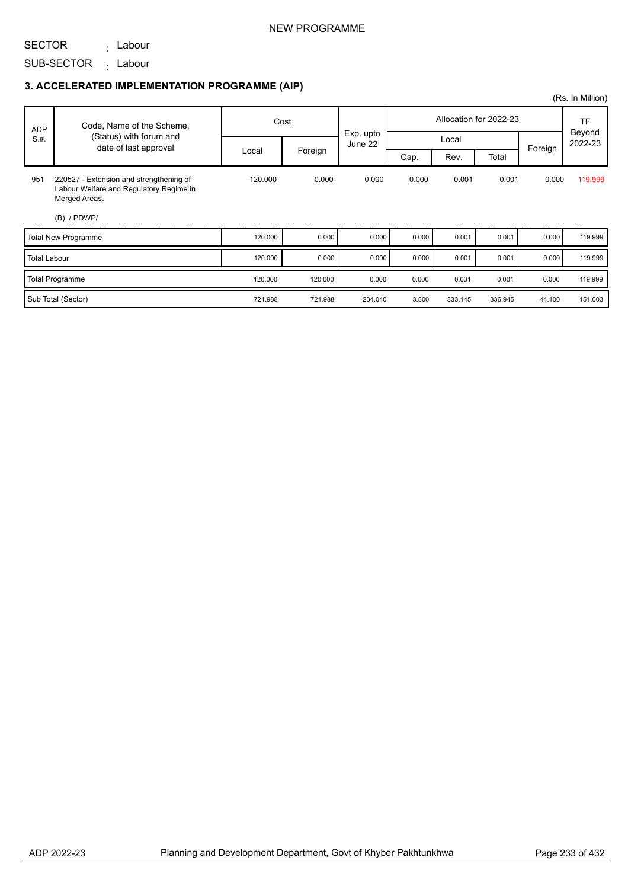### NEW PROGRAMME

SECTOR <sub>:</sub> Labour

SUB-SECTOR <sub>:</sub> Labour

|                     |                                                                                                     |         |         |         |           |         |                        |        | (Rs. In Million) |                   |
|---------------------|-----------------------------------------------------------------------------------------------------|---------|---------|---------|-----------|---------|------------------------|--------|------------------|-------------------|
| <b>ADP</b>          | Code, Name of the Scheme,                                                                           | Cost    |         |         |           |         | Allocation for 2022-23 |        | TF               |                   |
| S.H.                | (Status) with forum and<br>date of last approval                                                    |         |         | June 22 | Exp. upto |         | Local                  |        | Foreign          | Beyond<br>2022-23 |
|                     |                                                                                                     | Local   | Foreign |         | Cap.      | Rev.    | Total                  |        |                  |                   |
| 951                 | 220527 - Extension and strengthening of<br>Labour Welfare and Regulatory Regime in<br>Merged Areas. | 120.000 | 0.000   | 0.000   | 0.000     | 0.001   | 0.001                  | 0.000  | 119.999          |                   |
|                     | $(B)$ / PDWP/                                                                                       |         |         |         |           |         |                        |        |                  |                   |
|                     | <b>Total New Programme</b>                                                                          | 120.000 | 0.000   | 0.000   | 0.000     | 0.001   | 0.001                  | 0.000  | 119.999          |                   |
| <b>Total Labour</b> |                                                                                                     | 120.000 | 0.000   | 0.000   | 0.000     | 0.001   | 0.001                  | 0.000  | 119.999          |                   |
|                     | <b>Total Programme</b>                                                                              | 120.000 | 120.000 | 0.000   | 0.000     | 0.001   | 0.001                  | 0.000  | 119.999          |                   |
|                     | Sub Total (Sector)                                                                                  | 721.988 | 721.988 | 234.040 | 3.800     | 333.145 | 336.945                | 44.100 | 151.003          |                   |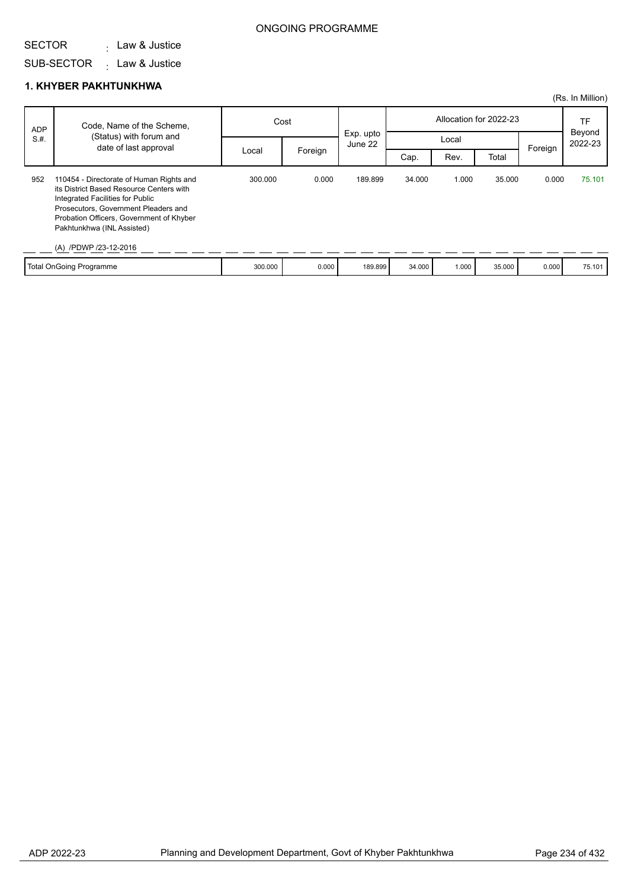#### SECTOR . Law & Justice

### ONGOING PROGRAMME

## SUB-SECTOR Law & Justice :

#### **1. KHYBER PAKHTUNKHWA**

|            |                                                                                                                                                                                                                                                                     |         |         |                      |        |       |                        |         | (Rs. In Million)  |
|------------|---------------------------------------------------------------------------------------------------------------------------------------------------------------------------------------------------------------------------------------------------------------------|---------|---------|----------------------|--------|-------|------------------------|---------|-------------------|
| <b>ADP</b> | Code, Name of the Scheme,                                                                                                                                                                                                                                           | Cost    |         |                      |        |       | Allocation for 2022-23 |         | TF                |
| S.H.       | (Status) with forum and<br>date of last approval                                                                                                                                                                                                                    |         |         | Exp. upto<br>June 22 |        | Local |                        |         | Beyond<br>2022-23 |
|            |                                                                                                                                                                                                                                                                     | Local   | Foreign |                      | Cap.   | Rev.  | Total                  | Foreign |                   |
| 952        | 110454 - Directorate of Human Rights and<br>its District Based Resource Centers with<br>Integrated Facilities for Public<br>Prosecutors, Government Pleaders and<br>Probation Officers, Government of Khyber<br>Pakhtunkhwa (INL Assisted)<br>(A) /PDWP /23-12-2016 | 300.000 | 0.000   | 189.899              | 34.000 | 1.000 | 35,000                 | 0.000   | 75.101            |
|            | Total OnGoing Programme                                                                                                                                                                                                                                             | 300.000 | 0.000   | 189.899              | 34.000 | 1.000 | 35.000                 | 0.000   | 75.101            |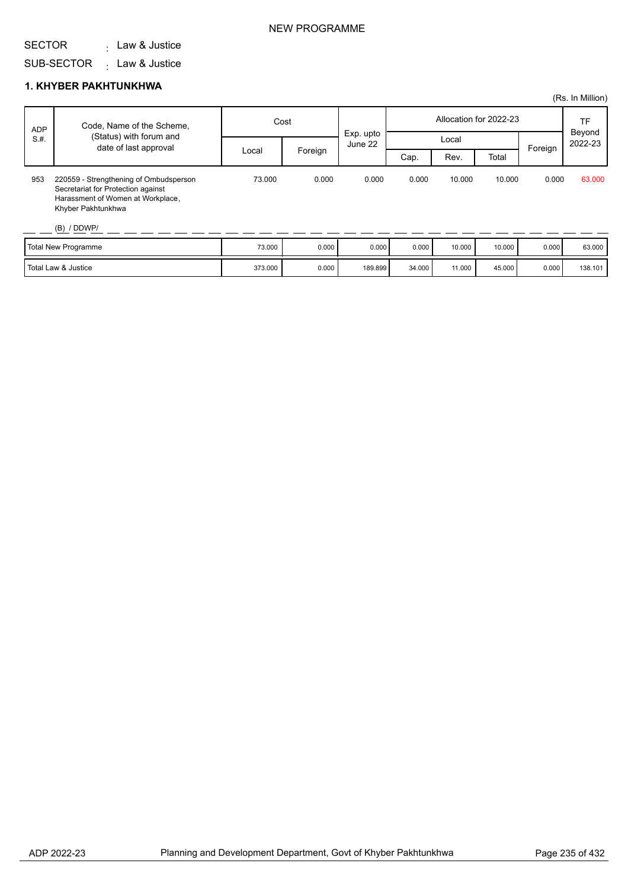#### SECTOR . Law & Justice

SUB-SECTOR Law & Justice :

#### **1. KHYBER PAKHTUNKHWA**

| Allocation for 2022-23<br>Cost<br>Code, Name of the Scheme,<br><b>ADP</b>                                                                                                                                              |         | TF<br>Beyond<br>2022-23 |
|------------------------------------------------------------------------------------------------------------------------------------------------------------------------------------------------------------------------|---------|-------------------------|
| Exp. upto<br>(Status) with forum and<br>S.H.<br>Local<br>June 22<br>date of last approval                                                                                                                              |         |                         |
| Foreign<br>Local<br>Rev.<br>Total<br>Cap.                                                                                                                                                                              | Foreign |                         |
| 953<br>73,000<br>0.000<br>0.000<br>10.000<br>10.000<br>220559 - Strengthening of Ombudsperson<br>0.000<br>Secretariat for Protection against<br>Harassment of Women at Workplace,<br>Khyber Pakhtunkhwa<br>(B) / DDWP/ | 0.000   | 63.000                  |
| <b>Total New Programme</b><br>73.000<br>0.000<br>0.000<br>0.000<br>10.000<br>10.000                                                                                                                                    | 0.000   | 63.000                  |

| <b>Total New Programme</b>     | 73.000  | 0.000 | 0.000   | 0.000  | 10.000 | 10.000 | 0.000 | 63.000  |
|--------------------------------|---------|-------|---------|--------|--------|--------|-------|---------|
| <b>Total Law &amp; Justice</b> | 373.000 | 0.000 | 189.899 | 34.000 | 11.000 | 45.000 | 0.000 | 138.101 |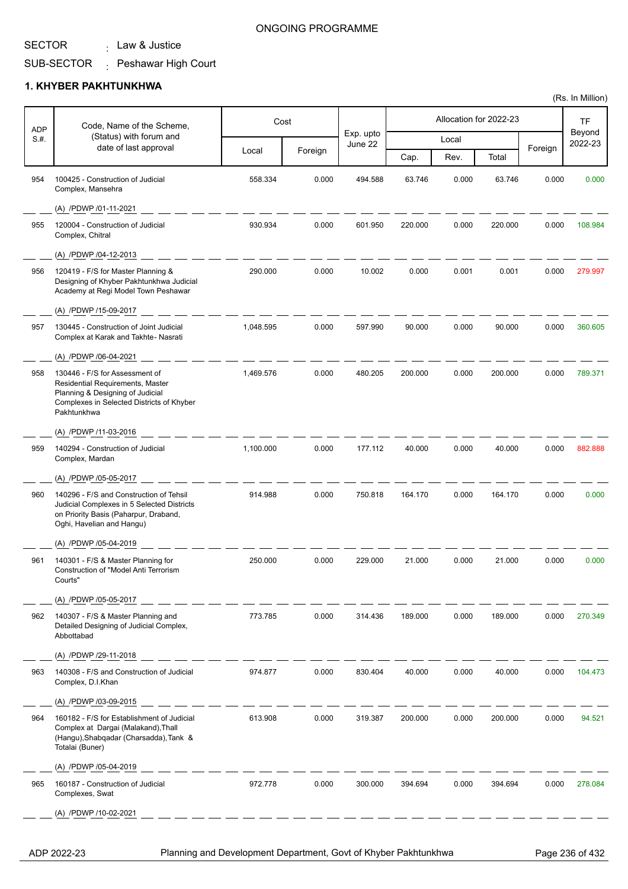. Law & Justice

### ONGOING PROGRAMME

#### SUB-SECTOR : Peshawar High Court

#### **1. KHYBER PAKHTUNKHWA**

| <b>ADP</b> | Code, Name of the Scheme,                                                                                                                                          |           | Cost    |                      |         |       | Allocation for 2022-23 |         | TF                |
|------------|--------------------------------------------------------------------------------------------------------------------------------------------------------------------|-----------|---------|----------------------|---------|-------|------------------------|---------|-------------------|
| S.#.       | (Status) with forum and<br>date of last approval                                                                                                                   |           |         | Exp. upto<br>June 22 |         | Local |                        |         | Beyond<br>2022-23 |
|            |                                                                                                                                                                    | Local     | Foreign |                      | Cap.    | Rev.  | Total                  | Foreign |                   |
| 954        | 100425 - Construction of Judicial<br>Complex, Mansehra                                                                                                             | 558.334   | 0.000   | 494.588              | 63.746  | 0.000 | 63.746                 | 0.000   | 0.000             |
|            | (A) /PDWP /01-11-2021                                                                                                                                              |           |         |                      |         |       |                        |         |                   |
| 955        | 120004 - Construction of Judicial<br>Complex, Chitral                                                                                                              | 930.934   | 0.000   | 601.950              | 220.000 | 0.000 | 220.000                | 0.000   | 108.984           |
|            | (A) /PDWP /04-12-2013                                                                                                                                              |           |         |                      |         |       |                        |         |                   |
| 956        | 120419 - F/S for Master Planning &<br>Designing of Khyber Pakhtunkhwa Judicial<br>Academy at Regi Model Town Peshawar                                              | 290.000   | 0.000   | 10.002               | 0.000   | 0.001 | 0.001                  | 0.000   | 279.997           |
|            | (A) /PDWP /15-09-2017                                                                                                                                              |           |         |                      |         |       |                        |         |                   |
| 957        | 130445 - Construction of Joint Judicial<br>Complex at Karak and Takhte-Nasrati                                                                                     | 1,048.595 | 0.000   | 597.990              | 90.000  | 0.000 | 90.000                 | 0.000   | 360.605           |
|            | (A) /PDWP /06-04-2021                                                                                                                                              |           |         |                      |         |       |                        |         |                   |
| 958        | 130446 - F/S for Assessment of<br>Residential Requirements, Master<br>Planning & Designing of Judicial<br>Complexes in Selected Districts of Khyber<br>Pakhtunkhwa | 1,469.576 | 0.000   | 480.205              | 200.000 | 0.000 | 200.000                | 0.000   | 789.371           |
|            | (A) /PDWP /11-03-2016                                                                                                                                              |           |         |                      |         |       |                        |         |                   |
| 959        | 140294 - Construction of Judicial<br>Complex, Mardan                                                                                                               | 1,100.000 | 0.000   | 177.112              | 40.000  | 0.000 | 40.000                 | 0.000   | 882.888           |
|            | (A) /PDWP /05-05-2017                                                                                                                                              |           |         |                      |         |       |                        |         |                   |
| 960        | 140296 - F/S and Construction of Tehsil<br>Judicial Complexes in 5 Selected Districts<br>on Priority Basis (Paharpur, Draband,<br>Oghi, Havelian and Hangu)        | 914.988   | 0.000   | 750.818              | 164.170 | 0.000 | 164.170                | 0.000   | 0.000             |
|            | (A) /PDWP /05-04-2019                                                                                                                                              |           |         |                      |         |       |                        |         |                   |
| 961        | 140301 - F/S & Master Planning for<br>Construction of "Model Anti Terrorism<br>Courts"                                                                             | 250.000   | 0.000   | 229.000              | 21.000  | 0.000 | 21.000                 | 0.000   | 0.000             |
|            | (A) /PDWP /05-05-2017                                                                                                                                              |           |         |                      |         |       |                        |         |                   |
| 962        | 140307 - F/S & Master Planning and<br>Detailed Designing of Judicial Complex,<br>Abbottabad                                                                        | 773.785   | 0.000   | 314.436              | 189.000 | 0.000 | 189.000                | 0.000   | 270.349           |
|            | (A) /PDWP /29-11-2018                                                                                                                                              |           |         |                      |         |       |                        |         |                   |
| 963        | 140308 - F/S and Construction of Judicial<br>Complex, D.I.Khan                                                                                                     | 974.877   | 0.000   | 830.404              | 40.000  | 0.000 | 40.000                 | 0.000   | 104.473           |
|            | (A) /PDWP /03-09-2015                                                                                                                                              |           |         |                      |         |       |                        |         |                   |
| 964        | 160182 - F/S for Establishment of Judicial<br>Complex at Dargai (Malakand), Thall<br>(Hangu), Shabqadar (Charsadda), Tank &<br>Totalai (Buner)                     | 613.908   | 0.000   | 319.387              | 200.000 | 0.000 | 200.000                | 0.000   | 94.521            |
|            | (A) /PDWP /05-04-2019                                                                                                                                              |           |         |                      |         |       |                        |         |                   |
| 965        | 160187 - Construction of Judicial<br>Complexes, Swat                                                                                                               | 972.778   | 0.000   | 300.000              | 394.694 | 0.000 | 394.694                | 0.000   | 278.084           |
|            | (A) /PDWP /10-02-2021                                                                                                                                              |           |         |                      |         |       |                        |         |                   |

ADP 2022-23 Planning and Development Department, Govt of Khyber Pakhtunkhwa Page 236 of 432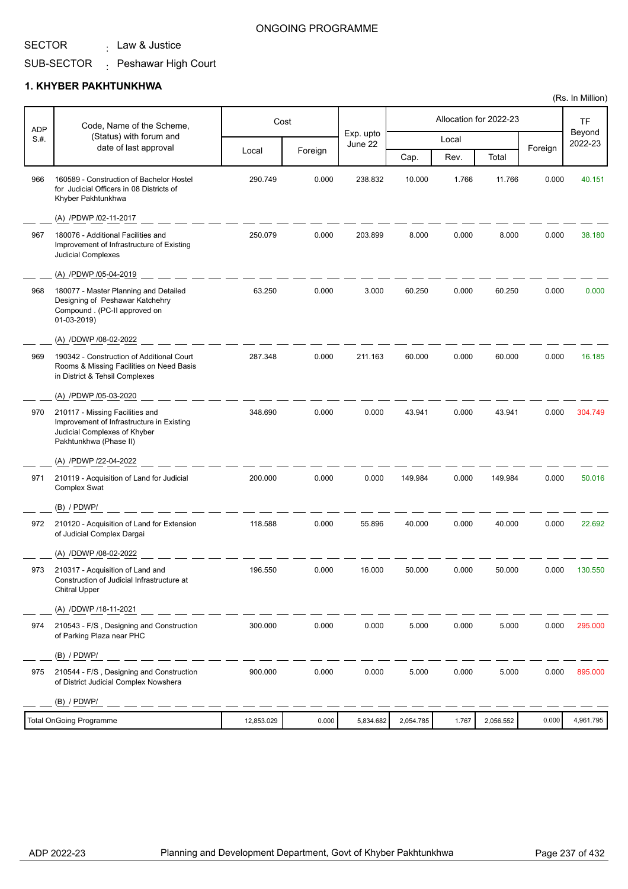. Law & Justice

### ONGOING PROGRAMME

#### SUB-SECTOR : Peshawar High Court

#### **1. KHYBER PAKHTUNKHWA**

| <b>ADP</b> | Code, Name of the Scheme,                                                                                                              |            | Cost    |                      |           |       | Allocation for 2022-23 |         | <b>TF</b>         |
|------------|----------------------------------------------------------------------------------------------------------------------------------------|------------|---------|----------------------|-----------|-------|------------------------|---------|-------------------|
| S.H.       | (Status) with forum and                                                                                                                |            |         | Exp. upto<br>June 22 |           | Local |                        |         | Beyond<br>2022-23 |
|            | date of last approval                                                                                                                  | Local      | Foreign |                      | Cap.      | Rev.  | Total                  | Foreign |                   |
| 966        | 160589 - Construction of Bachelor Hostel<br>for Judicial Officers in 08 Districts of<br>Khyber Pakhtunkhwa                             | 290.749    | 0.000   | 238.832              | 10.000    | 1.766 | 11.766                 | 0.000   | 40.151            |
|            | (A) /PDWP /02-11-2017                                                                                                                  |            |         |                      |           |       |                        |         |                   |
| 967        | 180076 - Additional Facilities and<br>Improvement of Infrastructure of Existing<br>Judicial Complexes                                  | 250.079    | 0.000   | 203.899              | 8.000     | 0.000 | 8.000                  | 0.000   | 38.180            |
|            | (A) /PDWP /05-04-2019                                                                                                                  |            |         |                      |           |       |                        |         |                   |
| 968        | 180077 - Master Planning and Detailed<br>Designing of Peshawar Katchehry<br>Compound . (PC-II approved on<br>01-03-2019)               | 63.250     | 0.000   | 3.000                | 60.250    | 0.000 | 60.250                 | 0.000   | 0.000             |
|            | (A) /DDWP /08-02-2022                                                                                                                  |            |         |                      |           |       |                        |         |                   |
| 969        | 190342 - Construction of Additional Court<br>Rooms & Missing Facilities on Need Basis<br>in District & Tehsil Complexes                | 287.348    | 0.000   | 211.163              | 60.000    | 0.000 | 60.000                 | 0.000   | 16.185            |
|            | (A) /PDWP /05-03-2020                                                                                                                  |            |         |                      |           |       |                        |         |                   |
| 970        | 210117 - Missing Facilities and<br>Improvement of Infrastructure in Existing<br>Judicial Complexes of Khyber<br>Pakhtunkhwa (Phase II) | 348.690    | 0.000   | 0.000                | 43.941    | 0.000 | 43.941                 | 0.000   | 304.749           |
|            | (A) /PDWP /22-04-2022                                                                                                                  |            |         |                      |           |       |                        |         |                   |
| 971        | 210119 - Acquisition of Land for Judicial<br><b>Complex Swat</b>                                                                       | 200.000    | 0.000   | 0.000                | 149.984   | 0.000 | 149.984                | 0.000   | 50.016            |
|            | $(B)$ / PDWP/                                                                                                                          |            |         |                      |           |       |                        |         |                   |
| 972        | 210120 - Acquisition of Land for Extension<br>of Judicial Complex Dargai                                                               | 118.588    | 0.000   | 55.896               | 40.000    | 0.000 | 40.000                 | 0.000   | 22.692            |
|            | (A) /DDWP /08-02-2022                                                                                                                  |            |         |                      |           |       |                        |         |                   |
| 973        | 210317 - Acquisition of Land and<br>Construction of Judicial Infrastructure at<br><b>Chitral Upper</b>                                 | 196.550    | 0.000   | 16.000               | 50.000    | 0.000 | 50.000                 | 0.000   | 130.550           |
|            | (A) /DDWP /18-11-2021                                                                                                                  |            |         |                      |           |       |                        |         |                   |
| 974        | 210543 - F/S, Designing and Construction<br>of Parking Plaza near PHC                                                                  | 300.000    | 0.000   | 0.000                | 5.000     | 0.000 | 5.000                  | 0.000   | 295.000           |
|            | $(B)$ / PDWP/                                                                                                                          |            |         |                      |           |       |                        |         |                   |
| 975        | 210544 - F/S, Designing and Construction<br>of District Judicial Complex Nowshera                                                      | 900.000    | 0.000   | 0.000                | 5.000     | 0.000 | 5.000                  | 0.000   | 895.000           |
|            | (B) / PDWP/                                                                                                                            |            |         |                      |           |       |                        |         |                   |
|            | <b>Total OnGoing Programme</b>                                                                                                         | 12,853.029 | 0.000   | 5,834.682            | 2,054.785 | 1.767 | 2,056.552              | 0.000   | 4,961.795         |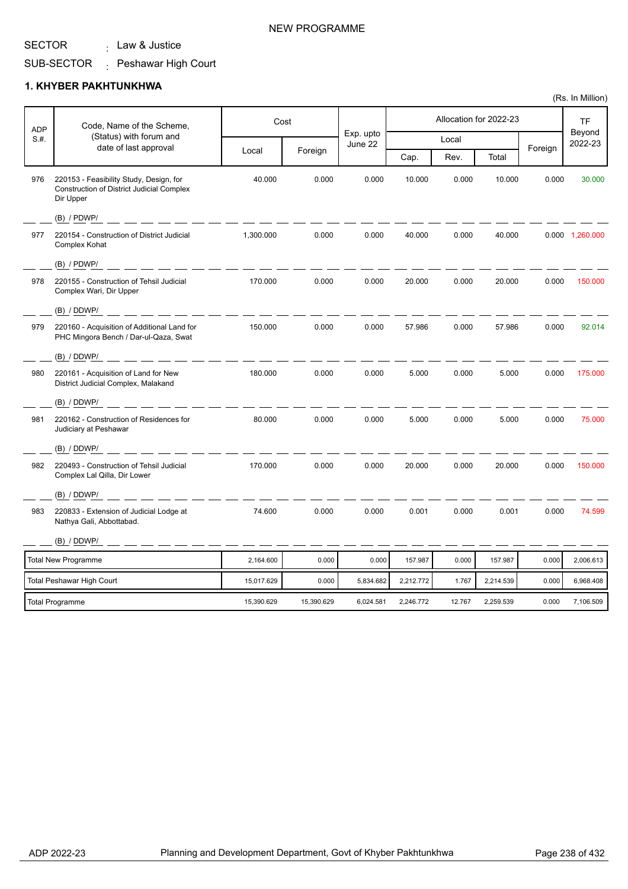. Law & Justice

#### SUB-SECTOR : Peshawar High Court

#### **1. KHYBER PAKHTUNKHWA**

| <b>ADP</b> | Code, Name of the Scheme,                                                                                |            | Cost       |                      | Allocation for 2022-23 |        |           |         | <b>TF</b>         |
|------------|----------------------------------------------------------------------------------------------------------|------------|------------|----------------------|------------------------|--------|-----------|---------|-------------------|
| S.H.       | (Status) with forum and<br>date of last approval                                                         |            |            | Exp. upto<br>June 22 |                        | Local  |           |         | Beyond<br>2022-23 |
|            |                                                                                                          | Local      | Foreign    |                      | Cap.                   | Rev.   | Total     | Foreign |                   |
| 976        | 220153 - Feasibility Study, Design, for<br><b>Construction of District Judicial Complex</b><br>Dir Upper | 40.000     | 0.000      | 0.000                | 10.000                 | 0.000  | 10.000    | 0.000   | 30.000            |
|            | $(B)$ / PDWP/                                                                                            |            |            |                      |                        |        |           |         |                   |
| 977        | 220154 - Construction of District Judicial<br>Complex Kohat                                              | 1,300.000  | 0.000      | 0.000                | 40.000                 | 0.000  | 40.000    |         | 0.000 1,260.000   |
|            | (B) / PDWP/                                                                                              |            |            |                      |                        |        |           |         |                   |
| 978        | 220155 - Construction of Tehsil Judicial<br>Complex Wari, Dir Upper                                      | 170.000    | 0.000      | 0.000                | 20.000                 | 0.000  | 20.000    | 0.000   | 150.000           |
|            | $(B)$ / DDWP/                                                                                            |            |            |                      |                        |        |           |         |                   |
| 979        | 220160 - Acquisition of Additional Land for<br>PHC Mingora Bench / Dar-ul-Qaza, Swat                     | 150.000    | 0.000      | 0.000                | 57.986                 | 0.000  | 57.986    | 0.000   | 92.014            |
|            | (B) / DDWP/                                                                                              |            |            |                      |                        |        |           |         |                   |
| 980        | 220161 - Acquisition of Land for New<br>District Judicial Complex, Malakand                              | 180.000    | 0.000      | 0.000                | 5.000                  | 0.000  | 5.000     | 0.000   | 175.000           |
|            | (B) / DDWP/                                                                                              |            |            |                      |                        |        |           |         |                   |
| 981        | 220162 - Construction of Residences for<br>Judiciary at Peshawar                                         | 80.000     | 0.000      | 0.000                | 5.000                  | 0.000  | 5.000     | 0.000   | 75.000            |
|            | (B) / DDWP/                                                                                              |            |            |                      |                        |        |           |         |                   |
| 982        | 220493 - Construction of Tehsil Judicial<br>Complex Lal Qilla, Dir Lower                                 | 170.000    | 0.000      | 0.000                | 20.000                 | 0.000  | 20.000    | 0.000   | 150.000           |
|            | (B) / DDWP/                                                                                              |            |            |                      |                        |        |           |         |                   |
| 983        | 220833 - Extension of Judicial Lodge at<br>Nathya Gali, Abbottabad.                                      | 74.600     | 0.000      | 0.000                | 0.001                  | 0.000  | 0.001     | 0.000   | 74.599            |
|            | (B) / DDWP/                                                                                              |            |            |                      |                        |        |           |         |                   |
|            | <b>Total New Programme</b>                                                                               | 2,164.600  | 0.000      | 0.000                | 157.987                | 0.000  | 157.987   | 0.000   | 2,006.613         |
|            | <b>Total Peshawar High Court</b>                                                                         | 15,017.629 | 0.000      | 5,834.682            | 2,212.772              | 1.767  | 2,214.539 | 0.000   | 6,968.408         |
|            | <b>Total Programme</b>                                                                                   | 15,390.629 | 15,390.629 | 6,024.581            | 2,246.772              | 12.767 | 2,259.539 | 0.000   | 7,106.509         |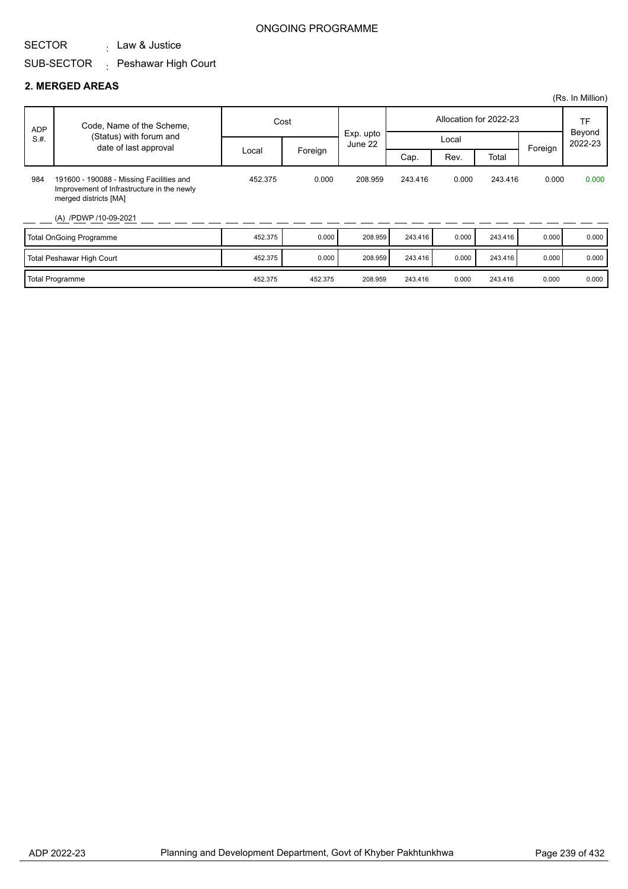. Law & Justice

#### SUB-SECTOR : Peshawar High Court

#### **2. MERGED AREAS**

|            |                                                                                                                                          |         |         |                      |         |                        |         |           | (Rs. In Million)  |
|------------|------------------------------------------------------------------------------------------------------------------------------------------|---------|---------|----------------------|---------|------------------------|---------|-----------|-------------------|
| <b>ADP</b> | Code, Name of the Scheme,                                                                                                                | Cost    |         |                      |         | Allocation for 2022-23 |         | <b>TF</b> |                   |
| S.H.       | (Status) with forum and<br>date of last approval                                                                                         |         |         | Exp. upto<br>June 22 | Local   |                        |         | Foreign   | Beyond<br>2022-23 |
|            |                                                                                                                                          | Local   | Foreign |                      | Cap.    | Rev.                   | Total   |           |                   |
| 984        | 191600 - 190088 - Missing Facilities and<br>Improvement of Infrastructure in the newly<br>merged districts [MA]<br>(A) /PDWP /10-09-2021 | 452.375 | 0.000   | 208.959              | 243.416 | 0.000                  | 243.416 | 0.000     | 0.000             |
|            | <b>Total OnGoing Programme</b>                                                                                                           | 452.375 | 0.000   | 208.959              | 243.416 | 0.000                  | 243.416 | 0.000     | 0.000             |
|            | <b>Total Peshawar High Court</b>                                                                                                         | 452.375 | 0.000   | 208.959              | 243.416 | 0.000                  | 243.416 | 0.000     | 0.000             |
|            | <b>Total Programme</b>                                                                                                                   | 452.375 | 452.375 | 208.959              | 243.416 | 0.000                  | 243.416 | 0.000     | 0.000             |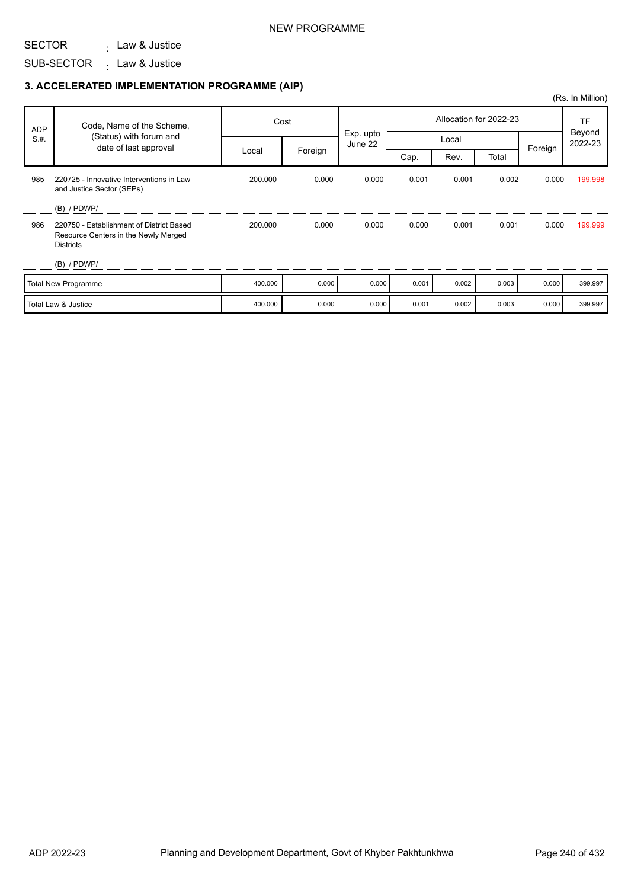### NEW PROGRAMME

#### SECTOR . Law & Justice

SUB-SECTOR Law & Justice :

|            |                                                                                                      |         |         |                      |       |       |                        |         | (Rs. In Million)  |
|------------|------------------------------------------------------------------------------------------------------|---------|---------|----------------------|-------|-------|------------------------|---------|-------------------|
| <b>ADP</b> | Code, Name of the Scheme,                                                                            |         | Cost    |                      |       |       | Allocation for 2022-23 |         | TF                |
| S.H.       | (Status) with forum and<br>date of last approval                                                     |         |         | Exp. upto<br>June 22 |       | Local |                        | Foreign | Beyond<br>2022-23 |
|            |                                                                                                      | Local   | Foreign |                      | Cap.  | Rev.  | Total                  |         |                   |
| 985        | 220725 - Innovative Interventions in Law<br>and Justice Sector (SEPs)                                | 200.000 | 0.000   | 0.000                | 0.001 | 0.001 | 0.002                  | 0.000   | 199.998           |
|            | $(B)$ / PDWP/                                                                                        |         |         |                      |       |       |                        |         |                   |
| 986        | 220750 - Establishment of District Based<br>Resource Centers in the Newly Merged<br><b>Districts</b> | 200.000 | 0.000   | 0.000                | 0.000 | 0.001 | 0.001                  | 0.000   | 199.999           |
|            | $(B)$ / PDWP/                                                                                        |         |         |                      |       |       |                        |         |                   |
|            | <b>Total New Programme</b>                                                                           | 400.000 | 0.000   | 0.000                | 0.001 | 0.002 | 0.003                  | 0.000   | 399.997           |
|            | Total Law & Justice                                                                                  | 400.000 | 0.000   | 0.000                | 0.001 | 0.002 | 0.003                  | 0.000   | 399.997           |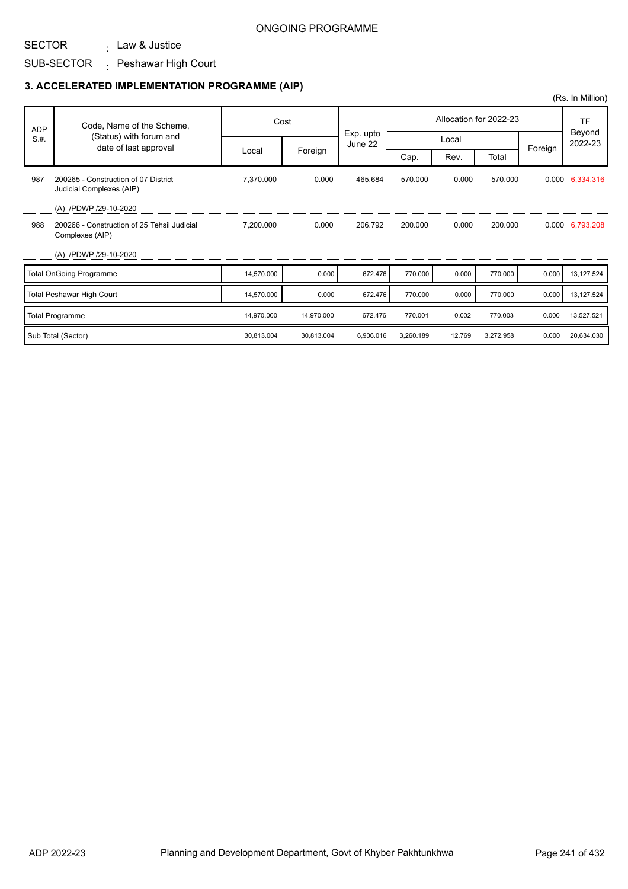SUB-SECTOR <sub>:</sub> Peshawar High Court

. Law & Justice

|            |                                                                  |            |            |                      |           |        |                        |         | (Rs. In Million)  |
|------------|------------------------------------------------------------------|------------|------------|----------------------|-----------|--------|------------------------|---------|-------------------|
| <b>ADP</b> | Code, Name of the Scheme,                                        |            | Cost       |                      |           |        | Allocation for 2022-23 |         | TF                |
| S.H.       | (Status) with forum and<br>date of last approval                 |            |            | Exp. upto<br>June 22 |           | Local  |                        | Foreign | Beyond<br>2022-23 |
|            |                                                                  | Local      | Foreign    |                      | Cap.      | Rev.   | Total                  |         |                   |
| 987        | 200265 - Construction of 07 District<br>Judicial Complexes (AIP) | 7,370.000  | 0.000      | 465.684              | 570.000   | 0.000  | 570.000                |         | 0.000 6,334.316   |
|            | (A) /PDWP /29-10-2020                                            |            |            |                      |           |        |                        |         |                   |
| 988        | 200266 - Construction of 25 Tehsil Judicial<br>Complexes (AIP)   | 7,200.000  | 0.000      | 206.792              | 200.000   | 0.000  | 200.000                |         | 0.000 6,793.208   |
|            | (A) /PDWP /29-10-2020                                            |            |            |                      |           |        |                        |         |                   |
|            | <b>Total OnGoing Programme</b>                                   | 14,570.000 | 0.000      | 672.476              | 770.000   | 0.000  | 770.000                | 0.000   | 13,127.524        |
|            | Total Peshawar High Court                                        | 14,570.000 | 0.000      | 672.476              | 770.000   | 0.000  | 770.000                | 0.000   | 13,127.524        |
|            | <b>Total Programme</b>                                           | 14,970.000 | 14,970.000 | 672.476              | 770.001   | 0.002  | 770.003                | 0.000   | 13,527.521        |
|            | Sub Total (Sector)                                               | 30,813.004 | 30,813.004 | 6,906.016            | 3,260.189 | 12.769 | 3,272.958              | 0.000   | 20,634.030        |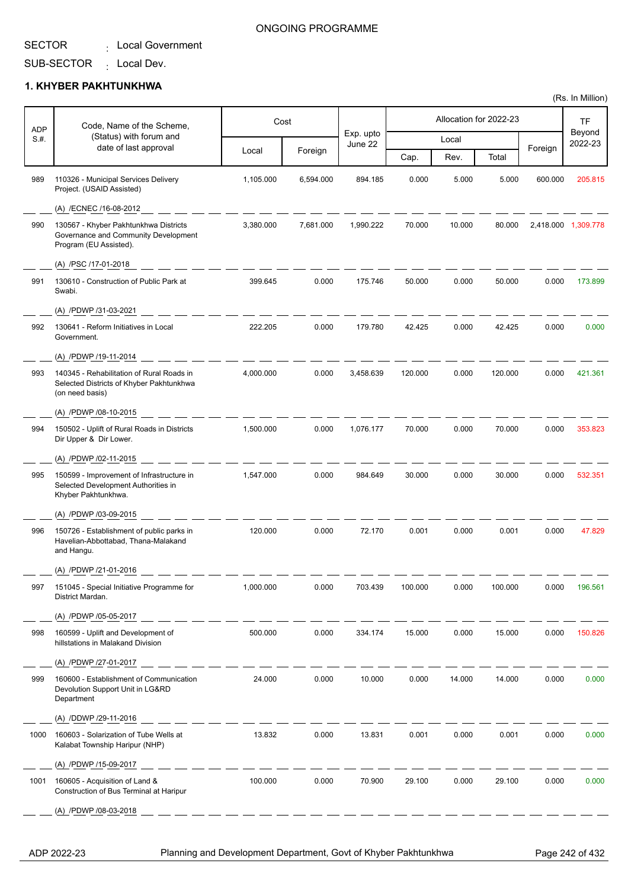### ONGOING PROGRAMME

## SUB-SECTOR <sub>:</sub> Local Dev.

### **1. KHYBER PAKHTUNKHWA**

|                    | Code, Name of the Scheme,                                                                                |           | Cost      |                      |         |        | Allocation for 2022-23 |         | TF                  |
|--------------------|----------------------------------------------------------------------------------------------------------|-----------|-----------|----------------------|---------|--------|------------------------|---------|---------------------|
| <b>ADP</b><br>S.#. | (Status) with forum and                                                                                  |           |           | Exp. upto<br>June 22 |         | Local  |                        |         | Beyond<br>2022-23   |
|                    | date of last approval                                                                                    | Local     | Foreign   |                      | Cap.    | Rev.   | Total                  | Foreign |                     |
| 989                | 110326 - Municipal Services Delivery<br>Project. (USAID Assisted)                                        | 1,105.000 | 6,594.000 | 894.185              | 0.000   | 5.000  | 5.000                  | 600.000 | 205.815             |
|                    | (A) /ECNEC /16-08-2012                                                                                   |           |           |                      |         |        |                        |         |                     |
| 990                | 130567 - Khyber Pakhtunkhwa Districts<br>Governance and Community Development<br>Program (EU Assisted).  | 3,380.000 | 7,681.000 | 1,990.222            | 70.000  | 10.000 | 80.000                 |         | 2,418.000 1,309.778 |
|                    | (A) /PSC /17-01-2018                                                                                     |           |           |                      |         |        |                        |         |                     |
| 991                | 130610 - Construction of Public Park at<br>Swabi.                                                        | 399.645   | 0.000     | 175.746              | 50.000  | 0.000  | 50.000                 | 0.000   | 173.899             |
|                    | (A) /PDWP /31-03-2021                                                                                    |           |           |                      |         |        |                        |         |                     |
| 992                | 130641 - Reform Initiatives in Local<br>Government.                                                      | 222.205   | 0.000     | 179.780              | 42.425  | 0.000  | 42.425                 | 0.000   | 0.000               |
|                    | (A) /PDWP /19-11-2014                                                                                    |           |           |                      |         |        |                        |         |                     |
| 993                | 140345 - Rehabilitation of Rural Roads in<br>Selected Districts of Khyber Pakhtunkhwa<br>(on need basis) | 4,000.000 | 0.000     | 3,458.639            | 120.000 | 0.000  | 120.000                | 0.000   | 421.361             |
|                    | (A) /PDWP /08-10-2015                                                                                    |           |           |                      |         |        |                        |         |                     |
| 994                | 150502 - Uplift of Rural Roads in Districts<br>Dir Upper & Dir Lower.                                    | 1,500.000 | 0.000     | 1,076.177            | 70.000  | 0.000  | 70.000                 | 0.000   | 353.823             |
|                    | (A) /PDWP /02-11-2015                                                                                    |           |           |                      |         |        |                        |         |                     |
| 995                | 150599 - Improvement of Infrastructure in<br>Selected Development Authorities in<br>Khyber Pakhtunkhwa.  | 1,547.000 | 0.000     | 984.649              | 30.000  | 0.000  | 30.000                 | 0.000   | 532.351             |
|                    | (A) /PDWP /03-09-2015                                                                                    |           |           |                      |         |        |                        |         |                     |
| 996                | 150726 - Establishment of public parks in<br>Havelian-Abbottabad, Thana-Malakand<br>and Hangu.           | 120.000   | 0.000     | 72.170               | 0.001   | 0.000  | 0.001                  | 0.000   | 47.829              |
|                    | (A) /PDWP /21-01-2016                                                                                    |           |           |                      |         |        |                        |         |                     |
| 997                | 151045 - Special Initiative Programme for<br>District Mardan.                                            | 1,000.000 | 0.000     | 703.439              | 100.000 | 0.000  | 100.000                | 0.000   | 196.561             |
|                    | (A) /PDWP /05-05-2017                                                                                    |           |           |                      |         |        |                        |         |                     |
| 998                | 160599 - Uplift and Development of<br>hillstations in Malakand Division                                  | 500.000   | 0.000     | 334.174              | 15.000  | 0.000  | 15.000                 | 0.000   | 150.826             |
|                    | (A) /PDWP /27-01-2017                                                                                    |           |           |                      |         |        |                        |         |                     |
| 999                | 160600 - Establishment of Communication<br>Devolution Support Unit in LG&RD<br>Department                | 24.000    | 0.000     | 10.000               | 0.000   | 14.000 | 14.000                 | 0.000   | 0.000               |
|                    | (A) /DDWP /29-11-2016                                                                                    |           |           |                      |         |        |                        |         |                     |
| 1000               | 160603 - Solarization of Tube Wells at<br>Kalabat Township Haripur (NHP)                                 | 13.832    | 0.000     | 13.831               | 0.001   | 0.000  | 0.001                  | 0.000   | 0.000               |
|                    | (A) /PDWP /15-09-2017                                                                                    |           |           |                      |         |        |                        |         |                     |
| 1001               | 160605 - Acquisition of Land &<br>Construction of Bus Terminal at Haripur                                | 100.000   | 0.000     | 70.900               | 29.100  | 0.000  | 29.100                 | 0.000   | 0.000               |
|                    | (A) /PDWP /08-03-2018                                                                                    |           |           |                      |         |        |                        |         |                     |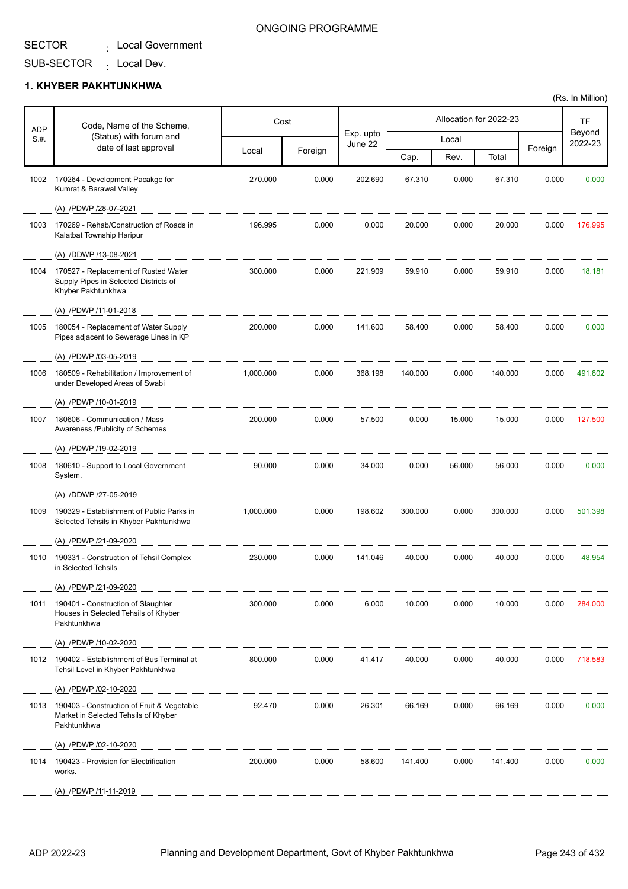SUB-SECTOR : Local Dev.

## **1. KHYBER PAKHTUNKHWA**

|             | Cost<br>Code, Name of the Scheme,                                                                   |           | Allocation for 2022-23 |                      |         |        | <b>TF</b> |         |                   |
|-------------|-----------------------------------------------------------------------------------------------------|-----------|------------------------|----------------------|---------|--------|-----------|---------|-------------------|
| ADP<br>S.H. | (Status) with forum and                                                                             |           |                        | Exp. upto<br>June 22 |         | Local  |           |         | Beyond<br>2022-23 |
|             | date of last approval                                                                               | Local     | Foreign                |                      | Cap.    | Rev.   | Total     | Foreign |                   |
| 1002        | 170264 - Development Pacakge for<br>Kumrat & Barawal Valley                                         | 270.000   | 0.000                  | 202.690              | 67.310  | 0.000  | 67.310    | 0.000   | 0.000             |
|             | (A) /PDWP /28-07-2021                                                                               |           |                        |                      |         |        |           |         |                   |
| 1003        | 170269 - Rehab/Construction of Roads in<br>Kalatbat Township Haripur                                | 196.995   | 0.000                  | 0.000                | 20.000  | 0.000  | 20.000    | 0.000   | 176.995           |
|             | (A) /DDWP /13-08-2021                                                                               |           |                        |                      |         |        |           |         |                   |
| 1004        | 170527 - Replacement of Rusted Water<br>Supply Pipes in Selected Districts of<br>Khyber Pakhtunkhwa | 300.000   | 0.000                  | 221.909              | 59.910  | 0.000  | 59.910    | 0.000   | 18.181            |
|             | (A) /PDWP /11-01-2018                                                                               |           |                        |                      |         |        |           |         |                   |
| 1005        | 180054 - Replacement of Water Supply<br>Pipes adjacent to Sewerage Lines in KP                      | 200.000   | 0.000                  | 141.600              | 58.400  | 0.000  | 58.400    | 0.000   | 0.000             |
|             | (A) /PDWP /03-05-2019                                                                               |           |                        |                      |         |        |           |         |                   |
| 1006        | 180509 - Rehabilitation / Improvement of<br>under Developed Areas of Swabi                          | 1,000.000 | 0.000                  | 368.198              | 140.000 | 0.000  | 140.000   | 0.000   | 491.802           |
|             | (A) /PDWP /10-01-2019                                                                               |           |                        |                      |         |        |           |         |                   |
| 1007        | 180606 - Communication / Mass<br>Awareness /Publicity of Schemes                                    | 200.000   | 0.000                  | 57.500               | 0.000   | 15.000 | 15.000    | 0.000   | 127.500           |
|             | (A) /PDWP /19-02-2019                                                                               |           |                        |                      |         |        |           |         |                   |
| 1008        | 180610 - Support to Local Government<br>System.                                                     | 90.000    | 0.000                  | 34.000               | 0.000   | 56.000 | 56.000    | 0.000   | 0.000             |
|             | (A) /DDWP /27-05-2019                                                                               |           |                        |                      |         |        |           |         |                   |
| 1009        | 190329 - Establishment of Public Parks in<br>Selected Tehsils in Khyber Pakhtunkhwa                 | 1,000.000 | 0.000                  | 198.602              | 300.000 | 0.000  | 300.000   | 0.000   | 501.398           |
|             | (A) /PDWP /21-09-2020                                                                               |           |                        |                      |         |        |           |         |                   |
| 1010        | 190331 - Construction of Tehsil Complex<br>in Selected Tehsils                                      | 230.000   | 0.000                  | 141.046              | 40.000  | 0.000  | 40.000    | 0.000   | 48.954            |
|             | (A) /PDWP /21-09-2020                                                                               |           |                        |                      |         |        |           |         |                   |
| 1011        | 190401 - Construction of Slaughter<br>Houses in Selected Tehsils of Khyber<br>Pakhtunkhwa           | 300.000   | 0.000                  | 6.000                | 10.000  | 0.000  | 10.000    | 0.000   | 284.000           |
|             | (A) /PDWP /10-02-2020                                                                               |           |                        |                      |         |        |           |         |                   |
|             | 1012 190402 - Establishment of Bus Terminal at<br>Tehsil Level in Khyber Pakhtunkhwa                | 800.000   | 0.000                  | 41.417               | 40.000  | 0.000  | 40.000    | 0.000   | 718.583           |
|             | (A) /PDWP /02-10-2020                                                                               |           |                        |                      |         |        |           |         |                   |
| 1013        | 190403 - Construction of Fruit & Vegetable<br>Market in Selected Tehsils of Khyber<br>Pakhtunkhwa   | 92.470    | 0.000                  | 26.301               | 66.169  | 0.000  | 66.169    | 0.000   | 0.000             |
|             | (A) /PDWP /02-10-2020                                                                               |           |                        |                      |         |        |           |         |                   |
| 1014        | 190423 - Provision for Electrification<br>works.                                                    | 200.000   | 0.000                  | 58.600               | 141.400 | 0.000  | 141.400   | 0.000   | 0.000             |
|             | (A) /PDWP /11-11-2019                                                                               |           |                        |                      |         |        |           |         |                   |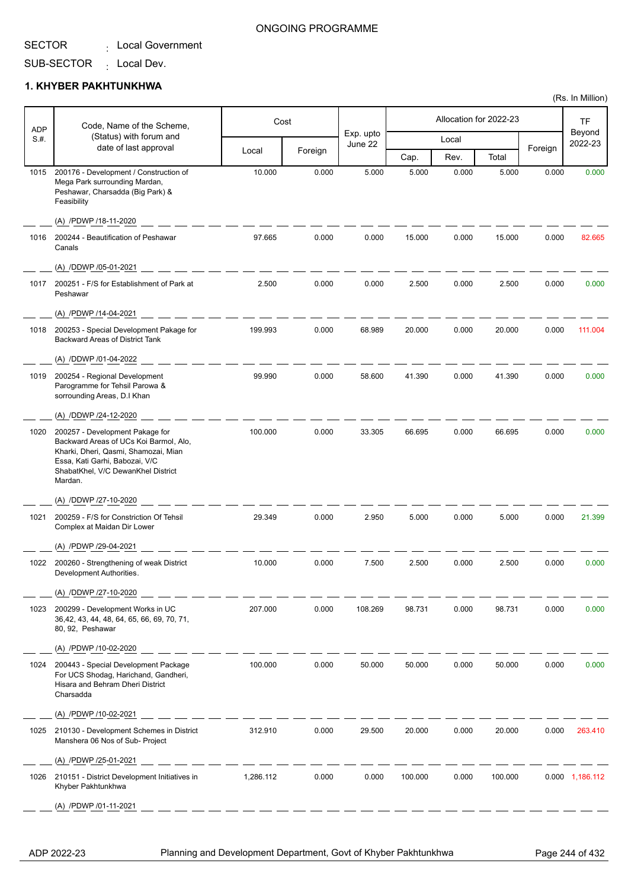SUB-SECTOR

: Local Dev.

#### **1. KHYBER PAKHTUNKHWA**

| ADP  | Code, Name of the Scheme,                                                                                                                                                                            |           | Cost    |                      |         |       | Allocation for 2022-23 |         | <b>TF</b>         |
|------|------------------------------------------------------------------------------------------------------------------------------------------------------------------------------------------------------|-----------|---------|----------------------|---------|-------|------------------------|---------|-------------------|
| S.#. | (Status) with forum and                                                                                                                                                                              |           |         | Exp. upto<br>June 22 |         | Local |                        |         | Beyond<br>2022-23 |
|      | date of last approval                                                                                                                                                                                | Local     | Foreign |                      | Cap.    | Rev.  | Total                  | Foreign |                   |
| 1015 | 200176 - Development / Construction of<br>Mega Park surrounding Mardan,<br>Peshawar, Charsadda (Big Park) &<br>Feasibility                                                                           | 10.000    | 0.000   | 5.000                | 5.000   | 0.000 | 5.000                  | 0.000   | 0.000             |
|      | (A) /PDWP /18-11-2020                                                                                                                                                                                |           |         |                      |         |       |                        |         |                   |
| 1016 | 200244 - Beautification of Peshawar<br>Canals                                                                                                                                                        | 97.665    | 0.000   | 0.000                | 15.000  | 0.000 | 15.000                 | 0.000   | 82.665            |
|      | (A) /DDWP /05-01-2021                                                                                                                                                                                |           |         |                      |         |       |                        |         |                   |
| 1017 | 200251 - F/S for Establishment of Park at<br>Peshawar                                                                                                                                                | 2.500     | 0.000   | 0.000                | 2.500   | 0.000 | 2.500                  | 0.000   | 0.000             |
|      | (A) /PDWP /14-04-2021                                                                                                                                                                                |           |         |                      |         |       |                        |         |                   |
| 1018 | 200253 - Special Development Pakage for<br><b>Backward Areas of District Tank</b>                                                                                                                    | 199.993   | 0.000   | 68.989               | 20.000  | 0.000 | 20.000                 | 0.000   | 111.004           |
|      | (A) /DDWP /01-04-2022                                                                                                                                                                                |           |         |                      |         |       |                        |         |                   |
| 1019 | 200254 - Regional Development<br>Parogramme for Tehsil Parowa &<br>sorrounding Areas, D.I Khan                                                                                                       | 99.990    | 0.000   | 58.600               | 41.390  | 0.000 | 41.390                 | 0.000   | 0.000             |
|      | (A) /DDWP /24-12-2020                                                                                                                                                                                |           |         |                      |         |       |                        |         |                   |
| 1020 | 200257 - Development Pakage for<br>Backward Areas of UCs Koi Barmol, Alo,<br>Kharki, Dheri, Qasmi, Shamozai, Mian<br>Essa, Kati Garhi, Babozai, V/C<br>ShabatKhel, V/C DewanKhel District<br>Mardan. | 100.000   | 0.000   | 33.305               | 66.695  | 0.000 | 66.695                 | 0.000   | 0.000             |
|      | (A) /DDWP /27-10-2020                                                                                                                                                                                |           |         |                      |         |       |                        |         |                   |
| 1021 | 200259 - F/S for Constriction Of Tehsil<br>Complex at Maidan Dir Lower                                                                                                                               | 29.349    | 0.000   | 2.950                | 5.000   | 0.000 | 5.000                  | 0.000   | 21.399            |
|      | (A) /PDWP /29-04-2021                                                                                                                                                                                |           |         |                      |         |       |                        |         |                   |
|      | 1022 200260 - Strengthening of weak District<br>Development Authorities.                                                                                                                             | 10.000    | 0.000   | 7.500                | 2.500   | 0.000 | 2.500                  | 0.000   | 0.000             |
|      | (A) /DDWP /27-10-2020                                                                                                                                                                                |           |         |                      |         |       |                        |         |                   |
| 1023 | 200299 - Development Works in UC<br>36,42, 43, 44, 48, 64, 65, 66, 69, 70, 71,<br>80, 92, Peshawar                                                                                                   | 207.000   | 0.000   | 108.269              | 98.731  | 0.000 | 98.731                 | 0.000   | 0.000             |
|      | (A) /PDWP /10-02-2020                                                                                                                                                                                |           |         |                      |         |       |                        |         |                   |
| 1024 | 200443 - Special Development Package<br>For UCS Shodag, Harichand, Gandheri,<br>Hisara and Behram Dheri District<br>Charsadda                                                                        | 100.000   | 0.000   | 50.000               | 50.000  | 0.000 | 50.000                 | 0.000   | 0.000             |
|      | (A) /PDWP /10-02-2021                                                                                                                                                                                |           |         |                      |         |       |                        |         |                   |
| 1025 | 210130 - Development Schemes in District<br>Manshera 06 Nos of Sub- Project                                                                                                                          | 312.910   | 0.000   | 29.500               | 20.000  | 0.000 | 20.000                 | 0.000   | 263.410           |
|      | (A) /PDWP /25-01-2021                                                                                                                                                                                |           |         |                      |         |       |                        |         |                   |
| 1026 | 210151 - District Development Initiatives in<br>Khyber Pakhtunkhwa                                                                                                                                   | 1,286.112 | 0.000   | 0.000                | 100.000 | 0.000 | 100.000                |         | 0.000 1,186.112   |
|      | (A) /PDWP /01-11-2021                                                                                                                                                                                |           |         |                      |         |       |                        |         |                   |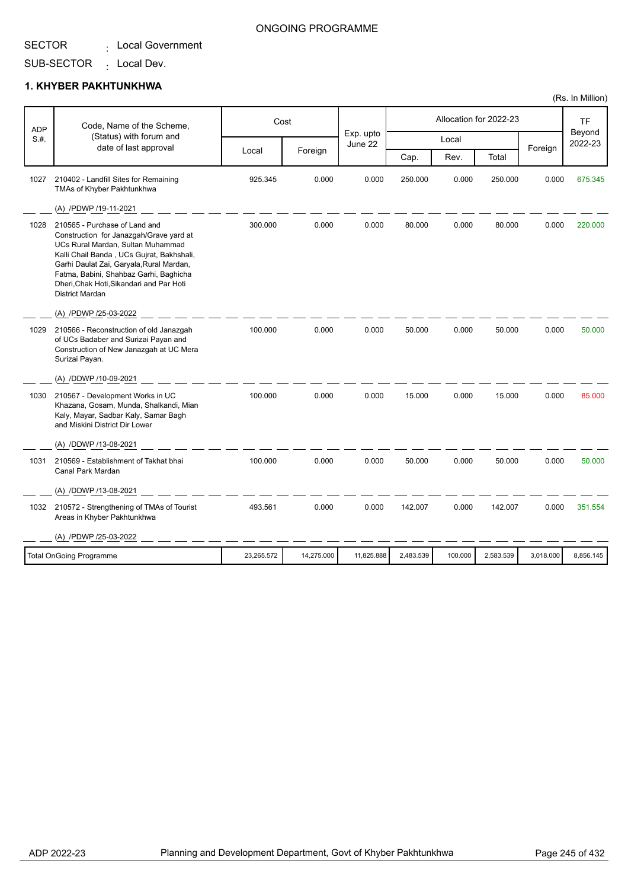## SUB-SECTOR

: Local Dev.

### **1. KHYBER PAKHTUNKHWA**

| <b>ADP</b> | Code, Name of the Scheme,                                                                                                                                                                                                                                                                                              |            | Cost       |                      |           |         | Allocation for 2022-23 |           | TF<br>Beyond |
|------------|------------------------------------------------------------------------------------------------------------------------------------------------------------------------------------------------------------------------------------------------------------------------------------------------------------------------|------------|------------|----------------------|-----------|---------|------------------------|-----------|--------------|
| S.H.       | (Status) with forum and<br>date of last approval                                                                                                                                                                                                                                                                       |            |            | Exp. upto<br>June 22 |           | Local   |                        | Foreign   | 2022-23      |
|            |                                                                                                                                                                                                                                                                                                                        | Local      | Foreign    |                      | Cap.      | Rev.    | Total                  |           |              |
| 1027       | 210402 - Landfill Sites for Remaining<br>TMAs of Khyber Pakhtunkhwa                                                                                                                                                                                                                                                    | 925.345    | 0.000      | 0.000                | 250.000   | 0.000   | 250.000                | 0.000     | 675.345      |
|            | (A) /PDWP /19-11-2021                                                                                                                                                                                                                                                                                                  |            |            |                      |           |         |                        |           |              |
| 1028       | 210565 - Purchase of Land and<br>Construction for Janazgah/Grave yard at<br>UCs Rural Mardan, Sultan Muhammad<br>Kalli Chail Banda, UCs Gujrat, Bakhshali,<br>Garhi Daulat Zai, Garyala, Rural Mardan,<br>Fatma, Babini, Shahbaz Garhi, Baghicha<br>Dheri, Chak Hoti, Sikandari and Par Hoti<br><b>District Mardan</b> | 300.000    | 0.000      | 0.000                | 80.000    | 0.000   | 80.000                 | 0.000     | 220.000      |
|            | (A) /PDWP /25-03-2022                                                                                                                                                                                                                                                                                                  |            |            |                      |           |         |                        |           |              |
| 1029       | 210566 - Reconstruction of old Janazgah<br>of UCs Badaber and Surizai Payan and<br>Construction of New Janazgah at UC Mera<br>Surizai Payan.                                                                                                                                                                           | 100.000    | 0.000      | 0.000                | 50.000    | 0.000   | 50.000                 | 0.000     | 50.000       |
|            | (A) /DDWP /10-09-2021                                                                                                                                                                                                                                                                                                  |            |            |                      |           |         |                        |           |              |
| 1030       | 210567 - Development Works in UC<br>Khazana, Gosam, Munda, Shalkandi, Mian<br>Kaly, Mayar, Sadbar Kaly, Samar Bagh<br>and Miskini District Dir Lower                                                                                                                                                                   | 100.000    | 0.000      | 0.000                | 15.000    | 0.000   | 15.000                 | 0.000     | 85.000       |
|            | (A) /DDWP /13-08-2021                                                                                                                                                                                                                                                                                                  |            |            |                      |           |         |                        |           |              |
| 1031       | 210569 - Establishment of Takhat bhai<br>Canal Park Mardan                                                                                                                                                                                                                                                             | 100.000    | 0.000      | 0.000                | 50.000    | 0.000   | 50.000                 | 0.000     | 50.000       |
|            | (A) /DDWP /13-08-2021                                                                                                                                                                                                                                                                                                  |            |            |                      |           |         |                        |           |              |
| 1032       | 210572 - Strengthening of TMAs of Tourist<br>Areas in Khyber Pakhtunkhwa                                                                                                                                                                                                                                               | 493.561    | 0.000      | 0.000                | 142.007   | 0.000   | 142.007                | 0.000     | 351.554      |
|            | (A) /PDWP /25-03-2022                                                                                                                                                                                                                                                                                                  |            |            |                      |           |         |                        |           |              |
|            | <b>Total OnGoing Programme</b>                                                                                                                                                                                                                                                                                         | 23,265.572 | 14,275.000 | 11,825.888           | 2,483.539 | 100.000 | 2,583.539              | 3,018.000 | 8,856.145    |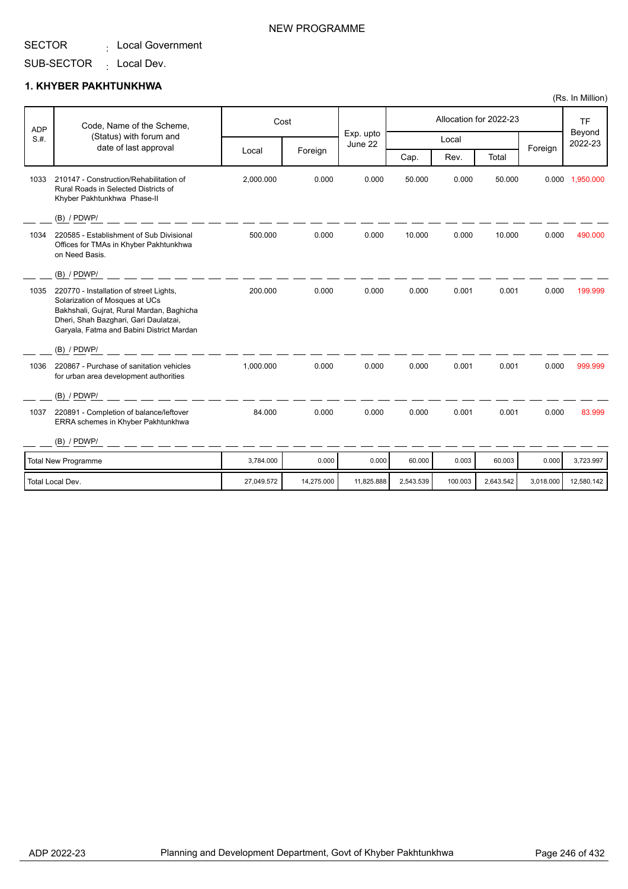SUB-SECTOR <sub>:</sub> Local Dev.

### **1. KHYBER PAKHTUNKHWA**

| <b>ADP</b> | Code, Name of the Scheme,                                                                                                                                                                                    |            | Cost       |                      |           |         | Allocation for 2022-23 |           | <b>TF</b>         |
|------------|--------------------------------------------------------------------------------------------------------------------------------------------------------------------------------------------------------------|------------|------------|----------------------|-----------|---------|------------------------|-----------|-------------------|
| S.H.       | (Status) with forum and<br>date of last approval                                                                                                                                                             |            |            | Exp. upto<br>June 22 |           | Local   |                        |           | Beyond<br>2022-23 |
|            |                                                                                                                                                                                                              | Local      | Foreign    |                      | Cap.      | Rev.    | Total                  | Foreign   |                   |
| 1033       | 210147 - Construction/Rehabilitation of<br>Rural Roads in Selected Districts of<br>Khyber Pakhtunkhwa Phase-II                                                                                               | 2,000.000  | 0.000      | 0.000                | 50.000    | 0.000   | 50.000                 | 0.000     | 1.950.000         |
|            | (B) / PDWP/                                                                                                                                                                                                  |            |            |                      |           |         |                        |           |                   |
| 1034       | 220585 - Establishment of Sub Divisional<br>Offices for TMAs in Khyber Pakhtunkhwa<br>on Need Basis.                                                                                                         | 500.000    | 0.000      | 0.000                | 10.000    | 0.000   | 10.000                 | 0.000     | 490.000           |
|            | (B) / PDWP/                                                                                                                                                                                                  |            |            |                      |           |         |                        |           |                   |
| 1035       | 220770 - Installation of street Lights,<br>Solarization of Mosques at UCs<br>Bakhshali, Gujrat, Rural Mardan, Baghicha<br>Dheri, Shah Bazghari, Gari Daulatzai,<br>Garyala, Fatma and Babini District Mardan | 200.000    | 0.000      | 0.000                | 0.000     | 0.001   | 0.001                  | 0.000     | 199.999           |
|            | (B) / PDWP/                                                                                                                                                                                                  |            |            |                      |           |         |                        |           |                   |
| 1036       | 220867 - Purchase of sanitation vehicles<br>for urban area development authorities                                                                                                                           | 1.000.000  | 0.000      | 0.000                | 0.000     | 0.001   | 0.001                  | 0.000     | 999.999           |
|            | (B) / PDWP/                                                                                                                                                                                                  |            |            |                      |           |         |                        |           |                   |
| 1037       | 220891 - Completion of balance/leftover<br>ERRA schemes in Khyber Pakhtunkhwa                                                                                                                                | 84.000     | 0.000      | 0.000                | 0.000     | 0.001   | 0.001                  | 0.000     | 83.999            |
|            | $(B)$ / PDWP/                                                                                                                                                                                                |            |            |                      |           |         |                        |           |                   |
|            | <b>Total New Programme</b>                                                                                                                                                                                   | 3,784.000  | 0.000      | 0.000                | 60.000    | 0.003   | 60.003                 | 0.000     | 3,723.997         |
|            | Total Local Dev.                                                                                                                                                                                             | 27,049.572 | 14,275.000 | 11,825.888           | 2,543.539 | 100.003 | 2,643.542              | 3,018.000 | 12,580.142        |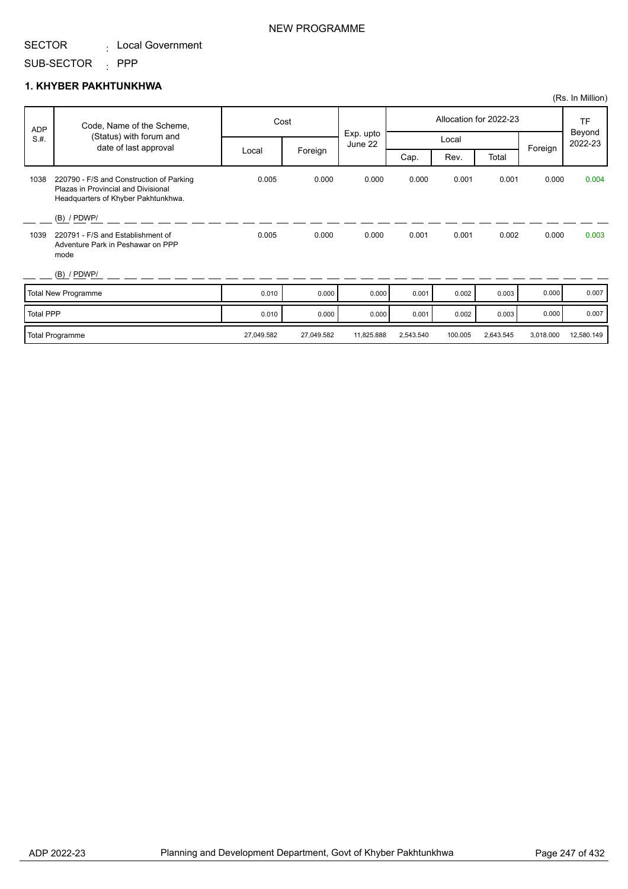#### SUB-SECTOR : PPP

#### **1. KHYBER PAKHTUNKHWA**

|                  |                                                                                                                        |            |            |                      |           |         |                        |           | (Rs. In Million)  |
|------------------|------------------------------------------------------------------------------------------------------------------------|------------|------------|----------------------|-----------|---------|------------------------|-----------|-------------------|
| <b>ADP</b>       | Code, Name of the Scheme,                                                                                              | Cost       |            |                      |           |         | Allocation for 2022-23 |           | <b>TF</b>         |
| S.H.             | (Status) with forum and<br>date of last approval                                                                       |            |            | Exp. upto<br>June 22 |           | Local   |                        |           | Beyond<br>2022-23 |
|                  |                                                                                                                        | Local      | Foreign    |                      | Cap.      | Rev.    | Total                  | Foreign   |                   |
| 1038             | 220790 - F/S and Construction of Parking<br>Plazas in Provincial and Divisional<br>Headquarters of Khyber Pakhtunkhwa. | 0.005      | 0.000      | 0.000                | 0.000     | 0.001   | 0.001                  | 0.000     | 0.004             |
|                  | $(B)$ / PDWP/                                                                                                          |            |            |                      |           |         |                        |           |                   |
| 1039             | 220791 - F/S and Establishment of<br>Adventure Park in Peshawar on PPP<br>mode                                         | 0.005      | 0.000      | 0.000                | 0.001     | 0.001   | 0.002                  | 0.000     | 0.003             |
|                  | $(B)$ / PDWP/                                                                                                          |            |            |                      |           |         |                        |           |                   |
|                  | <b>Total New Programme</b>                                                                                             | 0.010      | 0.000      | 0.000                | 0.001     | 0.002   | 0.003                  | 0.000     | 0.007             |
| <b>Total PPP</b> |                                                                                                                        | 0.010      | 0.000      | 0.000                | 0.001     | 0.002   | 0.003                  | 0.000     | 0.007             |
|                  | <b>Total Programme</b>                                                                                                 | 27,049.582 | 27,049.582 | 11,825.888           | 2,543.540 | 100.005 | 2,643.545              | 3,018.000 | 12,580.149        |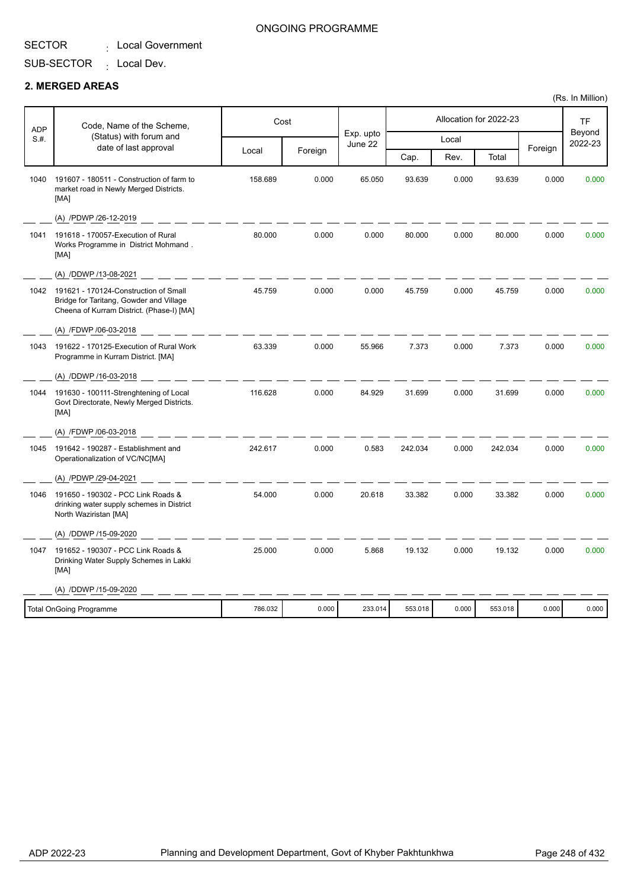SUB-SECTOR <sub>:</sub> Local Dev.

#### **2. MERGED AREAS**

| <b>ADP</b> | Code, Name of the Scheme,                                                                                                     |         | Cost    |                      |         |       | Allocation for 2022-23 |         | <b>TF</b>         |
|------------|-------------------------------------------------------------------------------------------------------------------------------|---------|---------|----------------------|---------|-------|------------------------|---------|-------------------|
| S.H.       | (Status) with forum and<br>date of last approval                                                                              |         |         | Exp. upto<br>June 22 |         | Local |                        |         | Beyond<br>2022-23 |
|            |                                                                                                                               | Local   | Foreign |                      | Cap.    | Rev.  | Total                  | Foreign |                   |
| 1040       | 191607 - 180511 - Construction of farm to<br>market road in Newly Merged Districts.<br>[MA]                                   | 158.689 | 0.000   | 65.050               | 93.639  | 0.000 | 93.639                 | 0.000   | 0.000             |
|            | (A) /PDWP /26-12-2019                                                                                                         |         |         |                      |         |       |                        |         |                   |
| 1041       | 191618 - 170057-Execution of Rural<br>Works Programme in District Mohmand.<br>[MA]                                            | 80.000  | 0.000   | 0.000                | 80.000  | 0.000 | 80.000                 | 0.000   | 0.000             |
|            | (A) /DDWP /13-08-2021                                                                                                         |         |         |                      |         |       |                        |         |                   |
| 1042       | 191621 - 170124-Construction of Small<br>Bridge for Taritang, Gowder and Village<br>Cheena of Kurram District. (Phase-I) [MA] | 45.759  | 0.000   | 0.000                | 45.759  | 0.000 | 45.759                 | 0.000   | 0.000             |
|            | (A) /FDWP /06-03-2018                                                                                                         |         |         |                      |         |       |                        |         |                   |
| 1043       | 191622 - 170125-Execution of Rural Work<br>Programme in Kurram District. [MA]                                                 | 63.339  | 0.000   | 55.966               | 7.373   | 0.000 | 7.373                  | 0.000   | 0.000             |
|            | (A) /DDWP /16-03-2018                                                                                                         |         |         |                      |         |       |                        |         |                   |
| 1044       | 191630 - 100111-Strenghtening of Local<br>Govt Directorate, Newly Merged Districts.<br>[MA]                                   | 116.628 | 0.000   | 84.929               | 31.699  | 0.000 | 31.699                 | 0.000   | 0.000             |
|            | (A) /FDWP /06-03-2018                                                                                                         |         |         |                      |         |       |                        |         |                   |
| 1045       | 191642 - 190287 - Establishment and<br>Operationalization of VC/NC[MA]                                                        | 242.617 | 0.000   | 0.583                | 242.034 | 0.000 | 242.034                | 0.000   | 0.000             |
|            | (A) /PDWP /29-04-2021                                                                                                         |         |         |                      |         |       |                        |         |                   |
| 1046       | 191650 - 190302 - PCC Link Roads &<br>drinking water supply schemes in District<br>North Waziristan [MA]                      | 54.000  | 0.000   | 20.618               | 33.382  | 0.000 | 33.382                 | 0.000   | 0.000             |
|            | (A) /DDWP /15-09-2020                                                                                                         |         |         |                      |         |       |                        |         |                   |
| 1047       | 191652 - 190307 - PCC Link Roads &<br>Drinking Water Supply Schemes in Lakki<br>[MA]                                          | 25.000  | 0.000   | 5.868                | 19.132  | 0.000 | 19.132                 | 0.000   | 0.000             |
|            | (A) /DDWP /15-09-2020                                                                                                         |         |         |                      |         |       |                        |         |                   |
|            | <b>Total OnGoing Programme</b>                                                                                                | 786.032 | 0.000   | 233.014              | 553.018 | 0.000 | 553.018                | 0.000   | 0.000             |
|            |                                                                                                                               |         |         |                      |         |       |                        |         |                   |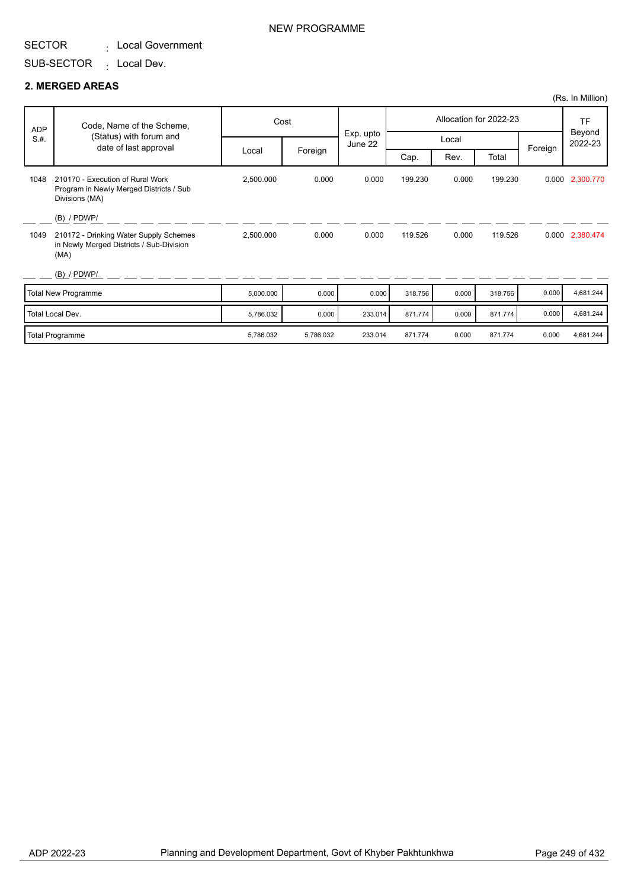SUB-SECTOR <sub>:</sub> Local Dev.

#### **2. MERGED AREAS**

|            |                                                                                               |           |           |                      |         |       |                        |         | (Rs. In Million)  |
|------------|-----------------------------------------------------------------------------------------------|-----------|-----------|----------------------|---------|-------|------------------------|---------|-------------------|
| <b>ADP</b> | Code, Name of the Scheme,                                                                     |           | Cost      |                      |         |       | Allocation for 2022-23 |         | <b>TF</b>         |
| S.H.       | (Status) with forum and<br>date of last approval                                              |           |           | Exp. upto<br>June 22 | Local   |       |                        |         | Beyond<br>2022-23 |
|            |                                                                                               | Local     | Foreign   |                      | Cap.    | Rev.  | Total                  | Foreign |                   |
| 1048       | 210170 - Execution of Rural Work<br>Program in Newly Merged Districts / Sub<br>Divisions (MA) | 2,500.000 | 0.000     | 0.000                | 199.230 | 0.000 | 199.230                |         | 0.000 2,300.770   |
|            | $(B)$ / PDWP/                                                                                 |           |           |                      |         |       |                        |         |                   |
| 1049       | 210172 - Drinking Water Supply Schemes<br>in Newly Merged Districts / Sub-Division<br>(MA)    | 2,500.000 | 0.000     | 0.000                | 119.526 | 0.000 | 119.526                |         | 0.000 2,380.474   |
|            | $(B)$ / PDWP/                                                                                 |           |           |                      |         |       |                        |         |                   |
|            | Total New Programme                                                                           | 5,000.000 | 0.000     | 0.000                | 318.756 | 0.000 | 318,756                | 0.000   | 4,681.244         |
|            | Total Local Dev.                                                                              | 5,786.032 | 0.000     | 233.014              | 871.774 | 0.000 | 871.774                | 0.000   | 4,681.244         |
|            | Total Programme                                                                               | 5,786.032 | 5,786.032 | 233.014              | 871.774 | 0.000 | 871.774                | 0.000   | 4,681.244         |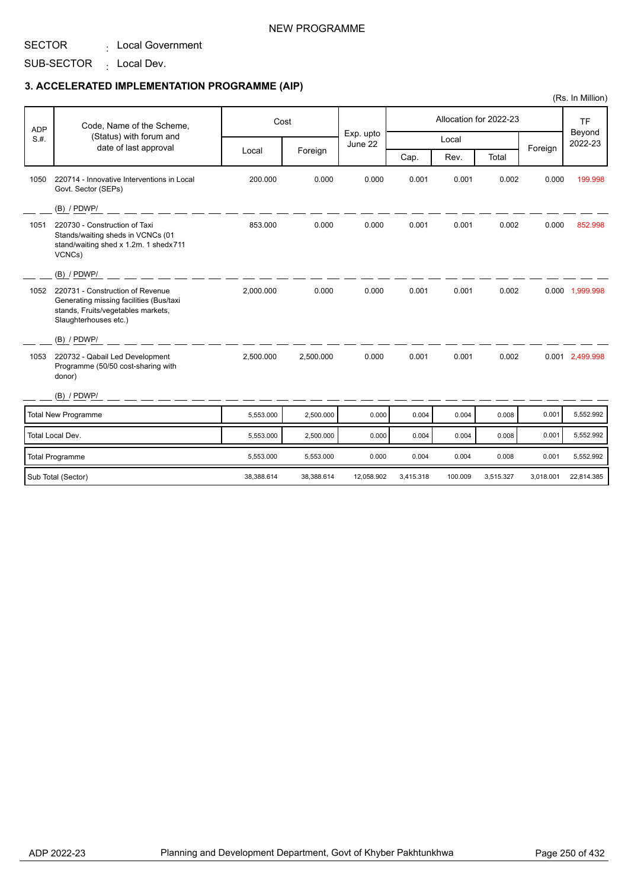: Local Government

## SUB-SECTOR <sub>:</sub> Local Dev.

|            |                                                                                                                                            |            |            |                      |           |         |                        |           | (Rs. In Million)    |
|------------|--------------------------------------------------------------------------------------------------------------------------------------------|------------|------------|----------------------|-----------|---------|------------------------|-----------|---------------------|
| <b>ADP</b> | Code, Name of the Scheme,                                                                                                                  |            | Cost       |                      |           |         | Allocation for 2022-23 |           | <b>TF</b><br>Beyond |
| S.H.       | (Status) with forum and                                                                                                                    |            |            | Exp. upto<br>June 22 |           | Local   |                        |           | 2022-23             |
|            | date of last approval                                                                                                                      | Local      | Foreign    |                      | Cap.      | Rev.    | Total                  | Foreign   |                     |
| 1050       | 220714 - Innovative Interventions in Local<br>Govt. Sector (SEPs)                                                                          | 200.000    | 0.000      | 0.000                | 0.001     | 0.001   | 0.002                  | 0.000     | 199.998             |
|            | $(B)$ / PDWP/                                                                                                                              |            |            |                      |           |         |                        |           |                     |
| 1051       | 220730 - Construction of Taxi<br>Stands/waiting sheds in VCNCs (01<br>stand/waiting shed x 1.2m. 1 shedx711<br>VCNCs)                      | 853.000    | 0.000      | 0.000                | 0.001     | 0.001   | 0.002                  | 0.000     | 852.998             |
|            | (B) / PDWP/                                                                                                                                |            |            |                      |           |         |                        |           |                     |
| 1052       | 220731 - Construction of Revenue<br>Generating missing facilities (Bus/taxi<br>stands, Fruits/vegetables markets,<br>Slaughterhouses etc.) | 2,000.000  | 0.000      | 0.000                | 0.001     | 0.001   | 0.002                  |           | 0.000 1,999.998     |
|            | (B) / PDWP/                                                                                                                                |            |            |                      |           |         |                        |           |                     |
| 1053       | 220732 - Qabail Led Development<br>Programme (50/50 cost-sharing with<br>donor)                                                            | 2,500.000  | 2,500.000  | 0.000                | 0.001     | 0.001   | 0.002                  |           | 0.001 2,499.998     |
|            | (B) / PDWP/                                                                                                                                |            |            |                      |           |         |                        |           |                     |
|            | <b>Total New Programme</b>                                                                                                                 | 5,553.000  | 2,500.000  | 0.000                | 0.004     | 0.004   | 0.008                  | 0.001     | 5,552.992           |
|            | Total Local Dev.                                                                                                                           | 5,553.000  | 2,500.000  | 0.000                | 0.004     | 0.004   | 0.008                  | 0.001     | 5,552.992           |
|            | <b>Total Programme</b>                                                                                                                     | 5,553.000  | 5,553.000  | 0.000                | 0.004     | 0.004   | 0.008                  | 0.001     | 5,552.992           |
|            | Sub Total (Sector)                                                                                                                         | 38,388.614 | 38,388.614 | 12,058.902           | 3,415.318 | 100.009 | 3,515.327              | 3,018.001 | 22,814.385          |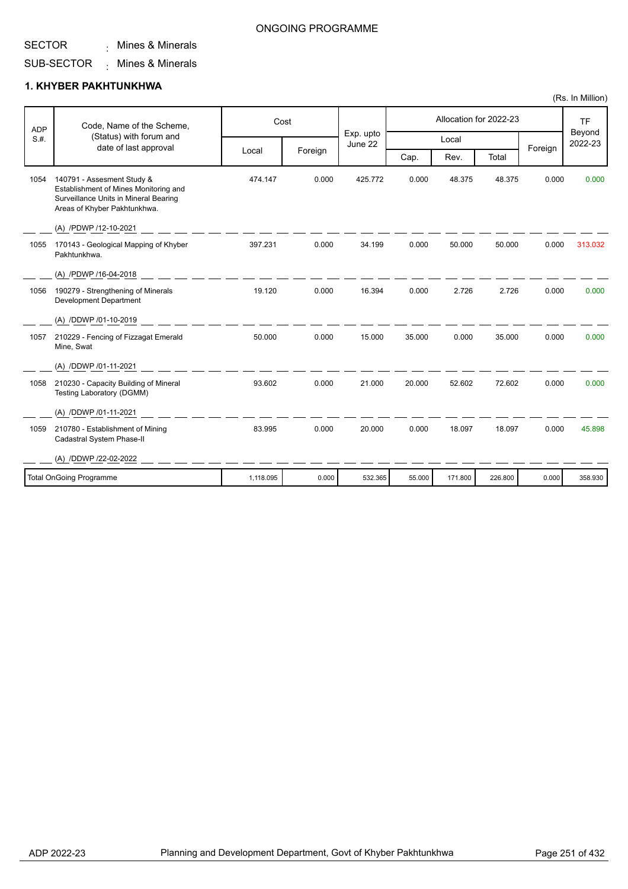## Mines & Minerals :

#### SUB-SECTOR Mines & Minerals :

## **1. KHYBER PAKHTUNKHWA**

| <b>ADP</b> | Code, Name of the Scheme,                                                                                                                    |           | Cost    |                      |        |         | Allocation for 2022-23 |         | <b>TF</b>         |
|------------|----------------------------------------------------------------------------------------------------------------------------------------------|-----------|---------|----------------------|--------|---------|------------------------|---------|-------------------|
| S.H.       | (Status) with forum and<br>date of last approval                                                                                             |           |         | Exp. upto<br>June 22 |        | Local   |                        | Foreign | Beyond<br>2022-23 |
|            |                                                                                                                                              | Local     | Foreign |                      | Cap.   | Rev.    | Total                  |         |                   |
| 1054       | 140791 - Assesment Study &<br>Establishment of Mines Monitoring and<br>Surveillance Units in Mineral Bearing<br>Areas of Khyber Pakhtunkhwa. | 474.147   | 0.000   | 425.772              | 0.000  | 48.375  | 48.375                 | 0.000   | 0.000             |
|            | (A) /PDWP /12-10-2021                                                                                                                        |           |         |                      |        |         |                        |         |                   |
| 1055       | 170143 - Geological Mapping of Khyber<br>Pakhtunkhwa.                                                                                        | 397.231   | 0.000   | 34.199               | 0.000  | 50.000  | 50.000                 | 0.000   | 313.032           |
|            | (A) /PDWP /16-04-2018                                                                                                                        |           |         |                      |        |         |                        |         |                   |
| 1056       | 190279 - Strengthening of Minerals<br><b>Development Department</b>                                                                          | 19.120    | 0.000   | 16.394               | 0.000  | 2.726   | 2.726                  | 0.000   | 0.000             |
|            | (A) /DDWP /01-10-2019                                                                                                                        |           |         |                      |        |         |                        |         |                   |
| 1057       | 210229 - Fencing of Fizzagat Emerald<br>Mine, Swat                                                                                           | 50.000    | 0.000   | 15.000               | 35.000 | 0.000   | 35.000                 | 0.000   | 0.000             |
|            | (A) /DDWP /01-11-2021                                                                                                                        |           |         |                      |        |         |                        |         |                   |
| 1058       | 210230 - Capacity Building of Mineral<br>Testing Laboratory (DGMM)                                                                           | 93.602    | 0.000   | 21.000               | 20.000 | 52.602  | 72.602                 | 0.000   | 0.000             |
|            | (A) /DDWP /01-11-2021                                                                                                                        |           |         |                      |        |         |                        |         |                   |
| 1059       | 210780 - Establishment of Mining<br>Cadastral System Phase-II                                                                                | 83.995    | 0.000   | 20.000               | 0.000  | 18.097  | 18.097                 | 0.000   | 45.898            |
|            | (A) /DDWP /22-02-2022                                                                                                                        |           |         |                      |        |         |                        |         |                   |
|            | <b>Total OnGoing Programme</b>                                                                                                               | 1,118.095 | 0.000   | 532.365              | 55.000 | 171.800 | 226.800                | 0.000   | 358.930           |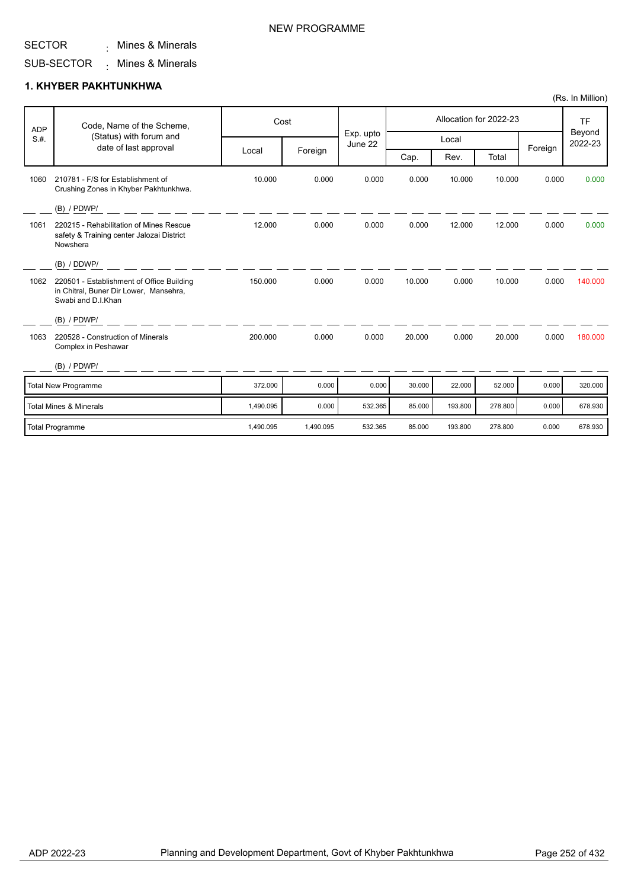#### SECTOR Mines & Minerals :

### NEW PROGRAMME

#### SUB-SECTOR Mines & Minerals :

### **1. KHYBER PAKHTUNKHWA**

| <b>ADP</b><br>S.H.                | Code, Name of the Scheme,<br>(Status) with forum and<br>date of last approval                             | Cost      |           |                      | Allocation for 2022-23 |         |         |         | <b>TF</b>         |
|-----------------------------------|-----------------------------------------------------------------------------------------------------------|-----------|-----------|----------------------|------------------------|---------|---------|---------|-------------------|
|                                   |                                                                                                           |           |           | Exp. upto<br>June 22 | Local                  |         |         |         | Beyond<br>2022-23 |
|                                   |                                                                                                           | Local     | Foreign   |                      | Cap.                   | Rev.    | Total   | Foreign |                   |
| 1060                              | 210781 - F/S for Establishment of<br>Crushing Zones in Khyber Pakhtunkhwa.                                | 10.000    | 0.000     | 0.000                | 0.000                  | 10.000  | 10.000  | 0.000   | 0.000             |
|                                   | $(B)$ / PDWP/                                                                                             |           |           |                      |                        |         |         |         |                   |
| 1061                              | 220215 - Rehabilitation of Mines Rescue<br>safety & Training center Jalozai District<br>Nowshera          | 12.000    | 0.000     | 0.000                | 0.000                  | 12.000  | 12.000  | 0.000   | 0.000             |
|                                   | (B) / DDWP/                                                                                               |           |           |                      |                        |         |         |         |                   |
| 1062                              | 220501 - Establishment of Office Building<br>in Chitral, Buner Dir Lower, Mansehra,<br>Swabi and D.I.Khan | 150.000   | 0.000     | 0.000                | 10.000                 | 0.000   | 10.000  | 0.000   | 140.000           |
|                                   | $(B)$ / PDWP/                                                                                             |           |           |                      |                        |         |         |         |                   |
| 1063                              | 220528 - Construction of Minerals<br>Complex in Peshawar                                                  | 200.000   | 0.000     | 0.000                | 20.000                 | 0.000   | 20.000  | 0.000   | 180.000           |
|                                   | $(B)$ / PDWP/                                                                                             |           |           |                      |                        |         |         |         |                   |
| Total New Programme               |                                                                                                           | 372.000   | 0.000     | 0.000                | 30.000                 | 22.000  | 52.000  | 0.000   | 320.000           |
| <b>Total Mines &amp; Minerals</b> |                                                                                                           | 1,490.095 | 0.000     | 532.365              | 85.000                 | 193.800 | 278,800 | 0.000   | 678.930           |
| <b>Total Programme</b>            |                                                                                                           | 1,490.095 | 1,490.095 | 532.365              | 85.000                 | 193.800 | 278,800 | 0.000   | 678.930           |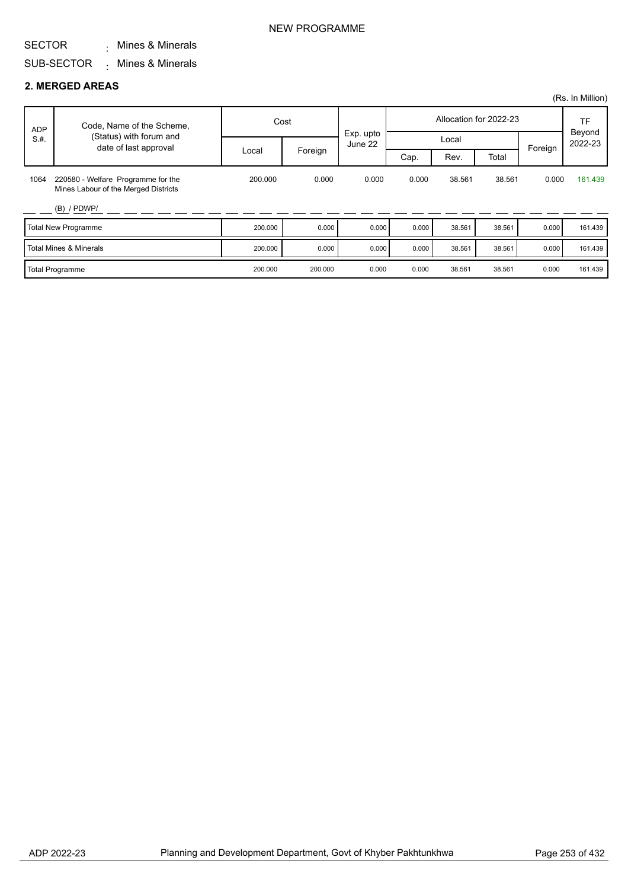#### SECTOR Mines & Minerals :

#### SUB-SECTOR Mines & Minerals :

### **2. MERGED AREAS**

|            |                                                                            |         |         |                      |       |        |                        |         | (Rs. In Million)    |
|------------|----------------------------------------------------------------------------|---------|---------|----------------------|-------|--------|------------------------|---------|---------------------|
| <b>ADP</b> | Code, Name of the Scheme,                                                  |         | Cost    |                      |       |        | Allocation for 2022-23 |         | <b>TF</b><br>Beyond |
| S.H.       | (Status) with forum and<br>date of last approval                           |         |         | Exp. upto<br>June 22 |       |        | Local                  |         | 2022-23             |
|            |                                                                            | Local   | Foreign |                      | Cap.  | Rev.   | Total                  | Foreign |                     |
| 1064       | 220580 - Welfare Programme for the<br>Mines Labour of the Merged Districts | 200.000 | 0.000   | 0.000                | 0.000 | 38.561 | 38.561                 | 0.000   | 161.439             |
|            | $(B)$ / PDWP/                                                              |         |         |                      |       |        |                        |         |                     |
|            | Total New Programme                                                        | 200.000 | 0.000   | 0.000                | 0.000 | 38.561 | 38.561                 | 0.000   | 161.439             |
|            | Total Mines & Minerals                                                     | 200.000 | 0.000   | 0.000                | 0.000 | 38.561 | 38.561                 | 0.000   | 161.439             |
|            | Total Programme                                                            | 200.000 | 200.000 | 0.000                | 0.000 | 38.561 | 38.561                 | 0.000   | 161.439             |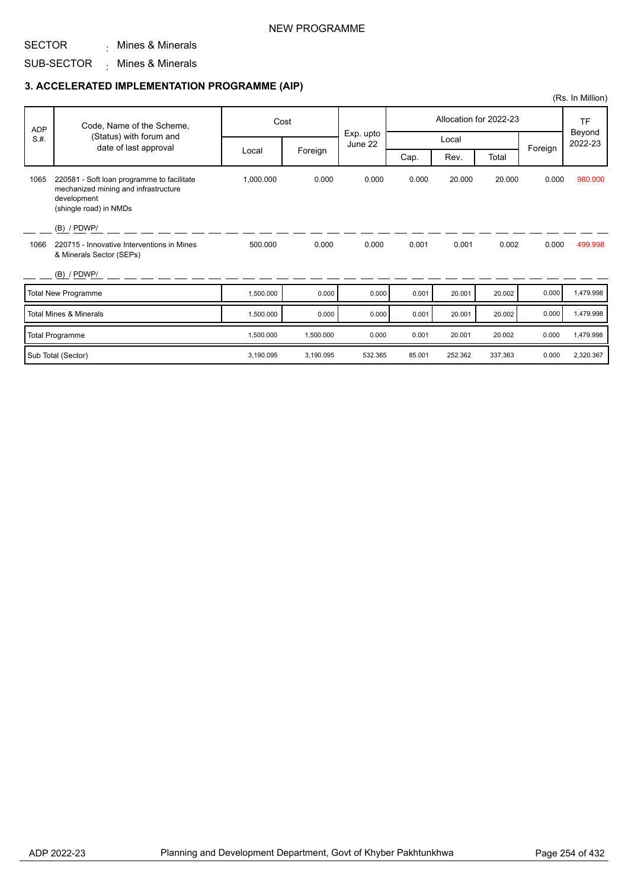### NEW PROGRAMME

#### SECTOR Mines & Minerals :

#### SUB-SECTOR Mines & Minerals :

### **3. ACCELERATED IMPLEMENTATION PROGRAMME (AIP)**

|            |                                                                                                                             |           |           |                      |        |         |                        |         | (Rs. In Million)  |
|------------|-----------------------------------------------------------------------------------------------------------------------------|-----------|-----------|----------------------|--------|---------|------------------------|---------|-------------------|
| <b>ADP</b> | Code, Name of the Scheme,                                                                                                   |           | Cost      |                      |        |         | Allocation for 2022-23 |         | TF                |
| S.H.       | (Status) with forum and<br>date of last approval                                                                            |           |           | Exp. upto<br>June 22 |        | Local   |                        | Foreign | Beyond<br>2022-23 |
|            |                                                                                                                             | Local     | Foreign   |                      | Cap.   | Rev.    | Total                  |         |                   |
| 1065       | 220581 - Soft loan programme to facilitate<br>mechanized mining and infrastructure<br>development<br>(shingle road) in NMDs | 1,000.000 | 0.000     | 0.000                | 0.000  | 20.000  | 20.000                 | 0.000   | 980.000           |
|            | $(B)$ / PDWP/                                                                                                               |           |           |                      |        |         |                        |         |                   |
| 1066       | 220715 - Innovative Interventions in Mines<br>& Minerals Sector (SEPs)                                                      | 500.000   | 0.000     | 0.000                | 0.001  | 0.001   | 0.002                  | 0.000   | 499.998           |
|            | $(B)$ / PDWP/                                                                                                               |           |           |                      |        |         |                        |         |                   |
|            | <b>Total New Programme</b>                                                                                                  | 1,500.000 | 0.000     | 0.000                | 0.001  | 20.001  | 20.002                 | 0.000   | 1,479.998         |
|            | <b>Total Mines &amp; Minerals</b>                                                                                           | 1,500.000 | 0.000     | 0.000                | 0.001  | 20.001  | 20.002                 | 0.000   | 1,479.998         |
|            | <b>Total Programme</b>                                                                                                      | 1,500.000 | 1,500.000 | 0.000                | 0.001  | 20.001  | 20.002                 | 0.000   | 1,479.998         |
|            | Sub Total (Sector)                                                                                                          | 3,190.095 | 3,190.095 | 532.365              | 85.001 | 252.362 | 337.363                | 0.000   | 2,320.367         |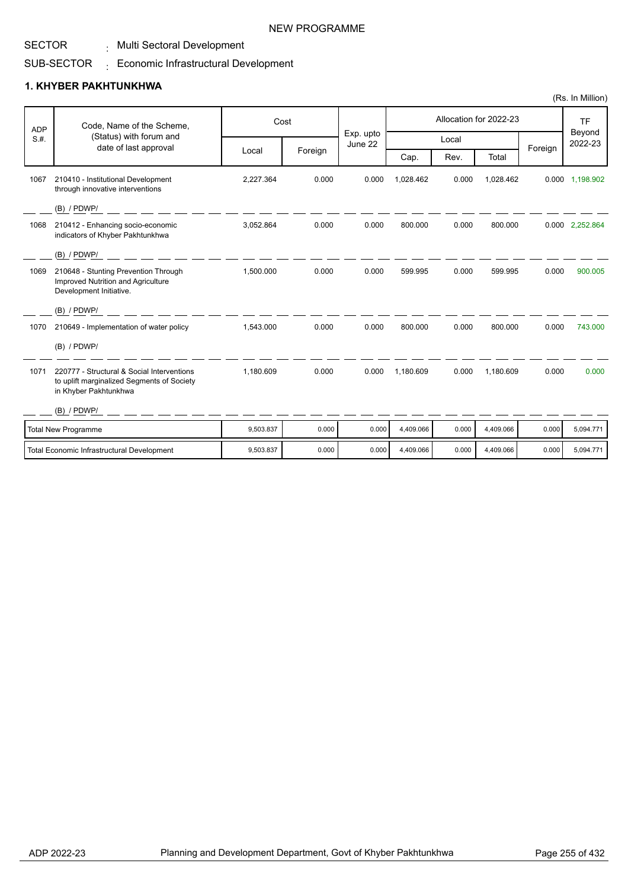### SECTOR

# . Multi Sectoral Development

#### SUB-SECTOR  $_{\rm \pm}$  Economic Infrastructural Development

## **1. KHYBER PAKHTUNKHWA**

|            |                                                                                                                   |           |         |                      |           |       |                        |         | (1.10.11.11.11.10.17) |
|------------|-------------------------------------------------------------------------------------------------------------------|-----------|---------|----------------------|-----------|-------|------------------------|---------|-----------------------|
| <b>ADP</b> | Code, Name of the Scheme,                                                                                         |           | Cost    |                      |           |       | Allocation for 2022-23 |         | <b>TF</b><br>Beyond   |
| S.H.       | (Status) with forum and                                                                                           |           |         | Exp. upto<br>June 22 |           | Local |                        |         | 2022-23               |
|            | date of last approval                                                                                             | Local     | Foreign |                      | Cap.      | Rev.  | Total                  | Foreign |                       |
| 1067       | 210410 - Institutional Development<br>through innovative interventions                                            | 2,227.364 | 0.000   | 0.000                | 1,028.462 | 0.000 | 1,028.462              | 0.000   | 1,198.902             |
|            | $(B)$ / PDWP/                                                                                                     |           |         |                      |           |       |                        |         |                       |
| 1068       | 210412 - Enhancing socio-economic<br>indicators of Khyber Pakhtunkhwa                                             | 3,052.864 | 0.000   | 0.000                | 800.000   | 0.000 | 800.000                |         | 0.000 2,252.864       |
|            | (B) / PDWP/                                                                                                       |           |         |                      |           |       |                        |         |                       |
| 1069       | 210648 - Stunting Prevention Through<br>Improved Nutrition and Agriculture<br>Development Initiative.             | 1,500.000 | 0.000   | 0.000                | 599.995   | 0.000 | 599.995                | 0.000   | 900.005               |
|            | (B) / PDWP/                                                                                                       |           |         |                      |           |       |                        |         |                       |
| 1070       | 210649 - Implementation of water policy                                                                           | 1,543.000 | 0.000   | 0.000                | 800.000   | 0.000 | 800.000                | 0.000   | 743.000               |
|            | (B) / PDWP/                                                                                                       |           |         |                      |           |       |                        |         |                       |
| 1071       | 220777 - Structural & Social Interventions<br>to uplift marginalized Segments of Society<br>in Khyber Pakhtunkhwa | 1.180.609 | 0.000   | 0.000                | 1.180.609 | 0.000 | 1,180.609              | 0.000   | 0.000                 |
|            | $(B)$ / PDWP/                                                                                                     |           |         |                      |           |       |                        |         |                       |
|            | <b>Total New Programme</b>                                                                                        | 9,503.837 | 0.000   | 0.000                | 4.409.066 | 0.000 | 4.409.066              | 0.000   | 5,094.771             |
|            | Total Economic Infrastructural Development                                                                        | 9,503.837 | 0.000   | 0.000                | 4.409.066 | 0.000 | 4,409.066              | 0.000   | 5,094.771             |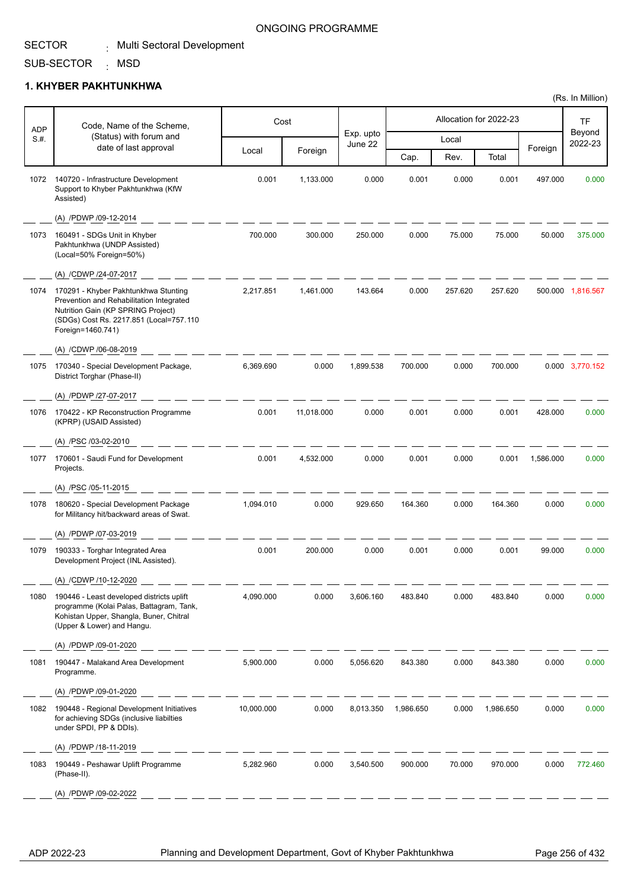### ONGOING PROGRAMME

SUB-SECTOR <sub>:</sub> MSD

### **1. KHYBER PAKHTUNKHWA**

| <b>ADP</b> | Code, Name of the Scheme,                                                                                                                                                              |            | Cost       |                      |           |         | Allocation for 2022-23 |           | <b>TF</b>         |
|------------|----------------------------------------------------------------------------------------------------------------------------------------------------------------------------------------|------------|------------|----------------------|-----------|---------|------------------------|-----------|-------------------|
| S.H.       | (Status) with forum and<br>date of last approval                                                                                                                                       |            |            | Exp. upto<br>June 22 |           | Local   |                        |           | Beyond<br>2022-23 |
|            |                                                                                                                                                                                        | Local      | Foreign    |                      | Cap.      | Rev.    | Total                  | Foreign   |                   |
| 1072       | 140720 - Infrastructure Development<br>Support to Khyber Pakhtunkhwa (KfW<br>Assisted)                                                                                                 | 0.001      | 1,133.000  | 0.000                | 0.001     | 0.000   | 0.001                  | 497.000   | 0.000             |
|            | (A) /PDWP /09-12-2014                                                                                                                                                                  |            |            |                      |           |         |                        |           |                   |
| 1073       | 160491 - SDGs Unit in Khyber<br>Pakhtunkhwa (UNDP Assisted)<br>(Local=50% Foreign=50%)                                                                                                 | 700.000    | 300.000    | 250.000              | 0.000     | 75.000  | 75.000                 | 50.000    | 375.000           |
|            | (A) /CDWP /24-07-2017                                                                                                                                                                  |            |            |                      |           |         |                        |           |                   |
| 1074       | 170291 - Khyber Pakhtunkhwa Stunting<br>Prevention and Rehabilitation Integrated<br>Nutrition Gain (KP SPRING Project)<br>(SDGs) Cost Rs. 2217.851 (Local=757.110<br>Foreign=1460.741) | 2,217.851  | 1,461.000  | 143.664              | 0.000     | 257.620 | 257.620                |           | 500.000 1,816.567 |
|            | (A) /CDWP /06-08-2019                                                                                                                                                                  |            |            |                      |           |         |                        |           |                   |
| 1075       | 170340 - Special Development Package,<br>District Torghar (Phase-II)                                                                                                                   | 6,369.690  | 0.000      | 1,899.538            | 700.000   | 0.000   | 700.000                |           | 0.000 3,770.152   |
|            | (A) /PDWP /27-07-2017                                                                                                                                                                  |            |            |                      |           |         |                        |           |                   |
| 1076       | 170422 - KP Reconstruction Programme<br>(KPRP) (USAID Assisted)                                                                                                                        | 0.001      | 11,018.000 | 0.000                | 0.001     | 0.000   | 0.001                  | 428.000   | 0.000             |
|            | (A) /PSC /03-02-2010                                                                                                                                                                   |            |            |                      |           |         |                        |           |                   |
| 1077       | 170601 - Saudi Fund for Development<br>Projects.                                                                                                                                       | 0.001      | 4,532.000  | 0.000                | 0.001     | 0.000   | 0.001                  | 1,586.000 | 0.000             |
|            | (A) /PSC /05-11-2015                                                                                                                                                                   |            |            |                      |           |         |                        |           |                   |
| 1078       | 180620 - Special Development Package<br>for Militancy hit/backward areas of Swat.                                                                                                      | 1,094.010  | 0.000      | 929.650              | 164.360   | 0.000   | 164.360                | 0.000     | 0.000             |
|            | (A) /PDWP /07-03-2019                                                                                                                                                                  |            |            |                      |           |         |                        |           |                   |
| 1079       | 190333 - Torghar Integrated Area<br>Development Project (INL Assisted).                                                                                                                | 0.001      | 200.000    | 0.000                | 0.001     | 0.000   | 0.001                  | 99.000    | 0.000             |
|            | (A) /CDWP /10-12-2020                                                                                                                                                                  |            |            |                      |           |         |                        |           |                   |
| 1080       | 190446 - Least developed districts uplift<br>programme (Kolai Palas, Battagram, Tank,<br>Kohistan Upper, Shangla, Buner, Chitral<br>(Upper & Lower) and Hangu.                         | 4,090.000  | 0.000      | 3,606.160            | 483.840   | 0.000   | 483.840                | 0.000     | 0.000             |
|            | (A) /PDWP /09-01-2020                                                                                                                                                                  |            |            |                      |           |         |                        |           |                   |
| 1081       | 190447 - Malakand Area Development<br>Programme.                                                                                                                                       | 5,900.000  | 0.000      | 5,056.620            | 843.380   | 0.000   | 843.380                | 0.000     | 0.000             |
|            | (A) /PDWP /09-01-2020                                                                                                                                                                  |            |            |                      |           |         |                        |           |                   |
| 1082       | 190448 - Regional Development Initiatives<br>for achieving SDGs (inclusive liabilties<br>under SPDI, PP & DDIs).                                                                       | 10,000.000 | 0.000      | 8,013.350            | 1,986.650 | 0.000   | 1,986.650              | 0.000     | 0.000             |
|            | (A) /PDWP /18-11-2019                                                                                                                                                                  |            |            |                      |           |         |                        |           |                   |
| 1083       | 190449 - Peshawar Uplift Programme<br>(Phase-II).                                                                                                                                      | 5,282.960  | 0.000      | 3,540.500            | 900.000   | 70.000  | 970.000                | 0.000     | 772.460           |
|            | (A) /PDWP /09-02-2022                                                                                                                                                                  |            |            |                      |           |         |                        |           |                   |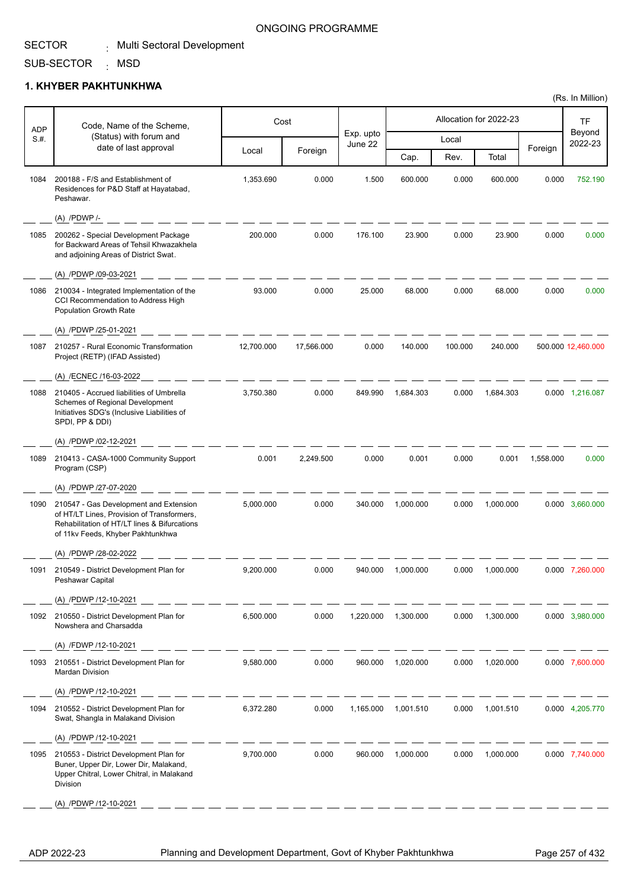### ONGOING PROGRAMME

#### SUB-SECTOR <sub>:</sub> MSD

### **1. KHYBER PAKHTUNKHWA**

| ADP  | Code, Name of the Scheme,                                                                                                                                                 |            | Cost       |                      |           |         | Allocation for 2022-23 |           | TF                 |
|------|---------------------------------------------------------------------------------------------------------------------------------------------------------------------------|------------|------------|----------------------|-----------|---------|------------------------|-----------|--------------------|
| S.#. | (Status) with forum and                                                                                                                                                   |            |            | Exp. upto<br>June 22 |           | Local   |                        |           | Beyond<br>2022-23  |
|      | date of last approval                                                                                                                                                     | Local      | Foreign    |                      | Cap.      | Rev.    | Total                  | Foreign   |                    |
| 1084 | 200188 - F/S and Establishment of<br>Residences for P&D Staff at Hayatabad,<br>Peshawar.                                                                                  | 1,353.690  | 0.000      | 1.500                | 600.000   | 0.000   | 600.000                | 0.000     | 752.190            |
|      | (A) /PDWP /-                                                                                                                                                              |            |            |                      |           |         |                        |           |                    |
| 1085 | 200262 - Special Development Package<br>for Backward Areas of Tehsil Khwazakhela<br>and adjoining Areas of District Swat.                                                 | 200.000    | 0.000      | 176.100              | 23.900    | 0.000   | 23.900                 | 0.000     | 0.000              |
|      | (A) /PDWP /09-03-2021                                                                                                                                                     |            |            |                      |           |         |                        |           |                    |
| 1086 | 210034 - Integrated Implementation of the<br>CCI Recommendation to Address High<br>Population Growth Rate                                                                 | 93.000     | 0.000      | 25.000               | 68.000    | 0.000   | 68.000                 | 0.000     | 0.000              |
|      | (A) /PDWP /25-01-2021                                                                                                                                                     |            |            |                      |           |         |                        |           |                    |
| 1087 | 210257 - Rural Economic Transformation<br>Project (RETP) (IFAD Assisted)                                                                                                  | 12,700.000 | 17,566.000 | 0.000                | 140.000   | 100.000 | 240.000                |           | 500.000 12,460.000 |
|      | (A) /ECNEC /16-03-2022                                                                                                                                                    |            |            |                      |           |         |                        |           |                    |
| 1088 | 210405 - Accrued liabilities of Umbrella<br>Schemes of Regional Development<br>Initiatives SDG's (Inclusive Liabilities of<br>SPDI, PP & DDI)                             | 3,750.380  | 0.000      | 849.990              | 1,684.303 | 0.000   | 1,684.303              |           | 0.000 1,216.087    |
|      | (A) /PDWP /02-12-2021                                                                                                                                                     |            |            |                      |           |         |                        |           |                    |
| 1089 | 210413 - CASA-1000 Community Support<br>Program (CSP)                                                                                                                     | 0.001      | 2,249.500  | 0.000                | 0.001     | 0.000   | 0.001                  | 1,558.000 | 0.000              |
|      | (A) /PDWP /27-07-2020                                                                                                                                                     |            |            |                      |           |         |                        |           |                    |
| 1090 | 210547 - Gas Development and Extension<br>of HT/LT Lines, Provision of Transformers,<br>Rehabilitation of HT/LT lines & Bifurcations<br>of 11kv Feeds, Khyber Pakhtunkhwa | 5,000.000  | 0.000      | 340.000              | 1,000.000 | 0.000   | 1,000.000              |           | 0.000 3,660.000    |
|      | (A) /PDWP /28-02-2022                                                                                                                                                     |            |            |                      |           |         |                        |           |                    |
| 1091 | 210549 - District Development Plan for<br>Peshawar Capital                                                                                                                | 9,200.000  | 0.000      | 940.000              | 1,000.000 | 0.000   | 1,000.000              |           | 0.000 7,260.000    |
|      | (A) /PDWP /12-10-2021                                                                                                                                                     |            |            |                      |           |         |                        |           |                    |
| 1092 | 210550 - District Development Plan for<br>Nowshera and Charsadda                                                                                                          | 6,500.000  | 0.000      | 1,220.000            | 1,300.000 | 0.000   | 1,300.000              |           | 0.000 3,980.000    |
|      | (A) /FDWP /12-10-2021                                                                                                                                                     |            |            |                      |           |         |                        |           |                    |
| 1093 | 210551 - District Development Plan for<br><b>Mardan Division</b>                                                                                                          | 9,580.000  | 0.000      | 960.000              | 1,020.000 | 0.000   | 1,020.000              |           | 0.000 7,600.000    |
|      | (A) /PDWP /12-10-2021                                                                                                                                                     |            |            |                      |           |         |                        |           |                    |
| 1094 | 210552 - District Development Plan for<br>Swat, Shangla in Malakand Division                                                                                              | 6,372.280  | 0.000      | 1,165.000            | 1,001.510 | 0.000   | 1,001.510              |           | 0.000 4,205.770    |
|      | (A) /PDWP /12-10-2021                                                                                                                                                     |            |            |                      |           |         |                        |           |                    |
| 1095 | 210553 - District Development Plan for<br>Buner, Upper Dir, Lower Dir, Malakand,<br>Upper Chitral, Lower Chitral, in Malakand<br>Division                                 | 9,700.000  | 0.000      | 960.000              | 1,000.000 | 0.000   | 1,000.000              |           | 0.000 7,740.000    |
|      | (A) /PDWP /12-10-2021                                                                                                                                                     |            |            |                      |           |         |                        |           |                    |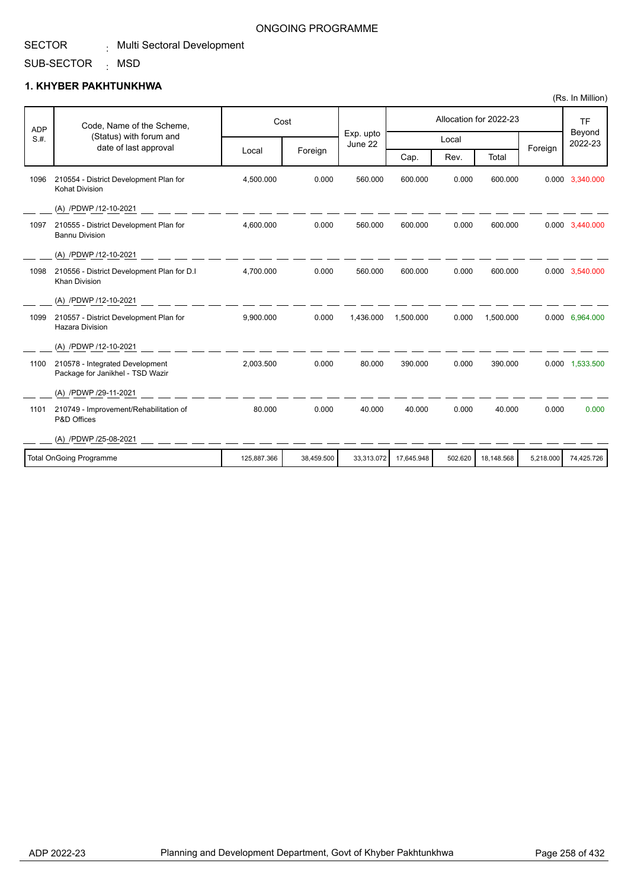#### SUB-SECTOR MSD **1. KHYBER PAKHTUNKHWA** :

(A) /PDWP/29-11-2021

(A) /PDWP /25-08-2021

P&D Offices

| <b>ADP</b> | Code, Name of the Scheme,                                           | Cost      |         |                      | Allocation for 2022-23 |       |           |         | TF                |
|------------|---------------------------------------------------------------------|-----------|---------|----------------------|------------------------|-------|-----------|---------|-------------------|
| S.H.       | (Status) with forum and<br>date of last approval                    |           |         | Exp. upto<br>June 22 |                        | Local |           | Foreign | Beyond<br>2022-23 |
|            |                                                                     | Local     | Foreign |                      | Cap.                   | Rev.  | Total     |         |                   |
| 1096       | 210554 - District Development Plan for<br><b>Kohat Division</b>     | 4.500.000 | 0.000   | 560.000              | 600.000                | 0.000 | 600.000   | 0.000   | 3,340.000         |
|            | (A) /PDWP /12-10-2021                                               |           |         |                      |                        |       |           |         |                   |
| 1097       | 210555 - District Development Plan for<br><b>Bannu Division</b>     | 4,600.000 | 0.000   | 560.000              | 600.000                | 0.000 | 600.000   |         | 0.000 3,440.000   |
|            | (A) /PDWP /12-10-2021                                               |           |         |                      |                        |       |           |         |                   |
| 1098       | 210556 - District Development Plan for D.I<br><b>Khan Division</b>  | 4.700.000 | 0.000   | 560.000              | 600.000                | 0.000 | 600.000   |         | 0.000 3,540.000   |
|            | (A) /PDWP /12-10-2021                                               |           |         |                      |                        |       |           |         |                   |
| 1099       | 210557 - District Development Plan for<br><b>Hazara Division</b>    | 9.900.000 | 0.000   | 1.436.000            | 1.500.000              | 0.000 | 1,500.000 |         | 0.000 6,964.000   |
|            | (A) /PDWP /12-10-2021                                               |           |         |                      |                        |       |           |         |                   |
| 1100       | 210578 - Integrated Development<br>Package for Janikhel - TSD Wazir | 2.003.500 | 0.000   | 80.000               | 390.000                | 0.000 | 390.000   | 0.000   | 1,533.500         |

1101 210749 - Improvement/Rehabilitation of 180.000 0000 0000 40.000 0.000 0.000 0.000 0.000 0.000

Total OnGoing Programme 125,887.366 38,459.500 33,313.072 17,645.948 502.620 18,148.568 5,218.000 74,425.726

(Rs. In Million)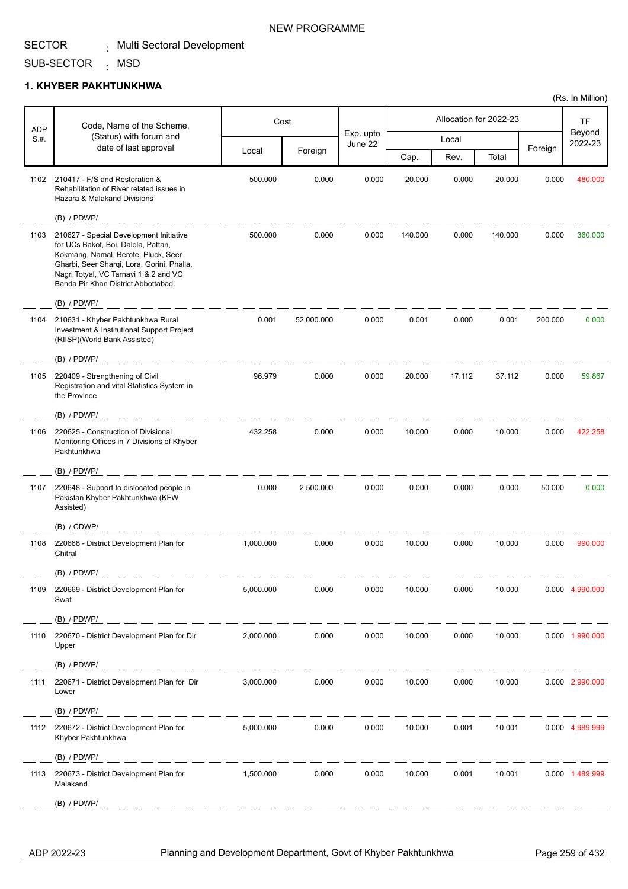SUB-SECTOR <sub>:</sub> MSD

### **1. KHYBER PAKHTUNKHWA**

| <b>ADP</b> | Code, Name of the Scheme,                                                                                                                                                                                                                           |           | Cost       |                      |         |        | Allocation for 2022-23 |         | TF                |
|------------|-----------------------------------------------------------------------------------------------------------------------------------------------------------------------------------------------------------------------------------------------------|-----------|------------|----------------------|---------|--------|------------------------|---------|-------------------|
| S.H.       | (Status) with forum and<br>date of last approval                                                                                                                                                                                                    |           |            | Exp. upto<br>June 22 |         | Local  |                        |         | Beyond<br>2022-23 |
|            |                                                                                                                                                                                                                                                     | Local     | Foreign    |                      | Cap.    | Rev.   | Total                  | Foreign |                   |
| 1102       | 210417 - F/S and Restoration &<br>Rehabilitation of River related issues in<br>Hazara & Malakand Divisions                                                                                                                                          | 500.000   | 0.000      | 0.000                | 20.000  | 0.000  | 20.000                 | 0.000   | 480.000           |
|            | $(B)$ / PDWP/                                                                                                                                                                                                                                       |           |            |                      |         |        |                        |         |                   |
| 1103       | 210627 - Special Development Initiative<br>for UCs Bakot, Boi, Dalola, Pattan,<br>Kokmang, Namal, Berote, Pluck, Seer<br>Gharbi, Seer Sharqi, Lora, Gorini, Phalla,<br>Nagri Totyal, VC Tarnavi 1 & 2 and VC<br>Banda Pir Khan District Abbottabad. | 500.000   | 0.000      | 0.000                | 140.000 | 0.000  | 140.000                | 0.000   | 360.000           |
|            | (B) / PDWP/                                                                                                                                                                                                                                         |           |            |                      |         |        |                        |         |                   |
| 1104       | 210631 - Khyber Pakhtunkhwa Rural<br>Investment & Institutional Support Project<br>(RIISP)(World Bank Assisted)                                                                                                                                     | 0.001     | 52,000.000 | 0.000                | 0.001   | 0.000  | 0.001                  | 200.000 | 0.000             |
|            | (B) / PDWP/                                                                                                                                                                                                                                         |           |            |                      |         |        |                        |         |                   |
| 1105       | 220409 - Strengthening of Civil<br>Registration and vital Statistics System in<br>the Province                                                                                                                                                      | 96.979    | 0.000      | 0.000                | 20.000  | 17.112 | 37.112                 | 0.000   | 59.867            |
|            | (B) / PDWP/                                                                                                                                                                                                                                         |           |            |                      |         |        |                        |         |                   |
| 1106       | 220625 - Construction of Divisional<br>Monitoring Offices in 7 Divisions of Khyber<br>Pakhtunkhwa                                                                                                                                                   | 432.258   | 0.000      | 0.000                | 10.000  | 0.000  | 10.000                 | 0.000   | 422.258           |
|            | (B) / PDWP/                                                                                                                                                                                                                                         |           |            |                      |         |        |                        |         |                   |
| 1107       | 220648 - Support to dislocated people in<br>Pakistan Khyber Pakhtunkhwa (KFW<br>Assisted)                                                                                                                                                           | 0.000     | 2,500.000  | 0.000                | 0.000   | 0.000  | 0.000                  | 50.000  | 0.000             |
|            | (B) / CDWP/                                                                                                                                                                                                                                         |           |            |                      |         |        |                        |         |                   |
| 1108       | 220668 - District Development Plan for<br>Chitral                                                                                                                                                                                                   | 1,000.000 | 0.000      | 0.000                | 10.000  | 0.000  | 10.000                 | 0.000   | 990.000           |
|            | $(B)$ / PDWP/                                                                                                                                                                                                                                       |           |            |                      |         |        |                        |         |                   |
| 1109       | 220669 - District Development Plan for<br>Swat                                                                                                                                                                                                      | 5,000.000 | 0.000      | 0.000                | 10.000  | 0.000  | 10.000                 |         | 0.000 4,990.000   |
|            | $(B)$ / PDWP/<br><u> — — — — — — — — —</u>                                                                                                                                                                                                          |           |            |                      |         |        |                        |         |                   |
| 1110       | 220670 - District Development Plan for Dir<br>Upper                                                                                                                                                                                                 | 2,000.000 | 0.000      | 0.000                | 10.000  | 0.000  | 10.000                 |         | 0.000 1,990.000   |
|            | (B) / PDWP/                                                                                                                                                                                                                                         |           |            |                      |         |        |                        |         |                   |
| 1111       | 220671 - District Development Plan for Dir<br>Lower                                                                                                                                                                                                 | 3,000.000 | 0.000      | 0.000                | 10.000  | 0.000  | 10.000                 |         | 0.000 2,990.000   |
|            | (B) / PDWP/                                                                                                                                                                                                                                         |           |            |                      |         |        |                        |         |                   |
| 1112       | 220672 - District Development Plan for<br>Khyber Pakhtunkhwa                                                                                                                                                                                        | 5,000.000 | 0.000      | 0.000                | 10.000  | 0.001  | 10.001                 |         | 0.000 4,989.999   |
|            | (B) / PDWP/<br><u>the state and the state of the state of the state of the state of the state of the state of the state of the state of the state of the state of the state of the state of the state of the state of the state of the state of</u> |           |            |                      |         |        |                        |         |                   |
| 1113       | 220673 - District Development Plan for<br>Malakand                                                                                                                                                                                                  | 1,500.000 | 0.000      | 0.000                | 10.000  | 0.001  | 10.001                 |         | 0.000 1,489.999   |
|            | $(B)$ / PDWP/                                                                                                                                                                                                                                       |           |            |                      |         |        |                        |         |                   |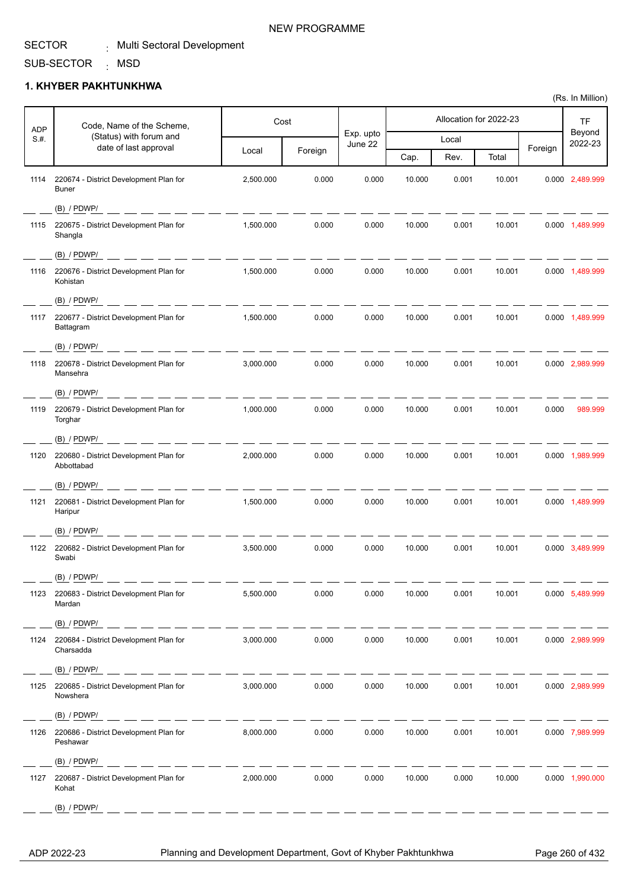Т

T

Τ

#### SUB-SECTOR <sub>:</sub> MSD

Г

Τ

### **1. KHYBER PAKHTUNKHWA**

| <b>ADP</b> | Code, Name of the Scheme,                                                                                                                                                                                                                                                                                                                                                                                                                                                                   |           | Cost    |                      |        |       | Allocation for 2022-23 |         | TF                |
|------------|---------------------------------------------------------------------------------------------------------------------------------------------------------------------------------------------------------------------------------------------------------------------------------------------------------------------------------------------------------------------------------------------------------------------------------------------------------------------------------------------|-----------|---------|----------------------|--------|-------|------------------------|---------|-------------------|
| S.#.       | (Status) with forum and<br>date of last approval                                                                                                                                                                                                                                                                                                                                                                                                                                            |           |         | Exp. upto<br>June 22 |        | Local |                        |         | Beyond<br>2022-23 |
|            |                                                                                                                                                                                                                                                                                                                                                                                                                                                                                             | Local     | Foreign |                      | Cap.   | Rev.  | Total                  | Foreign |                   |
| 1114       | 220674 - District Development Plan for<br><b>Buner</b>                                                                                                                                                                                                                                                                                                                                                                                                                                      | 2,500.000 | 0.000   | 0.000                | 10.000 | 0.001 | 10.001                 |         | 0.000 2,489.999   |
|            | $(B)$ / PDWP/                                                                                                                                                                                                                                                                                                                                                                                                                                                                               |           |         |                      |        |       |                        |         |                   |
| 1115       | 220675 - District Development Plan for<br>Shangla                                                                                                                                                                                                                                                                                                                                                                                                                                           | 1,500.000 | 0.000   | 0.000                | 10.000 | 0.001 | 10.001                 |         | 0.000 1,489.999   |
|            | $(B)$ / PDWP/<br><u> 2001 - 2002 - 2003 - 2003 - 200</u>                                                                                                                                                                                                                                                                                                                                                                                                                                    | ___       |         |                      |        |       |                        |         |                   |
| 1116       | 220676 - District Development Plan for<br>Kohistan                                                                                                                                                                                                                                                                                                                                                                                                                                          | 1,500.000 | 0.000   | 0.000                | 10.000 | 0.001 | 10.001                 |         | 0.000 1,489.999   |
|            | $(B)$ / PDWP/                                                                                                                                                                                                                                                                                                                                                                                                                                                                               |           |         |                      |        |       |                        |         |                   |
| 1117       | 220677 - District Development Plan for<br>Battagram                                                                                                                                                                                                                                                                                                                                                                                                                                         | 1,500.000 | 0.000   | 0.000                | 10.000 | 0.001 | 10.001                 |         | 0.000 1,489.999   |
|            | $(B)$ / PDWP/                                                                                                                                                                                                                                                                                                                                                                                                                                                                               |           |         |                      |        |       |                        |         |                   |
| 1118       | 220678 - District Development Plan for<br>Mansehra                                                                                                                                                                                                                                                                                                                                                                                                                                          | 3,000.000 | 0.000   | 0.000                | 10.000 | 0.001 | 10.001                 |         | 0.000 2,989.999   |
|            | (B) / PDWP/                                                                                                                                                                                                                                                                                                                                                                                                                                                                                 |           |         |                      |        |       |                        |         |                   |
| 1119       | 220679 - District Development Plan for<br>Torghar                                                                                                                                                                                                                                                                                                                                                                                                                                           | 1,000.000 | 0.000   | 0.000                | 10.000 | 0.001 | 10.001                 | 0.000   | 989.999           |
|            | $(B)$ / PDWP/                                                                                                                                                                                                                                                                                                                                                                                                                                                                               |           |         |                      |        |       |                        |         |                   |
| 1120       | 220680 - District Development Plan for<br>Abbottabad                                                                                                                                                                                                                                                                                                                                                                                                                                        | 2,000.000 | 0.000   | 0.000                | 10.000 | 0.001 | 10.001                 |         | 0.000 1,989.999   |
|            | $(B)$ / PDWP/                                                                                                                                                                                                                                                                                                                                                                                                                                                                               |           |         |                      |        |       |                        |         |                   |
| 1121       | 220681 - District Development Plan for<br>Haripur                                                                                                                                                                                                                                                                                                                                                                                                                                           | 1,500.000 | 0.000   | 0.000                | 10.000 | 0.001 | 10.001                 |         | 0.000 1,489.999   |
|            | $(B)$ / PDWP/                                                                                                                                                                                                                                                                                                                                                                                                                                                                               |           |         |                      |        |       |                        |         |                   |
| 1122       | 220682 - District Development Plan for<br>Swabi                                                                                                                                                                                                                                                                                                                                                                                                                                             | 3,500.000 | 0.000   | 0.000                | 10.000 | 0.001 | 10.001                 |         | 0.000 3,489.999   |
|            | $(B)$ / PDWP/                                                                                                                                                                                                                                                                                                                                                                                                                                                                               |           |         |                      |        |       |                        |         |                   |
| 1123       | 220683 - District Development Plan for<br>Mardan                                                                                                                                                                                                                                                                                                                                                                                                                                            | 5,500.000 | 0.000   | 0.000                | 10.000 | 0.001 | 10.001                 |         | 0.000 5,489.999   |
|            | (B) / PDWP/                                                                                                                                                                                                                                                                                                                                                                                                                                                                                 |           |         |                      |        |       |                        |         |                   |
| 1124       | 220684 - District Development Plan for<br>Charsadda                                                                                                                                                                                                                                                                                                                                                                                                                                         | 3,000.000 | 0.000   | 0.000                | 10.000 | 0.001 | 10.001                 |         | 0.000 2,989.999   |
|            | (B) / PDWP/<br>_____________                                                                                                                                                                                                                                                                                                                                                                                                                                                                |           |         |                      |        |       |                        |         |                   |
|            | 1125 220685 - District Development Plan for<br>Nowshera                                                                                                                                                                                                                                                                                                                                                                                                                                     | 3,000.000 | 0.000   | 0.000                | 10.000 | 0.001 | 10.001                 |         | 0.000 2,989.999   |
|            | $(B)$ / PDWP/<br>$\frac{1}{2} \left( \frac{1}{2} \right) \left( \frac{1}{2} \right) \left( \frac{1}{2} \right) \left( \frac{1}{2} \right) \left( \frac{1}{2} \right) \left( \frac{1}{2} \right) \left( \frac{1}{2} \right) \left( \frac{1}{2} \right) \left( \frac{1}{2} \right) \left( \frac{1}{2} \right) \left( \frac{1}{2} \right) \left( \frac{1}{2} \right) \left( \frac{1}{2} \right) \left( \frac{1}{2} \right) \left( \frac{1}{2} \right) \left( \frac{1}{2} \right) \left( \frac$ |           |         |                      |        |       |                        |         |                   |
| 1126       | 220686 - District Development Plan for<br>Peshawar                                                                                                                                                                                                                                                                                                                                                                                                                                          | 8,000.000 | 0.000   | 0.000                | 10.000 | 0.001 | 10.001                 |         | 0.000 7,989.999   |
|            | $(B)$ / PDWP/                                                                                                                                                                                                                                                                                                                                                                                                                                                                               |           |         |                      |        |       |                        |         |                   |
| 1127       | 220687 - District Development Plan for<br>Kohat                                                                                                                                                                                                                                                                                                                                                                                                                                             | 2,000.000 | 0.000   | 0.000                | 10.000 | 0.000 | 10.000                 |         | 0.000 1,990.000   |
|            | $(B)$ / PDWP/                                                                                                                                                                                                                                                                                                                                                                                                                                                                               |           |         |                      |        |       |                        |         |                   |

(Rs. In Million)

T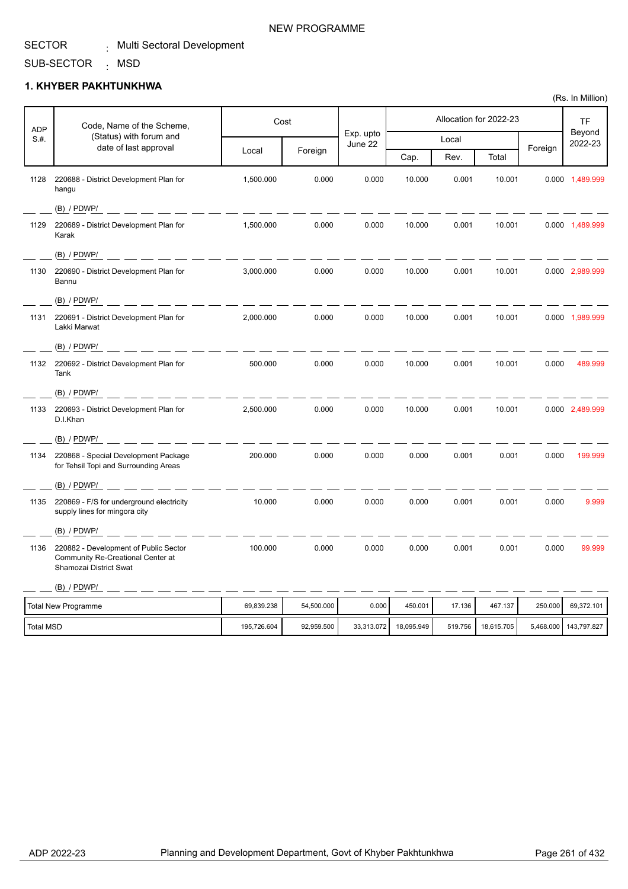#### SUB-SECTOR <sub>:</sub> MSD

### **1. KHYBER PAKHTUNKHWA**

| <b>ADP</b>       | Code, Name of the Scheme,                                                                            |             | Cost       |                      |            |         | Allocation for 2022-23 |         | <b>TF</b>             |
|------------------|------------------------------------------------------------------------------------------------------|-------------|------------|----------------------|------------|---------|------------------------|---------|-----------------------|
| S.H.             | (Status) with forum and<br>date of last approval                                                     |             |            | Exp. upto<br>June 22 |            | Local   |                        |         | Beyond<br>2022-23     |
|                  |                                                                                                      | Local       | Foreign    |                      | Cap.       | Rev.    | Total                  | Foreign |                       |
| 1128             | 220688 - District Development Plan for<br>hangu                                                      | 1,500.000   | 0.000      | 0.000                | 10.000     | 0.001   | 10.001                 |         | 0.000 1,489.999       |
|                  | $(B)$ / PDWP/                                                                                        |             |            |                      |            |         |                        |         |                       |
| 1129             | 220689 - District Development Plan for<br>Karak                                                      | 1.500.000   | 0.000      | 0.000                | 10.000     | 0.001   | 10.001                 |         | 0.000 1,489.999       |
|                  | $(B)$ / PDWP/                                                                                        |             |            |                      |            |         |                        |         |                       |
| 1130             | 220690 - District Development Plan for<br>Bannu                                                      | 3,000.000   | 0.000      | 0.000                | 10.000     | 0.001   | 10.001                 |         | 0.000 2,989.999       |
|                  | $(B)$ / PDWP/                                                                                        |             |            |                      |            |         |                        |         |                       |
| 1131             | 220691 - District Development Plan for<br>Lakki Marwat                                               | 2.000.000   | 0.000      | 0.000                | 10.000     | 0.001   | 10.001                 |         | 0.000 1,989.999       |
|                  | $(B)$ / PDWP/<br>- - - - - -                                                                         |             |            |                      |            |         |                        |         |                       |
|                  | 1132 220692 - District Development Plan for<br>Tank                                                  | 500.000     | 0.000      | 0.000                | 10.000     | 0.001   | 10.001                 | 0.000   | 489.999               |
|                  | $(B)$ / PDWP/                                                                                        |             |            |                      |            |         |                        |         |                       |
| 1133             | 220693 - District Development Plan for<br>D.I.Khan                                                   | 2.500.000   | 0.000      | 0.000                | 10.000     | 0.001   | 10.001                 |         | 0.000 2,489.999       |
|                  | $(B)$ / PDWP/                                                                                        |             |            |                      |            |         |                        |         |                       |
| 1134             | 220868 - Special Development Package<br>for Tehsil Topi and Surrounding Areas                        | 200.000     | 0.000      | 0.000                | 0.000      | 0.001   | 0.001                  | 0.000   | 199.999               |
|                  | (B) / PDWP/                                                                                          |             |            |                      |            |         |                        |         |                       |
| 1135             | 220869 - F/S for underground electricity<br>supply lines for mingora city                            | 10.000      | 0.000      | 0.000                | 0.000      | 0.001   | 0.001                  | 0.000   | 9.999                 |
|                  | $(B)$ / PDWP/                                                                                        |             |            |                      |            |         |                        |         |                       |
| 1136             | 220882 - Development of Public Sector<br>Community Re-Creational Center at<br>Shamozai District Swat | 100.000     | 0.000      | 0.000                | 0.000      | 0.001   | 0.001                  | 0.000   | 99.999                |
|                  | $(B)$ / PDWP/                                                                                        |             |            |                      |            |         |                        |         |                       |
|                  | <b>Total New Programme</b>                                                                           | 69,839.238  | 54,500.000 | 0.000                | 450.001    | 17.136  | 467.137                | 250.000 | 69,372.101            |
| <b>Total MSD</b> |                                                                                                      | 195,726.604 | 92,959.500 | 33,313.072           | 18,095.949 | 519.756 | 18,615.705             |         | 5,468.000 143,797.827 |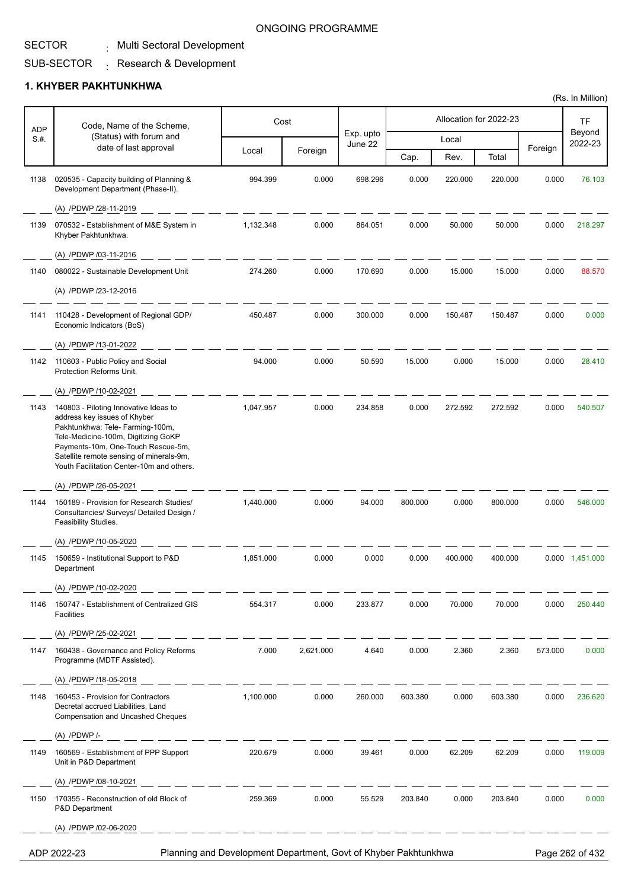### SECTOR

#### Multi Sectoral Development :

#### SUB-SECTOR  $\colon$  Research & Development

### **1. KHYBER PAKHTUNKHWA**

| <b>ADP</b> | Code, Name of the Scheme,                                                                                                                                                                                                                                                       |           | Cost      |                      |         |         | Allocation for 2022-23 |         | TF                |
|------------|---------------------------------------------------------------------------------------------------------------------------------------------------------------------------------------------------------------------------------------------------------------------------------|-----------|-----------|----------------------|---------|---------|------------------------|---------|-------------------|
| S.#.       | (Status) with forum and<br>date of last approval                                                                                                                                                                                                                                |           |           | Exp. upto<br>June 22 |         | Local   |                        |         | Beyond<br>2022-23 |
|            |                                                                                                                                                                                                                                                                                 | Local     | Foreign   |                      | Cap.    | Rev.    | Total                  | Foreign |                   |
| 1138       | 020535 - Capacity building of Planning &<br>Development Department (Phase-II).                                                                                                                                                                                                  | 994.399   | 0.000     | 698.296              | 0.000   | 220.000 | 220.000                | 0.000   | 76.103            |
|            | (A) /PDWP /28-11-2019                                                                                                                                                                                                                                                           |           |           |                      |         |         |                        |         |                   |
| 1139       | 070532 - Establishment of M&E System in<br>Khyber Pakhtunkhwa.                                                                                                                                                                                                                  | 1,132.348 | 0.000     | 864.051              | 0.000   | 50.000  | 50.000                 | 0.000   | 218.297           |
|            | (A) /PDWP /03-11-2016                                                                                                                                                                                                                                                           |           |           |                      |         |         |                        |         |                   |
| 1140       | 080022 - Sustainable Development Unit                                                                                                                                                                                                                                           | 274.260   | 0.000     | 170.690              | 0.000   | 15.000  | 15.000                 | 0.000   | 88.570            |
|            | (A) /PDWP /23-12-2016                                                                                                                                                                                                                                                           |           |           |                      |         |         |                        |         |                   |
| 1141       | 110428 - Development of Regional GDP/<br>Economic Indicators (BoS)                                                                                                                                                                                                              | 450.487   | 0.000     | 300.000              | 0.000   | 150.487 | 150.487                | 0.000   | 0.000             |
|            | (A) /PDWP /13-01-2022                                                                                                                                                                                                                                                           |           |           |                      |         |         |                        |         |                   |
| 1142       | 110603 - Public Policy and Social<br>Protection Reforms Unit.                                                                                                                                                                                                                   | 94.000    | 0.000     | 50.590               | 15.000  | 0.000   | 15.000                 | 0.000   | 28.410            |
|            | (A) /PDWP /10-02-2021                                                                                                                                                                                                                                                           |           |           |                      |         |         |                        |         |                   |
| 1143       | 140803 - Piloting Innovative Ideas to<br>address key issues of Khyber<br>Pakhtunkhwa: Tele- Farming-100m,<br>Tele-Medicine-100m, Digitizing GoKP<br>Payments-10m, One-Touch Rescue-5m,<br>Satellite remote sensing of minerals-9m,<br>Youth Facilitation Center-10m and others. | 1,047.957 | 0.000     | 234.858              | 0.000   | 272.592 | 272.592                | 0.000   | 540.507           |
|            | (A) /PDWP /26-05-2021                                                                                                                                                                                                                                                           |           |           |                      |         |         |                        |         |                   |
| 1144       | 150189 - Provision for Research Studies/<br>Consultancies/ Surveys/ Detailed Design /<br>Feasibility Studies.                                                                                                                                                                   | 1,440.000 | 0.000     | 94.000               | 800.000 | 0.000   | 800.000                | 0.000   | 546.000           |
|            | (A) /PDWP /10-05-2020                                                                                                                                                                                                                                                           |           |           |                      |         |         |                        |         |                   |
| 1145       | 150659 - Institutional Support to P&D<br>Department                                                                                                                                                                                                                             | 1,851.000 | 0.000     | 0.000                | 0.000   | 400.000 | 400.000                |         | 0.000 1,451.000   |
|            | (A) /PDWP /10-02-2020                                                                                                                                                                                                                                                           |           |           |                      |         |         |                        |         |                   |
| 1146       | 150747 - Establishment of Centralized GIS<br>Facilities                                                                                                                                                                                                                         | 554.317   | 0.000     | 233.877              | 0.000   | 70.000  | 70.000                 | 0.000   | 250.440           |
|            | (A) /PDWP /25-02-2021                                                                                                                                                                                                                                                           |           |           |                      |         |         |                        |         |                   |
| 1147       | 160438 - Governance and Policy Reforms<br>Programme (MDTF Assisted).                                                                                                                                                                                                            | 7.000     | 2,621.000 | 4.640                | 0.000   | 2.360   | 2.360                  | 573.000 | 0.000             |
|            | (A) /PDWP /18-05-2018                                                                                                                                                                                                                                                           |           |           |                      |         |         |                        |         |                   |
| 1148       | 160453 - Provision for Contractors<br>Decretal accrued Liabilities, Land<br><b>Compensation and Uncashed Cheques</b>                                                                                                                                                            | 1,100.000 | 0.000     | 260.000              | 603.380 | 0.000   | 603.380                | 0.000   | 236.620           |
|            | (A) /PDWP /-                                                                                                                                                                                                                                                                    |           |           |                      |         |         |                        |         |                   |
| 1149       | 160569 - Establishment of PPP Support<br>Unit in P&D Department                                                                                                                                                                                                                 | 220.679   | 0.000     | 39.461               | 0.000   | 62.209  | 62.209                 | 0.000   | 119.009           |
|            | (A) /PDWP /08-10-2021                                                                                                                                                                                                                                                           |           |           |                      |         |         |                        |         |                   |
| 1150       | 170355 - Reconstruction of old Block of<br>P&D Department                                                                                                                                                                                                                       | 259.369   | 0.000     | 55.529               | 203.840 | 0.000   | 203.840                | 0.000   | 0.000             |
|            | (A) /PDWP /02-06-2020                                                                                                                                                                                                                                                           |           |           |                      |         |         |                        |         |                   |

ADP 2022-23 Planning and Development Department, Govt of Khyber Pakhtunkhwa Page 262 of 432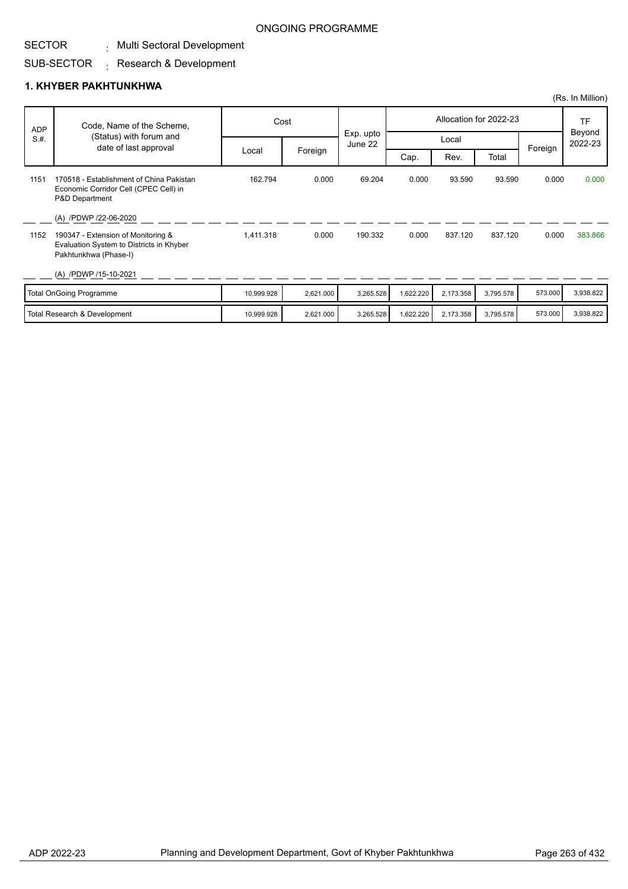#### SECTOR . Multi Sectoral Development

#### SUB-SECTOR  $\colon$  Research & Development

### **1. KHYBER PAKHTUNKHWA**

|            |                                                                                                                                  |            |           |                      |           |           |                        |         | (Rs. In Million)  |
|------------|----------------------------------------------------------------------------------------------------------------------------------|------------|-----------|----------------------|-----------|-----------|------------------------|---------|-------------------|
| <b>ADP</b> | Code, Name of the Scheme,                                                                                                        |            | Cost      |                      |           |           | Allocation for 2022-23 |         | <b>TF</b>         |
| S.H.       | (Status) with forum and<br>date of last approval                                                                                 |            |           | Exp. upto<br>June 22 |           | Local     |                        | Foreign | Beyond<br>2022-23 |
|            |                                                                                                                                  | Local      | Foreign   |                      | Cap.      | Rev.      | Total                  |         |                   |
| 1151       | 170518 - Establishment of China Pakistan<br>Economic Corridor Cell (CPEC Cell) in<br>P&D Department                              | 162.794    | 0.000     | 69.204               | 0.000     | 93.590    | 93.590                 | 0.000   | 0.000             |
| 1152       | (A) /PDWP /22-06-2020<br>190347 - Extension of Monitoring &<br>Evaluation System to Districts in Khyber<br>Pakhtunkhwa (Phase-I) | 1,411.318  | 0.000     | 190.332              | 0.000     | 837.120   | 837.120                | 0.000   | 383.866           |
|            | (A) /PDWP /15-10-2021                                                                                                            |            |           |                      |           |           |                        |         |                   |
|            | <b>Total OnGoing Programme</b>                                                                                                   | 10,999.928 | 2,621.000 | 3,265.528            | 1,622.220 | 2,173.358 | 3,795.578              | 573.000 | 3,938.822         |
|            | Total Research & Development                                                                                                     | 10,999.928 | 2,621.000 | 3,265.528            | 1,622.220 | 2,173.358 | 3,795.578              | 573.000 | 3,938.822         |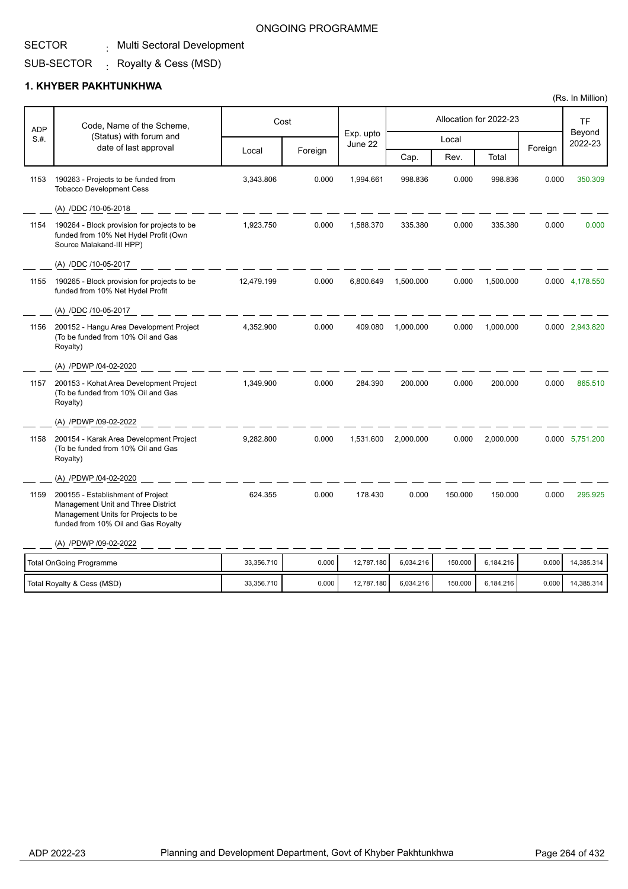# SECTOR

### . Multi Sectoral Development

#### SUB-SECTOR . Royalty & Cess (MSD)

### **1. KHYBER PAKHTUNKHWA**

| <b>ADP</b> | Code, Name of the Scheme,<br>(Status) with forum and                                                                                                  |            | Cost    |                      |           |         | Allocation for 2022-23 |         | TF<br>Beyond    |
|------------|-------------------------------------------------------------------------------------------------------------------------------------------------------|------------|---------|----------------------|-----------|---------|------------------------|---------|-----------------|
| S.H.       | date of last approval                                                                                                                                 |            |         | Exp. upto<br>June 22 |           | Local   |                        | Foreign | 2022-23         |
|            |                                                                                                                                                       | Local      | Foreign |                      | Cap.      | Rev.    | Total                  |         |                 |
| 1153       | 190263 - Projects to be funded from<br><b>Tobacco Development Cess</b>                                                                                | 3,343.806  | 0.000   | 1,994.661            | 998.836   | 0.000   | 998.836                | 0.000   | 350.309         |
|            | (A) /DDC /10-05-2018                                                                                                                                  |            |         |                      |           |         |                        |         |                 |
| 1154       | 190264 - Block provision for projects to be<br>funded from 10% Net Hydel Profit (Own<br>Source Malakand-III HPP)                                      | 1,923.750  | 0.000   | 1,588.370            | 335.380   | 0.000   | 335.380                | 0.000   | 0.000           |
|            | (A) /DDC /10-05-2017                                                                                                                                  |            |         |                      |           |         |                        |         |                 |
| 1155       | 190265 - Block provision for projects to be<br>funded from 10% Net Hydel Profit                                                                       | 12,479.199 | 0.000   | 6,800.649            | 1,500.000 | 0.000   | 1,500.000              |         | 0.000 4,178.550 |
|            | (A) /DDC /10-05-2017                                                                                                                                  |            |         |                      |           |         |                        |         |                 |
| 1156       | 200152 - Hangu Area Development Project<br>(To be funded from 10% Oil and Gas<br>Royalty)                                                             | 4,352.900  | 0.000   | 409.080              | 1,000.000 | 0.000   | 1,000.000              |         | 0.000 2,943.820 |
|            | (A) /PDWP /04-02-2020                                                                                                                                 |            |         |                      |           |         |                        |         |                 |
| 1157       | 200153 - Kohat Area Development Project<br>(To be funded from 10% Oil and Gas<br>Royalty)                                                             | 1,349.900  | 0.000   | 284.390              | 200.000   | 0.000   | 200.000                | 0.000   | 865.510         |
|            | (A) /PDWP /09-02-2022                                                                                                                                 |            |         |                      |           |         |                        |         |                 |
| 1158       | 200154 - Karak Area Development Project<br>(To be funded from 10% Oil and Gas<br>Royalty)                                                             | 9,282.800  | 0.000   | 1,531.600            | 2,000.000 | 0.000   | 2,000.000              |         | 0.000 5,751.200 |
|            | (A) /PDWP /04-02-2020                                                                                                                                 |            |         |                      |           |         |                        |         |                 |
| 1159       | 200155 - Establishment of Project<br>Management Unit and Three District<br>Management Units for Projects to be<br>funded from 10% Oil and Gas Royalty | 624.355    | 0.000   | 178.430              | 0.000     | 150.000 | 150.000                | 0.000   | 295.925         |
|            | (A) /PDWP /09-02-2022                                                                                                                                 |            |         |                      |           |         |                        |         |                 |
|            | <b>Total OnGoing Programme</b>                                                                                                                        | 33,356.710 | 0.000   | 12,787.180           | 6,034.216 | 150.000 | 6,184.216              | 0.000   | 14,385.314      |
|            | Total Royalty & Cess (MSD)                                                                                                                            | 33,356.710 | 0.000   | 12,787.180           | 6,034.216 | 150.000 | 6,184.216              | 0.000   | 14,385.314      |

# ONGOING PROGRAMME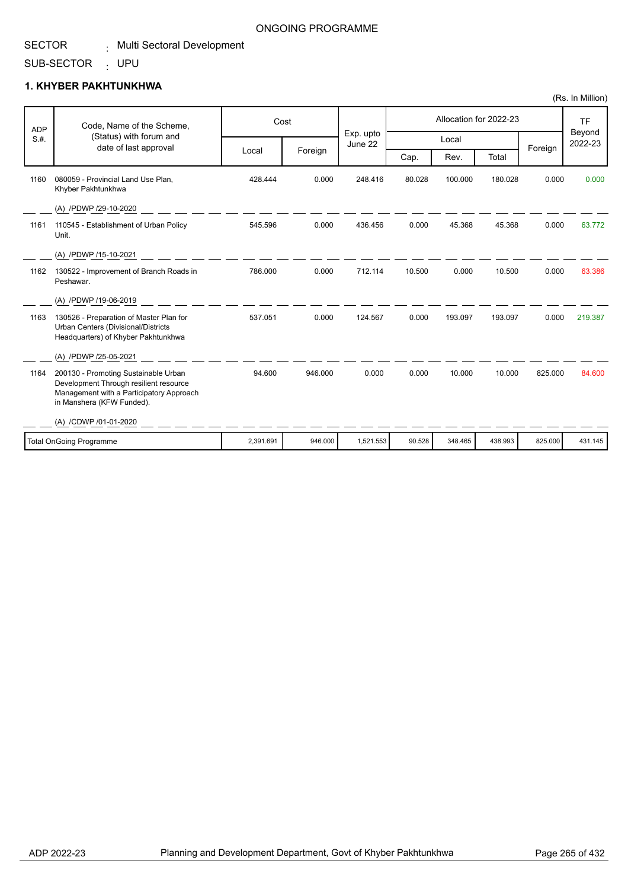#### SUB-SECTOR UPU :

### **1. KHYBER PAKHTUNKHWA**

| <b>ADP</b> | Code, Name of the Scheme,                                                                                                                               |           | Cost    |                      |        |         | Allocation for 2022-23 |         | <b>TF</b>         |
|------------|---------------------------------------------------------------------------------------------------------------------------------------------------------|-----------|---------|----------------------|--------|---------|------------------------|---------|-------------------|
| S.H.       | (Status) with forum and<br>date of last approval                                                                                                        |           |         | Exp. upto<br>June 22 |        | Local   |                        |         | Beyond<br>2022-23 |
|            |                                                                                                                                                         | Local     | Foreign |                      | Cap.   | Rev.    | Total                  | Foreign |                   |
| 1160       | 080059 - Provincial Land Use Plan.<br>Khyber Pakhtunkhwa                                                                                                | 428.444   | 0.000   | 248.416              | 80.028 | 100.000 | 180.028                | 0.000   | 0.000             |
|            | (A) /PDWP /29-10-2020                                                                                                                                   |           |         |                      |        |         |                        |         |                   |
| 1161       | 110545 - Establishment of Urban Policy<br>Unit.                                                                                                         | 545.596   | 0.000   | 436.456              | 0.000  | 45.368  | 45.368                 | 0.000   | 63.772            |
|            | (A) /PDWP /15-10-2021                                                                                                                                   |           |         |                      |        |         |                        |         |                   |
| 1162       | 130522 - Improvement of Branch Roads in<br>Peshawar.                                                                                                    | 786.000   | 0.000   | 712.114              | 10.500 | 0.000   | 10.500                 | 0.000   | 63.386            |
|            | (A) /PDWP /19-06-2019                                                                                                                                   |           |         |                      |        |         |                        |         |                   |
| 1163       | 130526 - Preparation of Master Plan for<br>Urban Centers (Divisional/Districts<br>Headquarters) of Khyber Pakhtunkhwa                                   | 537.051   | 0.000   | 124.567              | 0.000  | 193.097 | 193.097                | 0.000   | 219.387           |
|            | (A) /PDWP /25-05-2021                                                                                                                                   |           |         |                      |        |         |                        |         |                   |
| 1164       | 200130 - Promoting Sustainable Urban<br>Development Through resilient resource<br>Management with a Participatory Approach<br>in Manshera (KFW Funded). | 94.600    | 946.000 | 0.000                | 0.000  | 10.000  | 10.000                 | 825.000 | 84.600            |
|            | (A) /CDWP /01-01-2020                                                                                                                                   |           |         |                      |        |         |                        |         |                   |
|            | Total OnGoing Programme                                                                                                                                 | 2,391.691 | 946.000 | 1,521.553            | 90.528 | 348.465 | 438.993                | 825.000 | 431.145           |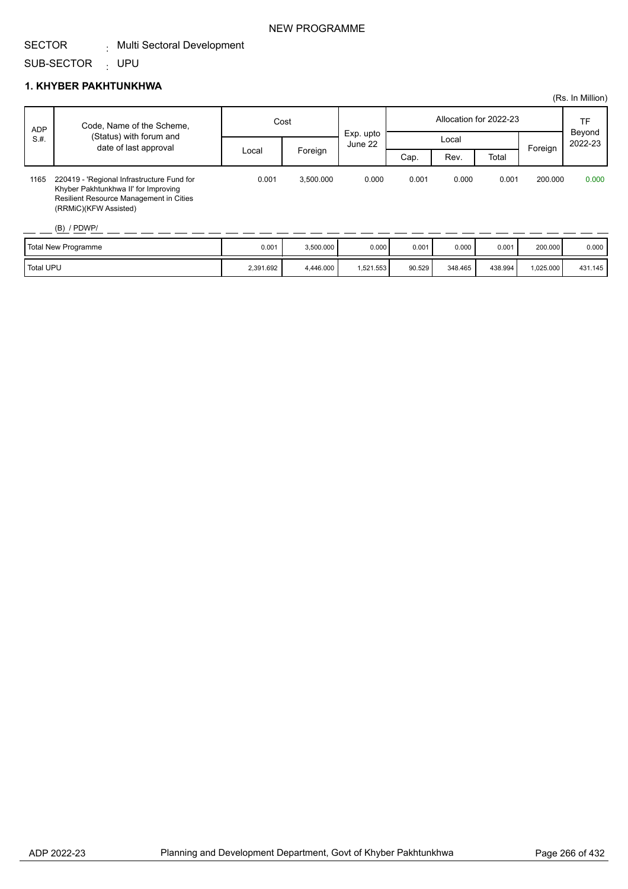#### SUB-SECTOR UPU :

### **1. KHYBER PAKHTUNKHWA**

|            |                                                                                                                                                                         |       |           |                      |                        |       |       |         | (Rs. In Million)  |
|------------|-------------------------------------------------------------------------------------------------------------------------------------------------------------------------|-------|-----------|----------------------|------------------------|-------|-------|---------|-------------------|
| <b>ADP</b> | Code, Name of the Scheme,                                                                                                                                               | Cost  |           |                      | Allocation for 2022-23 |       |       |         | TF                |
| S.H.       | (Status) with forum and                                                                                                                                                 |       |           | Exp. upto<br>June 22 |                        | Local |       |         | Beyond<br>2022-23 |
|            | date of last approval                                                                                                                                                   | Local | Foreign   |                      | Cap.                   | Rev.  | Total | Foreign |                   |
| 1165       | 220419 - 'Regional Infrastructure Fund for<br>Khyber Pakhtunkhwa II' for Improving<br>Resilient Resource Management in Cities<br>(RRMIC)(KFW Assisted)<br>$(B)$ / PDWP/ | 0.001 | 3,500.000 | 0.000                | 0.001                  | 0.000 | 0.001 | 200.000 | 0.000             |
|            | <b>Total Now Drogrammo</b>                                                                                                                                              | 0.001 | 2.500,000 | n nnn I              | 0.001                  | 0.000 | 0.001 | 200.000 | n nnn 1           |

| Total New Programme | 0.001     | 3,500.000 | 0.000    | 0.001  | 0.000   | 0.001   | 200.000  | 0.000   |
|---------------------|-----------|-----------|----------|--------|---------|---------|----------|---------|
| <b>Total UPU</b>    | 2.391.692 | 4,446.000 | .521.553 | 90.529 | 348.465 | 438.994 | ,025.000 | 431.145 |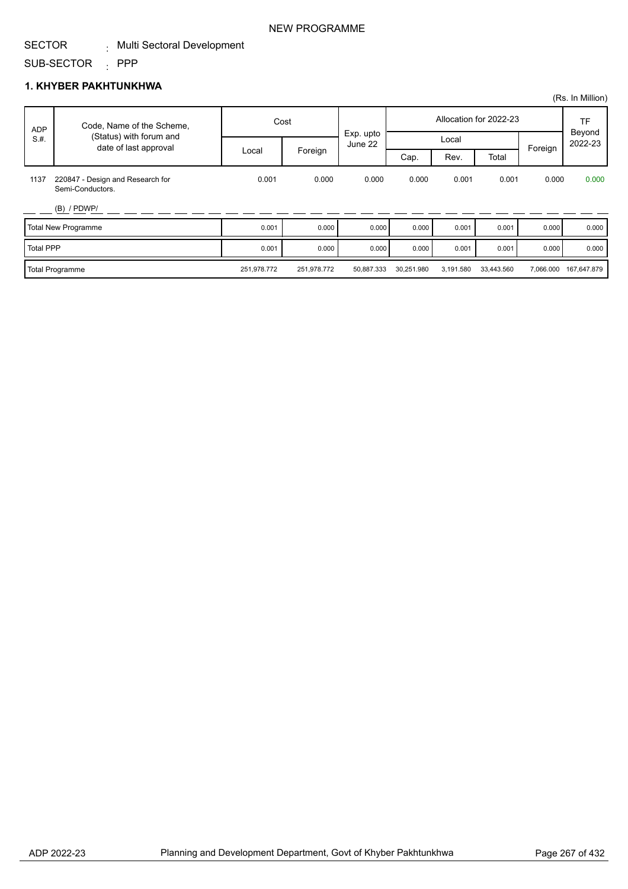#### SUB-SECTOR : PPP

### **1. KHYBER PAKHTUNKHWA**

|                  |                                                      |             |             |                      |            |           |                        |           | (Rs. In Million)    |
|------------------|------------------------------------------------------|-------------|-------------|----------------------|------------|-----------|------------------------|-----------|---------------------|
| <b>ADP</b>       | Code, Name of the Scheme,<br>(Status) with forum and |             | Cost        |                      |            |           | Allocation for 2022-23 |           | <b>TF</b><br>Beyond |
| S.H.             |                                                      |             |             | Exp. upto<br>June 22 | Local      |           |                        | 2022-23   |                     |
|                  | date of last approval                                | Local       | Foreign     |                      | Cap.       | Rev.      | Total                  | Foreign   |                     |
| 1137             | 220847 - Design and Research for<br>Semi-Conductors. | 0.001       | 0.000       | 0.000                | 0.000      | 0.001     | 0.001                  | 0.000     | 0.000               |
|                  | $(B)$ / PDWP/                                        |             |             |                      |            |           |                        |           |                     |
|                  | <b>Total New Programme</b>                           | 0.001       | 0.000       | 0.000                | 0.000      | 0.001     | 0.001                  | 0.000     | 0.000               |
| <b>Total PPP</b> |                                                      | 0.001       | 0.000       | 0.000                | 0.000      | 0.001     | 0.001                  | 0.000     | 0.000               |
|                  | <b>Total Programme</b>                               | 251,978.772 | 251,978.772 | 50,887.333           | 30,251.980 | 3,191.580 | 33,443.560             | 7,066.000 | 167,647.879         |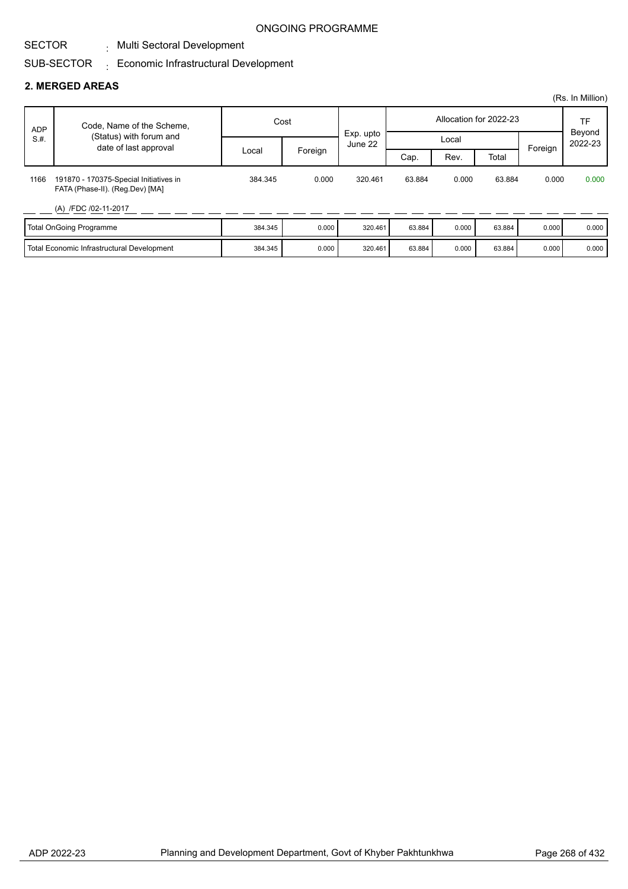#### SECTOR . Multi Sectoral Development

#### SUB-SECTOR  $_{\rm \pm}$  Economic Infrastructural Development

#### **2. MERGED AREAS**

|            |                                                                           |         |         |                      |                        |       |        |       | (Rs. In Million) |         |                   |
|------------|---------------------------------------------------------------------------|---------|---------|----------------------|------------------------|-------|--------|-------|------------------|---------|-------------------|
| <b>ADP</b> | Code, Name of the Scheme,                                                 | Cost    |         |                      | Allocation for 2022-23 |       |        |       | TF               |         |                   |
| S.H.       | (Status) with forum and<br>date of last approval                          |         |         | Exp. upto<br>June 22 |                        | Local |        |       |                  | Foreign | Beyond<br>2022-23 |
|            |                                                                           | Local   | Foreign |                      | Cap.                   | Rev.  | Total  |       |                  |         |                   |
| 1166       | 191870 - 170375-Special Initiatives in<br>FATA (Phase-II). (Reg.Dev) [MA] | 384.345 | 0.000   | 320.461              | 63.884                 | 0.000 | 63.884 | 0.000 | 0.000            |         |                   |
|            | (A) /FDC /02-11-2017                                                      |         |         |                      |                        |       |        |       |                  |         |                   |
|            | <b>Total OnGoing Programme</b>                                            | 384.345 | 0.000   | 320.461              | 63.884                 | 0.000 | 63.884 | 0.000 | 0.000            |         |                   |
|            | Total Economic Infrastructural Development                                | 384.345 | 0.000   | 320.461              | 63.884                 | 0.000 | 63.884 | 0.000 | 0.000            |         |                   |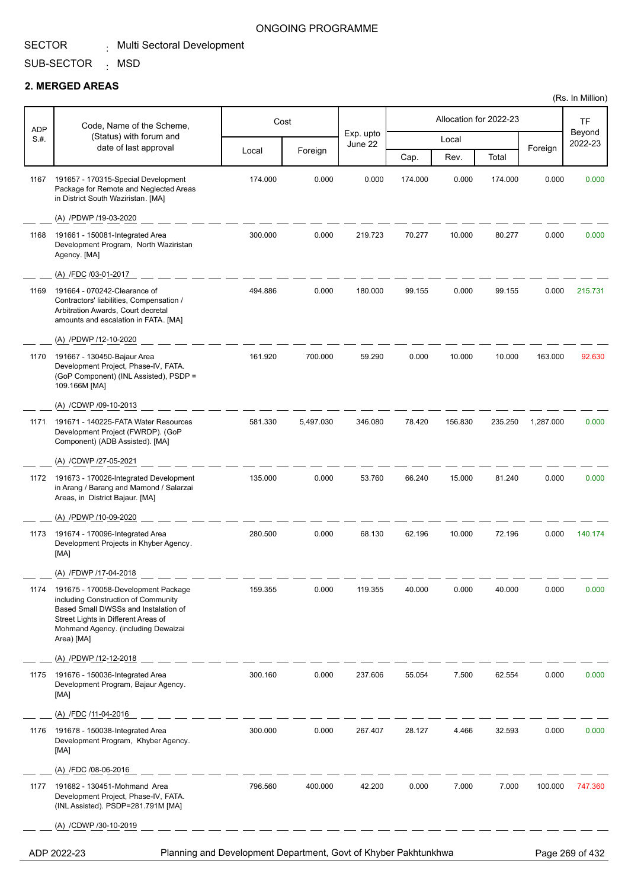SECTOR <sub>:</sub> Multi Sectoral Development

# SUB-SECTOR <sub>:</sub> MSD **2. MERGED AREAS**

|                      |                                                                                                                                                                                                                |         |           |                      |         |                        |         |           | (Rs. In Million)  |
|----------------------|----------------------------------------------------------------------------------------------------------------------------------------------------------------------------------------------------------------|---------|-----------|----------------------|---------|------------------------|---------|-----------|-------------------|
|                      | Code, Name of the Scheme,                                                                                                                                                                                      |         | Cost      |                      |         | Allocation for 2022-23 |         |           | TF                |
| <b>ADP</b><br>$S#$ . | (Status) with forum and<br>date of last approval                                                                                                                                                               |         |           | Exp. upto<br>June 22 |         | Local                  |         |           | Beyond<br>2022-23 |
|                      |                                                                                                                                                                                                                | Local   | Foreign   |                      | Cap.    | Rev.                   | Total   | Foreign   |                   |
| 1167                 | 191657 - 170315-Special Development<br>Package for Remote and Neglected Areas<br>in District South Waziristan. [MA]                                                                                            | 174.000 | 0.000     | 0.000                | 174.000 | 0.000                  | 174.000 | 0.000     | 0.000             |
|                      | (A) /PDWP /19-03-2020                                                                                                                                                                                          |         |           |                      |         |                        |         |           |                   |
| 1168                 | 191661 - 150081-Integrated Area<br>Development Program, North Waziristan<br>Agency. [MA]                                                                                                                       | 300.000 | 0.000     | 219.723              | 70.277  | 10.000                 | 80.277  | 0.000     | 0.000             |
|                      | (A) /FDC /03-01-2017                                                                                                                                                                                           |         |           |                      |         |                        |         |           |                   |
| 1169                 | 191664 - 070242-Clearance of<br>Contractors' liabilities, Compensation /<br>Arbitration Awards, Court decretal<br>amounts and escalation in FATA. [MA]                                                         | 494.886 | 0.000     | 180.000              | 99.155  | 0.000                  | 99.155  | 0.000     | 215.731           |
|                      | (A) /PDWP /12-10-2020                                                                                                                                                                                          |         |           |                      |         |                        |         |           |                   |
| 1170                 | 191667 - 130450-Bajaur Area<br>Development Project, Phase-IV, FATA.<br>(GoP Component) (INL Assisted), PSDP =<br>109.166M [MA]                                                                                 | 161.920 | 700.000   | 59.290               | 0.000   | 10.000                 | 10.000  | 163.000   | 92.630            |
|                      | (A) /CDWP /09-10-2013                                                                                                                                                                                          |         |           |                      |         |                        |         |           |                   |
| 1171                 | 191671 - 140225-FATA Water Resources<br>Development Project (FWRDP). (GoP<br>Component) (ADB Assisted). [MA]                                                                                                   | 581.330 | 5,497.030 | 346.080              | 78.420  | 156.830                | 235.250 | 1,287.000 | 0.000             |
|                      | (A) /CDWP /27-05-2021                                                                                                                                                                                          |         |           |                      |         |                        |         |           |                   |
| 1172                 | 191673 - 170026-Integrated Development<br>in Arang / Barang and Mamond / Salarzai<br>Areas, in District Bajaur. [MA]                                                                                           | 135.000 | 0.000     | 53.760               | 66.240  | 15.000                 | 81.240  | 0.000     | 0.000             |
|                      | (A) /PDWP /10-09-2020                                                                                                                                                                                          |         |           |                      |         |                        |         |           |                   |
| 1173                 | 191674 - 170096-Integrated Area<br>Development Projects in Khyber Agency.<br>[MA]                                                                                                                              | 280.500 | 0.000     | 68.130               | 62.196  | 10.000                 | 72.196  | 0.000     | 140.174           |
|                      | (A) /FDWP /17-04-2018                                                                                                                                                                                          |         |           |                      |         |                        |         |           |                   |
| 1174                 | 191675 - 170058-Development Package<br>including Construction of Community<br>Based Small DWSSs and Instalation of<br>Street Lights in Different Areas of<br>Mohmand Agency. (including Dewaizai<br>Area) [MA] | 159.355 | 0.000     | 119.355              | 40.000  | 0.000                  | 40.000  | 0.000     | 0.000             |
|                      | (A) /PDWP /12-12-2018                                                                                                                                                                                          |         |           |                      |         |                        |         |           |                   |
| 1175                 | 191676 - 150036-Integrated Area<br>Development Program, Bajaur Agency.<br>[MA]                                                                                                                                 | 300.160 | 0.000     | 237.606              | 55.054  | 7.500                  | 62.554  | 0.000     | 0.000             |
|                      | (A) /FDC /11-04-2016                                                                                                                                                                                           |         |           |                      |         |                        |         |           |                   |
| 1176                 | 191678 - 150038-Integrated Area<br>Development Program, Khyber Agency.<br>[MA]                                                                                                                                 | 300.000 | 0.000     | 267.407              | 28.127  | 4.466                  | 32.593  | 0.000     | 0.000             |
|                      | (A) /FDC /08-06-2016                                                                                                                                                                                           |         |           |                      |         |                        |         |           |                   |
| 1177                 | 191682 - 130451-Mohmand Area<br>Development Project, Phase-IV, FATA.<br>(INL Assisted). PSDP=281.791M [MA]                                                                                                     | 796.560 | 400.000   | 42.200               | 0.000   | 7.000                  | 7.000   | 100.000   | 747.360           |
|                      | (A) /CDWP /30-10-2019                                                                                                                                                                                          |         |           |                      |         |                        |         |           |                   |
|                      | Planning and Development Department, Govt of Khyber Pakhtunkhwa<br>ADP 2022-23                                                                                                                                 |         |           |                      |         |                        |         |           | Page 269 of 432   |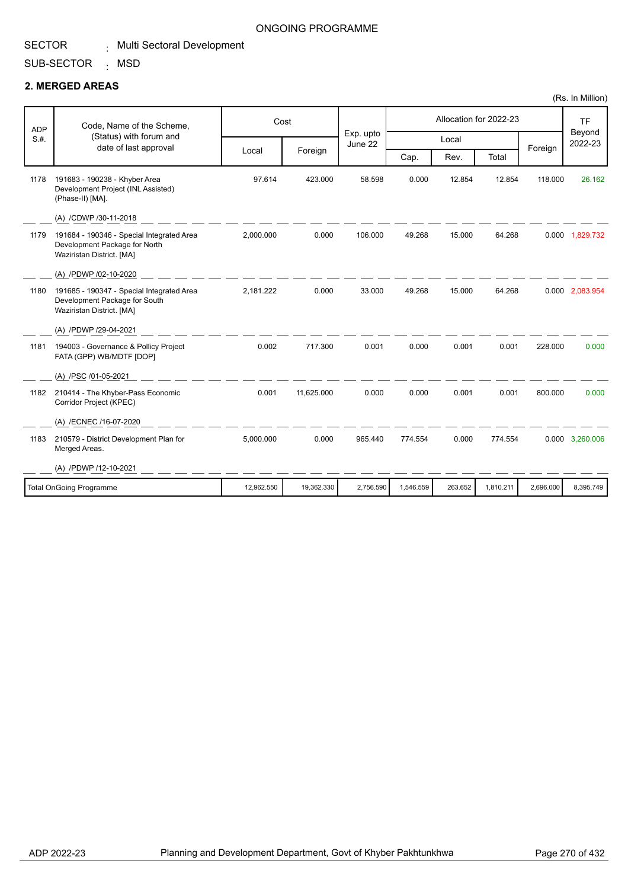# SECTOR

### ONGOING PROGRAMME

SUB-SECTOR . Multi Sectoral Development

<sub>:</sub> MSD

## **2. MERGED AREAS**

| <b>ADP</b> | Code, Name of the Scheme,                                                                               | Cost       |            |                      |           |         | Allocation for 2022-23 |           | <b>TF</b>         |
|------------|---------------------------------------------------------------------------------------------------------|------------|------------|----------------------|-----------|---------|------------------------|-----------|-------------------|
| S.H.       | (Status) with forum and<br>date of last approval                                                        |            |            | Exp. upto<br>June 22 |           | Local   |                        | Foreign   | Beyond<br>2022-23 |
|            |                                                                                                         | Local      | Foreign    |                      | Cap.      | Rev.    | Total                  |           |                   |
| 1178       | 191683 - 190238 - Khyber Area<br>Development Project (INL Assisted)<br>(Phase-II) [MA].                 | 97.614     | 423.000    | 58.598               | 0.000     | 12.854  | 12.854                 | 118.000   | 26.162            |
|            | (A) /CDWP /30-11-2018                                                                                   |            |            |                      |           |         |                        |           |                   |
| 1179       | 191684 - 190346 - Special Integrated Area<br>Development Package for North<br>Waziristan District. [MA] | 2,000.000  | 0.000      | 106.000              | 49.268    | 15.000  | 64.268                 |           | 0.000 1,829.732   |
|            | (A) /PDWP /02-10-2020                                                                                   |            |            |                      |           |         |                        |           |                   |
| 1180       | 191685 - 190347 - Special Integrated Area<br>Development Package for South<br>Waziristan District. [MA] | 2,181.222  | 0.000      | 33.000               | 49.268    | 15.000  | 64.268                 |           | 0.000 2,083.954   |
|            | (A) /PDWP /29-04-2021                                                                                   |            |            |                      |           |         |                        |           |                   |
| 1181       | 194003 - Governance & Pollicy Project<br>FATA (GPP) WB/MDTF [DOP]                                       | 0.002      | 717.300    | 0.001                | 0.000     | 0.001   | 0.001                  | 228.000   | 0.000             |
|            | (A) /PSC /01-05-2021                                                                                    |            |            |                      |           |         |                        |           |                   |
| 1182       | 210414 - The Khyber-Pass Economic<br>Corridor Project (KPEC)                                            | 0.001      | 11.625.000 | 0.000                | 0.000     | 0.001   | 0.001                  | 800.000   | 0.000             |
|            | (A) /ECNEC /16-07-2020                                                                                  |            |            |                      |           |         |                        |           |                   |
| 1183       | 210579 - District Development Plan for<br>Merged Areas.                                                 | 5,000.000  | 0.000      | 965.440              | 774.554   | 0.000   | 774.554                |           | 0.000 3,260.006   |
|            | (A) /PDWP /12-10-2021                                                                                   |            |            |                      |           |         |                        |           |                   |
|            | <b>Total OnGoing Programme</b>                                                                          | 12.962.550 | 19.362.330 | 2,756.590            | 1.546.559 | 263.652 | 1.810.211              | 2.696.000 | 8,395.749         |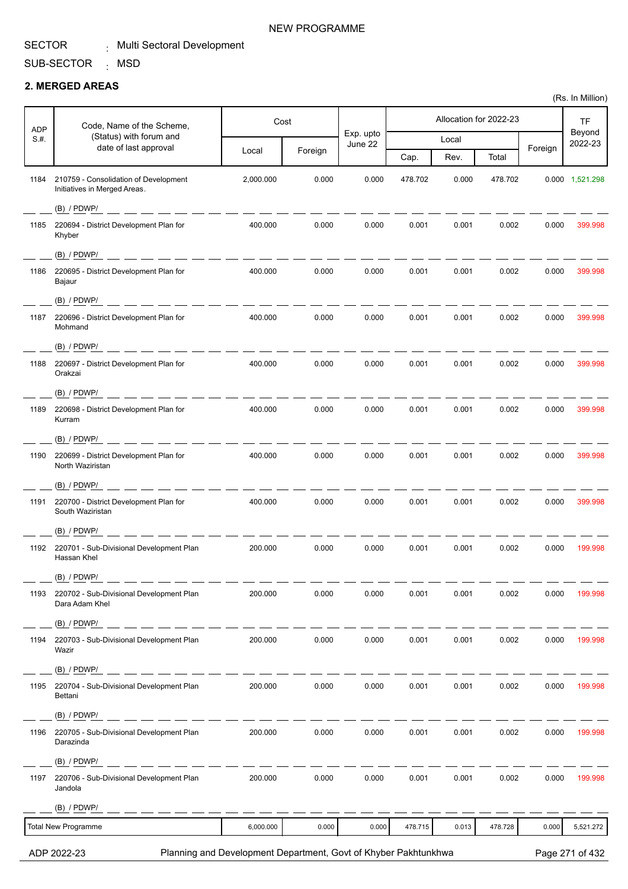т

### NEW PROGRAMME

T

T

### SUB-SECTOR <sub>:</sub> MSD

### **2. MERGED AREAS**

Τ

 $\overline{1}$ 

| <b>ADP</b> | Code, Name of the Scheme,                                             | Cost                                                            |         |                      |         |       | Allocation for 2022-23 |         | TF                |
|------------|-----------------------------------------------------------------------|-----------------------------------------------------------------|---------|----------------------|---------|-------|------------------------|---------|-------------------|
| S.H.       | (Status) with forum and<br>date of last approval                      |                                                                 |         | Exp. upto<br>June 22 |         | Local |                        |         | Beyond<br>2022-23 |
|            |                                                                       | Local                                                           | Foreign |                      | Cap.    | Rev.  | Total                  | Foreign |                   |
| 1184       | 210759 - Consolidation of Development<br>Initiatives in Merged Areas. | 2,000.000                                                       | 0.000   | 0.000                | 478.702 | 0.000 | 478.702                |         | 0.000 1,521.298   |
|            | $(B)$ / PDWP/                                                         |                                                                 |         |                      |         |       |                        |         |                   |
| 1185       | 220694 - District Development Plan for<br>Khyber                      | 400.000                                                         | 0.000   | 0.000                | 0.001   | 0.001 | 0.002                  | 0.000   | 399.998           |
|            | $(B)$ / PDWP/<br>. __ __ __ __ __ __                                  |                                                                 |         |                      |         |       |                        |         |                   |
| 1186       | 220695 - District Development Plan for<br>Bajaur                      | 400.000                                                         | 0.000   | 0.000                | 0.001   | 0.001 | 0.002                  | 0.000   | 399.998           |
|            | $(B)$ / PDWP/                                                         |                                                                 |         |                      |         |       |                        |         |                   |
| 1187       | 220696 - District Development Plan for<br>Mohmand                     | 400.000                                                         | 0.000   | 0.000                | 0.001   | 0.001 | 0.002                  | 0.000   | 399.998           |
|            | $(B)$ / PDWP/                                                         |                                                                 |         |                      |         |       |                        |         |                   |
| 1188       | 220697 - District Development Plan for<br>Orakzai                     | 400.000                                                         | 0.000   | 0.000                | 0.001   | 0.001 | 0.002                  | 0.000   | 399.998           |
|            | (B) / PDWP/<br>ساد سند است. سند است                                   |                                                                 |         |                      |         |       |                        |         |                   |
| 1189       | 220698 - District Development Plan for<br>Kurram                      | 400.000                                                         | 0.000   | 0.000                | 0.001   | 0.001 | 0.002                  | 0.000   | 399.998           |
|            | $(B)$ / PDWP/                                                         |                                                                 |         |                      |         |       |                        |         |                   |
| 1190       | 220699 - District Development Plan for<br>North Waziristan            | 400.000                                                         | 0.000   | 0.000                | 0.001   | 0.001 | 0.002                  | 0.000   | 399.998           |
|            | $(B)$ / PDWP/                                                         |                                                                 |         |                      |         |       |                        |         |                   |
| 1191       | 220700 - District Development Plan for<br>South Waziristan            | 400.000                                                         | 0.000   | 0.000                | 0.001   | 0.001 | 0.002                  | 0.000   | 399.998           |
|            | $(B)$ / PDWP/                                                         |                                                                 |         |                      |         |       |                        |         |                   |
| 1192       | 220701 - Sub-Divisional Development Plan<br>Hassan Khel               | 200.000                                                         | 0.000   | 0.000                | 0.001   | 0.001 | 0.002                  | 0.000   | 199.998           |
|            | $(B)$ / PDWP/                                                         |                                                                 |         |                      |         |       |                        |         |                   |
| 1193       | 220702 - Sub-Divisional Development Plan<br>Dara Adam Khel            | 200.000                                                         | 0.000   | 0.000                | 0.001   | 0.001 | 0.002                  | 0.000   | 199.998           |
|            | $(B)$ / PDWP/                                                         |                                                                 |         |                      |         |       |                        |         |                   |
| 1194       | 220703 - Sub-Divisional Development Plan<br>Wazir                     | 200.000                                                         | 0.000   | 0.000                | 0.001   | 0.001 | 0.002                  | 0.000   | 199.998           |
|            | (B) / PDWP/                                                           |                                                                 |         |                      |         |       |                        |         |                   |
| 1195       | 220704 - Sub-Divisional Development Plan<br>Bettani                   | 200.000                                                         | 0.000   | 0.000                | 0.001   | 0.001 | 0.002                  | 0.000   | 199.998           |
|            | $(B)$ / PDWP/                                                         |                                                                 |         |                      |         |       |                        |         |                   |
| 1196       | 220705 - Sub-Divisional Development Plan<br>Darazinda                 | 200.000                                                         | 0.000   | 0.000                | 0.001   | 0.001 | 0.002                  | 0.000   | 199.998           |
|            | $(B)$ / PDWP/                                                         |                                                                 |         |                      |         |       |                        |         |                   |
| 1197       | 220706 - Sub-Divisional Development Plan<br>Jandola                   | 200.000                                                         | 0.000   | 0.000                | 0.001   | 0.001 | 0.002                  | 0.000   | 199.998           |
|            | $(B)$ / PDWP/                                                         |                                                                 |         |                      |         |       |                        |         |                   |
|            | <b>Total New Programme</b>                                            | 6,000.000                                                       | 0.000   | 0.000                | 478.715 | 0.013 | 478.728                | 0.000   | 5,521.272         |
|            | ADP 2022-23                                                           | Planning and Development Department, Govt of Khyber Pakhtunkhwa |         |                      |         |       |                        |         | Page 271 of 432   |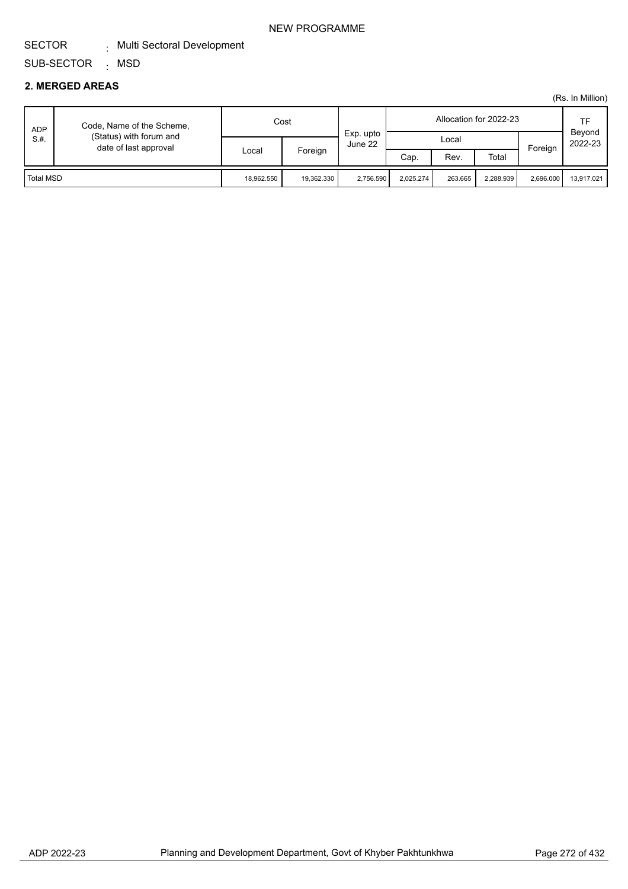### NEW PROGRAMME

#### SECTOR . Multi Sectoral Development

#### SUB-SECTOR <sub>:</sub> MSD

### **2. MERGED AREAS**

| <b>ADP</b> | Code, Name of the Scheme,<br>(Status) with forum and<br>date of last approval |            | Cost       |                      |           | Allocation for 2022-23 |           | ТF                |            |
|------------|-------------------------------------------------------------------------------|------------|------------|----------------------|-----------|------------------------|-----------|-------------------|------------|
| S.#.       |                                                                               | Local      |            | Exp. upto<br>June 22 | Local     |                        | Foreign   | Beyond<br>2022-23 |            |
|            |                                                                               |            | Foreign    |                      | Cap.      | Rev.                   | Total     |                   |            |
| Total MSD  |                                                                               | 18.962.550 | 19,362.330 | 2.756.590            | 2.025.274 | 263.665                | 2.288.939 | 2.696.000         | 13.917.021 |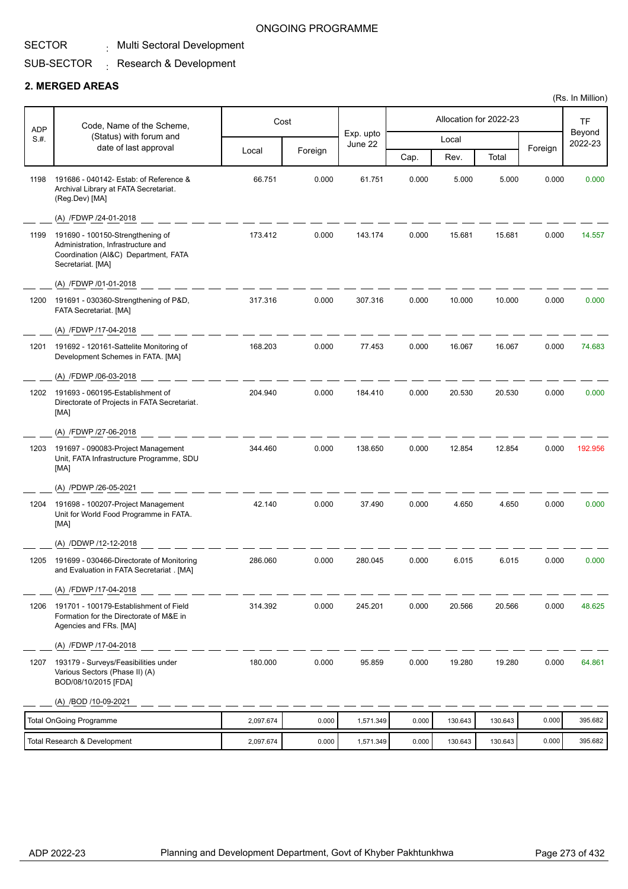### SECTOR

#### Multi Sectoral Development :

#### SUB-SECTOR  $\colon$  Research & Development

### **2. MERGED AREAS**

| <b>ADP</b> | Code, Name of the Scheme,                                                                                                           |           | Cost    |                      |       |         | Allocation for 2022-23 |         | <b>TF</b>         |
|------------|-------------------------------------------------------------------------------------------------------------------------------------|-----------|---------|----------------------|-------|---------|------------------------|---------|-------------------|
| S.#.       | (Status) with forum and                                                                                                             |           |         | Exp. upto<br>June 22 |       | Local   |                        |         | Beyond<br>2022-23 |
|            | date of last approval                                                                                                               | Local     | Foreign |                      | Cap.  | Rev.    | Total                  | Foreign |                   |
| 1198       | 191686 - 040142- Estab: of Reference &<br>Archival Library at FATA Secretariat.<br>(Reg.Dev) [MA]                                   | 66.751    | 0.000   | 61.751               | 0.000 | 5.000   | 5.000                  | 0.000   | 0.000             |
|            | (A) /FDWP /24-01-2018                                                                                                               |           |         |                      |       |         |                        |         |                   |
| 1199       | 191690 - 100150-Strengthening of<br>Administration, Infrastructure and<br>Coordination (AI&C) Department, FATA<br>Secretariat. [MA] | 173.412   | 0.000   | 143.174              | 0.000 | 15.681  | 15.681                 | 0.000   | 14.557            |
|            | (A) /FDWP /01-01-2018                                                                                                               |           |         |                      |       |         |                        |         |                   |
| 1200       | 191691 - 030360-Strengthening of P&D,<br>FATA Secretariat. [MA]                                                                     | 317.316   | 0.000   | 307.316              | 0.000 | 10.000  | 10.000                 | 0.000   | 0.000             |
|            | (A) /FDWP /17-04-2018                                                                                                               |           |         |                      |       |         |                        |         |                   |
| 1201       | 191692 - 120161-Sattelite Monitoring of<br>Development Schemes in FATA. [MA]                                                        | 168.203   | 0.000   | 77.453               | 0.000 | 16.067  | 16.067                 | 0.000   | 74.683            |
|            | (A) /FDWP /06-03-2018                                                                                                               |           |         |                      |       |         |                        |         |                   |
| 1202       | 191693 - 060195-Establishment of<br>Directorate of Projects in FATA Secretariat.<br>[MA]                                            | 204.940   | 0.000   | 184.410              | 0.000 | 20.530  | 20.530                 | 0.000   | 0.000             |
|            | (A) /FDWP /27-06-2018                                                                                                               |           |         |                      |       |         |                        |         |                   |
| 1203       | 191697 - 090083-Project Management<br>Unit, FATA Infrastructure Programme, SDU<br>[MA]                                              | 344.460   | 0.000   | 138.650              | 0.000 | 12.854  | 12.854                 | 0.000   | 192.956           |
|            | (A) /PDWP /26-05-2021                                                                                                               |           |         |                      |       |         |                        |         |                   |
| 1204       | 191698 - 100207-Project Management<br>Unit for World Food Programme in FATA.<br>[MA]                                                | 42.140    | 0.000   | 37.490               | 0.000 | 4.650   | 4.650                  | 0.000   | 0.000             |
|            | (A) /DDWP /12-12-2018                                                                                                               |           |         |                      |       |         |                        |         |                   |
| 1205       | 191699 - 030466-Directorate of Monitoring<br>and Evaluation in FATA Secretariat . [MA]                                              | 286.060   | 0.000   | 280.045              | 0.000 | 6.015   | 6.015                  | 0.000   | 0.000             |
|            | (A) /FDWP /17-04-2018                                                                                                               |           |         |                      |       |         |                        |         |                   |
| 1206       | 191701 - 100179-Establishment of Field<br>Formation for the Directorate of M&E in<br>Agencies and FRs. [MA]                         | 314.392   | 0.000   | 245.201              | 0.000 | 20.566  | 20.566                 | 0.000   | 48.625            |
|            | (A) /FDWP /17-04-2018                                                                                                               |           |         |                      |       |         |                        |         |                   |
| 1207       | 193179 - Surveys/Feasibilities under<br>Various Sectors (Phase II) (A)<br>BOD/08/10/2015 [FDA]                                      | 180.000   | 0.000   | 95.859               | 0.000 | 19.280  | 19.280                 | 0.000   | 64.861            |
|            | (A) /BOD /10-09-2021                                                                                                                |           |         |                      |       |         |                        |         |                   |
|            | <b>Total OnGoing Programme</b>                                                                                                      | 2,097.674 | 0.000   | 1,571.349            | 0.000 | 130.643 | 130.643                | 0.000   | 395.682           |
|            | Total Research & Development                                                                                                        | 2,097.674 | 0.000   | 1,571.349            | 0.000 | 130.643 | 130.643                | 0.000   | 395.682           |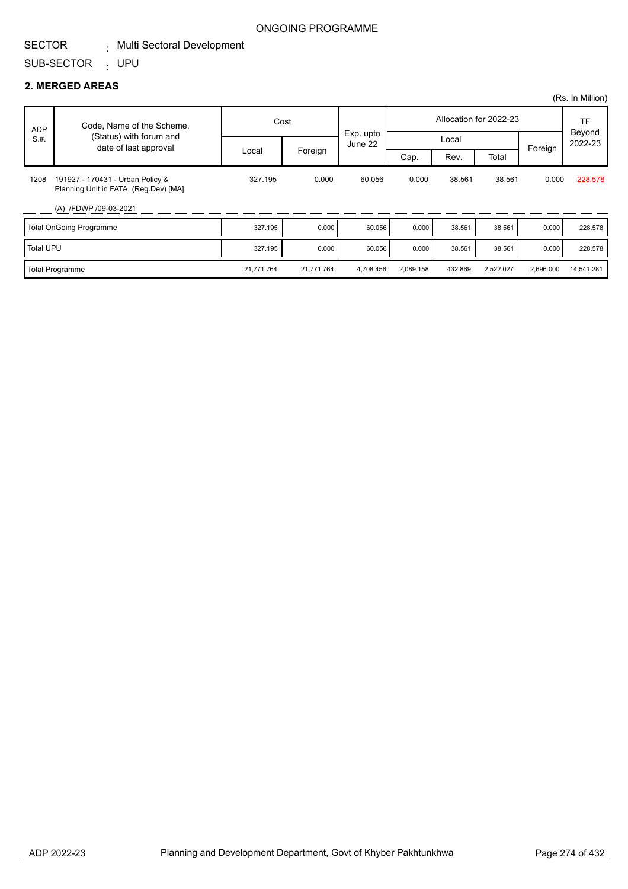# SUB-SECTOR <sub>:</sub> UPU

## **2. MERGED AREAS**

|                  |                                                                           |            |            |                      |           |         |                        |           | (Rs. In Million)  |
|------------------|---------------------------------------------------------------------------|------------|------------|----------------------|-----------|---------|------------------------|-----------|-------------------|
| <b>ADP</b>       | Code, Name of the Scheme,                                                 | Cost       |            |                      |           |         | Allocation for 2022-23 |           | <b>TF</b>         |
| S.H.             | (Status) with forum and<br>date of last approval                          |            |            | Exp. upto<br>June 22 | Local     |         | Foreign                |           | Beyond<br>2022-23 |
|                  |                                                                           | Local      | Foreign    |                      | Cap.      | Rev.    | Total                  |           |                   |
| 1208             | 191927 - 170431 - Urban Policy &<br>Planning Unit in FATA. (Reg.Dev) [MA] | 327.195    | 0.000      | 60.056               | 0.000     | 38.561  | 38.561                 | 0.000     | 228,578           |
|                  | (A) /FDWP /09-03-2021                                                     |            |            |                      |           |         |                        |           |                   |
|                  | <b>Total OnGoing Programme</b>                                            | 327.195    | 0.000      | 60.056               | 0.000     | 38.561  | 38.561                 | 0.000     | 228.578           |
| <b>Total UPU</b> |                                                                           | 327.195    | 0.000      | 60.056               | 0.000     | 38.561  | 38.561                 | 0.000     | 228.578           |
|                  | <b>Total Programme</b>                                                    | 21,771.764 | 21,771.764 | 4,708.456            | 2,089.158 | 432.869 | 2,522.027              | 2,696.000 | 14,541.281        |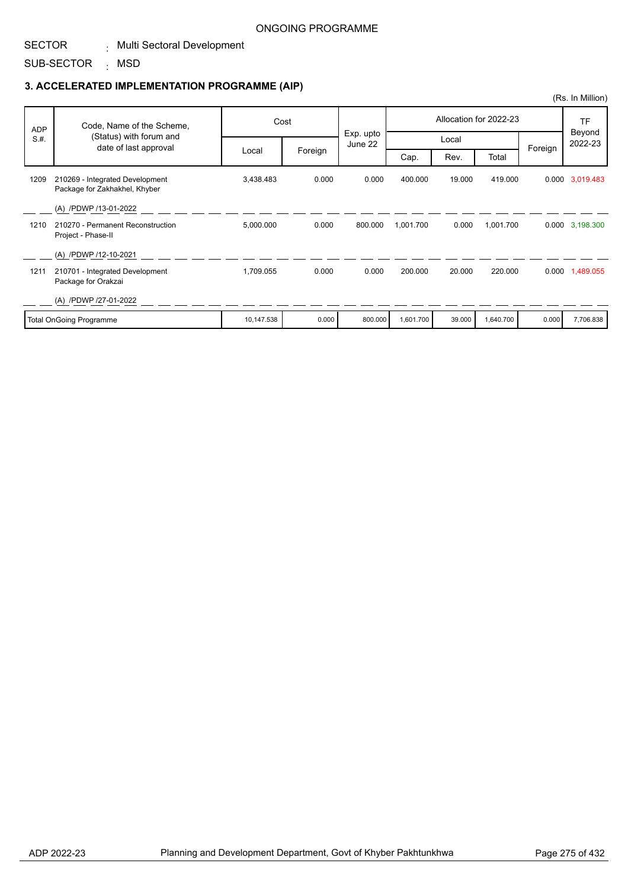#### SECTOR . Multi Sectoral Development

SUB-SECTOR <sub>:</sub> MSD

### **3. ACCELERATED IMPLEMENTATION PROGRAMME (AIP)**

| <b>ADP</b> | Code, Name of the Scheme,                                        |            | Cost    |                      |           |        | Allocation for 2022-23 |         | <b>TF</b><br>Beyond<br>2022-23 |
|------------|------------------------------------------------------------------|------------|---------|----------------------|-----------|--------|------------------------|---------|--------------------------------|
| S.H.       | (Status) with forum and<br>date of last approval                 |            |         | Exp. upto<br>June 22 |           | Local  |                        | Foreign |                                |
|            |                                                                  | Local      | Foreign |                      | Cap.      | Rev.   | Total                  |         |                                |
| 1209       | 210269 - Integrated Development<br>Package for Zakhakhel, Khyber | 3,438.483  | 0.000   | 0.000                | 400.000   | 19.000 | 419.000                |         | 0.000 3,019.483                |
|            | (A) /PDWP /13-01-2022                                            |            |         |                      |           |        |                        |         |                                |
| 1210       | 210270 - Permanent Reconstruction<br>Project - Phase-II          | 5,000.000  | 0.000   | 800.000              | 1,001.700 | 0.000  | 1,001.700              |         | 0.000 3,198.300                |
|            | (A) /PDWP /12-10-2021                                            |            |         |                      |           |        |                        |         |                                |
| 1211       | 210701 - Integrated Development<br>Package for Orakzai           | 1,709.055  | 0.000   | 0.000                | 200.000   | 20.000 | 220.000                |         | 0.000 1,489.055                |
|            | (A) /PDWP /27-01-2022                                            |            |         |                      |           |        |                        |         |                                |
|            | <b>Total OnGoing Programme</b>                                   | 10,147.538 | 0.000   | 800.000              | 1,601.700 | 39.000 | 1,640.700              | 0.000   | 7,706.838                      |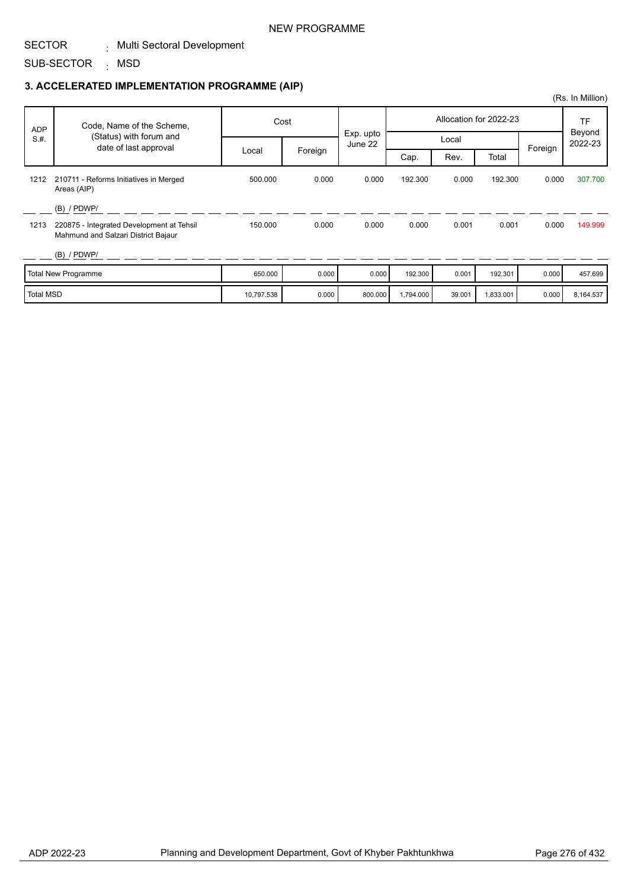### NEW PROGRAMME

#### SECTOR . Multi Sectoral Development

SUB-SECTOR <sub>:</sub> MSD

### **3. ACCELERATED IMPLEMENTATION PROGRAMME (AIP)**

|                  |                                                                                  |            |         |                      |           |        |                        |         | (Rs. In Million)  |
|------------------|----------------------------------------------------------------------------------|------------|---------|----------------------|-----------|--------|------------------------|---------|-------------------|
| <b>ADP</b>       | Code, Name of the Scheme,                                                        |            | Cost    |                      |           |        | Allocation for 2022-23 |         | <b>TF</b>         |
| S.H.             | (Status) with forum and<br>date of last approval                                 |            |         | Exp. upto<br>June 22 |           |        |                        | Foreign | Beyond<br>2022-23 |
|                  |                                                                                  | Local      | Foreign |                      | Cap.      | Rev.   | Total                  |         |                   |
| 1212             | 210711 - Reforms Initiatives in Merged<br>Areas (AIP)                            | 500.000    | 0.000   | 0.000                | 192.300   | 0.000  | 192.300                | 0.000   | 307.700           |
|                  | $(B)$ / PDWP/                                                                    |            |         |                      |           |        |                        |         |                   |
| 1213             | 220875 - Integrated Development at Tehsil<br>Mahmund and Salzari District Bajaur | 150.000    | 0.000   | 0.000                | 0.000     | 0.001  | 0.001                  | 0.000   | 149.999           |
|                  | $(B)$ / PDWP/                                                                    |            |         |                      |           |        |                        |         |                   |
|                  | <b>Total New Programme</b>                                                       | 650.000    | 0.000   | 0.000                | 192.300   | 0.001  | 192.301                | 0.000   | 457.699           |
| <b>Total MSD</b> |                                                                                  | 10,797.538 | 0.000   | 800.000              | 1,794.000 | 39.001 | 1,833.001              | 0.000   | 8,164.537         |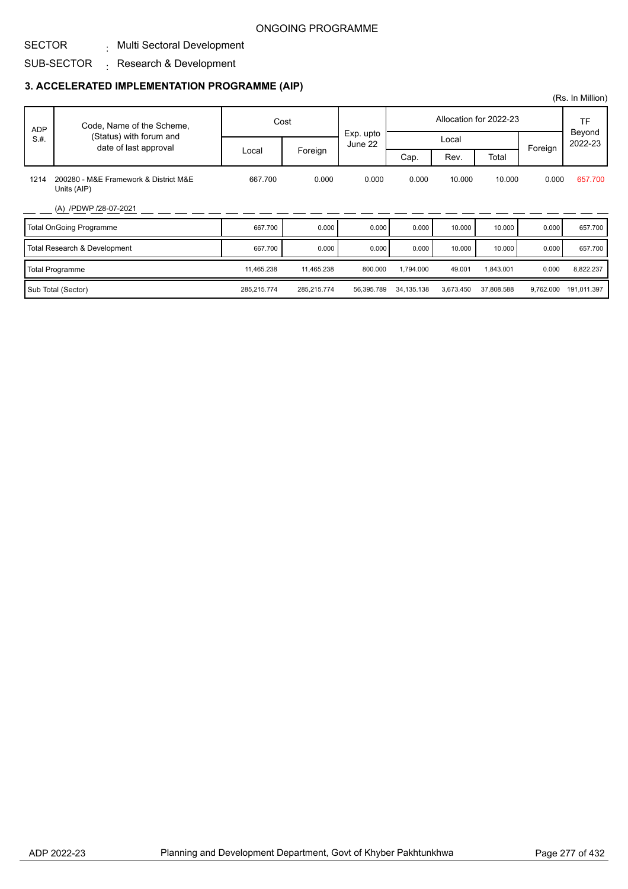#### SECTOR . Multi Sectoral Development

#### SUB-SECTOR  $\colon$  Research & Development

### **3. ACCELERATED IMPLEMENTATION PROGRAMME (AIP)**

|            |                                                  |             |             |            |              |           |                        |           | (Rs. In Million)    |
|------------|--------------------------------------------------|-------------|-------------|------------|--------------|-----------|------------------------|-----------|---------------------|
| <b>ADP</b> | Code, Name of the Scheme,                        | Cost        |             | Exp. upto  |              |           | Allocation for 2022-23 |           | <b>TF</b><br>Beyond |
| S.H.       | (Status) with forum and<br>date of last approval |             |             | June 22    |              | Local     |                        | Foreign   | 2022-23             |
|            | 200280 - M&E Framework & District M&E            | Local       | Foreign     |            | Cap.         | Rev.      | Total                  |           |                     |
| 1214       | Units (AIP)                                      | 667.700     | 0.000       | 0.000      | 0.000        | 10.000    | 10.000                 | 0.000     | 657.700             |
|            | (A) /PDWP /28-07-2021                            |             |             |            |              |           |                        |           |                     |
|            | <b>Total OnGoing Programme</b>                   | 667.700     | 0.000       | 0.000      | 0.000        | 10.000    | 10.000                 | 0.000     | 657.700             |
|            | Total Research & Development                     | 667.700     | 0.000       | 0.000      | 0.000        | 10.000    | 10.000                 | 0.000     | 657.700             |
|            | <b>Total Programme</b>                           | 11,465.238  | 11,465.238  | 800.000    | 1,794.000    | 49.001    | 1,843.001              | 0.000     | 8,822.237           |
|            | Sub Total (Sector)                               | 285,215.774 | 285,215.774 | 56,395.789 | 34, 135. 138 | 3,673.450 | 37,808.588             | 9,762.000 | 191,011.397         |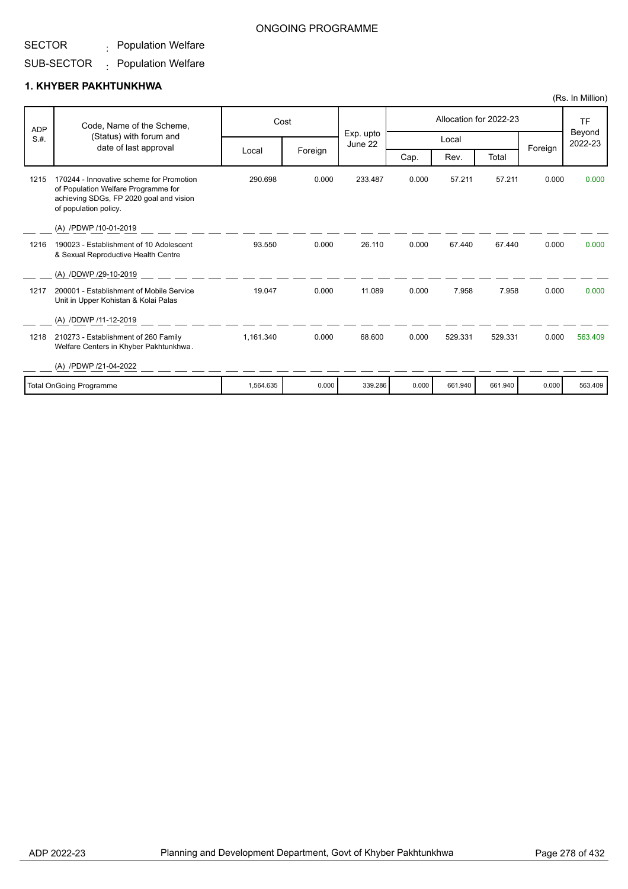#### SECTOR  $\colon$  Population Welfare

#### SUB-SECTOR  $\colon$  Population Welfare

### **1. KHYBER PAKHTUNKHWA**

| <b>ADP</b> | Code, Name of the Scheme,<br>(Status) with forum and                                                                                                |           | Cost    |                      | Allocation for 2022-23 |         |         |         | <b>TF</b><br>Beyond |
|------------|-----------------------------------------------------------------------------------------------------------------------------------------------------|-----------|---------|----------------------|------------------------|---------|---------|---------|---------------------|
| S.H.       | date of last approval                                                                                                                               |           |         | Exp. upto<br>June 22 |                        | Local   |         | Foreign | 2022-23             |
|            |                                                                                                                                                     | Local     | Foreign |                      | Cap.                   | Rev.    | Total   |         |                     |
| 1215       | 170244 - Innovative scheme for Promotion<br>of Population Welfare Programme for<br>achieving SDGs, FP 2020 goal and vision<br>of population policy. | 290.698   | 0.000   | 233.487              | 0.000                  | 57.211  | 57.211  | 0.000   | 0.000               |
|            | (A) /PDWP /10-01-2019                                                                                                                               |           |         |                      |                        |         |         |         |                     |
| 1216       | 190023 - Establishment of 10 Adolescent<br>& Sexual Reproductive Health Centre                                                                      | 93.550    | 0.000   | 26.110               | 0.000                  | 67.440  | 67.440  | 0.000   | 0.000               |
|            | (A) /DDWP /29-10-2019                                                                                                                               |           |         |                      |                        |         |         |         |                     |
| 1217       | 200001 - Establishment of Mobile Service<br>Unit in Upper Kohistan & Kolai Palas                                                                    | 19.047    | 0.000   | 11.089               | 0.000                  | 7.958   | 7.958   | 0.000   | 0.000               |
|            | (A) /DDWP /11-12-2019                                                                                                                               |           |         |                      |                        |         |         |         |                     |
| 1218       | 210273 - Establishment of 260 Family<br>Welfare Centers in Khyber Pakhtunkhwa.                                                                      | 1,161.340 | 0.000   | 68.600               | 0.000                  | 529.331 | 529.331 | 0.000   | 563.409             |
|            | (A) /PDWP /21-04-2022                                                                                                                               |           |         |                      |                        |         |         |         |                     |
|            | <b>Total OnGoing Programme</b>                                                                                                                      | 1,564.635 | 0.000   | 339.286              | 0.000                  | 661.940 | 661.940 | 0.000   | 563.409             |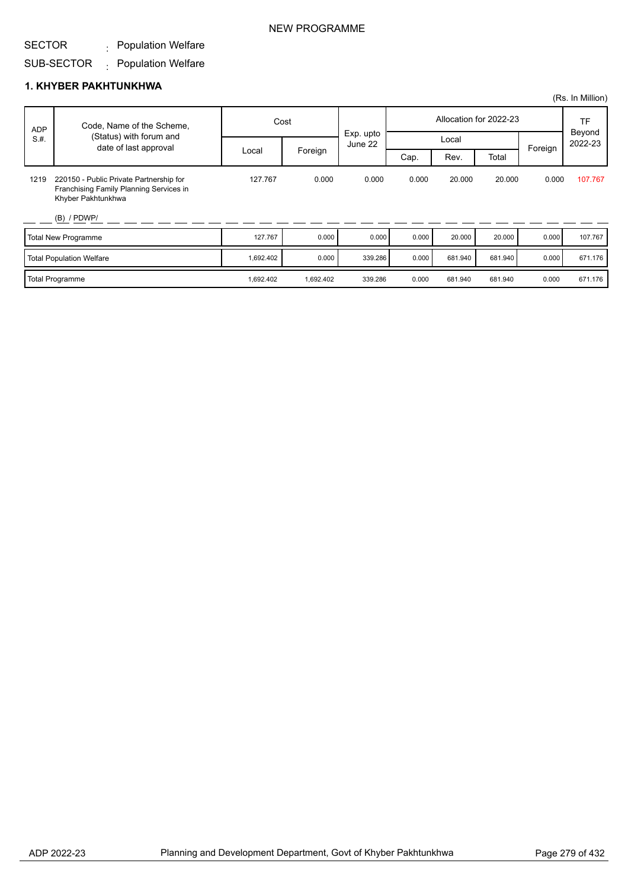#### SECTOR  $\colon$  Population Welfare

#### SUB-SECTOR  $\colon$  Population Welfare

### **1. KHYBER PAKHTUNKHWA**

|            |                                                                                                                           |           |           |                      |       |         |                        |         | (Rs. In Million)  |
|------------|---------------------------------------------------------------------------------------------------------------------------|-----------|-----------|----------------------|-------|---------|------------------------|---------|-------------------|
| <b>ADP</b> | Code, Name of the Scheme,                                                                                                 |           | Cost      |                      |       |         | Allocation for 2022-23 |         | TF                |
| S.H.       | (Status) with forum and<br>date of last approval                                                                          |           |           | Exp. upto<br>June 22 |       | Local   |                        | Foreign | Beyond<br>2022-23 |
|            |                                                                                                                           | Local     | Foreign   |                      | Cap.  | Rev.    | Total                  |         |                   |
| 1219       | 220150 - Public Private Partnership for<br>Franchising Family Planning Services in<br>Khyber Pakhtunkhwa<br>$(B)$ / PDWP/ | 127.767   | 0.000     | 0.000                | 0.000 | 20.000  | 20.000                 | 0.000   | 107.767           |
|            | <b>Total New Programme</b>                                                                                                | 127.767   | 0.000     | 0.000                | 0.000 | 20.000  | 20.000                 | 0.000   | 107.767           |
|            | <b>Total Population Welfare</b>                                                                                           | 1,692.402 | 0.000     | 339.286              | 0.000 | 681.940 | 681.940                | 0.000   | 671.176           |
|            | <b>Total Programme</b>                                                                                                    | 1,692.402 | 1,692.402 | 339.286              | 0.000 | 681.940 | 681.940                | 0.000   | 671.176           |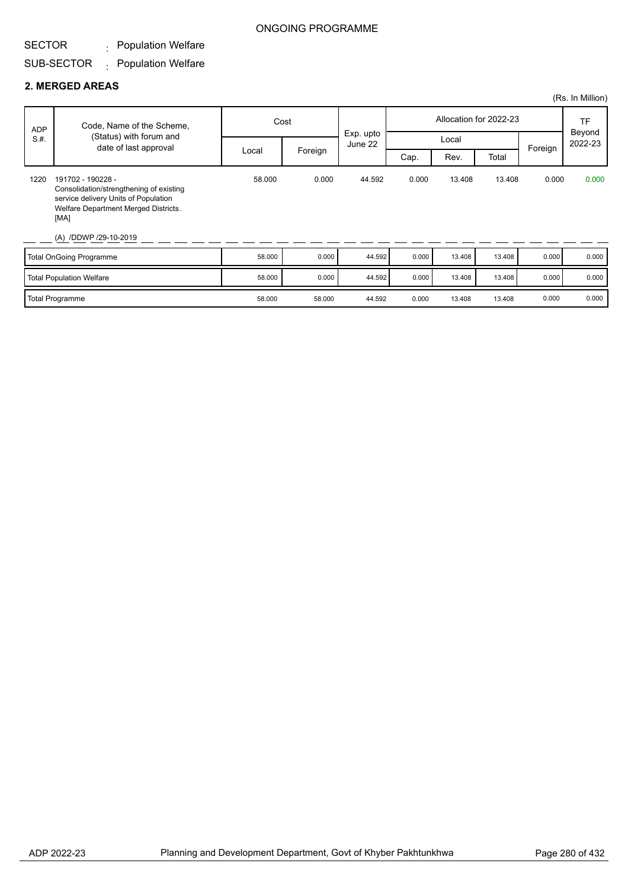#### SECTOR  $\colon$  Population Welfare

#### SUB-SECTOR  $\colon$  Population Welfare

#### **2. MERGED AREAS**

|            |                                                                                                                                                                               |        |         |                      |       |        |                        |         | (Rs. In Million) |
|------------|-------------------------------------------------------------------------------------------------------------------------------------------------------------------------------|--------|---------|----------------------|-------|--------|------------------------|---------|------------------|
| <b>ADP</b> | Code, Name of the Scheme,                                                                                                                                                     |        | Cost    |                      |       |        | Allocation for 2022-23 |         | TF<br>Beyond     |
| S.H.       | (Status) with forum and<br>date of last approval                                                                                                                              |        |         | Exp. upto<br>June 22 |       | Local  |                        | Foreign | 2022-23          |
|            |                                                                                                                                                                               | Local  | Foreign |                      | Cap.  | Rev.   | Total                  |         |                  |
| 1220       | 191702 - 190228 -<br>Consolidation/strengthening of existing<br>service delivery Units of Population<br>Welfare Department Merged Districts.<br>[MA]<br>(A) /DDWP /29-10-2019 | 58.000 | 0.000   | 44.592               | 0.000 | 13.408 | 13.408                 | 0.000   | 0.000            |
|            | <b>Total OnGoing Programme</b>                                                                                                                                                | 58.000 | 0.000   | 44.592               | 0.000 | 13.408 | 13.408                 | 0.000   | 0.000            |
|            | <b>Total Population Welfare</b>                                                                                                                                               | 58.000 | 0.000   | 44.592               | 0.000 | 13.408 | 13.408                 | 0.000   | 0.000            |
|            | <b>Total Programme</b>                                                                                                                                                        | 58.000 | 58.000  | 44.592               | 0.000 | 13.408 | 13.408                 | 0.000   | 0.000            |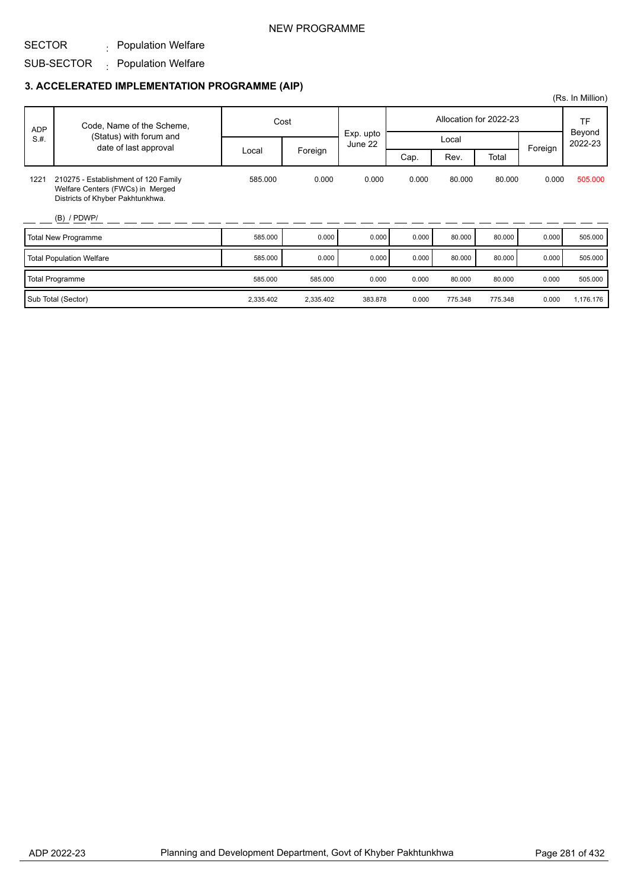### NEW PROGRAMME

#### SECTOR  $\colon$  Population Welfare

#### SUB-SECTOR  $\colon$  Population Welfare

### **3. ACCELERATED IMPLEMENTATION PROGRAMME (AIP)**

| <b>ADP</b> | Code, Name of the Scheme,                                                                                    | Cost      |           |                      |       | Allocation for 2022-23 |         | TF      |                   |
|------------|--------------------------------------------------------------------------------------------------------------|-----------|-----------|----------------------|-------|------------------------|---------|---------|-------------------|
| S.H.       | (Status) with forum and<br>date of last approval                                                             |           |           | Exp. upto<br>June 22 |       | Local                  |         |         | Beyond<br>2022-23 |
|            |                                                                                                              | Local     | Foreign   |                      | Cap.  | Rev.                   | Total   | Foreign |                   |
| 1221       | 210275 - Establishment of 120 Family<br>Welfare Centers (FWCs) in Merged<br>Districts of Khyber Pakhtunkhwa. | 585.000   | 0.000     | 0.000                | 0.000 | 80.000                 | 80.000  | 0.000   | 505.000           |
|            | $(B)$ / PDWP/                                                                                                |           |           |                      |       |                        |         |         |                   |
|            | <b>Total New Programme</b>                                                                                   | 585.000   | 0.000     | 0.000                | 0.000 | 80.000                 | 80.000  | 0.000   | 505.000           |
|            | <b>Total Population Welfare</b>                                                                              | 585.000   | 0.000     | 0.000                | 0.000 | 80.000                 | 80.000  | 0.000   | 505.000           |
|            | <b>Total Programme</b>                                                                                       | 585.000   | 585.000   | 0.000                | 0.000 | 80.000                 | 80.000  | 0.000   | 505.000           |
|            | Sub Total (Sector)                                                                                           | 2,335.402 | 2,335.402 | 383.878              | 0.000 | 775.348                | 775.348 | 0.000   | 1,176.176         |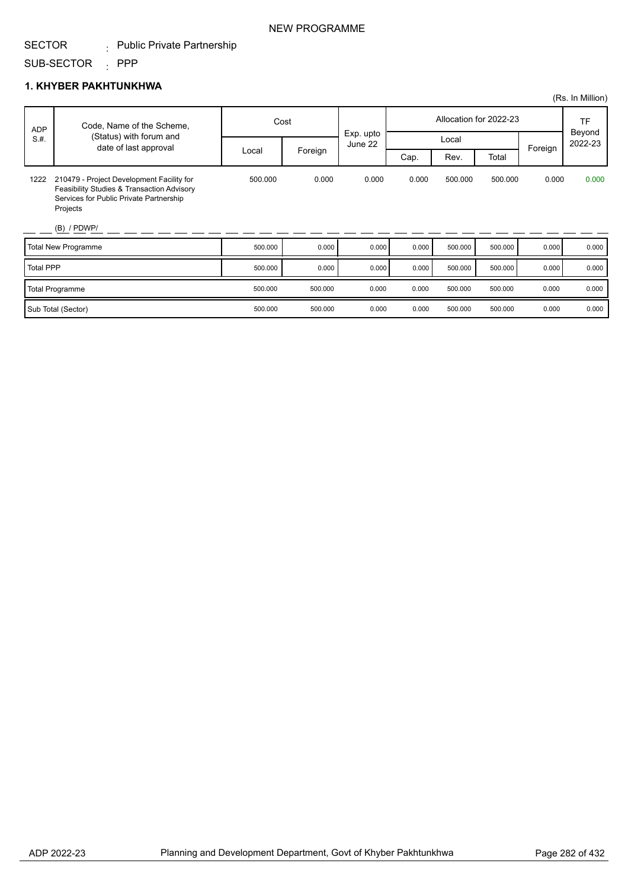### NEW PROGRAMME

#### SECTOR . Public Private Partnership

SUB-SECTOR : PPP

### **1. KHYBER PAKHTUNKHWA**

|                  |                                                                                                                                                                 |         |         |                      |                        |         |         |         | (Rs. In Million) |
|------------------|-----------------------------------------------------------------------------------------------------------------------------------------------------------------|---------|---------|----------------------|------------------------|---------|---------|---------|------------------|
| <b>ADP</b>       | Code, Name of the Scheme,                                                                                                                                       |         | Cost    |                      | Allocation for 2022-23 |         |         |         | TF<br>Beyond     |
| S.H.             | (Status) with forum and<br>date of last approval                                                                                                                |         |         | Exp. upto<br>June 22 | Local                  |         |         |         | 2022-23          |
|                  |                                                                                                                                                                 | Local   | Foreign |                      | Cap.                   | Rev.    | Total   | Foreign |                  |
| 1222             | 210479 - Project Development Facility for<br>Feasibility Studies & Transaction Advisory<br>Services for Public Private Partnership<br>Projects<br>$(B)$ / PDWP/ | 500.000 | 0.000   | 0.000                | 0.000                  | 500.000 | 500.000 | 0.000   | 0.000            |
|                  | <b>Total New Programme</b>                                                                                                                                      | 500.000 | 0.000   | 0.000                | 0.000                  | 500.000 | 500.000 | 0.000   | 0.000            |
| <b>Total PPP</b> |                                                                                                                                                                 | 500.000 | 0.000   | 0.000                | 0.000                  | 500.000 | 500.000 | 0.000   | 0.000            |
|                  | <b>Total Programme</b>                                                                                                                                          | 500.000 | 500.000 | 0.000                | 0.000                  | 500.000 | 500.000 | 0.000   | 0.000            |
|                  | Sub Total (Sector)                                                                                                                                              | 500.000 | 500.000 | 0.000                | 0.000                  | 500.000 | 500.000 | 0.000   | 0.000            |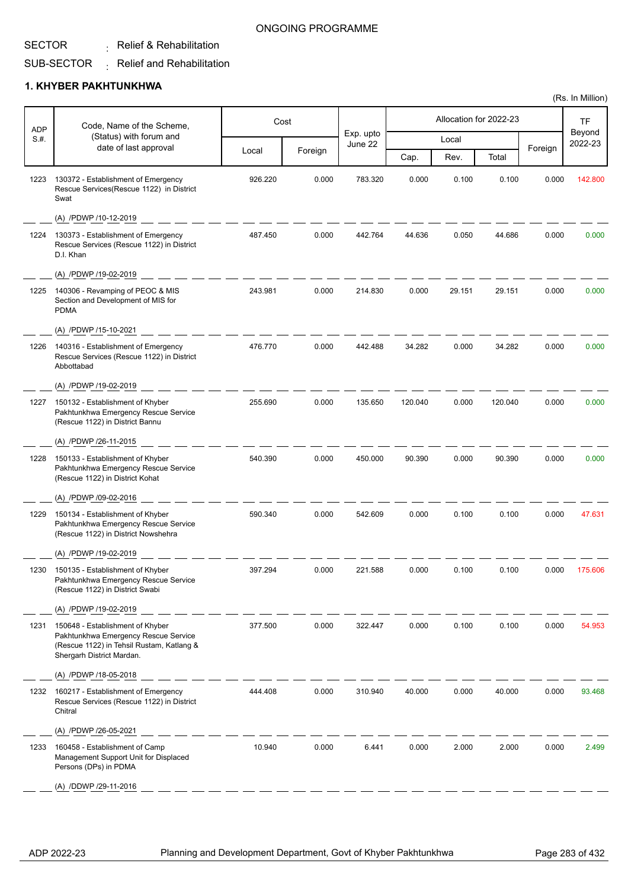#### SECTOR  $\colon$  Relief & Rehabilitation

#### SUB-SECTOR  $\colon$  Relief and Rehabilitation

### **1. KHYBER PAKHTUNKHWA**

| <b>ADP</b> | Code, Name of the Scheme,                                                                                                                          |         | Cost    |                      |         |        | Allocation for 2022-23 |         | TF                |
|------------|----------------------------------------------------------------------------------------------------------------------------------------------------|---------|---------|----------------------|---------|--------|------------------------|---------|-------------------|
| S.H.       | (Status) with forum and<br>date of last approval                                                                                                   |         |         | Exp. upto<br>June 22 |         | Local  |                        |         | Beyond<br>2022-23 |
|            |                                                                                                                                                    | Local   | Foreign |                      | Cap.    | Rev.   | Total                  | Foreign |                   |
| 1223       | 130372 - Establishment of Emergency<br>Rescue Services(Rescue 1122) in District<br>Swat                                                            | 926.220 | 0.000   | 783.320              | 0.000   | 0.100  | 0.100                  | 0.000   | 142.800           |
|            | (A) /PDWP /10-12-2019                                                                                                                              |         |         |                      |         |        |                        |         |                   |
| 1224       | 130373 - Establishment of Emergency<br>Rescue Services (Rescue 1122) in District<br>D.I. Khan                                                      | 487.450 | 0.000   | 442.764              | 44.636  | 0.050  | 44.686                 | 0.000   | 0.000             |
|            | (A) /PDWP /19-02-2019                                                                                                                              |         |         |                      |         |        |                        |         |                   |
| 1225       | 140306 - Revamping of PEOC & MIS<br>Section and Development of MIS for<br><b>PDMA</b>                                                              | 243.981 | 0.000   | 214.830              | 0.000   | 29.151 | 29.151                 | 0.000   | 0.000             |
|            | (A) /PDWP /15-10-2021                                                                                                                              |         |         |                      |         |        |                        |         |                   |
| 1226       | 140316 - Establishment of Emergency<br>Rescue Services (Rescue 1122) in District<br>Abbottabad                                                     | 476.770 | 0.000   | 442.488              | 34.282  | 0.000  | 34.282                 | 0.000   | 0.000             |
|            | (A) /PDWP /19-02-2019                                                                                                                              |         |         |                      |         |        |                        |         |                   |
| 1227       | 150132 - Establishment of Khyber<br>Pakhtunkhwa Emergency Rescue Service<br>(Rescue 1122) in District Bannu                                        | 255.690 | 0.000   | 135.650              | 120.040 | 0.000  | 120.040                | 0.000   | 0.000             |
|            | (A) /PDWP /26-11-2015                                                                                                                              |         |         |                      |         |        |                        |         |                   |
| 1228       | 150133 - Establishment of Khyber<br>Pakhtunkhwa Emergency Rescue Service<br>(Rescue 1122) in District Kohat                                        | 540.390 | 0.000   | 450.000              | 90.390  | 0.000  | 90.390                 | 0.000   | 0.000             |
|            | (A) /PDWP /09-02-2016                                                                                                                              |         |         |                      |         |        |                        |         |                   |
| 1229       | 150134 - Establishment of Khyber<br>Pakhtunkhwa Emergency Rescue Service<br>(Rescue 1122) in District Nowshehra                                    | 590.340 | 0.000   | 542.609              | 0.000   | 0.100  | 0.100                  | 0.000   | 47.631            |
|            | (A) /PDWP /19-02-2019                                                                                                                              |         |         |                      |         |        |                        |         |                   |
| 1230       | 150135 - Establishment of Khyber<br>Pakhtunkhwa Emergency Rescue Service<br>(Rescue 1122) in District Swabi                                        | 397.294 | 0.000   | 221.588              | 0.000   | 0.100  | 0.100                  | 0.000   | 175.606           |
|            | (A) /PDWP /19-02-2019                                                                                                                              |         |         |                      |         |        |                        |         |                   |
| 1231       | 150648 - Establishment of Khyber<br>Pakhtunkhwa Emergency Rescue Service<br>(Rescue 1122) in Tehsil Rustam, Katlang &<br>Shergarh District Mardan. | 377.500 | 0.000   | 322.447              | 0.000   | 0.100  | 0.100                  | 0.000   | 54.953            |
|            | (A) /PDWP /18-05-2018                                                                                                                              |         |         |                      |         |        |                        |         |                   |
| 1232       | 160217 - Establishment of Emergency<br>Rescue Services (Rescue 1122) in District<br>Chitral                                                        | 444.408 | 0.000   | 310.940              | 40.000  | 0.000  | 40.000                 | 0.000   | 93.468            |
|            | (A) /PDWP /26-05-2021                                                                                                                              |         |         |                      |         |        |                        |         |                   |
| 1233       | 160458 - Establishment of Camp<br>Management Support Unit for Displaced<br>Persons (DPs) in PDMA                                                   | 10.940  | 0.000   | 6.441                | 0.000   | 2.000  | 2.000                  | 0.000   | 2.499             |
|            | (A) /DDWP /29-11-2016                                                                                                                              |         |         |                      |         |        |                        |         |                   |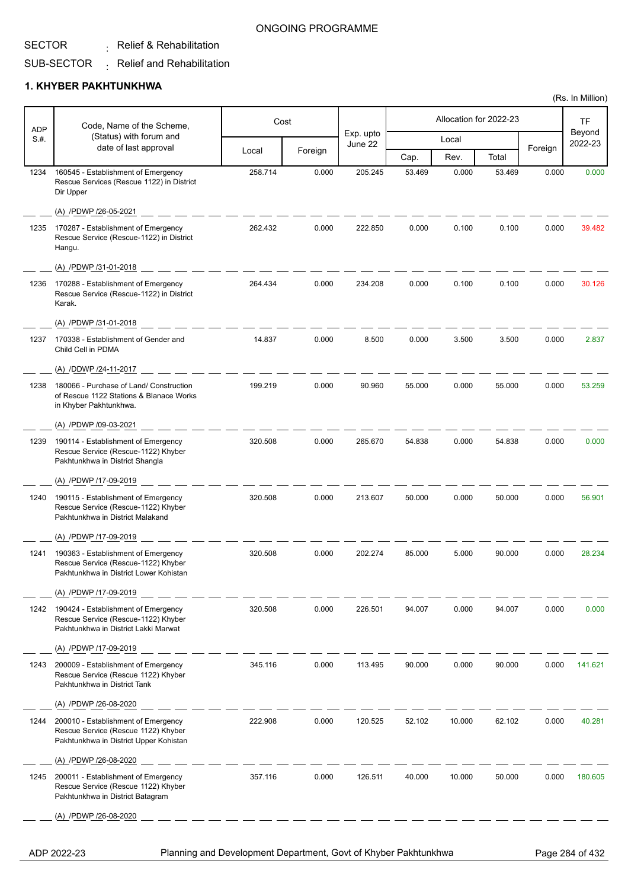#### SECTOR  $\colon$  Relief & Rehabilitation

#### SUB-SECTOR  $\colon$  Relief and Rehabilitation

### **1. KHYBER PAKHTUNKHWA**

| <b>ADP</b> | Code, Name of the Scheme,                                                                                            |         | Cost    |                      |        |        | Allocation for 2022-23 |         | <b>TF</b>         |
|------------|----------------------------------------------------------------------------------------------------------------------|---------|---------|----------------------|--------|--------|------------------------|---------|-------------------|
| S.H.       | (Status) with forum and<br>date of last approval                                                                     |         |         | Exp. upto<br>June 22 |        | Local  |                        |         | Beyond<br>2022-23 |
|            |                                                                                                                      | Local   | Foreign |                      | Cap.   | Rev.   | Total                  | Foreign |                   |
| 1234       | 160545 - Establishment of Emergency<br>Rescue Services (Rescue 1122) in District<br>Dir Upper                        | 258.714 | 0.000   | 205.245              | 53.469 | 0.000  | 53.469                 | 0.000   | 0.000             |
|            | (A) /PDWP /26-05-2021                                                                                                |         |         |                      |        |        |                        |         |                   |
| 1235       | 170287 - Establishment of Emergency<br>Rescue Service (Rescue-1122) in District<br>Hangu.                            | 262.432 | 0.000   | 222.850              | 0.000  | 0.100  | 0.100                  | 0.000   | 39.482            |
|            | (A) /PDWP /31-01-2018                                                                                                |         |         |                      |        |        |                        |         |                   |
| 1236       | 170288 - Establishment of Emergency<br>Rescue Service (Rescue-1122) in District<br>Karak.                            | 264.434 | 0.000   | 234.208              | 0.000  | 0.100  | 0.100                  | 0.000   | 30.126            |
|            | (A) /PDWP /31-01-2018                                                                                                |         |         |                      |        |        |                        |         |                   |
| 1237       | 170338 - Establishment of Gender and<br>Child Cell in PDMA                                                           | 14.837  | 0.000   | 8.500                | 0.000  | 3.500  | 3.500                  | 0.000   | 2.837             |
|            | (A) /DDWP /24-11-2017                                                                                                |         |         |                      |        |        |                        |         |                   |
| 1238       | 180066 - Purchase of Land/ Construction<br>of Rescue 1122 Stations & Blanace Works<br>in Khyber Pakhtunkhwa.         | 199.219 | 0.000   | 90.960               | 55.000 | 0.000  | 55.000                 | 0.000   | 53.259            |
|            | (A) /PDWP /09-03-2021                                                                                                |         |         |                      |        |        |                        |         |                   |
| 1239       | 190114 - Establishment of Emergency<br>Rescue Service (Rescue-1122) Khyber<br>Pakhtunkhwa in District Shangla        | 320.508 | 0.000   | 265.670              | 54.838 | 0.000  | 54.838                 | 0.000   | 0.000             |
|            | (A) /PDWP /17-09-2019                                                                                                |         |         |                      |        |        |                        |         |                   |
| 1240       | 190115 - Establishment of Emergency<br>Rescue Service (Rescue-1122) Khyber<br>Pakhtunkhwa in District Malakand       | 320.508 | 0.000   | 213.607              | 50.000 | 0.000  | 50.000                 | 0.000   | 56.901            |
|            | (A) /PDWP /17-09-2019                                                                                                |         |         |                      |        |        |                        |         |                   |
| 1241       | 190363 - Establishment of Emergency<br>Rescue Service (Rescue-1122) Khyber<br>Pakhtunkhwa in District Lower Kohistan | 320.508 | 0.000   | 202.274              | 85.000 | 5.000  | 90.000                 | 0.000   | 28.234            |
|            | (A) /PDWP /17-09-2019                                                                                                |         |         |                      |        |        |                        |         |                   |
| 1242       | 190424 - Establishment of Emergency<br>Rescue Service (Rescue-1122) Khyber<br>Pakhtunkhwa in District Lakki Marwat   | 320.508 | 0.000   | 226.501              | 94.007 | 0.000  | 94.007                 | 0.000   | 0.000             |
|            | (A) /PDWP /17-09-2019                                                                                                |         |         |                      |        |        |                        |         |                   |
| 1243       | 200009 - Establishment of Emergency<br>Rescue Service (Rescue 1122) Khyber<br>Pakhtunkhwa in District Tank           | 345.116 | 0.000   | 113.495              | 90.000 | 0.000  | 90.000                 | 0.000   | 141.621           |
|            | (A) /PDWP /26-08-2020                                                                                                |         |         |                      |        |        |                        |         |                   |
| 1244       | 200010 - Establishment of Emergency<br>Rescue Service (Rescue 1122) Khyber<br>Pakhtunkhwa in District Upper Kohistan | 222.908 | 0.000   | 120.525              | 52.102 | 10.000 | 62.102                 | 0.000   | 40.281            |
|            | (A) /PDWP /26-08-2020                                                                                                |         |         |                      |        |        |                        |         |                   |
| 1245       | 200011 - Establishment of Emergency<br>Rescue Service (Rescue 1122) Khyber<br>Pakhtunkhwa in District Batagram       | 357.116 | 0.000   | 126.511              | 40.000 | 10.000 | 50.000                 | 0.000   | 180.605           |
|            | (A) /PDWP /26-08-2020                                                                                                |         |         |                      |        |        |                        |         |                   |
|            |                                                                                                                      |         |         |                      |        |        |                        |         |                   |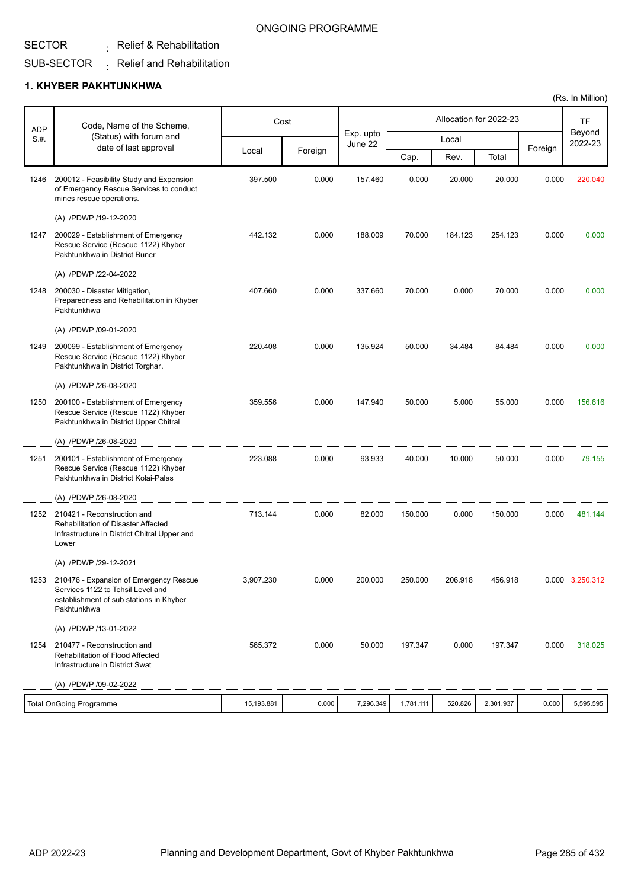### SECTOR

 $\colon$  Relief & Rehabilitation

#### SUB-SECTOR  $\colon$  Relief and Rehabilitation

### **1. KHYBER PAKHTUNKHWA**

| <b>ADP</b> | Code, Name of the Scheme,                                                                                                             | Cost       |         |                      |           |         | Allocation for 2022-23 |         | TF                |
|------------|---------------------------------------------------------------------------------------------------------------------------------------|------------|---------|----------------------|-----------|---------|------------------------|---------|-------------------|
| S.#.       | (Status) with forum and<br>date of last approval                                                                                      |            |         | Exp. upto<br>June 22 |           | Local   |                        |         | Beyond<br>2022-23 |
|            |                                                                                                                                       | Local      | Foreign |                      | Cap.      | Rev.    | Total                  | Foreign |                   |
| 1246       | 200012 - Feasibility Study and Expension<br>of Emergency Rescue Services to conduct<br>mines rescue operations.                       | 397.500    | 0.000   | 157.460              | 0.000     | 20.000  | 20.000                 | 0.000   | 220.040           |
|            | (A) /PDWP /19-12-2020                                                                                                                 |            |         |                      |           |         |                        |         |                   |
| 1247       | 200029 - Establishment of Emergency<br>Rescue Service (Rescue 1122) Khyber<br>Pakhtunkhwa in District Buner                           | 442.132    | 0.000   | 188.009              | 70.000    | 184.123 | 254.123                | 0.000   | 0.000             |
|            | (A) /PDWP /22-04-2022                                                                                                                 |            |         |                      |           |         |                        |         |                   |
| 1248       | 200030 - Disaster Mitigation,<br>Preparedness and Rehabilitation in Khyber<br>Pakhtunkhwa                                             | 407.660    | 0.000   | 337.660              | 70.000    | 0.000   | 70.000                 | 0.000   | 0.000             |
|            | (A) /PDWP /09-01-2020                                                                                                                 |            |         |                      |           |         |                        |         |                   |
| 1249       | 200099 - Establishment of Emergency<br>Rescue Service (Rescue 1122) Khyber<br>Pakhtunkhwa in District Torghar.                        | 220.408    | 0.000   | 135.924              | 50.000    | 34.484  | 84.484                 | 0.000   | 0.000             |
|            | (A) /PDWP /26-08-2020                                                                                                                 |            |         |                      |           |         |                        |         |                   |
| 1250       | 200100 - Establishment of Emergency<br>Rescue Service (Rescue 1122) Khyber<br>Pakhtunkhwa in District Upper Chitral                   | 359.556    | 0.000   | 147.940              | 50.000    | 5.000   | 55.000                 | 0.000   | 156.616           |
|            | (A) /PDWP /26-08-2020                                                                                                                 |            |         |                      |           |         |                        |         |                   |
| 1251       | 200101 - Establishment of Emergency<br>Rescue Service (Rescue 1122) Khyber<br>Pakhtunkhwa in District Kolai-Palas                     | 223.088    | 0.000   | 93.933               | 40.000    | 10.000  | 50.000                 | 0.000   | 79.155            |
|            | (A) /PDWP /26-08-2020                                                                                                                 |            |         |                      |           |         |                        |         |                   |
| 1252       | 210421 - Reconstruction and<br><b>Rehabilitation of Disaster Affected</b><br>Infrastructure in District Chitral Upper and<br>Lower    | 713.144    | 0.000   | 82.000               | 150.000   | 0.000   | 150.000                | 0.000   | 481.144           |
|            | (A) /PDWP /29-12-2021                                                                                                                 |            |         |                      |           |         |                        |         |                   |
| 1253       | 210476 - Expansion of Emergency Rescue<br>Services 1122 to Tehsil Level and<br>establishment of sub stations in Khyber<br>Pakhtunkhwa | 3,907.230  | 0.000   | 200.000              | 250.000   | 206.918 | 456.918                |         | 0.000 3,250.312   |
|            | (A) /PDWP /13-01-2022                                                                                                                 |            |         |                      |           |         |                        |         |                   |
| 1254       | 210477 - Reconstruction and<br>Rehabilitation of Flood Affected<br>Infrastructure in District Swat                                    | 565.372    | 0.000   | 50.000               | 197.347   | 0.000   | 197.347                | 0.000   | 318.025           |
|            | (A) /PDWP /09-02-2022                                                                                                                 |            |         |                      |           |         |                        |         |                   |
|            | <b>Total OnGoing Programme</b>                                                                                                        | 15,193.881 | 0.000   | 7,296.349            | 1,781.111 | 520.826 | 2,301.937              | 0.000   | 5,595.595         |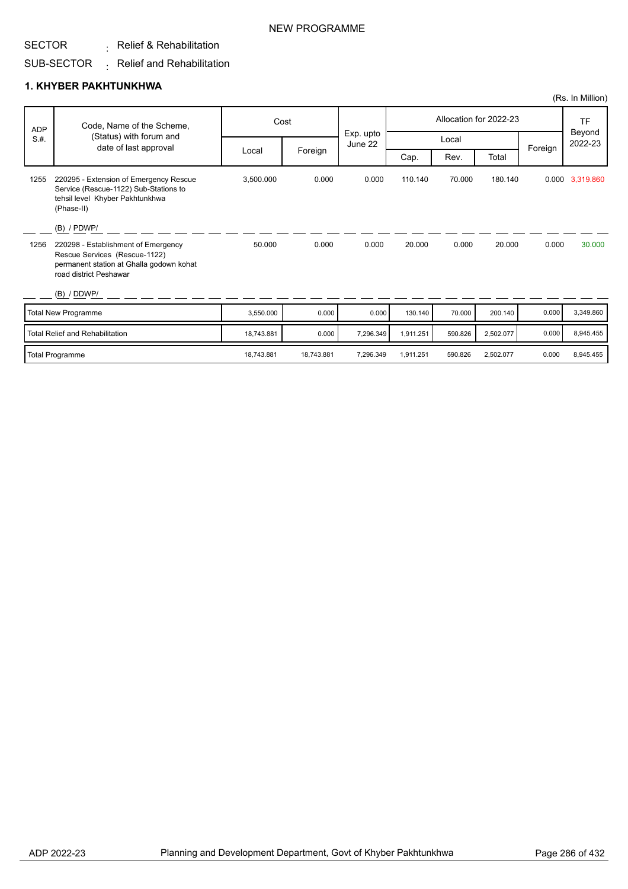# NEW PROGRAMME

#### SECTOR  $\colon$  Relief & Rehabilitation

#### SUB-SECTOR  $\colon$  Relief and Rehabilitation

### **1. KHYBER PAKHTUNKHWA**

| <b>ADP</b> | Code, Name of the Scheme,                                                                                                                  |            | Cost       |                      | Allocation for 2022-23 |         |           |         | <b>TF</b>         |
|------------|--------------------------------------------------------------------------------------------------------------------------------------------|------------|------------|----------------------|------------------------|---------|-----------|---------|-------------------|
| S.H.       | (Status) with forum and<br>date of last approval                                                                                           |            |            | Exp. upto<br>June 22 | Local                  |         |           |         | Beyond<br>2022-23 |
|            |                                                                                                                                            | Local      | Foreign    |                      | Cap.                   | Rev.    | Total     | Foreign |                   |
| 1255       | 220295 - Extension of Emergency Rescue<br>Service (Rescue-1122) Sub-Stations to<br>tehsil level Khyber Pakhtunkhwa<br>(Phase-II)           | 3,500.000  | 0.000      | 0.000                | 110.140                | 70.000  | 180.140   |         | 0.000 3,319.860   |
|            | $(B)$ / PDWP/                                                                                                                              |            |            |                      |                        |         |           |         |                   |
| 1256       | 220298 - Establishment of Emergency<br>Rescue Services (Rescue-1122)<br>permanent station at Ghalla godown kohat<br>road district Peshawar | 50,000     | 0.000      | 0.000                | 20.000                 | 0.000   | 20.000    | 0.000   | 30.000            |
|            | (B) / DDWP/                                                                                                                                |            |            |                      |                        |         |           |         |                   |
|            | Total New Programme                                                                                                                        | 3,550.000  | 0.000      | 0.000                | 130.140                | 70.000  | 200.140   | 0.000   | 3,349.860         |
|            | <b>Total Relief and Rehabilitation</b>                                                                                                     | 18,743.881 | 0.000      | 7,296.349            | 1,911.251              | 590.826 | 2,502.077 | 0.000   | 8,945.455         |
|            | <b>Total Programme</b>                                                                                                                     | 18.743.881 | 18.743.881 | 7.296.349            | 1.911.251              | 590.826 | 2,502.077 | 0.000   | 8.945.455         |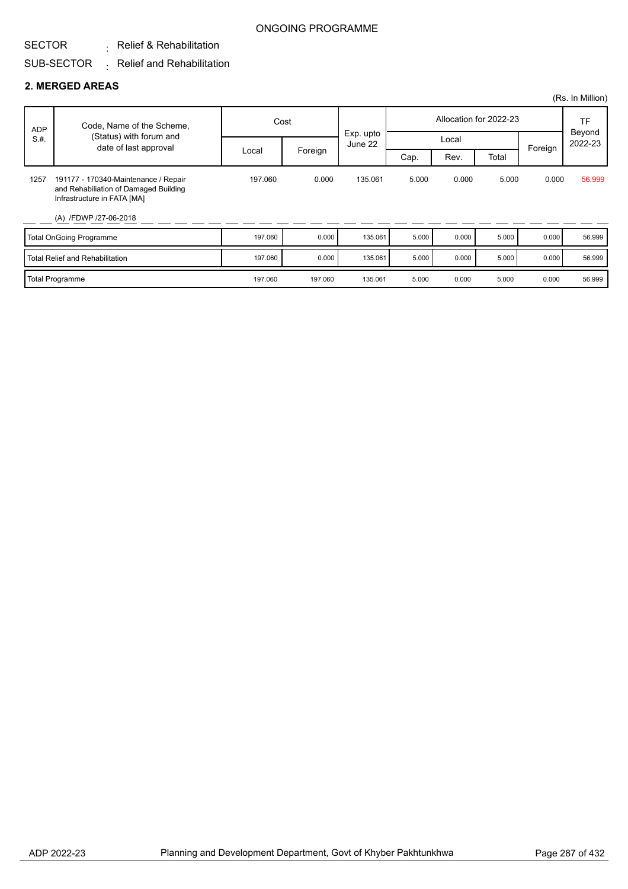#### SECTOR  $\colon$  Relief & Rehabilitation

#### SUB-SECTOR  $\colon$  Relief and Rehabilitation

### **2. MERGED AREAS**

|            |                                                                                                                                       |         |         |                      |       |       |                        |         | (Rs. In Million)  |
|------------|---------------------------------------------------------------------------------------------------------------------------------------|---------|---------|----------------------|-------|-------|------------------------|---------|-------------------|
| <b>ADP</b> | Code, Name of the Scheme,                                                                                                             | Cost    |         |                      |       |       | Allocation for 2022-23 |         | <b>TF</b>         |
| S.H.       | (Status) with forum and<br>date of last approval                                                                                      |         |         | Exp. upto<br>June 22 |       | Local |                        | Foreign | Beyond<br>2022-23 |
|            |                                                                                                                                       | Local   | Foreign |                      | Cap.  | Rev.  | Total                  |         |                   |
| 1257       | 191177 - 170340-Maintenance / Repair<br>and Rehabiliation of Damaged Building<br>Infrastructure in FATA [MA]<br>(A) /FDWP /27-06-2018 | 197.060 | 0.000   | 135.061              | 5.000 | 0.000 | 5.000                  | 0.000   | 56.999            |
|            | <b>Total OnGoing Programme</b>                                                                                                        | 197.060 | 0.000   | 135.061              | 5.000 | 0.000 | 5.000                  | 0.000   | 56.999            |
|            | <b>Total Relief and Rehabilitation</b>                                                                                                | 197.060 | 0.000   | 135.061              | 5.000 | 0.000 | 5.000                  | 0.000   | 56.999            |
|            | Total Programme                                                                                                                       | 197.060 | 197.060 | 135.061              | 5.000 | 0.000 | 5.000                  | 0.000   | 56.999            |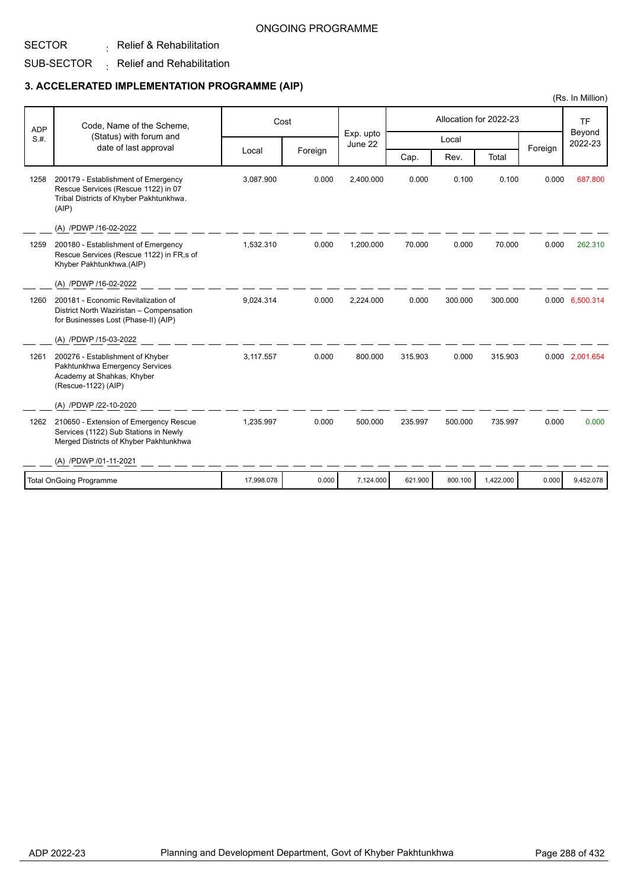#### SUB-SECTOR  $\colon$  Relief & Rehabilitation  $\colon$  Relief and Rehabilitation

SECTOR

### **3. ACCELERATED IMPLEMENTATION PROGRAMME (AIP)**

|                                |                                                                                                                                |            |         |                      |                        |         |           | (Rs. In Million)  |                 |
|--------------------------------|--------------------------------------------------------------------------------------------------------------------------------|------------|---------|----------------------|------------------------|---------|-----------|-------------------|-----------------|
| <b>ADP</b><br>S.H.             | Code, Name of the Scheme,<br>(Status) with forum and<br>date of last approval                                                  | Cost       |         |                      | Allocation for 2022-23 |         |           |                   | <b>TF</b>       |
|                                |                                                                                                                                |            |         | Exp. upto<br>June 22 | Local                  |         |           | Beyond<br>2022-23 |                 |
|                                |                                                                                                                                | Local      | Foreign |                      | Cap.                   | Rev.    | Total     | Foreign           |                 |
| 1258                           | 200179 - Establishment of Emergency<br>Rescue Services (Rescue 1122) in 07<br>Tribal Districts of Khyber Pakhtunkhwa.<br>(AIP) | 3,087.900  | 0.000   | 2,400.000            | 0.000                  | 0.100   | 0.100     | 0.000             | 687.800         |
|                                | (A) /PDWP /16-02-2022                                                                                                          |            |         |                      |                        |         |           |                   |                 |
| 1259                           | 200180 - Establishment of Emergency<br>Rescue Services (Rescue 1122) in FR,s of<br>Khyber Pakhtunkhwa.(AIP)                    | 1,532.310  | 0.000   | 1,200.000            | 70.000                 | 0.000   | 70.000    | 0.000             | 262.310         |
|                                | (A) /PDWP /16-02-2022                                                                                                          |            |         |                      |                        |         |           |                   |                 |
| 1260                           | 200181 - Economic Revitalization of<br>District North Waziristan - Compensation<br>for Businesses Lost (Phase-II) (AIP)        | 9,024.314  | 0.000   | 2,224.000            | 0.000                  | 300.000 | 300.000   |                   | 0.000 6,500.314 |
|                                | (A) /PDWP /15-03-2022                                                                                                          |            |         |                      |                        |         |           |                   |                 |
| 1261                           | 200276 - Establishment of Khyber<br>Pakhtunkhwa Emergency Services<br>Academy at Shahkas, Khyber<br>(Rescue-1122) (AIP)        | 3,117.557  | 0.000   | 800.000              | 315.903                | 0.000   | 315.903   |                   | 0.000 2,001.654 |
|                                | (A) /PDWP /22-10-2020                                                                                                          |            |         |                      |                        |         |           |                   |                 |
| 1262                           | 210650 - Extension of Emergency Rescue<br>Services (1122) Sub Stations in Newly<br>Merged Districts of Khyber Pakhtunkhwa      | 1,235.997  | 0.000   | 500.000              | 235.997                | 500.000 | 735.997   | 0.000             | 0.000           |
|                                | (A) /PDWP /01-11-2021                                                                                                          |            |         |                      |                        |         |           |                   |                 |
| <b>Total OnGoing Programme</b> |                                                                                                                                | 17,998.078 | 0.000   | 7,124.000            | 621.900                | 800.100 | 1,422.000 | 0.000             | 9,452.078       |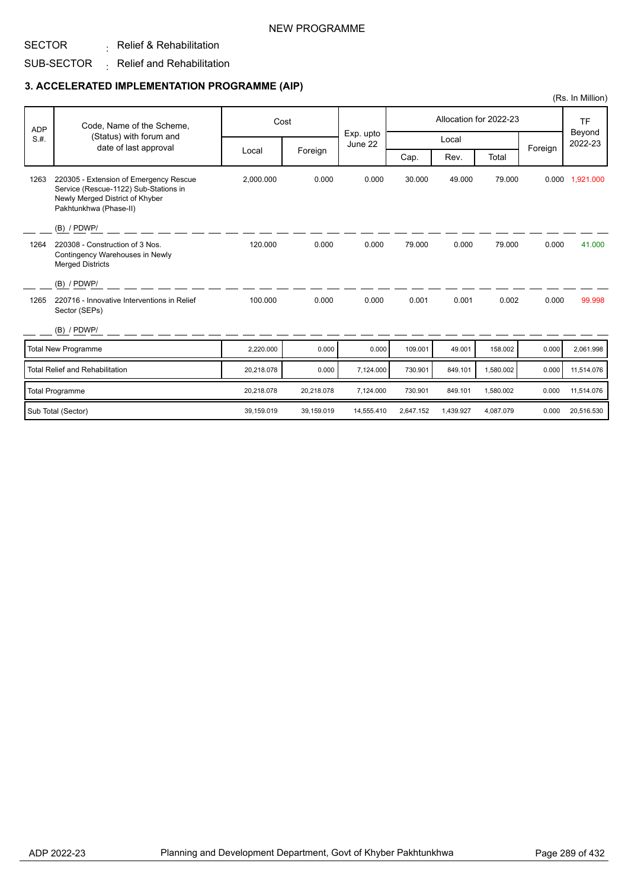#### NEW PROGRAMME

#### SECTOR  $\colon$  Relief & Rehabilitation

#### SUB-SECTOR  $\,$   $\,$  Relief and Rehabilitation

#### **3. ACCELERATED IMPLEMENTATION PROGRAMME (AIP)**

|            |                                                                                                                                              |            |            |                      |           |           |                        |         | (Rs. In Million)  |
|------------|----------------------------------------------------------------------------------------------------------------------------------------------|------------|------------|----------------------|-----------|-----------|------------------------|---------|-------------------|
| <b>ADP</b> | Code, Name of the Scheme,                                                                                                                    |            | Cost       |                      |           |           | Allocation for 2022-23 |         | <b>TF</b>         |
| S.H.       | (Status) with forum and                                                                                                                      |            |            | Exp. upto<br>June 22 |           | Local     |                        |         | Beyond<br>2022-23 |
|            | date of last approval                                                                                                                        | Local      | Foreign    |                      | Cap.      | Rev.      | Total                  | Foreign |                   |
| 1263       | 220305 - Extension of Emergency Rescue<br>Service (Rescue-1122) Sub-Stations in<br>Newly Merged District of Khyber<br>Pakhtunkhwa (Phase-II) | 2,000.000  | 0.000      | 0.000                | 30.000    | 49.000    | 79.000                 | 0.000   | 1,921.000         |
|            | $(B)$ / PDWP/                                                                                                                                |            |            |                      |           |           |                        |         |                   |
| 1264       | 220308 - Construction of 3 Nos.<br>Contingency Warehouses in Newly<br><b>Merged Districts</b>                                                | 120.000    | 0.000      | 0.000                | 79.000    | 0.000     | 79.000                 | 0.000   | 41.000            |
|            | (B) / PDWP/                                                                                                                                  |            |            |                      |           |           |                        |         |                   |
| 1265       | 220716 - Innovative Interventions in Relief<br>Sector (SEPs)                                                                                 | 100.000    | 0.000      | 0.000                | 0.001     | 0.001     | 0.002                  | 0.000   | 99.998            |
|            | (B) / PDWP/                                                                                                                                  |            |            |                      |           |           |                        |         |                   |
|            | <b>Total New Programme</b>                                                                                                                   | 2,220.000  | 0.000      | 0.000                | 109.001   | 49.001    | 158.002                | 0.000   | 2,061.998         |
|            | <b>Total Relief and Rehabilitation</b>                                                                                                       | 20,218.078 | 0.000      | 7,124.000            | 730.901   | 849.101   | 1,580.002              | 0.000   | 11,514.076        |
|            | <b>Total Programme</b>                                                                                                                       | 20,218.078 | 20,218.078 | 7,124.000            | 730.901   | 849.101   | 1,580.002              | 0.000   | 11,514.076        |
|            | Sub Total (Sector)                                                                                                                           | 39,159.019 | 39,159.019 | 14,555.410           | 2,647.152 | 1,439.927 | 4,087.079              | 0.000   | 20,516.530        |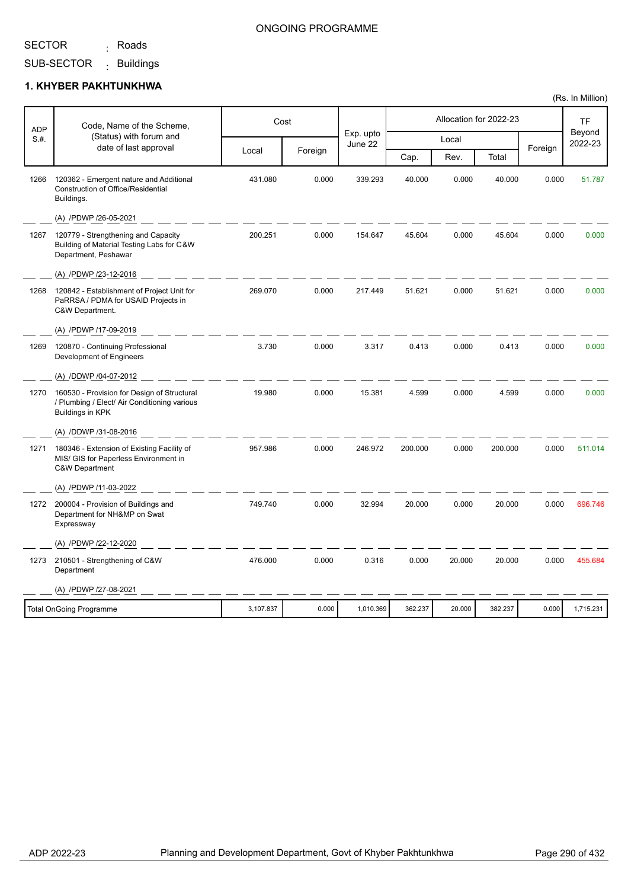<sub>:</sub> Roads

#### ONGOING PROGRAMME

SUB-SECTOR Buildings :

#### **1. KHYBER PAKHTUNKHWA**

| <b>ADP</b> | Code, Name of the Scheme,                                                                                        |           | Cost    |                      |         |        | Allocation for 2022-23 |         | TF                |
|------------|------------------------------------------------------------------------------------------------------------------|-----------|---------|----------------------|---------|--------|------------------------|---------|-------------------|
| S.H.       | (Status) with forum and                                                                                          |           |         | Exp. upto<br>June 22 |         | Local  |                        |         | Beyond<br>2022-23 |
|            | date of last approval                                                                                            | Local     | Foreign |                      | Cap.    | Rev.   | Total                  | Foreign |                   |
| 1266       | 120362 - Emergent nature and Additional<br><b>Construction of Office/Residential</b><br>Buildings.               | 431.080   | 0.000   | 339.293              | 40.000  | 0.000  | 40.000                 | 0.000   | 51.787            |
|            | (A) /PDWP /26-05-2021                                                                                            |           |         |                      |         |        |                        |         |                   |
| 1267       | 120779 - Strengthening and Capacity<br>Building of Material Testing Labs for C&W<br>Department, Peshawar         | 200.251   | 0.000   | 154.647              | 45.604  | 0.000  | 45.604                 | 0.000   | 0.000             |
|            | (A) /PDWP /23-12-2016                                                                                            |           |         |                      |         |        |                        |         |                   |
| 1268       | 120842 - Establishment of Project Unit for<br>PaRRSA / PDMA for USAID Projects in<br>C&W Department.             | 269.070   | 0.000   | 217.449              | 51.621  | 0.000  | 51.621                 | 0.000   | 0.000             |
|            | (A) /PDWP /17-09-2019                                                                                            |           |         |                      |         |        |                        |         |                   |
| 1269       | 120870 - Continuing Professional<br>Development of Engineers                                                     | 3.730     | 0.000   | 3.317                | 0.413   | 0.000  | 0.413                  | 0.000   | 0.000             |
|            | (A) /DDWP /04-07-2012                                                                                            |           |         |                      |         |        |                        |         |                   |
| 1270       | 160530 - Provision for Design of Structural<br>/ Plumbing / Elect/ Air Conditioning various<br>Buildings in KPK  | 19.980    | 0.000   | 15.381               | 4.599   | 0.000  | 4.599                  | 0.000   | 0.000             |
|            | (A) /DDWP /31-08-2016                                                                                            |           |         |                      |         |        |                        |         |                   |
| 1271       | 180346 - Extension of Existing Facility of<br>MIS/ GIS for Paperless Environment in<br><b>C&amp;W Department</b> | 957.986   | 0.000   | 246.972              | 200.000 | 0.000  | 200.000                | 0.000   | 511.014           |
|            | (A) /PDWP /11-03-2022                                                                                            |           |         |                      |         |        |                        |         |                   |
| 1272       | 200004 - Provision of Buildings and<br>Department for NH&MP on Swat<br>Expressway                                | 749.740   | 0.000   | 32.994               | 20.000  | 0.000  | 20.000                 | 0.000   | 696.746           |
|            | (A) /PDWP /22-12-2020                                                                                            |           |         |                      |         |        |                        |         |                   |
| 1273       | 210501 - Strengthening of C&W<br>Department                                                                      | 476.000   | 0.000   | 0.316                | 0.000   | 20.000 | 20.000                 | 0.000   | 455.684           |
|            | (A) /PDWP /27-08-2021                                                                                            |           |         |                      |         |        |                        |         |                   |
|            | <b>Total OnGoing Programme</b>                                                                                   | 3,107.837 | 0.000   | 1,010.369            | 362.237 | 20.000 | 382.237                | 0.000   | 1,715.231         |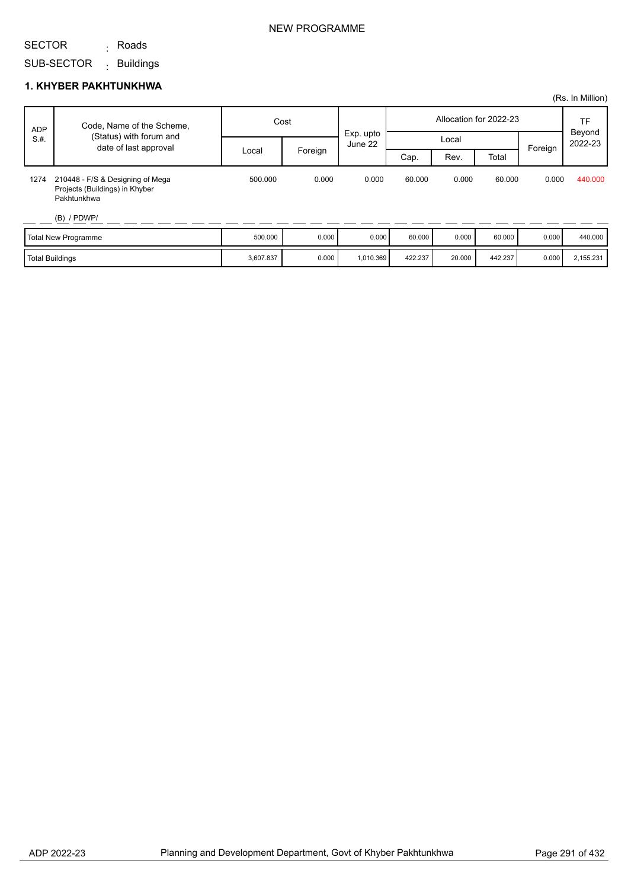#### NEW PROGRAMME

#### SECTOR SUB-SECTOR <sub>:</sub> Roads Buildings :

|            |                                                                                   |           |         |                      |                        |        |         |         | (Rs. In Million)  |
|------------|-----------------------------------------------------------------------------------|-----------|---------|----------------------|------------------------|--------|---------|---------|-------------------|
| <b>ADP</b> | Code, Name of the Scheme,                                                         |           | Cost    |                      | Allocation for 2022-23 |        |         |         | TF                |
| S.H.       | (Status) with forum and<br>date of last approval                                  |           |         | Exp. upto<br>June 22 | Local                  |        |         | Foreign | Beyond<br>2022-23 |
|            |                                                                                   | Local     | Foreign |                      | Cap.                   | Rev.   | Total   |         |                   |
| 1274       | 210448 - F/S & Designing of Mega<br>Projects (Buildings) in Khyber<br>Pakhtunkhwa | 500.000   | 0.000   | 0.000                | 60.000                 | 0.000  | 60.000  | 0.000   | 440.000           |
|            | $(B)$ / PDWP/                                                                     |           |         |                      |                        |        |         |         |                   |
|            | <b>Total New Programme</b>                                                        | 500.000   | 0.000   | 0.000                | 60.000                 | 0.000  | 60.000  | 0.000   | 440.000           |
|            | <b>Total Buildings</b>                                                            | 3,607.837 | 0.000   | 1,010.369            | 422.237                | 20.000 | 442.237 | 0.000   | 2,155.231         |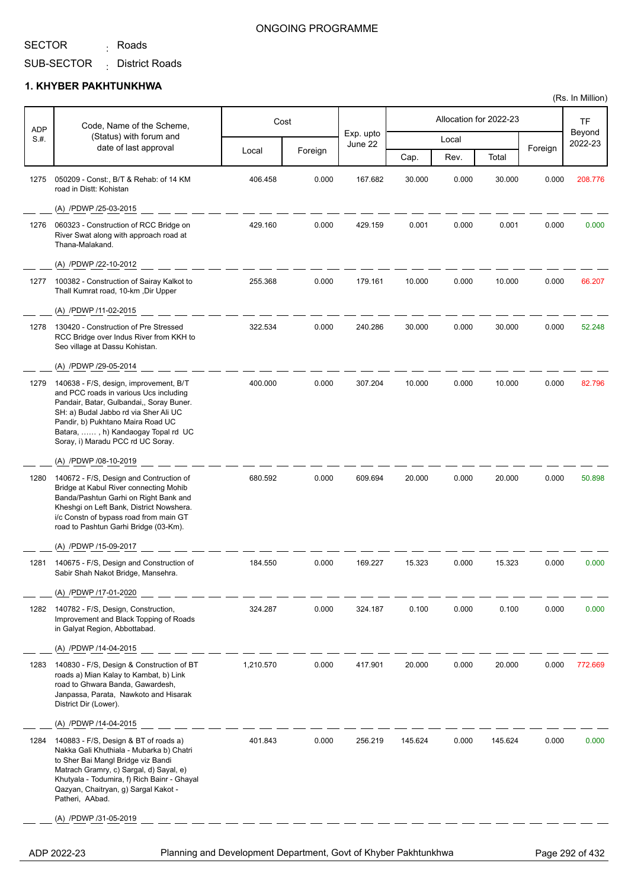<sub>:</sub> Roads

### ONGOING PROGRAMME

SUB-SECTOR District Roads :

#### **1. KHYBER PAKHTUNKHWA**

| <b>ADP</b> | Code, Name of the Scheme,                                                                                                                                                                                                                                                             |           | Cost    |                      |         |       | Allocation for 2022-23 |         | TF                |
|------------|---------------------------------------------------------------------------------------------------------------------------------------------------------------------------------------------------------------------------------------------------------------------------------------|-----------|---------|----------------------|---------|-------|------------------------|---------|-------------------|
| S.H.       | (Status) with forum and<br>date of last approval                                                                                                                                                                                                                                      |           |         | Exp. upto<br>June 22 |         | Local |                        |         | Beyond<br>2022-23 |
|            |                                                                                                                                                                                                                                                                                       | Local     | Foreign |                      | Cap.    | Rev.  | Total                  | Foreign |                   |
| 1275       | 050209 - Const:, B/T & Rehab: of 14 KM<br>road in Distt: Kohistan                                                                                                                                                                                                                     | 406.458   | 0.000   | 167.682              | 30.000  | 0.000 | 30.000                 | 0.000   | 208.776           |
|            | (A) /PDWP /25-03-2015                                                                                                                                                                                                                                                                 |           |         |                      |         |       |                        |         |                   |
| 1276       | 060323 - Construction of RCC Bridge on<br>River Swat along with approach road at<br>Thana-Malakand.                                                                                                                                                                                   | 429.160   | 0.000   | 429.159              | 0.001   | 0.000 | 0.001                  | 0.000   | 0.000             |
|            | (A) /PDWP /22-10-2012                                                                                                                                                                                                                                                                 |           |         |                      |         |       |                        |         |                   |
| 1277       | 100382 - Construction of Sairay Kalkot to<br>Thall Kumrat road, 10-km, Dir Upper                                                                                                                                                                                                      | 255.368   | 0.000   | 179.161              | 10.000  | 0.000 | 10.000                 | 0.000   | 66.207            |
|            | (A) /PDWP /11-02-2015                                                                                                                                                                                                                                                                 |           |         |                      |         |       |                        |         |                   |
| 1278       | 130420 - Construction of Pre Stressed<br>RCC Bridge over Indus River from KKH to<br>Seo village at Dassu Kohistan.                                                                                                                                                                    | 322.534   | 0.000   | 240.286              | 30.000  | 0.000 | 30.000                 | 0.000   | 52.248            |
|            | (A) /PDWP /29-05-2014                                                                                                                                                                                                                                                                 |           |         |                      |         |       |                        |         |                   |
| 1279       | 140638 - F/S, design, improvement, B/T<br>and PCC roads in various Ucs including<br>Pandair, Batar, Gulbandai,, Soray Buner.<br>SH: a) Budal Jabbo rd via Sher Ali UC<br>Pandir, b) Pukhtano Maira Road UC<br>Batara, , h) Kandaogay Topal rd UC<br>Soray, i) Maradu PCC rd UC Soray. | 400.000   | 0.000   | 307.204              | 10.000  | 0.000 | 10.000                 | 0.000   | 82.796            |
|            | (A) /PDWP /08-10-2019                                                                                                                                                                                                                                                                 |           |         |                      |         |       |                        |         |                   |
| 1280       | 140672 - F/S, Design and Contruction of<br>Bridge at Kabul River connecting Mohib<br>Banda/Pashtun Garhi on Right Bank and<br>Kheshgi on Left Bank, District Nowshera.<br>i/c Constn of bypass road from main GT<br>road to Pashtun Garhi Bridge (03-Km).                             | 680.592   | 0.000   | 609.694              | 20.000  | 0.000 | 20.000                 | 0.000   | 50.898            |
|            | (A) /PDWP /15-09-2017                                                                                                                                                                                                                                                                 |           |         |                      |         |       |                        |         |                   |
| 1281       | 140675 - F/S, Design and Construction of<br>Sabir Shah Nakot Bridge, Mansehra.                                                                                                                                                                                                        | 184.550   | 0.000   | 169.227              | 15.323  | 0.000 | 15.323                 | 0.000   | 0.000             |
|            | (A) /PDWP /17-01-2020                                                                                                                                                                                                                                                                 |           |         |                      |         |       |                        |         |                   |
| 1282       | 140782 - F/S, Design, Construction,<br>Improvement and Black Topping of Roads<br>in Galyat Region, Abbottabad.                                                                                                                                                                        | 324.287   | 0.000   | 324.187              | 0.100   | 0.000 | 0.100                  | 0.000   | 0.000             |
|            | (A) /PDWP /14-04-2015                                                                                                                                                                                                                                                                 |           |         |                      |         |       |                        |         |                   |
| 1283       | 140830 - F/S, Design & Construction of BT<br>roads a) Mian Kalay to Kambat, b) Link<br>road to Ghwara Banda, Gawardesh,<br>Janpassa, Parata, Nawkoto and Hisarak<br>District Dir (Lower).                                                                                             | 1,210.570 | 0.000   | 417.901              | 20.000  | 0.000 | 20.000                 | 0.000   | 772.669           |
|            | (A) /PDWP /14-04-2015                                                                                                                                                                                                                                                                 |           |         |                      |         |       |                        |         |                   |
| 1284       | 140883 - F/S, Design & BT of roads a)<br>Nakka Gali Khuthiala - Mubarka b) Chatri<br>to Sher Bai Mangl Bridge viz Bandi<br>Matrach Gramry, c) Sargal, d) Sayal, e)<br>Khutyala - Todumira, f) Rich Bainr - Ghayal<br>Qazyan, Chaitryan, g) Sargal Kakot -<br>Patheri, AAbad.          | 401.843   | 0.000   | 256.219              | 145.624 | 0.000 | 145.624                | 0.000   | 0.000             |
|            | (A) /PDWP /31-05-2019                                                                                                                                                                                                                                                                 |           |         |                      |         |       |                        |         |                   |

ADP 2022-23 Planning and Development Department, Govt of Khyber Pakhtunkhwa Page 292 of 432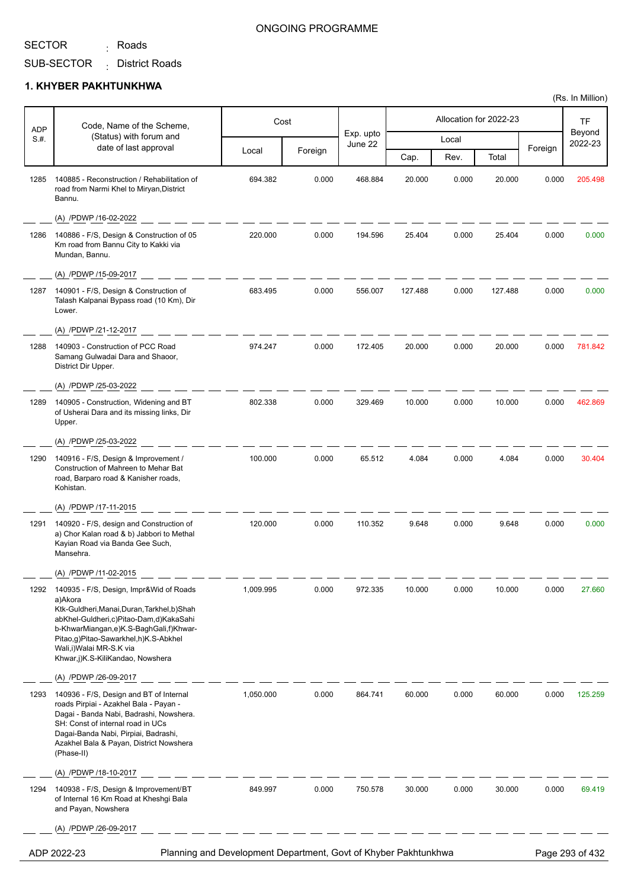<sub>:</sub> Roads

### ONGOING PROGRAMME

(Rs. In Million)

SUB-SECTOR District Roads :

| <b>ADP</b> | Code, Name of the Scheme,                                                                                                                                                                                                                                                                       |                                                                 | Cost    |                      |         |       | Allocation for 2022-23 |         | TF                |
|------------|-------------------------------------------------------------------------------------------------------------------------------------------------------------------------------------------------------------------------------------------------------------------------------------------------|-----------------------------------------------------------------|---------|----------------------|---------|-------|------------------------|---------|-------------------|
| S.#.       | (Status) with forum and<br>date of last approval                                                                                                                                                                                                                                                |                                                                 |         | Exp. upto<br>June 22 |         | Local |                        | Foreign | Beyond<br>2022-23 |
|            |                                                                                                                                                                                                                                                                                                 | Local                                                           | Foreign |                      | Cap.    | Rev.  | Total                  |         |                   |
| 1285       | 140885 - Reconstruction / Rehabilitation of<br>road from Narmi Khel to Miryan, District<br>Bannu.                                                                                                                                                                                               | 694.382                                                         | 0.000   | 468.884              | 20.000  | 0.000 | 20.000                 | 0.000   | 205.498           |
|            | (A) /PDWP /16-02-2022                                                                                                                                                                                                                                                                           |                                                                 |         |                      |         |       |                        |         |                   |
| 1286       | 140886 - F/S, Design & Construction of 05<br>Km road from Bannu City to Kakki via<br>Mundan, Bannu.                                                                                                                                                                                             | 220.000                                                         | 0.000   | 194.596              | 25.404  | 0.000 | 25.404                 | 0.000   | 0.000             |
|            | (A) /PDWP /15-09-2017                                                                                                                                                                                                                                                                           |                                                                 |         |                      |         |       |                        |         |                   |
| 1287       | 140901 - F/S, Design & Construction of<br>Talash Kalpanai Bypass road (10 Km), Dir<br>Lower.                                                                                                                                                                                                    | 683.495                                                         | 0.000   | 556.007              | 127.488 | 0.000 | 127.488                | 0.000   | 0.000             |
|            | (A) /PDWP /21-12-2017                                                                                                                                                                                                                                                                           |                                                                 |         |                      |         |       |                        |         |                   |
| 1288       | 140903 - Construction of PCC Road<br>Samang Gulwadai Dara and Shaoor,<br>District Dir Upper.                                                                                                                                                                                                    | 974.247                                                         | 0.000   | 172.405              | 20.000  | 0.000 | 20.000                 | 0.000   | 781.842           |
|            | (A) /PDWP /25-03-2022                                                                                                                                                                                                                                                                           |                                                                 |         |                      |         |       |                        |         |                   |
| 1289       | 140905 - Construction, Widening and BT<br>of Usherai Dara and its missing links, Dir<br>Upper.                                                                                                                                                                                                  | 802.338                                                         | 0.000   | 329.469              | 10.000  | 0.000 | 10.000                 | 0.000   | 462.869           |
|            | (A) /PDWP /25-03-2022                                                                                                                                                                                                                                                                           |                                                                 |         |                      |         |       |                        |         |                   |
| 1290       | 140916 - F/S, Design & Improvement /<br>Construction of Mahreen to Mehar Bat<br>road, Barparo road & Kanisher roads,<br>Kohistan.                                                                                                                                                               | 100.000                                                         | 0.000   | 65.512               | 4.084   | 0.000 | 4.084                  | 0.000   | 30.404            |
|            | (A) /PDWP /17-11-2015                                                                                                                                                                                                                                                                           |                                                                 |         |                      |         |       |                        |         |                   |
| 1291       | 140920 - F/S, design and Construction of<br>a) Chor Kalan road & b) Jabbori to Methal<br>Kayian Road via Banda Gee Such,<br>Mansehra.                                                                                                                                                           | 120.000                                                         | 0.000   | 110.352              | 9.648   | 0.000 | 9.648                  | 0.000   | 0.000             |
|            | (A) /PDWP /11-02-2015                                                                                                                                                                                                                                                                           |                                                                 |         |                      |         |       |                        |         |                   |
| 1292       | 140935 - F/S, Design, Impr&Wid of Roads<br>a)Akora<br>Ktk-Guldheri, Manai, Duran, Tarkhel, b) Shah<br>abKhel-Guldheri,c)Pitao-Dam,d)KakaSahi<br>b-KhwarMiangan,e)K.S-BaghGali,f)Khwar-<br>Pitao,g)Pitao-Sawarkhel,h)K.S-Abkhel<br>Wali, i) Walai MR-S.K via<br>Khwar,j)K.S-KiliKandao, Nowshera | 1,009.995                                                       | 0.000   | 972.335              | 10.000  | 0.000 | 10.000                 | 0.000   | 27.660            |
|            | (A) /PDWP /26-09-2017                                                                                                                                                                                                                                                                           |                                                                 |         |                      |         |       |                        |         |                   |
| 1293       | 140936 - F/S, Design and BT of Internal<br>roads Pirpiai - Azakhel Bala - Payan -<br>Dagai - Banda Nabi, Badrashi, Nowshera.<br>SH: Const of internal road in UCs<br>Dagai-Banda Nabi, Pirpiai, Badrashi,<br>Azakhel Bala & Payan, District Nowshera<br>(Phase-II)                              | 1,050.000                                                       | 0.000   | 864.741              | 60.000  | 0.000 | 60.000                 | 0.000   | 125.259           |
|            | (A) /PDWP /18-10-2017                                                                                                                                                                                                                                                                           |                                                                 |         |                      |         |       |                        |         |                   |
| 1294       | 140938 - F/S, Design & Improvement/BT<br>of Internal 16 Km Road at Kheshgi Bala<br>and Payan, Nowshera                                                                                                                                                                                          | 849.997                                                         | 0.000   | 750.578              | 30.000  | 0.000 | 30.000                 | 0.000   | 69.419            |
|            | (A) /PDWP /26-09-2017                                                                                                                                                                                                                                                                           |                                                                 |         |                      |         |       |                        |         |                   |
|            | ADP 2022-23                                                                                                                                                                                                                                                                                     | Planning and Development Department, Govt of Khyber Pakhtunkhwa |         |                      |         |       |                        |         | Page 293 of 432   |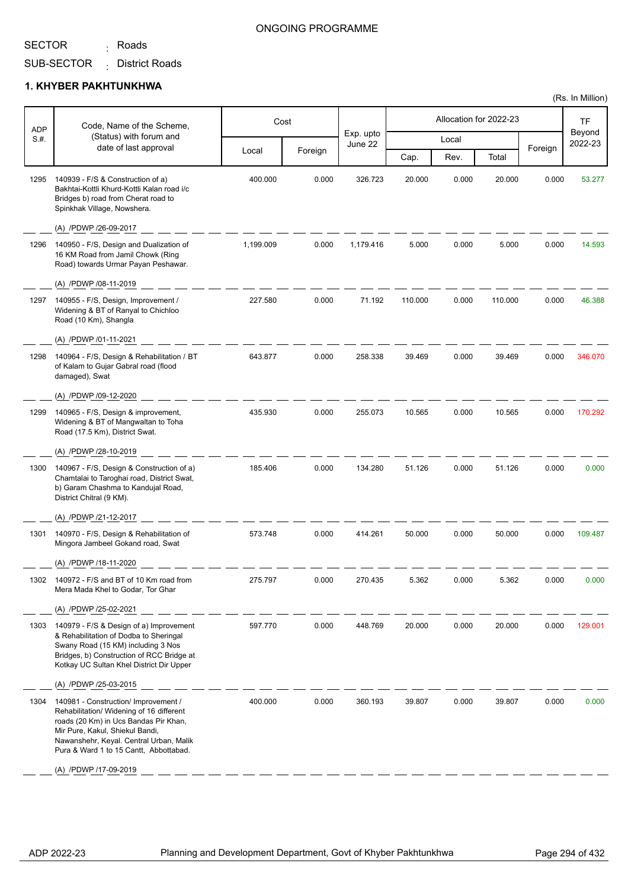<sub>:</sub> Roads

#### ONGOING PROGRAMME

SUB-SECTOR District Roads :

#### **1. KHYBER PAKHTUNKHWA**

| <b>ADP</b> | Code, Name of the Scheme,                                                                                                                                                                                                                         |           | Cost    |                      |         |       | Allocation for 2022-23 |         | TF                |
|------------|---------------------------------------------------------------------------------------------------------------------------------------------------------------------------------------------------------------------------------------------------|-----------|---------|----------------------|---------|-------|------------------------|---------|-------------------|
| S.H.       | (Status) with forum and<br>date of last approval                                                                                                                                                                                                  |           |         | Exp. upto<br>June 22 |         | Local |                        |         | Beyond<br>2022-23 |
|            |                                                                                                                                                                                                                                                   | Local     | Foreign |                      | Cap.    | Rev.  | Total                  | Foreign |                   |
| 1295       | 140939 - F/S & Construction of a)<br>Bakhtai-Kottli Khurd-Kottli Kalan road i/c<br>Bridges b) road from Cherat road to<br>Spinkhak Village, Nowshera.                                                                                             | 400.000   | 0.000   | 326.723              | 20.000  | 0.000 | 20.000                 | 0.000   | 53.277            |
|            | (A) /PDWP /26-09-2017                                                                                                                                                                                                                             |           |         |                      |         |       |                        |         |                   |
| 1296       | 140950 - F/S, Design and Dualization of<br>16 KM Road from Jamil Chowk (Ring<br>Road) towards Urmar Payan Peshawar.                                                                                                                               | 1,199.009 | 0.000   | 1,179.416            | 5.000   | 0.000 | 5.000                  | 0.000   | 14.593            |
|            | (A) /PDWP /08-11-2019                                                                                                                                                                                                                             |           |         |                      |         |       |                        |         |                   |
| 1297       | 140955 - F/S, Design, Improvement /<br>Widening & BT of Ranyal to Chichloo<br>Road (10 Km), Shangla                                                                                                                                               | 227.580   | 0.000   | 71.192               | 110.000 | 0.000 | 110.000                | 0.000   | 46.388            |
|            | (A) /PDWP /01-11-2021                                                                                                                                                                                                                             |           |         |                      |         |       |                        |         |                   |
| 1298       | 140964 - F/S, Design & Rehabilitation / BT<br>of Kalam to Gujar Gabral road (flood<br>damaged), Swat                                                                                                                                              | 643.877   | 0.000   | 258.338              | 39.469  | 0.000 | 39.469                 | 0.000   | 346.070           |
|            | (A) /PDWP /09-12-2020                                                                                                                                                                                                                             |           |         |                      |         |       |                        |         |                   |
| 1299       | 140965 - F/S, Design & improvement,<br>Widening & BT of Mangwaltan to Toha<br>Road (17.5 Km), District Swat.                                                                                                                                      | 435.930   | 0.000   | 255.073              | 10.565  | 0.000 | 10.565                 | 0.000   | 170.292           |
|            | (A) /PDWP /28-10-2019                                                                                                                                                                                                                             |           |         |                      |         |       |                        |         |                   |
| 1300       | 140967 - F/S, Design & Construction of a)<br>Chamtalai to Taroghai road, District Swat,<br>b) Garam Chashma to Kandujal Road,<br>District Chitral (9 KM).                                                                                         | 185.406   | 0.000   | 134.280              | 51.126  | 0.000 | 51.126                 | 0.000   | 0.000             |
|            | (A) /PDWP /21-12-2017                                                                                                                                                                                                                             |           |         |                      |         |       |                        |         |                   |
| 1301       | 140970 - F/S, Design & Rehabilitation of<br>Mingora Jambeel Gokand road, Swat                                                                                                                                                                     | 573.748   | 0.000   | 414.261              | 50.000  | 0.000 | 50.000                 | 0.000   | 109.487           |
|            | (A) /PDWP /18-11-2020                                                                                                                                                                                                                             |           |         |                      |         |       |                        |         |                   |
| 1 JUZ      | 72 - F/S and BT OF TU KM foad from<br>Mera Mada Khel to Godar, Tor Ghar                                                                                                                                                                           |           |         |                      |         |       |                        |         |                   |
|            | (A) /PDWP /25-02-2021                                                                                                                                                                                                                             |           |         |                      |         |       |                        |         |                   |
| 1303       | 140979 - F/S & Design of a) Improvement<br>& Rehabilitation of Dodba to Sheringal<br>Swany Road (15 KM) including 3 Nos<br>Bridges, b) Construction of RCC Bridge at<br>Kotkay UC Sultan Khel District Dir Upper                                  | 597.770   | 0.000   | 448.769              | 20.000  | 0.000 | 20.000                 | 0.000   | 129.001           |
|            | (A) /PDWP /25-03-2015                                                                                                                                                                                                                             |           |         |                      |         |       |                        |         |                   |
| 1304       | 140981 - Construction/ Improvement /<br>Rehabilitation/ Widening of 16 different<br>roads (20 Km) in Ucs Bandas Pir Khan,<br>Mir Pure, Kakul, Shiekul Bandi,<br>Nawanshehr, Keyal. Central Urban, Malik<br>Pura & Ward 1 to 15 Cantt, Abbottabad. | 400.000   | 0.000   | 360.193              | 39.807  | 0.000 | 39.807                 | 0.000   | 0.000             |
|            | (A) /PDWP /17-09-2019                                                                                                                                                                                                                             |           |         |                      |         |       |                        |         |                   |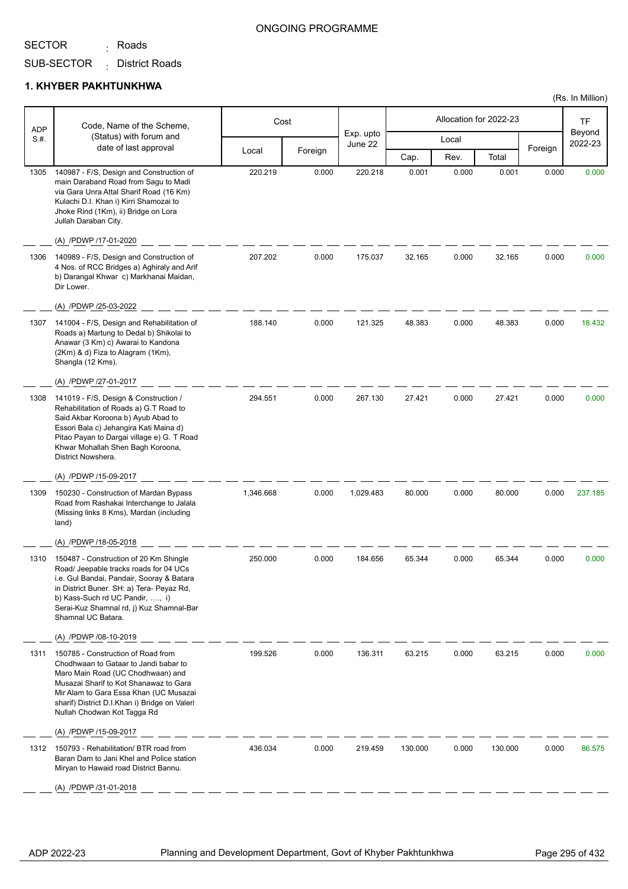<sub>:</sub> Roads

SUB-SECTOR District Roads :

| <b>ADP</b> | Code, Name of the Scheme,                                                                                                                                                                                                                                                            |           | Cost    |                      |         |       | Allocation for 2022-23 |         | <b>TF</b>         |
|------------|--------------------------------------------------------------------------------------------------------------------------------------------------------------------------------------------------------------------------------------------------------------------------------------|-----------|---------|----------------------|---------|-------|------------------------|---------|-------------------|
| S.H.       | (Status) with forum and<br>date of last approval                                                                                                                                                                                                                                     |           |         | Exp. upto<br>June 22 |         | Local |                        |         | Beyond<br>2022-23 |
|            |                                                                                                                                                                                                                                                                                      | Local     | Foreign |                      | Cap.    | Rev.  | Total                  | Foreign |                   |
| 1305       | 140987 - F/S, Design and Construction of<br>main Daraband Road from Sagu to Madi<br>via Gara Unra Attal Sharif Road (16 Km)<br>Kulachi D.I. Khan i) Kirri Shamozai to<br>Jhoke Rind (1Km), ii) Bridge on Lora<br>Jullah Daraban City.                                                | 220.219   | 0.000   | 220.218              | 0.001   | 0.000 | 0.001                  | 0.000   | 0.000             |
|            | (A) /PDWP /17-01-2020                                                                                                                                                                                                                                                                |           |         |                      |         |       |                        |         |                   |
| 1306       | 140989 - F/S, Design and Construction of<br>4 Nos. of RCC Bridges a) Aghiraly and Arif<br>b) Darangal Khwar c) Markhanai Maidan,<br>Dir Lower.                                                                                                                                       | 207.202   | 0.000   | 175.037              | 32.165  | 0.000 | 32.165                 | 0.000   | 0.000             |
|            | (A) /PDWP /25-03-2022                                                                                                                                                                                                                                                                |           |         |                      |         |       |                        |         |                   |
| 1307       | 141004 - F/S, Design and Rehabilitation of<br>Roads a) Martung to Dedal b) Shikolai to<br>Anawar (3 Km) c) Awarai to Kandona<br>(2Km) & d) Fiza to Alagram (1Km),<br>Shangla (12 Kms).                                                                                               | 188.140   | 0.000   | 121.325              | 48.383  | 0.000 | 48.383                 | 0.000   | 18.432            |
|            | (A) /PDWP /27-01-2017                                                                                                                                                                                                                                                                |           |         |                      |         |       |                        |         |                   |
| 1308       | 141019 - F/S, Design & Construction /<br>Rehabilitation of Roads a) G.T Road to<br>Said Akbar Koroona b) Ayub Abad to<br>Essori Bala c) Jehangira Kati Maina d)<br>Pitao Payan to Dargai village e) G. T Road<br>Khwar Mohallah Shen Bagh Koroona,<br>District Nowshera.             | 294.551   | 0.000   | 267.130              | 27.421  | 0.000 | 27.421                 | 0.000   | 0.000             |
|            | (A) /PDWP /15-09-2017                                                                                                                                                                                                                                                                |           |         |                      |         |       |                        |         |                   |
| 1309       | 150230 - Construction of Mardan Bypass<br>Road from Rashakai Interchange to Jalala<br>(Missing links 8 Kms), Mardan (including<br>land)                                                                                                                                              | 1,346.668 | 0.000   | 1,029.483            | 80.000  | 0.000 | 80.000                 | 0.000   | 237.185           |
|            | (A) /PDWP /18-05-2018                                                                                                                                                                                                                                                                |           |         |                      |         |       |                        |         |                   |
| 1310       | 150487 - Construction of 20 Km Shingle<br>Road/ Jeepable tracks roads for 04 UCs<br>i.e. Gul Bandai, Pandair, Sooray & Batara<br>in District Buner. SH: a) Tera- Peyaz Rd,<br>b) Kass-Such rd UC Pandir, , i)<br>Serai-Kuz Shamnal rd, j) Kuz Shamnal-Bar<br>Shamnal UC Batara.      | 250.000   | 0.000   | 184.656              | 65.344  | 0.000 | 65.344                 | 0.000   | 0.000             |
|            | (A) /PDWP /08-10-2019                                                                                                                                                                                                                                                                |           |         |                      |         |       |                        |         |                   |
| 1311       | 150785 - Construction of Road from<br>Chodhwaan to Gataar to Jandi babar to<br>Maro Main Road (UC Chodhwaan) and<br>Musazai Sharif to Kot Shanawaz to Gara<br>Mir Alam to Gara Essa Khan (UC Musazai<br>sharif) District D.I.Khan i) Bridge on Valeri<br>Nullah Chodwan Kot Tagga Rd | 199.526   | 0.000   | 136.311              | 63.215  | 0.000 | 63.215                 | 0.000   | 0.000             |
|            | (A) /PDWP /15-09-2017                                                                                                                                                                                                                                                                |           |         |                      |         |       |                        |         |                   |
| 1312       | 150793 - Rehabilitation/ BTR road from<br>Baran Dam to Jani Khel and Police station<br>Miryan to Hawaid road District Bannu.                                                                                                                                                         | 436.034   | 0.000   | 219.459              | 130.000 | 0.000 | 130.000                | 0.000   | 86.575            |
|            | (A) /PDWP /31-01-2018                                                                                                                                                                                                                                                                |           |         |                      |         |       |                        |         |                   |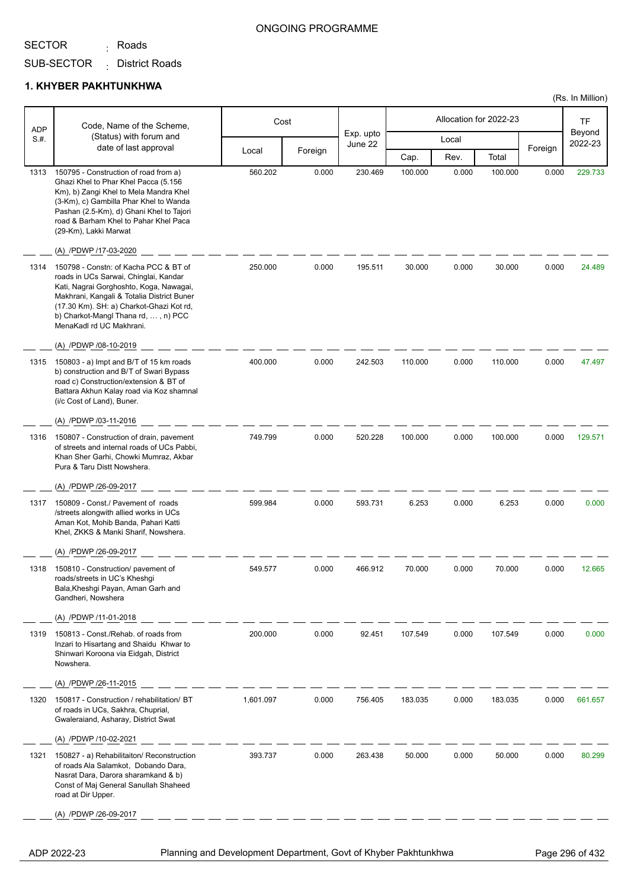<sub>:</sub> Roads

#### ONGOING PROGRAMME

SUB-SECTOR District Roads :

#### **1. KHYBER PAKHTUNKHWA**

| ADP  | Code, Name of the Scheme,                                                                                                                                                                                                                                                              |           | Cost    |                      |         |       | Allocation for 2022-23 |         | TF                |
|------|----------------------------------------------------------------------------------------------------------------------------------------------------------------------------------------------------------------------------------------------------------------------------------------|-----------|---------|----------------------|---------|-------|------------------------|---------|-------------------|
| S.H. | (Status) with forum and                                                                                                                                                                                                                                                                |           |         | Exp. upto<br>June 22 |         | Local |                        |         | Beyond<br>2022-23 |
|      | date of last approval                                                                                                                                                                                                                                                                  | Local     | Foreign |                      | Cap.    | Rev.  | Total                  | Foreign |                   |
| 1313 | 150795 - Construction of road from a)<br>Ghazi Khel to Phar Khel Pacca (5.156<br>Km), b) Zangi Khel to Mela Mandra Khel<br>(3-Km), c) Gambilla Phar Khel to Wanda<br>Pashan (2.5-Km), d) Ghani Khel to Tajori<br>road & Barham Khel to Pahar Khel Paca<br>(29-Km), Lakki Marwat        | 560.202   | 0.000   | 230.469              | 100.000 | 0.000 | 100.000                | 0.000   | 229.733           |
|      | (A) /PDWP /17-03-2020                                                                                                                                                                                                                                                                  |           |         |                      |         |       |                        |         |                   |
| 1314 | 150798 - Constn: of Kacha PCC & BT of<br>roads in UCs Sarwai, Chinglai, Kandar<br>Kati, Nagrai Gorghoshto, Koga, Nawagai,<br>Makhrani, Kangali & Totalia District Buner<br>(17.30 Km). SH: a) Charkot-Ghazi Kot rd,<br>b) Charkot-Mangl Thana rd, , n) PCC<br>MenaKadl rd UC Makhrani. | 250.000   | 0.000   | 195.511              | 30.000  | 0.000 | 30.000                 | 0.000   | 24.489            |
|      | (A) /PDWP /08-10-2019                                                                                                                                                                                                                                                                  |           |         |                      |         |       |                        |         |                   |
| 1315 | 150803 - a) Impt and B/T of 15 km roads<br>b) construction and B/T of Swari Bypass<br>road c) Construction/extension & BT of<br>Battara Akhun Kalay road via Koz shamnal<br>(i/c Cost of Land), Buner.                                                                                 | 400.000   | 0.000   | 242.503              | 110.000 | 0.000 | 110.000                | 0.000   | 47.497            |
|      | (A) /PDWP /03-11-2016                                                                                                                                                                                                                                                                  |           |         |                      |         |       |                        |         |                   |
| 1316 | 150807 - Construction of drain, pavement<br>of streets and internal roads of UCs Pabbi,<br>Khan Sher Garhi, Chowki Mumraz, Akbar<br>Pura & Taru Distt Nowshera.                                                                                                                        | 749.799   | 0.000   | 520.228              | 100.000 | 0.000 | 100.000                | 0.000   | 129.571           |
|      | (A) /PDWP /26-09-2017                                                                                                                                                                                                                                                                  |           |         |                      |         |       |                        |         |                   |
| 1317 | 150809 - Const./ Pavement of roads<br>/streets alongwith allied works in UCs<br>Aman Kot, Mohib Banda, Pahari Katti<br>Khel, ZKKS & Manki Sharif, Nowshera.                                                                                                                            | 599.984   | 0.000   | 593.731              | 6.253   | 0.000 | 6.253                  | 0.000   | 0.000             |
|      | (A) /PDWP /26-09-2017                                                                                                                                                                                                                                                                  |           |         |                      |         |       |                        |         |                   |
| 1318 | 150810 - Construction/ pavement of<br>roads/streets in UC's Kheshgi<br>Bala, Kheshgi Payan, Aman Garh and<br>Gandheri, Nowshera                                                                                                                                                        | 549.577   | 0.000   | 466.912              | 70.000  | 0.000 | 70.000                 | 0.000   | 12.665            |
|      | (A) /PDWP /11-01-2018                                                                                                                                                                                                                                                                  |           |         |                      |         |       |                        |         |                   |
| 1319 | 150813 - Const./Rehab. of roads from<br>Inzari to Hisartang and Shaidu Khwar to<br>Shinwari Koroona via Eidgah, District<br>Nowshera.                                                                                                                                                  | 200.000   | 0.000   | 92.451               | 107.549 | 0.000 | 107.549                | 0.000   | 0.000             |
|      | (A) /PDWP /26-11-2015                                                                                                                                                                                                                                                                  |           |         |                      |         |       |                        |         |                   |
| 1320 | 150817 - Construction / rehabilitation/ BT<br>of roads in UCs, Sakhra, Chuprial,<br>Gwaleraiand, Asharay, District Swat                                                                                                                                                                | 1,601.097 | 0.000   | 756.405              | 183.035 | 0.000 | 183.035                | 0.000   | 661.657           |
|      | (A) /PDWP /10-02-2021                                                                                                                                                                                                                                                                  |           |         |                      |         |       |                        |         |                   |
| 1321 | 150827 - a) Rehabilitaiton/ Reconstruction<br>of roads Ala Salamkot, Dobando Dara,<br>Nasrat Dara, Darora sharamkand & b)<br>Const of Maj General Sanullah Shaheed<br>road at Dir Upper.                                                                                               | 393.737   | 0.000   | 263.438              | 50.000  | 0.000 | 50.000                 | 0.000   | 80.299            |
|      | (A) /PDWP /26-09-2017                                                                                                                                                                                                                                                                  |           |         |                      |         |       |                        |         |                   |

ADP 2022-23 Planning and Development Department, Govt of Khyber Pakhtunkhwa Page 296 of 432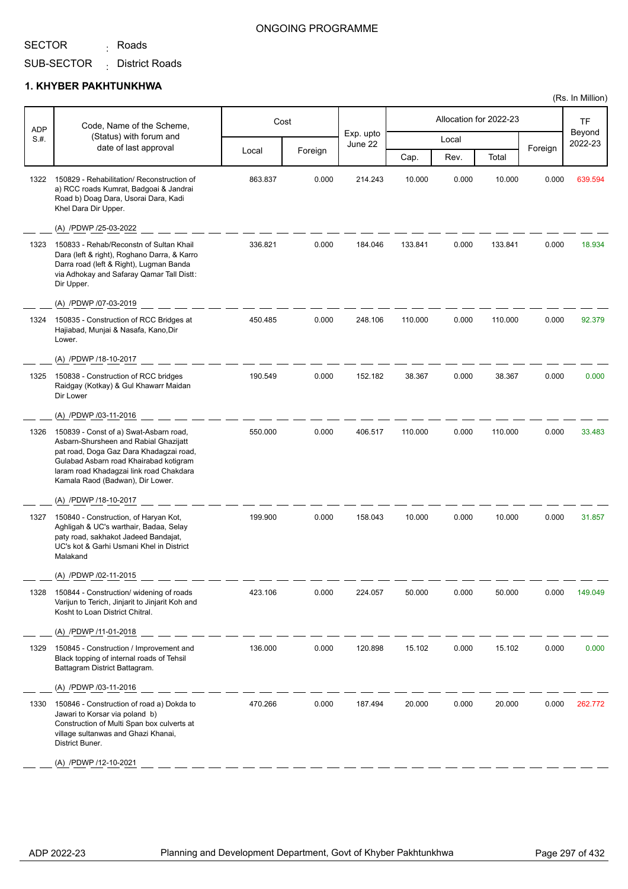<sub>:</sub> Roads

#### ONGOING PROGRAMME

SUB-SECTOR District Roads :

#### **1. KHYBER PAKHTUNKHWA**

| <b>ADP</b> | Code, Name of the Scheme,                                                                                                                                                                                                                           |         | Cost    |                      |         |       | Allocation for 2022-23 |         | TF                |
|------------|-----------------------------------------------------------------------------------------------------------------------------------------------------------------------------------------------------------------------------------------------------|---------|---------|----------------------|---------|-------|------------------------|---------|-------------------|
| S.#.       | (Status) with forum and<br>date of last approval                                                                                                                                                                                                    |         |         | Exp. upto<br>June 22 |         | Local |                        |         | Beyond<br>2022-23 |
|            |                                                                                                                                                                                                                                                     | Local   | Foreign |                      | Cap.    | Rev.  | Total                  | Foreign |                   |
| 1322       | 150829 - Rehabilitation/ Reconstruction of<br>a) RCC roads Kumrat, Badgoai & Jandrai<br>Road b) Doag Dara, Usorai Dara, Kadi<br>Khel Dara Dir Upper.                                                                                                | 863.837 | 0.000   | 214.243              | 10.000  | 0.000 | 10.000                 | 0.000   | 639.594           |
|            | (A) /PDWP /25-03-2022                                                                                                                                                                                                                               |         |         |                      |         |       |                        |         |                   |
| 1323       | 150833 - Rehab/Reconstn of Sultan Khail<br>Dara (left & right), Roghano Darra, & Karro<br>Darra road (left & Right), Lugman Banda<br>via Adhokay and Safaray Qamar Tall Distt:<br>Dir Upper.                                                        | 336.821 | 0.000   | 184.046              | 133.841 | 0.000 | 133.841                | 0.000   | 18.934            |
|            | (A) /PDWP /07-03-2019                                                                                                                                                                                                                               |         |         |                      |         |       |                        |         |                   |
| 1324       | 150835 - Construction of RCC Bridges at<br>Hajiabad, Munjai & Nasafa, Kano, Dir<br>Lower.                                                                                                                                                           | 450.485 | 0.000   | 248.106              | 110.000 | 0.000 | 110.000                | 0.000   | 92.379            |
|            | (A) /PDWP /18-10-2017                                                                                                                                                                                                                               |         |         |                      |         |       |                        |         |                   |
| 1325       | 150838 - Construction of RCC bridges<br>Raidgay (Kotkay) & Gul Khawarr Maidan<br>Dir Lower                                                                                                                                                          | 190.549 | 0.000   | 152.182              | 38.367  | 0.000 | 38.367                 | 0.000   | 0.000             |
|            | (A) /PDWP /03-11-2016                                                                                                                                                                                                                               |         |         |                      |         |       |                        |         |                   |
| 1326       | 150839 - Const of a) Swat-Asbarn road,<br>Asbarn-Shursheen and Rabial Ghazijatt<br>pat road, Doga Gaz Dara Khadagzai road,<br>Gulabad Asbarn road Khairabad kotigram<br>laram road Khadagzai link road Chakdara<br>Kamala Raod (Badwan), Dir Lower. | 550.000 | 0.000   | 406.517              | 110.000 | 0.000 | 110.000                | 0.000   | 33.483            |
|            | (A) /PDWP /18-10-2017                                                                                                                                                                                                                               |         |         |                      |         |       |                        |         |                   |
| 1327       | 150840 - Construction, of Haryan Kot,<br>Aghligah & UC's warthair, Badaa, Selay<br>paty road, sakhakot Jadeed Bandajat,<br>UC's kot & Garhi Usmani Khel in District<br>Malakand                                                                     | 199.900 | 0.000   | 158.043              | 10.000  | 0.000 | 10.000                 | 0.000   | 31.857            |
|            | (A) /PDWP /02-11-2015                                                                                                                                                                                                                               |         |         |                      |         |       |                        |         |                   |
| 1328       | 150844 - Construction/ widening of roads<br>Varijun to Terich, Jinjarit to Jinjarit Koh and<br>Kosht to Loan District Chitral.                                                                                                                      | 423.106 | 0.000   | 224.057              | 50.000  | 0.000 | 50.000                 | 0.000   | 149.049           |
|            | (A) /PDWP /11-01-2018                                                                                                                                                                                                                               |         |         |                      |         |       |                        |         |                   |
| 1329       | 150845 - Construction / Improvement and<br>Black topping of internal roads of Tehsil<br>Battagram District Battagram.                                                                                                                               | 136.000 | 0.000   | 120.898              | 15.102  | 0.000 | 15.102                 | 0.000   | 0.000             |
|            | (A) /PDWP /03-11-2016                                                                                                                                                                                                                               |         |         |                      |         |       |                        |         |                   |
| 1330       | 150846 - Construction of road a) Dokda to<br>Jawari to Korsar via poland b)<br>Construction of Multi Span box culverts at<br>village sultanwas and Ghazi Khanai,<br>District Buner.                                                                 | 470.266 | 0.000   | 187.494              | 20.000  | 0.000 | 20.000                 | 0.000   | 262.772           |
|            | (A) /PDWP /12-10-2021                                                                                                                                                                                                                               |         |         |                      |         |       |                        |         |                   |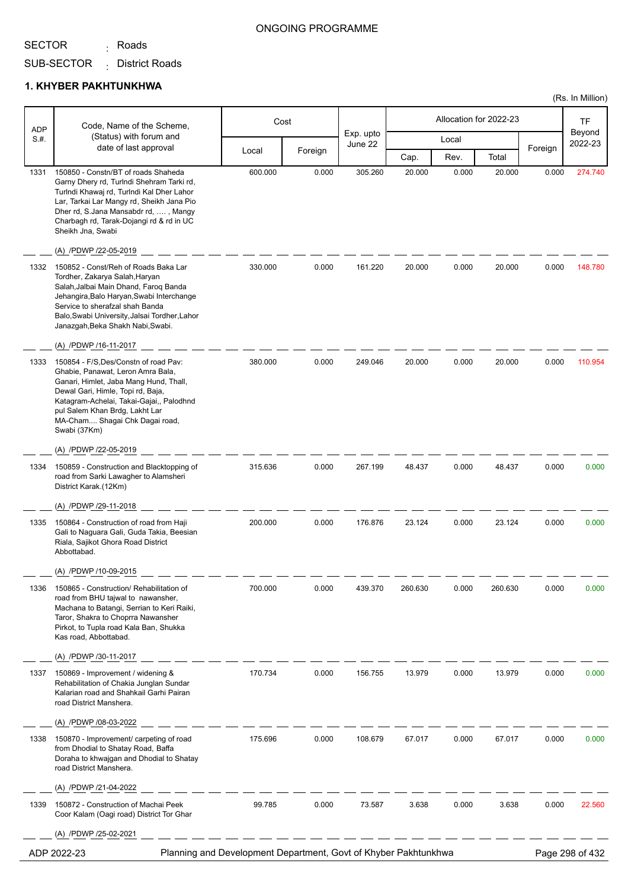<sub>:</sub> Roads

#### ONGOING PROGRAMME

(Rs. In Million)

SUB-SECTOR District Roads :

| <b>ADP</b> | Code, Name of the Scheme,                                                                                                                                                                                                                                                                                         | Cost    |         |                      | Allocation for 2022-23 |       |         | TF      |                   |
|------------|-------------------------------------------------------------------------------------------------------------------------------------------------------------------------------------------------------------------------------------------------------------------------------------------------------------------|---------|---------|----------------------|------------------------|-------|---------|---------|-------------------|
| S.H.       | (Status) with forum and                                                                                                                                                                                                                                                                                           |         |         | Exp. upto<br>June 22 |                        | Local |         |         | Beyond<br>2022-23 |
|            | date of last approval                                                                                                                                                                                                                                                                                             | Local   | Foreign |                      | Cap.                   | Rev.  | Total   | Foreign |                   |
| 1331       | 150850 - Constn/BT of roads Shaheda<br>Garny Dhery rd, Turlndi Shehram Tarki rd,<br>Turlndi Khawaj rd, Turlndi Kal Dher Lahor<br>Lar, Tarkai Lar Mangy rd, Sheikh Jana Pio<br>Dher rd, S.Jana Mansabdr rd, , Mangy<br>Charbagh rd, Tarak-Dojangi rd & rd in UC<br>Sheikh Jna, Swabi<br>(A) /PDWP /22-05-2019      | 600.000 | 0.000   | 305.260              | 20.000                 | 0.000 | 20.000  | 0.000   | 274.740           |
| 1332       | 150852 - Const/Reh of Roads Baka Lar<br>Tordher, Zakarya Salah, Haryan<br>Salah, Jalbai Main Dhand, Faroq Banda<br>Jehangira, Balo Haryan, Swabi Interchange<br>Service to sherafzal shah Banda<br>Balo, Swabi University, Jalsai Tordher, Lahor<br>Janazgah, Beka Shakh Nabi, Swabi.<br>(A) /PDWP /16-11-2017    | 330.000 | 0.000   | 161.220              | 20.000                 | 0.000 | 20.000  | 0.000   | 148.780           |
| 1333       | 150854 - F/S.Des/Constn of road Pay:<br>Ghabie, Panawat, Leron Amra Bala,<br>Ganari, Himlet, Jaba Mang Hund, Thall,<br>Dewal Gari, Himle, Topi rd, Baja,<br>Katagram-Achelai, Takai-Gajai,, Palodhnd<br>pul Salem Khan Brdg, Lakht Lar<br>MA-Cham Shagai Chk Dagai road,<br>Swabi (37Km)<br>(A) /PDWP /22-05-2019 | 380.000 | 0.000   | 249.046              | 20.000                 | 0.000 | 20.000  | 0.000   | 110.954           |
| 1334       | 150859 - Construction and Blacktopping of<br>road from Sarki Lawagher to Alamsheri<br>District Karak.(12Km)                                                                                                                                                                                                       | 315.636 | 0.000   | 267.199              | 48.437                 | 0.000 | 48.437  | 0.000   | 0.000             |
| 1335       | (A) /PDWP /29-11-2018<br>150864 - Construction of road from Haji<br>Gali to Naguara Gali, Guda Takia, Beesian<br>Riala, Sajikot Ghora Road District<br>Abbottabad.<br>(A) /PDWP /10-09-2015                                                                                                                       | 200.000 | 0.000   | 176.876              | 23.124                 | 0.000 | 23.124  | 0.000   | 0.000             |
| 1336       | 150865 - Construction/ Rehabilitation of<br>road from BHU tajwal to nawansher,<br>Machana to Batangi, Serrian to Keri Raiki,<br>Taror, Shakra to Choprra Nawansher<br>Pirkot, to Tupla road Kala Ban, Shukka<br>Kas road, Abbottabad.<br>(A) /PDWP /30-11-2017                                                    | 700.000 | 0.000   | 439.370              | 260.630                | 0.000 | 260.630 | 0.000   | 0.000             |
| 1337       | 150869 - Improvement / widening &<br>Rehabilitation of Chakia Junglan Sundar<br>Kalarian road and Shahkail Garhi Pairan<br>road District Manshera.<br>(A) /PDWP /08-03-2022                                                                                                                                       | 170.734 | 0.000   | 156.755              | 13.979                 | 0.000 | 13.979  | 0.000   | 0.000             |
| 1338       | 150870 - Improvement/ carpeting of road<br>from Dhodial to Shatay Road, Baffa<br>Doraha to khwajgan and Dhodial to Shatay<br>road District Manshera.<br>(A) /PDWP /21-04-2022                                                                                                                                     | 175.696 | 0.000   | 108.679              | 67.017                 | 0.000 | 67.017  | 0.000   | 0.000             |
| 1339       | 150872 - Construction of Machai Peek<br>Coor Kalam (Oagi road) District Tor Ghar<br>(A) /PDWP /25-02-2021                                                                                                                                                                                                         | 99.785  | 0.000   | 73.587               | 3.638                  | 0.000 | 3.638   | 0.000   | 22.560            |
|            | Planning and Development Department, Govt of Khyber Pakhtunkhwa<br>ADP 2022-23                                                                                                                                                                                                                                    |         |         |                      |                        |       |         |         | Page 298 of 432   |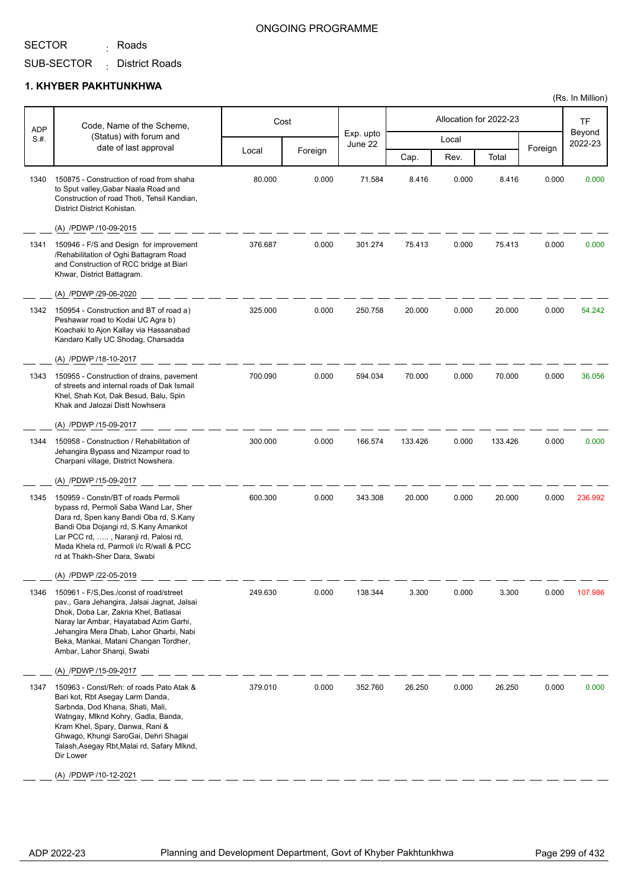<sub>:</sub> Roads

#### ONGOING PROGRAMME

SUB-SECTOR District Roads :

#### **1. KHYBER PAKHTUNKHWA**

| <b>ADP</b> | Code, Name of the Scheme,                                                                                                                                                                                                                                                                      |         | Cost    |                      |         |       | Allocation for 2022-23 |         | TF                |
|------------|------------------------------------------------------------------------------------------------------------------------------------------------------------------------------------------------------------------------------------------------------------------------------------------------|---------|---------|----------------------|---------|-------|------------------------|---------|-------------------|
| S.#.       | (Status) with forum and<br>date of last approval                                                                                                                                                                                                                                               |         |         | Exp. upto<br>June 22 |         | Local |                        |         | Beyond<br>2022-23 |
|            |                                                                                                                                                                                                                                                                                                | Local   | Foreign |                      | Cap.    | Rev.  | Total                  | Foreign |                   |
| 1340       | 150875 - Construction of road from shaha<br>to Sput valley, Gabar Naala Road and<br>Construction of road Thoti, Tehsil Kandian,<br>District District Kohistan.                                                                                                                                 | 80.000  | 0.000   | 71.584               | 8.416   | 0.000 | 8.416                  | 0.000   | 0.000             |
|            | (A) /PDWP /10-09-2015                                                                                                                                                                                                                                                                          |         |         |                      |         |       |                        |         |                   |
| 1341       | 150946 - F/S and Design for improvement<br>/Rehabilitation of Oghi Battagram Road<br>and Construction of RCC bridge at Biari<br>Khwar, District Battagram.                                                                                                                                     | 376.687 | 0.000   | 301.274              | 75.413  | 0.000 | 75.413                 | 0.000   | 0.000             |
|            | (A) /PDWP /29-06-2020                                                                                                                                                                                                                                                                          |         |         |                      |         |       |                        |         |                   |
| 1342       | 150954 - Construction and BT of road a)<br>Peshawar road to Kodai UC Agra b)<br>Koachaki to Ajon Kallay via Hassanabad<br>Kandaro Kally UC Shodag, Charsadda                                                                                                                                   | 325.000 | 0.000   | 250.758              | 20.000  | 0.000 | 20.000                 | 0.000   | 54.242            |
|            | (A) /PDWP /18-10-2017                                                                                                                                                                                                                                                                          |         |         |                      |         |       |                        |         |                   |
| 1343       | 150955 - Construction of drains, pavement<br>of streets and internal roads of Dak Ismail<br>Khel, Shah Kot, Dak Besud, Balu, Spin<br>Khak and Jalozai Distt Nowhsera                                                                                                                           | 700.090 | 0.000   | 594.034              | 70.000  | 0.000 | 70.000                 | 0.000   | 36.056            |
|            | (A) /PDWP /15-09-2017                                                                                                                                                                                                                                                                          |         |         |                      |         |       |                        |         |                   |
| 1344       | 150958 - Construction / Rehabilitation of<br>Jehangira Bypass and Nizampur road to<br>Charpani village, District Nowshera.                                                                                                                                                                     | 300.000 | 0.000   | 166.574              | 133.426 | 0.000 | 133.426                | 0.000   | 0.000             |
|            | (A) /PDWP /15-09-2017                                                                                                                                                                                                                                                                          |         |         |                      |         |       |                        |         |                   |
| 1345       | 150959 - Constn/BT of roads Permoli<br>bypass rd, Permoli Saba Wand Lar, Sher<br>Dara rd, Spen kany Bandi Oba rd, S.Kany<br>Bandi Oba Dojangi rd, S.Kany Amankot<br>Lar PCC rd, , Naranji rd, Palosi rd,<br>Mada Khela rd, Parmoli i/c R/wall & PCC<br>rd at Thakh-Sher Dara, Swabi            | 600.300 | 0.000   | 343.308              | 20.000  | 0.000 | 20.000                 | 0.000   | 236.992           |
|            | (A) /PDWP /22-05-2019                                                                                                                                                                                                                                                                          |         |         |                      |         |       |                        |         |                   |
| 1346       | 150961 - F/S.Des./const of road/street<br>pav., Gara Jehangira, Jalsai Jagnat, Jalsai<br>Dhok, Doba Lar, Zakria Khel, Batlasai<br>Naray lar Ambar, Hayatabad Azim Garhi,<br>Jehangira Mera Dhab, Lahor Gharbi, Nabi<br>Beka, Mankai, Matani Changan Tordher,<br>Ambar, Lahor Sharqi, Swabi     | 249.630 | 0.000   | 138.344              | 3.300   | 0.000 | 3.300                  | 0.000   | 107.986           |
|            | (A) /PDWP /15-09-2017                                                                                                                                                                                                                                                                          |         |         |                      |         |       |                        |         |                   |
| 1347       | 150963 - Const/Reh: of roads Pato Atak &<br>Bari kot, Rbt Asegay Larm Danda,<br>Sarbnda, Dod Khana, Shati, Mali,<br>Watngay, Mlknd Kohry, Gadla, Banda,<br>Kram Khel, Spary, Danwa, Rani &<br>Ghwago, Khungi SaroGai, Dehri Shagai<br>Talash, Asegay Rbt, Malai rd, Safary Mlknd,<br>Dir Lower | 379.010 | 0.000   | 352.760              | 26.250  | 0.000 | 26.250                 | 0.000   | 0.000             |
|            | (A) /PDWP /10-12-2021                                                                                                                                                                                                                                                                          |         |         |                      |         |       |                        |         |                   |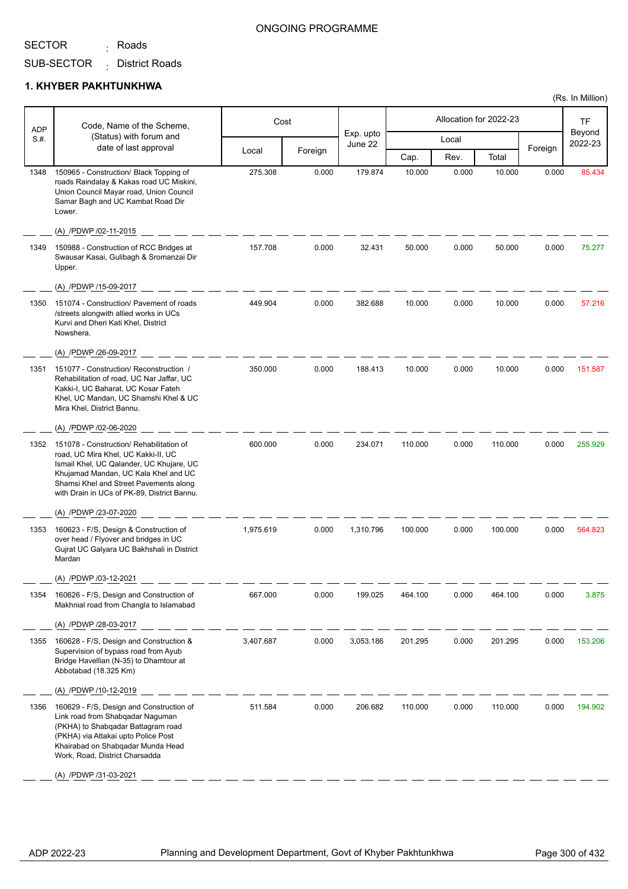<sub>:</sub> Roads

#### ONGOING PROGRAMME

SUB-SECTOR District Roads :

#### **1. KHYBER PAKHTUNKHWA**

| <b>ADP</b> | Code, Name of the Scheme,                                                                                                                                                                                                                                    |           | Cost    |                      |         |       | Allocation for 2022-23 |         | TF                |
|------------|--------------------------------------------------------------------------------------------------------------------------------------------------------------------------------------------------------------------------------------------------------------|-----------|---------|----------------------|---------|-------|------------------------|---------|-------------------|
| S.H.       | (Status) with forum and<br>date of last approval                                                                                                                                                                                                             |           |         | Exp. upto<br>June 22 |         | Local |                        |         | Beyond<br>2022-23 |
|            |                                                                                                                                                                                                                                                              | Local     | Foreign |                      | Cap.    | Rev.  | Total                  | Foreign |                   |
| 1348       | 150965 - Construction/ Black Topping of<br>roads Raindalay & Kakas road UC Miskini,<br>Union Council Mayar road, Union Council<br>Samar Bagh and UC Kambat Road Dir<br>Lower.                                                                                | 275.308   | 0.000   | 179.874              | 10.000  | 0.000 | 10.000                 | 0.000   | 85.434            |
|            | (A) /PDWP /02-11-2015                                                                                                                                                                                                                                        |           |         |                      |         |       |                        |         |                   |
| 1349       | 150988 - Construction of RCC Bridges at<br>Swausar Kasai, Gulibagh & Sromanzai Dir<br>Upper.                                                                                                                                                                 | 157.708   | 0.000   | 32.431               | 50.000  | 0.000 | 50.000                 | 0.000   | 75.277            |
|            | (A) /PDWP /15-09-2017                                                                                                                                                                                                                                        |           |         |                      |         |       |                        |         |                   |
| 1350       | 151074 - Construction/ Pavement of roads<br>/streets alongwith allied works in UCs<br>Kurvi and Dheri Kati Khel, District<br>Nowshera.                                                                                                                       | 449.904   | 0.000   | 382.688              | 10.000  | 0.000 | 10.000                 | 0.000   | 57.216            |
|            | (A) /PDWP /26-09-2017                                                                                                                                                                                                                                        |           |         |                      |         |       |                        |         |                   |
| 1351       | 151077 - Construction/ Reconstruction /<br>Rehabilitation of road, UC Nar Jaffar, UC<br>Kakki-I, UC Baharat, UC Kosar Fateh<br>Khel, UC Mandan, UC Shamshi Khel & UC<br>Mira Khel, District Bannu.                                                           | 350.000   | 0.000   | 188.413              | 10.000  | 0.000 | 10.000                 | 0.000   | 151.587           |
|            | (A) /PDWP /02-06-2020                                                                                                                                                                                                                                        |           |         |                      |         |       |                        |         |                   |
| 1352       | 151078 - Construction/ Rehabilitation of<br>road, UC Mira Khel, UC Kakki-II, UC<br>Ismail Khel, UC Qalander, UC Khujare, UC<br>Khujamad Mandan, UC Kala Khel and UC<br>Shamsi Khel and Street Pavements along<br>with Drain in UCs of PK-89, District Bannu. | 600.000   | 0.000   | 234.071              | 110.000 | 0.000 | 110.000                | 0.000   | 255.929           |
|            | (A) /PDWP /23-07-2020                                                                                                                                                                                                                                        |           |         |                      |         |       |                        |         |                   |
| 1353       | 160623 - F/S, Design & Construction of<br>over head / Flyover and bridges in UC<br>Gujrat UC Galyara UC Bakhshali in District<br>Mardan                                                                                                                      | 1,975.619 | 0.000   | 1,310.796            | 100.000 | 0.000 | 100.000                | 0.000   | 564.823           |
|            | (A) /PDWP /03-12-2021                                                                                                                                                                                                                                        |           |         |                      |         |       |                        |         |                   |
| 1354       | 160626 - F/S, Design and Construction of<br>Makhnial road from Changla to Islamabad                                                                                                                                                                          | 667.000   | 0.000   | 199.025              | 464.100 | 0.000 | 464.100                | 0.000   | 3.875             |
|            | (A) /PDWP /28-03-2017                                                                                                                                                                                                                                        |           |         |                      |         |       |                        |         |                   |
| 1355       | 160628 - F/S, Design and Construction &<br>Supervision of bypass road from Ayub<br>Bridge Havellian (N-35) to Dhamtour at<br>Abbotabad (18.325 Km)                                                                                                           | 3,407.687 | 0.000   | 3,053.186            | 201.295 | 0.000 | 201.295                | 0.000   | 153.206           |
|            | (A) /PDWP /10-12-2019                                                                                                                                                                                                                                        |           |         |                      |         |       |                        |         |                   |
| 1356       | 160629 - F/S, Design and Construction of<br>Link road from Shabqadar Naguman<br>(PKHA) to Shabqadar Battagram road<br>(PKHA) via Attakai upto Police Post<br>Khairabad on Shabqadar Munda Head<br>Work, Road, District Charsadda                             | 511.584   | 0.000   | 206.682              | 110.000 | 0.000 | 110.000                | 0.000   | 194.902           |
|            | (A) /PDWP /31-03-2021                                                                                                                                                                                                                                        |           |         |                      |         |       |                        |         |                   |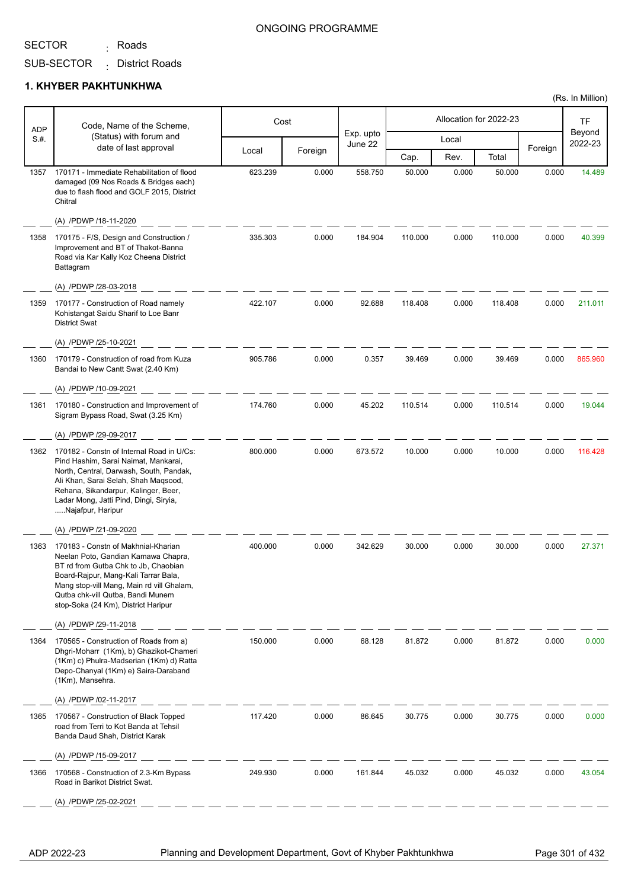<sub>:</sub> Roads

### ONGOING PROGRAMME

SUB-SECTOR District Roads :

#### **1. KHYBER PAKHTUNKHWA**

| <b>ADP</b> | Code, Name of the Scheme,                                                                                                                                                                                                                                                           |         | Cost    |                      |         |       | Allocation for 2022-23 |         | TF                |
|------------|-------------------------------------------------------------------------------------------------------------------------------------------------------------------------------------------------------------------------------------------------------------------------------------|---------|---------|----------------------|---------|-------|------------------------|---------|-------------------|
| S.#.       | (Status) with forum and                                                                                                                                                                                                                                                             |         |         | Exp. upto<br>June 22 |         | Local |                        |         | Beyond<br>2022-23 |
|            | date of last approval                                                                                                                                                                                                                                                               | Local   | Foreign |                      | Cap.    | Rev.  | Total                  | Foreign |                   |
| 1357       | 170171 - Immediate Rehabilitation of flood<br>damaged (09 Nos Roads & Bridges each)<br>due to flash flood and GOLF 2015, District<br>Chitral                                                                                                                                        | 623.239 | 0.000   | 558.750              | 50.000  | 0.000 | 50.000                 | 0.000   | 14.489            |
|            | (A) /PDWP /18-11-2020                                                                                                                                                                                                                                                               |         |         |                      |         |       |                        |         |                   |
| 1358       | 170175 - F/S, Design and Construction /<br>Improvement and BT of Thakot-Banna<br>Road via Kar Kally Koz Cheena District<br>Battagram                                                                                                                                                | 335.303 | 0.000   | 184.904              | 110.000 | 0.000 | 110.000                | 0.000   | 40.399            |
|            | (A) /PDWP /28-03-2018                                                                                                                                                                                                                                                               |         |         |                      |         |       |                        |         |                   |
| 1359       | 170177 - Construction of Road namely<br>Kohistangat Saidu Sharif to Loe Banr<br><b>District Swat</b>                                                                                                                                                                                | 422.107 | 0.000   | 92.688               | 118.408 | 0.000 | 118.408                | 0.000   | 211.011           |
|            | (A) /PDWP /25-10-2021                                                                                                                                                                                                                                                               |         |         |                      |         |       |                        |         |                   |
| 1360       | 170179 - Construction of road from Kuza<br>Bandai to New Cantt Swat (2.40 Km)                                                                                                                                                                                                       | 905.786 | 0.000   | 0.357                | 39.469  | 0.000 | 39.469                 | 0.000   | 865.960           |
|            | (A) /PDWP /10-09-2021                                                                                                                                                                                                                                                               |         |         |                      |         |       |                        |         |                   |
| 1361       | 170180 - Construction and Improvement of<br>Sigram Bypass Road, Swat (3.25 Km)                                                                                                                                                                                                      | 174.760 | 0.000   | 45.202               | 110.514 | 0.000 | 110.514                | 0.000   | 19.044            |
|            | (A) /PDWP /29-09-2017                                                                                                                                                                                                                                                               |         |         |                      |         |       |                        |         |                   |
| 1362       | 170182 - Constn of Internal Road in U/Cs:<br>Pind Hashim, Sarai Naimat, Mankarai,<br>North, Central, Darwash, South, Pandak,<br>Ali Khan, Sarai Selah, Shah Maqsood,<br>Rehana, Sikandarpur, Kalinger, Beer,<br>Ladar Mong, Jatti Pind, Dingi, Siryia,<br>Najafpur, Haripur         | 800.000 | 0.000   | 673.572              | 10.000  | 0.000 | 10.000                 | 0.000   | 116.428           |
|            | (A) /PDWP /21-09-2020                                                                                                                                                                                                                                                               |         |         |                      |         |       |                        |         |                   |
| 1363       | 170183 - Constn of Makhnial-Kharian<br>Neelan Poto, Gandian Kamawa Chapra,<br>BT rd from Gutba Chk to Jb, Chaobian<br>Board-Rajpur, Mang-Kali Tarrar Bala,<br>Mang stop-vill Mang, Main rd vill Ghalam,<br>Qutba chk-vill Qutba, Bandi Munem<br>stop-Soka (24 Km), District Haripur | 400.000 | 0.000   | 342.629              | 30.000  | 0.000 | 30.000                 | 0.000   | 27.371            |
|            | (A) /PDWP /29-11-2018                                                                                                                                                                                                                                                               |         |         |                      |         |       |                        |         |                   |
| 1364       | 170565 - Construction of Roads from a)<br>Dhgri-Moharr (1Km), b) Ghazikot-Chameri<br>(1Km) c) Phulra-Madserian (1Km) d) Ratta<br>Depo-Chanyal (1Km) e) Saira-Daraband<br>(1Km), Mansehra.                                                                                           | 150.000 | 0.000   | 68.128               | 81.872  | 0.000 | 81.872                 | 0.000   | 0.000             |
|            | (A) /PDWP /02-11-2017                                                                                                                                                                                                                                                               |         |         |                      |         |       |                        |         |                   |
| 1365       | 170567 - Construction of Black Topped<br>road from Terri to Kot Banda at Tehsil<br>Banda Daud Shah, District Karak                                                                                                                                                                  | 117.420 | 0.000   | 86.645               | 30.775  | 0.000 | 30.775                 | 0.000   | 0.000             |
|            | (A) /PDWP /15-09-2017                                                                                                                                                                                                                                                               |         |         |                      |         |       |                        |         |                   |
| 1366       | 170568 - Construction of 2.3-Km Bypass<br>Road in Barikot District Swat.                                                                                                                                                                                                            | 249.930 | 0.000   | 161.844              | 45.032  | 0.000 | 45.032                 | 0.000   | 43.054            |
|            | (A) /PDWP /25-02-2021                                                                                                                                                                                                                                                               |         |         |                      |         |       |                        |         |                   |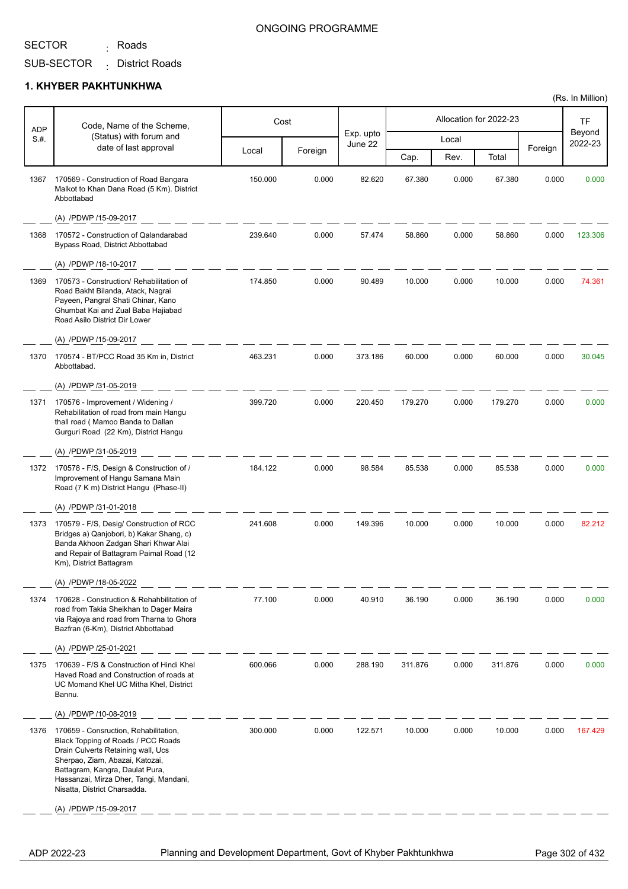<sub>:</sub> Roads

#### ONGOING PROGRAMME

SUB-SECTOR District Roads :

#### **1. KHYBER PAKHTUNKHWA**

| <b>ADP</b> | Code, Name of the Scheme,                                                                                                                                                                                                                                         |         | Cost    |                      |         |       | Allocation for 2022-23 |         | TF                |
|------------|-------------------------------------------------------------------------------------------------------------------------------------------------------------------------------------------------------------------------------------------------------------------|---------|---------|----------------------|---------|-------|------------------------|---------|-------------------|
| S.#.       | (Status) with forum and                                                                                                                                                                                                                                           |         |         | Exp. upto<br>June 22 |         | Local |                        |         | Beyond<br>2022-23 |
|            | date of last approval                                                                                                                                                                                                                                             | Local   | Foreign |                      | Cap.    | Rev.  | Total                  | Foreign |                   |
| 1367       | 170569 - Construction of Road Bangara<br>Malkot to Khan Dana Road (5 Km). District<br>Abbottabad                                                                                                                                                                  | 150.000 | 0.000   | 82.620               | 67.380  | 0.000 | 67.380                 | 0.000   | 0.000             |
|            | (A) /PDWP /15-09-2017                                                                                                                                                                                                                                             |         |         |                      |         |       |                        |         |                   |
| 1368       | 170572 - Construction of Qalandarabad<br>Bypass Road, District Abbottabad                                                                                                                                                                                         | 239.640 | 0.000   | 57.474               | 58.860  | 0.000 | 58.860                 | 0.000   | 123.306           |
|            | (A) /PDWP /18-10-2017                                                                                                                                                                                                                                             |         |         |                      |         |       |                        |         |                   |
| 1369       | 170573 - Construction/ Rehabilitation of<br>Road Bakht Bilanda, Atack, Nagrai<br>Payeen, Pangral Shati Chinar, Kano<br>Ghumbat Kai and Zual Baba Hajiabad<br>Road Asilo District Dir Lower                                                                        | 174.850 | 0.000   | 90.489               | 10.000  | 0.000 | 10.000                 | 0.000   | 74.361            |
|            | (A) /PDWP /15-09-2017                                                                                                                                                                                                                                             |         |         |                      |         |       |                        |         |                   |
| 1370       | 170574 - BT/PCC Road 35 Km in, District<br>Abbottabad.                                                                                                                                                                                                            | 463.231 | 0.000   | 373.186              | 60.000  | 0.000 | 60.000                 | 0.000   | 30.045            |
|            | (A) /PDWP /31-05-2019                                                                                                                                                                                                                                             |         |         |                      |         |       |                        |         |                   |
| 1371       | 170576 - Improvement / Widening /<br>Rehabilitation of road from main Hangu<br>thall road (Mamoo Banda to Dallan<br>Gurguri Road (22 Km), District Hangu                                                                                                          | 399.720 | 0.000   | 220.450              | 179.270 | 0.000 | 179.270                | 0.000   | 0.000             |
|            | (A) /PDWP /31-05-2019                                                                                                                                                                                                                                             |         |         |                      |         |       |                        |         |                   |
| 1372       | 170578 - F/S, Design & Construction of /<br>Improvement of Hangu Samana Main<br>Road (7 K m) District Hangu (Phase-II)                                                                                                                                            | 184.122 | 0.000   | 98.584               | 85.538  | 0.000 | 85.538                 | 0.000   | 0.000             |
|            | (A) /PDWP /31-01-2018                                                                                                                                                                                                                                             |         |         |                      |         |       |                        |         |                   |
| 1373       | 170579 - F/S, Desig/ Construction of RCC<br>Bridges a) Qanjobori, b) Kakar Shang, c)<br>Banda Akhoon Zadgan Shari Khwar Alai<br>and Repair of Battagram Paimal Road (12<br>Km), District Battagram                                                                | 241.608 | 0.000   | 149.396              | 10.000  | 0.000 | 10.000                 | 0.000   | 82.212            |
|            | (A) /PDWP /18-05-2022                                                                                                                                                                                                                                             |         |         |                      |         |       |                        |         |                   |
| 1374       | 170628 - Construction & Rehahbilitation of<br>road from Takia Sheikhan to Dager Maira<br>via Rajoya and road from Tharna to Ghora<br>Bazfran (6-Km), District Abbottabad                                                                                          | 77.100  | 0.000   | 40.910               | 36.190  | 0.000 | 36.190                 | 0.000   | 0.000             |
|            | (A) /PDWP /25-01-2021                                                                                                                                                                                                                                             |         |         |                      |         |       |                        |         |                   |
| 1375       | 170639 - F/S & Construction of Hindi Khel<br>Haved Road and Construction of roads at<br>UC Momand Khel UC Mitha Khel, District<br>Bannu.                                                                                                                          | 600.066 | 0.000   | 288.190              | 311.876 | 0.000 | 311.876                | 0.000   | 0.000             |
|            | (A) /PDWP /10-08-2019                                                                                                                                                                                                                                             |         |         |                      |         |       |                        |         |                   |
| 1376       | 170659 - Consruction, Rehabilitation,<br>Black Topping of Roads / PCC Roads<br>Drain Culverts Retaining wall, Ucs<br>Sherpao, Ziam, Abazai, Katozai,<br>Battagram, Kangra, Daulat Pura,<br>Hassanzai, Mirza Dher, Tangi, Mandani,<br>Nisatta, District Charsadda. | 300.000 | 0.000   | 122.571              | 10.000  | 0.000 | 10.000                 | 0.000   | 167.429           |
|            | (A) /PDWP /15-09-2017                                                                                                                                                                                                                                             |         |         |                      |         |       |                        |         |                   |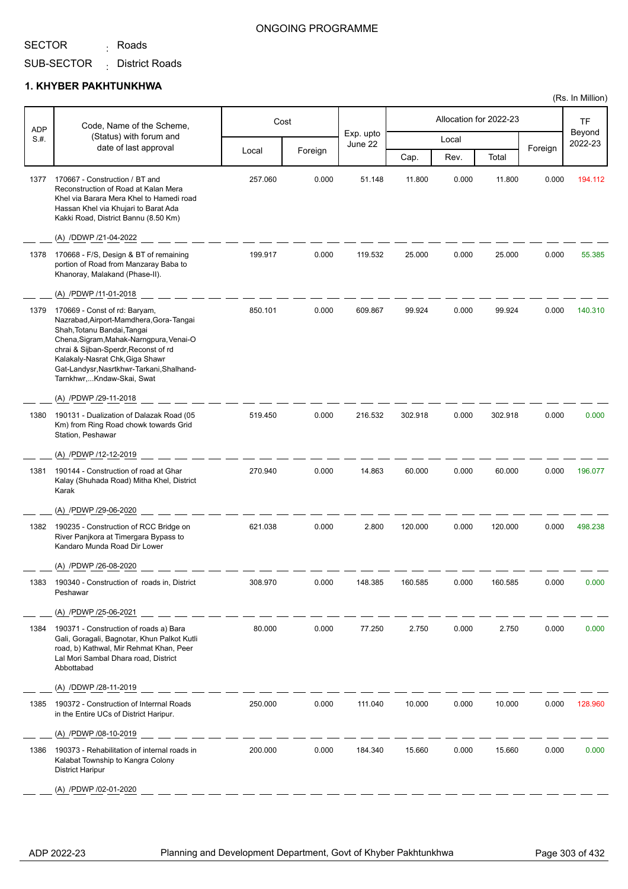<sub>:</sub> Roads

#### ONGOING PROGRAMME

SUB-SECTOR District Roads :

#### **1. KHYBER PAKHTUNKHWA**

| <b>ADP</b> | Code, Name of the Scheme,                                                                                                                                                                                                                                                                                                        |         | Cost    |                      |         |       | Allocation for 2022-23 |         | TF                |
|------------|----------------------------------------------------------------------------------------------------------------------------------------------------------------------------------------------------------------------------------------------------------------------------------------------------------------------------------|---------|---------|----------------------|---------|-------|------------------------|---------|-------------------|
| S.#.       | (Status) with forum and<br>date of last approval                                                                                                                                                                                                                                                                                 |         |         | Exp. upto<br>June 22 |         | Local |                        |         | Beyond<br>2022-23 |
|            |                                                                                                                                                                                                                                                                                                                                  | Local   | Foreign |                      | Cap.    | Rev.  | Total                  | Foreign |                   |
| 1377       | 170667 - Construction / BT and<br>Reconstruction of Road at Kalan Mera<br>Khel via Barara Mera Khel to Hamedi road<br>Hassan Khel via Khujari to Barat Ada<br>Kakki Road, District Bannu (8.50 Km)                                                                                                                               | 257.060 | 0.000   | 51.148               | 11.800  | 0.000 | 11.800                 | 0.000   | 194.112           |
|            | (A) /DDWP /21-04-2022                                                                                                                                                                                                                                                                                                            |         |         |                      |         |       |                        |         |                   |
| 1378       | 170668 - F/S, Design & BT of remaining<br>portion of Road from Manzaray Baba to<br>Khanoray, Malakand (Phase-II).                                                                                                                                                                                                                | 199.917 | 0.000   | 119.532              | 25.000  | 0.000 | 25.000                 | 0.000   | 55.385            |
|            | (A) /PDWP /11-01-2018                                                                                                                                                                                                                                                                                                            |         |         |                      |         |       |                        |         |                   |
| 1379       | 170669 - Const of rd: Baryam,<br>Nazrabad, Airport-Mamdhera, Gora-Tangai<br>Shah, Totanu Bandai, Tangai<br>Chena, Sigram, Mahak-Narngpura, Venai-O<br>chrai & Sijban-Sperdr, Reconst of rd<br>Kalakaly-Nasrat Chk, Giga Shawr<br>Gat-Landysr, Nasrtkhwr-Tarkani, Shalhand-<br>Tarnkhwr,Kndaw-Skai, Swat<br>(A) /PDWP /29-11-2018 | 850.101 | 0.000   | 609.867              | 99.924  | 0.000 | 99.924                 | 0.000   | 140.310           |
| 1380       | 190131 - Dualization of Dalazak Road (05                                                                                                                                                                                                                                                                                         | 519.450 | 0.000   | 216.532              | 302.918 | 0.000 | 302.918                | 0.000   | 0.000             |
|            | Km) from Ring Road chowk towards Grid<br>Station, Peshawar<br>(A) /PDWP /12-12-2019                                                                                                                                                                                                                                              |         |         |                      |         |       |                        |         |                   |
| 1381       | 190144 - Construction of road at Ghar<br>Kalay (Shuhada Road) Mitha Khel, District<br>Karak                                                                                                                                                                                                                                      | 270.940 | 0.000   | 14.863               | 60.000  | 0.000 | 60.000                 | 0.000   | 196.077           |
|            | (A) /PDWP /29-06-2020                                                                                                                                                                                                                                                                                                            |         |         |                      |         |       |                        |         |                   |
| 1382       | 190235 - Construction of RCC Bridge on<br>River Panjkora at Timergara Bypass to<br>Kandaro Munda Road Dir Lower                                                                                                                                                                                                                  | 621.038 | 0.000   | 2.800                | 120.000 | 0.000 | 120.000                | 0.000   | 498.238           |
|            | (A) /PDWP /26-08-2020                                                                                                                                                                                                                                                                                                            |         |         |                      |         |       |                        |         |                   |
| 1383       | 190340 - Construction of roads in, District<br>Peshawar                                                                                                                                                                                                                                                                          | 308.970 | 0.000   | 148.385              | 160.585 | 0.000 | 160.585                | 0.000   | 0.000             |
|            | (A) /PDWP /25-06-2021                                                                                                                                                                                                                                                                                                            |         |         |                      |         |       |                        |         |                   |
| 1384       | 190371 - Construction of roads a) Bara<br>Gali, Goragali, Bagnotar, Khun Palkot Kutli<br>road, b) Kathwal, Mir Rehmat Khan, Peer<br>Lal Mori Sambal Dhara road, District<br>Abbottabad                                                                                                                                           | 80.000  | 0.000   | 77.250               | 2.750   | 0.000 | 2.750                  | 0.000   | 0.000             |
|            | (A) /DDWP /28-11-2019                                                                                                                                                                                                                                                                                                            |         |         |                      |         |       |                        |         |                   |
| 1385       | 190372 - Construction of Interrnal Roads<br>in the Entire UCs of District Haripur.                                                                                                                                                                                                                                               | 250.000 | 0.000   | 111.040              | 10.000  | 0.000 | 10.000                 | 0.000   | 128.960           |
|            | (A) /PDWP /08-10-2019                                                                                                                                                                                                                                                                                                            |         |         |                      |         |       |                        |         |                   |
| 1386       | 190373 - Rehabilitation of internal roads in<br>Kalabat Township to Kangra Colony<br><b>District Haripur</b>                                                                                                                                                                                                                     | 200.000 | 0.000   | 184.340              | 15.660  | 0.000 | 15.660                 | 0.000   | 0.000             |
|            | (A) /PDWP /02-01-2020                                                                                                                                                                                                                                                                                                            |         |         |                      |         |       |                        |         |                   |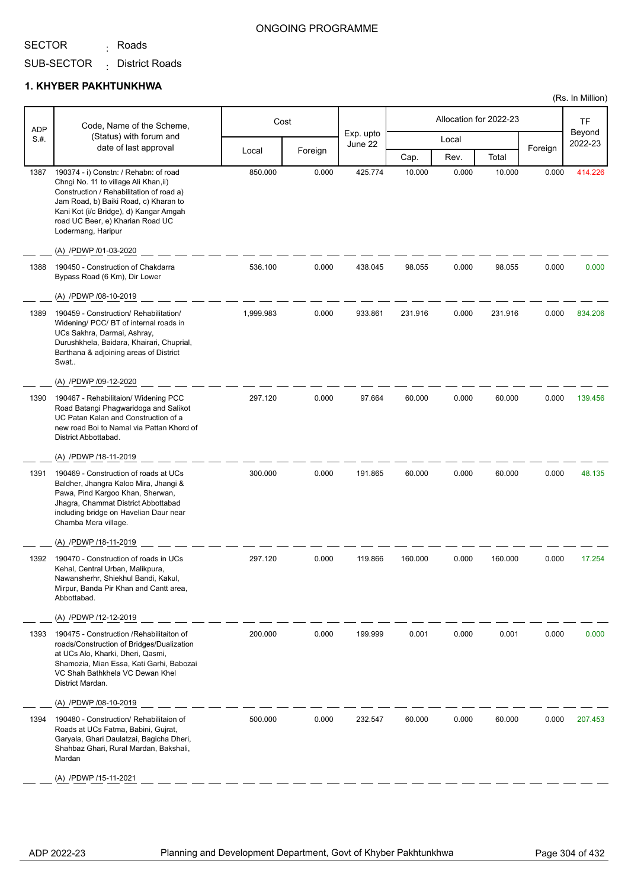<sub>:</sub> Roads

#### ONGOING PROGRAMME

SUB-SECTOR District Roads :

#### **1. KHYBER PAKHTUNKHWA**

|                    | Code, Name of the Scheme,                                                                                                                                                                                                                                               |           | Cost    |                      |         |       | Allocation for 2022-23 |         | <b>TF</b>         |
|--------------------|-------------------------------------------------------------------------------------------------------------------------------------------------------------------------------------------------------------------------------------------------------------------------|-----------|---------|----------------------|---------|-------|------------------------|---------|-------------------|
| <b>ADP</b><br>S.H. | (Status) with forum and                                                                                                                                                                                                                                                 |           |         | Exp. upto<br>June 22 |         | Local |                        |         | Beyond<br>2022-23 |
|                    | date of last approval                                                                                                                                                                                                                                                   | Local     | Foreign |                      | Cap.    | Rev.  | Total                  | Foreign |                   |
| 1387               | 190374 - i) Constn: / Rehabn: of road<br>Chngi No. 11 to village Ali Khan, ii)<br>Construction / Rehabilitation of road a)<br>Jam Road, b) Baiki Road, c) Kharan to<br>Kani Kot (i/c Bridge), d) Kangar Amgah<br>road UC Beer, e) Kharian Road UC<br>Lodermang, Haripur | 850.000   | 0.000   | 425.774              | 10.000  | 0.000 | 10.000                 | 0.000   | 414.226           |
|                    | (A) /PDWP /01-03-2020                                                                                                                                                                                                                                                   |           |         |                      |         |       |                        |         |                   |
| 1388               | 190450 - Construction of Chakdarra<br>Bypass Road (6 Km), Dir Lower                                                                                                                                                                                                     | 536.100   | 0.000   | 438.045              | 98.055  | 0.000 | 98.055                 | 0.000   | 0.000             |
|                    | (A) /PDWP /08-10-2019                                                                                                                                                                                                                                                   |           |         |                      |         |       |                        |         |                   |
| 1389               | 190459 - Construction/ Rehabilitation/<br>Widening/ PCC/ BT of internal roads in<br>UCs Sakhra, Darmai, Ashray,<br>Durushkhela, Baidara, Khairari, Chuprial,<br>Barthana & adjoining areas of District<br>Swat                                                          | 1,999.983 | 0.000   | 933.861              | 231.916 | 0.000 | 231.916                | 0.000   | 834.206           |
|                    | (A) /PDWP /09-12-2020                                                                                                                                                                                                                                                   |           |         |                      |         |       |                        |         |                   |
| 1390               | 190467 - Rehabilitaion/ Widening PCC<br>Road Batangi Phagwaridoga and Salikot<br>UC Patan Kalan and Construction of a<br>new road Boi to Namal via Pattan Khord of<br>District Abbottabad.                                                                              | 297.120   | 0.000   | 97.664               | 60.000  | 0.000 | 60.000                 | 0.000   | 139.456           |
|                    | (A) /PDWP /18-11-2019                                                                                                                                                                                                                                                   |           |         |                      |         |       |                        |         |                   |
| 1391               | 190469 - Construction of roads at UCs<br>Baldher, Jhangra Kaloo Mira, Jhangi &<br>Pawa, Pind Kargoo Khan, Sherwan,<br>Jhagra, Chammat District Abbottabad<br>including bridge on Havelian Daur near<br>Chamba Mera village.                                             | 300.000   | 0.000   | 191.865              | 60.000  | 0.000 | 60.000                 | 0.000   | 48.135            |
|                    | (A) /PDWP /18-11-2019                                                                                                                                                                                                                                                   |           |         |                      |         |       |                        |         |                   |
| 1392               | 190470 - Construction of roads in UCs<br>Kehal, Central Urban, Malikpura,<br>Nawansherhr, Shiekhul Bandi, Kakul,<br>Mirpur, Banda Pir Khan and Cantt area,<br>Abbottabad.                                                                                               | 297.120   | 0.000   | 119.866              | 160.000 | 0.000 | 160.000                | 0.000   | 17.254            |
|                    | (A) /PDWP /12-12-2019                                                                                                                                                                                                                                                   |           |         |                      |         |       |                        |         |                   |
| 1393               | 190475 - Construction / Rehabilitaiton of<br>roads/Construction of Bridges/Dualization<br>at UCs Alo, Kharki, Dheri, Qasmi,<br>Shamozia, Mian Essa, Kati Garhi, Babozai<br>VC Shah Bathkhela VC Dewan Khel<br>District Mardan.<br>(A) /PDWP /08-10-2019                 | 200.000   | 0.000   | 199.999              | 0.001   | 0.000 | 0.001                  | 0.000   | 0.000             |
| 1394               | 190480 - Construction/ Rehabilitaion of<br>Roads at UCs Fatma, Babini, Gujrat,<br>Garyala, Ghari Daulatzai, Bagicha Dheri,<br>Shahbaz Ghari, Rural Mardan, Bakshali,<br>Mardan<br>(A) /PDWP /15-11-2021                                                                 | 500.000   | 0.000   | 232.547              | 60.000  | 0.000 | 60.000                 | 0.000   | 207.453           |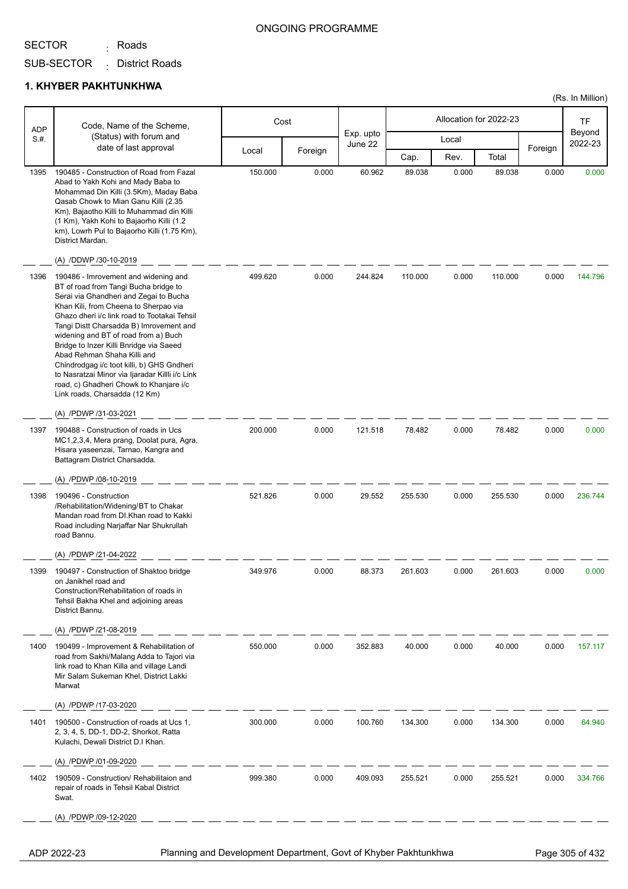<sub>:</sub> Roads

#### ONGOING PROGRAMME

SUB-SECTOR District Roads :

#### **1. KHYBER PAKHTUNKHWA**

|            |                                                                                                                                                                                                                                                                                                                                                                                                                                                                                                                                                            |         |         |                      |         |                        |         |         | (Rs. In Million)  |
|------------|------------------------------------------------------------------------------------------------------------------------------------------------------------------------------------------------------------------------------------------------------------------------------------------------------------------------------------------------------------------------------------------------------------------------------------------------------------------------------------------------------------------------------------------------------------|---------|---------|----------------------|---------|------------------------|---------|---------|-------------------|
| <b>ADP</b> | Code, Name of the Scheme,                                                                                                                                                                                                                                                                                                                                                                                                                                                                                                                                  | Cost    |         |                      |         | Allocation for 2022-23 |         |         | <b>TF</b>         |
| S.H.       | (Status) with forum and                                                                                                                                                                                                                                                                                                                                                                                                                                                                                                                                    |         |         | Exp. upto<br>June 22 |         | Local                  |         |         | Beyond<br>2022-23 |
|            | date of last approval                                                                                                                                                                                                                                                                                                                                                                                                                                                                                                                                      | Local   | Foreign |                      | Cap.    | Rev.                   | Total   | Foreign |                   |
| 1395       | 190485 - Construction of Road from Fazal<br>Abad to Yakh Kohi and Mady Baba to<br>Mohammad Din Killi (3.5Km), Maday Baba<br>Qasab Chowk to Mian Ganu Killi (2.35<br>Km), Bajaotho Killi to Muhammad din Killi<br>(1 Km), Yakh Kohi to Bajaorho Killi (1.2<br>km), Lowrh Pul to Bajaorho Killi (1.75 Km),<br>District Mardan.                                                                                                                                                                                                                               | 150.000 | 0.000   | 60.962               | 89.038  | 0.000                  | 89.038  | 0.000   | 0.000             |
|            | (A) /DDWP /30-10-2019                                                                                                                                                                                                                                                                                                                                                                                                                                                                                                                                      |         |         |                      |         |                        |         |         |                   |
| 1396       | 190486 - Imrovement and widening and<br>BT of road from Tangi Bucha bridge to<br>Serai via Ghandheri and Zegai to Bucha<br>Khan Kili, from Cheena to Sherpao via<br>Ghazo dheri i/c link road to Tootakai Tehsil<br>Tangi Distt Charsadda B) Imrovement and<br>widening and BT of road from a) Buch<br>Bridge to Inzer Killi Bnridge via Saeed<br>Abad Rehman Shaha Killi and<br>Chindrodgag i/c toot killi, b) GHS Gndheri<br>to Nasratzai Minor via Ijaradar Killli i/c Link<br>road, c) Ghadheri Chowk to Khanjare i/c<br>Link roads, Charsadda (12 Km) | 499.620 | 0.000   | 244.824              | 110.000 | 0.000                  | 110.000 | 0.000   | 144.796           |
|            | (A) /PDWP /31-03-2021                                                                                                                                                                                                                                                                                                                                                                                                                                                                                                                                      |         |         |                      |         |                        |         |         |                   |
| 1397       | 190488 - Construction of roads in Ucs<br>MC1,2,3,4, Mera prang, Doolat pura, Agra,<br>Hisara yaseenzai, Tarnao, Kangra and<br>Battagram District Charsadda.                                                                                                                                                                                                                                                                                                                                                                                                | 200.000 | 0.000   | 121.518              | 78.482  | 0.000                  | 78.482  | 0.000   | 0.000             |
|            | (A) /PDWP /08-10-2019                                                                                                                                                                                                                                                                                                                                                                                                                                                                                                                                      |         |         |                      |         |                        |         |         |                   |
| 1398       | 190496 - Construction<br>/Rehabilitation/Widening/BT to Chakar<br>Mandan road from DI.Khan road to Kakki<br>Road including Narjaffar Nar Shukrullah<br>road Bannu.<br>(A) /PDWP /21-04-2022                                                                                                                                                                                                                                                                                                                                                                | 521.826 | 0.000   | 29.552               | 255.530 | 0.000                  | 255.530 | 0.000   | 236.744           |
| 1399       | 190497 - Construction of Shaktoo bridge<br>on Janikhel road and<br>Construction/Rehabilitation of roads in<br>Tehsil Bakha Khel and adjoining areas<br>District Bannu.                                                                                                                                                                                                                                                                                                                                                                                     | 349.976 | 0.000   | 88.373               | 261.603 | 0.000                  | 261.603 | 0.000   | 0.000             |
|            | (A) /PDWP /21-08-2019                                                                                                                                                                                                                                                                                                                                                                                                                                                                                                                                      |         |         |                      |         |                        |         |         |                   |
| 1400       | 190499 - Improvement & Rehabilitation of<br>road from Sakhi/Malang Adda to Tajori via<br>link road to Khan Killa and village Landi<br>Mir Salam Sukeman Khel, District Lakki<br>Marwat                                                                                                                                                                                                                                                                                                                                                                     | 550.000 | 0.000   | 352.883              | 40.000  | 0.000                  | 40.000  | 0.000   | 157.117           |
|            | (A) /PDWP /17-03-2020                                                                                                                                                                                                                                                                                                                                                                                                                                                                                                                                      |         |         |                      |         |                        |         |         |                   |
| 1401       | 190500 - Construction of roads at Ucs 1,<br>2, 3, 4, 5, DD-1, DD-2, Shorkot, Ratta<br>Kulachi, Dewali District D.I Khan.<br>(A) /PDWP /01-09-2020                                                                                                                                                                                                                                                                                                                                                                                                          | 300.000 | 0.000   | 100.760              | 134.300 | 0.000                  | 134.300 | 0.000   | 64.940            |
| 1402       | 190509 - Construction/ Rehabilitaion and<br>repair of roads in Tehsil Kabal District<br>Swat.                                                                                                                                                                                                                                                                                                                                                                                                                                                              | 999.380 | 0.000   | 409.093              | 255.521 | 0.000                  | 255.521 | 0.000   | 334.766           |
|            | (A) /PDWP /09-12-2020                                                                                                                                                                                                                                                                                                                                                                                                                                                                                                                                      |         |         |                      |         |                        |         |         |                   |
|            |                                                                                                                                                                                                                                                                                                                                                                                                                                                                                                                                                            |         |         |                      |         |                        |         |         |                   |

ADP 2022-23 Planning and Development Department, Govt of Khyber Pakhtunkhwa Page 305 of 432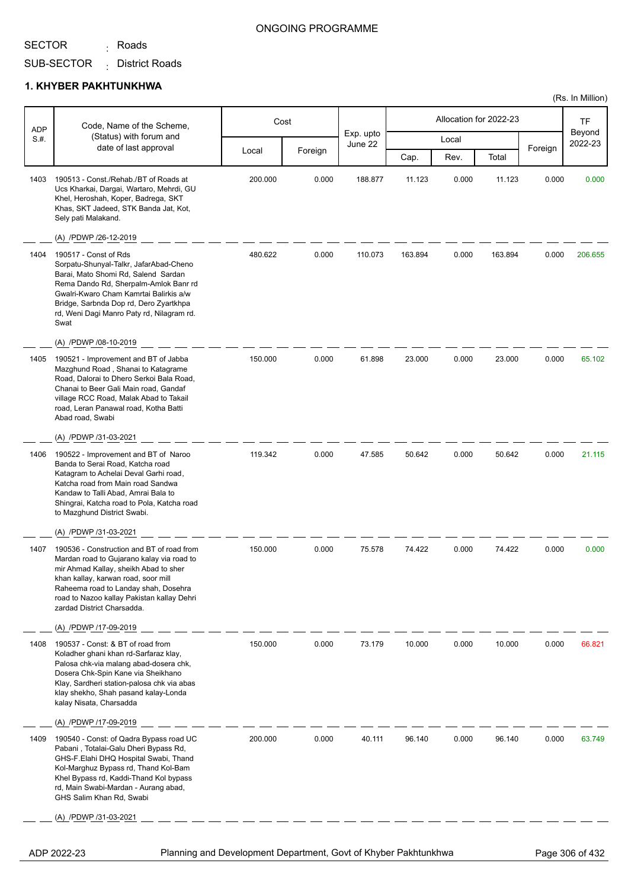<sub>:</sub> Roads

#### ONGOING PROGRAMME

### SUB-SECTOR District Roads :

#### **1. KHYBER PAKHTUNKHWA**

| <b>ADP</b> | Code, Name of the Scheme,                                                                                                                                                                                                                                                                            |         | Cost    |                      |         |       | Allocation for 2022-23 |         | <b>TF</b>         |
|------------|------------------------------------------------------------------------------------------------------------------------------------------------------------------------------------------------------------------------------------------------------------------------------------------------------|---------|---------|----------------------|---------|-------|------------------------|---------|-------------------|
| S.H.       | (Status) with forum and<br>date of last approval                                                                                                                                                                                                                                                     |         |         | Exp. upto<br>June 22 |         | Local |                        | Foreign | Beyond<br>2022-23 |
|            |                                                                                                                                                                                                                                                                                                      | Local   | Foreign |                      | Cap.    | Rev.  | Total                  |         |                   |
| 1403       | 190513 - Const./Rehab./BT of Roads at<br>Ucs Kharkai, Dargai, Wartaro, Mehrdi, GU<br>Khel, Heroshah, Koper, Badrega, SKT<br>Khas, SKT Jadeed, STK Banda Jat, Kot,<br>Sely pati Malakand.                                                                                                             | 200.000 | 0.000   | 188.877              | 11.123  | 0.000 | 11.123                 | 0.000   | 0.000             |
|            | (A) /PDWP /26-12-2019                                                                                                                                                                                                                                                                                |         |         |                      |         |       |                        |         |                   |
| 1404       | 190517 - Const of Rds<br>Sorpatu-Shunyal-Talkr, JafarAbad-Cheno<br>Barai, Mato Shomi Rd, Salend Sardan<br>Rema Dando Rd, Sherpalm-Amlok Banr rd<br>Gwalri-Kwaro Cham Kamrtai Balirkis a/w<br>Bridge, Sarbnda Dop rd, Dero Zyartkhpa<br>rd, Weni Dagi Manro Paty rd, Nilagram rd.<br>Swat             | 480.622 | 0.000   | 110.073              | 163.894 | 0.000 | 163.894                | 0.000   | 206.655           |
|            | (A) /PDWP /08-10-2019                                                                                                                                                                                                                                                                                |         |         |                      |         |       |                        |         |                   |
| 1405       | 190521 - Improvement and BT of Jabba<br>Mazghund Road, Shanai to Katagrame<br>Road, Dalorai to Dhero Serkoi Bala Road,<br>Chanai to Beer Gali Main road, Gandaf<br>village RCC Road, Malak Abad to Takail<br>road, Leran Panawal road, Kotha Batti<br>Abad road, Swabi                               | 150.000 | 0.000   | 61.898               | 23.000  | 0.000 | 23.000                 | 0.000   | 65.102            |
|            | (A) /PDWP /31-03-2021                                                                                                                                                                                                                                                                                |         |         |                      |         |       |                        |         |                   |
| 1406       | 190522 - Improvement and BT of Naroo<br>Banda to Serai Road, Katcha road<br>Katagram to Achelai Deval Garhi road,<br>Katcha road from Main road Sandwa<br>Kandaw to Talli Abad, Amrai Bala to<br>Shingrai, Katcha road to Pola, Katcha road<br>to Mazghund District Swabi.                           | 119.342 | 0.000   | 47.585               | 50.642  | 0.000 | 50.642                 | 0.000   | 21.115            |
|            | (A) /PDWP /31-03-2021                                                                                                                                                                                                                                                                                |         |         |                      |         |       |                        |         |                   |
| 1407       | 190536 - Construction and BT of road from<br>Mardan road to Gujarano kalay via road to<br>mir Ahmad Kallay, sheikh Abad to sher<br>khan kallay, karwan road, soor mill<br>Raheema road to Landay shah, Dosehra<br>road to Nazoo kallay Pakistan kallay Dehri<br>zardad District Charsadda.           | 150.000 | 0.000   | 75.578               | 74.422  | 0.000 | 74.422                 | 0.000   | 0.000             |
|            | (A) /PDWP /17-09-2019                                                                                                                                                                                                                                                                                |         |         |                      |         |       |                        |         |                   |
| 1408       | 190537 - Const: & BT of road from<br>Koladher ghani khan rd-Sarfaraz klay,<br>Palosa chk-via malang abad-dosera chk,<br>Dosera Chk-Spin Kane via Sheikhano<br>Klay, Sardheri station-palosa chk via abas<br>klay shekho, Shah pasand kalay-Londa<br>kalay Nisata, Charsadda<br>(A) /PDWP /17-09-2019 | 150.000 | 0.000   | 73.179               | 10.000  | 0.000 | 10.000                 | 0.000   | 66.821            |
| 1409       | 190540 - Const: of Qadra Bypass road UC                                                                                                                                                                                                                                                              | 200.000 | 0.000   | 40.111               | 96.140  | 0.000 | 96.140                 | 0.000   | 63.749            |
|            | Pabani, Totalai-Galu Dheri Bypass Rd,<br>GHS-F.Elahi DHQ Hospital Swabi, Thand<br>Kol-Marghuz Bypass rd, Thand Kol-Bam<br>Khel Bypass rd, Kaddi-Thand Kol bypass<br>rd, Main Swabi-Mardan - Aurang abad,<br>GHS Salim Khan Rd, Swabi                                                                 |         |         |                      |         |       |                        |         |                   |
|            | (A) /PDWP /31-03-2021                                                                                                                                                                                                                                                                                |         |         |                      |         |       |                        |         |                   |
|            |                                                                                                                                                                                                                                                                                                      |         |         |                      |         |       |                        |         |                   |

ADP 2022-23 Planning and Development Department, Govt of Khyber Pakhtunkhwa Page 306 of 432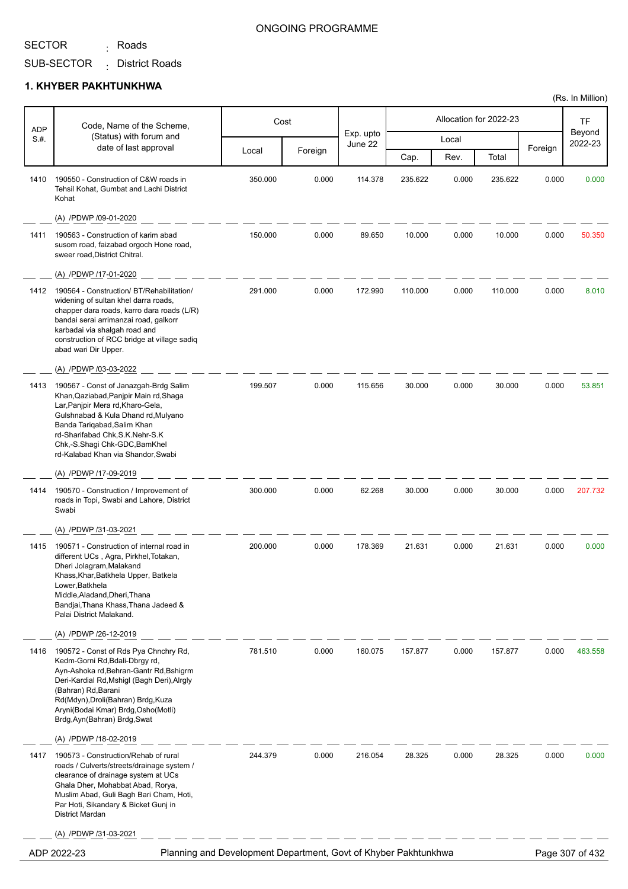# SECTOR <sub>:</sub> Roads

### ONGOING PROGRAMME

(Rs. In Million)

SUB-SECTOR District Roads :

| ADP  | Code, Name of the Scheme,                                                                                                                                                                                                                                                                              |         | Cost    |                      |         |       | Allocation for 2022-23 |         | TF                |
|------|--------------------------------------------------------------------------------------------------------------------------------------------------------------------------------------------------------------------------------------------------------------------------------------------------------|---------|---------|----------------------|---------|-------|------------------------|---------|-------------------|
| S.H. | (Status) with forum and<br>date of last approval                                                                                                                                                                                                                                                       |         |         | Exp. upto<br>June 22 |         | Local |                        |         | Beyond<br>2022-23 |
|      |                                                                                                                                                                                                                                                                                                        | Local   | Foreign |                      | Cap.    | Rev.  | Total                  | Foreign |                   |
| 1410 | 190550 - Construction of C&W roads in<br>Tehsil Kohat, Gumbat and Lachi District<br>Kohat                                                                                                                                                                                                              | 350.000 | 0.000   | 114.378              | 235.622 | 0.000 | 235.622                | 0.000   | 0.000             |
|      | (A) /PDWP /09-01-2020                                                                                                                                                                                                                                                                                  |         |         |                      |         |       |                        |         |                   |
| 1411 | 190563 - Construction of karim abad<br>susom road, faizabad orgoch Hone road,<br>sweer road, District Chitral.                                                                                                                                                                                         | 150.000 | 0.000   | 89.650               | 10.000  | 0.000 | 10.000                 | 0.000   | 50.350            |
|      | (A) /PDWP /17-01-2020                                                                                                                                                                                                                                                                                  |         |         |                      |         |       |                        |         |                   |
| 1412 | 190564 - Construction/ BT/Rehabilitation/<br>widening of sultan khel darra roads,<br>chapper dara roads, karro dara roads (L/R)<br>bandai serai arrimanzai road, galkorr<br>karbadai via shalgah road and<br>construction of RCC bridge at village sadiq<br>abad wari Dir Upper.                       | 291.000 | 0.000   | 172.990              | 110.000 | 0.000 | 110.000                | 0.000   | 8.010             |
|      | (A) /PDWP /03-03-2022                                                                                                                                                                                                                                                                                  |         |         |                      |         |       |                        |         |                   |
| 1413 | 190567 - Const of Janazgah-Brdg Salim<br>Khan, Qaziabad, Panjpir Main rd, Shaga<br>Lar, Panjpir Mera rd, Kharo-Gela,<br>Gulshnabad & Kula Dhand rd, Mulyano<br>Banda Tariqabad, Salim Khan<br>rd-Sharifabad Chk, S.K. Nehr-S.K<br>Chk,-S.Shagi Chk-GDC, BamKhel<br>rd-Kalabad Khan via Shandor, Swabi  | 199.507 | 0.000   | 115.656              | 30.000  | 0.000 | 30.000                 | 0.000   | 53.851            |
|      | (A) /PDWP /17-09-2019                                                                                                                                                                                                                                                                                  |         |         |                      |         |       |                        |         |                   |
| 1414 | 190570 - Construction / Improvement of<br>roads in Topi, Swabi and Lahore, District<br>Swabi                                                                                                                                                                                                           | 300.000 | 0.000   | 62.268               | 30.000  | 0.000 | 30.000                 | 0.000   | 207.732           |
|      | (A) /PDWP /31-03-2021                                                                                                                                                                                                                                                                                  |         |         |                      |         |       |                        |         |                   |
| 1415 | 190571 - Construction of internal road in<br>different UCs, Agra, Pirkhel, Totakan,<br>Dheri Jolagram, Malakand<br>Khass,Khar,Batkhela Upper, Batkela<br>Lower, Batkhela<br>Middle, Aladand, Dheri, Thana<br>Bandjai, Thana Khass, Thana Jadeed &<br>Palai District Malakand.                          | 200.000 | 0.000   | 178.369              | 21.631  | 0.000 | 21.631                 | 0.000   | 0.000             |
|      | (A) /PDWP /26-12-2019                                                                                                                                                                                                                                                                                  |         |         |                      |         |       |                        |         |                   |
| 1416 | 190572 - Const of Rds Pya Chnchry Rd,<br>Kedm-Gorni Rd, Bdali-Dbrgy rd,<br>Ayn-Ashoka rd, Behran-Gantr Rd, Bshigrm<br>Deri-Kardial Rd, Mshigl (Bagh Deri), Alrgly<br>(Bahran) Rd, Barani<br>Rd(Mdyn), Droli(Bahran) Brdg, Kuza<br>Aryni(Bodai Kmar) Brdg, Osho(Motli)<br>Brdg, Ayn (Bahran) Brdg, Swat | 781.510 | 0.000   | 160.075              | 157.877 | 0.000 | 157.877                | 0.000   | 463.558           |
|      | (A) /PDWP /18-02-2019                                                                                                                                                                                                                                                                                  |         |         |                      |         |       |                        |         |                   |
| 1417 | 190573 - Construction/Rehab of rural<br>roads / Culverts/streets/drainage system /<br>clearance of drainage system at UCs<br>Ghala Dher, Mohabbat Abad, Rorya,<br>Muslim Abad, Guli Bagh Bari Cham, Hoti,<br>Par Hoti, Sikandary & Bicket Gunj in<br>District Mardan                                   | 244.379 | 0.000   | 216.054              | 28.325  | 0.000 | 28.325                 | 0.000   | 0.000             |
|      | (A) /PDWP /31-03-2021                                                                                                                                                                                                                                                                                  |         |         |                      |         |       |                        |         |                   |
|      | Planning and Development Department, Govt of Khyber Pakhtunkhwa<br>ADP 2022-23                                                                                                                                                                                                                         |         |         |                      |         |       |                        |         | Page 307 of 432   |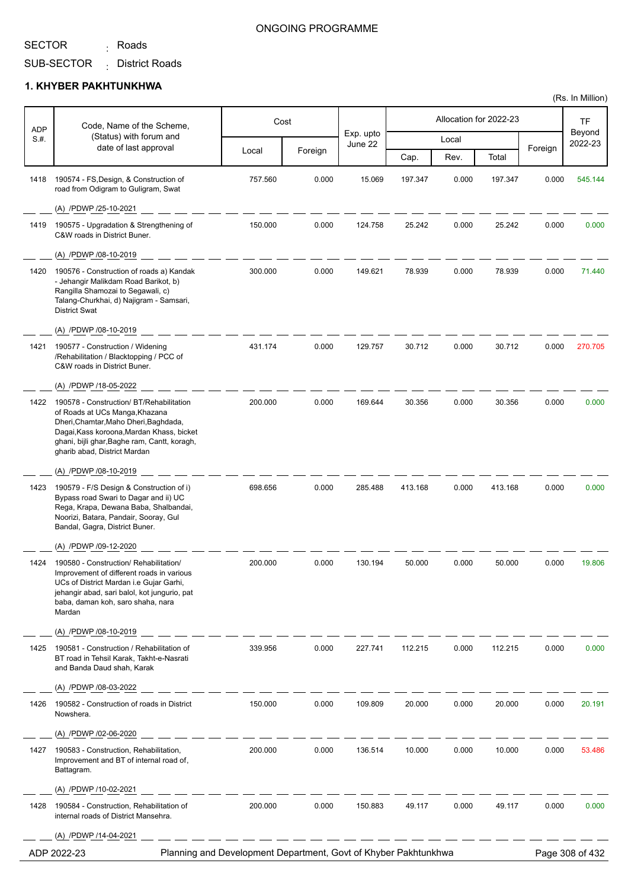# SECTOR <sub>:</sub> Roads

### ONGOING PROGRAMME

(Rs. In Million)

SUB-SECTOR District Roads :

|                    | Code, Name of the Scheme,                                                                                                                                                                                                                        |         | Cost    |                      |         |       | Allocation for 2022-23 |         | TF                |
|--------------------|--------------------------------------------------------------------------------------------------------------------------------------------------------------------------------------------------------------------------------------------------|---------|---------|----------------------|---------|-------|------------------------|---------|-------------------|
| <b>ADP</b><br>S.H. | (Status) with forum and<br>date of last approval                                                                                                                                                                                                 |         |         | Exp. upto<br>June 22 |         | Local |                        |         | Beyond<br>2022-23 |
|                    |                                                                                                                                                                                                                                                  | Local   | Foreign |                      | Cap.    | Rev.  | Total                  | Foreign |                   |
| 1418               | 190574 - FS, Design, & Construction of<br>road from Odigram to Guligram, Swat                                                                                                                                                                    | 757.560 | 0.000   | 15.069               | 197.347 | 0.000 | 197.347                | 0.000   | 545.144           |
|                    | (A) /PDWP /25-10-2021                                                                                                                                                                                                                            |         |         |                      |         |       |                        |         |                   |
| 1419               | 190575 - Upgradation & Strengthening of<br>C&W roads in District Buner.                                                                                                                                                                          | 150.000 | 0.000   | 124.758              | 25.242  | 0.000 | 25.242                 | 0.000   | 0.000             |
|                    | (A) /PDWP /08-10-2019                                                                                                                                                                                                                            |         |         |                      |         |       |                        |         |                   |
| 1420               | 190576 - Construction of roads a) Kandak<br>- Jehangir Malikdam Road Barikot, b)<br>Rangilla Shamozai to Segawali, c)<br>Talang-Churkhai, d) Najigram - Samsari,<br><b>District Swat</b>                                                         | 300.000 | 0.000   | 149.621              | 78.939  | 0.000 | 78.939                 | 0.000   | 71.440            |
|                    | (A) /PDWP /08-10-2019                                                                                                                                                                                                                            |         |         |                      |         |       |                        |         |                   |
| 1421               | 190577 - Construction / Widening<br>/Rehabilitation / Blacktopping / PCC of<br>C&W roads in District Buner.                                                                                                                                      | 431.174 | 0.000   | 129.757              | 30.712  | 0.000 | 30.712                 | 0.000   | 270.705           |
|                    | (A) /PDWP /18-05-2022                                                                                                                                                                                                                            |         |         |                      |         |       |                        |         |                   |
| 1422               | 190578 - Construction/ BT/Rehabilitation<br>of Roads at UCs Manga, Khazana<br>Dheri, Chamtar, Maho Dheri, Baghdada,<br>Dagai, Kass koroona, Mardan Khass, bicket<br>ghani, bijli ghar, Baghe ram, Cantt, koragh,<br>gharib abad, District Mardan | 200.000 | 0.000   | 169.644              | 30.356  | 0.000 | 30.356                 | 0.000   | 0.000             |
|                    | (A) /PDWP /08-10-2019                                                                                                                                                                                                                            |         |         |                      |         |       |                        |         |                   |
| 1423               | 190579 - F/S Design & Construction of i)<br>Bypass road Swari to Dagar and ii) UC<br>Rega, Krapa, Dewana Baba, Shalbandai,<br>Noorizi, Batara, Pandair, Sooray, Gul<br>Bandal, Gagra, District Buner.                                            | 698.656 | 0.000   | 285.488              | 413.168 | 0.000 | 413.168                | 0.000   | 0.000             |
|                    | (A) /PDWP /09-12-2020                                                                                                                                                                                                                            |         |         |                      |         |       |                        |         |                   |
| 1424               | 190580 - Construction/ Rehabilitation/<br>Improvement of different roads in various<br>UCs of District Mardan i.e Gujar Garhi,<br>jehangir abad, sari balol, kot jungurio, pat<br>baba, daman koh, saro shaha, nara<br>Mardan                    | 200.000 | 0.000   | 130.194              | 50.000  | 0.000 | 50.000                 | 0.000   | 19.806            |
|                    | (A) /PDWP /08-10-2019                                                                                                                                                                                                                            |         |         |                      |         |       |                        |         |                   |
| 1425               | 190581 - Construction / Rehabilitation of<br>BT road in Tehsil Karak, Takht-e-Nasrati<br>and Banda Daud shah, Karak                                                                                                                              | 339.956 | 0.000   | 227.741              | 112.215 | 0.000 | 112.215                | 0.000   | 0.000             |
|                    | (A) /PDWP /08-03-2022                                                                                                                                                                                                                            |         |         |                      |         |       |                        |         |                   |
| 1426               | 190582 - Construction of roads in District<br>Nowshera.                                                                                                                                                                                          | 150.000 | 0.000   | 109.809              | 20.000  | 0.000 | 20.000                 | 0.000   | 20.191            |
|                    | (A) /PDWP /02-06-2020                                                                                                                                                                                                                            |         |         |                      |         |       |                        |         |                   |
| 1427               | 190583 - Construction, Rehabilitation,<br>Improvement and BT of internal road of,<br>Battagram.                                                                                                                                                  | 200.000 | 0.000   | 136.514              | 10.000  | 0.000 | 10.000                 | 0.000   | 53.486            |
|                    | (A) /PDWP /10-02-2021                                                                                                                                                                                                                            |         |         |                      |         |       |                        |         |                   |
| 1428               | 190584 - Construction, Rehabilitation of<br>internal roads of District Mansehra.                                                                                                                                                                 | 200.000 | 0.000   | 150.883              | 49.117  | 0.000 | 49.117                 | 0.000   | 0.000             |
|                    | (A) /PDWP /14-04-2021                                                                                                                                                                                                                            |         |         |                      |         |       |                        |         |                   |
|                    | Planning and Development Department, Govt of Khyber Pakhtunkhwa<br>ADP 2022-23                                                                                                                                                                   |         |         |                      |         |       |                        |         | Page 308 of 432   |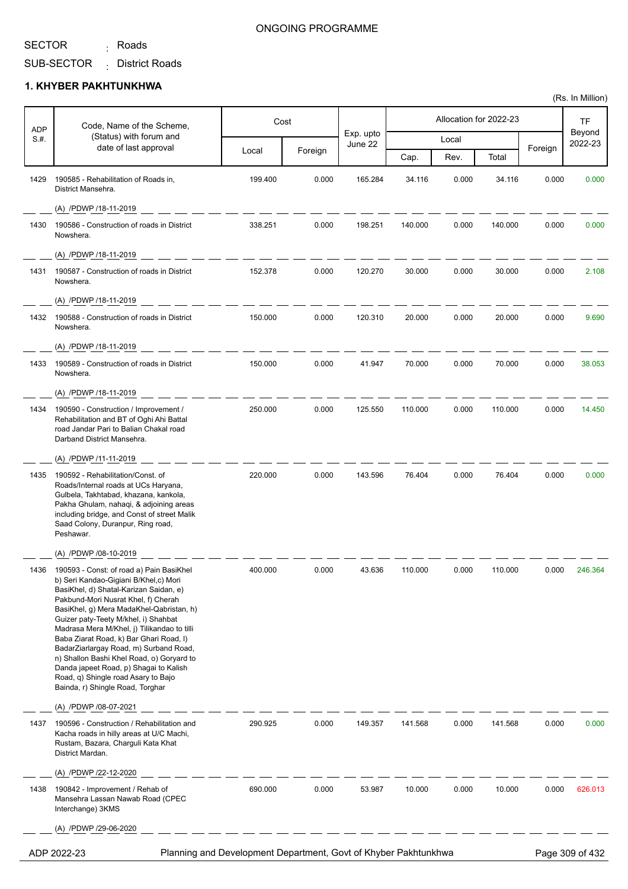<sub>:</sub> Roads

SUB-SECTOR District Roads :

#### **1. KHYBER PAKHTUNKHWA**

|                    | Code, Name of the Scheme,                                                                                                                                                                                                                                                                                                                                                                                                                                                                                                                                    |         | Cost    |                      |         |       | Allocation for 2022-23 |         | <b>TF</b>         |
|--------------------|--------------------------------------------------------------------------------------------------------------------------------------------------------------------------------------------------------------------------------------------------------------------------------------------------------------------------------------------------------------------------------------------------------------------------------------------------------------------------------------------------------------------------------------------------------------|---------|---------|----------------------|---------|-------|------------------------|---------|-------------------|
| <b>ADP</b><br>S.H. | (Status) with forum and                                                                                                                                                                                                                                                                                                                                                                                                                                                                                                                                      |         |         | Exp. upto<br>June 22 |         | Local |                        |         | Beyond<br>2022-23 |
|                    | date of last approval                                                                                                                                                                                                                                                                                                                                                                                                                                                                                                                                        | Local   | Foreign |                      | Cap.    | Rev.  | Total                  | Foreign |                   |
| 1429               | 190585 - Rehabilitation of Roads in,<br>District Mansehra.                                                                                                                                                                                                                                                                                                                                                                                                                                                                                                   | 199.400 | 0.000   | 165.284              | 34.116  | 0.000 | 34.116                 | 0.000   | 0.000             |
|                    | (A) /PDWP /18-11-2019                                                                                                                                                                                                                                                                                                                                                                                                                                                                                                                                        |         |         |                      |         |       |                        |         |                   |
| 1430               | 190586 - Construction of roads in District<br>Nowshera.                                                                                                                                                                                                                                                                                                                                                                                                                                                                                                      | 338.251 | 0.000   | 198.251              | 140.000 | 0.000 | 140.000                | 0.000   | 0.000             |
|                    | (A) /PDWP /18-11-2019                                                                                                                                                                                                                                                                                                                                                                                                                                                                                                                                        |         |         |                      |         |       |                        |         |                   |
| 1431               | 190587 - Construction of roads in District<br>Nowshera.                                                                                                                                                                                                                                                                                                                                                                                                                                                                                                      | 152.378 | 0.000   | 120.270              | 30.000  | 0.000 | 30.000                 | 0.000   | 2.108             |
|                    | (A) /PDWP /18-11-2019                                                                                                                                                                                                                                                                                                                                                                                                                                                                                                                                        |         |         |                      |         |       |                        |         |                   |
| 1432               | 190588 - Construction of roads in District<br>Nowshera.                                                                                                                                                                                                                                                                                                                                                                                                                                                                                                      | 150.000 | 0.000   | 120.310              | 20.000  | 0.000 | 20.000                 | 0.000   | 9.690             |
|                    | (A) /PDWP /18-11-2019                                                                                                                                                                                                                                                                                                                                                                                                                                                                                                                                        |         |         |                      |         |       |                        |         |                   |
| 1433               | 190589 - Construction of roads in District<br>Nowshera.                                                                                                                                                                                                                                                                                                                                                                                                                                                                                                      | 150.000 | 0.000   | 41.947               | 70.000  | 0.000 | 70.000                 | 0.000   | 38.053            |
|                    | (A) /PDWP /18-11-2019                                                                                                                                                                                                                                                                                                                                                                                                                                                                                                                                        |         |         |                      |         |       |                        |         |                   |
| 1434               | 190590 - Construction / Improvement /<br>Rehabilitation and BT of Oghi Ahi Battal<br>road Jandar Pari to Balian Chakal road<br>Darband District Mansehra.                                                                                                                                                                                                                                                                                                                                                                                                    | 250.000 | 0.000   | 125.550              | 110.000 | 0.000 | 110.000                | 0.000   | 14.450            |
|                    | (A) /PDWP /11-11-2019                                                                                                                                                                                                                                                                                                                                                                                                                                                                                                                                        |         |         |                      |         |       |                        |         |                   |
| 1435               | 190592 - Rehabilitation/Const. of<br>Roads/Internal roads at UCs Haryana,<br>Gulbela, Takhtabad, khazana, kankola,<br>Pakha Ghulam, nahaqi, & adjoining areas<br>including bridge, and Const of street Malik<br>Saad Colony, Duranpur, Ring road,<br>Peshawar.                                                                                                                                                                                                                                                                                               | 220.000 | 0.000   | 143.596              | 76.404  | 0.000 | 76.404                 | 0.000   | 0.000             |
|                    | (A) /PDWP /08-10-2019                                                                                                                                                                                                                                                                                                                                                                                                                                                                                                                                        |         |         |                      |         |       |                        |         |                   |
| 1436               | 190593 - Const: of road a) Pain BasiKhel<br>b) Seri Kandao-Gigiani B/Khel,c) Mori<br>BasiKhel, d) Shatal-Karizan Saidan, e)<br>Pakbund-Mori Nusrat Khel, f) Cherah<br>BasiKhel, g) Mera MadaKhel-Qabristan, h)<br>Guizer paty-Teety M/khel, i) Shahbat<br>Madrasa Mera M/Khel, j) Tilikandao to tilli<br>Baba Ziarat Road, k) Bar Ghari Road, I)<br>BadarZiarlargay Road, m) Surband Road,<br>n) Shallon Bashi Khel Road, o) Goryard to<br>Danda japeet Road, p) Shagai to Kalish<br>Road, q) Shingle road Asary to Bajo<br>Bainda, r) Shingle Road, Torghar | 400.000 | 0.000   | 43.636               | 110.000 | 0.000 | 110.000                | 0.000   | 246.364           |
|                    | (A) /PDWP /08-07-2021                                                                                                                                                                                                                                                                                                                                                                                                                                                                                                                                        |         |         |                      |         |       |                        |         |                   |
| 1437               | 190596 - Construction / Rehabilitation and<br>Kacha roads in hilly areas at U/C Machi,<br>Rustam, Bazara, Charguli Kata Khat<br>District Mardan.                                                                                                                                                                                                                                                                                                                                                                                                             | 290.925 | 0.000   | 149.357              | 141.568 | 0.000 | 141.568                | 0.000   | 0.000             |
|                    | (A) /PDWP /22-12-2020                                                                                                                                                                                                                                                                                                                                                                                                                                                                                                                                        |         |         |                      |         |       |                        |         |                   |
| 1438               | 190842 - Improvement / Rehab of<br>Mansehra Lassan Nawab Road (CPEC<br>Interchange) 3KMS                                                                                                                                                                                                                                                                                                                                                                                                                                                                     | 690.000 | 0.000   | 53.987               | 10.000  | 0.000 | 10.000                 | 0.000   | 626.013           |
|                    | (A) /PDWP /29-06-2020                                                                                                                                                                                                                                                                                                                                                                                                                                                                                                                                        |         |         |                      |         |       |                        |         |                   |
|                    |                                                                                                                                                                                                                                                                                                                                                                                                                                                                                                                                                              |         |         |                      |         |       |                        |         |                   |

ADP 2022-23 Planning and Development Department, Govt of Khyber Pakhtunkhwa Page 309 of 432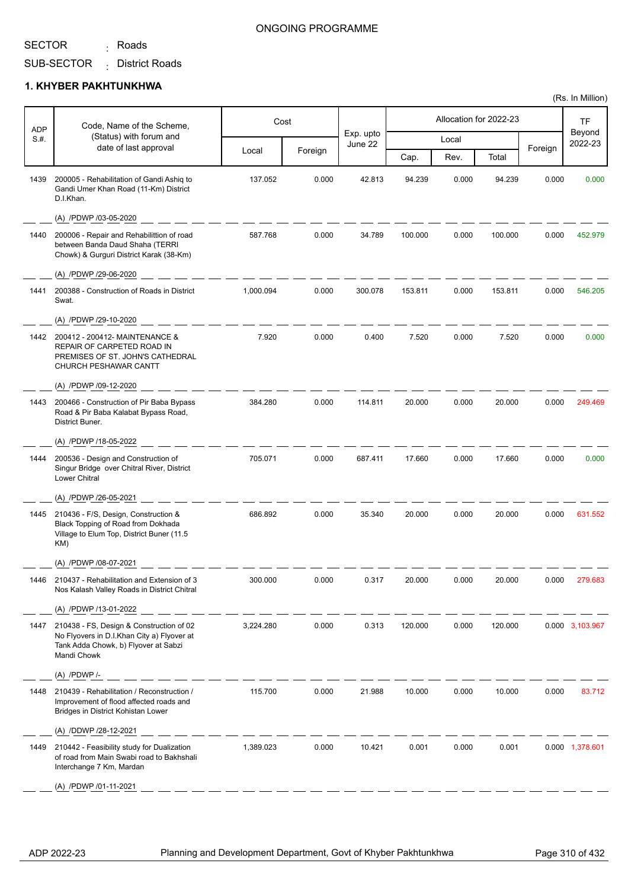<sub>:</sub> Roads

#### ONGOING PROGRAMME

SUB-SECTOR District Roads :

#### **1. KHYBER PAKHTUNKHWA**

| ADP  | Code, Name of the Scheme,                                                                                                                     |           | Cost    |                      |         |       | Allocation for 2022-23 |         | TF                |
|------|-----------------------------------------------------------------------------------------------------------------------------------------------|-----------|---------|----------------------|---------|-------|------------------------|---------|-------------------|
| S.#. | (Status) with forum and                                                                                                                       |           |         | Exp. upto<br>June 22 |         | Local |                        |         | Beyond<br>2022-23 |
|      | date of last approval                                                                                                                         | Local     | Foreign |                      | Cap.    | Rev.  | Total                  | Foreign |                   |
| 1439 | 200005 - Rehabilitation of Gandi Ashig to<br>Gandi Umer Khan Road (11-Km) District<br>D.I.Khan.                                               | 137.052   | 0.000   | 42.813               | 94.239  | 0.000 | 94.239                 | 0.000   | 0.000             |
|      | (A) /PDWP /03-05-2020                                                                                                                         |           |         |                      |         |       |                        |         |                   |
| 1440 | 200006 - Repair and Rehabilittion of road<br>between Banda Daud Shaha (TERRI<br>Chowk) & Gurguri District Karak (38-Km)                       | 587.768   | 0.000   | 34.789               | 100.000 | 0.000 | 100.000                | 0.000   | 452.979           |
|      | (A) /PDWP /29-06-2020                                                                                                                         |           |         |                      |         |       |                        |         |                   |
| 1441 | 200388 - Construction of Roads in District<br>Swat.                                                                                           | 1,000.094 | 0.000   | 300.078              | 153.811 | 0.000 | 153.811                | 0.000   | 546.205           |
|      | (A) /PDWP /29-10-2020                                                                                                                         |           |         |                      |         |       |                        |         |                   |
|      | 1442 200412 - 200412 - MAINTENANCE &<br>REPAIR OF CARPETED ROAD IN<br>PREMISES OF ST. JOHN'S CATHEDRAL<br>CHURCH PESHAWAR CANTT               | 7.920     | 0.000   | 0.400                | 7.520   | 0.000 | 7.520                  | 0.000   | 0.000             |
|      | (A) /PDWP /09-12-2020                                                                                                                         |           |         |                      |         |       |                        |         |                   |
| 1443 | 200466 - Construction of Pir Baba Bypass<br>Road & Pir Baba Kalabat Bypass Road,<br>District Buner.                                           | 384.280   | 0.000   | 114.811              | 20.000  | 0.000 | 20.000                 | 0.000   | 249.469           |
|      | (A) /PDWP /18-05-2022                                                                                                                         |           |         |                      |         |       |                        |         |                   |
| 1444 | 200536 - Design and Construction of<br>Singur Bridge over Chitral River, District<br>Lower Chitral                                            | 705.071   | 0.000   | 687.411              | 17.660  | 0.000 | 17.660                 | 0.000   | 0.000             |
|      | (A) /PDWP /26-05-2021                                                                                                                         |           |         |                      |         |       |                        |         |                   |
|      | 1445 210436 - F/S, Design, Construction &<br>Black Topping of Road from Dokhada<br>Village to Elum Top, District Buner (11.5<br>KM)           | 686.892   | 0.000   | 35.340               | 20.000  | 0.000 | 20.000                 | 0.000   | 631.552           |
|      | (A) /PDWP /08-07-2021                                                                                                                         |           |         |                      |         |       |                        |         |                   |
| 1446 | 210437 - Rehabilitation and Extension of 3<br>Nos Kalash Valley Roads in District Chitral                                                     | 300.000   | 0.000   | 0.317                | 20.000  | 0.000 | 20.000                 | 0.000   | 279.68            |
|      | (A) /PDWP /13-01-2022                                                                                                                         |           |         |                      |         |       |                        |         |                   |
| 1447 | 210438 - FS, Design & Construction of 02<br>No Flyovers in D.I.Khan City a) Flyover at<br>Tank Adda Chowk, b) Flyover at Sabzi<br>Mandi Chowk | 3,224.280 | 0.000   | 0.313                | 120.000 | 0.000 | 120.000                |         | 0.000 3,103.967   |
|      |                                                                                                                                               |           |         |                      |         |       |                        |         |                   |
| 1448 | 210439 - Rehabilitation / Reconstruction /<br>Improvement of flood affected roads and<br>Bridges in District Kohistan Lower                   | 115.700   | 0.000   | 21.988               | 10.000  | 0.000 | 10.000                 | 0.000   | 83.712            |
|      | (A) /DDWP /28-12-2021                                                                                                                         |           |         |                      |         |       |                        |         |                   |
| 1449 | 210442 - Feasibility study for Dualization<br>of road from Main Swabi road to Bakhshali<br>Interchange 7 Km, Mardan                           | 1,389.023 | 0.000   | 10.421               | 0.001   | 0.000 | 0.001                  |         | 0.000 1,378.601   |
|      | (A) /PDWP /01-11-2021                                                                                                                         |           |         |                      |         |       |                        |         |                   |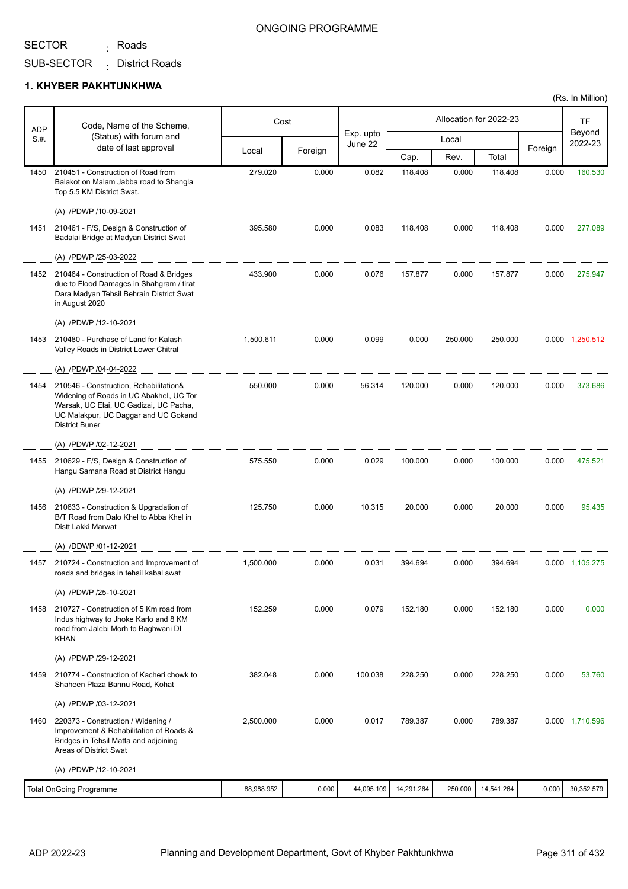<sub>:</sub> Roads

#### ONGOING PROGRAMME

SUB-SECTOR District Roads :

#### **1. KHYBER PAKHTUNKHWA**

| <b>ADP</b> | Code, Name of the Scheme,                                                                                                                                                                    |            | Cost    |                      |            |         | Allocation for 2022-23 |         | TF                |
|------------|----------------------------------------------------------------------------------------------------------------------------------------------------------------------------------------------|------------|---------|----------------------|------------|---------|------------------------|---------|-------------------|
| S.#.       | (Status) with forum and                                                                                                                                                                      |            |         | Exp. upto<br>June 22 |            | Local   |                        |         | Beyond<br>2022-23 |
|            | date of last approval                                                                                                                                                                        | Local      | Foreign |                      | Cap.       | Rev.    | Total                  | Foreign |                   |
| 1450       | 210451 - Construction of Road from<br>Balakot on Malam Jabba road to Shangla<br>Top 5.5 KM District Swat.                                                                                    | 279.020    | 0.000   | 0.082                | 118.408    | 0.000   | 118.408                | 0.000   | 160.530           |
|            | (A) /PDWP /10-09-2021                                                                                                                                                                        |            |         |                      |            |         |                        |         |                   |
| 1451       | 210461 - F/S, Design & Construction of<br>Badalai Bridge at Madyan District Swat                                                                                                             | 395.580    | 0.000   | 0.083                | 118.408    | 0.000   | 118.408                | 0.000   | 277.089           |
|            | (A) /PDWP /25-03-2022                                                                                                                                                                        |            |         |                      |            |         |                        |         |                   |
| 1452       | 210464 - Construction of Road & Bridges<br>due to Flood Damages in Shahgram / tirat<br>Dara Madyan Tehsil Behrain District Swat<br>in August 2020                                            | 433.900    | 0.000   | 0.076                | 157.877    | 0.000   | 157.877                | 0.000   | 275.947           |
|            | (A) /PDWP /12-10-2021                                                                                                                                                                        |            |         |                      |            |         |                        |         |                   |
| 1453       | 210480 - Purchase of Land for Kalash<br>Valley Roads in District Lower Chitral                                                                                                               | 1.500.611  | 0.000   | 0.099                | 0.000      | 250.000 | 250.000                |         | 0.000 1,250.512   |
|            | (A) /PDWP /04-04-2022                                                                                                                                                                        |            |         |                      |            |         |                        |         |                   |
| 1454       | 210546 - Construction, Rehabilitation&<br>Widening of Roads in UC Abakhel, UC Tor<br>Warsak, UC Elai, UC Gadizai, UC Pacha,<br>UC Malakpur, UC Daggar and UC Gokand<br><b>District Buner</b> | 550.000    | 0.000   | 56.314               | 120.000    | 0.000   | 120.000                | 0.000   | 373.686           |
|            | (A) /PDWP /02-12-2021                                                                                                                                                                        |            |         |                      |            |         |                        |         |                   |
| 1455       | 210629 - F/S, Design & Construction of<br>Hangu Samana Road at District Hangu                                                                                                                | 575.550    | 0.000   | 0.029                | 100.000    | 0.000   | 100.000                | 0.000   | 475.521           |
|            | (A) /PDWP /29-12-2021                                                                                                                                                                        |            |         |                      |            |         |                        |         |                   |
| 1456       | 210633 - Construction & Upgradation of<br>B/T Road from Dalo Khel to Abba Khel in<br>Distt Lakki Marwat                                                                                      | 125.750    | 0.000   | 10.315               | 20.000     | 0.000   | 20.000                 | 0.000   | 95.435            |
|            | (A) /DDWP /01-12-2021                                                                                                                                                                        |            |         |                      |            |         |                        |         |                   |
| 1457       | 210724 - Construction and Improvement of<br>roads and bridges in tehsil kabal swat                                                                                                           | 1,500.000  | 0.000   | 0.031                | 394.694    | 0.000   | 394.694                |         | 0.000 1,105.275   |
|            | (A) /PDWP /25-10-2021                                                                                                                                                                        |            |         |                      |            |         |                        |         |                   |
| 1458       | 210727 - Construction of 5 Km road from<br>Indus highway to Jhoke Karlo and 8 KM<br>road from Jalebi Morh to Baghwani DI<br><b>KHAN</b>                                                      | 152.259    | 0.000   | 0.079                | 152.180    | 0.000   | 152.180                | 0.000   | 0.000             |
|            | (A) /PDWP /29-12-2021                                                                                                                                                                        |            |         |                      |            |         |                        |         |                   |
| 1459       | 210774 - Construction of Kacheri chowk to<br>Shaheen Plaza Bannu Road, Kohat                                                                                                                 | 382.048    | 0.000   | 100.038              | 228.250    | 0.000   | 228.250                | 0.000   | 53.760            |
|            | (A) /PDWP /03-12-2021                                                                                                                                                                        |            |         |                      |            |         |                        |         |                   |
| 1460       | 220373 - Construction / Widening /<br>Improvement & Rehabilitation of Roads &<br>Bridges in Tehsil Matta and adjoining<br>Areas of District Swat                                             | 2,500.000  | 0.000   | 0.017                | 789.387    | 0.000   | 789.387                |         | 0.000 1,710.596   |
|            | (A) /PDWP /12-10-2021                                                                                                                                                                        |            |         |                      |            |         |                        |         |                   |
|            | <b>Total OnGoing Programme</b>                                                                                                                                                               | 88,988.952 | 0.000   | 44,095.109           | 14,291.264 | 250.000 | 14,541.264             | 0.000   | 30,352.579        |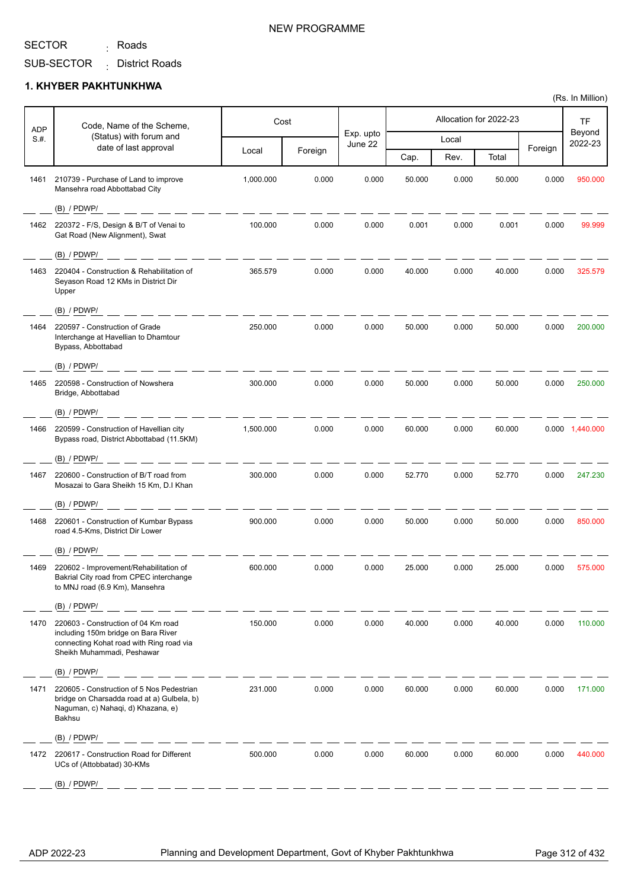<sub>:</sub> Roads

SUB-SECTOR District Roads :

#### **1. KHYBER PAKHTUNKHWA**

|                    |                                                                                                                                                      | Cost<br>Code, Name of the Scheme, |         |                      | Allocation for 2022-23 |       |        | <b>TF</b> |                   |
|--------------------|------------------------------------------------------------------------------------------------------------------------------------------------------|-----------------------------------|---------|----------------------|------------------------|-------|--------|-----------|-------------------|
| <b>ADP</b><br>S.#. | (Status) with forum and                                                                                                                              |                                   |         | Exp. upto<br>June 22 |                        | Local |        |           | Beyond<br>2022-23 |
|                    | date of last approval                                                                                                                                | Local                             | Foreign |                      | Cap.                   | Rev.  | Total  | Foreign   |                   |
| 1461               | 210739 - Purchase of Land to improve<br>Mansehra road Abbottabad City                                                                                | 1,000.000                         | 0.000   | 0.000                | 50.000                 | 0.000 | 50.000 | 0.000     | 950.000           |
|                    | $(B)$ / PDWP/                                                                                                                                        |                                   |         |                      |                        |       |        |           |                   |
| 1462               | 220372 - F/S, Design & B/T of Venai to<br>Gat Road (New Alignment), Swat                                                                             | 100.000                           | 0.000   | 0.000                | 0.001                  | 0.000 | 0.001  | 0.000     | 99.999            |
|                    | $(B)$ / PDWP/                                                                                                                                        |                                   |         |                      |                        |       |        |           |                   |
| 1463               | 220404 - Construction & Rehabilitation of<br>Seyason Road 12 KMs in District Dir<br>Upper                                                            | 365.579                           | 0.000   | 0.000                | 40.000                 | 0.000 | 40.000 | 0.000     | 325.579           |
|                    | $(B)$ / PDWP/                                                                                                                                        |                                   |         |                      |                        |       |        |           |                   |
| 1464               | 220597 - Construction of Grade<br>Interchange at Havellian to Dhamtour<br>Bypass, Abbottabad                                                         | 250.000                           | 0.000   | 0.000                | 50.000                 | 0.000 | 50.000 | 0.000     | 200.000           |
|                    | $(B)$ / PDWP/                                                                                                                                        |                                   |         |                      |                        |       |        |           |                   |
| 1465               | 220598 - Construction of Nowshera<br>Bridge, Abbottabad                                                                                              | 300.000                           | 0.000   | 0.000                | 50.000                 | 0.000 | 50.000 | 0.000     | 250.000           |
|                    | $(B)$ / PDWP/                                                                                                                                        |                                   |         |                      |                        |       |        |           |                   |
| 1466               | 220599 - Construction of Havellian city<br>Bypass road, District Abbottabad (11.5KM)                                                                 | 1,500.000                         | 0.000   | 0.000                | 60.000                 | 0.000 | 60.000 |           | 0.000 1,440.000   |
|                    | $(B)$ / PDWP/                                                                                                                                        |                                   |         |                      |                        |       |        |           |                   |
| 1467               | 220600 - Construction of B/T road from<br>Mosazai to Gara Sheikh 15 Km, D.I Khan                                                                     | 300.000                           | 0.000   | 0.000                | 52.770                 | 0.000 | 52.770 | 0.000     | 247.230           |
|                    | $(B)$ / PDWP/                                                                                                                                        |                                   |         |                      |                        |       |        |           |                   |
| 1468               | 220601 - Construction of Kumbar Bypass<br>road 4.5-Kms, District Dir Lower                                                                           | 900.000                           | 0.000   | 0.000                | 50.000                 | 0.000 | 50.000 | 0.000     | 850.000           |
|                    | $(B)$ / PDWP/                                                                                                                                        |                                   |         |                      |                        |       |        |           |                   |
| 1469               | 220602 - Improvement/Rehabilitation of<br>Bakrial City road from CPEC interchange<br>to MNJ road (6.9 Km), Mansehra                                  | 600.000                           | 0.000   | 0.000                | 25.000                 | 0.000 | 25.000 | 0.000     | 575.000           |
|                    | $(B)$ / PDWP/                                                                                                                                        |                                   |         |                      |                        |       |        |           |                   |
| 1470               | 220603 - Construction of 04 Km road<br>including 150m bridge on Bara River<br>connecting Kohat road with Ring road via<br>Sheikh Muhammadi, Peshawar | 150.000                           | 0.000   | 0.000                | 40.000                 | 0.000 | 40.000 | 0.000     | 110.000           |
|                    | $(B)$ / PDWP/                                                                                                                                        |                                   |         |                      |                        |       |        |           |                   |
| 1471               | 220605 - Construction of 5 Nos Pedestrian<br>bridge on Charsadda road at a) Gulbela, b)<br>Naguman, c) Nahaqi, d) Khazana, e)<br>Bakhsu              | 231.000                           | 0.000   | 0.000                | 60.000                 | 0.000 | 60.000 | 0.000     | 171.000           |
|                    | $(B)$ / PDWP/                                                                                                                                        |                                   |         |                      |                        |       |        |           |                   |
| 1472               | 220617 - Construction Road for Different<br>UCs of (Attobbatad) 30-KMs                                                                               | 500.000                           | 0.000   | 0.000                | 60.000                 | 0.000 | 60.000 | 0.000     | 440.000           |
|                    | $(B)$ / PDWP/                                                                                                                                        |                                   |         |                      |                        |       |        |           |                   |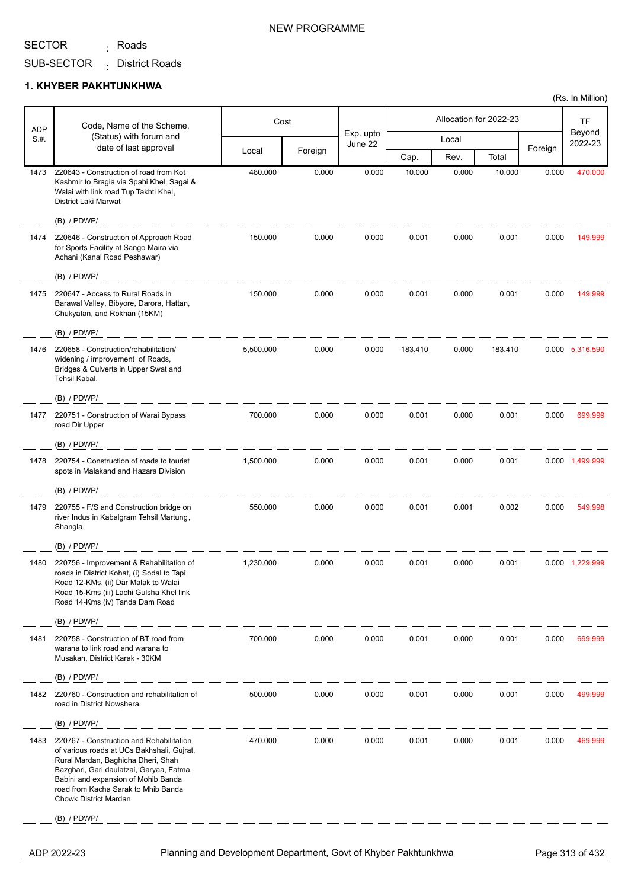<sub>:</sub> Roads

SUB-SECTOR District Roads :

#### **1. KHYBER PAKHTUNKHWA**

|                    | Code, Name of the Scheme,                                                                                                                                                                                                                                                              |           | Cost    |                      |         | Allocation for 2022-23 |         |         | TF                |
|--------------------|----------------------------------------------------------------------------------------------------------------------------------------------------------------------------------------------------------------------------------------------------------------------------------------|-----------|---------|----------------------|---------|------------------------|---------|---------|-------------------|
| <b>ADP</b><br>S.H. | (Status) with forum and                                                                                                                                                                                                                                                                |           |         | Exp. upto<br>June 22 |         | Local                  |         |         | Beyond<br>2022-23 |
|                    | date of last approval                                                                                                                                                                                                                                                                  | Local     | Foreign |                      | Cap.    | Rev.                   | Total   | Foreign |                   |
| 1473               | 220643 - Construction of road from Kot<br>Kashmir to Bragia via Spahi Khel, Sagai &<br>Walai with link road Tup Takhti Khel,<br>District Laki Marwat                                                                                                                                   | 480.000   | 0.000   | 0.000                | 10.000  | 0.000                  | 10.000  | 0.000   | 470.000           |
|                    | $(B)$ / PDWP/                                                                                                                                                                                                                                                                          |           |         |                      |         |                        |         |         |                   |
| 1474               | 220646 - Construction of Approach Road<br>for Sports Facility at Sango Maira via<br>Achani (Kanal Road Peshawar)                                                                                                                                                                       | 150.000   | 0.000   | 0.000                | 0.001   | 0.000                  | 0.001   | 0.000   | 149.999           |
|                    | $(B)$ / PDWP/                                                                                                                                                                                                                                                                          |           |         |                      |         |                        |         |         |                   |
| 1475               | 220647 - Access to Rural Roads in<br>Barawal Valley, Bibyore, Darora, Hattan,<br>Chukyatan, and Rokhan (15KM)                                                                                                                                                                          | 150.000   | 0.000   | 0.000                | 0.001   | 0.000                  | 0.001   | 0.000   | 149.999           |
|                    | $(B)$ / PDWP/                                                                                                                                                                                                                                                                          |           |         |                      |         |                        |         |         |                   |
| 1476               | 220658 - Construction/rehabilitation/<br>widening / improvement of Roads,<br>Bridges & Culverts in Upper Swat and<br>Tehsil Kabal.                                                                                                                                                     | 5,500.000 | 0.000   | 0.000                | 183.410 | 0.000                  | 183.410 |         | 0.000 5,316.590   |
|                    | $(B)$ / PDWP/                                                                                                                                                                                                                                                                          |           |         |                      |         |                        |         |         |                   |
| 1477               | 220751 - Construction of Warai Bypass<br>road Dir Upper                                                                                                                                                                                                                                | 700.000   | 0.000   | 0.000                | 0.001   | 0.000                  | 0.001   | 0.000   | 699.999           |
|                    | $(B)$ / PDWP/                                                                                                                                                                                                                                                                          |           |         |                      |         |                        |         |         |                   |
| 1478               | 220754 - Construction of roads to tourist<br>spots in Malakand and Hazara Division                                                                                                                                                                                                     | 1,500.000 | 0.000   | 0.000                | 0.001   | 0.000                  | 0.001   |         | 0.000 1,499.999   |
|                    | $(B)$ / PDWP/                                                                                                                                                                                                                                                                          |           |         |                      |         |                        |         |         |                   |
| 1479               | 220755 - F/S and Construction bridge on<br>river Indus in Kabalgram Tehsil Martung,<br>Shangla.                                                                                                                                                                                        | 550.000   | 0.000   | 0.000                | 0.001   | 0.001                  | 0.002   | 0.000   | 549.998           |
|                    | $(B)$ / PDWP/                                                                                                                                                                                                                                                                          |           |         |                      |         |                        |         |         |                   |
| 1480               | 220756 - Improvement & Rehabilitation of<br>roads in District Kohat, (i) Sodal to Tapi<br>Road 12-KMs, (ii) Dar Malak to Walai<br>Road 15-Kms (iii) Lachi Gulsha Khel link<br>Road 14-Kms (iv) Tanda Dam Road                                                                          | 1,230.000 | 0.000   | 0.000                | 0.001   | 0.000                  | 0.001   |         | 0.000 1,229.999   |
|                    | (B) / PDWP/                                                                                                                                                                                                                                                                            |           |         |                      |         |                        |         |         |                   |
| 1481               | 220758 - Construction of BT road from<br>warana to link road and warana to<br>Musakan, District Karak - 30KM                                                                                                                                                                           | 700.000   | 0.000   | 0.000                | 0.001   | 0.000                  | 0.001   | 0.000   | 699.999           |
|                    | $(B)$ / PDWP/                                                                                                                                                                                                                                                                          |           |         |                      |         |                        |         |         |                   |
| 1482               | 220760 - Construction and rehabilitation of<br>road in District Nowshera                                                                                                                                                                                                               | 500.000   | 0.000   | 0.000                | 0.001   | 0.000                  | 0.001   | 0.000   | 499.999           |
|                    | $(B)$ / PDWP/                                                                                                                                                                                                                                                                          |           |         |                      |         |                        |         |         |                   |
| 1483               | 220767 - Construction and Rehabilitation<br>of various roads at UCs Bakhshali, Gujrat,<br>Rural Mardan, Baghicha Dheri, Shah<br>Bazghari, Gari daulatzai, Garyaa, Fatma,<br>Babini and expansion of Mohib Banda<br>road from Kacha Sarak to Mhib Banda<br><b>Chowk District Mardan</b> | 470.000   | 0.000   | 0.000                | 0.001   | 0.000                  | 0.001   | 0.000   | 469.999           |
|                    | $(B)$ / PDWP/                                                                                                                                                                                                                                                                          |           |         |                      |         |                        |         |         |                   |
|                    |                                                                                                                                                                                                                                                                                        |           |         |                      |         |                        |         |         |                   |

ADP 2022-23 Planning and Development Department, Govt of Khyber Pakhtunkhwa Page 313 of 432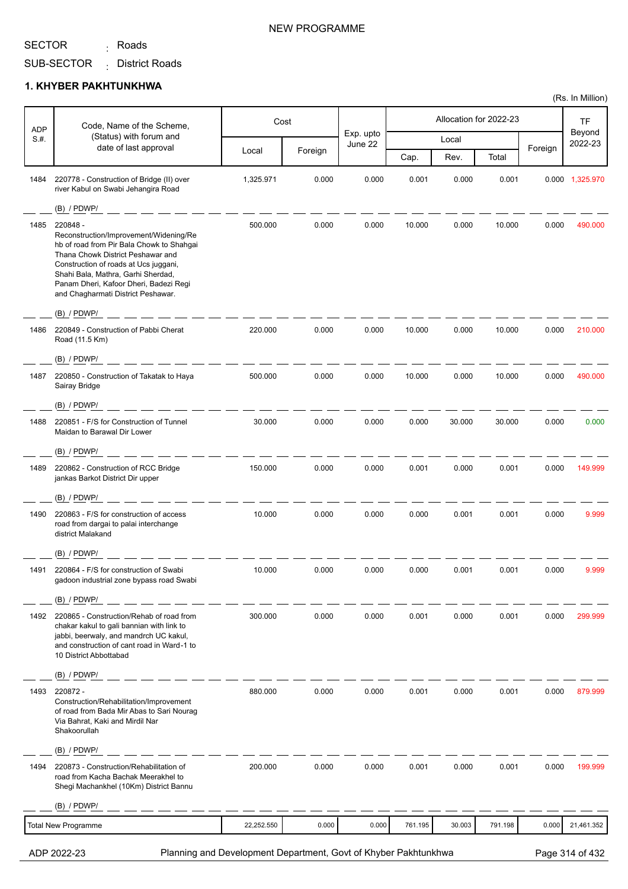<sub>:</sub> Roads

SUB-SECTOR District Roads :

#### **1. KHYBER PAKHTUNKHWA**

| <b>ADP</b> | Code, Name of the Scheme,                                                                                                                                                                                                                                                                           |            | Cost    |                      |         |        | Allocation for 2022-23 |         | <b>TF</b>         |
|------------|-----------------------------------------------------------------------------------------------------------------------------------------------------------------------------------------------------------------------------------------------------------------------------------------------------|------------|---------|----------------------|---------|--------|------------------------|---------|-------------------|
| S.H.       | (Status) with forum and<br>date of last approval                                                                                                                                                                                                                                                    |            |         | Exp. upto<br>June 22 |         | Local  |                        |         | Beyond<br>2022-23 |
|            |                                                                                                                                                                                                                                                                                                     | Local      | Foreign |                      | Cap.    | Rev.   | Total                  | Foreign |                   |
| 1484       | 220778 - Construction of Bridge (II) over<br>river Kabul on Swabi Jehangira Road                                                                                                                                                                                                                    | 1,325.971  | 0.000   | 0.000                | 0.001   | 0.000  | 0.001                  |         | 0.000 1,325.970   |
|            | $(B)$ / PDWP/                                                                                                                                                                                                                                                                                       |            |         |                      |         |        |                        |         |                   |
| 1485       | 220848 -<br>Reconstruction/Improvement/Widening/Re<br>hb of road from Pir Bala Chowk to Shahgai<br>Thana Chowk District Peshawar and<br>Construction of roads at Ucs juggani,<br>Shahi Bala, Mathra, Garhi Sherdad,<br>Panam Dheri, Kafoor Dheri, Badezi Regi<br>and Chagharmati District Peshawar. | 500.000    | 0.000   | 0.000                | 10.000  | 0.000  | 10.000                 | 0.000   | 490.000           |
|            | $(B)$ / PDWP/                                                                                                                                                                                                                                                                                       |            |         |                      |         |        |                        |         |                   |
| 1486       | 220849 - Construction of Pabbi Cherat<br>Road (11.5 Km)                                                                                                                                                                                                                                             | 220.000    | 0.000   | 0.000                | 10.000  | 0.000  | 10.000                 | 0.000   | 210.000           |
|            | $(B)$ / PDWP/                                                                                                                                                                                                                                                                                       | 500.000    | 0.000   | 0.000                | 10.000  | 0.000  | 10.000                 | 0.000   | 490.000           |
| 1487       | 220850 - Construction of Takatak to Haya<br>Sairay Bridge<br>$(B)$ / PDWP/                                                                                                                                                                                                                          |            |         |                      |         |        |                        |         |                   |
| 1488       | 220851 - F/S for Construction of Tunnel                                                                                                                                                                                                                                                             | 30.000     | 0.000   | 0.000                | 0.000   | 30.000 | 30.000                 | 0.000   | 0.000             |
|            | Maidan to Barawal Dir Lower<br>$(B)$ / PDWP/                                                                                                                                                                                                                                                        |            |         |                      |         |        |                        |         |                   |
| 1489       | 220862 - Construction of RCC Bridge                                                                                                                                                                                                                                                                 | 150.000    | 0.000   | 0.000                | 0.001   | 0.000  | 0.001                  | 0.000   | 149.999           |
|            | jankas Barkot District Dir upper                                                                                                                                                                                                                                                                    |            |         |                      |         |        |                        |         |                   |
|            | $(B)$ / PDWP/                                                                                                                                                                                                                                                                                       |            |         |                      |         |        |                        |         |                   |
| 1490       | 220863 - F/S for construction of access<br>road from dargai to palai interchange<br>district Malakand                                                                                                                                                                                               | 10.000     | 0.000   | 0.000                | 0.000   | 0.001  | 0.001                  | 0.000   | 9.999             |
|            | $(B)$ / PDWP/                                                                                                                                                                                                                                                                                       |            |         |                      |         |        |                        |         |                   |
| 1491       | 220864 - F/S for construction of Swabi<br>gadoon industrial zone bypass road Swabi                                                                                                                                                                                                                  | 10.000     | 0.000   | 0.000                | 0.000   | 0.001  | 0.001                  | 0.000   | 9.999             |
|            | $(B)$ / PDWP/                                                                                                                                                                                                                                                                                       |            |         |                      |         |        |                        |         |                   |
| 1492       | 220865 - Construction/Rehab of road from<br>chakar kakul to gali bannian with link to<br>jabbi, beerwaly, and mandrch UC kakul,<br>and construction of cant road in Ward-1 to<br>10 District Abbottabad                                                                                             | 300.000    | 0.000   | 0.000                | 0.001   | 0.000  | 0.001                  | 0.000   | 299.999           |
|            | $(B)$ / PDWP/                                                                                                                                                                                                                                                                                       |            |         |                      |         |        |                        |         |                   |
| 1493       | 220872 -<br>Construction/Rehabilitation/Improvement<br>of road from Bada Mir Abas to Sari Nourag<br>Via Bahrat, Kaki and Mirdil Nar<br>Shakoorullah                                                                                                                                                 | 880.000    | 0.000   | 0.000                | 0.001   | 0.000  | 0.001                  | 0.000   | 879.999           |
|            | $(B)$ / PDWP/                                                                                                                                                                                                                                                                                       |            |         |                      |         |        |                        |         |                   |
| 1494       | 220873 - Construction/Rehabilitation of<br>road from Kacha Bachak Meerakhel to<br>Shegi Machankhel (10Km) District Bannu                                                                                                                                                                            | 200.000    | 0.000   | 0.000                | 0.001   | 0.000  | 0.001                  | 0.000   | 199.999           |
|            | $(B)$ / PDWP/                                                                                                                                                                                                                                                                                       |            |         |                      |         |        |                        |         |                   |
|            | <b>Total New Programme</b>                                                                                                                                                                                                                                                                          | 22,252.550 | 0.000   | 0.000                | 761.195 | 30.003 | 791.198                | 0.000   | 21,461.352        |
|            |                                                                                                                                                                                                                                                                                                     |            |         |                      |         |        |                        |         |                   |

ADP 2022-23 Planning and Development Department, Govt of Khyber Pakhtunkhwa Page 314 of 432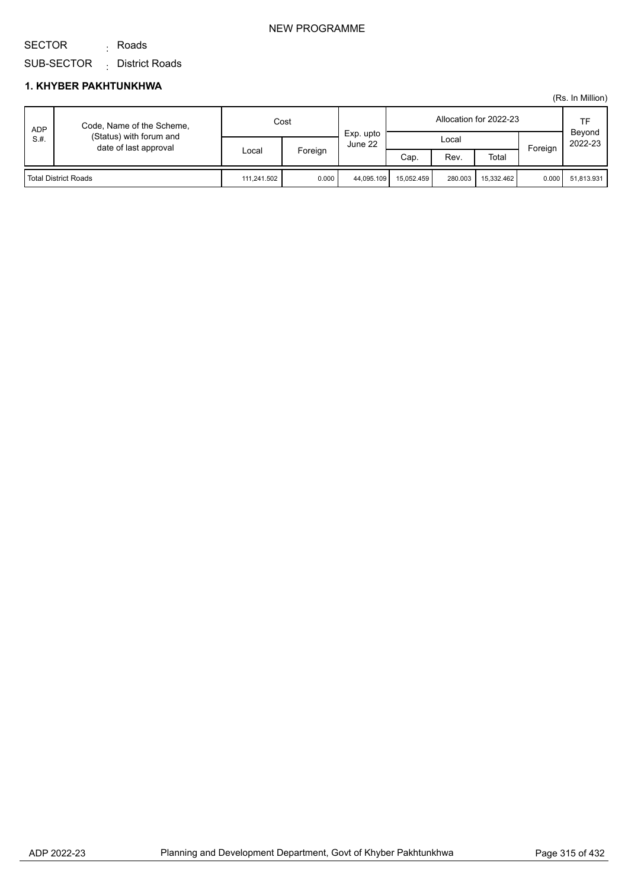#### NEW PROGRAMME

SUB-SECTOR District Roads :

<sub>:</sub> Roads

#### **1. KHYBER PAKHTUNKHWA**

SECTOR

| <b>ADP</b><br>S.H.          | Code, Name of the Scheme,<br>(Status) with forum and<br>date of last approval | Cost        |         | Exp. upto  |            |         | Allocation for 2022-23 |         | TF<br>Beyond |
|-----------------------------|-------------------------------------------------------------------------------|-------------|---------|------------|------------|---------|------------------------|---------|--------------|
|                             |                                                                               | Local       | Foreign | June 22    | Local      |         |                        | Foreign | 2022-23      |
|                             |                                                                               |             |         |            | Cap.       | Rev.    | Total                  |         |              |
| <b>Total District Roads</b> |                                                                               | 111.241.502 | 0.000   | 44.095.109 | 15.052.459 | 280.003 | 15.332.462             | 0.000   | 51.813.931   |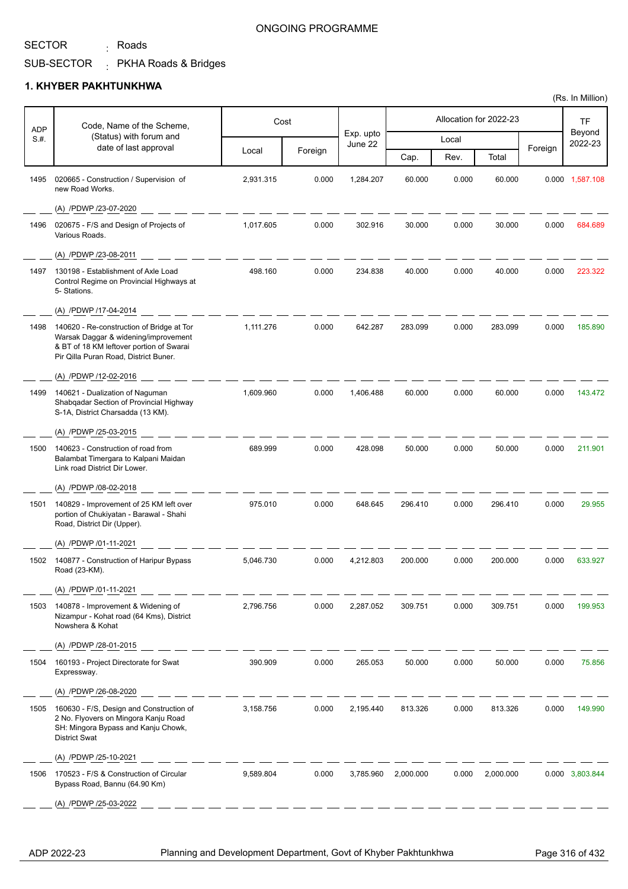<sub>:</sub> Roads

#### ONGOING PROGRAMME

SUB-SECTOR PKHA Roads & Bridges

#### **1. KHYBER PAKHTUNKHWA**

| <b>ADP</b> | Code, Name of the Scheme,                                                                                                                                              |           | Cost    |                      |           |       | Allocation for 2022-23 |         | <b>TF</b>         |
|------------|------------------------------------------------------------------------------------------------------------------------------------------------------------------------|-----------|---------|----------------------|-----------|-------|------------------------|---------|-------------------|
| S.H.       | (Status) with forum and                                                                                                                                                |           |         | Exp. upto<br>June 22 |           | Local |                        |         | Beyond<br>2022-23 |
|            | date of last approval                                                                                                                                                  | Local     | Foreign |                      | Cap.      | Rev.  | Total                  | Foreign |                   |
| 1495       | 020665 - Construction / Supervision of<br>new Road Works.                                                                                                              | 2,931.315 | 0.000   | 1,284.207            | 60.000    | 0.000 | 60.000                 |         | 0.000 1,587.108   |
|            | (A) /PDWP /23-07-2020                                                                                                                                                  |           |         |                      |           |       |                        |         |                   |
| 1496       | 020675 - F/S and Design of Projects of<br>Various Roads.                                                                                                               | 1.017.605 | 0.000   | 302.916              | 30.000    | 0.000 | 30.000                 | 0.000   | 684.689           |
|            | (A) /PDWP /23-08-2011                                                                                                                                                  |           |         |                      |           |       |                        |         |                   |
| 1497       | 130198 - Establishment of Axle Load<br>Control Regime on Provincial Highways at<br>5- Stations.                                                                        | 498.160   | 0.000   | 234.838              | 40.000    | 0.000 | 40.000                 | 0.000   | 223.322           |
|            | (A) /PDWP /17-04-2014                                                                                                                                                  |           |         |                      |           |       |                        |         |                   |
| 1498       | 140620 - Re-construction of Bridge at Tor<br>Warsak Daggar & widening/improvement<br>& BT of 18 KM leftover portion of Swarai<br>Pir Qilla Puran Road, District Buner. | 1,111.276 | 0.000   | 642.287              | 283.099   | 0.000 | 283.099                | 0.000   | 185.890           |
|            | (A) /PDWP /12-02-2016                                                                                                                                                  |           |         |                      |           |       |                        |         |                   |
| 1499       | 140621 - Dualization of Naguman<br>Shabqadar Section of Provincial Highway<br>S-1A, District Charsadda (13 KM).                                                        | 1,609.960 | 0.000   | 1,406.488            | 60.000    | 0.000 | 60.000                 | 0.000   | 143.472           |
|            | (A) /PDWP /25-03-2015                                                                                                                                                  |           |         |                      |           |       |                        |         |                   |
| 1500       | 140623 - Construction of road from<br>Balambat Timergara to Kalpani Maidan<br>Link road District Dir Lower.                                                            | 689.999   | 0.000   | 428.098              | 50.000    | 0.000 | 50.000                 | 0.000   | 211.901           |
|            | (A) /PDWP /08-02-2018                                                                                                                                                  |           |         |                      |           |       |                        |         |                   |
| 1501       | 140829 - Improvement of 25 KM left over<br>portion of Chukiyatan - Barawal - Shahi<br>Road, District Dir (Upper).                                                      | 975.010   | 0.000   | 648.645              | 296.410   | 0.000 | 296.410                | 0.000   | 29.955            |
|            | (A) /PDWP /01-11-2021                                                                                                                                                  |           |         |                      |           |       |                        |         |                   |
| 1502       | 140877 - Construction of Haripur Bypass<br>Road (23-KM).                                                                                                               | 5,046.730 | 0.000   | 4,212.803            | 200.000   | 0.000 | 200.000                | 0.000   | 633.927           |
|            | (A) /PDWP /01-11-2021                                                                                                                                                  |           |         |                      |           |       |                        |         |                   |
| 1503       | 140878 - Improvement & Widening of<br>Nizampur - Kohat road (64 Kms), District<br>Nowshera & Kohat                                                                     | 2,796.756 | 0.000   | 2,287.052            | 309.751   | 0.000 | 309.751                | 0.000   | 199.953           |
|            | (A) /PDWP /28-01-2015                                                                                                                                                  |           |         |                      |           |       |                        |         |                   |
| 1504       | 160193 - Project Directorate for Swat<br>Expressway.                                                                                                                   | 390.909   | 0.000   | 265.053              | 50.000    | 0.000 | 50.000                 | 0.000   | 75.856            |
|            | (A) /PDWP /26-08-2020                                                                                                                                                  |           |         |                      |           |       |                        |         |                   |
| 1505       | 160630 - F/S, Design and Construction of<br>2 No. Flyovers on Mingora Kanju Road<br>SH: Mingora Bypass and Kanju Chowk,<br><b>District Swat</b>                        | 3,158.756 | 0.000   | 2,195.440            | 813.326   | 0.000 | 813.326                | 0.000   | 149.990           |
|            | (A) /PDWP /25-10-2021                                                                                                                                                  |           |         |                      |           |       |                        |         |                   |
| 1506       | 170523 - F/S & Construction of Circular<br>Bypass Road, Bannu (64.90 Km)                                                                                               | 9,589.804 | 0.000   | 3,785.960            | 2,000.000 | 0.000 | 2,000.000              |         | 0.000 3,803.844   |
|            | (A) /PDWP /25-03-2022                                                                                                                                                  |           |         |                      |           |       |                        |         |                   |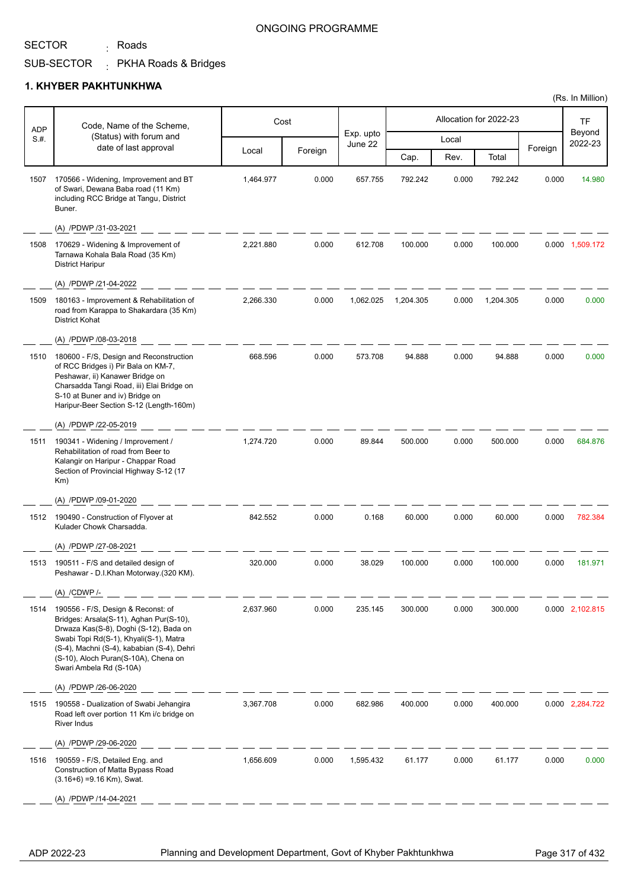<sub>:</sub> Roads

#### ONGOING PROGRAMME

SUB-SECTOR PKHA Roads & Bridges :

#### **1. KHYBER PAKHTUNKHWA**

| <b>ADP</b> | Code, Name of the Scheme,                                                                                                                                                                                                                                                          |           | Cost    |                      |           |       | Allocation for 2022-23 |         | TF                |
|------------|------------------------------------------------------------------------------------------------------------------------------------------------------------------------------------------------------------------------------------------------------------------------------------|-----------|---------|----------------------|-----------|-------|------------------------|---------|-------------------|
| S.H.       | (Status) with forum and                                                                                                                                                                                                                                                            |           |         | Exp. upto<br>June 22 |           | Local |                        |         | Beyond<br>2022-23 |
|            | date of last approval                                                                                                                                                                                                                                                              | Local     | Foreign |                      | Cap.      | Rev.  | Total                  | Foreign |                   |
| 1507       | 170566 - Widening, Improvement and BT<br>of Swari, Dewana Baba road (11 Km)<br>including RCC Bridge at Tangu, District<br>Buner.                                                                                                                                                   | 1,464.977 | 0.000   | 657.755              | 792.242   | 0.000 | 792.242                | 0.000   | 14.980            |
|            | (A) /PDWP /31-03-2021                                                                                                                                                                                                                                                              |           |         |                      |           |       |                        |         |                   |
| 1508       | 170629 - Widening & Improvement of<br>Tarnawa Kohala Bala Road (35 Km)<br><b>District Haripur</b>                                                                                                                                                                                  | 2,221.880 | 0.000   | 612.708              | 100.000   | 0.000 | 100.000                |         | 0.000 1,509.172   |
|            | (A) /PDWP /21-04-2022                                                                                                                                                                                                                                                              |           |         |                      |           |       |                        |         |                   |
| 1509       | 180163 - Improvement & Rehabilitation of<br>road from Karappa to Shakardara (35 Km)<br><b>District Kohat</b>                                                                                                                                                                       | 2,266.330 | 0.000   | 1,062.025            | 1,204.305 | 0.000 | 1,204.305              | 0.000   | 0.000             |
|            | (A) /PDWP /08-03-2018                                                                                                                                                                                                                                                              |           |         |                      |           |       |                        |         |                   |
| 1510       | 180600 - F/S, Design and Reconstruction<br>of RCC Bridges i) Pir Bala on KM-7,<br>Peshawar, ii) Kanawer Bridge on<br>Charsadda Tangi Road, iii) Elai Bridge on<br>S-10 at Buner and iv) Bridge on<br>Haripur-Beer Section S-12 (Length-160m)                                       | 668.596   | 0.000   | 573.708              | 94.888    | 0.000 | 94.888                 | 0.000   | 0.000             |
|            | (A) /PDWP /22-05-2019                                                                                                                                                                                                                                                              |           |         |                      |           |       |                        |         |                   |
| 1511       | 190341 - Widening / Improvement /<br>Rehabilitation of road from Beer to<br>Kalangir on Haripur - Chappar Road<br>Section of Provincial Highway S-12 (17<br>Km)                                                                                                                    | 1,274.720 | 0.000   | 89.844               | 500.000   | 0.000 | 500.000                | 0.000   | 684.876           |
|            | (A) /PDWP /09-01-2020                                                                                                                                                                                                                                                              |           |         |                      |           |       |                        |         |                   |
| 1512       | 190490 - Construction of Flyover at<br>Kulader Chowk Charsadda.                                                                                                                                                                                                                    | 842.552   | 0.000   | 0.168                | 60.000    | 0.000 | 60.000                 | 0.000   | 782.384           |
|            | (A) /PDWP /27-08-2021                                                                                                                                                                                                                                                              |           |         |                      |           |       |                        |         |                   |
| 1513       | 190511 - F/S and detailed design of<br>Peshawar - D.I.Khan Motorway.(320 KM).                                                                                                                                                                                                      | 320.000   | 0.000   | 38.029               | 100.000   | 0.000 | 100.000                | 0.000   | 181.971           |
|            | (A) /CDWP /-                                                                                                                                                                                                                                                                       |           |         |                      |           |       |                        |         |                   |
| 1514       | 190556 - F/S, Design & Reconst: of<br>Bridges: Arsala(S-11), Aghan Pur(S-10),<br>Drwaza Kas(S-8), Doghi (S-12), Bada on<br>Swabi Topi Rd(S-1), Khyali(S-1), Matra<br>(S-4), Machni (S-4), kababian (S-4), Dehri<br>(S-10), Aloch Puran(S-10A), Chena on<br>Swari Ambela Rd (S-10A) | 2,637.960 | 0.000   | 235.145              | 300.000   | 0.000 | 300.000                |         | 0.000 2,102.815   |
|            | (A) /PDWP /26-06-2020                                                                                                                                                                                                                                                              |           |         |                      |           |       |                        |         |                   |
| 1515       | 190558 - Dualization of Swabi Jehangira<br>Road left over portion 11 Km i/c bridge on<br><b>River Indus</b>                                                                                                                                                                        | 3,367.708 | 0.000   | 682.986              | 400.000   | 0.000 | 400.000                |         | 0.000 2,284.722   |
|            | (A) /PDWP /29-06-2020                                                                                                                                                                                                                                                              |           |         |                      |           |       |                        |         |                   |
| 1516       | 190559 - F/S, Detailed Eng. and<br>Construction of Matta Bypass Road<br>$(3.16+6) = 9.16$ Km), Swat.                                                                                                                                                                               | 1,656.609 | 0.000   | 1,595.432            | 61.177    | 0.000 | 61.177                 | 0.000   | 0.000             |
|            | (A) /PDWP /14-04-2021                                                                                                                                                                                                                                                              |           |         |                      |           |       |                        |         |                   |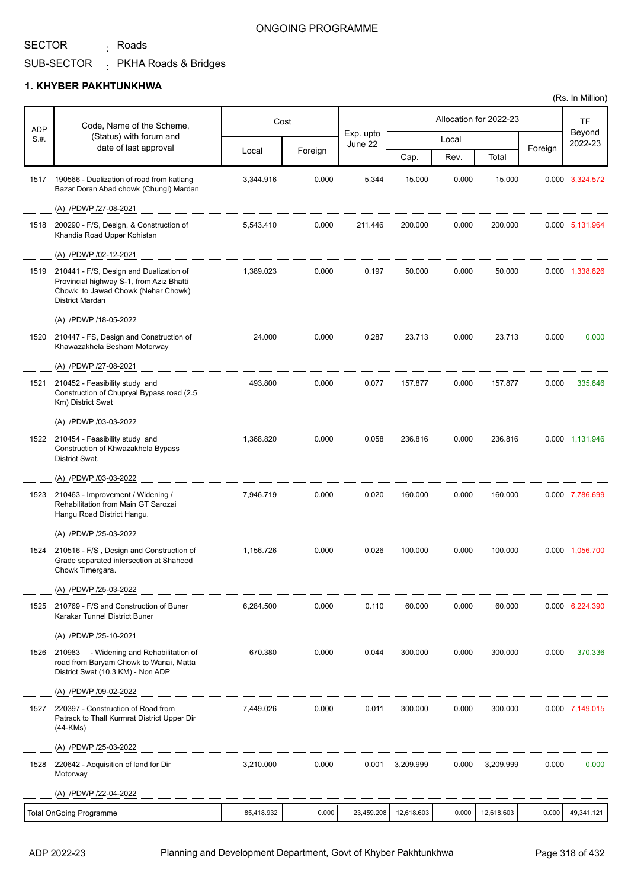<sub>:</sub> Roads

#### ONGOING PROGRAMME

SUB-SECTOR PKHA Roads & Bridges

#### **1. KHYBER PAKHTUNKHWA**

| <b>ADP</b> | Code, Name of the Scheme,                                                                                                                           |            | Cost    |                      |            |       | Allocation for 2022-23 |         | TF                |
|------------|-----------------------------------------------------------------------------------------------------------------------------------------------------|------------|---------|----------------------|------------|-------|------------------------|---------|-------------------|
| S.#.       | (Status) with forum and                                                                                                                             |            |         | Exp. upto<br>June 22 |            | Local |                        |         | Beyond<br>2022-23 |
|            | date of last approval                                                                                                                               | Local      | Foreign |                      | Cap.       | Rev.  | Total                  | Foreign |                   |
| 1517       | 190566 - Dualization of road from katlang<br>Bazar Doran Abad chowk (Chungi) Mardan                                                                 | 3,344.916  | 0.000   | 5.344                | 15.000     | 0.000 | 15.000                 |         | 0.000 3,324.572   |
|            | (A) /PDWP /27-08-2021                                                                                                                               |            |         |                      |            |       |                        |         |                   |
| 1518       | 200290 - F/S, Design, & Construction of<br>Khandia Road Upper Kohistan                                                                              | 5,543.410  | 0.000   | 211.446              | 200.000    | 0.000 | 200.000                |         | 0.000 5,131.964   |
|            | (A) /PDWP /02-12-2021                                                                                                                               |            |         |                      |            |       |                        |         |                   |
| 1519       | 210441 - F/S, Design and Dualization of<br>Provincial highway S-1, from Aziz Bhatti<br>Chowk to Jawad Chowk (Nehar Chowk)<br><b>District Mardan</b> | 1,389.023  | 0.000   | 0.197                | 50.000     | 0.000 | 50.000                 |         | 0.000 1,338.826   |
|            | (A) /PDWP /18-05-2022                                                                                                                               |            |         |                      |            |       |                        |         |                   |
| 1520       | 210447 - FS, Design and Construction of<br>Khawazakhela Besham Motorway                                                                             | 24.000     | 0.000   | 0.287                | 23.713     | 0.000 | 23.713                 | 0.000   | 0.000             |
|            | (A) /PDWP /27-08-2021                                                                                                                               |            |         |                      |            |       |                        |         |                   |
| 1521       | 210452 - Feasibility study and<br>Construction of Chupryal Bypass road (2.5<br>Km) District Swat                                                    | 493.800    | 0.000   | 0.077                | 157.877    | 0.000 | 157.877                | 0.000   | 335.846           |
|            | (A) /PDWP /03-03-2022                                                                                                                               |            |         |                      |            |       |                        |         |                   |
| 1522       | 210454 - Feasibility study and<br>Construction of Khwazakhela Bypass<br>District Swat.                                                              | 1,368.820  | 0.000   | 0.058                | 236.816    | 0.000 | 236.816                |         | 0.000 1,131.946   |
|            | (A) /PDWP /03-03-2022                                                                                                                               |            |         |                      |            |       |                        |         |                   |
| 1523       | 210463 - Improvement / Widening /<br>Rehabilitation from Main GT Sarozai<br>Hangu Road District Hangu.                                              | 7,946.719  | 0.000   | 0.020                | 160.000    | 0.000 | 160.000                |         | 0.000 7,786.699   |
|            | (A) /PDWP /25-03-2022                                                                                                                               |            |         |                      |            |       |                        |         |                   |
| 1524       | 210516 - F/S, Design and Construction of<br>Grade separated intersection at Shaheed<br>Chowk Timergara.                                             | 1,156.726  | 0.000   | 0.026                | 100.000    | 0.000 | 100.000                |         | 0.000 1,056.700   |
|            | (A) /PDWP /25-03-2022                                                                                                                               |            |         |                      |            |       |                        |         |                   |
| 1525       | 210769 - F/S and Construction of Buner<br>Karakar Tunnel District Buner                                                                             | 6,284.500  | 0.000   | 0.110                | 60.000     | 0.000 | 60.000                 |         | 0.000 6,224.390   |
|            | (A) /PDWP /25-10-2021                                                                                                                               |            |         |                      |            |       |                        |         |                   |
| 1526       | 210983 - Widening and Rehabilitation of<br>road from Baryam Chowk to Wanai, Matta<br>District Swat (10.3 KM) - Non ADP                              | 670.380    | 0.000   | 0.044                | 300.000    | 0.000 | 300.000                | 0.000   | 370.336           |
|            | (A) /PDWP /09-02-2022                                                                                                                               |            |         |                      |            |       |                        |         |                   |
| 1527       | 220397 - Construction of Road from<br>Patrack to Thall Kurmrat District Upper Dir<br>(44-KMs)                                                       | 7,449.026  | 0.000   | 0.011                | 300.000    | 0.000 | 300.000                |         | 0.000 7,149.015   |
|            | (A) /PDWP /25-03-2022                                                                                                                               |            |         |                      |            |       |                        |         |                   |
| 1528       | 220642 - Acquisition of land for Dir<br>Motorway                                                                                                    | 3,210.000  | 0.000   | 0.001                | 3,209.999  | 0.000 | 3,209.999              | 0.000   | 0.000             |
|            | (A) /PDWP /22-04-2022                                                                                                                               |            |         |                      |            |       |                        |         |                   |
|            | <b>Total OnGoing Programme</b>                                                                                                                      | 85,418.932 | 0.000   | 23,459.208           | 12,618.603 | 0.000 | 12,618.603             | 0.000   | 49,341.121        |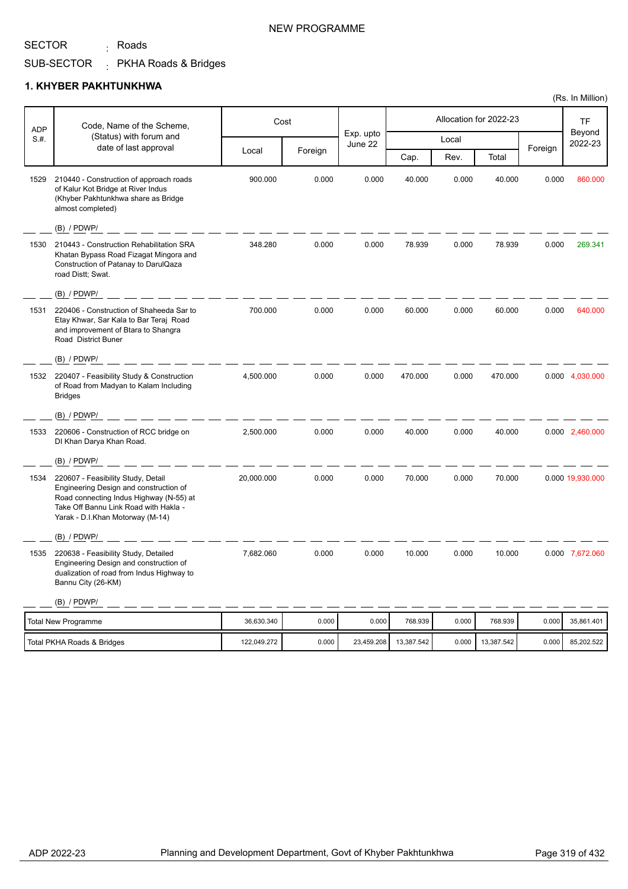<sub>:</sub> Roads

SUB-SECTOR PKHA Roads & Bridges :

#### **1. KHYBER PAKHTUNKHWA**

| <b>ADP</b> | Code, Name of the Scheme,                                                                                                                                                                            |             | Cost    |                      |            |       | Allocation for 2022-23 |         | TF                |
|------------|------------------------------------------------------------------------------------------------------------------------------------------------------------------------------------------------------|-------------|---------|----------------------|------------|-------|------------------------|---------|-------------------|
| S.H.       | (Status) with forum and<br>date of last approval                                                                                                                                                     |             |         | Exp. upto<br>June 22 |            | Local |                        | Foreign | Beyond<br>2022-23 |
|            |                                                                                                                                                                                                      | Local       | Foreign |                      | Cap.       | Rev.  | Total                  |         |                   |
| 1529       | 210440 - Construction of approach roads<br>of Kalur Kot Bridge at River Indus<br>(Khyber Pakhtunkhwa share as Bridge<br>almost completed)                                                            | 900.000     | 0.000   | 0.000                | 40.000     | 0.000 | 40.000                 | 0.000   | 860,000           |
|            | (B) / PDWP/                                                                                                                                                                                          |             |         |                      |            |       |                        |         |                   |
| 1530       | 210443 - Construction Rehabilitation SRA<br>Khatan Bypass Road Fizagat Mingora and<br>Construction of Patanay to DarulQaza<br>road Distt; Swat.                                                      | 348.280     | 0.000   | 0.000                | 78.939     | 0.000 | 78.939                 | 0.000   | 269.341           |
|            | $(B)$ / PDWP/                                                                                                                                                                                        |             |         |                      |            |       |                        |         |                   |
| 1531       | 220406 - Construction of Shaheeda Sar to<br>Etay Khwar, Sar Kala to Bar Teraj Road<br>and improvement of Btara to Shangra<br>Road District Buner                                                     | 700.000     | 0.000   | 0.000                | 60.000     | 0.000 | 60.000                 | 0.000   | 640.000           |
|            | (B) / PDWP/                                                                                                                                                                                          |             |         |                      |            |       |                        |         |                   |
|            | 1532 220407 - Feasibility Study & Construction<br>of Road from Madyan to Kalam Including<br><b>Bridges</b>                                                                                           | 4,500.000   | 0.000   | 0.000                | 470.000    | 0.000 | 470.000                |         | 0.000 4,030.000   |
|            | (B) / PDWP/                                                                                                                                                                                          |             |         |                      |            |       |                        |         |                   |
| 1533       | 220606 - Construction of RCC bridge on<br>DI Khan Darya Khan Road.                                                                                                                                   | 2,500.000   | 0.000   | 0.000                | 40.000     | 0.000 | 40.000                 |         | 0.000 2,460.000   |
|            | (B) / PDWP/                                                                                                                                                                                          |             |         |                      |            |       |                        |         |                   |
| 1534       | 220607 - Feasibility Study, Detail<br>Engineering Design and construction of<br>Road connecting Indus Highway (N-55) at<br>Take Off Bannu Link Road with Hakla -<br>Yarak - D.I.Khan Motorway (M-14) | 20,000.000  | 0.000   | 0.000                | 70.000     | 0.000 | 70.000                 |         | 0.000 19,930.000  |
|            | (B) / PDWP/                                                                                                                                                                                          |             |         |                      |            |       |                        |         |                   |
| 1535       | 220638 - Feasibility Study, Detailed<br>Engineering Design and construction of<br>dualization of road from Indus Highway to<br>Bannu City (26-KM)                                                    | 7,682.060   | 0.000   | 0.000                | 10.000     | 0.000 | 10.000                 |         | 0.000 7,672.060   |
|            | (B) / PDWP/                                                                                                                                                                                          |             |         |                      |            |       |                        |         |                   |
|            | <b>Total New Programme</b>                                                                                                                                                                           | 36,630.340  | 0.000   | 0.000                | 768.939    | 0.000 | 768.939                | 0.000   | 35,861.401        |
|            | Total PKHA Roads & Bridges                                                                                                                                                                           | 122,049.272 | 0.000   | 23,459.208           | 13,387.542 | 0.000 | 13,387.542             | 0.000   | 85,202.522        |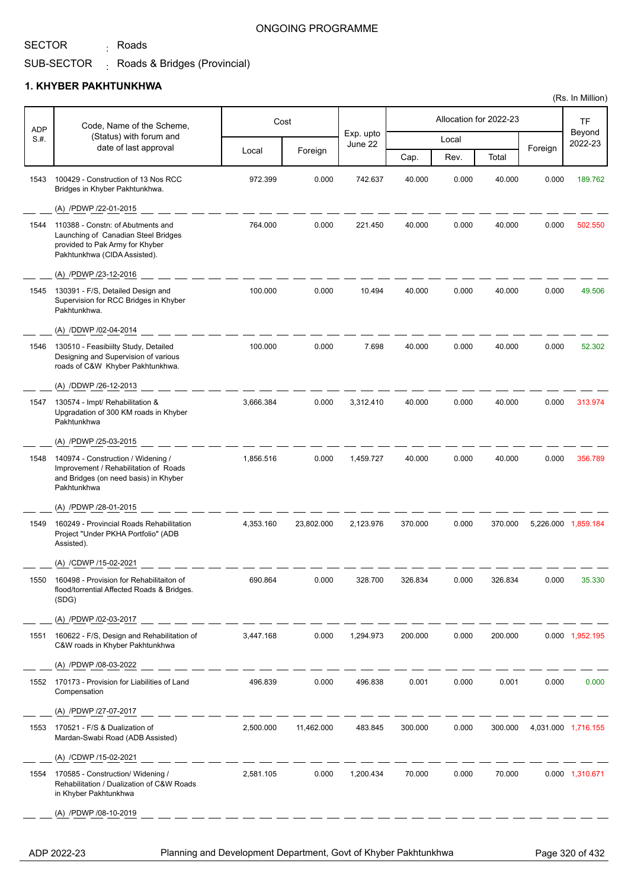<sub>:</sub> Roads

#### ONGOING PROGRAMME

#### SUB-SECTOR . Roads & Bridges (Provincial)

#### **1. KHYBER PAKHTUNKHWA**

| <b>ADP</b> | Code, Name of the Scheme,                                                                                                                   |           | Cost       |                      |         |       | Allocation for 2022-23 |         | TF                  |
|------------|---------------------------------------------------------------------------------------------------------------------------------------------|-----------|------------|----------------------|---------|-------|------------------------|---------|---------------------|
| S.H.       | (Status) with forum and                                                                                                                     |           |            | Exp. upto<br>June 22 |         | Local |                        |         | Beyond<br>2022-23   |
|            | date of last approval                                                                                                                       | Local     | Foreign    |                      | Cap.    | Rev.  | Total                  | Foreign |                     |
| 1543       | 100429 - Construction of 13 Nos RCC<br>Bridges in Khyber Pakhtunkhwa.                                                                       | 972.399   | 0.000      | 742.637              | 40.000  | 0.000 | 40.000                 | 0.000   | 189.762             |
|            | (A) /PDWP /22-01-2015                                                                                                                       |           |            |                      |         |       |                        |         |                     |
| 1544       | 110388 - Constn: of Abutments and<br>Launching of Canadian Steel Bridges<br>provided to Pak Army for Khyber<br>Pakhtunkhwa (CIDA Assisted). | 764.000   | 0.000      | 221.450              | 40.000  | 0.000 | 40.000                 | 0.000   | 502.550             |
|            | (A) /PDWP /23-12-2016                                                                                                                       |           |            |                      |         |       |                        |         |                     |
| 1545       | 130391 - F/S, Detailed Design and<br>Supervision for RCC Bridges in Khyber<br>Pakhtunkhwa.                                                  | 100.000   | 0.000      | 10.494               | 40.000  | 0.000 | 40.000                 | 0.000   | 49.506              |
|            | (A) /DDWP /02-04-2014                                                                                                                       |           |            |                      |         |       |                        |         |                     |
| 1546       | 130510 - Feasibiilty Study, Detailed<br>Designing and Supervision of various<br>roads of C&W Khyber Pakhtunkhwa.                            | 100.000   | 0.000      | 7.698                | 40.000  | 0.000 | 40.000                 | 0.000   | 52.302              |
|            | (A) /DDWP /26-12-2013                                                                                                                       |           |            |                      |         |       |                        |         |                     |
| 1547       | 130574 - Impt/ Rehabilitation &<br>Upgradation of 300 KM roads in Khyber<br>Pakhtunkhwa                                                     | 3,666.384 | 0.000      | 3,312.410            | 40.000  | 0.000 | 40.000                 | 0.000   | 313.974             |
|            | (A) /PDWP /25-03-2015                                                                                                                       |           |            |                      |         |       |                        |         |                     |
| 1548       | 140974 - Construction / Widening /<br>Improvement / Rehabilitation of Roads<br>and Bridges (on need basis) in Khyber<br>Pakhtunkhwa         | 1,856.516 | 0.000      | 1,459.727            | 40.000  | 0.000 | 40.000                 | 0.000   | 356.789             |
|            | (A) /PDWP /28-01-2015                                                                                                                       |           |            |                      |         |       |                        |         |                     |
| 1549       | 160249 - Provincial Roads Rehabilitation<br>Project "Under PKHA Portfolio" (ADB<br>Assisted).                                               | 4.353.160 | 23,802.000 | 2,123.976            | 370.000 | 0.000 | 370.000                |         | 5,226.000 1,859.184 |
|            | (A) /CDWP /15-02-2021                                                                                                                       |           |            |                      |         |       |                        |         |                     |
| 1550       | 160498 - Provision for Rehabilitaiton of<br>flood/torrential Affected Roads & Bridges.<br>(SDG)                                             | 690.864   | 0.000      | 328.700              | 326.834 | 0.000 | 326.834                | 0.000   | 35.330              |
|            | (A) /PDWP /02-03-2017                                                                                                                       |           |            |                      |         |       |                        |         |                     |
| 1551       | 160622 - F/S, Design and Rehabilitation of<br>C&W roads in Khyber Pakhtunkhwa                                                               | 3,447.168 | 0.000      | 1,294.973            | 200.000 | 0.000 | 200.000                |         | 0.000 1,952.195     |
|            | (A) /PDWP /08-03-2022                                                                                                                       |           |            |                      |         |       |                        |         |                     |
| 1552       | 170173 - Provision for Liabilities of Land<br>Compensation                                                                                  | 496.839   | 0.000      | 496.838              | 0.001   | 0.000 | 0.001                  | 0.000   | 0.000               |
|            | (A) /PDWP /27-07-2017                                                                                                                       |           |            |                      |         |       |                        |         |                     |
| 1553       | 170521 - F/S & Dualization of<br>Mardan-Swabi Road (ADB Assisted)                                                                           | 2,500.000 | 11,462.000 | 483.845              | 300.000 | 0.000 | 300.000                |         | 4,031.000 1,716.155 |
|            | (A) /CDWP /15-02-2021                                                                                                                       |           |            |                      |         |       |                        |         |                     |
| 1554       | 170585 - Construction/ Widening /<br>Rehabilitation / Dualization of C&W Roads<br>in Khyber Pakhtunkhwa                                     | 2,581.105 | 0.000      | 1,200.434            | 70.000  | 0.000 | 70.000                 |         | 0.000 1,310.671     |
|            | (A) /PDWP /08-10-2019                                                                                                                       |           |            |                      |         |       |                        |         |                     |
|            |                                                                                                                                             |           |            |                      |         |       |                        |         |                     |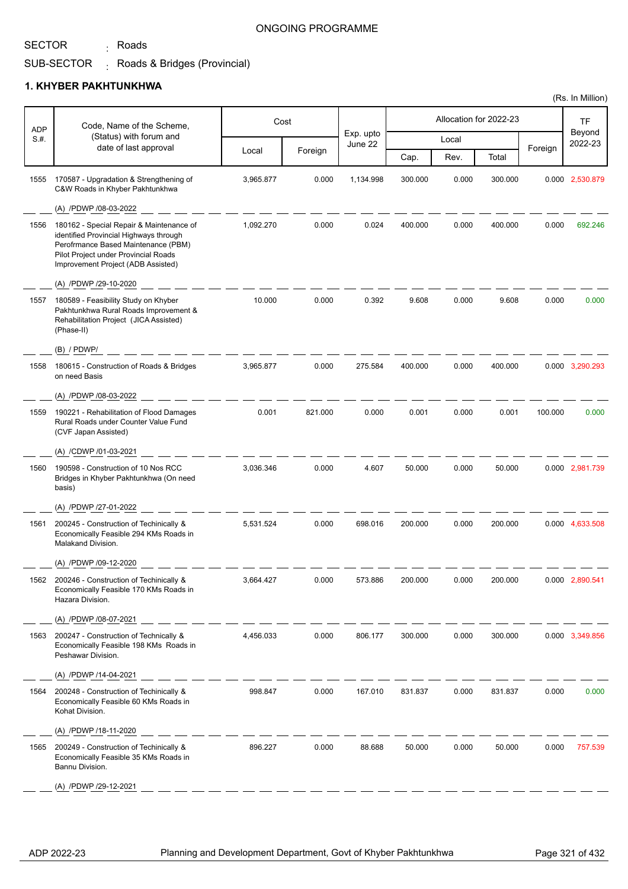<sub>:</sub> Roads

#### ONGOING PROGRAMME

#### SUB-SECTOR . Roads & Bridges (Provincial)

|            |                                                                                                                                                                                                         |           |         |                      |         |       |                        |         | (Rs. In Million)  |
|------------|---------------------------------------------------------------------------------------------------------------------------------------------------------------------------------------------------------|-----------|---------|----------------------|---------|-------|------------------------|---------|-------------------|
| <b>ADP</b> | Code, Name of the Scheme,                                                                                                                                                                               |           | Cost    |                      |         |       | Allocation for 2022-23 |         | TF                |
| S.#.       | (Status) with forum and<br>date of last approval                                                                                                                                                        |           |         | Exp. upto<br>June 22 |         | Local |                        |         | Beyond<br>2022-23 |
|            |                                                                                                                                                                                                         | Local     | Foreign |                      | Cap.    | Rev.  | Total                  | Foreign |                   |
| 1555       | 170587 - Upgradation & Strengthening of<br>C&W Roads in Khyber Pakhtunkhwa                                                                                                                              | 3,965.877 | 0.000   | 1,134.998            | 300.000 | 0.000 | 300.000                |         | 0.000 2,530.879   |
|            | (A) /PDWP /08-03-2022                                                                                                                                                                                   |           |         |                      |         |       |                        |         |                   |
| 1556       | 180162 - Special Repair & Maintenance of<br>identified Provincial Highways through<br>Perofrmance Based Maintenance (PBM)<br>Pilot Project under Provincial Roads<br>Improvement Project (ADB Assisted) | 1,092.270 | 0.000   | 0.024                | 400.000 | 0.000 | 400.000                | 0.000   | 692.246           |
|            | (A) /PDWP /29-10-2020                                                                                                                                                                                   |           |         |                      |         |       |                        |         |                   |
| 1557       | 180589 - Feasibility Study on Khyber<br>Pakhtunkhwa Rural Roads Improvement &<br>Rehabilitation Project (JICA Assisted)<br>(Phase-II)                                                                   | 10.000    | 0.000   | 0.392                | 9.608   | 0.000 | 9.608                  | 0.000   | 0.000             |
|            | $(B)$ / PDWP/                                                                                                                                                                                           |           |         |                      |         |       |                        |         |                   |
| 1558       | 180615 - Construction of Roads & Bridges<br>on need Basis                                                                                                                                               | 3,965.877 | 0.000   | 275.584              | 400.000 | 0.000 | 400.000                |         | 0.000 3,290.293   |
|            | (A) /PDWP /08-03-2022                                                                                                                                                                                   |           |         |                      |         |       |                        |         |                   |
| 1559       | 190221 - Rehabilitation of Flood Damages<br>Rural Roads under Counter Value Fund<br>(CVF Japan Assisted)                                                                                                | 0.001     | 821.000 | 0.000                | 0.001   | 0.000 | 0.001                  | 100.000 | 0.000             |
|            | (A) /CDWP /01-03-2021                                                                                                                                                                                   |           |         |                      |         |       |                        |         |                   |
| 1560       | 190598 - Construction of 10 Nos RCC<br>Bridges in Khyber Pakhtunkhwa (On need<br>basis)                                                                                                                 | 3,036.346 | 0.000   | 4.607                | 50.000  | 0.000 | 50.000                 |         | 0.000 2,981.739   |
|            | (A) /PDWP /27-01-2022                                                                                                                                                                                   |           |         |                      |         |       |                        |         |                   |
| 1561       | 200245 - Construction of Techinically &<br>Economically Feasible 294 KMs Roads in<br>Malakand Division.                                                                                                 | 5,531.524 | 0.000   | 698.016              | 200.000 | 0.000 | 200.000                |         | 0.000 4,633.508   |
|            | (A) /PDWP /09-12-2020                                                                                                                                                                                   |           |         |                      |         |       |                        |         |                   |
| 1562       | 200246 - Construction of Techinically &<br>Economically Feasible 170 KMs Roads in<br>Hazara Division.                                                                                                   | 3,664.427 | 0.000   | 573.886              | 200.000 | 0.000 | 200.000                |         | 0.000 2,890.541   |
|            | (A) /PDWP /08-07-2021                                                                                                                                                                                   |           |         |                      |         |       |                        |         |                   |
| 1563       | 200247 - Construction of Technically &<br>Economically Feasible 198 KMs Roads in<br>Peshawar Division.                                                                                                  | 4,456.033 | 0.000   | 806.177              | 300.000 | 0.000 | 300.000                |         | 0.000 3,349.856   |
|            | (A) /PDWP /14-04-2021                                                                                                                                                                                   |           |         |                      |         |       |                        |         |                   |
| 1564       | 200248 - Construction of Techinically &<br>Economically Feasible 60 KMs Roads in<br>Kohat Division.                                                                                                     | 998.847   | 0.000   | 167.010              | 831.837 | 0.000 | 831.837                | 0.000   | 0.000             |
|            | (A) /PDWP /18-11-2020                                                                                                                                                                                   |           |         |                      |         |       |                        |         |                   |
| 1565       | 200249 - Construction of Techinically &<br>Economically Feasible 35 KMs Roads in<br>Bannu Division.                                                                                                     | 896.227   | 0.000   | 88.688               | 50.000  | 0.000 | 50.000                 | 0.000   | 757.539           |
|            | (A) /PDWP /29-12-2021                                                                                                                                                                                   |           |         |                      |         |       |                        |         |                   |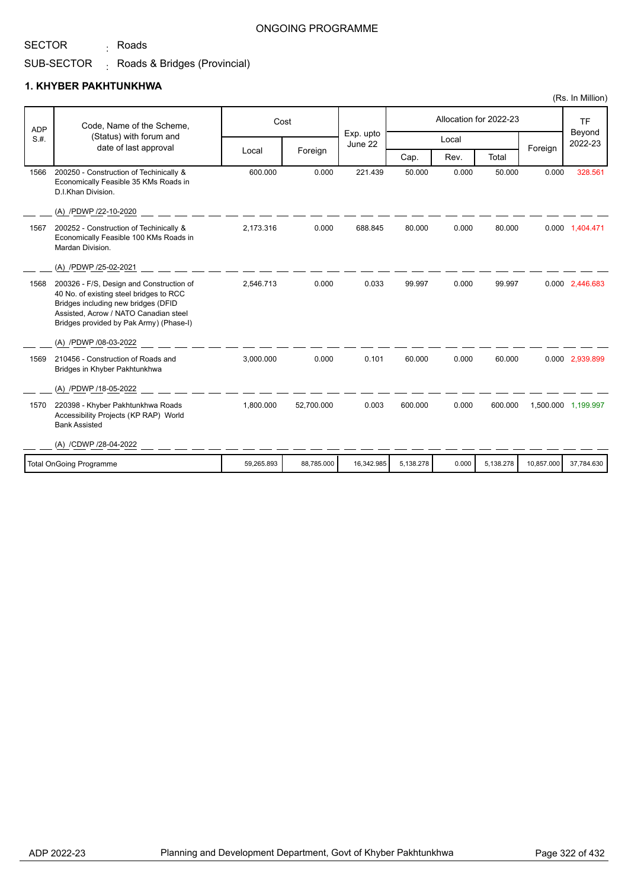# <sub>:</sub> Roads

#### ONGOING PROGRAMME

# SUB-SECTOR Roads & Bridges (Provincial) :

|            |                                                                                                                                                                                                                |            |            |                      |           |       |                        |            | (Rs. In Million)    |
|------------|----------------------------------------------------------------------------------------------------------------------------------------------------------------------------------------------------------------|------------|------------|----------------------|-----------|-------|------------------------|------------|---------------------|
| <b>ADP</b> | Code, Name of the Scheme,                                                                                                                                                                                      |            | Cost       |                      |           |       | Allocation for 2022-23 |            | <b>TF</b>           |
| S.H.       | (Status) with forum and<br>date of last approval                                                                                                                                                               |            |            | Exp. upto<br>June 22 |           | Local |                        | Foreign    | Beyond<br>2022-23   |
|            |                                                                                                                                                                                                                | Local      | Foreign    |                      | Cap.      | Rev.  | Total                  |            |                     |
| 1566       | 200250 - Construction of Techinically &<br>Economically Feasible 35 KMs Roads in<br>D.I.Khan Division.                                                                                                         | 600.000    | 0.000      | 221.439              | 50.000    | 0.000 | 50.000                 | 0.000      | 328.561             |
|            | (A) /PDWP /22-10-2020                                                                                                                                                                                          |            |            |                      |           |       |                        |            |                     |
| 1567       | 200252 - Construction of Techinically &<br>Economically Feasible 100 KMs Roads in<br>Mardan Division.                                                                                                          | 2.173.316  | 0.000      | 688.845              | 80.000    | 0.000 | 80.000                 |            | 0.000 1,404.471     |
|            | (A) /PDWP /25-02-2021                                                                                                                                                                                          |            |            |                      |           |       |                        |            |                     |
| 1568       | 200326 - F/S, Design and Construction of<br>40 No. of existing steel bridges to RCC<br>Bridges including new bridges (DFID<br>Assisted, Acrow / NATO Canadian steel<br>Bridges provided by Pak Army) (Phase-I) | 2.546.713  | 0.000      | 0.033                | 99.997    | 0.000 | 99.997                 |            | 0.000 2,446.683     |
|            | (A) /PDWP /08-03-2022                                                                                                                                                                                          |            |            |                      |           |       |                        |            |                     |
| 1569       | 210456 - Construction of Roads and<br>Bridges in Khyber Pakhtunkhwa                                                                                                                                            | 3,000.000  | 0.000      | 0.101                | 60.000    | 0.000 | 60.000                 |            | 0.000 2,939.899     |
|            | (A) /PDWP /18-05-2022                                                                                                                                                                                          |            |            |                      |           |       |                        |            |                     |
| 1570       | 220398 - Khyber Pakhtunkhwa Roads<br>Accessibility Projects (KP RAP) World<br><b>Bank Assisted</b>                                                                                                             | 1,800.000  | 52,700.000 | 0.003                | 600.000   | 0.000 | 600.000                |            | 1,500.000 1,199.997 |
|            | (A) /CDWP /28-04-2022                                                                                                                                                                                          |            |            |                      |           |       |                        |            |                     |
|            | <b>Total OnGoing Programme</b>                                                                                                                                                                                 | 59,265.893 | 88,785.000 | 16,342.985           | 5,138.278 | 0.000 | 5,138.278              | 10,857.000 | 37,784.630          |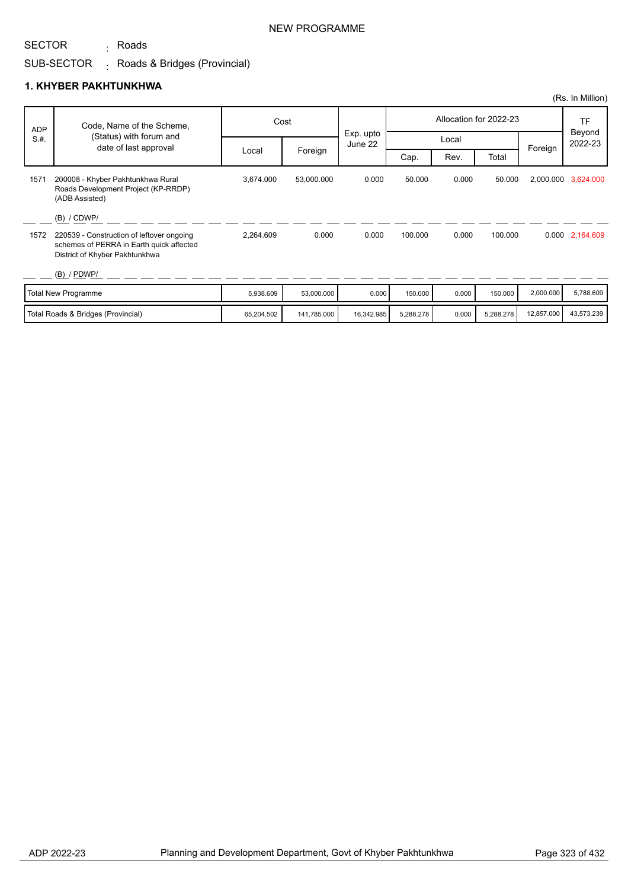<sub>:</sub> Roads

#### SUB-SECTOR . Roads & Bridges (Provincial)

|            |                                                                                                                         |            |             |                      |           |       |                        |            | (Rs. In Million)  |
|------------|-------------------------------------------------------------------------------------------------------------------------|------------|-------------|----------------------|-----------|-------|------------------------|------------|-------------------|
| <b>ADP</b> | Code, Name of the Scheme,                                                                                               |            | Cost        |                      |           |       | Allocation for 2022-23 |            | <b>TF</b>         |
| S.H.       | (Status) with forum and<br>date of last approval                                                                        |            |             | Exp. upto<br>June 22 |           | Local |                        | Foreign    | Beyond<br>2022-23 |
|            |                                                                                                                         | Local      | Foreign     |                      | Cap.      | Rev.  | Total                  |            |                   |
| 1571       | 200008 - Khyber Pakhtunkhwa Rural<br>Roads Development Project (KP-RRDP)<br>(ADB Assisted)                              | 3,674.000  | 53,000.000  | 0.000                | 50.000    | 0.000 | 50.000                 | 2,000.000  | 3,624.000         |
|            | (B) / CDWP/                                                                                                             |            |             |                      |           |       |                        |            |                   |
| 1572       | 220539 - Construction of leftover ongoing<br>schemes of PERRA in Earth quick affected<br>District of Khyber Pakhtunkhwa | 2,264.609  | 0.000       | 0.000                | 100.000   | 0.000 | 100.000                |            | 0.000 2,164.609   |
|            | $(B)$ / PDWP/                                                                                                           |            |             |                      |           |       |                        |            |                   |
|            | <b>Total New Programme</b>                                                                                              | 5,938.609  | 53,000.000  | 0.000                | 150.000   | 0.000 | 150.000                | 2,000.000  | 5,788.609         |
|            | Total Roads & Bridges (Provincial)                                                                                      | 65,204.502 | 141,785.000 | 16,342.985           | 5,288.278 | 0.000 | 5,288.278              | 12,857.000 | 43,573.239        |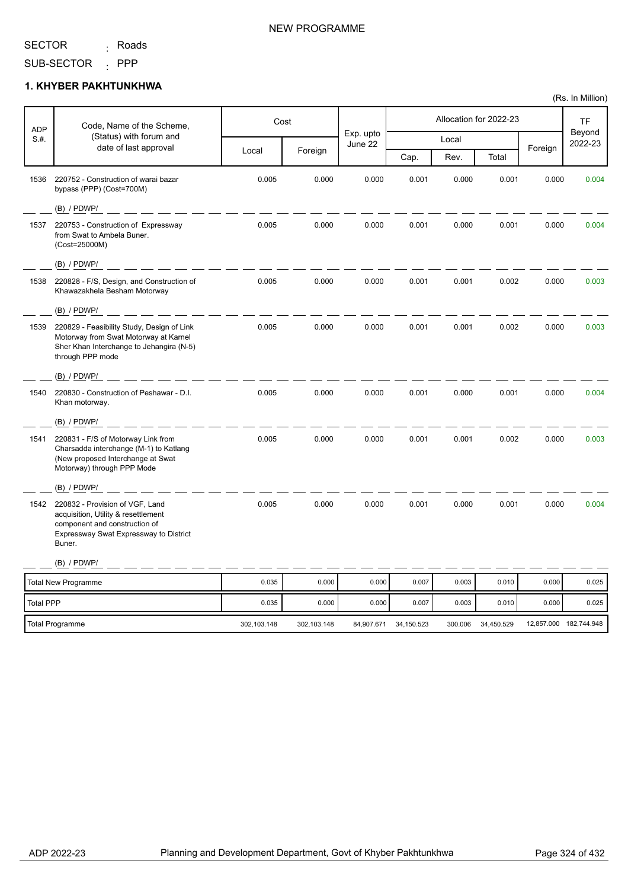<sub>:</sub> Roads

#### SUB-SECTOR : PPP

# **1. KHYBER PAKHTUNKHWA**

| <b>ADP</b>       | Code, Name of the Scheme,                                                                                                                                   |             | Cost        |                      |            |         | Allocation for 2022-23 |         | <b>TF</b>              |
|------------------|-------------------------------------------------------------------------------------------------------------------------------------------------------------|-------------|-------------|----------------------|------------|---------|------------------------|---------|------------------------|
| S.H.             | (Status) with forum and<br>date of last approval                                                                                                            |             |             | Exp. upto<br>June 22 |            | Local   |                        |         | Beyond<br>2022-23      |
|                  |                                                                                                                                                             | Local       | Foreign     |                      | Cap.       | Rev.    | Total                  | Foreign |                        |
| 1536             | 220752 - Construction of warai bazar<br>bypass (PPP) (Cost=700M)                                                                                            | 0.005       | 0.000       | 0.000                | 0.001      | 0.000   | 0.001                  | 0.000   | 0.004                  |
|                  | $(B)$ / PDWP/                                                                                                                                               |             |             |                      |            |         |                        |         |                        |
| 1537             | 220753 - Construction of Expressway<br>from Swat to Ambela Buner.<br>(Cost=25000M)                                                                          | 0.005       | 0.000       | 0.000                | 0.001      | 0.000   | 0.001                  | 0.000   | 0.004                  |
|                  | $(B)$ / PDWP/                                                                                                                                               |             |             |                      |            |         |                        |         |                        |
| 1538             | 220828 - F/S, Design, and Construction of<br>Khawazakhela Besham Motorway                                                                                   | 0.005       | 0.000       | 0.000                | 0.001      | 0.001   | 0.002                  | 0.000   | 0.003                  |
|                  | $(B)$ / PDWP/                                                                                                                                               |             |             |                      |            |         |                        |         |                        |
| 1539             | 220829 - Feasibility Study, Design of Link<br>Motorway from Swat Motorway at Karnel<br>Sher Khan Interchange to Jehangira (N-5)<br>through PPP mode         | 0.005       | 0.000       | 0.000                | 0.001      | 0.001   | 0.002                  | 0.000   | 0.003                  |
|                  | $(B)$ / PDWP/                                                                                                                                               |             |             |                      |            |         |                        |         |                        |
| 1540             | 220830 - Construction of Peshawar - D.I.<br>Khan motorway.                                                                                                  | 0.005       | 0.000       | 0.000                | 0.001      | 0.000   | 0.001                  | 0.000   | 0.004                  |
|                  | $(B)$ / PDWP/                                                                                                                                               |             |             |                      |            |         |                        |         |                        |
| 1541             | 220831 - F/S of Motorway Link from<br>Charsadda interchange (M-1) to Katlang<br>(New proposed Interchange at Swat<br>Motorway) through PPP Mode             | 0.005       | 0.000       | 0.000                | 0.001      | 0.001   | 0.002                  | 0.000   | 0.003                  |
|                  | (B) / PDWP/                                                                                                                                                 |             |             |                      |            |         |                        |         |                        |
| 1542             | 220832 - Provision of VGF, Land<br>acquisition, Utility & resettlement<br>component and construction of<br>Expressway Swat Expressway to District<br>Buner. | 0.005       | 0.000       | 0.000                | 0.001      | 0.000   | 0.001                  | 0.000   | 0.004                  |
|                  | (B) / PDWP/                                                                                                                                                 |             |             |                      |            |         |                        |         |                        |
|                  | <b>Total New Programme</b>                                                                                                                                  | 0.035       | 0.000       | 0.000                | 0.007      | 0.003   | 0.010                  | 0.000   | 0.025                  |
| <b>Total PPP</b> |                                                                                                                                                             | 0.035       | 0.000       | 0.000                | 0.007      | 0.003   | 0.010                  | 0.000   | 0.025                  |
|                  | Total Programme                                                                                                                                             | 302.103.148 | 302.103.148 | 84,907.671           | 34,150.523 | 300.006 | 34,450.529             |         | 12,857.000 182,744.948 |

#### NEW PROGRAMME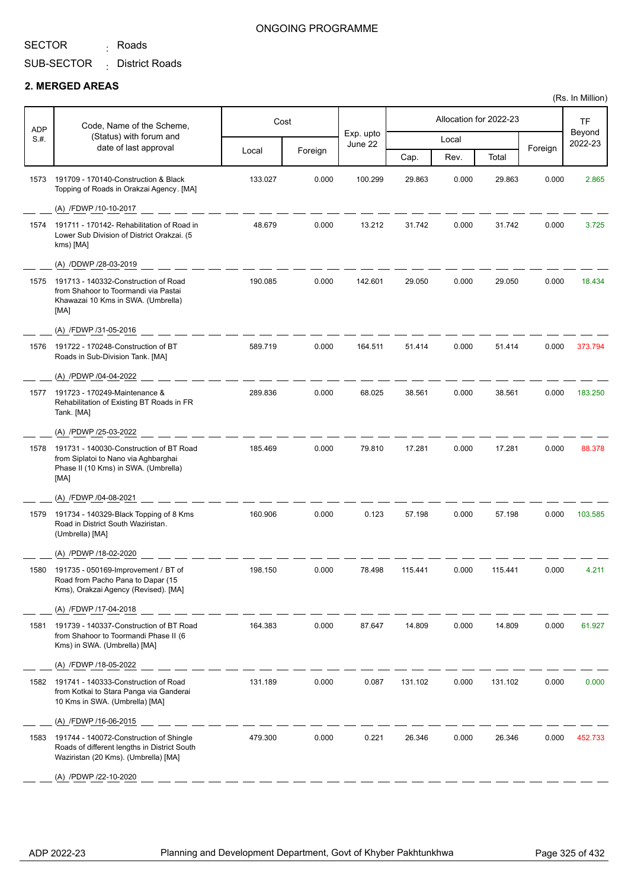<sub>:</sub> Roads

### ONGOING PROGRAMME

SUB-SECTOR District Roads :

#### **2. MERGED AREAS**

| <b>ADP</b> | Code, Name of the Scheme,                                                                                                       |         | Cost    |                      |         |       | Allocation for 2022-23 |         | <b>TF</b>         |
|------------|---------------------------------------------------------------------------------------------------------------------------------|---------|---------|----------------------|---------|-------|------------------------|---------|-------------------|
| S.#.       | (Status) with forum and<br>date of last approval                                                                                |         |         | Exp. upto<br>June 22 |         | Local |                        |         | Beyond<br>2022-23 |
|            |                                                                                                                                 | Local   | Foreign |                      | Cap.    | Rev.  | Total                  | Foreign |                   |
| 1573       | 191709 - 170140-Construction & Black<br>Topping of Roads in Orakzai Agency. [MA]                                                | 133.027 | 0.000   | 100.299              | 29.863  | 0.000 | 29.863                 | 0.000   | 2.865             |
|            | (A) /FDWP /10-10-2017                                                                                                           |         |         |                      |         |       |                        |         |                   |
| 1574       | 191711 - 170142- Rehabilitation of Road in<br>Lower Sub Division of District Orakzai. (5<br>kms) [MA]                           | 48.679  | 0.000   | 13.212               | 31.742  | 0.000 | 31.742                 | 0.000   | 3.725             |
|            | (A) /DDWP /28-03-2019                                                                                                           |         |         |                      |         |       |                        |         |                   |
| 1575       | 191713 - 140332-Construction of Road<br>from Shahoor to Toormandi via Pastai<br>Khawazai 10 Kms in SWA. (Umbrella)<br>[MA]      | 190.085 | 0.000   | 142.601              | 29.050  | 0.000 | 29.050                 | 0.000   | 18.434            |
|            | (A) /FDWP /31-05-2016                                                                                                           |         |         |                      |         |       |                        |         |                   |
| 1576       | 191722 - 170248-Construction of BT<br>Roads in Sub-Division Tank. [MA]                                                          | 589.719 | 0.000   | 164.511              | 51.414  | 0.000 | 51.414                 | 0.000   | 373.794           |
|            | (A) /PDWP /04-04-2022                                                                                                           |         |         |                      |         |       |                        |         |                   |
| 1577       | 191723 - 170249-Maintenance &<br>Rehabilitation of Existing BT Roads in FR<br>Tank. [MA]                                        | 289.836 | 0.000   | 68.025               | 38.561  | 0.000 | 38.561                 | 0.000   | 183.250           |
|            | (A) /PDWP /25-03-2022                                                                                                           |         |         |                      |         |       |                        |         |                   |
| 1578       | 191731 - 140030-Construction of BT Road<br>from Siplatoi to Nano via Aghbarghai<br>Phase II (10 Kms) in SWA. (Umbrella)<br>[MA] | 185.469 | 0.000   | 79.810               | 17.281  | 0.000 | 17.281                 | 0.000   | 88.378            |
|            | (A) /FDWP /04-08-2021                                                                                                           |         |         |                      |         |       |                        |         |                   |
| 1579       | 191734 - 140329-Black Topping of 8 Kms<br>Road in District South Waziristan.<br>(Umbrella) [MA]                                 | 160.906 | 0.000   | 0.123                | 57.198  | 0.000 | 57.198                 | 0.000   | 103.585           |
|            | (A) /PDWP /18-02-2020                                                                                                           |         |         |                      |         |       |                        |         |                   |
| 1580       | 191735 - 050169-Improvement / BT of<br>Road from Pacho Pana to Dapar (15<br>Kms), Orakzai Agency (Revised). [MA]                | 198.150 | 0.000   | 78.498               | 115.441 | 0.000 | 115.441                | 0.000   | 4.211             |
|            | (A) /FDWP /17-04-2018                                                                                                           |         |         |                      |         |       |                        |         |                   |
| 1581       | 191739 - 140337-Construction of BT Road<br>from Shahoor to Toormandi Phase II (6<br>Kms) in SWA. (Umbrella) [MA]                | 164.383 | 0.000   | 87.647               | 14.809  | 0.000 | 14.809                 | 0.000   | 61.927            |
|            | (A) /FDWP /18-05-2022                                                                                                           |         |         |                      |         |       |                        |         |                   |
| 1582       | 191741 - 140333-Construction of Road<br>from Kotkai to Stara Panga via Ganderai<br>10 Kms in SWA. (Umbrella) [MA]               | 131.189 | 0.000   | 0.087                | 131.102 | 0.000 | 131.102                | 0.000   | 0.000             |
|            | (A) /FDWP /16-06-2015                                                                                                           |         |         |                      |         |       |                        |         |                   |
| 1583       | 191744 - 140072-Construction of Shingle<br>Roads of different lengths in District South<br>Waziristan (20 Kms). (Umbrella) [MA] | 479.300 | 0.000   | 0.221                | 26.346  | 0.000 | 26.346                 | 0.000   | 452.733           |
|            | (A) /PDWP /22-10-2020                                                                                                           |         |         |                      |         |       |                        |         |                   |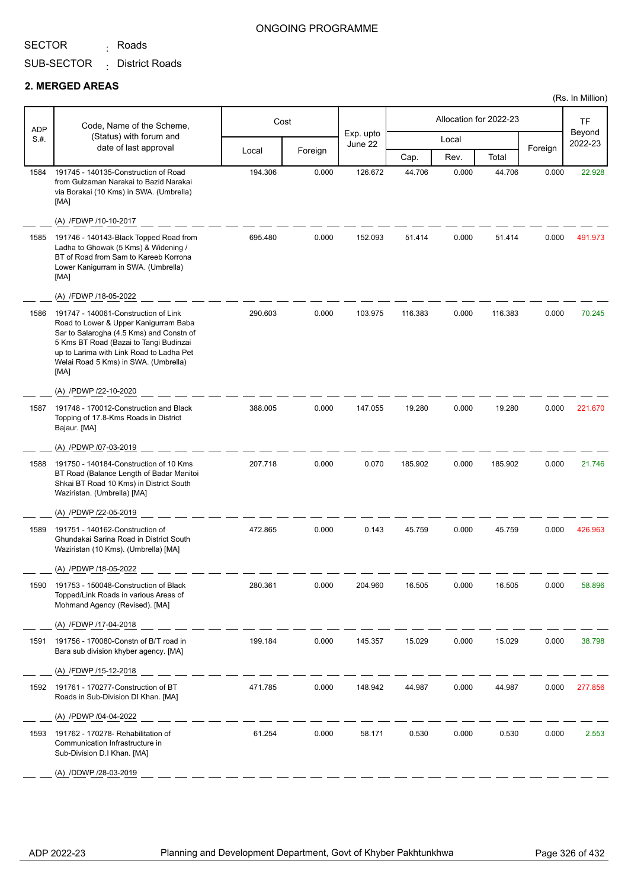<sub>:</sub> Roads

SUB-SECTOR District Roads :

#### **2. MERGED AREAS**

| <b>ADP</b> | Code, Name of the Scheme,                                                                                                                                                                                                                                       |         | Cost    |                      |         |       | Allocation for 2022-23 |         | TF                |
|------------|-----------------------------------------------------------------------------------------------------------------------------------------------------------------------------------------------------------------------------------------------------------------|---------|---------|----------------------|---------|-------|------------------------|---------|-------------------|
| S.#.       | (Status) with forum and                                                                                                                                                                                                                                         |         |         | Exp. upto<br>June 22 |         | Local |                        |         | Beyond<br>2022-23 |
|            | date of last approval                                                                                                                                                                                                                                           | Local   | Foreign |                      | Cap.    | Rev.  | Total                  | Foreign |                   |
| 1584       | 191745 - 140135-Construction of Road<br>from Gulzaman Narakai to Bazid Narakai<br>via Borakai (10 Kms) in SWA. (Umbrella)<br>[MA]<br>(A) /FDWP /10-10-2017                                                                                                      | 194.306 | 0.000   | 126.672              | 44.706  | 0.000 | 44.706                 | 0.000   | 22.928            |
| 1585       | 191746 - 140143-Black Topped Road from<br>Ladha to Ghowak (5 Kms) & Widening /<br>BT of Road from Sam to Kareeb Korrona<br>Lower Kanigurram in SWA. (Umbrella)<br>[MA]                                                                                          | 695.480 | 0.000   | 152.093              | 51.414  | 0.000 | 51.414                 | 0.000   | 491.973           |
|            | (A) /FDWP /18-05-2022                                                                                                                                                                                                                                           |         |         |                      |         |       |                        |         |                   |
| 1586       | 191747 - 140061-Construction of Link<br>Road to Lower & Upper Kanigurram Baba<br>Sar to Salarogha (4.5 Kms) and Constn of<br>5 Kms BT Road (Bazai to Tangi Budinzai<br>up to Larima with Link Road to Ladha Pet<br>Welai Road 5 Kms) in SWA. (Umbrella)<br>[MA] | 290.603 | 0.000   | 103.975              | 116.383 | 0.000 | 116.383                | 0.000   | 70.245            |
|            | (A) /PDWP /22-10-2020                                                                                                                                                                                                                                           |         |         |                      |         |       |                        |         |                   |
| 1587       | 191748 - 170012-Construction and Black<br>Topping of 17.8-Kms Roads in District<br>Bajaur. [MA]                                                                                                                                                                 | 388.005 | 0.000   | 147.055              | 19.280  | 0.000 | 19.280                 | 0.000   | 221.670           |
|            | (A) /PDWP /07-03-2019                                                                                                                                                                                                                                           |         |         |                      |         |       |                        |         |                   |
| 1588       | 191750 - 140184-Construction of 10 Kms<br>BT Road (Balance Length of Badar Manitoi<br>Shkai BT Road 10 Kms) in District South<br>Waziristan. (Umbrella) [MA]                                                                                                    | 207.718 | 0.000   | 0.070                | 185.902 | 0.000 | 185.902                | 0.000   | 21.746            |
|            | (A) /PDWP /22-05-2019                                                                                                                                                                                                                                           |         |         |                      |         |       |                        |         |                   |
| 1589       | 191751 - 140162-Construction of<br>Ghundakai Sarina Road in District South<br>Waziristan (10 Kms). (Umbrella) [MA]                                                                                                                                              | 472.865 | 0.000   | 0.143                | 45.759  | 0.000 | 45.759                 | 0.000   | 426.963           |
|            | (A) /PDWP /18-05-2022                                                                                                                                                                                                                                           |         |         |                      |         |       |                        |         |                   |
| 1590       | 191753 - 150048-Construction of Black<br>Topped/Link Roads in various Areas of<br>Mohmand Agency (Revised). [MA]                                                                                                                                                | 280.361 | 0.000   | 204.960              | 16.505  | 0.000 | 16.505                 | 0.000   | 58.896            |
|            | (A) /FDWP /17-04-2018                                                                                                                                                                                                                                           |         |         |                      |         |       |                        |         |                   |
| 1591       | 191756 - 170080-Constn of B/T road in<br>Bara sub division khyber agency. [MA]                                                                                                                                                                                  | 199.184 | 0.000   | 145.357              | 15.029  | 0.000 | 15.029                 | 0.000   | 38.798            |
|            | (A) /FDWP /15-12-2018                                                                                                                                                                                                                                           |         |         |                      |         |       |                        |         |                   |
| 1592       | 191761 - 170277-Construction of BT<br>Roads in Sub-Division DI Khan. [MA]                                                                                                                                                                                       | 471.785 | 0.000   | 148.942              | 44.987  | 0.000 | 44.987                 | 0.000   | 277.856           |
|            | (A) /PDWP /04-04-2022                                                                                                                                                                                                                                           |         |         |                      |         |       |                        |         |                   |
| 1593       | 191762 - 170278- Rehabilitation of<br>Communication Infrastructure in<br>Sub-Division D.I Khan. [MA]                                                                                                                                                            | 61.254  | 0.000   | 58.171               | 0.530   | 0.000 | 0.530                  | 0.000   | 2.553             |
|            | (A) /DDWP /28-03-2019                                                                                                                                                                                                                                           |         |         |                      |         |       |                        |         |                   |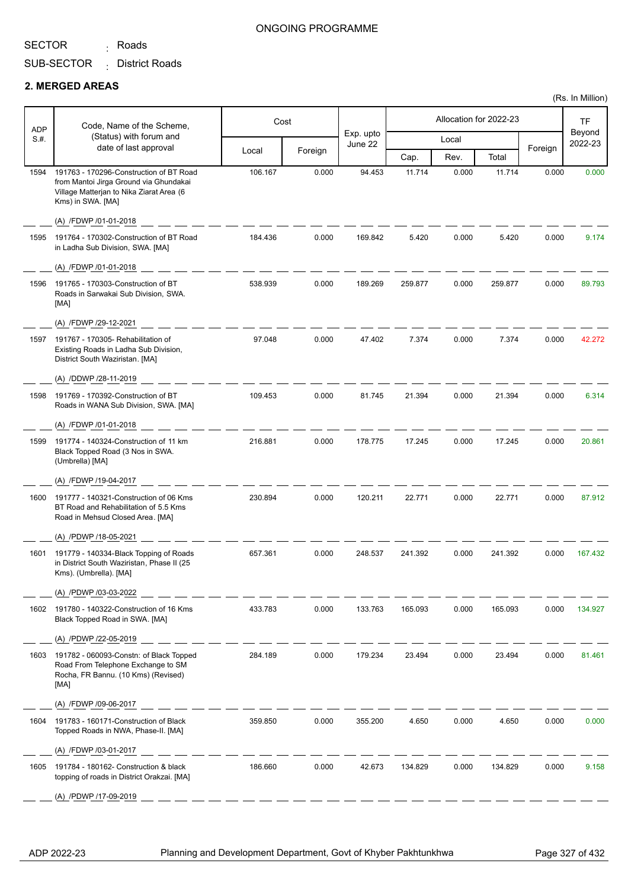<sub>:</sub> Roads

SUB-SECTOR District Roads :

#### **2. MERGED AREAS**

| <b>ADP</b> | Code, Name of the Scheme,                                                                                                                          |         | Cost    |                      |         |       | Allocation for 2022-23 |         | TF                |
|------------|----------------------------------------------------------------------------------------------------------------------------------------------------|---------|---------|----------------------|---------|-------|------------------------|---------|-------------------|
| S.#.       | (Status) with forum and<br>date of last approval                                                                                                   |         |         | Exp. upto<br>June 22 |         | Local |                        | Foreign | Beyond<br>2022-23 |
|            |                                                                                                                                                    | Local   | Foreign |                      | Cap.    | Rev.  | Total                  |         |                   |
| 1594       | 191763 - 170296-Construction of BT Road<br>from Mantoi Jirga Ground via Ghundakai<br>Village Matterjan to Nika Ziarat Area (6<br>Kms) in SWA. [MA] | 106.167 | 0.000   | 94.453               | 11.714  | 0.000 | 11.714                 | 0.000   | 0.000             |
|            | (A) /FDWP /01-01-2018                                                                                                                              |         |         |                      |         |       |                        |         |                   |
| 1595       | 191764 - 170302-Construction of BT Road<br>in Ladha Sub Division, SWA. [MA]                                                                        | 184.436 | 0.000   | 169.842              | 5.420   | 0.000 | 5.420                  | 0.000   | 9.174             |
|            | (A) /FDWP /01-01-2018                                                                                                                              |         |         |                      |         |       |                        |         |                   |
| 1596       | 191765 - 170303-Construction of BT<br>Roads in Sarwakai Sub Division, SWA.<br>[MA]                                                                 | 538.939 | 0.000   | 189.269              | 259.877 | 0.000 | 259.877                | 0.000   | 89.793            |
|            | (A) /FDWP /29-12-2021                                                                                                                              |         |         |                      |         |       |                        |         |                   |
| 1597       | 191767 - 170305- Rehabilitation of<br>Existing Roads in Ladha Sub Division,<br>District South Waziristan. [MA]                                     | 97.048  | 0.000   | 47.402               | 7.374   | 0.000 | 7.374                  | 0.000   | 42.272            |
|            | (A) /DDWP /28-11-2019                                                                                                                              |         |         |                      |         |       |                        |         |                   |
| 1598       | 191769 - 170392-Construction of BT<br>Roads in WANA Sub Division, SWA. [MA]                                                                        | 109.453 | 0.000   | 81.745               | 21.394  | 0.000 | 21.394                 | 0.000   | 6.314             |
|            | (A) /FDWP /01-01-2018                                                                                                                              |         |         |                      |         |       |                        |         |                   |
| 1599       | 191774 - 140324-Construction of 11 km<br>Black Topped Road (3 Nos in SWA.<br>(Umbrella) [MA]                                                       | 216.881 | 0.000   | 178.775              | 17.245  | 0.000 | 17.245                 | 0.000   | 20.861            |
|            | (A) /FDWP /19-04-2017                                                                                                                              |         |         |                      |         |       |                        |         |                   |
| 1600       | 191777 - 140321-Construction of 06 Kms<br>BT Road and Rehabilitation of 5.5 Kms<br>Road in Mehsud Closed Area. [MA]                                | 230.894 | 0.000   | 120.211              | 22.771  | 0.000 | 22.771                 | 0.000   | 87.912            |
|            | (A) /PDWP /18-05-2021                                                                                                                              |         |         |                      |         |       |                        |         |                   |
| 1601       | 191779 - 140334-Black Topping of Roads<br>in District South Waziristan, Phase II (25<br>Kms). (Umbrella). [MA]                                     | 657.361 | 0.000   | 248.537              | 241.392 | 0.000 | 241.392                | 0.000   | 167.432           |
|            | (A) /PDWP /03-03-2022                                                                                                                              |         |         |                      |         |       |                        |         |                   |
| 1602       | 191780 - 140322-Construction of 16 Kms<br>Black Topped Road in SWA. [MA]                                                                           | 433.783 | 0.000   | 133.763              | 165.093 | 0.000 | 165.093                | 0.000   | 134.927           |
|            | (A) /PDWP /22-05-2019                                                                                                                              |         |         |                      |         |       |                        |         |                   |
| 1603       | 191782 - 060093-Constn: of Black Topped<br>Road From Telephone Exchange to SM<br>Rocha, FR Bannu. (10 Kms) (Revised)<br>[MA]                       | 284.189 | 0.000   | 179.234              | 23.494  | 0.000 | 23.494                 | 0.000   | 81.461            |
|            | (A) /FDWP /09-06-2017                                                                                                                              |         |         |                      |         |       |                        |         |                   |
| 1604       | 191783 - 160171-Construction of Black<br>Topped Roads in NWA, Phase-II. [MA]                                                                       | 359.850 | 0.000   | 355.200              | 4.650   | 0.000 | 4.650                  | 0.000   | 0.000             |
|            | (A) /FDWP /03-01-2017                                                                                                                              |         |         |                      |         |       |                        |         |                   |
| 1605       | 191784 - 180162- Construction & black<br>topping of roads in District Orakzai. [MA]                                                                | 186.660 | 0.000   | 42.673               | 134.829 | 0.000 | 134.829                | 0.000   | 9.158             |
|            | (A) /PDWP /17-09-2019                                                                                                                              |         |         |                      |         |       |                        |         |                   |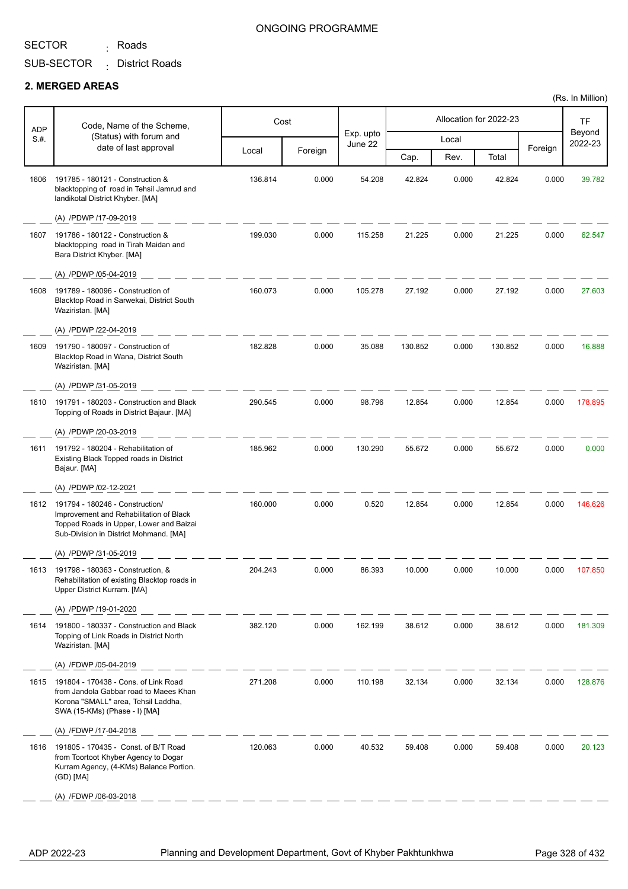<sub>:</sub> Roads

### ONGOING PROGRAMME

SUB-SECTOR District Roads :

#### **2. MERGED AREAS**

| <b>ADP</b> | Code, Name of the Scheme,                                                                                                                                       |         | Cost    |                      |         |       | Allocation for 2022-23 |         | <b>TF</b>         |
|------------|-----------------------------------------------------------------------------------------------------------------------------------------------------------------|---------|---------|----------------------|---------|-------|------------------------|---------|-------------------|
| S.#.       | (Status) with forum and<br>date of last approval                                                                                                                |         |         | Exp. upto<br>June 22 |         | Local |                        |         | Beyond<br>2022-23 |
|            |                                                                                                                                                                 | Local   | Foreign |                      | Cap.    | Rev.  | Total                  | Foreign |                   |
| 1606       | 191785 - 180121 - Construction &<br>blacktopping of road in Tehsil Jamrud and<br>landikotal District Khyber. [MA]                                               | 136.814 | 0.000   | 54.208               | 42.824  | 0.000 | 42.824                 | 0.000   | 39.782            |
|            | (A) /PDWP /17-09-2019                                                                                                                                           |         |         |                      |         |       |                        |         |                   |
| 1607       | 191786 - 180122 - Construction &<br>blacktopping road in Tirah Maidan and<br>Bara District Khyber. [MA]                                                         | 199.030 | 0.000   | 115.258              | 21.225  | 0.000 | 21.225                 | 0.000   | 62.547            |
|            | (A) /PDWP /05-04-2019                                                                                                                                           |         |         |                      |         |       |                        |         |                   |
| 1608       | 191789 - 180096 - Construction of<br>Blacktop Road in Sarwekai, District South<br>Waziristan. [MA]                                                              | 160.073 | 0.000   | 105.278              | 27.192  | 0.000 | 27.192                 | 0.000   | 27.603            |
|            | (A) /PDWP /22-04-2019                                                                                                                                           |         |         |                      |         |       |                        |         |                   |
| 1609       | 191790 - 180097 - Construction of<br>Blacktop Road in Wana, District South<br>Waziristan. [MA]                                                                  | 182.828 | 0.000   | 35.088               | 130.852 | 0.000 | 130.852                | 0.000   | 16.888            |
|            | (A) /PDWP /31-05-2019                                                                                                                                           |         |         |                      |         |       |                        |         |                   |
| 1610       | 191791 - 180203 - Construction and Black<br>Topping of Roads in District Bajaur. [MA]                                                                           | 290.545 | 0.000   | 98.796               | 12.854  | 0.000 | 12.854                 | 0.000   | 178.895           |
|            | (A) /PDWP /20-03-2019                                                                                                                                           |         |         |                      |         |       |                        |         |                   |
| 1611       | 191792 - 180204 - Rehabilitation of<br>Existing Black Topped roads in District<br>Bajaur. [MA]                                                                  | 185.962 | 0.000   | 130.290              | 55.672  | 0.000 | 55.672                 | 0.000   | 0.000             |
|            | (A) /PDWP /02-12-2021                                                                                                                                           |         |         |                      |         |       |                        |         |                   |
| 1612       | 191794 - 180246 - Construction/<br>Improvement and Rehabilitation of Black<br>Topped Roads in Upper, Lower and Baizai<br>Sub-Division in District Mohmand. [MA] | 160.000 | 0.000   | 0.520                | 12.854  | 0.000 | 12.854                 | 0.000   | 146.626           |
|            | (A) /PDWP /31-05-2019                                                                                                                                           |         |         |                      |         |       |                        |         |                   |
|            | 1613 191798 - 180363 - Construction, &<br>Rehabilitation of existing Blacktop roads in<br>Upper District Kurram. [MA]                                           | 204.243 | 0.000   | 86.393               | 10.000  | 0.000 | 10.000                 | 0.000   | 107.850           |
|            | (A) /PDWP /19-01-2020                                                                                                                                           |         |         |                      |         |       |                        |         |                   |
| 1614       | 191800 - 180337 - Construction and Black<br>Topping of Link Roads in District North<br>Waziristan. [MA]                                                         | 382.120 | 0.000   | 162.199              | 38.612  | 0.000 | 38.612                 | 0.000   | 181.309           |
|            | (A) /FDWP /05-04-2019                                                                                                                                           |         |         |                      |         |       |                        |         |                   |
| 1615       | 191804 - 170438 - Cons. of Link Road<br>from Jandola Gabbar road to Maees Khan<br>Korona "SMALL" area, Tehsil Laddha,<br>SWA (15-KMs) (Phase - I) [MA]          | 271.208 | 0.000   | 110.198              | 32.134  | 0.000 | 32.134                 | 0.000   | 128.876           |
|            | (A) /FDWP /17-04-2018                                                                                                                                           |         |         |                      |         |       |                        |         |                   |
| 1616       | 191805 - 170435 - Const. of B/T Road<br>from Toortoot Khyber Agency to Dogar<br>Kurram Agency, (4-KMs) Balance Portion.<br>(GD) [MA]                            | 120.063 | 0.000   | 40.532               | 59.408  | 0.000 | 59.408                 | 0.000   | 20.123            |
|            | (A) /FDWP /06-03-2018                                                                                                                                           |         |         |                      |         |       |                        |         |                   |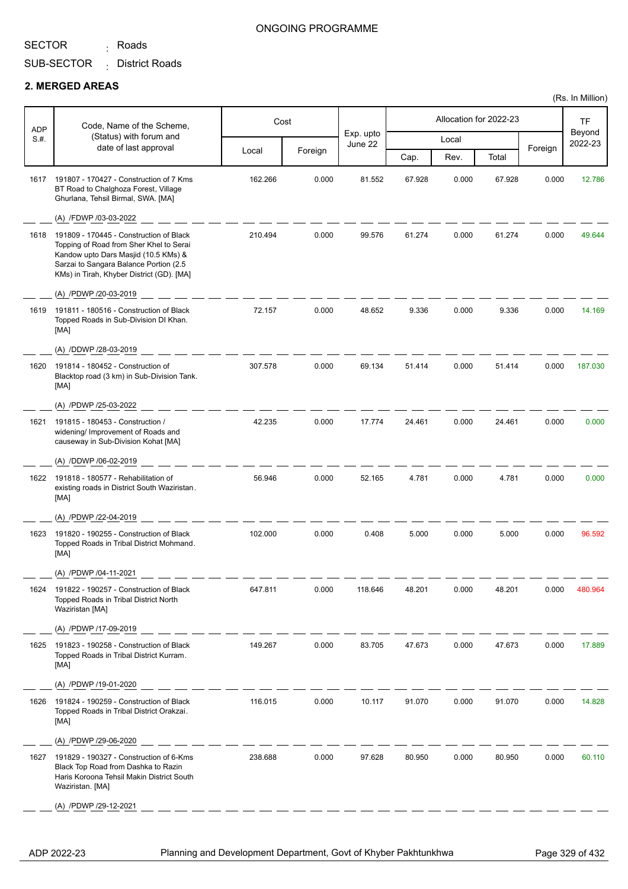<sub>:</sub> Roads

## SUB-SECTOR District Roads :

#### **2. MERGED AREAS**

|            |                                                                                                                                                                                                                   |         |         |                      |        |       |                        |         | (Rs. In Million)  |
|------------|-------------------------------------------------------------------------------------------------------------------------------------------------------------------------------------------------------------------|---------|---------|----------------------|--------|-------|------------------------|---------|-------------------|
| <b>ADP</b> | Code, Name of the Scheme,                                                                                                                                                                                         |         | Cost    |                      |        |       | Allocation for 2022-23 |         | <b>TF</b>         |
| S.#.       | (Status) with forum and                                                                                                                                                                                           |         |         | Exp. upto<br>June 22 |        | Local |                        |         | Beyond<br>2022-23 |
|            | date of last approval                                                                                                                                                                                             | Local   | Foreign |                      | Cap.   | Rev.  | Total                  | Foreign |                   |
| 1617       | 191807 - 170427 - Construction of 7 Kms<br>BT Road to Chalghoza Forest, Village<br>Ghurlana, Tehsil Birmal, SWA. [MA]                                                                                             | 162.266 | 0.000   | 81.552               | 67.928 | 0.000 | 67.928                 | 0.000   | 12.786            |
|            | (A) /FDWP /03-03-2022                                                                                                                                                                                             |         |         |                      |        |       |                        |         |                   |
| 1618       | 191809 - 170445 - Construction of Black<br>Topping of Road from Sher Khel to Serai<br>Kandow upto Dars Masjid (10.5 KMs) &<br>Sarzai to Sangara Balance Portion (2.5<br>KMs) in Tirah, Khyber District (GD). [MA] | 210.494 | 0.000   | 99.576               | 61.274 | 0.000 | 61.274                 | 0.000   | 49.644            |
|            | (A) /PDWP /20-03-2019                                                                                                                                                                                             |         |         |                      |        |       |                        |         |                   |
| 1619       | 191811 - 180516 - Construction of Black<br>Topped Roads in Sub-Division DI Khan.<br>[MA]                                                                                                                          | 72.157  | 0.000   | 48.652               | 9.336  | 0.000 | 9.336                  | 0.000   | 14.169            |
|            | (A) /DDWP /28-03-2019                                                                                                                                                                                             |         |         |                      |        |       |                        |         |                   |
| 1620       | 191814 - 180452 - Construction of<br>Blacktop road (3 km) in Sub-Division Tank.<br>[MA]                                                                                                                           | 307.578 | 0.000   | 69.134               | 51.414 | 0.000 | 51.414                 | 0.000   | 187.030           |
|            | (A) /PDWP /25-03-2022                                                                                                                                                                                             |         |         |                      |        |       |                        |         |                   |
| 1621       | 191815 - 180453 - Construction /<br>widening/ Improvement of Roads and<br>causeway in Sub-Division Kohat [MA]                                                                                                     | 42.235  | 0.000   | 17.774               | 24.461 | 0.000 | 24.461                 | 0.000   | 0.000             |
|            | (A) /DDWP /06-02-2019                                                                                                                                                                                             |         |         |                      |        |       |                        |         |                   |
| 1622       | 191818 - 180577 - Rehabilitation of<br>existing roads in District South Waziristan.<br>[MA]                                                                                                                       | 56.946  | 0.000   | 52.165               | 4.781  | 0.000 | 4.781                  | 0.000   | 0.000             |
|            | (A) /PDWP /22-04-2019                                                                                                                                                                                             |         |         |                      |        |       |                        |         |                   |
| 1623       | 191820 - 190255 - Construction of Black<br>Topped Roads in Tribal District Mohmand.<br>[MA]                                                                                                                       | 102.000 | 0.000   | 0.408                | 5.000  | 0.000 | 5.000                  | 0.000   | 96.592            |
|            | (A) /PDWP /04-11-2021                                                                                                                                                                                             |         |         |                      |        |       |                        |         |                   |
| 1624       | 191822 - 190257 - Construction of Black<br>Topped Roads in Tribal District North<br>Waziristan [MA]                                                                                                               | 647.811 | 0.000   | 118.646              | 48.201 | 0.000 | 48.201                 | 0.000   | 480.964           |
|            | (A) /PDWP /17-09-2019                                                                                                                                                                                             |         |         |                      |        |       |                        |         |                   |
| 1625       | 191823 - 190258 - Construction of Black<br>Topped Roads in Tribal District Kurram.<br>[MA]                                                                                                                        | 149.267 | 0.000   | 83.705               | 47.673 | 0.000 | 47.673                 | 0.000   | 17.889            |
|            | (A) /PDWP /19-01-2020                                                                                                                                                                                             |         |         |                      |        |       |                        |         |                   |
| 1626       | 191824 - 190259 - Construction of Black<br>Topped Roads in Tribal District Orakzai.<br>[MA]                                                                                                                       | 116.015 | 0.000   | 10.117               | 91.070 | 0.000 | 91.070                 | 0.000   | 14.828            |
|            | (A) /PDWP /29-06-2020                                                                                                                                                                                             |         |         |                      |        |       |                        |         |                   |
| 1627       | 191829 - 190327 - Construction of 6-Kms<br>Black Top Road from Dashka to Razin<br>Haris Koroona Tehsil Makin District South<br>Waziristan. [MA]                                                                   | 238.688 | 0.000   | 97.628               | 80.950 | 0.000 | 80.950                 | 0.000   | 60.110            |
|            | (A) /PDWP /29-12-2021                                                                                                                                                                                             |         |         |                      |        |       |                        |         |                   |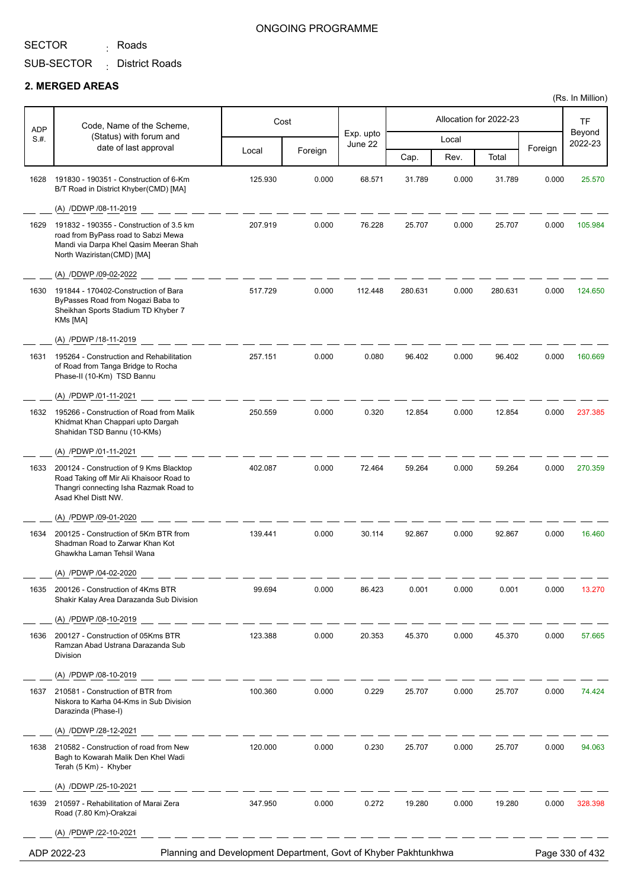<sub>:</sub> Roads

#### ONGOING PROGRAMME

SUB-SECTOR District Roads :

#### **2. MERGED AREAS**

| <b>ADP</b> | Code, Name of the Scheme,                                                                                                                               |         | Cost    |                      |         |       | Allocation for 2022-23 |         | <b>TF</b>         |
|------------|---------------------------------------------------------------------------------------------------------------------------------------------------------|---------|---------|----------------------|---------|-------|------------------------|---------|-------------------|
| S.H.       | (Status) with forum and                                                                                                                                 |         |         | Exp. upto<br>June 22 |         | Local |                        |         | Beyond<br>2022-23 |
|            | date of last approval                                                                                                                                   | Local   | Foreign |                      | Cap.    | Rev.  | Total                  | Foreign |                   |
| 1628       | 191830 - 190351 - Construction of 6-Km<br>B/T Road in District Khyber(CMD) [MA]                                                                         | 125.930 | 0.000   | 68.571               | 31.789  | 0.000 | 31.789                 | 0.000   | 25.570            |
|            | (A) /DDWP /08-11-2019                                                                                                                                   |         |         |                      |         |       |                        |         |                   |
| 1629       | 191832 - 190355 - Construction of 3.5 km<br>road from ByPass road to Sabzi Mewa<br>Mandi via Darpa Khel Qasim Meeran Shah<br>North Waziristan(CMD) [MA] | 207.919 | 0.000   | 76.228               | 25.707  | 0.000 | 25.707                 | 0.000   | 105.984           |
|            | (A) /DDWP /09-02-2022                                                                                                                                   |         |         |                      |         |       |                        |         |                   |
| 1630       | 191844 - 170402-Construction of Bara<br>ByPasses Road from Nogazi Baba to<br>Sheikhan Sports Stadium TD Khyber 7<br>KMs [MA]                            | 517.729 | 0.000   | 112.448              | 280.631 | 0.000 | 280.631                | 0.000   | 124.650           |
|            | (A) /PDWP /18-11-2019                                                                                                                                   |         |         |                      |         |       |                        |         |                   |
| 1631       | 195264 - Construction and Rehabilitation<br>of Road from Tanga Bridge to Rocha<br>Phase-II (10-Km) TSD Bannu                                            | 257.151 | 0.000   | 0.080                | 96.402  | 0.000 | 96.402                 | 0.000   | 160.669           |
|            | (A) /PDWP /01-11-2021                                                                                                                                   |         |         |                      |         |       |                        |         |                   |
| 1632       | 195266 - Construction of Road from Malik<br>Khidmat Khan Chappari upto Dargah<br>Shahidan TSD Bannu (10-KMs)                                            | 250.559 | 0.000   | 0.320                | 12.854  | 0.000 | 12.854                 | 0.000   | 237.385           |
|            | (A) /PDWP /01-11-2021                                                                                                                                   |         |         |                      |         |       |                        |         |                   |
| 1633       | 200124 - Construction of 9 Kms Blacktop<br>Road Taking off Mir Ali Khaisoor Road to<br>Thangri connecting Isha Razmak Road to<br>Asad Khel Distt NW.    | 402.087 | 0.000   | 72.464               | 59.264  | 0.000 | 59.264                 | 0.000   | 270.359           |
|            | (A) /PDWP /09-01-2020                                                                                                                                   |         |         |                      |         |       |                        |         |                   |
| 1634       | 200125 - Construction of 5Km BTR from<br>Shadman Road to Zarwar Khan Kot<br>Ghawkha Laman Tehsil Wana                                                   | 139.441 | 0.000   | 30.114               | 92.867  | 0.000 | 92.867                 | 0.000   | 16.460            |
|            | (A) /PDWP /04-02-2020                                                                                                                                   |         |         |                      |         |       |                        |         |                   |
| 1635       | 200126 - Construction of 4Kms BTR<br>Shakir Kalay Area Darazanda Sub Division                                                                           | 99.694  | 0.000   | 86.423               | 0.001   | 0.000 | 0.001                  | 0.000   | 13.270            |
|            | (A) /PDWP /08-10-2019                                                                                                                                   |         |         |                      |         |       |                        |         |                   |
| 1636       | 200127 - Construction of 05Kms BTR<br>Ramzan Abad Ustrana Darazanda Sub<br>Division                                                                     | 123.388 | 0.000   | 20.353               | 45.370  | 0.000 | 45.370                 | 0.000   | 57.665            |
|            | (A) /PDWP /08-10-2019                                                                                                                                   |         |         |                      |         |       |                        |         |                   |
| 1637       | 210581 - Construction of BTR from<br>Niskora to Karha 04-Kms in Sub Division<br>Darazinda (Phase-I)                                                     | 100.360 | 0.000   | 0.229                | 25.707  | 0.000 | 25.707                 | 0.000   | 74.424            |
|            | (A) /DDWP /28-12-2021                                                                                                                                   |         |         |                      |         |       |                        |         |                   |
| 1638       | 210582 - Construction of road from New<br>Bagh to Kowarah Malik Den Khel Wadi<br>Terah (5 Km) - Khyber                                                  | 120.000 | 0.000   | 0.230                | 25.707  | 0.000 | 25.707                 | 0.000   | 94.063            |
|            | (A) /DDWP /25-10-2021                                                                                                                                   |         |         |                      |         |       |                        |         |                   |
| 1639       | 210597 - Rehabilitation of Marai Zera<br>Road (7.80 Km)-Orakzai                                                                                         | 347.950 | 0.000   | 0.272                | 19.280  | 0.000 | 19.280                 | 0.000   | 328.398           |
|            | (A) /PDWP /22-10-2021                                                                                                                                   |         |         |                      |         |       |                        |         |                   |
|            | Planning and Development Department, Govt of Khyber Pakhtunkhwa<br>ADP 2022-23                                                                          |         |         |                      |         |       |                        |         | Page 330 of 432   |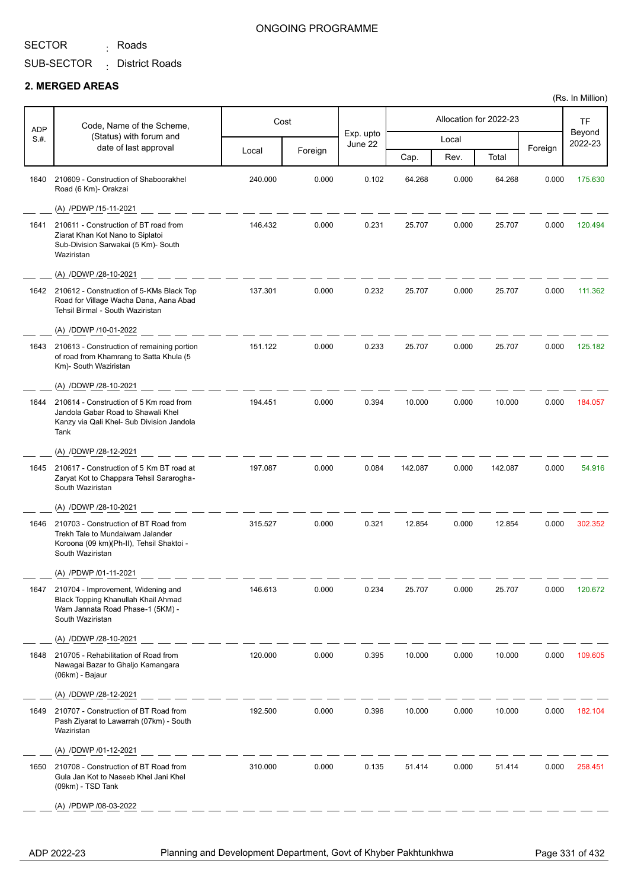<sub>:</sub> Roads

### ONGOING PROGRAMME

## SUB-SECTOR District Roads :

#### **2. MERGED AREAS**

| ADP  | Code, Name of the Scheme,                                                                                                                 |         | Cost    |                      |         |       | Allocation for 2022-23 |         | <b>TF</b>         |
|------|-------------------------------------------------------------------------------------------------------------------------------------------|---------|---------|----------------------|---------|-------|------------------------|---------|-------------------|
| S.#. | (Status) with forum and<br>date of last approval                                                                                          |         |         | Exp. upto<br>June 22 |         | Local |                        |         | Beyond<br>2022-23 |
|      |                                                                                                                                           | Local   | Foreign |                      | Cap.    | Rev.  | Total                  | Foreign |                   |
| 1640 | 210609 - Construction of Shaboorakhel<br>Road (6 Km)- Orakzai                                                                             | 240.000 | 0.000   | 0.102                | 64.268  | 0.000 | 64.268                 | 0.000   | 175.630           |
|      | (A) /PDWP /15-11-2021                                                                                                                     |         |         |                      |         |       |                        |         |                   |
| 1641 | 210611 - Construction of BT road from<br>Ziarat Khan Kot Nano to Siplatoi<br>Sub-Division Sarwakai (5 Km)- South<br>Waziristan            | 146.432 | 0.000   | 0.231                | 25.707  | 0.000 | 25.707                 | 0.000   | 120.494           |
|      | (A) /DDWP /28-10-2021                                                                                                                     |         |         |                      |         |       |                        |         |                   |
| 1642 | 210612 - Construction of 5-KMs Black Top<br>Road for Village Wacha Dana, Aana Abad<br>Tehsil Birmal - South Waziristan                    | 137.301 | 0.000   | 0.232                | 25.707  | 0.000 | 25.707                 | 0.000   | 111.362           |
|      | (A) /DDWP /10-01-2022                                                                                                                     |         |         |                      |         |       |                        |         |                   |
| 1643 | 210613 - Construction of remaining portion<br>of road from Khamrang to Satta Khula (5<br>Km)- South Waziristan                            | 151.122 | 0.000   | 0.233                | 25.707  | 0.000 | 25.707                 | 0.000   | 125.182           |
|      | (A) /DDWP /28-10-2021                                                                                                                     |         |         |                      |         |       |                        |         |                   |
| 1644 | 210614 - Construction of 5 Km road from<br>Jandola Gabar Road to Shawali Khel<br>Kanzy via Qali Khel- Sub Division Jandola<br>Tank        | 194.451 | 0.000   | 0.394                | 10.000  | 0.000 | 10.000                 | 0.000   | 184.057           |
|      | (A) /DDWP /28-12-2021                                                                                                                     |         |         |                      |         |       |                        |         |                   |
| 1645 | 210617 - Construction of 5 Km BT road at<br>Zaryat Kot to Chappara Tehsil Sararogha-<br>South Waziristan                                  | 197.087 | 0.000   | 0.084                | 142.087 | 0.000 | 142.087                | 0.000   | 54.916            |
|      | (A) /DDWP /28-10-2021                                                                                                                     |         |         |                      |         |       |                        |         |                   |
| 1646 | 210703 - Construction of BT Road from<br>Trekh Tale to Mundaiwam Jalander<br>Koroona (09 km)(Ph-II), Tehsil Shaktoi -<br>South Waziristan | 315.527 | 0.000   | 0.321                | 12.854  | 0.000 | 12.854                 | 0.000   | 302.352           |
|      | (A) /PDWP /01-11-2021                                                                                                                     |         |         |                      |         |       |                        |         |                   |
| 1647 | 210704 - Improvement, Widening and<br>Black Topping Khanullah Khail Ahmad<br>Wam Jannata Road Phase-1 (5KM) -<br>South Waziristan         | 146.613 | 0.000   | 0.234                | 25.707  | 0.000 | 25.707                 | 0.000   | 120.672           |
|      | (A) /DDWP /28-10-2021                                                                                                                     |         |         |                      |         |       |                        |         |                   |
| 1648 | 210705 - Rehabilitation of Road from<br>Nawagai Bazar to Ghaljo Kamangara<br>(06km) - Bajaur                                              | 120.000 | 0.000   | 0.395                | 10.000  | 0.000 | 10.000                 | 0.000   | 109.605           |
|      | (A) /DDWP /28-12-2021                                                                                                                     |         |         |                      |         |       |                        |         |                   |
| 1649 | 210707 - Construction of BT Road from<br>Pash Ziyarat to Lawarrah (07km) - South<br>Waziristan                                            | 192.500 | 0.000   | 0.396                | 10.000  | 0.000 | 10.000                 | 0.000   | 182.104           |
|      | (A) /DDWP /01-12-2021                                                                                                                     |         |         |                      |         |       |                        |         |                   |
| 1650 | 210708 - Construction of BT Road from<br>Gula Jan Kot to Naseeb Khel Jani Khel<br>(09km) - TSD Tank                                       | 310.000 | 0.000   | 0.135                | 51.414  | 0.000 | 51.414                 | 0.000   | 258.451           |
|      | (A) /PDWP /08-03-2022                                                                                                                     |         |         |                      |         |       |                        |         |                   |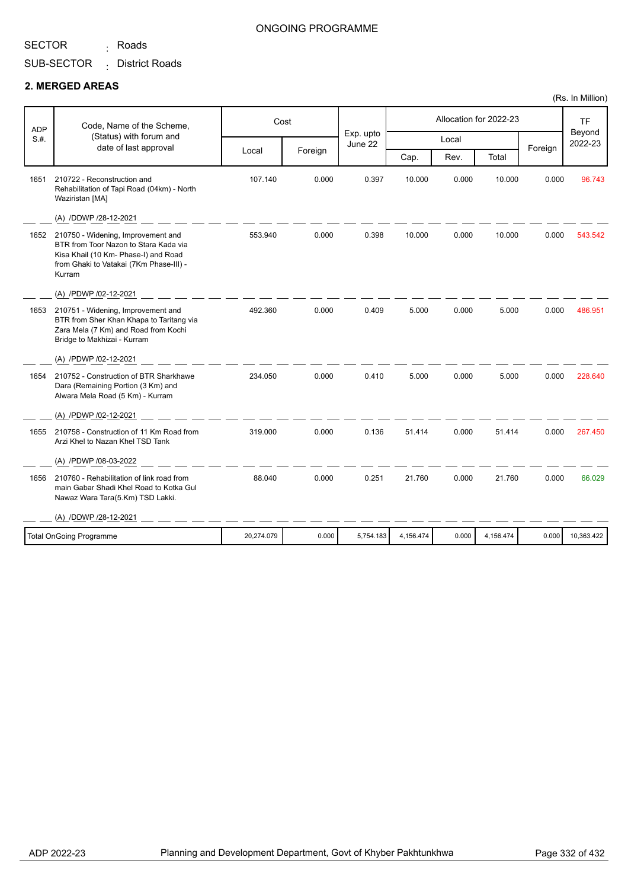<sub>:</sub> Roads

## SUB-SECTOR District Roads :

#### **2. MERGED AREAS**

| Code, Name of the Scheme,<br><b>ADP</b> | Cost                                                                                                                                                                     |            |         |                      |           | Allocation for 2022-23 |           | <b>TF</b> |                   |
|-----------------------------------------|--------------------------------------------------------------------------------------------------------------------------------------------------------------------------|------------|---------|----------------------|-----------|------------------------|-----------|-----------|-------------------|
| S.H.                                    | (Status) with forum and                                                                                                                                                  |            |         | Exp. upto<br>June 22 |           | Local                  |           |           | Beyond<br>2022-23 |
|                                         | date of last approval                                                                                                                                                    | Local      | Foreign |                      | Cap.      | Rev.                   | Total     | Foreign   |                   |
| 1651                                    | 210722 - Reconstruction and<br>Rehabilitation of Tapi Road (04km) - North<br>Waziristan [MA]                                                                             | 107.140    | 0.000   | 0.397                | 10.000    | 0.000                  | 10.000    | 0.000     | 96.743            |
|                                         | (A) /DDWP /28-12-2021                                                                                                                                                    |            |         |                      |           |                        |           |           |                   |
| 1652                                    | 210750 - Widening, Improvement and<br>BTR from Toor Nazon to Stara Kada via<br>Kisa Khail (10 Km- Phase-I) and Road<br>from Ghaki to Vatakai (7Km Phase-III) -<br>Kurram | 553.940    | 0.000   | 0.398                | 10.000    | 0.000                  | 10.000    | 0.000     | 543.542           |
|                                         | (A) /PDWP /02-12-2021                                                                                                                                                    |            |         |                      |           |                        |           |           |                   |
| 1653                                    | 210751 - Widening, Improvement and<br>BTR from Sher Khan Khapa to Taritang via<br>Zara Mela (7 Km) and Road from Kochi<br>Bridge to Makhizai - Kurram                    | 492.360    | 0.000   | 0.409                | 5.000     | 0.000                  | 5.000     | 0.000     | 486.951           |
|                                         | (A) /PDWP /02-12-2021                                                                                                                                                    |            |         |                      |           |                        |           |           |                   |
| 1654                                    | 210752 - Construction of BTR Sharkhawe<br>Dara (Remaining Portion (3 Km) and<br>Alwara Mela Road (5 Km) - Kurram                                                         | 234.050    | 0.000   | 0.410                | 5.000     | 0.000                  | 5.000     | 0.000     | 228.640           |
|                                         | (A) /PDWP /02-12-2021                                                                                                                                                    |            |         |                      |           |                        |           |           |                   |
| 1655                                    | 210758 - Construction of 11 Km Road from<br>Arzi Khel to Nazan Khel TSD Tank                                                                                             | 319.000    | 0.000   | 0.136                | 51.414    | 0.000                  | 51.414    | 0.000     | 267.450           |
|                                         | (A) /PDWP /08-03-2022                                                                                                                                                    |            |         |                      |           |                        |           |           |                   |
| 1656                                    | 210760 - Rehabilitation of link road from<br>main Gabar Shadi Khel Road to Kotka Gul<br>Nawaz Wara Tara(5.Km) TSD Lakki.                                                 | 88.040     | 0.000   | 0.251                | 21.760    | 0.000                  | 21.760    | 0.000     | 66.029            |
|                                         | (A) /DDWP /28-12-2021                                                                                                                                                    |            |         |                      |           |                        |           |           |                   |
|                                         | <b>Total OnGoing Programme</b>                                                                                                                                           | 20,274.079 | 0.000   | 5,754.183            | 4,156.474 | 0.000                  | 4,156.474 | 0.000     | 10,363.422        |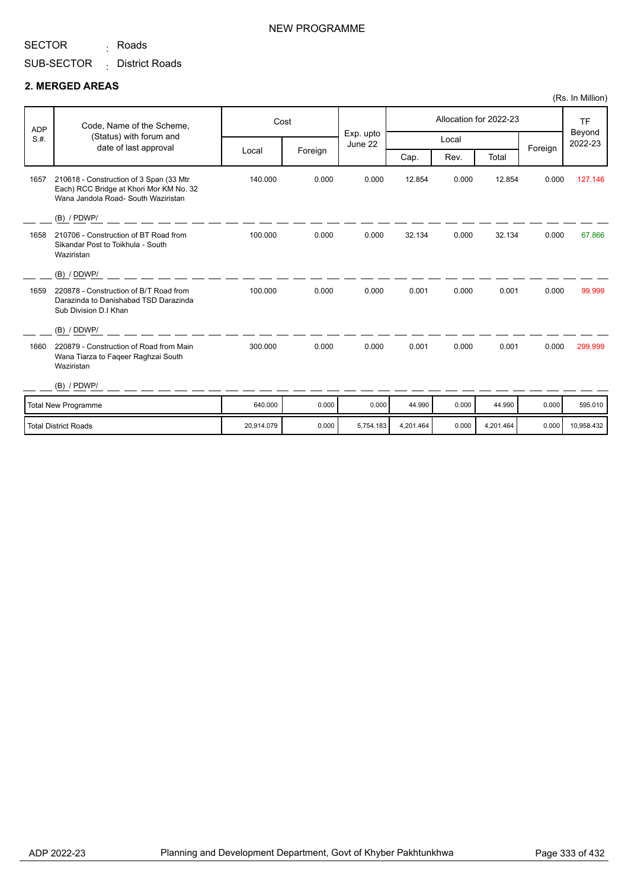<sub>:</sub> Roads

## SUB-SECTOR District Roads :

#### **2. MERGED AREAS**

| <b>ADP</b> | Code, Name of the Scheme,<br>(Status) with forum and                                                                      |            | Cost    | Exp. upto |           |       | Allocation for 2022-23 |         | <b>TF</b><br>Beyond |
|------------|---------------------------------------------------------------------------------------------------------------------------|------------|---------|-----------|-----------|-------|------------------------|---------|---------------------|
| S.H.       | date of last approval                                                                                                     |            |         | June 22   |           | Local |                        |         | 2022-23             |
|            |                                                                                                                           | Local      | Foreign |           | Cap.      | Rev.  | Total                  | Foreign |                     |
| 1657       | 210618 - Construction of 3 Span (33 Mtr<br>Each) RCC Bridge at Khori Mor KM No. 32<br>Wana Jandola Road- South Waziristan | 140.000    | 0.000   | 0.000     | 12.854    | 0.000 | 12.854                 | 0.000   | 127.146             |
|            | $(B)$ / PDWP/                                                                                                             |            |         |           |           |       |                        |         |                     |
| 1658       | 210706 - Construction of BT Road from<br>Sikandar Post to Toikhula - South<br>Waziristan                                  | 100.000    | 0.000   | 0.000     | 32.134    | 0.000 | 32.134                 | 0.000   | 67.866              |
|            | (B) / DDWP/                                                                                                               |            |         |           |           |       |                        |         |                     |
| 1659       | 220878 - Construction of B/T Road from<br>Darazinda to Danishabad TSD Darazinda<br>Sub Division D.I Khan                  | 100.000    | 0.000   | 0.000     | 0.001     | 0.000 | 0.001                  | 0.000   | 99.999              |
|            | (B) / DDWP/                                                                                                               |            |         |           |           |       |                        |         |                     |
| 1660       | 220879 - Construction of Road from Main<br>Wana Tiarza to Faqeer Raghzai South<br>Waziristan                              | 300.000    | 0.000   | 0.000     | 0.001     | 0.000 | 0.001                  | 0.000   | 299.999             |
|            | $(B)$ / PDWP/                                                                                                             |            |         |           |           |       |                        |         |                     |
|            | Total New Programme                                                                                                       | 640.000    | 0.000   | 0.000     | 44.990    | 0.000 | 44.990                 | 0.000   | 595.010             |
|            | Total District Roads                                                                                                      | 20.914.079 | 0.000   | 5,754.183 | 4,201.464 | 0.000 | 4,201.464              | 0.000   | 10,958.432          |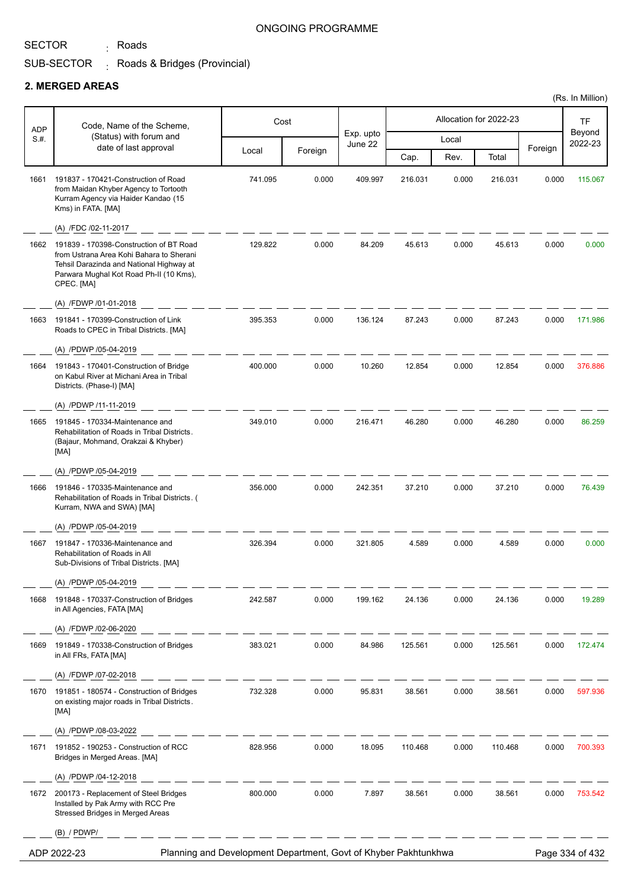<sub>:</sub> Roads

#### ONGOING PROGRAMME

#### SUB-SECTOR . Roads & Bridges (Provincial)

#### **2. MERGED AREAS**

|                    |                                                                                                                                                                                          |                                                                 |         |                      |         |       |                        |         | (Rs. In Million)  |
|--------------------|------------------------------------------------------------------------------------------------------------------------------------------------------------------------------------------|-----------------------------------------------------------------|---------|----------------------|---------|-------|------------------------|---------|-------------------|
|                    | Code, Name of the Scheme,                                                                                                                                                                |                                                                 | Cost    |                      |         |       | Allocation for 2022-23 |         | <b>TF</b>         |
| <b>ADP</b><br>S.#. | (Status) with forum and                                                                                                                                                                  |                                                                 |         | Exp. upto<br>June 22 |         | Local |                        |         | Beyond<br>2022-23 |
|                    | date of last approval                                                                                                                                                                    | Local                                                           | Foreign |                      | Cap.    | Rev.  | Total                  | Foreign |                   |
| 1661               | 191837 - 170421-Construction of Road<br>from Maidan Khyber Agency to Tortooth<br>Kurram Agency via Haider Kandao (15<br>Kms) in FATA. [MA]                                               | 741.095                                                         | 0.000   | 409.997              | 216.031 | 0.000 | 216.031                | 0.000   | 115.067           |
|                    | (A) /FDC /02-11-2017                                                                                                                                                                     |                                                                 |         |                      |         |       |                        |         |                   |
| 1662               | 191839 - 170398-Construction of BT Road<br>from Ustrana Area Kohi Bahara to Sherani<br>Tehsil Darazinda and National Highway at<br>Parwara Mughal Kot Road Ph-II (10 Kms),<br>CPEC. [MA] | 129.822                                                         | 0.000   | 84.209               | 45.613  | 0.000 | 45.613                 | 0.000   | 0.000             |
|                    | (A) /FDWP /01-01-2018                                                                                                                                                                    |                                                                 |         |                      |         |       |                        |         |                   |
| 1663               | 191841 - 170399-Construction of Link<br>Roads to CPEC in Tribal Districts. [MA]<br>(A) /PDWP /05-04-2019                                                                                 | 395.353                                                         | 0.000   | 136.124              | 87.243  | 0.000 | 87.243                 | 0.000   | 171.986           |
| 1664               | 191843 - 170401-Construction of Bridge<br>on Kabul River at Michani Area in Tribal<br>Districts. (Phase-I) [MA]                                                                          | 400.000                                                         | 0.000   | 10.260               | 12.854  | 0.000 | 12.854                 | 0.000   | 376.886           |
|                    | (A) /PDWP /11-11-2019                                                                                                                                                                    |                                                                 |         |                      |         |       |                        |         |                   |
| 1665               | 191845 - 170334-Maintenance and<br>Rehabilitation of Roads in Tribal Districts.<br>(Bajaur, Mohmand, Orakzai & Khyber)<br>[MA]                                                           | 349.010                                                         | 0.000   | 216.471              | 46.280  | 0.000 | 46.280                 | 0.000   | 86.259            |
|                    | (A) /PDWP /05-04-2019                                                                                                                                                                    |                                                                 |         |                      |         |       |                        |         |                   |
| 1666               | 191846 - 170335-Maintenance and<br>Rehabilitation of Roads in Tribal Districts. (<br>Kurram, NWA and SWA) [MA]                                                                           | 356.000                                                         | 0.000   | 242.351              | 37.210  | 0.000 | 37.210                 | 0.000   | 76.439            |
|                    | (A) /PDWP /05-04-2019                                                                                                                                                                    |                                                                 |         |                      |         |       |                        |         |                   |
| 1667               | 191847 - 170336-Maintenance and<br>Rehabilitation of Roads in All<br>Sub-Divisions of Tribal Districts. [MA]                                                                             | 326.394                                                         | 0.000   | 321.805              | 4.589   | 0.000 | 4.589                  | 0.000   | 0.000             |
|                    | (A) /PDWP /05-04-2019                                                                                                                                                                    |                                                                 |         |                      |         |       |                        |         |                   |
| 1668               | 191848 - 170337-Construction of Bridges<br>in All Agencies, FATA [MA]                                                                                                                    | 242.587                                                         | 0.000   | 199.162              | 24.136  | 0.000 | 24.136                 | 0.000   | 19.289            |
|                    | (A) /FDWP /02-06-2020                                                                                                                                                                    |                                                                 |         |                      |         |       |                        |         |                   |
| 1669               | 191849 - 170338-Construction of Bridges<br>in All FRs, FATA [MA]                                                                                                                         | 383.021                                                         | 0.000   | 84.986               | 125.561 | 0.000 | 125.561                | 0.000   | 172.474           |
|                    | (A) /FDWP /07-02-2018                                                                                                                                                                    |                                                                 |         |                      |         |       |                        |         |                   |
| 1670               | 191851 - 180574 - Construction of Bridges<br>on existing major roads in Tribal Districts.<br>[MA]                                                                                        | 732.328                                                         | 0.000   | 95.831               | 38.561  | 0.000 | 38.561                 | 0.000   | 597.936           |
|                    | (A) /PDWP /08-03-2022                                                                                                                                                                    |                                                                 |         |                      |         |       |                        |         |                   |
| 1671               | 191852 - 190253 - Construction of RCC<br>Bridges in Merged Areas. [MA]                                                                                                                   | 828.956                                                         | 0.000   | 18.095               | 110.468 | 0.000 | 110.468                | 0.000   | 700.393           |
|                    | (A) /PDWP /04-12-2018                                                                                                                                                                    |                                                                 |         |                      |         |       |                        |         |                   |
| 1672               | 200173 - Replacement of Steel Bridges<br>Installed by Pak Army with RCC Pre<br>Stressed Bridges in Merged Areas                                                                          | 800.000                                                         | 0.000   | 7.897                | 38.561  | 0.000 | 38.561                 | 0.000   | 753.542           |
|                    | (B) / PDWP/                                                                                                                                                                              |                                                                 |         |                      |         |       |                        |         |                   |
|                    | ADP 2022-23                                                                                                                                                                              | Planning and Development Department, Govt of Khyber Pakhtunkhwa |         |                      |         |       |                        |         | Page 334 of 432   |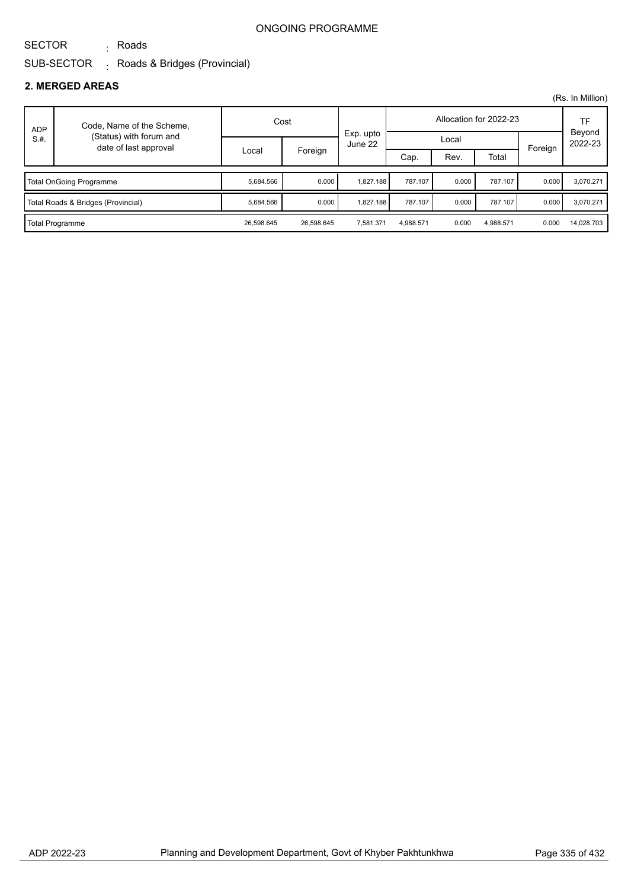# SECTOR

<sub>:</sub> Roads

#### SUB-SECTOR . Roads & Bridges (Provincial)

### **2. MERGED AREAS**

|            |                                                  |            |            |                      |           |       |                        |         | (Rs. In Million)  |
|------------|--------------------------------------------------|------------|------------|----------------------|-----------|-------|------------------------|---------|-------------------|
| <b>ADP</b> | Code, Name of the Scheme,                        | Cost       |            |                      |           |       | Allocation for 2022-23 |         | TF                |
| S.H.       | (Status) with forum and<br>date of last approval |            |            | Exp. upto<br>June 22 | Local     |       |                        | Foreign | Beyond<br>2022-23 |
|            |                                                  | Local      | Foreign    |                      | Cap.      | Rev.  | Total                  |         |                   |
|            | <b>Total OnGoing Programme</b>                   |            | 0.000      | 1.827.188            | 787.107   | 0.000 | 787.107                | 0.000   | 3.070.271         |
|            | Total Roads & Bridges (Provincial)               | 5,684.566  | 0.000      | 1,827.188            | 787.107   | 0.000 | 787.107                | 0.000   | 3,070.271         |
|            | Total Programme                                  | 26,598.645 | 26.598.645 | 7.581.371            | 4.988.571 | 0.000 | 4.988.571              | 0.000   | 14,028.703        |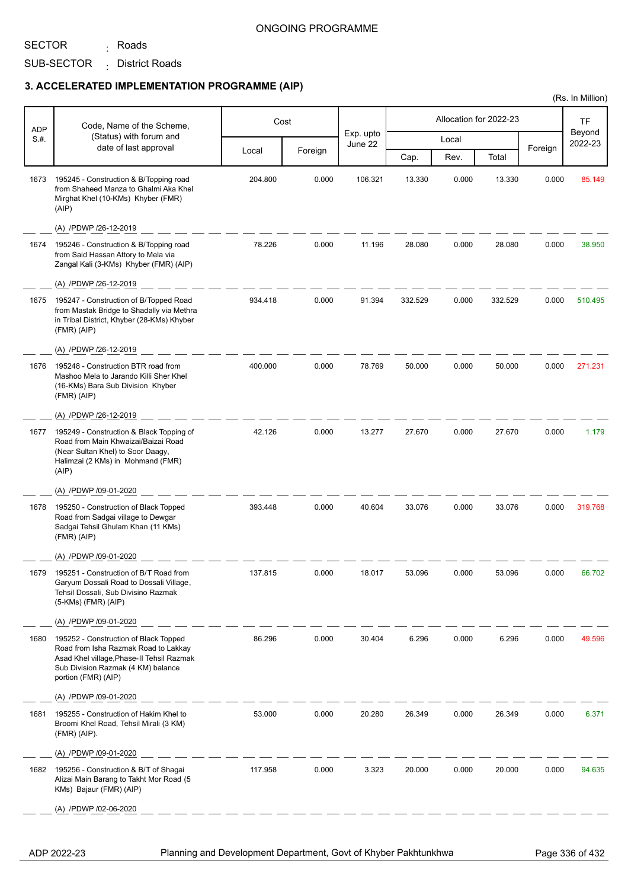SECTOR

SUB-SECTOR District Roads : <sub>:</sub> Roads

## **3. ACCELERATED IMPLEMENTATION PROGRAMME (AIP)**

| <b>ADP</b> | Code, Name of the Scheme,                                                                                                                                                               |         | Cost    |                      |         |       | Allocation for 2022-23 |         | <b>TF</b>         |
|------------|-----------------------------------------------------------------------------------------------------------------------------------------------------------------------------------------|---------|---------|----------------------|---------|-------|------------------------|---------|-------------------|
| S.#.       | (Status) with forum and                                                                                                                                                                 |         |         | Exp. upto<br>June 22 |         | Local |                        |         | Beyond<br>2022-23 |
|            | date of last approval                                                                                                                                                                   | Local   | Foreign |                      | Cap.    | Rev.  | Total                  | Foreign |                   |
| 1673       | 195245 - Construction & B/Topping road<br>from Shaheed Manza to Ghalmi Aka Khel<br>Mirghat Khel (10-KMs) Khyber (FMR)<br>(AIP)                                                          | 204.800 | 0.000   | 106.321              | 13.330  | 0.000 | 13.330                 | 0.000   | 85.149            |
|            | (A) /PDWP /26-12-2019                                                                                                                                                                   |         |         |                      |         |       |                        |         |                   |
| 1674       | 195246 - Construction & B/Topping road<br>from Said Hassan Attory to Mela via<br>Zangal Kali (3-KMs) Khyber (FMR) (AIP)                                                                 | 78.226  | 0.000   | 11.196               | 28.080  | 0.000 | 28.080                 | 0.000   | 38.950            |
|            | (A) /PDWP /26-12-2019                                                                                                                                                                   |         |         |                      |         |       |                        |         |                   |
| 1675       | 195247 - Construction of B/Topped Road<br>from Mastak Bridge to Shadally via Methra<br>in Tribal District, Khyber (28-KMs) Khyber<br>(FMR)(AlP)                                         | 934.418 | 0.000   | 91.394               | 332.529 | 0.000 | 332.529                | 0.000   | 510.495           |
|            | (A) /PDWP /26-12-2019                                                                                                                                                                   |         |         |                      |         |       |                        |         |                   |
| 1676       | 195248 - Construction BTR road from<br>Mashoo Mela to Jarando Killi Sher Khel<br>(16-KMs) Bara Sub Division Khyber<br>(FMR) (AIP)                                                       | 400.000 | 0.000   | 78.769               | 50.000  | 0.000 | 50.000                 | 0.000   | 271.231           |
|            | (A) /PDWP /26-12-2019                                                                                                                                                                   |         |         |                      |         |       |                        |         |                   |
| 1677       | 195249 - Construction & Black Topping of<br>Road from Main Khwaizai/Baizai Road<br>(Near Sultan Khel) to Soor Daagy,<br>Halimzai (2 KMs) in Mohmand (FMR)<br>(AIP)                      | 42.126  | 0.000   | 13.277               | 27.670  | 0.000 | 27.670                 | 0.000   | 1.179             |
|            | (A) /PDWP /09-01-2020                                                                                                                                                                   |         |         |                      |         |       |                        |         |                   |
| 1678       | 195250 - Construction of Black Topped<br>Road from Sadgai village to Dewgar<br>Sadgai Tehsil Ghulam Khan (11 KMs)<br>(FMR)(AlP)                                                         | 393.448 | 0.000   | 40.604               | 33.076  | 0.000 | 33.076                 | 0.000   | 319.768           |
|            | (A) /PDWP /09-01-2020                                                                                                                                                                   |         |         |                      |         |       |                        |         |                   |
| 1679       | 195251 - Construction of B/T Road from<br>Garyum Dossali Road to Dossali Village,<br>Tehsil Dossali, Sub Divisino Razmak<br>$(5-KMs)$ (FMR) (AIP)                                       | 137.815 | 0.000   | 18.017               | 53.096  | 0.000 | 53.096                 | 0.000   | 66.702            |
|            | (A) /PDWP /09-01-2020                                                                                                                                                                   |         |         |                      |         |       |                        |         |                   |
| 1680       | 195252 - Construction of Black Topped<br>Road from Isha Razmak Road to Lakkay<br>Asad Khel village, Phase-II Tehsil Razmak<br>Sub Division Razmak (4 KM) balance<br>portion (FMR) (AIP) | 86.296  | 0.000   | 30.404               | 6.296   | 0.000 | 6.296                  | 0.000   | 49.596            |
|            | (A) /PDWP /09-01-2020                                                                                                                                                                   |         |         |                      |         |       |                        |         |                   |
| 1681       | 195255 - Construction of Hakim Khel to<br>Broomi Khel Road, Tehsil Mirali (3 KM)<br>$(FMR)$ (AIP).                                                                                      | 53.000  | 0.000   | 20.280               | 26.349  | 0.000 | 26.349                 | 0.000   | 6.371             |
|            | (A) /PDWP /09-01-2020                                                                                                                                                                   |         |         |                      |         |       |                        |         |                   |
| 1682       | 195256 - Construction & B/T of Shagai<br>Alizai Main Barang to Takht Mor Road (5<br>KMs) Bajaur (FMR) (AIP)                                                                             | 117.958 | 0.000   | 3.323                | 20.000  | 0.000 | 20.000                 | 0.000   | 94.635            |
|            | (A) /PDWP /02-06-2020                                                                                                                                                                   |         |         |                      |         |       |                        |         |                   |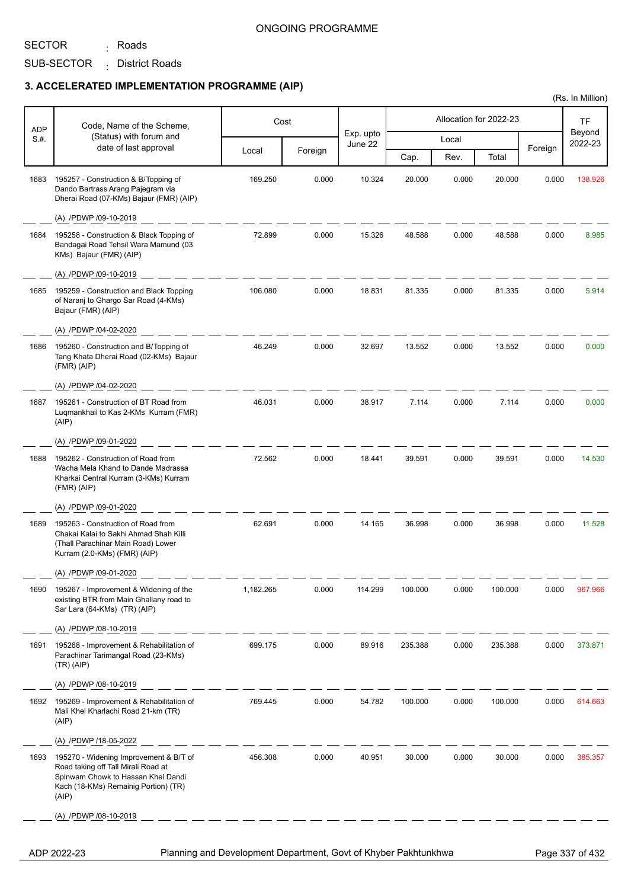## SECTOR

SUB-SECTOR District Roads : <sub>:</sub> Roads

## **3. ACCELERATED IMPLEMENTATION PROGRAMME (AIP)**

| ADP  | Code, Name of the Scheme,                                                                                                                                            |           | Cost    |                      |         |       | Allocation for 2022-23 |         | TF                |
|------|----------------------------------------------------------------------------------------------------------------------------------------------------------------------|-----------|---------|----------------------|---------|-------|------------------------|---------|-------------------|
| S.#. | (Status) with forum and                                                                                                                                              |           |         | Exp. upto<br>June 22 |         | Local |                        |         | Beyond<br>2022-23 |
|      | date of last approval                                                                                                                                                | Local     | Foreign |                      | Cap.    | Rev.  | Total                  | Foreign |                   |
| 1683 | 195257 - Construction & B/Topping of<br>Dando Bartrass Arang Pajegram via<br>Dherai Road (07-KMs) Bajaur (FMR) (AIP)                                                 | 169.250   | 0.000   | 10.324               | 20.000  | 0.000 | 20.000                 | 0.000   | 138.926           |
|      | (A) /PDWP /09-10-2019                                                                                                                                                |           |         |                      |         |       |                        |         |                   |
| 1684 | 195258 - Construction & Black Topping of<br>Bandagai Road Tehsil Wara Mamund (03<br>KMs) Bajaur (FMR) (AIP)                                                          | 72.899    | 0.000   | 15.326               | 48.588  | 0.000 | 48.588                 | 0.000   | 8.985             |
|      | (A) /PDWP /09-10-2019                                                                                                                                                |           |         |                      |         |       |                        |         |                   |
| 1685 | 195259 - Construction and Black Topping<br>of Naranj to Ghargo Sar Road (4-KMs)<br>Bajaur (FMR) (AIP)                                                                | 106.080   | 0.000   | 18.831               | 81.335  | 0.000 | 81.335                 | 0.000   | 5.914             |
|      | (A) /PDWP /04-02-2020                                                                                                                                                |           |         |                      |         |       |                        |         |                   |
| 1686 | 195260 - Construction and B/Topping of<br>Tang Khata Dherai Road (02-KMs) Bajaur<br>(FMR)(AlP)                                                                       | 46.249    | 0.000   | 32.697               | 13.552  | 0.000 | 13.552                 | 0.000   | 0.000             |
|      | (A) /PDWP /04-02-2020                                                                                                                                                |           |         |                      |         |       |                        |         |                   |
| 1687 | 195261 - Construction of BT Road from<br>Luqmankhail to Kas 2-KMs Kurram (FMR)<br>(AIP)                                                                              | 46.031    | 0.000   | 38.917               | 7.114   | 0.000 | 7.114                  | 0.000   | 0.000             |
|      | (A) /PDWP /09-01-2020                                                                                                                                                |           |         |                      |         |       |                        |         |                   |
| 1688 | 195262 - Construction of Road from<br>Wacha Mela Khand to Dande Madrassa<br>Kharkai Central Kurram (3-KMs) Kurram<br>(FMR)(AlP)                                      | 72.562    | 0.000   | 18.441               | 39.591  | 0.000 | 39.591                 | 0.000   | 14.530            |
|      | (A) /PDWP /09-01-2020                                                                                                                                                |           |         |                      |         |       |                        |         |                   |
| 1689 | 195263 - Construction of Road from<br>Chakai Kalai to Sakhi Ahmad Shah Killi<br>(Thall Parachinar Main Road) Lower<br>Kurram (2.0-KMs) (FMR) (AIP)                   | 62.691    | 0.000   | 14.165               | 36.998  | 0.000 | 36.998                 | 0.000   | 11.528            |
|      | (A) /PDWP /09-01-2020                                                                                                                                                |           |         |                      |         |       |                        |         |                   |
| 1690 | 195267 - Improvement & Widening of the<br>existing BTR from Main Ghallany road to<br>Sar Lara (64-KMs) (TR) (AIP)                                                    | 1,182.265 | 0.000   | 114.299              | 100.000 | 0.000 | 100.000                | 0.000   | 967.966           |
|      | (A) /PDWP /08-10-2019                                                                                                                                                |           |         |                      |         |       |                        |         |                   |
| 1691 | 195268 - Improvement & Rehabilitation of<br>Parachinar Tarimangal Road (23-KMs)<br>$(TR)$ (AIP)                                                                      | 699.175   | 0.000   | 89.916               | 235.388 | 0.000 | 235.388                | 0.000   | 373.871           |
|      | (A) /PDWP /08-10-2019                                                                                                                                                |           |         |                      |         |       |                        |         |                   |
| 1692 | 195269 - Improvement & Rehabilitation of<br>Mali Khel Kharlachi Road 21-km (TR)<br>(AIP)                                                                             | 769.445   | 0.000   | 54.782               | 100.000 | 0.000 | 100.000                | 0.000   | 614.663           |
|      | (A) /PDWP /18-05-2022                                                                                                                                                |           |         |                      |         |       |                        |         |                   |
| 1693 | 195270 - Widening Improvement & B/T of<br>Road taking off Tall Mirali Road at<br>Spinwam Chowk to Hassan Khel Dandi<br>Kach (18-KMs) Remainig Portion) (TR)<br>(AIP) | 456.308   | 0.000   | 40.951               | 30.000  | 0.000 | 30.000                 | 0.000   | 385.357           |
|      | (A) /PDWP /08-10-2019                                                                                                                                                |           |         |                      |         |       |                        |         |                   |
|      |                                                                                                                                                                      |           |         |                      |         |       |                        |         |                   |

ADP 2022-23 Planning and Development Department, Govt of Khyber Pakhtunkhwa Page 337 of 432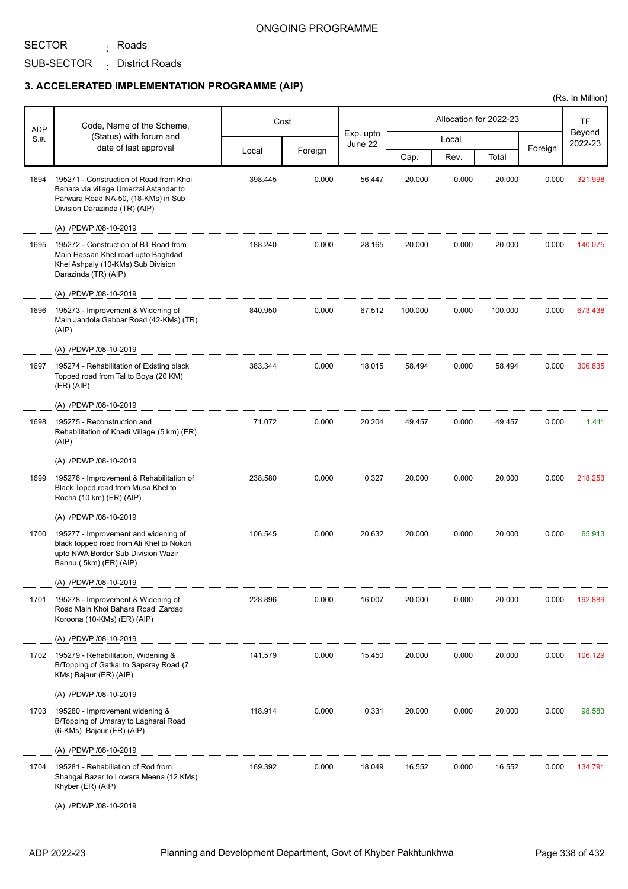SECTOR

SUB-SECTOR District Roads : <sub>:</sub> Roads

## **3. ACCELERATED IMPLEMENTATION PROGRAMME (AIP)**

|            |                                                                                                                                                           |         |         |                      |         |       |                        |         | (Rs. In Million)  |
|------------|-----------------------------------------------------------------------------------------------------------------------------------------------------------|---------|---------|----------------------|---------|-------|------------------------|---------|-------------------|
| <b>ADP</b> | Code, Name of the Scheme,                                                                                                                                 |         | Cost    |                      |         |       | Allocation for 2022-23 |         | <b>TF</b>         |
| S.#.       | (Status) with forum and                                                                                                                                   |         |         | Exp. upto<br>June 22 |         | Local |                        |         | Beyond<br>2022-23 |
|            | date of last approval                                                                                                                                     | Local   | Foreign |                      | Cap.    | Rev.  | Total                  | Foreign |                   |
| 1694       | 195271 - Construction of Road from Khoi<br>Bahara via village Umerzai Astandar to<br>Parwara Road NA-50, (18-KMs) in Sub<br>Division Darazinda (TR) (AIP) | 398.445 | 0.000   | 56.447               | 20.000  | 0.000 | 20.000                 | 0.000   | 321.998           |
|            | (A) /PDWP /08-10-2019                                                                                                                                     |         |         |                      |         |       |                        |         |                   |
| 1695       | 195272 - Construction of BT Road from<br>Main Hassan Khel road upto Baghdad<br>Khel Ashpaly (10-KMs) Sub Division<br>Darazinda (TR) (AIP)                 | 188.240 | 0.000   | 28.165               | 20.000  | 0.000 | 20.000                 | 0.000   | 140.075           |
|            | (A) /PDWP /08-10-2019                                                                                                                                     |         |         |                      |         |       |                        |         |                   |
| 1696       | 195273 - Improvement & Widening of<br>Main Jandola Gabbar Road (42-KMs) (TR)<br>(AIP)                                                                     | 840.950 | 0.000   | 67.512               | 100.000 | 0.000 | 100.000                | 0.000   | 673.438           |
|            | (A) /PDWP /08-10-2019                                                                                                                                     |         |         |                      |         |       |                        |         |                   |
| 1697       | 195274 - Rehabilitation of Existing black<br>Topped road from Tal to Boya (20 KM)<br>(ER) (AIP)                                                           | 383.344 | 0.000   | 18.015               | 58.494  | 0.000 | 58.494                 | 0.000   | 306.835           |
|            | (A) /PDWP /08-10-2019                                                                                                                                     |         |         |                      |         |       |                        |         |                   |
| 1698       | 195275 - Reconstruction and<br>Rehabilitation of Khadi Village (5 km) (ER)<br>(AIP)                                                                       | 71.072  | 0.000   | 20.204               | 49.457  | 0.000 | 49.457                 | 0.000   | 1.411             |
|            | (A) /PDWP /08-10-2019                                                                                                                                     |         |         |                      |         |       |                        |         |                   |
| 1699       | 195276 - Improvement & Rehabilitation of<br>Black Toped road from Musa Khel to<br>Rocha (10 km) (ER) (AIP)                                                | 238.580 | 0.000   | 0.327                | 20.000  | 0.000 | 20.000                 | 0.000   | 218.253           |
|            | (A) /PDWP /08-10-2019                                                                                                                                     |         |         |                      |         |       |                        |         |                   |
| 1700       | 195277 - Improvement and widening of<br>black topped road from Ali Khel to Nokori<br>upto NWA Border Sub Division Wazir<br>Bannu (5km) (ER) (AIP)         | 106.545 | 0.000   | 20.632               | 20.000  | 0.000 | 20.000                 | 0.000   | 65.913            |
|            | (A) /PDWP /08-10-2019                                                                                                                                     |         |         |                      |         |       |                        |         |                   |
| 1701       | 195278 - Improvement & Widening of<br>Road Main Khoi Bahara Road Zardad<br>Koroona (10-KMs) (ER) (AIP)                                                    | 228.896 | 0.000   | 16.007               | 20.000  | 0.000 | 20.000                 | 0.000   | 192.889           |
|            | (A) /PDWP /08-10-2019                                                                                                                                     |         |         |                      |         |       |                        |         |                   |
| 1702       | 195279 - Rehabilitation, Widening &<br>B/Topping of Gatkai to Saparay Road (7<br>KMs) Bajaur (ER) (AIP)                                                   | 141.579 | 0.000   | 15.450               | 20.000  | 0.000 | 20.000                 | 0.000   | 106.129           |
|            | (A) /PDWP /08-10-2019                                                                                                                                     |         |         |                      |         |       |                        |         |                   |
| 1703       | 195280 - Improvement widening &<br>B/Topping of Umaray to Lagharai Road<br>(6-KMs) Bajaur (ER) (AIP)                                                      | 118.914 | 0.000   | 0.331                | 20.000  | 0.000 | 20.000                 | 0.000   | 98.583            |
|            | (A) /PDWP /08-10-2019                                                                                                                                     |         |         |                      |         |       |                        |         |                   |
| 1704       | 195281 - Rehabiliation of Rod from<br>Shahgai Bazar to Lowara Meena (12 KMs)<br>Khyber (ER) (AIP)                                                         | 169.392 | 0.000   | 18.049               | 16.552  | 0.000 | 16.552                 | 0.000   | 134.791           |
|            | (A) /PDWP /08-10-2019                                                                                                                                     |         |         |                      |         |       |                        |         |                   |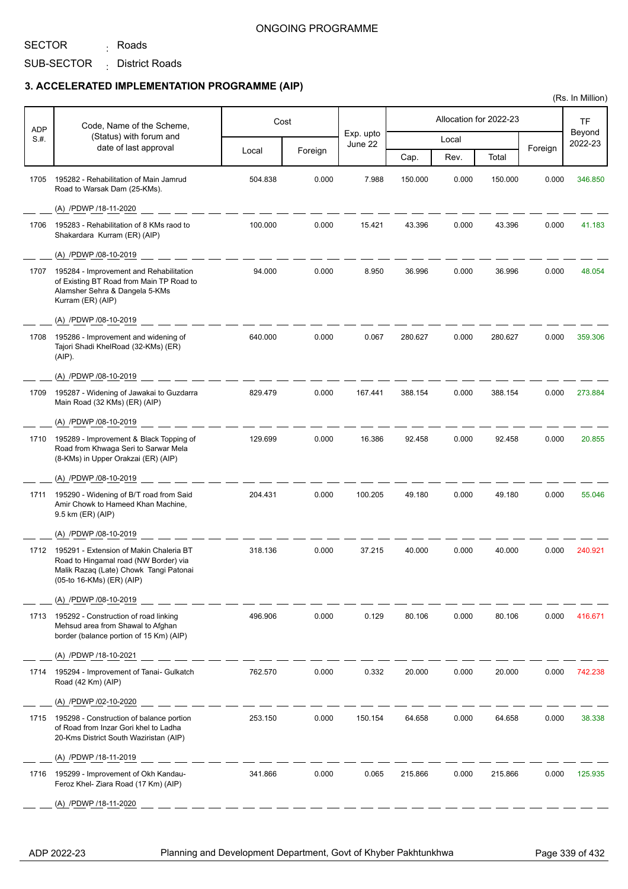## SECTOR

SUB-SECTOR District Roads : <sub>:</sub> Roads

## **3. ACCELERATED IMPLEMENTATION PROGRAMME (AIP)**

| ADP  | Code, Name of the Scheme,                                                                                                                               |         | Cost    |                      |         |       | Allocation for 2022-23 |         | <b>TF</b>         |
|------|---------------------------------------------------------------------------------------------------------------------------------------------------------|---------|---------|----------------------|---------|-------|------------------------|---------|-------------------|
| S.#. | (Status) with forum and<br>date of last approval                                                                                                        |         |         | Exp. upto<br>June 22 |         | Local |                        |         | Beyond<br>2022-23 |
|      |                                                                                                                                                         | Local   | Foreign |                      | Cap.    | Rev.  | Total                  | Foreign |                   |
| 1705 | 195282 - Rehabilitation of Main Jamrud<br>Road to Warsak Dam (25-KMs).                                                                                  | 504.838 | 0.000   | 7.988                | 150.000 | 0.000 | 150.000                | 0.000   | 346.850           |
|      | (A) /PDWP /18-11-2020                                                                                                                                   |         |         |                      |         |       |                        |         |                   |
| 1706 | 195283 - Rehabilitation of 8 KMs raod to<br>Shakardara Kurram (ER) (AIP)                                                                                | 100.000 | 0.000   | 15.421               | 43.396  | 0.000 | 43.396                 | 0.000   | 41.183            |
|      | (A) /PDWP /08-10-2019                                                                                                                                   |         |         |                      |         |       |                        |         |                   |
| 1707 | 195284 - Improvement and Rehabilitation<br>of Existing BT Road from Main TP Road to<br>Alamsher Sehra & Dangela 5-KMs<br>Kurram (ER) (AIP)              | 94.000  | 0.000   | 8.950                | 36.996  | 0.000 | 36.996                 | 0.000   | 48.054            |
|      | (A) /PDWP /08-10-2019                                                                                                                                   |         |         |                      |         |       |                        |         |                   |
| 1708 | 195286 - Improvement and widening of<br>Tajori Shadi KhelRoad (32-KMs) (ER)<br>(AIP).                                                                   | 640.000 | 0.000   | 0.067                | 280.627 | 0.000 | 280.627                | 0.000   | 359.306           |
|      | (A) /PDWP /08-10-2019                                                                                                                                   |         |         |                      |         |       |                        |         |                   |
| 1709 | 195287 - Widening of Jawakai to Guzdarra<br>Main Road (32 KMs) (ER) (AIP)                                                                               | 829.479 | 0.000   | 167.441              | 388.154 | 0.000 | 388.154                | 0.000   | 273.884           |
|      | (A) /PDWP /08-10-2019                                                                                                                                   |         |         |                      |         |       |                        |         |                   |
| 1710 | 195289 - Improvement & Black Topping of<br>Road from Khwaga Seri to Sarwar Mela<br>(8-KMs) in Upper Orakzai (ER) (AIP)                                  | 129.699 | 0.000   | 16.386               | 92.458  | 0.000 | 92.458                 | 0.000   | 20.855            |
|      | (A) /PDWP /08-10-2019                                                                                                                                   |         |         |                      |         |       |                        |         |                   |
| 1711 | 195290 - Widening of B/T road from Said<br>Amir Chowk to Hameed Khan Machine,<br>9.5 km (ER) (AIP)                                                      | 204.431 | 0.000   | 100.205              | 49.180  | 0.000 | 49.180                 | 0.000   | 55.046            |
|      | (A) /PDWP /08-10-2019                                                                                                                                   |         |         |                      |         |       |                        |         |                   |
| 1712 | 195291 - Extension of Makin Chaleria BT<br>Road to Hingamal road (NW Border) via<br>Malik Razaq (Late) Chowk Tangi Patonai<br>(05-to 16-KMs) (ER) (AIP) | 318.136 | 0.000   | 37.215               | 40.000  | 0.000 | 40.000                 | 0.000   | 240.921           |
|      | (A) /PDWP /08-10-2019                                                                                                                                   |         |         |                      |         |       |                        |         |                   |
| 1713 | 195292 - Construction of road linking<br>Mehsud area from Shawal to Afghan<br>border (balance portion of 15 Km) (AIP)                                   | 496.906 | 0.000   | 0.129                | 80.106  | 0.000 | 80.106                 | 0.000   | 416.671           |
|      | (A) /PDWP /18-10-2021                                                                                                                                   |         |         |                      |         |       |                        |         |                   |
| 1714 | 195294 - Improvement of Tanai- Gulkatch<br>Road (42 Km) (AIP)                                                                                           | 762.570 | 0.000   | 0.332                | 20.000  | 0.000 | 20.000                 | 0.000   | 742.238           |
|      | (A) /PDWP /02-10-2020                                                                                                                                   |         |         |                      |         |       |                        |         |                   |
| 1715 | 195298 - Construction of balance portion<br>of Road from Inzar Gori khel to Ladha<br>20-Kms District South Waziristan (AIP)                             | 253.150 | 0.000   | 150.154              | 64.658  | 0.000 | 64.658                 | 0.000   | 38.338            |
|      | (A) /PDWP /18-11-2019                                                                                                                                   |         |         |                      |         |       |                        |         |                   |
| 1716 | 195299 - Improvement of Okh Kandau-<br>Feroz Khel- Ziara Road (17 Km) (AIP)                                                                             | 341.866 | 0.000   | 0.065                | 215.866 | 0.000 | 215.866                | 0.000   | 125.935           |
|      | (A) /PDWP /18-11-2020                                                                                                                                   |         |         |                      |         |       |                        |         |                   |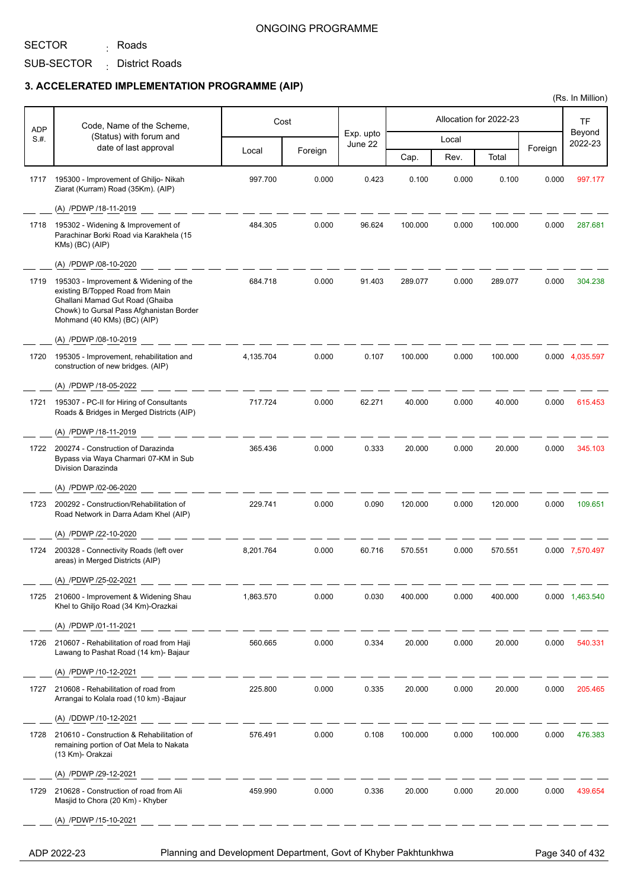## SECTOR

SUB-SECTOR District Roads : <sub>:</sub> Roads

## **3. ACCELERATED IMPLEMENTATION PROGRAMME (AIP)**

| <b>ADP</b> | Code, Name of the Scheme,                                                                                                                                                                |           | Cost    |                      |         |       | Allocation for 2022-23 |         | <b>TF</b>         |
|------------|------------------------------------------------------------------------------------------------------------------------------------------------------------------------------------------|-----------|---------|----------------------|---------|-------|------------------------|---------|-------------------|
| S.#.       | (Status) with forum and<br>date of last approval                                                                                                                                         |           |         | Exp. upto<br>June 22 |         | Local |                        |         | Beyond<br>2022-23 |
|            |                                                                                                                                                                                          | Local     | Foreign |                      | Cap.    | Rev.  | Total                  | Foreign |                   |
| 1717       | 195300 - Improvement of Ghiljo- Nikah<br>Ziarat (Kurram) Road (35Km). (AIP)                                                                                                              | 997.700   | 0.000   | 0.423                | 0.100   | 0.000 | 0.100                  | 0.000   | 997.177           |
|            | (A) /PDWP /18-11-2019                                                                                                                                                                    |           |         |                      |         |       |                        |         |                   |
| 1718       | 195302 - Widening & Improvement of<br>Parachinar Borki Road via Karakhela (15<br>KMs) (BC) (AIP)                                                                                         | 484.305   | 0.000   | 96.624               | 100.000 | 0.000 | 100.000                | 0.000   | 287.681           |
|            | (A) /PDWP /08-10-2020                                                                                                                                                                    |           |         |                      |         |       |                        |         |                   |
| 1719       | 195303 - Improvement & Widening of the<br>existing B/Topped Road from Main<br>Ghallani Mamad Gut Road (Ghaiba<br>Chowk) to Gursal Pass Afghanistan Border<br>Mohmand (40 KMs) (BC) (AIP) | 684.718   | 0.000   | 91.403               | 289.077 | 0.000 | 289.077                | 0.000   | 304.238           |
|            | (A) /PDWP /08-10-2019                                                                                                                                                                    |           |         |                      |         |       |                        |         |                   |
| 1720       | 195305 - Improvement, rehabilitation and<br>construction of new bridges. (AIP)                                                                                                           | 4.135.704 | 0.000   | 0.107                | 100.000 | 0.000 | 100.000                |         | 0.000 4,035.597   |
|            | (A) /PDWP /18-05-2022                                                                                                                                                                    |           |         |                      |         |       |                        |         |                   |
| 1721       | 195307 - PC-II for Hiring of Consultants<br>Roads & Bridges in Merged Districts (AIP)                                                                                                    | 717.724   | 0.000   | 62.271               | 40.000  | 0.000 | 40.000                 | 0.000   | 615.453           |
|            | (A) /PDWP /18-11-2019                                                                                                                                                                    |           |         |                      |         |       |                        |         |                   |
| 1722       | 200274 - Construction of Darazinda<br>Bypass via Waya Charmari 07-KM in Sub<br><b>Division Darazinda</b>                                                                                 | 365.436   | 0.000   | 0.333                | 20.000  | 0.000 | 20.000                 | 0.000   | 345.103           |
|            | (A) /PDWP /02-06-2020                                                                                                                                                                    |           |         |                      |         |       |                        |         |                   |
| 1723       | 200292 - Construction/Rehabilitation of<br>Road Network in Darra Adam Khel (AIP)                                                                                                         | 229.741   | 0.000   | 0.090                | 120.000 | 0.000 | 120.000                | 0.000   | 109.651           |
|            | (A) /PDWP /22-10-2020                                                                                                                                                                    |           |         |                      |         |       |                        |         |                   |
| 1724       | 200328 - Connectivity Roads (left over<br>areas) in Merged Districts (AIP)                                                                                                               | 8,201.764 | 0.000   | 60.716               | 570.551 | 0.000 | 570.551                |         | 0.000 7,570.497   |
|            | (A) /PDWP /25-02-2021                                                                                                                                                                    |           |         |                      |         |       |                        |         |                   |
| 1725       | 210600 - Improvement & Widening Shau<br>Khel to Ghiljo Road (34 Km)-Orazkai                                                                                                              | 1,863.570 | 0.000   | 0.030                | 400.000 | 0.000 | 400.000                |         | 0.000 1,463.540   |
|            | (A) /PDWP /01-11-2021                                                                                                                                                                    |           |         |                      |         |       |                        |         |                   |
| 1726       | 210607 - Rehabilitation of road from Haji<br>Lawang to Pashat Road (14 km)- Bajaur                                                                                                       | 560.665   | 0.000   | 0.334                | 20.000  | 0.000 | 20.000                 | 0.000   | 540.331           |
|            | (A) /PDWP /10-12-2021                                                                                                                                                                    |           |         |                      |         |       |                        |         |                   |
| 1727       | 210608 - Rehabilitation of road from<br>Arrangai to Kolala road (10 km) -Bajaur                                                                                                          | 225.800   | 0.000   | 0.335                | 20.000  | 0.000 | 20.000                 | 0.000   | 205.465           |
|            | (A) /DDWP /10-12-2021                                                                                                                                                                    |           |         |                      |         |       |                        |         |                   |
| 1728       | 210610 - Construction & Rehabilitation of<br>remaining portion of Oat Mela to Nakata<br>(13 Km)- Orakzai                                                                                 | 576.491   | 0.000   | 0.108                | 100.000 | 0.000 | 100.000                | 0.000   | 476.383           |
|            | (A) /PDWP /29-12-2021                                                                                                                                                                    |           |         |                      |         |       |                        |         |                   |
| 1729       | 210628 - Construction of road from Ali<br>Masjid to Chora (20 Km) - Khyber                                                                                                               | 459.990   | 0.000   | 0.336                | 20.000  | 0.000 | 20.000                 | 0.000   | 439.654           |
|            | (A) /PDWP /15-10-2021                                                                                                                                                                    |           |         |                      |         |       |                        |         |                   |

ADP 2022-23 Planning and Development Department, Govt of Khyber Pakhtunkhwa Page 340 of 432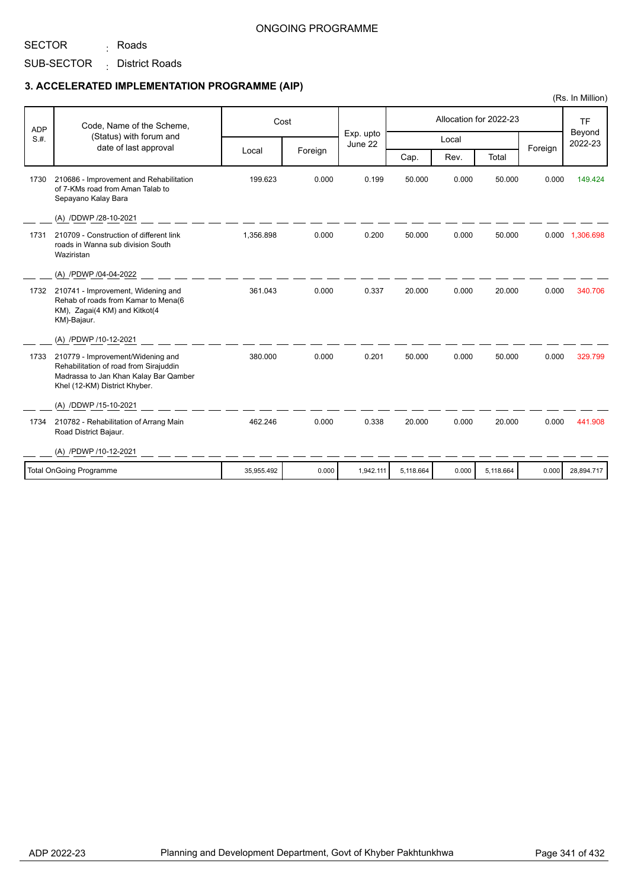SUB-SECTOR District Roads : <sub>:</sub> Roads

### **3. ACCELERATED IMPLEMENTATION PROGRAMME (AIP)**

| <b>ADP</b> | Code, Name of the Scheme,                                                                                                                             |            | Cost    |                      |           |       | Allocation for 2022-23 |         | <b>TF</b><br>Beyond |
|------------|-------------------------------------------------------------------------------------------------------------------------------------------------------|------------|---------|----------------------|-----------|-------|------------------------|---------|---------------------|
| S.H.       | (Status) with forum and<br>date of last approval                                                                                                      |            |         | Exp. upto<br>June 22 |           | Local |                        | Foreign | 2022-23             |
|            |                                                                                                                                                       | Local      | Foreign |                      | Cap.      | Rev.  | Total                  |         |                     |
| 1730       | 210686 - Improvement and Rehabilitation<br>of 7-KMs road from Aman Talab to<br>Sepayano Kalay Bara                                                    | 199.623    | 0.000   | 0.199                | 50.000    | 0.000 | 50.000                 | 0.000   | 149.424             |
|            | (A) /DDWP /28-10-2021                                                                                                                                 |            |         |                      |           |       |                        |         |                     |
| 1731       | 210709 - Construction of different link<br>roads in Wanna sub division South<br>Waziristan                                                            | 1,356.898  | 0.000   | 0.200                | 50.000    | 0.000 | 50.000                 |         | 0.000 1,306.698     |
|            | (A) /PDWP /04-04-2022                                                                                                                                 |            |         |                      |           |       |                        |         |                     |
| 1732       | 210741 - Improvement, Widening and<br>Rehab of roads from Kamar to Mena(6<br>KM), Zagai(4 KM) and Kitkot(4<br>KM)-Bajaur.                             | 361.043    | 0.000   | 0.337                | 20.000    | 0.000 | 20.000                 | 0.000   | 340.706             |
|            | (A) /PDWP /10-12-2021                                                                                                                                 |            |         |                      |           |       |                        |         |                     |
| 1733       | 210779 - Improvement/Widening and<br>Rehabilitation of road from Sirajuddin<br>Madrassa to Jan Khan Kalay Bar Qamber<br>Khel (12-KM) District Khyber. | 380.000    | 0.000   | 0.201                | 50.000    | 0.000 | 50.000                 | 0.000   | 329.799             |
|            | (A) /DDWP /15-10-2021                                                                                                                                 |            |         |                      |           |       |                        |         |                     |
| 1734       | 210782 - Rehabilitation of Arrang Main<br>Road District Bajaur.                                                                                       | 462.246    | 0.000   | 0.338                | 20.000    | 0.000 | 20.000                 | 0.000   | 441.908             |
|            | (A) /PDWP /10-12-2021                                                                                                                                 |            |         |                      |           |       |                        |         |                     |
|            | Total OnGoing Programme                                                                                                                               | 35,955.492 | 0.000   | 1,942.111            | 5,118.664 | 0.000 | 5,118.664              | 0.000   | 28,894.717          |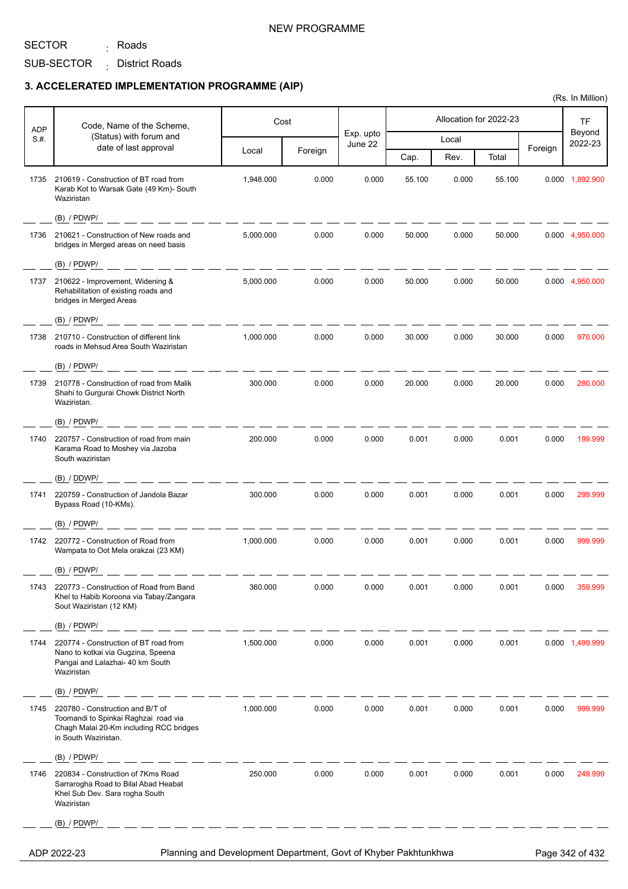<sub>:</sub> Roads

## NEW PROGRAMME

SUB-SECTOR District Roads :

### **3. ACCELERATED IMPLEMENTATION PROGRAMME (AIP)**

| <b>ADP</b> | Code, Name of the Scheme,                                                                                                                   |           | Cost    |                      |        |       | Allocation for 2022-23 |         | TF                |
|------------|---------------------------------------------------------------------------------------------------------------------------------------------|-----------|---------|----------------------|--------|-------|------------------------|---------|-------------------|
| S.H.       | (Status) with forum and                                                                                                                     |           |         | Exp. upto<br>June 22 |        | Local |                        |         | Beyond<br>2022-23 |
|            | date of last approval                                                                                                                       | Local     | Foreign |                      | Cap.   | Rev.  | Total                  | Foreign |                   |
| 1735       | 210619 - Construction of BT road from<br>Karab Kot to Warsak Gate (49 Km)- South<br>Waziristan                                              | 1,948.000 | 0.000   | 0.000                | 55.100 | 0.000 | 55.100                 |         | 0.000 1,892.900   |
|            | $(B)$ / PDWP/                                                                                                                               |           |         |                      |        |       |                        |         |                   |
| 1736       | 210621 - Construction of New roads and<br>bridges in Merged areas on need basis                                                             | 5,000.000 | 0.000   | 0.000                | 50.000 | 0.000 | 50.000                 |         | 0.000 4,950.000   |
|            | $(B)$ / PDWP/                                                                                                                               |           |         |                      |        |       |                        |         |                   |
| 1737       | 210622 - Improvement, Widening &<br>Rehabilitation of existing roads and<br>bridges in Merged Areas                                         | 5,000.000 | 0.000   | 0.000                | 50.000 | 0.000 | 50.000                 |         | 0.000 4,950.000   |
|            | $(B)$ / PDWP/                                                                                                                               |           |         |                      |        |       |                        |         |                   |
| 1738       | 210710 - Construction of different link<br>roads in Mehsud Area South Waziristan                                                            | 1,000.000 | 0.000   | 0.000                | 30.000 | 0.000 | 30.000                 | 0.000   | 970.000           |
|            | $(B)$ / PDWP/                                                                                                                               |           |         |                      |        |       |                        |         |                   |
| 1739       | 210778 - Construction of road from Malik<br>Shahi to Gurgurai Chowk District North<br>Waziristan.                                           | 300.000   | 0.000   | 0.000                | 20.000 | 0.000 | 20.000                 | 0.000   | 280.000           |
|            | $(B)$ / PDWP/                                                                                                                               |           |         |                      |        |       |                        |         |                   |
| 1740       | 220757 - Construction of road from main<br>Karama Road to Moshey via Jazoba<br>South waziristan                                             | 200.000   | 0.000   | 0.000                | 0.001  | 0.000 | 0.001                  | 0.000   | 199.999           |
|            | (B) / DDWP/                                                                                                                                 |           |         |                      |        |       |                        |         |                   |
| 1741       | 220759 - Construction of Jandola Bazar<br>Bypass Road (10-KMs).                                                                             | 300.000   | 0.000   | 0.000                | 0.001  | 0.000 | 0.001                  | 0.000   | 299.999           |
|            | $(B)$ / PDWP/                                                                                                                               |           |         |                      |        |       |                        |         |                   |
| 1742       | 220772 - Construction of Road from<br>Wampata to Oot Mela orakzai (23 KM)                                                                   | 1,000.000 | 0.000   | 0.000                | 0.001  | 0.000 | 0.001                  | 0.000   | 999.999           |
|            | $(B)$ / PDWP/                                                                                                                               |           |         |                      |        |       |                        |         |                   |
| 1743       | 220773 - Construction of Road from Band<br>Khel to Habib Koroona via Tabay/Zangara<br>Sout Waziristan (12 KM)                               | 360.000   | 0.000   | 0.000                | 0.001  | 0.000 | 0.001                  | 0.000   | 359.999           |
|            | $(B)$ / PDWP/                                                                                                                               |           |         |                      |        |       |                        |         |                   |
| 1744       | 220774 - Construction of BT road from<br>Nano to kotkai via Gugzina, Speena<br>Pangai and Lalazhai- 40 km South<br>Waziristan               | 1,500.000 | 0.000   | 0.000                | 0.001  | 0.000 | 0.001                  |         | 0.000 1,499.999   |
|            | $(B)$ / PDWP/                                                                                                                               |           |         |                      |        |       |                        |         |                   |
| 1745       | 220780 - Construction and B/T of<br>Toomandi to Spinkai Raghzai road via<br>Chagh Malai 20-Km including RCC bridges<br>in South Waziristan. | 1,000.000 | 0.000   | 0.000                | 0.001  | 0.000 | 0.001                  | 0.000   | 999.999           |
|            | (B) / PDWP/                                                                                                                                 |           |         |                      |        |       |                        |         |                   |
| 1746       | 220834 - Construction of 7Kms Road<br>Sarrarogha Road to Bilal Abad Heabat<br>Khel Sub Dev. Sara rogha South<br>Waziristan                  | 250.000   | 0.000   | 0.000                | 0.001  | 0.000 | 0.001                  | 0.000   | 249.999           |
|            | $(B)$ / PDWP/                                                                                                                               |           |         |                      |        |       |                        |         |                   |

ADP 2022-23 Planning and Development Department, Govt of Khyber Pakhtunkhwa Page 342 of 432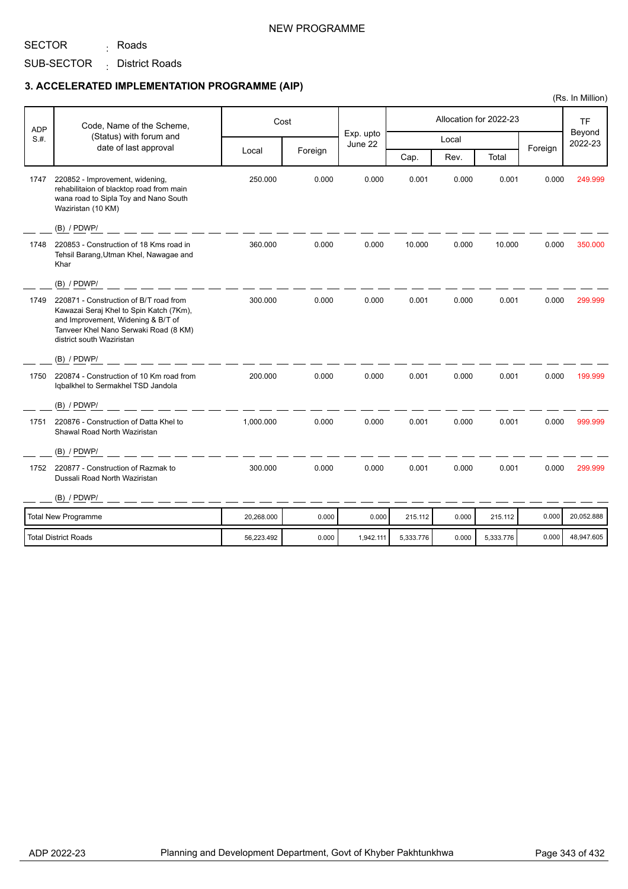### NEW PROGRAMME

SUB-SECTOR District Roads :

<sub>:</sub> Roads

SECTOR

#### **3. ACCELERATED IMPLEMENTATION PROGRAMME (AIP)**

|            |                                                                                                                                                                                               |            |         |                      |           |       |                        |         | (Rs. In Million)  |
|------------|-----------------------------------------------------------------------------------------------------------------------------------------------------------------------------------------------|------------|---------|----------------------|-----------|-------|------------------------|---------|-------------------|
| <b>ADP</b> | Code, Name of the Scheme,                                                                                                                                                                     |            | Cost    |                      |           |       | Allocation for 2022-23 |         | <b>TF</b>         |
| S.H.       | (Status) with forum and                                                                                                                                                                       |            |         | Exp. upto<br>June 22 |           | Local |                        |         | Beyond<br>2022-23 |
|            | date of last approval                                                                                                                                                                         | Local      | Foreign |                      | Cap.      | Rev.  | Total                  | Foreign |                   |
| 1747       | 220852 - Improvement, widening,<br>rehabilitaion of blacktop road from main<br>wana road to Sipla Toy and Nano South<br>Waziristan (10 KM)                                                    | 250.000    | 0.000   | 0.000                | 0.001     | 0.000 | 0.001                  | 0.000   | 249.999           |
|            | $(B)$ / PDWP/                                                                                                                                                                                 |            |         |                      |           |       |                        |         |                   |
| 1748       | 220853 - Construction of 18 Kms road in<br>Tehsil Barang, Utman Khel, Nawagae and<br>Khar                                                                                                     | 360.000    | 0.000   | 0.000                | 10.000    | 0.000 | 10.000                 | 0.000   | 350.000           |
|            | $(B)$ / PDWP/                                                                                                                                                                                 |            |         |                      |           |       |                        |         |                   |
| 1749       | 220871 - Construction of B/T road from<br>Kawazai Seraj Khel to Spin Katch (7Km),<br>and Improvement, Widening & B/T of<br>Tanveer Khel Nano Serwaki Road (8 KM)<br>district south Waziristan | 300.000    | 0.000   | 0.000                | 0.001     | 0.000 | 0.001                  | 0.000   | 299.999           |
|            | $(B)$ / PDWP/                                                                                                                                                                                 |            |         |                      |           |       |                        |         |                   |
| 1750       | 220874 - Construction of 10 Km road from<br>Iqbalkhel to Sermakhel TSD Jandola                                                                                                                | 200.000    | 0.000   | 0.000                | 0.001     | 0.000 | 0.001                  | 0.000   | 199.999           |
|            | (B) / PDWP/                                                                                                                                                                                   |            |         |                      |           |       |                        |         |                   |
| 1751       | 220876 - Construction of Datta Khel to<br>Shawal Road North Waziristan                                                                                                                        | 1.000.000  | 0.000   | 0.000                | 0.001     | 0.000 | 0.001                  | 0.000   | 999.999           |
|            | $(B)$ / PDWP/                                                                                                                                                                                 |            |         |                      |           |       |                        |         |                   |
| 1752       | 220877 - Construction of Razmak to<br>Dussali Road North Waziristan                                                                                                                           | 300.000    | 0.000   | 0.000                | 0.001     | 0.000 | 0.001                  | 0.000   | 299.999           |
|            | $(B)$ / PDWP/                                                                                                                                                                                 |            |         |                      |           |       |                        |         |                   |
|            | Total New Programme                                                                                                                                                                           | 20,268.000 | 0.000   | 0.000                | 215.112   | 0.000 | 215.112                | 0.000   | 20,052.888        |
|            | <b>Total District Roads</b>                                                                                                                                                                   | 56,223.492 | 0.000   | 1,942.111            | 5,333.776 | 0.000 | 5,333.776              | 0.000   | 48,947.605        |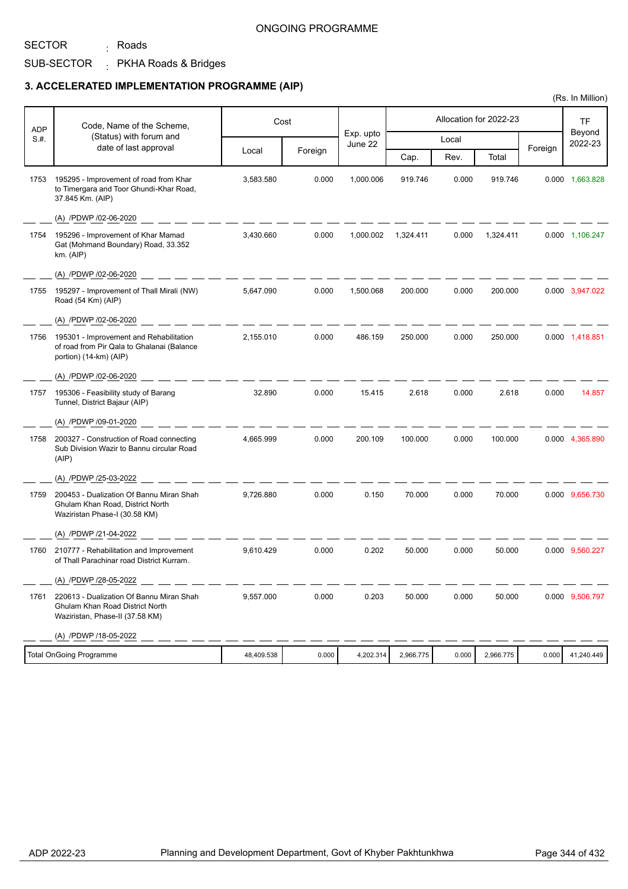# SECTOR

## SUB-SECTOR PKHA Roads & Bridges <sub>:</sub> Roads

## **3. ACCELERATED IMPLEMENTATION PROGRAMME (AIP)**

| <b>ADP</b> | Code, Name of the Scheme,                                                                                       |            | Cost    |                      |           |       | Allocation for 2022-23 |         | TF                |
|------------|-----------------------------------------------------------------------------------------------------------------|------------|---------|----------------------|-----------|-------|------------------------|---------|-------------------|
| S.#.       | (Status) with forum and<br>date of last approval                                                                |            |         | Exp. upto<br>June 22 |           | Local |                        |         | Beyond<br>2022-23 |
|            |                                                                                                                 | Local      | Foreign |                      | Cap.      | Rev.  | Total                  | Foreign |                   |
| 1753       | 195295 - Improvement of road from Khar<br>to Timergara and Toor Ghundi-Khar Road,<br>37.845 Km. (AIP)           | 3,583.580  | 0.000   | 1,000.006            | 919.746   | 0.000 | 919.746                |         | 0.000 1,663.828   |
|            | (A) /PDWP /02-06-2020                                                                                           |            |         |                      |           |       |                        |         |                   |
| 1754       | 195296 - Improvement of Khar Mamad<br>Gat (Mohmand Boundary) Road, 33.352<br>km. (AlP)                          | 3,430.660  | 0.000   | 1,000.002            | 1,324.411 | 0.000 | 1,324.411              |         | 0.000 1,106.247   |
|            | (A) /PDWP /02-06-2020                                                                                           |            |         |                      |           |       |                        |         |                   |
| 1755       | 195297 - Improvement of Thall Mirali (NW)<br>Road (54 Km) (AIP)                                                 | 5,647.090  | 0.000   | 1,500.068            | 200.000   | 0.000 | 200.000                |         | 0.000 3,947.022   |
|            | (A) /PDWP /02-06-2020                                                                                           |            |         |                      |           |       |                        |         |                   |
| 1756       | 195301 - Improvement and Rehabilitation<br>of road from Pir Qala to Ghalanai (Balance<br>portion) (14-km) (AIP) | 2,155.010  | 0.000   | 486.159              | 250.000   | 0.000 | 250.000                |         | 0.000 1,418.851   |
|            | (A) /PDWP /02-06-2020                                                                                           |            |         |                      |           |       |                        |         |                   |
| 1757       | 195306 - Feasibility study of Barang<br>Tunnel, District Bajaur (AIP)                                           | 32.890     | 0.000   | 15.415               | 2.618     | 0.000 | 2.618                  | 0.000   | 14.857            |
|            | (A) /PDWP /09-01-2020                                                                                           |            |         |                      |           |       |                        |         |                   |
| 1758       | 200327 - Construction of Road connecting<br>Sub Division Wazir to Bannu circular Road<br>(AIP)                  | 4,665.999  | 0.000   | 200.109              | 100.000   | 0.000 | 100.000                |         | 0.000 4,365.890   |
|            | (A) /PDWP /25-03-2022                                                                                           |            |         |                      |           |       |                        |         |                   |
| 1759       | 200453 - Dualization Of Bannu Miran Shah<br>Ghulam Khan Road, District North<br>Waziristan Phase-I (30.58 KM)   | 9,726.880  | 0.000   | 0.150                | 70.000    | 0.000 | 70.000                 |         | 0.000 9,656.730   |
|            | (A) /PDWP /21-04-2022                                                                                           |            |         |                      |           |       |                        |         |                   |
| 1760       | 210777 - Rehabilitation and Improvement<br>of Thall Parachinar road District Kurram.                            | 9,610.429  | 0.000   | 0.202                | 50.000    | 0.000 | 50.000                 |         | 0.000 9,560.227   |
|            | (A) /PDWP /28-05-2022                                                                                           |            |         |                      |           |       |                        |         |                   |
| 1761       | 220613 - Dualization Of Bannu Miran Shah<br>Ghulam Khan Road District North<br>Waziristan, Phase-II (37.58 KM)  | 9,557.000  | 0.000   | 0.203                | 50.000    | 0.000 | 50.000                 |         | 0.000 9,506.797   |
|            | (A) /PDWP /18-05-2022                                                                                           |            |         |                      |           |       |                        |         |                   |
|            | Total OnGoing Programme                                                                                         | 48,409.538 | 0.000   | 4,202.314            | 2,966.775 | 0.000 | 2,966.775              | 0.000   | 41,240.449        |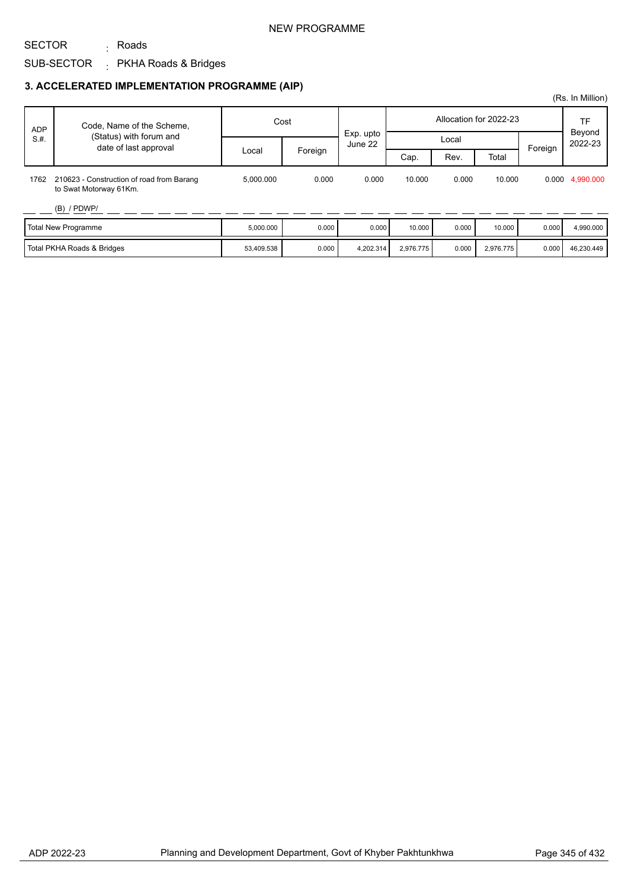#### NEW PROGRAMME

## SECTOR

## SUB-SECTOR PKHA Roads & Bridges <sub>:</sub> Roads

## **3. ACCELERATED IMPLEMENTATION PROGRAMME (AIP)**

| <b>ADP</b> | Code, Name of the Scheme,                                           | Cost       |         |                      |           |       | Allocation for 2022-23 |         | TF<br>Beyond<br>2022-23 |
|------------|---------------------------------------------------------------------|------------|---------|----------------------|-----------|-------|------------------------|---------|-------------------------|
| S.H.       | (Status) with forum and<br>date of last approval                    |            |         | Exp. upto<br>June 22 |           | Local |                        | Foreign |                         |
|            |                                                                     | Local      | Foreign |                      | Cap.      | Rev.  | Total                  |         |                         |
| 1762       | 210623 - Construction of road from Barang<br>to Swat Motorway 61Km. | 5.000.000  | 0.000   | 0.000                | 10.000    | 0.000 | 10.000                 |         | 0.000 4,990.000         |
|            | $(B)$ / PDWP/                                                       |            |         |                      |           |       |                        |         |                         |
|            | <b>Total New Programme</b>                                          | 5,000.000  | 0.000   | 0.000                | 10.000    | 0.000 | 10.000                 | 0.000   | 4,990.000               |
|            | Total PKHA Roads & Bridges                                          | 53,409.538 | 0.000   | 4,202.314            | 2,976.775 | 0.000 | 2,976.775              | 0.000   | 46,230.449              |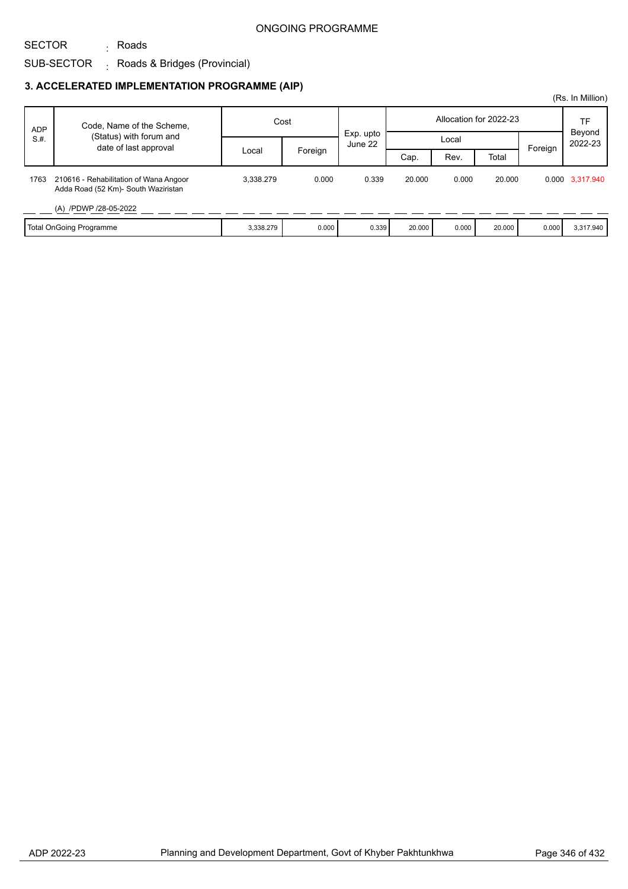# SECTOR

## SUB-SECTOR Roads & Bridges (Provincial) :

<sub>:</sub> Roads

#### **3. ACCELERATED IMPLEMENTATION PROGRAMME (AIP)**

|            |                                                                               |           |         |                      |        |       |                        |         | (Rs. In Million)  |
|------------|-------------------------------------------------------------------------------|-----------|---------|----------------------|--------|-------|------------------------|---------|-------------------|
| <b>ADP</b> | Code, Name of the Scheme,                                                     | Cost      |         |                      |        |       | Allocation for 2022-23 |         | TF                |
| S.H.       | (Status) with forum and<br>date of last approval                              |           |         | Exp. upto<br>June 22 |        | Local |                        | Foreign | Beyond<br>2022-23 |
|            |                                                                               | Local     | Foreign |                      | Cap.   | Rev.  | Total                  |         |                   |
| 1763       | 210616 - Rehabilitation of Wana Angoor<br>Adda Road (52 Km)- South Waziristan | 3.338.279 | 0.000   | 0.339                | 20,000 | 0.000 | 20,000                 |         | 0.000 3,317.940   |
|            | (A) /PDWP /28-05-2022                                                         |           |         |                      |        |       |                        |         |                   |
|            | <b>Total OnGoing Programme</b>                                                | 3,338.279 | 0.000   | 0.339                | 20.000 | 0.000 | 20.000                 | 0.000   | 3,317.940         |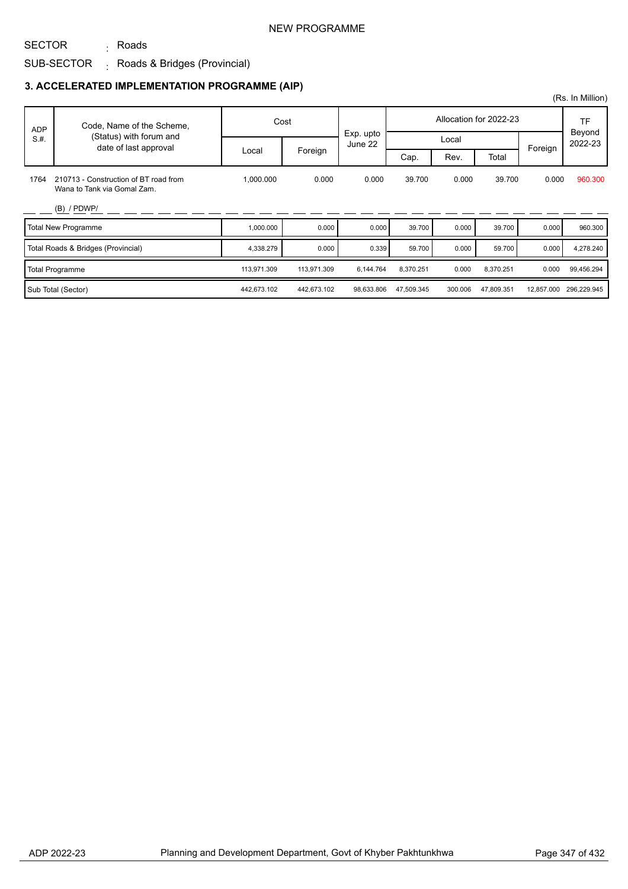#### NEW PROGRAMME

## SUB-SECTOR Roads & Bridges (Provincial) : <sub>:</sub> Roads

SECTOR

### **3. ACCELERATED IMPLEMENTATION PROGRAMME (AIP)**

|            |                                                                      |             |             |                      |            |         |                        |            | (Rs. In Million)    |
|------------|----------------------------------------------------------------------|-------------|-------------|----------------------|------------|---------|------------------------|------------|---------------------|
| <b>ADP</b> | Code, Name of the Scheme,                                            |             | Cost        |                      |            |         | Allocation for 2022-23 |            | <b>TF</b><br>Beyond |
| S.H.       | (Status) with forum and<br>date of last approval                     |             |             | Exp. upto<br>June 22 |            | Local   |                        | Foreign    | 2022-23             |
|            |                                                                      | Local       | Foreign     |                      | Cap.       | Rev.    | Total                  |            |                     |
| 1764       | 210713 - Construction of BT road from<br>Wana to Tank via Gomal Zam. | 1.000.000   | 0.000       | 0.000                | 39.700     | 0.000   | 39.700                 | 0.000      | 960.300             |
|            | $(B)$ / PDWP/                                                        |             |             |                      |            |         |                        |            |                     |
|            | <b>Total New Programme</b>                                           | 1,000.000   | 0.000       | 0.000                | 39.700     | 0.000   | 39.700                 | 0.000      | 960.300             |
|            | Total Roads & Bridges (Provincial)                                   | 4,338.279   | 0.000       | 0.339                | 59.700     | 0.000   | 59.700                 | 0.000      | 4,278.240           |
|            | <b>Total Programme</b>                                               | 113,971.309 | 113,971.309 | 6,144.764            | 8,370.251  | 0.000   | 8,370.251              | 0.000      | 99,456.294          |
|            | Sub Total (Sector)                                                   | 442,673.102 | 442,673.102 | 98,633.806           | 47,509.345 | 300.006 | 47,809.351             | 12,857.000 | 296,229.945         |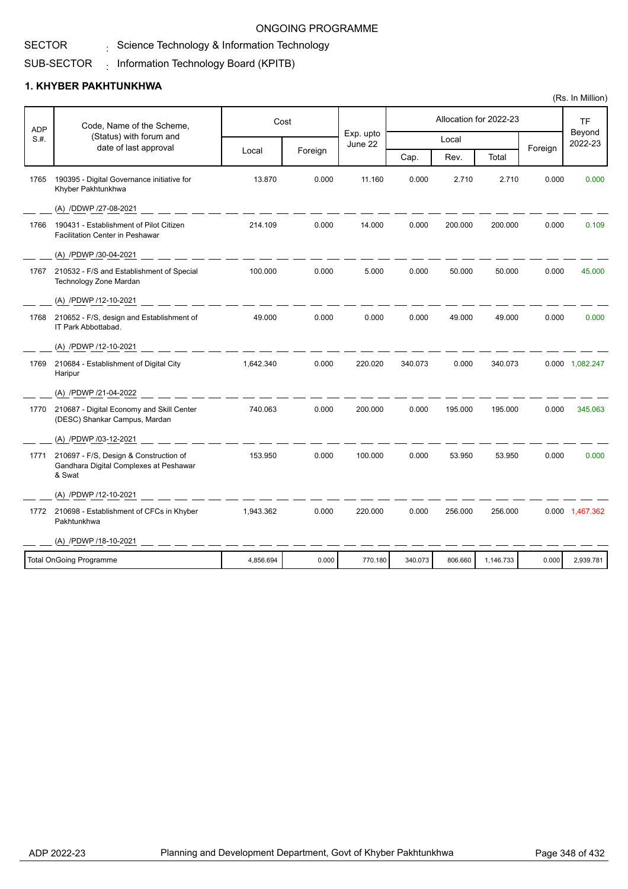#### SECTOR  $\frac{1}{\sqrt{2}}$  Science Technology & Information Technology

#### SUB-SECTOR  $_{\rm i}$  Information Technology Board (KPITB)

|            |                                                                                            |           |         |                      |         |         |                        |         | (Rs. In Million)  |
|------------|--------------------------------------------------------------------------------------------|-----------|---------|----------------------|---------|---------|------------------------|---------|-------------------|
| <b>ADP</b> | Code, Name of the Scheme,                                                                  |           | Cost    |                      |         |         | Allocation for 2022-23 |         | <b>TF</b>         |
| S.H.       | (Status) with forum and<br>date of last approval                                           |           |         | Exp. upto<br>June 22 |         | Local   |                        |         | Beyond<br>2022-23 |
|            |                                                                                            | Local     | Foreign |                      | Cap.    | Rev.    | Total                  | Foreign |                   |
| 1765       | 190395 - Digital Governance initiative for<br>Khyber Pakhtunkhwa                           | 13.870    | 0.000   | 11.160               | 0.000   | 2.710   | 2.710                  | 0.000   | 0.000             |
|            | (A) /DDWP /27-08-2021                                                                      |           |         |                      |         |         |                        |         |                   |
| 1766       | 190431 - Establishment of Pilot Citizen<br><b>Facilitation Center in Peshawar</b>          | 214.109   | 0.000   | 14.000               | 0.000   | 200.000 | 200.000                | 0.000   | 0.109             |
|            | (A) /PDWP /30-04-2021                                                                      |           |         |                      |         |         |                        |         |                   |
| 1767       | 210532 - F/S and Establishment of Special<br>Technology Zone Mardan                        | 100.000   | 0.000   | 5.000                | 0.000   | 50.000  | 50.000                 | 0.000   | 45.000            |
|            | (A) /PDWP /12-10-2021                                                                      |           |         |                      |         |         |                        |         |                   |
| 1768       | 210652 - F/S, design and Establishment of<br>IT Park Abbottabad.                           | 49.000    | 0.000   | 0.000                | 0.000   | 49.000  | 49.000                 | 0.000   | 0.000             |
|            | (A) /PDWP /12-10-2021                                                                      |           |         |                      |         |         |                        |         |                   |
| 1769       | 210684 - Establishment of Digital City<br>Haripur                                          | 1,642.340 | 0.000   | 220.020              | 340.073 | 0.000   | 340.073                |         | 0.000 1,082.247   |
|            | (A) /PDWP /21-04-2022                                                                      |           |         |                      |         |         |                        |         |                   |
| 1770       | 210687 - Digital Economy and Skill Center<br>(DESC) Shankar Campus, Mardan                 | 740.063   | 0.000   | 200.000              | 0.000   | 195.000 | 195.000                | 0.000   | 345.063           |
|            | (A) /PDWP /03-12-2021                                                                      |           |         |                      |         |         |                        |         |                   |
| 1771       | 210697 - F/S, Design & Construction of<br>Gandhara Digital Complexes at Peshawar<br>& Swat | 153.950   | 0.000   | 100.000              | 0.000   | 53.950  | 53.950                 | 0.000   | 0.000             |
|            | (A) /PDWP /12-10-2021                                                                      |           |         |                      |         |         |                        |         |                   |
|            | 1772 210698 - Establishment of CFCs in Khyber<br>Pakhtunkhwa                               | 1,943.362 | 0.000   | 220.000              | 0.000   | 256.000 | 256.000                |         | 0.000 1,467.362   |
|            | (A) /PDWP /18-10-2021                                                                      |           |         |                      |         |         |                        |         |                   |
|            | <b>Total OnGoing Programme</b>                                                             | 4,856.694 | 0.000   | 770.180              | 340.073 | 806.660 | 1,146.733              | 0.000   | 2,939.781         |
|            |                                                                                            |           |         |                      |         |         |                        |         |                   |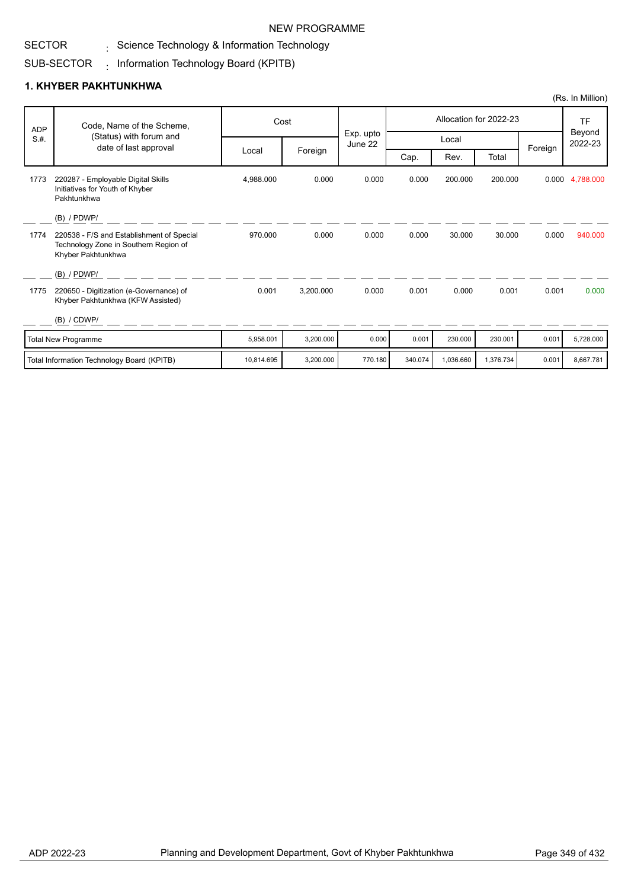#### NEW PROGRAMME

#### SECTOR  $\frac{1}{\sqrt{2}}$  Science Technology & Information Technology

#### SUB-SECTOR  $_{\rm i}$  Information Technology Board (KPITB)

|            |                                                                                                          |            |           |                      |         |           |                        |         | (Rs. In Million)  |
|------------|----------------------------------------------------------------------------------------------------------|------------|-----------|----------------------|---------|-----------|------------------------|---------|-------------------|
| <b>ADP</b> | Code, Name of the Scheme,                                                                                |            | Cost      |                      |         |           | Allocation for 2022-23 |         | TF                |
| S.H.       | (Status) with forum and<br>date of last approval                                                         |            |           | Exp. upto<br>June 22 |         |           | Local                  |         | Beyond<br>2022-23 |
|            |                                                                                                          | Local      | Foreign   |                      | Cap.    | Rev.      | Total                  | Foreign |                   |
| 1773       | 220287 - Employable Digital Skills<br>Initiatives for Youth of Khyber<br>Pakhtunkhwa                     | 4,988.000  | 0.000     | 0.000                | 0.000   | 200.000   | 200.000                |         | 0.000 4,788.000   |
|            | $(B)$ / PDWP/                                                                                            |            |           |                      |         |           |                        |         |                   |
| 1774       | 220538 - F/S and Establishment of Special<br>Technology Zone in Southern Region of<br>Khyber Pakhtunkhwa | 970.000    | 0.000     | 0.000                | 0.000   | 30.000    | 30.000                 | 0.000   | 940.000           |
|            | $(B)$ / PDWP/                                                                                            |            |           |                      |         |           |                        |         |                   |
| 1775       | 220650 - Digitization (e-Governance) of<br>Khyber Pakhtunkhwa (KFW Assisted)                             | 0.001      | 3,200.000 | 0.000                | 0.001   | 0.000     | 0.001                  | 0.001   | 0.000             |
|            | (B) / CDWP/                                                                                              |            |           |                      |         |           |                        |         |                   |
|            | <b>Total New Programme</b>                                                                               | 5,958.001  | 3,200.000 | 0.000                | 0.001   | 230.000   | 230.001                | 0.001   | 5,728.000         |
|            | Total Information Technology Board (KPITB)                                                               | 10.814.695 | 3.200.000 | 770.180              | 340.074 | 1,036.660 | 1,376.734              | 0.001   | 8.667.781         |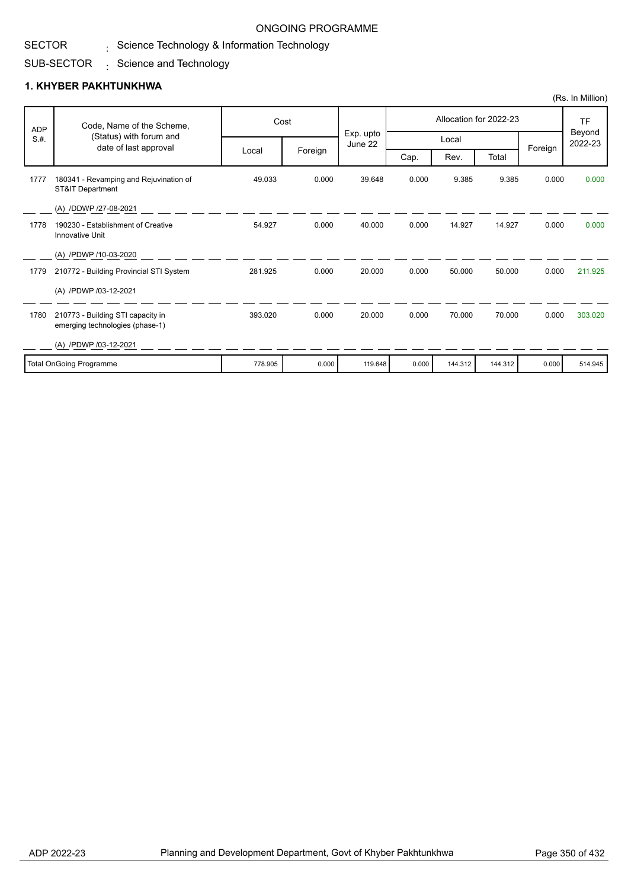# $\frac{1}{\sqrt{2}}$  Science Technology & Information Technology ONGOING PROGRAMME

#### SUB-SECTOR  $\,$  Science and Technology

|            |                                                                       |         |         |                      |       |         |                        |         | (Rs. In Million)  |
|------------|-----------------------------------------------------------------------|---------|---------|----------------------|-------|---------|------------------------|---------|-------------------|
| <b>ADP</b> | Code, Name of the Scheme,                                             | Cost    |         |                      |       |         | Allocation for 2022-23 |         | TF                |
| S.H.       | (Status) with forum and<br>date of last approval                      |         |         | Exp. upto<br>June 22 |       | Local   |                        | Foreign | Beyond<br>2022-23 |
|            |                                                                       | Local   | Foreign |                      | Cap.  | Rev.    | Total                  |         |                   |
| 1777       | 180341 - Revamping and Rejuvination of<br><b>ST&amp;IT Department</b> | 49.033  | 0.000   | 39.648               | 0.000 | 9.385   | 9.385                  | 0.000   | 0.000             |
|            | (A) /DDWP /27-08-2021                                                 |         |         |                      |       |         |                        |         |                   |
| 1778       | 190230 - Establishment of Creative<br>Innovative Unit                 | 54.927  | 0.000   | 40.000               | 0.000 | 14.927  | 14.927                 | 0.000   | 0.000             |
|            | (A) /PDWP /10-03-2020                                                 |         |         |                      |       |         |                        |         |                   |
| 1779       | 210772 - Building Provincial STI System                               | 281.925 | 0.000   | 20.000               | 0.000 | 50.000  | 50.000                 | 0.000   | 211.925           |
|            | (A) /PDWP /03-12-2021                                                 |         |         |                      |       |         |                        |         |                   |
| 1780       | 210773 - Building STI capacity in<br>emerging technologies (phase-1)  | 393.020 | 0.000   | 20.000               | 0.000 | 70.000  | 70.000                 | 0.000   | 303.020           |
|            | (A) /PDWP /03-12-2021                                                 |         |         |                      |       |         |                        |         |                   |
|            | <b>Total OnGoing Programme</b>                                        | 778.905 | 0.000   | 119.648              | 0.000 | 144.312 | 144.312                | 0.000   | 514.945           |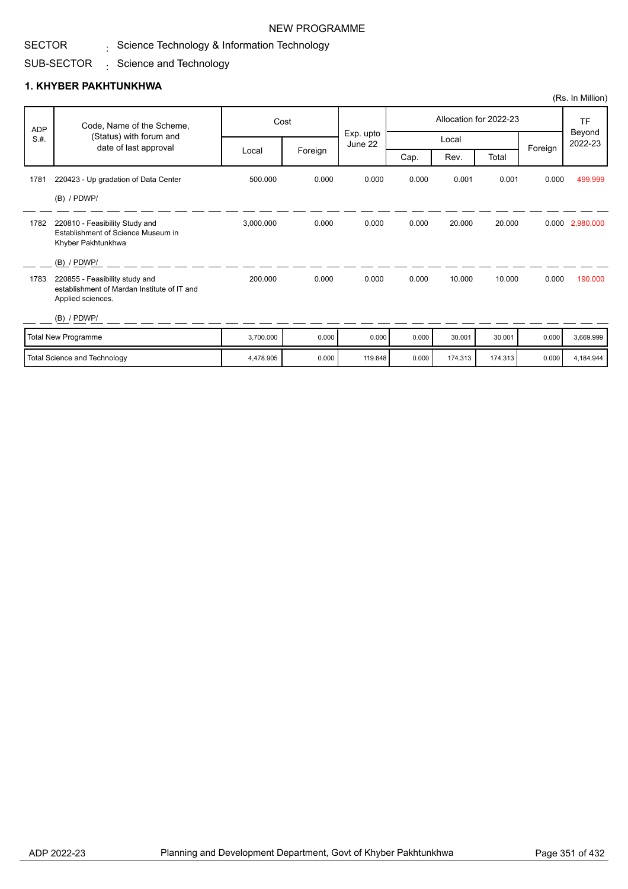#### NEW PROGRAMME

#### Science Technology & Information Technology :

#### SUB-SECTOR  $\,$  Science and Technology

|            |                                                                                                    |           |         |                      |       |        |                        |         | (Rs. In Million)               |
|------------|----------------------------------------------------------------------------------------------------|-----------|---------|----------------------|-------|--------|------------------------|---------|--------------------------------|
| <b>ADP</b> | Code, Name of the Scheme,                                                                          |           | Cost    |                      |       |        | Allocation for 2022-23 |         | <b>TF</b><br>Beyond<br>2022-23 |
| S.H.       | (Status) with forum and<br>date of last approval                                                   |           |         | Exp. upto<br>June 22 |       | Local  |                        |         |                                |
|            |                                                                                                    | Local     | Foreign |                      | Cap.  | Rev.   | Total                  | Foreign |                                |
| 1781       | 220423 - Up gradation of Data Center                                                               | 500.000   | 0.000   | 0.000                | 0.000 | 0.001  | 0.001                  | 0.000   | 499.999                        |
|            | $(B)$ / PDWP/                                                                                      |           |         |                      |       |        |                        |         |                                |
| 1782       | 220810 - Feasibility Study and<br>Establishment of Science Museum in<br>Khyber Pakhtunkhwa         | 3,000.000 | 0.000   | 0.000                | 0.000 | 20.000 | 20.000                 |         | 0.000 2,980.000                |
|            | $(B)$ / PDWP/                                                                                      |           |         |                      |       |        |                        |         |                                |
| 1783       | 220855 - Feasibility study and<br>establishment of Mardan Institute of IT and<br>Applied sciences. | 200.000   | 0.000   | 0.000                | 0.000 | 10.000 | 10.000                 | 0.000   | 190,000                        |
|            | $(B)$ / PDWP/                                                                                      |           |         |                      |       |        |                        |         |                                |
|            | Total New Programme                                                                                | 3,700.000 | 0.000   | 0.000                | 0.000 | 30.001 | 30.001                 | 0.000   | 3,669.999                      |

|                                     |         |       | ____    |       | .       | .       |       |           |
|-------------------------------------|---------|-------|---------|-------|---------|---------|-------|-----------|
| ' Total<br>I Science and Technology | 478.905 | 0.000 | 119.648 | 0.000 | 174.313 | 174.313 | 0.000 | 4.184.944 |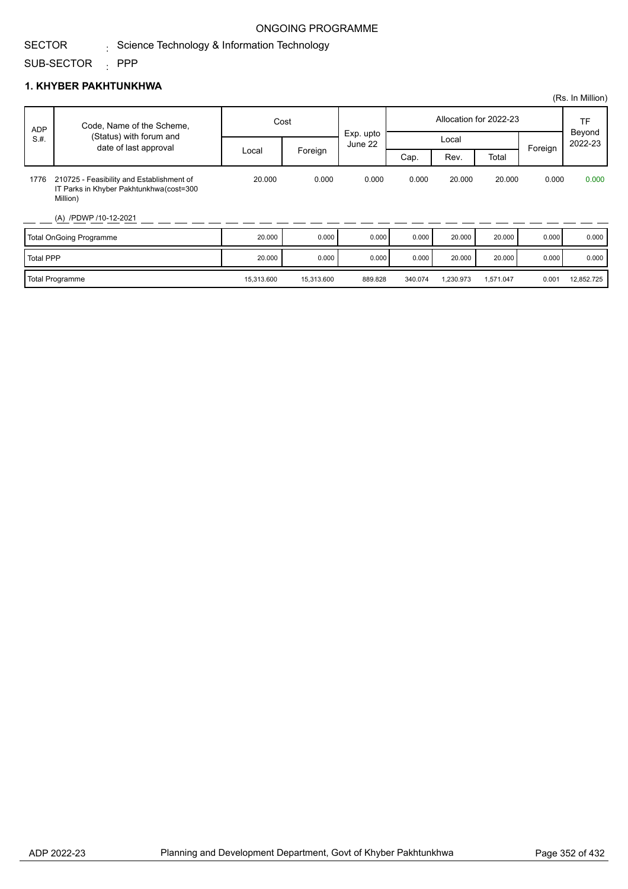#### SECTOR  $\frac{1}{\sqrt{2}}$  Science Technology & Information Technology

#### SUB-SECTOR : PPP

|                  |                                                                                                                            |            |            |                      |         |           |                        |         | (Rs. In Million)  |
|------------------|----------------------------------------------------------------------------------------------------------------------------|------------|------------|----------------------|---------|-----------|------------------------|---------|-------------------|
| <b>ADP</b>       | Code, Name of the Scheme,                                                                                                  | Cost       |            |                      |         |           | Allocation for 2022-23 |         | <b>TF</b>         |
| S.H.             | (Status) with forum and<br>date of last approval                                                                           |            |            | Exp. upto<br>June 22 | Local   |           |                        |         | Beyond<br>2022-23 |
|                  |                                                                                                                            | Local      | Foreign    |                      | Cap.    | Rev.      | Total                  | Foreign |                   |
| 1776             | 210725 - Feasibility and Establishment of<br>IT Parks in Khyber Pakhtunkhwa (cost=300<br>Million)<br>(A) /PDWP /10-12-2021 | 20.000     | 0.000      | 0.000                | 0.000   | 20.000    | 20,000                 | 0.000   | 0.000             |
|                  | <b>Total OnGoing Programme</b>                                                                                             | 20.000     | 0.000      | 0.000                | 0.000   | 20.000    | 20.000                 | 0.000   | 0.000             |
| <b>Total PPP</b> |                                                                                                                            | 20.000     | 0.000      | 0.000                | 0.000   | 20.000    | 20.000                 | 0.000   | 0.000             |
|                  | <b>Total Programme</b>                                                                                                     | 15,313.600 | 15,313.600 | 889.828              | 340.074 | 1,230.973 | 1,571.047              | 0.001   | 12,852.725        |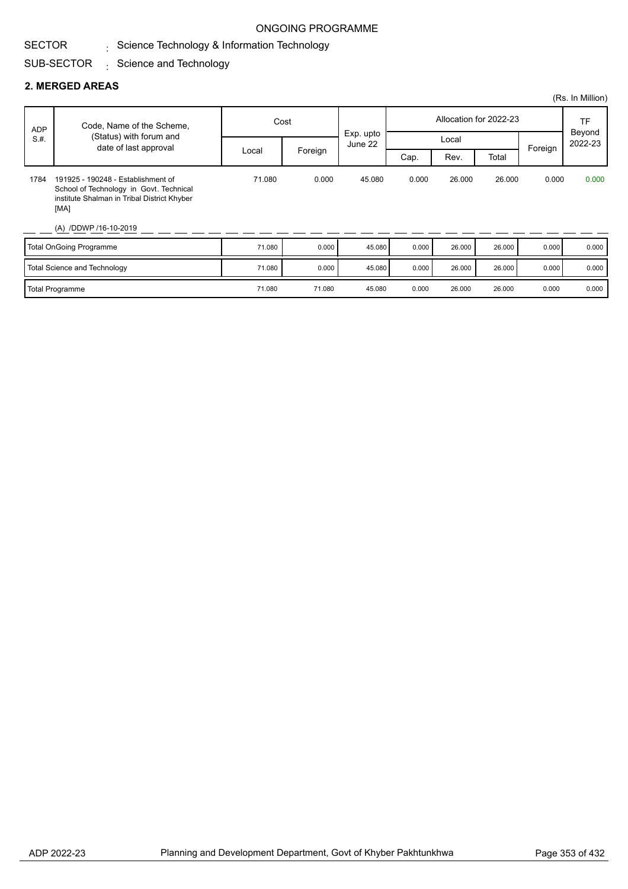#### SECTOR Science Technology & Information Technology :

#### SUB-SECTOR Science and Technology :

#### **2. MERGED AREAS**

|      |                                                                                                                                                               |        |                                                      |           |       |        |                        |         | (Rs. In Million)  |
|------|---------------------------------------------------------------------------------------------------------------------------------------------------------------|--------|------------------------------------------------------|-----------|-------|--------|------------------------|---------|-------------------|
| ADP  | Code, Name of the Scheme,                                                                                                                                     |        | Cost                                                 |           |       |        | Allocation for 2022-23 |         | TF                |
| S.H. | (Status) with forum and<br>date of last approval                                                                                                              |        | Local<br>June 22<br>Foreign<br>Rev.<br>Total<br>Cap. | Exp. upto |       |        |                        | Foreign | Beyond<br>2022-23 |
|      |                                                                                                                                                               | Local  |                                                      |           |       |        |                        |         |                   |
| 1784 | 191925 - 190248 - Establishment of<br>School of Technology in Govt. Technical<br>institute Shalman in Tribal District Khyber<br>[MA]<br>(A) /DDWP /16-10-2019 | 71.080 | 0.000                                                | 45.080    | 0.000 | 26.000 | 26.000                 | 0.000   | 0.000             |
|      | Total OnGoing Programme                                                                                                                                       | 71.080 | 0.000                                                | 45.080    | 0.000 | 26.000 | 26.000                 | 0.000   | 0.000             |
|      | Total Science and Technology                                                                                                                                  | 71.080 | 0.000                                                | 45.080    | 0.000 | 26.000 | 26.000                 | 0.000   | 0.000             |

Total Programme 2001 26.000 26.000 71.080 71.080 71.080 45.080 0.000 26.000 26.000 0.000 0.000 0.000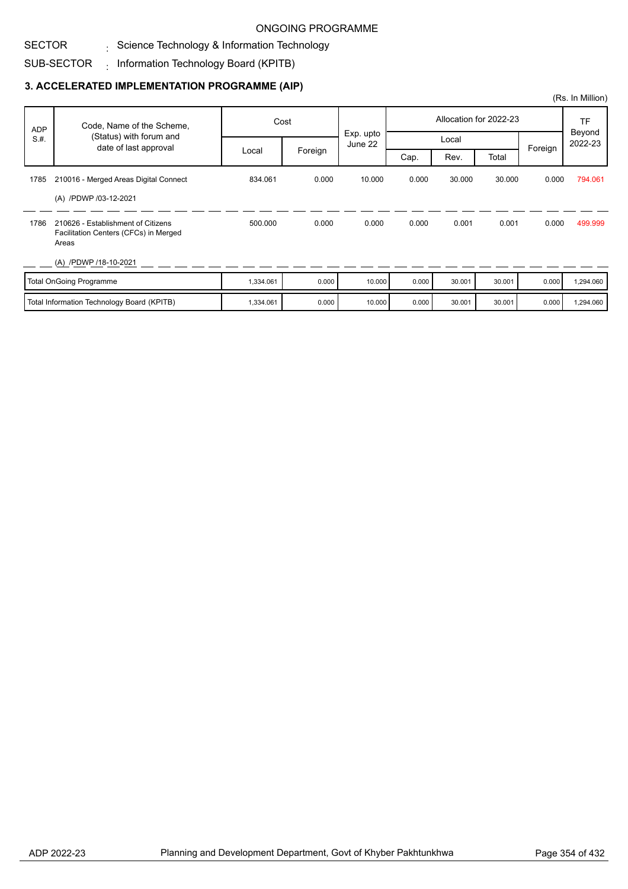#### SECTOR Science Technology & Information Technology :

#### SUB-SECTOR  $_{\rm i}$  Information Technology Board (KPITB)

### **3. ACCELERATED IMPLEMENTATION PROGRAMME (AIP)**

| <b>ADP</b> | Code, Name of the Scheme,<br>(Status) with forum and                                 |           | Cost    |                      |       |        | Allocation for 2022-23 |         | TF                |  |
|------------|--------------------------------------------------------------------------------------|-----------|---------|----------------------|-------|--------|------------------------|---------|-------------------|--|
| S.H.       |                                                                                      |           |         | Exp. upto<br>June 22 |       | Local  |                        |         | Beyond<br>2022-23 |  |
|            | date of last approval                                                                | Local     | Foreign |                      | Cap.  | Rev.   | Total                  | Foreign |                   |  |
| 1785       | 210016 - Merged Areas Digital Connect                                                | 834.061   | 0.000   | 10.000               | 0.000 | 30.000 | 30,000                 | 0.000   | 794.061           |  |
|            | (A) /PDWP /03-12-2021                                                                |           |         |                      |       |        |                        |         |                   |  |
| 1786       | 210626 - Establishment of Citizens<br>Facilitation Centers (CFCs) in Merged<br>Areas | 500.000   | 0.000   | 0.000                | 0.000 | 0.001  | 0.001                  | 0.000   | 499.999           |  |
|            | (A) /PDWP /18-10-2021                                                                |           |         |                      |       |        |                        |         |                   |  |
|            | <b>Total OnGoing Programme</b>                                                       | 1,334.061 | 0.000   | 10.000               | 0.000 | 30.001 | 30.001                 | 0.000   | 1,294.060         |  |

| Total Information Technology Board (KPITB) | 1,334.061 | 10.000 | 10.000 | 10.000 | 30.001 | 30.001 | 0.000 1,294.060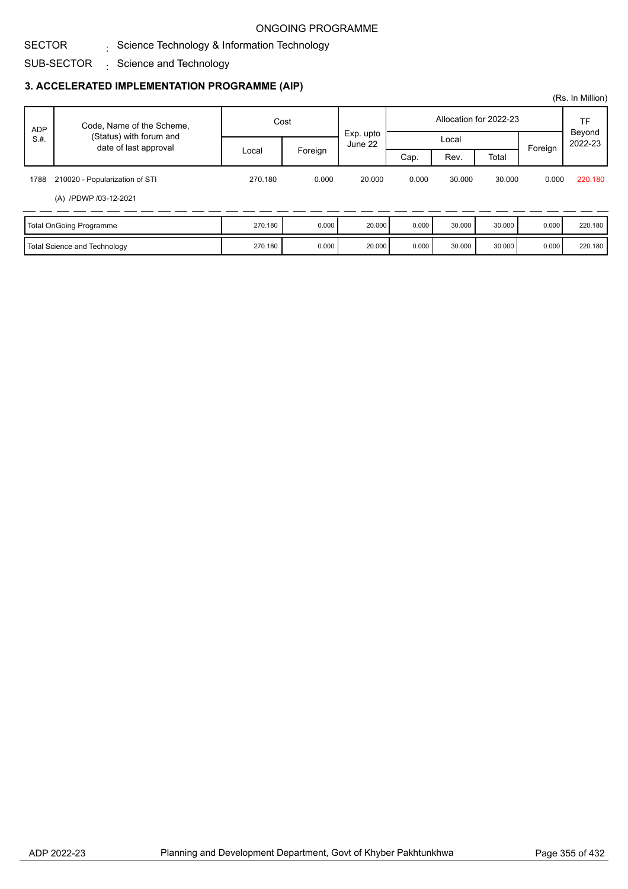#### SECTOR  $\frac{1}{\sqrt{2}}$  Science Technology & Information Technology

SUB-SECTOR  $\,$  Science and Technology

### **3. ACCELERATED IMPLEMENTATION PROGRAMME (AIP)**

|            |                                                  |         |         |         |                        |        |        |       | (Rs. In Million) |         |         |
|------------|--------------------------------------------------|---------|---------|---------|------------------------|--------|--------|-------|------------------|---------|---------|
| <b>ADP</b> | Code, Name of the Scheme,                        | Cost    |         |         | Allocation for 2022-23 |        |        |       | TF<br>Beyond     |         |         |
| S.H.       | (Status) with forum and<br>date of last approval |         |         | June 22 | Exp. upto              |        | Local  |       |                  | Foreign | 2022-23 |
|            |                                                  | Local   | Foreign |         | Cap.                   | Rev.   | Total  |       |                  |         |         |
| 1788       | 210020 - Popularization of STI                   | 270.180 | 0.000   | 20,000  | 0.000                  | 30,000 | 30.000 | 0.000 | 220.180          |         |         |
|            | (A) /PDWP /03-12-2021                            |         |         |         |                        |        |        |       |                  |         |         |
|            | Total OnGoing Programme                          | 270.180 | 0.000   | 20.000  | 0.000                  | 30.000 | 30.000 | 0.000 | 220.180          |         |         |
|            | Total Science and Technology                     | 270.180 | 0.000   | 20.000  | 0.000                  | 30.000 | 30.000 | 0.000 | 220.180          |         |         |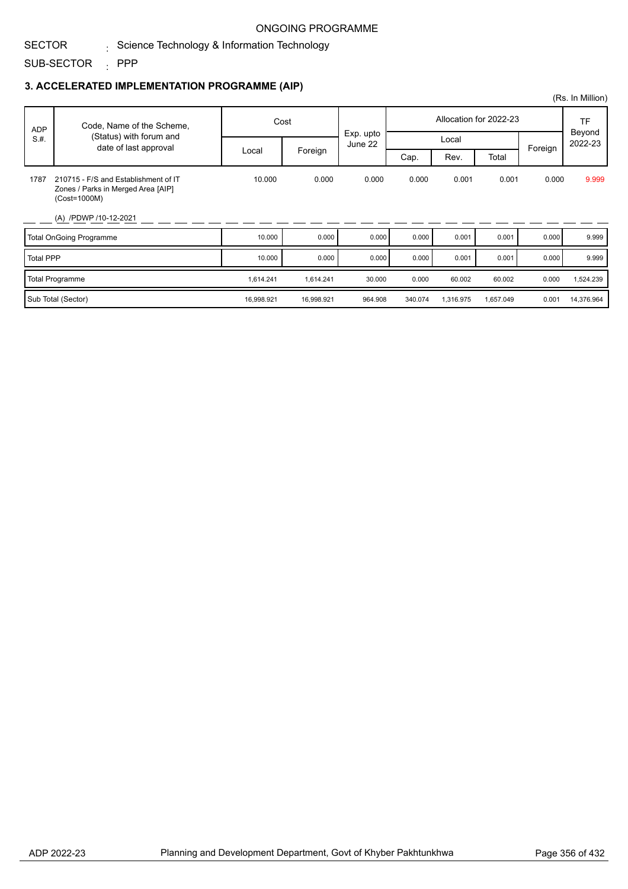#### SECTOR  $\frac{1}{\sqrt{2}}$  Science Technology & Information Technology

SUB-SECTOR PPP :

#### **3. ACCELERATED IMPLEMENTATION PROGRAMME (AIP)**

|                  |                                                                                            |            |            |                      |         |           |                        |         | (Rs. In Million)  |
|------------------|--------------------------------------------------------------------------------------------|------------|------------|----------------------|---------|-----------|------------------------|---------|-------------------|
| <b>ADP</b>       | Code, Name of the Scheme,                                                                  |            | Cost       |                      |         |           | Allocation for 2022-23 |         | TF                |
| S.H.             | (Status) with forum and<br>date of last approval                                           |            |            | Exp. upto<br>June 22 |         | Local     |                        | Foreign | Beyond<br>2022-23 |
|                  |                                                                                            | Local      | Foreign    |                      | Cap.    | Rev.      | Total                  |         |                   |
| 1787             | 210715 - F/S and Establishment of IT<br>Zones / Parks in Merged Area [AIP]<br>(Cost=1000M) | 10.000     | 0.000      | 0.000                | 0.000   | 0.001     | 0.001                  | 0.000   | 9.999             |
|                  | (A) /PDWP /10-12-2021                                                                      |            |            |                      |         |           |                        |         |                   |
|                  | <b>Total OnGoing Programme</b>                                                             | 10.000     | 0.000      | 0.000                | 0.000   | 0.001     | 0.001                  | 0.000   | 9.999             |
| <b>Total PPP</b> |                                                                                            | 10.000     | 0.000      | 0.000                | 0.000   | 0.001     | 0.001                  | 0.000   | 9.999             |
|                  | <b>Total Programme</b>                                                                     | 1,614.241  | 1,614.241  | 30.000               | 0.000   | 60.002    | 60.002                 | 0.000   | 1,524.239         |
|                  | Sub Total (Sector)                                                                         | 16,998.921 | 16,998.921 | 964.908              | 340.074 | 1,316.975 | 1,657.049              | 0.001   | 14,376.964        |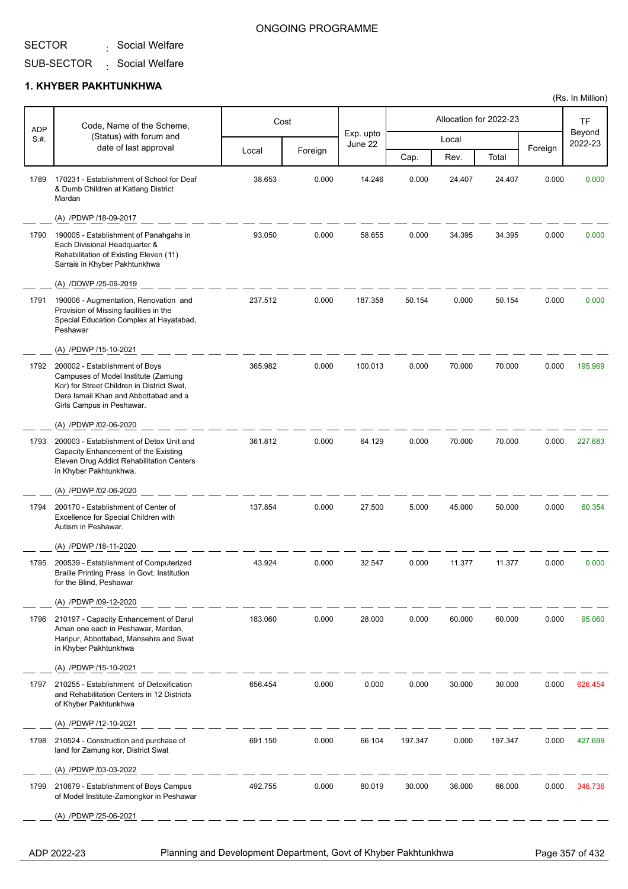#### SECTOR . Social Welfare

#### ONGOING PROGRAMME

#### SUB-SECTOR . Social Welfare

#### **1. KHYBER PAKHTUNKHWA**

| Beyond<br>Exp. upto<br>(Status) with forum and<br>S.#.<br>Local<br>2022-23<br>June 22<br>date of last approval<br>Foreign<br>Foreign<br>Local<br>Total<br>Cap.<br>Rev.<br>170231 - Establishment of School for Deaf<br>38.653<br>14.246<br>1789<br>0.000<br>0.000<br>24.407<br>24.407<br>0.000<br>0.000<br>& Dumb Children at Katlang District<br>Mardan<br>(A) /PDWP /18-09-2017<br>93.050<br>0.000<br>58.655<br>0.000<br>34.395<br>34.395<br>0.000<br>0.000<br>1790<br>190005 - Establishment of Panahgahs in<br>Each Divisional Headquarter &<br>Rehabilitation of Existing Eleven (11)<br>Sarrais in Khyber Pakhtunkhwa<br>(A) /DDWP /25-09-2019<br>0.000<br>190006 - Augmentation, Renovation and<br>237.512<br>0.000<br>0.000<br>0.000<br>1791<br>187.358<br>50.154<br>50.154<br>Provision of Missing facilities in the<br>Special Education Complex at Hayatabad,<br>Peshawar<br>(A) /PDWP /15-10-2021<br>365.982<br>0.000<br>100.013<br>0.000<br>70.000<br>70.000<br>0.000<br>195.969<br>1792<br>200002 - Establishment of Boys<br>Campuses of Model Institute (Zamung<br>Kor) for Street Children in District Swat,<br>Dera Ismail Khan and Abbottabad and a<br>Girls Campus in Peshawar.<br>(A) /PDWP /02-06-2020<br>0.000<br>200003 - Establishment of Detox Unit and<br>361.812<br>64.129<br>0.000<br>70.000<br>70.000<br>0.000<br>227.683<br>1793<br>Capacity Enhancement of the Existing<br>Eleven Drug Addict Rehabilitation Centers<br>in Khyber Pakhtunkhwa.<br>(A) /PDWP /02-06-2020<br>200170 - Establishment of Center of<br>137.854<br>0.000<br>27.500<br>5.000<br>45.000<br>50.000<br>0.000<br>60.354<br>1794<br>Excellence for Special Children with<br>Autism in Peshawar.<br>(A) /PDWP /18-11-2020<br>200539 - Establishment of Computerized<br>43.924<br>0.000<br>32.547<br>0.000<br>11.377<br>11.377<br>0.000<br>0.000<br>1795<br>Braille Printing Press in Govt. Institution<br>for the Blind, Peshawar<br>(A) /PDWP /09-12-2020<br>183.060<br>0.000<br>0.000<br>60.000<br>60.000<br>0.000<br>210197 - Capacity Enhancement of Darul<br>28.000<br>95.060<br>1796<br>Aman one each in Peshawar, Mardan,<br>Haripur, Abbottabad, Mansehra and Swat<br>in Khyber Pakhtunkhwa<br>(A) /PDWP /15-10-2021<br>656.454<br>0.000<br>0.000<br>30.000<br>30.000<br>1797<br>210255 - Establishment of Detoxification<br>0.000<br>0.000<br>626.454<br>and Rehabilitation Centers in 12 Districts<br>of Khyber Pakhtunkhwa<br>(A) /PDWP /12-10-2021<br>691.150<br>0.000<br>0.000<br>0.000<br>210524 - Construction and purchase of<br>66.104<br>197.347<br>197.347<br>427.699<br>1798<br>land for Zamung kor, District Swat<br>(A) /PDWP /03-03-2022<br>492.755<br>0.000<br>80.019<br>30.000<br>36.000<br>66.000<br>0.000<br>1799<br>210679 - Establishment of Boys Campus<br>346.736<br>of Model Institute-Zamongkor in Peshawar<br>(A) /PDWP /25-06-2021 | <b>ADP</b> | Code, Name of the Scheme, | Cost |  | Allocation for 2022-23 | <b>TF</b> |
|-------------------------------------------------------------------------------------------------------------------------------------------------------------------------------------------------------------------------------------------------------------------------------------------------------------------------------------------------------------------------------------------------------------------------------------------------------------------------------------------------------------------------------------------------------------------------------------------------------------------------------------------------------------------------------------------------------------------------------------------------------------------------------------------------------------------------------------------------------------------------------------------------------------------------------------------------------------------------------------------------------------------------------------------------------------------------------------------------------------------------------------------------------------------------------------------------------------------------------------------------------------------------------------------------------------------------------------------------------------------------------------------------------------------------------------------------------------------------------------------------------------------------------------------------------------------------------------------------------------------------------------------------------------------------------------------------------------------------------------------------------------------------------------------------------------------------------------------------------------------------------------------------------------------------------------------------------------------------------------------------------------------------------------------------------------------------------------------------------------------------------------------------------------------------------------------------------------------------------------------------------------------------------------------------------------------------------------------------------------------------------------------------------------------------------------------------------------------------------------------------------------------------------------------------------------------------------------------------------------------------------------------------------------------------------------------------------------------------------------------------------------------------------------------------------------------------------------------------------------------------|------------|---------------------------|------|--|------------------------|-----------|
|                                                                                                                                                                                                                                                                                                                                                                                                                                                                                                                                                                                                                                                                                                                                                                                                                                                                                                                                                                                                                                                                                                                                                                                                                                                                                                                                                                                                                                                                                                                                                                                                                                                                                                                                                                                                                                                                                                                                                                                                                                                                                                                                                                                                                                                                                                                                                                                                                                                                                                                                                                                                                                                                                                                                                                                                                                                                         |            |                           |      |  |                        |           |
|                                                                                                                                                                                                                                                                                                                                                                                                                                                                                                                                                                                                                                                                                                                                                                                                                                                                                                                                                                                                                                                                                                                                                                                                                                                                                                                                                                                                                                                                                                                                                                                                                                                                                                                                                                                                                                                                                                                                                                                                                                                                                                                                                                                                                                                                                                                                                                                                                                                                                                                                                                                                                                                                                                                                                                                                                                                                         |            |                           |      |  |                        |           |
|                                                                                                                                                                                                                                                                                                                                                                                                                                                                                                                                                                                                                                                                                                                                                                                                                                                                                                                                                                                                                                                                                                                                                                                                                                                                                                                                                                                                                                                                                                                                                                                                                                                                                                                                                                                                                                                                                                                                                                                                                                                                                                                                                                                                                                                                                                                                                                                                                                                                                                                                                                                                                                                                                                                                                                                                                                                                         |            |                           |      |  |                        |           |
|                                                                                                                                                                                                                                                                                                                                                                                                                                                                                                                                                                                                                                                                                                                                                                                                                                                                                                                                                                                                                                                                                                                                                                                                                                                                                                                                                                                                                                                                                                                                                                                                                                                                                                                                                                                                                                                                                                                                                                                                                                                                                                                                                                                                                                                                                                                                                                                                                                                                                                                                                                                                                                                                                                                                                                                                                                                                         |            |                           |      |  |                        |           |
|                                                                                                                                                                                                                                                                                                                                                                                                                                                                                                                                                                                                                                                                                                                                                                                                                                                                                                                                                                                                                                                                                                                                                                                                                                                                                                                                                                                                                                                                                                                                                                                                                                                                                                                                                                                                                                                                                                                                                                                                                                                                                                                                                                                                                                                                                                                                                                                                                                                                                                                                                                                                                                                                                                                                                                                                                                                                         |            |                           |      |  |                        |           |
|                                                                                                                                                                                                                                                                                                                                                                                                                                                                                                                                                                                                                                                                                                                                                                                                                                                                                                                                                                                                                                                                                                                                                                                                                                                                                                                                                                                                                                                                                                                                                                                                                                                                                                                                                                                                                                                                                                                                                                                                                                                                                                                                                                                                                                                                                                                                                                                                                                                                                                                                                                                                                                                                                                                                                                                                                                                                         |            |                           |      |  |                        |           |
|                                                                                                                                                                                                                                                                                                                                                                                                                                                                                                                                                                                                                                                                                                                                                                                                                                                                                                                                                                                                                                                                                                                                                                                                                                                                                                                                                                                                                                                                                                                                                                                                                                                                                                                                                                                                                                                                                                                                                                                                                                                                                                                                                                                                                                                                                                                                                                                                                                                                                                                                                                                                                                                                                                                                                                                                                                                                         |            |                           |      |  |                        |           |
|                                                                                                                                                                                                                                                                                                                                                                                                                                                                                                                                                                                                                                                                                                                                                                                                                                                                                                                                                                                                                                                                                                                                                                                                                                                                                                                                                                                                                                                                                                                                                                                                                                                                                                                                                                                                                                                                                                                                                                                                                                                                                                                                                                                                                                                                                                                                                                                                                                                                                                                                                                                                                                                                                                                                                                                                                                                                         |            |                           |      |  |                        |           |
|                                                                                                                                                                                                                                                                                                                                                                                                                                                                                                                                                                                                                                                                                                                                                                                                                                                                                                                                                                                                                                                                                                                                                                                                                                                                                                                                                                                                                                                                                                                                                                                                                                                                                                                                                                                                                                                                                                                                                                                                                                                                                                                                                                                                                                                                                                                                                                                                                                                                                                                                                                                                                                                                                                                                                                                                                                                                         |            |                           |      |  |                        |           |
|                                                                                                                                                                                                                                                                                                                                                                                                                                                                                                                                                                                                                                                                                                                                                                                                                                                                                                                                                                                                                                                                                                                                                                                                                                                                                                                                                                                                                                                                                                                                                                                                                                                                                                                                                                                                                                                                                                                                                                                                                                                                                                                                                                                                                                                                                                                                                                                                                                                                                                                                                                                                                                                                                                                                                                                                                                                                         |            |                           |      |  |                        |           |
|                                                                                                                                                                                                                                                                                                                                                                                                                                                                                                                                                                                                                                                                                                                                                                                                                                                                                                                                                                                                                                                                                                                                                                                                                                                                                                                                                                                                                                                                                                                                                                                                                                                                                                                                                                                                                                                                                                                                                                                                                                                                                                                                                                                                                                                                                                                                                                                                                                                                                                                                                                                                                                                                                                                                                                                                                                                                         |            |                           |      |  |                        |           |
|                                                                                                                                                                                                                                                                                                                                                                                                                                                                                                                                                                                                                                                                                                                                                                                                                                                                                                                                                                                                                                                                                                                                                                                                                                                                                                                                                                                                                                                                                                                                                                                                                                                                                                                                                                                                                                                                                                                                                                                                                                                                                                                                                                                                                                                                                                                                                                                                                                                                                                                                                                                                                                                                                                                                                                                                                                                                         |            |                           |      |  |                        |           |
|                                                                                                                                                                                                                                                                                                                                                                                                                                                                                                                                                                                                                                                                                                                                                                                                                                                                                                                                                                                                                                                                                                                                                                                                                                                                                                                                                                                                                                                                                                                                                                                                                                                                                                                                                                                                                                                                                                                                                                                                                                                                                                                                                                                                                                                                                                                                                                                                                                                                                                                                                                                                                                                                                                                                                                                                                                                                         |            |                           |      |  |                        |           |
|                                                                                                                                                                                                                                                                                                                                                                                                                                                                                                                                                                                                                                                                                                                                                                                                                                                                                                                                                                                                                                                                                                                                                                                                                                                                                                                                                                                                                                                                                                                                                                                                                                                                                                                                                                                                                                                                                                                                                                                                                                                                                                                                                                                                                                                                                                                                                                                                                                                                                                                                                                                                                                                                                                                                                                                                                                                                         |            |                           |      |  |                        |           |
|                                                                                                                                                                                                                                                                                                                                                                                                                                                                                                                                                                                                                                                                                                                                                                                                                                                                                                                                                                                                                                                                                                                                                                                                                                                                                                                                                                                                                                                                                                                                                                                                                                                                                                                                                                                                                                                                                                                                                                                                                                                                                                                                                                                                                                                                                                                                                                                                                                                                                                                                                                                                                                                                                                                                                                                                                                                                         |            |                           |      |  |                        |           |
|                                                                                                                                                                                                                                                                                                                                                                                                                                                                                                                                                                                                                                                                                                                                                                                                                                                                                                                                                                                                                                                                                                                                                                                                                                                                                                                                                                                                                                                                                                                                                                                                                                                                                                                                                                                                                                                                                                                                                                                                                                                                                                                                                                                                                                                                                                                                                                                                                                                                                                                                                                                                                                                                                                                                                                                                                                                                         |            |                           |      |  |                        |           |
|                                                                                                                                                                                                                                                                                                                                                                                                                                                                                                                                                                                                                                                                                                                                                                                                                                                                                                                                                                                                                                                                                                                                                                                                                                                                                                                                                                                                                                                                                                                                                                                                                                                                                                                                                                                                                                                                                                                                                                                                                                                                                                                                                                                                                                                                                                                                                                                                                                                                                                                                                                                                                                                                                                                                                                                                                                                                         |            |                           |      |  |                        |           |
|                                                                                                                                                                                                                                                                                                                                                                                                                                                                                                                                                                                                                                                                                                                                                                                                                                                                                                                                                                                                                                                                                                                                                                                                                                                                                                                                                                                                                                                                                                                                                                                                                                                                                                                                                                                                                                                                                                                                                                                                                                                                                                                                                                                                                                                                                                                                                                                                                                                                                                                                                                                                                                                                                                                                                                                                                                                                         |            |                           |      |  |                        |           |
|                                                                                                                                                                                                                                                                                                                                                                                                                                                                                                                                                                                                                                                                                                                                                                                                                                                                                                                                                                                                                                                                                                                                                                                                                                                                                                                                                                                                                                                                                                                                                                                                                                                                                                                                                                                                                                                                                                                                                                                                                                                                                                                                                                                                                                                                                                                                                                                                                                                                                                                                                                                                                                                                                                                                                                                                                                                                         |            |                           |      |  |                        |           |
|                                                                                                                                                                                                                                                                                                                                                                                                                                                                                                                                                                                                                                                                                                                                                                                                                                                                                                                                                                                                                                                                                                                                                                                                                                                                                                                                                                                                                                                                                                                                                                                                                                                                                                                                                                                                                                                                                                                                                                                                                                                                                                                                                                                                                                                                                                                                                                                                                                                                                                                                                                                                                                                                                                                                                                                                                                                                         |            |                           |      |  |                        |           |
|                                                                                                                                                                                                                                                                                                                                                                                                                                                                                                                                                                                                                                                                                                                                                                                                                                                                                                                                                                                                                                                                                                                                                                                                                                                                                                                                                                                                                                                                                                                                                                                                                                                                                                                                                                                                                                                                                                                                                                                                                                                                                                                                                                                                                                                                                                                                                                                                                                                                                                                                                                                                                                                                                                                                                                                                                                                                         |            |                           |      |  |                        |           |
|                                                                                                                                                                                                                                                                                                                                                                                                                                                                                                                                                                                                                                                                                                                                                                                                                                                                                                                                                                                                                                                                                                                                                                                                                                                                                                                                                                                                                                                                                                                                                                                                                                                                                                                                                                                                                                                                                                                                                                                                                                                                                                                                                                                                                                                                                                                                                                                                                                                                                                                                                                                                                                                                                                                                                                                                                                                                         |            |                           |      |  |                        |           |
|                                                                                                                                                                                                                                                                                                                                                                                                                                                                                                                                                                                                                                                                                                                                                                                                                                                                                                                                                                                                                                                                                                                                                                                                                                                                                                                                                                                                                                                                                                                                                                                                                                                                                                                                                                                                                                                                                                                                                                                                                                                                                                                                                                                                                                                                                                                                                                                                                                                                                                                                                                                                                                                                                                                                                                                                                                                                         |            |                           |      |  |                        |           |
|                                                                                                                                                                                                                                                                                                                                                                                                                                                                                                                                                                                                                                                                                                                                                                                                                                                                                                                                                                                                                                                                                                                                                                                                                                                                                                                                                                                                                                                                                                                                                                                                                                                                                                                                                                                                                                                                                                                                                                                                                                                                                                                                                                                                                                                                                                                                                                                                                                                                                                                                                                                                                                                                                                                                                                                                                                                                         |            |                           |      |  |                        |           |

ADP 2022-23 Planning and Development Department, Govt of Khyber Pakhtunkhwa Page 357 of 432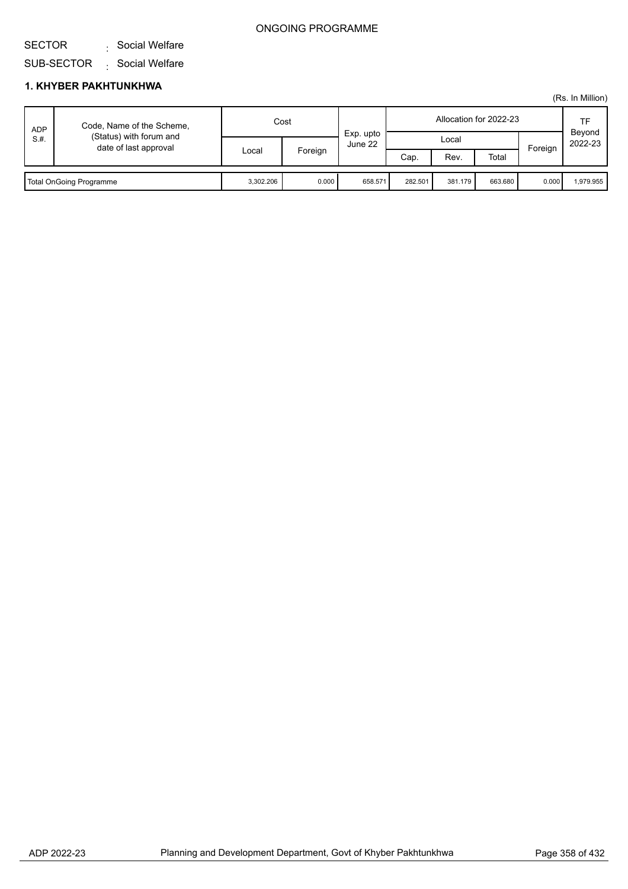#### SECTOR . Social Welfare

SUB-SECTOR . Social Welfare

|      |                                                                               |           |         |                      |                        |         |         |         | (Rs. In Million)  |
|------|-------------------------------------------------------------------------------|-----------|---------|----------------------|------------------------|---------|---------|---------|-------------------|
| ADP  | Code, Name of the Scheme,<br>(Status) with forum and<br>date of last approval | Cost      |         |                      | Allocation for 2022-23 |         |         |         | TF                |
| S.H. |                                                                               |           | Foreign | Exp. upto<br>June 22 | Local                  |         |         | Foreign | Beyond<br>2022-23 |
|      |                                                                               | Local     |         |                      | Cap.                   | Rev.    | Total   |         |                   |
|      |                                                                               |           |         |                      |                        |         |         |         |                   |
|      | Total OnGoing Programme                                                       | 3,302.206 | 0.000   | 658.571              | 282.501                | 381.179 | 663.680 | 0.000   | 1.979.955         |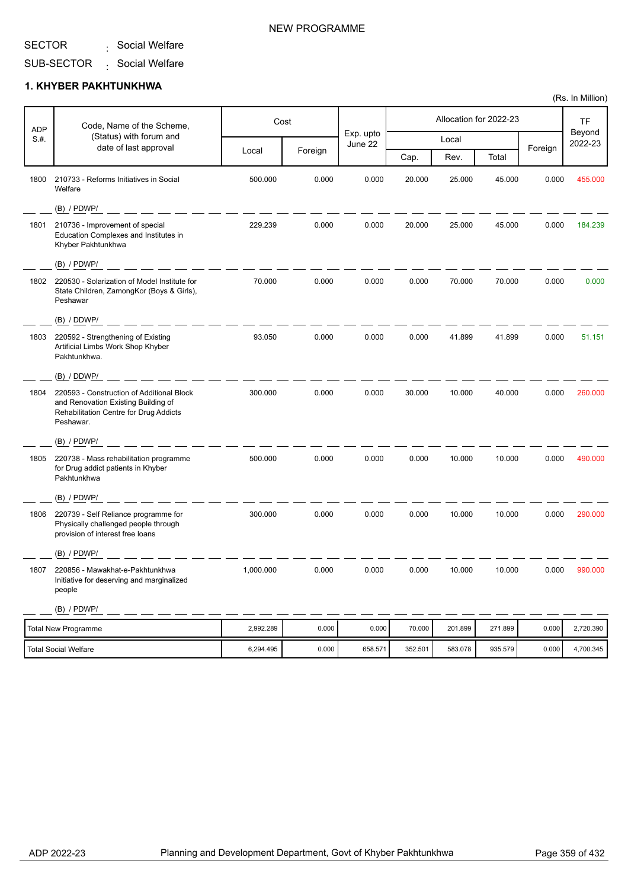#### SECTOR . Social Welfare

SUB-SECTOR . Social Welfare

## **1. KHYBER PAKHTUNKHWA**

| <b>ADP</b> | Code, Name of the Scheme,                                                                                                               |           | Cost    |                      |         |         | Allocation for 2022-23 |         | TF                |
|------------|-----------------------------------------------------------------------------------------------------------------------------------------|-----------|---------|----------------------|---------|---------|------------------------|---------|-------------------|
| S.H.       | (Status) with forum and                                                                                                                 |           |         | Exp. upto<br>June 22 |         | Local   |                        |         | Beyond<br>2022-23 |
|            | date of last approval                                                                                                                   | Local     | Foreign |                      | Cap.    | Rev.    | Total                  | Foreign |                   |
| 1800       | 210733 - Reforms Initiatives in Social<br>Welfare                                                                                       | 500.000   | 0.000   | 0.000                | 20.000  | 25.000  | 45.000                 | 0.000   | 455.000           |
|            | (B) / PDWP/                                                                                                                             |           |         |                      |         |         |                        |         |                   |
| 1801       | 210736 - Improvement of special<br>Education Complexes and Institutes in<br>Khyber Pakhtunkhwa                                          | 229.239   | 0.000   | 0.000                | 20.000  | 25.000  | 45.000                 | 0.000   | 184.239           |
|            | (B) / PDWP/                                                                                                                             |           |         |                      |         |         |                        |         |                   |
| 1802       | 220530 - Solarization of Model Institute for<br>State Children, ZamongKor (Boys & Girls),<br>Peshawar                                   | 70.000    | 0.000   | 0.000                | 0.000   | 70.000  | 70.000                 | 0.000   | 0.000             |
|            | (B) / DDWP/                                                                                                                             |           |         |                      |         |         |                        |         |                   |
| 1803       | 220592 - Strengthening of Existing<br>Artificial Limbs Work Shop Khyber<br>Pakhtunkhwa.                                                 | 93.050    | 0.000   | 0.000                | 0.000   | 41.899  | 41.899                 | 0.000   | 51.151            |
|            | (B) / DDWP/                                                                                                                             |           |         |                      |         |         |                        |         |                   |
| 1804       | 220593 - Construction of Additional Block<br>and Renovation Existing Building of<br>Rehabilitation Centre for Drug Addicts<br>Peshawar. | 300.000   | 0.000   | 0.000                | 30.000  | 10.000  | 40.000                 | 0.000   | 260.000           |
|            | (B) / PDWP/                                                                                                                             |           |         |                      |         |         |                        |         |                   |
| 1805       | 220738 - Mass rehabilitation programme<br>for Drug addict patients in Khyber<br>Pakhtunkhwa                                             | 500.000   | 0.000   | 0.000                | 0.000   | 10.000  | 10.000                 | 0.000   | 490.000           |
|            | (B) / PDWP/                                                                                                                             |           |         |                      |         |         |                        |         |                   |
| 1806       | 220739 - Self Reliance programme for<br>Physically challenged people through<br>provision of interest free loans                        | 300.000   | 0.000   | 0.000                | 0.000   | 10.000  | 10.000                 | 0.000   | 290.000           |
|            | (B) / PDWP/                                                                                                                             |           |         |                      |         |         |                        |         |                   |
| 1807       | 220856 - Mawakhat-e-Pakhtunkhwa<br>Initiative for deserving and marginalized<br>people                                                  | 1,000.000 | 0.000   | 0.000                | 0.000   | 10.000  | 10.000                 | 0.000   | 990.000           |
|            | (B) / PDWP/                                                                                                                             |           |         |                      |         |         |                        |         |                   |
|            | <b>Total New Programme</b>                                                                                                              | 2,992.289 | 0.000   | 0.000                | 70.000  | 201.899 | 271.899                | 0.000   | 2,720.390         |
|            | <b>Total Social Welfare</b>                                                                                                             | 6,294.495 | 0.000   | 658.571              | 352.501 | 583.078 | 935.579                | 0.000   | 4,700.345         |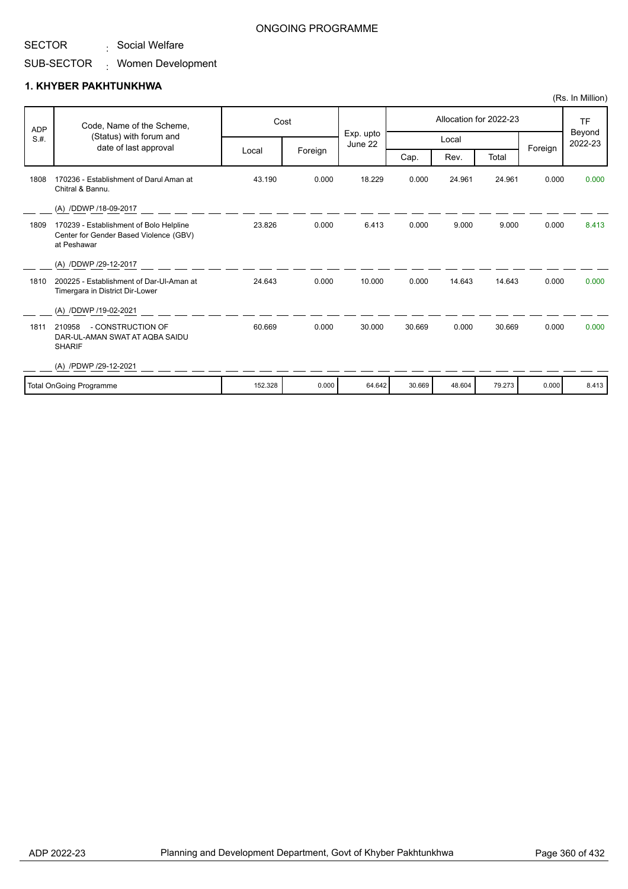. Social Welfare

#### SUB-SECTOR Women Development :

#### **1. KHYBER PAKHTUNKHWA**

| <b>ADP</b><br>S.H.             | Code, Name of the Scheme,<br>(Status) with forum and<br>date of last approval                    | Cost    |         |                      | Allocation for 2022-23 |        |        |         | <b>TF</b>         |
|--------------------------------|--------------------------------------------------------------------------------------------------|---------|---------|----------------------|------------------------|--------|--------|---------|-------------------|
|                                |                                                                                                  |         | Foreign | Exp. upto<br>June 22 | Local                  |        |        |         | Beyond<br>2022-23 |
|                                |                                                                                                  | Local   |         |                      | Cap.                   | Rev.   | Total  | Foreign |                   |
| 1808                           | 170236 - Establishment of Darul Aman at<br>Chitral & Bannu.                                      | 43.190  | 0.000   | 18.229               | 0.000                  | 24.961 | 24.961 | 0.000   | 0.000             |
|                                | (A) /DDWP /18-09-2017                                                                            |         |         |                      |                        |        |        |         |                   |
| 1809                           | 170239 - Establishment of Bolo Helpline<br>Center for Gender Based Violence (GBV)<br>at Peshawar | 23.826  | 0.000   | 6.413                | 0.000                  | 9.000  | 9.000  | 0.000   | 8.413             |
|                                | (A) /DDWP /29-12-2017                                                                            |         |         |                      |                        |        |        |         |                   |
| 1810                           | 200225 - Establishment of Dar-Ul-Aman at<br>Timergara in District Dir-Lower                      | 24.643  | 0.000   | 10.000               | 0.000                  | 14.643 | 14.643 | 0.000   | 0.000             |
|                                | (A) /DDWP /19-02-2021                                                                            |         |         |                      |                        |        |        |         |                   |
| 1811                           | - CONSTRUCTION OF<br>210958<br>DAR-UL-AMAN SWAT AT AQBA SAIDU<br><b>SHARIF</b>                   | 60.669  | 0.000   | 30.000               | 30.669                 | 0.000  | 30.669 | 0.000   | 0.000             |
|                                | (A) /PDWP /29-12-2021                                                                            |         |         |                      |                        |        |        |         |                   |
| <b>Total OnGoing Programme</b> |                                                                                                  | 152.328 | 0.000   | 64.642               | 30.669                 | 48.604 | 79.273 | 0.000   | 8.413             |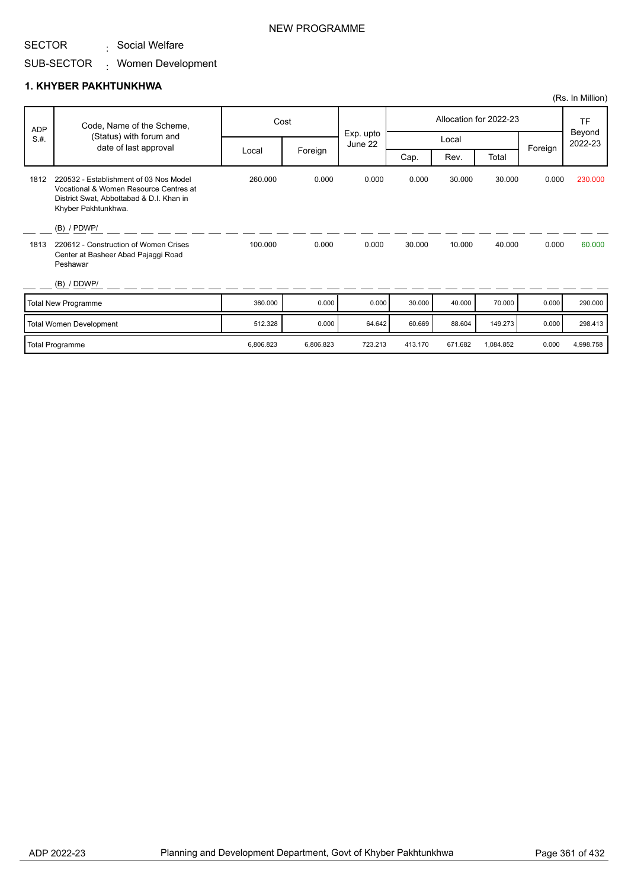. Social Welfare

### SUB-SECTOR Women Development :

|            |                                                                                                                                                     |           |           |                      |         |         |                        |         | (Rs. In Million)  |
|------------|-----------------------------------------------------------------------------------------------------------------------------------------------------|-----------|-----------|----------------------|---------|---------|------------------------|---------|-------------------|
| <b>ADP</b> | Code, Name of the Scheme,                                                                                                                           |           | Cost      |                      |         |         | Allocation for 2022-23 |         | <b>TF</b>         |
| S.H.       | (Status) with forum and                                                                                                                             |           |           | Exp. upto<br>June 22 |         | Local   |                        |         | Beyond<br>2022-23 |
|            | date of last approval                                                                                                                               | Local     | Foreign   |                      | Cap.    | Rev.    | Total                  | Foreign |                   |
| 1812       | 220532 - Establishment of 03 Nos Model<br>Vocational & Women Resource Centres at<br>District Swat, Abbottabad & D.I. Khan in<br>Khyber Pakhtunkhwa. | 260.000   | 0.000     | 0.000                | 0.000   | 30.000  | 30.000                 | 0.000   | 230.000           |
|            | $(B)$ / PDWP/                                                                                                                                       |           |           |                      |         |         |                        |         |                   |
| 1813       | 220612 - Construction of Women Crises<br>Center at Basheer Abad Pajaggi Road<br>Peshawar                                                            | 100.000   | 0.000     | 0.000                | 30.000  | 10.000  | 40.000                 | 0.000   | 60.000            |
|            | (B) / DDWP/                                                                                                                                         |           |           |                      |         |         |                        |         |                   |
|            | <b>Total New Programme</b>                                                                                                                          | 360,000   | 0.000     | 0.000                | 30.000  | 40.000  | 70.000                 | 0.000   | 290.000           |
|            | <b>Total Women Development</b>                                                                                                                      | 512.328   | 0.000     | 64.642               | 60.669  | 88.604  | 149.273                | 0.000   | 298.413           |
|            | <b>Total Programme</b>                                                                                                                              | 6,806.823 | 6,806.823 | 723.213              | 413.170 | 671.682 | 1,084.852              | 0.000   | 4,998.758         |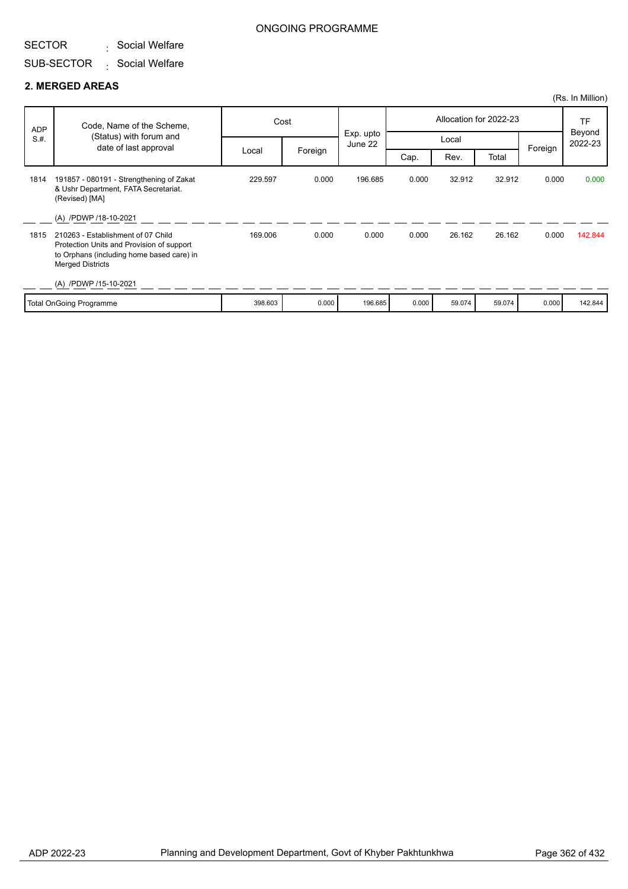### SECTOR . Social Welfare

## ONGOING PROGRAMME

### SUB-SECTOR . Social Welfare

|            |                                                                                                                                                         |         |         |                      |       |        |                        |         | (Rs. In Million)  |
|------------|---------------------------------------------------------------------------------------------------------------------------------------------------------|---------|---------|----------------------|-------|--------|------------------------|---------|-------------------|
| <b>ADP</b> | Code, Name of the Scheme,                                                                                                                               | Cost    |         |                      |       |        | Allocation for 2022-23 |         | TF                |
| S.H.       | (Status) with forum and<br>date of last approval                                                                                                        |         |         | Exp. upto<br>June 22 |       | Local  |                        | Foreign | Beyond<br>2022-23 |
|            |                                                                                                                                                         | Local   | Foreign |                      | Cap.  | Rev.   | Total                  |         |                   |
| 1814       | 191857 - 080191 - Strengthening of Zakat<br>& Ushr Department, FATA Secretariat.<br>(Revised) [MA]                                                      | 229.597 | 0.000   | 196.685              | 0.000 | 32.912 | 32.912                 | 0.000   | 0.000             |
|            | (A) /PDWP /18-10-2021                                                                                                                                   |         |         |                      |       |        |                        |         |                   |
| 1815       | 210263 - Establishment of 07 Child<br>Protection Units and Provision of support<br>to Orphans (including home based care) in<br><b>Merged Districts</b> | 169.006 | 0.000   | 0.000                | 0.000 | 26.162 | 26.162                 | 0.000   | 142.844           |
|            | (A) /PDWP /15-10-2021                                                                                                                                   |         |         |                      |       |        |                        |         |                   |
|            | Total OnGoing Programme                                                                                                                                 | 398.603 | 0.000   | 196.685              | 0.000 | 59.074 | 59.074                 | 0.000   | 142.844           |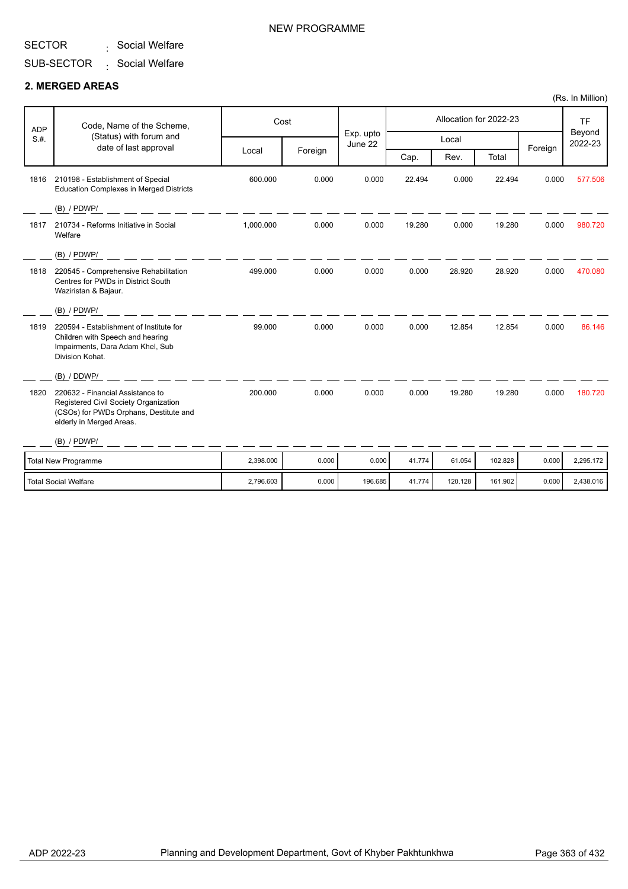. Social Welfare

### SUB-SECTOR . Social Welfare

### **2. MERGED AREAS**

| <b>ADP</b> | Code, Name of the Scheme,                                                                                                                       |           | Cost    |                      | Allocation for 2022-23 |         |         |         | <b>TF</b>         |
|------------|-------------------------------------------------------------------------------------------------------------------------------------------------|-----------|---------|----------------------|------------------------|---------|---------|---------|-------------------|
| S.H.       | (Status) with forum and<br>date of last approval                                                                                                |           |         | Exp. upto<br>June 22 |                        | Local   |         | Foreign | Beyond<br>2022-23 |
|            |                                                                                                                                                 | Local     | Foreign |                      | Cap.                   | Rev.    | Total   |         |                   |
| 1816       | 210198 - Establishment of Special<br><b>Education Complexes in Merged Districts</b>                                                             | 600.000   | 0.000   | 0.000                | 22.494                 | 0.000   | 22.494  | 0.000   | 577.506           |
|            | $(B)$ / PDWP/                                                                                                                                   |           |         |                      |                        |         |         |         |                   |
| 1817       | 210734 - Reforms Initiative in Social<br>Welfare                                                                                                | 1,000.000 | 0.000   | 0.000                | 19.280                 | 0.000   | 19.280  | 0.000   | 980.720           |
|            | $(B)$ / PDWP/                                                                                                                                   |           |         |                      |                        |         |         |         |                   |
| 1818       | 220545 - Comprehensive Rehabilitation<br>Centres for PWDs in District South<br>Waziristan & Bajaur.                                             | 499.000   | 0.000   | 0.000                | 0.000                  | 28.920  | 28.920  | 0.000   | 470.080           |
|            | $(B)$ / PDWP/                                                                                                                                   |           |         |                      |                        |         |         |         |                   |
| 1819       | 220594 - Establishment of Institute for<br>Children with Speech and hearing<br>Impairments, Dara Adam Khel, Sub<br>Division Kohat.              | 99.000    | 0.000   | 0.000                | 0.000                  | 12.854  | 12.854  | 0.000   | 86.146            |
|            | (B) / DDWP/                                                                                                                                     |           |         |                      |                        |         |         |         |                   |
| 1820       | 220632 - Financial Assistance to<br>Registered Civil Society Organization<br>(CSOs) for PWDs Orphans, Destitute and<br>elderly in Merged Areas. | 200.000   | 0.000   | 0.000                | 0.000                  | 19.280  | 19.280  | 0.000   | 180.720           |
|            | $(B)$ / PDWP/                                                                                                                                   |           |         |                      |                        |         |         |         |                   |
|            | <b>Total New Programme</b>                                                                                                                      | 2,398.000 | 0.000   | 0.000                | 41.774                 | 61.054  | 102.828 | 0.000   | 2,295.172         |
|            | <b>Total Social Welfare</b>                                                                                                                     | 2,796.603 | 0.000   | 196.685              | 41.774                 | 120.128 | 161.902 | 0.000   | 2,438.016         |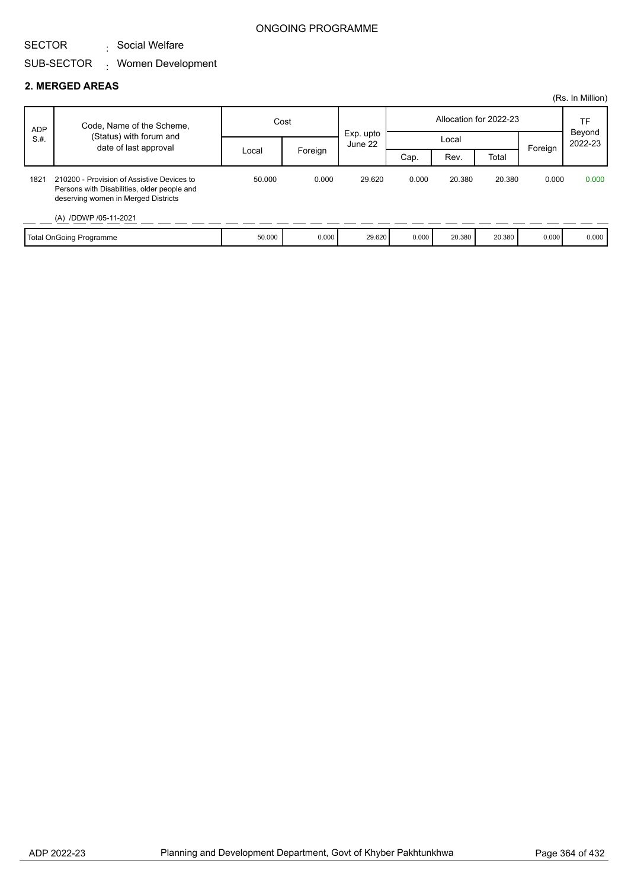### SECTOR . Social Welfare

### SUB-SECTOR Women Development :

|            |                                                                                                                                  |        |                               |        |       |        |                        |         | (Rs. In Million) |
|------------|----------------------------------------------------------------------------------------------------------------------------------|--------|-------------------------------|--------|-------|--------|------------------------|---------|------------------|
| <b>ADP</b> | Code, Name of the Scheme,                                                                                                        | Cost   |                               |        |       |        | Allocation for 2022-23 |         | TF               |
| S.H.       | (Status) with forum and<br>date of last approval                                                                                 |        | Exp. upto<br>Local<br>June 22 |        |       |        | Beyond<br>2022-23      |         |                  |
|            |                                                                                                                                  | Local  | Foreign                       |        | Cap.  | Rev.   | Total                  | Foreign |                  |
| 1821       | 210200 - Provision of Assistive Devices to<br>Persons with Disabilities, older people and<br>deserving women in Merged Districts | 50.000 | 0.000                         | 29.620 | 0.000 | 20.380 | 20.380                 | 0.000   | 0.000            |
|            | (A) /DDWP /05-11-2021                                                                                                            |        |                               |        |       |        |                        |         |                  |
|            | <b>Total OnGoing Programme</b>                                                                                                   | 50.000 | 0.000                         | 29.620 | 0.000 | 20.380 | 20.380                 | 0.000   | 0.000            |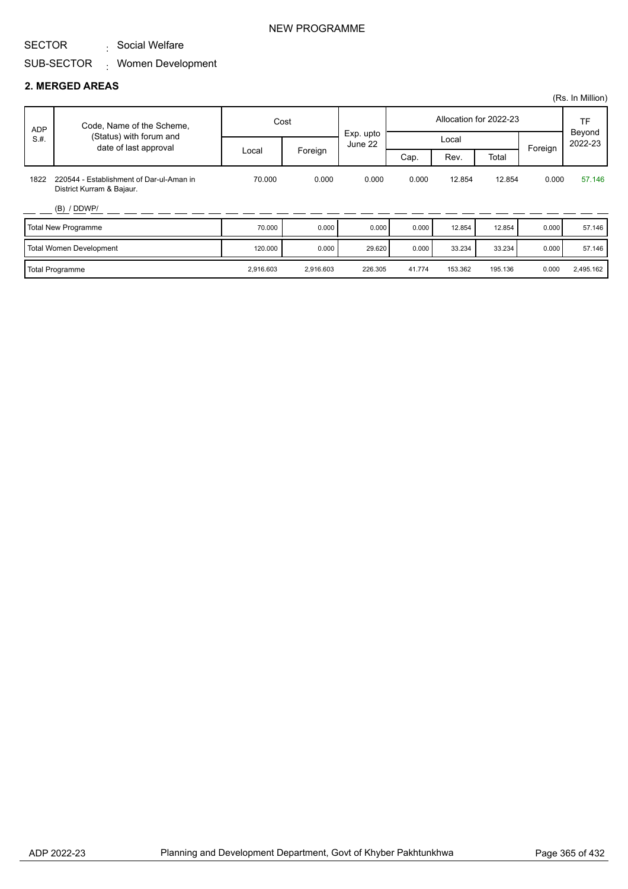. Social Welfare

### SUB-SECTOR Women Development :

|            |                                                                       |           |           |                      |        |         |                        |         | (Rs. In Million)  |
|------------|-----------------------------------------------------------------------|-----------|-----------|----------------------|--------|---------|------------------------|---------|-------------------|
| <b>ADP</b> | Code, Name of the Scheme,                                             |           | Cost      |                      |        |         | Allocation for 2022-23 |         | <b>TF</b>         |
| S.H.       | (Status) with forum and<br>date of last approval                      |           |           | Exp. upto<br>June 22 |        | Local   |                        |         | Beyond<br>2022-23 |
|            |                                                                       | Local     | Foreign   |                      | Cap.   | Rev.    | Total                  | Foreign |                   |
| 1822       | 220544 - Establishment of Dar-ul-Aman in<br>District Kurram & Bajaur. | 70.000    | 0.000     | 0.000                | 0.000  | 12.854  | 12.854                 | 0.000   | 57.146            |
|            | (B) / DDWP/                                                           |           |           |                      |        |         |                        |         |                   |
|            | Total New Programme                                                   | 70.000    | 0.000     | 0.000                | 0.000  | 12.854  | 12.854                 | 0.000   | 57.146            |
|            | Total Women Development                                               | 120.000   | 0.000     | 29.620               | 0.000  | 33.234  | 33.234                 | 0.000   | 57.146            |
|            | Total Programme                                                       | 2,916.603 | 2,916.603 | 226.305              | 41.774 | 153.362 | 195.136                | 0.000   | 2,495.162         |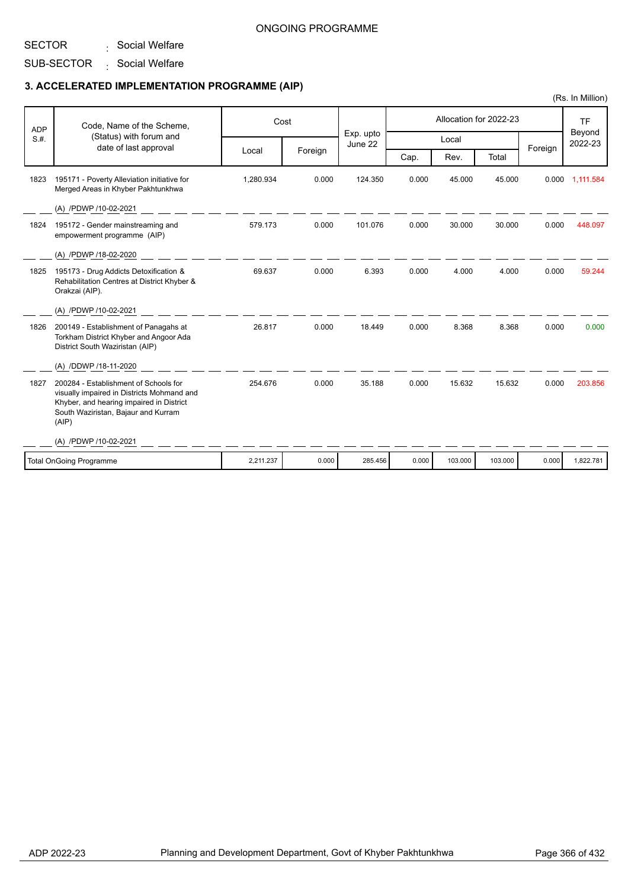## SECTOR

. Social Welfare

## SUB-SECTOR . Social Welfare

## **3. ACCELERATED IMPLEMENTATION PROGRAMME (AIP)**

| <b>ADP</b> | Code, Name of the Scheme,                                                                                                                                                       | Cost      |         | Exp. upto |       |         | Allocation for 2022-23 |         | <b>TF</b><br>Beyond |
|------------|---------------------------------------------------------------------------------------------------------------------------------------------------------------------------------|-----------|---------|-----------|-------|---------|------------------------|---------|---------------------|
| S.H.       | (Status) with forum and<br>date of last approval                                                                                                                                |           |         | June 22   |       | Local   |                        | Foreign | 2022-23             |
|            |                                                                                                                                                                                 | Local     | Foreign |           | Cap.  | Rev.    | Total                  |         |                     |
| 1823       | 195171 - Poverty Alleviation initiative for<br>Merged Areas in Khyber Pakhtunkhwa                                                                                               | 1.280.934 | 0.000   | 124.350   | 0.000 | 45,000  | 45.000                 |         | 0.000 1,111.584     |
|            | (A) /PDWP /10-02-2021                                                                                                                                                           |           |         |           |       |         |                        |         |                     |
| 1824       | 195172 - Gender mainstreaming and<br>empowerment programme (AIP)                                                                                                                | 579.173   | 0.000   | 101.076   | 0.000 | 30.000  | 30.000                 | 0.000   | 448.097             |
|            | (A) /PDWP /18-02-2020                                                                                                                                                           |           |         |           |       |         |                        |         |                     |
| 1825       | 195173 - Drug Addicts Detoxification &<br>Rehabilitation Centres at District Khyber &<br>Orakzai (AIP).                                                                         | 69.637    | 0.000   | 6.393     | 0.000 | 4.000   | 4.000                  | 0.000   | 59.244              |
|            | (A) /PDWP /10-02-2021                                                                                                                                                           |           |         |           |       |         |                        |         |                     |
| 1826       | 200149 - Establishment of Panagahs at<br>Torkham District Khyber and Angoor Ada<br>District South Waziristan (AIP)                                                              | 26.817    | 0.000   | 18.449    | 0.000 | 8.368   | 8.368                  | 0.000   | 0.000               |
|            | (A) /DDWP /18-11-2020                                                                                                                                                           |           |         |           |       |         |                        |         |                     |
| 1827       | 200284 - Establishment of Schools for<br>visually impaired in Districts Mohmand and<br>Khyber, and hearing impaired in District<br>South Waziristan, Bajaur and Kurram<br>(AIP) | 254.676   | 0.000   | 35.188    | 0.000 | 15.632  | 15.632                 | 0.000   | 203.856             |
|            | (A) /PDWP /10-02-2021                                                                                                                                                           |           |         |           |       |         |                        |         |                     |
|            | <b>Total OnGoing Programme</b>                                                                                                                                                  | 2,211.237 | 0.000   | 285.456   | 0.000 | 103.000 | 103.000                | 0.000   | 1,822.781           |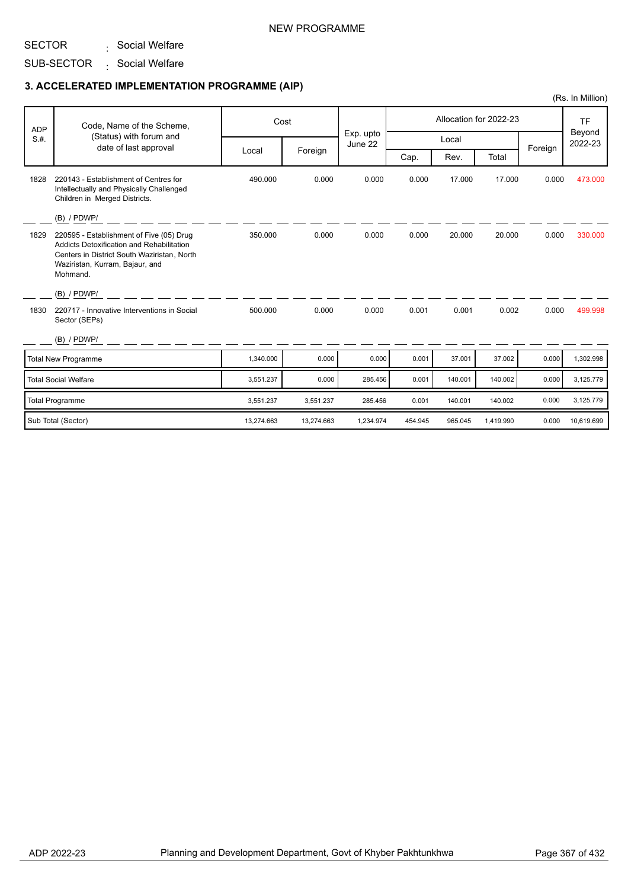## NEW PROGRAMME

#### SECTOR . Social Welfare

## SUB-SECTOR . Social Welfare

## **3. ACCELERATED IMPLEMENTATION PROGRAMME (AIP)**

|            |                                                                                                                                                                                     |            |            |                      |         |         |                        |         | (Rs. In Million)    |
|------------|-------------------------------------------------------------------------------------------------------------------------------------------------------------------------------------|------------|------------|----------------------|---------|---------|------------------------|---------|---------------------|
| <b>ADP</b> | Code, Name of the Scheme,                                                                                                                                                           |            | Cost       |                      |         |         | Allocation for 2022-23 |         | <b>TF</b><br>Beyond |
| S.H.       | (Status) with forum and                                                                                                                                                             |            |            | Exp. upto<br>June 22 |         | Local   |                        |         | 2022-23             |
|            | date of last approval                                                                                                                                                               | Local      | Foreign    |                      | Cap.    | Rev.    | Total                  | Foreign |                     |
| 1828       | 220143 - Establishment of Centres for<br>Intellectually and Physically Challenged<br>Children in Merged Districts.                                                                  | 490.000    | 0.000      | 0.000                | 0.000   | 17.000  | 17.000                 | 0.000   | 473.000             |
|            | (B) / PDWP/                                                                                                                                                                         |            |            |                      |         |         |                        |         |                     |
| 1829       | 220595 - Establishment of Five (05) Drug<br>Addicts Detoxification and Rehabilitation<br>Centers in District South Waziristan, North<br>Waziristan, Kurram, Bajaur, and<br>Mohmand. | 350.000    | 0.000      | 0.000                | 0.000   | 20.000  | 20.000                 | 0.000   | 330.000             |
|            | $(B)$ / PDWP/                                                                                                                                                                       |            |            |                      |         |         |                        |         |                     |
| 1830       | 220717 - Innovative Interventions in Social<br>Sector (SEPs)                                                                                                                        | 500.000    | 0.000      | 0.000                | 0.001   | 0.001   | 0.002                  | 0.000   | 499.998             |
|            | $(B)$ / PDWP/                                                                                                                                                                       |            |            |                      |         |         |                        |         |                     |
|            | <b>Total New Programme</b>                                                                                                                                                          | 1,340.000  | 0.000      | 0.000                | 0.001   | 37.001  | 37.002                 | 0.000   | 1,302.998           |
|            | <b>Total Social Welfare</b>                                                                                                                                                         | 3,551.237  | 0.000      | 285.456              | 0.001   | 140.001 | 140.002                | 0.000   | 3,125.779           |
|            | <b>Total Programme</b>                                                                                                                                                              | 3,551.237  | 3,551.237  | 285.456              | 0.001   | 140.001 | 140.002                | 0.000   | 3,125.779           |
|            | Sub Total (Sector)                                                                                                                                                                  | 13,274.663 | 13,274.663 | 1,234.974            | 454.945 | 965.045 | 1,419.990              | 0.000   | 10,619.699          |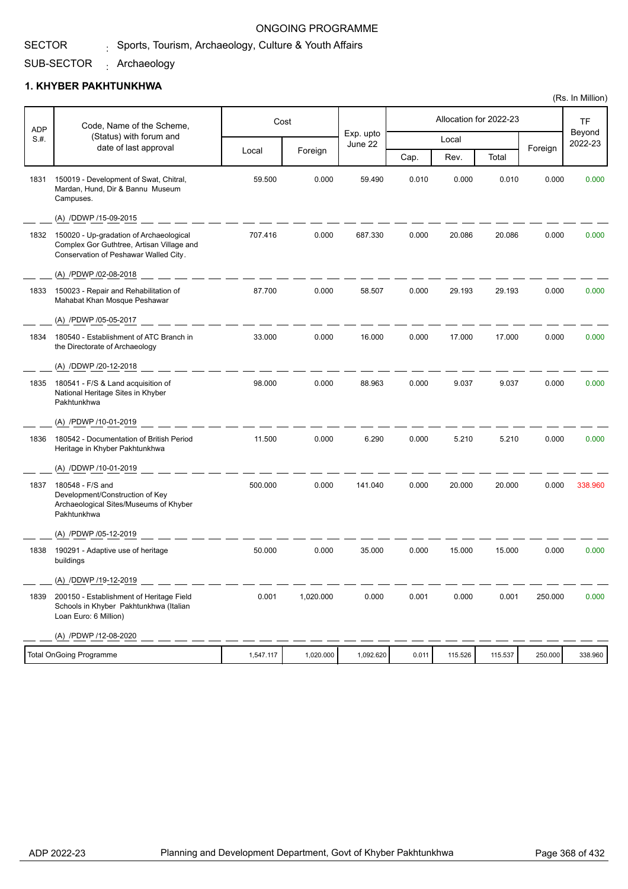#### SECTOR  $_{\rm i}$  Sports, Tourism, Archaeology, Culture & Youth Affairs

### SUB-SECTOR Archaeology :

## **1. KHYBER PAKHTUNKHWA**

| <b>ADP</b> | Code, Name of the Scheme,                                                                                                     |           | Cost      |                      |       |         | Allocation for 2022-23 |         | <b>TF</b><br>Beyond |
|------------|-------------------------------------------------------------------------------------------------------------------------------|-----------|-----------|----------------------|-------|---------|------------------------|---------|---------------------|
| S.H.       | (Status) with forum and<br>date of last approval                                                                              |           |           | Exp. upto<br>June 22 |       | Local   |                        |         | 2022-23             |
|            |                                                                                                                               | Local     | Foreign   |                      | Cap.  | Rev.    | Total                  | Foreign |                     |
| 1831       | 150019 - Development of Swat, Chitral,<br>Mardan, Hund, Dir & Bannu Museum<br>Campuses.                                       | 59.500    | 0.000     | 59.490               | 0.010 | 0.000   | 0.010                  | 0.000   | 0.000               |
|            | (A) /DDWP /15-09-2015                                                                                                         |           |           |                      |       |         |                        |         |                     |
| 1832       | 150020 - Up-gradation of Archaeological<br>Complex Gor Guthtree, Artisan Village and<br>Conservation of Peshawar Walled City. | 707.416   | 0.000     | 687.330              | 0.000 | 20.086  | 20.086                 | 0.000   | 0.000               |
|            | (A) /PDWP /02-08-2018                                                                                                         |           |           |                      |       |         |                        |         |                     |
| 1833       | 150023 - Repair and Rehabilitation of<br>Mahabat Khan Mosque Peshawar                                                         | 87.700    | 0.000     | 58.507               | 0.000 | 29.193  | 29.193                 | 0.000   | 0.000               |
|            | (A) /PDWP /05-05-2017                                                                                                         |           |           |                      |       |         |                        |         |                     |
| 1834       | 180540 - Establishment of ATC Branch in<br>the Directorate of Archaeology                                                     | 33.000    | 0.000     | 16.000               | 0.000 | 17.000  | 17.000                 | 0.000   | 0.000               |
|            | (A) /DDWP /20-12-2018                                                                                                         |           |           |                      |       |         |                        |         |                     |
| 1835       | 180541 - F/S & Land acquisition of<br>National Heritage Sites in Khyber<br>Pakhtunkhwa                                        | 98.000    | 0.000     | 88.963               | 0.000 | 9.037   | 9.037                  | 0.000   | 0.000               |
|            | (A) /PDWP /10-01-2019                                                                                                         |           |           |                      |       |         |                        |         |                     |
| 1836       | 180542 - Documentation of British Period<br>Heritage in Khyber Pakhtunkhwa                                                    | 11.500    | 0.000     | 6.290                | 0.000 | 5.210   | 5.210                  | 0.000   | 0.000               |
|            | (A) /DDWP /10-01-2019                                                                                                         |           |           |                      |       |         |                        |         |                     |
| 1837       | 180548 - F/S and<br>Development/Construction of Key<br>Archaeological Sites/Museums of Khyber<br>Pakhtunkhwa                  | 500.000   | 0.000     | 141.040              | 0.000 | 20.000  | 20.000                 | 0.000   | 338.960             |
|            | (A) /PDWP /05-12-2019                                                                                                         |           |           |                      |       |         |                        |         |                     |
| 1838       | 190291 - Adaptive use of heritage<br>buildings                                                                                | 50.000    | 0.000     | 35.000               | 0.000 | 15.000  | 15.000                 | 0.000   | 0.000               |
|            | (A) /DDWP /19-12-2019                                                                                                         |           |           |                      |       |         |                        |         |                     |
| 1839       | 200150 - Establishment of Heritage Field<br>Schools in Khyber Pakhtunkhwa (Italian<br>Loan Euro: 6 Million)                   | 0.001     | 1,020.000 | 0.000                | 0.001 | 0.000   | 0.001                  | 250.000 | 0.000               |
|            | (A) /PDWP /12-08-2020                                                                                                         |           |           |                      |       |         |                        |         |                     |
|            | Total OnGoing Programme                                                                                                       | 1,547.117 | 1,020.000 | 1,092.620            | 0.011 | 115.526 | 115.537                | 250.000 | 338.960             |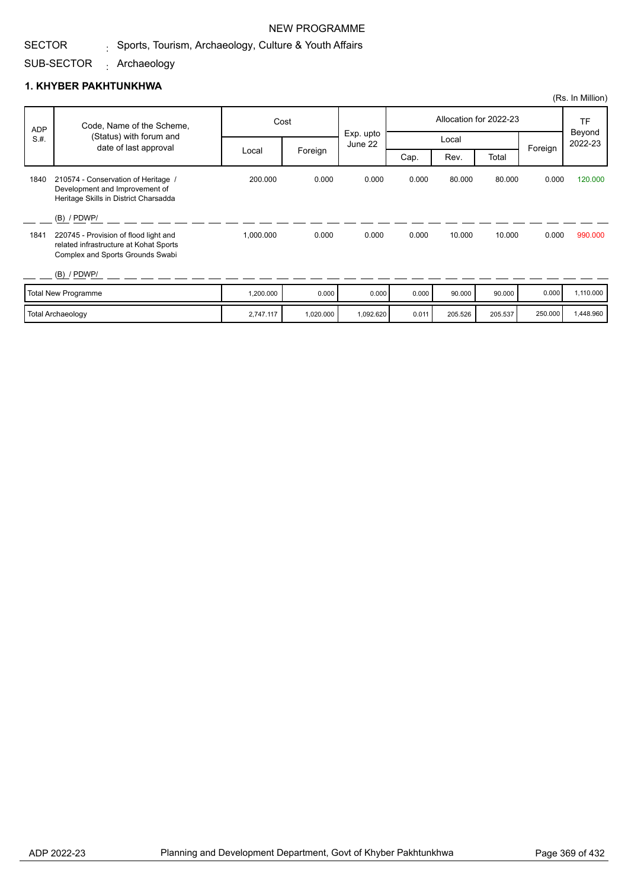## NEW PROGRAMME

#### SECTOR  $_{\rm i}$  Sports, Tourism, Archaeology, Culture & Youth Affairs

### SUB-SECTOR Archaeology :

|            |                                                                                                                                                       |           |           |                      |       |         |                        |         | (Rs. In Million)  |
|------------|-------------------------------------------------------------------------------------------------------------------------------------------------------|-----------|-----------|----------------------|-------|---------|------------------------|---------|-------------------|
| <b>ADP</b> | Code, Name of the Scheme,                                                                                                                             |           | Cost      |                      |       |         | Allocation for 2022-23 |         | <b>TF</b>         |
| S.H.       | (Status) with forum and<br>date of last approval                                                                                                      |           |           | Exp. upto<br>June 22 |       | Local   |                        | Foreign | Beyond<br>2022-23 |
|            |                                                                                                                                                       | Local     | Foreign   |                      | Cap.  | Rev.    | Total                  |         |                   |
| 1840       | 210574 - Conservation of Heritage /<br>Development and Improvement of<br>Heritage Skills in District Charsadda                                        | 200.000   | 0.000     | 0.000                | 0.000 | 80.000  | 80.000                 | 0.000   | 120,000           |
| 1841       | $(B)$ / PDWP/<br>220745 - Provision of flood light and<br>related infrastructure at Kohat Sports<br>Complex and Sports Grounds Swabi<br>$(B)$ / PDWP/ | 1,000.000 | 0.000     | 0.000                | 0.000 | 10.000  | 10.000                 | 0.000   | 990.000           |
|            | <b>Total New Programme</b>                                                                                                                            | 1,200.000 | 0.000     | 0.000                | 0.000 | 90.000  | 90.000                 | 0.000   | 1,110.000         |
|            | <b>Total Archaeology</b>                                                                                                                              | 2,747.117 | 1,020.000 | 1,092.620            | 0.011 | 205.526 | 205.537                | 250.000 | 1,448.960         |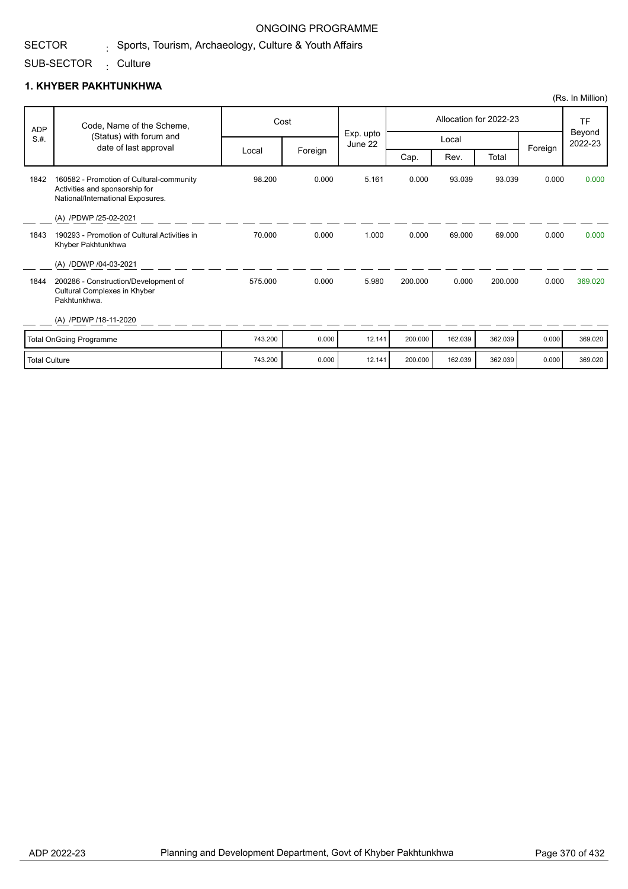# $_{\rm i}$  Sports, Tourism, Archaeology, Culture & Youth Affairs

### SUB-SECTOR <sub>:</sub> Culture

SECTOR

## **1. KHYBER PAKHTUNKHWA**

|            |                                                                                                                 |         |         |                      |         |         |                        |         | (Rs. In Million)  |
|------------|-----------------------------------------------------------------------------------------------------------------|---------|---------|----------------------|---------|---------|------------------------|---------|-------------------|
| <b>ADP</b> | Code, Name of the Scheme,                                                                                       | Cost    |         |                      |         |         | Allocation for 2022-23 |         | TF                |
| S.H.       | (Status) with forum and<br>date of last approval                                                                |         |         | Exp. upto<br>June 22 |         | Local   |                        |         | Beyond<br>2022-23 |
|            |                                                                                                                 | Local   | Foreign |                      | Cap.    | Rev.    | Total                  | Foreign |                   |
| 1842       | 160582 - Promotion of Cultural-community<br>Activities and sponsorship for<br>National/International Exposures. | 98.200  | 0.000   | 5.161                | 0.000   | 93.039  | 93.039                 | 0.000   | 0.000             |
|            | (A) /PDWP /25-02-2021                                                                                           |         |         |                      |         |         |                        |         |                   |
| 1843       | 190293 - Promotion of Cultural Activities in<br>Khyber Pakhtunkhwa                                              | 70.000  | 0.000   | 1.000                | 0.000   | 69,000  | 69.000                 | 0.000   | 0.000             |
|            | (A) /DDWP /04-03-2021                                                                                           |         |         |                      |         |         |                        |         |                   |
| 1844       | 200286 - Construction/Development of<br>Cultural Complexes in Khyber<br>Pakhtunkhwa.                            | 575.000 | 0.000   | 5.980                | 200.000 | 0.000   | 200.000                | 0.000   | 369.020           |
|            | (A) /PDWP /18-11-2020                                                                                           |         |         |                      |         |         |                        |         |                   |
|            | <b>Total OnGoing Programme</b>                                                                                  | 743.200 | 0.000   | 12.141               | 200.000 | 162.039 | 362.039                | 0.000   | 369.020           |
|            |                                                                                                                 |         |         |                      |         |         |                        |         |                   |

Total Culture 743.200 | 0.000 | 12.141 | 200.000 | 162.039 | 362.039 | 0.000 | 369.020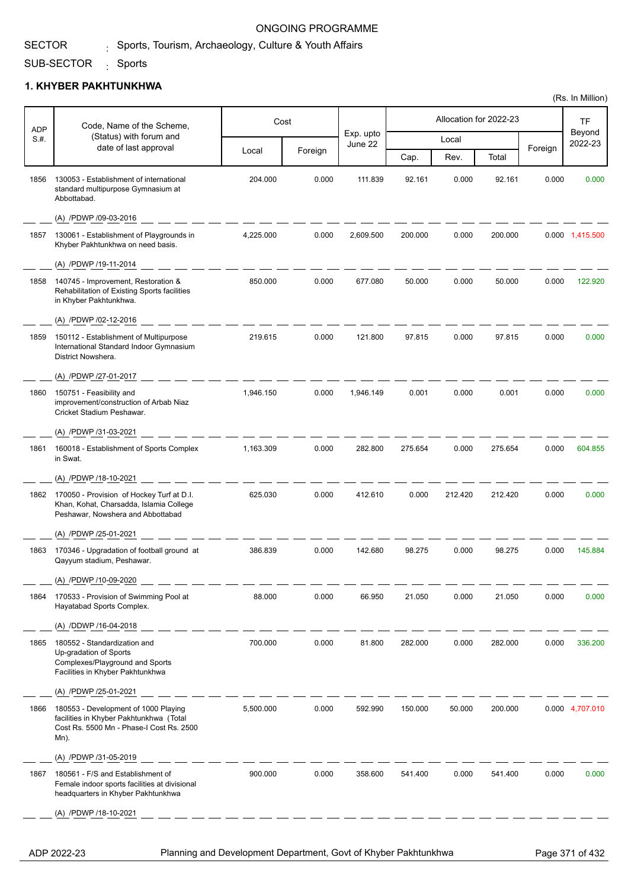## $_{\rm i}$  Sports, Tourism, Archaeology, Culture & Youth Affairs

### SUB-SECTOR <sub>:</sub> Sports

SECTOR

## **1. KHYBER PAKHTUNKHWA**

| ADP  | Code, Name of the Scheme,                                                                                                           |           | Cost    |                      |         |         | Allocation for 2022-23 |         | <b>TF</b>         |
|------|-------------------------------------------------------------------------------------------------------------------------------------|-----------|---------|----------------------|---------|---------|------------------------|---------|-------------------|
| S.H. | (Status) with forum and                                                                                                             |           |         | Exp. upto<br>June 22 |         | Local   |                        |         | Beyond<br>2022-23 |
|      | date of last approval                                                                                                               | Local     | Foreign |                      | Cap.    | Rev.    | Total                  | Foreign |                   |
| 1856 | 130053 - Establishment of international<br>standard multipurpose Gymnasium at<br>Abbottabad.                                        | 204.000   | 0.000   | 111.839              | 92.161  | 0.000   | 92.161                 | 0.000   | 0.000             |
|      | (A) /PDWP /09-03-2016                                                                                                               |           |         |                      |         |         |                        |         |                   |
| 1857 | 130061 - Establishment of Playgrounds in<br>Khyber Pakhtunkhwa on need basis.                                                       | 4,225.000 | 0.000   | 2,609.500            | 200.000 | 0.000   | 200.000                |         | 0.000 1,415.500   |
|      | (A) /PDWP /19-11-2014                                                                                                               |           |         |                      |         |         |                        |         |                   |
| 1858 | 140745 - Improvement, Restoration &<br>Rehabilitation of Existing Sports facilities<br>in Khyber Pakhtunkhwa.                       | 850.000   | 0.000   | 677.080              | 50.000  | 0.000   | 50.000                 | 0.000   | 122.920           |
|      | (A) /PDWP /02-12-2016                                                                                                               |           |         |                      |         |         |                        |         |                   |
| 1859 | 150112 - Establishment of Multipurpose<br>International Standard Indoor Gymnasium<br>District Nowshera.                             | 219.615   | 0.000   | 121.800              | 97.815  | 0.000   | 97.815                 | 0.000   | 0.000             |
|      | (A) /PDWP /27-01-2017                                                                                                               |           |         |                      |         |         |                        |         |                   |
| 1860 | 150751 - Feasibility and<br>improvement/construction of Arbab Niaz<br>Cricket Stadium Peshawar.                                     | 1,946.150 | 0.000   | 1,946.149            | 0.001   | 0.000   | 0.001                  | 0.000   | 0.000             |
|      | (A) /PDWP /31-03-2021                                                                                                               |           |         |                      |         |         |                        |         |                   |
| 1861 | 160018 - Establishment of Sports Complex<br>in Swat.                                                                                | 1,163.309 | 0.000   | 282.800              | 275.654 | 0.000   | 275.654                | 0.000   | 604.855           |
|      | (A) /PDWP /18-10-2021                                                                                                               |           |         |                      |         |         |                        |         |                   |
| 1862 | 170050 - Provision of Hockey Turf at D.I.<br>Khan, Kohat, Charsadda, Islamia College<br>Peshawar, Nowshera and Abbottabad           | 625.030   | 0.000   | 412.610              | 0.000   | 212.420 | 212.420                | 0.000   | 0.000             |
|      | (A) /PDWP /25-01-2021                                                                                                               |           |         |                      |         |         |                        |         |                   |
| 1863 | 170346 - Upgradation of football ground at<br>Qayyum stadium, Peshawar.                                                             | 386.839   | 0.000   | 142.680              | 98.275  | 0.000   | 98.275                 | 0.000   | 145.884           |
|      | (A) /PDWP /10-09-2020                                                                                                               |           |         |                      |         |         |                        |         |                   |
| 1864 | 170533 - Provision of Swimming Pool at<br>Hayatabad Sports Complex.                                                                 | 88.000    | 0.000   | 66.950               | 21.050  | 0.000   | 21.050                 | 0.000   | 0.000             |
|      | (A) /DDWP /16-04-2018                                                                                                               |           |         |                      |         |         |                        |         |                   |
| 1865 | 180552 - Standardization and<br>Up-gradation of Sports<br>Complexes/Playground and Sports<br>Facilities in Khyber Pakhtunkhwa       | 700.000   | 0.000   | 81.800               | 282.000 | 0.000   | 282.000                | 0.000   | 336.200           |
|      | (A) /PDWP /25-01-2021                                                                                                               |           |         |                      |         |         |                        |         |                   |
| 1866 | 180553 - Development of 1000 Playing<br>facilities in Khyber Pakhtunkhwa (Total<br>Cost Rs. 5500 Mn - Phase-I Cost Rs. 2500<br>Mn). | 5,500.000 | 0.000   | 592.990              | 150.000 | 50.000  | 200.000                |         | 0.000 4,707.010   |
|      | (A) /PDWP /31-05-2019                                                                                                               |           |         |                      |         |         |                        |         |                   |
| 1867 | 180561 - F/S and Establishment of<br>Female indoor sports facilities at divisional<br>headquarters in Khyber Pakhtunkhwa            | 900.000   | 0.000   | 358.600              | 541.400 | 0.000   | 541.400                | 0.000   | 0.000             |
|      | (A) /PDWP /18-10-2021                                                                                                               |           |         |                      |         |         |                        |         |                   |
|      |                                                                                                                                     |           |         |                      |         |         |                        |         |                   |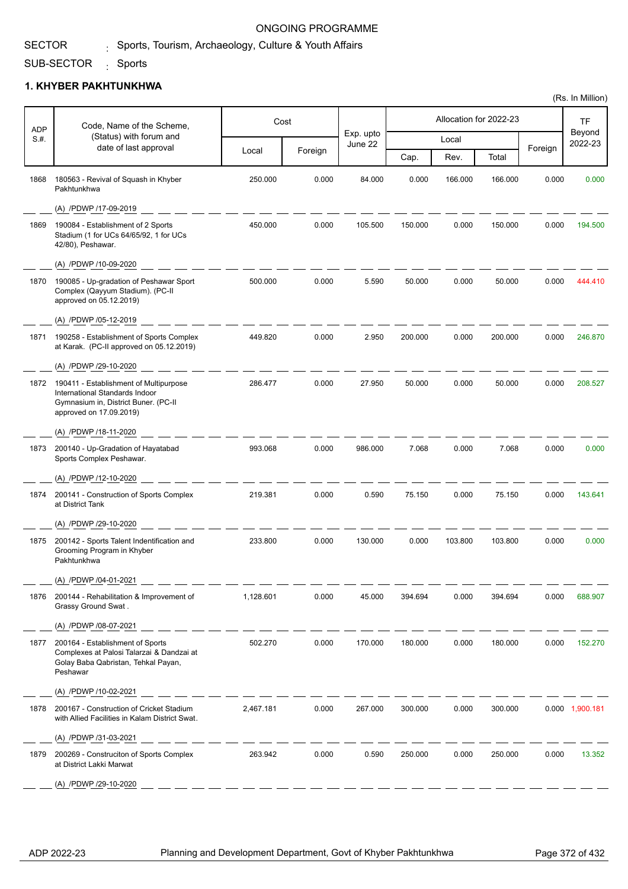## $_{\rm i}$  Sports, Tourism, Archaeology, Culture & Youth Affairs

### SUB-SECTOR <sub>:</sub> Sports

## **1. KHYBER PAKHTUNKHWA**

| <b>ADP</b> | Cost<br>Code, Name of the Scheme,                                                                                                           |           |         |                      |         | Allocation for 2022-23 |         | <b>TF</b> |                   |
|------------|---------------------------------------------------------------------------------------------------------------------------------------------|-----------|---------|----------------------|---------|------------------------|---------|-----------|-------------------|
| S.H.       | (Status) with forum and<br>date of last approval                                                                                            |           |         | Exp. upto<br>June 22 |         | Local                  |         |           | Beyond<br>2022-23 |
|            |                                                                                                                                             | Local     | Foreign |                      | Cap.    | Rev.                   | Total   | Foreign   |                   |
| 1868       | 180563 - Revival of Squash in Khyber<br>Pakhtunkhwa                                                                                         | 250.000   | 0.000   | 84.000               | 0.000   | 166.000                | 166.000 | 0.000     | 0.000             |
|            | (A) /PDWP /17-09-2019                                                                                                                       |           |         |                      |         |                        |         |           |                   |
| 1869       | 190084 - Establishment of 2 Sports<br>Stadium (1 for UCs 64/65/92, 1 for UCs<br>42/80), Peshawar.                                           | 450.000   | 0.000   | 105.500              | 150.000 | 0.000                  | 150.000 | 0.000     | 194.500           |
|            | (A) /PDWP /10-09-2020                                                                                                                       |           |         |                      |         |                        |         |           |                   |
| 1870       | 190085 - Up-gradation of Peshawar Sport<br>Complex (Qayyum Stadium). (PC-II<br>approved on 05.12.2019)                                      | 500.000   | 0.000   | 5.590                | 50.000  | 0.000                  | 50.000  | 0.000     | 444.410           |
|            | (A) /PDWP /05-12-2019                                                                                                                       |           |         |                      |         |                        |         |           |                   |
| 1871       | 190258 - Establishment of Sports Complex<br>at Karak. (PC-II approved on 05.12.2019)                                                        | 449.820   | 0.000   | 2.950                | 200.000 | 0.000                  | 200.000 | 0.000     | 246.870           |
|            | (A) /PDWP /29-10-2020                                                                                                                       |           |         |                      |         |                        |         |           |                   |
| 1872       | 190411 - Establishment of Multipurpose<br>International Standards Indoor<br>Gymnasium in, District Buner. (PC-II<br>approved on 17.09.2019) | 286.477   | 0.000   | 27.950               | 50.000  | 0.000                  | 50.000  | 0.000     | 208.527           |
|            | (A) /PDWP /18-11-2020                                                                                                                       |           |         |                      |         |                        |         |           |                   |
| 1873       | 200140 - Up-Gradation of Hayatabad<br>Sports Complex Peshawar.                                                                              | 993.068   | 0.000   | 986.000              | 7.068   | 0.000                  | 7.068   | 0.000     | 0.000             |
|            | (A) /PDWP /12-10-2020                                                                                                                       |           |         |                      |         |                        |         |           |                   |
| 1874       | 200141 - Construction of Sports Complex<br>at District Tank                                                                                 | 219.381   | 0.000   | 0.590                | 75.150  | 0.000                  | 75.150  | 0.000     | 143.641           |
|            | (A) /PDWP /29-10-2020                                                                                                                       |           |         |                      |         |                        |         |           |                   |
| 1875       | 200142 - Sports Talent Indentification and<br>Grooming Program in Khyber<br>Pakhtunkhwa                                                     | 233.800   | 0.000   | 130.000              | 0.000   | 103.800                | 103.800 | 0.000     | 0.000             |
|            | (A) /PDWP /04-01-2021                                                                                                                       |           |         |                      |         |                        |         |           |                   |
| 1876       | 200144 - Rehabilitation & Improvement of<br>Grassy Ground Swat.                                                                             | 1,128.601 | 0.000   | 45.000               | 394.694 | 0.000                  | 394.694 | 0.000     | 688.907           |
|            | (A) /PDWP /08-07-2021                                                                                                                       |           |         |                      |         |                        |         |           |                   |
| 1877       | 200164 - Establishment of Sports<br>Complexes at Palosi Talarzai & Dandzai at<br>Golay Baba Qabristan, Tehkal Payan,<br>Peshawar            | 502.270   | 0.000   | 170.000              | 180.000 | 0.000                  | 180.000 | 0.000     | 152.270           |
|            | (A) /PDWP /10-02-2021                                                                                                                       |           |         |                      |         |                        |         |           |                   |
| 1878       | 200167 - Construction of Cricket Stadium<br>with Allied Facilities in Kalam District Swat.                                                  | 2,467.181 | 0.000   | 267.000              | 300.000 | 0.000                  | 300.000 |           | 0.000 1,900.181   |
|            | (A) /PDWP /31-03-2021                                                                                                                       |           |         |                      |         |                        |         |           |                   |
| 1879       | 200269 - Construciton of Sports Complex<br>at District Lakki Marwat                                                                         | 263.942   | 0.000   | 0.590                | 250.000 | 0.000                  | 250.000 | 0.000     | 13.352            |
|            | (A) /PDWP /29-10-2020                                                                                                                       |           |         |                      |         |                        |         |           |                   |

(Rs. In Million)

SECTOR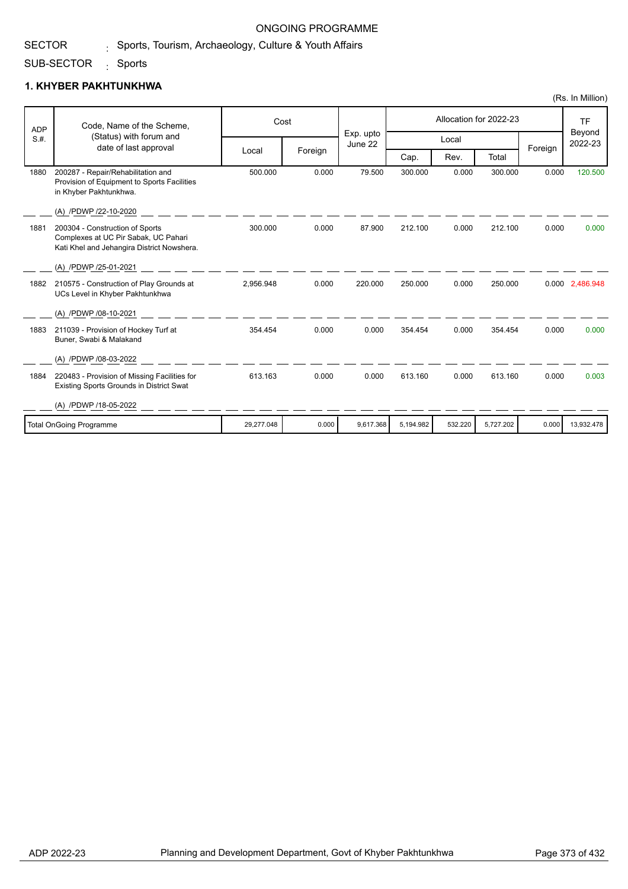## $_{\rm i}$  Sports, Tourism, Archaeology, Culture & Youth Affairs

### SUB-SECTOR <sub>:</sub> Sports

SECTOR

|            |                                                                                                                       |            |         |                      |           |         |                        |         | (Rs. In Million)               |
|------------|-----------------------------------------------------------------------------------------------------------------------|------------|---------|----------------------|-----------|---------|------------------------|---------|--------------------------------|
| <b>ADP</b> | Code, Name of the Scheme,                                                                                             |            | Cost    |                      |           |         | Allocation for 2022-23 |         | <b>TF</b><br>Beyond<br>2022-23 |
| S.H.       | (Status) with forum and<br>date of last approval                                                                      |            |         | Exp. upto<br>June 22 |           | Local   |                        | Foreign |                                |
|            |                                                                                                                       | Local      | Foreign |                      | Cap.      | Rev.    | Total                  |         |                                |
| 1880       | 200287 - Repair/Rehabilitation and<br>Provision of Equipment to Sports Facilities<br>in Khyber Pakhtunkhwa.           | 500.000    | 0.000   | 79.500               | 300.000   | 0.000   | 300.000                | 0.000   | 120,500                        |
|            | (A) /PDWP /22-10-2020                                                                                                 |            |         |                      |           |         |                        |         |                                |
| 1881       | 200304 - Construction of Sports<br>Complexes at UC Pir Sabak, UC Pahari<br>Kati Khel and Jehangira District Nowshera. | 300.000    | 0.000   | 87.900               | 212.100   | 0.000   | 212.100                | 0.000   | 0.000                          |
|            | (A) /PDWP /25-01-2021                                                                                                 |            |         |                      |           |         |                        |         |                                |
| 1882       | 210575 - Construction of Play Grounds at<br>UCs Level in Khyber Pakhtunkhwa                                           | 2,956.948  | 0.000   | 220.000              | 250.000   | 0.000   | 250.000                |         | 0.000 2,486.948                |
|            | (A) /PDWP /08-10-2021                                                                                                 |            |         |                      |           |         |                        |         |                                |
| 1883       | 211039 - Provision of Hockey Turf at<br>Buner, Swabi & Malakand                                                       | 354.454    | 0.000   | 0.000                | 354.454   | 0.000   | 354.454                | 0.000   | 0.000                          |
|            | (A) /PDWP /08-03-2022                                                                                                 |            |         |                      |           |         |                        |         |                                |
| 1884       | 220483 - Provision of Missing Facilities for<br>Existing Sports Grounds in District Swat                              | 613.163    | 0.000   | 0.000                | 613.160   | 0.000   | 613.160                | 0.000   | 0.003                          |
|            | (A) /PDWP /18-05-2022                                                                                                 |            |         |                      |           |         |                        |         |                                |
|            | <b>Total OnGoing Programme</b>                                                                                        | 29,277.048 | 0.000   | 9,617.368            | 5,194.982 | 532.220 | 5,727.202              | 0.000   | 13,932.478                     |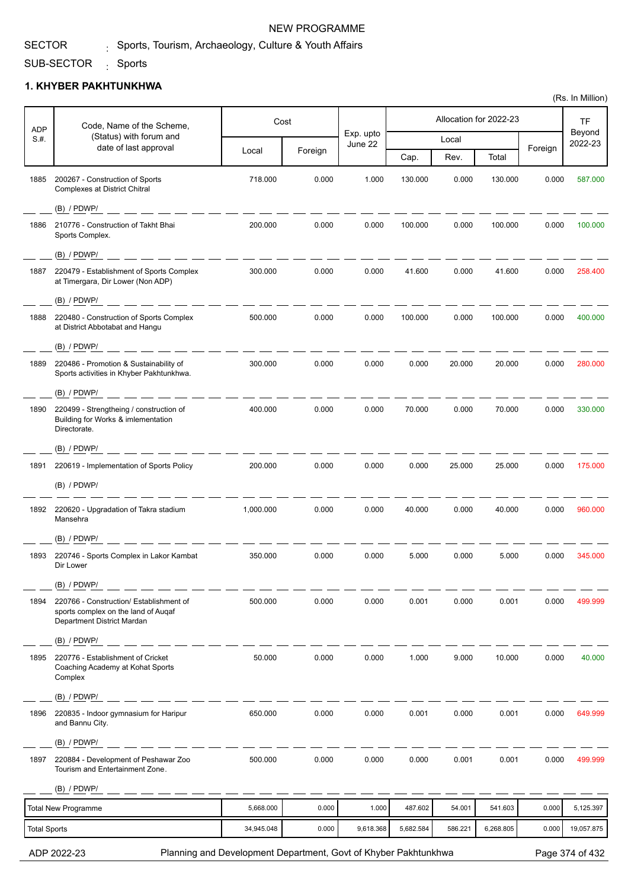SUB-SECTOR <sub>:</sub> Sports

### **1. KHYBER PAKHTUNKHWA**

| <b>NEW PROGRAMME</b>                                    |
|---------------------------------------------------------|
| . Sports, Tourism, Archaeology, Culture & Youth Affairs |

I

| <b>ADP</b>          | Code, Name of the Scheme,                                                                                    | Cost       |         |                      |           |         | Allocation for 2022-23 |         | <b>TF</b>         |
|---------------------|--------------------------------------------------------------------------------------------------------------|------------|---------|----------------------|-----------|---------|------------------------|---------|-------------------|
| S.H.                | (Status) with forum and<br>date of last approval                                                             |            |         | Exp. upto<br>June 22 |           | Local   |                        |         | Beyond<br>2022-23 |
|                     |                                                                                                              | Local      | Foreign |                      | Cap.      | Rev.    | Total                  | Foreign |                   |
| 1885                | 200267 - Construction of Sports<br><b>Complexes at District Chitral</b>                                      | 718.000    | 0.000   | 1.000                | 130.000   | 0.000   | 130.000                | 0.000   | 587.000           |
|                     | $(B)$ / PDWP/                                                                                                |            |         |                      |           |         |                        |         |                   |
| 1886                | 210776 - Construction of Takht Bhai<br>Sports Complex.                                                       | 200.000    | 0.000   | 0.000                | 100.000   | 0.000   | 100.000                | 0.000   | 100.000           |
|                     | (B) / PDWP/                                                                                                  |            |         |                      |           |         |                        |         |                   |
| 1887                | 220479 - Establishment of Sports Complex<br>at Timergara, Dir Lower (Non ADP)                                | 300.000    | 0.000   | 0.000                | 41.600    | 0.000   | 41.600                 | 0.000   | 258.400           |
|                     | (B) / PDWP/                                                                                                  |            |         |                      |           |         |                        |         |                   |
| 1888                | 220480 - Construction of Sports Complex<br>at District Abbotabat and Hangu                                   | 500.000    | 0.000   | 0.000                | 100.000   | 0.000   | 100.000                | 0.000   | 400.000           |
|                     | $(B)$ / PDWP/                                                                                                |            |         |                      |           |         |                        |         |                   |
| 1889                | 220486 - Promotion & Sustainability of<br>Sports activities in Khyber Pakhtunkhwa.                           | 300.000    | 0.000   | 0.000                | 0.000     | 20.000  | 20.000                 | 0.000   | 280.000           |
|                     | $(B)$ / PDWP/                                                                                                |            |         |                      |           |         |                        |         |                   |
| 1890                | 220499 - Strengtheing / construction of<br>Building for Works & imlementation<br>Directorate.                | 400.000    | 0.000   | 0.000                | 70.000    | 0.000   | 70.000                 | 0.000   | 330.000           |
|                     | $(B)$ / PDWP/                                                                                                |            |         |                      |           |         |                        |         |                   |
| 1891                | 220619 - Implementation of Sports Policy                                                                     | 200.000    | 0.000   | 0.000                | 0.000     | 25.000  | 25.000                 | 0.000   | 175.000           |
|                     | $(B)$ / PDWP/                                                                                                |            |         |                      |           |         |                        |         |                   |
| 1892                | 220620 - Upgradation of Takra stadium<br>Mansehra                                                            | 1,000.000  | 0.000   | 0.000                | 40.000    | 0.000   | 40.000                 | 0.000   | 960.000           |
|                     | $(B)$ / PDWP/                                                                                                |            |         |                      |           |         |                        |         |                   |
| 1893                | 220746 - Sports Complex in Lakor Kambat<br>Dir Lower                                                         | 350.000    | 0.000   | 0.000                | 5.000     | 0.000   | 5.000                  | 0.000   | 345.000           |
|                     | $(B)$ / PDWP/                                                                                                |            |         |                      |           |         |                        |         |                   |
| 1894                | 220766 - Construction/ Establishment of<br>sports complex on the land of Augaf<br>Department District Mardan | 500.000    | 0.000   | 0.000                | 0.001     | 0.000   | 0.001                  | 0.000   | 499.999           |
|                     | (B) / PDWP/                                                                                                  |            |         |                      |           |         |                        |         |                   |
| 1895                | 220776 - Establishment of Cricket<br>Coaching Academy at Kohat Sports<br>Complex                             | 50.000     | 0.000   | 0.000                | 1.000     | 9.000   | 10.000                 | 0.000   | 40.000            |
|                     | $(B)$ / PDWP/                                                                                                |            |         |                      |           |         |                        |         |                   |
| 1896                | 220835 - Indoor gymnasium for Haripur<br>and Bannu City.                                                     | 650.000    | 0.000   | 0.000                | 0.001     | 0.000   | 0.001                  | 0.000   | 649.999           |
|                     | (B) / PDWP/                                                                                                  |            |         |                      |           |         |                        |         |                   |
| 1897                | 220884 - Development of Peshawar Zoo<br>Tourism and Entertainment Zone.                                      | 500.000    | 0.000   | 0.000                | 0.000     | 0.001   | 0.001                  | 0.000   | 499.999           |
|                     | $(B)$ / PDWP/                                                                                                |            |         |                      |           |         |                        |         |                   |
|                     | <b>Total New Programme</b>                                                                                   | 5,668.000  | 0.000   | 1.000                | 487.602   | 54.001  | 541.603                | 0.000   | 5,125.397         |
| <b>Total Sports</b> |                                                                                                              | 34,945.048 | 0.000   | 9,618.368            | 5,682.584 | 586.221 | 6,268.805              | 0.000   | 19,057.875        |

ADP 2022-23 Planning and Development Department, Govt of Khyber Pakhtunkhwa Page 374 of 432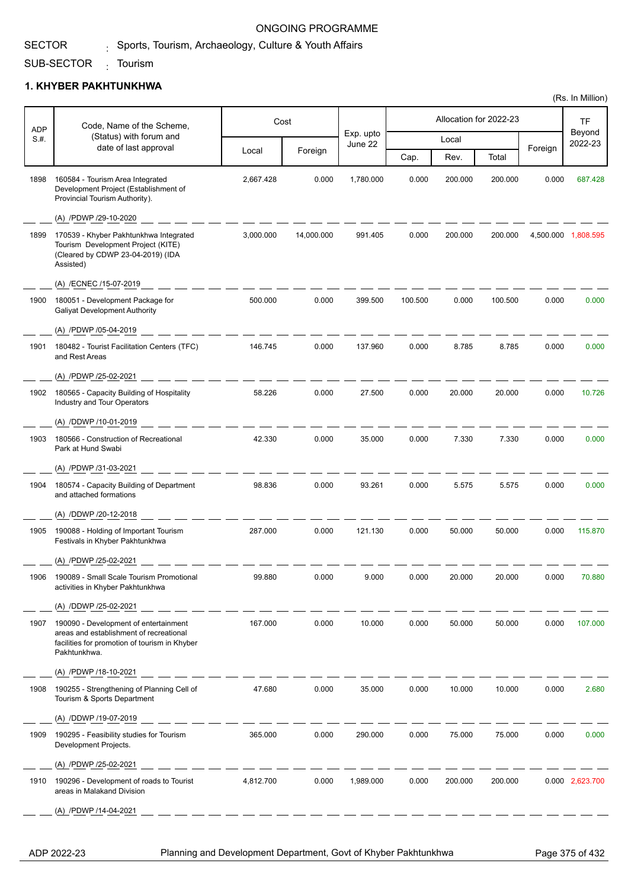# $_{\rm i}$  Sports, Tourism, Archaeology, Culture & Youth Affairs

### SUB-SECTOR <sub>:</sub> Tourism

SECTOR

## **1. KHYBER PAKHTUNKHWA**

| Code, Name of the Scheme,<br><b>ADP</b> |                                                                                                                                                   | Cost      |            |                      |         | Allocation for 2022-23 |         | <b>TF</b> |                     |
|-----------------------------------------|---------------------------------------------------------------------------------------------------------------------------------------------------|-----------|------------|----------------------|---------|------------------------|---------|-----------|---------------------|
| S.H.                                    | (Status) with forum and<br>date of last approval                                                                                                  |           |            | Exp. upto<br>June 22 |         | Local                  |         |           | Beyond<br>2022-23   |
|                                         |                                                                                                                                                   | Local     | Foreign    |                      | Cap.    | Rev.                   | Total   | Foreign   |                     |
| 1898                                    | 160584 - Tourism Area Integrated<br>Development Project (Establishment of<br>Provincial Tourism Authority).                                       | 2,667.428 | 0.000      | 1,780.000            | 0.000   | 200.000                | 200.000 | 0.000     | 687.428             |
|                                         | (A) /PDWP /29-10-2020                                                                                                                             |           |            |                      |         |                        |         |           |                     |
| 1899                                    | 170539 - Khyber Pakhtunkhwa Integrated<br>Tourism Development Project (KITE)<br>(Cleared by CDWP 23-04-2019) (IDA<br>Assisted)                    | 3,000.000 | 14,000.000 | 991.405              | 0.000   | 200.000                | 200.000 |           | 4,500.000 1,808.595 |
|                                         | (A) /ECNEC /15-07-2019                                                                                                                            |           |            |                      |         |                        |         |           |                     |
| 1900                                    | 180051 - Development Package for<br><b>Galiyat Development Authority</b>                                                                          | 500.000   | 0.000      | 399.500              | 100.500 | 0.000                  | 100.500 | 0.000     | 0.000               |
|                                         | (A) /PDWP /05-04-2019                                                                                                                             |           |            |                      |         |                        |         |           |                     |
| 1901                                    | 180482 - Tourist Facilitation Centers (TFC)<br>and Rest Areas                                                                                     | 146.745   | 0.000      | 137.960              | 0.000   | 8.785                  | 8.785   | 0.000     | 0.000               |
|                                         | (A) /PDWP /25-02-2021                                                                                                                             |           |            |                      |         |                        |         |           |                     |
| 1902                                    | 180565 - Capacity Building of Hospitality<br>Industry and Tour Operators                                                                          | 58.226    | 0.000      | 27.500               | 0.000   | 20.000                 | 20.000  | 0.000     | 10.726              |
|                                         | (A) /DDWP /10-01-2019                                                                                                                             |           |            |                      |         |                        |         |           |                     |
| 1903                                    | 180566 - Construction of Recreational<br>Park at Hund Swabi                                                                                       | 42.330    | 0.000      | 35.000               | 0.000   | 7.330                  | 7.330   | 0.000     | 0.000               |
|                                         | (A) /PDWP /31-03-2021                                                                                                                             |           |            |                      |         |                        |         |           |                     |
| 1904                                    | 180574 - Capacity Building of Department<br>and attached formations                                                                               | 98.836    | 0.000      | 93.261               | 0.000   | 5.575                  | 5.575   | 0.000     | 0.000               |
|                                         | (A) /DDWP /20-12-2018                                                                                                                             |           |            |                      |         |                        |         |           |                     |
| 1905                                    | 190088 - Holding of Important Tourism<br>Festivals in Khyber Pakhtunkhwa                                                                          | 287.000   | 0.000      | 121.130              | 0.000   | 50.000                 | 50.000  | 0.000     | 115.870             |
|                                         | (A) /PDWP /25-02-2021                                                                                                                             |           |            |                      |         |                        |         |           |                     |
| 1906                                    | 190089 - Small Scale Tourism Promotional<br>activities in Khyber Pakhtunkhwa                                                                      | 99.880    | 0.000      | 9.000                | 0.000   | 20.000                 | 20.000  | 0.000     | 70.880              |
|                                         | (A) /DDWP /25-02-2021                                                                                                                             |           |            |                      |         |                        |         |           |                     |
| 1907                                    | 190090 - Development of entertainment<br>areas and establishment of recreational<br>facilities for promotion of tourism in Khyber<br>Pakhtunkhwa. | 167.000   | 0.000      | 10.000               | 0.000   | 50.000                 | 50.000  | 0.000     | 107.000             |
|                                         | (A) /PDWP /18-10-2021                                                                                                                             |           |            |                      |         |                        |         |           |                     |
| 1908                                    | 190255 - Strengthening of Planning Cell of<br>Tourism & Sports Department                                                                         | 47.680    | 0.000      | 35.000               | 0.000   | 10.000                 | 10.000  | 0.000     | 2.680               |
|                                         | (A) /DDWP /19-07-2019                                                                                                                             |           |            |                      |         |                        |         |           |                     |
| 1909                                    | 190295 - Feasibility studies for Tourism<br>Development Projects.                                                                                 | 365.000   | 0.000      | 290.000              | 0.000   | 75.000                 | 75.000  | 0.000     | 0.000               |
|                                         | (A) /PDWP /25-02-2021                                                                                                                             |           |            |                      |         |                        |         |           |                     |
| 1910                                    | 190296 - Development of roads to Tourist<br>areas in Malakand Division                                                                            | 4,812.700 | 0.000      | 1,989.000            | 0.000   | 200.000                | 200.000 |           | 0.000 2,623.700     |
|                                         | (A) /PDWP /14-04-2021                                                                                                                             |           |            |                      |         |                        |         |           |                     |

ADP 2022-23 Planning and Development Department, Govt of Khyber Pakhtunkhwa Page 375 of 432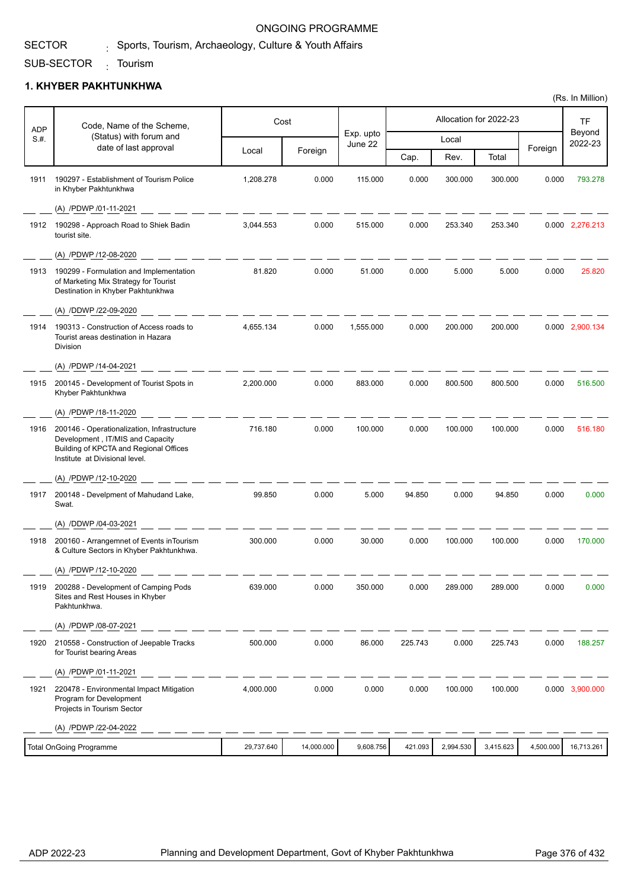# $_{\rm i}$  Sports, Tourism, Archaeology, Culture & Youth Affairs

### SUB-SECTOR <sub>:</sub> Tourism

SECTOR

## **1. KHYBER PAKHTUNKHWA**

| <b>ADP</b> | Code, Name of the Scheme,                                                                                                                                   |            | Cost       |                      |         |           | Allocation for 2022-23 |           | TF                |
|------------|-------------------------------------------------------------------------------------------------------------------------------------------------------------|------------|------------|----------------------|---------|-----------|------------------------|-----------|-------------------|
| S.H.       | (Status) with forum and<br>date of last approval                                                                                                            |            |            | Exp. upto<br>June 22 |         | Local     |                        | Foreign   | Beyond<br>2022-23 |
|            |                                                                                                                                                             | Local      | Foreign    |                      | Cap.    | Rev.      | Total                  |           |                   |
| 1911       | 190297 - Establishment of Tourism Police<br>in Khyber Pakhtunkhwa                                                                                           | 1,208.278  | 0.000      | 115.000              | 0.000   | 300.000   | 300.000                | 0.000     | 793.278           |
|            | (A) /PDWP /01-11-2021                                                                                                                                       |            |            |                      |         |           |                        |           |                   |
|            | 1912 190298 - Approach Road to Shiek Badin<br>tourist site.                                                                                                 | 3,044.553  | 0.000      | 515.000              | 0.000   | 253.340   | 253.340                |           | 0.000 2,276.213   |
|            | (A) /PDWP /12-08-2020                                                                                                                                       |            |            |                      |         |           |                        |           |                   |
| 1913       | 190299 - Formulation and Implementation<br>of Marketing Mix Strategy for Tourist<br>Destination in Khyber Pakhtunkhwa                                       | 81.820     | 0.000      | 51.000               | 0.000   | 5.000     | 5.000                  | 0.000     | 25.820            |
|            | (A) /DDWP /22-09-2020                                                                                                                                       |            |            |                      |         |           |                        |           |                   |
| 1914       | 190313 - Construction of Access roads to<br>Tourist areas destination in Hazara<br><b>Division</b>                                                          | 4,655.134  | 0.000      | 1,555.000            | 0.000   | 200.000   | 200.000                |           | 0.000 2,900.134   |
|            | (A) /PDWP /14-04-2021                                                                                                                                       |            |            |                      |         |           |                        |           |                   |
| 1915       | 200145 - Development of Tourist Spots in<br>Khyber Pakhtunkhwa                                                                                              | 2,200.000  | 0.000      | 883.000              | 0.000   | 800.500   | 800.500                | 0.000     | 516.500           |
|            | (A) /PDWP /18-11-2020                                                                                                                                       |            |            |                      |         |           |                        |           |                   |
| 1916       | 200146 - Operationalization, Infrastructure<br>Development, IT/MIS and Capacity<br>Building of KPCTA and Regional Offices<br>Institute at Divisional level. | 716.180    | 0.000      | 100.000              | 0.000   | 100.000   | 100.000                | 0.000     | 516.180           |
|            | (A) /PDWP /12-10-2020                                                                                                                                       |            |            |                      |         |           |                        |           |                   |
| 1917       | 200148 - Develpment of Mahudand Lake,<br>Swat.                                                                                                              | 99.850     | 0.000      | 5.000                | 94.850  | 0.000     | 94.850                 | 0.000     | 0.000             |
|            | (A) /DDWP /04-03-2021                                                                                                                                       |            |            |                      |         |           |                        |           |                   |
| 1918       | 200160 - Arrangemnet of Events in Tourism<br>& Culture Sectors in Khyber Pakhtunkhwa.                                                                       | 300.000    | 0.000      | 30.000               | 0.000   | 100.000   | 100.000                | 0.000     | 170,000           |
|            | (A) /PDWP /12-10-2020                                                                                                                                       |            |            |                      |         |           |                        |           |                   |
| 1919       | 200288 - Development of Camping Pods<br>Sites and Rest Houses in Khyber<br>Pakhtunkhwa.                                                                     | 639.000    | 0.000      | 350.000              | 0.000   | 289.000   | 289.000                | 0.000     | 0.000             |
|            | (A) /PDWP /08-07-2021                                                                                                                                       |            |            |                      |         |           |                        |           |                   |
| 1920       | 210558 - Construction of Jeepable Tracks<br>for Tourist bearing Areas                                                                                       | 500.000    | 0.000      | 86.000               | 225.743 | 0.000     | 225.743                | 0.000     | 188.257           |
|            | (A) /PDWP /01-11-2021                                                                                                                                       |            |            |                      |         |           |                        |           |                   |
| 1921       | 220478 - Environmental Impact Mitigation<br>Program for Development<br>Projects in Tourism Sector                                                           | 4,000.000  | 0.000      | 0.000                | 0.000   | 100.000   | 100.000                |           | 0.000 3,900.000   |
|            | (A) /PDWP /22-04-2022                                                                                                                                       |            |            |                      |         |           |                        |           |                   |
|            | <b>Total OnGoing Programme</b>                                                                                                                              | 29,737.640 | 14,000.000 | 9,608.756            | 421.093 | 2,994.530 | 3,415.623              | 4,500.000 | 16,713.261        |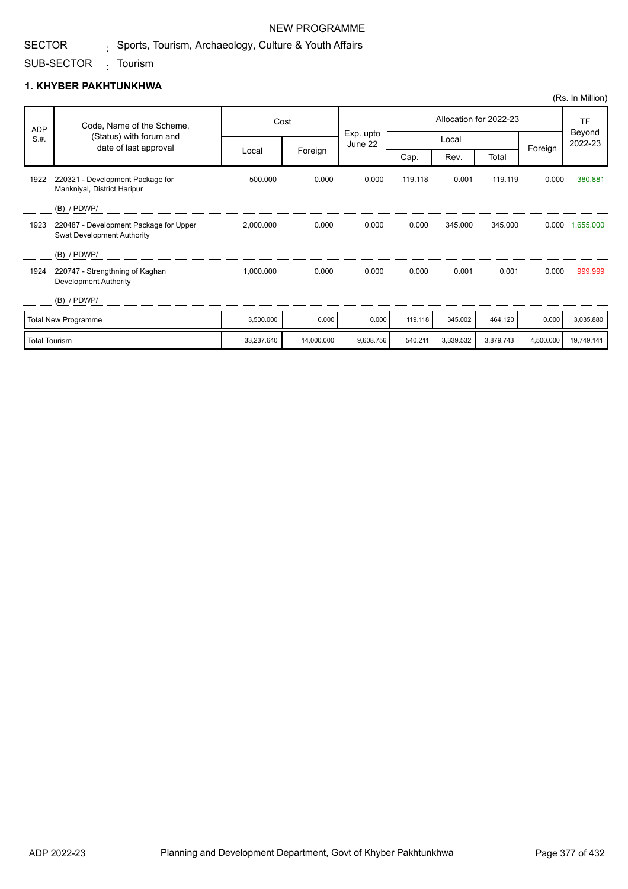## NEW PROGRAMME

## $_{\rm i}$  Sports, Tourism, Archaeology, Culture & Youth Affairs

### SUB-SECTOR <sub>:</sub> Tourism

SECTOR

## **1. KHYBER PAKHTUNKHWA**

|            |                                                                             |           |         |                      |                        |         |         |                   | (Rs. In Million) |
|------------|-----------------------------------------------------------------------------|-----------|---------|----------------------|------------------------|---------|---------|-------------------|------------------|
| <b>ADP</b> | Code, Name of the Scheme,                                                   |           | Cost    |                      | Allocation for 2022-23 |         |         |                   | <b>TF</b>        |
| S.H.       | (Status) with forum and<br>date of last approval                            |           |         | Exp. upto<br>June 22 | Local                  |         | Foreign | Beyond<br>2022-23 |                  |
|            |                                                                             | Local     | Foreign |                      | Cap.                   | Rev.    | Total   |                   |                  |
| 1922       | 220321 - Development Package for<br>Mankniyal, District Haripur             | 500.000   | 0.000   | 0.000                | 119.118                | 0.001   | 119.119 | 0.000             | 380.881          |
|            | $(B)$ / PDWP/                                                               |           |         |                      |                        |         |         |                   |                  |
| 1923       | 220487 - Development Package for Upper<br><b>Swat Development Authority</b> | 2,000.000 | 0.000   | 0.000                | 0.000                  | 345.000 | 345.000 | 0.000             | 1,655.000        |
|            | $(B)$ / PDWP/                                                               |           |         |                      |                        |         |         |                   |                  |
| 1924       | 220747 - Strengthning of Kaghan<br>Development Authority                    | 1,000.000 | 0.000   | 0.000                | 0.000                  | 0.001   | 0.001   | 0.000             | 999.999          |
|            | $(B)$ / PDWP/                                                               |           |         |                      |                        |         |         |                   |                  |
|            | <b>Total New Programme</b>                                                  | 3,500.000 | 0.000   | 0.000                | 119.118                | 345.002 | 464.120 | 0.000             | 3,035.880        |

Total Tourism 33,237.640 14,000.000 9,608.756 540.211 3,339.532 3,879.743 4,500.000 19,749.141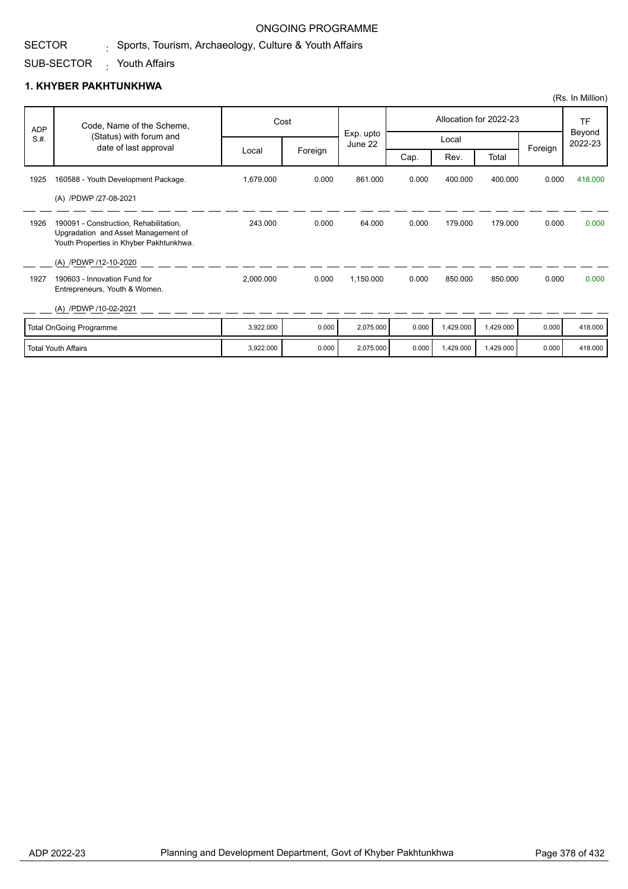#### SECTOR  $_{\rm i}$  Sports, Tourism, Archaeology, Culture & Youth Affairs

### SUB-SECTOR Youth Affairs :

|            |                                                                                                                          |           |         |                      |       |           |                        |         | (Rs. In Million)  |
|------------|--------------------------------------------------------------------------------------------------------------------------|-----------|---------|----------------------|-------|-----------|------------------------|---------|-------------------|
| <b>ADP</b> | Code, Name of the Scheme,                                                                                                |           | Cost    |                      |       |           | Allocation for 2022-23 |         | TF                |
| S.H.       | (Status) with forum and                                                                                                  |           |         | Exp. upto<br>June 22 |       | Local     |                        |         | Beyond<br>2022-23 |
|            | date of last approval                                                                                                    | Local     | Foreign |                      | Cap.  | Rev.      | Total                  | Foreign |                   |
| 1925       | 160588 - Youth Development Package.                                                                                      | 1,679.000 | 0.000   | 861.000              | 0.000 | 400.000   | 400.000                | 0.000   | 418.000           |
|            | (A) /PDWP /27-08-2021                                                                                                    |           |         |                      |       |           |                        |         |                   |
| 1926       | 190091 - Construction, Rehabilitation,<br>Upgradation and Asset Management of<br>Youth Properties in Khyber Pakhtunkhwa. | 243.000   | 0.000   | 64.000               | 0.000 | 179.000   | 179.000                | 0.000   | 0.000             |
|            | (A) /PDWP /12-10-2020                                                                                                    |           |         |                      |       |           |                        |         |                   |
| 1927       | 190603 - Innovation Fund for<br>Entrepreneurs, Youth & Women.                                                            | 2,000.000 | 0.000   | 1,150.000            | 0.000 | 850,000   | 850.000                | 0.000   | 0.000             |
|            | (A) /PDWP /10-02-2021                                                                                                    |           |         |                      |       |           |                        |         |                   |
|            | <b>Total OnGoing Programme</b>                                                                                           | 3,922.000 | 0.000   | 2,075.000            | 0.000 | 1,429.000 | 1,429.000              | 0.000   | 418.000           |
|            | <b>Total Youth Affairs</b>                                                                                               | 3,922.000 | 0.000   | 2,075.000            | 0.000 | 1,429.000 | 1,429.000              | 0.000   | 418.000           |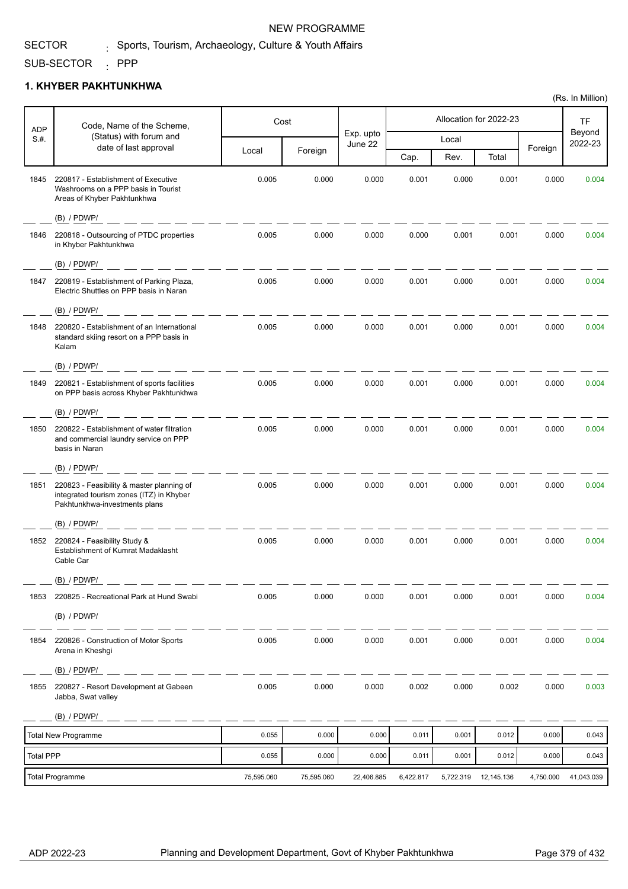## NEW PROGRAMME

# $_{\rm i}$  Sports, Tourism, Archaeology, Culture & Youth Affairs

SUB-SECTOR : PPP

SECTOR

## **1. KHYBER PAKHTUNKHWA**

| Code, Name of the Scheme,<br><b>ADP</b> |                                                                                                                        | Cost       |            |                      |           | Allocation for 2022-23 |            | <b>TF</b> |                   |
|-----------------------------------------|------------------------------------------------------------------------------------------------------------------------|------------|------------|----------------------|-----------|------------------------|------------|-----------|-------------------|
| S.#.                                    | (Status) with forum and<br>date of last approval                                                                       |            |            | Exp. upto<br>June 22 |           | Local                  |            |           | Beyond<br>2022-23 |
|                                         |                                                                                                                        | Local      | Foreign    |                      | Cap.      | Rev.                   | Total      | Foreign   |                   |
| 1845                                    | 220817 - Establishment of Executive<br>Washrooms on a PPP basis in Tourist<br>Areas of Khyber Pakhtunkhwa              | 0.005      | 0.000      | 0.000                | 0.001     | 0.000                  | 0.001      | 0.000     | 0.004             |
|                                         | $(B)$ / PDWP/                                                                                                          |            |            |                      |           |                        |            |           |                   |
| 1846                                    | 220818 - Outsourcing of PTDC properties<br>in Khyber Pakhtunkhwa                                                       | 0.005      | 0.000      | 0.000                | 0.000     | 0.001                  | 0.001      | 0.000     | 0.004             |
|                                         | $(B)$ / PDWP/                                                                                                          |            |            |                      |           |                        |            |           |                   |
| 1847                                    | 220819 - Establishment of Parking Plaza,<br>Electric Shuttles on PPP basis in Naran                                    | 0.005      | 0.000      | 0.000                | 0.001     | 0.000                  | 0.001      | 0.000     | 0.004             |
|                                         | (B) / PDWP/                                                                                                            |            |            |                      |           |                        |            |           |                   |
| 1848                                    | 220820 - Establishment of an International<br>standard skiing resort on a PPP basis in<br>Kalam                        | 0.005      | 0.000      | 0.000                | 0.001     | 0.000                  | 0.001      | 0.000     | 0.004             |
|                                         | (B) / PDWP/                                                                                                            |            |            |                      |           |                        |            |           |                   |
| 1849                                    | 220821 - Establishment of sports facilities<br>on PPP basis across Khyber Pakhtunkhwa                                  | 0.005      | 0.000      | 0.000                | 0.001     | 0.000                  | 0.001      | 0.000     | 0.004             |
|                                         | $(B)$ / PDWP/                                                                                                          |            |            |                      |           |                        |            |           |                   |
| 1850                                    | 220822 - Establishment of water filtration<br>and commercial laundry service on PPP<br>basis in Naran                  | 0.005      | 0.000      | 0.000                | 0.001     | 0.000                  | 0.001      | 0.000     | 0.004             |
|                                         | $(B)$ / PDWP/                                                                                                          |            |            |                      |           |                        |            |           |                   |
| 1851                                    | 220823 - Feasibility & master planning of<br>integrated tourism zones (ITZ) in Khyber<br>Pakhtunkhwa-investments plans | 0.005      | 0.000      | 0.000                | 0.001     | 0.000                  | 0.001      | 0.000     | 0.004             |
|                                         | $(B)$ / PDWP/                                                                                                          |            |            |                      |           |                        |            |           |                   |
| 1852                                    | 220824 - Feasibility Study &<br>Establishment of Kumrat Madaklasht<br>Cable Car                                        | 0.005      | 0.000      | 0.000                | 0.001     | 0.000                  | 0.001      | 0.000     | 0.004             |
|                                         | $(B)$ / PDWP/                                                                                                          |            |            |                      |           |                        |            |           |                   |
| 1853                                    | 220825 - Recreational Park at Hund Swabi                                                                               | 0.005      | 0.000      | 0.000                | 0.001     | 0.000                  | 0.001      | 0.000     | 0.004             |
|                                         | $(B)$ / PDWP/                                                                                                          |            |            |                      |           |                        |            |           |                   |
| 1854                                    | 220826 - Construction of Motor Sports<br>Arena in Kheshgi                                                              | 0.005      | 0.000      | 0.000                | 0.001     | 0.000                  | 0.001      | 0.000     | 0.004             |
|                                         | $(B)$ / PDWP/                                                                                                          |            |            |                      |           |                        |            |           |                   |
| 1855                                    | 220827 - Resort Development at Gabeen<br>Jabba, Swat valley                                                            | 0.005      | 0.000      | 0.000                | 0.002     | 0.000                  | 0.002      | 0.000     | 0.003             |
|                                         | $(B)$ / PDWP/                                                                                                          |            |            |                      |           |                        |            |           |                   |
|                                         | <b>Total New Programme</b>                                                                                             | 0.055      | 0.000      | 0.000                | 0.011     | 0.001                  | 0.012      | 0.000     | 0.043             |
| <b>Total PPP</b>                        |                                                                                                                        | 0.055      | 0.000      | 0.000                | 0.011     | 0.001                  | 0.012      | 0.000     | 0.043             |
|                                         | <b>Total Programme</b>                                                                                                 | 75,595.060 | 75,595.060 | 22,406.885           | 6,422.817 | 5,722.319              | 12,145.136 | 4,750.000 | 41,043.039        |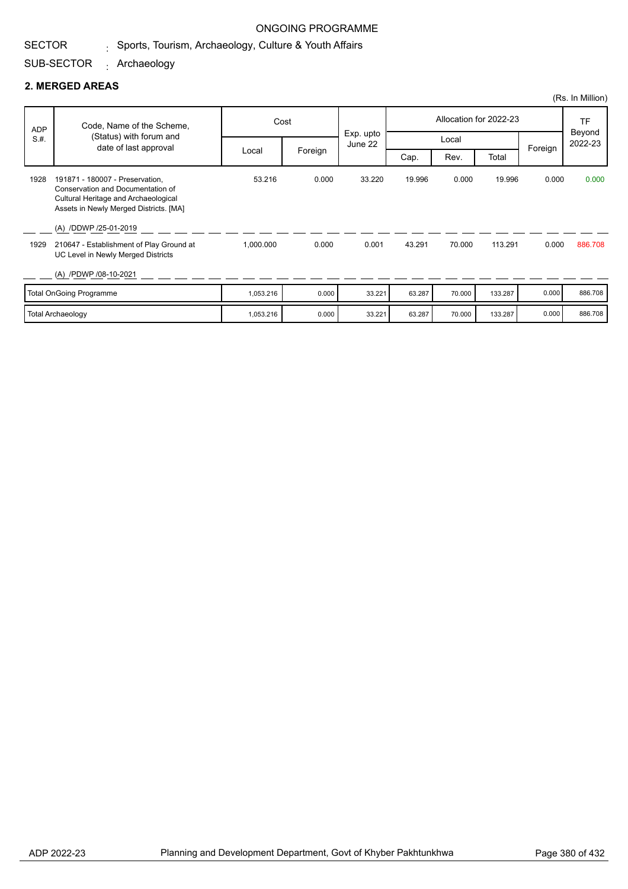#### SECTOR  $_{\rm i}$  Sports, Tourism, Archaeology, Culture & Youth Affairs

### SUB-SECTOR Archaeology :

|            |                                                                                                                                                        |           |         |                      |                        |        |         |         | (Rs. In Million)  |
|------------|--------------------------------------------------------------------------------------------------------------------------------------------------------|-----------|---------|----------------------|------------------------|--------|---------|---------|-------------------|
| <b>ADP</b> | Code, Name of the Scheme,                                                                                                                              | Cost      |         |                      | Allocation for 2022-23 |        |         |         | <b>TF</b>         |
| S.H.       | (Status) with forum and<br>date of last approval                                                                                                       |           |         | Exp. upto<br>June 22 |                        |        | Local   |         | Beyond<br>2022-23 |
|            |                                                                                                                                                        | Local     | Foreign |                      | Cap.                   | Rev.   | Total   | Foreign |                   |
| 1928       | 191871 - 180007 - Preservation,<br>Conservation and Documentation of<br>Cultural Heritage and Archaeological<br>Assets in Newly Merged Districts. [MA] | 53.216    | 0.000   | 33.220               | 19.996                 | 0.000  | 19.996  | 0.000   | 0.000             |
|            | (A) /DDWP /25-01-2019                                                                                                                                  |           |         |                      |                        |        |         |         |                   |
| 1929       | 210647 - Establishment of Play Ground at<br>UC Level in Newly Merged Districts                                                                         | 1,000.000 | 0.000   | 0.001                | 43.291                 | 70.000 | 113.291 | 0.000   | 886.708           |
|            | (A) /PDWP /08-10-2021                                                                                                                                  |           |         |                      |                        |        |         |         |                   |
|            | <b>Total OnGoing Programme</b>                                                                                                                         | 1,053.216 | 0.000   | 33.221               | 63.287                 | 70.000 | 133.287 | 0.000   | 886.708           |
|            | <b>Total Archaeology</b>                                                                                                                               | 1,053.216 | 0.000   | 33.221               | 63.287                 | 70.000 | 133.287 | 0.000   | 886.708           |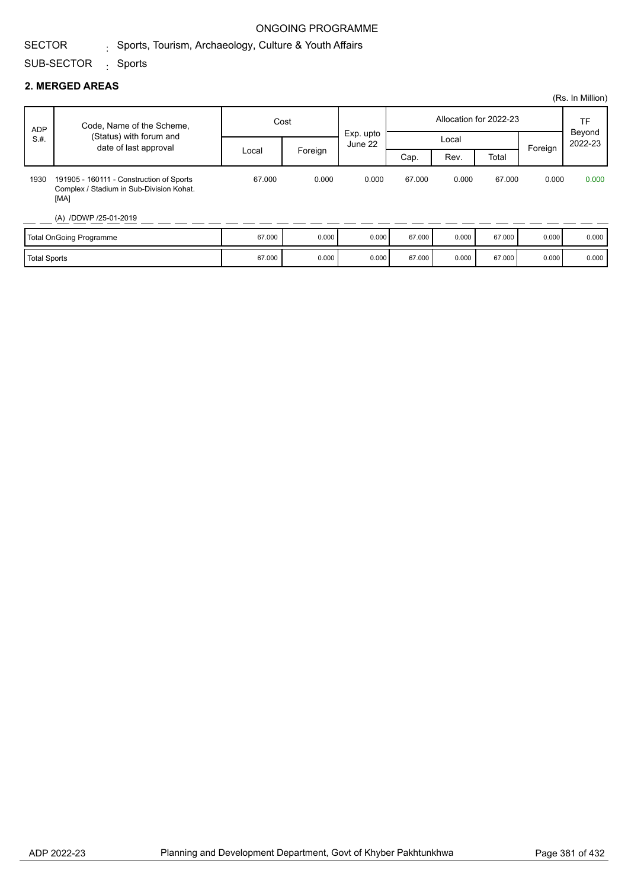### SECTOR  $_{\rm i}$  Sports, Tourism, Archaeology, Culture & Youth Affairs

### SUB-SECTOR <sub>:</sub> Sports

|                     |                                                                                              |        |         |                      |        |       |                        |         | (Rs. In Million)  |
|---------------------|----------------------------------------------------------------------------------------------|--------|---------|----------------------|--------|-------|------------------------|---------|-------------------|
| ADP                 | Code, Name of the Scheme,                                                                    | Cost   |         |                      |        |       | Allocation for 2022-23 |         | <b>TF</b>         |
| S.H.                | (Status) with forum and<br>date of last approval                                             |        |         | Exp. upto<br>June 22 | Local  |       |                        |         | Beyond<br>2022-23 |
|                     |                                                                                              | Local  | Foreign |                      | Cap.   | Rev.  | Total                  | Foreign |                   |
| 1930                | 191905 - 160111 - Construction of Sports<br>Complex / Stadium in Sub-Division Kohat.<br>[MA] | 67.000 | 0.000   | 0.000                | 67.000 | 0.000 | 67.000                 | 0.000   | 0.000             |
|                     | (A) /DDWP /25-01-2019                                                                        |        |         |                      |        |       |                        |         |                   |
|                     | Total OnGoing Programme                                                                      | 67.000 | 0.000   | 0.000                | 67.000 | 0.000 | 67.000                 | 0.000   | 0.000             |
| <b>Total Sports</b> |                                                                                              | 67.000 | 0.000   | 0.000                | 67.000 | 0.000 | 67.000                 | 0.000   | 0.000             |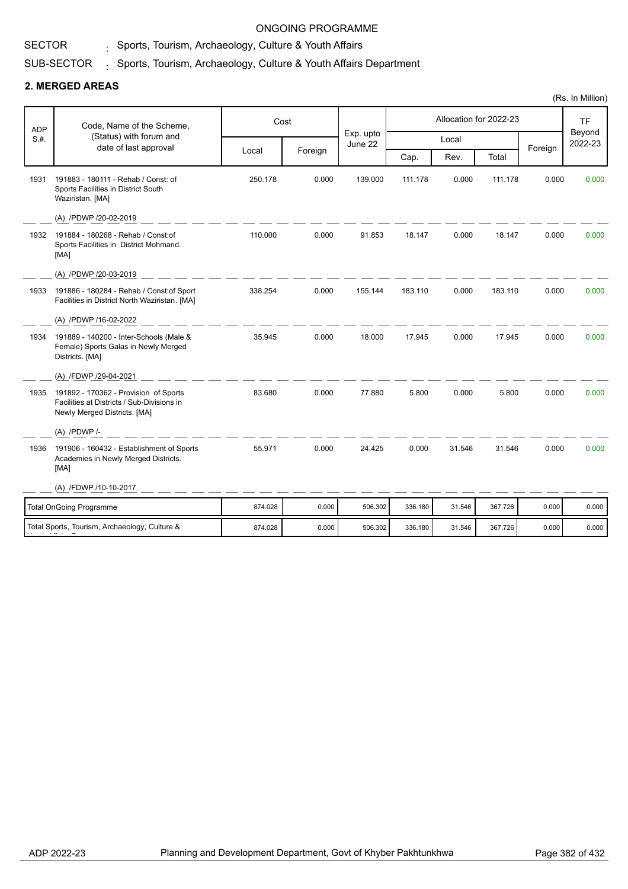#### SECTOR  $_{\rm i}$  Sports, Tourism, Archaeology, Culture & Youth Affairs

### SUB-SECTOR  $_{\odot}$  Sports, Tourism, Archaeology, Culture & Youth Affairs Department

|            |                                                                                                                     |         |         |                      |         |        |                        |         | (Rs. In Million)  |
|------------|---------------------------------------------------------------------------------------------------------------------|---------|---------|----------------------|---------|--------|------------------------|---------|-------------------|
| <b>ADP</b> | Code, Name of the Scheme,                                                                                           | Cost    |         |                      |         |        | Allocation for 2022-23 |         | <b>TF</b>         |
| S.H.       | (Status) with forum and<br>date of last approval                                                                    |         |         | Exp. upto<br>June 22 |         | Local  |                        |         | Beyond<br>2022-23 |
|            |                                                                                                                     | Local   | Foreign |                      | Cap.    | Rev.   | Total                  | Foreign |                   |
| 1931       | 191883 - 180111 - Rehab / Const: of<br>Sports Facilities in District South<br>Waziristan. [MA]                      | 250.178 | 0.000   | 139.000              | 111.178 | 0.000  | 111.178                | 0.000   | 0.000             |
|            | (A) /PDWP /20-02-2019                                                                                               |         |         |                      |         |        |                        |         |                   |
| 1932       | 191884 - 180268 - Rehab / Const:of<br>Sports Facilities in District Mohmand.<br>[MA]                                | 110.000 | 0.000   | 91.853               | 18.147  | 0.000  | 18.147                 | 0.000   | 0.000             |
|            | (A) /PDWP /20-03-2019                                                                                               |         |         |                      |         |        |                        |         |                   |
| 1933       | 191886 - 180284 - Rehab / Const: of Sport<br>Facilities in District North Waziristan. [MA]                          | 338.254 | 0.000   | 155.144              | 183.110 | 0.000  | 183.110                | 0.000   | 0.000             |
|            | (A) /PDWP /16-02-2022                                                                                               |         |         |                      |         |        |                        |         |                   |
| 1934       | 191889 - 140200 - Inter-Schools (Male &<br>Female) Sports Galas in Newly Merged<br>Districts. [MA]                  | 35.945  | 0.000   | 18.000               | 17.945  | 0.000  | 17.945                 | 0.000   | 0.000             |
|            | (A) /FDWP /29-04-2021                                                                                               |         |         |                      |         |        |                        |         |                   |
| 1935       | 191892 - 170362 - Provision of Sports<br>Facilities at Districts / Sub-Divisions in<br>Newly Merged Districts. [MA] | 83.680  | 0.000   | 77.880               | 5.800   | 0.000  | 5.800                  | 0.000   | 0.000             |
|            | $(A)$ /PDWP /-                                                                                                      |         |         |                      |         |        |                        |         |                   |
| 1936       | 191906 - 160432 - Establishment of Sports<br>Academies in Newly Merged Districts.<br>[MA]                           | 55.971  | 0.000   | 24.425               | 0.000   | 31.546 | 31.546                 | 0.000   | 0.000             |
|            | (A) /FDWP /10-10-2017                                                                                               |         |         |                      |         |        |                        |         |                   |
|            | <b>Total OnGoing Programme</b>                                                                                      | 874.028 | 0.000   | 506.302              | 336.180 | 31.546 | 367.726                | 0.000   | 0.000             |
|            | Total Sports, Tourism, Archaeology, Culture &                                                                       | 874.028 | 0.000   | 506.302              | 336.180 | 31.546 | 367.726                | 0.000   | 0.000             |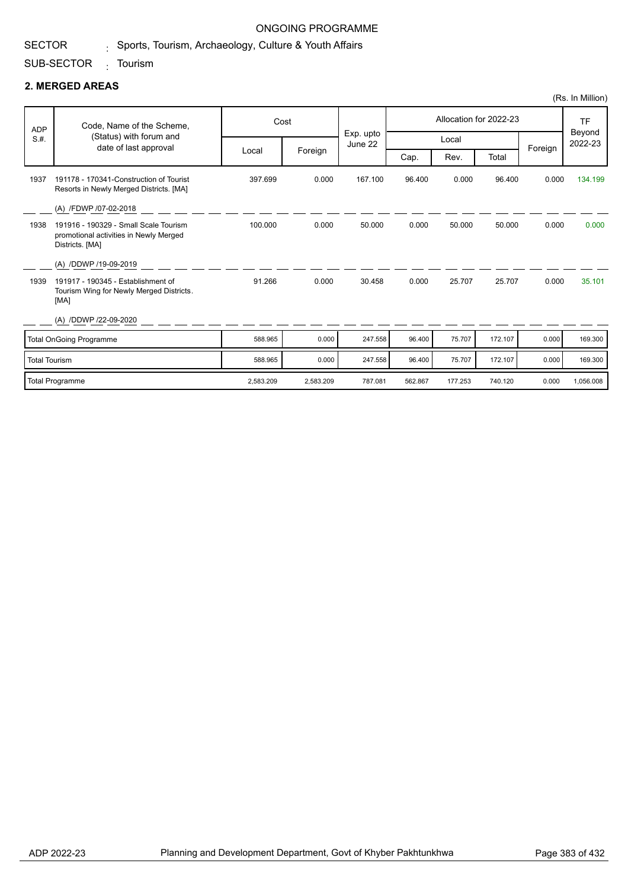# $_{\rm i}$  Sports, Tourism, Archaeology, Culture & Youth Affairs

### SUB-SECTOR <sub>:</sub> Tourism

## **2. MERGED AREAS**

SECTOR

|                      |                                                                                                    |           |           |                      |         |         |                        |         | (Rs. In Million)  |
|----------------------|----------------------------------------------------------------------------------------------------|-----------|-----------|----------------------|---------|---------|------------------------|---------|-------------------|
| <b>ADP</b>           | Code, Name of the Scheme,                                                                          |           | Cost      |                      |         |         | Allocation for 2022-23 |         | <b>TF</b>         |
| S.H.                 | (Status) with forum and<br>date of last approval                                                   |           |           | Exp. upto<br>June 22 |         | Local   |                        |         | Beyond<br>2022-23 |
|                      |                                                                                                    | Local     | Foreign   |                      | Cap.    | Rev.    | Total                  | Foreign |                   |
| 1937                 | 191178 - 170341-Construction of Tourist<br>Resorts in Newly Merged Districts. [MA]                 | 397.699   | 0.000     | 167.100              | 96.400  | 0.000   | 96.400                 | 0.000   | 134.199           |
|                      | (A) /FDWP /07-02-2018                                                                              |           |           |                      |         |         |                        |         |                   |
| 1938                 | 191916 - 190329 - Small Scale Tourism<br>promotional activities in Newly Merged<br>Districts. [MA] | 100.000   | 0.000     | 50.000               | 0.000   | 50.000  | 50.000                 | 0.000   | 0.000             |
|                      | (A) /DDWP /19-09-2019                                                                              |           |           |                      |         |         |                        |         |                   |
| 1939                 | 191917 - 190345 - Establishment of<br>Tourism Wing for Newly Merged Districts.<br>[MA]             | 91.266    | 0.000     | 30.458               | 0.000   | 25.707  | 25.707                 | 0.000   | 35.101            |
|                      | (A) /DDWP /22-09-2020                                                                              |           |           |                      |         |         |                        |         |                   |
|                      | Total OnGoing Programme                                                                            | 588.965   | 0.000     | 247.558              | 96.400  | 75.707  | 172.107                | 0.000   | 169.300           |
| <b>Total Tourism</b> |                                                                                                    | 588.965   | 0.000     | 247.558              | 96.400  | 75.707  | 172.107                | 0.000   | 169.300           |
|                      | Total Programme                                                                                    | 2,583.209 | 2,583.209 | 787.081              | 562.867 | 177.253 | 740.120                | 0.000   | 1,056.008         |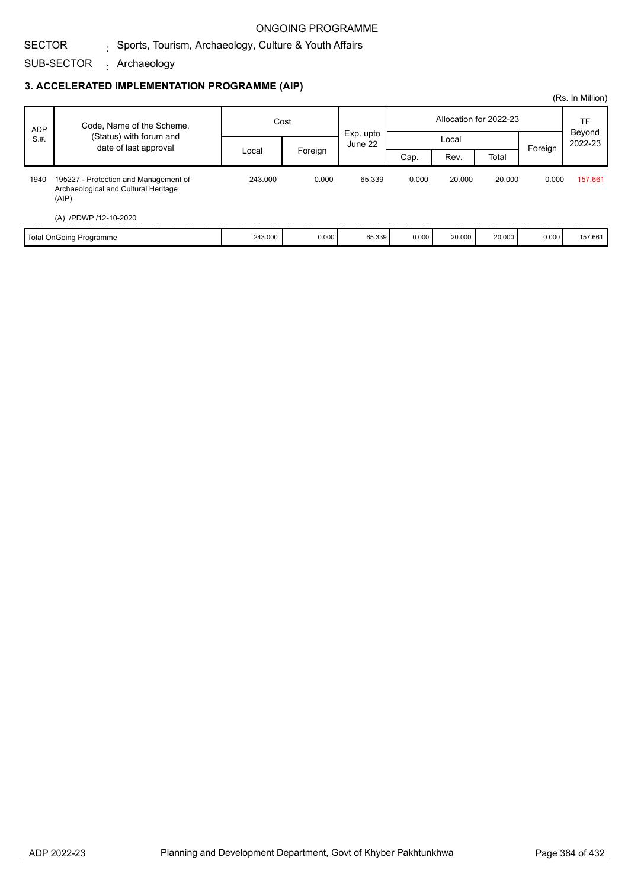#### SECTOR  $_{\rm i}$  Sports, Tourism, Archaeology, Culture & Youth Affairs

SUB-SECTOR Archaeology :

## **3. ACCELERATED IMPLEMENTATION PROGRAMME (AIP)**

|            |                                                                                        |         |         |                      |                        |        |        |         | (Rs. In Million)  |
|------------|----------------------------------------------------------------------------------------|---------|---------|----------------------|------------------------|--------|--------|---------|-------------------|
| <b>ADP</b> | Code, Name of the Scheme,                                                              | Cost    |         |                      | Allocation for 2022-23 |        |        |         | TF                |
| S.H.       | (Status) with forum and                                                                |         |         | Exp. upto<br>June 22 |                        | Local  |        |         | Beyond<br>2022-23 |
|            | date of last approval                                                                  | Local   | Foreign |                      | Cap.                   | Rev.   | Total  | Foreign |                   |
| 1940       | 195227 - Protection and Management of<br>Archaeological and Cultural Heritage<br>(AIP) | 243.000 | 0.000   | 65.339               | 0.000                  | 20.000 | 20,000 | 0.000   | 157.661           |
|            | (A) /PDWP /12-10-2020                                                                  |         |         |                      |                        |        |        |         |                   |
|            | Total OnGoing Programme                                                                | 243,000 | 0.000   | 65.339               | 0.000                  | 20,000 | 20,000 | 0.000   | 157.661           |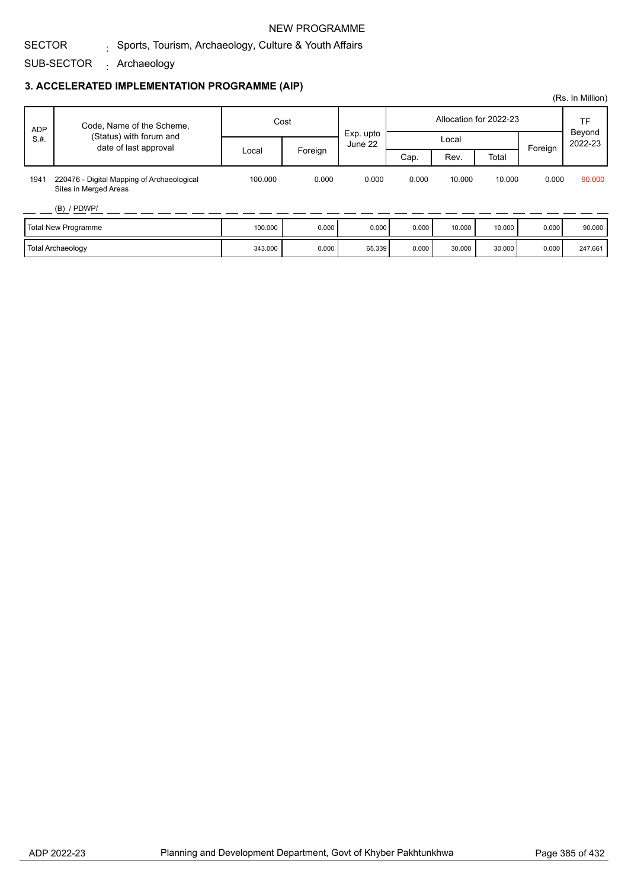## NEW PROGRAMME

#### SECTOR  $_{\rm i}$  Sports, Tourism, Archaeology, Culture & Youth Affairs

SUB-SECTOR Archaeology :

## **3. ACCELERATED IMPLEMENTATION PROGRAMME (AIP)**

|            |                                                                     |         |                             |           |       |                        |        |              | (Rs. In Million) |
|------------|---------------------------------------------------------------------|---------|-----------------------------|-----------|-------|------------------------|--------|--------------|------------------|
| <b>ADP</b> | Code, Name of the Scheme,                                           | Cost    |                             | Exp. upto |       | Allocation for 2022-23 |        | TF<br>Beyond |                  |
| S.H.       | (Status) with forum and<br>date of last approval                    |         | June 22<br>Foreign<br>Local |           | Local |                        |        | Foreign      | 2022-23          |
|            |                                                                     |         |                             |           | Cap.  | Rev.                   | Total  |              |                  |
| 1941       | 220476 - Digital Mapping of Archaeological<br>Sites in Merged Areas | 100.000 | 0.000                       | 0.000     | 0.000 | 10.000                 | 10.000 | 0.000        | 90.000           |
|            | $(B)$ / PDWP/                                                       |         |                             |           |       |                        |        |              |                  |
|            | <b>Total New Programme</b>                                          | 100.000 | 0.000                       | 0.000     | 0.000 | 10.000                 | 10.000 | 0.000        | 90.000           |
|            | <b>Total Archaeology</b>                                            | 343.000 | 0.000                       | 65.339    | 0.000 | 30.000                 | 30.000 | 0.000        | 247.661          |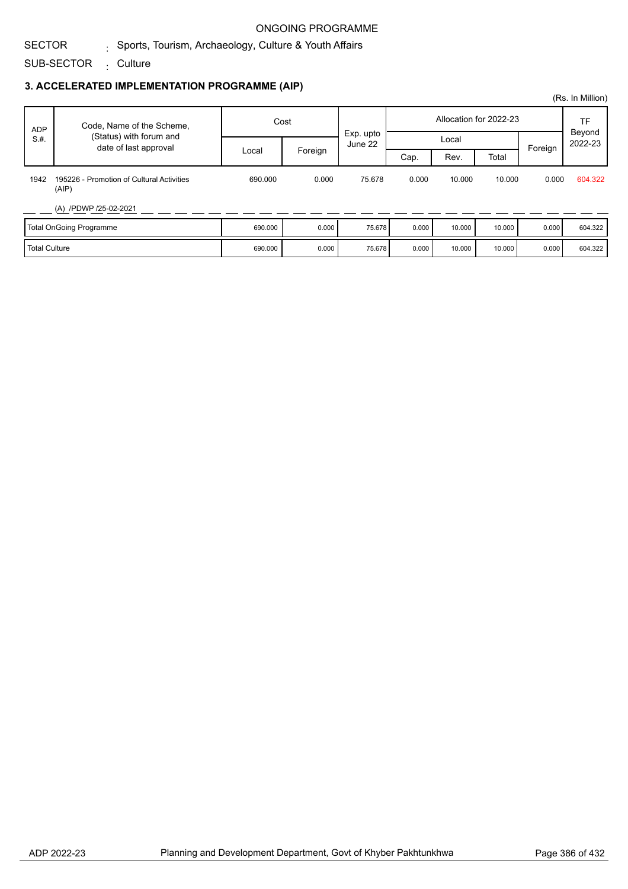## $_{\rm i}$  Sports, Tourism, Archaeology, Culture & Youth Affairs

SUB-SECTOR <sub>:</sub> Culture

## **3. ACCELERATED IMPLEMENTATION PROGRAMME (AIP)**

| <b>ADP</b><br>S.H.   | Code, Name of the Scheme,                          | Cost    |         | Exp. upto |       |        | Allocation for 2022-23 |         | TF<br>Beyond |
|----------------------|----------------------------------------------------|---------|---------|-----------|-------|--------|------------------------|---------|--------------|
|                      | (Status) with forum and<br>date of last approval   |         |         | June 22   |       | Local  |                        | Foreign | 2022-23      |
|                      |                                                    | Local   | Foreign |           | Cap.  | Rev.   | Total                  |         |              |
| 1942                 | 195226 - Promotion of Cultural Activities<br>(AIP) | 690,000 | 0.000   | 75.678    | 0.000 | 10.000 | 10.000                 | 0.000   | 604.322      |
|                      | (A) /PDWP /25-02-2021                              |         |         |           |       |        |                        |         |              |
|                      | Total OnGoing Programme                            | 690.000 | 0.000   | 75.678    | 0.000 | 10.000 | 10.000                 | 0.000   | 604.322      |
| <b>Total Culture</b> |                                                    | 690.000 | 0.000   | 75.678    | 0.000 | 10.000 | 10.000                 | 0.000   | 604.322      |

(Rs. In Million)

SECTOR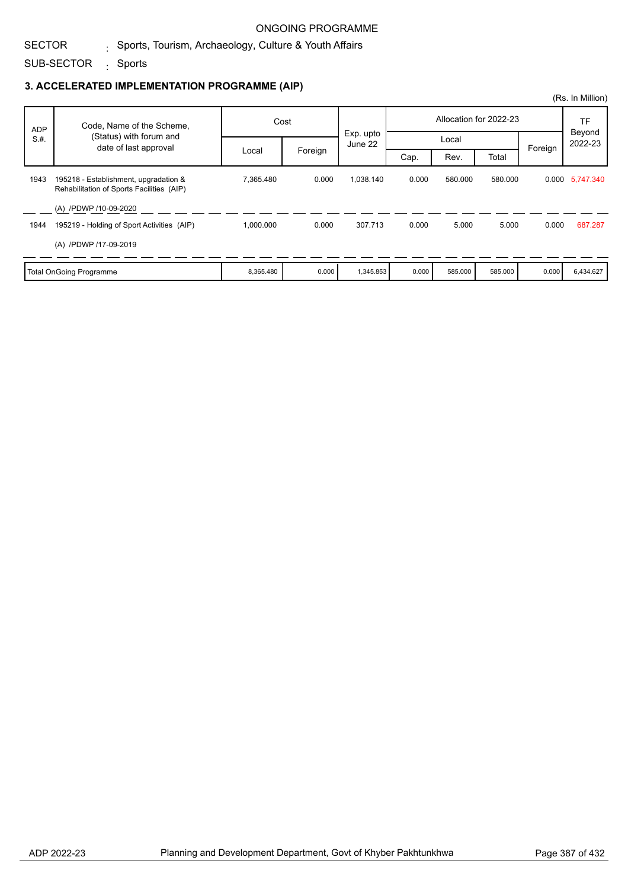#### SECTOR  $_{\rm i}$  Sports, Tourism, Archaeology, Culture & Youth Affairs

SUB-SECTOR <sub>:</sub> Sports

## **3. ACCELERATED IMPLEMENTATION PROGRAMME (AIP)**

|            |                                                                                    |           |         |                      |       |         |                        |         | (Rs. In Million)  |
|------------|------------------------------------------------------------------------------------|-----------|---------|----------------------|-------|---------|------------------------|---------|-------------------|
| <b>ADP</b> | Code, Name of the Scheme,                                                          |           | Cost    |                      |       |         | Allocation for 2022-23 |         | TF                |
| S.H.       | (Status) with forum and<br>date of last approval                                   |           |         | Exp. upto<br>June 22 |       | Local   |                        | Foreign | Beyond<br>2022-23 |
|            |                                                                                    | Local     | Foreign |                      | Cap.  | Rev.    | Total                  |         |                   |
| 1943       | 195218 - Establishment, upgradation &<br>Rehabilitation of Sports Facilities (AIP) | 7,365.480 | 0.000   | 1,038.140            | 0.000 | 580.000 | 580.000                |         | 0.000 5,747.340   |
| 1944       | (A) /PDWP /10-09-2020<br>195219 - Holding of Sport Activities (AIP)                | 1,000.000 | 0.000   | 307.713              | 0.000 | 5.000   | 5.000                  | 0.000   | 687.287           |
|            | (A) /PDWP /17-09-2019                                                              |           |         |                      |       |         |                        |         |                   |
|            | <b>Total OnGoing Programme</b>                                                     | 8,365.480 | 0.000   | 1,345.853            | 0.000 | 585.000 | 585.000                | 0.000   | 6,434.627         |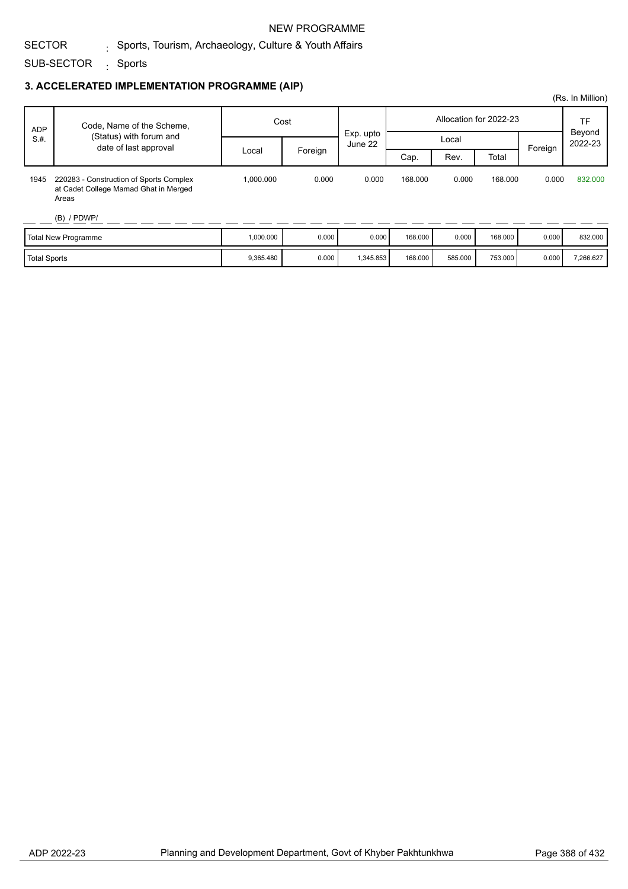## NEW PROGRAMME

## $_{\rm i}$  Sports, Tourism, Archaeology, Culture & Youth Affairs

SUB-SECTOR <sub>:</sub> Sports

## **3. ACCELERATED IMPLEMENTATION PROGRAMME (AIP)**

| <b>ADP</b>          | Code, Name of the Scheme,                                                                                  | Cost      |         | Exp. upto |         |         | Allocation for 2022-23 |         | TF<br>Beyond |
|---------------------|------------------------------------------------------------------------------------------------------------|-----------|---------|-----------|---------|---------|------------------------|---------|--------------|
| S.H.                | (Status) with forum and<br>date of last approval                                                           |           |         | June 22   |         | Local   |                        |         | 2022-23      |
|                     |                                                                                                            | Local     | Foreign |           | Cap.    | Rev.    | Total                  | Foreign |              |
| 1945                | 220283 - Construction of Sports Complex<br>at Cadet College Mamad Ghat in Merged<br>Areas<br>$(B)$ / PDWP/ | 1.000.000 | 0.000   | 0.000     | 168.000 | 0.000   | 168,000                | 0.000   | 832,000      |
|                     | <b>Total New Programme</b>                                                                                 | 1,000.000 | 0.000   | 0.000     | 168,000 | 0.000   | 168,000                | 0.000   | 832.000      |
| <b>Total Sports</b> |                                                                                                            | 9,365.480 | 0.000   | 1,345.853 | 168.000 | 585.000 | 753.000                | 0.000   | 7,266.627    |

(Rs. In Million)

SECTOR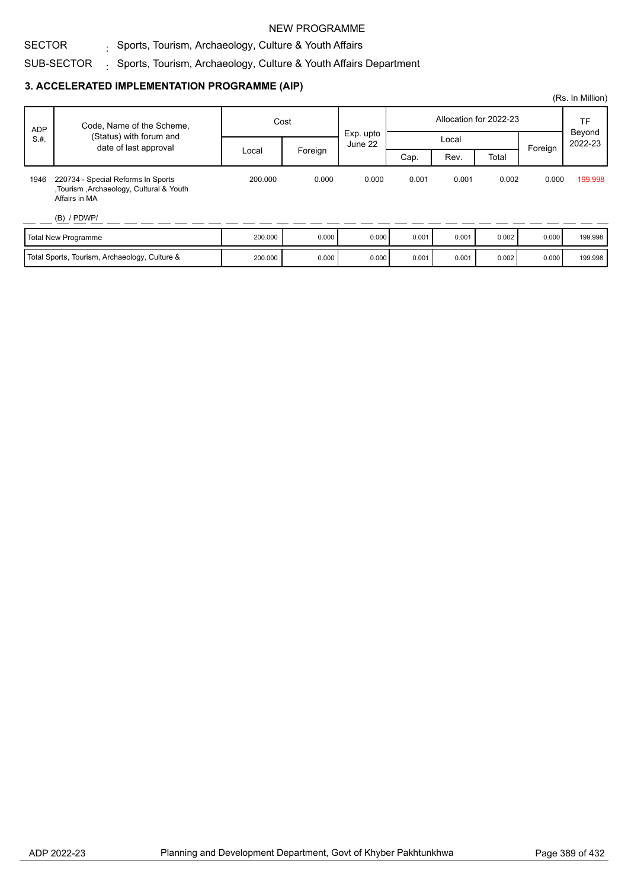### NEW PROGRAMME

#### SECTOR  $_{\rm i}$  Sports, Tourism, Archaeology, Culture & Youth Affairs

### SUB-SECTOR  $_{\odot}$  Sports, Tourism, Archaeology, Culture & Youth Affairs Department

## **3. ACCELERATED IMPLEMENTATION PROGRAMME (AIP)**

|            |                                                                                                |         |         |                      |       |       |                        |         | (Rs. In Million)               |
|------------|------------------------------------------------------------------------------------------------|---------|---------|----------------------|-------|-------|------------------------|---------|--------------------------------|
| <b>ADP</b> | Code, Name of the Scheme,                                                                      | Cost    |         |                      |       |       | Allocation for 2022-23 |         | <b>TF</b><br>Beyond<br>2022-23 |
| S.H.       | (Status) with forum and<br>date of last approval                                               |         |         | Exp. upto<br>June 22 |       | Local |                        | Foreign |                                |
|            |                                                                                                | Local   | Foreign |                      | Cap.  | Rev.  | Total                  |         |                                |
| 1946       | 220734 - Special Reforms In Sports<br>Tourism , Archaeology, Cultural & Youth<br>Affairs in MA | 200.000 | 0.000   | 0.000                | 0.001 | 0.001 | 0.002                  | 0.000   | 199.998                        |
|            | $(B)$ / PDWP/                                                                                  |         |         |                      |       |       |                        |         |                                |
|            | <b>Total New Programme</b>                                                                     | 200.000 | 0.000   | 0.000                | 0.001 | 0.001 | 0.002                  | 0.000   | 199.998                        |
|            | Total Sports, Tourism, Archaeology, Culture &                                                  | 200.000 | 0.000   | 0.000                | 0.001 | 0.001 | 0.002                  | 0.000   | 199.998                        |

Youth Affairs Department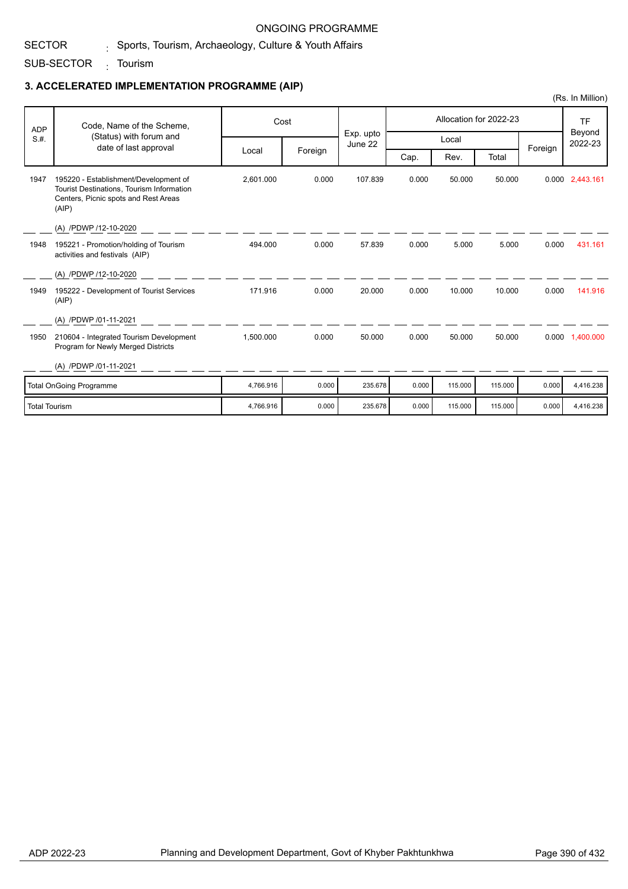#### SECTOR  $_{\rm i}$  Sports, Tourism, Archaeology, Culture & Youth Affairs

SUB-SECTOR <sub>:</sub> Tourism

## **3. ACCELERATED IMPLEMENTATION PROGRAMME (AIP)**

|                      |                                                                                                                                     |           |         |                      |       |         |                        |         | (Rs. In Million)  |
|----------------------|-------------------------------------------------------------------------------------------------------------------------------------|-----------|---------|----------------------|-------|---------|------------------------|---------|-------------------|
| <b>ADP</b>           | Code, Name of the Scheme,                                                                                                           |           | Cost    |                      |       |         | Allocation for 2022-23 |         | <b>TF</b>         |
| S.H.                 | (Status) with forum and<br>date of last approval                                                                                    |           |         | Exp. upto<br>June 22 |       | Local   |                        |         | Beyond<br>2022-23 |
|                      |                                                                                                                                     | Local     | Foreign |                      | Cap.  | Rev.    | Total                  | Foreign |                   |
| 1947                 | 195220 - Establishment/Development of<br>Tourist Destinations, Tourism Information<br>Centers, Picnic spots and Rest Areas<br>(AIP) | 2,601.000 | 0.000   | 107.839              | 0.000 | 50.000  | 50.000                 |         | 0.000 2,443.161   |
|                      | (A) /PDWP /12-10-2020                                                                                                               |           |         |                      |       |         |                        |         |                   |
| 1948                 | 195221 - Promotion/holding of Tourism<br>activities and festivals (AIP)                                                             | 494.000   | 0.000   | 57.839               | 0.000 | 5.000   | 5.000                  | 0.000   | 431.161           |
|                      | (A) /PDWP /12-10-2020                                                                                                               |           |         |                      |       |         |                        |         |                   |
| 1949                 | 195222 - Development of Tourist Services<br>(AIP)                                                                                   | 171.916   | 0.000   | 20.000               | 0.000 | 10.000  | 10.000                 | 0.000   | 141.916           |
|                      | (A) /PDWP /01-11-2021                                                                                                               |           |         |                      |       |         |                        |         |                   |
| 1950                 | 210604 - Integrated Tourism Development<br>Program for Newly Merged Districts                                                       | 1.500.000 | 0.000   | 50.000               | 0.000 | 50.000  | 50.000                 |         | 0.000 1.400.000   |
|                      | (A) /PDWP /01-11-2021                                                                                                               |           |         |                      |       |         |                        |         |                   |
|                      | <b>Total OnGoing Programme</b>                                                                                                      | 4.766.916 | 0.000   | 235.678              | 0.000 | 115.000 | 115,000                | 0.000   | 4,416.238         |
| <b>Total Tourism</b> |                                                                                                                                     | 4,766.916 | 0.000   | 235.678              | 0.000 | 115,000 | 115.000                | 0.000   | 4,416.238         |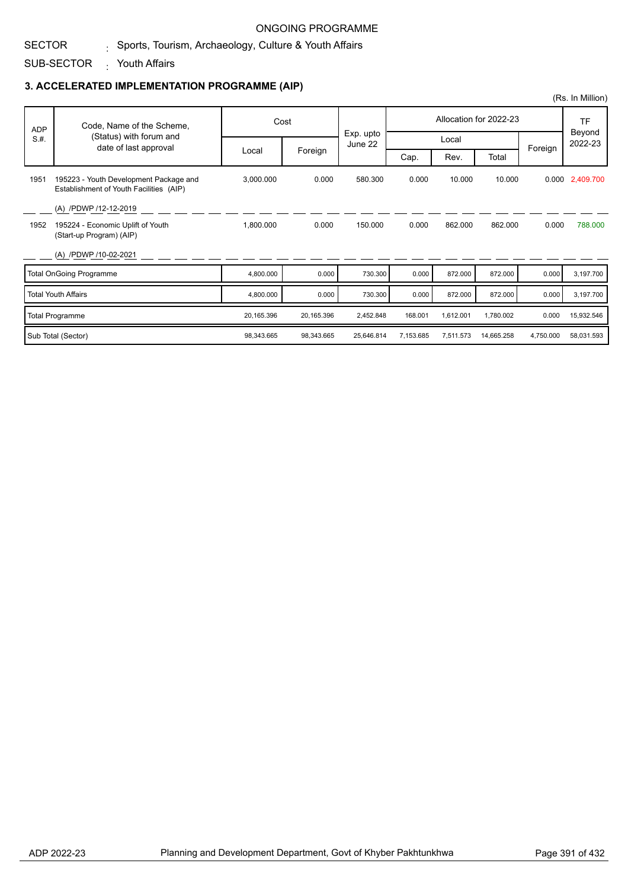#### SECTOR  $_{\rm i}$  Sports, Tourism, Archaeology, Culture & Youth Affairs

### SUB-SECTOR Youth Affairs :

## **3. ACCELERATED IMPLEMENTATION PROGRAMME (AIP)**

|            |                                                                                   |            |            |                      |           |           |                        | (Rs. In Million) |                   |
|------------|-----------------------------------------------------------------------------------|------------|------------|----------------------|-----------|-----------|------------------------|------------------|-------------------|
| <b>ADP</b> | Code, Name of the Scheme,                                                         |            | Cost       |                      |           |           | Allocation for 2022-23 |                  | <b>TF</b>         |
| S.H.       | (Status) with forum and<br>date of last approval                                  |            |            | Exp. upto<br>June 22 |           | Local     |                        |                  | Beyond<br>2022-23 |
|            |                                                                                   | Local      | Foreign    |                      | Cap.      | Rev.      | Total                  | Foreign          |                   |
| 1951       | 195223 - Youth Development Package and<br>Establishment of Youth Facilities (AIP) | 3,000.000  | 0.000      | 580.300              | 0.000     | 10.000    | 10.000                 |                  | 0.000 2,409.700   |
|            | (A) /PDWP /12-12-2019                                                             |            |            |                      |           |           |                        |                  |                   |
| 1952       | 195224 - Economic Uplift of Youth<br>(Start-up Program) (AIP)                     | 1,800.000  | 0.000      | 150.000              | 0.000     | 862.000   | 862.000                | 0.000            | 788.000           |
|            | (A) /PDWP /10-02-2021                                                             |            |            |                      |           |           |                        |                  |                   |
|            | <b>Total OnGoing Programme</b>                                                    | 4,800.000  | 0.000      | 730.300              | 0.000     | 872.000   | 872.000                | 0.000            | 3,197.700         |
|            | <b>Total Youth Affairs</b>                                                        | 4,800.000  | 0.000      | 730.300              | 0.000     | 872.000   | 872.000                | 0.000            | 3,197.700         |
|            | <b>Total Programme</b>                                                            | 20,165.396 | 20,165.396 | 2,452.848            | 168.001   | 1,612.001 | 1,780.002              | 0.000            | 15,932.546        |
|            | Sub Total (Sector)                                                                | 98.343.665 | 98,343.665 | 25.646.814           | 7.153.685 | 7,511.573 | 14,665.258             | 4,750.000        | 58,031.593        |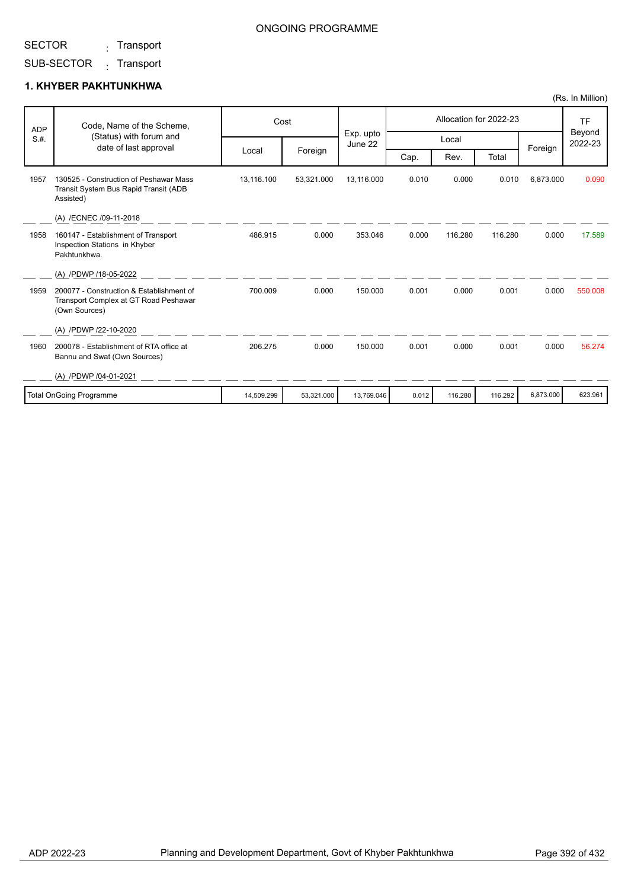<sub>:</sub> Transport

# SUB-SECTOR <sub>:</sub> Transport

|            |                                                                                                    |            |            |                      |       |         |                        |           | (Rs. In Million)  |
|------------|----------------------------------------------------------------------------------------------------|------------|------------|----------------------|-------|---------|------------------------|-----------|-------------------|
| <b>ADP</b> | Code, Name of the Scheme,                                                                          | Cost       |            |                      |       |         | Allocation for 2022-23 |           | <b>TF</b>         |
| S.H.       | (Status) with forum and<br>date of last approval                                                   |            |            | Exp. upto<br>June 22 |       | Local   |                        | Foreign   | Beyond<br>2022-23 |
|            |                                                                                                    | Local      | Foreign    |                      | Cap.  | Rev.    | Total                  |           |                   |
| 1957       | 130525 - Construction of Peshawar Mass<br>Transit System Bus Rapid Transit (ADB<br>Assisted)       | 13,116.100 | 53,321.000 | 13,116.000           | 0.010 | 0.000   | 0.010                  | 6,873.000 | 0.090             |
|            | (A) /ECNEC /09-11-2018                                                                             |            |            |                      |       |         |                        |           |                   |
| 1958       | 160147 - Establishment of Transport<br>Inspection Stations in Khyber<br>Pakhtunkhwa.               | 486.915    | 0.000      | 353.046              | 0.000 | 116.280 | 116,280                | 0.000     | 17.589            |
|            | (A) /PDWP /18-05-2022                                                                              |            |            |                      |       |         |                        |           |                   |
| 1959       | 200077 - Construction & Establishment of<br>Transport Complex at GT Road Peshawar<br>(Own Sources) | 700.009    | 0.000      | 150.000              | 0.001 | 0.000   | 0.001                  | 0.000     | 550.008           |
|            | (A) /PDWP /22-10-2020                                                                              |            |            |                      |       |         |                        |           |                   |
| 1960       | 200078 - Establishment of RTA office at<br>Bannu and Swat (Own Sources)                            | 206.275    | 0.000      | 150.000              | 0.001 | 0.000   | 0.001                  | 0.000     | 56.274            |
|            | (A) /PDWP /04-01-2021                                                                              |            |            |                      |       |         |                        |           |                   |
|            | <b>Total OnGoing Programme</b>                                                                     | 14,509.299 | 53,321.000 | 13.769.046           | 0.012 | 116.280 | 116.292                | 6.873.000 | 623.961           |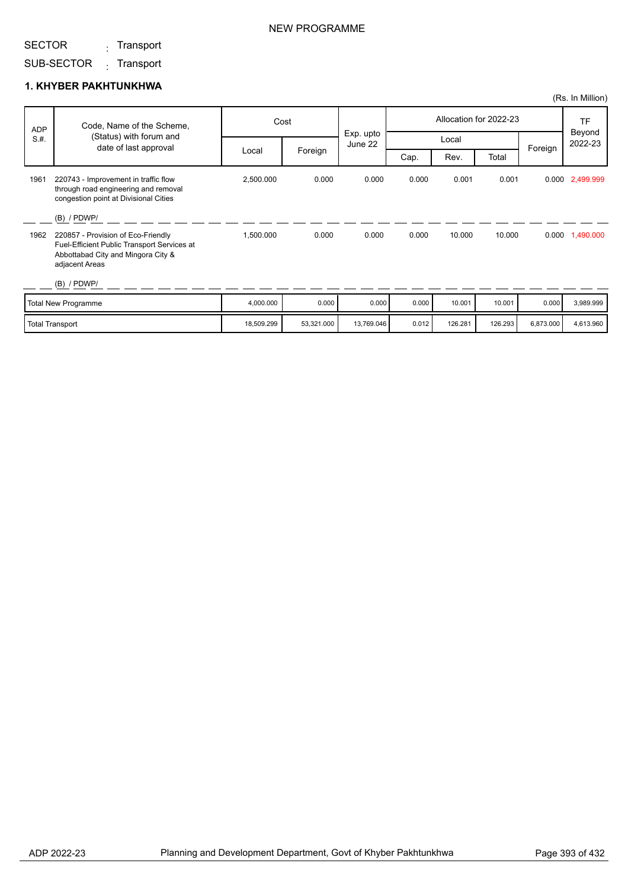<sub>:</sub> Transport

# SUB-SECTOR <sub>:</sub> Transport

|      |                                                                                                                                           |            |            |                      |                        |         |         |           | (Rs. In Million)  |
|------|-------------------------------------------------------------------------------------------------------------------------------------------|------------|------------|----------------------|------------------------|---------|---------|-----------|-------------------|
| ADP  | Code, Name of the Scheme,                                                                                                                 |            | Cost       |                      | Allocation for 2022-23 |         |         |           | <b>TF</b>         |
| S.H. | (Status) with forum and<br>date of last approval                                                                                          |            |            | Exp. upto<br>June 22 |                        | Local   |         | Foreign   | Beyond<br>2022-23 |
|      |                                                                                                                                           | Local      | Foreign    |                      | Cap.                   | Rev.    | Total   |           |                   |
| 1961 | 220743 - Improvement in traffic flow<br>through road engineering and removal<br>congestion point at Divisional Cities                     | 2,500.000  | 0.000      | 0.000                | 0.000                  | 0.001   | 0.001   |           | 0.000 2,499.999   |
|      | $(B)$ / PDWP/                                                                                                                             |            |            |                      |                        |         |         |           |                   |
| 1962 | 220857 - Provision of Eco-Friendly<br>Fuel-Efficient Public Transport Services at<br>Abbottabad City and Mingora City &<br>adjacent Areas | 1,500.000  | 0.000      | 0.000                | 0.000                  | 10.000  | 10.000  | 0.000     | 1,490.000         |
|      | $(B)$ / PDWP/                                                                                                                             |            |            |                      |                        |         |         |           |                   |
|      | <b>Total New Programme</b>                                                                                                                | 4,000.000  | 0.000      | 0.000                | 0.000                  | 10.001  | 10.001  | 0.000     | 3,989.999         |
|      | <b>Total Transport</b>                                                                                                                    | 18,509.299 | 53,321.000 | 13,769.046           | 0.012                  | 126.281 | 126.293 | 6,873.000 | 4,613.960         |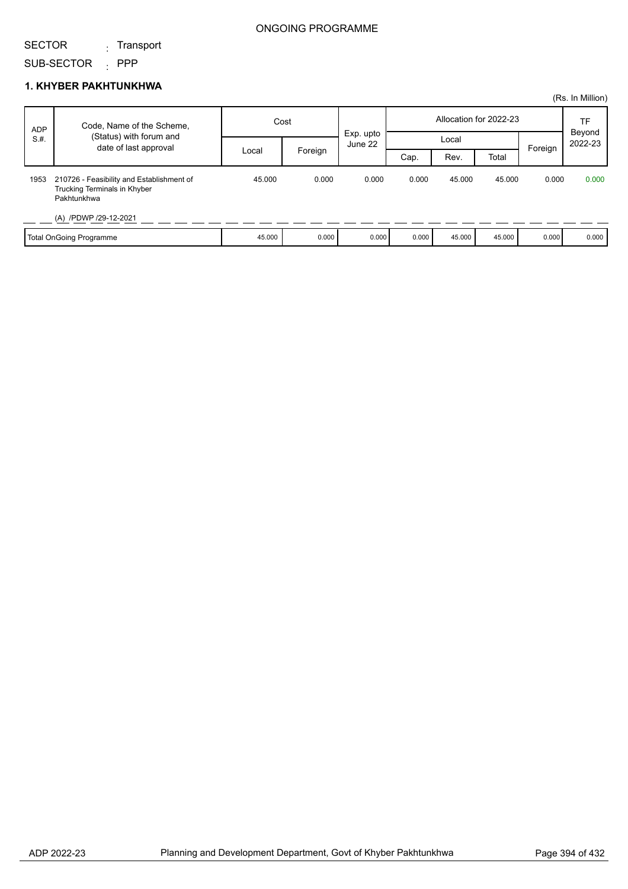### SECTOR <sub>:</sub> Transport

SUB-SECTOR : PPP

|            |                                                                                          |        |         |                      |       |        |                        |         | (Rs. In Million)  |
|------------|------------------------------------------------------------------------------------------|--------|---------|----------------------|-------|--------|------------------------|---------|-------------------|
| <b>ADP</b> | Code, Name of the Scheme,                                                                | Cost   |         |                      |       |        | Allocation for 2022-23 |         | TF                |
| S.H.       | (Status) with forum and                                                                  |        |         | Exp. upto<br>June 22 |       | Local  |                        |         | Beyond<br>2022-23 |
|            | date of last approval                                                                    | Local  | Foreign |                      | Cap.  | Rev.   | Total                  | Foreign |                   |
| 1953       | 210726 - Feasibility and Establishment of<br>Trucking Terminals in Khyber<br>Pakhtunkhwa | 45.000 | 0.000   | 0.000                | 0.000 | 45.000 | 45.000                 | 0.000   | 0.000             |
|            | (A) /PDWP /29-12-2021                                                                    |        |         |                      |       |        |                        |         |                   |
|            | Total OnGoing Programme                                                                  | 45.000 | 0.000   | 0.000                | 0.000 | 45.000 | 45.000                 | 0.000   | 0.000             |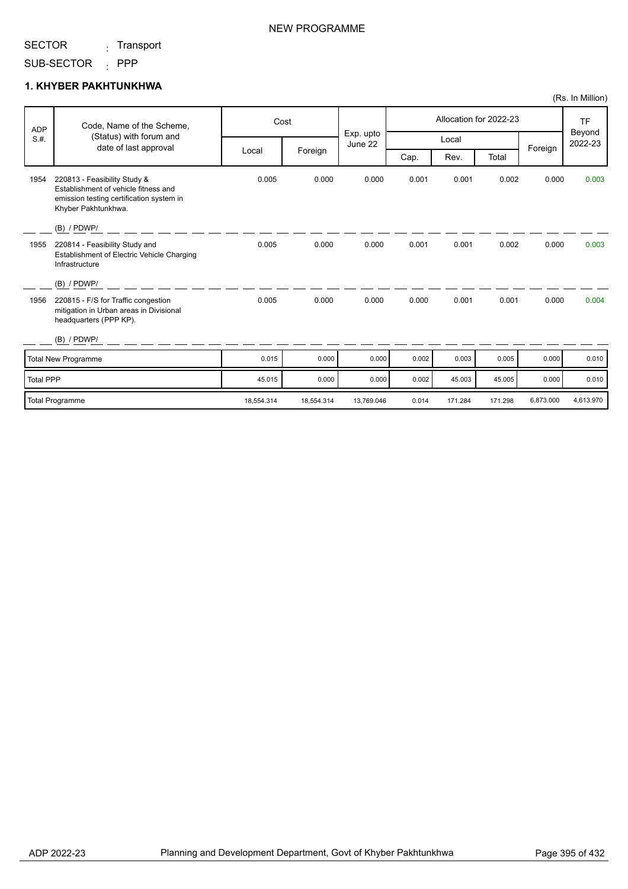<sub>:</sub> Transport

## NEW PROGRAMME

### SUB-SECTOR : PPP **1. KHYBER PAKHTUNKHWA**

|                  |                                                                                                                                         |            |            |                      |       |         |                        |           | (Rs. In Million)               |
|------------------|-----------------------------------------------------------------------------------------------------------------------------------------|------------|------------|----------------------|-------|---------|------------------------|-----------|--------------------------------|
| <b>ADP</b>       | Code, Name of the Scheme,                                                                                                               |            | Cost       |                      |       |         | Allocation for 2022-23 |           | <b>TF</b><br>Beyond<br>2022-23 |
| S.H.             | (Status) with forum and                                                                                                                 |            |            | Exp. upto<br>June 22 |       | Local   |                        |           |                                |
|                  | date of last approval                                                                                                                   | Local      | Foreign    |                      | Cap.  | Rev.    | Total                  | Foreign   |                                |
| 1954             | 220813 - Feasibility Study &<br>Establishment of vehicle fitness and<br>emission testing certification system in<br>Khyber Pakhtunkhwa. | 0.005      | 0.000      | 0.000                | 0.001 | 0.001   | 0.002                  | 0.000     | 0.003                          |
|                  | $(B)$ / PDWP/                                                                                                                           |            |            |                      |       |         |                        |           |                                |
| 1955             | 220814 - Feasibility Study and<br>Establishment of Electric Vehicle Charging<br>Infrastructure                                          | 0.005      | 0.000      | 0.000                | 0.001 | 0.001   | 0.002                  | 0.000     | 0.003                          |
|                  | $(B)$ / PDWP/                                                                                                                           |            |            |                      |       |         |                        |           |                                |
| 1956             | 220815 - F/S for Traffic congestion<br>mitigation in Urban areas in Divisional<br>headquarters (PPP KP).                                | 0.005      | 0.000      | 0.000                | 0.000 | 0.001   | 0.001                  | 0.000     | 0.004                          |
|                  | $(B)$ / PDWP/                                                                                                                           |            |            |                      |       |         |                        |           |                                |
|                  | Total New Programme                                                                                                                     | 0.015      | 0.000      | 0.000                | 0.002 | 0.003   | 0.005                  | 0.000     | 0.010                          |
| <b>Total PPP</b> |                                                                                                                                         | 45.015     | 0.000      | 0.000                | 0.002 | 45.003  | 45.005                 | 0.000     | 0.010                          |
|                  | Total Programme                                                                                                                         | 18,554.314 | 18,554.314 | 13,769.046           | 0.014 | 171.284 | 171.298                | 6,873.000 | 4,613.970                      |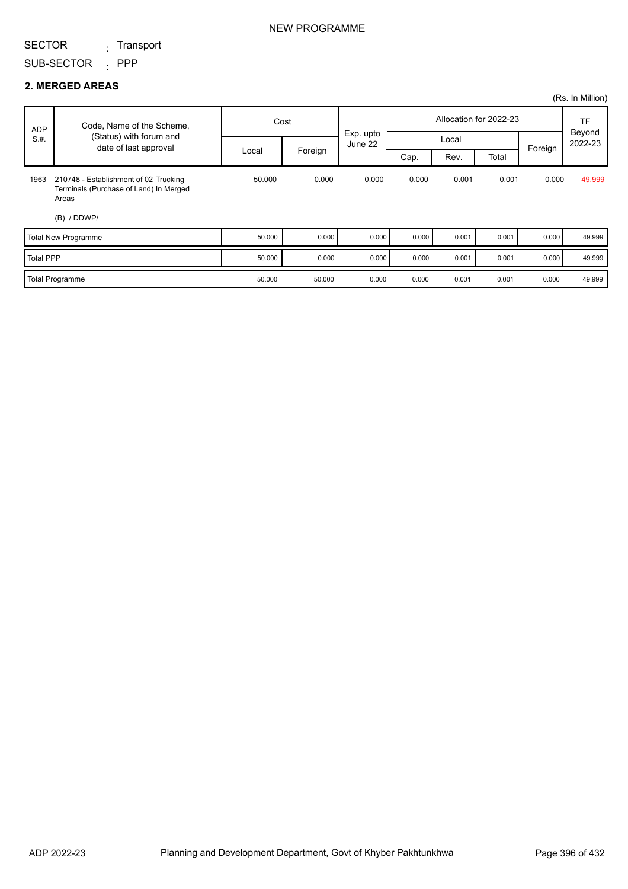<sub>:</sub> Transport

SUB-SECTOR : PPP

|                            |                                                                                          |        |         |                      |                        |       |       |         | (Rs. In Million)  |
|----------------------------|------------------------------------------------------------------------------------------|--------|---------|----------------------|------------------------|-------|-------|---------|-------------------|
| <b>ADP</b><br>S.H.         | Code, Name of the Scheme,<br>(Status) with forum and<br>date of last approval            | Cost   |         |                      | Allocation for 2022-23 |       |       |         | <b>TF</b>         |
|                            |                                                                                          | Local  | Foreign | Exp. upto<br>June 22 | Local                  |       |       | Foreign | Beyond<br>2022-23 |
|                            |                                                                                          |        |         |                      | Cap.                   | Rev.  | Total |         |                   |
| 1963                       | 210748 - Establishment of 02 Trucking<br>Terminals (Purchase of Land) In Merged<br>Areas | 50,000 | 0.000   | 0.000                | 0.000                  | 0.001 | 0.001 | 0.000   | 49.999            |
|                            | (B) / DDWP/                                                                              |        |         |                      |                        |       |       |         |                   |
| <b>Total New Programme</b> |                                                                                          | 50.000 | 0.000   | 0.000                | 0.000                  | 0.001 | 0.001 | 0.000   | 49.999            |
| <b>Total PPP</b>           |                                                                                          | 50.000 | 0.000   | 0.000                | 0.000                  | 0.001 | 0.001 | 0.000   | 49.999            |
| <b>Total Programme</b>     |                                                                                          | 50.000 | 50.000  | 0.000                | 0.000                  | 0.001 | 0.001 | 0.000   | 49.999            |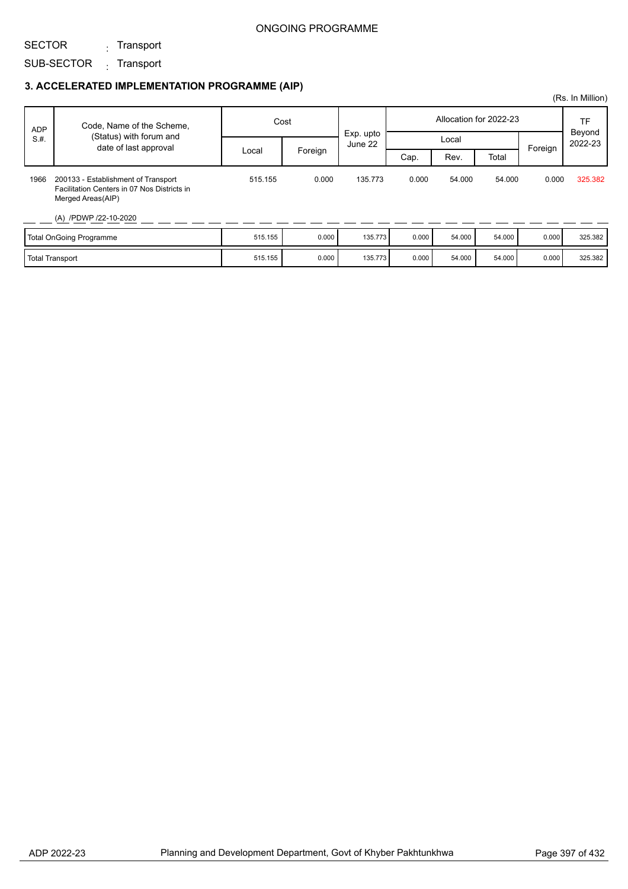#### ONGOING PROGRAMME

SECTOR

<sub>:</sub> Transport

## SUB-SECTOR <sub>:</sub> Transport

## **3. ACCELERATED IMPLEMENTATION PROGRAMME (AIP)**

|            |                                                                                                         |         |         |                      |       |        |                        |         | (Rs. In Million)        |
|------------|---------------------------------------------------------------------------------------------------------|---------|---------|----------------------|-------|--------|------------------------|---------|-------------------------|
| <b>ADP</b> | Code, Name of the Scheme,                                                                               | Cost    |         |                      |       |        | Allocation for 2022-23 |         | TF<br>Beyond<br>2022-23 |
| S.H.       | (Status) with forum and<br>date of last approval                                                        |         |         | Exp. upto<br>June 22 |       | Local  |                        | Foreign |                         |
|            |                                                                                                         | Local   | Foreign |                      | Cap.  | Rev.   | Total                  |         |                         |
| 1966       | 200133 - Establishment of Transport<br>Facilitation Centers in 07 Nos Districts in<br>Merged Areas(AIP) | 515.155 | 0.000   | 135.773              | 0.000 | 54.000 | 54.000                 | 0.000   | 325.382                 |
|            | (A) /PDWP /22-10-2020                                                                                   |         |         |                      |       |        |                        |         |                         |
|            | Total OnGoing Programme                                                                                 | 515.155 | 0.000   | 135.773              | 0.000 | 54.000 | 54.000                 | 0.000   | 325.382                 |
|            | Total Transport                                                                                         | 515.155 | 0.000   | 135.773              | 0.000 | 54.000 | 54.000                 | 0.000   | 325.382                 |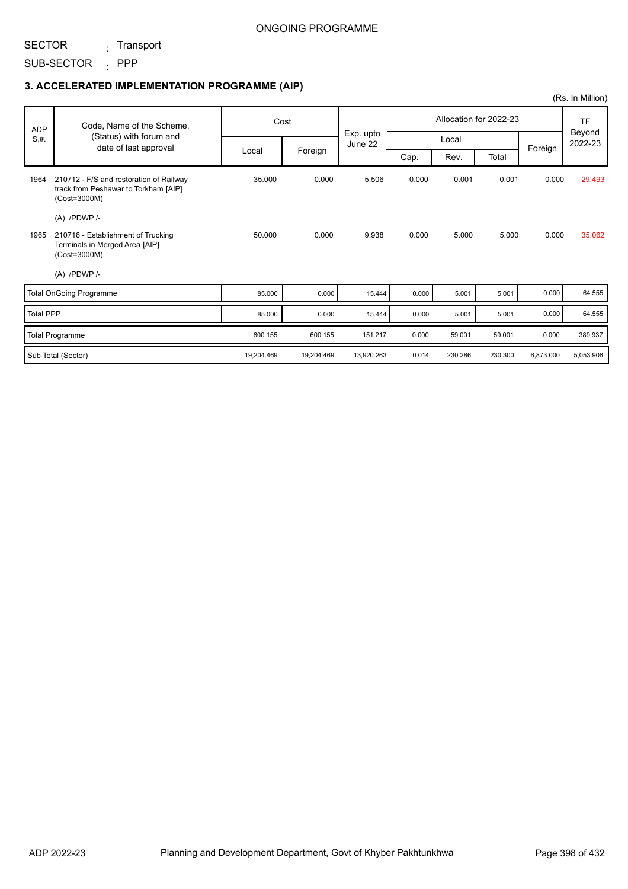#### ONGOING PROGRAMME

#### SECTOR <sub>:</sub> Transport

SUB-SECTOR : PPP

## **3. ACCELERATED IMPLEMENTATION PROGRAMME (AIP)**

|            |                                                                                                 |            |            |                      |       |         |                        |           | (Rs. In Million)  |
|------------|-------------------------------------------------------------------------------------------------|------------|------------|----------------------|-------|---------|------------------------|-----------|-------------------|
| <b>ADP</b> | Code, Name of the Scheme,                                                                       |            | Cost       |                      |       |         | Allocation for 2022-23 |           | <b>TF</b>         |
| S.H.       | (Status) with forum and<br>date of last approval                                                |            |            | Exp. upto<br>June 22 |       | Local   |                        | Foreign   | Beyond<br>2022-23 |
|            |                                                                                                 | Local      | Foreign    |                      | Cap.  | Rev.    | Total                  |           |                   |
| 1964       | 210712 - F/S and restoration of Railway<br>track from Peshawar to Torkham [AIP]<br>(Cost=3000M) | 35.000     | 0.000      | 5.506                | 0.000 | 0.001   | 0.001                  | 0.000     | 29.493            |
|            | $(A)$ /PDWP /-                                                                                  |            |            |                      |       |         |                        |           |                   |
| 1965       | 210716 - Establishment of Trucking<br>Terminals in Merged Area [AIP]<br>(Cost=3000M)            | 50.000     | 0.000      | 9.938                | 0.000 | 5.000   | 5.000                  | 0.000     | 35.062            |
|            | $(A)$ /PDWP/-                                                                                   |            |            |                      |       |         |                        |           |                   |
|            | Total OnGoing Programme                                                                         | 85.000     | 0.000      | 15.444               | 0.000 | 5.001   | 5.001                  | 0.000     | 64.555            |
| Total PPP  |                                                                                                 | 85.000     | 0.000      | 15.444               | 0.000 | 5.001   | 5.001                  | 0.000     | 64.555            |
|            | <b>Total Programme</b>                                                                          | 600.155    | 600.155    | 151.217              | 0.000 | 59.001  | 59.001                 | 0.000     | 389.937           |
|            | Sub Total (Sector)                                                                              | 19,204.469 | 19,204.469 | 13,920.263           | 0.014 | 230.286 | 230.300                | 6,873.000 | 5,053.906         |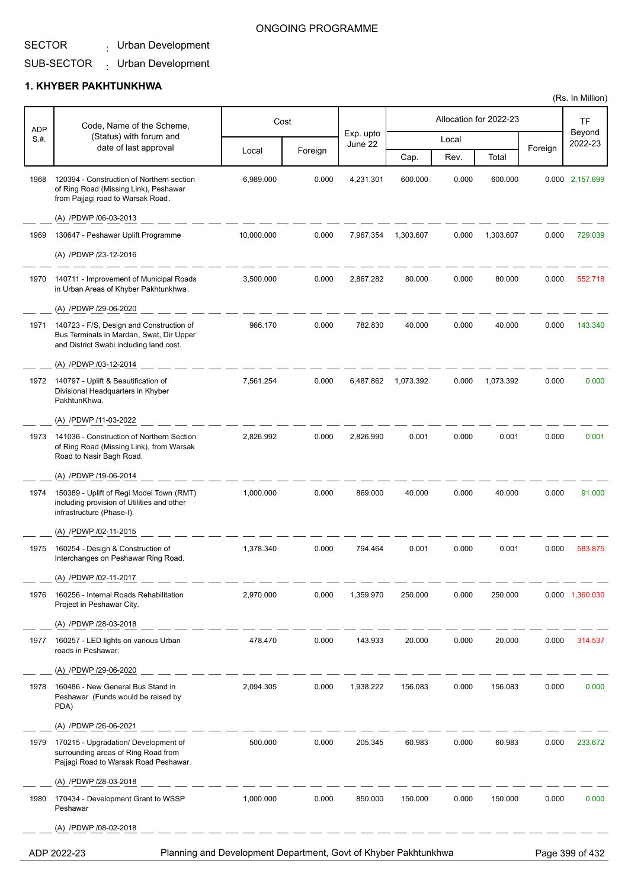## Urban Development :

Т

#### SUB-SECTOR Urban Development :

## **1. KHYBER PAKHTUNKHWA**

 $\overline{1}$ 

Τ

| <b>ADP</b> | Code, Name of the Scheme,                                                                                                       |            | Cost    |                      |           |       | Allocation for 2022-23 |         | <b>TF</b>         |
|------------|---------------------------------------------------------------------------------------------------------------------------------|------------|---------|----------------------|-----------|-------|------------------------|---------|-------------------|
| S.H.       | (Status) with forum and<br>date of last approval                                                                                |            |         | Exp. upto<br>June 22 |           | Local |                        |         | Beyond<br>2022-23 |
|            |                                                                                                                                 | Local      | Foreign |                      | Cap.      | Rev.  | Total                  | Foreign |                   |
| 1968       | 120394 - Construction of Northern section<br>of Ring Road (Missing Link), Peshawar<br>from Pajjagi road to Warsak Road.         | 6,989.000  | 0.000   | 4,231.301            | 600.000   | 0.000 | 600.000                |         | 0.000 2,157.699   |
|            | (A) /PDWP /06-03-2013                                                                                                           |            |         |                      |           |       |                        |         |                   |
| 1969       | 130647 - Peshawar Uplift Programme                                                                                              | 10,000.000 | 0.000   | 7,967.354            | 1,303.607 | 0.000 | 1,303.607              | 0.000   | 729.039           |
|            | (A) /PDWP /23-12-2016                                                                                                           |            |         |                      |           |       |                        |         |                   |
| 1970       | 140711 - Improvement of Municipal Roads<br>in Urban Areas of Khyber Pakhtunkhwa.                                                | 3,500.000  | 0.000   | 2,867.282            | 80.000    | 0.000 | 80.000                 | 0.000   | 552.718           |
|            | (A) /PDWP /29-06-2020                                                                                                           |            |         |                      |           |       |                        |         |                   |
| 1971       | 140723 - F/S, Design and Construction of<br>Bus Terminals in Mardan, Swat, Dir Upper<br>and District Swabi including land cost. | 966.170    | 0.000   | 782.830              | 40.000    | 0.000 | 40.000                 | 0.000   | 143.340           |
|            | (A) /PDWP /03-12-2014                                                                                                           |            |         |                      |           |       |                        |         |                   |
| 1972       | 140797 - Uplift & Beautification of<br>Divisional Headquarters in Khyber<br>PakhtunKhwa.                                        | 7,561.254  | 0.000   | 6,487.862            | 1,073.392 | 0.000 | 1,073.392              | 0.000   | 0.000             |
|            | (A) /PDWP /11-03-2022                                                                                                           |            |         |                      |           |       |                        |         |                   |
| 1973       | 141036 - Construction of Northern Section<br>of Ring Road (Missing Link), from Warsak<br>Road to Nasir Bagh Road.               | 2,826.992  | 0.000   | 2,826.990            | 0.001     | 0.000 | 0.001                  | 0.000   | 0.001             |
|            | (A) /PDWP /19-06-2014                                                                                                           |            |         |                      |           |       |                        |         |                   |
| 1974       | 150389 - Uplift of Regi Model Town (RMT)<br>including provision of Utilities and other<br>infrastructure (Phase-I).             | 1,000.000  | 0.000   | 869.000              | 40.000    | 0.000 | 40.000                 | 0.000   | 91.000            |
|            | (A) /PDWP /02-11-2015                                                                                                           |            |         |                      |           |       |                        |         |                   |
| 1975       | 160254 - Design & Construction of<br>Interchanges on Peshawar Ring Road.                                                        | 1,378.340  | 0.000   | 794.464              | 0.001     | 0.000 | 0.001                  | 0.000   | 583.875           |
|            | (A) /PDWP /02-11-2017                                                                                                           |            |         |                      |           |       |                        |         |                   |
| 1976       | 160256 - Internal Roads Rehabilitation<br>Project in Peshawar City.                                                             | 2,970.000  | 0.000   | 1,359.970            | 250.000   | 0.000 | 250.000                |         | 0.000 1,360.030   |
|            | (A) /PDWP /28-03-2018                                                                                                           |            |         |                      |           |       |                        |         |                   |
| 1977       | 160257 - LED lights on various Urban<br>roads in Peshawar.                                                                      | 478.470    | 0.000   | 143.933              | 20.000    | 0.000 | 20.000                 | 0.000   | 314.537           |
|            | (A) /PDWP /29-06-2020                                                                                                           |            |         |                      |           |       |                        |         |                   |
| 1978       | 160486 - New General Bus Stand in<br>Peshawar (Funds would be raised by<br>PDA)                                                 | 2,094.305  | 0.000   | 1,938.222            | 156.083   | 0.000 | 156.083                | 0.000   | 0.000             |
|            | (A) /PDWP /26-06-2021                                                                                                           |            |         |                      |           |       |                        |         |                   |
| 1979       | 170215 - Upgradation/ Development of<br>surrounding areas of Ring Road from<br>Pajjagi Road to Warsak Road Peshawar.            | 500.000    | 0.000   | 205.345              | 60.983    | 0.000 | 60.983                 | 0.000   | 233.672           |
|            | (A) /PDWP /28-03-2018                                                                                                           |            |         |                      |           |       |                        |         |                   |
| 1980       | 170434 - Development Grant to WSSP<br>Peshawar                                                                                  | 1,000.000  | 0.000   | 850.000              | 150.000   | 0.000 | 150.000                | 0.000   | 0.000             |
|            | (A) /PDWP /08-02-2018                                                                                                           |            |         |                      |           |       |                        |         |                   |
|            | Planning and Development Department, Govt of Khyber Pakhtunkhwa<br>ADP 2022-23                                                  |            |         |                      |           |       |                        |         | Page 399 of 432   |

ONGOING PROGRAMME

T

Т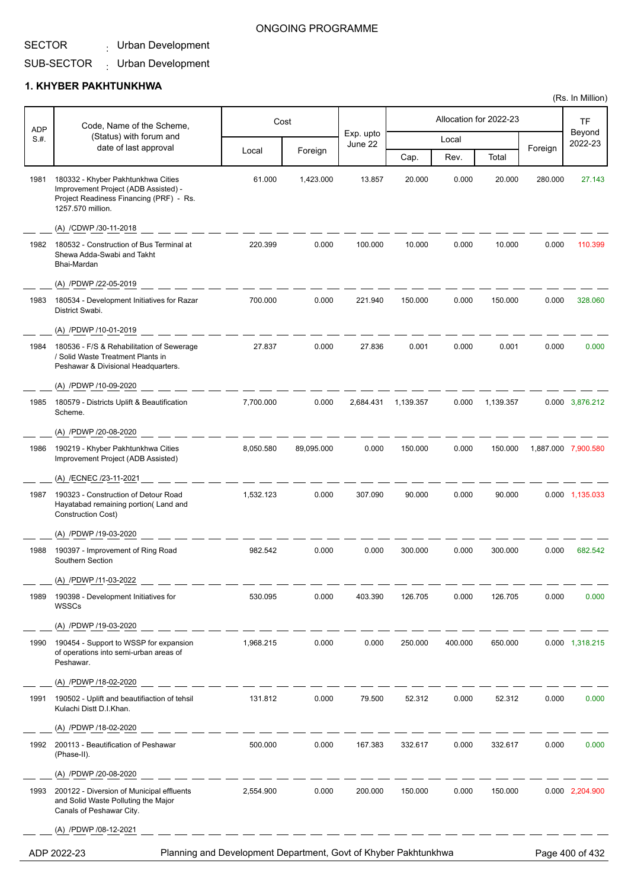#### SECTOR Urban Development :

# ONGOING PROGRAMME

#### SUB-SECTOR Urban Development :

#### **1. KHYBER PAKHTUNKHWA**

| <b>ADP</b> | Code, Name of the Scheme,                                                                                                                  |           | Cost       |                      |           |         | Allocation for 2022-23 |         | TF                  |
|------------|--------------------------------------------------------------------------------------------------------------------------------------------|-----------|------------|----------------------|-----------|---------|------------------------|---------|---------------------|
| S.#.       | (Status) with forum and                                                                                                                    |           |            | Exp. upto<br>June 22 |           | Local   |                        |         | Beyond<br>2022-23   |
|            | date of last approval                                                                                                                      | Local     | Foreign    |                      | Cap.      | Rev.    | Total                  | Foreign |                     |
| 1981       | 180332 - Khyber Pakhtunkhwa Cities<br>Improvement Project (ADB Assisted) -<br>Project Readiness Financing (PRF) - Rs.<br>1257.570 million. | 61.000    | 1,423.000  | 13.857               | 20.000    | 0.000   | 20.000                 | 280.000 | 27.143              |
|            | (A) /CDWP /30-11-2018                                                                                                                      |           |            |                      |           |         |                        |         |                     |
| 1982       | 180532 - Construction of Bus Terminal at<br>Shewa Adda-Swabi and Takht<br>Bhai-Mardan                                                      | 220.399   | 0.000      | 100.000              | 10.000    | 0.000   | 10.000                 | 0.000   | 110.399             |
|            | (A) /PDWP /22-05-2019                                                                                                                      |           |            |                      |           |         |                        |         |                     |
| 1983       | 180534 - Development Initiatives for Razar<br>District Swabi.                                                                              | 700.000   | 0.000      | 221.940              | 150.000   | 0.000   | 150.000                | 0.000   | 328.060             |
|            | (A) /PDWP /10-01-2019                                                                                                                      |           |            |                      |           |         |                        |         |                     |
| 1984       | 180536 - F/S & Rehabilitation of Sewerage<br>/ Solid Waste Treatment Plants in<br>Peshawar & Divisional Headquarters.                      | 27.837    | 0.000      | 27.836               | 0.001     | 0.000   | 0.001                  | 0.000   | 0.000               |
| 1985       | (A) /PDWP /10-09-2020<br>180579 - Districts Uplift & Beautification                                                                        | 7,700.000 | 0.000      | 2.684.431            | 1,139.357 | 0.000   | 1,139.357              |         | 0.000 3,876.212     |
|            | Scheme.                                                                                                                                    |           |            |                      |           |         |                        |         |                     |
|            | (A) /PDWP /20-08-2020                                                                                                                      |           |            |                      |           |         |                        |         |                     |
| 1986       | 190219 - Khyber Pakhtunkhwa Cities<br>Improvement Project (ADB Assisted)                                                                   | 8,050.580 | 89,095.000 | 0.000                | 150.000   | 0.000   | 150.000                |         | 1,887.000 7,900.580 |
|            | (A) /ECNEC /23-11-2021                                                                                                                     |           |            |                      |           |         |                        |         |                     |
| 1987       | 190323 - Construction of Detour Road<br>Hayatabad remaining portion(Land and<br>Construction Cost)                                         | 1,532.123 | 0.000      | 307.090              | 90.000    | 0.000   | 90.000                 |         | 0.000 1,135.033     |
|            | (A) /PDWP /19-03-2020                                                                                                                      |           |            |                      |           |         |                        |         |                     |
| 1988       | 190397 - Improvement of Ring Road<br>Southern Section                                                                                      | 982.542   | 0.000      | 0.000                | 300.000   | 0.000   | 300.000                | 0.000   | 682.542             |
|            | (A) /PDWP /11-03-2022                                                                                                                      |           |            |                      |           |         |                        |         |                     |
| 1989       | 190398 - Development Initiatives for<br>WSSCs                                                                                              | 530.095   | 0.000      | 403.390              | 126.705   | 0.000   | 126.705                | 0.000   | 0.000               |
|            | (A) /PDWP /19-03-2020                                                                                                                      |           |            |                      |           |         |                        |         |                     |
| 1990       | 190454 - Support to WSSP for expansion<br>of operations into semi-urban areas of<br>Peshawar.                                              | 1,968.215 | 0.000      | 0.000                | 250.000   | 400.000 | 650.000                |         | 0.000 1,318.215     |
|            | (A) /PDWP /18-02-2020                                                                                                                      |           |            |                      |           |         |                        |         |                     |
| 1991       | 190502 - Uplift and beautifiaction of tehsil<br>Kulachi Distt D.I.Khan.                                                                    | 131.812   | 0.000      | 79.500               | 52.312    | 0.000   | 52.312                 | 0.000   | 0.000               |
|            | (A) /PDWP /18-02-2020                                                                                                                      |           |            |                      |           |         |                        |         |                     |
| 1992       | 200113 - Beautification of Peshawar<br>(Phase-II).                                                                                         | 500.000   | 0.000      | 167.383              | 332.617   | 0.000   | 332.617                | 0.000   | 0.000               |
|            | (A) /PDWP /20-08-2020                                                                                                                      |           |            |                      |           |         |                        |         |                     |
| 1993       | 200122 - Diversion of Municipal effluents<br>and Solid Waste Polluting the Major<br>Canals of Peshawar City.                               | 2,554.900 | 0.000      | 200.000              | 150.000   | 0.000   | 150.000                |         | 0.000 2,204.900     |
|            | (A) /PDWP /08-12-2021                                                                                                                      |           |            |                      |           |         |                        |         |                     |

ADP 2022-23 Planning and Development Department, Govt of Khyber Pakhtunkhwa Page 400 of 432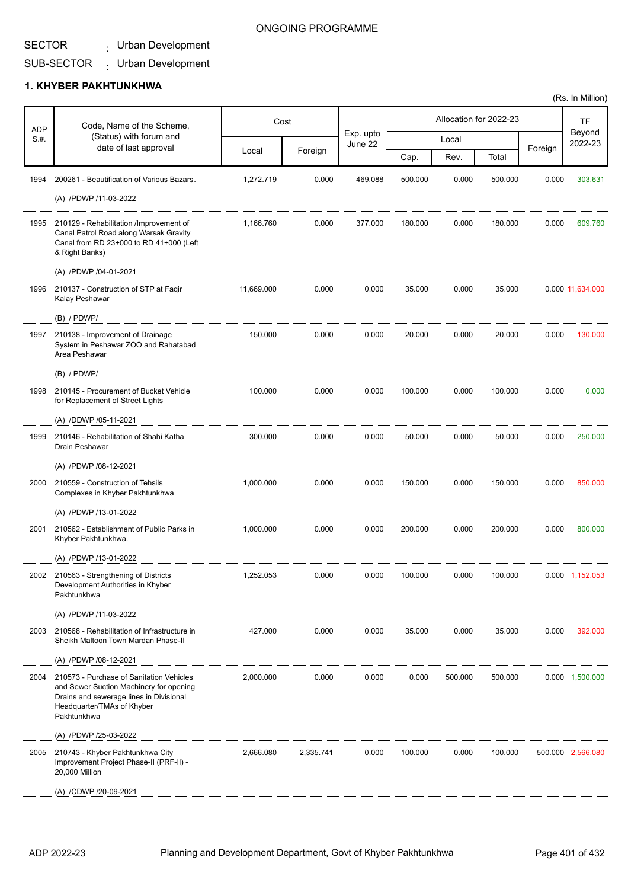#### SECTOR Urban Development :

#### ONGOING PROGRAMME

#### SUB-SECTOR Urban Development :

#### **1. KHYBER PAKHTUNKHWA**

| <b>ADP</b> | Code, Name of the Scheme,                                                                                                                                                   |            | Cost      |                      |         |         | Allocation for 2022-23 |         | <b>TF</b>         |
|------------|-----------------------------------------------------------------------------------------------------------------------------------------------------------------------------|------------|-----------|----------------------|---------|---------|------------------------|---------|-------------------|
| S.H.       | (Status) with forum and<br>date of last approval                                                                                                                            |            |           | Exp. upto<br>June 22 |         | Local   |                        |         | Beyond<br>2022-23 |
|            |                                                                                                                                                                             | Local      | Foreign   |                      | Cap.    | Rev.    | Total                  | Foreign |                   |
| 1994       | 200261 - Beautification of Various Bazars.                                                                                                                                  | 1,272.719  | 0.000     | 469.088              | 500.000 | 0.000   | 500.000                | 0.000   | 303.631           |
|            | (A) /PDWP /11-03-2022                                                                                                                                                       |            |           |                      |         |         |                        |         |                   |
| 1995       | 210129 - Rehabilitation /Improvement of<br>Canal Patrol Road along Warsak Gravity<br>Canal from RD 23+000 to RD 41+000 (Left<br>& Right Banks)                              | 1,166.760  | 0.000     | 377.000              | 180.000 | 0.000   | 180.000                | 0.000   | 609.760           |
|            | (A) /PDWP /04-01-2021                                                                                                                                                       |            |           |                      |         |         |                        |         |                   |
| 1996       | 210137 - Construction of STP at Fagir<br>Kalay Peshawar                                                                                                                     | 11,669.000 | 0.000     | 0.000                | 35.000  | 0.000   | 35.000                 |         | 0.000 11,634.000  |
|            | (B) / PDWP/                                                                                                                                                                 |            |           |                      |         |         |                        |         |                   |
| 1997       | 210138 - Improvement of Drainage<br>System in Peshawar ZOO and Rahatabad<br>Area Peshawar                                                                                   | 150.000    | 0.000     | 0.000                | 20.000  | 0.000   | 20.000                 | 0.000   | 130.000           |
|            | (B) / PDWP/                                                                                                                                                                 |            |           |                      |         |         |                        |         |                   |
| 1998       | 210145 - Procurement of Bucket Vehicle<br>for Replacement of Street Lights                                                                                                  | 100.000    | 0.000     | 0.000                | 100.000 | 0.000   | 100.000                | 0.000   | 0.000             |
|            | (A) /DDWP /05-11-2021                                                                                                                                                       |            |           |                      |         |         |                        |         |                   |
| 1999       | 210146 - Rehabilitation of Shahi Katha<br>Drain Peshawar                                                                                                                    | 300.000    | 0.000     | 0.000                | 50.000  | 0.000   | 50.000                 | 0.000   | 250.000           |
|            | (A) /PDWP /08-12-2021                                                                                                                                                       |            |           |                      |         |         |                        |         |                   |
| 2000       | 210559 - Construction of Tehsils<br>Complexes in Khyber Pakhtunkhwa                                                                                                         | 1,000.000  | 0.000     | 0.000                | 150.000 | 0.000   | 150.000                | 0.000   | 850.000           |
|            | (A) /PDWP /13-01-2022                                                                                                                                                       |            |           |                      |         |         |                        |         |                   |
| 2001       | 210562 - Establishment of Public Parks in<br>Khyber Pakhtunkhwa.                                                                                                            | 1,000.000  | 0.000     | 0.000                | 200.000 | 0.000   | 200.000                | 0.000   | 800.000           |
|            | (A) /PDWP /13-01-2022                                                                                                                                                       |            |           |                      |         |         |                        |         |                   |
|            | 2002 210563 - Strengthening of Districts<br>Development Authorities in Khyber<br>Pakhtunkhwa                                                                                | 1,252.053  | 0.000     | 0.000                | 100.000 | 0.000   | 100.000                |         | 0.000 1,152.053   |
|            | (A) /PDWP /11-03-2022                                                                                                                                                       |            |           |                      |         |         |                        |         |                   |
| 2003       | 210568 - Rehabilitation of Infrastructure in<br>Sheikh Maltoon Town Mardan Phase-II                                                                                         | 427.000    | 0.000     | 0.000                | 35.000  | 0.000   | 35.000                 | 0.000   | 392.000           |
|            | (A) /PDWP /08-12-2021                                                                                                                                                       |            |           |                      |         |         |                        |         |                   |
| 2004       | 210573 - Purchase of Sanitation Vehicles<br>and Sewer Suction Machinery for opening<br>Drains and sewerage lines in Divisional<br>Headquarter/TMAs of Khyber<br>Pakhtunkhwa | 2,000.000  | 0.000     | 0.000                | 0.000   | 500.000 | 500.000                |         | 0.000 1,500.000   |
|            | (A) /PDWP /25-03-2022                                                                                                                                                       |            |           |                      |         |         |                        |         |                   |
| 2005       | 210743 - Khyber Pakhtunkhwa City<br>Improvement Project Phase-II (PRF-II) -<br>20,000 Million                                                                               | 2,666.080  | 2,335.741 | 0.000                | 100.000 | 0.000   | 100.000                |         | 500.000 2,566.080 |
|            | (A) /CDWP /20-09-2021                                                                                                                                                       |            |           |                      |         |         |                        |         |                   |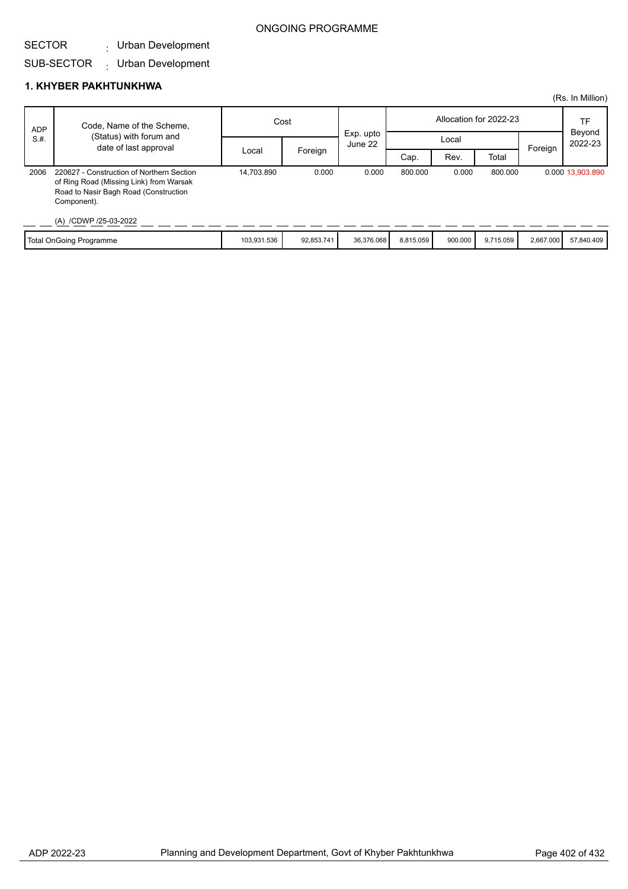## ONGOING PROGRAMME

#### SECTOR Urban Development :

#### SUB-SECTOR Urban Development :

## **1. KHYBER PAKHTUNKHWA**

|            |                                                                                                                                              |             |            |                      |           |         |                        |           | (Rs. In Million)  |
|------------|----------------------------------------------------------------------------------------------------------------------------------------------|-------------|------------|----------------------|-----------|---------|------------------------|-----------|-------------------|
| <b>ADP</b> | Code, Name of the Scheme,                                                                                                                    | Cost        |            |                      |           |         | Allocation for 2022-23 |           | TF                |
| S.H.       | (Status) with forum and<br>date of last approval                                                                                             |             |            | Exp. upto<br>June 22 | Local     |         |                        |           | Beyond<br>2022-23 |
|            |                                                                                                                                              | Local       | Foreign    |                      | Cap.      | Rev.    | Total                  | Foreign   |                   |
| 2006       | 220627 - Construction of Northern Section<br>of Ring Road (Missing Link) from Warsak<br>Road to Nasir Bagh Road (Construction<br>Component). | 14.703.890  | 0.000      | 0.000                | 800.000   | 0.000   | 800.000                |           | 0.000 13,903.890  |
|            | (A) /CDWP /25-03-2022                                                                                                                        |             |            |                      |           |         |                        |           |                   |
|            | <b>Total OnGoing Programme</b>                                                                                                               | 103,931.536 | 92,853.741 | 36,376.068           | 8,815.059 | 900.000 | 9,715.059              | 2,667.000 | 57,840.409        |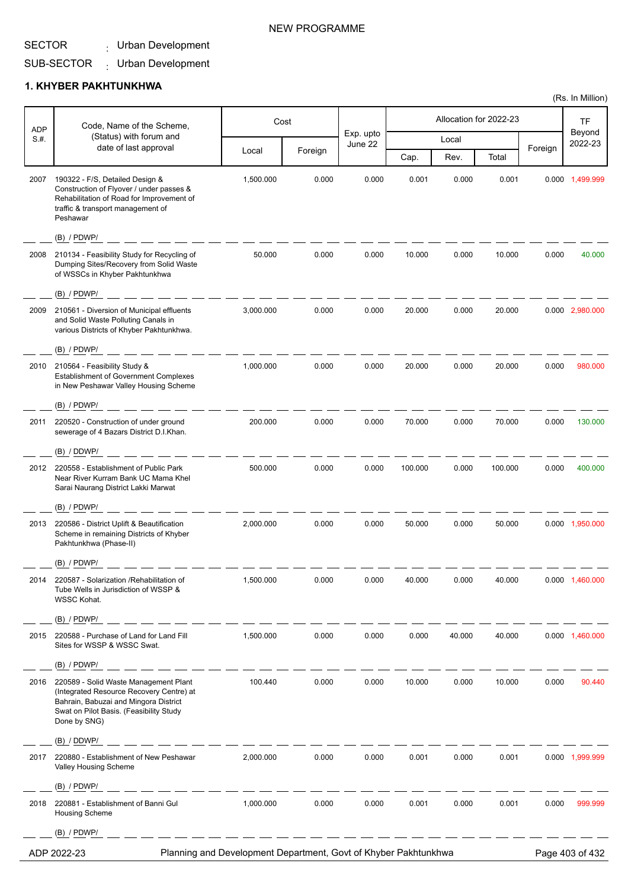SECTOR <sub>:</sub> Urban Development

## SUB-SECTOR Urban Development :

#### **1. KHYBER PAKHTUNKHWA**

| <b>ADP</b> | Code, Name of the Scheme,                                                                                                                                                             |           | Cost    |                      |         | Allocation for 2022-23 |         |         | TF                |
|------------|---------------------------------------------------------------------------------------------------------------------------------------------------------------------------------------|-----------|---------|----------------------|---------|------------------------|---------|---------|-------------------|
| S.H.       | (Status) with forum and                                                                                                                                                               |           |         | Exp. upto<br>June 22 |         | Local                  |         |         | Beyond<br>2022-23 |
|            | date of last approval                                                                                                                                                                 | Local     | Foreign |                      | Cap.    | Rev.                   | Total   | Foreign |                   |
| 2007       | 190322 - F/S, Detailed Design &<br>Construction of Flyover / under passes &<br>Rehabilitation of Road for Improvement of<br>traffic & transport management of<br>Peshawar             | 1,500.000 | 0.000   | 0.000                | 0.001   | 0.000                  | 0.001   |         | 0.000 1,499.999   |
|            | $(B)$ / PDWP/                                                                                                                                                                         |           |         |                      |         |                        |         |         |                   |
| 2008       | 210134 - Feasibility Study for Recycling of<br>Dumping Sites/Recovery from Solid Waste<br>of WSSCs in Khyber Pakhtunkhwa                                                              | 50.000    | 0.000   | 0.000                | 10.000  | 0.000                  | 10.000  | 0.000   | 40.000            |
|            | $(B)$ / PDWP/                                                                                                                                                                         |           |         |                      |         |                        |         |         |                   |
| 2009       | 210561 - Diversion of Municipal effluents<br>and Solid Waste Polluting Canals in<br>various Districts of Khyber Pakhtunkhwa.                                                          | 3,000.000 | 0.000   | 0.000                | 20.000  | 0.000                  | 20.000  |         | 0.000 2,980.000   |
|            | $(B)$ / PDWP/                                                                                                                                                                         |           |         |                      |         |                        |         |         |                   |
| 2010       | 210564 - Feasibility Study &<br><b>Establishment of Government Complexes</b><br>in New Peshawar Valley Housing Scheme                                                                 | 1,000.000 | 0.000   | 0.000                | 20.000  | 0.000                  | 20.000  | 0.000   | 980.000           |
|            | $(B)$ / PDWP/                                                                                                                                                                         |           |         |                      |         |                        |         |         |                   |
| 2011       | 220520 - Construction of under ground<br>sewerage of 4 Bazars District D.I.Khan.                                                                                                      | 200.000   | 0.000   | 0.000                | 70.000  | 0.000                  | 70.000  | 0.000   | 130.000           |
|            | (B) / DDWP/                                                                                                                                                                           |           |         |                      |         |                        |         |         |                   |
| 2012       | 220558 - Establishment of Public Park<br>Near River Kurram Bank UC Mama Khel<br>Sarai Naurang District Lakki Marwat                                                                   | 500.000   | 0.000   | 0.000                | 100.000 | 0.000                  | 100.000 | 0.000   | 400.000           |
|            | $(B)$ / PDWP/                                                                                                                                                                         |           |         |                      |         |                        |         |         |                   |
| 2013       | 220586 - District Uplift & Beautification<br>Scheme in remaining Districts of Khyber<br>Pakhtunkhwa (Phase-II)                                                                        | 2,000.000 | 0.000   | 0.000                | 50.000  | 0.000                  | 50.000  |         | 0.000 1,950.000   |
|            | $(B)$ / PDWP/                                                                                                                                                                         |           |         |                      |         |                        |         |         |                   |
|            | 220587 - Solarization /Rehabilitation of<br>Tube Wells in Jurisdiction of WSSP &<br>WSSC Kohat.                                                                                       |           |         |                      |         |                        |         |         |                   |
|            | $(B)$ / PDWP/                                                                                                                                                                         |           |         |                      |         |                        |         |         |                   |
| 2015       | 220588 - Purchase of Land for Land Fill<br>Sites for WSSP & WSSC Swat.                                                                                                                | 1,500.000 | 0.000   | 0.000                | 0.000   | 40.000                 | 40.000  |         | 0.000 1,460.000   |
|            | $(B)$ / PDWP/                                                                                                                                                                         |           |         |                      |         |                        |         |         |                   |
| 2016       | 220589 - Solid Waste Management Plant<br>(Integrated Resource Recovery Centre) at<br>Bahrain, Babuzai and Mingora District<br>Swat on Pilot Basis. (Feasibility Study<br>Done by SNG) | 100.440   | 0.000   | 0.000                | 10.000  | 0.000                  | 10.000  | 0.000   | 90.440            |
|            | (B) / DDWP/                                                                                                                                                                           |           |         |                      |         |                        |         |         |                   |
| 2017       | 220880 - Establishment of New Peshawar<br>Valley Housing Scheme                                                                                                                       | 2,000.000 | 0.000   | 0.000                | 0.001   | 0.000                  | 0.001   |         | 0.000 1,999.999   |
|            | $(B)$ / PDWP/                                                                                                                                                                         |           |         |                      |         |                        |         |         |                   |
| 2018       | 220881 - Establishment of Banni Gul<br><b>Housing Scheme</b>                                                                                                                          | 1,000.000 | 0.000   | 0.000                | 0.001   | 0.000                  | 0.001   | 0.000   | 999.999           |
|            | $(B)$ / PDWP/                                                                                                                                                                         |           |         |                      |         |                        |         |         |                   |
|            | Planning and Development Department, Govt of Khyber Pakhtunkhwa<br>ADP 2022-23                                                                                                        |           |         |                      |         |                        |         |         | Page 403 of 432   |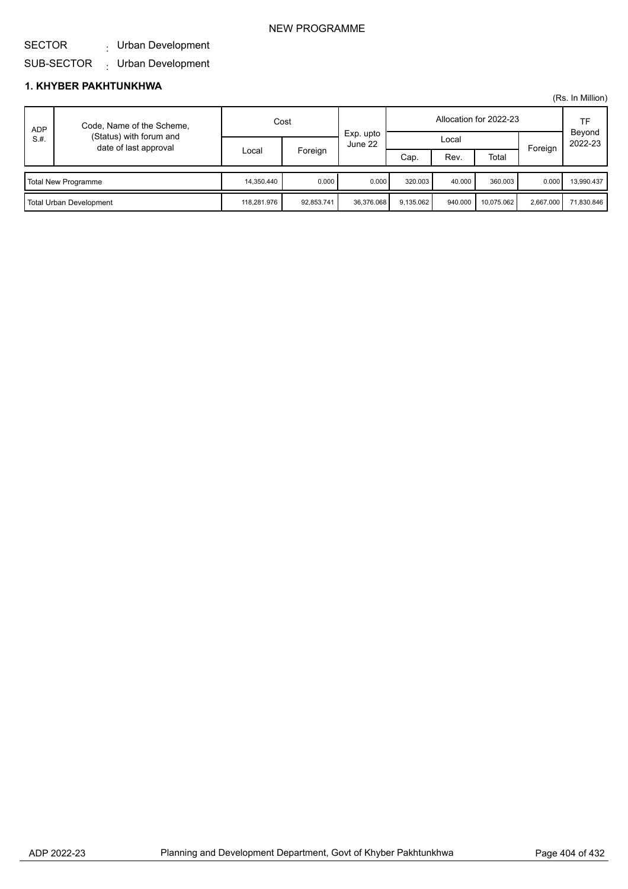### NEW PROGRAMME

#### SECTOR Urban Development :

SUB-SECTOR Urban Development :

## **1. KHYBER PAKHTUNKHWA**

| <b>ADP</b><br>S.H.      | Code, Name of the Scheme,                        |             | Cost       |                      |           |         | Allocation for 2022-23 |           | TF                |
|-------------------------|--------------------------------------------------|-------------|------------|----------------------|-----------|---------|------------------------|-----------|-------------------|
|                         | (Status) with forum and<br>date of last approval | Local       |            | Exp. upto<br>June 22 | Local     |         |                        | Foreign   | Beyond<br>2022-23 |
|                         |                                                  |             | Foreign    |                      | Cap.      | Rev.    | Total                  |           |                   |
|                         | Total New Programme                              | 14,350.440  | 0.000      | 0.000                | 320.003   | 40.000  | 360.003                | 0.000     | 13.990.437        |
| Total Urban Development |                                                  | 118.281.976 | 92,853.741 | 36.376.068           | 9.135.062 | 940.000 | 10.075.062             | 2,667.000 | 71,830.846        |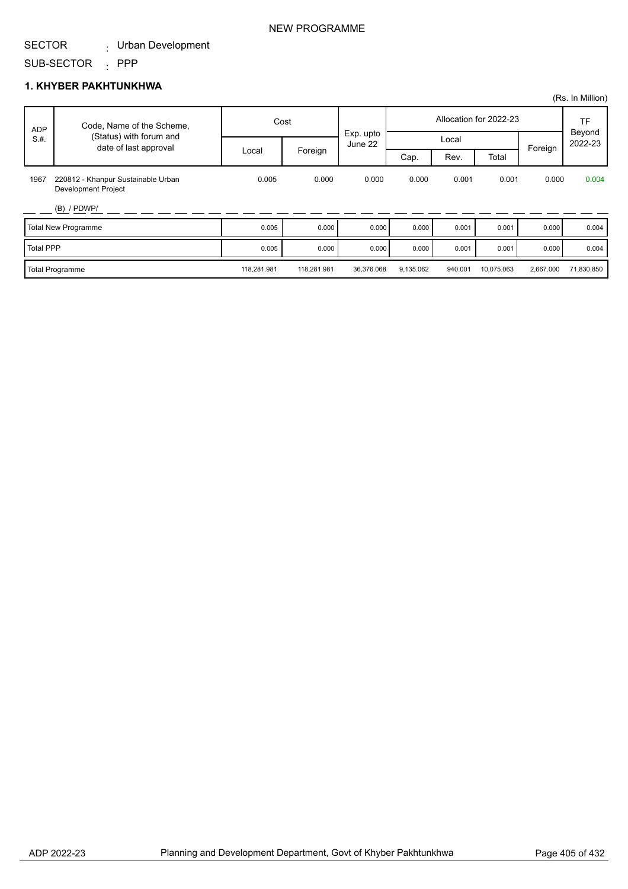#### SECTOR Urban Development :

#### SUB-SECTOR : PPP

#### **1. KHYBER PAKHTUNKHWA**

|                  |                                                                  |             |             |            |           |         |                        |           | (Rs. In Million)  |
|------------------|------------------------------------------------------------------|-------------|-------------|------------|-----------|---------|------------------------|-----------|-------------------|
| <b>ADP</b>       | Code, Name of the Scheme,                                        |             | Cost        | Exp. upto  |           |         | Allocation for 2022-23 |           | TF                |
| S.H.             | (Status) with forum and<br>date of last approval                 |             |             | June 22    |           | Local   |                        |           | Beyond<br>2022-23 |
|                  |                                                                  | Local       | Foreign     |            | Cap.      | Rev.    | Total                  | Foreign   |                   |
| 1967             | 220812 - Khanpur Sustainable Urban<br><b>Development Project</b> | 0.005       | 0.000       | 0.000      | 0.000     | 0.001   | 0.001                  | 0.000     | 0.004             |
|                  | $(B)$ / PDWP/                                                    |             |             |            |           |         |                        |           |                   |
|                  | <b>Total New Programme</b>                                       | 0.005       | 0.000       | 0.000      | 0.000     | 0.001   | 0.001                  | 0.000     | 0.004             |
| <b>Total PPP</b> |                                                                  | 0.005       | 0.000       | 0.000      | 0.000     | 0.001   | 0.001                  | 0.000     | 0.004             |
|                  | Total Programme                                                  | 118,281.981 | 118,281.981 | 36,376.068 | 9,135.062 | 940.001 | 10,075.063             | 2,667.000 | 71,830.850        |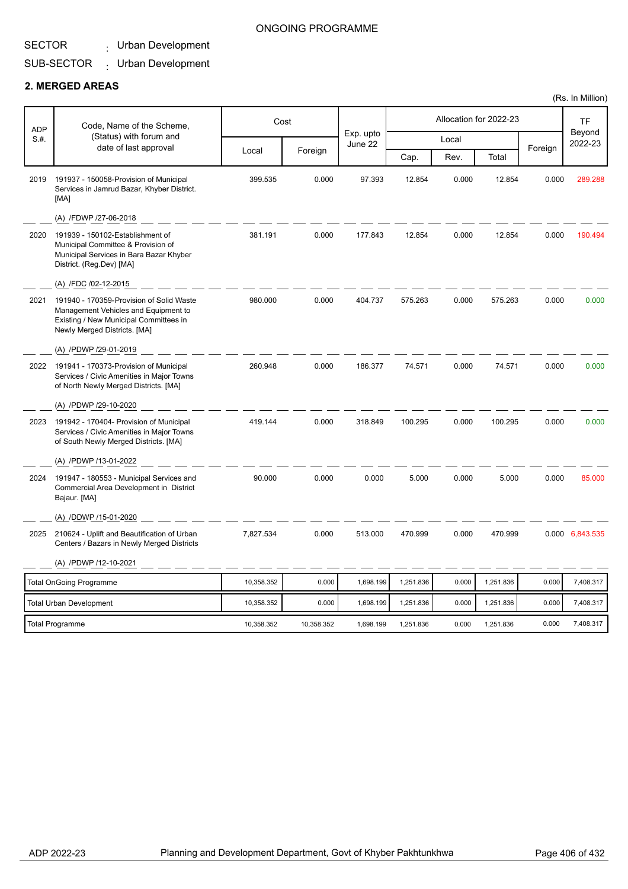# Urban Development :

#### SUB-SECTOR Urban Development :

## **2. MERGED AREAS**

| <b>ADP</b> | Code, Name of the Scheme,                                                                                                                                  |            | Cost       |                      |           |       | Allocation for 2022-23 |         | TF                |
|------------|------------------------------------------------------------------------------------------------------------------------------------------------------------|------------|------------|----------------------|-----------|-------|------------------------|---------|-------------------|
| S.H.       | (Status) with forum and<br>date of last approval                                                                                                           |            |            | Exp. upto<br>June 22 |           | Local |                        |         | Beyond<br>2022-23 |
|            |                                                                                                                                                            | Local      | Foreign    |                      | Cap.      | Rev.  | Total                  | Foreign |                   |
| 2019       | 191937 - 150058-Provision of Municipal<br>Services in Jamrud Bazar, Khyber District.<br>[MA]                                                               | 399.535    | 0.000      | 97.393               | 12.854    | 0.000 | 12.854                 | 0.000   | 289.288           |
|            | (A) /FDWP /27-06-2018                                                                                                                                      |            |            |                      |           |       |                        |         |                   |
| 2020       | 191939 - 150102-Establishment of<br>Municipal Committee & Provision of<br>Municipal Services in Bara Bazar Khyber<br>District. (Reg.Dev) [MA]              | 381.191    | 0.000      | 177.843              | 12.854    | 0.000 | 12.854                 | 0.000   | 190.494           |
|            | (A) /FDC /02-12-2015                                                                                                                                       |            |            |                      |           |       |                        |         |                   |
| 2021       | 191940 - 170359-Provision of Solid Waste<br>Management Vehicles and Equipment to<br>Existing / New Municipal Committees in<br>Newly Merged Districts. [MA] | 980.000    | 0.000      | 404.737              | 575.263   | 0.000 | 575.263                | 0.000   | 0.000             |
|            | (A) /PDWP /29-01-2019                                                                                                                                      |            |            |                      |           |       |                        |         |                   |
| 2022       | 191941 - 170373-Provision of Municipal<br>Services / Civic Amenities in Major Towns<br>of North Newly Merged Districts. [MA]                               | 260.948    | 0.000      | 186.377              | 74.571    | 0.000 | 74.571                 | 0.000   | 0.000             |
|            | (A) /PDWP /29-10-2020                                                                                                                                      |            |            |                      |           |       |                        |         |                   |
| 2023       | 191942 - 170404- Provision of Municipal<br>Services / Civic Amenities in Major Towns<br>of South Newly Merged Districts. [MA]                              | 419.144    | 0.000      | 318.849              | 100.295   | 0.000 | 100.295                | 0.000   | 0.000             |
|            | (A) /PDWP /13-01-2022                                                                                                                                      |            |            |                      |           |       |                        |         |                   |
| 2024       | 191947 - 180553 - Municipal Services and<br>Commercial Area Development in District<br>Bajaur. [MA]                                                        | 90.000     | 0.000      | 0.000                | 5.000     | 0.000 | 5.000                  | 0.000   | 85.000            |
|            | (A) /DDWP /15-01-2020                                                                                                                                      |            |            |                      |           |       |                        |         |                   |
| 2025       | 210624 - Uplift and Beautification of Urban<br>Centers / Bazars in Newly Merged Districts                                                                  | 7,827.534  | 0.000      | 513.000              | 470.999   | 0.000 | 470.999                |         | 0.000 6,843.535   |
|            | (A) /PDWP /12-10-2021                                                                                                                                      |            |            |                      |           |       |                        |         |                   |
|            | <b>Total OnGoing Programme</b>                                                                                                                             | 10,358.352 | 0.000      | 1,698.199            | 1,251.836 | 0.000 | 1,251.836              | 0.000   | 7,408.317         |
|            | Total Urban Development                                                                                                                                    | 10,358.352 | 0.000      | 1,698.199            | 1,251.836 | 0.000 | 1,251.836              | 0.000   | 7,408.317         |
|            | <b>Total Programme</b>                                                                                                                                     | 10,358.352 | 10,358.352 | 1,698.199            | 1,251.836 | 0.000 | 1,251.836              | 0.000   | 7,408.317         |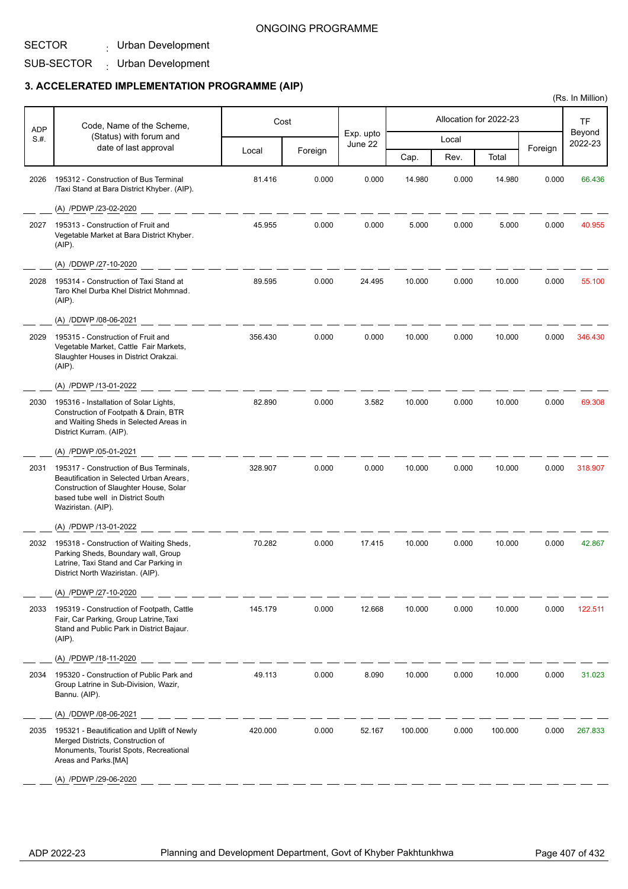#### ONGOING PROGRAMME

### SECTOR

SUB-SECTOR Urban Development : Urban Development :

# **3. ACCELERATED IMPLEMENTATION PROGRAMME (AIP)**

| <b>ADP</b> | Code, Name of the Scheme,                                                                                                                                                                | Cost    |         |                      |         |       | Allocation for 2022-23 |         | TF                |
|------------|------------------------------------------------------------------------------------------------------------------------------------------------------------------------------------------|---------|---------|----------------------|---------|-------|------------------------|---------|-------------------|
| S.#.       | (Status) with forum and                                                                                                                                                                  |         |         | Exp. upto<br>June 22 |         | Local |                        |         | Beyond<br>2022-23 |
|            | date of last approval                                                                                                                                                                    | Local   | Foreign |                      | Cap.    | Rev.  | Total                  | Foreign |                   |
| 2026       | 195312 - Construction of Bus Terminal<br>/Taxi Stand at Bara District Khyber. (AIP).                                                                                                     | 81.416  | 0.000   | 0.000                | 14.980  | 0.000 | 14.980                 | 0.000   | 66.436            |
|            | (A) /PDWP /23-02-2020                                                                                                                                                                    |         |         |                      |         |       |                        |         |                   |
| 2027       | 195313 - Construction of Fruit and<br>Vegetable Market at Bara District Khyber.<br>$(AIP)$ .                                                                                             | 45.955  | 0.000   | 0.000                | 5.000   | 0.000 | 5.000                  | 0.000   | 40.955            |
|            | (A) /DDWP /27-10-2020                                                                                                                                                                    |         |         |                      |         |       |                        |         |                   |
| 2028       | 195314 - Construction of Taxi Stand at<br>Taro Khel Durba Khel District Mohmnad.<br>(AIP).                                                                                               | 89.595  | 0.000   | 24.495               | 10.000  | 0.000 | 10.000                 | 0.000   | 55.100            |
|            | (A) /DDWP /08-06-2021                                                                                                                                                                    |         |         |                      |         |       |                        |         |                   |
| 2029       | 195315 - Construction of Fruit and<br>Vegetable Market, Cattle Fair Markets,<br>Slaughter Houses in District Orakzai.<br>(AIP).                                                          | 356.430 | 0.000   | 0.000                | 10.000  | 0.000 | 10.000                 | 0.000   | 346.430           |
|            | (A) /PDWP /13-01-2022                                                                                                                                                                    |         |         |                      |         |       |                        |         |                   |
| 2030       | 195316 - Installation of Solar Lights,<br>Construction of Footpath & Drain, BTR<br>and Waiting Sheds in Selected Areas in<br>District Kurram. (AIP).                                     | 82.890  | 0.000   | 3.582                | 10.000  | 0.000 | 10.000                 | 0.000   | 69.308            |
|            | (A) /PDWP /05-01-2021                                                                                                                                                                    |         |         |                      |         |       |                        |         |                   |
| 2031       | 195317 - Construction of Bus Terminals,<br>Beautification in Selected Urban Arears,<br>Construction of Slaughter House, Solar<br>based tube well in District South<br>Waziristan. (AIP). | 328.907 | 0.000   | 0.000                | 10.000  | 0.000 | 10.000                 | 0.000   | 318.907           |
|            | (A) /PDWP /13-01-2022                                                                                                                                                                    |         |         |                      |         |       |                        |         |                   |
| 2032       | 195318 - Construction of Waiting Sheds,<br>Parking Sheds, Boundary wall, Group<br>Latrine, Taxi Stand and Car Parking in<br>District North Waziristan. (AIP).                            | 70.282  | 0.000   | 17.415               | 10.000  | 0.000 | 10.000                 | 0.000   | 42.867            |
|            | (A) /PDWP /27-10-2020                                                                                                                                                                    |         |         |                      |         |       |                        |         |                   |
| 2033       | 195319 - Construction of Footpath, Cattle<br>Fair, Car Parking, Group Latrine, Taxi<br>Stand and Public Park in District Bajaur.<br>$(AIP)$ .                                            | 145.179 | 0.000   | 12.668               | 10.000  | 0.000 | 10.000                 | 0.000   | 122.511           |
|            | (A) /PDWP /18-11-2020                                                                                                                                                                    |         |         |                      |         |       |                        |         |                   |
| 2034       | 195320 - Construction of Public Park and<br>Group Latrine in Sub-Division, Wazir,<br>Bannu. (AIP).                                                                                       | 49.113  | 0.000   | 8.090                | 10.000  | 0.000 | 10.000                 | 0.000   | 31.023            |
|            | (A) /DDWP /08-06-2021                                                                                                                                                                    |         |         |                      |         |       |                        |         |                   |
| 2035       | 195321 - Beautification and Uplift of Newly<br>Merged Districts, Construction of<br>Monuments, Tourist Spots, Recreational<br>Areas and Parks.[MA]                                       | 420.000 | 0.000   | 52.167               | 100.000 | 0.000 | 100.000                | 0.000   | 267.833           |
|            | (A) /PDWP /29-06-2020                                                                                                                                                                    |         |         |                      |         |       |                        |         |                   |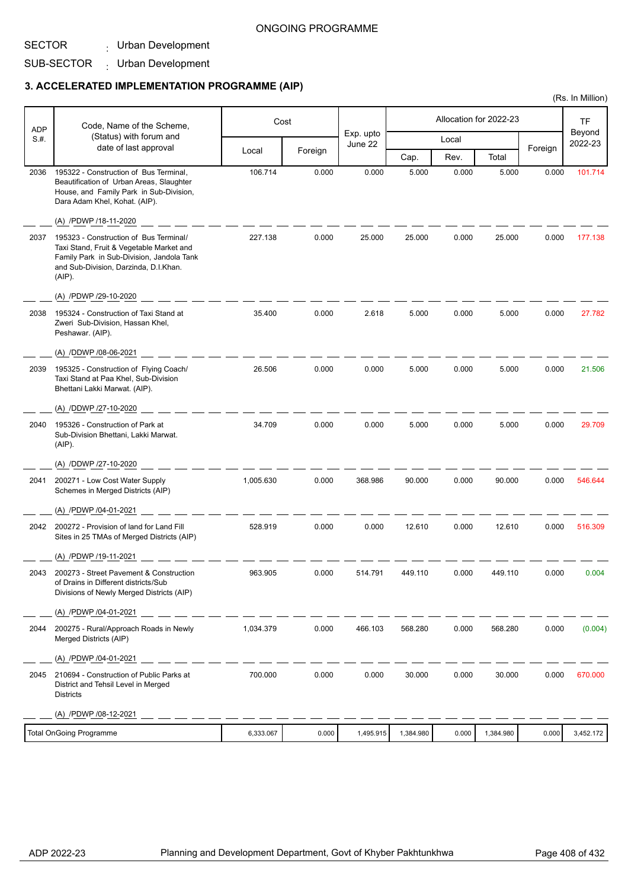#### ONGOING PROGRAMME

SECTOR

Urban Development :

#### SUB-SECTOR Urban Development :

#### **3. ACCELERATED IMPLEMENTATION PROGRAMME (AIP)**

|            |                                                                                                                                                                                    |           |         |                      |           |       |                        |         | (Rs. In Million)  |
|------------|------------------------------------------------------------------------------------------------------------------------------------------------------------------------------------|-----------|---------|----------------------|-----------|-------|------------------------|---------|-------------------|
| <b>ADP</b> | Code, Name of the Scheme,                                                                                                                                                          |           | Cost    |                      |           |       | Allocation for 2022-23 |         | <b>TF</b>         |
| S.#.       | (Status) with forum and<br>date of last approval                                                                                                                                   |           |         | Exp. upto<br>June 22 |           | Local |                        |         | Beyond<br>2022-23 |
|            |                                                                                                                                                                                    | Local     | Foreign |                      | Cap.      | Rev.  | Total                  | Foreign |                   |
| 2036       | 195322 - Construction of Bus Terminal,<br>Beautification of Urban Areas, Slaughter<br>House, and Family Park in Sub-Division,<br>Dara Adam Khel, Kohat. (AIP).                     | 106.714   | 0.000   | 0.000                | 5.000     | 0.000 | 5.000                  | 0.000   | 101.714           |
|            | (A) /PDWP /18-11-2020                                                                                                                                                              |           |         |                      |           |       |                        |         |                   |
| 2037       | 195323 - Construction of Bus Terminal/<br>Taxi Stand, Fruit & Vegetable Market and<br>Family Park in Sub-Division, Jandola Tank<br>and Sub-Division, Darzinda, D.I.Khan.<br>(AIP). | 227.138   | 0.000   | 25.000               | 25.000    | 0.000 | 25.000                 | 0.000   | 177.138           |
|            | (A) /PDWP /29-10-2020                                                                                                                                                              |           |         |                      |           |       |                        |         |                   |
| 2038       | 195324 - Construction of Taxi Stand at<br>Zweri Sub-Division, Hassan Khel,<br>Peshawar. (AIP).                                                                                     | 35.400    | 0.000   | 2.618                | 5.000     | 0.000 | 5.000                  | 0.000   | 27.782            |
|            | (A) /DDWP /08-06-2021                                                                                                                                                              |           |         |                      |           |       |                        |         |                   |
| 2039       | 195325 - Construction of Flying Coach/<br>Taxi Stand at Paa Khel, Sub-Division<br>Bhettani Lakki Marwat. (AIP).                                                                    | 26.506    | 0.000   | 0.000                | 5.000     | 0.000 | 5.000                  | 0.000   | 21.506            |
|            | (A) /DDWP /27-10-2020                                                                                                                                                              |           |         |                      |           |       |                        |         |                   |
| 2040       | 195326 - Construction of Park at<br>Sub-Division Bhettani, Lakki Marwat.<br>$(AIP)$ .                                                                                              | 34.709    | 0.000   | 0.000                | 5.000     | 0.000 | 5.000                  | 0.000   | 29.709            |
|            | (A) /DDWP /27-10-2020                                                                                                                                                              |           |         |                      |           |       |                        |         |                   |
| 2041       | 200271 - Low Cost Water Supply<br>Schemes in Merged Districts (AIP)                                                                                                                | 1,005.630 | 0.000   | 368.986              | 90.000    | 0.000 | 90.000                 | 0.000   | 546.644           |
|            | (A) /PDWP /04-01-2021                                                                                                                                                              |           |         |                      |           |       |                        |         |                   |
| 2042       | 200272 - Provision of land for Land Fill<br>Sites in 25 TMAs of Merged Districts (AIP)                                                                                             | 528.919   | 0.000   | 0.000                | 12.610    | 0.000 | 12.610                 | 0.000   | 516.309           |
|            | (A) /PDWP /19-11-2021                                                                                                                                                              |           |         |                      |           |       |                        |         |                   |
| 2043       | 200273 - Street Pavement & Construction<br>of Drains in Different districts/Sub<br>Divisions of Newly Merged Districts (AIP)                                                       | 963.905   | 0.000   | 514.791              | 449.110   | 0.000 | 449.110                | 0.000   | 0.004             |
|            | (A) /PDWP /04-01-2021                                                                                                                                                              |           |         |                      |           |       |                        |         |                   |
| 2044       | 200275 - Rural/Approach Roads in Newly<br>Merged Districts (AIP)                                                                                                                   | 1,034.379 | 0.000   | 466.103              | 568.280   | 0.000 | 568.280                | 0.000   | (0.004)           |
|            | (A) /PDWP /04-01-2021                                                                                                                                                              |           |         |                      |           |       |                        |         |                   |
| 2045       | 210694 - Construction of Public Parks at<br>District and Tehsil Level in Merged<br><b>Districts</b>                                                                                | 700.000   | 0.000   | 0.000                | 30.000    | 0.000 | 30.000                 | 0.000   | 670.000           |
|            | (A) /PDWP /08-12-2021                                                                                                                                                              |           |         |                      |           |       |                        |         |                   |
|            | <b>Total OnGoing Programme</b>                                                                                                                                                     | 6,333.067 | 0.000   | 1,495.915            | 1,384.980 | 0.000 | 1,384.980              | 0.000   | 3,452.172         |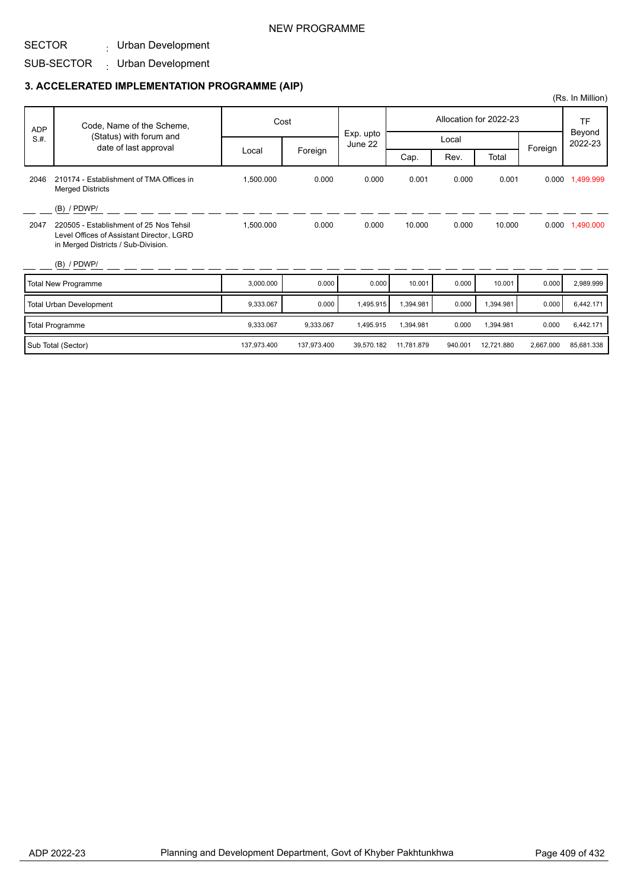### NEW PROGRAMME

## SECTOR

Urban Development :

#### SUB-SECTOR Urban Development :

## **3. ACCELERATED IMPLEMENTATION PROGRAMME (AIP)**

|            |                                                                                                                             |             |             |                      |            |         |                        |           | (Rs. In Million)  |
|------------|-----------------------------------------------------------------------------------------------------------------------------|-------------|-------------|----------------------|------------|---------|------------------------|-----------|-------------------|
| <b>ADP</b> | Code, Name of the Scheme,                                                                                                   |             | Cost        |                      |            |         | Allocation for 2022-23 |           | <b>TF</b>         |
| S.H.       | (Status) with forum and                                                                                                     |             |             | Exp. upto<br>June 22 |            | Local   |                        |           | Beyond<br>2022-23 |
|            | date of last approval                                                                                                       | Local       | Foreign     |                      | Cap.       | Rev.    | Total                  | Foreign   |                   |
| 2046       | 210174 - Establishment of TMA Offices in<br><b>Merged Districts</b>                                                         | 1,500.000   | 0.000       | 0.000                | 0.001      | 0.000   | 0.001                  |           | 0.000 1,499.999   |
|            | $(B)$ / PDWP/                                                                                                               |             |             |                      |            |         |                        |           |                   |
| 2047       | 220505 - Establishment of 25 Nos Tehsil<br>Level Offices of Assistant Director, LGRD<br>in Merged Districts / Sub-Division. | 1,500.000   | 0.000       | 0.000                | 10.000     | 0.000   | 10.000                 | 0.000     | 1,490.000         |
|            | $(B)$ / PDWP/                                                                                                               |             |             |                      |            |         |                        |           |                   |
|            | <b>Total New Programme</b>                                                                                                  | 3,000.000   | 0.000       | 0.000                | 10.001     | 0.000   | 10.001                 | 0.000     | 2,989.999         |
|            | <b>Total Urban Development</b>                                                                                              | 9,333.067   | 0.000       | 1,495.915            | 1,394.981  | 0.000   | 1,394.981              | 0.000     | 6,442.171         |
|            | <b>Total Programme</b>                                                                                                      | 9,333.067   | 9,333.067   | 1,495.915            | 1,394.981  | 0.000   | 1,394.981              | 0.000     | 6,442.171         |
|            | Sub Total (Sector)                                                                                                          | 137,973.400 | 137,973.400 | 39.570.182           | 11.781.879 | 940.001 | 12,721.880             | 2,667.000 | 85,681.338        |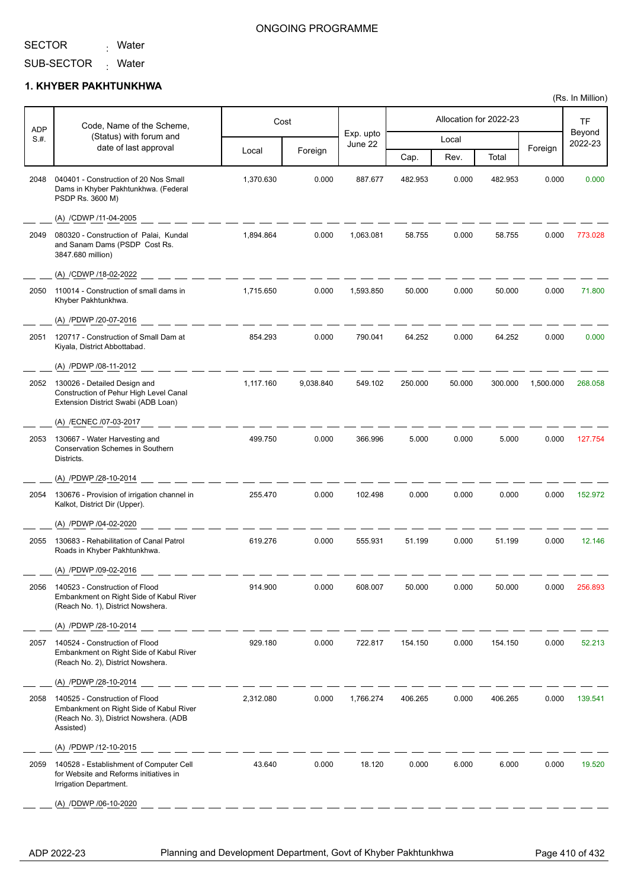Ť

ľ

<sub>:</sub> Water

#### ONGOING PROGRAMME

SUB-SECTOR Mater

#### **1. KHYBER PAKHTUNKHWA**

|                    | Code, Name of the Scheme,                                                                                                        |           | Cost      |                      |         |        | Allocation for 2022-23 |           | <b>TF</b>         |
|--------------------|----------------------------------------------------------------------------------------------------------------------------------|-----------|-----------|----------------------|---------|--------|------------------------|-----------|-------------------|
| <b>ADP</b><br>S.H. | (Status) with forum and                                                                                                          |           |           | Exp. upto<br>June 22 |         | Local  |                        |           | Beyond<br>2022-23 |
|                    | date of last approval                                                                                                            | Local     | Foreign   |                      | Cap.    | Rev.   | Total                  | Foreign   |                   |
| 2048               | 040401 - Construction of 20 Nos Small<br>Dams in Khyber Pakhtunkhwa. (Federal<br>PSDP Rs. 3600 M)                                | 1,370.630 | 0.000     | 887.677              | 482.953 | 0.000  | 482.953                | 0.000     | 0.000             |
|                    | (A) /CDWP /11-04-2005                                                                                                            |           |           |                      |         |        |                        |           |                   |
| 2049               | 080320 - Construction of Palai, Kundal<br>and Sanam Dams (PSDP Cost Rs.<br>3847.680 million)                                     | 1,894.864 | 0.000     | 1,063.081            | 58.755  | 0.000  | 58.755                 | 0.000     | 773.028           |
|                    | (A) /CDWP /18-02-2022                                                                                                            |           |           |                      |         |        |                        |           |                   |
| 2050               | 110014 - Construction of small dams in<br>Khyber Pakhtunkhwa.                                                                    | 1,715.650 | 0.000     | 1,593.850            | 50.000  | 0.000  | 50.000                 | 0.000     | 71.800            |
|                    | (A) /PDWP /20-07-2016                                                                                                            |           |           |                      |         |        |                        |           |                   |
| 2051               | 120717 - Construction of Small Dam at<br>Kiyala, District Abbottabad.                                                            | 854.293   | 0.000     | 790.041              | 64.252  | 0.000  | 64.252                 | 0.000     | 0.000             |
|                    | (A) /PDWP /08-11-2012                                                                                                            |           |           |                      |         |        |                        |           |                   |
| 2052               | 130026 - Detailed Design and<br>Construction of Pehur High Level Canal<br>Extension District Swabi (ADB Loan)                    | 1,117.160 | 9,038.840 | 549.102              | 250.000 | 50.000 | 300.000                | 1,500.000 | 268.058           |
|                    | (A) /ECNEC /07-03-2017                                                                                                           |           |           |                      |         |        |                        |           |                   |
| 2053               | 130667 - Water Harvesting and<br><b>Conservation Schemes in Southern</b><br>Districts.                                           | 499.750   | 0.000     | 366.996              | 5.000   | 0.000  | 5.000                  | 0.000     | 127.754           |
|                    | (A) /PDWP /28-10-2014                                                                                                            |           |           |                      |         |        |                        |           |                   |
| 2054               | 130676 - Provision of irrigation channel in<br>Kalkot, District Dir (Upper).                                                     | 255.470   | 0.000     | 102.498              | 0.000   | 0.000  | 0.000                  | 0.000     | 152.972           |
|                    | (A) /PDWP /04-02-2020                                                                                                            |           |           |                      |         |        |                        |           |                   |
| 2055               | 130683 - Rehabilitation of Canal Patrol<br>Roads in Khyber Pakhtunkhwa.                                                          | 619.276   | 0.000     | 555.931              | 51.199  | 0.000  | 51.199                 | 0.000     | 12.146            |
|                    | (A) /PDWP /09-02-2016                                                                                                            |           |           |                      |         |        |                        |           |                   |
| 2056               | 140523 - Construction of Flood<br>Embankment on Right Side of Kabul River<br>(Reach No. 1), District Nowshera.                   | 914.900   | 0.000     | 608.007              | 50.000  | 0.000  | 50.000                 | 0.000     | 256.893           |
|                    | (A) /PDWP /28-10-2014                                                                                                            |           |           |                      |         |        |                        |           |                   |
| 2057               | 140524 - Construction of Flood<br>Embankment on Right Side of Kabul River<br>(Reach No. 2), District Nowshera.                   | 929.180   | 0.000     | 722.817              | 154.150 | 0.000  | 154.150                | 0.000     | 52.213            |
|                    | (A) /PDWP /28-10-2014                                                                                                            |           |           |                      |         |        |                        |           |                   |
| 2058               | 140525 - Construction of Flood<br>Embankment on Right Side of Kabul River<br>(Reach No. 3), District Nowshera. (ADB<br>Assisted) | 2,312.080 | 0.000     | 1,766.274            | 406.265 | 0.000  | 406.265                | 0.000     | 139.541           |
|                    | (A) /PDWP /12-10-2015                                                                                                            |           |           |                      |         |        |                        |           |                   |
| 2059               | 140528 - Establishment of Computer Cell<br>for Website and Reforms initiatives in<br>Irrigation Department.                      | 43.640    | 0.000     | 18.120               | 0.000   | 6.000  | 6.000                  | 0.000     | 19.520            |
|                    | (A) /DDWP /06-10-2020                                                                                                            |           |           |                      |         |        |                        |           |                   |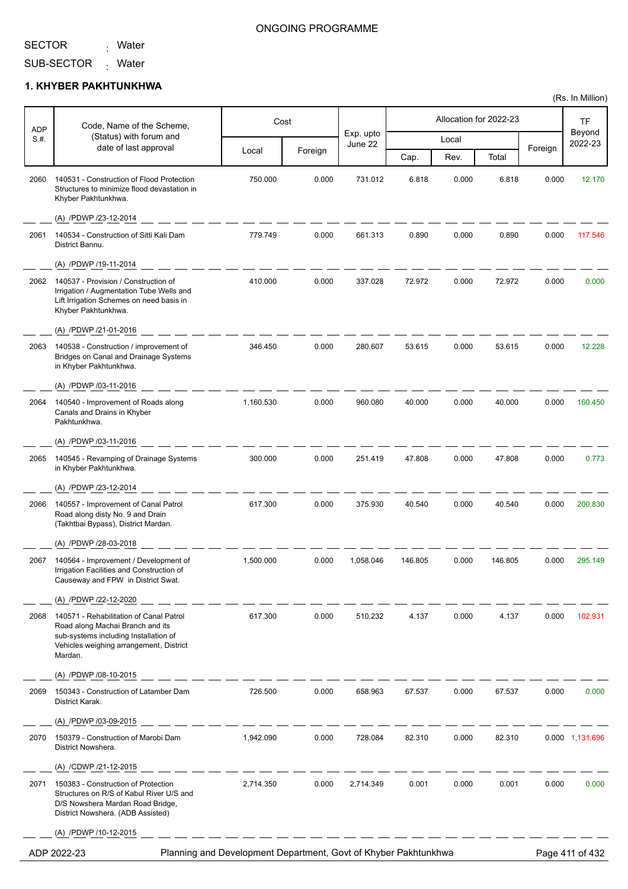Τ

Г

<sub>:</sub> Water

## ONGOING PROGRAMME

Τ

Τ

Τ

SUB-SECTOR <sub>:</sub> Water

### **1. KHYBER PAKHTUNKHWA**

| ADP  | Code, Name of the Scheme,                                                                                                                                                  |           | Cost    |                      | Allocation for 2022-23 |       |         |         | TF                |
|------|----------------------------------------------------------------------------------------------------------------------------------------------------------------------------|-----------|---------|----------------------|------------------------|-------|---------|---------|-------------------|
| S.H. | (Status) with forum and                                                                                                                                                    |           |         | Exp. upto<br>June 22 |                        | Local |         |         | Beyond<br>2022-23 |
|      | date of last approval                                                                                                                                                      | Local     | Foreign |                      | Cap.                   | Rev.  | Total   | Foreign |                   |
| 2060 | 140531 - Construction of Flood Protection<br>Structures to minimize flood devastation in<br>Khyber Pakhtunkhwa.                                                            | 750.000   | 0.000   | 731.012              | 6.818                  | 0.000 | 6.818   | 0.000   | 12.170            |
|      | (A) /PDWP /23-12-2014                                                                                                                                                      |           |         |                      |                        |       |         |         |                   |
| 2061 | 140534 - Construction of Sitti Kali Dam<br>District Bannu.                                                                                                                 | 779.749   | 0.000   | 661.313              | 0.890                  | 0.000 | 0.890   | 0.000   | 117.546           |
|      | (A) /PDWP /19-11-2014                                                                                                                                                      |           |         |                      |                        |       |         |         |                   |
| 2062 | 140537 - Provision / Construction of<br>Irrigation / Augmentation Tube Wells and<br>Lift Irrigation Schemes on need basis in<br>Khyber Pakhtunkhwa.                        | 410.000   | 0.000   | 337.028              | 72.972                 | 0.000 | 72.972  | 0.000   | 0.000             |
|      | (A) /PDWP /21-01-2016                                                                                                                                                      |           |         |                      |                        |       |         |         |                   |
| 2063 | 140538 - Construction / improvement of<br><b>Bridges on Canal and Drainage Systems</b><br>in Khyber Pakhtunkhwa.                                                           | 346.450   | 0.000   | 280.607              | 53.615                 | 0.000 | 53.615  | 0.000   | 12.228            |
|      | (A) /PDWP /03-11-2016                                                                                                                                                      |           |         |                      |                        |       |         |         |                   |
| 2064 | 140540 - Improvement of Roads along<br>Canals and Drains in Khyber<br>Pakhtunkhwa.                                                                                         | 1,160.530 | 0.000   | 960.080              | 40.000                 | 0.000 | 40.000  | 0.000   | 160.450           |
|      | (A) /PDWP /03-11-2016                                                                                                                                                      |           |         |                      |                        |       |         |         |                   |
| 2065 | 140545 - Revamping of Drainage Systems<br>in Khyber Pakhtunkhwa.                                                                                                           | 300.000   | 0.000   | 251.419              | 47.808                 | 0.000 | 47.808  | 0.000   | 0.773             |
|      | (A) /PDWP /23-12-2014                                                                                                                                                      |           |         |                      |                        |       |         |         |                   |
| 2066 | 140557 - Improvement of Canal Patrol<br>Road along disty No. 9 and Drain<br>(Takhtbai Bypass), District Mardan.                                                            | 617.300   | 0.000   | 375.930              | 40.540                 | 0.000 | 40.540  | 0.000   | 200.830           |
|      | (A) /PDWP /28-03-2018                                                                                                                                                      |           |         |                      |                        |       |         |         |                   |
| 2067 | 140564 - Improvement / Development of<br>Irrigation Facilities and Construction of<br>Causeway and FPW in District Swat.                                                   | 1,500.000 | 0.000   | 1,058.046            | 146.805                | 0.000 | 146.805 | 0.000   | 295.149           |
|      | (A) /PDWP /22-12-2020                                                                                                                                                      |           |         |                      |                        |       |         |         |                   |
| 2068 | 140571 - Rehabilitation of Canal Patrol<br>Road along Machai Branch and its<br>sub-systems including Installation of<br>Vehicles weighing arrangement, District<br>Mardan. | 617.300   | 0.000   | 510.232              | 4.137                  | 0.000 | 4.137   | 0.000   | 102.931           |
|      | (A) /PDWP /08-10-2015                                                                                                                                                      |           |         |                      |                        |       |         |         |                   |
| 2069 | 150343 - Construction of Latamber Dam<br>District Karak.                                                                                                                   | 726.500   | 0.000   | 658.963              | 67.537                 | 0.000 | 67.537  | 0.000   | 0.000             |
|      | (A) /PDWP /03-09-2015                                                                                                                                                      |           |         |                      |                        |       |         |         |                   |
| 2070 | 150379 - Construction of Marobi Dam<br>District Nowshera.                                                                                                                  | 1,942.090 | 0.000   | 728.084              | 82.310                 | 0.000 | 82.310  |         | 0.000 1,131.696   |
|      | (A) /CDWP /21-12-2015                                                                                                                                                      |           |         |                      |                        |       |         |         |                   |
| 2071 | 150383 - Construction of Protection<br>Structures on R/S of Kabul River U/S and<br>D/S Nowshera Mardan Road Bridge,<br>District Nowshera. (ADB Assisted)                   | 2,714.350 | 0.000   | 2,714.349            | 0.001                  | 0.000 | 0.001   | 0.000   | 0.000             |
|      | (A) /PDWP /10-12-2015                                                                                                                                                      |           |         |                      |                        |       |         |         |                   |

ADP 2022-23 Planning and Development Department, Govt of Khyber Pakhtunkhwa Page 411 of 432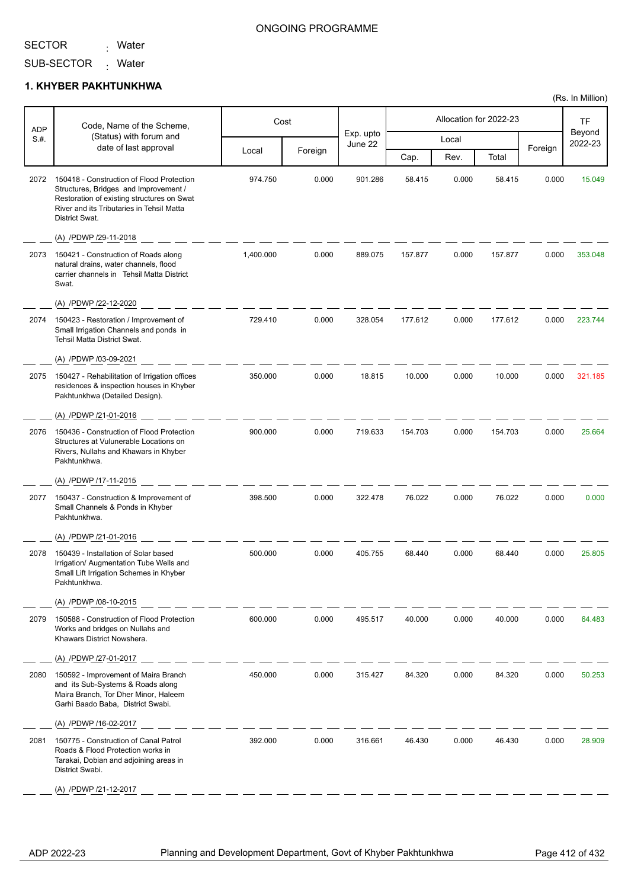<sub>:</sub> Water

#### ONGOING PROGRAMME

SUB-SECTOR <sub>:</sub> Water

### **1. KHYBER PAKHTUNKHWA**

|             | Code, Name of the Scheme,                                                                                                                                                                       |           | Cost    |                      |         |       | Allocation for 2022-23 |         | TF                |
|-------------|-------------------------------------------------------------------------------------------------------------------------------------------------------------------------------------------------|-----------|---------|----------------------|---------|-------|------------------------|---------|-------------------|
| ADP<br>S.H. | (Status) with forum and                                                                                                                                                                         |           |         | Exp. upto<br>June 22 |         | Local |                        |         | Beyond<br>2022-23 |
|             | date of last approval                                                                                                                                                                           | Local     | Foreign |                      | Cap.    | Rev.  | Total                  | Foreign |                   |
| 2072        | 150418 - Construction of Flood Protection<br>Structures, Bridges and Improvement /<br>Restoration of existing structures on Swat<br>River and its Tributaries in Tehsil Matta<br>District Swat. | 974.750   | 0.000   | 901.286              | 58.415  | 0.000 | 58.415                 | 0.000   | 15.049            |
|             | (A) /PDWP /29-11-2018                                                                                                                                                                           |           |         |                      |         |       |                        |         |                   |
| 2073        | 150421 - Construction of Roads along<br>natural drains, water channels, flood<br>carrier channels in Tehsil Matta District<br>Swat.                                                             | 1,400.000 | 0.000   | 889.075              | 157.877 | 0.000 | 157.877                | 0.000   | 353.048           |
|             | (A) /PDWP /22-12-2020                                                                                                                                                                           |           |         |                      |         |       |                        |         |                   |
| 2074        | 150423 - Restoration / Improvement of<br>Small Irrigation Channels and ponds in<br>Tehsil Matta District Swat.                                                                                  | 729.410   | 0.000   | 328.054              | 177.612 | 0.000 | 177.612                | 0.000   | 223.744           |
|             | (A) /PDWP /03-09-2021                                                                                                                                                                           |           |         |                      |         |       |                        |         |                   |
| 2075        | 150427 - Rehabilitation of Irrigation offices<br>residences & inspection houses in Khyber<br>Pakhtunkhwa (Detailed Design).                                                                     | 350.000   | 0.000   | 18.815               | 10.000  | 0.000 | 10.000                 | 0.000   | 321.185           |
|             | (A) /PDWP /21-01-2016                                                                                                                                                                           |           |         |                      |         |       |                        |         |                   |
| 2076        | 150436 - Construction of Flood Protection<br>Structures at Vulunerable Locations on<br>Rivers, Nullahs and Khawars in Khyber<br>Pakhtunkhwa.                                                    | 900.000   | 0.000   | 719.633              | 154.703 | 0.000 | 154.703                | 0.000   | 25.664            |
|             | (A) /PDWP /17-11-2015                                                                                                                                                                           |           |         |                      |         |       |                        |         |                   |
| 2077        | 150437 - Construction & Improvement of<br>Small Channels & Ponds in Khyber<br>Pakhtunkhwa.                                                                                                      | 398.500   | 0.000   | 322.478              | 76.022  | 0.000 | 76.022                 | 0.000   | 0.000             |
|             | (A) /PDWP /21-01-2016                                                                                                                                                                           |           |         |                      |         |       |                        |         |                   |
| 2078        | 150439 - Installation of Solar based<br>Irrigation/ Augmentation Tube Wells and<br>Small Lift Irrigation Schemes in Khyber<br>Pakhtunkhwa.                                                      | 500.000   | 0.000   | 405.755              | 68.440  | 0.000 | 68.440                 | 0.000   | 25.805            |
|             | (A) /PDWP /08-10-2015                                                                                                                                                                           |           |         |                      |         |       |                        |         |                   |
| 2079        | 150588 - Construction of Flood Protection<br>Works and bridges on Nullahs and<br>Khawars District Nowshera.                                                                                     | 600.000   | 0.000   | 495.517              | 40.000  | 0.000 | 40.000                 | 0.000   | 64.483            |
|             | (A) /PDWP /27-01-2017                                                                                                                                                                           |           |         |                      |         |       |                        |         |                   |
| 2080        | 150592 - Improvement of Maira Branch<br>and its Sub-Systems & Roads along<br>Maira Branch, Tor Dher Minor, Haleem<br>Garhi Baado Baba, District Swabi.                                          | 450.000   | 0.000   | 315.427              | 84.320  | 0.000 | 84.320                 | 0.000   | 50.253            |
|             | (A) /PDWP /16-02-2017                                                                                                                                                                           |           |         |                      |         |       |                        |         |                   |
| 2081        | 150775 - Construction of Canal Patrol<br>Roads & Flood Protection works in<br>Tarakai, Dobian and adjoining areas in<br>District Swabi.                                                         | 392.000   | 0.000   | 316.661              | 46.430  | 0.000 | 46.430                 | 0.000   | 28.909            |
|             | (A) /PDWP /21-12-2017                                                                                                                                                                           |           |         |                      |         |       |                        |         |                   |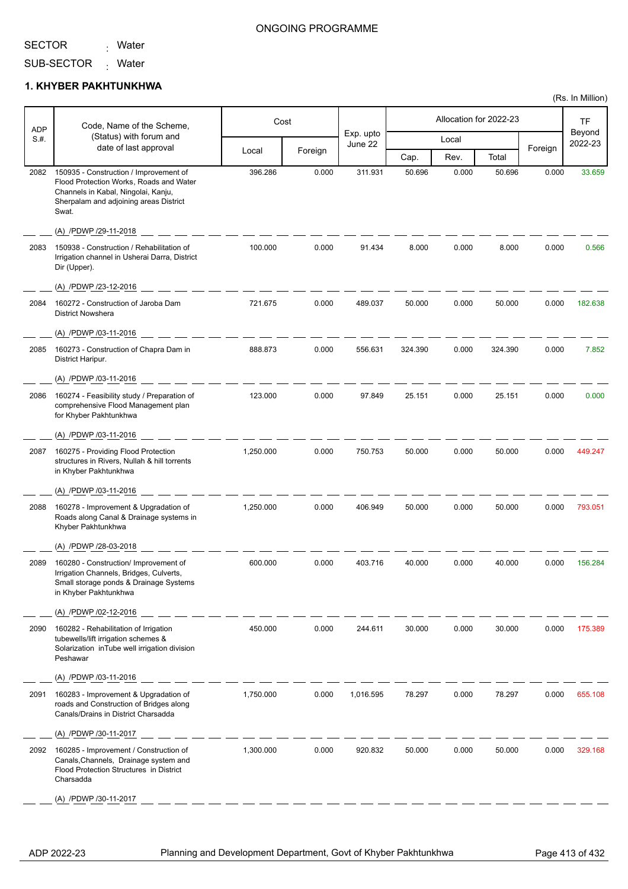<sub>:</sub> Water

SUB-SECTOR <sub>:</sub> Water

#### **1. KHYBER PAKHTUNKHWA**

|             | Code, Name of the Scheme,                                                                                                                                                   |           | Cost    |                      |         |       | Allocation for 2022-23 |         | TF                |
|-------------|-----------------------------------------------------------------------------------------------------------------------------------------------------------------------------|-----------|---------|----------------------|---------|-------|------------------------|---------|-------------------|
| ADP<br>S.#. | (Status) with forum and                                                                                                                                                     |           |         | Exp. upto<br>June 22 |         | Local |                        |         | Beyond<br>2022-23 |
|             | date of last approval                                                                                                                                                       | Local     | Foreign |                      | Cap.    | Rev.  | Total                  | Foreign |                   |
| 2082        | 150935 - Construction / Improvement of<br>Flood Protection Works, Roads and Water<br>Channels in Kabal, Ningolai, Kanju,<br>Sherpalam and adjoining areas District<br>Swat. | 396.286   | 0.000   | 311.931              | 50.696  | 0.000 | 50.696                 | 0.000   | 33.659            |
|             | (A) /PDWP /29-11-2018                                                                                                                                                       |           |         |                      |         |       |                        |         |                   |
| 2083        | 150938 - Construction / Rehabilitation of<br>Irrigation channel in Usherai Darra, District<br>Dir (Upper).                                                                  | 100.000   | 0.000   | 91.434               | 8.000   | 0.000 | 8.000                  | 0.000   | 0.566             |
|             | (A) /PDWP /23-12-2016                                                                                                                                                       |           |         |                      |         |       |                        |         |                   |
| 2084        | 160272 - Construction of Jaroba Dam<br><b>District Nowshera</b>                                                                                                             | 721.675   | 0.000   | 489.037              | 50.000  | 0.000 | 50.000                 | 0.000   | 182.638           |
|             | (A) /PDWP /03-11-2016                                                                                                                                                       |           |         |                      |         |       |                        |         |                   |
| 2085        | 160273 - Construction of Chapra Dam in<br>District Haripur.                                                                                                                 | 888.873   | 0.000   | 556.631              | 324.390 | 0.000 | 324.390                | 0.000   | 7.852             |
|             | (A) /PDWP /03-11-2016                                                                                                                                                       |           |         |                      |         |       |                        |         |                   |
| 2086        | 160274 - Feasibility study / Preparation of<br>comprehensive Flood Management plan<br>for Khyber Pakhtunkhwa                                                                | 123.000   | 0.000   | 97.849               | 25.151  | 0.000 | 25.151                 | 0.000   | 0.000             |
|             | (A) /PDWP /03-11-2016                                                                                                                                                       |           |         |                      |         |       |                        |         |                   |
| 2087        | 160275 - Providing Flood Protection<br>structures in Rivers, Nullah & hill torrents<br>in Khyber Pakhtunkhwa                                                                | 1,250.000 | 0.000   | 750.753              | 50.000  | 0.000 | 50.000                 | 0.000   | 449.247           |
|             | (A) /PDWP /03-11-2016                                                                                                                                                       |           |         |                      |         |       |                        |         |                   |
| 2088        | 160278 - Improvement & Upgradation of<br>Roads along Canal & Drainage systems in<br>Khyber Pakhtunkhwa                                                                      | 1,250.000 | 0.000   | 406.949              | 50.000  | 0.000 | 50.000                 | 0.000   | 793.051           |
|             | (A) /PDWP /28-03-2018                                                                                                                                                       |           |         |                      |         |       |                        |         |                   |
| 2089        | 160280 - Construction/ Improvement of<br>Irrigation Channels, Bridges, Culverts,<br>Small storage ponds & Drainage Systems<br>in Khyber Pakhtunkhwa                         | 600.000   | 0.000   | 403.716              | 40.000  | 0.000 | 40.000                 | 0.000   | 156.284           |
|             | (A) /PDWP /02-12-2016                                                                                                                                                       |           |         |                      |         |       |                        |         |                   |
| 2090        | 160282 - Rehabilitation of Irrigation<br>tubewells/lift irrigation schemes &<br>Solarization in Tube well irrigation division<br>Peshawar                                   | 450.000   | 0.000   | 244.611              | 30.000  | 0.000 | 30.000                 | 0.000   | 175.389           |
|             | (A) /PDWP /03-11-2016                                                                                                                                                       |           |         |                      |         |       |                        |         |                   |
| 2091        | 160283 - Improvement & Upgradation of<br>roads and Construction of Bridges along<br>Canals/Drains in District Charsadda                                                     | 1,750.000 | 0.000   | 1,016.595            | 78.297  | 0.000 | 78.297                 | 0.000   | 655.108           |
|             | (A) /PDWP /30-11-2017                                                                                                                                                       |           |         |                      |         |       |                        |         |                   |
| 2092        | 160285 - Improvement / Construction of<br>Canals, Channels, Drainage system and<br>Flood Protection Structures in District<br>Charsadda                                     | 1,300.000 | 0.000   | 920.832              | 50.000  | 0.000 | 50.000                 | 0.000   | 329.168           |
|             | (A) /PDWP /30-11-2017                                                                                                                                                       |           |         |                      |         |       |                        |         |                   |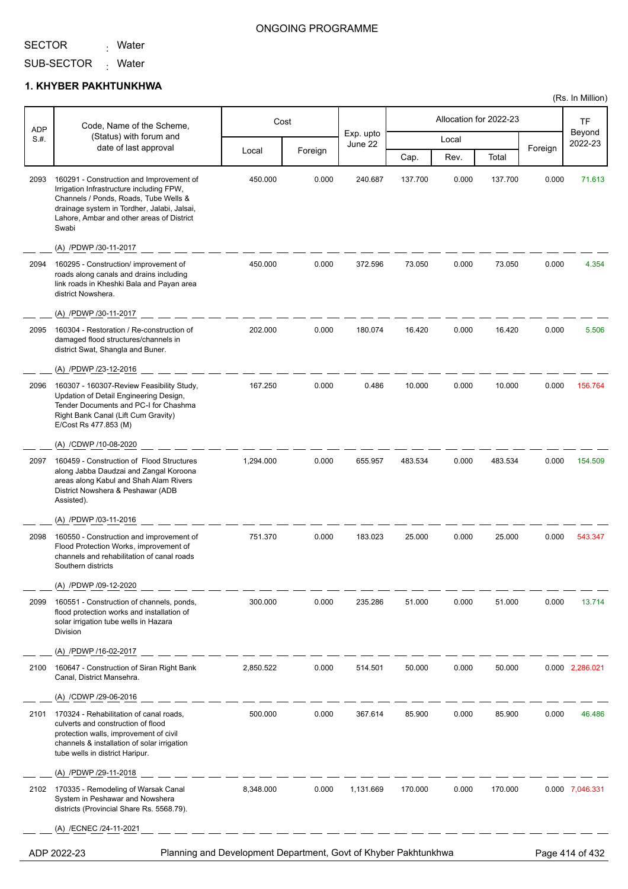<sub>:</sub> Water

### ONGOING PROGRAMME

(Rs. In Million)

SUB-SECTOR Mater

#### **1. KHYBER PAKHTUNKHWA**

|                    | Code, Name of the Scheme,                                                                                                                                                                                                          |                                                                 | Cost    |                      |         |       | Allocation for 2022-23 |         | TF                |
|--------------------|------------------------------------------------------------------------------------------------------------------------------------------------------------------------------------------------------------------------------------|-----------------------------------------------------------------|---------|----------------------|---------|-------|------------------------|---------|-------------------|
| <b>ADP</b><br>S.H. | (Status) with forum and                                                                                                                                                                                                            |                                                                 |         | Exp. upto<br>June 22 |         | Local |                        |         | Beyond<br>2022-23 |
|                    | date of last approval                                                                                                                                                                                                              | Local                                                           | Foreign |                      | Cap.    | Rev.  | Total                  | Foreign |                   |
| 2093               | 160291 - Construction and Improvement of<br>Irrigation Infrastructure including FPW,<br>Channels / Ponds, Roads, Tube Wells &<br>drainage system in Tordher, Jalabi, Jalsai,<br>Lahore, Ambar and other areas of District<br>Swabi | 450.000                                                         | 0.000   | 240.687              | 137.700 | 0.000 | 137.700                | 0.000   | 71.613            |
|                    | (A) /PDWP /30-11-2017                                                                                                                                                                                                              |                                                                 |         |                      |         |       |                        |         |                   |
| 2094               | 160295 - Construction/ improvement of<br>roads along canals and drains including<br>link roads in Kheshki Bala and Payan area<br>district Nowshera.                                                                                | 450.000                                                         | 0.000   | 372.596              | 73.050  | 0.000 | 73.050                 | 0.000   | 4.354             |
|                    | (A) /PDWP /30-11-2017                                                                                                                                                                                                              |                                                                 |         |                      |         |       |                        |         |                   |
| 2095               | 160304 - Restoration / Re-construction of<br>damaged flood structures/channels in<br>district Swat, Shangla and Buner.                                                                                                             | 202.000                                                         | 0.000   | 180.074              | 16.420  | 0.000 | 16.420                 | 0.000   | 5.506             |
|                    | (A) /PDWP /23-12-2016                                                                                                                                                                                                              |                                                                 |         |                      |         |       |                        |         |                   |
| 2096               | 160307 - 160307-Review Feasibility Study,<br>Updation of Detail Engineering Design,<br>Tender Documents and PC-I for Chashma<br>Right Bank Canal (Lift Cum Gravity)<br>E/Cost Rs 477.853 (M)                                       | 167.250                                                         | 0.000   | 0.486                | 10.000  | 0.000 | 10.000                 | 0.000   | 156.764           |
|                    | (A) /CDWP /10-08-2020                                                                                                                                                                                                              |                                                                 |         |                      |         |       |                        |         |                   |
| 2097               | 160459 - Construction of Flood Structures<br>along Jabba Daudzai and Zangal Koroona<br>areas along Kabul and Shah Alam Rivers<br>District Nowshera & Peshawar (ADB<br>Assisted).                                                   | 1,294.000                                                       | 0.000   | 655.957              | 483.534 | 0.000 | 483.534                | 0.000   | 154.509           |
|                    | (A) /PDWP /03-11-2016                                                                                                                                                                                                              |                                                                 |         |                      |         |       |                        |         |                   |
| 2098               | 160550 - Construction and improvement of<br>Flood Protection Works, improvement of<br>channels and rehabilitation of canal roads<br>Southern districts                                                                             | 751.370                                                         | 0.000   | 183.023              | 25.000  | 0.000 | 25.000                 | 0.000   | 543.347           |
|                    | (A) /PDWP /09-12-2020                                                                                                                                                                                                              |                                                                 |         |                      |         |       |                        |         |                   |
| 2099               | 160551 - Construction of channels, ponds,<br>flood protection works and installation of<br>solar irrigation tube wells in Hazara<br>Division                                                                                       | 300.000                                                         | 0.000   | 235.286              | 51.000  | 0.000 | 51.000                 | 0.000   | 13.714            |
|                    | (A) /PDWP /16-02-2017                                                                                                                                                                                                              |                                                                 |         |                      |         |       |                        |         |                   |
| 2100               | 160647 - Construction of Siran Right Bank<br>Canal, District Mansehra.                                                                                                                                                             | 2,850.522                                                       | 0.000   | 514.501              | 50.000  | 0.000 | 50.000                 |         | 0.000 2,286.021   |
|                    | (A) /CDWP /29-06-2016                                                                                                                                                                                                              |                                                                 |         |                      |         |       |                        |         |                   |
| 2101               | 170324 - Rehabilitation of canal roads,<br>culverts and construction of flood<br>protection walls, improvement of civil<br>channels & installation of solar irrigation<br>tube wells in district Haripur.                          | 500.000                                                         | 0.000   | 367.614              | 85.900  | 0.000 | 85.900                 | 0.000   | 46.486            |
|                    | (A) /PDWP /29-11-2018                                                                                                                                                                                                              |                                                                 |         |                      |         |       |                        |         |                   |
| 2102               | 170335 - Remodeling of Warsak Canal<br>System in Peshawar and Nowshera<br>districts (Provincial Share Rs. 5568.79).                                                                                                                | 8,348.000                                                       | 0.000   | 1,131.669            | 170.000 | 0.000 | 170.000                |         | 0.000 7,046.331   |
|                    | (A) /ECNEC /24-11-2021                                                                                                                                                                                                             |                                                                 |         |                      |         |       |                        |         |                   |
|                    | ADP 2022-23                                                                                                                                                                                                                        | Planning and Development Department, Govt of Khyber Pakhtunkhwa |         |                      |         |       |                        |         | Page 414 of 432   |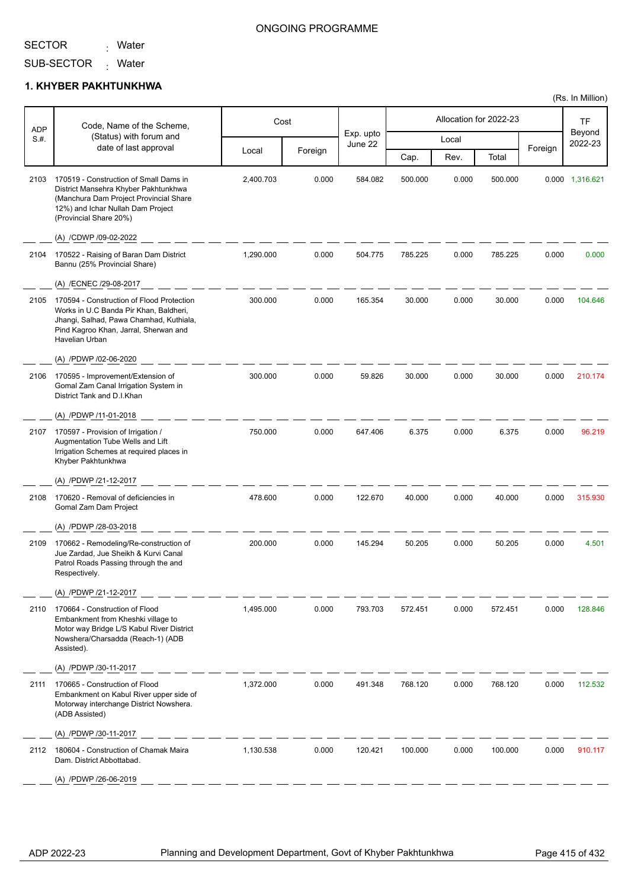<sub>:</sub> Water

#### ONGOING PROGRAMME

SUB-SECTOR Mater

### **1. KHYBER PAKHTUNKHWA**

|             | Code, Name of the Scheme,                                                                                                                                                                 |           | Cost    |                      |         |       | Allocation for 2022-23 |         | TF                |
|-------------|-------------------------------------------------------------------------------------------------------------------------------------------------------------------------------------------|-----------|---------|----------------------|---------|-------|------------------------|---------|-------------------|
| ADP<br>S.H. | (Status) with forum and                                                                                                                                                                   |           |         | Exp. upto<br>June 22 |         | Local |                        |         | Beyond<br>2022-23 |
|             | date of last approval                                                                                                                                                                     | Local     | Foreign |                      | Cap.    | Rev.  | Total                  | Foreign |                   |
| 2103        | 170519 - Construction of Small Dams in<br>District Mansehra Khyber Pakhtunkhwa<br>(Manchura Dam Project Provincial Share<br>12%) and Ichar Nullah Dam Project<br>(Provincial Share 20%)   | 2,400.703 | 0.000   | 584.082              | 500.000 | 0.000 | 500.000                |         | 0.000 1,316.621   |
|             | (A) /CDWP /09-02-2022                                                                                                                                                                     |           |         |                      |         |       |                        |         |                   |
| 2104        | 170522 - Raising of Baran Dam District<br>Bannu (25% Provincial Share)                                                                                                                    | 1,290.000 | 0.000   | 504.775              | 785.225 | 0.000 | 785.225                | 0.000   | 0.000             |
|             | (A) /ECNEC /29-08-2017                                                                                                                                                                    |           |         |                      |         |       |                        |         |                   |
| 2105        | 170594 - Construction of Flood Protection<br>Works in U.C Banda Pir Khan, Baldheri,<br>Jhangi, Salhad, Pawa Chamhad, Kuthiala,<br>Pind Kagroo Khan, Jarral, Sherwan and<br>Havelian Urban | 300.000   | 0.000   | 165.354              | 30.000  | 0.000 | 30.000                 | 0.000   | 104.646           |
|             | (A) /PDWP /02-06-2020                                                                                                                                                                     |           |         |                      |         |       |                        |         |                   |
| 2106        | 170595 - Improvement/Extension of<br>Gomal Zam Canal Irrigation System in<br>District Tank and D.I.Khan                                                                                   | 300.000   | 0.000   | 59.826               | 30.000  | 0.000 | 30.000                 | 0.000   | 210.174           |
|             | (A) /PDWP /11-01-2018                                                                                                                                                                     |           |         |                      |         |       |                        |         |                   |
| 2107        | 170597 - Provision of Irrigation /<br>Augmentation Tube Wells and Lift<br>Irrigation Schemes at required places in<br>Khyber Pakhtunkhwa                                                  | 750.000   | 0.000   | 647.406              | 6.375   | 0.000 | 6.375                  | 0.000   | 96.219            |
|             | (A) /PDWP /21-12-2017                                                                                                                                                                     |           |         |                      |         |       |                        |         |                   |
| 2108        | 170620 - Removal of deficiencies in<br>Gomal Zam Dam Project                                                                                                                              | 478.600   | 0.000   | 122.670              | 40.000  | 0.000 | 40.000                 | 0.000   | 315.930           |
|             | (A) /PDWP /28-03-2018                                                                                                                                                                     |           |         |                      |         |       |                        |         |                   |
| 2109        | 170662 - Remodeling/Re-construction of<br>Jue Zardad, Jue Sheikh & Kurvi Canal<br>Patrol Roads Passing through the and<br>Respectively.                                                   | 200.000   | 0.000   | 145.294              | 50.205  | 0.000 | 50.205                 | 0.000   | 4.501             |
|             | (A) /PDWP /21-12-2017                                                                                                                                                                     |           |         |                      |         |       |                        |         |                   |
| 2110        | 170664 - Construction of Flood<br>Embankment from Kheshki village to<br>Motor way Bridge L/S Kabul River District<br>Nowshera/Charsadda (Reach-1) (ADB<br>Assisted).                      | 1,495.000 | 0.000   | 793.703              | 572.451 | 0.000 | 572.451                | 0.000   | 128.846           |
|             | (A) /PDWP /30-11-2017                                                                                                                                                                     |           |         |                      |         |       |                        |         |                   |
| 2111        | 170665 - Construction of Flood<br>Embankment on Kabul River upper side of<br>Motorway interchange District Nowshera.<br>(ADB Assisted)                                                    | 1,372.000 | 0.000   | 491.348              | 768.120 | 0.000 | 768.120                | 0.000   | 112.532           |
|             | (A) /PDWP /30-11-2017                                                                                                                                                                     |           |         |                      |         |       |                        |         |                   |
| 2112        | 180604 - Construction of Chamak Maira<br>Dam. District Abbottabad.                                                                                                                        | 1,130.538 | 0.000   | 120.421              | 100.000 | 0.000 | 100.000                | 0.000   | 910.117           |
|             | (A) /PDWP /26-06-2019                                                                                                                                                                     |           |         |                      |         |       |                        |         |                   |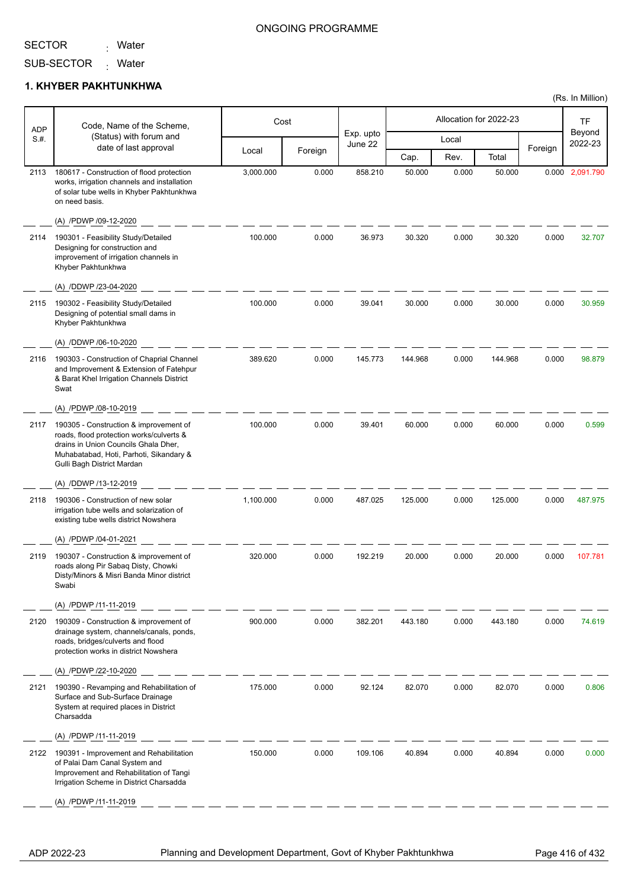<sub>:</sub> Water

### ONGOING PROGRAMME

SUB-SECTOR <sub>:</sub> Water

### **1. KHYBER PAKHTUNKHWA**

| <b>ADP</b> | Code, Name of the Scheme,                                                                                                                                                                           |           | Cost    |                      |         |       | Allocation for 2022-23 |         | TF                |
|------------|-----------------------------------------------------------------------------------------------------------------------------------------------------------------------------------------------------|-----------|---------|----------------------|---------|-------|------------------------|---------|-------------------|
| S.H.       | (Status) with forum and                                                                                                                                                                             |           |         | Exp. upto<br>June 22 |         | Local |                        |         | Beyond<br>2022-23 |
|            | date of last approval                                                                                                                                                                               | Local     | Foreign |                      | Cap.    | Rev.  | Total                  | Foreign |                   |
| 2113       | 180617 - Construction of flood protection<br>works, irrigation channels and installation<br>of solar tube wells in Khyber Pakhtunkhwa<br>on need basis.                                             | 3,000.000 | 0.000   | 858.210              | 50.000  | 0.000 | 50.000                 |         | 0.000 2,091.790   |
|            | (A) /PDWP /09-12-2020                                                                                                                                                                               |           |         |                      |         |       |                        |         |                   |
| 2114       | 190301 - Feasibility Study/Detailed<br>Designing for construction and<br>improvement of irrigation channels in<br>Khyber Pakhtunkhwa                                                                | 100.000   | 0.000   | 36.973               | 30.320  | 0.000 | 30.320                 | 0.000   | 32.707            |
|            | (A) /DDWP /23-04-2020                                                                                                                                                                               |           |         |                      |         |       |                        |         |                   |
| 2115       | 190302 - Feasibility Study/Detailed<br>Designing of potential small dams in<br>Khyber Pakhtunkhwa<br>(A) /DDWP /06-10-2020                                                                          | 100.000   | 0.000   | 39.041               | 30.000  | 0.000 | 30.000                 | 0.000   | 30.959            |
| 2116       | 190303 - Construction of Chaprial Channel<br>and Improvement & Extension of Fatehpur<br>& Barat Khel Irrigation Channels District<br>Swat                                                           | 389.620   | 0.000   | 145.773              | 144.968 | 0.000 | 144.968                | 0.000   | 98.879            |
|            | (A) /PDWP /08-10-2019                                                                                                                                                                               |           |         |                      |         |       |                        |         |                   |
| 2117       | 190305 - Construction & improvement of<br>roads, flood protection works/culverts &<br>drains in Union Councils Ghala Dher,<br>Muhabatabad, Hoti, Parhoti, Sikandary &<br>Gulli Bagh District Mardan | 100.000   | 0.000   | 39.401               | 60.000  | 0.000 | 60.000                 | 0.000   | 0.599             |
|            | (A) /DDWP /13-12-2019                                                                                                                                                                               |           |         |                      |         |       |                        |         |                   |
| 2118       | 190306 - Construction of new solar<br>irrigation tube wells and solarization of<br>existing tube wells district Nowshera                                                                            | 1,100.000 | 0.000   | 487.025              | 125.000 | 0.000 | 125.000                | 0.000   | 487.975           |
|            | (A) /PDWP /04-01-2021                                                                                                                                                                               |           |         |                      |         |       |                        |         |                   |
| 2119       | 190307 - Construction & improvement of<br>roads along Pir Sabaq Disty, Chowki<br>Disty/Minors & Misri Banda Minor district<br>Swabi                                                                 | 320.000   | 0.000   | 192.219              | 20,000  | 0.000 | 20.000                 | 0.000   | 107.781           |
|            | (A) /PDWP /11-11-2019                                                                                                                                                                               |           |         |                      |         |       |                        |         |                   |
| 2120       | 190309 - Construction & improvement of<br>drainage system, channels/canals, ponds,<br>roads, bridges/culverts and flood<br>protection works in district Nowshera                                    | 900.000   | 0.000   | 382.201              | 443.180 | 0.000 | 443.180                | 0.000   | 74.619            |
|            | (A) /PDWP /22-10-2020                                                                                                                                                                               |           |         |                      |         |       |                        |         |                   |
| 2121       | 190390 - Revamping and Rehabilitation of<br>Surface and Sub-Surface Drainage<br>System at required places in District<br>Charsadda                                                                  | 175.000   | 0.000   | 92.124               | 82.070  | 0.000 | 82.070                 | 0.000   | 0.806             |
|            | (A) /PDWP /11-11-2019                                                                                                                                                                               |           |         |                      |         |       |                        |         |                   |
| 2122       | 190391 - Improvement and Rehabilitation<br>of Palai Dam Canal System and<br>Improvement and Rehabilitation of Tangi<br>Irrigation Scheme in District Charsadda                                      | 150.000   | 0.000   | 109.106              | 40.894  | 0.000 | 40.894                 | 0.000   | 0.000             |
|            | (A) /PDWP /11-11-2019                                                                                                                                                                               |           |         |                      |         |       |                        |         |                   |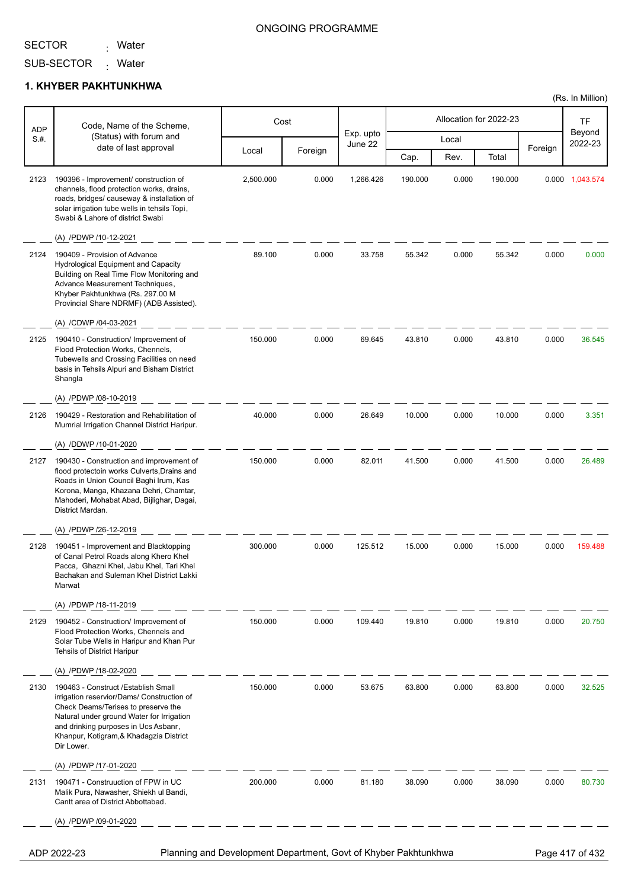<sub>:</sub> Water

### ONGOING PROGRAMME

(Rs. In Million)

SUB-SECTOR Mater

#### **1. KHYBER PAKHTUNKHWA**

| <b>ADP</b> | Code, Name of the Scheme,                                                                                                                                                                                                                                              |           | Cost    |                      |         |       | Allocation for 2022-23 |         | TF                |
|------------|------------------------------------------------------------------------------------------------------------------------------------------------------------------------------------------------------------------------------------------------------------------------|-----------|---------|----------------------|---------|-------|------------------------|---------|-------------------|
| S.H.       | (Status) with forum and                                                                                                                                                                                                                                                |           |         | Exp. upto<br>June 22 |         | Local |                        |         | Beyond<br>2022-23 |
|            | date of last approval                                                                                                                                                                                                                                                  | Local     | Foreign |                      | Cap.    | Rev.  | Total                  | Foreign |                   |
| 2123       | 190396 - Improvement/ construction of<br>channels, flood protection works, drains,<br>roads, bridges/ causeway & installation of<br>solar irrigation tube wells in tehsils Topi,<br>Swabi & Lahore of district Swabi                                                   | 2,500.000 | 0.000   | 1,266.426            | 190.000 | 0.000 | 190.000                |         | 0.000 1,043.574   |
|            | (A) /PDWP /10-12-2021                                                                                                                                                                                                                                                  |           |         |                      |         |       |                        |         |                   |
| 2124       | 190409 - Provision of Advance<br><b>Hydrological Equipment and Capacity</b><br>Building on Real Time Flow Monitoring and<br>Advance Measurement Techniques,<br>Khyber Pakhtunkhwa (Rs. 297.00 M<br>Provincial Share NDRMF) (ADB Assisted).                             | 89.100    | 0.000   | 33.758               | 55.342  | 0.000 | 55.342                 | 0.000   | 0.000             |
|            | (A) /CDWP /04-03-2021                                                                                                                                                                                                                                                  |           |         |                      |         |       |                        |         |                   |
| 2125       | 190410 - Construction/ Improvement of<br>Flood Protection Works, Chennels,<br>Tubewells and Crossing Facilities on need<br>basis in Tehsils Alpuri and Bisham District<br>Shangla                                                                                      | 150.000   | 0.000   | 69.645               | 43.810  | 0.000 | 43.810                 | 0.000   | 36.545            |
|            | (A) /PDWP /08-10-2019                                                                                                                                                                                                                                                  |           |         |                      |         |       |                        |         |                   |
| 2126       | 190429 - Restoration and Rehabilitation of<br>Mumrial Irrigation Channel District Haripur.                                                                                                                                                                             | 40.000    | 0.000   | 26.649               | 10.000  | 0.000 | 10.000                 | 0.000   | 3.351             |
|            | (A) /DDWP /10-01-2020                                                                                                                                                                                                                                                  |           |         |                      |         |       |                        |         |                   |
| 2127       | 190430 - Construction and improvement of<br>flood protectoin works Culverts, Drains and<br>Roads in Union Council Baghi Irum, Kas<br>Korona, Manga, Khazana Dehri, Chamtar,<br>Mahoderi, Mohabat Abad, Bijlighar, Dagai,<br>District Mardan.                           | 150.000   | 0.000   | 82.011               | 41.500  | 0.000 | 41.500                 | 0.000   | 26.489            |
|            | (A) /PDWP /26-12-2019                                                                                                                                                                                                                                                  |           |         |                      |         |       |                        |         |                   |
| 2128       | 190451 - Improvement and Blacktopping<br>of Canal Petrol Roads along Khero Khel<br>Pacca, Ghazni Khel, Jabu Khel, Tari Khel<br>Bachakan and Suleman Khel District Lakki<br>Marwat                                                                                      | 300.000   | 0.000   | 125.512              | 15.000  | 0.000 | 15.000                 | 0.000   | 159.488           |
|            | (A) /PDWP /18-11-2019                                                                                                                                                                                                                                                  |           |         |                      |         |       |                        |         |                   |
| 2129       | 190452 - Construction/ Improvement of<br>Flood Protection Works, Chennels and<br>Solar Tube Wells in Haripur and Khan Pur<br><b>Tehsils of District Haripur</b>                                                                                                        | 150.000   | 0.000   | 109.440              | 19.810  | 0.000 | 19.810                 | 0.000   | 20.750            |
|            | (A) /PDWP /18-02-2020                                                                                                                                                                                                                                                  |           |         |                      |         |       |                        |         |                   |
| 2130       | 190463 - Construct /Establish Small<br>irrigation reservior/Dams/ Construction of<br>Check Deams/Terises to preserve the<br>Natural under ground Water for Irrigation<br>and drinking purposes in Ucs Asbanr,<br>Khanpur, Kotigram, & Khadagzia District<br>Dir Lower. | 150.000   | 0.000   | 53.675               | 63.800  | 0.000 | 63.800                 | 0.000   | 32.525            |
|            | (A) /PDWP /17-01-2020                                                                                                                                                                                                                                                  |           |         |                      |         |       |                        |         |                   |
| 2131       | 190471 - Construuction of FPW in UC<br>Malik Pura, Nawasher, Shiekh ul Bandi,<br>Cantt area of District Abbottabad.                                                                                                                                                    | 200.000   | 0.000   | 81.180               | 38.090  | 0.000 | 38.090                 | 0.000   | 80.730            |
|            | (A) /PDWP /09-01-2020                                                                                                                                                                                                                                                  |           |         |                      |         |       |                        |         |                   |
|            | Planning and Development Department, Govt of Khyber Pakhtunkhwa<br>ADP 2022-23                                                                                                                                                                                         |           |         |                      |         |       |                        |         | Page 417 of 432   |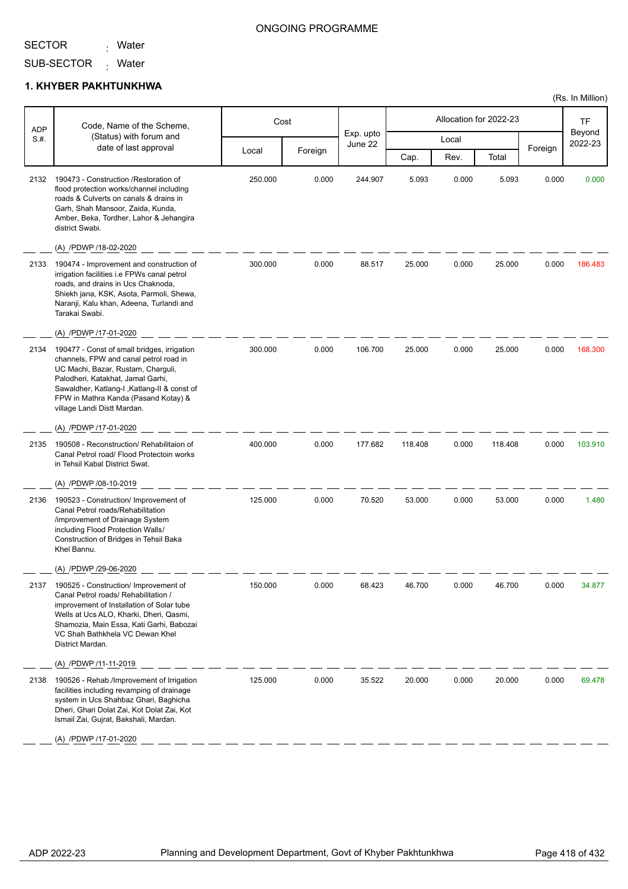<sub>:</sub> Water

### ONGOING PROGRAMME

SUB-SECTOR <sub>:</sub> Water

### **1. KHYBER PAKHTUNKHWA**

| <b>ADP</b> | Code, Name of the Scheme,                                                                                                                                                                                                                                                              |         | Cost    |                      |         |       | Allocation for 2022-23 |         | TF                |
|------------|----------------------------------------------------------------------------------------------------------------------------------------------------------------------------------------------------------------------------------------------------------------------------------------|---------|---------|----------------------|---------|-------|------------------------|---------|-------------------|
| S.H.       | (Status) with forum and<br>date of last approval                                                                                                                                                                                                                                       |         |         | Exp. upto<br>June 22 |         | Local |                        | Foreign | Beyond<br>2022-23 |
|            |                                                                                                                                                                                                                                                                                        | Local   | Foreign |                      | Cap.    | Rev.  | Total                  |         |                   |
| 2132       | 190473 - Construction / Restoration of<br>flood protection works/channel including<br>roads & Culverts on canals & drains in<br>Garh, Shah Mansoor, Zaida, Kunda,<br>Amber, Beka, Tordher, Lahor & Jehangira<br>district Swabi.                                                        | 250.000 | 0.000   | 244.907              | 5.093   | 0.000 | 5.093                  | 0.000   | 0.000             |
|            | (A) /PDWP /18-02-2020                                                                                                                                                                                                                                                                  |         |         |                      |         |       |                        |         |                   |
| 2133       | 190474 - Improvement and construction of<br>irrigation facilities i.e FPWs canal petrol<br>roads, and drains in Ucs Chaknoda,<br>Shiekh jana, KSK, Asota, Parmoli, Shewa,<br>Naranji, Kalu khan, Adeena, Turlandi and<br>Tarakai Swabi.                                                | 300.000 | 0.000   | 88.517               | 25.000  | 0.000 | 25.000                 | 0.000   | 186.483           |
|            | (A) /PDWP /17-01-2020                                                                                                                                                                                                                                                                  |         |         |                      |         |       |                        |         |                   |
| 2134       | 190477 - Const of small bridges, irrigation<br>channels, FPW and canal petrol road in<br>UC Machi, Bazar, Rustam, Charguli,<br>Palodheri, Katakhat, Jamal Garhi,<br>Sawaldher, Katlang-I, Katlang-II & const of<br>FPW in Mathra Kanda (Pasand Kotay) &<br>village Landi Distt Mardan. | 300.000 | 0.000   | 106.700              | 25.000  | 0.000 | 25.000                 | 0.000   | 168.300           |
|            | (A) /PDWP /17-01-2020                                                                                                                                                                                                                                                                  |         |         |                      |         |       |                        |         |                   |
| 2135       | 190508 - Reconstruction/ Rehabilitaion of<br>Canal Petrol road/ Flood Protectoin works<br>in Tehsil Kabal District Swat.<br>(A) /PDWP /08-10-2019                                                                                                                                      | 400.000 | 0.000   | 177.682              | 118.408 | 0.000 | 118.408                | 0.000   | 103.910           |
| 2136       | 190523 - Construction/ Improvement of<br>Canal Petrol roads/Rehabilitation<br>/improvement of Drainage System<br>including Flood Protection Walls/<br>Construction of Bridges in Tehsil Baka<br>Khel Bannu.                                                                            | 125.000 | 0.000   | 70.520               | 53.000  | 0.000 | 53.000                 | 0.000   | 1.480             |
|            | (A) /PDWP /29-06-2020                                                                                                                                                                                                                                                                  |         |         |                      |         |       |                        |         |                   |
| 2137       | 190525 - Construction/ Improvement of<br>Canal Petrol roads/ Rehabilitation /<br>improvement of Installation of Solar tube<br>Wells at Ucs ALO, Kharki, Dheri, Qasmi,<br>Shamozia, Main Essa, Kati Garhi, Babozai<br>VC Shah Bathkhela VC Dewan Khel<br>District Mardan.               | 150.000 | 0.000   | 68.423               | 46.700  | 0.000 | 46.700                 | 0.000   | 34.877            |
|            | (A) /PDWP /11-11-2019                                                                                                                                                                                                                                                                  |         |         |                      |         |       |                        |         |                   |
| 2138       | 190526 - Rehab./Improvement of Irrigation<br>facilities including revamping of drainage<br>system in Ucs Shahbaz Ghari, Baghicha<br>Dheri, Ghari Dolat Zai, Kot Dolat Zai, Kot<br>Ismail Zai, Gujrat, Bakshali, Mardan.                                                                | 125.000 | 0.000   | 35.522               | 20.000  | 0.000 | 20.000                 | 0.000   | 69.478            |
|            | (A) /PDWP /17-01-2020                                                                                                                                                                                                                                                                  |         |         |                      |         |       |                        |         |                   |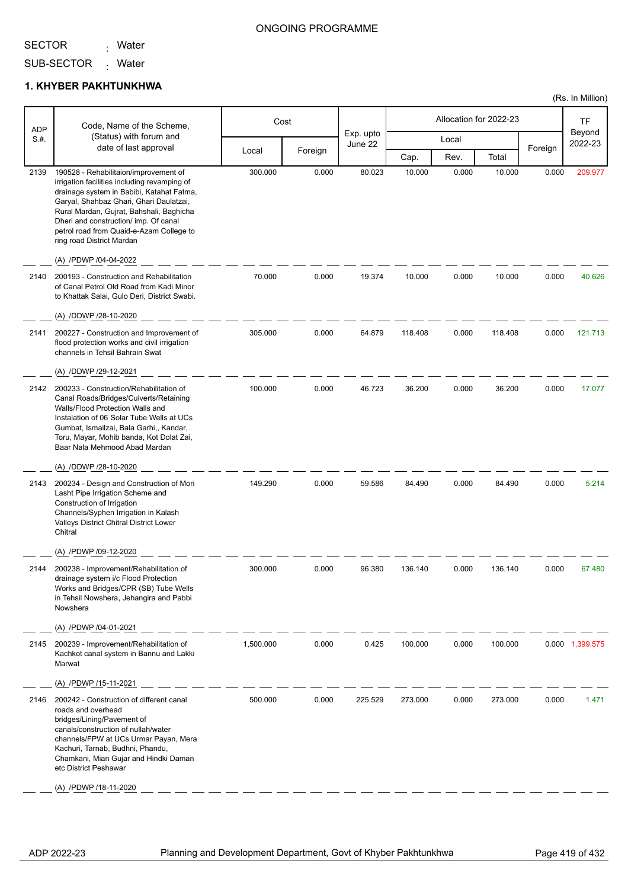<sub>:</sub> Water

### ONGOING PROGRAMME

SUB-SECTOR Mater

### **1. KHYBER PAKHTUNKHWA**

| <b>ADP</b> | Code, Name of the Scheme,                                                                                                                                                                                                                                                                                                                   |           | Cost    |                      |         |       | Allocation for 2022-23 |         | TF                |
|------------|---------------------------------------------------------------------------------------------------------------------------------------------------------------------------------------------------------------------------------------------------------------------------------------------------------------------------------------------|-----------|---------|----------------------|---------|-------|------------------------|---------|-------------------|
| S.#.       | (Status) with forum and<br>date of last approval                                                                                                                                                                                                                                                                                            |           |         | Exp. upto<br>June 22 |         | Local |                        |         | Beyond<br>2022-23 |
|            |                                                                                                                                                                                                                                                                                                                                             | Local     | Foreign |                      | Cap.    | Rev.  | Total                  | Foreign |                   |
| 2139       | 190528 - Rehabilitaion/improvement of<br>irrigation facilities including revamping of<br>drainage system in Babibi, Katahat Fatma,<br>Garyal, Shahbaz Ghari, Ghari Daulatzai,<br>Rural Mardan, Gujrat, Bahshali, Baghicha<br>Dheri and construction/ imp. Of canal<br>petrol road from Quaid-e-Azam College to<br>ring road District Mardan | 300.000   | 0.000   | 80.023               | 10.000  | 0.000 | 10.000                 | 0.000   | 209.977           |
|            | (A) /PDWP /04-04-2022                                                                                                                                                                                                                                                                                                                       |           |         |                      |         |       |                        |         |                   |
| 2140       | 200193 - Construction and Rehabilitation<br>of Canal Petrol Old Road from Kadi Minor<br>to Khattak Salai, Gulo Deri, District Swabi.                                                                                                                                                                                                        | 70.000    | 0.000   | 19.374               | 10.000  | 0.000 | 10.000                 | 0.000   | 40.626            |
|            | (A) /DDWP /28-10-2020                                                                                                                                                                                                                                                                                                                       |           |         |                      |         |       |                        |         |                   |
| 2141       | 200227 - Construction and Improvement of<br>flood protection works and civil irrigation<br>channels in Tehsil Bahrain Swat                                                                                                                                                                                                                  | 305.000   | 0.000   | 64.879               | 118.408 | 0.000 | 118.408                | 0.000   | 121.713           |
|            | (A) /DDWP /29-12-2021                                                                                                                                                                                                                                                                                                                       |           |         |                      |         |       |                        |         |                   |
| 2142       | 200233 - Construction/Rehabilitation of<br>Canal Roads/Bridges/Culverts/Retaining<br>Walls/Flood Protection Walls and<br>Instalation of 06 Solar Tube Wells at UCs<br>Gumbat, Ismailzai, Bala Garhi,, Kandar,<br>Toru, Mayar, Mohib banda, Kot Dolat Zai,<br>Baar Nala Mehmood Abad Mardan                                                  | 100.000   | 0.000   | 46.723               | 36.200  | 0.000 | 36.200                 | 0.000   | 17.077            |
|            | (A) /DDWP /28-10-2020                                                                                                                                                                                                                                                                                                                       |           |         |                      |         |       |                        |         |                   |
| 2143       | 200234 - Design and Construction of Mori<br>Lasht Pipe Irrigation Scheme and<br>Construction of Irrigation<br>Channels/Syphen Irrigation in Kalash<br>Valleys District Chitral District Lower<br>Chitral                                                                                                                                    | 149.290   | 0.000   | 59.586               | 84.490  | 0.000 | 84.490                 | 0.000   | 5.214             |
|            | (A) /PDWP /09-12-2020                                                                                                                                                                                                                                                                                                                       |           |         |                      |         |       |                        |         |                   |
| 2144       | 200238 - Improvement/Rehabilitation of<br>drainage system i/c Flood Protection<br>Works and Bridges/CPR (SB) Tube Wells<br>in Tehsil Nowshera, Jehangira and Pabbi<br>Nowshera                                                                                                                                                              | 300.000   | 0.000   | 96.380               | 136.140 | 0.000 | 136.140                | 0.000   | 67.480            |
|            | (A) /PDWP /04-01-2021<br>200239 - Improvement/Rehabilitation of                                                                                                                                                                                                                                                                             | 1,500.000 |         |                      |         |       |                        |         |                   |
| 2145       | Kachkot canal system in Bannu and Lakki<br>Marwat                                                                                                                                                                                                                                                                                           |           | 0.000   | 0.425                | 100.000 | 0.000 | 100.000                |         | 0.000 1,399.575   |
|            | (A) /PDWP /15-11-2021                                                                                                                                                                                                                                                                                                                       |           |         |                      |         |       |                        |         |                   |
| 2146       | 200242 - Construction of different canal<br>roads and overhead<br>bridges/Lining/Pavement of<br>canals/construction of nullah/water<br>channels/FPW at UCs Urmar Payan, Mera<br>Kachuri, Tarnab, Budhni, Phandu,<br>Chamkani, Mian Gujar and Hindki Daman<br>etc District Peshawar<br>(A) /PDWP /18-11-2020                                 | 500.000   | 0.000   | 225.529              | 273.000 | 0.000 | 273.000                | 0.000   | 1.471             |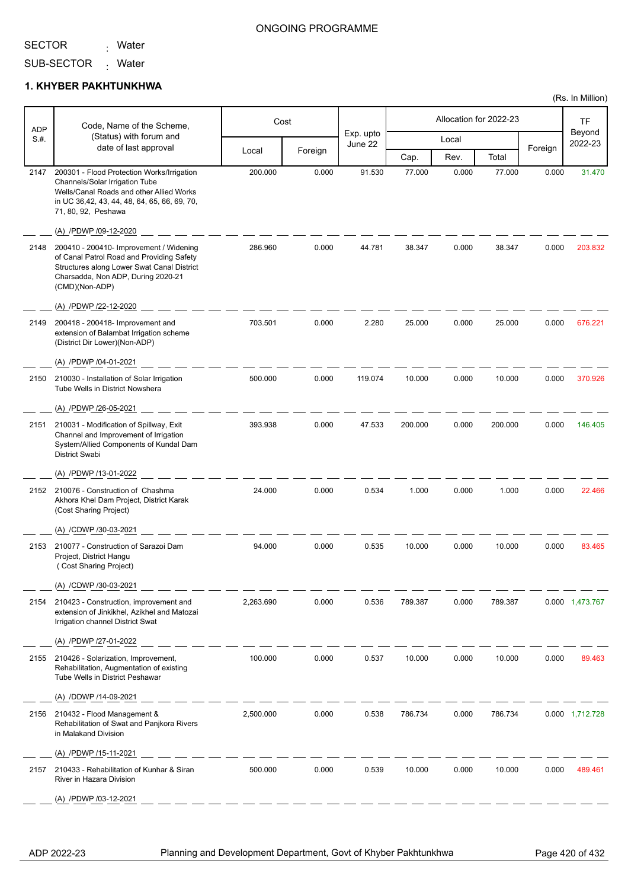<sub>:</sub> Water

#### ONGOING PROGRAMME

SUB-SECTOR <sub>:</sub> Water

#### **1. KHYBER PAKHTUNKHWA**

| <b>ADP</b> | Code, Name of the Scheme,                                                                                                                                                                              |           | Cost    |                      |         |       | Allocation for 2022-23 |         | TF                |
|------------|--------------------------------------------------------------------------------------------------------------------------------------------------------------------------------------------------------|-----------|---------|----------------------|---------|-------|------------------------|---------|-------------------|
| S.#.       | (Status) with forum and                                                                                                                                                                                |           |         | Exp. upto<br>June 22 |         | Local |                        |         | Beyond<br>2022-23 |
|            | date of last approval                                                                                                                                                                                  | Local     | Foreign |                      | Cap.    | Rev.  | Total                  | Foreign |                   |
| 2147       | 200301 - Flood Protection Works/Irrigation<br><b>Channels/Solar Irrigation Tube</b><br>Wells/Canal Roads and other Allied Works<br>in UC 36,42, 43, 44, 48, 64, 65, 66, 69, 70,<br>71, 80, 92, Peshawa | 200.000   | 0.000   | 91.530               | 77.000  | 0.000 | 77.000                 | 0.000   | 31.470            |
|            | (A) /PDWP /09-12-2020                                                                                                                                                                                  |           |         |                      |         |       |                        |         |                   |
| 2148       | 200410 - 200410 - Improvement / Widening<br>of Canal Patrol Road and Providing Safety<br>Structures along Lower Swat Canal District<br>Charsadda, Non ADP, During 2020-21<br>(CMD)(Non-ADP)            | 286.960   | 0.000   | 44.781               | 38.347  | 0.000 | 38.347                 | 0.000   | 203.832           |
|            | (A) /PDWP /22-12-2020                                                                                                                                                                                  |           |         |                      |         |       |                        |         |                   |
| 2149       | 200418 - 200418 - Improvement and<br>extension of Balambat Irrigation scheme<br>(District Dir Lower)(Non-ADP)                                                                                          | 703.501   | 0.000   | 2.280                | 25.000  | 0.000 | 25.000                 | 0.000   | 676.221           |
|            | (A) /PDWP /04-01-2021                                                                                                                                                                                  |           |         |                      |         |       |                        |         |                   |
| 2150       | 210030 - Installation of Solar Irrigation<br>Tube Wells in District Nowshera                                                                                                                           | 500.000   | 0.000   | 119.074              | 10.000  | 0.000 | 10.000                 | 0.000   | 370.926           |
|            | (A) /PDWP /26-05-2021                                                                                                                                                                                  |           |         |                      |         |       |                        |         |                   |
| 2151       | 210031 - Modification of Spillway, Exit<br>Channel and Improvement of Irrigation<br>System/Allied Components of Kundal Dam<br><b>District Swabi</b>                                                    | 393.938   | 0.000   | 47.533               | 200.000 | 0.000 | 200.000                | 0.000   | 146.405           |
|            | (A) /PDWP /13-01-2022                                                                                                                                                                                  |           |         |                      |         |       |                        |         |                   |
| 2152       | 210076 - Construction of Chashma<br>Akhora Khel Dam Project, District Karak<br>(Cost Sharing Project)                                                                                                  | 24.000    | 0.000   | 0.534                | 1.000   | 0.000 | 1.000                  | 0.000   | 22.466            |
|            | (A) /CDWP /30-03-2021                                                                                                                                                                                  |           |         |                      |         |       |                        |         |                   |
| 2153       | 210077 - Construction of Sarazoi Dam<br>Project, District Hangu<br>(Cost Sharing Project)                                                                                                              | 94.000    | 0.000   | 0.535                | 10.000  | 0.000 | 10.000                 | 0.000   | 83.465            |
|            | (A) /CDWP /30-03-2021                                                                                                                                                                                  |           |         |                      |         |       |                        |         |                   |
| 2154       | 210423 - Construction, improvement and<br>extension of Jinkikhel, Azikhel and Matozai<br>Irrigation channel District Swat                                                                              | 2,263.690 | 0.000   | 0.536                | 789.387 | 0.000 | 789.387                |         | 0.000 1,473.767   |
|            | (A) /PDWP /27-01-2022                                                                                                                                                                                  |           |         |                      |         |       |                        |         |                   |
| 2155       | 210426 - Solarization, Improvement,<br>Rehabilitation, Augmentation of existing<br>Tube Wells in District Peshawar                                                                                     | 100.000   | 0.000   | 0.537                | 10.000  | 0.000 | 10.000                 | 0.000   | 89.463            |
|            | (A) /DDWP /14-09-2021                                                                                                                                                                                  |           |         |                      |         |       |                        |         |                   |
| 2156       | 210432 - Flood Management &<br>Rehabilitation of Swat and Panjkora Rivers<br>in Malakand Division                                                                                                      | 2,500.000 | 0.000   | 0.538                | 786.734 | 0.000 | 786.734                |         | 0.000 1,712.728   |
|            | (A) /PDWP /15-11-2021                                                                                                                                                                                  |           |         |                      |         |       |                        |         |                   |
| 2157       | 210433 - Rehabilitation of Kunhar & Siran<br>River in Hazara Division                                                                                                                                  | 500.000   | 0.000   | 0.539                | 10.000  | 0.000 | 10.000                 | 0.000   | 489.461           |
|            | (A) /PDWP /03-12-2021                                                                                                                                                                                  |           |         |                      |         |       |                        |         |                   |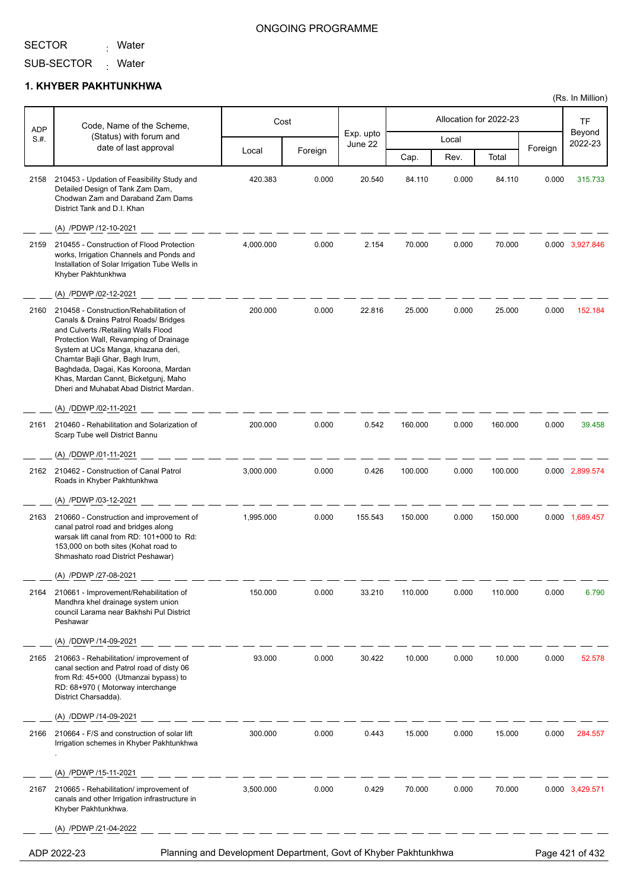<sub>:</sub> Water

### ONGOING PROGRAMME

(Rs. In Million)

SUB-SECTOR <sub>:</sub> Water

#### **1. KHYBER PAKHTUNKHWA**

| <b>ADP</b> | Code, Name of the Scheme,                                                                                                                                                                                                                                                                                                                                                                      |                                                                 | Cost    |                      |         |       | Allocation for 2022-23 |         | TF                |
|------------|------------------------------------------------------------------------------------------------------------------------------------------------------------------------------------------------------------------------------------------------------------------------------------------------------------------------------------------------------------------------------------------------|-----------------------------------------------------------------|---------|----------------------|---------|-------|------------------------|---------|-------------------|
| S.#.       | (Status) with forum and<br>date of last approval                                                                                                                                                                                                                                                                                                                                               |                                                                 |         | Exp. upto<br>June 22 |         | Local |                        |         | Beyond<br>2022-23 |
|            |                                                                                                                                                                                                                                                                                                                                                                                                | Local                                                           | Foreign |                      | Cap.    | Rev.  | Total                  | Foreign |                   |
| 2158       | 210453 - Updation of Feasibility Study and<br>Detailed Design of Tank Zam Dam,<br>Chodwan Zam and Daraband Zam Dams<br>District Tank and D.I. Khan                                                                                                                                                                                                                                             | 420.383                                                         | 0.000   | 20.540               | 84.110  | 0.000 | 84.110                 | 0.000   | 315.733           |
|            | (A) /PDWP /12-10-2021                                                                                                                                                                                                                                                                                                                                                                          |                                                                 |         |                      |         |       |                        |         |                   |
| 2159       | 210455 - Construction of Flood Protection<br>works, Irrigation Channels and Ponds and<br>Installation of Solar Irrigation Tube Wells in<br>Khyber Pakhtunkhwa                                                                                                                                                                                                                                  | 4,000.000                                                       | 0.000   | 2.154                | 70.000  | 0.000 | 70.000                 |         | 0.000 3,927.846   |
|            | (A) /PDWP /02-12-2021                                                                                                                                                                                                                                                                                                                                                                          |                                                                 |         |                      |         |       |                        |         |                   |
| 2160       | 210458 - Construction/Rehabilitation of<br>Canals & Drains Patrol Roads/ Bridges<br>and Culverts / Retailing Walls Flood<br>Protection Wall, Revamping of Drainage<br>System at UCs Manga, khazana deri,<br>Chamtar Bajli Ghar, Bagh Irum,<br>Baghdada, Dagai, Kas Koroona, Mardan<br>Khas, Mardan Cannt, Bicketgunj, Maho<br>Dheri and Muhabat Abad District Mardan.<br>(A) /DDWP /02-11-2021 | 200.000                                                         | 0.000   | 22.816               | 25.000  | 0.000 | 25.000                 | 0.000   | 152.184           |
| 2161       | 210460 - Rehabilitation and Solarization of                                                                                                                                                                                                                                                                                                                                                    | 200.000                                                         | 0.000   | 0.542                | 160.000 | 0.000 | 160.000                | 0.000   | 39.458            |
|            | Scarp Tube well District Bannu                                                                                                                                                                                                                                                                                                                                                                 |                                                                 |         |                      |         |       |                        |         |                   |
| 2162       | (A) /DDWP /01-11-2021<br>210462 - Construction of Canal Patrol                                                                                                                                                                                                                                                                                                                                 | 3,000.000                                                       | 0.000   | 0.426                | 100.000 | 0.000 | 100.000                |         | 0.000 2,899.574   |
|            | Roads in Khyber Pakhtunkhwa                                                                                                                                                                                                                                                                                                                                                                    |                                                                 |         |                      |         |       |                        |         |                   |
|            | (A) /PDWP /03-12-2021                                                                                                                                                                                                                                                                                                                                                                          |                                                                 |         |                      |         |       |                        |         |                   |
| 2163       | 210660 - Construction and improvement of<br>canal patrol road and bridges along<br>warsak lift canal from RD: 101+000 to Rd:<br>153,000 on both sites (Kohat road to<br>Shmashato road District Peshawar)                                                                                                                                                                                      | 1,995.000                                                       | 0.000   | 155.543              | 150.000 | 0.000 | 150.000                |         | 0.000 1,689.457   |
|            | (A) /PDWP /27-08-2021                                                                                                                                                                                                                                                                                                                                                                          |                                                                 |         |                      |         |       |                        |         |                   |
| 2164       | 210661 - Improvement/Rehabilitation of<br>Mandhra khel drainage system union<br>council Larama near Bakhshi Pul District<br>Peshawar                                                                                                                                                                                                                                                           | 150.000                                                         | 0.000   | 33.210               | 110.000 | 0.000 | 110.000                | 0.000   | 6.790             |
|            | (A) /DDWP /14-09-2021                                                                                                                                                                                                                                                                                                                                                                          |                                                                 |         |                      |         |       |                        |         |                   |
| 2165       | 210663 - Rehabilitation/ improvement of<br>canal section and Patrol road of disty 06<br>from Rd: 45+000 (Utmanzai bypass) to<br>RD: 68+970 (Motorway interchange<br>District Charsadda).                                                                                                                                                                                                       | 93.000                                                          | 0.000   | 30.422               | 10.000  | 0.000 | 10.000                 | 0.000   | 52.578            |
|            | (A) /DDWP /14-09-2021                                                                                                                                                                                                                                                                                                                                                                          |                                                                 |         |                      |         |       |                        |         |                   |
| 2166       | 210664 - F/S and construction of solar lift<br>Irrigation schemes in Khyber Pakhtunkhwa                                                                                                                                                                                                                                                                                                        | 300.000                                                         | 0.000   | 0.443                | 15.000  | 0.000 | 15.000                 | 0.000   | 284.557           |
|            | (A) /PDWP /15-11-2021                                                                                                                                                                                                                                                                                                                                                                          |                                                                 |         |                      |         |       |                        |         |                   |
| 2167       | 210665 - Rehabilitation/ improvement of<br>canals and other Irrigation infrastructure in<br>Khyber Pakhtunkhwa.                                                                                                                                                                                                                                                                                | 3,500.000                                                       | 0.000   | 0.429                | 70.000  | 0.000 | 70.000                 |         | 0.000 3,429.571   |
|            | (A) /PDWP /21-04-2022                                                                                                                                                                                                                                                                                                                                                                          |                                                                 |         |                      |         |       |                        |         |                   |
|            | ADP 2022-23                                                                                                                                                                                                                                                                                                                                                                                    | Planning and Development Department, Govt of Khyber Pakhtunkhwa |         |                      |         |       |                        |         | Page 421 of 432   |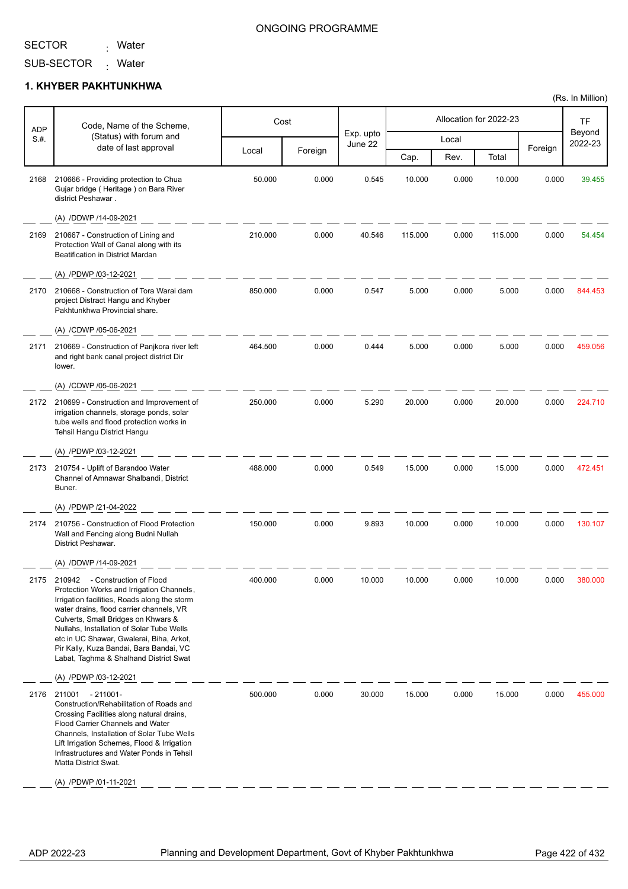<sub>:</sub> Water

### ONGOING PROGRAMME

SUB-SECTOR Mater

#### **1. KHYBER PAKHTUNKHWA**

|                    | Code, Name of the Scheme,                                                                                                                                                                                                                                                                                                                                                                       |         | Cost    |                      |         | Allocation for 2022-23 |         |         | TF                |
|--------------------|-------------------------------------------------------------------------------------------------------------------------------------------------------------------------------------------------------------------------------------------------------------------------------------------------------------------------------------------------------------------------------------------------|---------|---------|----------------------|---------|------------------------|---------|---------|-------------------|
| <b>ADP</b><br>S.#. | (Status) with forum and                                                                                                                                                                                                                                                                                                                                                                         |         |         | Exp. upto<br>June 22 |         | Local                  |         |         | Beyond<br>2022-23 |
|                    | date of last approval                                                                                                                                                                                                                                                                                                                                                                           | Local   | Foreign |                      | Cap.    | Rev.                   | Total   | Foreign |                   |
| 2168               | 210666 - Providing protection to Chua<br>Gujar bridge (Heritage) on Bara River<br>district Peshawar.                                                                                                                                                                                                                                                                                            | 50.000  | 0.000   | 0.545                | 10.000  | 0.000                  | 10.000  | 0.000   | 39.455            |
|                    | (A) /DDWP /14-09-2021                                                                                                                                                                                                                                                                                                                                                                           |         |         |                      |         |                        |         |         |                   |
| 2169               | 210667 - Construction of Lining and<br>Protection Wall of Canal along with its<br>Beatification in District Mardan                                                                                                                                                                                                                                                                              | 210.000 | 0.000   | 40.546               | 115.000 | 0.000                  | 115.000 | 0.000   | 54.454            |
|                    | (A) /PDWP /03-12-2021                                                                                                                                                                                                                                                                                                                                                                           |         |         |                      |         |                        |         |         |                   |
| 2170               | 210668 - Construction of Tora Warai dam<br>project Distract Hangu and Khyber<br>Pakhtunkhwa Provincial share.                                                                                                                                                                                                                                                                                   | 850.000 | 0.000   | 0.547                | 5.000   | 0.000                  | 5.000   | 0.000   | 844.453           |
|                    | (A) /CDWP /05-06-2021                                                                                                                                                                                                                                                                                                                                                                           |         |         |                      |         |                        |         |         |                   |
| 2171               | 210669 - Construction of Panjkora river left<br>and right bank canal project district Dir<br>lower.                                                                                                                                                                                                                                                                                             | 464.500 | 0.000   | 0.444                | 5.000   | 0.000                  | 5.000   | 0.000   | 459.056           |
|                    | (A) /CDWP /05-06-2021                                                                                                                                                                                                                                                                                                                                                                           |         |         |                      |         |                        |         |         |                   |
| 2172               | 210699 - Construction and Improvement of<br>irrigation channels, storage ponds, solar<br>tube wells and flood protection works in<br>Tehsil Hangu District Hangu                                                                                                                                                                                                                                | 250.000 | 0.000   | 5.290                | 20.000  | 0.000                  | 20.000  | 0.000   | 224.710           |
|                    | (A) /PDWP /03-12-2021                                                                                                                                                                                                                                                                                                                                                                           |         |         |                      |         |                        |         |         |                   |
| 2173               | 210754 - Uplift of Barandoo Water<br>Channel of Amnawar Shalbandi, District<br>Buner.                                                                                                                                                                                                                                                                                                           | 488.000 | 0.000   | 0.549                | 15.000  | 0.000                  | 15.000  | 0.000   | 472.451           |
|                    | (A) /PDWP /21-04-2022                                                                                                                                                                                                                                                                                                                                                                           |         |         |                      |         |                        |         |         |                   |
| 2174               | 210756 - Construction of Flood Protection<br>Wall and Fencing along Budni Nullah<br>District Peshawar.                                                                                                                                                                                                                                                                                          | 150.000 | 0.000   | 9.893                | 10.000  | 0.000                  | 10.000  | 0.000   | 130.107           |
|                    | (A) /DDWP /14-09-2021                                                                                                                                                                                                                                                                                                                                                                           |         |         |                      |         |                        |         |         |                   |
| 2175               | 210942<br>- Construction of Flood<br>Protection Works and Irrigation Channels,<br>Irrigation facilities, Roads along the storm<br>water drains, flood carrier channels, VR<br>Culverts, Small Bridges on Khwars &<br>Nullahs, Installation of Solar Tube Wells<br>etc in UC Shawar, Gwalerai, Biha, Arkot,<br>Pir Kally, Kuza Bandai, Bara Bandai, VC<br>Labat, Taghma & Shalhand District Swat | 400.000 | 0.000   | 10.000               | 10.000  | 0.000                  | 10.000  | 0.000   | 380.000           |
|                    | (A) /PDWP /03-12-2021                                                                                                                                                                                                                                                                                                                                                                           |         |         |                      |         |                        |         |         |                   |
| 2176               | 211001 - 211001-<br>Construction/Rehabilitation of Roads and<br>Crossing Facilities along natural drains,<br>Flood Carrier Channels and Water<br>Channels, Installation of Solar Tube Wells<br>Lift Irrigation Schemes, Flood & Irrigation<br>Infrastructures and Water Ponds in Tehsil<br>Matta District Swat.<br>(A) /PDWP /01-11-2021                                                        | 500.000 | 0.000   | 30.000               | 15.000  | 0.000                  | 15.000  | 0.000   | 455.000           |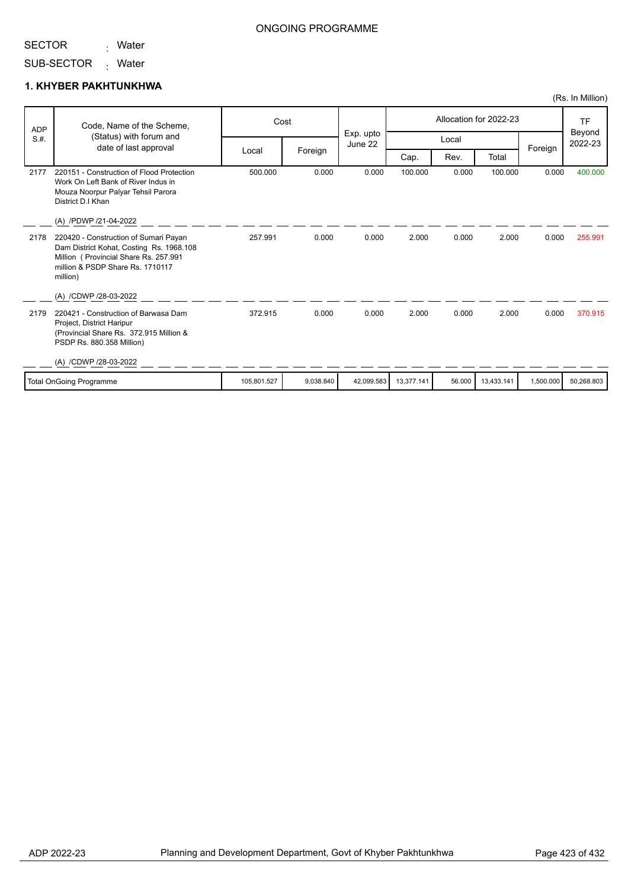<sub>:</sub> Water

SUB-SECTOR Mater

### **1. KHYBER PAKHTUNKHWA**

| <b>ADP</b> | Code, Name of the Scheme,                                                                                                                                                  |             | Cost      | Allocation for 2022-23 |            |        |            |           | <b>TF</b>         |
|------------|----------------------------------------------------------------------------------------------------------------------------------------------------------------------------|-------------|-----------|------------------------|------------|--------|------------|-----------|-------------------|
| S.H.       | (Status) with forum and<br>date of last approval                                                                                                                           |             |           | Exp. upto<br>June 22   |            | Local  |            | Foreign   | Beyond<br>2022-23 |
|            |                                                                                                                                                                            | Local       | Foreign   |                        | Cap.       | Rev.   | Total      |           |                   |
| 2177       | 220151 - Construction of Flood Protection<br>Work On Left Bank of River Indus in<br>Mouza Noorpur Palyar Tehsil Parora<br>District D.I Khan                                | 500.000     | 0.000     | 0.000                  | 100.000    | 0.000  | 100.000    | 0.000     | 400.000           |
|            | (A) /PDWP /21-04-2022                                                                                                                                                      |             |           |                        |            |        |            |           |                   |
| 2178       | 220420 - Construction of Sumari Payan<br>Dam District Kohat, Costing Rs. 1968.108<br>Million (Provincial Share Rs. 257.991<br>million & PSDP Share Rs. 1710117<br>million) | 257.991     | 0.000     | 0.000                  | 2.000      | 0.000  | 2.000      | 0.000     | 255.991           |
|            | (A) /CDWP /28-03-2022                                                                                                                                                      |             |           |                        |            |        |            |           |                   |
| 2179       | 220421 - Construction of Barwasa Dam<br>Project, District Haripur<br>(Provincial Share Rs. 372.915 Million &<br>PSDP Rs. 880.358 Million)                                  | 372.915     | 0.000     | 0.000                  | 2.000      | 0.000  | 2.000      | 0.000     | 370.915           |
|            | (A) /CDWP /28-03-2022                                                                                                                                                      |             |           |                        |            |        |            |           |                   |
|            | <b>Total OnGoing Programme</b>                                                                                                                                             | 105,801.527 | 9.038.840 | 42,099.583             | 13,377.141 | 56.000 | 13,433.141 | 1,500.000 | 50,268.803        |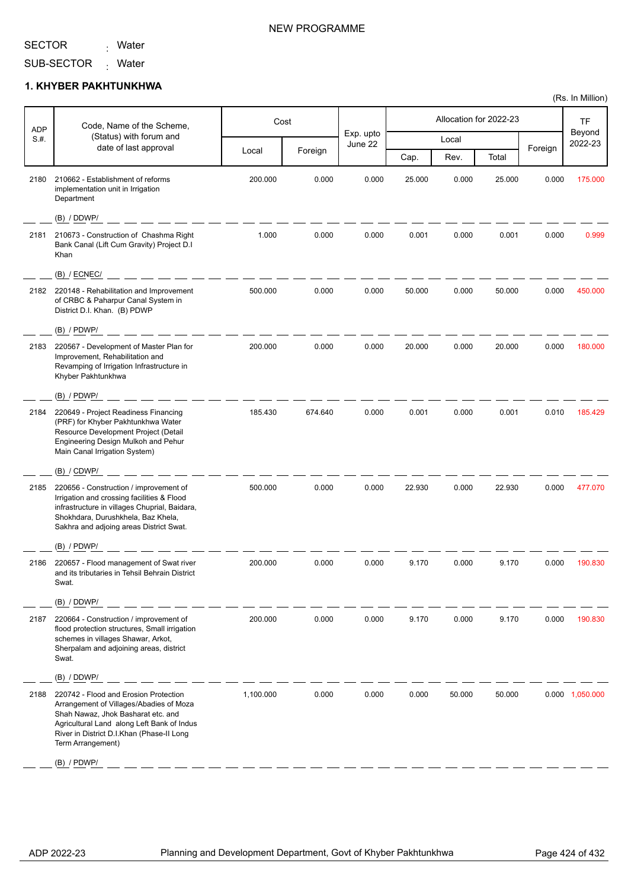<sub>:</sub> Water

### NEW PROGRAMME

SUB-SECTOR Mater

#### **1. KHYBER PAKHTUNKHWA**

| <b>ADP</b><br>S.#. | Code, Name of the Scheme,<br>(Status) with forum and<br>date of last approval                                                                                                                                                                           | Local     |         | Exp. upto |        |        |        |         |                   |
|--------------------|---------------------------------------------------------------------------------------------------------------------------------------------------------------------------------------------------------------------------------------------------------|-----------|---------|-----------|--------|--------|--------|---------|-------------------|
|                    |                                                                                                                                                                                                                                                         |           |         | June 22   |        | Local  |        |         | Beyond<br>2022-23 |
|                    |                                                                                                                                                                                                                                                         |           | Foreign |           | Cap.   | Rev.   | Total  | Foreign |                   |
| 2180               | 210662 - Establishment of reforms<br>implementation unit in Irrigation<br>Department                                                                                                                                                                    | 200.000   | 0.000   | 0.000     | 25.000 | 0.000  | 25.000 | 0.000   | 175.000           |
|                    | (B) / DDWP/                                                                                                                                                                                                                                             |           |         |           |        |        |        |         |                   |
| 2181               | 210673 - Construction of Chashma Right<br>Bank Canal (Lift Cum Gravity) Project D.I<br>Khan                                                                                                                                                             | 1.000     | 0.000   | 0.000     | 0.001  | 0.000  | 0.001  | 0.000   | 0.999             |
|                    | $(B)$ / ECNEC/                                                                                                                                                                                                                                          |           |         |           |        |        |        |         |                   |
| 2182               | 220148 - Rehabilitation and Improvement<br>of CRBC & Paharpur Canal System in<br>District D.I. Khan. (B) PDWP                                                                                                                                           | 500.000   | 0.000   | 0.000     | 50.000 | 0.000  | 50.000 | 0.000   | 450.000           |
|                    | $(B)$ / PDWP/                                                                                                                                                                                                                                           |           |         |           |        |        |        |         |                   |
| 2183               | 220567 - Development of Master Plan for<br>Improvement, Rehabilitation and<br>Revamping of Irrigation Infrastructure in<br>Khyber Pakhtunkhwa                                                                                                           | 200.000   | 0.000   | 0.000     | 20.000 | 0.000  | 20.000 | 0.000   | 180.000           |
|                    | $(B)$ / PDWP/                                                                                                                                                                                                                                           |           |         |           |        |        |        |         |                   |
| 2184               | 220649 - Project Readiness Financing<br>(PRF) for Khyber Pakhtunkhwa Water<br>Resource Development Project (Detail<br>Engineering Design Mulkoh and Pehur<br>Main Canal Irrigation System)                                                              | 185.430   | 674.640 | 0.000     | 0.001  | 0.000  | 0.001  | 0.010   | 185.429           |
|                    | (B) / CDWP/                                                                                                                                                                                                                                             |           |         |           |        |        |        |         |                   |
| 2185               | 220656 - Construction / improvement of<br>Irrigation and crossing facilities & Flood<br>infrastructure in villages Chuprial, Baidara,<br>Shokhdara, Durushkhela, Baz Khela,<br>Sakhra and adjoing areas District Swat.                                  | 500.000   | 0.000   | 0.000     | 22.930 | 0.000  | 22.930 | 0.000   | 477.070           |
|                    | $(B)$ / PDWP/                                                                                                                                                                                                                                           |           |         |           |        |        |        |         |                   |
| 2186               | 220657 - Flood management of Swat river<br>and its tributaries in Tehsil Behrain District<br>Swat.                                                                                                                                                      | 200.000   | 0.000   | 0.000     | 9.170  | 0.000  | 9.170  | 0.000   | 190.830           |
|                    | (B) / DDWP/                                                                                                                                                                                                                                             |           |         |           |        |        |        |         |                   |
| 2187               | 220664 - Construction / improvement of<br>flood protection structures, Small irrigation<br>schemes in villages Shawar, Arkot,<br>Sherpalam and adjoining areas, district<br>Swat.                                                                       | 200.000   | 0.000   | 0.000     | 9.170  | 0.000  | 9.170  | 0.000   | 190.830           |
|                    | (B) / DDWP/                                                                                                                                                                                                                                             |           |         |           |        |        |        |         |                   |
| 2188               | 220742 - Flood and Erosion Protection<br>Arrangement of Villages/Abadies of Moza<br>Shah Nawaz, Jhok Basharat etc. and<br>Agricultural Land along Left Bank of Indus<br>River in District D.I.Khan (Phase-II Long<br>Term Arrangement)<br>$(B)$ / PDWP/ | 1,100.000 | 0.000   | 0.000     | 0.000  | 50.000 | 50.000 |         | 0.000 1,050.000   |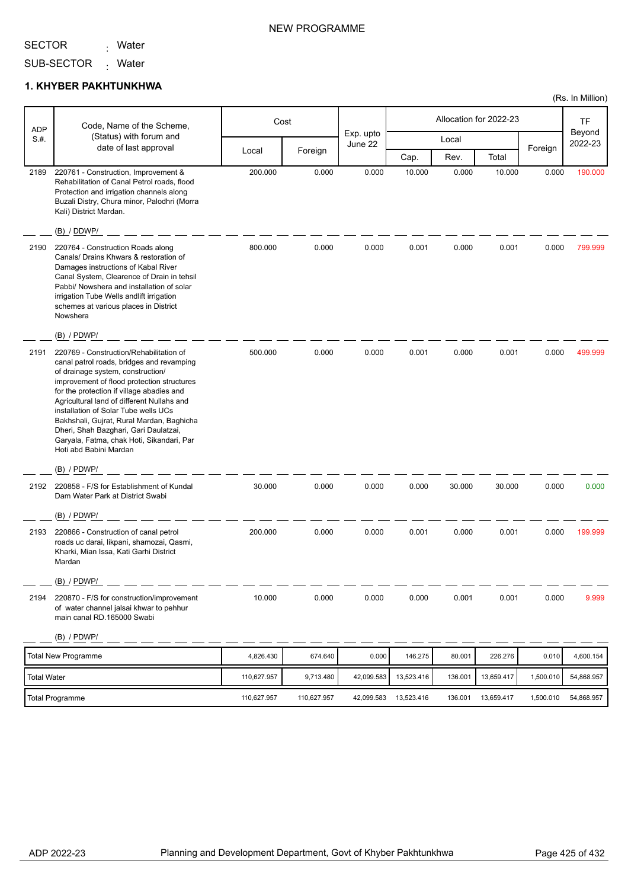<sub>:</sub> Water

SUB-SECTOR Mater

#### **1. KHYBER PAKHTUNKHWA**

| <b>ADP</b>  | Code, Name of the Scheme,                                                                                                                                                                                                                                                                                                                                                                                                                                               |             | Cost        |                      |            |         | Allocation for 2022-23 |           | TF                |
|-------------|-------------------------------------------------------------------------------------------------------------------------------------------------------------------------------------------------------------------------------------------------------------------------------------------------------------------------------------------------------------------------------------------------------------------------------------------------------------------------|-------------|-------------|----------------------|------------|---------|------------------------|-----------|-------------------|
| S.H.        | (Status) with forum and<br>date of last approval                                                                                                                                                                                                                                                                                                                                                                                                                        |             |             | Exp. upto<br>June 22 |            | Local   |                        |           | Beyond<br>2022-23 |
|             |                                                                                                                                                                                                                                                                                                                                                                                                                                                                         | Local       | Foreign     |                      | Cap.       | Rev.    | Total                  | Foreign   |                   |
| 2189        | 220761 - Construction, Improvement &<br>Rehabilitation of Canal Petrol roads, flood<br>Protection and irrigation channels along<br>Buzali Distry, Chura minor, Palodhri (Morra<br>Kali) District Mardan.                                                                                                                                                                                                                                                                | 200.000     | 0.000       | 0.000                | 10.000     | 0.000   | 10.000                 | 0.000     | 190.000           |
|             | (B) / DDWP/                                                                                                                                                                                                                                                                                                                                                                                                                                                             |             |             |                      |            |         |                        |           |                   |
| 2190        | 220764 - Construction Roads along<br>Canals/ Drains Khwars & restoration of<br>Damages instructions of Kabal River<br>Canal System, Clearence of Drain in tehsil<br>Pabbi/ Nowshera and installation of solar<br>irrigation Tube Wells andlift irrigation<br>schemes at various places in District<br>Nowshera                                                                                                                                                          | 800.000     | 0.000       | 0.000                | 0.001      | 0.000   | 0.001                  | 0.000     | 799.999           |
|             | (B) / PDWP/                                                                                                                                                                                                                                                                                                                                                                                                                                                             |             |             |                      |            |         |                        |           |                   |
| 2191        | 220769 - Construction/Rehabilitation of<br>canal patrol roads, bridges and revamping<br>of drainage system, construction/<br>improvement of flood protection structures<br>for the protection if village abadies and<br>Agricultural land of different Nullahs and<br>installation of Solar Tube wells UCs<br>Bakhshali, Gujrat, Rural Mardan, Baghicha<br>Dheri, Shah Bazghari, Gari Daulatzai,<br>Garyala, Fatma, chak Hoti, Sikandari, Par<br>Hoti abd Babini Mardan | 500.000     | 0.000       | 0.000                | 0.001      | 0.000   | 0.001                  | 0.000     | 499.999           |
|             | (B) / PDWP/                                                                                                                                                                                                                                                                                                                                                                                                                                                             |             |             |                      |            |         |                        |           |                   |
| 2192        | 220858 - F/S for Establishment of Kundal<br>Dam Water Park at District Swabi                                                                                                                                                                                                                                                                                                                                                                                            | 30.000      | 0.000       | 0.000                | 0.000      | 30.000  | 30.000                 | 0.000     | 0.000             |
|             | (B) / PDWP/                                                                                                                                                                                                                                                                                                                                                                                                                                                             |             |             |                      |            |         |                        |           |                   |
| 2193        | 220866 - Construction of canal petrol<br>roads uc darai, likpani, shamozai, Qasmi,<br>Kharki, Mian Issa, Kati Garhi District<br>Mardan                                                                                                                                                                                                                                                                                                                                  | 200.000     | 0.000       | 0.000                | 0.001      | 0.000   | 0.001                  | 0.000     | 199.999           |
|             | (B) / PDWP/                                                                                                                                                                                                                                                                                                                                                                                                                                                             |             |             |                      |            |         |                        |           |                   |
| 2194        | 220870 - F/S for construction/improvement<br>of water channel jalsai khwar to pehhur<br>main canal RD.165000 Swabi                                                                                                                                                                                                                                                                                                                                                      | 10.000      | 0.000       | 0.000                | 0.000      | 0.001   | 0.001                  | 0.000     | 9.999             |
|             | (B) / PDWP/                                                                                                                                                                                                                                                                                                                                                                                                                                                             |             |             |                      |            |         |                        |           |                   |
|             | <b>Total New Programme</b>                                                                                                                                                                                                                                                                                                                                                                                                                                              | 4,826.430   | 674.640     | 0.000                | 146.275    | 80.001  | 226.276                | 0.010     | 4,600.154         |
| Total Water |                                                                                                                                                                                                                                                                                                                                                                                                                                                                         | 110,627.957 | 9,713.480   | 42,099.583           | 13,523.416 | 136.001 | 13,659.417             | 1,500.010 | 54,868.957        |
|             | <b>Total Programme</b>                                                                                                                                                                                                                                                                                                                                                                                                                                                  | 110,627.957 | 110,627.957 | 42,099.583           | 13,523.416 | 136.001 | 13,659.417             | 1,500.010 | 54,868.957        |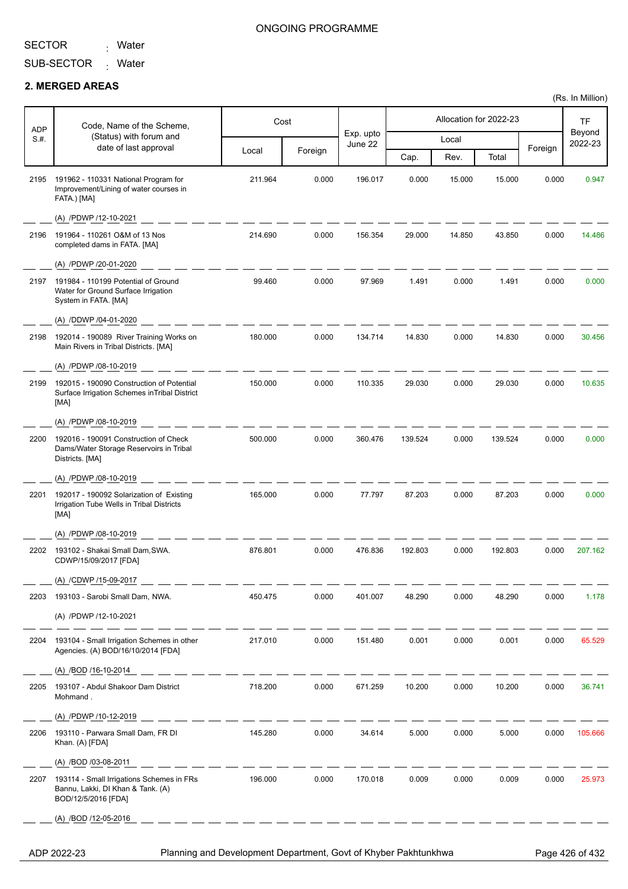<sub>:</sub> Water

#### ONGOING PROGRAMME

SUB-SECTOR Mater

#### **2. MERGED AREAS**

| <b>ADP</b> | Code, Name of the Scheme,                                                                             |         | Cost    |                      |         |        | Allocation for 2022-23 |         | <b>TF</b>         |
|------------|-------------------------------------------------------------------------------------------------------|---------|---------|----------------------|---------|--------|------------------------|---------|-------------------|
| S.H.       | (Status) with forum and<br>date of last approval                                                      |         |         | Exp. upto<br>June 22 |         | Local  |                        |         | Beyond<br>2022-23 |
|            |                                                                                                       | Local   | Foreign |                      | Cap.    | Rev.   | Total                  | Foreign |                   |
| 2195       | 191962 - 110331 National Program for<br>Improvement/Lining of water courses in<br>FATA.) [MA]         | 211.964 | 0.000   | 196.017              | 0.000   | 15.000 | 15.000                 | 0.000   | 0.947             |
|            | (A) /PDWP /12-10-2021                                                                                 |         |         |                      |         |        |                        |         |                   |
| 2196       | 191964 - 110261 O&M of 13 Nos<br>completed dams in FATA. [MA]                                         | 214.690 | 0.000   | 156.354              | 29.000  | 14.850 | 43.850                 | 0.000   | 14.486            |
|            | (A) /PDWP /20-01-2020                                                                                 |         |         |                      |         |        |                        |         |                   |
| 2197       | 191984 - 110199 Potential of Ground<br>Water for Ground Surface Irrigation<br>System in FATA. [MA]    | 99.460  | 0.000   | 97.969               | 1.491   | 0.000  | 1.491                  | 0.000   | 0.000             |
|            | (A) /DDWP /04-01-2020                                                                                 |         |         |                      |         |        |                        |         |                   |
| 2198       | 192014 - 190089 River Training Works on<br>Main Rivers in Tribal Districts. [MA]                      | 180.000 | 0.000   | 134.714              | 14.830  | 0.000  | 14.830                 | 0.000   | 30.456            |
|            | (A) /PDWP /08-10-2019                                                                                 |         |         |                      |         |        |                        |         |                   |
| 2199       | 192015 - 190090 Construction of Potential<br>Surface Irrigation Schemes in Tribal District<br>[MA]    | 150.000 | 0.000   | 110.335              | 29.030  | 0.000  | 29.030                 | 0.000   | 10.635            |
|            | (A) /PDWP /08-10-2019                                                                                 |         |         |                      |         |        |                        |         |                   |
| 2200       | 192016 - 190091 Construction of Check<br>Dams/Water Storage Reservoirs in Tribal<br>Districts. [MA]   | 500.000 | 0.000   | 360.476              | 139.524 | 0.000  | 139.524                | 0.000   | 0.000             |
|            | (A) /PDWP /08-10-2019                                                                                 |         |         |                      |         |        |                        |         |                   |
| 2201       | 192017 - 190092 Solarization of Existing<br>Irrigation Tube Wells in Tribal Districts<br>[MA]         | 165.000 | 0.000   | 77.797               | 87.203  | 0.000  | 87.203                 | 0.000   | 0.000             |
|            | (A) /PDWP /08-10-2019                                                                                 |         |         |                      |         |        |                        |         |                   |
| 2202       | 193102 - Shakai Small Dam, SWA.<br>CDWP/15/09/2017 [FDA]                                              | 876.801 | 0.000   | 476.836              | 192.803 | 0.000  | 192.803                | 0.000   | 207.162           |
|            | (A) /CDWP /15-09-2017                                                                                 |         |         |                      |         |        |                        |         |                   |
| 2203       | 193103 - Sarobi Small Dam, NWA.                                                                       | 450.475 | 0.000   | 401.007              | 48.290  | 0.000  | 48.290                 | 0.000   | 1.178             |
|            | (A) /PDWP /12-10-2021                                                                                 |         |         |                      |         |        |                        |         |                   |
| 2204       | 193104 - Small Irrigation Schemes in other<br>Agencies. (A) BOD/16/10/2014 [FDA]                      | 217.010 | 0.000   | 151.480              | 0.001   | 0.000  | 0.001                  | 0.000   | 65.529            |
|            | (A) /BOD /16-10-2014                                                                                  |         |         |                      |         |        |                        |         |                   |
| 2205       | 193107 - Abdul Shakoor Dam District<br>Mohmand.                                                       | 718.200 | 0.000   | 671.259              | 10.200  | 0.000  | 10.200                 | 0.000   | 36.741            |
|            | (A) /PDWP /10-12-2019                                                                                 |         |         |                      |         |        |                        |         |                   |
| 2206       | 193110 - Parwara Small Dam, FR DI<br>Khan. (A) [FDA]                                                  | 145.280 | 0.000   | 34.614               | 5.000   | 0.000  | 5.000                  | 0.000   | 105.666           |
|            | (A) /BOD /03-08-2011                                                                                  |         |         |                      |         |        |                        |         |                   |
| 2207       | 193114 - Small Irrigations Schemes in FRs<br>Bannu, Lakki, DI Khan & Tank. (A)<br>BOD/12/5/2016 [FDA] | 196.000 | 0.000   | 170.018              | 0.009   | 0.000  | 0.009                  | 0.000   | 25.973            |
|            | (A) /BOD /12-05-2016                                                                                  |         |         |                      |         |        |                        |         |                   |

ADP 2022-23 Planning and Development Department, Govt of Khyber Pakhtunkhwa Page 426 of 432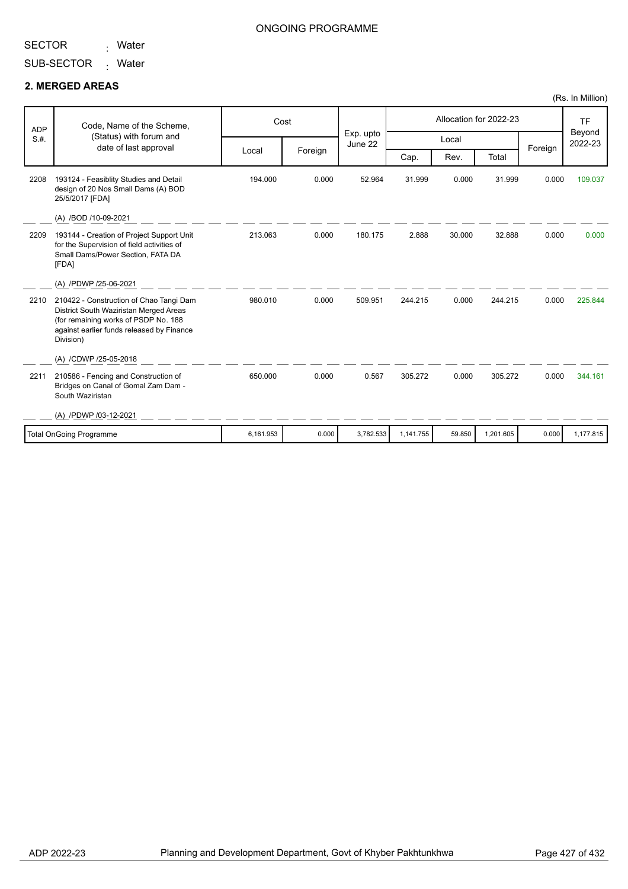<sub>:</sub> Water

#### ONGOING PROGRAMME

SUB-SECTOR Mater

#### **2. MERGED AREAS**

| <b>ADP</b> | Code, Name of the Scheme,                                                                                                                                                           | Cost      |         | Exp. upto | Allocation for 2022-23 |        |           |         | <b>TF</b>         |
|------------|-------------------------------------------------------------------------------------------------------------------------------------------------------------------------------------|-----------|---------|-----------|------------------------|--------|-----------|---------|-------------------|
| S.H.       | (Status) with forum and<br>date of last approval                                                                                                                                    |           |         | June 22   |                        | Local  |           |         | Beyond<br>2022-23 |
|            |                                                                                                                                                                                     | Local     | Foreign |           | Cap.                   | Rev.   | Total     | Foreign |                   |
| 2208       | 193124 - Feasiblity Studies and Detail<br>design of 20 Nos Small Dams (A) BOD<br>25/5/2017 [FDA]                                                                                    | 194.000   | 0.000   | 52.964    | 31.999                 | 0.000  | 31.999    | 0.000   | 109.037           |
|            | (A) /BOD /10-09-2021                                                                                                                                                                |           |         |           |                        |        |           |         |                   |
| 2209       | 193144 - Creation of Project Support Unit<br>for the Supervision of field activities of<br>Small Dams/Power Section, FATA DA<br>[FDA]                                               | 213.063   | 0.000   | 180.175   | 2.888                  | 30.000 | 32.888    | 0.000   | 0.000             |
|            | (A) /PDWP /25-06-2021                                                                                                                                                               |           |         |           |                        |        |           |         |                   |
| 2210       | 210422 - Construction of Chao Tangi Dam<br>District South Waziristan Merged Areas<br>(for remaining works of PSDP No. 188<br>against earlier funds released by Finance<br>Division) | 980.010   | 0.000   | 509.951   | 244.215                | 0.000  | 244.215   | 0.000   | 225.844           |
|            | (A) /CDWP /25-05-2018                                                                                                                                                               |           |         |           |                        |        |           |         |                   |
| 2211       | 210586 - Fencing and Construction of<br>Bridges on Canal of Gomal Zam Dam -<br>South Waziristan                                                                                     | 650.000   | 0.000   | 0.567     | 305.272                | 0.000  | 305.272   | 0.000   | 344.161           |
|            | (A) /PDWP /03-12-2021                                                                                                                                                               |           |         |           |                        |        |           |         |                   |
|            | Total OnGoing Programme                                                                                                                                                             | 6,161.953 | 0.000   | 3,782.533 | 1,141.755              | 59.850 | 1,201.605 | 0.000   | 1.177.815         |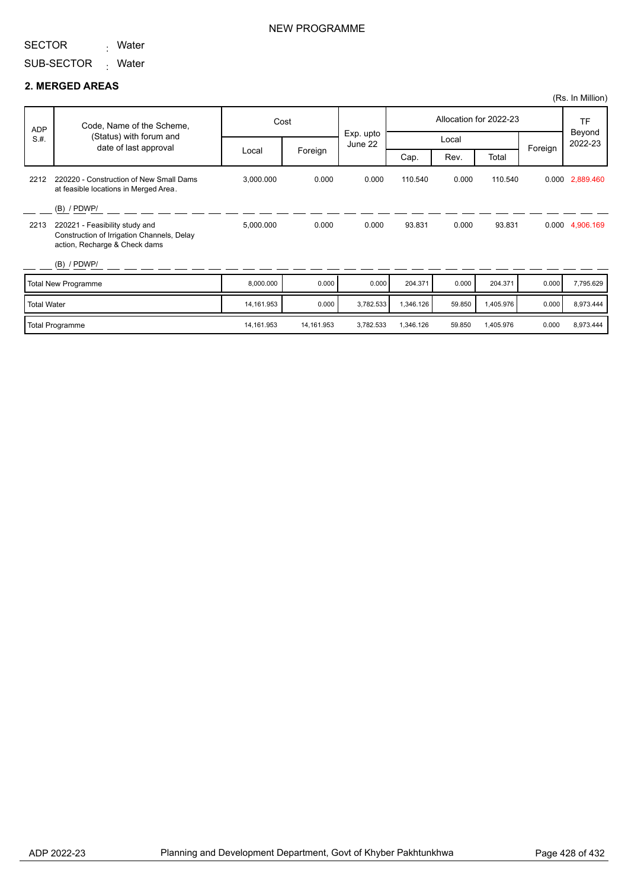<sub>:</sub> Water

SUB-SECTOR Mater

#### **2. MERGED AREAS**

|                    |                                                                                                               |            |            |                      |                        |        |           |         | (Rs. In Million)  |
|--------------------|---------------------------------------------------------------------------------------------------------------|------------|------------|----------------------|------------------------|--------|-----------|---------|-------------------|
| <b>ADP</b>         | Code, Name of the Scheme,                                                                                     | Cost       |            |                      | Allocation for 2022-23 |        |           |         | TF                |
| S.H.               | (Status) with forum and<br>date of last approval                                                              |            |            | Exp. upto<br>June 22 | Local                  |        |           |         | Beyond<br>2022-23 |
|                    |                                                                                                               | Local      | Foreign    |                      | Cap.                   | Rev.   | Total     | Foreign |                   |
| 2212               | 220220 - Construction of New Small Dams<br>at feasible locations in Merged Area.                              | 3,000.000  | 0.000      | 0.000                | 110.540                | 0.000  | 110.540   |         | 0.000 2,889.460   |
|                    | $(B)$ / PDWP/                                                                                                 |            |            |                      |                        |        |           |         |                   |
| 2213               | 220221 - Feasibility study and<br>Construction of Irrigation Channels, Delay<br>action, Recharge & Check dams | 5,000.000  | 0.000      | 0.000                | 93.831                 | 0.000  | 93.831    |         | 0.000 4,906.169   |
|                    | $(B)$ / PDWP/                                                                                                 |            |            |                      |                        |        |           |         |                   |
|                    | <b>Total New Programme</b>                                                                                    | 8,000.000  | 0.000      | 0.000                | 204.371                | 0.000  | 204.371   | 0.000   | 7,795.629         |
| <b>Total Water</b> |                                                                                                               | 14,161.953 | 0.000      | 3,782.533            | 1,346.126              | 59.850 | 1,405.976 | 0.000   | 8,973.444         |
|                    | <b>Total Programme</b>                                                                                        | 14,161.953 | 14,161.953 | 3.782.533            | 1.346.126              | 59.850 | 1.405.976 | 0.000   | 8,973.444         |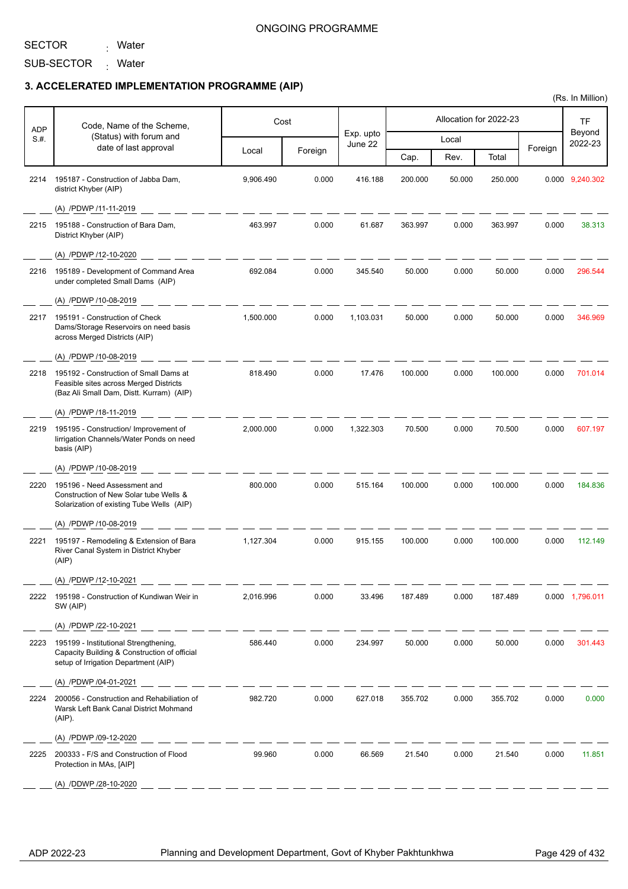SECTOR <sub>:</sub> Water

SUB-SECTOR Mater

## **3. ACCELERATED IMPLEMENTATION PROGRAMME (AIP)**

| <b>ADP</b> | Code, Name of the Scheme,                                                                                                     |           | Cost    |                      |         |        | Allocation for 2022-23 |         | TF                |
|------------|-------------------------------------------------------------------------------------------------------------------------------|-----------|---------|----------------------|---------|--------|------------------------|---------|-------------------|
| S.#.       | (Status) with forum and<br>date of last approval                                                                              |           |         | Exp. upto<br>June 22 |         | Local  |                        |         | Beyond<br>2022-23 |
|            |                                                                                                                               | Local     | Foreign |                      | Cap.    | Rev.   | Total                  | Foreign |                   |
| 2214       | 195187 - Construction of Jabba Dam,<br>district Khyber (AIP)                                                                  | 9,906.490 | 0.000   | 416.188              | 200.000 | 50.000 | 250.000                |         | 0.000 9,240.302   |
|            | (A) /PDWP /11-11-2019                                                                                                         |           |         |                      |         |        |                        |         |                   |
| 2215       | 195188 - Construction of Bara Dam,<br>District Khyber (AIP)                                                                   | 463.997   | 0.000   | 61.687               | 363.997 | 0.000  | 363.997                | 0.000   | 38.313            |
|            | (A) /PDWP /12-10-2020                                                                                                         |           |         |                      |         |        |                        |         |                   |
| 2216       | 195189 - Development of Command Area<br>under completed Small Dams (AIP)                                                      | 692.084   | 0.000   | 345.540              | 50.000  | 0.000  | 50.000                 | 0.000   | 296.544           |
|            | (A) /PDWP /10-08-2019                                                                                                         |           |         |                      |         |        |                        |         |                   |
| 2217       | 195191 - Construction of Check<br>Dams/Storage Reservoirs on need basis<br>across Merged Districts (AIP)                      | 1,500.000 | 0.000   | 1,103.031            | 50.000  | 0.000  | 50.000                 | 0.000   | 346.969           |
|            | (A) /PDWP /10-08-2019                                                                                                         |           |         |                      |         |        |                        |         |                   |
| 2218       | 195192 - Construction of Small Dams at<br>Feasible sites across Merged Districts<br>(Baz Ali Small Dam, Distt. Kurram) (AIP)  | 818.490   | 0.000   | 17.476               | 100.000 | 0.000  | 100.000                | 0.000   | 701.014           |
|            | (A) /PDWP /18-11-2019                                                                                                         |           |         |                      |         |        |                        |         |                   |
| 2219       | 195195 - Construction/ Improvement of<br>lirrigation Channels/Water Ponds on need<br>basis (AIP)                              | 2,000.000 | 0.000   | 1,322.303            | 70.500  | 0.000  | 70.500                 | 0.000   | 607.197           |
|            | (A) /PDWP /10-08-2019                                                                                                         |           |         |                      |         |        |                        |         |                   |
| 2220       | 195196 - Need Assessment and<br>Construction of New Solar tube Wells &<br>Solarization of existing Tube Wells (AIP)           | 800.000   | 0.000   | 515.164              | 100.000 | 0.000  | 100.000                | 0.000   | 184.836           |
|            | (A) /PDWP /10-08-2019                                                                                                         |           |         |                      |         |        |                        |         |                   |
| 2221       | 195197 - Remodeling & Extension of Bara<br>River Canal System in District Khyber<br>(AIP)                                     | 1.127.304 | 0.000   | 915.155              | 100.000 | 0.000  | 100.000                | 0.000   | 112.149           |
|            | (A) /PDWP /12-10-2021                                                                                                         |           |         |                      |         |        |                        |         |                   |
|            | 2222 195198 - Construction of Kundiwan Weir in<br>SW (AIP)                                                                    | 2,016.996 | 0.000   | 33.496               | 187.489 | 0.000  | 187.489                |         | 0.000 1,796.011   |
|            | (A) /PDWP /22-10-2021                                                                                                         |           |         |                      |         |        |                        |         |                   |
| 2223       | 195199 - Institutional Strengthening,<br>Capacity Building & Construction of official<br>setup of Irrigation Department (AIP) | 586.440   | 0.000   | 234.997              | 50.000  | 0.000  | 50.000                 | 0.000   | 301.443           |
|            | (A) /PDWP /04-01-2021                                                                                                         |           |         |                      |         |        |                        |         |                   |
| 2224       | 200056 - Construction and Rehabiliation of<br>Warsk Left Bank Canal District Mohmand<br>(AIP).                                | 982.720   | 0.000   | 627.018              | 355.702 | 0.000  | 355.702                | 0.000   | 0.000             |
|            | (A) /PDWP /09-12-2020                                                                                                         |           |         |                      |         |        |                        |         |                   |
| 2225       | 200333 - F/S and Construction of Flood<br>Protection in MAs, [AIP]                                                            | 99.960    | 0.000   | 66.569               | 21.540  | 0.000  | 21.540                 | 0.000   | 11.851            |
|            | (A) /DDWP /28-10-2020                                                                                                         |           |         |                      |         |        |                        |         |                   |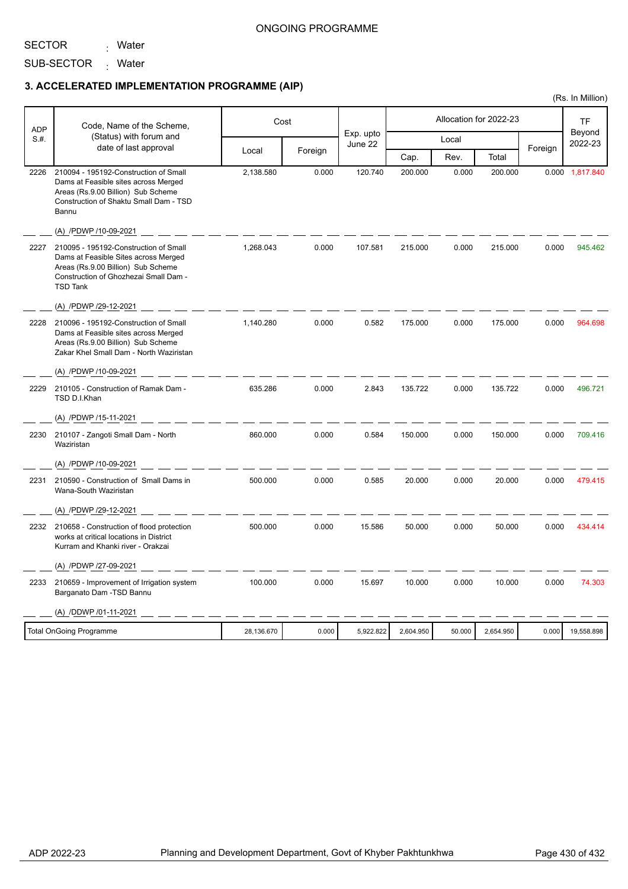#### ONGOING PROGRAMME

SECTOR

SUB-SECTOR Mater

<sub>:</sub> Water

## **3. ACCELERATED IMPLEMENTATION PROGRAMME (AIP)**

| <b>ADP</b> | Code, Name of the Scheme,                                                                                                                                                       | Cost       | Allocation for 2022-23 |                      |           | TF     |           |         |                   |
|------------|---------------------------------------------------------------------------------------------------------------------------------------------------------------------------------|------------|------------------------|----------------------|-----------|--------|-----------|---------|-------------------|
| S.#.       | (Status) with forum and                                                                                                                                                         |            |                        | Exp. upto<br>June 22 |           | Local  |           |         | Beyond<br>2022-23 |
|            | date of last approval                                                                                                                                                           | Local      | Foreign                |                      | Cap.      | Rev.   | Total     | Foreign |                   |
| 2226       | 210094 - 195192-Construction of Small<br>Dams at Feasible sites across Merged<br>Areas (Rs.9.00 Billion) Sub Scheme<br>Construction of Shaktu Small Dam - TSD<br>Bannu          | 2,138.580  | 0.000                  | 120.740              | 200.000   | 0.000  | 200.000   |         | 0.000 1,817.840   |
|            | (A) /PDWP /10-09-2021                                                                                                                                                           |            |                        |                      |           |        |           |         |                   |
| 2227       | 210095 - 195192-Construction of Small<br>Dams at Feasible Sites across Merged<br>Areas (Rs.9.00 Billion) Sub Scheme<br>Construction of Ghozhezai Small Dam -<br><b>TSD Tank</b> | 1,268.043  | 0.000                  | 107.581              | 215.000   | 0.000  | 215.000   | 0.000   | 945.462           |
|            | (A) /PDWP /29-12-2021                                                                                                                                                           |            |                        |                      |           |        |           |         |                   |
| 2228       | 210096 - 195192-Construction of Small<br>Dams at Feasible sites across Merged<br>Areas (Rs.9.00 Billion) Sub Scheme<br>Zakar Khel Small Dam - North Waziristan                  | 1,140.280  | 0.000                  | 0.582                | 175.000   | 0.000  | 175.000   | 0.000   | 964.698           |
|            | (A) /PDWP /10-09-2021                                                                                                                                                           |            |                        |                      |           |        |           |         |                   |
| 2229       | 210105 - Construction of Ramak Dam -<br>TSD D.I.Khan                                                                                                                            | 635.286    | 0.000                  | 2.843                | 135.722   | 0.000  | 135.722   | 0.000   | 496.721           |
|            | (A) /PDWP /15-11-2021                                                                                                                                                           |            |                        |                      |           |        |           |         |                   |
| 2230       | 210107 - Zangoti Small Dam - North<br>Waziristan                                                                                                                                | 860.000    | 0.000                  | 0.584                | 150.000   | 0.000  | 150.000   | 0.000   | 709.416           |
|            | (A) /PDWP /10-09-2021                                                                                                                                                           |            |                        |                      |           |        |           |         |                   |
| 2231       | 210590 - Construction of Small Dams in<br>Wana-South Waziristan                                                                                                                 | 500,000    | 0.000                  | 0.585                | 20.000    | 0.000  | 20.000    | 0.000   | 479.415           |
|            | (A) /PDWP /29-12-2021                                                                                                                                                           |            |                        |                      |           |        |           |         |                   |
| 2232       | 210658 - Construction of flood protection<br>works at critical locations in District<br>Kurram and Khanki river - Orakzai                                                       | 500.000    | 0.000                  | 15.586               | 50.000    | 0.000  | 50.000    | 0.000   | 434.414           |
|            | (A) /PDWP /27-09-2021                                                                                                                                                           |            |                        |                      |           |        |           |         |                   |
| 2233       | 210659 - Improvement of Irrigation system<br>Barganato Dam - TSD Bannu                                                                                                          | 100.000    | 0.000                  | 15.697               | 10.000    | 0.000  | 10.000    | 0.000   | 74.303            |
|            | (A) /DDWP /01-11-2021                                                                                                                                                           |            |                        |                      |           |        |           |         |                   |
|            | <b>Total OnGoing Programme</b>                                                                                                                                                  | 28,136.670 | 0.000                  | 5,922.822            | 2,604.950 | 50.000 | 2,654.950 | 0.000   | 19,558.898        |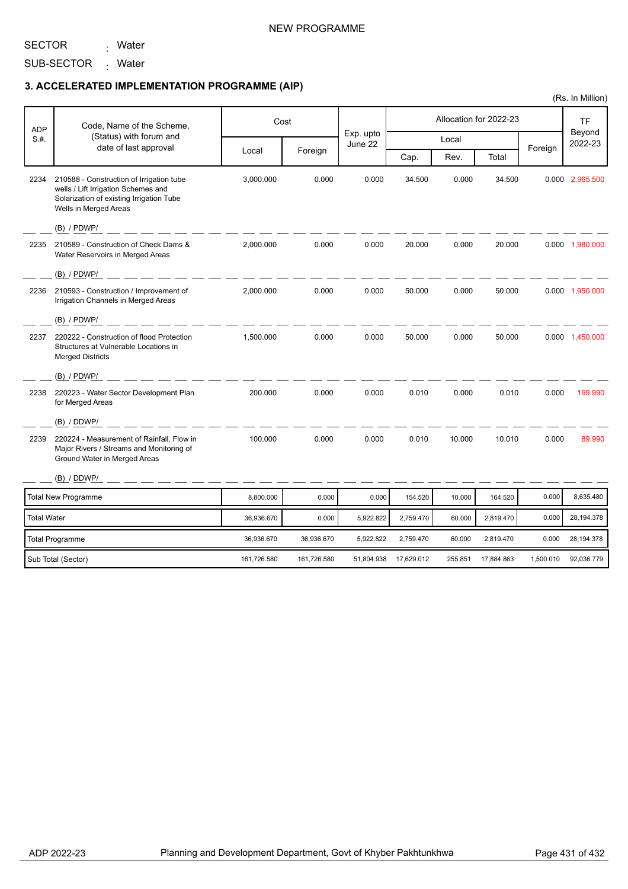SECTOR <sub>:</sub> Water

SUB-SECTOR <sub>:</sub> Water

### **3. ACCELERATED IMPLEMENTATION PROGRAMME (AIP)**

| <b>ADP</b>         | Code, Name of the Scheme,                                                                                                                            |             | Cost        | Exp. upto  |            |         | Allocation for 2022-23 |           | TF<br>Beyond    |
|--------------------|------------------------------------------------------------------------------------------------------------------------------------------------------|-------------|-------------|------------|------------|---------|------------------------|-----------|-----------------|
| S.H.               | (Status) with forum and                                                                                                                              |             |             | June 22    |            | Local   |                        |           | 2022-23         |
|                    | date of last approval                                                                                                                                | Local       | Foreign     |            | Cap.       | Rev.    | Total                  | Foreign   |                 |
| 2234               | 210588 - Construction of Irrigation tube<br>wells / Lift Irrigation Schemes and<br>Solarization of existing Irrigation Tube<br>Wells in Merged Areas | 3,000.000   | 0.000       | 0.000      | 34.500     | 0.000   | 34.500                 |           | 0.000 2,965.500 |
|                    | $(B)$ / PDWP/                                                                                                                                        |             |             |            |            |         |                        |           |                 |
| 2235               | 210589 - Construction of Check Dams &<br>Water Reservoirs in Merged Areas                                                                            | 2,000.000   | 0.000       | 0.000      | 20.000     | 0.000   | 20.000                 |           | 0.000 1,980.000 |
|                    | $(B)$ / PDWP/                                                                                                                                        |             |             |            |            |         |                        |           |                 |
| 2236               | 210593 - Construction / Improvement of<br>Irrigation Channels in Merged Areas                                                                        | 2,000.000   | 0.000       | 0.000      | 50.000     | 0.000   | 50.000                 |           | 0.000 1,950.000 |
|                    | $(B)$ / PDWP/                                                                                                                                        |             |             |            |            |         |                        |           |                 |
| 2237               | 220222 - Construction of flood Protection<br>Structures at Vulnerable Locations in<br><b>Merged Districts</b>                                        | 1,500.000   | 0.000       | 0.000      | 50.000     | 0.000   | 50.000                 |           | 0.000 1,450.000 |
|                    | $(B)$ / PDWP/                                                                                                                                        |             |             |            |            |         |                        |           |                 |
| 2238               | 220223 - Water Sector Development Plan<br>for Merged Areas                                                                                           | 200.000     | 0.000       | 0.000      | 0.010      | 0.000   | 0.010                  | 0.000     | 199.990         |
|                    | (B) / DDWP/                                                                                                                                          |             |             |            |            |         |                        |           |                 |
| 2239               | 220224 - Measurement of Rainfall, Flow in<br>Major Rivers / Streams and Monitoring of<br>Ground Water in Merged Areas                                | 100.000     | 0.000       | 0.000      | 0.010      | 10.000  | 10.010                 | 0.000     | 89.990          |
|                    | (B) / DDWP/                                                                                                                                          |             |             |            |            |         |                        |           |                 |
|                    | <b>Total New Programme</b>                                                                                                                           | 8,800.000   | 0.000       | 0.000      | 154.520    | 10.000  | 164.520                | 0.000     | 8,635.480       |
| <b>Total Water</b> |                                                                                                                                                      | 36,936.670  | 0.000       | 5,922.822  | 2,759.470  | 60.000  | 2,819.470              | 0.000     | 28,194.378      |
|                    | <b>Total Programme</b>                                                                                                                               | 36,936.670  | 36,936.670  | 5,922.822  | 2,759.470  | 60.000  | 2,819.470              | 0.000     | 28,194.378      |
|                    | Sub Total (Sector)                                                                                                                                   | 161,726.580 | 161,726.580 | 51,804.938 | 17,629.012 | 255.851 | 17,884.863             | 1,500.010 | 92,036.779      |